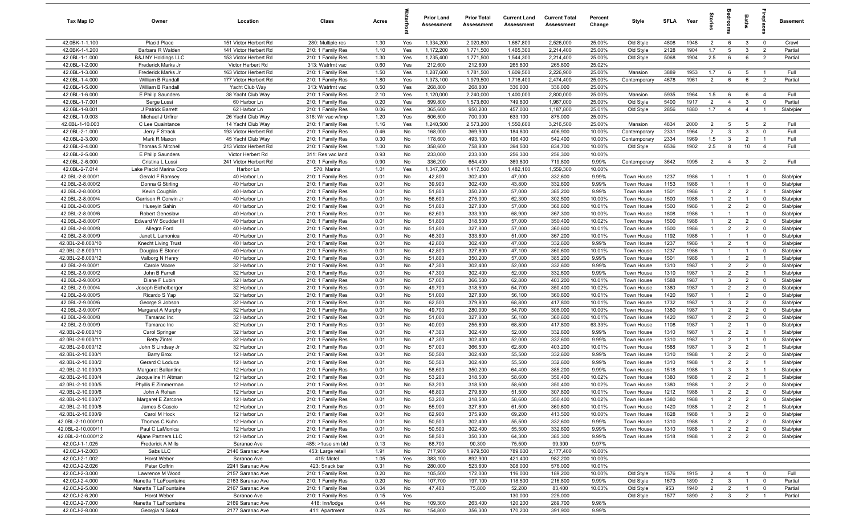| Tax Map ID                             | Owner                                 | Location                               | Class                                  | Acres        |            | <b>Prior Land</b><br>Assessment | <b>Prior Total</b><br>Assessment | <b>Current Land</b><br>Assessment | <b>Current Total</b><br>Assessment | Percent<br>Change | Style                    | <b>SFLA</b>  | Year         | ĝ                                |                                  | Baths                            | epla                          | <b>Basement</b>        |
|----------------------------------------|---------------------------------------|----------------------------------------|----------------------------------------|--------------|------------|---------------------------------|----------------------------------|-----------------------------------|------------------------------------|-------------------|--------------------------|--------------|--------------|----------------------------------|----------------------------------|----------------------------------|-------------------------------|------------------------|
| 42.0BK-1-1.100                         | Placid Place                          | 151 Victor Herbert Rd                  | 280: Multiple res                      | 1.30         | Yes        | 1,334,200                       | 2,020,800                        | 1,667,800                         | 2,526,000                          | 25.00%            | Old Style                | 4808         | 1948         | $\overline{2}$                   | 6                                | $\mathbf{3}$                     | $\overline{0}$                | Crawl                  |
| 42.0BK-1-1.200                         | Barbara R Walden                      | 141 Victor Herbert Rd                  | 210: 1 Family Res                      | 1.10         | Yes        | 1,172,200                       | 1,771,500                        | 1,465,300                         | 2,214,400                          | 25.00%            | Old Style                | 2128         | 1904         | 1.7                              | 5                                | $\overline{3}$                   | $\overline{2}$                | Partial                |
| 42.0BL-1-1.000                         | <b>B&amp;J NY Holdings LLC</b>        | 153 Victor Herbert Rd                  | 210: 1 Family Res                      | 1.30         | Yes        | 1,235,400                       | 1,771,500                        | 1,544,300                         | 2,214,400                          | 25.00%            | Old Style                | 5068         | 1904         | 2.5                              | 6                                | 6                                | $\overline{2}$                | Partial                |
| 42.0BL-1-2.000                         | Frederick Marks Jr                    | Victor Herbert Rd                      | 313: Watrfrnt vac                      | 0.60         | Yes        | 212,600                         | 212,600                          | 265,800                           | 265,800                            | 25.02%            |                          |              |              |                                  |                                  |                                  |                               |                        |
| 42.0BL-1-3.000                         | Frederick Marks Jr                    | 163 Victor Herbert Rd                  | 210: 1 Family Res                      | 1.50         | Yes        | 1,287,600                       | 1,781,500                        | 1,609,500                         | 2,226,900                          | 25.00%            | Mansion                  | 3889         | 1953         | 1.7                              | 6                                | 5                                |                               | Full                   |
| 42.0BL-1-4.000                         | William B Randall                     | 177 Victor Herbert Rd                  | 210: 1 Family Res                      | 1.80         | Yes        | 1,373,100                       | 1,979,500                        | 1,716,400                         | 2,474,400                          | 25.00%            | Contemporary             | 4678         | 1961         | $\overline{2}$                   | 6                                | 6                                | $\overline{2}$                | Partial                |
| 42.0BL-1-5.000                         | William B Randall                     | Yacht Club Way                         | 313: Watrfrnt vac                      | 0.50         | Yes        | 268,800                         | 268,800                          | 336,000                           | 336,000                            | 25.00%            |                          |              |              |                                  |                                  |                                  |                               |                        |
| 42.0BL-1-6.000                         | E Philip Saunders                     | 38 Yacht Club Way                      | 210: 1 Family Res                      | 2.10         | Yes        | 1,120,000                       | 2,240,000                        | 1,400,000                         | 2,800,000                          | 25.00%            | Mansion                  | 5935         | 1964         | 1.5                              | 6                                | 6                                | $\overline{4}$                | Full                   |
| 42.0BL-1-7.001                         | Serge Lussi                           | 60 Harbor Ln                           | 210: 1 Family Res                      | 0.20         | Yes        | 599,800                         | 1,573,600                        | 749,800                           | 1,967,000                          | 25.00%            | Old Style                | 5400         | 1917         | $\overline{2}$                   | $\overline{4}$                   | $\mathbf{3}$                     | $\overline{0}$                | Partial                |
| 42.0BL-1-8.001                         | J Patrick Barrett                     | 62 Harbor Ln                           | 210: 1 Family Res                      | 0.06         | Yes        | 365,600                         | 950,200                          | 457,000                           | 1,187,800                          | 25.01%            | Old Style                | 2856         | 1880         | 1.7                              | $\overline{4}$                   | $\overline{4}$                   | $\overline{1}$                | Slab/pier              |
| 42.0BL-1-9.003<br>42.0BL-1-10.003      | Michael J Urfirer<br>C Lee Quaintance | 26 Yacht Club Way<br>14 Yacht Club Way | 316: Wr vac w/imp<br>210: 1 Family Res | 1.20<br>1.16 | Yes<br>Yes | 506,500<br>1,240,500            | 700,000<br>2,573,200             | 633,100<br>1,550,600              | 875,000<br>3,216,500               | 25.00%<br>25.00%  | Mansion                  | 4834         | 2000         | $\overline{2}$                   | 5                                | 5                                | $\overline{2}$                | Full                   |
| 42.0BL-2-1.000                         | Jerry F Strack                        | 193 Victor Herbert Rd                  | 210: 1 Family Res                      | 0.46         | No         | 168,000                         | 369,900                          | 184,800                           | 406,900                            | 10.00%            | Contemporary             | 2331         | 1964         | $\overline{2}$                   | $\mathbf{3}$                     | $\mathbf{3}$                     | $\Omega$                      | Full                   |
| 42.0BL-2-3.000                         | Mark R Maxon                          | 45 Yacht Club Way                      | 210: 1 Family Res                      | 0.30         | No         | 178,600                         | 493,100                          | 196,400                           | 542,400                            | 10.00%            | Contemporary             | 2334         | 1969         | 1.5                              | $\mathbf{3}$                     | $\overline{2}$                   | $\mathbf{1}$                  | Full                   |
| 42.0BL-2-4.000                         | Thomas S Mitchell                     | 213 Victor Herbert Rd                  | 210: 1 Family Res                      | 1.00         | No         | 358,600                         | 758,800                          | 394,500                           | 834,700                            | 10.00%            | Old Style                | 6536         | 1902         | 2.5                              | 8                                | 10                               | $\overline{4}$                | Full                   |
| 42.0BL-2-5.000                         | E Philip Saunders                     | Victor Herbert Rd                      | 311: Res vac land                      | 0.93         | No         | 233,000                         | 233,000                          | 256,300                           | 256,300                            | 10.00%            |                          |              |              |                                  |                                  |                                  |                               |                        |
| 42.0BL-2-6.000                         | Cristina L Lussi                      | 241 Victor Herbert Rd                  | 210: 1 Family Res                      | 0.90         | No         | 336,200                         | 654,400                          | 369,800                           | 719,800                            | 9.99%             | Contemporary             | 3642         | 1995         | $\overline{2}$                   | $\overline{4}$                   | $\mathbf{3}$                     | $\overline{2}$                | Full                   |
| 42.0BL-2-7.014                         | Lake Placid Marina Corp               | Harbor Ln                              | 570: Marina                            | 1.01         | Yes        | 1,347,300                       | 1,417,500                        | 1,482,100                         | 1,559,300                          | 10.00%            |                          |              |              |                                  |                                  |                                  |                               |                        |
| 42.0BL-2-8.000/1                       | Gerald F Ramsey                       | 40 Harbor Ln                           | 210: 1 Family Res                      | 0.01         | No         | 42,800                          | 302,400                          | 47,000                            | 332,600                            | 9.99%             | Town House               | 1237         | 1986         | $\mathbf{1}$                     |                                  | $\overline{1}$                   | $\overline{0}$                | Slab/pier              |
| 42.0BL-2-8.000/2                       | Donna G Stirling                      | 40 Harbor Ln                           | 210: 1 Family Res                      | 0.01         | No         | 39,900                          | 302,400                          | 43,800                            | 332,600                            | 9.99%             | Town House               | 1153         | 1986         | $\mathbf{1}$                     | $\overline{1}$                   | $\overline{1}$                   | $\mathbf 0$                   | Slab/pier              |
| 42.0BL-2-8.000/3                       | Kevin Coughlin                        | 40 Harbor Ln                           | 210: 1 Family Res                      | 0.01         | No         | 51,800                          | 350,200                          | 57,000                            | 385,200                            | 9.99%             | Town House               | 1501         | 1986         | $\overline{1}$                   | $\overline{2}$                   | $\overline{2}$                   | $\overline{1}$                | Slab/pier              |
| 42.0BL-2-8.000/4                       | Garrison R Corwin Jr                  | 40 Harbor Ln                           | 210: 1 Family Res                      | 0.01         | No         | 56,600                          | 275,000                          | 62,300                            | 302,500                            | 10.00%            | Town House               | 1500         | 1986         | $\overline{1}$                   | $\overline{2}$                   | $\overline{1}$                   | $\mathbf 0$                   | Slab/pier              |
| 42.0BL-2-8.000/5                       | Huseyin Sahin                         | 40 Harbor Ln                           | 210: 1 Family Res                      | 0.01         | No         | 51,800                          | 327,800                          | 57,000                            | 360,600                            | 10.01%            | Town House               | 1500         | 1986         | $\overline{1}$                   | $\overline{2}$                   | $\overline{2}$                   | $\overline{0}$                | Slab/pier              |
| 42.0BL-2-8.000/6                       | Robert Geneslaw                       | 40 Harbor Ln                           | 210: 1 Family Res                      | 0.01         | No         | 62,600                          | 333,900                          | 68,900                            | 367,300                            | 10.00%            | Town House               | 1808         | 1986         | $\overline{1}$                   | $\overline{1}$                   | $\overline{1}$                   | $\mathbf 0$                   | Slab/pier              |
| 42.0BL-2-8.000/7                       | Edward W Scudder III                  | 40 Harbor Ln                           | 210: 1 Family Res                      | 0.01         | No         | 51,800                          | 318,500                          | 57,000                            | 350,400                            | 10.02%            | Town House               | 1500         | 1986         | $\overline{1}$                   | 2                                | 2                                | $\overline{0}$                | Slab/pier              |
| 42.0BL-2-8.000/8                       | Allegra Ford                          | 40 Harbor Ln                           | 210: 1 Family Res                      | 0.01         | No         | 51,800                          | 327,800                          | 57,000                            | 360,600                            | 10.01%            | Town House               | 1500         | 1986         | $\mathbf{1}$                     | $\overline{2}$                   | $\overline{2}$                   | $\mathbf 0$                   | Slab/pier              |
| 42.0BL-2-8.000/9                       | Janet L Lamonica                      | 40 Harbor Ln                           | 210: 1 Family Res                      | 0.01         | No         | 46,300                          | 333,800                          | 51,000                            | 367,200                            | 10.01%            | Town House               | 1192         | 1986         | $\mathbf{1}$                     | $\overline{1}$                   | $\overline{1}$                   | $\mathbf 0$                   | Slab/pier              |
| 42.0BL-2-8.000/10                      | Knecht Living Trust                   | 40 Harbor Ln                           | 210: 1 Family Res                      | 0.01         | No         | 42,800                          | 302,400                          | 47,000                            | 332,600                            | 9.99%             | Town House               | 1237         | 1986         | $\mathbf{1}$                     | $\overline{2}$                   | $\overline{1}$                   | $\mathbf 0$                   | Slab/pier              |
| 42.0BL-2-8.000/11                      | Douglas E Stoner                      | 40 Harbor Ln                           | 210: 1 Family Res                      | 0.01         | No         | 42,800                          | 327,800                          | 47,100                            | 360,600                            | 10.01%            | Town House               | 1237         | 1986         | -1                               | $\overline{1}$                   | $\overline{1}$                   | $\mathbf 0$                   | Slab/pier              |
| 42.0BL-2-8.000/12                      | Valborg N Henry                       | 40 Harbor Ln                           | 210: 1 Family Res                      | 0.01         | No         | 51,800                          | 350,200                          | 57,000                            | 385,200                            | 9.99%             | Town House               | 1501         | 1986         | $\mathbf{1}$                     | $\overline{1}$                   | $\overline{2}$                   |                               | Slab/pier              |
| 42.0BL-2-9.000/1<br>42.0BL-2-9.000/2   | Carole Moore                          | 32 Harbor Ln                           | 210: 1 Family Res                      | 0.01         | No         | 47,300<br>47,300                | 302,400                          | 52,000<br>52,000                  | 332,600<br>332,600                 | 9.99%             | Town House               | 1310         | 1987<br>1987 | 1<br>$\mathbf{1}$                | $\overline{2}$<br>$\overline{2}$ | $\overline{2}$<br>$\overline{2}$ | $\mathbf 0$<br>$\overline{1}$ | Slab/pier              |
| 42.0BL-2-9.000/3                       | John B Farrell<br>Diane F Lubin       | 32 Harbor Ln<br>32 Harbor Ln           | 210: 1 Family Res<br>210: 1 Family Res | 0.01<br>0.01 | No<br>No   | 57,000                          | 302,400<br>366,500               | 62,800                            | 403,200                            | 9.99%<br>10.01%   | Town House<br>Town House | 1310<br>1588 | 1987         | $\overline{1}$                   | $\mathbf{3}$                     | $\overline{2}$                   | $\mathbf 0$                   | Slab/pier<br>Slab/pier |
| 42.0BL-2-9.000/4                       | Joseph Eichelberger                   | 32 Harbor Ln                           | 210: 1 Family Res                      | 0.01         | No         | 49,700                          | 318,500                          | 54,700                            | 350,400                            | 10.02%            | Town House               | 1380         | 1987         | $\overline{1}$                   | $\overline{2}$                   | $\overline{2}$                   | $\Omega$                      | Slab/pier              |
| 42.0BL-2-9.000/5                       | Ricardo S Yap                         | 32 Harbor Ln                           | 210: 1 Family Res                      | 0.01         | No         | 51,000                          | 327,800                          | 56,100                            | 360,600                            | 10.01%            | Town House               | 1420         | 1987         | $\overline{1}$                   | $\overline{1}$                   | $\overline{2}$                   | $\Omega$                      | Slab/pier              |
| 42.0BL-2-9.000/6                       | George S Jobson                       | 32 Harbor Ln                           | 210: 1 Family Res                      | 0.01         | No         | 62,500                          | 379,800                          | 68,800                            | 417,800                            | 10.01%            | Town House               | 1732         | 1987         | $\overline{1}$                   | $\mathbf{3}$                     | $\overline{2}$                   | $\mathbf 0$                   | Slab/pier              |
| 42.0BL-2-9.000/7                       | Margaret A Murphy                     | 32 Harbor Ln                           | 210: 1 Family Res                      | 0.01         | No         | 49,700                          | 280,000                          | 54,700                            | 308,000                            | 10.00%            | Town House               | 1380         | 1987         | $\overline{1}$                   | $\overline{2}$                   | $\overline{2}$                   | $\mathbf 0$                   | Slab/pier              |
| 42.0BL-2-9.000/8                       | Tamarac Inc                           | 32 Harbor Ln                           | 210: 1 Family Res                      | 0.01         | No         | 51,000                          | 327,800                          | 56,100                            | 360,600                            | 10.01%            | Town House               | 1420         | 1987         | $\mathbf{1}$                     | 2                                | $\overline{2}$                   | $\overline{0}$                | Slab/pier              |
| 42.0BL-2-9.000/9                       | Tamarac Inc                           | 32 Harbor Ln                           | 210: 1 Family Res                      | 0.01         | No         | 40,000                          | 255,800                          | 68,800                            | 417,800                            | 63.33%            | Town House               | 1108         | 1987         | $\mathbf{1}$                     | $\overline{2}$                   | $\overline{1}$                   | $\mathbf 0$                   | Slab/pier              |
| 42.0BL-2-9.000/10                      | Carol Springer                        | 32 Harbor Ln                           | 210: 1 Family Res                      | 0.01         | No         | 47,300                          | 302,400                          | 52,000                            | 332,600                            | 9.99%             | Town House               | 1310         | 1987         | $\mathbf{1}$                     | $\overline{2}$                   | $\overline{2}$                   | $\overline{1}$                | Slab/pier              |
| 42.0BL-2-9.000/11                      | <b>Betty Zintel</b>                   | 32 Harbor Ln                           | 210: 1 Family Res                      | 0.01         | No         | 47,300                          | 302,400                          | 52,000                            | 332,600                            | 9.99%             | Town House               | 1310         | 1987         | $\mathbf{1}$                     | $\overline{2}$                   | $\overline{1}$                   | $\mathbf 0$                   | Slab/pier              |
| 42.0BL-2-9.000/12                      | John S Lindsay Jr                     | 32 Harbor Ln                           | 210: 1 Family Res                      | 0.01         | No         | 57,000                          | 366,500                          | 62,800                            | 403,200                            | 10.01%            | Town House               | 1588         | 1987         | -1                               | 3                                | $\overline{2}$                   |                               | Slab/pier              |
| 42.0BL-2-10.000/1                      | Barry Brox                            | 12 Harbor Ln                           | 210: 1 Family Res                      | 0.01         | No         | 50,500                          | 302,400                          | 55,500                            | 332,600                            | 9.99%             | <b>Town House</b>        | 1310         | 1988         | $\mathbf{1}$                     | $\overline{2}$                   | $\overline{2}$                   | $\Omega$                      | Slab/pier              |
| 42.0BL-2-10.000/2                      | Gerard C Loduca                       | 12 Harbor Ln                           | 210: 1 Family Res                      | 0.01         | No         | 50,500                          | 302,400                          | 55,500                            | 332,600                            | 9.99%             | <b>Town House</b>        | 1310         | 1988         | $\mathbf{1}$                     | $\overline{2}$                   | $\overline{2}$                   |                               | Slab/pier              |
| 42.0BL-2-10.000/3                      | Margaret Ballantine                   | 12 Harbor Ln                           | 210: 1 Family Res                      | 0.01         | No         | 58,600                          | 350,200                          | 64,400                            | 385,200                            | 9.99%             | Town House               | 1518         | 1988         |                                  | 3                                | -3                               |                               | Slab/pier              |
| 42.0BL-2-10.000/4                      | Jacqueline H Altman                   | 12 Harbor Ln                           | 210: 1 Family Res                      | 0.01         | No         | 53,200                          | 318,500                          | 58,600                            | 350,400                            | 10.02%            | <b>Town House</b>        | 1380         | 1988         | $\overline{1}$<br>$\overline{1}$ | $\overline{2}$                   | $\overline{2}$                   | $\overline{1}$                | Slab/pier              |
| 42.0BL-2-10.000/5                      | Phyllis E Zimmerman                   | 12 Harbor Ln                           | 210: 1 Family Res                      | 0.01         | No         | 53,200                          | 318,500                          | 58,600                            | 350,400                            | 10.02%            | Town House               | 1380         | 1988         |                                  | 2                                | $\overline{2}$                   | $\mathbf 0$                   | Slab/pier              |
| 42.0BL-2-10.000/6<br>42.0BL-2-10.000/7 | John A Rohan<br>Margaret E Zarcone    | 12 Harbor Ln<br>12 Harbor Ln           | 210: 1 Family Res<br>210: 1 Family Res | 0.01<br>0.01 | No<br>No   | 46,800<br>53,200                | 279,800<br>318,500               | 51,500<br>58,600                  | 307,800<br>350,400                 | 10.01%<br>10.02%  | Town House<br>Town House | 1212<br>1380 | 1988<br>1988 | $\overline{1}$<br>$\overline{1}$ | $\overline{2}$<br>$\overline{2}$ | $\overline{2}$<br>$\overline{2}$ | $\mathbf 0$<br>$\mathbf 0$    | Slab/pier<br>Slab/pier |
| 42.0BL-2-10.000/8                      | James S Cascio                        | 12 Harbor Ln                           | 210: 1 Family Res                      | 0.01         | No         | 55,900                          | 327,800                          | 61,500                            | 360,600                            | 10.01%            | Town House               | 1420         | 1988         | $\mathbf{1}$                     | $\overline{2}$                   | $\overline{2}$                   | $\mathbf{1}$                  | Slab/pier              |
| 42.0BL-2-10.000/9                      | Carol M Hock                          | 12 Harbor Ln                           | 210: 1 Family Res                      | 0.01         | No         | 62,900                          | 375,900                          | 69,200                            | 413,500                            | 10.00%            | Town House               | 1628         | 1988         | $\overline{1}$                   | $\mathbf{3}$                     | $\overline{2}$                   | $\mathbf 0$                   | Slab/pier              |
| 42.0BL-2-10.000/10                     | Thomas C Kuhn                         | 12 Harbor Ln                           | 210: 1 Family Res                      | 0.01         | No         | 50,500                          | 302,400                          | 55,500                            | 332,600                            | 9.99%             | Town House               | 1310         | 1988         | $\overline{1}$                   | $\overline{2}$                   | $\overline{2}$                   | $\mathbf 0$                   | Slab/pier              |
| 42.0BL-2-10.000/11                     | Paul C LaMonica                       | 12 Harbor Ln                           | 210: 1 Family Res                      | 0.01         | No         | 50,500                          | 302,400                          | 55,500                            | 332,600                            | 9.99%             | Town House               | 1310         | 1988         | -1                               | $\overline{2}$                   | $\overline{2}$                   | $\mathbf 0$                   | Slab/pier              |
| 42.0BL-2-10.000/12                     | Aljane Partners LLC                   | 12 Harbor Ln                           | 210: 1 Family Res                      | 0.01         | No         | 58,500                          | 350,300                          | 64,300                            | 385,300                            | 9.99%             | Town House               | 1518         | 1988         | $\overline{1}$                   | $\overline{2}$                   | $\overline{2}$                   | $\mathbf 0$                   | Slab/pier              |
| 42.0CJ-1-1.025                         | Frederick A Mills                     | Saranac Ave                            | 485: >1use sm bld                      | 0.13         | No         | 68,700                          | 90,300                           | 75,500                            | 99,300                             | 9.97%             |                          |              |              |                                  |                                  |                                  |                               |                        |
| 42.0CJ-1-2.003                         | Sabs LLC                              | 2140 Saranac Ave                       | 453: Large retail                      | 1.91         | No         | 717,900                         | 1,979,500                        | 789,600                           | 2,177,400                          | 10.00%            |                          |              |              |                                  |                                  |                                  |                               |                        |
| 42.0CJ-2-1.002                         | Horst Weber                           | Saranac Ave                            | 415: Motel                             | 1.05         | Yes        | 383,100                         | 892,900                          | 421,400                           | 982,200                            | 10.00%            |                          |              |              |                                  |                                  |                                  |                               |                        |
| 42.0CJ-2-2.026                         | Peter Coffrin                         | 2241 Saranac Ave                       | 423: Snack bar                         | 0.31         | No         | 280,000                         | 523,600                          | 308,000                           | 576,000                            | 10.01%            |                          |              |              |                                  |                                  |                                  |                               |                        |
| 42.0CJ-2-3.000                         | Lawrence M Wood                       | 2157 Saranac Ave                       | 210: 1 Family Res                      | 0.20         | No         | 105,500                         | 172,000                          | 116,000                           | 189,200                            | 10.00%            | Old Style                | 1576         | 1915         | $\overline{2}$                   | $\overline{4}$                   | $\overline{1}$                   | $\mathbf 0$                   | Full                   |
| 42.0CJ-2-4.000                         | Nanetta T LaFountaine                 | 2163 Saranac Ave                       | 210: 1 Family Res                      | 0.20         | No         | 107,700                         | 197,100                          | 118,500                           | 216,800                            | 9.99%             | Old Style                | 1673         | 1890         | $\overline{2}$                   | $\mathbf{3}$                     | $\overline{1}$                   | $\mathbf 0$                   | Partial                |
| 42.0CJ-2-5.000                         | Nanetta T LaFountaine                 | 2167 Saranac Ave                       | 210: 1 Family Res                      | 0.04         | No         | 47,400                          | 75,800                           | 52,200                            | 83,400                             | 10.03%            | Old Style                | 953          | 1940         | $\overline{2}$                   | $\overline{2}$                   | $\overline{1}$                   | $\mathbf 0$                   | Partial                |
| 42.0CJ-2-6.200                         | Horst Weber                           | Saranac Ave                            | 210: 1 Family Res                      | 0.15         | Yes        |                                 |                                  | 130,000                           | 225,000                            |                   | Old Style                | 1577         | 1890         | $\overline{2}$                   | $\mathbf{3}$                     | $\overline{2}$                   | $\overline{1}$                | Partial                |
| 42.0CJ-2-7.000                         | Nanetta T LaFountaine                 | 2169 Saranac Ave                       | 418: Inn/lodge                         | 0.44         | No         | 109,300                         | 263,400                          | 120,200                           | 289,700                            | 9.98%             |                          |              |              |                                  |                                  |                                  |                               |                        |
| 42.0CJ-2-8.000                         | Georgia N Sokol                       | 2177 Saranac Ave                       | 411: Apartment                         | 0.25         | No         | 154,800                         | 356,300                          | 170,200                           | 391,900                            | 9.99%             |                          |              |              |                                  |                                  |                                  |                               |                        |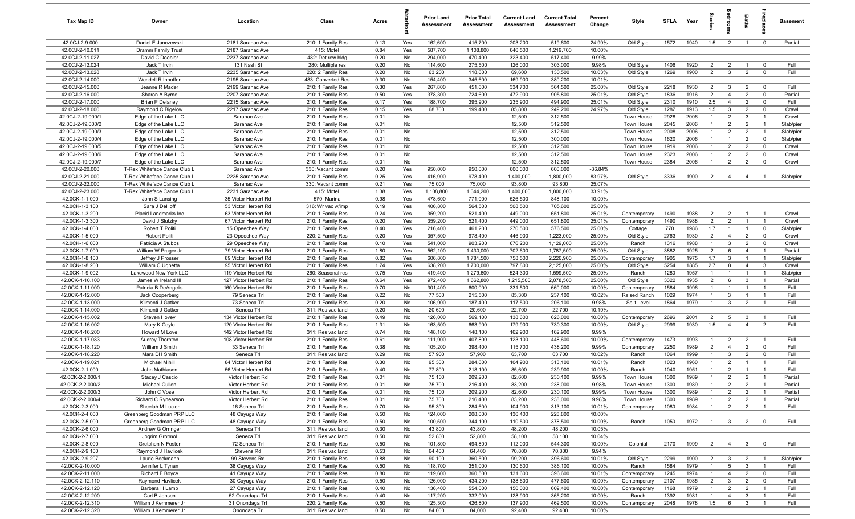| Tax Map ID                         | Owner                                                        | Location                                       | Class                                   | Acres        |            | <b>Prior Land</b><br>Assessment | <b>Prior Total</b><br>Assessment | <b>Current Land</b><br>Assessment | <b>Current Total</b><br>Assessment | Percent<br>Change   | Style              | SFLA         | Year         | ĝ                                | aroo                            | Baths                          | repla                            | <b>Basement</b>    |
|------------------------------------|--------------------------------------------------------------|------------------------------------------------|-----------------------------------------|--------------|------------|---------------------------------|----------------------------------|-----------------------------------|------------------------------------|---------------------|--------------------|--------------|--------------|----------------------------------|---------------------------------|--------------------------------|----------------------------------|--------------------|
| 42.0CJ-2-9.000                     | Daniel E Janczewski                                          | 2181 Saranac Ave                               | 210: 1 Family Res                       | 0.13         | Yes        | 162,600                         | 415,700                          | 203,200                           | 519,600                            | 24.99%              | Old Style          | 1572         | 1940         | 1.5                              | $\overline{2}$                  | $\overline{1}$                 | $\overline{\mathbf{0}}$          | Partial            |
| 42.0CJ-2-10.011                    | Dramm Family Trust                                           | 2187 Saranac Ave                               | 415: Motel                              | 0.84         | Yes        | 587,700                         | 1,108,800                        | 646,500                           | 1,219,700                          | 10.00%              |                    |              |              |                                  |                                 |                                |                                  |                    |
| 42.0CJ-2-11.027                    | David C Doebler                                              | 2237 Saranac Ave                               | 482: Det row bldg                       | 0.20         | No         | 294,000                         | 470,400                          | 323,400                           | 517,400                            | 9.99%               |                    |              |              |                                  |                                 |                                |                                  |                    |
| 42.0CJ-2-12.024                    | Jack T Irvin                                                 | 131 Nash St                                    | 280: Multiple res                       | 0.20         | No         | 114,600                         | 275,500                          | 126,000                           | 303,000                            | 9.98%               | Old Style          | 1406         | 1920         | $\overline{2}$                   | $\overline{2}$                  | $\overline{1}$                 | $\mathbf 0$                      | Full<br>Full       |
| 42.0CJ-2-13.028<br>42.0CJ-2-14.000 | Jack T Irvin<br>Wendell R Inhoffer                           | 2235 Saranac Ave<br>2195 Saranac Ave           | 220: 2 Family Res<br>483: Converted Res | 0.20<br>0.30 | No<br>No   | 63,200<br>154,400               | 118,600<br>345,600               | 69,600<br>169,900                 | 130,500<br>380,200                 | 10.03%<br>10.01%    | Old Style          | 1269         | 1900         | $\overline{2}$                   | $\mathbf{3}$                    | $\overline{2}$                 | $\mathbf 0$                      |                    |
| 42.0CJ-2-15.000                    | Jeanne R Mader                                               | 2199 Saranac Ave                               | 210: 1 Family Res                       | 0.30         | Yes        | 267,800                         | 451,600                          | 334,700                           | 564,500                            | 25.00%              | Old Style          | 2218         | 1930         | $\overline{2}$                   | $\overline{3}$                  | $\overline{2}$                 | $\mathbf 0$                      | Full               |
| 42.0CJ-2-16.000                    | Sharon A Byrne                                               | 2207 Saranac Ave                               | 210: 1 Family Res                       | 0.50         | Yes        | 378,300                         | 724,600                          | 472,900                           | 905,800                            | 25.01%              | Old Style          | 1836         | 1916         | $\overline{2}$                   | $\overline{4}$                  | $\overline{2}$                 | $\mathbf 0$                      | Partial            |
| 42.0CJ-2-17.000                    | <b>Brian P Delaney</b>                                       | 2215 Saranac Ave                               | 210: 1 Family Res                       | 0.17         | Yes        | 188,700                         | 395,900                          | 235,900                           | 494,900                            | 25.01%              | Old Style          | 2310         | 1910         | 2.5                              | $\overline{4}$                  | 2                              | $\mathbf 0$                      | Full               |
| 42.0CJ-2-18.000                    | Raymond C Bigelow                                            | 2217 Saranac Ave                               | 210: 1 Family Res                       | 0.15         | Yes        | 68,700                          | 199,400                          | 85,800                            | 249,200                            | 24.97%              | Old Style          | 1287         | 1913         | 1.5                              | $\mathbf{3}$                    | $\overline{2}$                 | $\mathbf 0$                      | Crawl              |
| 42.0CJ-2-19.000/1                  | Edge of the Lake LLC                                         | Saranac Ave                                    | 210: 1 Family Res                       | 0.01         | No         |                                 |                                  | 12,500                            | 312,500                            |                     | Town House         | 2928         | 2006         | $\overline{1}$                   | $\overline{2}$                  | $\mathbf{3}$                   | $\overline{1}$                   | Crawl              |
| 42.0CJ-2-19.000/2                  | Edge of the Lake LLC                                         | Saranac Ave                                    | 210: 1 Family Res                       | 0.01         | No         |                                 |                                  | 12,500                            | 312,500                            |                     | Town House         | 2045         | 2006         | $\overline{1}$                   | $\overline{2}$                  | $\overline{2}$                 | $\overline{1}$                   | Slab/pier          |
| 42.0CJ-2-19.000/3                  | Edge of the Lake LLC                                         | Saranac Ave                                    | 210: 1 Family Res                       | 0.01         | No         |                                 |                                  | 12,500                            | 312,500                            |                     | Town House         | 2008         | 2006         | $\overline{1}$                   | $\overline{2}$                  | $\overline{2}$                 | $\overline{1}$                   | Slab/pier          |
| 42.0CJ-2-19.000/4                  | Edge of the Lake LLC                                         | Saranac Ave                                    | 210: 1 Family Res                       | 0.01         | No         |                                 |                                  | 12,500                            | 300,000                            |                     | Town House         | 1620         | 2006         | $\overline{1}$                   | -1                              | $\overline{2}$                 | $\mathbf 0$                      | Slab/pier          |
| 42.0CJ-2-19.000/5                  | Edge of the Lake LLC                                         | Saranac Ave                                    | 210: 1 Family Res                       | 0.01         | No         |                                 |                                  | 12,500                            | 312,500                            |                     | Town House         | 1919         | 2006         | $\overline{1}$                   | $\overline{2}$                  | $\overline{2}$                 | $\overline{0}$                   | Crawl              |
| 42.0CJ-2-19.000/6                  | Edge of the Lake LLC                                         | Saranac Ave                                    | 210: 1 Family Res                       | 0.01         | No         |                                 |                                  | 12,500                            | 312,500                            |                     | Town House         | 2323         | 2006         | $\overline{1}$                   | $\overline{2}$                  | $\overline{2}$                 | $\mathbf 0$                      | Crawl              |
| 42.0CJ-2-19.000/7                  | Edge of the Lake LLC                                         | Saranac Ave                                    | 210: 1 Family Res                       | 0.01         | No         |                                 |                                  | 12,500                            | 312,500                            |                     | Town House         | 2384         | 2006         | $\overline{1}$                   | $\overline{2}$                  | $\overline{2}$                 | $\mathbf 0$                      | Crawl              |
| 42.0CJ-2-20.000<br>42.0CJ-2-21.000 | T-Rex Whiteface Canoe Club L                                 | Saranac Ave<br>2225 Saranac Ave                | 330: Vacant comm                        | 0.20         | Yes<br>Yes | 950,000<br>416,900              | 950,000<br>978,400               | 600,000<br>1,400,000              | 600,000<br>1,800,000               | $-36.84%$<br>83.97% |                    | 3336         | 1900         | $\overline{2}$                   |                                 |                                |                                  | Slab/pier          |
| 42.0CJ-2-22.000                    | T-Rex Whiteface Canoe Club L<br>T-Rex Whiteface Canoe Club L | Saranac Ave                                    | 210: 1 Family Res<br>330: Vacant comm   | 0.25<br>0.21 | Yes        | 75,000                          | 75,000                           | 93,800                            | 93,800                             | 25.07%              | Old Style          |              |              |                                  | -4                              | 4                              |                                  |                    |
| 42.0CJ-2-23.000                    | T-Rex Whiteface Canoe Club L                                 | 2231 Saranac Ave                               | 415: Motel                              | 1.38         | Yes        | 1,108,800                       | 1,344,200                        | 1,400,000                         | 1,800,000                          | 33.91%              |                    |              |              |                                  |                                 |                                |                                  |                    |
| 42.0CK-1-1.000                     | John S Lansing                                               | 35 Victor Herbert Rd                           | 570: Marina                             | 0.98         | Yes        | 478,600                         | 771,000                          | 526,500                           | 848,100                            | 10.00%              |                    |              |              |                                  |                                 |                                |                                  |                    |
| 42.0CK-1-3.100                     | Sara J DeHoff                                                | 53 Victor Herbert Rd                           | 316: Wr vac w/imp                       | 0.19         | Yes        | 406,800                         | 564,500                          | 508,500                           | 705,600                            | 25.00%              |                    |              |              |                                  |                                 |                                |                                  |                    |
| 42.0CK-1-3.200                     | Placid Landmarks Inc                                         | 63 Victor Herbert Rd                           | 210: 1 Family Res                       | 0.24         | Yes        | 359,200                         | 521,400                          | 449,000                           | 651,800                            | 25.01%              | Contemporary       | 1490         | 1988         | 2                                | $\overline{2}$                  | $\overline{1}$                 | $\overline{1}$                   | Crawl              |
| 42.0CK-1-3.300                     | David J Slutzky                                              | 67 Victor Herbert Rd                           | 210: 1 Family Res                       | 0.20         | Yes        | 359,200                         | 521,400                          | 449,000                           | 651,800                            | 25.01%              | Contemporary       | 1490         | 1988         | $\overline{2}$                   | $\overline{2}$                  | $\overline{1}$                 | $\overline{1}$                   | Crawl              |
| 42.0CK-1-4.000                     | Robert T Politi                                              | 15 Opeechee Way                                | 210: 1 Family Res                       | 0.40         | Yes        | 216,400                         | 461,200                          | 270,500                           | 576,500                            | 25.00%              | Cottage            | 770          | 1986         | 1.7                              | $\overline{1}$                  | $\overline{1}$                 | $\mathbf 0$                      | Slab/pier          |
| 42.0CK-1-5.000                     | <b>Robert Politi</b>                                         | 23 Opeechee Way                                | 220: 2 Family Res                       | 0.20         | Yes        | 357,500                         | 978,400                          | 446,900                           | 1,223,000                          | 25.00%              | Old Style          | 2763         | 1930         | $\overline{2}$                   | $\overline{4}$                  | 2                              | $\mathbf 0$                      | Crawl              |
| 42.0CK-1-6.000                     | Patricia A Stubbs                                            | 29 Opeechee Way                                | 210: 1 Family Res                       | 0.10         | Yes        | 541,000                         | 903,200                          | 676,200                           | 1,129,000                          | 25.00%              | Ranch              | 1316         | 1988         | $\overline{1}$                   | $\mathbf{3}$                    | $\overline{2}$                 | $\mathbf 0$                      | Crawl              |
| 42.0CK-1-7.000                     | William W Prager Jr                                          | 79 Victor Herbert Rd                           | 210: 1 Family Res                       | 1.80         | Yes        | 562,100                         | 1,430,000                        | 702,600                           | 1,787,500                          | 25.00%              | Old Style          | 3882         | 1925         | $\overline{2}$                   | 6                               | $\overline{4}$                 | $\overline{1}$                   | Partial            |
| 42.0CK-1-8.100                     | Jeffrey J Prosser                                            | 89 Victor Herbert Rd                           | 210: 1 Family Res                       | 0.82         | Yes        | 606,800                         | 1,781,500                        | 758,500                           | 2,226,900                          | 25.00%              | Contemporary       | 1905         | 1975         | 1.7                              | $\mathbf{3}$                    |                                | $\overline{1}$                   | Slab/pier          |
| 42.0CK-1-8.200<br>42.0CK-1-9.002   | William C Ughetta<br>Lakewood New York LLC                   | 95 Victor Herbert Rd                           | 210: 1 Family Res                       | 1.74<br>0.75 | Yes<br>Yes | 638,200<br>419,400              | 1,700,000<br>1,279,600           | 797,800<br>524,300                | 2,125,000<br>1,599,500             | 25.00%<br>25.00%    | Old Style<br>Ranch | 5254<br>1280 | 1885<br>1957 | 2.7<br>$\overline{1}$            | 8<br>-1                         | $\overline{4}$                 | $\mathbf{3}$<br>$\overline{1}$   | Crawl<br>Slab/pier |
| 42.0CK-1-10.100                    | James W Ireland III                                          | 119 Victor Herbert Rd<br>127 Victor Herbert Rd | 260: Seasonal res<br>210: 1 Family Res  | 0.64         | Yes        | 972,400                         | 1,662,800                        | 1,215,500                         | 2,078,500                          | 25.00%              | Old Style          | 3322         | 1935         | $\overline{2}$                   | 6                               | 3                              | $\overline{1}$                   | Partial            |
| 42.0CK-1-11.000                    | Patricia B DeAngelis                                         | 160 Victor Herbert Rd                          | 210: 1 Family Res                       | 0.70         | No         | 301,400                         | 600,000                          | 331,500                           | 660,000                            | 10.00%              | Contemporary       | 1584         | 1996         | $\overline{1}$                   | $\overline{1}$                  | $\overline{1}$                 | $\overline{1}$                   | Full               |
| 42.0CK-1-12.000                    | Jack Cooperberg                                              | 79 Seneca Trl                                  | 210: 1 Family Res                       | 0.22         | No         | 77,500                          | 215,500                          | 85,300                            | 237,100                            | 10.02%              | Raised Ranch       | 1029         | 1974         | $\mathbf{1}$                     | $\mathbf{3}$                    | $\overline{1}$                 | $\overline{1}$                   | Full               |
| 42.0CK-1-13.000                    | Klimenti J Gatker                                            | 73 Seneca Trl                                  | 210: 1 Family Res                       | 0.20         | No         | 106,900                         | 187,400                          | 117,500                           | 206,100                            | 9.98%               | Split Level        | 1864         | 1979         | $\overline{1}$                   | 3                               | $\overline{2}$                 | $\overline{1}$                   | Full               |
| 42.0CK-1-14.000                    | Klimenti J Gatker                                            | Seneca Trl                                     | 311: Res vac land                       | 0.20         | No         | 20,600                          | 20,600                           | 22,700                            | 22,700                             | 10.19%              |                    |              |              |                                  |                                 |                                |                                  |                    |
| 42.0CK-1-15.002                    | Steven Hovey                                                 | 134 Victor Herbert Rd                          | 210: 1 Family Res                       | 0.49         | No         | 126,000                         | 569,100                          | 138,600                           | 626,000                            | 10.00%              | Contemporary       | 2696         | 2001         | $\overline{2}$                   | 5                               | $\mathbf{3}$                   | $\overline{1}$                   | Full               |
| 42.0CK-1-16.002                    | Mary K Coyle                                                 | 120 Victor Herbert Rd                          | 210: 1 Family Res                       | 1.31         | No         | 163,500                         | 663,900                          | 179,900                           | 730,300                            | 10.00%              | Old Style          | 2999         | 1930         | 1.5                              | $\overline{4}$                  | $\overline{4}$                 | $\overline{2}$                   | Full               |
| 42.0CK-1-16.200                    | Howard M Love                                                | 142 Victor Herbert Rd                          | 311: Res vac land                       | 0.74         | No         | 148,100                         | 148,100                          | 162,900                           | 162,900                            | 9.99%               |                    |              |              |                                  |                                 |                                |                                  |                    |
| 42.0CK-1-17.083                    | Audrey Thornton                                              | 108 Victor Herbert Rd                          | 210: 1 Family Res                       | 0.61         | No         | 111,900                         | 407,800                          | 123,100                           | 448,600                            | 10.00%              | Contemporary       | 1473         | 1993         | $\mathbf{1}$                     | $\overline{2}$                  | $\overline{2}$                 | $\overline{1}$                   | Full               |
| 42.0CK-1-18.120                    | William J Smith                                              | 33 Seneca Trl                                  | 210: 1 Family Res                       | 0.38         | No         | 105,200                         | 398,400                          | 115,700                           | 438,200                            | 9.99%               | Contemporary       | 2250         | 1989         | $\overline{2}$                   | $\overline{4}$                  | $\overline{2}$                 | $\mathbf 0$                      | Full               |
| 42.0CK-1-18.220<br>42.0CK-1-19.021 | Mara DH Smith<br><b>Michael Mihill</b>                       | Seneca Trl<br>84 Victor Herbert Rd             | 311: Res vac land<br>210: 1 Family Res  | 0.29<br>0.30 | No<br>No   | 57,900<br>95,300                | 57,900<br>284,600                | 63,700<br>104,900                 | 63,700<br>313,100                  | 10.02%<br>10.01%    | Ranch<br>Ranch     | 1064<br>1023 | 1999<br>1960 | $\overline{1}$<br>$\mathbf{1}$   | 3<br>$\overline{2}$             | $\overline{2}$                 | $\mathbf 0$<br>$\overline{1}$    | Full<br>Full       |
| 42.0CK-2-1.000                     | John Mathiason                                               | 56 Victor Herbert Rd                           | 210: 1 Family Res                       | 0.40         | No         | 77,800                          | 218,100                          | 85,600                            | 239,900                            | 10.00%              | Ranch              | 1040         | 1951         | -1                               | $\overline{2}$                  |                                |                                  | Full               |
| 42.0CK-2-2.000/1                   | Stacey J Cascio                                              | Victor Herbert Rd                              | 210: 1 Family Res                       | 0.01         | No         | 75,100                          | 209,200                          | 82,600                            | 230,100                            | 9.99%               | Town House         | 1300         | 1989         | $\mathbf{1}$                     | $\overline{2}$                  | $\overline{2}$                 | $\overline{1}$                   | Partial            |
| 42.0CK-2-2.000/2                   | Michael Cullen                                               | Victor Herbert Rd                              | 210: 1 Family Res                       | 0.01         | No         | 75,700                          | 216,400                          | 83,200                            | 238,000                            | 9.98%               | Town House         | 1300         | 1989         |                                  | $\overline{2}$                  | $\overline{2}$                 |                                  | Partial            |
| 42.0CK-2-2.000/3                   | John C Vose                                                  | Victor Herbert Rd                              | 210: 1 Family Res                       | 0.01         | No         | 75,100                          | 209,200                          | 82,600                            | 230,100                            | 9.99%               | Town House         | 1300         | 1989         | $\overline{1}$                   | $\overline{2}$                  | $\overline{2}$                 | $\overline{1}$                   | Partial            |
| 42.0CK-2-2.000/4                   | Richard C Rynearson                                          | Victor Herbert Rd                              | 210: 1 Family Res                       | 0.01         | No         | 75,700                          | 216,400                          | 83,200                            | 238,000                            | 9.98%               | Town House         | 1300         | 1989         | $\overline{1}$                   | $\overline{2}$                  | $\overline{2}$                 | $\overline{1}$                   | Partial            |
| 42.0CK-2-3.000                     | Sheelah M Lucier                                             | 16 Seneca Trl                                  | 210: 1 Family Res                       | 0.70         | No         | 95,300                          | 284,600                          | 104,900                           | 313,100                            | 10.01%              | Contemporary       | 1080         | 1984         | $\overline{1}$                   | $\overline{2}$                  | $\overline{2}$                 | $\overline{1}$                   | Full               |
| 42.0CK-2-4.000                     | Greenberg Goodman PRP LLC                                    | 48 Cayuga Way                                  | 210: 1 Family Res                       | 0.50         | No         | 124,000                         | 208,000                          | 136,400                           | 228,800                            | 10.00%              |                    |              |              |                                  |                                 |                                |                                  |                    |
| 42.0CK-2-5.000                     | Greenberg Goodman PRP LLC                                    | 48 Cayuga Way                                  | 210: 1 Family Res                       | 0.50         | No         | 100,500                         | 344,100                          | 110,500                           | 378,500                            | 10.00%              | Ranch              | 1050         | 1972         | $\overline{1}$                   | $\mathbf{3}$                    | $\overline{2}$                 | $\overline{0}$                   | Full               |
| 42.0CK-2-6.000                     | Andrew G Orringer                                            | Seneca Trl                                     | 311: Res vac land                       | 0.30         | No         | 43,800                          | 43,800                           | 48,200                            | 48,200                             | 10.05%              |                    |              |              |                                  |                                 |                                |                                  |                    |
| 42.0CK-2-7.000                     | Jogrim Grotmol                                               | Seneca Trl                                     | 311: Res vac land                       | 0.50         | No         | 52,800                          | 52,800                           | 58,100                            | 58,100                             | 10.04%              |                    |              |              |                                  |                                 |                                |                                  |                    |
| 42.0CK-2-8.000                     | Gretchen N Foster                                            | 72 Seneca Trl                                  | 210: 1 Family Res                       | 0.50         | No         | 101,800                         | 494,800                          | 112,000                           | 544,300                            | 10.00%              | Colonial           | 2170         | 1999         | $\overline{2}$                   | $\overline{4}$                  | 3 <sup>3</sup>                 | $\overline{0}$                   | Full               |
| 42.0CK-2-9.100                     | Raymond J Havlicek                                           | Stevens Rd                                     | 311: Res vac land                       | 0.53         | No         | 64,400                          | 64,400                           | 70,800                            | 70,800                             | 9.94%               |                    |              |              |                                  |                                 |                                |                                  |                    |
| 42.0CK-2-9.207<br>42.0CK-2-10.000  | Laurie Beckmann<br>Jennifer L Tynan                          | 99 Stevens Rd<br>38 Cayuga Way                 | 210: 1 Family Res<br>210: 1 Family Res  | 0.88<br>0.50 | No<br>No   | 90,100<br>118,700               | 360,500<br>351,000               | 99,200<br>130,600                 | 396,600<br>386,100                 | 10.01%<br>10.00%    | Old Style<br>Ranch | 2299<br>1584 | 1900<br>1979 | $\overline{2}$<br>$\overline{1}$ | $\mathbf{3}$<br>$5\overline{5}$ | $\overline{2}$<br>$\mathbf{3}$ | $\overline{1}$<br>$\overline{1}$ | Slab/pier<br>Full  |
| 42.0CK-2-11.000                    | Richard F Boyce                                              | 41 Cayuga Way                                  | 210: 1 Family Res                       | 0.80         | No         | 119,600                         | 360,500                          | 131,600                           | 396,600                            | 10.01%              | Contemporary       | 1245         | 1974         | $\mathbf{1}$                     | $\overline{4}$                  | $\overline{2}$                 | $\overline{\mathbf{0}}$          | Full               |
| 42.0CK-2-12.110                    | Raymond Havlicek                                             | 30 Cayuga Way                                  | 210: 1 Family Res                       | 0.50         | No         | 126,000                         | 434,200                          | 138,600                           | 477,600                            | 10.00%              | Contemporary       | 2107         | 1985         | $\overline{2}$                   | $\mathbf{3}$                    | $\overline{2}$                 | $\mathbf 0$                      | Full               |
| 42.0CK-2-12.120                    | Barbara H Lamb                                               | 27 Cayuga Way                                  | 210: 1 Family Res                       | 0.40         | No         | 136,400                         | 554,000                          | 150,000                           | 609,400                            | 10.00%              | Contemporary       | 1168         | 1979         | $\overline{1}$                   | $\overline{2}$                  | $\overline{2}$                 | $\overline{1}$                   | Full               |
| 42.0CK-2-12.200                    | Carl B Jensen                                                | 52 Onondaga Trl                                | 210: 1 Family Res                       | 0.40         | No         | 117,200                         | 332,000                          | 128,900                           | 365,200                            | 10.00%              | Ranch              | 1392         | 1981         | $\overline{1}$                   | $\overline{4}$                  | $\overline{3}$                 | $\overline{1}$                   | Full               |
| 42.0CK-2-12.310                    | William J Kemmerer Jr                                        | 31 Onondaga Trl                                | 220: 2 Family Res                       | 0.50         | No         | 125,300                         | 426,800                          | 137,900                           | 469,500                            | 10.00%              | Contemporary       | 2048         | 1978         | 1.5                              | 6                               | $\mathbf{3}$                   | $\overline{1}$                   | Full               |
| 42.0CK-2-12.320                    | William J Kemmerer Jr                                        | Onondaga Trl                                   | 311: Res vac land                       | 0.50         | No         | 84,000                          | 84,000                           | 92,400                            | 92,400                             | 10.00%              |                    |              |              |                                  |                                 |                                |                                  |                    |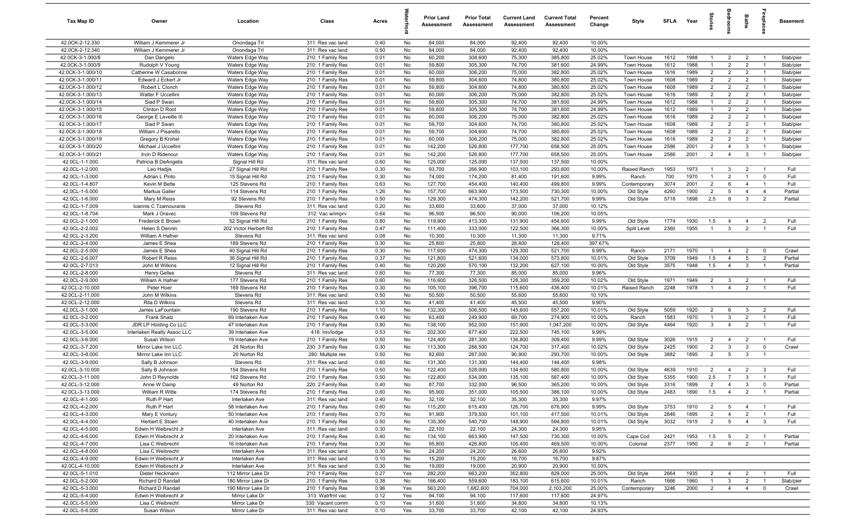| <b>Tax Map ID</b>                    | Owner                                    | Location                            | Class                                  | Acres        |            | <b>Prior Land</b><br>Assessment | <b>Prior Total</b><br>Assessment | <b>Current Land</b><br>Assessment | <b>Current Total</b><br>Assessment | Percent<br>Change | Style                           | SFLA         | Year         | ទ្ធ                              |                                  | Baths                            | repla                            | <b>Basement</b>        |
|--------------------------------------|------------------------------------------|-------------------------------------|----------------------------------------|--------------|------------|---------------------------------|----------------------------------|-----------------------------------|------------------------------------|-------------------|---------------------------------|--------------|--------------|----------------------------------|----------------------------------|----------------------------------|----------------------------------|------------------------|
| 42.0CK-2-12.330                      | William J Kemmerer Jr                    | Onondaga Trl                        | 311: Res vac land                      | 0.40         | No         | 84,000                          | 84,000                           | 92,400                            | 92,400                             | 10.00%            |                                 |              |              |                                  |                                  |                                  |                                  |                        |
| 42.0CK-2-12.340                      | William J Kemmerer Jr                    | Onondaga Trl                        | 311: Res vac land                      | 0.50         | No         | 84,000                          | 84,000                           | 92,400                            | 92,400                             | 10.00%            |                                 |              |              |                                  |                                  |                                  |                                  |                        |
| 42.0CK-3-1.000/8<br>42.0CK-3-1.000/9 | Dan Dangelo                              | Waters Edge Way                     | 210: 1 Family Res<br>210: 1 Family Res | 0.01         | No<br>No   | 60,200<br>59,800                | 308,600<br>305,300               | 75,300<br>74,700                  | 385,800<br>381,600                 | 25.02%<br>24.99%  | <b>Town House</b><br>Town House | 1612<br>1612 | 1988<br>1988 |                                  | $\overline{2}$<br>$\overline{2}$ | $\overline{2}$<br>$\overline{2}$ |                                  | Slab/pier<br>Slab/pier |
| 42.0CK-3-1.000/10                    | Rudolph V Young<br>Catherine W Casabonne | Waters Edge Way<br>Waters Edge Way  | 210: 1 Family Res                      | 0.01<br>0.01 | No         | 60,000                          | 306,200                          | 75,000                            | 382,800                            | 25.02%            | Town House                      | 1616         | 1989         | $\overline{2}$                   | $\overline{2}$                   | $\overline{2}$                   | $\overline{1}$                   | Slab/pier              |
| 42.0CK-3-1.000/11                    | Edward J Eckert Jr                       | Waters Edge Way                     | 210: 1 Family Res                      | 0.01         | No         | 59,800                          | 304,600                          | 74,800                            | 380,800                            | 25.02%            | Town House                      | 1608         | 1989         | $\overline{2}$                   | $\overline{2}$                   | $\overline{2}$                   | $\overline{1}$                   | Slab/pier              |
| 42.0CK-3-1.000/12                    | Robert L Clonch                          | Waters Edge Way                     | 210: 1 Family Res                      | 0.01         | No         | 59,800                          | 304,600                          | 74,800                            | 380,800                            | 25.02%            | Town House                      | 1608         | 1989         | $\overline{2}$                   | $\overline{2}$                   | $\overline{2}$                   | $\overline{1}$                   | Slab/pier              |
| 42.0CK-3-1.000/13                    | Walter F Uccellini                       | Waters Edge Way                     | 210: 1 Family Res                      | 0.01         | No         | 60,000                          | 306,200                          | 75,000                            | 382,800                            | 25.02%            | Town House                      | 1616         | 1989         | $\overline{2}$                   | $\overline{2}$                   | $\overline{2}$                   | $\overline{1}$                   | Slab/pier              |
| 42.0CK-3-1.000/14                    | Siad P Swan                              | Waters Edge Way                     | 210: 1 Family Res                      | 0.01         | No         | 59,800                          | 305,300                          | 74,700                            | 381,600                            | 24.99%            | Town House                      | 1612         | 1988         | $\overline{1}$                   | $\overline{2}$                   | $\overline{2}$                   | $\overline{1}$                   | Slab/pier              |
| 42.0CK-3-1.000/15                    | Clinton D Root                           | Waters Edge Way                     | 210: 1 Family Res                      | 0.01         | No         | 59,800                          | 305,300                          | 74,700                            | 381,600                            | 24.99%            | Town House                      | 1612         | 1989         | $\overline{1}$                   | $\overline{2}$                   | $\overline{2}$                   | $\overline{1}$                   | Slab/pier              |
| 42.0CK-3-1.000/16                    | George E Leveille III                    | Waters Edge Way                     | 210: 1 Family Res                      | 0.01         | No         | 60,000                          | 306,200                          | 75,000                            | 382,800                            | 25.02%            | Town House                      | 1616         | 1989         | $\overline{2}$                   | $\overline{2}$                   | $\overline{2}$                   | $\overline{1}$                   | Slab/pier              |
| 42.0CK-3-1.000/17                    | Siad P Swan                              | Waters Edge Way                     | 210: 1 Family Res                      | 0.01         | No         | 59,700                          | 304,600                          | 74,700                            | 380,800                            | 25.02%            | Town House                      | 1608         | 1989         | $\overline{2}$                   | 2                                | $\overline{2}$                   | $\overline{1}$                   | Slab/pier              |
| 42.0CK-3-1.000/18                    | William J Pisarello                      | Waters Edge Way                     | 210: 1 Family Res                      | 0.01         | No         | 59,700                          | 304,600                          | 74,700                            | 380,800                            | 25.02%            | Town House                      | 1608         | 1989         | $\overline{2}$                   | $\overline{2}$                   | $\overline{2}$                   | -1                               | Slab/pier              |
| 42.0CK-3-1.000/19                    | Gregory B Krohel                         | Waters Edge Way                     | 210: 1 Family Res                      | 0.01         | No         | 60,000                          | 306,200                          | 75,000                            | 382,800                            | 25.02%            | Town House                      | 1616         | 1989         | $\overline{2}$                   | $\overline{2}$                   | $\overline{2}$                   | $\mathbf{1}$                     | Slab/pier              |
| 42.0CK-3-1.000/20                    | Michael J Uccellini                      | Waters Edge Way                     | 210: 1 Family Res                      | 0.01         | No         | 142,200                         | 526,800                          | 177,700                           | 658,500                            | 25.00%            | Town House                      | 2586         | 2001         | $\overline{2}$                   | $\overline{4}$                   | $\mathbf{3}$                     |                                  | Slab/pier              |
| 42.0CK-3-1.000/21                    | Irvin D Ridenour                         | Waters Edge Way                     | 210: 1 Family Res                      | 0.01         | No         | 142,200                         | 526,800                          | 177,700                           | 658,500                            | 25.00%            | Town House                      | 2586         | 2001         | $\overline{2}$                   | $\overline{4}$                   | $\mathbf{3}$                     |                                  | Slab/pier              |
| 42.0CL-1-1.000                       | Patricia B DeAngelis                     | Signal Hill Rd                      | 311: Res vac land                      | 0.60         | No         | 125,000                         | 125,000                          | 137,500                           | 137,500                            | 10.00%            |                                 |              |              |                                  |                                  |                                  |                                  |                        |
| 42.0CL-1-2.000                       | Leo Hadjis                               | 27 Signal Hill Rd                   | 210: 1 Family Res                      | 0.30         | No<br>No   | 93,700                          | 266,900                          | 103,100                           | 293,600                            | 10.00%<br>9.99%   | Raised Ranch<br>Ranch           | 1953<br>700  | 1973<br>1970 | $\mathbf{1}$<br>$\overline{1}$   | $\mathbf{3}$<br>$\overline{2}$   | $\overline{2}$<br>$\overline{1}$ | $\mathbf{0}$                     | Full<br>Full           |
| 42.0CL-1-3.000<br>42.0CL-1-4.807     | Adrian L Pinto<br>Kevin M Bette          | 15 Signal Hill Rd<br>125 Stevens Rd | 210: 1 Family Res<br>210: 1 Family Res | 0.30<br>0.63 | No         | 74,000<br>127,700               | 174,200<br>454,400               | 81,400<br>140,400                 | 191,600<br>499,800                 | 9.99%             | Contemporary                    | 3074         | 2001         | $\overline{2}$                   | 6                                | $\overline{4}$                   | $\overline{1}$                   | Full                   |
| 42.0CL-1-5.000                       | Markus Galler                            | 114 Stevens Rd                      | 210: 1 Family Res                      | 1.26         | No         | 157,700                         | 663,900                          | 173,500                           | 730,300                            | 10.00%            | Old Style                       | 4260         | 1900         | $\overline{2}$                   | $5\overline{5}$                  | $\overline{4}$                   | $\overline{4}$                   | Partial                |
| 42.0CL-1-6.000                       | Mary M Reiss                             | 92 Stevens Rd                       | 210: 1 Family Res                      | 0.50         | No         | 129,300                         | 474,300                          | 142,200                           | 521,700                            | 9.99%             | Old Style                       | 5718         | 1898         | 2.5                              | 8                                | $\mathbf{3}$                     | $\overline{2}$                   | Partial                |
| 42.0CL-1-7.009                       | Ioannis C Tzamouranis                    | Stevens Rd                          | 311: Res vac land                      | 0.20         | No         | 33,600                          | 33,600                           | 37,000                            | 37,000                             | 10.12%            |                                 |              |              |                                  |                                  |                                  |                                  |                        |
| 42.0CL-1-8.704                       | Mark J Oravec                            | 109 Stevens Rd                      | 312: Vac w/imprv                       | 0.64         | No         | 96,500                          | 96,500                           | 90,000                            | 106,200                            | 10.05%            |                                 |              |              |                                  |                                  |                                  |                                  |                        |
| 42.0CL-2-1.000                       | Frederick E Brown                        | 52 Signal Hill Rd                   | 210: 1 Family Res                      | 0.80         | No         | 119,900                         | 413,300                          | 131,900                           | 454,600                            | 9.99%             | Old Style                       | 1774         | 1930         | 1.5                              | $\overline{4}$                   | $\overline{4}$                   | $\overline{2}$                   | Full                   |
| 42.0CL-2-2.002                       | Helen S Dennin                           | 202 Victor Herbert Rd               | 210: 1 Family Res                      | 0.47         | No         | 111,400                         | 333,000                          | 122,500                           | 366,300                            | 10.00%            | Split Level                     | 2360         | 1955         | $\mathbf{1}$                     | $\mathbf{3}$                     | $\overline{2}$                   |                                  | Full                   |
| 42.0CL-2-3.200                       | William A Hafner                         | Stevens Rd                          | 311: Res vac land                      | 0.08         | No         | 10,300                          | 10,300                           | 11,300                            | 11,300                             | 9.71%             |                                 |              |              |                                  |                                  |                                  |                                  |                        |
| 42.0CL-2-4.000                       | James E Shea                             | 189 Stevens Rd                      | 210: 1 Family Res                      | 0.30         | No         | 25,800                          | 25,800                           | 28,400                            | 128,400                            | 397.67%           |                                 |              |              |                                  |                                  |                                  |                                  |                        |
| 42.0CL-2-5.000                       | James E Shea                             | 40 Signal Hill Rd                   | 210: 1 Family Res                      | 0.30         | No         | 117,600                         | 474,300                          | 129,300                           | 521,700                            | 9.99%             | Ranch                           | 2171         | 1970         |                                  | $\overline{4}$                   | $\overline{2}$                   | $\mathbf 0$                      | Crawl                  |
| 42.0CL-2-6.007                       | <b>Robert R Reiss</b>                    | 36 Signal Hill Rd                   | 210: 1 Family Res                      | 0.37         | No         | 121,800                         | 521,600                          | 134,000                           | 573,800                            | 10.01%            | Old Style                       | 3709         | 1949         | 1.5                              | $\overline{4}$                   | 5                                | $\overline{2}$                   | Partial                |
| 42.0CL-2-7.013                       | John M Wilkins                           | 12 Signal Hill Rd                   | 210: 1 Family Res                      | 0.40         | No         | 120,200                         | 570,100                          | 132,200                           | 627,100                            | 10.00%            | Old Style                       | 3575         | 1948         | 1.5                              | $\overline{4}$                   | $\mathbf{3}$                     | $\overline{1}$                   | Partial                |
| 42.0CL-2-8.000                       | <b>Henry Gelles</b>                      | Stevens Rd                          | 311: Res vac land                      | 0.60         | No         | 77,300                          | 77,300                           | 85,000                            | 85,000                             | 9.96%             |                                 |              |              |                                  |                                  |                                  |                                  |                        |
| 42.0CL-2-9.000<br>42.0CL-2-10.000    | William A Hafner                         | 177 Stevens Rd                      | 210: 1 Family Res                      | 0.60         | No<br>No   | 116,600                         | 326,500                          | 128,300                           | 359,200                            | 10.02%            | Old Style                       | 1971<br>2248 | 1949<br>1978 | $\overline{2}$<br>$\overline{1}$ | $\mathbf{3}$<br>$\overline{4}$   | $\overline{2}$<br>$\overline{2}$ | $\overline{1}$<br>$\overline{1}$ | Full<br>Full           |
| 42.0CL-2-11.000                      | Peter Hoer<br>John M Wilkins             | 169 Stevens Rd<br>Stevens Rd        | 210: 1 Family Res<br>311: Res vac land | 0.30<br>0.50 | No         | 105,100<br>50,500               | 396,700<br>50,500                | 115,600<br>55,600                 | 436,400<br>55,600                  | 10.01%<br>10.10%  | Raised Ranch                    |              |              |                                  |                                  |                                  |                                  |                        |
| 42.0CL-2-12.000                      | Rita D Wilkins                           | Stevens Rd                          | 311: Res vac land                      | 0.30         | No         | 41,400                          | 41,400                           | 45,500                            | 45,500                             | 9.90%             |                                 |              |              |                                  |                                  |                                  |                                  |                        |
| 42.0CL-3-1.000                       | James LaFountain                         | 190 Stevens Rd                      | 210: 1 Family Res                      | 1.10         | No         | 132,300                         | 506,500                          | 145,600                           | 557,200                            | 10.01%            | Old Style                       | 5059         | 1920         | $\overline{2}$                   | 6                                | $\mathbf{3}$                     | 2                                | Full                   |
| 42.0CL-3-2.000                       | <b>Frank Shatz</b>                       | 69 Interlaken Ave                   | 210: 1 Family Res                      | 0.40         | No         | 63,400                          | 249,900                          | 69,700                            | 274,900                            | 10.00%            | Ranch                           | 1583         | 1970         | $\mathbf{1}$                     | $\mathbf{3}$                     | $\overline{2}$                   | $\overline{1}$                   | Full                   |
| 42.0CL-3-3.000                       | JDR LP Holding Co LLC                    | 47 Interlaken Ave                   | 210: 1 Family Res                      | 0.80         | No         | 138,100                         | 952,000                          | 151,900                           | 1,047,200                          | 10.00%            | Old Style                       | 4464         | 1920         | 3                                | $\overline{4}$                   | $\overline{2}$                   |                                  | Full                   |
| 42.0CL-3-5.000                       | Interlaken Realty Assoc LLC              | 39 Interlaken Ave                   | 418: Inn/lodge                         | 0.53         | No         | 202,300                         | 677,400                          | 222,500                           | 745,100                            | 9.99%             |                                 |              |              |                                  |                                  |                                  |                                  |                        |
| 42.0CL-3-6.000                       | Susan Wilson                             | 19 Interlaken Ave                   | 210: 1 Family Res                      | 0.50         | No         | 124,400                         | 281,300                          | 136,800                           | 309,400                            | 9.99%             | Old Style                       | 3026         | 1915         | $\overline{2}$                   | $\overline{4}$                   | $\overline{2}$                   | $\overline{1}$                   | Full                   |
| 42.0CL-3-7.200                       | Mirror Lake Inn LLC                      | 28 Norton Rd                        | 230: 3 Family Res                      | 0.30         | No         | 113,300                         | 288,500                          | 124,700                           | 317,400                            | 10.02%            | Old Style                       | 2425         | 1900         | $\overline{2}$                   | $\mathbf{3}$                     | $\mathbf{3}$                     | $\mathbf 0$                      | Crawl                  |
| 42.0CL-3-8.000                       | Mirror Lake Inn LLC                      | 20 Norton Rd                        | 280: Multiple res                      | 0.50         | No         | 82,600                          | 267,000                          | 90,900                            | 293,700                            | 10.00%            | Old Style                       | 3882         | 1895         | $\overline{2}$                   | 5                                | $\mathbf{3}$                     | $\overline{1}$                   |                        |
| 42.0CL-3-9.000                       | Sally B Johnson                          | Stevens Rd                          | 311: Res vac land                      | 0.60         | No         | 131,300                         | 131,300                          | 144,400                           | 144,400                            | 9.98%             |                                 |              |              |                                  |                                  |                                  |                                  |                        |
| 42.0CL-3-10.000                      | Sally B Johnson                          | 154 Stevens Rd                      | 210: 1 Family Res                      | 0.50         | No         | 122,400                         | 528,000                          | 134,600                           | 580,800                            | 10.00%            | Old Style                       | 4639         | 1910         | $\overline{2}$                   | $\overline{4}$                   | $\overline{2}$                   | $\mathbf{3}$                     | Full                   |
| 42.0CL-3-11.000                      | John D Reynolds                          | 162 Stevens Rd                      | 210: 1 Family Res                      | 0.50         | No         | 122,800                         | 534,000                          | 135,100                           | 587,400                            | 10.00%            | Old Style                       | 5355         | 1900         | 2.5                              | $\overline{7}$                   | $\mathbf{3}$                     | $\overline{1}$                   | Full                   |
| 42.0CL-3-12.000                      | Anne W Damp                              | 49 Norton Rd                        | 220: 2 Family Res                      | 0.40         | <b>No</b>  | 87,700                          | 332,000                          | 96,500                            | 365,200                            | 10.00%            | Old Style                       | 3316         | 1899         | 2                                | $\overline{4}$                   | $\mathcal{R}$                    | $\Omega$<br>$\overline{1}$       | Partial<br>Partial     |
| 42.0CL-3-13.000<br>42.0CL-4-1.000    | William R Witte<br>Ruth P Hart           | 174 Stevens Rd<br>Interlaken Ave    | 210: 1 Family Res<br>311: Res vac land | 0.60<br>0.40 | No<br>No   | 95,900<br>32,100                | 351,000<br>32,100                | 105,500<br>35,300                 | 386,100<br>35,300                  | 10.00%<br>9.97%   | Old Style                       | 2483         | 1890         | 1.5                              | $\overline{4}$                   | $\overline{2}$                   |                                  |                        |
| 42.0CL-4-2.000                       | Ruth P Hart                              | 58 Interlaken Ave                   | 210: 1 Family Res                      | 0.60         | No         | 115,200                         | 615,400                          | 126,700                           | 676,900                            | 9.99%             | Old Style                       | 3753         | 1910         | $\overline{2}$                   | 5                                | $\overline{4}$                   | $\overline{1}$                   | Full                   |
| 42.0CL-4-3.000                       | Mary E Vontury                           | 50 Interlaken Ave                   | 210: 1 Family Res                      | 0.70         | No         | 91,900                          | 379,500                          | 101,100                           | 417,500                            | 10.01%            | Old Style                       | 2846         | 1895         | $\overline{2}$                   | $\overline{4}$                   | $\overline{2}$                   | $\overline{1}$                   | Full                   |
| 42.0CL-4-4.000                       | Herbert E Stoerr                         | 40 Interlaken Ave                   | 210: 1 Family Res                      | 0.50         | No         | 135,300                         | 540,700                          | 148,900                           | 594,800                            | 10.01%            | Old Style                       | 3032         | 1915         | $\overline{2}$                   | $5\overline{5}$                  | $\overline{4}$                   | $\mathbf{3}$                     | Full                   |
| 42.0CL-4-5.000                       | Edwin H Weibrecht Jr                     | Interlaken Ave                      | 311: Res vac land                      | 0.30         | No         | 22,100                          | 22,100                           | 24,300                            | 24,300                             | 9.95%             |                                 |              |              |                                  |                                  |                                  |                                  |                        |
| 42.0CL-4-6.000                       | Edwin H Weibrecht Jr                     | 20 Interlaken Ave                   | 210: 1 Family Res                      | 0.40         | No         | 134,100                         | 663,900                          | 147,500                           | 730,300                            | 10.00%            | Cape Cod                        | 2421         | 1953         | 1.5                              | 5                                | $\overline{2}$                   | $\overline{1}$                   | Partial                |
| 42.0CL-4-7.000                       | Lisa C Weibrecht                         | 16 Interlaken Ave                   | 210: 1 Family Res                      | 0.30         | No         | 95,800                          | 426,800                          | 105,400                           | 469,500                            | 10.00%            | Colonial                        | 2377         | 1950         | $\overline{2}$                   | 6                                | $\overline{2}$                   | $\overline{1}$                   | Partial                |
| 42.0CL-4-8.000                       | Lisa C Weibrecht                         | <b>Interlaken Ave</b>               | 311: Res vac land                      | 0.30         | No         | 24,200                          | 24,200                           | 26,600                            | 26,600                             | 9.92%             |                                 |              |              |                                  |                                  |                                  |                                  |                        |
| 42.0CL-4-9.000                       | Edwin H Weibrecht Jr                     | Interlaken Ave                      | 311: Res vac land                      | 0.10         | No         | 15,200                          | 15,200                           | 16,700                            | 16,700                             | 9.87%             |                                 |              |              |                                  |                                  |                                  |                                  |                        |
| 42.0CL-4-10.000                      | Edwin H Weibrecht Jr                     | Interlaken Ave                      | 311: Res vac land                      | 0.30         | No         | 19,000                          | 19,000                           | 20,900                            | 20,900                             | 10.00%            |                                 |              |              |                                  |                                  |                                  |                                  |                        |
| 42.0CL-5-1.010                       | Dieter Heckmann                          | 112 Mirror Lake Dr                  | 210: 1 Family Res                      | 0.27         | Yes        | 282,200                         | 663,200                          | 352,800                           | 829,000                            | 25.00%            | Old Style                       | 2664         | 1935         | $\overline{2}$                   | $\overline{4}$                   | $\overline{2}$                   | $\overline{1}$                   | Full                   |
| 42.0CL-5-2.000                       | Richard D Randall                        | 180 Mirror Lake Dr                  | 210: 1 Family Res                      | 0.38         | No         | 166,400                         | 559,600                          | 183,100                           | 615,600                            | 10.01%            | Ranch                           | 1666         | 1960         | $\overline{1}$                   | $\mathbf{3}$                     | $\overline{2}$                   | $\overline{1}$                   | Slab/pier              |
| 42.0CL-5-3.000                       | Richard D Randall                        | 190 Mirror Lake Dr                  | 210: 1 Family Res                      | 0.96         | Yes        | 563,200                         | 1,682,600                        | 704,000                           | 2,103,200                          | 25.00%            | Contemporary                    | 3246         | 2000         | $\overline{2}$                   | $\overline{4}$                   | $\overline{4}$                   | $\mathbf 0$                      | Crawl                  |
| 42.0CL-5-4.000                       | Edwin H Weibrecht Jr                     | Mirror Lake Dr                      | 313: Watrfrnt vac                      | 0.12         | Yes        | 94,100                          | 94,100                           | 117,600                           | 117,600                            | 24.97%            |                                 |              |              |                                  |                                  |                                  |                                  |                        |
| 42.0CL-5-5.000<br>42.0CL-5-6.000     | Lisa C Weibrecht<br>Susan Wilson         | Mirror Lake Dr<br>Mirror Lake Dr    | 330: Vacant comm<br>311: Res vac land  | 0.10<br>0.10 | Yes<br>Yes | 31,600<br>33,700                | 31,600<br>33,700                 | 34,800<br>42,100                  | 34,800<br>42,100                   | 10.13%<br>24.93%  |                                 |              |              |                                  |                                  |                                  |                                  |                        |
|                                      |                                          |                                     |                                        |              |            |                                 |                                  |                                   |                                    |                   |                                 |              |              |                                  |                                  |                                  |                                  |                        |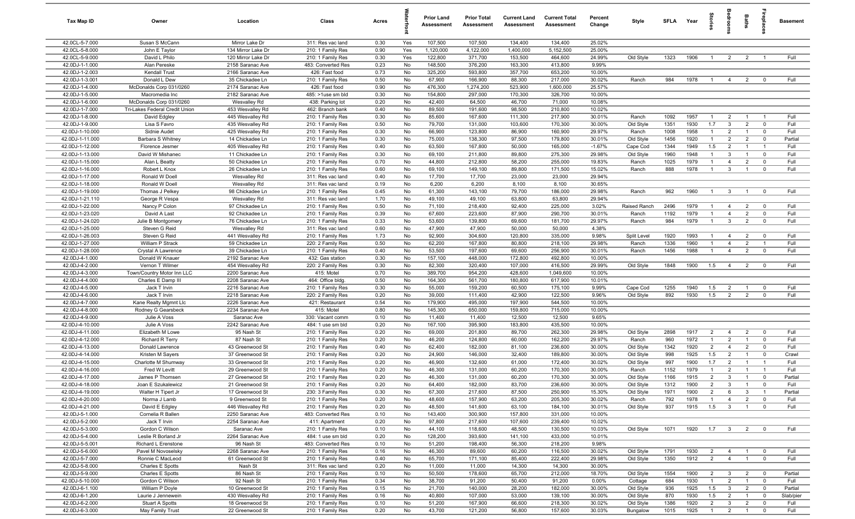| Tax Map ID                         | Owner                                   | Location                             | Class                                  | Acres        |          | <b>Prior Land</b><br>Assessment | <b>Prior Total</b><br>Assessment | <b>Current Land</b><br>Assessment | <b>Current Total</b><br>Assessment | Percent<br>Change | Style                 | <b>SFLA</b>  | Year         | tories                           | drooms                         | <b>Baths</b>                     | repla                         | <b>Basement</b> |
|------------------------------------|-----------------------------------------|--------------------------------------|----------------------------------------|--------------|----------|---------------------------------|----------------------------------|-----------------------------------|------------------------------------|-------------------|-----------------------|--------------|--------------|----------------------------------|--------------------------------|----------------------------------|-------------------------------|-----------------|
| 42.0CL-5-7.000                     | Susan S McCann                          | Mirror Lake Dr                       | 311: Res vac land                      | 0.30         | Yes      | 107,500                         | 107,500                          | 134,400                           | 134,400                            | 25.02%            |                       |              |              |                                  |                                |                                  |                               |                 |
| 42.0CL-5-8.000                     | John E Taylor                           | 134 Mirror Lake Dr                   | 210: 1 Family Res                      | 0.90         | Yes      | 1,120,000                       | 4,122,000                        | 1,400,000                         | 5,152,500                          | 25.00%            |                       |              |              |                                  |                                |                                  |                               |                 |
| 42.0CL-5-9.000                     | David L Philo                           | 120 Mirror Lake Dr                   | 210: 1 Family Res                      | 0.30         | Yes      | 122,800                         | 371,700                          | 153,500                           | 464,600                            | 24.99%            | Old Style             | 1323         | 1906         | $\overline{1}$                   | $\overline{2}$                 | 2                                | $\overline{1}$                | Full            |
| 42.0DJ-1-1.000                     | Alan Pereske                            | 2158 Saranac Ave                     | 483: Converted Res                     | 0.23         | No       | 148,500                         | 376,200                          | 163,300                           | 413,800                            | 9.99%             |                       |              |              |                                  |                                |                                  |                               |                 |
| 42.0DJ-1-2.003                     | Kendall Trust                           | 2166 Saranac Ave                     | 426: Fast food                         | 0.73         | No       | 325,200                         | 593,800                          | 357,700                           | 653,200                            | 10.00%            | Ranch                 | 984          | 1978         | $\overline{1}$                   |                                | $\overline{2}$                   |                               | Full            |
| 42.0DJ-1-3.001<br>42.0DJ-1-4.000   | Donald L Dew<br>McDonalds Corp 031/0260 | 35 Chickadee Ln<br>2174 Saranac Ave  | 210: 1 Family Res<br>426: Fast food    | 0.50<br>0.90 | No<br>No | 67,900<br>476,300               | 166,900<br>1,274,200             | 88,300<br>523,900                 | 217,000<br>1,600,000               | 30.02%<br>25.57%  |                       |              |              |                                  | $\overline{4}$                 |                                  | $\mathbf 0$                   |                 |
| 42.0DJ-1-5.000                     | Macromedia Inc                          | 2182 Saranac Ave                     | 485: >1use sm bld                      | 0.30         | No       | 154,800                         | 297,000                          | 170,300                           | 326,700                            | 10.00%            |                       |              |              |                                  |                                |                                  |                               |                 |
| 42.0DJ-1-6.000                     | McDonalds Corp 031/0260                 | Wesvalley Rd                         | 438: Parking lot                       | 0.20         | No       | 42,400                          | 64,500                           | 46,700                            | 71,000                             | 10.08%            |                       |              |              |                                  |                                |                                  |                               |                 |
| 42.0DJ-1-7.000                     | Tri-Lakes Federal Credit Union          | 453 Wesvalley Rd                     | 462: Branch bank                       | 0.40         | No       | 89,500                          | 191,600                          | 98,500                            | 210,800                            | 10.02%            |                       |              |              |                                  |                                |                                  |                               |                 |
| 42.0DJ-1-8.000                     | David Edgley                            | 445 Wesvalley Rd                     | 210: 1 Family Res                      | 0.30         | No       | 85,600                          | 167,600                          | 111,300                           | 217,900                            | 30.01%            | Ranch                 | 1092         | 1957         | $\overline{1}$                   | $\overline{2}$                 | $\overline{1}$                   | $\overline{1}$                | Full            |
| 42.0DJ-1-9.000                     | Lisa S Favro                            | 435 Wesvalley Rd                     | 210: 1 Family Res                      | 0.50         | No       | 79,700                          | 131,000                          | 103,600                           | 170,300                            | 30.00%            | Old Style             | 1351         | 1930         | 1.7                              | $\mathbf{3}$                   | $\overline{2}$                   | $\overline{0}$                | Full            |
| 42.0DJ-1-10.000                    | Sidnie Audet                            | 425 Wesvalley Rd                     | 210: 1 Family Res                      | 0.30         | No       | 66,900                          | 123,800                          | 86,900                            | 160,900                            | 29.97%            | Ranch                 | 1008         | 1958         | $\overline{1}$                   | $\overline{2}$                 | $\overline{1}$                   | $\mathbf 0$                   | Full            |
| 42.0DJ-1-11.000                    | Barbara S Whitney                       | 14 Chickadee Ln                      | 210: 1 Family Res                      | 0.30         | No       | 75,000                          | 138,300                          | 97,500                            | 179,800                            | 30.01%            | Old Style             | 1456         | 1920         | $\overline{1}$                   | 2                              | $\overline{2}$                   | $\mathbf 0$                   | Partial         |
| 42.0DJ-1-12.000                    | Florence Jesmer                         | 405 Wesvalley Rd                     | 210: 1 Family Res                      | 0.40         | No       | 63,500                          | 167,800                          | 50,000                            | 165,000                            | $-1.67%$          | Cape Cod              | 1344         | 1949         | 1.5                              | $\overline{2}$                 | $\overline{1}$                   | $\overline{1}$                | Full            |
| 42.0DJ-1-13.000                    | David W Mishanec                        | 11 Chickadee Ln                      | 210: 1 Family Res                      | 0.30         | No       | 69,100                          | 211,800                          | 89,800                            | 275,300                            | 29.98%            | Old Style             | 1960         | 1948         | $\overline{1}$                   | $\mathbf{3}$                   | $\overline{1}$                   | $\mathbf 0$                   | Full            |
| 42.0DJ-1-15.000                    | Alan L Beatty                           | 50 Chickadee Ln                      | 210: 1 Family Res                      | 0.70         | No       | 44,800                          | 212,800                          | 58,200                            | 255,000                            | 19.83%            | Ranch                 | 1025         | 1979         | $\overline{1}$                   | $\overline{4}$                 | $\overline{2}$                   | $\mathbf 0$                   | Full            |
| 42.0DJ-1-16.000                    | Robert L Knox                           | 26 Chickadee Ln                      | 210: 1 Family Res                      | 0.60         | No       | 69,100                          | 149,100                          | 89,800                            | 171,500                            | 15.02%            | Ranch                 | 888          | 1978         | $\overline{1}$                   | $\mathbf{3}$                   | $\overline{1}$                   | $\mathbf 0$                   | Full            |
| 42.0DJ-1-17.000                    | Ronald W Doell                          | Wesvalley Rd                         | 311: Res vac land                      | 0.40         | No       | 17,700                          | 17,700                           | 23,000                            | 23,000                             | 29.94%            |                       |              |              |                                  |                                |                                  |                               |                 |
| 42.0DJ-1-18.000                    | Ronald W Doell                          | Wesvalley Rd                         | 311: Res vac land                      | 0.19         | No       | 6,200                           | 6,200                            | 8,100                             | 8,100                              | 30.65%            |                       |              | 1960         | $\overline{1}$                   |                                | $\overline{1}$                   |                               | Full            |
| 42.0DJ-1-19.000<br>42.0DJ-1-21.110 | Thomas J Pelkey<br>George R Vespa       | 98 Chickadee Ln<br>Wesvalley Rd      | 210: 1 Family Res<br>311: Res vac land | 0.45<br>1.70 | No<br>No | 61,300<br>49,100                | 143,100<br>49,100                | 79,700<br>63,800                  | 186,000<br>63,800                  | 29.98%<br>29.94%  | Ranch                 | 962          |              |                                  | $\mathbf{3}$                   |                                  | $\mathbf 0$                   |                 |
| 42.0DJ-1-22.000                    | Nancy P Colon                           | 97 Chickadee Ln                      | 210: 1 Family Res                      | 0.50         | No       | 71,100                          | 218,400                          | 92,400                            | 225,000                            | 3.02%             | Raised Ranch          | 2496         | 1979         | $\overline{1}$                   | $\overline{4}$                 | $\overline{2}$                   | $\overline{\mathbf{0}}$       | Full            |
| 42.0DJ-1-23.020                    | David A Last                            | 92 Chickadee Ln                      | 210: 1 Family Res                      | 0.39         | No       | 67,600                          | 223,600                          | 87,900                            | 290,700                            | 30.01%            | Ranch                 | 1192         | 1979         | $\overline{1}$                   | $\overline{4}$                 | $\overline{2}$                   | $\mathbf 0$                   | Full            |
| 42.0DJ-1-24.020                    | Julie B Montgomery                      | 76 Chickadee Ln                      | 210: 1 Family Res                      | 0.33         | No       | 53,600                          | 139,800                          | 69,600                            | 181,700                            | 29.97%            | Ranch                 | 984          | 1979         | $\overline{1}$                   | $\overline{3}$                 | $\overline{2}$                   | $\mathbf 0$                   | Full            |
| 42.0DJ-1-25.000                    | Steven G Reid                           | Wesvalley Rd                         | 311: Res vac land                      | 0.60         | No       | 47,900                          | 47,900                           | 50,000                            | 50,000                             | 4.38%             |                       |              |              |                                  |                                |                                  |                               |                 |
| 42.0DJ-1-26.003                    | Steven G Reid                           | 441 Wesvalley Rd                     | 210: 1 Family Res                      | 1.73         | No       | 92,900                          | 304,600                          | 120,800                           | 335,000                            | 9.98%             | Split Level           | 1920         | 1993         | $\overline{1}$                   | $\overline{4}$                 | $\overline{2}$                   | $\mathbf 0$                   | Full            |
| 42.0DJ-1-27.000                    | William P Strack                        | 59 Chickadee Ln                      | 220: 2 Family Res                      | 0.50         | No       | 62,200                          | 167,800                          | 80,800                            | 218,100                            | 29.98%            | Ranch                 | 1336         | 1960         | $\overline{1}$                   | $\overline{4}$                 | $\overline{2}$                   | $\overline{1}$                | Full            |
| 42.0DJ-1-28.000                    | Crystal A Lawrence                      | 39 Chickadee Ln                      | 210: 1 Family Res                      | 0.40         | No       | 53,500                          | 197,600                          | 69,600                            | 256,900                            | 30.01%            | Ranch                 | 1456         | 1988         | $\overline{1}$                   | $\overline{4}$                 | $\overline{2}$                   | $\mathbf 0$                   | Full            |
| 42.0DJ-4-1.000                     | Donald W Knauer                         | 2192 Saranac Ave                     | 432: Gas station                       | 0.30         | No       | 157,100                         | 448,000                          | 172,800                           | 492,800                            | 10.00%            |                       |              |              |                                  |                                |                                  |                               |                 |
| 42.0DJ-4-2.000                     | Vernon T Wilmer                         | 454 Wesvalley Rd                     | 220: 2 Family Res                      | 0.30         | No       | 82,300                          | 320,400                          | 107,000                           | 416,500                            | 29.99%            | Old Style             | 1848         | 1900         | 1.5                              | $\overline{4}$                 | $\overline{2}$                   | $\overline{0}$                | Full            |
| 42.0DJ-4-3.000                     | Town/Country Motor Inn LLC              | 2200 Saranac Ave                     | 415: Motel                             | 0.70         | No       | 389,700                         | 954,200                          | 428,600                           | 1,049,600                          | 10.00%            |                       |              |              |                                  |                                |                                  |                               |                 |
| 42.0DJ-4-4.000                     | Charles E Damp III                      | 2208 Saranac Ave                     | 464: Office bldg.                      | 0.50         | No       | 164,300                         | 561,700                          | 180,800                           | 617,900                            | 10.01%            |                       |              |              |                                  |                                |                                  |                               |                 |
| 42.0DJ-4-5.000<br>42.0DJ-4-6.000   | Jack T Irvin                            | 2216 Saranac Ave                     | 210: 1 Family Res                      | 0.30         | No       | 55,000                          | 159,200                          | 60,500                            | 175,100                            | 9.99%<br>9.96%    | Cape Cod              | 1255<br>892  | 1940<br>1930 | 1.5                              | $\overline{2}$                 | $\overline{1}$<br>$\overline{2}$ | $\mathbf 0$                   | Full<br>Full    |
| 42.0DJ-4-7.000                     | Jack T Irvin<br>Kane Realty Mgmnt Llc   | 2218 Saranac Ave<br>2226 Saranac Ave | 220: 2 Family Res<br>421: Restaurant   | 0.20<br>0.54 | No<br>No | 39,000<br>179,900               | 111,400<br>495,000               | 42,900<br>197,900                 | 122,500<br>544,500                 | 10.00%            | Old Style             |              |              | 1.5                              | $\overline{2}$                 |                                  | $\mathbf 0$                   |                 |
| 42.0DJ-4-8.000                     | Rodney G Gearsbeck                      | 2234 Saranac Ave                     | 415: Motel                             | 0.80         | No       | 145,300                         | 650,000                          | 159,800                           | 715,000                            | 10.00%            |                       |              |              |                                  |                                |                                  |                               |                 |
| 42.0DJ-4-9.000                     | Julie A Voss                            | Saranac Ave                          | 330: Vacant comm                       | 0.10         | No       | 11,400                          | 11,400                           | 12,500                            | 12,500                             | 9.65%             |                       |              |              |                                  |                                |                                  |                               |                 |
| 42.0DJ-4-10.000                    | Julie A Voss                            | 2242 Saranac Ave                     | 484: 1 use sm bld                      | 0.20         | No       | 167,100                         | 395,900                          | 183,800                           | 435,500                            | 10.00%            |                       |              |              |                                  |                                |                                  |                               |                 |
| 42.0DJ-4-11.000                    | Elizabeth M Lowe                        | 95 Nash St                           | 210: 1 Family Res                      | 0.20         | No       | 69,000                          | 201,800                          | 89,700                            | 262,300                            | 29.98%            | Old Style             | 2898         | 1917         | $\overline{2}$                   | $\overline{4}$                 | $\overline{2}$                   | $\mathbf 0$                   | Full            |
| 42.0DJ-4-12.000                    | <b>Richard R Terry</b>                  | 87 Nash St                           | 210: 1 Family Res                      | 0.20         | No       | 46,200                          | 124,800                          | 60,000                            | 162,200                            | 29.97%            | Ranch                 | 960          | 1972         | $\overline{1}$                   | 2                              | $\overline{1}$                   | $\mathbf 0$                   | Full            |
| 42.0DJ-4-13.000                    | Donald Lawrence                         | 43 Greenwood St                      | 210: 1 Family Res                      | 0.40         | No       | 62,400                          | 182,000                          | 81,100                            | 236,600                            | 30.00%            | Old Style             | 1342         | 1920         | $\overline{2}$                   | $\overline{4}$                 | $\overline{2}$                   | $\mathbf 0$                   | Full            |
| 42.0DJ-4-14.000                    | Kristen M Sayers                        | 37 Greenwood St                      | 210: 1 Family Res                      | 0.20         | No       | 24,900                          | 146,000                          | 32,400                            | 189,800                            | 30.00%            | Old Style             | 998          | 1925         | 1.5                              | $\overline{2}$                 | $\overline{1}$                   | $\mathbf 0$                   | Crawl           |
| 42.0DJ-4-15.000                    | Charlotte M Shumway                     | 33 Greenwood St                      | 210: 1 Family Res                      | 0.20         | No       | 46,900                          | 132,600                          | 61,000                            | 172,400                            | 30.02%            | Old Style             | 997          | 1900         | 1.7                              | $\overline{2}$                 | $\overline{1}$                   | $\overline{1}$                | Full            |
| 42.0DJ-4-16.000                    | Fred W Levitt                           | 29 Greenwood St                      | 210: 1 Family Res                      | 0.20         | No       | 46,300                          | 131,000                          | 60,200                            | 170,300                            | 30.00%            | Ranch                 | 1152         | 1979         | $\overline{1}$                   | $\overline{2}$                 |                                  |                               | Full            |
| 42.0DJ-4-17.000                    | James P Thomsen                         | 27 Greenwood St                      | 210: 1 Family Res                      | 0.20         | No       | 46,300                          | 131,000                          | 60,200                            | 170,300                            | 30.00%            | Old Style             | 1166         | 1915         | $\overline{2}$                   | 3                              | $\overline{1}$                   | $\mathbf 0$                   | Partial         |
| 42.0DJ-4-18.000                    | Joan E Szukalewicz                      | 21 Greenwood St                      | 210: 1 Family Res                      | 0.20         | No       | 64,400                          | 182,000                          | 83,700                            | 236,600                            | 30.00%            | Old Style             | 1312         | 1900         | $\overline{2}$                   | 3                              |                                  | $\mathbf 0$                   | Full            |
| 42.0DJ-4-19.000<br>42.0DJ-4-20.000 | Walter H Tipert Jr<br>Norma J Lamb      | 17 Greenwood St<br>9 Greenwood St    | 230: 3 Family Res<br>210: 1 Family Res | 0.30<br>0.20 | No<br>No | 67,300<br>48,600                | 217,600<br>157,900               | 87,500<br>63,200                  | 250,900<br>205,300                 | 15.30%<br>30.02%  | Old Style<br>Ranch    | 1971<br>792  | 1900<br>1978 | $\overline{2}$<br>$\overline{1}$ | 6<br>$\overline{4}$            | $\mathbf{3}$<br>$\overline{2}$   | $\overline{1}$<br>$\mathbf 0$ | Partial<br>Full |
| 42.0DJ-4-21.000                    | David E Edgley                          | 446 Wesvalley Rd                     | 210: 1 Family Res                      | 0.20         | No       | 48,500                          | 141,600                          | 63,100                            | 184,100                            | 30.01%            | Old Style             | 937          | 1915         | 1.5                              | $\mathbf{3}$                   | $\overline{1}$                   | $\mathbf 0$                   | Full            |
| 42.0DJ-5-1.000                     | Cornelia R Ballen                       | 2250 Saranac Ave                     | 483: Converted Res                     | 0.10         | No       | 143,400                         | 300,900                          | 157,800                           | 331,000                            | 10.00%            |                       |              |              |                                  |                                |                                  |                               |                 |
| 42.0DJ-5-2.000                     | Jack T Irvin                            | 2254 Saranac Ave                     | 411: Apartment                         | 0.20         | No       | 97,800                          | 217,600                          | 107,600                           | 239,400                            | 10.02%            |                       |              |              |                                  |                                |                                  |                               |                 |
| 42.0DJ-5-3.000                     | Gordon C Wilson                         | Saranac Ave                          | 210: 1 Family Res                      | 0.10         | No       | 44,100                          | 118,600                          | 48,500                            | 130,500                            | 10.03%            | Old Style             | 1071         | 1920         | $1.7 \t 3$                       |                                | $\overline{2}$                   | $\overline{0}$                | Full            |
| 42.0DJ-5-4.000                     | Leslie R Borland Jr                     | 2264 Saranac Ave                     | 484: 1 use sm bld                      | 0.20         | No       | 128,200                         | 393,600                          | 141,100                           | 433,000                            | 10.01%            |                       |              |              |                                  |                                |                                  |                               |                 |
| 42.0DJ-5-5.001                     | Richard L Erenstone                     | 96 Nash St                           | 483: Converted Res                     | 0.10         | No       | 51,200                          | 198,400                          | 56,300                            | 218,200                            | 9.98%             |                       |              |              |                                  |                                |                                  |                               |                 |
| 42.0DJ-5-6.000                     | Pavel M Novoselsky                      | 2268 Saranac Ave                     | 210: 1 Family Res                      | 0.16         | No       | 46,300                          | 89,600                           | 60,200                            | 116,500                            | 30.02%            | Old Style             | 1791         | 1930         | $\overline{2}$                   | $\overline{4}$                 | $\overline{1}$                   | $\overline{0}$                | Full            |
| 42.0DJ-5-7.000                     | Ronnie C MacLeod                        | 61 Greenwood St                      | 210: 1 Family Res                      | 0.40         | No       | 65,700                          | 171,100                          | 85,400                            | 222,400                            | 29.98%            | Old Style             | 1350         | 1912         | $\overline{2}$                   | $\overline{4}$                 | $\overline{1}$                   | $\mathbf 0$                   | Full            |
| 42.0DJ-5-8.000                     | Charles E Spotts                        | Nash St                              | 311: Res vac land                      | 0.20         | No       | 11,000                          | 11,000                           | 14,300                            | 14,300                             | 30.00%            |                       |              |              |                                  |                                |                                  |                               |                 |
| 42.0DJ-5-9.000                     | Charles E Spotts                        | 86 Nash St                           | 210: 1 Family Res                      | 0.10         | No       | 50,500                          | 178,600                          | 65,700                            | 212,000                            | 18.70%            | Old Style             | 1554         | 1900         | $\overline{2}$                   | $\overline{\mathbf{3}}$        | $\overline{2}$                   | $\overline{\mathbf{0}}$       | Partial         |
| 42.0DJ-5-10.000                    | Gordon C Wilson                         | 92 Nash St                           | 210: 1 Family Res                      | 0.34         | No       | 38,700                          | 91,200                           | 50,400                            | 91,200                             | $0.00\%$          | Cottage               | 684          | 1930         | $\overline{1}$                   | $\overline{2}$                 | $\overline{1}$                   | $\mathbf 0$                   | Full            |
| 42.0DJ-6-1.100                     | William P Doyle                         | 10 Greenwood St                      | 210: 1 Family Res                      | 0.15         | No       | 21,700                          | 140,000                          | 28,200                            | 182,000                            | 30.00%            | Old Style             | 936          | 1925         | 1.5                              | $\mathbf{3}$                   | $\overline{2}$                   | $\overline{\mathbf{0}}$       | Partial         |
| 42.0DJ-6-1.200                     | Laurie J Jennewein                      | 430 Wesvalley Rd                     | 210: 1 Family Res                      | 0.16         | No       | 40,800                          | 107,000                          | 53,000                            | 139,100                            | 30.00%            | Old Style             | 870          | 1930         | 1.5                              | $\overline{2}$                 | $\overline{1}$                   | $\mathbf 0$                   | Slab/pier       |
| 42.0DJ-6-2.000<br>42.0DJ-6-3.000   | Stuart A Spotts<br>May Family Trust     | 18 Greenwood St<br>22 Greenwood St   | 210: 1 Family Res<br>210: 1 Family Res | 0.10<br>0.20 | No<br>No | 51,200<br>43,700                | 167,900<br>121,200               | 66,600<br>56,800                  | 218,300<br>157,600                 | 30.02%<br>30.03%  | Old Style<br>Bungalow | 1386<br>1015 | 1920<br>1925 | $\overline{2}$<br>$\overline{1}$ | $\mathbf{3}$<br>$\overline{2}$ | $\overline{2}$<br>$\overline{1}$ | $\overline{0}$<br>$\mathbf 0$ | Full<br>Full    |
|                                    |                                         |                                      |                                        |              |          |                                 |                                  |                                   |                                    |                   |                       |              |              |                                  |                                |                                  |                               |                 |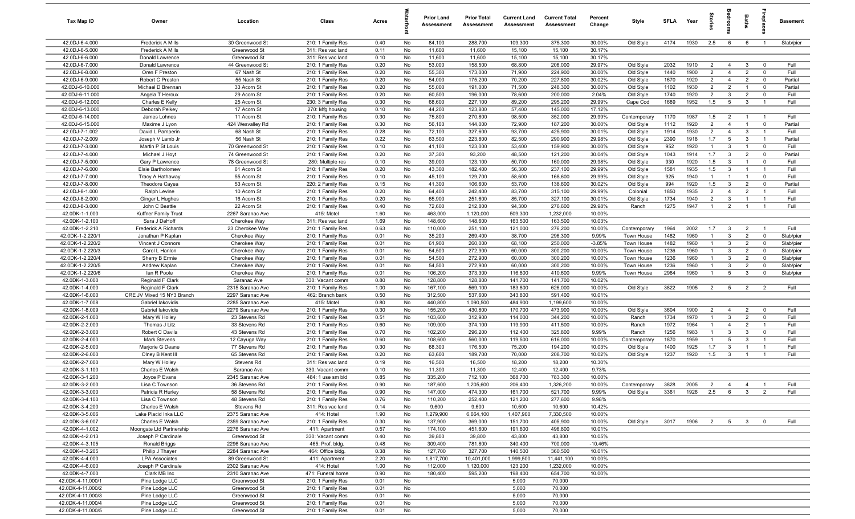| Tax Map ID                             | Owner                                           | Location                             | Class                                  | Acres        |          | <b>Prior Land</b><br>Assessment | <b>Prior Total</b><br>Assessment | <b>Current Land</b><br>Assessment | <b>Current Total</b><br>Assessment | Percent<br>Change | Style                     | <b>SFLA</b>  | Year         | tories                           | aroo            | Baths                            |                                  | <b>Basement</b> |
|----------------------------------------|-------------------------------------------------|--------------------------------------|----------------------------------------|--------------|----------|---------------------------------|----------------------------------|-----------------------------------|------------------------------------|-------------------|---------------------------|--------------|--------------|----------------------------------|-----------------|----------------------------------|----------------------------------|-----------------|
| 42.0DJ-6-4.000                         | <b>Frederick A Mills</b>                        | 30 Greenwood St                      | 210: 1 Family Res                      | 0.40         | No       | 84,100                          | 288,700                          | 109,300                           | 375,300                            | 30.00%            | Old Style                 | 4174         | 1930         | 2.5                              | 6               | 6                                | $\overline{1}$                   | Slab/pier       |
| 42.0DJ-6-5.000                         | Frederick A Mills                               | Greenwood St                         | 311: Res vac land                      | 0.11         | No       | 11,600                          | 11,600                           | 15,100                            | 15,100                             | 30.17%            |                           |              |              |                                  |                 |                                  |                                  |                 |
| 42.0DJ-6-6.000                         | Donald Lawrence                                 | Greenwood St                         | 311: Res vac land                      | 0.10         | No       | 11,600                          | 11,600                           | 15,100                            | 15,100                             | 30.17%            |                           |              |              |                                  |                 |                                  |                                  |                 |
| 42.0DJ-6-7.000                         | Donald Lawrence                                 | 44 Greenwood St                      | 210: 1 Family Res                      | 0.20         | No       | 53,000                          | 158,500                          | 68,800                            | 206,000                            | 29.97%            | Old Style                 | 2032         | 1910         | $\overline{2}$                   | $\overline{4}$  | $\mathbf{3}$                     | $\mathbf 0$                      | Full            |
| 42.0DJ-6-8.000                         | Oren F Preston                                  | 67 Nash St                           | 210: 1 Family Res                      | 0.20         | No       | 55,300                          | 173,000                          | 71,900                            | 224,900                            | 30.00%            | Old Style                 | 1440         | 1900         | $\overline{2}$                   | $\overline{4}$  | $\overline{2}$                   | $\mathbf 0$                      | Full            |
| 42.0DJ-6-9.000                         | Robert C Preston                                | 55 Nash St                           | 210: 1 Family Res                      | 0.20         | No       | 54,000                          | 175,200                          | 70,200                            | 227,800                            | 30.02%            | Old Style                 | 1670         | 1920         | $\overline{2}$                   | $\overline{4}$  | $\overline{2}$                   | $\mathbf 0$                      | Partial         |
| 42.0DJ-6-10.000<br>42.0DJ-6-11.000     | Michael D Brennan<br>Angela T Heroux            | 33 Acorn St<br>29 Acorn St           | 210: 1 Family Res<br>210: 1 Family Res | 0.20<br>0.20 | No<br>No | 55,000<br>60,500                | 191,000<br>196,000               | 71,500<br>78,600                  | 248,300<br>200,000                 | 30.00%<br>2.04%   | Old Style<br>Old Style    | 1102<br>1740 | 1930<br>1920 | $\overline{2}$<br>$\overline{2}$ | 2<br>3          | $\overline{1}$<br>$\overline{2}$ | $\mathbf 0$<br>$\mathbf 0$       | Partial<br>Full |
| 42.0DJ-6-12.000                        | Charles E Kelly                                 | 25 Acorn St                          | 230: 3 Family Res                      | 0.30         | No       | 68,600                          | 227,100                          | 89,200                            | 295,200                            | 29.99%            | Cape Cod                  | 1689         | 1952         | 1.5                              | $5\overline{5}$ | $\overline{\mathbf{3}}$          | $\overline{1}$                   | Full            |
| 42.0DJ-6-13.000                        | Deborah Pelkey                                  | 17 Acorn St                          | 270: Mfg housing                       | 0.10         | No       | 44,200                          | 123,800                          | 57,400                            | 145,000                            | 17.12%            |                           |              |              |                                  |                 |                                  |                                  |                 |
| 42.0DJ-6-14.000                        | James Lohnes                                    | 11 Acorn St                          | 210: 1 Family Res                      | 0.30         | No       | 75,800                          | 270,800                          | 98,500                            | 352,000                            | 29.99%            | Contemporary              | 1170         | 1987         | 1.5                              | $\overline{2}$  | $\overline{1}$                   | $\overline{1}$                   | Full            |
| 42.0DJ-6-15.000                        | Maxime J Lyon                                   | 424 Wesvalley Rd                     | 210: 1 Family Res                      | 0.30         | No       | 56,100                          | 144,000                          | 72,900                            | 187,200                            | 30.00%            | Old Style                 | 1112         | 1920         | $\overline{2}$                   | $\overline{4}$  | $\overline{1}$                   | $\overline{0}$                   | Partial         |
| 42.0DJ-7-1.002                         | David L Pamperin                                | 68 Nash St                           | 210: 1 Family Res                      | 0.28         | No       | 72,100                          | 327,600                          | 93,700                            | 425,900                            | 30.01%            | Old Style                 | 1914         | 1930         | $\overline{2}$                   | $\overline{4}$  | -3                               | $\overline{1}$                   | Full            |
| 42.0DJ-7-2.009                         | Joseph V Lamb Jr                                | 56 Nash St                           | 210: 1 Family Res                      | 0.22         | No       | 63,500                          | 223,800                          | 82,500                            | 290,900                            | 29.98%            | Old Style                 | 2390         | 1918         | 1.7                              | 5               | -3                               | $\overline{1}$                   | Partial         |
| 42.0DJ-7-3.000                         | Martin P St Louis                               | 70 Greenwood St                      | 210: 1 Family Res                      | 0.10         | No       | 41,100                          | 123,000                          | 53,400                            | 159,900                            | 30.00%            | Old Style                 | 952          | 1920         | $\overline{1}$                   | 3               | $\overline{1}$                   | $\mathbf 0$                      | Full            |
| 42.0DJ-7-4.000                         | Michael J Hoyt                                  | 74 Greenwood St                      | 210: 1 Family Res                      | 0.20         | No       | 37,300                          | 93,200                           | 48,500                            | 121,200                            | 30.04%            | Old Style                 | 1043         | 1914         | 1.7                              | $\mathbf{3}$    | $\overline{2}$                   | $\mathbf 0$                      | Partial         |
| 42.0DJ-7-5.000                         | Gary P Lawrence                                 | 78 Greenwood St                      | 280: Multiple res                      | 0.10         | No       | 39,000                          | 123,100                          | 50,700                            | 160,000                            | 29.98%            | Old Style                 | 930          | 1920         | 1.5                              | 3               |                                  | $\mathbf 0$                      | Full            |
| 42.0DJ-7-6.000                         | Elsie Bartholomew                               | 61 Acorn St                          | 210: 1 Family Res                      | 0.20         | No       | 43,300                          | 182,400                          | 56,300                            | 237,100                            | 29.99%            | Old Style                 | 1581         | 1935         | 1.5                              | 3               | -1                               | $\overline{1}$                   | Full            |
| 42.0DJ-7-7.000                         | Tracy A Hathaway                                | 55 Acorn St                          | 210: 1 Family Res                      | 0.10         | No       | 45,100                          | 129,700                          | 58,600                            | 168,600                            | 29.99%            | Old Style                 | 925          | 1940         | $\overline{1}$                   |                 | $\overline{1}$                   | $\mathbf 0$                      | Full            |
| 42.0DJ-7-8.000                         | Theodore Cayea                                  | 53 Acorn St                          | 220: 2 Family Res                      | 0.15         | No       | 41,300                          | 106,600                          | 53,700                            | 138,600                            | 30.02%            | Old Style                 | 994          | 1920         | 1.5                              | $\mathbf{3}$    | $\overline{2}$                   | $\mathbf 0$                      | Partial         |
| 42.0DJ-8-1.000                         | Ralph Levine                                    | 10 Acorn St                          | 210: 1 Family Res                      | 0.20         | No       | 64,400                          | 242,400                          | 83,700                            | 315,100                            | 29.99%            | Colonial                  | 1850         | 1935         | $\overline{2}$                   | $\overline{4}$  | $\overline{2}$                   | $\overline{1}$                   | Full            |
| 42.0DJ-8-2.000<br>42.0DJ-8-3.000       | Ginger L Hughes                                 | 16 Acorn St                          | 210: 1 Family Res                      | 0.20<br>0.40 | No<br>No | 65,900<br>72,600                | 251,600                          | 85,700                            | 327,100                            | 30.01%<br>29.98%  | Old Style<br>Ranch        | 1734<br>1275 | 1940<br>1947 | $\overline{2}$<br>$\overline{1}$ | 3<br>2          | $\overline{1}$<br>$\overline{1}$ | $\overline{1}$<br>$\overline{1}$ | Full<br>Full    |
| 42.0DK-1-1.000                         | John C Beattie<br>Kuffner Family Trust          | 22 Acorn St<br>2267 Saranac Ave      | 210: 1 Family Res<br>415: Motel        | 1.60         | No       | 463,000                         | 212,800<br>1,120,000             | 94,300<br>509,300                 | 276,600<br>1,232,000               | 10.00%            |                           |              |              |                                  |                 |                                  |                                  |                 |
| 42.0DK-1-2.100                         | Sara J DeHoff                                   | Cherokee Way                         | 311: Res vac land                      | 1.69         | No       | 148,600                         | 148,600                          | 163,500                           | 163,500                            | 10.03%            |                           |              |              |                                  |                 |                                  |                                  |                 |
| 42.0DK-1-2.210                         | <b>Frederick A Richards</b>                     | 23 Cherokee Way                      | 210: 1 Family Res                      | 0.63         | No       | 110,000                         | 251,100                          | 121,000                           | 276,200                            | 10.00%            | Contemporary              | 1964         | 2002         | 1.7                              | $\mathbf{3}$    | $\overline{2}$                   | $\overline{1}$                   | Full            |
| 42.0DK-1-2.220/1                       | Jonathan P Kaplan                               | Cherokee Way                         | 210: 1 Family Res                      | 0.01         | No       | 35,200                          | 269,400                          | 38,700                            | 296,300                            | 9.99%             | Town House                | 1482         | 1960         | $\overline{1}$                   | $\mathbf{3}$    | $\overline{2}$                   | $\mathbf 0$                      | Slab/pier       |
| 42.0DK-1-2.220/2                       | Vincent J Connors                               | Cherokee Way                         | 210: 1 Family Res                      | 0.01         | No       | 61,900                          | 260,000                          | 68,100                            | 250,000                            | $-3.85%$          | Town House                | 1482         | 1960         | $\overline{1}$                   | 3               | $\overline{2}$                   | $\mathbf 0$                      | Slab/pier       |
| 42.0DK-1-2.220/3                       | Carol L Hanlon                                  | Cherokee Way                         | 210: 1 Family Res                      | 0.01         | No       | 54,500                          | 272,900                          | 60,000                            | 300,200                            | 10.00%            | Town House                | 1236         | 1960         | $\mathbf{1}$                     | $\mathbf{3}$    | $\overline{2}$                   | $\overline{\mathbf{0}}$          | Slab/pier       |
| 42.0DK-1-2.220/4                       | Sherry B Ermie                                  | Cherokee Way                         | 210: 1 Family Res                      | 0.01         | No       | 54,500                          | 272,900                          | 60,000                            | 300,200                            | 10.00%            | Town House                | 1236         | 1960         | $\overline{1}$                   | 3               | $\overline{2}$                   | $\overline{0}$                   | Slab/pier       |
| 42.0DK-1-2.220/5                       | Andrew Kaplan                                   | Cherokee Way                         | 210: 1 Family Res                      | 0.01         | No       | 54,500                          | 272,900                          | 60,000                            | 300,200                            | 10.00%            | Town House                | 1236         | 1960         | $\mathbf{1}$                     | 3               | $\overline{2}$                   | $\mathbf 0$                      | Slab/pier       |
| 42.0DK-1-2.220/6                       | lan R Poole                                     | Cherokee Way                         | 210: 1 Family Res                      | 0.01         | No       | 106,200                         | 373,300                          | 116,800                           | 410,600                            | 9.99%             | Town House                | 2964         | 1960         | $\overline{1}$                   | 5               | $\mathbf{3}$                     | $\mathbf 0$                      | Slab/pier       |
| 42.0DK-1-3.000                         | Reginald F Clark                                | Saranac Ave                          | 330: Vacant comm                       | 0.80         | No       | 128,800                         | 128,800                          | 141,700                           | 141,700                            | 10.02%            |                           |              |              |                                  |                 |                                  |                                  |                 |
| 42.0DK-1-4.000                         | Reginald F Clark                                | 2315 Saranac Ave                     | 210: 1 Family Res                      | 1.00         | No       | 167,100                         | 569,100                          | 183,800                           | 626,000                            | 10.00%            | Old Style                 | 3822         | 1905         | $\overline{2}$                   | $5^{\circ}$     | $\overline{2}$                   | $\overline{2}$                   | Full            |
| 42.0DK-1-6.000<br>42.0DK-1-7.008       | CRE JV Mixed 15 NY3 Branch<br>Gabriel lakovidis | 2297 Saranac Ave<br>2285 Saranac Ave | 462: Branch bank<br>415: Motel         | 0.50<br>0.80 | No<br>No | 312,500<br>440,800              | 537,600<br>1,090,500             | 343,800<br>484,900                | 591,400<br>1,199,600               | 10.01%<br>10.00%  |                           |              |              |                                  |                 |                                  |                                  |                 |
| 42.0DK-1-8.009                         | Gabriel lakovidis                               | 2279 Saranac Ave                     | 210: 1 Family Res                      | 0.30         | No       | 155,200                         | 430,800                          | 170,700                           | 473,900                            | 10.00%            | Old Style                 | 3604         | 1900         | $\overline{2}$                   | $\overline{4}$  | $\overline{2}$                   | $\mathbf 0$                      | Full            |
| 42.0DK-2-1.000                         | Mary W Holley                                   | 23 Stevens Rd                        | 210: 1 Family Res                      | 0.51         | No       | 103,600                         | 312,900                          | 114,000                           | 344,200                            | 10.00%            | Ranch                     | 1734         | 1970         | $\overline{1}$                   | $\mathbf{3}$    | 2                                | $\mathbf 0$                      | Full            |
| 42.0DK-2-2.000                         | Thomas J Litz                                   | 33 Stevens Rd                        | 210: 1 Family Res                      | 0.60         | No       | 109,000                         | 374,100                          | 119,900                           | 411,500                            | 10.00%            | Ranch                     | 1972         | 1964         | $\mathbf{1}$                     | $\overline{4}$  | $\overline{2}$                   | $\overline{1}$                   | Full            |
| 42.0DK-2-3.000                         | Robert C Davila                                 | 43 Stevens Rd                        | 210: 1 Family Res                      | 0.70         | No       | 102,200                         | 296,200                          | 112,400                           | 325,800                            | 9.99%             | Ranch                     | 1256         | 1983         | $\overline{1}$                   | $\mathbf{3}$    | $\mathbf{3}$                     | $\mathbf 0$                      | Full            |
| 42.0DK-2-4.000                         | Mark Stevens                                    | 12 Cayuga Way                        | 210: 1 Family Res                      | 0.60         | No       | 108,600                         | 560,000                          | 119,500                           | 616,000                            | 10.00%            | Contemporary              | 1870         | 1959         | $\overline{1}$                   | $5\overline{5}$ | - 3                              | $\overline{1}$                   | Full            |
| 42.0DK-2-5.000                         | Marjorie G Deane                                | 77 Stevens Rd                        | 210: 1 Family Res                      | 0.30         | No       | 68,300                          | 176,500                          | 75,200                            | 194,200                            | 10.03%            | Old Style                 | 1400         | 1925         | 1.7                              | 3               | $\mathbf{1}$                     | $\overline{1}$                   | Full            |
| 42.0DK-2-6.000                         | Olney B Kent III                                | 65 Stevens Rd                        | 210: 1 Family Res                      | 0.20         | No       | 63,600                          | 189,700                          | 70,000                            | 208,700                            | 10.02%            | Old Style                 | 1237         | 1920         | 1.5                              | -3              | -1                               |                                  | Full            |
| 42.0DK-2-7.000                         | Mary W Holley                                   | Stevens Rd                           | 311: Res vac land                      | 0.19         | No       | 16,500                          | 16,500                           | 18,200                            | 18,200                             | 10.30%            |                           |              |              |                                  |                 |                                  |                                  |                 |
| 42.0DK-3-1.100                         | Charles E Walsh                                 | Saranac Ave                          | 330: Vacant comm                       | 0.10         | No       | 11,300                          | 11,300                           | 12,400                            | 12,400                             | 9.73%             |                           |              |              |                                  |                 |                                  |                                  |                 |
| 42.0DK-3-1.200                         | Joyce P Evans                                   | 2345 Saranac Ave                     | 484: 1 use sm bld                      | 0.85         | No       | 335,200                         | 712,100                          | 368,700                           | 783,300                            | 10.00%            |                           |              |              |                                  |                 |                                  |                                  |                 |
| 42.0DK-3-2.000<br>42.0DK-3-3.000       | Lisa C Townson<br>Patricia R Hurley             | 36 Stevens Rd<br>58 Stevens Rd       | 210: 1 Family Res<br>210: 1 Family Res | 0.90<br>0.90 | No<br>No | 187,600<br>147,000              | 1,205,600<br>474,300             | 206,400<br>161,700                | 1,326,200<br>521,700               | 10.00%<br>9.99%   | Contemporary<br>Old Style | 3828<br>3361 | 2005<br>1926 | 2.5                              | 6               | $\mathbf{3}$                     | $\overline{2}$                   | Full<br>Full    |
| 42.0DK-3-4.100                         | Lisa C Townson                                  | 48 Stevens Rd                        | 210: 1 Family Res                      | 0.76         | No       | 110,200                         | 252,400                          | 121,200                           | 277,600                            | 9.98%             |                           |              |              |                                  |                 |                                  |                                  |                 |
| 42.0DK-3-4.200                         | Charles E Walsh                                 | Stevens Rd                           | 311: Res vac land                      | 0.14         | No       | 9,600                           | 9,600                            | 10,600                            | 10,600                             | 10.42%            |                           |              |              |                                  |                 |                                  |                                  |                 |
| 42.0DK-3-5.006                         | Lake Placid Inka LLC                            | 2375 Saranac Ave                     | 414: Hotel                             | 1.90         | No       | 1,279,900                       | 6,664,100                        | 1,407,900                         | 7,330,500                          | 10.00%            |                           |              |              |                                  |                 |                                  |                                  |                 |
| 42.0DK-3-6.007                         | Charles E Walsh                                 | 2359 Saranac Ave                     | 210: 1 Family Res                      | 0.30         | No       | 137,900                         | 369,000                          | 151,700                           | 405,900                            | 10.00%            | Old Style                 | 3017         | 1906         | 2                                | $5^{\circ}$     | $\overline{3}$                   | $\overline{0}$                   | Full            |
| 42.0DK-4-1.002                         | Moongate Ltd Partnership                        | 2276 Saranac Ave                     | 411: Apartment                         | 0.57         | No       | 174,100                         | 451,600                          | 191,600                           | 496,800                            | 10.01%            |                           |              |              |                                  |                 |                                  |                                  |                 |
| 42.0DK-4-2.013                         | Joseph P Cardinale                              | Greenwood St                         | 330: Vacant comm                       | 0.40         | No       | 39,800                          | 39,800                           | 43,800                            | 43,800                             | 10.05%            |                           |              |              |                                  |                 |                                  |                                  |                 |
| 42.0DK-4-3.105                         | <b>Ronald Briggs</b>                            | 2296 Saranac Ave                     | 465: Prof. bldg.                       | 0.48         | No       | 309,400                         | 781,800                          | 340,400                           | 700,000                            | $-10.46%$         |                           |              |              |                                  |                 |                                  |                                  |                 |
| 42.0DK-4-3.205                         | Philip J Thayer                                 | 2284 Saranac Ave                     | 464: Office bldg.                      | 0.38         | No       | 127,700                         | 327,700                          | 140,500                           | 360,500                            | 10.01%            |                           |              |              |                                  |                 |                                  |                                  |                 |
| 42.0DK-4-4.000                         | <b>LPA Associates</b>                           | 89 Greenwood St                      | 411: Apartment                         | 2.20         | No       | 1,817,700                       | 10,401,000                       | 1,999,500                         | 11,441,100                         | 10.00%            |                           |              |              |                                  |                 |                                  |                                  |                 |
| 42.0DK-4-6.000                         | Joseph P Cardinale                              | 2302 Saranac Ave                     | 414: Hotel                             | 1.00         | No       | 112,000                         | 1,120,000                        | 123,200                           | 1,232,000                          | 10.00%            |                           |              |              |                                  |                 |                                  |                                  |                 |
| 42.0DK-4-7.000                         | Clark MB Inc                                    | 2310 Saranac Ave                     | 471: Funeral home                      | 0.90         | No       | 180,400                         | 595,200                          | 198,400                           | 654,700                            | 10.00%            |                           |              |              |                                  |                 |                                  |                                  |                 |
| 42.0DK-4-11.000/1<br>42.0DK-4-11.000/2 | Pine Lodge LLC<br>Pine Lodge LLC                | Greenwood St<br>Greenwood St         | 210: 1 Family Res<br>210: 1 Family Res | 0.01<br>0.01 | No<br>No |                                 |                                  | 5,000<br>5,000                    | 70,000<br>70,000                   |                   |                           |              |              |                                  |                 |                                  |                                  |                 |
| 42.0DK-4-11.000/3                      | Pine Lodge LLC                                  | Greenwood St                         | 210: 1 Family Res                      | 0.01         | No       |                                 |                                  | 5,000                             | 70,000                             |                   |                           |              |              |                                  |                 |                                  |                                  |                 |
| 42.0DK-4-11.000/4                      | Pine Lodge LLC                                  | Greenwood St                         | 210: 1 Family Res                      | 0.01         | No       |                                 |                                  | 5,000                             | 70,000                             |                   |                           |              |              |                                  |                 |                                  |                                  |                 |
| 42.0DK-4-11.000/5                      | Pine Lodge LLC                                  | Greenwood St                         | 210: 1 Family Res                      | 0.01         | No       |                                 |                                  | 5,000                             | 70,000                             |                   |                           |              |              |                                  |                 |                                  |                                  |                 |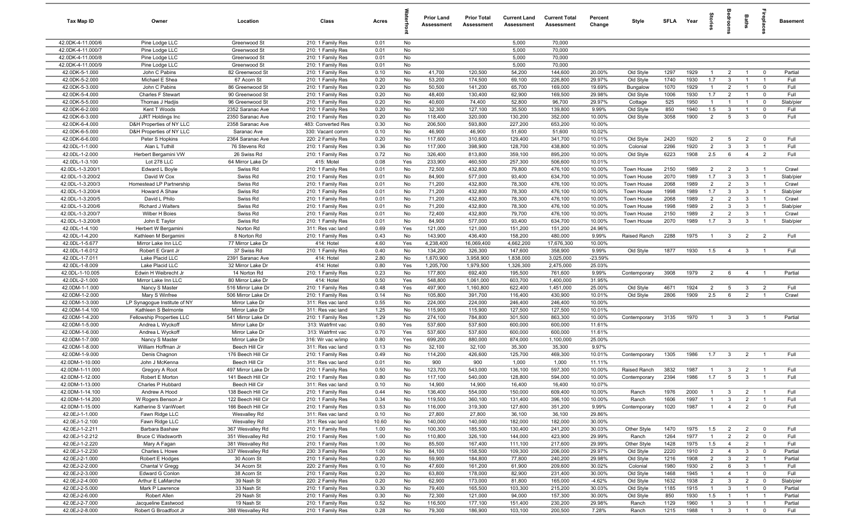| Tax Map ID                           | Owner                                   | Location                                | Class                                  | Acres        |            | <b>Prior Land</b><br>Assessment | <b>Prior Total</b><br><b>Assessment</b> | <b>Current Land</b><br>Assessment | <b>Current Total</b><br>Assessment | Percent<br>Change | Style                    | <b>SFLA</b>  | Year         | 흞                     |                                           | Baths                            | repla                            | <b>Basement</b>    |
|--------------------------------------|-----------------------------------------|-----------------------------------------|----------------------------------------|--------------|------------|---------------------------------|-----------------------------------------|-----------------------------------|------------------------------------|-------------------|--------------------------|--------------|--------------|-----------------------|-------------------------------------------|----------------------------------|----------------------------------|--------------------|
| 42.0DK-4-11.000/6                    | Pine Lodge LLC                          | Greenwood St                            | 210: 1 Family Res                      | 0.01         | No         |                                 |                                         | 5,000                             | 70,000                             |                   |                          |              |              |                       |                                           |                                  |                                  |                    |
| 42.0DK-4-11.000/7                    | Pine Lodge LLC                          | Greenwood St                            | 210: 1 Family Res                      | 0.01         | No         |                                 |                                         | 5,000                             | 70,000                             |                   |                          |              |              |                       |                                           |                                  |                                  |                    |
| 42.0DK-4-11.000/8                    | Pine Lodge LLC                          | Greenwood St                            | 210: 1 Family Res                      | 0.01         | No         |                                 |                                         | 5,000                             | 70,000                             |                   |                          |              |              |                       |                                           |                                  |                                  |                    |
| 42.0DK-4-11.000/9                    | Pine Lodge LLC                          | Greenwood St                            | 210: 1 Family Res                      | 0.01         | No         |                                 |                                         | 5,000                             | 70,000                             |                   |                          |              |              |                       |                                           |                                  |                                  |                    |
| 42.0DK-5-1.000<br>42.0DK-5-2.000     | John C Pabins<br>Michael E Shea         | 82 Greenwood St<br>67 Acorn St          | 210: 1 Family Res<br>210: 1 Family Res | 0.10<br>0.20 | No<br>No   | 41,700<br>53,200                | 120,500<br>174,500                      | 54,200<br>69,100                  | 144,600<br>226,800                 | 20.00%<br>29.97%  | Old Style<br>Old Style   | 1297<br>1740 | 1929<br>1930 | $\overline{1}$<br>1.7 | $\overline{2}$<br>$\overline{\mathbf{3}}$ | $\overline{1}$<br>$\overline{1}$ | $\overline{0}$<br>$\overline{1}$ | Partial<br>Full    |
| 42.0DK-5-3.000                       | John C Pabins                           | 86 Greenwood St                         | 210: 1 Family Res                      | 0.20         | No         | 50,500                          | 141,200                                 | 65,700                            | 169,000                            | 19.69%            | Bungalow                 | 1070         | 1929         | $\overline{1}$        | 2                                         | $\overline{1}$                   | $\mathbf 0$                      | Full               |
| 42.0DK-5-4.000                       | Charles F Stewart                       | 90 Greenwood St                         | 210: 1 Family Res                      | 0.20         | No         | 48,400                          | 130,400                                 | 62,900                            | 169,500                            | 29.98%            | Old Style                | 1006         | 1930         | 1.7                   | $\overline{2}$                            | $\overline{1}$                   | $\mathbf 0$                      | Full               |
| 42.0DK-5-5.000                       | Thomas J Hadjis                         | 96 Greenwood St                         | 210: 1 Family Res                      | 0.20         | No         | 40,600                          | 74,400                                  | 52,800                            | 96,700                             | 29.97%            | Cottage                  | 525          | 1950         | $\overline{1}$        | $\overline{1}$                            | $\overline{1}$                   | $\mathbf 0$                      | Slab/pier          |
| 42.0DK-6-2.000                       | Kent T Woods                            | 2352 Saranac Ave                        | 210: 1 Family Res                      | 0.20         | No         | 32,300                          | 127,100                                 | 35,500                            | 139,800                            | 9.99%             | Old Style                | 850          | 1940         | 1.5                   | $\mathbf{3}$                              | $\overline{1}$                   | $\mathbf 0$                      | Full               |
| 42.0DK-6-3.000                       | JJRT Holdings Inc                       | 2350 Saranac Ave                        | 210: 1 Family Res                      | 0.20         | No         | 118,400                         | 320,000                                 | 130,200                           | 352,000                            | 10.00%            | Old Style                | 3058         | 1900         | $\overline{2}$        | $5\overline{5}$                           | $\mathbf{3}$                     | $\mathbf 0$                      | Full               |
| 42.0DK-6-4.000                       | D&H Properties of NY LLC                | 2358 Saranac Ave                        | 483: Converted Res                     | 0.30         | No         | 206,500                         | 593,800                                 | 227,200                           | 653,200                            | 10.00%            |                          |              |              |                       |                                           |                                  |                                  |                    |
| 42.0DK-6-5.000                       | D&H Properties of NY LLC                | Saranac Ave                             | 330: Vacant comm                       | 0.10         | No         | 46,900                          | 46,900                                  | 51,600                            | 51,600                             | 10.02%            |                          |              |              |                       |                                           |                                  |                                  |                    |
| 42.0DK-6-6.000                       | Peter S Hopkins                         | 2364 Saranac Ave                        | 220: 2 Family Res                      | 0.20         | No         | 117,600                         | 310,600                                 | 129,400                           | 341,700                            | 10.01%            | Old Style                | 2420         | 1920         | $\overline{2}$        | 5                                         | $\overline{2}$                   | $\mathbf 0$                      | Full               |
| 42.0DL-1-1.000                       | Alan L Tuthill                          | 76 Stevens Rd                           | 210: 1 Family Res                      | 0.36         | No         | 117,000                         | 398,900                                 | 128,700                           | 438,800                            | 10.00%            | Colonial                 | 2266         | 1920         | $\overline{2}$        | $\mathbf{3}$                              | $\overline{3}$                   | $\overline{1}$                   | Full               |
| 42.0DL-1-2.000                       | Herbert Bergamini VW                    | 26 Swiss Rd                             | 210: 1 Family Res                      | 0.72         | No         | 326,400                         | 813,800                                 | 359,100                           | 895,200                            | 10.00%            | Old Style                | 6223         | 1908         | 2.5                   | 6                                         | $\overline{4}$                   | $\overline{2}$                   | Full               |
| 42.0DL-1-3.100                       | Lot 278 LLC                             | 64 Mirror Lake Dr                       | 415: Motel                             | 0.08         | Yes        | 233,900                         | 460,500                                 | 257,300                           | 506,600                            | 10.01%            |                          |              |              |                       |                                           |                                  |                                  |                    |
| 42.0DL-1-3.200/1                     | Edward L Boyle                          | Swiss Rd                                | 210: 1 Family Res                      | 0.01         | No         | 72,500                          | 432,800                                 | 79,800                            | 476,100                            | 10.00%            | Town House               | 2150         | 1989<br>1989 | $\overline{2}$        | $\overline{2}$                            | $\mathbf{3}$                     | $\overline{1}$                   | Crawl              |
| 42.0DL-1-3.200/2<br>42.0DL-1-3.200/3 | David W Cox<br>Homestead LP Partnership | Swiss Rd<br>Swiss Rd                    | 210: 1 Family Res                      | 0.01<br>0.01 | No<br>No   | 84,900<br>71,200                | 577,000<br>432,800                      | 93,400<br>78,300                  | 634,700<br>476,100                 | 10.00%<br>10.00%  | Town House<br>Town House | 2070<br>2068 | 1989         | 1.7<br>$\overline{2}$ | $\overline{\mathbf{3}}$<br>$\overline{2}$ | $\overline{3}$<br>$\mathbf{3}$   | $\overline{1}$<br>$\overline{1}$ | Slab/pier<br>Crawl |
| 42.0DL-1-3.200/4                     | Howard A Shaw                           | Swiss Rd                                | 210: 1 Family Res<br>210: 1 Family Res | 0.01         | No         | 71,200                          | 432,800                                 | 78,300                            | 476,100                            | 10.00%            | Town House               | 1998         | 1989         | 1.7                   | $\mathbf{3}$                              | $\mathbf{3}$                     | $\overline{1}$                   | Slab/pier          |
| 42.0DL-1-3.200/5                     | David L Philo                           | Swiss Rd                                | 210: 1 Family Res                      | 0.01         | No         | 71,200                          | 432,800                                 | 78,300                            | 476,100                            | 10.00%            | Town House               | 2068         | 1989         | $\overline{2}$        | $\overline{2}$                            | $\mathbf{3}$                     | $\overline{1}$                   | Crawl              |
| 42.0DL-1-3.200/6                     | Richard J Walters                       | Swiss Rd                                | 210: 1 Family Res                      | 0.01         | No         | 71,200                          | 432,800                                 | 78,300                            | 476,100                            | 10.00%            | Town House               | 1998         | 1989         | $\overline{2}$        | $\mathbf{3}$                              | $\mathbf{3}$                     | $\overline{1}$                   | Slab/pier          |
| 42.0DL-1-3.200/7                     | Wilber H Boies                          | Swiss Rd                                | 210: 1 Family Res                      | 0.01         | No         | 72,400                          | 432,800                                 | 79,700                            | 476,100                            | 10.00%            | Town House               | 2150         | 1989         | $\overline{2}$        | 2                                         | $\mathbf{3}$                     | $\mathbf{1}$                     | Crawl              |
| 42.0DL-1-3.200/8                     | John E Taylor                           | Swiss Rd                                | 210: 1 Family Res                      | 0.01         | No         | 84,900                          | 577,000                                 | 93,400                            | 634,700                            | 10.00%            | Town House               | 2070         | 1989         | 1.7                   | $\overline{3}$                            | $\mathbf{3}$                     | $\overline{1}$                   | Slab/pier          |
| 42.0DL-1-4.100                       | Herbert W Bergamini                     | Norton Rd                               | 311: Res vac land                      | 0.69         | Yes        | 121,000                         | 121,000                                 | 151,200                           | 151,200                            | 24.96%            |                          |              |              |                       |                                           |                                  |                                  |                    |
| 42.0DL-1-4.200                       | Kathleen M Bergamini                    | 8 Norton Rd                             | 210: 1 Family Res                      | 0.43         | No         | 143,900                         | 436,400                                 | 158,200                           | 480,000                            | 9.99%             | Raised Ranch             | 2288         | 1975         | $\overline{1}$        | $\mathbf{3}$                              | $\overline{2}$                   | $\overline{2}$                   | Full               |
| 42.0DL-1-5.677                       | Mirror Lake Inn LLC                     | 77 Mirror Lake Dr                       | 414: Hotel                             | 4.60         | Yes        | 4,238,400                       | 16,069,400                              | 4,662,200                         | 17,676,300                         | 10.00%            |                          |              |              |                       |                                           |                                  |                                  |                    |
| 42.0DL-1-6.012                       | Robert E Grant Jr                       | 37 Swiss Rd                             | 210: 1 Family Res                      | 0.40         | No         | 134,200                         | 326,300                                 | 147,600                           | 358,900                            | 9.99%             | Old Style                | 1877         | 1930         | 1.5                   | $\overline{4}$                            | $\mathbf{3}$                     |                                  | Full               |
| 42.0DL-1-7.011                       | Lake Placid LLC                         | 2391 Saranac Ave                        | 414: Hotel                             | 2.80         | No         | 1,670,900                       | 3,958,900                               | 1,838,000                         | 3,025,000                          | $-23.59%$         |                          |              |              |                       |                                           |                                  |                                  |                    |
| 42.0DL-1-8.009                       | Lake Placid LLC                         | 32 Mirror Lake Dr                       | 414: Hotel                             | 0.80         | Yes        | 1,205,700                       | 1,979,500                               | 1,326,300                         | 2,475,000                          | 25.03%            |                          |              |              |                       |                                           |                                  |                                  |                    |
| 42.0DL-1-10.005                      | Edwin H Weibrecht Jr                    | 14 Norton Rd                            | 210: 1 Family Res                      | 0.23         | No         | 177,800                         | 692,400                                 | 195,500                           | 761,600                            | 9.99%             | Contemporary             | 3908         | 1979         | $\overline{2}$        | 6                                         | $\overline{4}$                   | $\overline{1}$                   | Partial            |
| 42.0DL-2-1.000<br>42.0DM-1-1.000     | Mirror Lake Inn LLC<br>Nancy S Master   | 80 Mirror Lake Dr<br>516 Mirror Lake Dr | 414: Hotel<br>210: 1 Family Res        | 0.50<br>0.48 | Yes<br>Yes | 548,800<br>497,900              | 1,061,000<br>1,160,800                  | 603,700<br>622,400                | 1,400,000<br>1,451,000             | 31.95%<br>25.00%  | Old Style                | 4671         | 1924         | $\overline{2}$        | 5                                         | $\overline{3}$                   | $\overline{2}$                   | Full               |
| 42.0DM-1-2.000                       | Mary S Winfree                          | 506 Mirror Lake Dr                      | 210: 1 Family Res                      | 0.14         | No         | 105,800                         | 391,700                                 | 116,400                           | 430,900                            | 10.01%            | Old Style                | 2806         | 1909         | 2.5                   | 6                                         | $\overline{2}$                   | $\overline{1}$                   | Crawl              |
| 42.0DM-1-3.000                       | LP Synagogue Institute of NY            | Mirror Lake Dr                          | 311: Res vac land                      | 0.55         | No         | 224,000                         | 224,000                                 | 246,400                           | 246,400                            | 10.00%            |                          |              |              |                       |                                           |                                  |                                  |                    |
| 42.0DM-1-4.100                       | Kathleen S Belmonte                     | Mirror Lake Dr                          | 311: Res vac land                      | 1.25         | No         | 115,900                         | 115,900                                 | 127,500                           | 127,500                            | 10.01%            |                          |              |              |                       |                                           |                                  |                                  |                    |
| 42.0DM-1-4.200                       | Fellowship Properties LLC               | 541 Mirror Lake Dr                      | 210: 1 Family Res                      | 1.29         | No         | 274,100                         | 784,800                                 | 301,500                           | 863,300                            | 10.00%            | Contemporary             | 3135         | 1970         | $\overline{1}$        | $\mathbf{3}$                              | $\mathbf{3}$                     | -1                               | Partial            |
| 42.0DM-1-5.000                       | Andrea L Wyckoff                        | Mirror Lake Dr                          | 313: Watrfrnt vac                      | 0.60         | Yes        | 537,600                         | 537,600                                 | 600,000                           | 600,000                            | 11.61%            |                          |              |              |                       |                                           |                                  |                                  |                    |
| 42.0DM-1-6.000                       | Andrea L Wyckoff                        | Mirror Lake Dr                          | 313: Watrfrnt vac                      | 0.70         | Yes        | 537,600                         | 537,600                                 | 600,000                           | 600,000                            | 11.61%            |                          |              |              |                       |                                           |                                  |                                  |                    |
| 42.0DM-1-7.000                       | Nancy S Master                          | Mirror Lake Dr                          | 316: Wr vac w/imp                      | 0.80         | Yes        | 699,200                         | 880,000                                 | 874,000                           | 1,100,000                          | 25.00%            |                          |              |              |                       |                                           |                                  |                                  |                    |
| 42.0DM-1-8.000                       | William Hoffman Jr                      | Beech Hill Cir                          | 311: Res vac land                      | 0.13         | No         | 32,100                          | 32,100                                  | 35,300                            | 35,300                             | 9.97%             |                          |              |              |                       |                                           |                                  |                                  |                    |
| 42.0DM-1-9.000                       | Denis Chagnon                           | 176 Beech Hill Cir                      | 210: 1 Family Res                      | 0.49         | No         | 114,200                         | 426,600                                 | 125,700                           | 469,300                            | 10.01%            | Contemporary             | 1305         | 1986         | 1.7                   | $\mathbf{3}$                              | $\overline{2}$                   | $\overline{1}$                   | Full               |
| 42.0DM-1-10.000                      | John J McKenna                          | Beech Hill Cir                          | 311: Res vac land                      | 0.01         | No         | 900                             | 900                                     | 1,000                             | 1,000                              | 11.11%            |                          |              |              |                       |                                           |                                  |                                  |                    |
| 42.0DM-1-11.000                      | Gregory A Root                          | 497 Mirror Lake Dr                      | 210: 1 Family Res                      | 0.50         | No         | 123,700                         | 543,000                                 | 136,100                           | 597,300                            | 10.00%            | Raised Ranch             | 3832         | 1987         | -1                    | $\mathbf{3}$                              | $\overline{2}$                   | $\overline{1}$                   | Full               |
| 42.0DM-1-12.000<br>42.0DM-1-13.000   | Robert E Morton<br>Charles P Hubbard    | 141 Beech Hill Cir<br>Beech Hill Cir    | 210: 1 Family Res<br>311: Res vac land | 0.80<br>0.10 | No<br>No.  | 117,100<br>14,900               | 540,000<br>14,900                       | 128,800<br>16,400                 | 594,000                            | 10.00%<br>10.07%  | Contemporary             | 2394         | 1986         | 1.7                   | $5\overline{5}$                           | $\mathbf{3}$                     |                                  | Full               |
| 42.0DM-1-14.100                      | Andrew A Hood                           | 138 Beech Hill Cir                      | 210: 1 Family Res                      | 0.44         | No         | 136,400                         | 554,000                                 | 150,000                           | 16,400<br>609,400                  | 10.00%            | Ranch                    | 1976         | 2000         | $\overline{1}$        | $\mathbf{3}$                              | $\overline{2}$                   |                                  | Full               |
| 42.0DM-1-14.200                      | W Rogers Benson Jr                      | 122 Beech Hill Cir                      | 210: 1 Family Res                      | 0.34         | No         | 119,500                         | 360,100                                 | 131,400                           | 396,100                            | 10.00%            | Ranch                    | 1606         | 1997         | -1                    | $\mathbf{3}$                              | $\overline{2}$                   | $\overline{1}$                   | Full               |
| 42.0DM-1-15.000                      | Katherine S VanWoert                    | 166 Beech Hill Cir                      | 210: 1 Family Res                      | 0.53         | No         | 116,000                         | 319,300                                 | 127,600                           | 351,200                            | 9.99%             | Contemporary             | 1020         | 1987         | $\overline{1}$        | $\overline{4}$                            | $\overline{2}$                   | $\mathbf 0$                      | Full               |
| 42.0EJ-1-1.000                       | Fawn Ridge LLC                          | Wesvalley Rd                            | 311: Res vac land                      | 0.10         | No         | 27,800                          | 27,800                                  | 36,100                            | 36,100                             | 29.86%            |                          |              |              |                       |                                           |                                  |                                  |                    |
| 42.0EJ-1-2.100                       | Fawn Ridge LLC                          | Wesvalley Rd                            | 311: Res vac land                      | 10.60        | No         | 140,000                         | 140,000                                 | 182,000                           | 182,000                            | 30.00%            |                          |              |              |                       |                                           |                                  |                                  |                    |
| 42.0EJ-1-2.211                       | Barbara Bashaw                          | 367 Wesvalley Rd                        | 210: 1 Family Res                      | 1.00         | No         | 100,300                         | 185,500                                 | 130,400                           | 241,200                            | 30.03%            | Other Style              | 1470         | 1975         | 1.5                   | $\overline{2}$                            | $\overline{2}$                   | $\mathbf 0$                      | Full               |
| 42.0EJ-1-2.212                       | Bruce C Wadsworth                       | 351 Wesvalley Rd                        | 210: 1 Family Res                      | 1.00         | No         | 110,800                         | 326,100                                 | 144,000                           | 423,900                            | 29.99%            | Ranch                    | 1264         | 1977         |                       | $\overline{2}$                            | $\overline{2}$                   | $\mathbf 0$                      | Full               |
| 42.0EJ-1-2.220                       | Mary A Fagan                            | 381 Wesvalley Rd                        | 210: 1 Family Res                      | 1.00         | No         | 85,500                          | 167,400                                 | 111,100                           | 217,600                            | 29.99%            | Other Style              | 1428         | 1975         | 1.5                   | $\overline{4}$                            | $\overline{2}$                   | $\overline{1}$                   | Full               |
| 42.0EJ-1-2.230                       | Charles L Howe                          | 337 Wesvalley Rd                        | 230: 3 Family Res                      | 1.00         | No         | 84,100                          | 158,500                                 | 109,300                           | 206,000                            | 29.97%            | Old Style                | 2220         | 1910         | $\overline{2}$        | $\overline{4}$                            | $\mathbf{3}$                     | $\overline{0}$                   | Partial            |
| 42.0EJ-2-1.000                       | Robert E Hodges                         | 30 Acorn St                             | 210: 1 Family Res                      | 0.20         | No         | 59,900                          | 184,800                                 | 77,800                            | 240,200                            | 29.98%            | Old Style                | 1216         | 1908         | $\overline{2}$        | $\mathbf{3}$                              | $\overline{2}$                   | $\overline{1}$                   | Partial            |
| 42.0EJ-2-2.000                       | Chantal V Gregg                         | 34 Acorn St                             | 220: 2 Family Res                      | 0.10         | No         | 47,600                          | 161,200                                 | 61,900                            | 209,600                            | 30.02%            | Colonial                 | 1980         | 1930         | $\overline{2}$        | 6                                         | $\overline{3}$                   | $\overline{1}$                   | Full               |
| 42.0EJ-2-3.000                       | Edward G Conlon                         | 38 Acorn St                             | 210: 1 Family Res                      | 0.20         | No         | 63,800                          | 178,000                                 | 82,900                            | 231,400                            | 30.00%            | Old Style                | 1468         | 1945         | $\overline{1}$        | $\overline{4}$                            | $\overline{1}$                   | $\overline{0}$                   | Full               |
| 42.0EJ-2-4.000                       | Arthur E LaMarche                       | 39 Nash St                              | 220: 2 Family Res                      | 0.20         | No         | 62,900                          | 173,000                                 | 81,800                            | 165,000                            | $-4.62%$          | Old Style                | 1632         | 1938         | $\overline{2}$        | $\mathbf{3}$                              | $\overline{2}$                   | $\mathbf 0$                      | Slab/pier          |
| 42.0EJ-2-5.000<br>42.0EJ-2-6.000     | Mark P Lawrence                         | 33 Nash St                              | 210: 1 Family Res                      | 0.30         | No         | 79,400                          | 165,500                                 | 103,300                           | 215,200                            | 30.03%            | Old Style                | 1185         | 1915         | $\overline{1}$        | $\mathbf{3}$                              | $\overline{1}$                   | $\mathbf 0$                      | Partial            |
| 42.0EJ-2-7.000                       | Robert Allen<br>Jacqueline Eastwood     | 29 Nash St<br>19 Nash St                | 210: 1 Family Res<br>210: 1 Family Res | 0.30<br>0.52 | No<br>No   | 72,300<br>116,500               | 121,000<br>177,100                      | 94,000<br>151,400                 | 157,300<br>230,200                 | 30.00%<br>29.98%  | Old Style<br>Ranch       | 850<br>1129  | 1930<br>1960 | 1.5<br>$\mathbf{1}$   | $\overline{1}$<br>$\mathbf{3}$            | $\overline{1}$<br>$\overline{1}$ | $\overline{1}$<br>$\overline{1}$ | Partial<br>Partial |
| 42.0EJ-2-8.000                       | Robert G Broadfoot Jr                   | 388 Wesvalley Rd                        | 210: 1 Family Res                      | 0.28         | No         | 79,300                          | 186,900                                 | 103,100                           | 200,500                            | 7.28%             | Ranch                    | 1215         | 1988         | $\overline{1}$        |                                           | $3 \quad 1$                      | $\overline{\mathbf{0}}$          | Full               |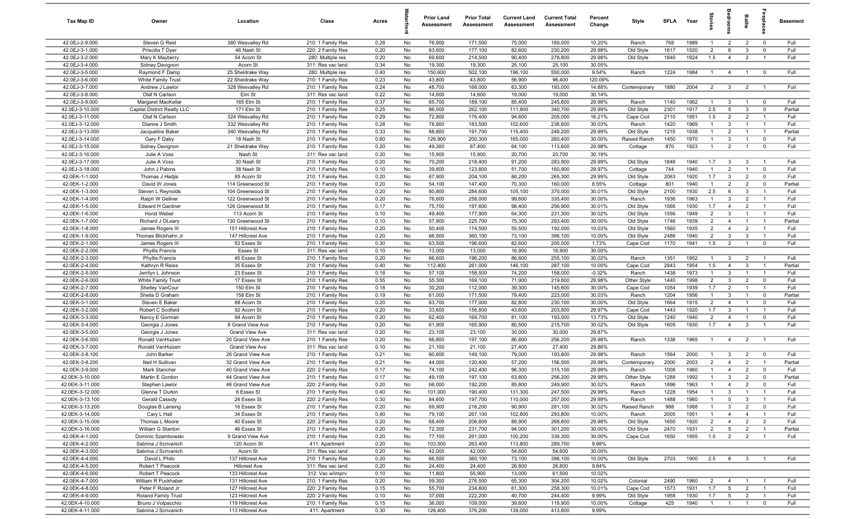| Tax Map ID                         | Owner                                         | Location                                  | Class                                  | Acres        |          | <b>Prior Land</b><br>Assessment | <b>Prior Total</b><br>Assessment | <b>Current Land</b><br>Assessment | <b>Current Total</b><br>Assessment | Percent<br>Change | Style                 | SFLA         | Year         | $\vec{a}$                        |                                | <b>Baths</b>                     | lrepla                        | <b>Basement</b> |
|------------------------------------|-----------------------------------------------|-------------------------------------------|----------------------------------------|--------------|----------|---------------------------------|----------------------------------|-----------------------------------|------------------------------------|-------------------|-----------------------|--------------|--------------|----------------------------------|--------------------------------|----------------------------------|-------------------------------|-----------------|
| 42.0EJ-2-9.000                     | Steven G Reid                                 | 380 Wesvalley Rd                          | 210: 1 Family Res                      | 0.28         | No       | 76,900                          | 171,500                          | 75,000                            | 189,000                            | 10.20%            | Ranch                 | 768          | 1989         | $\overline{1}$                   | $\overline{2}$                 | 2                                | $\mathbf 0$                   | Full            |
| 42.0EJ-3-1.000                     | Priscilla T Dyer                              | 46 Nash St                                | 220: 2 Family Res                      | 0.20         | No       | 63,600                          | 177,100                          | 82,600                            | 230,200                            | 29.98%            | Old Style             | 1617         | 1920         | $\overline{2}$                   | 6                              | $\mathbf{3}$                     | $\mathbf 0$                   | Full            |
| 42.0EJ-3-2.000                     | Mary K Mayberry                               | 54 Acorn St                               | 280: Multiple res                      | 0.20         | No       | 69,600                          | 214,500                          | 90,400                            | 278,800                            | 29.98%            | Old Style             | 1840         | 1924         | 1.5                              | $\overline{4}$                 | $\overline{2}$                   | $\overline{1}$                | Full            |
| 42.0EJ-3-4.000                     | Sidney Davignon                               | Acorn St                                  | 311: Res vac land                      | 0.34         | No       | 19,300                          | 19,300                           | 25,100                            | 25,100                             | 30.05%            |                       |              |              |                                  |                                |                                  |                               |                 |
| 42.0EJ-3-5.000                     | Raymond F Damp                                | 25 Sheldrake Way                          | 280: Multiple res                      | 0.40         | No       | 150,900                         | 502,100                          | 196,100                           | 550,000                            | 9.54%             | Ranch                 | 1224         | 1984         | $\overline{1}$                   | $\overline{4}$                 | $\overline{1}$                   | $\overline{\mathbf{0}}$       | Full            |
| 42.0EJ-3-6.000                     | White Family Trust                            | 22 Sheldrake Way                          | 210: 1 Family Res                      | 0.23         | No       | 43,800                          | 43,800                           | 56,900                            | 96,400                             | 120.09%           |                       |              |              |                                  |                                |                                  |                               |                 |
| 42.0EJ-3-7.000                     | Andrew J Lawlor                               | 328 Wesvalley Rd                          | 210: 1 Family Res                      | 0.24         | No       | 48,700                          | 168,000                          | 63,300                            | 193,000                            | 14.88%            | Contemporary          | 1880         | 2004         | $\overline{2}$                   | $\mathbf{3}$                   | $\overline{2}$                   |                               | Full            |
| 42.0EJ-3-8.000                     | Olaf N Carlson                                | Elm St                                    | 311: Res vac land                      | 0.22         | No       | 14,600                          | 14,600                           | 19,000                            | 19,000                             | 30.14%            |                       |              |              |                                  |                                |                                  |                               |                 |
| 42.0EJ-3-9.000                     | Margaret MacKellar                            | 165 Elm St                                | 210: 1 Family Res                      | 0.37         | No       | 65,700                          | 189,100                          | 85,400                            | 245,800                            | 29.98%            | Ranch                 | 1140         | 1962         | $\overline{1}$                   | $\mathbf{3}$                   | $\overline{1}$                   | $\mathbf 0$                   | Full            |
| 42.0EJ-3-10.000<br>42.0EJ-3-11.000 | Capital District Realty LLC<br>Olaf N Carlson | 171 Elm St<br>324 Wesvalley Rd            | 210: 1 Family Res                      | 0.25<br>0.29 | No<br>No | 86,000<br>72,800                | 262,100<br>176,400               | 111,800<br>94,600                 | 340,700<br>205,000                 | 29.99%<br>16.21%  | Old Style<br>Cape Cod | 2301<br>2110 | 1917<br>1951 | 2.5<br>1.5                       | 5<br>$\overline{2}$            | $\mathbf{3}$<br>$\overline{2}$   | $\mathbf 0$<br>$\overline{1}$ | Partial<br>Full |
| 42.0EJ-3-12.000                    | Dianne J Smith                                | 332 Wesvalley Rd                          | 210: 1 Family Res<br>210: 1 Family Res | 0.28         | No       | 78,900                          | 183,500                          | 102,600                           | 238,600                            | 30.03%            | Ranch                 | 1420         | 1969         | $\overline{1}$                   | $\mathbf{3}$                   | $\overline{1}$                   | $\overline{1}$                | Full            |
| 42.0EJ-3-13.000                    | Jacqueline Baker                              | 340 Wesvalley Rd                          | 210: 1 Family Res                      | 0.33         | No       | 88,800                          | 191,700                          | 115,400                           | 249,200                            | 29.99%            | Old Style             | 1215         | 1938         | $\overline{1}$                   | $\overline{2}$                 | $\overline{1}$                   | $\overline{1}$                | Partial         |
| 42.0EJ-3-14.000                    | Gary F Daby                                   | 18 Nash St                                | 210: 1 Family Res                      | 0.60         | No       | 126,900                         | 200,300                          | 165,000                           | 260,400                            | 30.00%            | Raised Ranch          | 1450         | 1970         | $\overline{1}$                   | $\mathbf{3}$                   | $\overline{1}$                   | $\mathbf 0$                   | Full            |
| 42.0EJ-3-15.000                    | Sidney Davignon                               | 21 Sheldrake Way                          | 210: 1 Family Res                      | 0.20         | No       | 49,300                          | 87,400                           | 64,100                            | 113,600                            | 29.98%            | Cottage               | 870          | 1923         | $\overline{1}$                   | 2                              | $\overline{1}$                   | $\mathbf 0$                   | Full            |
| 42.0EJ-3-16.000                    | Julie A Voss                                  | Nash St                                   | 311: Res vac land                      | 0.20         | No       | 15,900                          | 15,900                           | 20,700                            | 20,700                             | 30.19%            |                       |              |              |                                  |                                |                                  |                               |                 |
| 42.0EJ-3-17.000                    | Julie A Voss                                  | 30 Nash St                                | 210: 1 Family Res                      | 0.20         | No       | 70,200                          | 218,400                          | 91,200                            | 283,900                            | 29.99%            | Old Style             | 1846         | 1940         | 1.7                              | $\mathbf{3}$                   | $\mathbf{3}$                     | $\overline{1}$                | Full            |
| 42.0EJ-3-18.000                    | John J Pabins                                 | 38 Nash St                                | 210: 1 Family Res                      | 0.10         | No       | 39,800                          | 123,800                          | 51,700                            | 160,900                            | 29.97%            | Cottage               | 744          | 1940         |                                  | $\overline{2}$                 | $\overline{1}$                   | $\overline{0}$                | Full            |
| 42.0EK-1-1.000                     | Thomas J Hadjis                               | 85 Acorn St                               | 210: 1 Family Res                      | 0.20         | No       | 67,900                          | 204,100                          | 88,200                            | 265,300                            | 29.99%            | Old Style             | 2063         | 1920         | 1.7                              | $\mathbf{3}$                   | $\overline{2}$                   | $\Omega$                      | Full            |
| 42.0EK-1-2.000                     | David W Jones                                 | 114 Greenwood St                          | 210: 1 Family Res                      | 0.20         | No       | 54,100                          | 147,400                          | 70,300                            | 160,000                            | 8.55%             | Cottage               | 801          | 1940         | $\mathbf{1}$                     | 2                              | $\overline{2}$                   | $\mathbf 0$                   | Partial         |
| 42.0EK-1-3.000                     | Steven L Reynolds                             | 104 Greenwood St                          | 210: 1 Family Res                      | 0.20         | No       | 80,800                          | 284,600                          | 105,100                           | 370,000                            | 30.01%            | Old Style             | 2100         | 1930         | 2.5                              | 6                              | $\mathbf{3}$                     | $\overline{1}$                | Full            |
| 42.0EK-1-4.000                     | Ralph W Gellner                               | 122 Greenwood St                          | 210: 1 Family Res                      | 0.20         | No       | 76,600                          | 258,000                          | 99,600                            | 335,400                            | 30.00%            | Ranch                 | 1936         | 1963         | $\overline{1}$                   | $\mathbf{3}$                   | $\overline{2}$                   | $\overline{1}$                | Full            |
| 42.0EK-1-5.000                     | Edward H Gardner                              | 126 Greenwood St                          | 210: 1 Family Res                      | 0.17         | No       | 75,700                          | 197,600                          | 98,400                            | 256,900                            | 30.01%            | Old Style             | 1566         | 1930         | 1.7                              | $\overline{4}$                 | $\overline{2}$                   | $\overline{1}$                | Full            |
| 42.0EK-1-6.000                     | Horst Weber                                   | 113 Acorn St                              | 210: 1 Family Res                      | 0.10         | No       | 49,400                          | 177,900                          | 64,300                            | 231,300                            | 30.02%            | Old Style             | 1556         | 1949         | $\overline{2}$                   | $\mathbf{3}$                   | $\overline{1}$                   | $\overline{1}$                | Full            |
| 42.0EK-1-7.000                     | Richard J OLeary                              | 130 Greenwood St                          | 210: 1 Family Res                      | 0.10         | No       | 57,900                          | 225,700                          | 75,300                            | 293,400                            | 30.00%            | Old Style             | 1746         | 1939         | $\overline{2}$                   | $\overline{4}$                 | $\overline{1}$                   | $\overline{1}$                | Partial         |
| 42.0EK-1-8.000                     | James Rogers III                              | 151 Hillcrest Ave                         | 210: 1 Family Res                      | 0.20         | No       | 50,400                          | 174,500                          | 55,500                            | 192,000                            | 10.03%            | Old Style             | 1560         | 1935         | $\overline{2}$                   | $\overline{4}$                 | $\overline{2}$                   | $\overline{1}$                | Full            |
| 42.0EK-1-9.000                     | Thomas Blickhahn Jr                           | 147 Hillcrest Ave                         | 210: 1 Family Res                      | 0.20         | No       | 66,500                          | 360,100                          | 73,100                            | 396,100                            | 10.00%            | Old Style             | 2486         | 1940         | $\overline{2}$                   | $\mathbf{3}$                   | $\mathbf{3}$                     | $\overline{1}$                | Full            |
| 42.0EK-2-1.000                     | James Rogers III                              | 53 Essex St                               | 210: 1 Family Res                      | 0.30         | No       | 63,500                          | 196,600                          | 82,600                            | 200,000                            | 1.73%             | Cape Cod              | 1170         | 1941         | 1.5                              | $\overline{2}$                 | $\overline{1}$                   | $\overline{0}$                | Full            |
| 42.0EK-2-2.000                     | <b>Phyllis Francis</b>                        | Essex St                                  | 311: Res vac land                      | 0.10         | No       | 13,000                          | 13,000                           | 16,900                            | 16,900                             | 30.00%            |                       |              |              |                                  |                                |                                  |                               |                 |
| 42.0EK-2-3.000                     | <b>Phyllis Francis</b>                        | 45 Essex St                               | 210: 1 Family Res                      | 0.20         | No       | 66,600                          | 196,200                          | 86,600                            | 255,100                            | 30.02%            | Ranch                 | 1351         | 1952         | $\mathbf{1}$                     | $\mathbf{3}$                   | $\overline{2}$                   | $\overline{1}$                | Full            |
| 42.0EK-2-4.000                     | Kathryn R Reiss                               | 35 Essex St                               | 210: 1 Family Res                      | 0.40         | No       | 112,400                         | 261,000                          | 146,100                           | 287,100                            | 10.00%            | Cape Cod              | 2843         | 1954         | 1.5                              | $\overline{4}$                 | $\mathbf{3}$                     |                               | Partial         |
| 42.0EK-2-5.000                     | Jerrilyn L Johnson                            | 23 Essex St                               | 210: 1 Family Res                      | 0.18         | No       | 57,100                          | 158,500                          | 74,200                            | 158,000                            | $-0.32%$          | Ranch                 | 1438         | 1973         | $\mathbf{1}$                     | 3                              |                                  |                               | Full            |
| 42.0EK-2-6.000                     | White Family Trust                            | 17 Essex St                               | 210: 1 Family Res                      | 0.55         | No       | 55,300                          | 169,100                          | 71,900                            | 219,800                            | 29.98%            | Other Style           | 1440         | 1998         | $\overline{2}$                   | 3                              | $\overline{2}$                   | $\mathbf 0$                   | Full            |
| 42.0EK-2-7.000                     | Shelley VanCour                               | 150 Elm St                                | 210: 1 Family Res                      | 0.18         | No       | 30,200                          | 112,000                          | 39,300                            | 145,600                            | 30.00%            | Cape Cod              | 1054         | 1939         | 1.7                              | $\overline{2}$                 | $\overline{1}$                   | $\overline{1}$                | Full            |
| 42.0EK-2-8.000                     | Sheila D Graham                               | 158 Elm St                                | 210: 1 Family Res                      | 0.19         | No       | 61,000                          | 171,500                          | 79,400                            | 223,000                            | 30.03%            | Ranch                 | 1204         | 1956<br>1915 | $\overline{1}$<br>$\overline{2}$ | $\mathbf{3}$<br>$\overline{4}$ | $\overline{1}$<br>$\overline{1}$ | $\mathbf 0$<br>$\overline{0}$ | Partial<br>Full |
| 42.0EK-3-1.000<br>42.0EK-3-2.000   | Steven E Baker                                | 88 Acorn St<br>92 Acorn St                | 210: 1 Family Res                      | 0.20<br>0.20 | No<br>No | 63,700<br>33,600                | 177,000<br>156,800               | 82,800                            | 230,100<br>203,800                 | 30.00%<br>29.97%  | Old Style             | 1664<br>1443 | 1920         | 1.7                              | $\mathbf{3}$                   | $\overline{1}$                   | $\overline{1}$                | Full            |
| 42.0EK-3-3.000                     | Robert C Scofield<br>Nancy E Gorman           | 94 Acorn St                               | 210: 1 Family Res<br>210: 1 Family Res | 0.20         | No       | 62,400                          | 169,700                          | 43,600<br>81,100                  | 193,000                            | 13.73%            | Cape Cod<br>Old Style | 1240         | 1940         | $\overline{2}$                   | $\overline{4}$                 | $\overline{1}$                   | $\mathbf 0$                   | Full            |
| 42.0EK-3-4.000                     | Georgia J Jones                               | 8 Grand View Ave                          | 210: 1 Family Res                      | 0.20         | No       | 61,900                          | 165,900                          | 80,500                            | 215,700                            | 30.02%            | Old Style             | 1605         | 1930         | 1.7                              | $\overline{4}$                 | $\mathbf{3}$                     | $\overline{1}$                | Full            |
| 42.0EK-3-5.000                     | Georgia J Jones                               | Grand View Ave                            | 311: Res vac land                      | 0.20         | No       | 23,100                          | 23,100                           | 30,000                            | 30,000                             | 29.87%            |                       |              |              |                                  |                                |                                  |                               |                 |
| 42.0EK-3-6.000                     | Ronald VanHuizen                              | 20 Grand View Ave                         | 210: 1 Family Res                      | 0.20         | No       | 66,800                          | 197,100                          | 86,800                            | 256,200                            | 29.98%            | Ranch                 | 1338         | 1965         | $\overline{1}$                   | $\overline{4}$                 | $\overline{2}$                   |                               | Full            |
| 42.0EK-3-7.000                     | Ronald VanHuizen                              | Grand View Ave                            | 311: Res vac land                      | 0.10         | No       | 21,100                          | 21,100                           | 27,400                            | 27,400                             | 29.86%            |                       |              |              |                                  |                                |                                  |                               |                 |
| 42.0EK-3-8.100                     | John Barker                                   | 26 Grand View Ave                         | 210: 1 Family Res                      | 0.21         | No       | 60,800                          | 149,100                          | 79,000                            | 193,800                            | 29.98%            | Ranch                 | 1564         | 2000         | $\mathbf{1}$                     | $\mathbf{3}$                   | $\overline{2}$                   | $\mathbf 0$                   | Full            |
| 42.0EK-3-8.200                     | Neil H Sullivan                               | 32 Grand View Ave                         | 210: 1 Family Res                      | 0.21         | No       | 44,000                          | 120,400                          | 57,200                            | 156,500                            | 29.98%            | Contemporary          | 2000         | 2003         | $\overline{2}$                   | $\overline{4}$                 | $\overline{2}$                   |                               | Partial         |
| 42.0EK-3-9.000                     | Mark Stancher                                 | 40 Grand View Ave                         | 220: 2 Family Res                      | 0.17         | No       | 74,100                          | 242,400                          | 96,300                            | 315,100                            | 29.99%            | Ranch                 | 1008         | 1960         |                                  | $\overline{4}$                 | $\overline{2}$                   | $\Omega$                      | Full            |
| 42.0EK-3-10.000                    | Martin E Gordon                               | 44 Grand View Ave                         | 210: 1 Family Res                      | 0.17         | No       | 49,100                          | 197,100                          | 63,800                            | 256,200                            | 29.98%            | Other Style           | 1288         | 1992         | $\overline{1}$                   | $\mathbf{3}$                   | $\overline{2}$                   | $\mathbf 0$                   | Partial         |
| 42.0EK-3-11.000                    | Stephen Lawlor                                | 46 Grand View Ave                         | 220: 2 Family Res                      | 0.20         | No       | 66,000                          | 192,200                          | 85,800                            | 249,900                            | 30.02%            | Ranch                 | 1896         | 1963         | $\overline{1}$                   | $\overline{4}$                 | $\overline{2}$                   |                               | Full            |
| 42.0EK-3-12.000                    | Glenna T Durkin                               | 6 Essex St                                | 210: 1 Family Res                      | 0.40         | No       | 101,000                         | 190,400                          | 131,300                           | 247,500                            | 29.99%            | Ranch                 | 1228         | 1954         | $\overline{1}$                   | $\mathbf{3}$                   | $\overline{1}$                   | $\overline{1}$                | Full            |
| 42.0EK-3-13.100                    | Gerald Cassidy                                | 24 Essex St                               | 220: 2 Family Res                      | 0.30         | No       | 84,600                          | 197,700                          | 110,000                           | 257,000                            | 29.99%            | Ranch                 | 1488         | 1960         | $\overline{1}$                   | 5                              | $\mathbf{3}$                     | $\overline{1}$                | Full            |
| 42.0EK-3-13.200                    | Douglas B Lansing                             | 16 Essex St                               | 210: 1 Family Res                      | 0.20         | No       | 69,900                          | 216,200                          | 90,900                            | 281,100                            | 30.02%            | Raised Ranch          | 988          | 1988         | $\overline{1}$                   | $\mathbf{3}$                   | $\overline{2}$                   | $\mathbf 0$                   | Full            |
| 42.0EK-3-14.000                    | Cary L Hall                                   | 34 Essex St                               | 210: 1 Family Res                      | 0.40         | No       | 79,100                          | 267,100                          | 102,800                           | 293,800                            | 10.00%            | Ranch                 | 2005         | 1951         | $\overline{1}$                   | $\overline{4}$                 | $\overline{4}$                   | $\overline{1}$                | Full            |
| 42.0EK-3-15.000                    | Thomas L Moore                                | 40 Essex St                               | 220: 2 Family Res                      | 0.20         | No       | 68,400                          | 206,800                          | 88,900                            | 268,800                            | 29.98%            | Old Style             | 1650         | 1920         | $\overline{2}$                   | $\overline{4}$                 | $\overline{2}$                   | $\overline{2}$                | Full            |
| 42.0EK-3-16.000                    | William G Stanton                             | 46 Essex St                               | 210: 1 Family Res                      | 0.20         | No       | 72,300                          | 231,700                          | 94,000                            | 301,200                            | 30.00%            | Old Style             | 2470         | 1931         | $\overline{2}$                   | $5\overline{)}$                | $\overline{2}$                   | $\overline{1}$                | Partial         |
| 42.0EK-4-1.000                     | Dominic Szambowski                            | 9 Grand View Ave                          | 210: 1 Family Res                      | 0.20         | No       | 77,100                          | 261,000                          | 100,200                           | 339,300                            | 30.00%            | Cape Cod              | 1650         | 1955         | 1.5                              | $\overline{2}$                 | $\overline{2}$                   | $\mathbf{1}$                  | Full            |
| 42.0EK-4-2.000                     | Sabrina J Scrivanich                          | 120 Acorn St                              | 411: Apartment                         | 0.20         | No       | 103,500                         | 263,400                          | 113,800                           | 289,700                            | 9.98%             |                       |              |              |                                  |                                |                                  |                               |                 |
| 42.0EK-4-3.000                     | Sabrina J Scrivanich                          | Acorn St                                  | 311: Res vac land                      | 0.20         | No       | 42,000                          | 42,000                           | 54,600                            | 54,600                             | 30.00%            |                       |              |              |                                  |                                |                                  |                               |                 |
| 42.0EK-4-4.000<br>42.0EK-4-5.000   | David L Philo<br>Robert T Peacock             | 137 Hillcrest Ave<br><b>Hillcrest Ave</b> | 210: 1 Family Res<br>311: Res vac land | 0.20<br>0.20 | No<br>No | 66,500<br>24,400                | 360,100<br>24,400                | 73,100<br>26,800                  | 396,100<br>26,800                  | 10.00%<br>9.84%   | Old Style             | 2703         | 1900         | 2.5                              | $6\overline{6}$                | 3 <sup>3</sup>                   |                               | Full            |
| 42.0EK-4-6.000                     | Robert T Peacock                              | 133 Hillcrest Ave                         | 312: Vac w/imprv                       | 0.10         | No       | 11,800                          | 55,900                           | 13,000                            | 61,500                             | 10.02%            |                       |              |              |                                  |                                |                                  |                               |                 |
| 42.0EK-4-7.000                     | William R Puckhaber                           | 131 Hillcrest Ave                         | 210: 1 Family Res                      | 0.20         | No       | 59,300                          | 276,500                          | 65,300                            | 304,200                            | 10.02%            | Colonial              | 2490         | 1960         | $\overline{2}$                   | $\overline{4}$                 | $\overline{1}$                   | $\overline{1}$                | Full            |
| 42.0EK-4-8.000                     | Peter F Roland Jr                             | 127 Hillcrest Ave                         | 220: 2 Family Res                      | 0.15         | No       | 55,700                          | 234,800                          | 61,300                            | 258,300                            | 10.01%            | Cape Cod              | 1573         | 1931         | 1.7                              | $5\overline{)}$                | $\overline{2}$                   | $\overline{1}$                | Full            |
| 42.0EK-4-9.000                     | Roland Family Trust                           | 123 Hillcrest Ave                         | 220: 2 Family Res                      | 0.10         | No       | 37,000                          | 222,200                          | 40,700                            | 244,400                            | 9.99%             | Old Style             | 1958         | 1930         | 1.7                              | $5\overline{)}$                | $\overline{2}$                   | $\overline{1}$                | Full            |
| 42.0EK-4-10.000                    | Bruno J Volpacchio                            | 119 Hillcrest Ave                         | 210: 1 Family Res                      | 0.15         | No       | 36,000                          | 109,000                          | 39,600                            | 119,900                            | 10.00%            | Cottage               | 425          | 1940         | $\overline{1}$                   | $\overline{1}$                 | $\overline{1}$                   | $\mathbf 0$                   | Full            |
| 42.0EK-4-11.000                    | Sabrina J Scrivanich                          | 113 Hillcrest Ave                         | 411: Apartment                         | 0.30         | No       | 126,400                         | 376,200                          | 139,000                           | 413,800                            | 9.99%             |                       |              |              |                                  |                                |                                  |                               |                 |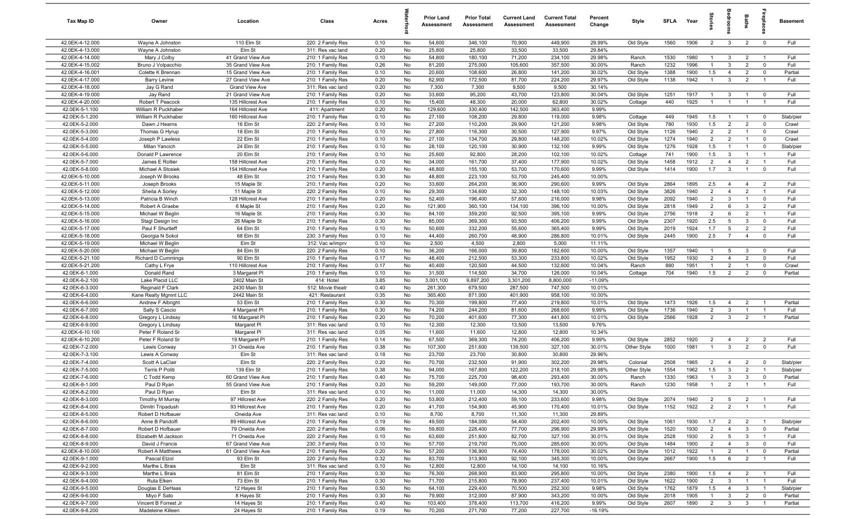| Tax Map ID                         | Owner                                | Location                               | Class                                  | Acres        |          | <b>Prior Land</b><br>Assessment | <b>Prior Total</b><br>Assessment | <b>Current Land</b><br>Assessment | <b>Current Total</b><br>Assessment | Percent<br>Change   | Style                  | <b>SFLA</b>  | Year         | 흧                     |                                | Baths                            | repla                            | <b>Basement</b> |
|------------------------------------|--------------------------------------|----------------------------------------|----------------------------------------|--------------|----------|---------------------------------|----------------------------------|-----------------------------------|------------------------------------|---------------------|------------------------|--------------|--------------|-----------------------|--------------------------------|----------------------------------|----------------------------------|-----------------|
| 42.0EK-4-12.000                    | Wayne A Johnston                     | 110 Elm St                             | 220: 2 Family Res                      | 0.10         | No       | 54,600                          | 346,100                          | 70,900                            | 449,900                            | 29.99%              | Old Style              | 1560         | 1906         | $\overline{2}$        | $\mathbf{3}$                   | $\overline{2}$                   | $\mathbf 0$                      | Full            |
| 42.0EK-4-13.000                    | Wayne A Johnston                     | Elm St                                 | 311: Res vac land                      | 0.20         | No       | 25,800                          | 25,800                           | 33,500                            | 33,500                             | 29.84%              |                        |              |              |                       |                                |                                  |                                  |                 |
| 42.0EK-4-14.000                    | Mary J Colby                         | 41 Grand View Ave                      | 210: 1 Family Res                      | 0.10         | No       | 54,800                          | 180,100                          | 71,200                            | 234,100                            | 29.98%              | Ranch                  | 1530         | 1980         | $\mathbf{1}$          | $\mathbf{3}$                   | $\overline{2}$                   | $\overline{1}$                   | Full            |
| 42.0EK-4-15.002                    | Bruno J Volpacchio                   | 35 Grand View Ave                      | 210: 1 Family Res                      | 0.26         | No       | 81,200                          | 275,000                          | 105,600                           | 357,500                            | 30.00%              | Ranch                  | 1232         | 1996         | $\overline{1}$        | 3                              | $\overline{2}$                   | $\mathbf{0}$                     | Full            |
| 42.0EK-4-16.001<br>42.0EK-4-17.000 | Colette K Brennan                    | 15 Grand View Ave<br>27 Grand View Ave | 210: 1 Family Res<br>210: 1 Family Res | 0.10<br>0.20 | No<br>No | 20,600<br>62,900                | 108,600<br>172,500               | 26,800<br>81,700                  | 141,200<br>224,200                 | 30.02%<br>29.97%    | Old Style<br>Old Style | 1388<br>1138 | 1900<br>1942 | 1.5                   | $\overline{4}$<br>3            | $\overline{2}$<br>$\overline{2}$ | $\mathbf 0$<br>$\overline{1}$    | Partial<br>Full |
| 42.0EK-4-18.000                    | <b>Barry Levine</b><br>Jay G Rand    | Grand View Ave                         | 311: Res vac land                      | 0.20         | No       | 7,300                           | 7,300                            | 9,500                             | 9,500                              | 30.14%              |                        |              |              |                       |                                |                                  |                                  |                 |
| 42.0EK-4-19.000                    | Jay Rand                             | 21 Grand View Ave                      | 210: 1 Family Res                      | 0.20         | No       | 33,600                          | 95,200                           | 43,700                            | 123,800                            | 30.04%              | Old Style              | 1251         | 1917         |                       | $\mathbf{3}$                   | $\overline{1}$                   | $\mathbf 0$                      | Full            |
| 42.0EK-4-20.000                    | Robert T Peacock                     | 135 Hillcrest Ave                      | 210: 1 Family Res                      | 0.10         | No       | 15,400                          | 48,300                           | 20,000                            | 62,800                             | 30.02%              | Cottage                | 440          | 1925         | $\mathbf{1}$          | $\overline{1}$                 | $\overline{1}$                   | $\overline{1}$                   | Full            |
| 42.0EK-5-1.100                     | William R Puckhaber                  | 164 Hillcrest Ave                      | 411: Apartment                         | 0.20         | No       | 129,600                         | 330,400                          | 142,500                           | 363,400                            | 9.99%               |                        |              |              |                       |                                |                                  |                                  |                 |
| 42.0EK-5-1.200                     | William R Puckhaber                  | 160 Hillcrest Ave                      | 210: 1 Family Res                      | 0.10         | No       | 27,100                          | 108,200                          | 29,800                            | 119,000                            | 9.98%               | Cottage                | 449          | 1945         | 1.5                   | $\overline{1}$                 | $\overline{1}$                   | $\mathbf 0$                      | Slab/pier       |
| 42.0EK-5-2.000                     | Dawn J Hearns                        | 16 Elm St                              | 220: 2 Family Res                      | 0.10         | No       | 27,200                          | 110,200                          | 29,900                            | 121,200                            | 9.98%               | Old Style              | 780          | 1930         | 1.5                   | $\overline{2}$                 | $\overline{2}$                   | $\Omega$                         | Crawl           |
| 42.0EK-5-3.000                     | Thomas G Hyrup                       | 18 Elm St                              | 210: 1 Family Res                      | 0.10         | No       | 27,800                          | 116,300                          | 30,500                            | 127,900                            | 9.97%               | Old Style              | 1126         | 1940         | $\overline{2}$        | $\overline{2}$                 | $\overline{1}$                   | $\Omega$                         | Crawl           |
| 42.0EK-5-4.000                     | Joseph P Lawless                     | 22 Elm St                              | 210: 1 Family Res                      | 0.10         | No       | 27,100                          | 134,700                          | 29,800                            | 148,200                            | 10.02%              | Old Style              | 1274         | 1940         | $\overline{2}$        | $\overline{2}$                 | $\overline{1}$                   | $\mathbf 0$                      | Crawl           |
| 42.0EK-5-5.000                     | Milan Yancich                        | 24 Elm St                              | 210: 1 Family Res                      | 0.10         | No       | 28,100                          | 120,100                          | 30,900                            | 132,100                            | 9.99%               | Old Style              | 1276         | 1928         | 1.5                   | $\overline{1}$                 | $\overline{1}$                   | $\mathbf{0}$                     | Slab/pier       |
| 42.0EK-5-6.000                     | Donald P Lawrence                    | 20 Elm St                              | 210: 1 Family Res                      | 0.10         | No       | 25,600                          | 92,800                           | 28,200                            | 102,100                            | 10.02%              | Cottage                | 741          | 1900         | 1.5                   | $\mathbf{3}$                   | $\overline{1}$                   | $\overline{1}$                   | Full            |
| 42.0EK-5-7.000                     | James E Rollier                      | 158 Hillcrest Ave                      | 210: 1 Family Res                      | 0.10         | No       | 34,000                          | 161,700                          | 37,400                            | 177,900                            | 10.02%              | Old Style              | 1458         | 1912         | $\overline{2}$        | $\overline{4}$                 | $\overline{2}$                   | $\mathbf{1}$                     | Full            |
| 42.0EK-5-8.000<br>42.0EK-5-10.000  | Michael A Stosiek<br>Joseph W Brooks | 154 Hillcrest Ave<br>48 Elm St         | 210: 1 Family Res                      | 0.20<br>0.30 | No<br>No | 48,800<br>48,800                | 155,100<br>223,100               | 53,700<br>53,700                  | 170,600<br>245,400                 | 9.99%<br>10.00%     | Old Style              | 1414         | 1900         | 1.7                   | $\mathbf{3}$                   | $\overline{1}$                   | $\mathbf 0$                      | Full            |
| 42.0EK-5-11.000                    | Joseph Brooks                        | 15 Maple St                            | 210: 1 Family Res<br>210: 1 Family Res | 0.20         | No       | 33,600                          | 264,200                          | 36,900                            | 290,600                            | 9.99%               | Old Style              | 2864         | 1895         | 2.5                   | $\overline{4}$                 | $\overline{4}$                   | $\overline{2}$                   | Full            |
| 42.0EK-5-12.000                    | Sheila A Sorley                      | 11 Maple St                            | 220: 2 Family Res                      | 0.10         | No       | 29,300                          | 134,600                          | 32,300                            | 148,100                            | 10.03%              | Old Style              | 3826         | 1940         | $\overline{2}$        | $\overline{4}$                 | $\overline{2}$                   | $\overline{1}$                   | Full            |
| 42.0EK-5-13.000                    | Patricia B Winch                     | 128 Hillcrest Ave                      | 210: 1 Family Res                      | 0.20         | No       | 52,400                          | 196,400                          | 57,600                            | 216,000                            | 9.98%               | Old Style              | 2092         | 1940         | $\overline{2}$        | $\mathbf{3}$                   | $\overline{1}$                   | $\mathbf 0$                      | Full            |
| 42.0EK-5-14.000                    | Robert A Graebe                      | 6 Maple St                             | 210: 1 Family Res                      | 0.20         | No       | 121,900                         | 360,100                          | 134,100                           | 396,100                            | 10.00%              | Old Style              | 2818         | 1949         | $\overline{2}$        | 6                              | $\mathbf{3}$                     | $\overline{2}$                   | Full            |
| 42.0EK-5-15.000                    | Michael W Beglin                     | 16 Maple St                            | 210: 1 Family Res                      | 0.30         | No       | 84,100                          | 359,200                          | 92,500                            | 395,100                            | 9.99%               | Old Style              | 2756         | 1918         | $\overline{2}$        | 6                              | $\overline{2}$                   | $\overline{1}$                   | Full            |
| 42.0EK-5-16.000                    | Stagl Design Inc                     | 26 Maple St                            | 210: 1 Family Res                      | 0.30         | No       | 85,000                          | 369,300                          | 93,500                            | 406,200                            | 9.99%               | Old Style              | 2307         | 1920         | 2.5                   | $5\overline{5}$                | $\mathbf{3}$                     | $\mathbf 0$                      | Full            |
| 42.0EK-5-17.000                    | Paul F Shurtleff                     | 64 Elm St                              | 210: 1 Family Res                      | 0.10         | No       | 50,600                          | 332,200                          | 55,600                            | 365,400                            | 9.99%               | Old Style              | 2019         | 1924         | 1.7                   | $5\overline{5}$                | $\overline{2}$                   | 2                                | Full            |
| 42.0EK-5-18.000                    | Georgia N Sokol                      | 68 Elm St                              | 230: 3 Family Res                      | 0.10         | No       | 44,400                          | 260,700                          | 48,900                            | 286,800                            | 10.01%              | Old Style              | 2445         | 1900         | 2.5                   | $\overline{7}$                 | $\overline{4}$                   | $\mathbf{0}$                     | Full            |
| 42.0EK-5-19.000                    | Michael W Beglin                     | Elm St                                 | 312: Vac w/imprv                       | 0.10         | No       | 2,500                           | 4,500                            | 2,800                             | 5,000                              | 11.11%              |                        |              |              |                       |                                |                                  |                                  |                 |
| 42.0EK-5-20.000                    | Michael W Beglin                     | 84 Elm St                              | 220: 2 Family Res                      | 0.10         | No       | 36,200                          | 166,000                          | 39,800                            | 182,600                            | 10.00%              | Old Style              | 1357         | 1940         | $\mathbf{1}$          | $5\overline{5}$                | $\mathbf{3}$                     | $\mathbf 0$                      | Full            |
| 42.0EK-5-21.100                    | <b>Richard D Cummings</b>            | 90 Elm St                              | 210: 1 Family Res                      | 0.17         | No       | 48,400                          | 212,500                          | 53,300                            | 233,800                            | 10.02%              | Old Style              | 1952         | 1930         | $\overline{2}$        | $\overline{4}$                 | $\overline{2}$                   | $\mathbf 0$                      | Full            |
| 42.0EK-5-21.200                    | Cathy L Frye                         | 110 Hillcrest Ave                      | 210: 1 Family Res                      | 0.17         | No       | 40,400                          | 120,500                          | 44,500                            | 132,600                            | 10.04%              | Ranch                  | 880          | 1951         | -1                    | $\overline{2}$                 | $\overline{1}$                   | $\mathbf 0$                      | Crawl           |
| 42.0EK-6-1.000<br>42.0EK-6-2.100   | Donald Rand<br>Lake Placid LLC       | 3 Margaret Pl<br>2402 Main St          | 210: 1 Family Res<br>414: Hotel        | 0.10<br>3.85 | No<br>No | 31,500<br>3,001,100             | 114,500<br>9,897,200             | 34,700<br>3,301,200               | 126,000<br>8,800,000               | 10.04%<br>$-11.09%$ | Cottage                | 704          | 1940         | 1.5                   | $\overline{2}$                 | $\overline{2}$                   | $\Omega$                         | Partial         |
| 42.0EK-6-3.000                     | Reginald F Clark                     | 2430 Main St                           | 512: Movie theatr                      | 0.40         | No       | 261,300                         | 679,500                          | 287,500                           | 747,500                            | 10.01%              |                        |              |              |                       |                                |                                  |                                  |                 |
| 42.0EK-6-4.000                     | Kane Realty Mgmnt LLC                | 2442 Main St                           | 421: Restaurant                        | 0.35         | No       | 365,400                         | 871,000                          | 401,900                           | 958,100                            | 10.00%              |                        |              |              |                       |                                |                                  |                                  |                 |
| 42.0EK-6-6.000                     | Andrew F Albright                    | 53 Elm St                              | 210: 1 Family Res                      | 0.30         | No       | 70,300                          | 199,800                          | 77,400                            | 219,800                            | 10.01%              | Old Style              | 1473         | 1926         | 1.5                   | $\overline{4}$                 | $\overline{2}$                   | $\overline{1}$                   | Partial         |
| 42.0EK-6-7.000                     | Sally S Cascio                       | 4 Margaret Pl                          | 210: 1 Family Res                      | 0.30         | No       | 74,200                          | 244,200                          | 81,600                            | 268,600                            | 9.99%               | Old Style              | 1736         | 1940         | 2                     | $\mathbf{3}$                   | $\overline{1}$                   | $\overline{1}$                   | Full            |
| 42.0EK-6-8.000                     | Gregory L Lindsay                    | 16 Margaret PI                         | 210: 1 Family Res                      | 0.20         | No       | 70,200                          | 401,600                          | 77,300                            | 441,800                            | 10.01%              | Old Style              | 2566         | 1928         | $\overline{2}$        | $\mathbf{3}$                   | $\overline{2}$                   | $\overline{1}$                   | Partial         |
| 42.0EK-6-9.000                     | Gregory L Lindsay                    | Margaret PI                            | 311: Res vac land                      | 0.10         | No       | 12,300                          | 12,300                           | 13,500                            | 13,500                             | 9.76%               |                        |              |              |                       |                                |                                  |                                  |                 |
| 42.0EK-6-10.100                    | Peter F Roland Sr                    | Margaret PI                            | 311: Res vac land                      | 0.05         | No       | 11,600                          | 11,600                           | 12,800                            | 12,800                             | 10.34%              |                        |              |              |                       |                                |                                  |                                  |                 |
| 42.0EK-6-10.200                    | Peter F Roland Sr                    | 19 Margaret PI                         | 210: 1 Family Res                      | 0.14         | No       | 67,500                          | 369,300                          | 74,200                            | 406,200                            | 9.99%               | Old Style              | 2852         | 1920         | $\overline{2}$        | $\overline{4}$                 | $\overline{2}$                   | $\overline{2}$                   | Full            |
| 42.0EK-7-2.000                     | Lewis Conway                         | 31 Oneida Ave                          | 210: 1 Family Res                      | 0.38         | No       | 107,300                         | 251,600                          | 139,500                           | 327,100                            | 30.01%              | Other Style            | 1000         | 1981         | $\mathbf{1}$          | $\mathbf{3}$                   | $\overline{2}$                   | $\mathbf 0$                      | Full            |
| 42.0EK-7-3.100                     | Lewis A Conway                       | Elm St                                 | 311: Res vac land                      | 0.18         | No       | 23,700                          | 23,700                           | 30,800                            | 30,800                             | 29.96%              |                        |              |              |                       |                                |                                  |                                  |                 |
| 42.0EK-7-4.000                     | Scott A LaClair                      | Elm St                                 | 220: 2 Family Res                      | 0.20         | No       | 70,700                          | 232,500                          | 91,900                            | 302,200                            | 29.98%              | Colonial               | 2508         | 1965         | $\overline{2}$        | $\overline{4}$                 | $\overline{2}$                   | $\Omega$                         | Slab/pier       |
| 42.0EK-7-5.000                     | Terris P Politi                      | 139 Elm St                             | 210: 1 Family Res                      | 0.38<br>0.40 | No<br>No | 94,000<br>75,700                | 167,800                          | 122,200<br>98,400                 | 218,100<br>293,400                 | 29.98%<br>30.00%    | Other Style            | 1554<br>1330 | 1962<br>1963 | 1.5<br>$\overline{1}$ | $\mathbf{3}$<br>3              | $\overline{2}$<br>$\mathbf{3}$   |                                  | Slab/pier       |
| 42.0EK-7-6.000<br>42.0EK-8-1.000   | C Todd Kemp<br>Paul D Ryan           | 60 Grand View Ave<br>55 Grand View Ave | 210: 1 Family Res<br>210: 1 Family Res | 0.20         | No       | 59,200                          | 225,700<br>149,000               | 77,000                            | 193,700                            | 30.00%              | Ranch<br>Ranch         | 1230         | 1958         | $\overline{1}$        | $\overline{2}$                 | $\overline{1}$                   | $\mathbf 0$                      | Partial<br>Full |
| 42.0EK-8-2.000                     | Paul D Ryan                          | Elm St                                 | 311: Res vac land                      | 0.10         | No       | 11,000                          | 11,000                           | 14,300                            | 14,300                             | 30.00%              |                        |              |              |                       |                                |                                  |                                  |                 |
| 42.0EK-8-3.000                     | Timothy M Murray                     | 97 Hillcrest Ave                       | 220: 2 Family Res                      | 0.20         | No       | 53,800                          | 212,400                          | 59,100                            | 233,600                            | 9.98%               | Old Style              | 2074         | 1940         | $\overline{2}$        | $5\overline{)}$                | $\overline{2}$                   | $\overline{1}$                   | Full            |
| 42.0EK-8-4.000                     | Dimitri Tripadush                    | 93 Hillcrest Ave                       | 210: 1 Family Res                      | 0.20         | No       | 41,700                          | 154,900                          | 45,900                            | 170,400                            | 10.01%              | Old Style              | 1152         | 1922         | $\overline{2}$        | $\overline{2}$                 | $\overline{1}$                   | $\overline{1}$                   | Full            |
| 42.0EK-8-5.000                     | Robert D Hofbauer                    | Oneida Ave                             | 311: Res vac land                      | 0.10         | No       | 8,700                           | 8,700                            | 11,300                            | 11,300                             | 29.89%              |                        |              |              |                       |                                |                                  |                                  |                 |
| 42.0EK-8-6.000                     | Anne B Pandolfi                      | 89 Hillcrest Ave                       | 210: 1 Family Res                      | 0.19         | No       | 49,500                          | 184,000                          | 54,400                            | 202,400                            | 10.00%              | Old Style              | 1061         | 1930         | 1.7                   | $\overline{2}$                 | $\overline{2}$                   | $\overline{1}$                   | Slab/pier       |
| 42.0EK-8-7.000                     | Robert D Hofbauer                    | 79 Oneida Ave                          | 220: 2 Family Res                      | 0.06         | No       | 59,800                          | 228,400                          | 77,700                            | 296,900                            | 29.99%              | Old Style              | 1520         | 1930         | $\overline{2}$        | $\overline{4}$                 | $\mathbf{3}$                     | $\mathbf{0}$                     | Partial         |
| 42.0EK-8-8.000                     | Elizabeth M Jackson                  | 71 Oneida Ave                          | 220: 2 Family Res                      | 0.10         | No       | 63,600                          | 251,600                          | 82,700                            | 327,100                            | 30.01%              | Old Style              | 2528         | 1930         | $\overline{2}$        | 5                              | $\mathbf{3}$                     | $\overline{1}$                   | Full            |
| 42.0EK-8-9.000                     | David J Francis                      | 67 Grand View Ave                      | 230: 3 Family Res                      | 0.10         | No       | 57,700                          | 219,700                          | 75,000                            | 285,600                            | 30.00%              | Old Style              | 1484         | 1900         | $\overline{2}$        | $\overline{4}$                 | $\mathbf{3}$                     | $\mathbf 0$                      | Full            |
| 42.0EK-8-10.000                    | Robert A Matthews                    | 61 Grand View Ave                      | 210: 1 Family Res                      | 0.20         | No       | 57,200                          | 136,900                          | 74,400                            | 178,000                            | 30.02%              | Old Style              | 1012         | 1922         | $\mathbf{1}$          | $\overline{2}$                 | $\overline{1}$                   | $\mathbf 0$                      | Partial         |
| 42.0EK-9-1.000                     | Pascal Etzol                         | 93 Elm St                              | 220: 2 Family Res                      | 0.32         | No       | 83,700                          | 313,900                          | 92,100                            | 345,300                            | 10.00%              | Old Style              | 2667         | 1900         | 1.5                   | 6                              | $\overline{2}$                   | $\overline{1}$                   | Full            |
| 42.0EK-9-2.000                     | Marthe L Brais                       | Elm St                                 | 311: Res vac land                      | 0.10         | No       | 12,800                          | 12,800                           | 14,100                            | 14,100                             | 10.16%              |                        |              |              |                       |                                |                                  |                                  |                 |
| 42.0EK-9-3.000<br>42.0EK-9-4.000   | Marthe L Brais<br>Ruta Elken         | 81 Elm St<br>73 Elm St                 | 210: 1 Family Res<br>210: 1 Family Res | 0.30<br>0.30 | No<br>No | 76,300<br>71,700                | 268,900<br>215,800               | 83,900<br>78,900                  | 295,800<br>237,400                 | 10.00%<br>10.01%    | Old Style<br>Old Style | 2380<br>1622 | 1900<br>1900 | 1.5<br>$\overline{2}$ | $\overline{4}$<br>$\mathbf{3}$ | $\overline{2}$<br>$\overline{1}$ | $\overline{1}$<br>$\overline{1}$ | Full<br>Full    |
| 42.0EK-9-5.000                     | Douglas E DeHaas                     | 12 Hayes St                            | 210: 1 Family Res                      | 0.50         | No       | 64,100                          | 229,400                          | 70,500                            | 252,300                            | 9.98%               | Old Style              | 1762         | 1879         | 1.5                   | $\overline{4}$                 | $\mathbf{3}$                     | $\overline{1}$                   | Slab/pier       |
| 42.0EK-9-6.000                     | Miyo F Sato                          | 8 Hayes St                             | 210: 1 Family Res                      | 0.30         | No       | 79,900                          | 312,000                          | 87,900                            | 343,200                            | 10.00%              | Old Style              | 2018         | 1905         | $\overline{1}$        | $\mathbf{3}$                   | $\overline{2}$                   | $\mathbf 0$                      | Partial         |
| 42.0EK-9-7.000                     | Vincent B Forrest Jr                 | 14 Hayes St                            | 210: 1 Family Res                      | 0.40         | No       | 103,400                         | 378,400                          | 113,700                           | 416,200                            | 9.99%               | Old Style              | 2607         | 1890         | $\overline{2}$        | $\mathbf{3}$                   | $\mathbf{3}$                     | $\overline{1}$                   | Partial         |
| 42.0EK-9-8.200                     | Madeleine Killeen                    | 24 Hayes St                            | 210: 1 Family Res                      | 0.19         | No       | 70,200                          | 271,700                          | 77,200                            | 227,700                            | $-16.19%$           |                        |              |              |                       |                                |                                  |                                  |                 |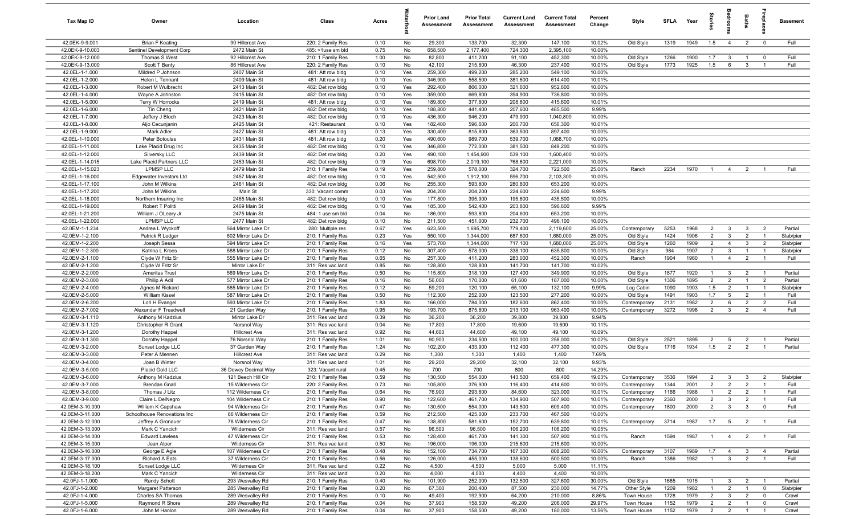| Tax Map ID                         | Owner                                     | Location                                 | Class                                  | Acres        |            | <b>Prior Land</b><br>Assessment | <b>Prior Total</b><br>Assessment | <b>Current Land</b><br>Assessment | <b>Current Total</b><br>Assessment | Percent<br>Change | Style                        | <b>SFLA</b>  | Year         | Storie                           | groon                            | Baths                            | repla                            | Basement          |
|------------------------------------|-------------------------------------------|------------------------------------------|----------------------------------------|--------------|------------|---------------------------------|----------------------------------|-----------------------------------|------------------------------------|-------------------|------------------------------|--------------|--------------|----------------------------------|----------------------------------|----------------------------------|----------------------------------|-------------------|
| 42.0EK-9-9.001                     | <b>Brian F Keating</b>                    | 90 Hillcrest Ave                         | 220: 2 Family Res                      | 0.10         | No         | 29,300                          | 133,700                          | 32,300                            | 147,100                            | 10.02%            | Old Style                    | 1319         | 1949         | 1.5                              | $\overline{4}$                   | $\overline{2}$                   | $\mathbf{0}$                     | Full              |
| 42.0EK-9-10.003                    | Sentinel Development Corp                 | 2472 Main St                             | 485: >1use sm bld                      | 0.75         | No         | 658,500                         | 2,177,400                        | 724,300                           | 2,395,100                          | 10.00%            |                              |              |              |                                  |                                  |                                  |                                  |                   |
| 42.0EK-9-12.000                    | Thomas S West                             | 92 Hillcrest Ave                         | 210: 1 Family Res                      | 1.00         | No         | 82,800                          | 411,200                          | 91,100                            | 452,300                            | 10.00%            | Old Style                    | 1266         | 1900         | 1.7                              | $\mathbf{3}$                     | $\mathbf{1}$                     | $\mathbf 0$                      | Full              |
| 42.0EK-9-13.000                    | Scott T Benty<br>Mildred P Johnson        | 86 Hillcrest Ave                         | 220: 2 Family Res                      | 0.10         | No         | 42,100                          | 215,800                          | 46,300                            | 237,400                            | 10.01%            | Old Style                    | 1773         | 1925         | 1.5                              | 6                                | $\mathbf{3}$                     |                                  | Full              |
| 42.0EL-1-1.000<br>42.0EL-1-2.000   | Helen L Tennant                           | 2407 Main St<br>2409 Main St             | 481: Att row bldg<br>481: Att row bldg | 0.10<br>0.10 | Yes<br>Yes | 259,300<br>346,900              | 499,200<br>558,500               | 285,200<br>381,600                | 549,100<br>614,400                 | 10.00%<br>10.01%  |                              |              |              |                                  |                                  |                                  |                                  |                   |
| 42.0EL-1-3.000                     | Robert M Wulbrecht                        | 2413 Main St                             | 482: Det row bldg                      | 0.10         | Yes        | 292,400                         | 866,000                          | 321,600                           | 952,600                            | 10.00%            |                              |              |              |                                  |                                  |                                  |                                  |                   |
| 42.0EL-1-4.000                     | Wayne A Johnston                          | 2415 Main St                             | 482: Det row bldg                      | 0.10         | Yes        | 359,000                         | 669,800                          | 394,900                           | 736,800                            | 10.00%            |                              |              |              |                                  |                                  |                                  |                                  |                   |
| 42.0EL-1-5.000                     | Terry W Horrocks                          | 2419 Main St                             | 481: Att row bldg                      | 0.10         | Yes        | 189,800                         | 377,800                          | 208,800                           | 415,600                            | 10.01%            |                              |              |              |                                  |                                  |                                  |                                  |                   |
| 42.0EL-1-6.000                     | Tin Cheng                                 | 2421 Main St                             | 482: Det row bldg                      | 0.10         | Yes        | 188,800                         | 441,400                          | 207,600                           | 485,500                            | 9.99%             |                              |              |              |                                  |                                  |                                  |                                  |                   |
| 42.0EL-1-7.000                     | Jeffery J Bloch                           | 2423 Main St                             | 482: Det row bldg                      | 0.10         | Yes        | 436,300                         | 946,200                          | 479,900                           | 1,040,800                          | 10.00%            |                              |              |              |                                  |                                  |                                  |                                  |                   |
| 42.0EL-1-8.000                     | Aljo Cecunjanin                           | 2425 Main St                             | 421: Restaurant                        | 0.10         | Yes        | 182,400                         | 596,600                          | 200,700                           | 656,300                            | 10.01%            |                              |              |              |                                  |                                  |                                  |                                  |                   |
| 42.0EL-1-9.000                     | Mark Adler                                | 2427 Main St                             | 481: Att row bldg                      | 0.13         | Yes        | 330,400                         | 815,800                          | 363,500                           | 897,400                            | 10.00%            |                              |              |              |                                  |                                  |                                  |                                  |                   |
| 42.0EL-1-10.000                    | Peter Botoulas                            | 2431 Main St                             | 481: Att row bldg                      | 0.20         | Yes        | 490,600                         | 989,700                          | 539,700                           | 1,088,700                          | 10.00%            |                              |              |              |                                  |                                  |                                  |                                  |                   |
| 42.0EL-1-11.000                    | Lake Placid Drug Inc                      | 2435 Main St                             | 482: Det row bldg                      | 0.10         | Yes        | 346,800                         | 772,000                          | 381,500                           | 849,200                            | 10.00%            |                              |              |              |                                  |                                  |                                  |                                  |                   |
| 42.0EL-1-12.000                    | Silversky LLC                             | 2439 Main St                             | 482: Det row bldg                      | 0.20         | Yes        | 490,100                         | 1,454,900                        | 539,100                           | 1,600,400                          | 10.00%            |                              |              |              |                                  |                                  |                                  |                                  |                   |
| 42.0EL-1-14.015                    | Lake Placid Partners LLC                  | 2453 Main St                             | 482: Det row bldg                      | 0.19         | Yes        | 698,700                         | 2,019,100                        | 768,600                           | 2,221,000                          | 10.00%            |                              |              |              |                                  |                                  |                                  |                                  |                   |
| 42.0EL-1-15.023<br>42.0EL-1-16.000 | <b>LPMSP LLC</b>                          | 2479 Main St                             | 210: 1 Family Res                      | 0.19         | Yes        | 259,800                         | 578,000                          | 324,700                           | 722,500                            | 25.00%<br>10.00%  | Ranch                        | 2234         | 1970         | $\overline{1}$                   | $\overline{4}$                   | $\overline{2}$                   |                                  | Full              |
| 42.0EL-1-17.100                    | Edgewater Investors Ltd<br>John M Wilkins | 2457 Main St<br>2461 Main St             | 482: Det row bldg<br>482: Det row bldg | 0.10<br>0.06 | Yes<br>No  | 542,500<br>255,300              | 1,912,100<br>593,800             | 596,700<br>280,800                | 2,103,300<br>653,200               | 10.00%            |                              |              |              |                                  |                                  |                                  |                                  |                   |
| 42.0EL-1-17.200                    | John M Wilkins                            | Main St                                  | 330: Vacant comm                       | 0.03         | Yes        | 204,200                         | 204,200                          | 224,600                           | 224,600                            | 9.99%             |                              |              |              |                                  |                                  |                                  |                                  |                   |
| 42.0EL-1-18.000                    | Northern Insuring Inc                     | 2465 Main St                             | 482: Det row bldg                      | 0.10         | Yes        | 177,800                         | 395,900                          | 195,600                           | 435,500                            | 10.00%            |                              |              |              |                                  |                                  |                                  |                                  |                   |
| 42.0EL-1-19.000                    | Robert T Politti                          | 2469 Main St                             | 482: Det row bldg                      | 0.10         | Yes        | 185,300                         | 542,400                          | 203,800                           | 596,600                            | 9.99%             |                              |              |              |                                  |                                  |                                  |                                  |                   |
| 42.0EL-1-21.200                    | William J OLeary Jr                       | 2475 Main St                             | 484: 1 use sm bld                      | 0.04         | No         | 186,000                         | 593,800                          | 204,600                           | 653,200                            | 10.00%            |                              |              |              |                                  |                                  |                                  |                                  |                   |
| 42.0EL-1-22.000                    | <b>LPMSP LLC</b>                          | 2477 Main St                             | 482: Det row bldg                      | 0.10         | No         | 211,500                         | 451,000                          | 232,700                           | 496,100                            | 10.00%            |                              |              |              |                                  |                                  |                                  |                                  |                   |
| 42.0EM-1-1.234                     | Andrea L Wyckoff                          | 564 Mirror Lake Dr                       | 280: Multiple res                      | 0.67         | Yes        | 623,500                         | 1,695,700                        | 779,400                           | 2,119,600                          | 25.00%            | Contemporary                 | 5253         | 1968         | 2                                | $\mathbf{3}$                     | $\mathbf{3}$                     | $\overline{2}$                   | Partial           |
| 42.0EM-1-2.100                     | Patrick R Ledger                          | 602 Mirror Lake Dr                       | 210: 1 Family Res                      | 0.23         | Yes        | 550,100                         | 1,344,000                        | 687,600                           | 1,680,000                          | 25.00%            | Old Style                    | 1424         | 1906         | $\overline{2}$                   | $\mathbf{3}$                     | $\overline{2}$                   | $\overline{1}$                   | Slab/pier         |
| 42.0EM-1-2.200                     | Joseph Sessa                              | 594 Mirror Lake Dr                       | 210: 1 Family Res                      | 0.16         | Yes        | 573,700                         | 1,344,000                        | 717,100                           | 1,680,000                          | 25.00%            | Old Style                    | 1260         | 1909         | $\overline{2}$                   | $\overline{4}$                   | $\mathbf{3}$                     | $\overline{2}$                   | Slab/pier         |
| 42.0EM-1-2.300                     | Katrina L Kroes                           | 588 Mirror Lake Dr                       | 210: 1 Family Res                      | 0.12         | No         | 307,400                         | 578,000                          | 338,100                           | 635,800                            | 10.00%            | Old Style                    | 984          | 1907         | $\overline{2}$                   | $\mathbf{3}$                     | $\overline{1}$                   | $\overline{1}$                   | Slab/pier         |
| 42.0EM-2-1.100                     | Clyde W Fritz Sr                          | 555 Mirror Lake Dr                       | 210: 1 Family Res                      | 0.65         | No         | 257,300                         | 411,200                          | 283,000                           | 452,300                            | 10.00%            | Ranch                        | 1904         | 1960         | $\overline{1}$                   | $\overline{4}$                   | $\overline{2}$                   |                                  | Full              |
| 42.0EM-2-1.200                     | Clyde W Fritz Sr                          | Mirror Lake Dr                           | 311: Res vac land                      | 0.85         | No         | 128,800                         | 128,800                          | 141,700                           | 141,700                            | 10.02%            |                              |              |              |                                  |                                  |                                  |                                  |                   |
| 42.0EM-2-2.000                     | Ameritas Trust                            | 569 Mirror Lake Dr                       | 210: 1 Family Res                      | 0.50         | No         | 115,800                         | 318,100                          | 127,400                           | 349,900                            | 10.00%            | Old Style                    | 1877         | 1920         | $\overline{1}$                   | $\mathbf{3}$                     | $\overline{2}$                   | $\overline{1}$                   | Partial           |
| 42.0EM-2-3.000<br>42.0EM-2-4.000   | Philip A Adil                             | 577 Mirror Lake Dr<br>585 Mirror Lake Dr | 210: 1 Family Res                      | 0.16<br>0.12 | No<br>No   | 56,000<br>59,200                | 170,000                          | 61,600                            | 187,000                            | 10.00%<br>9.99%   | Old Style                    | 1306<br>1090 | 1895<br>1903 | 2<br>1.5                         | $\overline{2}$<br>$\overline{2}$ | $\overline{1}$<br>$\overline{1}$ | $\overline{2}$<br>$\overline{1}$ | Partial           |
| 42.0EM-2-5.000                     | Agnes M Rickard<br>William Kissel         | 587 Mirror Lake Dr                       | 210: 1 Family Res<br>210: 1 Family Res | 0.50         | No         | 112,300                         | 120,100<br>252,000               | 65,100<br>123,500                 | 132,100<br>277,200                 | 10.00%            | Log Cabin<br>Old Style       | 1491         | 1903         | 1.7                              | 5                                | $\overline{2}$                   | $\overline{1}$                   | Slab/pier<br>Full |
| 42.0EM-2-6.200                     | Lori H Evangel                            | 593 Mirror Lake Dr                       | 210: 1 Family Res                      | 1.83         | No         | 166,000                         | 784,000                          | 182,600                           | 862,400                            | 10.00%            | Contemporary                 | 2131         | 1982         | $\overline{2}$                   | 6                                | $\overline{2}$                   | $\overline{2}$                   | Full              |
| 42.0EM-2-7.002                     | Alexander F Treadwell                     | 21 Garden Way                            | 210: 1 Family Res                      | 0.95         | No         | 193,700                         | 875,800                          | 213,100                           | 963,400                            | 10.00%            | Contemporary                 | 3272         | 1998         | $\overline{2}$                   | $\mathbf{3}$                     | $\overline{2}$                   | $\overline{4}$                   | Full              |
| 42.0EM-3-1.110                     | Anthony M Kadzius                         | Mirror Lake Dr                           | 311: Res vac land                      | 0.39         | No         | 36,200                          | 36,200                           | 39,800                            | 39,800                             | 9.94%             |                              |              |              |                                  |                                  |                                  |                                  |                   |
| 42.0EM-3-1.120                     | Christopher R Grant                       | Norsnol Way                              | 311: Res vac land                      | 0.04         | No         | 17,800                          | 17,800                           | 19,600                            | 19,600                             | 10.11%            |                              |              |              |                                  |                                  |                                  |                                  |                   |
| 42.0EM-3-1.200                     | Dorothy Happel                            | <b>Hillcrest Ave</b>                     | 311: Res vac land                      | 0.92         | No         | 44,600                          | 44,600                           | 49,100                            | 49,100                             | 10.09%            |                              |              |              |                                  |                                  |                                  |                                  |                   |
| 42.0EM-3-1.300                     | Dorothy Happel                            | 76 Norsnol Way                           | 210: 1 Family Res                      | 1.01         | No         | 90,900                          | 234,500                          | 100,000                           | 258,000                            | 10.02%            | Old Style                    | 2521         | 1895         | $\overline{2}$                   | 5                                | $\overline{2}$                   | - 1                              | Partial           |
| 42.0EM-3-2.000                     | Sunset Lodge LLC                          | 37 Garden Way                            | 210: 1 Family Res                      | 1.24         | No         | 102,200                         | 433,900                          | 112,400                           | 477,300                            | 10.00%            | Old Style                    | 1716         | 1934         | 1.5                              | $\overline{2}$                   | $\overline{2}$                   |                                  | Partial           |
| 42.0EM-3-3.000                     | Peter A Mennen                            | <b>Hillcrest Ave</b>                     | 311: Res vac land                      | 0.29         | No         | 1,300                           | 1,300                            | 1,400                             | 1,400                              | 7.69%             |                              |              |              |                                  |                                  |                                  |                                  |                   |
| 42.0EM-3-4.000                     | Joan B Winter                             | Norsnol Way                              | 311: Res vac land                      | 1.01         | No         | 29,200                          | 29,200                           | 32,100                            | 32,100                             | 9.93%             |                              |              |              |                                  |                                  |                                  |                                  |                   |
| 42.0EM-3-5.000                     | Placid Gold LLC                           | 36 Dewey Decimal Way                     | 323: Vacant rural                      | 0.45         | No         | 700                             | 700                              | 800                               | 800                                | 14.29%            |                              |              |              |                                  |                                  |                                  |                                  |                   |
| 42.0EM-3-6.000                     | Anthony M Kadzius                         | 121 Beech Hill Cir                       | 210: 1 Family Res                      | 0.59         | No         | 130,500                         | 554,000                          | 143,500                           | 659,400                            | 19.03%            | Contemporary                 | 3536         | 1994         | $\overline{2}$                   | $\mathbf{3}$                     | $\overline{3}$                   | $\overline{2}$                   | Slab/pier         |
| 42.0EM-3-7.000                     | <b>Brendan Gnall</b>                      | 15 Wilderness Cir                        | 220: 2 Family Res                      | 0.73         | No         | 105,800                         | 376,900                          | 116,400                           | 414,600                            | 10.00%            | Contemporary                 | 1344         | 2001         | $\overline{2}$                   | $\overline{2}$                   | 2                                |                                  | Full              |
| 42.0EM-3-8.000<br>42.0EM-3-9.000   | Thomas J Litz<br>Claire L DelNegro        | 112 Wilderness Cir<br>104 Wilderness Cir | 210: 1 Family Res<br>210: 1 Family Res | 0.64<br>0.90 | No<br>No   | 76,900<br>122,600               | 293,600<br>461,700               | 84,600<br>134,900                 | 323,000<br>507,900                 | 10.01%<br>10.01%  | Contemporary<br>Contemporary | 1166<br>2360 | 1988<br>2000 | $\overline{1}$<br>$\overline{2}$ | $\overline{2}$<br>$\mathbf{3}$   | $\overline{2}$<br>$\overline{2}$ | $\overline{1}$<br>$\overline{1}$ | Full<br>Full      |
| 42.0EM-3-10.000                    | William K Capshaw                         | 94 Wilderness Cir                        | 210: 1 Family Res                      | 0.47         | No         | 130,500                         | 554,000                          | 143,500                           | 609,400                            | 10.00%            | Contemporary                 | 1800         | 2000         | 2                                | $\mathbf{3}$                     | $\mathbf{3}$                     | $^{\circ}$                       | Full              |
| 42.0EM-3-11.000                    | Schoolhouse Renovations Inc               | 86 Wilderness Cir                        | 210: 1 Family Res                      | 0.59         | No         | 212,500                         | 425,000                          | 233,700                           | 467,500                            | 10.00%            |                              |              |              |                                  |                                  |                                  |                                  |                   |
| 42.0EM-3-12.000                    | Jeffrey A Gronauer                        | 78 Wilderness Cir                        | 210: 1 Family Res                      | 0.47         | No         | 138,800                         | 581,600                          | 152,700                           | 639,800                            | 10.01%            | Contemporary                 | 3714         | 1987         | 1.7                              | $5^{\circ}$                      | $\overline{2}$                   | $\overline{1}$                   | Full              |
| 42.0EM-3-13.000                    | Mark C Yancich                            | Wilderness Cir                           | 311: Res vac land                      | 0.57         | No         | 96,500                          | 96,500                           | 106,200                           | 106,200                            | 10.05%            |                              |              |              |                                  |                                  |                                  |                                  |                   |
| 42.0EM-3-14.000                    | <b>Edward Lawless</b>                     | 47 Wilderness Cir                        | 210: 1 Family Res                      | 0.53         | No         | 128,400                         | 461,700                          | 141,300                           | 507,900                            | 10.01%            | Ranch                        | 1594         | 1987         | $\overline{1}$                   | $\overline{4}$                   | $\overline{2}$                   |                                  | Full              |
| 42.0EM-3-15.000                    | Jean Alper                                | Wilderness Cir                           | 311: Res vac land                      | 0.50         | No         | 196,000                         | 196,000                          | 215,600                           | 215,600                            | 10.00%            |                              |              |              |                                  |                                  |                                  |                                  |                   |
| 42.0EM-3-16.000                    | George E Agle                             | 107 Wilderness Cir                       | 210: 1 Family Res                      | 0.48         | No         | 152,100                         | 734,700                          | 167,300                           | 808,200                            | 10.00%            | Contemporary                 | 3107         | 1989         | 1.7                              | $\overline{4}$                   | $\mathbf{3}$                     | $\overline{4}$                   | Partial           |
| 42.0EM-3-17.000                    | Richard A Eats                            | 37 Wilderness Cir                        | 210: 1 Family Res                      | 0.56         | No         | 126,000                         | 455,000                          | 138,600                           | 500,500                            | 10.00%            | Ranch                        | 1386         | 1982         | $\overline{1}$                   | 3 <sup>3</sup>                   | $\overline{2}$                   | $\overline{1}$                   | Full              |
| 42.0EM-3-18.100                    | Sunset Lodge LLC                          | Wilderness Cir                           | 311: Res vac land                      | 0.22         | No         | 4,500                           | 4,500                            | 5,000                             | 5,000                              | 11.11%            |                              |              |              |                                  |                                  |                                  |                                  |                   |
| 42.0EM-3-18.200                    | Mark C Yancich                            | Wilderness Cir                           | 311: Res vac land                      | 0.20         | No         | 4,000                           | 4,000                            | 4,400                             | 4,400                              | 10.00%            |                              |              |              |                                  |                                  |                                  |                                  |                   |
| 42.0FJ-1-1.000                     | Randy Schott                              | 293 Wesvalley Rd                         | 210: 1 Family Res                      | 0.40         | No         | 101,900                         | 252,000                          | 132,500                           | 327,600                            | 30.00%            | Old Style                    | 1685         | 1915         | $\overline{1}$                   | $\mathbf{3}$                     | $\overline{2}$                   | $\overline{1}$                   | Partial           |
| 42.0FJ-1-2.000                     | Margaret Patterson                        | 285 Wesvalley Rd                         | 210: 1 Family Res                      | 0.20         | No         | 67,300                          | 200,400                          | 87,500                            | 230,000                            | 14.77%            | Other Style                  | 1209         | 1982         | $\overline{1}$                   | $\overline{2}$                   | $\overline{1}$                   | $\mathbf 0$                      | Slab/pier         |
| 42.0FJ-1-4.000                     | Charles SA Thomas                         | 289 Wesvalley Rd                         | 210: 1 Family Res                      | 0.10         | No         | 49,400                          | 192,900                          | 64,200                            | 210,000                            | 8.86%             | Town House                   | 1728         | 1979         | $\overline{2}$                   | $\mathbf{3}$                     | $\overline{2}$                   | $\overline{\mathbf{0}}$          | Crawl             |
| 42.0FJ-1-5.000<br>42.0FJ-1-6.000   | Raymond R Shore<br>John M Hanlon          | 289 Wesvalley Rd<br>289 Wesvalley Rd     | 210: 1 Family Res<br>210: 1 Family Res | 0.04<br>0.04 | No<br>No   | 37,900<br>37,900                | 158,500<br>158,500               | 49,200<br>49,200                  | 206,000<br>180,000                 | 29.97%<br>13.56%  | Town House<br>Town House     | 1152<br>1152 | 1979<br>1979 | $\overline{2}$<br>$\overline{2}$ | $\overline{2}$<br>$\overline{2}$ | $\mathbf{1}$<br>$\overline{1}$   | $\mathbf 0$<br>$\overline{1}$    | Crawl<br>Crawl    |
|                                    |                                           |                                          |                                        |              |            |                                 |                                  |                                   |                                    |                   |                              |              |              |                                  |                                  |                                  |                                  |                   |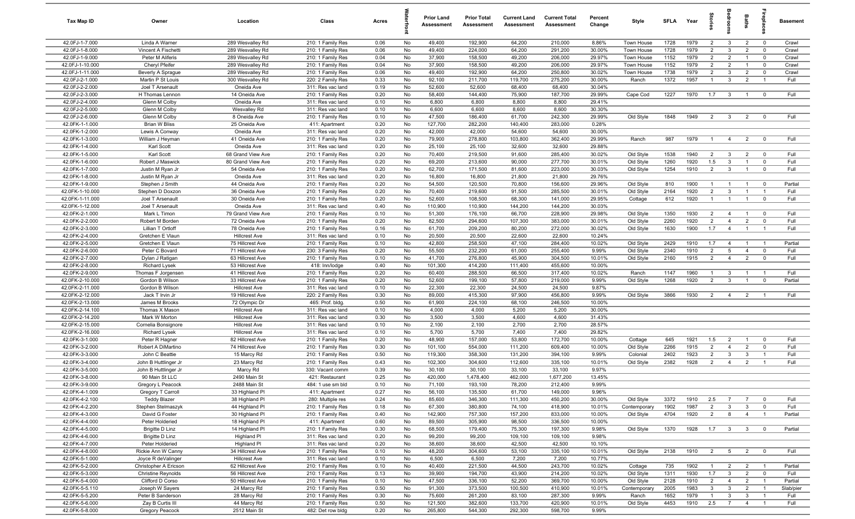| Tax Map ID                         | Owner                                     | Location                             | Class                                  | Acres        |          | <b>Prior Land</b><br>Assessment | <b>Prior Total</b><br>Assessment | <b>Current Land</b><br><b>Assessment</b> | <b>Current Total</b><br><b>Assessment</b> | Percent<br>Change | Style                     | <b>SFLA</b>  | Year         | ğ                                | drool                          | Baths                            | epla                          | <b>Basement</b> |
|------------------------------------|-------------------------------------------|--------------------------------------|----------------------------------------|--------------|----------|---------------------------------|----------------------------------|------------------------------------------|-------------------------------------------|-------------------|---------------------------|--------------|--------------|----------------------------------|--------------------------------|----------------------------------|-------------------------------|-----------------|
| 42.0FJ-1-7.000                     | Linda A Warner                            | 289 Wesvalley Rd                     | 210: 1 Family Res                      | 0.06         | No       | 49,400                          | 192,900                          | 64,200                                   | 210,000                                   | 8.86%             | Town House                | 1728         | 1979         | $\overline{2}$                   | $\overline{3}$                 | $\overline{2}$                   | $\overline{0}$                | Crawl           |
| 42.0FJ-1-8.000                     | Vincent A Fischetti                       | 289 Wesvalley Rd                     | 210: 1 Family Res                      | 0.06         | No       | 49,400                          | 224,000                          | 64,200                                   | 291,200                                   | 30.00%            | Town House                | 1728         | 1979         | 2                                | $\mathbf{3}$                   | $\overline{2}$                   | $\mathbf 0$                   | Crawl           |
| 42.0FJ-1-9.000                     | Peter M Aliferis                          | 289 Wesvalley Rd                     | 210: 1 Family Res                      | 0.04         | No       | 37,900                          | 158,500                          | 49,200                                   | 206,000                                   | 29.97%            | Town House                | 1152         | 1979         | $\overline{2}$                   | $\overline{2}$                 | $\overline{1}$                   | $\mathbf 0$                   | Crawl           |
| 42.0FJ-1-10.000                    | Cheryl Pfeifer                            | 289 Wesvalley Rd                     | 210: 1 Family Res                      | 0.04         | No       | 37,900                          | 158,500                          | 49,200                                   | 206,000                                   | 29.97%            | Town House                | 1152         | 1979         | $\overline{2}$                   | $\overline{2}$                 |                                  | $^{\circ}$                    | Crawl           |
| 42.0FJ-1-11.000<br>42.0FJ-2-1.000  | Beverly A Sprague<br>Martin P St Louis    | 289 Wesvalley Rd<br>300 Wesvalley Rd | 210: 1 Family Res<br>220: 2 Family Res | 0.06<br>0.33 | No<br>No | 49,400<br>92,100                | 192,900<br>211,700               | 64,200<br>119,700                        | 250,800<br>275,200                        | 30.02%<br>30.00%  | Town House<br>Ranch       | 1738<br>1372 | 1979<br>1957 | $\overline{2}$<br>$\overline{1}$ | $\mathbf{3}$<br>$\mathbf{3}$   | $\overline{2}$<br>$\overline{2}$ | $\mathbf 0$<br>$\overline{1}$ | Crawl<br>Full   |
| 42.0FJ-2-2.000                     | Joel T Arsenault                          | Oneida Ave                           | 311: Res vac land                      | 0.19         | No       | 52,600                          | 52,600                           | 68,400                                   | 68,400                                    | 30.04%            |                           |              |              |                                  |                                |                                  |                               |                 |
| 42.0FJ-2-3.000                     | H Thomas Lennon                           | 14 Oneida Ave                        | 210: 1 Family Res                      | 0.20         | No       | 58,400                          | 144,400                          | 75,900                                   | 187,700                                   | 29.99%            | Cape Cod                  | 1227         | 1970         | 1.7                              | $\mathbf{3}$                   | $\overline{1}$                   | $\overline{\mathbf{0}}$       | Full            |
| 42.0FJ-2-4.000                     | Glenn M Colby                             | Oneida Ave                           | 311: Res vac land                      | 0.10         | No       | 6,800                           | 6,800                            | 8,800                                    | 8,800                                     | 29.41%            |                           |              |              |                                  |                                |                                  |                               |                 |
| 42.0FJ-2-5.000                     | Glenn M Colby                             | Wesvalley Rd                         | 311: Res vac land                      | 0.10         | No       | 6,600                           | 6,600                            | 8,600                                    | 8,600                                     | 30.30%            |                           |              |              |                                  |                                |                                  |                               |                 |
| 42.0FJ-2-6.000                     | Glenn M Colby                             | 8 Oneida Ave                         | 210: 1 Family Res                      | 0.10         | No       | 47,500                          | 186,400                          | 61,700                                   | 242,300                                   | 29.99%            | Old Style                 | 1848         | 1949         | $\overline{2}$                   | $\overline{3}$                 | $\overline{2}$                   | $^{\circ}$                    | Full            |
| 42.0FK-1-1.000                     | <b>Brian W Bliss</b>                      | 25 Oneida Ave                        | 411: Apartment                         | 0.20         | No       | 127,700                         | 282,200                          | 140,400                                  | 283,000                                   | 0.28%             |                           |              |              |                                  |                                |                                  |                               |                 |
| 42.0FK-1-2.000                     | Lewis A Conway                            | Oneida Ave                           | 311: Res vac land                      | 0.20         | No       | 42,000                          | 42,000                           | 54,600                                   | 54,600                                    | 30.00%            |                           |              |              |                                  |                                |                                  |                               |                 |
| 42.0FK-1-3.000                     | William J Heyman                          | 41 Oneida Ave                        | 210: 1 Family Res                      | 0.20         | No       | 79,900                          | 278,800                          | 103,800                                  | 362,400                                   | 29.99%            | Ranch                     | 987          | 1979         | $\mathbf{1}$                     | $\overline{4}$                 | $\overline{2}$                   | $\mathbf 0$                   | Full            |
| 42.0FK-1-4.000                     | Karl Scott                                | Oneida Ave                           | 311: Res vac land                      | 0.20         | No       | 25,100                          | 25,100                           | 32,600                                   | 32,600                                    | 29.88%            |                           |              |              |                                  |                                |                                  |                               |                 |
| 42.0FK-1-5.000                     | Karl Scott                                | 68 Grand View Ave                    | 210: 1 Family Res                      | 0.20         | No       | 70,400                          | 219,500                          | 91,600                                   | 285,400                                   | 30.02%            | Old Style                 | 1538         | 1940         | $\overline{2}$                   | $\mathbf{3}$                   | $\overline{2}$                   | $\overline{0}$                | Full            |
| 42.0FK-1-6.000                     | Robert J Maswick                          | 80 Grand View Ave                    | 210: 1 Family Res                      | 0.20         | No       | 69,200                          | 213,600                          | 90,000                                   | 277,700                                   | 30.01%            | Old Style                 | 1260         | 1920         | 1.5                              | $\mathbf{3}$                   | $\overline{1}$                   | $\mathbf 0$                   | Full            |
| 42.0FK-1-7.000                     | Justin M Ryan Jr                          | 54 Oneida Ave                        | 210: 1 Family Res                      | 0.20         | No       | 62,700                          | 171,500                          | 81,600                                   | 223,000                                   | 30.03%            | Old Style                 | 1254         | 1910         | $\overline{2}$                   | $\mathbf{3}$                   | $\overline{1}$                   | $\overline{0}$                | Full            |
| 42.0FK-1-8.000                     | Justin M Ryan Jr                          | Oneida Ave                           | 311: Res vac land                      | 0.20         | No       | 16,800                          | 16,800                           | 21,800                                   | 21,800                                    | 29.76%            |                           |              |              |                                  |                                |                                  |                               |                 |
| 42.0FK-1-9.000<br>42.0FK-1-10.000  | Stephen J Smith                           | 44 Oneida Ave<br>36 Oneida Ave       | 210: 1 Family Res                      | 0.20<br>0.20 | No<br>No | 54,500<br>70,400                | 120,500                          | 70,800                                   | 156,600                                   | 29.96%<br>30.01%  | Old Style                 | 810<br>2164  | 1900<br>1920 | $\overline{1}$<br>$\overline{2}$ | $\overline{1}$<br>$\mathbf{3}$ | $\overline{1}$<br>$\overline{1}$ | $^{\circ}$<br>$\overline{1}$  | Partial<br>Full |
| 42.0FK-1-11.000                    | Stephen D Doxzon<br>Joel T Arsenault      | 30 Oneida Ave                        | 210: 1 Family Res<br>210: 1 Family Res | 0.20         | No       | 52,600                          | 219,600<br>108,500               | 91,500<br>68,300                         | 285,500<br>141,000                        | 29.95%            | Old Style<br>Cottage      | 612          | 1920         | $\overline{1}$                   | $\overline{1}$                 | $\overline{1}$                   | $\mathbf 0$                   | Full            |
| 42.0FK-1-12.000                    | Joel T Arsenault                          | Oneida Ave                           | 311: Res vac land                      | 0.40         | No       | 110,900                         | 110,900                          | 144,200                                  | 144,200                                   | 30.03%            |                           |              |              |                                  |                                |                                  |                               |                 |
| 42.0FK-2-1.000                     | Mark L Timon                              | 79 Grand View Ave                    | 210: 1 Family Res                      | 0.10         | No       | 51,300                          | 176,100                          | 66,700                                   | 228,900                                   | 29.98%            | Old Style                 | 1350         | 1930         | $\overline{2}$                   | $\overline{4}$                 | $\overline{1}$                   | $^{\circ}$                    | Full            |
| 42.0FK-2-2.000                     | Robert M Borden                           | 72 Oneida Ave                        | 210: 1 Family Res                      | 0.20         | No       | 82,500                          | 294,600                          | 107,300                                  | 383,000                                   | 30.01%            | Old Style                 | 2260         | 1920         | $\overline{2}$                   | $\overline{4}$                 | $\overline{2}$                   | $\mathbf 0$                   | Full            |
| 42.0FK-2-3.000                     | Lillian T Ortloff                         | 78 Oneida Ave                        | 210: 1 Family Res                      | 0.16         | No       | 61,700                          | 209,200                          | 80,200                                   | 272,000                                   | 30.02%            | Old Style                 | 1630         | 1900         | 1.7                              | $\overline{4}$                 | $\overline{1}$                   | $\overline{1}$                | Full            |
| 42.0FK-2-4.000                     | Gretchen E Vlaun                          | <b>Hillcrest Ave</b>                 | 311: Res vac land                      | 0.10         | No       | 20,500                          | 20,500                           | 22,600                                   | 22,600                                    | 10.24%            |                           |              |              |                                  |                                |                                  |                               |                 |
| 42.0FK-2-5.000                     | Gretchen E Vlaun                          | 75 Hillcrest Ave                     | 210: 1 Family Res                      | 0.10         | No       | 42,800                          | 258,500                          | 47,100                                   | 284,400                                   | 10.02%            | Old Style                 | 2429         | 1910         | 1.7                              | $\overline{4}$                 |                                  |                               | Partial         |
| 42.0FK-2-6.000                     | Peter C Bovard                            | 71 Hillcrest Ave                     | 230: 3 Family Res                      | 0.20         | No       | 55,500                          | 232,200                          | 61,000                                   | 255,400                                   | 9.99%             | Old Style                 | 2340         | 1910         | $\overline{2}$                   | 5                              | $\overline{4}$                   | $^{\circ}$                    | Full            |
| 42.0FK-2-7.000                     | Dylan J Ratigan                           | 63 Hillcrest Ave                     | 210: 1 Family Res                      | 0.10         | No       | 41,700                          | 276,800                          | 45,900                                   | 304,500                                   | 10.01%            | Old Style                 | 2160         | 1915         | 2                                | $\overline{4}$                 | $\overline{2}$                   | $^{\circ}$                    | Full            |
| 42.0FK-2-8.000                     | <b>Richard Lysek</b>                      | 53 Hillcrest Ave                     | 418: Inn/lodge                         | 0.40         | No       | 101,300                         | 414,200                          | 111,400                                  | 455,600                                   | 10.00%            |                           |              |              |                                  |                                |                                  |                               |                 |
| 42.0FK-2-9.000                     | Thomas F Jorgensen                        | 41 Hillcrest Ave                     | 210: 1 Family Res                      | 0.20         | No       | 60,400                          | 288,500                          | 66,500                                   | 317,400                                   | 10.02%            | Ranch                     | 1147         | 1960         | $\overline{1}$                   | $\mathbf{3}$                   | $\overline{1}$                   | $\overline{1}$                | Full            |
| 42.0FK-2-10.000                    | Gordon B Wilson                           | 33 Hillcrest Ave                     | 210: 1 Family Res                      | 0.20         | No       | 52,600                          | 199,100                          | 57,800                                   | 219,000                                   | 9.99%             | Old Style                 | 1268         | 1920         | $\overline{2}$                   | $\mathbf{3}$                   | $\mathbf{1}$                     | $\mathbf 0$                   | Partial         |
| 42.0FK-2-11.000                    | Gordon B Wilson                           | <b>Hillcrest Ave</b>                 | 311: Res vac land                      | 0.10         | No       | 22,300                          | 22,300                           | 24,500                                   | 24,500                                    | 9.87%             |                           |              |              |                                  |                                |                                  | $\overline{1}$                |                 |
| 42.0FK-2-12.000<br>42.0FK-2-13.000 | Jack T Irvin Jr<br>James M Brooks         | 19 Hillcrest Ave<br>72 Olympic Dr    | 220: 2 Family Res<br>465: Prof. bldg.  | 0.30<br>0.50 | No<br>No | 89,000<br>61,900                | 415,300<br>224,100               | 97,900<br>68,100                         | 456,800<br>246,500                        | 9.99%<br>10.00%   | Old Style                 | 3866         | 1930         | $\overline{2}$                   | $\overline{4}$                 | $\overline{2}$                   |                               | Full            |
| 42.0FK-2-14.100                    | Thomas X Mason                            | <b>Hillcrest Ave</b>                 | 311: Res vac land                      | 0.10         | No       | 4,000                           | 4,000                            | 5,200                                    | 5,200                                     | 30.00%            |                           |              |              |                                  |                                |                                  |                               |                 |
| 42.0FK-2-14.200                    | Mark W Morton                             | <b>Hillcrest Ave</b>                 | 311: Res vac land                      | 0.30         | No       | 3,500                           | 3,500                            | 4,600                                    | 4,600                                     | 31.43%            |                           |              |              |                                  |                                |                                  |                               |                 |
| 42.0FK-2-15.000                    | Cornelia Bonsignore                       | <b>Hillcrest Ave</b>                 | 311: Res vac land                      | 0.10         | No       | 2,100                           | 2,100                            | 2,700                                    | 2,700                                     | 28.57%            |                           |              |              |                                  |                                |                                  |                               |                 |
| 42.0FK-2-16.000                    | <b>Richard Lysek</b>                      | <b>Hillcrest Ave</b>                 | 311: Res vac land                      | 0.10         | No       | 5,700                           | 5,700                            | 7,400                                    | 7,400                                     | 29.82%            |                           |              |              |                                  |                                |                                  |                               |                 |
| 42.0FK-3-1.000                     | Peter R Hagner                            | 82 Hillcrest Ave                     | 210: 1 Family Res                      | 0.20         | No       | 48,900                          | 157,000                          | 53,800                                   | 172,700                                   | 10.00%            | Cottage                   | 645          | 1921         | 1.5                              | $\overline{2}$                 |                                  | $^{\circ}$                    | Full            |
| 42.0FK-3-2.000                     | Robert A DiMartino                        | 74 Hillcrest Ave                     | 210: 1 Family Res                      | 0.30         | No       | 101,100                         | 554,000                          | 111,200                                  | 609,400                                   | 10.00%            | Old Style                 | 2266         | 1915         | $\overline{2}$                   | $\overline{4}$                 | $\overline{2}$                   | $^{\circ}$                    | Full            |
| 42.0FK-3-3.000                     | John C Beattie                            | 15 Marcy Rd                          | 210: 1 Family Res                      | 0.50         | No       | 119,300                         | 358,300                          | 131,200                                  | 394,100                                   | 9.99%             | Colonial                  | 2402         | 1923         | $\overline{2}$                   | $\mathbf{3}$                   | 3                                | $\overline{1}$                | Full            |
| 42.0FK-3-4.000                     | John B Huttlinger Jr                      | 23 Marcy Rd                          | 210: 1 Family Res                      | 0.43         | No       | 102,300                         | 304,600                          | 112,600                                  | 335,100                                   | 10.01%            | Old Style                 | 2382         | 1928         | $\overline{2}$                   | $\overline{4}$                 | $\overline{2}$                   | $\overline{1}$                | Full            |
| 42.0FK-3-5.000                     | John B Huttlinger Jr                      | Marcy Rd                             | 330: Vacant comm                       | 0.39         | No       | 30,100                          | 30,100                           | 33,100                                   | 33,100                                    | 9.97%             |                           |              |              |                                  |                                |                                  |                               |                 |
| 42.0FK-3-8.000                     | 90 Main St LLC                            | 2490 Main St                         | 421: Restaurant                        | 0.25         | No       | 420,000                         | 1,478,400                        | 462,000                                  | 1,677,200                                 | 13.45%            |                           |              |              |                                  |                                |                                  |                               |                 |
| 42.0FK-3-9.000                     | Gregory L Peacock                         | 2488 Main St                         | 484: 1 use sm bld                      | 0.10         | No.      | 71,100                          | 193,100                          | 78,200                                   | 212,400                                   | 9.99%             |                           |              |              |                                  |                                |                                  |                               |                 |
| 42.0FK-4-1.009<br>42.0FK-4-2.100   | Gregory T Carroll                         | 33 Highland PI<br>38 Highland Pl     | 411: Apartment                         | 0.27         | No       | 56,100                          | 135,500                          | 61,700                                   | 149,000<br>450,200                        | 9.96%             |                           |              |              |                                  | $\overline{7}$                 | $\overline{7}$                   |                               |                 |
| 42.0FK-4-2.200                     | <b>Teddy Blazer</b><br>Stephen Stelmaszyk | 44 Highland PI                       | 280: Multiple res<br>210: 1 Family Res | 0.24<br>0.18 | No<br>No | 85,600<br>67,300                | 346,300<br>380,800               | 111,300<br>74,100                        | 418,900                                   | 30.00%<br>10.01%  | Old Style<br>Contemporary | 3372<br>1902 | 1910<br>1987 | 2.5<br>$\overline{2}$            | $\mathbf{3}$                   | $\mathbf{3}$                     | $\mathbf 0$<br>$\mathbf 0$    | Full<br>Full    |
| 42.0FK-4-3.000                     | David G Foster                            | 30 Highland PI                       | 210: 1 Family Res                      | 0.40         | No       | 142,900                         | 757,300                          | 157,200                                  | 833,000                                   | 10.00%            | Old Style                 | 4704         | 1920         | $\overline{2}$                   | 8                              | $\overline{4}$                   | $\overline{1}$                | Partial         |
| 42.0FK-4-4.000                     | Peter Holderied                           | 18 Highland PI                       | 411: Apartment                         | 0.60         | No       | 89,500                          | 305,900                          | 98,500                                   | 336,500                                   | 10.00%            |                           |              |              |                                  |                                |                                  |                               |                 |
| 42.0FK-4-5.000                     | Brigitte D Linz                           | 14 Highland Pl                       | 210: 1 Family Res                      | 0.30         | No       | 68,500                          | 179,400                          | 75,300                                   | 197,300                                   | 9.98%             | Old Style                 | 1370         | 1928         | 1.7                              | $\overline{\mathbf{3}}$        | 3 <sup>3</sup>                   | $\overline{\mathbf{0}}$       | Partial         |
| 42.0FK-4-6.000                     | Brigitte D Linz                           | Highland PI                          | 311: Res vac land                      | 0.20         | No       | 99,200                          | 99,200                           | 109,100                                  | 109,100                                   | 9.98%             |                           |              |              |                                  |                                |                                  |                               |                 |
| 42.0FK-4-7.000                     | Peter Holderied                           | Highland PI                          | 311: Res vac land                      | 0.20         | No       | 38,600                          | 38,600                           | 42,500                                   | 42,500                                    | 10.10%            |                           |              |              |                                  |                                |                                  |                               |                 |
| 42.0FK-4-8.000                     | Rickie Ann W Canny                        | 34 Hillcrest Ave                     | 210: 1 Family Res                      | 0.10         | No       | 48,200                          | 304,600                          | 53,100                                   | 335,100                                   | 10.01%            | Old Style                 | 2138         | 1910         | $\overline{2}$                   | $5\overline{)}$                | $\overline{2}$                   | $\overline{\mathbf{0}}$       | Full            |
| 42.0FK-5-1.000                     | Joyce R deValinger                        | <b>Hillcrest Ave</b>                 | 311: Res vac land                      | 0.10         | No       | 6,500                           | 6,500                            | 7,200                                    | 7,200                                     | 10.77%            |                           |              |              |                                  |                                |                                  |                               |                 |
| 42.0FK-5-2.000                     | Christopher A Ericson                     | 62 Hillcrest Ave                     | 210: 1 Family Res                      | 0.10         | No       | 40,400                          | 221,500                          | 44,500                                   | 243,700                                   | 10.02%            | Cottage                   | 735          | 1902         | $\overline{1}$                   | $\overline{2}$                 | $\overline{2}$                   | $\overline{1}$                | Partial         |
| 42.0FK-5-3.000                     | <b>Christine Reynolds</b>                 | 56 Hillcrest Ave                     | 210: 1 Family Res                      | 0.13         | No       | 39,900                          | 194,700                          | 43,900                                   | 214,200                                   | 10.02%            | Old Style                 | 1311         | 1930         | 1.7                              | $\mathbf{3}$                   | $\overline{2}$                   | $\overline{0}$                | Full            |
| 42.0FK-5-4.000                     | Clifford D Corso                          | 50 Hillcrest Ave                     | 210: 1 Family Res                      | 0.10         | No       | 47,500                          | 336,100                          | 52,200                                   | 369,700                                   | 10.00%            | Old Style                 | 2128         | 1910         | $\overline{2}$                   | $\overline{4}$                 | $\overline{2}$                   | $\overline{1}$                | Partial         |
| 42.0FK-5-5.110                     | Joseph W Sayers                           | 24 Marcy Rd                          | 210: 1 Family Res                      | 0.50         | No       | 91,300                          | 373,500                          | 100,500                                  | 410,900                                   | 10.01%            | Contemporary              | 2005         | 1983         | $\mathbf{3}$                     | $\mathbf{3}$                   | $\overline{2}$                   | $\overline{1}$                | Slab/pier       |
| 42.0FK-5-5.200                     | Peter B Sanderson                         | 28 Marcy Rd                          | 210: 1 Family Res                      | 0.30         | No       | 75,600                          | 261,200                          | 83,100                                   | 287,300                                   | 9.99%             | Ranch                     | 1652         | 1979         | $\mathbf{1}$                     | $\mathbf{3}$                   | $\mathbf{3}$                     | $\overline{1}$                | Full            |
| 42.0FK-5-6.000                     | Zay B Curtis III                          | 44 Marcy Rd                          | 210: 1 Family Res                      | 0.50         | No       | 121,500                         | 382,600                          | 133,700                                  | 420,900                                   | 10.01%            | Old Style                 | 4453         | 1910         | 2.5                              | $\overline{7}$                 | $\overline{4}$                   | $\overline{1}$                | Full            |
| 42.0FK-5-8.000                     | Gregory Peacock                           | 2512 Main St                         | 482: Det row bldg                      | 0.20         | No       | 265,800                         | 544,300                          | 292,300                                  | 598,700                                   | 9.99%             |                           |              |              |                                  |                                |                                  |                               |                 |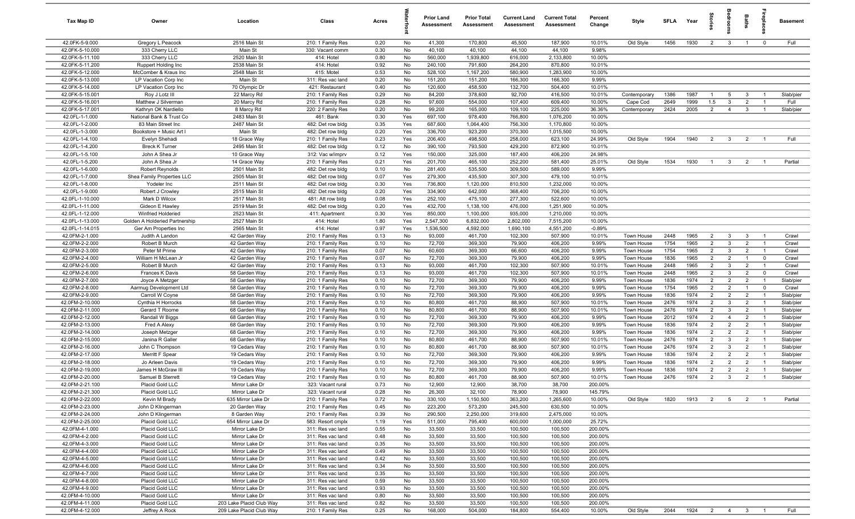| Tax Map ID                         | Owner                                  | Location                           | Class                                  | Acres        |            | <b>Prior Land</b><br>Assessment | <b>Prior Total</b><br>Assessment | <b>Current Land</b><br>Assessment | <b>Current Total</b><br><b>Assessment</b> | Percent<br>Change | Style                    | SFLA         | Year         | tories              | aroo                           | Baths                            |                                  | <b>Basement</b>        |
|------------------------------------|----------------------------------------|------------------------------------|----------------------------------------|--------------|------------|---------------------------------|----------------------------------|-----------------------------------|-------------------------------------------|-------------------|--------------------------|--------------|--------------|---------------------|--------------------------------|----------------------------------|----------------------------------|------------------------|
| 42.0FK-5-9.000                     | Gregory L Peacock                      | 2516 Main St                       | 210: 1 Family Res                      | 0.20         | No         | 41,300                          | 170,800                          | 45,500                            | 187,900                                   | 10.01%            | Old Style                | 1456         | 1930         | $\overline{2}$      | $\overline{\mathbf{3}}$        | $\overline{1}$                   | $\mathbf 0$                      | Full                   |
| 42.0FK-5-10.000                    | 333 Cherry LLC                         | Main St                            | 330: Vacant comm                       | 0.30         | No         | 40,100                          | 40,100                           | 44,100                            | 44,100                                    | 9.98%             |                          |              |              |                     |                                |                                  |                                  |                        |
| 42.0FK-5-11.100                    | 333 Cherry LLC                         | 2520 Main St                       | 414: Hotel                             | 0.80         | No         | 560,000                         | 1,939,800                        | 616,000                           | 2,133,800                                 | 10.00%            |                          |              |              |                     |                                |                                  |                                  |                        |
| 42.0FK-5-11.200                    | Ruppert Holding Inc                    | 2538 Main St                       | 414: Hotel                             | 0.92         | No         | 240,100                         | 791,600                          | 264,200                           | 870,800                                   | 10.01%            |                          |              |              |                     |                                |                                  |                                  |                        |
| 42.0FK-5-12.000                    | McComber & Kraus Inc                   | 2548 Main St                       | 415: Motel                             | 0.53         | No         | 528,100                         | 1,167,200                        | 580,900                           | 1,283,900                                 | 10.00%            |                          |              |              |                     |                                |                                  |                                  |                        |
| 42.0FK-5-13.000<br>42.0FK-5-14.000 | LP Vacation Corp Inc                   | Main St<br>70 Olympic Dr           | 311: Res vac land<br>421: Restaurant   | 0.20<br>0.40 | No<br>No   | 151,200<br>120,600              | 151,200<br>458,500               | 166,300<br>132,700                | 166,300<br>504,400                        | 9.99%<br>10.01%   |                          |              |              |                     |                                |                                  |                                  |                        |
| 42.0FK-5-15.001                    | LP Vacation Corp Inc<br>Roy J Lotz III | 22 Marcy Rd                        | 210: 1 Family Res                      | 0.29         | No         | 84,200                          | 378,600                          | 92,700                            | 416,500                                   | 10.01%            | Contemporary             | 1386         | 1987         | $\overline{1}$      | $5\overline{5}$                | $\overline{\mathbf{3}}$          | $\overline{1}$                   | Slab/pier              |
| 42.0FK-5-16.001                    | Matthew J Silverman                    | 20 Marcy Rd                        | 210: 1 Family Res                      | 0.28         | No         | 97,600                          | 554,000                          | 107,400                           | 609,400                                   | 10.00%            | Cape Cod                 | 2649         | 1999         | 1.5                 | $\mathbf{3}$                   | $\overline{2}$                   | $\overline{1}$                   | Full                   |
| 42.0FK-5-17.001                    | Kathryn OK Nardiello                   | 8 Marcy Rd                         | 220: 2 Family Res                      | 0.20         | No         | 99,200                          | 165,000                          | 109,100                           | 225,000                                   | 36.36%            | Contemporary             | 2424         | 2005         | $\overline{2}$      | $\overline{4}$                 | $\mathbf{3}$                     | $\overline{1}$                   | Slab/pier              |
| 42.0FL-1-1.000                     | National Bank & Trust Co               | 2483 Main St                       | 461: Bank                              | 0.30         | Yes        | 697,100                         | 978,400                          | 766,800                           | 1,076,200                                 | 10.00%            |                          |              |              |                     |                                |                                  |                                  |                        |
| 42.0FL-1-2.000                     | 83 Main Street Inc                     | 2487 Main St                       | 482: Det row bldg                      | 0.35         | Yes        | 687,600                         | 1,064,400                        | 756,300                           | 1,170,800                                 | 10.00%            |                          |              |              |                     |                                |                                  |                                  |                        |
| 42.0FL-1-3.000                     | Bookstore + Music Art I                | Main St                            | 482: Det row bldg                      | 0.20         | Yes        | 336,700                         | 923,200                          | 370,300                           | 1,015,500                                 | 10.00%            |                          |              |              |                     |                                |                                  |                                  |                        |
| 42.0FL-1-4.100                     | Evelyn Shehadi                         | 18 Grace Way                       | 210: 1 Family Res                      | 0.23         | Yes        | 206,400                         | 498,500                          | 258,000                           | 623,100                                   | 24.99%            | Old Style                | 1904         | 1940         | $\overline{2}$      | $\overline{\mathbf{3}}$        | $\overline{2}$                   | $\overline{1}$                   | Full                   |
| 42.0FL-1-4.200                     | <b>Breck K Turner</b>                  | 2495 Main St                       | 482: Det row bldg                      | 0.12         | No         | 390,100                         | 793,500                          | 429,200                           | 872,900                                   | 10.01%            |                          |              |              |                     |                                |                                  |                                  |                        |
| 42.0FL-1-5.100                     | John A Shea Jr                         | 10 Grace Way                       | 312: Vac w/imprv                       | 0.12         | Yes        | 150,000                         | 325,000                          | 187,400                           | 406,200                                   | 24.98%            |                          |              |              |                     |                                |                                  |                                  |                        |
| 42.0FL-1-5.200                     | John A Shea Jr                         | 14 Grace Way                       | 210: 1 Family Res                      | 0.21         | Yes        | 201,700                         | 465,100                          | 252,200                           | 581,400                                   | 25.01%            | Old Style                | 1534         | 1930         | - 1                 | $\mathbf{3}$                   | $\overline{2}$                   |                                  | Partial                |
| 42.0FL-1-6.000                     | Robert Reynolds                        | 2501 Main St                       | 482: Det row bldg                      | 0.10         | No         | 281,400                         | 535,500                          | 309,500                           | 589,000                                   | 9.99%             |                          |              |              |                     |                                |                                  |                                  |                        |
| 42.0FL-1-7.000                     | Shea Family Properties LLC             | 2505 Main St                       | 482: Det row bldg                      | 0.07         | Yes        | 279,300                         | 435,500                          | 307,300                           | 479,100                                   | 10.01%            |                          |              |              |                     |                                |                                  |                                  |                        |
| 42.0FL-1-8.000                     | Yodeler Inc                            | 2511 Main St                       | 482: Det row bldg                      | 0.30         | Yes        | 736,800                         | 1,120,000                        | 810,500                           | 1,232,000                                 | 10.00%            |                          |              |              |                     |                                |                                  |                                  |                        |
| 42.0FL-1-9.000<br>42.0FL-1-10.000  | Robert J Crowley<br>Mark D Wilcox      | 2515 Main St<br>2517 Main St       | 482: Det row bldg<br>481: Att row bldg | 0.20<br>0.08 | Yes<br>Yes | 334,900<br>252,100              | 642,000<br>475,100               | 368,400<br>277,300                | 706,200<br>522,600                        | 10.00%<br>10.00%  |                          |              |              |                     |                                |                                  |                                  |                        |
| 42.0FL-1-11.000                    | Gideon E Hawley                        | 2519 Main St                       | 482: Det row bldg                      | 0.20         | Yes        | 432,700                         | 1,138,100                        | 476,000                           | 1,251,900                                 | 10.00%            |                          |              |              |                     |                                |                                  |                                  |                        |
| 42.0FL-1-12.000                    | Winfried Holderied                     | 2523 Main St                       | 411: Apartment                         | 0.30         | Yes        | 850,000                         | 1,100,000                        | 935,000                           | 1,210,000                                 | 10.00%            |                          |              |              |                     |                                |                                  |                                  |                        |
| 42.0FL-1-13.000                    | Golden A Holderied Partnership         | 2527 Main St                       | 414: Hotel                             | 1.80         | Yes        | 2,547,300                       | 6,832,000                        | 2,802,000                         | 7,515,200                                 | 10.00%            |                          |              |              |                     |                                |                                  |                                  |                        |
| 42.0FL-1-14.015                    | Ger Am Properties Inc                  | 2565 Main St                       | 414: Hotel                             | 0.97         | Yes        | 1,536,500                       | 4,592,000                        | 1,690,100                         | 4,551,200                                 | $-0.89%$          |                          |              |              |                     |                                |                                  |                                  |                        |
| 42.0FM-2-1.000                     | Judith A Landon                        | 42 Garden Way                      | 210: 1 Family Res                      | 0.13         | No         | 93,000                          | 461,700                          | 102,300                           | 507,900                                   | 10.01%            | Town House               | 2448         | 1965         | $\overline{2}$      | $\mathbf{3}$                   | $\mathbf{3}$                     | $\overline{1}$                   | Crawl                  |
| 42.0FM-2-2.000                     | Robert B Murch                         | 42 Garden Way                      | 210: 1 Family Res                      | 0.10         | No         | 72,700                          | 369,300                          | 79,900                            | 406,200                                   | 9.99%             | Town House               | 1754         | 1965         | $\overline{2}$      | $\mathbf{3}$                   | $\overline{2}$                   | $\overline{1}$                   | Crawl                  |
| 42.0FM-2-3.000                     | Peter M Prime                          | 42 Garden Way                      | 210: 1 Family Res                      | 0.07         | No         | 60,600                          | 369,300                          | 66,600                            | 406,200                                   | 9.99%             | Town House               | 1754         | 1965         | $\overline{2}$      | $\mathbf{3}$                   | $\overline{2}$                   | $\overline{1}$                   | Crawl                  |
| 42.0FM-2-4.000                     | William H McLean Jr                    | 42 Garden Way                      | 210: 1 Family Res                      | 0.07         | No         | 72,700                          | 369,300                          | 79,900                            | 406,200                                   | 9.99%             | Town House               | 1836         | 1965         | $\overline{2}$      | $\overline{2}$                 | $\overline{1}$                   | $\mathbf 0$                      | Crawl                  |
| 42.0FM-2-5.000                     | Robert B Murch                         | 42 Garden Way                      | 210: 1 Family Res                      | 0.13         | No         | 93,000                          | 461,700                          | 102,300                           | 507,900                                   | 10.01%            | Town House               | 2448         | 1965         | $\overline{2}$      | $\mathbf{3}$                   | $\overline{2}$                   | $\overline{1}$                   | Crawl                  |
| 42.0FM-2-6.000                     | Frances K Davis                        | 58 Garden Way                      | 210: 1 Family Res                      | 0.13         | No         | 93,000                          | 461,700                          | 102,300                           | 507,900                                   | 10.01%            | Town House               | 2448         | 1965         | $\overline{2}$      | $\mathbf{3}$                   | $\overline{2}$                   | $\mathbf 0$                      | Crawl                  |
| 42.0FM-2-7.000                     | Joyce A Metzger                        | 58 Garden Way                      | 210: 1 Family Res                      | 0.10         | No         | 72,700                          | 369,300                          | 79,900                            | 406,200                                   | 9.99%             | Town House               | 1836         | 1974         | $\overline{2}$      | $\overline{2}$                 | $\overline{2}$                   | $\overline{1}$                   | Slab/pier              |
| 42.0FM-2-8.000                     | Aarmug Development Ltd                 | 58 Garden Way                      | 210: 1 Family Res                      | 0.10         | No         | 72,700                          | 369,300                          | 79,900                            | 406,200                                   | 9.99%             | Town House               | 1754         | 1965         | $\overline{2}$      | $\overline{2}$                 | $\overline{1}$                   | $\mathbf 0$                      | Crawl                  |
| 42.0FM-2-9.000<br>42.0FM-2-10.000  | Carroll W Coyne                        | 58 Garden Way                      | 210: 1 Family Res                      | 0.10         | No<br>No   | 72,700<br>80,800                | 369,300                          | 79,900                            | 406,200<br>507,900                        | 9.99%             | Town House<br>Town House | 1836<br>2476 | 1974<br>1974 | $\overline{2}$      | $\overline{2}$<br>$\mathbf{3}$ | $\overline{2}$<br>$\overline{2}$ | $\overline{1}$<br>$\overline{1}$ | Slab/pier              |
| 42.0FM-2-11.000                    | Cynthia H Horrocks<br>Gerard T Roome   | 58 Garden Way<br>68 Garden Way     | 210: 1 Family Res<br>210: 1 Family Res | 0.10<br>0.10 | No         | 80,800                          | 461,700<br>461,700               | 88,900<br>88,900                  | 507,900                                   | 10.01%<br>10.01%  | Town House               | 2476         | 1974         | $\overline{2}$<br>2 | $\mathbf{3}$                   | $\overline{2}$                   | $\overline{1}$                   | Slab/pier<br>Slab/pier |
| 42.0FM-2-12.000                    | Randall W Biggs                        | 68 Garden Way                      | 210: 1 Family Res                      | 0.10         | No         | 72,700                          | 369,300                          | 79,900                            | 406,200                                   | 9.99%             | Town House               | 2012         | 1974         | $\overline{2}$      | $\overline{4}$                 | 2                                | $\overline{1}$                   | Slab/pier              |
| 42.0FM-2-13.000                    | Fred A Alexy                           | 68 Garden Way                      | 210: 1 Family Res                      | 0.10         | No         | 72,700                          | 369,300                          | 79,900                            | 406,200                                   | 9.99%             | Town House               | 1836         | 1974         | $\overline{2}$      | $\overline{2}$                 | $\overline{2}$                   | $\overline{1}$                   | Slab/pier              |
| 42.0FM-2-14.000                    | Joseph Metzger                         | 68 Garden Way                      | 210: 1 Family Res                      | 0.10         | No         | 72,700                          | 369,300                          | 79,900                            | 406,200                                   | 9.99%             | Town House               | 1836         | 1974         | $\overline{2}$      | $\overline{2}$                 | $\overline{2}$                   | $\overline{1}$                   | Slab/pier              |
| 42.0FM-2-15.000                    | Janina R Galler                        | 68 Garden Way                      | 210: 1 Family Res                      | 0.10         | No         | 80,800                          | 461,700                          | 88,900                            | 507,900                                   | 10.01%            | Town House               | 2476         | 1974         | $\overline{2}$      | $\mathbf{3}$                   | $\overline{2}$                   | $\overline{1}$                   | Slab/pier              |
| 42.0FM-2-16.000                    | John C Thompson                        | 19 Cedars Way                      | 210: 1 Family Res                      | 0.10         | No         | 80,800                          | 461,700                          | 88,900                            | 507,900                                   | 10.01%            | Town House               | 2476         | 1974         | $\overline{2}$      | $\mathbf{3}$                   | $\overline{2}$                   | $\overline{1}$                   | Slab/pier              |
| 42.0FM-2-17.000                    | Merritt F Spear                        | 19 Cedars Way                      | 210: 1 Family Res                      | 0.10         | No         | 72,700                          | 369,300                          | 79,900                            | 406,200                                   | 9.99%             | Town House               | 1836         | 1974         | $\overline{2}$      | $\overline{2}$                 | $\overline{2}$                   |                                  | Slab/pier              |
| 42.0FM-2-18.000                    | Jo Arleen Davis                        | 19 Cedars Way                      | 210: 1 Family Res                      | 0.10         | No         | 72,700                          | 369,300                          | 79,900                            | 406,200                                   | 9.99%             | Town House               | 1836         | 1974         | $\overline{2}$      | $\overline{2}$                 | $\overline{2}$                   | $\overline{1}$                   | Slab/pier              |
| 42.0FM-2-19.000                    | James H McGraw III                     | 19 Cedars Way                      | 210: 1 Family Res                      | 0.10         | No         | 72,700                          | 369,300                          | 79,900                            | 406,200                                   | 9.99%             | Town House               | 1836         | 1974         | $\overline{2}$      | $\overline{2}$                 | $\overline{2}$                   | $\overline{1}$                   | Slab/pier              |
| 42.0FM-2-20.000                    | Samuel B Sterrett                      | 19 Cedars Way                      | 210: 1 Family Res                      | 0.10         | No         | 80,800                          | 461,700                          | 88,900                            | 507,900                                   | 10.01%            | Town House               | 2476         | 1974         | $\overline{2}$      | $\mathbf{3}$                   | $\overline{2}$                   | $\overline{1}$                   | Slab/pier              |
| 42.0FM-2-21.100                    | Placid Gold LLC                        | Mirror Lake Dr                     | 323: Vacant rural                      | 0.73         | No         | 12,900                          | 12,900                           | 38,700                            | 38,700                                    | 200.00%           |                          |              |              |                     |                                |                                  |                                  |                        |
| 42.0FM-2-21.300                    | Placid Gold LLC                        | Mirror Lake Dr                     | 323: Vacant rural                      | 0.28         | No         | 26,300                          | 32,100                           | 78,900                            | 78,900                                    | 145.79%           |                          |              |              |                     |                                |                                  |                                  |                        |
| 42.0FM-2-22.000                    | Kevin M Brady                          | 635 Mirror Lake Dr                 | 210: 1 Family Res                      | 0.72         | No         | 330,100                         | 1,150,500                        | 363,200                           | 1,265,600                                 | 10.00%            | Old Style                | 1820         | 1913         | 2                   | 5                              | 2                                | $\overline{1}$                   | Partial                |
| 42.0FM-2-23.000<br>42.0FM-2-24.000 | John D Klingerman                      | 20 Garden Way                      | 210: 1 Family Res                      | 0.45<br>0.39 | No<br>No   | 223,200<br>290,500              | 573,200<br>2,250,000             | 245,500<br>319,600                | 630,500<br>2,475,000                      | 10.00%<br>10.00%  |                          |              |              |                     |                                |                                  |                                  |                        |
| 42.0FM-2-25.000                    | John D Klingerman<br>Placid Gold LLC   | 8 Garden Way<br>654 Mirror Lake Dr | 210: 1 Family Res<br>583: Resort cmplx | 1.19         | Yes        | 511,000                         | 795,400                          | 600,000                           | 1,000,000                                 | 25.72%            |                          |              |              |                     |                                |                                  |                                  |                        |
| 42.0FM-4-1.000                     | Placid Gold LLC                        | Mirror Lake Dr                     | 311: Res vac land                      | 0.55         | No         | 33,500                          | 33,500                           | 100,500                           | 100,500                                   | 200.00%           |                          |              |              |                     |                                |                                  |                                  |                        |
| 42.0FM-4-2.000                     | Placid Gold LLC                        | Mirror Lake Dr                     | 311: Res vac land                      | 0.48         | No         | 33,500                          | 33,500                           | 100,500                           | 100,500                                   | 200.00%           |                          |              |              |                     |                                |                                  |                                  |                        |
| 42.0FM-4-3.000                     | Placid Gold LLC                        | Mirror Lake Dr                     | 311: Res vac land                      | 0.35         | No         | 33,500                          | 33,500                           | 100,500                           | 100,500                                   | 200.00%           |                          |              |              |                     |                                |                                  |                                  |                        |
| 42.0FM-4-4.000                     | Placid Gold LLC                        | Mirror Lake Dr                     | 311: Res vac land                      | 0.49         | No         | 33,500                          | 33,500                           | 100,500                           | 100,500                                   | 200.00%           |                          |              |              |                     |                                |                                  |                                  |                        |
| 42.0FM-4-5.000                     | Placid Gold LLC                        | Mirror Lake Dr                     | 311: Res vac land                      | 0.42         | No         | 33,500                          | 33,500                           | 100,500                           | 100,500                                   | 200.00%           |                          |              |              |                     |                                |                                  |                                  |                        |
| 42.0FM-4-6.000                     | Placid Gold LLC                        | Mirror Lake Dr                     | 311: Res vac land                      | 0.34         | No         | 33,500                          | 33,500                           | 100,500                           | 100,500                                   | 200.00%           |                          |              |              |                     |                                |                                  |                                  |                        |
| 42.0FM-4-7.000                     | Placid Gold LLC                        | Mirror Lake Dr                     | 311: Res vac land                      | 0.35         | No         | 33,500                          | 33,500                           | 100,500                           | 100,500                                   | 200.00%           |                          |              |              |                     |                                |                                  |                                  |                        |
| 42.0FM-4-8.000                     | Placid Gold LLC                        | Mirror Lake Dr                     | 311: Res vac land                      | 0.59         | No         | 33,500                          | 33,500                           | 100,500                           | 100,500                                   | 200.00%           |                          |              |              |                     |                                |                                  |                                  |                        |
| 42.0FM-4-9.000                     | Placid Gold LLC                        | Mirror Lake Dr                     | 311: Res vac land                      | 0.93         | No         | 33,500                          | 33,500                           | 100,500                           | 100,500                                   | 200.00%           |                          |              |              |                     |                                |                                  |                                  |                        |
| 42.0FM-4-10.000                    | Placid Gold LLC                        | Mirror Lake Dr                     | 311: Res vac land                      | 0.80         | No         | 33,500                          | 33,500                           | 100,500                           | 100,500                                   | 200.00%           |                          |              |              |                     |                                |                                  |                                  |                        |
| 42.0FM-4-11.000                    | Placid Gold LLC                        | 203 Lake Placid Club Way           | 311: Res vac land                      | 0.82         | No         | 33,500                          | 33,500                           | 100,500                           | 100,500                                   | 200.00%           |                          |              |              |                     |                                |                                  |                                  |                        |
| 42.0FM-4-12.000                    | Jeffrey A Rock                         | 209 Lake Placid Club Way           | 210: 1 Family Res                      | 0.25         | No         | 168,000                         | 504,000                          | 184,800                           | 554,400                                   | 10.00%            | Old Style                | 2044         | 1924         |                     |                                | $2$ 4 3 1                        |                                  | Full                   |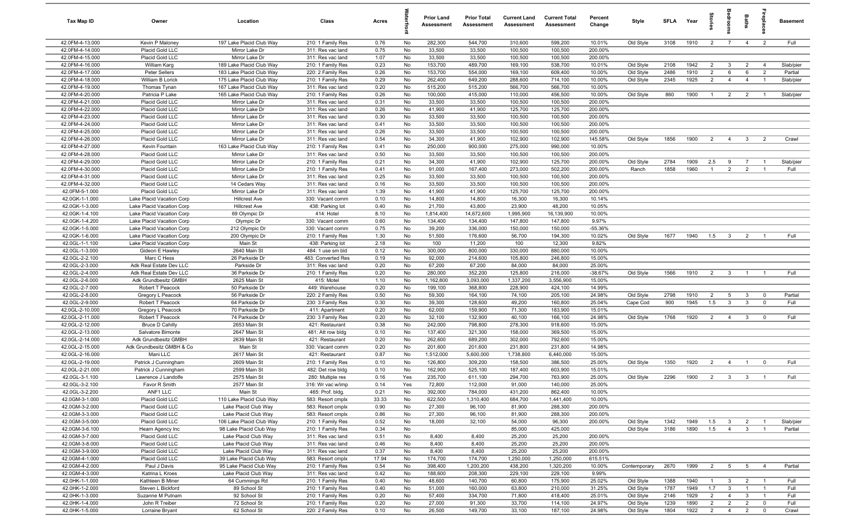| Tax Map ID                         | Owner                                           | Location                                             | Class                                  | Acres        |            | <b>Prior Land</b><br>Assessment | <b>Prior Total</b><br>Assessment | <b>Current Land</b><br>Assessment | <b>Current Total</b><br>Assessment | Percent<br>Change   | Style                  | <b>SFLA</b>  | Year         | ĝ.                               | groon                          | Baths                          | repla                            | Basement             |
|------------------------------------|-------------------------------------------------|------------------------------------------------------|----------------------------------------|--------------|------------|---------------------------------|----------------------------------|-----------------------------------|------------------------------------|---------------------|------------------------|--------------|--------------|----------------------------------|--------------------------------|--------------------------------|----------------------------------|----------------------|
| 42.0FM-4-13.000                    | Kevin P Maloney                                 | 197 Lake Placid Club Way                             | 210: 1 Family Res                      | 0.76         | No         | 282,300                         | 544,700                          | 310,600                           | 599,200                            | 10.01%              | Old Style              | 3108         | 1910         | 2                                | $\overline{7}$                 | $\overline{4}$                 | $\overline{2}$                   | Full                 |
| 42.0FM-4-14.000                    | Placid Gold LLC                                 | Mirror Lake Dr                                       | 311: Res vac land                      | 0.75         | No         | 33,500                          | 33,500                           | 100,500                           | 100,500                            | 200.00%             |                        |              |              |                                  |                                |                                |                                  |                      |
| 42.0FM-4-15.000                    | Placid Gold LLC                                 | Mirror Lake Dr                                       | 311: Res vac land                      | 1.07         | No         | 33,500                          | 33,500                           | 100,500                           | 100,500                            | 200.00%             |                        |              |              |                                  |                                |                                |                                  |                      |
| 42.0FM-4-16.000                    | William Karg                                    | 189 Lake Placid Club Way                             | 210: 1 Family Res                      | 0.23         | No         | 153,700                         | 489,700                          | 169,100                           | 538,700                            | 10.01%              | Old Style              | 2108         | 1942         | $\overline{2}$                   | $\mathbf{3}$                   | $\overline{2}$                 | $\overline{4}$                   | Slab/pier            |
| 42.0FM-4-17.000<br>42.0FM-4-18.000 | Peter Sellers<br>William B Lorick               | 183 Lake Placid Club Way<br>175 Lake Placid Club Way | 220: 2 Family Res<br>210: 1 Family Res | 0.26<br>0.29 | No<br>No   | 153,700<br>262,400              | 554,000<br>649,200               | 169,100<br>288,600                | 609,400<br>714,100                 | 10.00%<br>10.00%    | Old Style<br>Old Style | 2486<br>2345 | 1910<br>1925 | $\overline{2}$<br>$\overline{2}$ | 6<br>$\overline{4}$            | 6<br>$\overline{4}$            | $\overline{2}$<br>- 1            | Partial<br>Slab/pier |
| 42.0FM-4-19.000                    | Thomas Tynan                                    | 167 Lake Placid Club Way                             | 311: Res vac land                      | 0.20         | No         | 515,200                         | 515,200                          | 566,700                           | 566,700                            | 10.00%              |                        |              |              |                                  |                                |                                |                                  |                      |
| 42.0FM-4-20.000                    | Patricia P Lake                                 | 165 Lake Placid Club Way                             | 210: 1 Family Res                      | 0.26         | No         | 100,000                         | 415,000                          | 110,000                           | 456,500                            | 10.00%              | Old Style              | 860          | 1900         | $\overline{1}$                   | $\overline{2}$                 | $\overline{2}$                 | $\overline{1}$                   | Slab/pier            |
| 42.0FM-4-21.000                    | Placid Gold LLC                                 | Mirror Lake Dr                                       | 311: Res vac land                      | 0.31         | No         | 33,500                          | 33,500                           | 100,500                           | 100,500                            | 200.00%             |                        |              |              |                                  |                                |                                |                                  |                      |
| 42.0FM-4-22.000                    | Placid Gold LLC                                 | Mirror Lake Dr                                       | 311: Res vac land                      | 0.26         | No         | 41,900                          | 41,900                           | 125,700                           | 125,700                            | 200.00%             |                        |              |              |                                  |                                |                                |                                  |                      |
| 42.0FM-4-23.000                    | Placid Gold LLC                                 | Mirror Lake Dr                                       | 311: Res vac land                      | 0.30         | No         | 33,500                          | 33,500                           | 100,500                           | 100,500                            | 200.00%             |                        |              |              |                                  |                                |                                |                                  |                      |
| 42.0FM-4-24.000                    | Placid Gold LLC                                 | Mirror Lake Dr                                       | 311: Res vac land                      | 0.41         | No         | 33,500                          | 33,500                           | 100,500                           | 100,500                            | 200.00%             |                        |              |              |                                  |                                |                                |                                  |                      |
| 42.0FM-4-25.000                    | Placid Gold LLC                                 | Mirror Lake Dr                                       | 311: Res vac land                      | 0.26         | No         | 33,500                          | 33,500                           | 100,500                           | 100,500                            | 200.00%             |                        |              |              |                                  |                                |                                |                                  |                      |
| 42.0FM-4-26.000                    | Placid Gold LLC                                 | Mirror Lake Dr                                       | 311: Res vac land                      | 0.54         | No         | 34,300                          | 41,900                           | 102,900                           | 102,900                            | 145.58%             | Old Style              | 1856         | 1900         | $\overline{2}$                   | $\overline{4}$                 | $\mathbf{3}$                   | $\overline{2}$                   | Crawl                |
| 42.0FM-4-27.000                    | Kevin Fountain                                  | 163 Lake Placid Club Way                             | 210: 1 Family Res                      | 0.41         | No         | 250,000                         | 900,000                          | 275,000                           | 990,000                            | 10.00%              |                        |              |              |                                  |                                |                                |                                  |                      |
| 42.0FM-4-28.000                    | Placid Gold LLC                                 | Mirror Lake Dr                                       | 311: Res vac land                      | 0.50         | No         | 33,500                          | 33,500                           | 100,500                           | 100,500                            | 200.00%             |                        |              |              |                                  |                                |                                |                                  |                      |
| 42.0FM-4-29.000                    | Placid Gold LLC                                 | Mirror Lake Dr                                       | 210: 1 Family Res                      | 0.21         | No         | 34,300                          | 41,900                           | 102,900                           | 125,700                            | 200.00%             | Old Style              | 2784         | 1909         | 2.5                              | 9                              | 7                              |                                  | Slab/pier            |
| 42.0FM-4-30.000<br>42.0FM-4-31.000 | Placid Gold LLC<br>Placid Gold LLC              | Mirror Lake Dr<br>Mirror Lake Dr                     | 210: 1 Family Res<br>311: Res vac land | 0.41<br>0.25 | No<br>No   | 91,000<br>33,500                | 167,400<br>33,500                | 273,000<br>100,500                | 502,200<br>100,500                 | 200.00%<br>200.00%  | Ranch                  | 1858         | 1960         | $\overline{1}$                   | $\overline{2}$                 | $\overline{2}$                 |                                  | Full                 |
| 42.0FM-4-32.000                    | Placid Gold LLC                                 | 14 Cedars Way                                        | 311: Res vac land                      | 0.16         | No         | 33,500                          | 33,500                           | 100,500                           | 100,500                            | 200.00%             |                        |              |              |                                  |                                |                                |                                  |                      |
| 42.0FM-5-1.000                     | Placid Gold LLC                                 | Mirror Lake Dr                                       | 311: Res vac land                      | 1.39         | No         | 41,900                          | 41,900                           | 125,700                           | 125,700                            | 200.00%             |                        |              |              |                                  |                                |                                |                                  |                      |
| 42.0GK-1-1.000                     | Lake Placid Vacation Corp                       | <b>Hillcrest Ave</b>                                 | 330: Vacant comm                       | 0.10         | No         | 14,800                          | 14,800                           | 16,300                            | 16,300                             | 10.14%              |                        |              |              |                                  |                                |                                |                                  |                      |
| 42.0GK-1-3.000                     | Lake Placid Vacation Corp                       | <b>Hillcrest Ave</b>                                 | 438: Parking lot                       | 0.40         | No         | 21,700                          | 43,800                           | 23,900                            | 48,200                             | 10.05%              |                        |              |              |                                  |                                |                                |                                  |                      |
| 42.0GK-1-4.100                     | Lake Placid Vacation Corp                       | 69 Olympic Dr                                        | 414: Hotel                             | 8.10         | No         | 1,814,400                       | 14,672,600                       | 1,995,900                         | 16,139,900                         | 10.00%              |                        |              |              |                                  |                                |                                |                                  |                      |
| 42.0GK-1-4.200                     | Lake Placid Vacation Corp                       | Olympic Dr                                           | 330: Vacant comm                       | 0.60         | No         | 134,400                         | 134,400                          | 147,800                           | 147,800                            | 9.97%               |                        |              |              |                                  |                                |                                |                                  |                      |
| 42.0GK-1-5.000                     | Lake Placid Vacation Corp                       | 212 Olympic Dr                                       | 330: Vacant comm                       | 0.75         | No         | 39,200                          | 336,000                          | 150,000                           | 150,000                            | $-55.36%$           |                        |              |              |                                  |                                |                                |                                  |                      |
| 42.0GK-1-6.000                     | Lake Placid Vacation Corp                       | 200 Olympic Dr                                       | 210: 1 Family Res                      | 1.30         | No         | 51,500                          | 176,600                          | 56,700                            | 194,300                            | 10.02%              | Old Style              | 1677         | 1940         | 1.5                              | $\overline{\mathbf{3}}$        | $\overline{2}$                 | $\overline{1}$                   | Full                 |
| 42.0GL-1-1.100                     | Lake Placid Vacation Corp                       | Main St                                              | 438: Parking lot                       | 2.18         | No         | 100                             | 11,200                           | 100                               | 12,300                             | 9.82%               |                        |              |              |                                  |                                |                                |                                  |                      |
| 42.0GL-1-3.000                     | Gideon E Hawley                                 | 2640 Main St                                         | 484: 1 use sm bld                      | 0.12         | No         | 300,000                         | 800,000                          | 330,000                           | 880,000                            | 10.00%              |                        |              |              |                                  |                                |                                |                                  |                      |
| 42.0GL-2-2.100                     | Marc C Hess                                     | 26 Parkside Dr                                       | 483: Converted Res                     | 0.19         | No         | 92,000                          | 214,600                          | 105,800                           | 246,800                            | 15.00%              |                        |              |              |                                  |                                |                                |                                  |                      |
| 42.0GL-2-3.000                     | Adk Real Estate Dev LLC                         | Parkside Dr                                          | 311: Res vac land                      | 0.20         | No         | 67,200                          | 67,200                           | 84,000                            | 84,000                             | 25.00%              |                        |              |              |                                  |                                |                                |                                  |                      |
| 42.0GL-2-4.000<br>42.0GL-2-6.000   | Adk Real Estate Dev LLC<br>Adk Grundbesitz GMBH | 36 Parkside Dr<br>2625 Main St                       | 210: 1 Family Res<br>415: Motel        | 0.20<br>1.10 | No<br>No   | 280,000<br>1,162,800            | 352,200<br>3,093,000             | 125,800<br>1,337,200              | 216,000<br>3,556,900               | $-38.67%$<br>15.00% | Old Style              | 1566         | 1910         | $\overline{2}$                   | $\mathbf{3}$                   | $\overline{1}$                 | $\overline{1}$                   | Full                 |
| 42.0GL-2-7.000                     | Robert T Peacock                                | 50 Parkside Dr                                       | 449: Warehouse                         | 0.20         | No         | 199,100                         | 368,800                          | 228,900                           | 424,100                            | 14.99%              |                        |              |              |                                  |                                |                                |                                  |                      |
| 42.0GL-2-8.000                     | Gregory L Peacock                               | 56 Parkside Dr                                       | 220: 2 Family Res                      | 0.50         | No         | 59,300                          | 164,100                          | 74,100                            | 205,100                            | 24.98%              | Old Style              | 2798         | 1910         | $\overline{2}$                   | $5\overline{)}$                | $\mathbf{3}$                   | $^{\circ}$                       | Partial              |
| 42.0GL-2-9.000                     | Robert T Peacock                                | 64 Parkside Dr                                       | 230: 3 Family Res                      | 0.30         | No         | 39,300                          | 128,600                          | 49,200                            | 160,800                            | 25.04%              | Cape Cod               | 900          | 1945         | 1.5                              | $\mathbf{3}$                   | $\mathbf{3}$                   | $^{\circ}$                       | Full                 |
| 42.0GL-2-10.000                    | Gregory L Peacock                               | 70 Parkside Dr                                       | 411: Apartment                         | 0.20         | No         | 62,000                          | 159,900                          | 71,300                            | 183,900                            | 15.01%              |                        |              |              |                                  |                                |                                |                                  |                      |
| 42.0GL-2-11.000                    | Robert T Peacock                                | 74 Parkside Dr                                       | 230: 3 Family Res                      | 0.20         | No         | 32,100                          | 132,900                          | 40,100                            | 166,100                            | 24.98%              | Old Style              | 1768         | 1920         | $\overline{2}$                   | $\overline{4}$                 | $\mathbf{3}$                   | $\mathbf{0}$                     | Full                 |
| 42.0GL-2-12.000                    | <b>Bruce D Cahilly</b>                          | 2653 Main St                                         | 421: Restaurant                        | 0.38         | No         | 242,000                         | 798,800                          | 278,300                           | 918,600                            | 15.00%              |                        |              |              |                                  |                                |                                |                                  |                      |
| 42.0GL-2-13.000                    | Salvatore Bimonte                               | 2647 Main St                                         | 481: Att row bldg                      | 0.10         | No         | 137,400                         | 321,300                          | 158,000                           | 369,500                            | 15.00%              |                        |              |              |                                  |                                |                                |                                  |                      |
| 42.0GL-2-14.000                    | Adk Grundbesitz GMBH                            | 2639 Main St                                         | 421: Restaurant                        | 0.20         | No         | 262,600                         | 689,200                          | 302,000                           | 792,600                            | 15.00%              |                        |              |              |                                  |                                |                                |                                  |                      |
| 42.0GL-2-15.000                    | Adk Grundbesitz GMBH & Co                       | Main St                                              | 330: Vacant comm                       | 0.20         | No         | 201,600                         | 201,600                          | 231,800                           | 231,800                            | 14.98%              |                        |              |              |                                  |                                |                                |                                  |                      |
| 42.0GL-2-16.000                    | Mani LLC                                        | 2617 Main St                                         | 421: Restaurant                        | 0.87         | No         | 1,512,000                       | 5,600,000                        | 1,738,800                         | 6,440,000                          | 15.00%              |                        |              |              |                                  |                                |                                |                                  |                      |
| 42.0GL-2-19.000                    | Patrick J Cunningham                            | 2609 Main St                                         | 210: 1 Family Res                      | 0.10         | No         | 126,800                         | 309,200                          | 158,500                           | 386,500                            | 25.00%              | Old Style              | 1350         | 1920         | $\overline{2}$                   | $\overline{4}$                 | $\overline{1}$                 | $\overline{0}$                   | Full                 |
| 42.0GL-2-21.000                    | Patrick J Cunningham                            | 2599 Main St                                         | 482: Det row bldg                      | 0.10         | No         | 162,900                         | 525,100                          | 187,400                           | 603,900                            | 15.01%              |                        |              |              |                                  |                                |                                |                                  |                      |
| 42.0GL-3-1.100<br>42.0GL-3-2.100   | Lawrence J Landolfe<br>Favor R Smith            | 2575 Main St<br>2577 Main St                         | 280: Multiple res<br>316: Wr vac w/imp | 0.16<br>0.14 | Yes<br>Yes | 235,700<br>72,800               | 611,100<br>112,000               | 294,700<br>91,000                 | 763,900<br>140,000                 | 25.00%<br>25.00%    | Old Style              | 2296         | 1900         | $\overline{2}$                   | $\overline{\mathbf{3}}$        | $\mathbf{3}$                   | $\overline{1}$                   | Full                 |
| 42.0GL-3-2.200                     | ANF1 LLC                                        | Main St                                              | 465: Prof. bldg.                       | 0.21         | No         | 392,000                         | 784,000                          | 431,200                           | 862,400                            | 10.00%              |                        |              |              |                                  |                                |                                |                                  |                      |
| 42.0GM-3-1.000                     | Placid Gold LLC                                 | 110 Lake Placid Club Way                             | 583: Resort cmplx                      | 33.33        | No         | 622,500                         | 1,310,400                        | 684,700                           | 1,441,400                          | 10.00%              |                        |              |              |                                  |                                |                                |                                  |                      |
| 42.0GM-3-2.000                     | Placid Gold LLC                                 | Lake Placid Club Way                                 | 583: Resort cmplx                      | 0.90         | No         | 27,300                          | 96,100                           | 81,900                            | 288,300                            | 200.00%             |                        |              |              |                                  |                                |                                |                                  |                      |
| 42.0GM-3-3.000                     | Placid Gold LLC                                 | Lake Placid Club Way                                 | 583: Resort cmplx                      | 0.86         | No         | 27,300                          | 96,100                           | 81,900                            | 288,300                            | 200.00%             |                        |              |              |                                  |                                |                                |                                  |                      |
| 42.0GM-3-5.000                     | Placid Gold LLC                                 | 106 Lake Placid Club Way                             | 210: 1 Family Res                      | 0.52         | No         | 18,000                          | 32,100                           | 54,000                            | 96,300                             | 200.00%             | Old Style              | 1342         | 1949         | 1.5                              | $\mathbf{3}$                   | $\overline{2}$                 | $\overline{1}$                   | Slab/pier            |
| 42.0GM-3-6.100                     | Hearn Agency Inc                                | 98 Lake Placid Club Way                              | 210: 1 Family Res                      | 0.34         | No         |                                 |                                  | 85,000                            | 425,000                            |                     | Old Style              | 3186         | 1890         | 1.5                              | $\overline{4}$                 | $\mathbf{3}$                   | $\overline{1}$                   | Partial              |
| 42.0GM-3-7.000                     | Placid Gold LLC                                 | Lake Placid Club Way                                 | 311: Res vac land                      | 0.51         | No         | 8,400                           | 8,400                            | 25,200                            | 25,200                             | 200.00%             |                        |              |              |                                  |                                |                                |                                  |                      |
| 42.0GM-3-8.000                     | Placid Gold LLC                                 | Lake Placid Club Way                                 | 311: Res vac land                      | 0.46         | No         | 8,400                           | 8,400                            | 25,200                            | 25,200                             | 200.00%             |                        |              |              |                                  |                                |                                |                                  |                      |
| 42.0GM-3-9.000                     | Placid Gold LLC                                 | Lake Placid Club Way                                 | 311: Res vac land                      | 0.37         | No         | 8,400                           | 8,400                            | 25,200                            | 25,200                             | 200.00%             |                        |              |              |                                  |                                |                                |                                  |                      |
| 42.0GM-4-1.000                     | Placid Gold LLC                                 | 39 Lake Placid Club Way                              | 583: Resort cmplx                      | 17.94        | No         | 174,700                         | 174,700                          | 1,250,000                         | 1,250,000                          | 615.51%             |                        |              |              |                                  |                                |                                |                                  |                      |
| 42.0GM-4-2.000                     | Paul J Davis                                    | 95 Lake Placid Club Way                              | 210: 1 Family Res                      | 0.54         | No         | 398,400                         | 1,200,200                        | 438,200                           | 1,320,200                          | 10.00%              | Contemporary           | 2670         | 1999         | $\overline{2}$                   | $5\overline{5}$                | $5\overline{5}$                | $\overline{4}$                   | Partial              |
| 42.0GM-4-3.000                     | Katrina L Kroes                                 | Lake Placid Club Way                                 | 311: Res vac land                      | 0.42         | No         | 188,600                         | 208,300                          | 229,100                           | 229,100                            | 9.99%               |                        |              |              |                                  |                                |                                |                                  |                      |
| 42.0HK-1-1.000                     | Kathleen B Miner                                | 64 Cummings Rd                                       | 210: 1 Family Res                      | 0.40         | No         | 48,600                          | 140,700                          | 60,800                            | 175,900                            | 25.02%              | Old Style              | 1388         | 1940         | $\overline{1}$                   | $\mathbf{3}$                   | $\overline{2}$                 | $\overline{1}$                   | Full                 |
| 42.0HK-1-2.000<br>42.0HK-1-3.000   | Steven L Bickford                               | 89 School St<br>92 School St                         | 210: 1 Family Res                      | 0.40         | No         | 51,000<br>57,400                | 160,000<br>334,700               | 63,800<br>71,800                  | 210,000<br>418,400                 | 31.25%              | Old Style              | 1787         | 1949         | 1.7                              | $\mathbf{3}$<br>$\overline{4}$ | $\overline{1}$                 | $\overline{1}$<br>$\overline{1}$ | Full                 |
| 42.0HK-1-4.000                     | Suzanne M Putnam<br>John R Treiber              | 72 School St                                         | 210: 1 Family Res<br>210: 1 Family Res | 0.20<br>0.20 | No<br>No   | 27,000                          | 91,300                           | 33,700                            | 114,100                            | 25.01%<br>24.97%    | Old Style<br>Old Style | 2146<br>1239 | 1929<br>1890 | $\overline{2}$<br>$\overline{2}$ | $\overline{2}$                 | $\mathbf{3}$<br>$\overline{2}$ | $\mathbf 0$                      | Full<br>Full         |
| 42.0HK-1-5.000                     | Lorraine Bryant                                 | 62 School St                                         | 220: 2 Family Res                      | 0.10         | No         | 26,500                          | 149,700                          | 33,100                            | 187,100                            | 24.98%              | Old Style              | 1804         | 1922         | $\overline{2}$                   | $\overline{4}$                 | $\overline{2}$                 | $\mathbf 0$                      | Crawl                |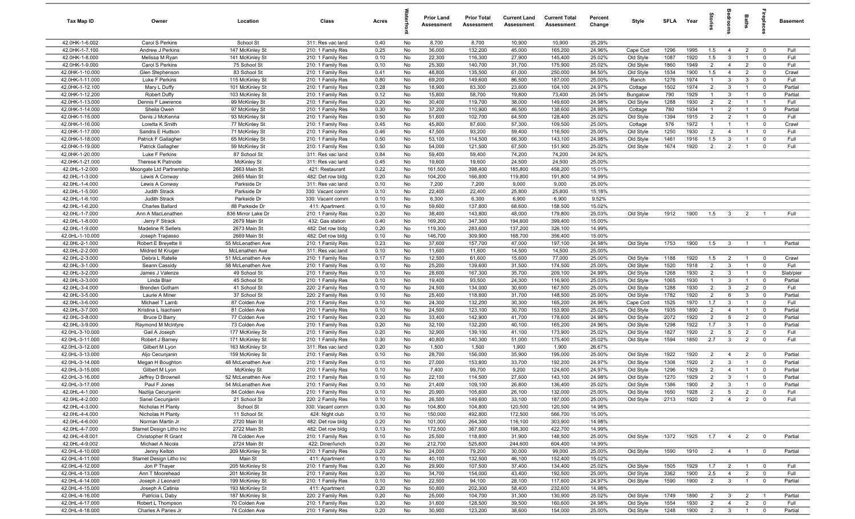| Tax Map ID                         | Owner                                    | Location                                | Class                                  | Acres        |          | <b>Prior Land</b><br>Assessment | <b>Prior Total</b><br>Assessment | <b>Current Land</b><br>Assessment | <b>Current Total</b><br>Assessment | Percent<br>Change | Style                  | <b>SFLA</b>  | Year         | tories                           | å                                | Baths                            |                                        | <b>Basement</b>      |
|------------------------------------|------------------------------------------|-----------------------------------------|----------------------------------------|--------------|----------|---------------------------------|----------------------------------|-----------------------------------|------------------------------------|-------------------|------------------------|--------------|--------------|----------------------------------|----------------------------------|----------------------------------|----------------------------------------|----------------------|
| 42.0HK-1-6.002                     | Carol S Perkins                          | School St                               | 311: Res vac land                      | 0.40         | No       | 8,700                           | 8,700                            | 10,900                            | 10,900                             | 25.29%            |                        |              |              |                                  |                                  |                                  |                                        |                      |
| 42.0HK-1-7.100                     | Andrew J Perkins                         | 147 McKinley St                         | 210: 1 Family Res                      | 0.25         | No       | 36,000                          | 132,200                          | 45,000                            | 165,200                            | 24.96%            | Cape Cod               | 1296         | 1995         | 1.5                              | $\overline{4}$                   | $\overline{2}$                   | $\overline{0}$                         | Full                 |
| 42.0HK-1-8.000                     | Melissa M Ryan                           | 141 McKinley St                         | 210: 1 Family Res                      | 0.10         | No       | 22,300                          | 116,300                          | 27,900                            | 145,400                            | 25.02%            | Old Style              | 1087         | 1920         | 1.5                              | 3                                | $\mathbf{1}$                     | $\mathbf 0$                            | Full                 |
| 42.0HK-1-9.000                     | Carol S Perkins                          | 75 School St                            | 210: 1 Family Res                      | 0.10         | No       | 25,300                          | 140,700                          | 31,700                            | 175,900                            | 25.02%            | Old Style              | 1860         | 1949         | $\overline{2}$                   | $\overline{4}$                   | $\overline{2}$                   | $\mathbf 0$                            | Full                 |
| 42.0HK-1-10.000                    | Glen Stephenson                          | 83 School St                            | 210: 1 Family Res                      | 0.41         | No       | 48,800                          | 135,500                          | 61,000                            | 250,000                            | 84.50%            | Old Style              | 1534         | 1900         | 1.5                              | $\overline{4}$                   | $\overline{2}$                   | $\mathbf 0$                            | Crawl                |
| 42.0HK-1-11.000<br>42.0HK-1-12.100 | Luke F Perkins                           | 115 McKinley St                         | 210: 1 Family Res                      | 0.80         | No       | 69,200<br>18,900                | 149,600<br>83,300                | 86,500<br>23,600                  | 187,000                            | 25.00%<br>24.97%  | Ranch                  | 1276<br>1502 | 1974<br>1974 | $\overline{1}$<br>$\overline{2}$ | 3<br>$\mathbf{3}$                | 3<br>$\overline{1}$              | $\mathbf 0$<br>$\mathbf 0$             | Full<br>Partial      |
| 42.0HK-1-12.200                    | Mary L Duffy<br><b>Robert Duffy</b>      | 101 McKinley St<br>103 McKinley St      | 210: 1 Family Res<br>210: 1 Family Res | 0.28<br>0.12 | No<br>No | 15,800                          | 58,700                           | 19,800                            | 104,100<br>73,400                  | 25.04%            | Cottage<br>Bungalow    | 790          | 1929         | $\overline{1}$                   | $\mathbf{3}$                     | $\overline{1}$                   | $\mathbf 0$                            | Partial              |
| 42.0HK-1-13.000                    | Dennis F Lawrence                        | 99 McKinley St                          | 210: 1 Family Res                      | 0.20         | No       | 30,400                          | 119,700                          | 38,000                            | 149,600                            | 24.98%            | Old Style              | 1288         | 1930         | $\overline{2}$                   | 2                                | $\overline{1}$                   | $\overline{1}$                         | Full                 |
| 42.0HK-1-14.000                    | Sheila Owen                              | 97 McKinley St                          | 210: 1 Family Res                      | 0.30         | No       | 37,200                          | 110,900                          | 46,500                            | 138,600                            | 24.98%            | Cottage                | 780          | 1934         | $\overline{1}$                   | $\overline{2}$                   | $\overline{1}$                   | $\mathbf 0$                            | Partial              |
| 42.0HK-1-15.000                    | Denis J McKenna                          | 93 McKinley St                          | 210: 1 Family Res                      | 0.50         | No       | 51,600                          | 102,700                          | 64,500                            | 128,400                            | 25.02%            | Old Style              | 1394         | 1915         | $\overline{2}$                   | $\overline{2}$                   | $\overline{1}$                   | $\mathbf 0$                            | Full                 |
| 42.0HK-1-16.000                    | Loretta K Smith                          | 77 McKinley St                          | 210: 1 Family Res                      | 0.45         | No       | 45,800                          | 87,600                           | 57,300                            | 109,500                            | 25.00%            | Cottage                | 576          | 1972         | $\overline{1}$                   | $\overline{1}$                   | $\overline{1}$                   | $\mathbf 0$                            | Crawl                |
| 42.0HK-1-17.000                    | Sandra E Hudson                          | 71 McKinley St                          | 210: 1 Family Res                      | 0.46         | No       | 47,500                          | 93,200                           | 59,400                            | 116,500                            | 25.00%            | Old Style              | 1250         | 1930         | $\overline{2}$                   | $\overline{4}$                   | $\overline{1}$                   | $\mathbf 0$                            | Full                 |
| 42.0HK-1-18.000                    | Patrick F Gallagher                      | 65 McKinley St                          | 210: 1 Family Res                      | 0.50         | No       | 53,100                          | 114,500                          | 66,300                            | 143,100                            | 24.98%            | Old Style              | 1461         | 1916         | 1.5                              | $\mathbf{3}$                     | $\overline{1}$                   | $\mathbf 0$                            | Full                 |
| 42.0HK-1-19.000                    | Patrick Gallagher                        | 59 McKinley St                          | 210: 1 Family Res                      | 0.50         | No       | 54,000                          | 121,500                          | 67,500                            | 151,900                            | 25.02%            | Old Style              | 1674         | 1920         | $\overline{2}$                   | $\overline{2}$                   | $\overline{1}$                   | $\mathbf 0$                            | Full                 |
| 42.0HK-1-20.000                    | Luke F Perkins                           | 87 School St                            | 311: Res vac land                      | 0.84         | No       | 59,400                          | 59,400                           | 74,200                            | 74,200                             | 24.92%            |                        |              |              |                                  |                                  |                                  |                                        |                      |
| 42.0HK-1-21.000                    | Therese K Patnode                        | <b>McKinley St</b>                      | 311: Res vac land                      | 0.45         | No       | 19,600                          | 19,600                           | 24,500                            | 24,500                             | 25.00%            |                        |              |              |                                  |                                  |                                  |                                        |                      |
| 42.0HL-1-2.000                     | Moongate Ltd Partnership                 | 2663 Main St                            | 421: Restaurant                        | 0.22         | No       | 161,500                         | 398,400                          | 185,800                           | 458,200                            | 15.01%            |                        |              |              |                                  |                                  |                                  |                                        |                      |
| 42.0HL-1-3.000<br>42.0HL-1-4.000   | Lewis A Conway                           | 2665 Main St<br>Parkside Dr             | 482: Det row bldg                      | 0.20<br>0.10 | No<br>No | 104,200<br>7,200                | 166,800<br>7,200                 | 119,800<br>9,000                  | 191,800<br>9,000                   | 14.99%<br>25.00%  |                        |              |              |                                  |                                  |                                  |                                        |                      |
| 42.0HL-1-5.000                     | Lewis A Conway<br>Judith Strack          | Parkside Dr                             | 311: Res vac land<br>330: Vacant comm  | 0.10         | No       | 22,400                          | 22,400                           | 25,800                            | 25,800                             | 15.18%            |                        |              |              |                                  |                                  |                                  |                                        |                      |
| 42.0HL-1-6.100                     | Judith Strack                            | Parkside Dr                             | 330: Vacant comm                       | 0.10         | No       | 6,300                           | 6,300                            | 6,900                             | 6,900                              | 9.52%             |                        |              |              |                                  |                                  |                                  |                                        |                      |
| 42.0HL-1-6.200                     | <b>Charles Ballard</b>                   | 88 Parkside Dr                          | 411: Apartment                         | 0.10         | No       | 59,600                          | 137,800                          | 68,600                            | 158,500                            | 15.02%            |                        |              |              |                                  |                                  |                                  |                                        |                      |
| 42.0HL-1-7.000                     | Ann A MacLenathen                        | 836 Mirror Lake Dr                      | 210: 1 Family Res                      | 0.20         | No       | 38,400                          | 143,800                          | 48,000                            | 179,800                            | 25.03%            | Old Style              | 1912         | 1900         | 1.5                              | $\mathbf{3}$                     | $\overline{2}$                   |                                        | Full                 |
| 42.0HL-1-8.000                     | Jerry F Strack                           | 2679 Main St                            | 432: Gas station                       | 0.40         | No       | 169,200                         | 347,300                          | 194,600                           | 399,400                            | 15.00%            |                        |              |              |                                  |                                  |                                  |                                        |                      |
| 42.0HL-1-9.000                     | Madeline R Sellers                       | 2673 Main St                            | 482: Det row bldg                      | 0.20         | No       | 119,300                         | 283,600                          | 137,200                           | 326,100                            | 14.99%            |                        |              |              |                                  |                                  |                                  |                                        |                      |
| 42.0HL-1-10.000                    | Joseph Trapasso                          | 2669 Main St                            | 482: Det row bldg                      | 0.10         | No       | 146,700                         | 309,900                          | 168,700                           | 356,400                            | 15.00%            |                        |              |              |                                  |                                  |                                  |                                        |                      |
| 42.0HL-2-1.000                     | Robert E Breyette I                      | 55 McLenathen Ave                       | 210: 1 Family Res                      | 0.23         | No       | 37,600                          | 157,700                          | 47,000                            | 197,100                            | 24.98%            | Old Style              | 1753         | 1900         | 1.5                              | $\overline{\mathbf{3}}$          | $\overline{1}$                   |                                        | Partial              |
| 42.0HL-2-2.000                     | Mildred M Kruger                         | McLenathen Ave                          | 311: Res vac land                      | 0.10         | No       | 11,600                          | 11,600                           | 14,500                            | 14,500                             | 25.00%            |                        |              |              |                                  |                                  |                                  |                                        |                      |
| 42.0HL-2-3.000                     | Debra L Ratelle                          | 51 McLenathen Ave                       | 210: 1 Family Res                      | 0.17         | No       | 12,500                          | 61,600                           | 15,600                            | 77,000                             | 25.00%            | Old Style              | 1188         | 1920         | 1.5                              | $\overline{2}$                   | $\overline{1}$                   | $\mathbf 0$                            | Crawl                |
| 42.0HL-3-1.000                     | Seann Cassidy                            | 58 McLenathen Ave                       | 210: 1 Family Res                      | 0.10         | No       | 25,200                          | 139,600                          | 31,500                            | 174,500                            | 25.00%            | Old Style              | 1520         | 1918         | $\overline{2}$                   | $\mathbf{3}$                     | $\overline{1}$                   | $\mathbf 0$                            | Full                 |
| 42.0HL-3-2.000<br>42.0HL-3-3.000   | James J Valenze<br>Linda Blair           | 49 School St<br>45 School St            | 210: 1 Family Res                      | 0.10<br>0.10 | No<br>No | 28,600<br>19,400                | 167,300<br>93,500                | 35,700<br>24,300                  | 209,100<br>116,900                 | 24.99%<br>25.03%  | Old Style              | 1268<br>1065 | 1930<br>1930 | $\overline{2}$<br>$\overline{1}$ | $\mathbf{3}$<br>$\mathbf{3}$     | $\overline{1}$<br>$\overline{1}$ | $\mathbf 0$<br>$\overline{\mathbf{0}}$ | Slab/pier<br>Partial |
| 42.0HL-3-4.000                     | <b>Brenden Gotham</b>                    | 41 School St                            | 210: 1 Family Res<br>220: 2 Family Res | 0.10         | No       | 24,500                          | 134,000                          | 30,600                            | 167,500                            | 25.00%            | Old Style<br>Old Style | 1288         | 1930         | $\overline{2}$                   | $\mathbf{3}$                     | $\overline{2}$                   | $\mathbf 0$                            | Full                 |
| 42.0HL-3-5.000                     | Laurie A Miner                           | 37 School St                            | 220: 2 Family Res                      | 0.10         | No       | 25,400                          | 118,800                          | 31,700                            | 148,500                            | 25.00%            | Old Style              | 1782         | 1920         | $\overline{2}$                   | 6                                | 3                                | $\mathbf 0$                            | Partial              |
| 42.0HL-3-6.000                     | Michael T Lamb                           | 87 Colden Ave                           | 210: 1 Family Res                      | 0.10         | No       | 24,300                          | 132,200                          | 30,300                            | 165,200                            | 24.96%            | Cape Cod               | 1525         | 1970         | 1.7                              | $\mathbf{3}$                     | $\overline{1}$                   | $\mathbf 0$                            | Full                 |
| 42.0HL-3-7.000                     | Kristina L Isachsen                      | 81 Colden Ave                           | 210: 1 Family Res                      | 0.10         | No       | 24,500                          | 123,100                          | 30,700                            | 153,900                            | 25.02%            | Old Style              | 1935         | 1890         | 2                                | $\overline{4}$                   | $\overline{1}$                   | $\mathbf 0$                            | Partial              |
| 42.0HL-3-8.000                     | <b>Bruce D Barry</b>                     | 77 Colden Ave                           | 210: 1 Family Res                      | 0.20         | No       | 33,400                          | 142,900                          | 41,700                            | 178,600                            | 24.98%            | Old Style              | 2072         | 1920         | $\overline{2}$                   | $5\overline{5}$                  | $\overline{2}$                   | $\mathbf 0$                            | Partial              |
| 42.0HL-3-9.000                     | Raymond M McIntyre                       | 73 Colden Ave                           | 210: 1 Family Res                      | 0.20         | No       | 32,100                          | 132,200                          | 40,100                            | 165,200                            | 24.96%            | Old Style              | 1298         | 1922         | 1.7                              | $\mathbf{3}$                     | $\overline{1}$                   | $\mathbf 0$                            | Partial              |
| 42.0HL-3-10.000                    | Gail A Joseph                            | 177 McKinley St                         | 210: 1 Family Res                      | 0.20         | No       | 32,900                          | 139,100                          | 41,100                            | 173,900                            | 25.02%            | Old Style              | 1827         | 1920         | $\overline{2}$                   | 5                                | $\overline{2}$                   | $\mathbf 0$                            | Full                 |
| 42.0HL-3-11.000                    | Robert J Barney                          | 171 McKinley St                         | 210: 1 Family Res                      | 0.30         | No       | 40,800                          | 140,300                          | 51,000                            | 175,400                            | 25.02%            | Old Style              | 1594         | 1850         | 2.7                              | $\mathbf{3}$                     | $\overline{2}$                   | $\mathbf 0$                            | Full                 |
| 42.0HL-3-12.000                    | Gilbert M Lyon                           | 163 McKinley St                         | 311: Res vac land                      | 0.20         | No       | 1,500                           | 1,500                            | 1,900                             | 1,900                              | 26.67%            |                        |              |              |                                  |                                  |                                  |                                        |                      |
| 42.0HL-3-13.000                    | Aljo Cecunjanin                          | 159 McKinley St                         | 210: 1 Family Res                      | 0.10         | No       | 28,700                          | 156,000                          | 35,900                            | 195,000                            | 25.00%            | Old Style              | 1922         | 1920         | $\overline{2}$                   | $\overline{4}$                   | $\overline{2}$                   | $\mathbf 0$                            | Partial              |
| 42.0HL-3-14.000<br>42.0HL-3-15.000 | Megan H Boughton<br>Gilbert M Lyon       | 48 McLenathen Ave<br><b>McKinley St</b> | 210: 1 Family Res<br>210: 1 Family Res | 0.10<br>0.10 | No<br>No | 27,000<br>7,400                 | 153,800<br>99,700                | 33,700<br>9,200                   | 192,200<br>124,600                 | 24.97%<br>24.97%  | Old Style<br>Old Style | 1308<br>1296 | 1920<br>1929 | $\overline{2}$<br>$\overline{2}$ | $\mathbf{3}$<br>$\overline{4}$   | $\overline{1}$<br>$\overline{1}$ | $\mathbf 0$<br>$\mathbf 0$             | Partial<br>Partial   |
| 42.0HL-3-16.000                    | Jeffrey D Brownell                       | 52 McLenathen Ave                       | 210: 1 Family Res                      | 0.10         | No       | 22,100                          | 114,500                          | 27,600                            | 143,100                            | 24.98%            | Old Style              | 1270         | 1929         | $\overline{2}$                   | $\mathbf{3}$                     | $\overline{1}$                   | $\mathbf 0$                            | Partial              |
| 42.0HL-3-17.000                    | Paul F Jones                             | 54 McLenathen Ave                       | 210: 1 Family Res                      | 0.10         | No       | 21,400                          | 109,100                          | 26,800                            | 136,400                            | 25.02%            | Old Style              | 1386         | 1900         | $\overline{2}$                   | $\mathcal{R}$                    | $\overline{1}$                   | $\mathbf 0$                            | Partial              |
| 42.0HL-4-1.000                     | Nazlija Cecunjanin                       | 84 Colden Ave                           | 210: 1 Family Res                      | 0.10         | No       | 20,900                          | 105,600                          | 26,100                            | 132,000                            | 25.00%            | Old Style              | 1650         | 1928         | $\overline{2}$                   | $5\overline{5}$                  | $\overline{2}$                   | $\mathbf 0$                            | Full                 |
| 42.0HL-4-2.000                     | Sanel Cecunjanin                         | 21 School St                            | 220: 2 Family Res                      | 0.10         | No       | 26,500                          | 149,600                          | 33,100                            | 187,000                            | 25.00%            | Old Style              | 2713         | 1920         | $\overline{2}$                   | $\overline{4}$                   | $\overline{2}$                   | $\mathbf 0$                            | Full                 |
| 42.0HL-4-3.000                     | Nicholas H Planty                        | School St                               | 330: Vacant comm                       | 0.30         | No       | 104,800                         | 104,800                          | 120,500                           | 120,500                            | 14.98%            |                        |              |              |                                  |                                  |                                  |                                        |                      |
| 42.0HL-4-4.000                     | Nicholas H Planty                        | 11 School St                            | 424: Night club                        | 0.10         | No       | 150,000                         | 492,800                          | 172,500                           | 566,700                            | 15.00%            |                        |              |              |                                  |                                  |                                  |                                        |                      |
| 42.0HL-4-6.000                     | Norman Martin Jr                         | 2720 Main St                            | 482: Det row bldg                      | 0.20         | No       | 101,000                         | 264,300                          | 116,100                           | 303,900                            | 14.98%            |                        |              |              |                                  |                                  |                                  |                                        |                      |
| 42.0HL-4-7.000                     | Starnet Design Litho Inc                 | 2722 Main St                            | 482: Det row bldg                      | 0.13         | No       | 172,500                         | 367,600                          | 198,300                           | 422,700                            | 14.99%            |                        |              |              |                                  |                                  |                                  |                                        |                      |
| 42.0HL-4-8.001                     | Christopher R Grant                      | 78 Colden Ave                           | 210: 1 Family Res                      | 0.10         | No       | 25,500                          | 118,800                          | 31,900                            | 148,500                            | 25.00%            | Old Style              | 1372         | 1925         | 1.7                              | $\overline{4}$                   | $\overline{2}$                   | $\overline{0}$                         | Partial              |
| 42.0HL-4-9.002                     | Michael A Nicola                         | 2724 Main St                            | 422: Diner/lunch                       | 0.20         | No       | 212,700                         | 525,600                          | 244,600                           | 604,400                            | 14.99%            |                        |              |              |                                  |                                  |                                  |                                        |                      |
| 42.0HL-4-10.000                    | Jenny Kelton                             | 209 McKinley St                         | 210: 1 Family Res                      | 0.20         | No       | 24,000                          | 79,200                           | 30,000                            | 99,000                             | 25.00%            | Old Style              | 1590         | 1910         | $\overline{2}$                   | $\overline{4}$                   | $\overline{1}$                   | $\overline{\mathbf{0}}$                | Partial              |
| 42.0HL-4-11.000<br>42.0HL-4-12.000 | Starnet Design Litho Inc<br>Jon P Thayer | Main St<br>205 McKinley St              | 411: Apartment<br>210: 1 Family Res    | 0.10<br>0.20 | No<br>No | 40,100<br>29,900                | 132,500<br>107,500               | 46,100<br>37,400                  | 152,400<br>134,400                 | 15.02%<br>25.02%  | Old Style              | 1505         | 1929         | 1.7                              |                                  | $\overline{1}$                   | $\overline{\mathbf{0}}$                | Full                 |
| 42.0HL-4-13.000                    | Ann T Moorehead                          | 201 McKinley St                         | 210: 1 Family Res                      | 0.20         | No       | 34,700                          | 154,000                          | 43,400                            | 192,500                            | 25.00%            | Old Style              | 3362         | 1900         | 2.5                              | $\overline{2}$<br>$\overline{4}$ | $\overline{2}$                   | $\mathbf 0$                            | Full                 |
| 42.0HL-4-14.000                    | Joseph J Leonard                         | 199 McKinley St                         | 210: 1 Family Res                      | 0.10         | No       | 22,500                          | 94,100                           | 28,100                            | 117,600                            | 24.97%            | Old Style              | 1590         | 1900         | $\overline{2}$                   | $\overline{3}$                   | $\overline{1}$                   | $\mathbf 0$                            | Partial              |
| 42.0HL-4-15.000                    | Joseph A Catinia                         | 193 McKinley St                         | 411: Apartment                         | 0.20         | No       | 50,800                          | 202,300                          | 58,400                            | 232,600                            | 14.98%            |                        |              |              |                                  |                                  |                                  |                                        |                      |
| 42.0HL-4-16.000                    | Patricia L Daby                          | 187 McKinley St                         | 220: 2 Family Res                      | 0.20         | No       | 25,000                          | 104,700                          | 31,300                            | 130,900                            | 25.02%            | Old Style              | 1749         | 1890         | $\overline{2}$                   | $\overline{\mathbf{3}}$          | $\overline{2}$                   | $\overline{1}$                         | Partial              |
| 42.0HL-4-17.000                    | Robert L Thompson                        | 70 Colden Ave                           | 210: 1 Family Res                      | 0.20         | No       | 31,600                          | 128,500                          | 39,500                            | 160,600                            | 24.98%            | Old Style              | 1554         | 1930         | $\overline{2}$                   | $\overline{4}$                   | $\overline{2}$                   | $\overline{0}$                         | Full                 |
| 42.0HL-4-18.000                    | Charles A Paries Jr                      | 74 Colden Ave                           | 210: 1 Family Res                      | 0.20         | No       | 30,900                          | 123,200                          | 38,600                            | 154,000                            | 25.00%            | Old Style              | 1248         | 1900         | $\overline{2}$                   | $\overline{\mathbf{3}}$          | $\overline{1}$                   | $\overline{0}$                         | Partial              |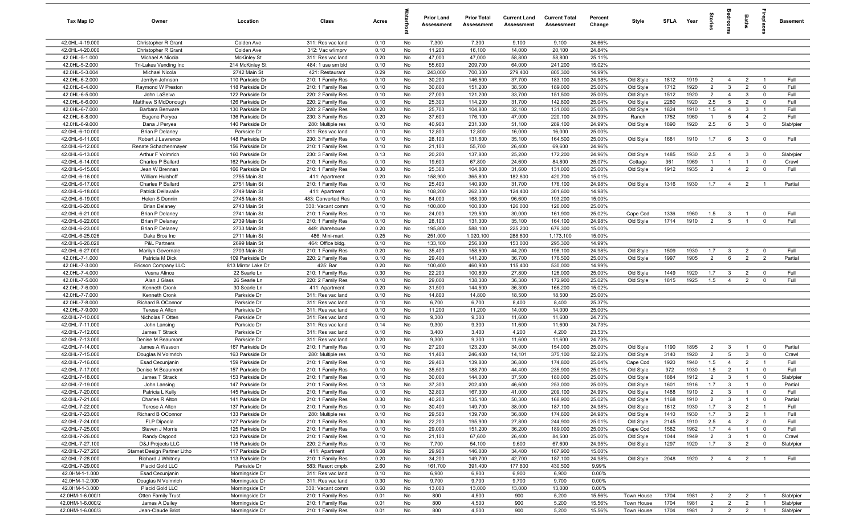| Tax Map ID                         | Owner                                   | Location                           | Class                                  | Acres        |          | <b>Prior Land</b><br>Assessment | <b>Prior Total</b><br>Assessment | <b>Current Land</b><br>Assessment | <b>Current Total</b><br>Assessment | Percent<br>Change | Style                  | SFLA Year    |              | tories                           | droom                            | <b>Baths</b>                     | ireplace                      | <b>Basement</b> |
|------------------------------------|-----------------------------------------|------------------------------------|----------------------------------------|--------------|----------|---------------------------------|----------------------------------|-----------------------------------|------------------------------------|-------------------|------------------------|--------------|--------------|----------------------------------|----------------------------------|----------------------------------|-------------------------------|-----------------|
| 42.0HL-4-19.000                    | Christopher R Grant                     | Colden Ave                         | 311: Res vac land                      | 0.10         | No       | 7,300                           | 7,300                            | 9,100                             | 9,100                              | 24.66%            |                        |              |              |                                  |                                  |                                  |                               |                 |
| 42.0HL-4-20.000                    | Christopher R Grant                     | Colden Ave                         | 312: Vac w/imprv                       | 0.10         | No       | 11,200                          | 16,100                           | 14,000                            | 20,100                             | 24.84%            |                        |              |              |                                  |                                  |                                  |                               |                 |
| 42.0HL-5-1.000                     | Michael A Nicola                        | <b>McKinley St</b>                 | 311: Res vac land                      | 0.20         | No       | 47,000                          | 47,000                           | 58,800                            | 58,800                             | 25.11%            |                        |              |              |                                  |                                  |                                  |                               |                 |
| 42.0HL-5-2.000                     | Tri-Lakes Vending Inc                   | 214 McKinley St                    | 484: 1 use sm bld                      | 0.10         | No       | 55,600                          | 209,700                          | 64,000                            | 241,200                            | 15.02%            |                        |              |              |                                  |                                  |                                  |                               |                 |
| 42.0HL-5-3.004                     | <b>Michael Nicola</b>                   | 2742 Main St                       | 421: Restaurant                        | 0.29         | No       | 243,000                         | 700,300                          | 279,400                           | 805,300                            | 14.99%            |                        |              |              |                                  |                                  |                                  |                               |                 |
| 42.0HL-6-2.000                     | Jerrilyn Johnson                        | 110 Parkside Dr                    | 210: 1 Family Res                      | 0.10         | No       | 30,200                          | 146,500                          | 37,700                            | 183,100                            | 24.98%            | Old Style              | 1812         | 1919         | $\overline{2}$                   | $\overline{4}$                   | $\overline{2}$                   | $\overline{1}$                | Full            |
| 42.0HL-6-4.000                     | Raymond W Preston                       | 118 Parkside Dr                    | 210: 1 Family Res                      | 0.10         | No       | 30,800                          | 151,200                          | 38,500                            | 189,000                            | 25.00%            | Old Style              | 1712         | 1920<br>1920 | $\overline{2}$<br>$\overline{2}$ | $\mathbf{3}$                     | $\overline{2}$                   | $^{\circ}$                    | Full<br>Full    |
| 42.0HL-6-5.000<br>42.0HL-6-6.000   | John LaSelva                            | 122 Parkside Dr<br>126 Parkside Dr | 220: 2 Family Res                      | 0.10         | No<br>No | 27,000<br>25,300                | 121,200                          | 33,700                            | 151,500<br>142,800                 | 25.00%            | Old Style              | 1512         | 1920         | 2.5                              | $\overline{4}$<br>5              | $\mathbf{3}$<br>$\overline{2}$   | $^{\circ}$                    | Full            |
| 42.0HL-6-7.000                     | Matthew S McDonough<br>Barbara Benware  | 130 Parkside Dr                    | 220: 2 Family Res<br>220: 2 Family Res | 0.10<br>0.20 | No       | 25,700                          | 114,200<br>104,800               | 31,700<br>32,100                  | 131,000                            | 25.04%<br>25.00%  | Old Style<br>Old Style | 2280<br>1824 | 1910         | 1.5                              | $\overline{4}$                   | 3                                | $\mathbf 0$<br>$\overline{1}$ | Full            |
| 42.0HL-6-8.000                     | Eugene Peryea                           | 136 Parkside Dr                    | 230: 3 Family Res                      | 0.20         | No       | 37,600                          | 176,100                          | 47,000                            | 220,100                            | 24.99%            | Ranch                  | 1752         | 1960         | $\overline{1}$                   | 5                                | $\overline{4}$                   | $\overline{2}$                | Full            |
| 42.0HL-6-9.000                     | Dana J Peryea                           | 140 Parkside Dr                    | 280: Multiple res                      | 0.10         | No       | 40,900                          | 231,300                          | 51,100                            | 289,100                            | 24.99%            | Old Style              | 1890         | 1920         | 2.5                              | 6                                | $\mathbf{3}$                     | $\mathbf 0$                   | Slab/pier       |
| 42.0HL-6-10.000                    | <b>Brian P Delaney</b>                  | Parkside Dr                        | 311: Res vac land                      | 0.10         | No       | 12,800                          | 12,800                           | 16,000                            | 16,000                             | 25.00%            |                        |              |              |                                  |                                  |                                  |                               |                 |
| 42.0HL-6-11.000                    | Robert J Lawrence                       | 148 Parkside Dr                    | 230: 3 Family Res                      | 0.10         | No       | 28,100                          | 131,600                          | 35,100                            | 164,500                            | 25.00%            | Old Style              | 1681         | 1910         | 1.7                              | 6                                | $\mathbf{3}$                     | $\overline{0}$                | Full            |
| 42.0HL-6-12.000                    | Renate Schachenmayer                    | 156 Parkside Dr                    | 210: 1 Family Res                      | 0.10         | No       | 21,100                          | 55,700                           | 26,400                            | 69,600                             | 24.96%            |                        |              |              |                                  |                                  |                                  |                               |                 |
| 42.0HL-6-13.000                    | Arthur F Volmrich                       | 160 Parkside Dr                    | 230: 3 Family Res                      | 0.13         | No       | 20,200                          | 137,800                          | 25,200                            | 172,200                            | 24.96%            | Old Style              | 1485         | 1930         | 2.5                              | $\overline{4}$                   | $\mathbf{3}$                     | $\overline{0}$                | Slab/pier       |
| 42.0HL-6-14.000                    | Charles P Ballard                       | 162 Parkside Dr                    | 210: 1 Family Res                      | 0.10         | No       | 19,600                          | 67,800                           | 24,600                            | 84,800                             | 25.07%            | Cottage                | 361          | 1969         | $\mathbf{1}$                     | $\overline{1}$                   | $\overline{1}$                   | $\mathbf 0$                   | Crawl           |
| 42.0HL-6-15.000                    | Jean W Brennan                          | 166 Parkside Dr                    | 210: 1 Family Res                      | 0.30         | No       | 25,300                          | 104,800                          | 31,600                            | 131,000                            | 25.00%            | Old Style              | 1912         | 1935         | $\overline{2}$                   | $\overline{4}$                   | $\overline{2}$                   | $\mathbf 0$                   | Full            |
| 42.0HL-6-16.000                    | William Hulshoff                        | 2755 Main St                       | 411: Apartment                         | 0.20         | No       | 158,900                         | 365,800                          | 182,800                           | 420,700                            | 15.01%            |                        |              |              |                                  |                                  |                                  |                               |                 |
| 42.0HL-6-17.000                    | Charles P Ballard                       | 2751 Main St                       | 210: 1 Family Res                      | 0.10         | No       | 25,400                          | 140,900                          | 31,700                            | 176,100                            | 24.98%            | Old Style              | 1316         | 1930         | 1.7                              | $\overline{4}$                   | $\overline{2}$                   |                               | Partial         |
| 42.0HL-6-18.000                    | <b>Patrick Dellavalle</b>               | 2749 Main St                       | 411: Apartment                         | 0.10         | No       | 108,200                         | 262,300                          | 124,400                           | 301,600                            | 14.98%            |                        |              |              |                                  |                                  |                                  |                               |                 |
| 42.0HL-6-19.000                    | Helen S Dennin                          | 2745 Main St                       | 483: Converted Res                     | 0.10         | No       | 84,000                          | 168,000                          | 96,600                            | 193,200                            | 15.00%            |                        |              |              |                                  |                                  |                                  |                               |                 |
| 42.0HL-6-20.000<br>42.0HL-6-21.000 | <b>Brian Delaney</b><br>Brian P Delaney | 2743 Main St<br>2741 Main St       | 330: Vacant comm<br>210: 1 Family Res  | 0.10<br>0.10 | No<br>No | 100,800<br>24,000               | 100,800<br>129,500               | 126,000<br>30,000                 | 126,000<br>161,900                 | 25.00%<br>25.02%  | Cape Cod               | 1336         | 1960         | 1.5                              | $\mathbf{3}$                     | $\overline{1}$                   | $\Omega$                      | Full            |
| 42.0HL-6-22.000                    | <b>Brian P Delaney</b>                  | 2739 Main St                       | 210: 1 Family Res                      | 0.10         | No       | 28,100                          | 131,300                          | 35,100                            | 164,100                            | 24.98%            | Old Style              | 1714         | 1910         | $\overline{2}$                   | $5\overline{5}$                  | $\overline{1}$                   | $\Omega$                      | Full            |
| 42.0HL-6-23.000                    | <b>Brian P Delaney</b>                  | 2733 Main St                       | 449: Warehouse                         | 0.20         | No       | 195,800                         | 588,100                          | 225,200                           | 676,300                            | 15.00%            |                        |              |              |                                  |                                  |                                  |                               |                 |
| 42.0HL-6-25.026                    | Dake Bros Inc                           | 2711 Main St                       | 486: Mini-mart                         | 0.25         | No       | 251,000                         | 1,020,100                        | 288,600                           | 1,173,100                          | 15.00%            |                        |              |              |                                  |                                  |                                  |                               |                 |
| 42.0HL-6-26.028                    | P&L Partners                            | 2699 Main St                       | 464: Office bldg.                      | 0.10         | No       | 133,100                         | 256,800                          | 153,000                           | 295,300                            | 14.99%            |                        |              |              |                                  |                                  |                                  |                               |                 |
| 42.0HL-6-27.000                    | Marilyn Governale                       | 2703 Main St                       | 210: 1 Family Res                      | 0.20         | No       | 35,400                          | 158,500                          | 44,200                            | 198,100                            | 24.98%            | Old Style              | 1509         | 1930         | 1.7                              | $\mathbf{3}$                     | $\overline{2}$                   | $\mathbf 0$                   | Full            |
| 42.0HL-7-1.000                     | Patricia M Dick                         | 109 Parkside Dr                    | 220: 2 Family Res                      | 0.10         | No       | 29,400                          | 141,200                          | 36,700                            | 176,500                            | 25.00%            | Old Style              | 1997         | 1905         | $\overline{2}$                   | 6                                | $\overline{2}$                   | $\overline{2}$                | Partial         |
| 42.0HL-7-3.000                     | Ericson Company LLC                     | 813 Mirror Lake Dr                 | 425: Bar                               | 0.20         | No       | 100,400                         | 460,900                          | 115,400                           | 530,000                            | 14.99%            |                        |              |              |                                  |                                  |                                  |                               |                 |
| 42.0HL-7-4.000                     | Vesna Alince                            | 22 Searle Ln                       | 210: 1 Family Res                      | 0.30         | No       | 22,200                          | 100,800                          | 27,800                            | 126,000                            | 25.00%            | Old Style              | 1449         | 1920         | 1.7                              | $\mathbf{3}$                     | $\overline{2}$                   | $^{\circ}$                    | Full            |
| 42.0HL-7-5.000                     | Alan J Glass                            | 26 Searle Ln                       | 220: 2 Family Res                      | 0.10         | No       | 29,000                          | 138,300                          | 36,300                            | 172,900                            | 25.02%            | Old Style              | 1815         | 1925         | 1.5                              | $\overline{4}$                   | $\overline{2}$                   | $^{\circ}$                    | Full            |
| 42.0HL-7-6.000                     | Kenneth Cronk                           | 30 Searle Ln                       | 411: Apartment                         | 0.20         | No       | 31,500                          | 144,500                          | 36,300                            | 166,200                            | 15.02%            |                        |              |              |                                  |                                  |                                  |                               |                 |
| 42.0HL-7-7.000                     | Kenneth Cronk                           | Parkside Dr                        | 311: Res vac land                      | 0.10         | No       | 14,800                          | 14,800                           | 18,500                            | 18,500                             | 25.00%            |                        |              |              |                                  |                                  |                                  |                               |                 |
| 42.0HL-7-8.000                     | Richard B OConnor                       | Parkside Dr                        | 311: Res vac land                      | 0.10         | No       | 6,700                           | 6,700                            | 8,400                             | 8,400                              | 25.37%            |                        |              |              |                                  |                                  |                                  |                               |                 |
| 42.0HL-7-9.000<br>42.0HL-7-10.000  | Terese A Alton<br>Nicholas F Otten      | Parkside Dr<br>Parkside Dr         | 311: Res vac land<br>311: Res vac land | 0.10<br>0.10 | No<br>No | 11,200<br>9,300                 | 11,200<br>9,300                  | 14,000                            | 14,000                             | 25.00%<br>24.73%  |                        |              |              |                                  |                                  |                                  |                               |                 |
| 42.0HL-7-11.000                    | John Lansing                            | Parkside Dr                        | 311: Res vac land                      | 0.14         | No       | 9,300                           | 9,300                            | 11,600<br>11,600                  | 11,600<br>11,600                   | 24.73%            |                        |              |              |                                  |                                  |                                  |                               |                 |
| 42.0HL-7-12.000                    | James T Strack                          | Parkside Dr                        | 311: Res vac land                      | 0.10         | No       | 3,400                           | 3,400                            | 4,200                             | 4,200                              | 23.53%            |                        |              |              |                                  |                                  |                                  |                               |                 |
| 42.0HL-7-13.000                    | Denise M Beaumont                       | Parkside Dr                        | 311: Res vac land                      | 0.20         | No       | 9,300                           | 9,300                            | 11,600                            | 11,600                             | 24.73%            |                        |              |              |                                  |                                  |                                  |                               |                 |
| 42.0HL-7-14.000                    | James A Wasson                          | 167 Parkside Dr                    | 210: 1 Family Res                      | 0.10         | No       | 27,200                          | 123,200                          | 34,000                            | 154,000                            | 25.00%            | Old Style              | 1190         | 1895         | $\overline{2}$                   | $\mathbf{3}$                     | $\mathbf{1}$                     | $\mathbf 0$                   | Partial         |
| 42.0HL-7-15.000                    | Douglas N Volmrich                      | 163 Parkside Dr                    | 280: Multiple res                      | 0.10         | No       | 11,400                          | 246,400                          | 14,101                            | 375,100                            | 52.23%            | Old Style              | 3140         | 1920         | $\overline{2}$                   | $5\phantom{.0}$                  | $\mathbf{3}$                     | $\mathbf 0$                   | Crawl           |
| 42.0HL-7-16.000                    | <b>Esad Cecunjanin</b>                  | 159 Parkside Dr                    | 210: 1 Family Res                      | 0.10         | No       | 29,400                          | 139,800                          | 36,800                            | 174,800                            | 25.04%            | Cape Cod               | 1920         | 1940         | 1.5                              | $\overline{4}$                   | $\overline{2}$                   |                               | Full            |
| 42.0HL-7-17.000                    | Denise M Beaumont                       | 157 Parkside Dr                    | 210: 1 Family Res                      | 0.10         | No       | 35,500                          | 188,700                          | 44,400                            | 235,900                            | 25.01%            | Old Style              | 972          | 1930         | 1.5                              | $\overline{2}$                   |                                  | $\Omega$                      | Full            |
| 42.0HL-7-18.000                    | James T Strack                          | 153 Parkside Dr                    | 210: 1 Family Res                      | 0.10         | No       | 30,000                          | 144,000                          | 37,500                            | 180,000                            | 25.00%            | Old Style              | 1884         | 1912         | $\overline{2}$                   | $\mathbf{3}$                     | $\overline{1}$                   | $\mathbf 0$                   | Slab/pier       |
| 42.0HL-7-19.000                    | John Lansing                            | 147 Parkside Dr                    | 210: 1 Family Res                      | 0.13         | No       | 37,300                          | 202,400                          | 46,600                            | 253,000                            | 25.00%            | Old Style              | 1601         | 1916         | 1.7                              | $\mathbf{3}$                     | $\overline{1}$                   |                               | Partial         |
| 42.0HL-7-20.000                    | Patricia L Kelly                        | 145 Parkside Dr                    | 210: 1 Family Res                      | 0.10         | No       | 32,800                          | 167,300                          | 41,000                            | 209,100                            | 24.99%            | Old Style              | 1488         | 1910         | $\overline{2}$                   | $\mathbf{3}$                     | $\overline{1}$                   | $\mathbf 0$                   | Full            |
| 42.0HL-7-21.000                    | Charles R Alton                         | 141 Parkside Dr                    | 210: 1 Family Res                      | 0.30         | No       | 40,200                          | 135,100                          | 50,300                            | 168,900                            | 25.02%            | Old Style              | 1168         | 1910         | 2                                | $\mathbf{3}$                     | $\overline{1}$                   | $\mathbf 0$                   | Partial         |
| 42.0HL-7-22.000                    | Terese A Alton                          | 137 Parkside Dr                    | 210: 1 Family Res                      | 0.10         | No       | 30,400                          | 149,700                          | 38,000                            | 187,100                            | 24.98%            | Old Style              | 1612         | 1930         | 1.7                              | $\mathbf{3}$                     | $\overline{2}$                   | $\overline{1}$                | Full            |
| 42.0HL-7-23.000                    | Richard B OConnor                       | 133 Parkside Dr                    | 280: Multiple res                      | 0.10         | No       | 29,500                          | 139,700                          | 36,800                            | 174,600                            | 24.98%            | Old Style              | 1410         | 1930         | 1.7                              | $\mathbf{3}$                     | $\overline{2}$                   | $\overline{1}$                | Full            |
| 42.0HL-7-24.000<br>42.0HL-7-25.000 | FLP Dipaola<br>Steven J Morris          | 127 Parkside Dr<br>125 Parkside Dr | 210: 1 Family Res<br>210: 1 Family Res | 0.30<br>0.10 | No<br>No | 22,200<br>29,000                | 195,900<br>151,200               | 27,800<br>36,200                  | 244,900<br>189,000                 | 25.01%<br>25.00%  | Old Style<br>Cape Cod  | 2145<br>1582 | 1910<br>1962 | 2.5<br>1.7                       | $\overline{4}$<br>$\overline{4}$ | $\overline{2}$<br>$\overline{1}$ | $\mathbf 0$<br>$\mathbf 0$    | Full<br>Full    |
| 42.0HL-7-26.000                    | Randy Osgood                            | 123 Parkside Dr                    | 210: 1 Family Res                      | 0.10         | No       | 21,100                          | 67,600                           | 26,400                            | 84,500                             | 25.00%            | Old Style              | 1044         | 1949         | $\overline{2}$                   | $\mathbf{3}$                     | $\overline{1}$                   | $\mathbf 0$                   | Crawl           |
| 42.0HL-7-27.100                    | D&J Projects LLC                        | 115 Parkside Dr                    | 220: 2 Family Res                      | 0.10         | No       | 7,700                           | 54,100                           | 9,600                             | 67,600                             | 24.95%            | Old Style              | 1297         | 1920         | 1.7                              | $\mathbf{3}$                     | $\overline{2}$                   | $\overline{0}$                | Slab/pier       |
| 42.0HL-7-27.200                    | Starnet Design Partner Litho            | 117 Parkside Dr                    | 411: Apartment                         | 0.08         | No       | 29,900                          | 146,000                          | 34,400                            | 167,900                            | 15.00%            |                        |              |              |                                  |                                  |                                  |                               |                 |
| 42.0HL-7-28.000                    | Richard J Whitney                       | 113 Parkside Dr                    | 210: 1 Family Res                      | 0.20         | No       | 34,200                          | 149,700                          | 42,700                            | 187,100                            | 24.98%            | Old Style              | 2048         | 1920         |                                  | $2 \t 4$                         | $\overline{2}$                   | $\overline{1}$                | Full            |
| 42.0HL-7-29.000                    | Placid Gold LLC                         | Parkside Dr                        | 583: Resort cmplx                      | 2.60         | No       | 161,700                         | 391,400                          | 177,800                           | 430,500                            | 9.99%             |                        |              |              |                                  |                                  |                                  |                               |                 |
| 42.0HM-1-1.000                     | Esad Cecunjanin                         | Morningside Dr                     | 311: Res vac land                      | 0.10         | No       | 6,900                           | 6,900                            | 6,900                             | 6,900                              | 0.00%             |                        |              |              |                                  |                                  |                                  |                               |                 |
| 42.0HM-1-2.000                     | Douglas N Volmrich                      | Morningside Dr                     | 311: Res vac land                      | 0.30         | No       | 9,700                           | 9,700                            | 9,700                             | 9,700                              | 0.00%             |                        |              |              |                                  |                                  |                                  |                               |                 |
| 42.0HM-1-3.000                     | Placid Gold LLC                         | Morningside Dr                     | 330: Vacant comm                       | 0.60         | No       | 13,000                          | 13,000                           | 13,000                            | 13,000                             | 0.00%             |                        |              |              |                                  |                                  |                                  |                               |                 |
| 42.0HM-1-6.000/1                   | Otten Family Trust                      | Morningside Dr                     | 210: 1 Family Res                      | 0.01         | No       | 800                             | 4,500                            | 900                               | 5,200                              | 15.56%            | Town House             | 1704         | 1981         | $\overline{2}$                   | $\overline{2}$                   | $\overline{2}$                   | $\overline{1}$                | Slab/pier       |
| 42.0HM-1-6.000/2                   | James A Dailey                          | Morningside Dr                     | 210: 1 Family Res                      | 0.01         | No       | 800                             | 4,500                            | 900                               | 5,200                              | 15.56%            | Town House             | 1704         | 1981         | $\overline{2}$                   | $\overline{2}$                   | $\overline{2}$                   | $\overline{1}$                | Slab/pier       |
| 42.0HM-1-6.000/3                   | Jean-Claude Briot                       | Morningside Dr                     | 210: 1 Family Res                      | 0.01         | No       | 800                             | 4,500                            | 900                               | 5,200                              | 15.56%            | Town House             | 1704         | 1981         | $\overline{2}$                   | $\overline{2}$                   | $\overline{2}$                   | $\overline{1}$                | Slab/pier       |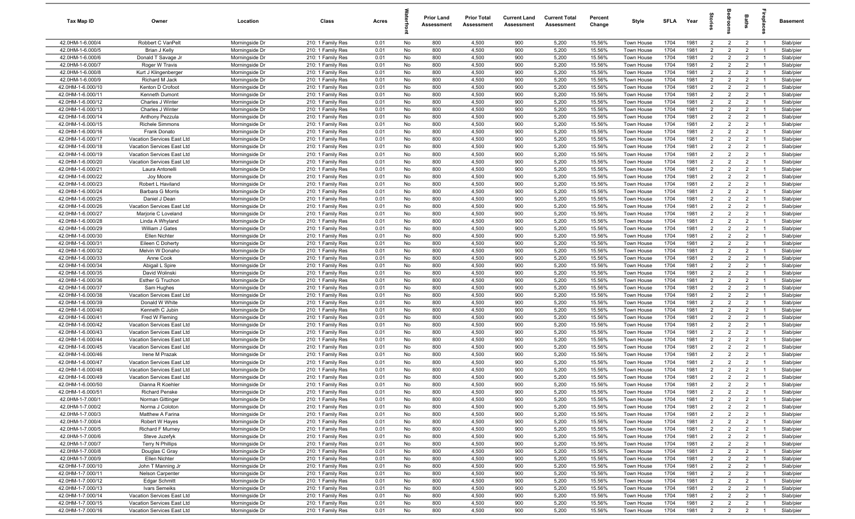| Tax Map ID                             | Owner                                        | Location                         | Class                                  | Acres        |          | <b>Prior Land</b><br>Assessment | <b>Prior Total</b><br>Assessment | <b>Current Land</b><br>Assessment | <b>Current Total</b><br>Assessment | Percent<br>Change | Style                    | <b>SFLA</b>  | Year         |                                  | š                                | Baths                            | repia                            | Basement               |
|----------------------------------------|----------------------------------------------|----------------------------------|----------------------------------------|--------------|----------|---------------------------------|----------------------------------|-----------------------------------|------------------------------------|-------------------|--------------------------|--------------|--------------|----------------------------------|----------------------------------|----------------------------------|----------------------------------|------------------------|
| 42.0HM-1-6.000/4                       | Robbert C VanPelt                            | Morningside Dr                   | 210: 1 Family Res                      | 0.01         | No       | 800                             | 4,500                            | 900                               | 5,200                              | 15.56%            | Town House               | 1704         | 1981         | $\overline{2}$                   | $\overline{2}$                   | $\overline{2}$                   | $\overline{1}$                   | Slab/pier              |
| 42.0HM-1-6.000/5                       | Brian J Kelly                                | Morningside Dr                   | 210: 1 Family Res                      | 0.01         | No       | 800                             | 4,500                            | 900                               | 5,200                              | 15.56%            | Town House               | 1704         | 1981         | $\overline{2}$                   | $\overline{2}$                   | $\overline{2}$                   | -1                               | Slab/pier              |
| 42.0HM-1-6.000/6                       | Donald T Savage Jr                           | Morningside Dr                   | 210: 1 Family Res                      | 0.01         | No       | 800                             | 4,500                            | 900                               | 5,200                              | 15.56%            | Town House               | 1704         | 1981         | $\overline{2}$                   | $\overline{2}$                   | $\overline{2}$                   | - 1                              | Slab/pier              |
| 42.0HM-1-6.000/7                       | Roger W Travis                               | Morningside Dr                   | 210: 1 Family Res                      | 0.01         | No       | 800                             | 4,500                            | 900                               | 5,200                              | 15.56%            | Town House               | 1704         | 1981         | $\overline{2}$                   | $\overline{2}$                   | $\overline{2}$                   |                                  | Slab/pier              |
| 42.0HM-1-6.000/8                       | Kurt J Klingenberger                         | Morningside Dr                   | 210: 1 Family Res                      | 0.01         | No       | 800                             | 4,500                            | 900                               | 5,200                              | 15.56%            | Town House               | 1704         | 1981         | $\overline{2}$                   | $\overline{2}$                   | $\overline{2}$                   | - 1                              | Slab/pier              |
| 42.0HM-1-6.000/9                       | Richard M Jack                               | Morningside Dr                   | 210: 1 Family Res                      | 0.01         | No       | 800                             | 4,500                            | 900                               | 5,200                              | 15.56%            | Town House               | 1704         | 1981         | $\overline{2}$                   | $\overline{2}$                   | $\overline{2}$                   |                                  | Slab/pier              |
| 42.0HM-1-6.000/10                      | Kenton D Crofoot                             | Morningside Dr                   | 210: 1 Family Res                      | 0.01         | No       | 800                             | 4,500                            | 900                               | 5,200                              | 15.56%            | Town House               | 1704         | 1981         | $\overline{2}$                   | $\overline{2}$                   | $\overline{2}$                   | $\overline{1}$                   | Slab/pier              |
| 42.0HM-1-6.000/11                      | Kenneth Dumont                               | Morningside Dr                   | 210: 1 Family Res                      | 0.01         | No       | 800                             | 4,500                            | 900                               | 5,200                              | 15.56%            | Town House               | 1704         | 1981         | $\overline{2}$                   | $\overline{2}$                   | $\overline{2}$                   | $\overline{1}$                   | Slab/pier              |
| 42.0HM-1-6.000/12                      | Charles J Winter                             | Morningside Dr                   | 210: 1 Family Res                      | 0.01         | No       | 800                             | 4,500                            | 900                               | 5,200                              | 15.56%            | Town House               | 1704         | 1981         | $\overline{2}$                   | $\overline{2}$                   | $\overline{2}$                   | $\overline{1}$                   | Slab/pier              |
| 42.0HM-1-6.000/13                      | Charles J Winter                             | Morningside Dr                   | 210: 1 Family Res                      | 0.01         | No       | 800                             | 4,500                            | 900                               | 5,200                              | 15.56%            | Town House               | 1704         | 1981<br>1981 | $\overline{2}$<br>$\overline{2}$ | $\overline{2}$                   | $\overline{2}$<br>$\overline{2}$ | $\overline{1}$<br>$\overline{1}$ | Slab/pier              |
| 42.0HM-1-6.000/14<br>42.0HM-1-6.000/15 | Anthony Pezzula<br><b>Richele Simmons</b>    | Morningside Dr<br>Morningside Dr | 210: 1 Family Res<br>210: 1 Family Res | 0.01<br>0.01 | No<br>No | 800<br>800                      | 4,500<br>4,500                   | 900<br>900                        | 5,200<br>5,200                     | 15.56%<br>15.56%  | Town House<br>Town House | 1704<br>1704 | 1981         | $\overline{2}$                   | $\overline{2}$<br>$\overline{2}$ | $\overline{2}$                   | $\overline{1}$                   | Slab/pier<br>Slab/pier |
| 42.0HM-1-6.000/16                      | Frank Donato                                 | Morningside Dr                   | 210: 1 Family Res                      | 0.01         | No       | 800                             | 4,500                            | 900                               | 5,200                              | 15.56%            | Town House               | 1704         | 1981         | $\overline{2}$                   | $\overline{2}$                   | $\overline{2}$                   | - 1                              | Slab/pier              |
| 42.0HM-1-6.000/17                      | Vacation Services East Ltd                   | Morningside Dr                   | 210: 1 Family Res                      | 0.01         | No       | 800                             | 4,500                            | 900                               | 5,200                              | 15.56%            | Town House               | 1704         | 1981         | $\overline{2}$                   | $\overline{2}$                   | $\overline{2}$                   | - 1                              | Slab/pier              |
| 42.0HM-1-6.000/18                      | Vacation Services East Ltd                   | Morningside Dr                   | 210: 1 Family Res                      | 0.01         | No       | 800                             | 4,500                            | 900                               | 5,200                              | 15.56%            | Town House               | 1704         | 1981         | $\overline{2}$                   | $\overline{2}$                   | $\overline{2}$                   |                                  | Slab/pier              |
| 42.0HM-1-6.000/19                      | Vacation Services East Ltd                   | Morningside Dr                   | 210: 1 Family Res                      | 0.01         | No       | 800                             | 4,500                            | 900                               | 5,200                              | 15.56%            | Town House               | 1704         | 1981         | $\overline{2}$                   | $\overline{2}$                   | $\overline{2}$                   | - 1                              | Slab/pier              |
| 42.0HM-1-6.000/20                      | Vacation Services East Ltd                   | Morningside Dr                   | 210: 1 Family Res                      | 0.01         | No       | 800                             | 4,500                            | 900                               | 5,200                              | 15.56%            | Town House               | 1704         | 1981         | $\overline{2}$                   | $\overline{2}$                   | $\overline{2}$                   |                                  | Slab/pier              |
| 42.0HM-1-6.000/21                      | Laura Antonelli                              | Morningside Dr                   | 210: 1 Family Res                      | 0.01         | No       | 800                             | 4,500                            | 900                               | 5,200                              | 15.56%            | Town House               | 1704         | 1981         | $\overline{2}$                   | $\overline{2}$                   | $\overline{2}$                   | - 1                              | Slab/pier              |
| 42.0HM-1-6.000/22                      | Joy Moore                                    | Morningside Dr                   | 210: 1 Family Res                      | 0.01         | No       | 800                             | 4,500                            | 900                               | 5,200                              | 15.56%            | <b>Town House</b>        | 1704         | 1981         | $\overline{2}$                   | $\overline{2}$                   | $\overline{2}$                   |                                  | Slab/pier              |
| 42.0HM-1-6.000/23                      | Robert L Haviland                            | Morningside Dr                   | 210: 1 Family Res                      | 0.01         | No       | 800                             | 4,500                            | 900                               | 5,200                              | 15.56%            | Town House               | 1704         | 1981         | $\overline{2}$                   | $\overline{2}$                   | $\overline{2}$                   |                                  | Slab/pier              |
| 42.0HM-1-6.000/24                      | Barbara G Morris                             | Morningside Dr                   | 210: 1 Family Res                      | 0.01         | No       | 800                             | 4,500                            | 900                               | 5,200                              | 15.56%            | Town House               | 1704         | 1981         | $\overline{2}$                   | $\overline{2}$                   | $\overline{2}$                   | $\overline{1}$                   | Slab/pier              |
| 42.0HM-1-6.000/25                      | Daniel J Dean                                | Morningside Dr                   | 210: 1 Family Res                      | 0.01         | No       | 800                             | 4,500                            | 900                               | 5,200                              | 15.56%            | Town House               | 1704         | 1981         | $\overline{2}$                   | $\overline{2}$                   | $\overline{2}$                   | $\overline{1}$                   | Slab/pier              |
| 42.0HM-1-6.000/26                      | Vacation Services East Ltd                   | Morningside Dr                   | 210: 1 Family Res                      | 0.01         | No       | 800                             | 4,500                            | 900                               | 5,200                              | 15.56%            | Town House               | 1704         | 1981         | $\overline{2}$                   | $\overline{2}$                   | $\overline{2}$                   | $\overline{1}$                   | Slab/pier              |
| 42.0HM-1-6.000/27                      | Marjorie C Loveland                          | Morningside Dr                   | 210: 1 Family Res                      | 0.01         | No       | 800                             | 4,500                            | 900                               | 5,200                              | 15.56%            | Town House               | 1704         | 1981         | $\overline{2}$                   | $\overline{2}$                   | $\overline{2}$                   | $\overline{1}$                   | Slab/pier              |
| 42.0HM-1-6.000/28                      | Linda A Whyland                              | Morningside Dr                   | 210: 1 Family Res                      | 0.01         | No       | 800                             | 4,500                            | 900                               | 5,200                              | 15.56%            | Town House               | 1704         | 1981         | $\overline{2}$                   | 2                                | $\overline{2}$                   | $\overline{1}$                   | Slab/pier              |
| 42.0HM-1-6.000/29                      | William J Gates                              | Morningside Dr                   | 210: 1 Family Res                      | 0.01         | No       | 800                             | 4,500                            | 900                               | 5,200                              | 15.56%            | Town House               | 1704         | 1981         | $\overline{2}$                   | 2                                | $\overline{2}$                   |                                  | Slab/pier              |
| 42.0HM-1-6.000/30                      | Ellen Nichter                                | Morningside Dr                   | 210: 1 Family Res                      | 0.01         | No       | 800                             | 4,500                            | 900                               | 5,200                              | 15.56%            | Town House               | 1704         | 1981         | $\overline{2}$                   | $\overline{2}$                   | $\overline{2}$                   | - 1                              | Slab/pier              |
| 42.0HM-1-6.000/31                      | Eileen C Doherty                             | Morningside Dr                   | 210: 1 Family Res                      | 0.01         | No       | 800                             | 4,500                            | 900<br>900                        | 5,200                              | 15.56%            | Town House               | 1704         | 1981         | $\overline{2}$                   | $\overline{2}$                   | $\overline{2}$                   | - 1                              | Slab/pier              |
| 42.0HM-1-6.000/32<br>42.0HM-1-6.000/33 | Melvin W Donaho<br>Anne Cook                 | Morningside Dr<br>Morningside Dr | 210: 1 Family Res<br>210: 1 Family Res | 0.01<br>0.01 | No<br>No | 800<br>800                      | 4,500<br>4,500                   | 900                               | 5,200<br>5,200                     | 15.56%<br>15.56%  | Town House<br>Town House | 1704<br>1704 | 1981<br>1981 | $\overline{2}$<br>$\overline{2}$ | $\overline{2}$<br>$\overline{2}$ | $\overline{2}$<br>$\overline{2}$ |                                  | Slab/pier<br>Slab/pier |
| 42.0HM-1-6.000/34                      | Abigail L Spire                              | Morningside Dr                   | 210: 1 Family Res                      | 0.01         | No       | 800                             | 4,500                            | 900                               | 5,200                              | 15.56%            | Town House               | 1704         | 1981         | $\overline{2}$                   | $\overline{2}$                   | $\overline{2}$                   |                                  | Slab/pier              |
| 42.0HM-1-6.000/35                      | David Wolinski                               | Morningside Dr                   | 210: 1 Family Res                      | 0.01         | No       | 800                             | 4,500                            | 900                               | 5,200                              | 15.56%            | Town House               | 1704         | 1981         | $\overline{2}$                   | $\overline{2}$                   | $\overline{2}$                   | - 1                              | Slab/pier              |
| 42.0HM-1-6.000/36                      | <b>Esther G Truchon</b>                      | Morningside Dr                   | 210: 1 Family Res                      | 0.01         | No       | 800                             | 4,500                            | 900                               | 5,200                              | 15.56%            | Town House               | 1704         | 1981         | $\overline{2}$                   | $\overline{2}$                   | $\overline{2}$                   | $\overline{1}$                   | Slab/pier              |
| 42.0HM-1-6.000/37                      | Sam Hughes                                   | Morningside Dr                   | 210: 1 Family Res                      | 0.01         | No       | 800                             | 4,500                            | 900                               | 5,200                              | 15.56%            | Town House               | 1704         | 1981         | $\overline{2}$                   | $\overline{2}$                   | $\overline{2}$                   | $\overline{1}$                   | Slab/pier              |
| 42.0HM-1-6.000/38                      | Vacation Services East Ltd                   | Morningside Dr                   | 210: 1 Family Res                      | 0.01         | No       | 800                             | 4,500                            | 900                               | 5,200                              | 15.56%            | Town House               | 1704         | 1981         | $\overline{2}$                   | $\overline{2}$                   | $\overline{2}$                   | $\overline{1}$                   | Slab/pier              |
| 42.0HM-1-6.000/39                      | Donald W White                               | Morningside Dr                   | 210: 1 Family Res                      | 0.01         | No       | 800                             | 4,500                            | 900                               | 5,200                              | 15.56%            | Town House               | 1704         | 1981         | $\overline{2}$                   | $\overline{2}$                   | $\overline{2}$                   | $\overline{1}$                   | Slab/pier              |
| 42.0HM-1-6.000/40                      | Kenneth C Jubin                              | Morningside Dr                   | 210: 1 Family Res                      | 0.01         | No       | 800                             | 4,500                            | 900                               | 5,200                              | 15.56%            | Town House               | 1704         | 1981         | $\overline{2}$                   | $\overline{2}$                   | $\overline{2}$                   | $\overline{1}$                   | Slab/pier              |
| 42.0HM-1-6.000/41                      | Fred W Fleming                               | Morningside Dr                   | 210: 1 Family Res                      | 0.01         | No       | 800                             | 4,500                            | 900                               | 5,200                              | 15.56%            | Town House               | 1704         | 1981         | $\overline{2}$                   | 2                                | $\overline{2}$                   | - 1                              | Slab/pier              |
| 42.0HM-1-6.000/42                      | Vacation Services East Ltd                   | Morningside Dr                   | 210: 1 Family Res                      | 0.01         | No       | 800                             | 4,500                            | 900                               | 5,200                              | 15.56%            | Town House               | 1704         | 1981         | $\overline{2}$                   | $\overline{2}$                   | $\overline{2}$                   |                                  | Slab/pier              |
| 42.0HM-1-6.000/43                      | Vacation Services East Ltd                   | Morningside Dr                   | 210: 1 Family Res                      | 0.01         | No       | 800                             | 4,500                            | 900                               | 5,200                              | 15.56%            | Town House               | 1704         | 1981         | $\overline{2}$                   | $\overline{2}$                   | $\overline{2}$                   | - 1                              | Slab/pier              |
| 42.0HM-1-6.000/44                      | Vacation Services East Ltd                   | Morningside Dr                   | 210: 1 Family Res                      | 0.01         | No       | 800                             | 4,500                            | 900                               | 5,200                              | 15.56%            | Town House               | 1704         | 1981         | $\overline{2}$                   | $\overline{2}$                   | $\overline{2}$                   |                                  | Slab/pier              |
| 42.0HM-1-6.000/45                      | Vacation Services East Ltd                   | Morningside Dr                   | 210: 1 Family Res                      | 0.01         | No       | 800                             | 4,500                            | 900                               | 5,200                              | 15.56%            | Town House               | 1704         | 1981         | $\overline{2}$                   | $\overline{2}$                   | $\overline{2}$                   | - 1                              | Slab/pier              |
| 42.0HM-1-6.000/46<br>42.0HM-1-6.000/47 | Irene M Prazak<br>Vacation Services East Ltd | Morningside Dr                   | 210: 1 Family Res                      | 0.01<br>0.01 | No<br>No | 800<br>800                      | 4,500<br>4,500                   | 900<br>900                        | 5,200<br>5,200                     | 15.56%<br>15.56%  | Town House               | 1704<br>1704 | 1981<br>1981 | $\overline{2}$<br>$\overline{2}$ | $\overline{2}$<br>$\overline{2}$ | $\overline{2}$<br>$\overline{2}$ |                                  | Slab/pier<br>Slab/pier |
| 42.0HM-1-6.000/48                      | Vacation Services East Ltd                   | Morningside Dr<br>Morningside Dr | 210: 1 Family Res<br>210: 1 Family Res | 0.01         | No       | 800                             | 4,500                            | 900                               | 5,200                              | 15.56%            | Town House<br>Town House | 1704         | 1981         | $\overline{2}$                   | $\overline{2}$                   | $\overline{2}$                   |                                  | Slab/pier              |
| 42.0HM-1-6.000/49                      | Vacation Services East Ltd                   | Morningside Dr                   | 210: 1 Family Res                      | 0.01         | No       | 800                             | 4,500                            | 900                               | 5,200                              | 15.56%            | Town House               | 1704         | 1981         | $\overline{2}$                   | $\overline{2}$                   | $\overline{2}$                   | $\overline{1}$                   | Slab/pier              |
| 42.0HM-1-6.000/50                      | Dianna R Koehler                             | Morningside Dr                   | 210: 1 Family Res                      | 0.01         | No       | 800                             | 4,500                            | 900                               | 5,200                              | 15.56%            | Town House               | 1704         | 1981         | 2                                | $\overline{2}$                   | $\overline{2}$                   |                                  | Slab/pier              |
| 42.0HM-1-6.000/51                      | <b>Richard Penske</b>                        | Morningside Dr                   | 210: 1 Family Res                      | 0.01         | No       | 800                             | 4,500                            | 900                               | 5,200                              | 15.56%            | Town House               | 1704         | 1981         | $\overline{2}$                   | $\overline{2}$                   | $\overline{2}$                   | $\overline{1}$                   | Slab/pier              |
| 42.0HM-1-7.000/1                       | Norman Gittinger                             | Morningside Dr                   | 210: 1 Family Res                      | 0.01         | No       | 800                             | 4,500                            | 900                               | 5,200                              | 15.56%            | Town House               | 1704         | 1981         | $\overline{2}$                   | $\overline{2}$                   | $\overline{2}$                   | $\overline{1}$                   | Slab/pier              |
| 42.0HM-1-7.000/2                       | Norma J Coloton                              | Morningside Dr                   | 210: 1 Family Res                      | 0.01         | No       | 800                             | 4,500                            | 900                               | 5,200                              | 15.56%            | Town House               | 1704         | 1981         | $\overline{2}$                   | $\overline{2}$                   | $\overline{2}$                   | $\overline{1}$                   | Slab/pier              |
| 42.0HM-1-7.000/3                       | Matthew A Farina                             | Morningside Dr                   | 210: 1 Family Res                      | 0.01         | No       | 800                             | 4,500                            | 900                               | 5,200                              | 15.56%            | Town House               | 1704         | 1981         | $\overline{2}$                   | $\overline{2}$                   | $\overline{2}$                   | $\overline{1}$                   | Slab/pier              |
| 42.0HM-1-7.000/4                       | Robert W Hayes                               | Morningside Dr                   | 210: 1 Family Res                      | 0.01         | No       | 800                             | 4,500                            | 900                               | 5,200                              | 15.56%            | Town House               | 1704         | 1981         | $\overline{2}$                   | $\overline{2}$                   | $\overline{2}$                   | -1                               | Slab/pier              |
| 42.0HM-1-7.000/5                       | <b>Richard F Murney</b>                      | Morningside Dr                   | 210: 1 Family Res                      | 0.01         | No       | 800                             | 4,500                            | 900                               | 5,200                              | 15.56%            | Town House               | 1704         | 1981         | $\overline{2}$                   | $\overline{2}$                   | $\overline{2}$                   | $\overline{1}$                   | Slab/pier              |
| 42.0HM-1-7.000/6                       | Steve Juzefyk                                | Morningside Dr                   | 210: 1 Family Res                      | 0.01         | No       | 800                             | 4,500                            | 900                               | 5,200                              | 15.56%            | Town House               | 1704         | 1981         | $\overline{2}$                   | $\overline{2}$                   | $\overline{2}$                   |                                  | Slab/pier              |
| 42.0HM-1-7.000/7                       | <b>Terry N Phillips</b>                      | Morningside Dr                   | 210: 1 Family Res                      | 0.01         | No       | 800                             | 4,500                            | 900                               | 5,200                              | 15.56%            | Town House               | 1704         | 1981         | $\overline{2}$                   | $\overline{2}$                   | $\overline{2}$                   | $\overline{1}$                   | Slab/pier              |
| 42.0HM-1-7.000/8                       | Douglas C Gray                               | Morningside Dr                   | 210: 1 Family Res                      | 0.01         | No       | 800                             | 4,500                            | 900                               | 5,200                              | 15.56%            | Town House               | 1704         | 1981         | $\overline{2}$                   | $\overline{2}$                   | $\overline{2}$                   | - 1                              | Slab/pier              |
| 42.0HM-1-7.000/9                       | Ellen Nichter                                | Morningside Dr                   | 210: 1 Family Res                      | 0.01         | No       | 800                             | 4,500                            | 900                               | 5,200                              | 15.56%            | Town House               | 1704         | 1981         | $\overline{2}$                   | $\overline{2}$                   | $\overline{2}$                   | $\overline{1}$                   | Slab/pier              |
| 42.0HM-1-7.000/10                      | John T Manning Jr                            | Morningside Dr                   | 210: 1 Family Res                      | 0.01         | No       | 800                             | 4,500                            | 900                               | 5,200                              | 15.56%            | Town House               | 1704         | 1981         | $\overline{2}$                   | $\overline{2}$                   | $\overline{2}$                   | $\overline{1}$                   | Slab/pier              |
| 42.0HM-1-7.000/11                      | Nelson Carpenter                             | Morningside Dr                   | 210: 1 Family Res                      | 0.01         | No       | 800                             | 4,500                            | 900                               | 5,200                              | 15.56%            | Town House               | 1704         | 1981         | $\overline{2}$                   | $\overline{2}$                   | $\overline{2}$<br>$\overline{2}$ | $\overline{1}$<br>$\overline{1}$ | Slab/pier              |
| 42.0HM-1-7.000/12<br>42.0HM-1-7.000/13 | <b>Edgar Schmitt</b><br>Ivars Semeiks        | Morningside Dr<br>Morningside Dr | 210: 1 Family Res<br>210: 1 Family Res | 0.01<br>0.01 | No<br>No | 800<br>800                      | 4,500<br>4,500                   | 900<br>900                        | 5,200<br>5,200                     | 15.56%<br>15.56%  | Town House<br>Town House | 1704<br>1704 | 1981<br>1981 | $\overline{2}$<br>$\overline{2}$ | $\overline{2}$<br>$\overline{2}$ | $\overline{2}$                   | $\overline{1}$                   | Slab/pier<br>Slab/pier |
| 42.0HM-1-7.000/14                      | Vacation Services East Ltd                   | Morningside Dr                   | 210: 1 Family Res                      | 0.01         | No       | 800                             | 4,500                            | 900                               | 5,200                              | 15.56%            | Town House               | 1704         | 1981         | $\overline{2}$                   | $\overline{2}$                   | $\overline{2}$                   | $\overline{1}$                   | Slab/pier              |
| 42.0HM-1-7.000/15                      | Vacation Services East Ltd                   | Morningside Dr                   | 210: 1 Family Res                      | 0.01         | No       | 800                             | 4,500                            | 900                               | 5,200                              | 15.56%            | Town House               | 1704         | 1981         | $\overline{2}$                   | $\overline{2}$                   | $\overline{2}$                   | $\overline{1}$                   | Slab/pier              |
| 42.0HM-1-7.000/16                      | Vacation Services East Ltd                   | Morningside Dr                   | 210: 1 Family Res                      | 0.01         | No       | 800                             | 4,500                            | 900                               | 5,200                              | 15.56%            | Town House               | 1704         | 1981         | $\overline{2}$                   | $\overline{2}$                   | $\overline{2}$                   | - 1                              | Slab/pier              |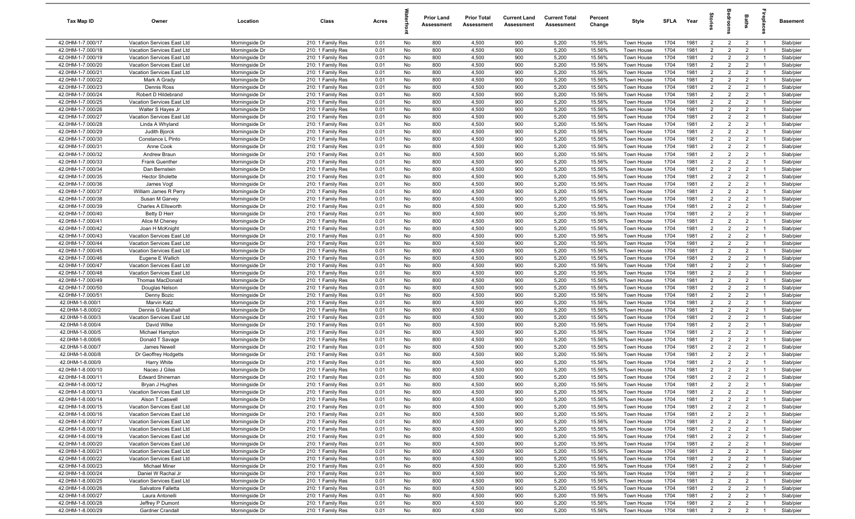| Tax Map ID                             | Owner                                 | Location                         | Class                                  | Acres        |          | Prior Land<br>Assessment | <b>Prior Total</b><br>Assessment | <b>Current Land</b><br>Assessment | <b>Current Total</b><br><b>Assessment</b> | Percent<br>Change | Style                    | SFLA         | Year         | $\vec{S}$                        | oup                              | <b>Baths</b>                     | replac               | Basement               |
|----------------------------------------|---------------------------------------|----------------------------------|----------------------------------------|--------------|----------|--------------------------|----------------------------------|-----------------------------------|-------------------------------------------|-------------------|--------------------------|--------------|--------------|----------------------------------|----------------------------------|----------------------------------|----------------------|------------------------|
| 42.0HM-1-7.000/17                      | Vacation Services East Ltd            | Morningside Dr                   | 210: 1 Family Res                      | 0.01         | No       | 800                      | 4,500                            | 900                               | 5,200                                     | 15.56%            | Town House               | 1704         | 1981         | $\overline{2}$                   | $\overline{2}$                   | $\overline{2}$                   | $\overline{1}$       | Slab/pier              |
| 42.0HM-1-7.000/18                      | Vacation Services East Ltd            | Morningside Dr                   | 210: 1 Family Res                      | 0.01         | No       | 800                      | 4,500                            | 900                               | 5,200                                     | 15.56%            | Town House               | 1704         | 1981         | $\overline{2}$                   | 2                                | $\overline{2}$                   | $\overline{1}$       | Slab/pier              |
| 42.0HM-1-7.000/19                      | Vacation Services East Ltd            | Morningside Dr                   | 210: 1 Family Res                      | 0.01         | No       | 800                      | 4,500                            | 900                               | 5,200                                     | 15.56%            | Town House               | 1704         | 1981         | $\overline{2}$                   | $\overline{2}$                   | $\overline{2}$                   | - 1                  | Slab/pier              |
| 42.0HM-1-7.000/20                      | Vacation Services East Ltd            | Morningside Dr                   | 210: 1 Family Res                      | 0.01         | No       | 800                      | 4,500                            | 900                               | 5,200                                     | 15.56%            | Town House               | 1704         | 1981         | $\overline{2}$                   | $\overline{2}$                   | $\overline{2}$                   |                      | Slab/pier              |
| 42.0HM-1-7.000/21                      | Vacation Services East Ltd            | Morningside Dr                   | 210: 1 Family Res                      | 0.01         | No       | 800                      | 4,500                            | 900                               | 5,200                                     | 15.56%            | Town House               | 1704         | 1981         | $\overline{2}$                   | $\overline{2}$                   | $\overline{2}$                   | - 1                  | Slab/pier              |
| 42.0HM-1-7.000/22                      | Mark A Grady                          | Morningside Dr                   | 210: 1 Family Res                      | 0.01         | No       | 800                      | 4,500                            | 900                               | 5,200                                     | 15.56%            | Town House               | 1704         | 1981         | $\overline{2}$                   | $\overline{2}$                   | $\overline{2}$                   |                      | Slab/pier              |
| 42.0HM-1-7.000/23                      | Dennis Ross                           | Morningside Dr                   | 210: 1 Family Res                      | 0.01         | No       | 800                      | 4,500                            | 900                               | 5,200                                     | 15.56%            | Town House               | 1704         | 1981         | $\overline{2}$                   | $\overline{2}$                   | $\overline{2}$                   | - 1                  | Slab/pier              |
| 42.0HM-1-7.000/24                      | Robert D Hildebrand                   | Morningside Dr                   | 210: 1 Family Res                      | 0.01         | No       | 800                      | 4,500                            | 900                               | 5,200                                     | 15.56%            | Town House               | 1704         | 1981         | 2                                | $\overline{2}$                   | $\overline{2}$                   |                      | Slab/pier              |
| 42.0HM-1-7.000/25                      | Vacation Services East Ltd            | Morningside Dr                   | 210: 1 Family Res                      | 0.01         | No       | 800                      | 4,500                            | 900                               | 5,200                                     | 15.56%            | Town House               | 1704         | 1981         | $\overline{2}$                   | $\overline{2}$                   | $\overline{2}$                   | $\overline{1}$       | Slab/pier              |
| 42.0HM-1-7.000/26                      | Walter S Hayes Jr                     | Morningside Dr                   | 210: 1 Family Res                      | 0.01         | No       | 800                      | 4,500                            | 900                               | 5,200                                     | 15.56%            | Town House               | 1704         | 1981         | $\overline{2}$                   | $\overline{2}$                   | $\overline{2}$                   | $\overline{1}$       | Slab/pier              |
| 42.0HM-1-7.000/27                      | Vacation Services East Ltd            | Morningside Dr                   | 210: 1 Family Res                      | 0.01         | No       | 800                      | 4,500                            | 900                               | 5,200                                     | 15.56%            | Town House               | 1704         | 1981         | $\overline{2}$                   | $\overline{2}$                   | $\overline{2}$                   | $\overline{1}$       | Slab/pier              |
| 42.0HM-1-7.000/28                      | Linda A Whyland                       | Morningside Dr                   | 210: 1 Family Res                      | 0.01         | No       | 800                      | 4,500                            | 900                               | 5,200                                     | 15.56%            | Town House               | 1704         | 1981         | $\overline{2}$                   | $\overline{2}$                   | $\overline{2}$                   | $\overline{1}$       | Slab/pier              |
| 42.0HM-1-7.000/29                      | Judith Bjorck                         | Morningside Dr                   | 210: 1 Family Res                      | 0.01         | No       | 800                      | 4,500                            | 900                               | 5,200                                     | 15.56%            | Town House               | 1704         | 1981         | $\overline{2}$                   | $\overline{2}$                   | $\overline{2}$                   | $\overline{1}$       | Slab/pier              |
| 42.0HM-1-7.000/30                      | Constance L Pinto                     | Morningside Dr                   | 210: 1 Family Res                      | 0.01         | No       | 800                      | 4,500                            | 900                               | 5,200                                     | 15.56%            | Town House               | 1704         | 1981         | $\overline{2}$                   | $\overline{2}$                   | $\overline{2}$                   | $\overline{1}$       | Slab/pier              |
| 42.0HM-1-7.000/31                      | Anne Cook                             | Morningside Dr                   | 210: 1 Family Res                      | 0.01<br>0.01 | No       | 800<br>800               | 4,500                            | 900<br>900                        | 5,200<br>5,200                            | 15.56%            | Town House               | 1704         | 1981<br>1981 | $\overline{2}$<br>$\overline{2}$ | $\overline{2}$<br>$\overline{2}$ | $\overline{2}$<br>$\overline{2}$ | -1<br>$\overline{1}$ | Slab/pier<br>Slab/pier |
| 42.0HM-1-7.000/32<br>42.0HM-1-7.000/33 | Andrew Braun<br><b>Frank Guenther</b> | Morningside Dr<br>Morningside Dr | 210: 1 Family Res<br>210: 1 Family Res | 0.01         | No<br>No | 800                      | 4,500<br>4,500                   | 900                               | 5,200                                     | 15.56%<br>15.56%  | Town House<br>Town House | 1704<br>1704 | 1981         | $\overline{2}$                   | $\overline{2}$                   | $\overline{2}$                   |                      | Slab/pier              |
| 42.0HM-1-7.000/34                      | Dan Bernstein                         | Morningside Dr                   | 210: 1 Family Res                      | 0.01         | No       | 800                      | 4,500                            | 900                               | 5,200                                     | 15.56%            | Town House               | 1704         | 1981         | $\overline{2}$                   | $\overline{2}$                   | $\overline{2}$                   | - 1                  | Slab/pier              |
| 42.0HM-1-7.000/35                      | <b>Hector Sholette</b>                | Morningside Dr                   | 210: 1 Family Res                      | 0.01         | No       | 800                      | 4,500                            | 900                               | 5,200                                     | 15.56%            | Town House               | 1704         | 1981         | $\overline{2}$                   | $\overline{2}$                   | $\overline{2}$                   |                      | Slab/pier              |
| 42.0HM-1-7.000/36                      | James Vogt                            | Morningside Dr                   | 210: 1 Family Res                      | 0.01         | No       | 800                      | 4,500                            | 900                               | 5,200                                     | 15.56%            | Town House               | 1704         | 1981         | $\overline{2}$                   | $\overline{2}$                   | $\overline{2}$                   |                      | Slab/pier              |
| 42.0HM-1-7.000/37                      | William James R Perry                 | Morningside Dr                   | 210: 1 Family Res                      | 0.01         | No       | 800                      | 4,500                            | 900                               | 5,200                                     | 15.56%            | Town House               | 1704         | 1981         | 2                                | $\overline{2}$                   | $\overline{2}$                   | $\overline{1}$       | Slab/pier              |
| 42.0HM-1-7.000/38                      | Susan M Garvey                        | Morningside Dr                   | 210: 1 Family Res                      | 0.01         | No       | 800                      | 4,500                            | 900                               | 5,200                                     | 15.56%            | Town House               | 1704         | 1981         | $\overline{2}$                   | $\overline{2}$                   | $\overline{2}$                   | $\overline{1}$       | Slab/pier              |
| 42.0HM-1-7.000/39                      | Charles A Ellsworth                   | Morningside Dr                   | 210: 1 Family Res                      | 0.01         | No       | 800                      | 4,500                            | 900                               | 5,200                                     | 15.56%            | Town House               | 1704         | 1981         | $\overline{2}$                   | $\overline{2}$                   | $\overline{2}$                   | $\overline{1}$       | Slab/pier              |
| 42.0HM-1-7.000/40                      | Betty D Herr                          | Morningside Dr                   | 210: 1 Family Res                      | 0.01         | No       | 800                      | 4,500                            | 900                               | 5,200                                     | 15.56%            | Town House               | 1704         | 1981         | $\overline{2}$                   | $\overline{2}$                   | $\overline{2}$                   | $\overline{1}$       | Slab/pier              |
| 42.0HM-1-7.000/41                      | Alice M Cheney                        | Morningside Dr                   | 210: 1 Family Res                      | 0.01         | No       | 800                      | 4,500                            | 900                               | 5,200                                     | 15.56%            | Town House               | 1704         | 1981         | $\overline{2}$                   | $\overline{2}$                   | $\overline{2}$                   | $\overline{1}$       | Slab/pier              |
| 42.0HM-1-7.000/42                      | Joan H McKnight                       | Morningside Dr                   | 210: 1 Family Res                      | 0.01         | No       | 800                      | 4,500                            | 900                               | 5,200                                     | 15.56%            | Town House               | 1704         | 1981         | $\overline{2}$                   | $\overline{2}$                   | 2                                | $\overline{1}$       | Slab/pier              |
| 42.0HM-1-7.000/43                      | Vacation Services East Ltd            | Morningside Dr                   | 210: 1 Family Res                      | 0.01         | No       | 800                      | 4,500                            | 900                               | 5,200                                     | 15.56%            | Town House               | 1704         | 1981         | $\overline{2}$                   | $\overline{2}$                   | $\overline{2}$                   | $\overline{1}$       | Slab/pier              |
| 42.0HM-1-7.000/44                      | Vacation Services East Ltd            | Morningside Dr                   | 210: 1 Family Res                      | 0.01         | No       | 800                      | 4,500                            | 900                               | 5,200                                     | 15.56%            | Town House               | 1704         | 1981         | $\overline{2}$                   | $\overline{2}$                   | $\overline{2}$                   |                      | Slab/pier              |
| 42.0HM-1-7.000/45                      | Vacation Services East Ltd            | Morningside Dr                   | 210: 1 Family Res                      | 0.01         | No       | 800                      | 4,500                            | 900                               | 5,200                                     | 15.56%            | Town House               | 1704         | 1981         | $\overline{2}$                   | $\overline{2}$                   | $\overline{2}$                   | - 1                  | Slab/pier              |
| 42.0HM-1-7.000/46                      | Eugene E Wallich                      | Morningside Dr                   | 210: 1 Family Res                      | 0.01         | No       | 800                      | 4,500                            | 900                               | 5,200                                     | 15.56%            | Town House               | 1704         | 1981         | $\overline{2}$                   | $\overline{2}$                   | $\overline{2}$                   |                      | Slab/pier              |
| 42.0HM-1-7.000/47                      | Vacation Services East Ltd            | Morningside Dr                   | 210: 1 Family Res                      | 0.01         | No       | 800                      | 4,500                            | 900                               | 5,200                                     | 15.56%            | Town House               | 1704         | 1981         | $\overline{2}$                   | $\overline{2}$                   | $\overline{2}$                   | - 1                  | Slab/pier              |
| 42.0HM-1-7.000/48                      | Vacation Services East Ltd            | Morningside Dr                   | 210: 1 Family Res                      | 0.01         | No       | 800                      | 4,500                            | 900                               | 5,200                                     | 15.56%            | Town House               | 1704         | 1981         | 2                                | $\overline{2}$                   | 2                                |                      | Slab/pier              |
| 42.0HM-1-7.000/49                      | <b>Thomas MacDonald</b>               | Morningside Dr                   | 210: 1 Family Res                      | 0.01         | No       | 800                      | 4,500                            | 900                               | 5,200                                     | 15.56%            | Town House               | 1704         | 1981         | $\overline{2}$                   | $\overline{2}$                   | $\overline{2}$                   |                      | Slab/pier              |
| 42.0HM-1-7.000/50                      | Douglas Nelson                        | Morningside Dr                   | 210: 1 Family Res                      | 0.01         | No       | 800                      | 4,500                            | 900                               | 5,200                                     | 15.56%            | Town House               | 1704         | 1981         | 2                                | $\overline{2}$                   | $\overline{2}$                   | - 1                  | Slab/pier              |
| 42.0HM-1-7.000/51                      | Denny Bozic                           | Morningside Dr                   | 210: 1 Family Res                      | 0.01         | No       | 800                      | 4,500                            | 900                               | 5,200                                     | 15.56%            | Town House               | 1704         | 1981         | $\overline{2}$                   | $\overline{2}$                   | $\overline{2}$                   | $\overline{1}$       | Slab/pier              |
| 42.0HM-1-8.000/1                       | <b>Marvin Katz</b>                    | Morningside Dr                   | 210: 1 Family Res                      | 0.01         | No       | 800                      | 4,500                            | 900                               | 5,200                                     | 15.56%            | Town House               | 1704         | 1981         | $\overline{2}$                   | $\overline{2}$                   | $\overline{2}$                   | $\overline{1}$       | Slab/pier              |
| 42.0HM-1-8.000/2                       | Dennis G Marshall                     | Morningside Dr                   | 210: 1 Family Res                      | 0.01         | No       | 800                      | 4,500                            | 900                               | 5,200                                     | 15.56%            | Town House               | 1704         | 1981         | $\overline{2}$                   | $\overline{2}$                   | 2                                | $\overline{1}$       | Slab/pier              |
| 42.0HM-1-8.000/3                       | Vacation Services East Ltd            | Morningside Dr                   | 210: 1 Family Res                      | 0.01         | No       | 800                      | 4,500                            | 900                               | 5,200                                     | 15.56%            | Town House               | 1704         | 1981         | $\overline{2}$                   | $\overline{2}$                   | $\overline{2}$                   | $\overline{1}$       | Slab/pier              |
| 42.0HM-1-8.000/4                       | David Wilke                           | Morningside Dr                   | 210: 1 Family Res                      | 0.01         | No       | 800                      | 4,500                            | 900                               | 5,200                                     | 15.56%            | Town House               | 1704         | 1981         | $\overline{2}$                   | $\overline{2}$                   | $\overline{2}$                   | - 1                  | Slab/pier              |
| 42.0HM-1-8.000/5                       | <b>Michael Hampton</b>                | Morningside Dr                   | 210: 1 Family Res                      | 0.01         | No       | 800                      | 4,500                            | 900                               | 5,200                                     | 15.56%            | Town House               | 1704         | 1981         | $\overline{2}$                   | $\overline{2}$                   | $\overline{2}$                   | $\overline{1}$       | Slab/pier              |
| 42.0HM-1-8.000/6                       | Donald T Savage                       | Morningside Dr                   | 210: 1 Family Res                      | 0.01         | No       | 800                      | 4,500                            | 900                               | 5,200                                     | 15.56%            | Town House               | 1704         | 1981         | $\overline{2}$                   | $\overline{2}$                   | $\overline{2}$                   | -1                   | Slab/pier              |
| 42.0HM-1-8.000/7                       | James Newell                          | Morningside Dr                   | 210: 1 Family Res                      | 0.01         | No       | 800                      | 4,500                            | 900                               | 5,200                                     | 15.56%            | Town House               | 1704         | 1981         | $\overline{2}$                   | $\overline{2}$                   | $\overline{2}$                   | - 1                  | Slab/pier              |
| 42.0HM-1-8.000/8<br>42.0HM-1-8.000/9   | Dr Geoffrey Hodgetts<br>Harry White   | Morningside Dr                   | 210: 1 Family Res<br>210: 1 Family Res | 0.01<br>0.01 | No<br>No | 800<br>800               | 4,500<br>4,500                   | 900<br>900                        | 5,200<br>5,200                            | 15.56%<br>15.56%  | Town House<br>Town House | 1704<br>1704 | 1981<br>1981 | $\overline{2}$<br>$\overline{2}$ | $\overline{2}$<br>$\overline{2}$ | $\overline{2}$<br>$\overline{2}$ |                      | Slab/pier<br>Slab/pier |
| 42.0HM-1-8.000/10                      | Naceo J Giles                         | Morningside Dr<br>Morningside Dr | 210: 1 Family Res                      | 0.01         | No       | 800                      | 4,500                            | 900                               | 5,200                                     | 15.56%            | Town House               | 1704         | 1981         | $\overline{2}$                   | $\overline{2}$                   | $\overline{2}$                   |                      | Slab/pier              |
| 42.0HM-1-8.000/11                      | <b>Edward Shineman</b>                | Morningside Dr                   | 210: 1 Family Res                      | 0.01         | No       | 800                      | 4,500                            | 900                               | 5,200                                     | 15.56%            | Town House               | 1704         | 1981         | $\overline{2}$                   | $\overline{2}$                   | $\overline{2}$                   | - 1                  | Slab/pier              |
| 42.0HM-1-8.000/12                      | Bryan J Hughes                        | Morningside Dr                   | 210: 1 Family Res                      | 0.01         | No       | 800                      | 4,500                            | 900                               | 5,200                                     | 15.56%            | Town House               | 1704         | 1981         | $\overline{2}$                   | $\mathcal{P}$                    | $\overline{2}$                   |                      | Slab/pier              |
| 42.0HM-1-8.000/13                      | Vacation Services East Ltd            | Morningside Dr                   | 210: 1 Family Res                      | 0.01         | No       | 800                      | 4,500                            | 900                               | 5,200                                     | 15.56%            | Town House               | 1704         | 1981         | $\overline{2}$                   | $\overline{2}$                   | $\overline{2}$                   | $\overline{1}$       | Slab/pier              |
| 42.0HM-1-8.000/14                      | Alson T Caswell                       | Morningside Dr                   | 210: 1 Family Res                      | 0.01         | No       | 800                      | 4,500                            | 900                               | 5,200                                     | 15.56%            | Town House               | 1704         | 1981         | $\overline{2}$                   | $\overline{2}$                   | $\overline{2}$                   | $\overline{1}$       | Slab/pier              |
| 42.0HM-1-8.000/15                      | Vacation Services East Ltd            | Morningside Dr                   | 210: 1 Family Res                      | 0.01         | No       | 800                      | 4,500                            | 900                               | 5,200                                     | 15.56%            | Town House               | 1704         | 1981         | $\overline{2}$                   | $\overline{2}$                   | $\overline{2}$                   | $\overline{1}$       | Slab/pier              |
| 42.0HM-1-8.000/16                      | Vacation Services East Ltd            | Morningside Dr                   | 210: 1 Family Res                      | 0.01         | No       | 800                      | 4,500                            | 900                               | 5,200                                     | 15.56%            | Town House               | 1704         | 1981         | $\overline{2}$                   | $\overline{2}$                   | $\overline{2}$                   | $\overline{1}$       | Slab/pier              |
| 42.0HM-1-8.000/17                      | Vacation Services East Ltd            | Morningside Dr                   | 210: 1 Family Res                      | 0.01         | No       | 800                      | 4,500                            | 900                               | 5,200                                     | 15.56%            | Town House               | 1704         | 1981         | $\overline{2}$                   | $\overline{2}$                   | $\overline{2}$                   | $\overline{1}$       | Slab/pier              |
| 42.0HM-1-8.000/18                      | Vacation Services East Ltd            | Morningside Dr                   | 210: 1 Family Res                      | 0.01         | No       | 800                      | 4,500                            | 900                               | 5,200                                     | 15.56%            | Town House               | 1704         | 1981         | $\overline{2}$                   | $\overline{2}$                   | $\overline{2}$                   | $\overline{1}$       | Slab/pier              |
| 42.0HM-1-8.000/19                      | Vacation Services East Ltd            | Morningside Dr                   | 210: 1 Family Res                      | 0.01         | No       | 800                      | 4,500                            | 900                               | 5,200                                     | 15.56%            | Town House               | 1704         | 1981         | $\overline{2}$                   | $\overline{2}$                   | $\overline{2}$                   | - 1                  | Slab/pier              |
| 42.0HM-1-8.000/20                      | Vacation Services East Ltd            | Morningside Dr                   | 210: 1 Family Res                      | 0.01         | No       | 800                      | 4,500                            | 900                               | 5,200                                     | 15.56%            | Town House               | 1704         | 1981         | $\overline{2}$                   | $\overline{2}$                   | $\overline{2}$                   | $\overline{1}$       | Slab/pier              |
| 42.0HM-1-8.000/21                      | Vacation Services East Ltd            | Morningside Dr                   | 210: 1 Family Res                      | 0.01         | No       | 800                      | 4,500                            | 900                               | 5,200                                     | 15.56%            | Town House               | 1704         | 1981         | $\overline{2}$                   | $\overline{2}$                   | $\overline{2}$                   | - 1                  | Slab/pier              |
| 42.0HM-1-8.000/22                      | Vacation Services East Ltd            | Morningside Dr                   | 210: 1 Family Res                      | 0.01         | No       | 800                      | 4,500                            | 900                               | 5,200                                     | 15.56%            | Town House               | 1704         | 1981         | $\overline{2}$                   | $\overline{2}$                   | $\overline{2}$                   | $\overline{1}$       | Slab/pier              |
| 42.0HM-1-8.000/23                      | <b>Michael Miner</b>                  | Morningside Dr                   | 210: 1 Family Res                      | 0.01         | No       | 800                      | 4,500                            | 900                               | 5,200                                     | 15.56%            | Town House               | 1704         | 1981         | $\overline{2}$                   | $\overline{2}$                   | $\overline{2}$                   | $\overline{1}$       | Slab/pier              |
| 42.0HM-1-8.000/24                      | Daniel W Rachal Jr                    | Morningside Dr                   | 210: 1 Family Res                      | 0.01         | No       | 800                      | 4,500                            | 900                               | 5,200                                     | 15.56%            | Town House               | 1704         | 1981         | $\overline{2}$                   | $\overline{2}$                   | $\overline{2}$                   | $\overline{1}$       | Slab/pier              |
| 42.0HM-1-8.000/25                      | Vacation Services East Ltd            | Morningside Dr                   | 210: 1 Family Res                      | 0.01         | No       | 800                      | 4,500                            | 900                               | 5,200                                     | 15.56%            | Town House               | 1704         | 1981         | $\overline{2}$                   | $\overline{2}$                   | $\overline{2}$                   | $\overline{1}$       | Slab/pier              |
| 42.0HM-1-8.000/26                      | Salvatore Falletta                    | Morningside Dr                   | 210: 1 Family Res                      | 0.01         | No       | 800                      | 4,500                            | 900                               | 5,200                                     | 15.56%            | Town House               | 1704         | 1981         | $\overline{2}$                   | $\overline{2}$                   | $\overline{2}$                   | $\overline{1}$       | Slab/pier              |
| 42.0HM-1-8.000/27                      | Laura Antonelli                       | Morningside Dr                   | 210: 1 Family Res                      | 0.01         | No       | 800                      | 4,500                            | 900                               | 5,200                                     | 15.56%            | Town House               | 1704         | 1981         | $\overline{2}$                   | $\overline{2}$                   | $\overline{2}$                   | $\overline{1}$       | Slab/pier              |
| 42.0HM-1-8.000/28                      | Jeffrey P Dumont                      | Morningside Dr                   | 210: 1 Family Res                      | 0.01         | No       | 800                      | 4,500                            | 900                               | 5,200                                     | 15.56%            | Town House               | 1704         | 1981         | $\overline{2}$                   | $\overline{2}$                   | $\overline{2}$                   | $\overline{1}$       | Slab/pier              |
| 42.0HM-1-8.000/29                      | Gardner Crandall                      | Morningside Dr                   | 210: 1 Family Res                      | 0.01         | No       | 800                      | 4,500                            | 900                               | 5,200                                     | 15.56%            | Town House               | 1704         | 1981         | $\overline{2}$                   | $\overline{2}$                   | $\overline{2}$                   | $\overline{1}$       | Slab/pier              |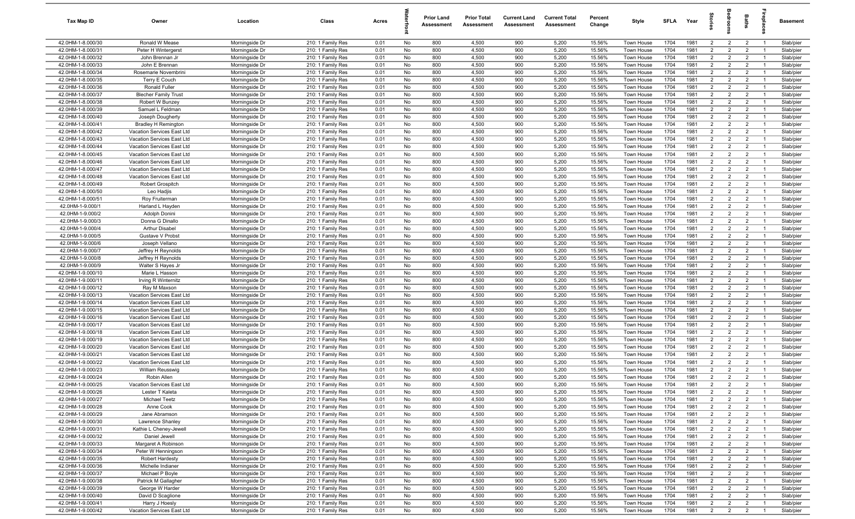| Tax Map ID                             | Owner                              | Location                         | Class                                  | Acres        |          | <b>Prior Land</b><br>Assessment | <b>Prior Total</b><br>Assessment | <b>Current Land</b><br>Assessment | <b>Current Total</b><br>Assessment | Percent<br>Change | Style                    | <b>SFLA</b>  | Year         |                                  | ē                                | Baths                            | rebia                            | Basement               |
|----------------------------------------|------------------------------------|----------------------------------|----------------------------------------|--------------|----------|---------------------------------|----------------------------------|-----------------------------------|------------------------------------|-------------------|--------------------------|--------------|--------------|----------------------------------|----------------------------------|----------------------------------|----------------------------------|------------------------|
| 42.0HM-1-8.000/30                      | Ronald W Mease                     | Morningside Dr                   | 210: 1 Family Res                      | 0.01         | No       | 800                             | 4,500                            | 900                               | 5,200                              | 15.56%            | Town House               | 1704         | 1981         | $\overline{2}$                   | $\overline{2}$                   | $\overline{2}$                   | $\overline{1}$                   | Slab/pier              |
| 42.0HM-1-8.000/31                      | Peter H Wintergerst                | Morningside Dr                   | 210: 1 Family Res                      | 0.01         | No       | 800                             | 4,500                            | 900                               | 5,200                              | 15.56%            | Town House               | 1704         | 1981         | 2                                | $\overline{2}$                   | $\overline{2}$                   | -1                               | Slab/pier              |
| 42.0HM-1-8.000/32                      | John Brennan Jr                    | Morningside Dr                   | 210: 1 Family Res                      | 0.01         | No       | 800                             | 4,500                            | 900                               | 5,200                              | 15.56%            | Town House               | 1704         | 1981         | $\overline{2}$                   | $\overline{2}$                   | $\overline{2}$                   | $\overline{1}$                   | Slab/pier              |
| 42.0HM-1-8.000/33                      | John E Brennan                     | Morningside Dr                   | 210: 1 Family Res                      | 0.01         | No       | 800                             | 4,500                            | 900                               | 5,200                              | 15.56%            | Town House               | 1704         | 1981         | $\overline{2}$                   | $\overline{2}$                   | $\overline{2}$                   |                                  | Slab/pier              |
| 42.0HM-1-8.000/34                      | Rosemarie Novembrini               | Morningside Dr                   | 210: 1 Family Res                      | 0.01         | No       | 800                             | 4,500                            | 900                               | 5,200                              | 15.56%            | Town House               | 1704         | 1981         | $2^{\circ}$                      | $\overline{2}$                   | $\overline{2}$                   | $\overline{1}$                   | Slab/pier              |
| 42.0HM-1-8.000/35                      | Terry E Couch                      | Morningside Dr                   | 210: 1 Family Res                      | 0.01         | No       | 800                             | 4,500                            | 900                               | 5,200                              | 15.56%            | Town House               | 1704         | 1981         | $\overline{2}$                   | $\overline{2}$                   | $\overline{2}$                   |                                  | Slab/pier              |
| 42.0HM-1-8.000/36                      | Ronald Fuller                      | Morningside Dr                   | 210: 1 Family Res                      | 0.01         | No       | 800                             | 4,500                            | 900                               | 5,200                              | 15.56%            | Town House               | 1704         | 1981         | $\overline{2}$                   | $\overline{2}$                   | $\overline{2}$                   | $\overline{1}$                   | Slab/pier              |
| 42.0HM-1-8.000/37                      | <b>Blecher Family Trust</b>        | Morningside Dr                   | 210: 1 Family Res                      | 0.01         | No       | 800                             | 4,500                            | 900                               | 5,200                              | 15.56%            | Town House               | 1704         | 1981         | $\overline{2}$                   | $\overline{2}$                   | $\overline{2}$                   | $\overline{1}$                   | Slab/pier              |
| 42.0HM-1-8.000/38                      | Robert W Bunzey                    | Morningside Dr                   | 210: 1 Family Res                      | 0.01         | No       | 800                             | 4,500                            | 900                               | 5,200                              | 15.56%            | Town House               | 1704         | 1981         | $\overline{2}$                   | $\overline{2}$                   | $\overline{2}$                   | $\overline{1}$                   | Slab/pier              |
| 42.0HM-1-8.000/39                      | Samuel L Feldman                   | Morningside Dr                   | 210: 1 Family Res                      | 0.01         | No       | 800                             | 4,500                            | 900                               | 5,200                              | 15.56%            | Town House               | 1704         | 1981         | $\overline{2}$                   | $\overline{2}$                   | $\overline{2}$                   | $\overline{1}$                   | Slab/pier              |
| 42.0HM-1-8.000/40                      | Joseph Dougherty                   | Morningside Dr                   | 210: 1 Family Res                      | 0.01         | No       | 800                             | 4,500                            | 900                               | 5,200                              | 15.56%            | Town House               | 1704         | 1981         | $\overline{2}$                   | $\overline{2}$                   | $\overline{2}$                   | $\overline{1}$                   | Slab/pier              |
| 42.0HM-1-8.000/41                      | <b>Bradley H Remington</b>         | Morningside Dr                   | 210: 1 Family Res                      | 0.01         | No       | 800                             | 4,500                            | 900                               | 5,200                              | 15.56%            | Town House               | 1704         | 1981         | $\overline{2}$                   | $\overline{2}$                   | $\overline{2}$                   | $\overline{1}$                   | Slab/pier              |
| 42.0HM-1-8.000/42                      | Vacation Services East Ltd         | Morningside Dr                   | 210: 1 Family Res                      | 0.01         | No       | 800                             | 4,500                            | 900                               | 5,200                              | 15.56%            | Town House               | 1704         | 1981         | $\overline{2}$                   | $\overline{2}$                   | $\overline{2}$                   | - 1                              | Slab/pier              |
| 42.0HM-1-8.000/43                      | Vacation Services East Ltd         | Morningside Dr                   | 210: 1 Family Res                      | 0.01         | No       | 800                             | 4,500                            | 900                               | 5,200                              | 15.56%            | Town House               | 1704         | 1981         | 2                                | $\overline{2}$                   | $\overline{2}$                   | $\overline{1}$                   | Slab/pier              |
| 42.0HM-1-8.000/44                      | Vacation Services East Ltd         | Morningside Dr                   | 210: 1 Family Res                      | 0.01         | No       | 800                             | 4,500                            | 900                               | 5,200                              | 15.56%            | Town House               | 1704         | 1981         | $\overline{2}$                   | $\overline{2}$                   | $\overline{2}$                   |                                  | Slab/pier              |
| 42.0HM-1-8.000/45                      | Vacation Services East Ltd         | Morningside Dr                   | 210: 1 Family Res                      | 0.01         | No       | 800                             | 4,500                            | 900                               | 5,200                              | 15.56%            | Town House               | 1704         | 1981         | $\overline{2}$                   | $\overline{2}$                   | $\overline{2}$                   | $\overline{1}$                   | Slab/pier              |
| 42.0HM-1-8.000/46                      | Vacation Services East Ltd         | Morningside Dr                   | 210: 1 Family Res                      | 0.01         | No       | 800                             | 4,500                            | 900                               | 5,200                              | 15.56%            | Town House               | 1704         | 1981         | $\overline{2}$                   | $\overline{2}$                   | $\overline{2}$                   |                                  | Slab/pier              |
| 42.0HM-1-8.000/47                      | Vacation Services East Ltd         | Morningside Dr                   | 210: 1 Family Res                      | 0.01         | No       | 800                             | 4,500                            | 900                               | 5,200                              | 15.56%            | Town House               | 1704         | 1981         | $2^{\circ}$                      | $\overline{2}$                   | $\overline{2}$                   | - 1                              | Slab/pier              |
| 42.0HM-1-8.000/48<br>42.0HM-1-8.000/49 | Vacation Services East Ltd         | Morningside Dr                   | 210: 1 Family Res                      | 0.01         | No<br>No | 800<br>800                      | 4,500                            | 900<br>900                        | 5,200                              | 15.56%            | <b>Town House</b>        | 1704         | 1981<br>1981 | $\overline{2}$<br>$\overline{2}$ | $\overline{2}$<br>$\overline{2}$ | $\overline{2}$<br>$\overline{2}$ |                                  | Slab/pier              |
|                                        | Robert Grospitch                   | Morningside Dr<br>Morningside Dr | 210: 1 Family Res                      | 0.01         | No       | 800                             | 4,500                            | 900                               | 5,200<br>5,200                     | 15.56%            | Town House               | 1704<br>1704 | 1981         | $\overline{2}$                   | $\overline{2}$                   | $\overline{2}$                   | $\overline{1}$                   | Slab/pier              |
| 42.0HM-1-8.000/50<br>42.0HM-1-8.000/51 | Leo Hadjis                         |                                  | 210: 1 Family Res                      | 0.01<br>0.01 |          | 800                             | 4,500<br>4,500                   | 900                               | 5,200                              | 15.56%<br>15.56%  | Town House               | 1704         | 1981         | $\overline{2}$                   | $\overline{2}$                   | $\overline{2}$                   | $\overline{1}$                   | Slab/pier              |
| 42.0HM-1-9.000/1                       | Roy Fruitermar<br>Harland L Hayden | Morningside Dr<br>Morningside Dr | 210: 1 Family Res<br>210: 1 Family Res | 0.01         | No<br>No | 800                             | 4,500                            | 900                               | 5,200                              | 15.56%            | Town House<br>Town House | 1704         | 1981         | $\overline{2}$                   | $\overline{2}$                   | $\overline{2}$                   | $\overline{1}$                   | Slab/pier<br>Slab/pier |
| 42.0HM-1-9.000/2                       | Adolph Donini                      | Morningside Dr                   | 210: 1 Family Res                      | 0.01         | No       | 800                             | 4,500                            | 900                               | 5,200                              | 15.56%            | Town House               | 1704         | 1981         | $\overline{2}$                   | $\overline{2}$                   | $\overline{2}$                   | $\overline{1}$                   | Slab/pier              |
| 42.0HM-1-9.000/3                       | Donna G Dinallo                    | Morningside Dr                   | 210: 1 Family Res                      | 0.01         | No       | 800                             | 4,500                            | 900                               | 5,200                              | 15.56%            | Town House               | 1704         | 1981         | $\overline{2}$                   | 2                                | $\overline{2}$                   | $\overline{1}$                   | Slab/pier              |
| 42.0HM-1-9.000/4                       | <b>Arthur Disabel</b>              | Morningside Dr                   | 210: 1 Family Res                      | 0.01         | No       | 800                             | 4,500                            | 900                               | 5,200                              | 15.56%            | Town House               | 1704         | 1981         | 2                                | 2                                | $\overline{2}$                   |                                  | Slab/pier              |
| 42.0HM-1-9.000/5                       | Gustave V Probst                   | Morningside Dr                   | 210: 1 Family Res                      | 0.01         | No       | 800                             | 4,500                            | 900                               | 5,200                              | 15.56%            | Town House               | 1704         | 1981         | $\overline{2}$                   | $\overline{2}$                   | $\overline{2}$                   | $\overline{1}$                   | Slab/pier              |
| 42.0HM-1-9.000/6                       | Joseph Vellano                     | Morningside Dr                   | 210: 1 Family Res                      | 0.01         | No       | 800                             | 4,500                            | 900                               | 5,200                              | 15.56%            | Town House               | 1704         | 1981         | $\overline{2}$                   | $\overline{2}$                   | $\overline{2}$                   |                                  | Slab/pier              |
| 42.0HM-1-9.000/7                       | Jeffrey H Reynolds                 | Morningside Dr                   | 210: 1 Family Res                      | 0.01         | No       | 800                             | 4,500                            | 900                               | 5,200                              | 15.56%            | Town House               | 1704         | 1981         | $2^{\circ}$                      | $\overline{2}$                   | $\overline{2}$                   | - 1                              | Slab/pier              |
| 42.0HM-1-9.000/8                       | Jeffrey H Reynolds                 | Morningside Dr                   | 210: 1 Family Res                      | 0.01         | No       | 800                             | 4,500                            | 900                               | 5,200                              | 15.56%            | Town House               | 1704         | 1981         | $\overline{2}$                   | $\overline{2}$                   | $\overline{2}$                   |                                  | Slab/pier              |
| 42.0HM-1-9.000/9                       | Walter S Hayes Jr                  | Morningside Dr                   | 210: 1 Family Res                      | 0.01         | No       | 800                             | 4,500                            | 900                               | 5,200                              | 15.56%            | Town House               | 1704         | 1981         | $\overline{2}$                   | $\overline{2}$                   | $\overline{2}$                   |                                  | Slab/pier              |
| 42.0HM-1-9.000/10                      | Marie L Hasson                     | Morningside Dr                   | 210: 1 Family Res                      | 0.01         | No       | 800                             | 4,500                            | 900                               | 5,200                              | 15.56%            | Town House               | 1704         | 1981         | $\overline{2}$                   | $\overline{2}$                   | $\overline{2}$                   | - 1                              | Slab/pier              |
| 42.0HM-1-9.000/11                      | Irving R Winternitz                | Morningside Dr                   | 210: 1 Family Res                      | 0.01         | No       | 800                             | 4,500                            | 900                               | 5,200                              | 15.56%            | Town House               | 1704         | 1981         | $\overline{2}$                   | $\overline{2}$                   | $\overline{2}$                   | $\overline{1}$                   | Slab/pier              |
| 42.0HM-1-9.000/12                      | Ray M Maxson                       | Morningside Dr                   | 210: 1 Family Res                      | 0.01         | No       | 800                             | 4,500                            | 900                               | 5,200                              | 15.56%            | Town House               | 1704         | 1981         | $\overline{2}$                   | $\overline{2}$                   | $\overline{2}$                   | $\overline{1}$                   | Slab/pier              |
| 42.0HM-1-9.000/13                      | Vacation Services East Ltd         | Morningside Dr                   | 210: 1 Family Res                      | 0.01         | No       | 800                             | 4,500                            | 900                               | 5,200                              | 15.56%            | Town House               | 1704         | 1981         | $\overline{2}$                   | $\overline{2}$                   | $\overline{2}$                   | $\overline{1}$                   | Slab/pier              |
| 42.0HM-1-9.000/14                      | Vacation Services East Ltd         | Morningside Dr                   | 210: 1 Family Res                      | 0.01         | No       | 800                             | 4,500                            | 900                               | 5,200                              | 15.56%            | Town House               | 1704         | 1981         | $\overline{2}$                   | $\overline{2}$                   | $\overline{2}$                   | $\overline{1}$                   | Slab/pier              |
| 42.0HM-1-9.000/15                      | Vacation Services East Ltd         | Morningside Dr                   | 210: 1 Family Res                      | 0.01         | No       | 800                             | 4,500                            | 900                               | 5,200                              | 15.56%            | Town House               | 1704         | 1981         | $\overline{2}$                   | $\overline{2}$                   | $\overline{2}$                   | $\overline{1}$                   | Slab/pier              |
| 42.0HM-1-9.000/16                      | Vacation Services East Ltd         | Morningside Dr                   | 210: 1 Family Res                      | 0.01         | No       | 800                             | 4,500                            | 900                               | 5,200                              | 15.56%            | Town House               | 1704         | 1981         | $\overline{2}$                   | 2                                | $\overline{2}$                   | $\overline{1}$                   | Slab/pier              |
| 42.0HM-1-9.000/17                      | Vacation Services East Ltd         | Morningside Dr                   | 210: 1 Family Res                      | 0.01         | No       | 800                             | 4,500                            | 900                               | 5,200                              | 15.56%            | Town House               | 1704         | 1981         | $\overline{2}$                   | $\overline{2}$                   | $\overline{2}$                   |                                  | Slab/pier              |
| 42.0HM-1-9.000/18                      | Vacation Services East Ltd         | Morningside Dr                   | 210: 1 Family Res                      | 0.01         | No       | 800                             | 4,500                            | 900                               | 5,200                              | 15.56%            | Town House               | 1704         | 1981         | $\overline{2}$                   | $\overline{2}$                   | $\overline{2}$                   | $\overline{1}$                   | Slab/pier              |
| 42.0HM-1-9.000/19                      | Vacation Services East Ltd         | Morningside Dr                   | 210: 1 Family Res                      | 0.01         | No       | 800                             | 4,500                            | 900                               | 5,200                              | 15.56%            | Town House               | 1704         | 1981         | $\overline{2}$                   | $\overline{2}$                   | $\overline{2}$                   |                                  | Slab/pier              |
| 42.0HM-1-9.000/20                      | Vacation Services East Ltd         | Morningside Dr                   | 210: 1 Family Res                      | 0.01         | No       | 800                             | 4,500                            | 900                               | 5,200                              | 15.56%            | Town House               | 1704         | 1981         | $2^{\circ}$                      | $\overline{2}$                   | $\overline{2}$                   | $\overline{1}$                   | Slab/pier              |
| 42.0HM-1-9.000/21                      | Vacation Services East Ltd         | Morningside Dr                   | 210: 1 Family Res                      | 0.01         | No       | 800                             | 4,500                            | 900                               | 5,200                              | 15.56%            | Town House               | 1704         | 1981         | $\overline{2}$                   | $\overline{2}$                   | $\overline{2}$                   |                                  | Slab/pier              |
| 42.0HM-1-9.000/22                      | Vacation Services East Ltd         | Morningside Dr                   | 210: 1 Family Res                      | 0.01         | No       | 800                             | 4,500                            | 900                               | 5,200                              | 15.56%            | Town House               | 1704         | 1981         | $\overline{2}$                   | $\overline{2}$                   | $\overline{2}$                   |                                  | Slab/pier              |
| 42.0HM-1-9.000/23                      | William Reusswig                   | Morningside Dr                   | 210: 1 Family Res                      | 0.01         | No       | 800                             | 4,500                            | 900                               | 5,200                              | 15.56%            | Town House               | 1704         | 1981         | 2                                | $\overline{2}$                   | $\overline{2}$                   |                                  | Slab/pier              |
| 42.0HM-1-9.000/24                      | Robin Allen                        | Morningside Dr                   | 210: 1 Family Res                      | 0.01         | No       | 800                             | 4,500                            | 900                               | 5,200                              | 15.56%            | Town House               | 1704         | 1981         | $\overline{2}$                   | $\overline{2}$                   | $\overline{2}$                   | $\overline{1}$                   | Slab/pier              |
| 42.0HM-1-9.000/25                      | Vacation Services East Ltd         | Morningside Dr                   | 210: 1 Family Res                      | 0.01         | No       | 800                             | 4,500                            | 900                               | 5,200                              | 15.56%            | Town House               | 1704         | 1981         | $\overline{2}$                   | $\overline{2}$                   | $\overline{2}$                   |                                  | Slab/pier              |
| 42.0HM-1-9.000/26                      | Lester T Kaleta                    | Morningside Dr                   | 210: 1 Family Res                      | 0.01         | No       | 800                             | 4,500                            | 900                               | 5,200                              | 15.56%            | Town House               | 1704         | 1981         | $\overline{2}$                   | $\overline{2}$                   | $\overline{2}$                   | $\overline{1}$                   | Slab/pier              |
| 42.0HM-1-9.000/27                      | Michael Teetz                      | Morningside Dr<br>Morningside Dr | 210: 1 Family Res                      | 0.01         | No       | 800<br>800                      | 4,500<br>4,500                   | 900                               | 5,200<br>5,200                     | 15.56%<br>15.56%  | Town House               | 1704         | 1981         | $\overline{2}$<br>$\overline{2}$ | $\overline{2}$                   | $\overline{2}$                   | $\overline{1}$<br>$\overline{1}$ | Slab/pier              |
| 42.0HM-1-9.000/28<br>42.0HM-1-9.000/29 | Anne Cook<br>Jane Abramson         | Morningside Dr                   | 210: 1 Family Res<br>210: 1 Family Res | 0.01<br>0.01 | No<br>No | 800                             | 4,500                            | 900<br>900                        | 5,200                              | 15.56%            | Town House<br>Town House | 1704<br>1704 | 1981<br>1981 | $\overline{2}$                   | $\overline{2}$<br>$\overline{2}$ | $\overline{2}$<br>$\overline{2}$ | $\overline{1}$                   | Slab/pier<br>Slab/pier |
| 42.0HM-1-9.000/30                      | Lawrence Shanley                   | Morningside Dr                   |                                        | 0.01         | No       | 800                             | 4,500                            | 900                               | 5,200                              | 15.56%            | Town House               | 1704         | 1981         | $\overline{2}$                   | $\overline{2}$                   | $\overline{2}$                   | - 1                              | Slab/pier              |
| 42.0HM-1-9.000/31                      | Kathie L Cheney-Jewell             | Morningside Dr                   | 210: 1 Family Res<br>210: 1 Family Res | 0.01         | No       | 800                             | 4,500                            | 900                               | 5,200                              | 15.56%            | Town House               | 1704         | 1981         | $\overline{2}$                   | $\overline{2}$                   | $\overline{2}$                   | $\overline{1}$                   | Slab/pier              |
| 42.0HM-1-9.000/32                      | Daniel Jewell                      | Morningside Dr                   | 210: 1 Family Res                      | 0.01         | No       | 800                             | 4,500                            | 900                               | 5,200                              | 15.56%            | Town House               | 1704         | 1981         | $\overline{2}$                   | $\overline{2}$                   | $\overline{2}$                   |                                  | Slab/pier              |
| 42.0HM-1-9.000/33                      | Margaret A Robinson                | Morningside Dr                   | 210: 1 Family Res                      | 0.01         | No       | 800                             | 4,500                            | 900                               | 5,200                              | 15.56%            | Town House               | 1704         | 1981         | $\overline{2}$                   | $\overline{2}$                   | $\overline{2}$                   | $\overline{1}$                   | Slab/pier              |
| 42.0HM-1-9.000/34                      | Peter W Henningson                 | Morningside Dr                   | 210: 1 Family Res                      | 0.01         | No       | 800                             | 4,500                            | 900                               | 5,200                              | 15.56%            | Town House               | 1704         | 1981         | $\overline{2}$                   | $\overline{2}$                   | $\overline{2}$                   | $\overline{1}$                   | Slab/pier              |
| 42.0HM-1-9.000/35                      | <b>Robert Hardesty</b>             | Morningside Dr                   | 210: 1 Family Res                      | 0.01         | No       | 800                             | 4,500                            | 900                               | 5,200                              | 15.56%            | Town House               | 1704         | 1981         | $\overline{2}$                   | $\overline{2}$                   | $\overline{2}$                   | $\overline{1}$                   | Slab/pier              |
| 42.0HM-1-9.000/36                      | Michelle Indianer                  | Morningside Dr                   | 210: 1 Family Res                      | 0.01         | No       | 800                             | 4,500                            | 900                               | 5,200                              | 15.56%            | Town House               | 1704         | 1981         | $\overline{2}$                   | $\overline{2}$                   | $\overline{2}$                   | $\overline{1}$                   | Slab/pier              |
| 42.0HM-1-9.000/37                      | Michael P Boyle                    | Morningside Dr                   | 210: 1 Family Res                      | 0.01         | No       | 800                             | 4,500                            | 900                               | 5,200                              | 15.56%            | Town House               | 1704         | 1981         | $\overline{2}$                   | $\overline{2}$                   | $\overline{2}$                   | $\overline{1}$                   | Slab/pier              |
| 42.0HM-1-9.000/38                      | Patrick M Gallagher                | Morningside Dr                   | 210: 1 Family Res                      | 0.01         | No       | 800                             | 4,500                            | 900                               | 5,200                              | 15.56%            | Town House               | 1704         | 1981         | $\overline{2}$                   | $\overline{2}$                   | $\overline{2}$                   | $\overline{1}$                   | Slab/pier              |
| 42.0HM-1-9.000/39                      | George W Harder                    | Morningside Dr                   | 210: 1 Family Res                      | 0.01         | No       | 800                             | 4,500                            | 900                               | 5,200                              | 15.56%            | Town House               | 1704         | 1981         | $\overline{2}$                   | $\overline{2}$                   | $\overline{2}$                   | $\overline{1}$                   | Slab/pier              |
| 42.0HM-1-9.000/40                      | David D Scaglione                  | Morningside Dr                   | 210: 1 Family Res                      | 0.01         | No       | 800                             | 4,500                            | 900                               | 5,200                              | 15.56%            | Town House               | 1704         | 1981         | $\overline{2}$                   | $\overline{2}$                   | $\overline{2}$                   | $\overline{1}$                   | Slab/pier              |
| 42.0HM-1-9.000/41                      | Harry J Hoesly                     | Morningside Dr                   | 210: 1 Family Res                      | 0.01         | No       | 800                             | 4,500                            | 900                               | 5,200                              | 15.56%            | Town House               | 1704         | 1981         | $\overline{2}$                   | $\overline{2}$                   | $\overline{2}$                   | $\overline{1}$                   | Slab/pier              |
| 42.0HM-1-9.000/42                      | Vacation Services East Ltd         | Morningside Dr                   | 210: 1 Family Res                      | 0.01         | No       | 800                             | 4,500                            | 900                               | 5,200                              | 15.56%            | Town House               | 1704         | 1981         | $\overline{2}$                   | $\overline{2}$                   | $\overline{2}$                   | $\overline{1}$                   | Slab/pier              |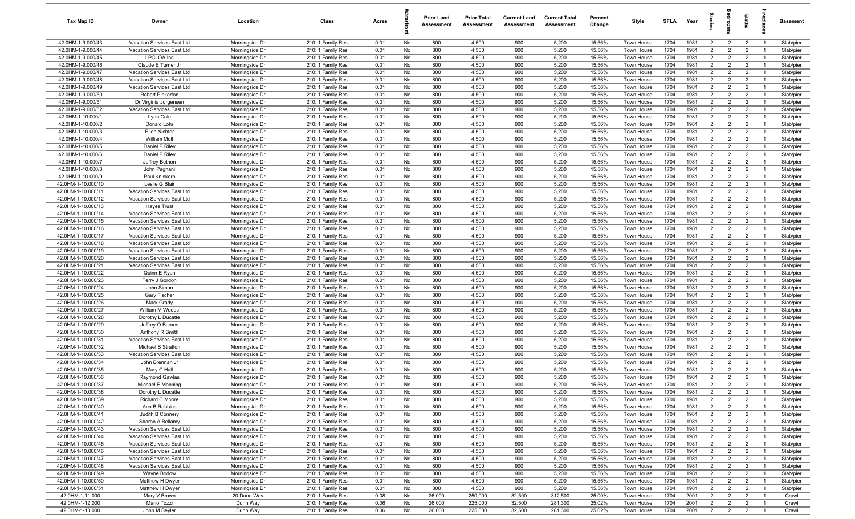| Tax Map ID                               | Owner                                                    | Location                         | Class                                  | Acres        |          | <b>Prior Land</b><br>Assessment | <b>Prior Total</b><br>Assessment | <b>Current Land</b><br>Assessment | <b>Current Total</b><br>Assessment | Percent<br>Change | Style                    | <b>SFLA</b>  | Year         | $\vec{a}$                        | ē                                | Baths                            | epla           | Basement               |
|------------------------------------------|----------------------------------------------------------|----------------------------------|----------------------------------------|--------------|----------|---------------------------------|----------------------------------|-----------------------------------|------------------------------------|-------------------|--------------------------|--------------|--------------|----------------------------------|----------------------------------|----------------------------------|----------------|------------------------|
| 42.0HM-1-9.000/43                        | Vacation Services East Ltd                               | Morningside Dr                   | 210: 1 Family Res                      | 0.01         | No       | 800                             | 4,500                            | 900                               | 5,200                              | 15.56%            | <b>Town House</b>        | 1704         | 1981         | $\overline{2}$                   | $\overline{2}$                   | $\overline{2}$                   | $\overline{1}$ | Slab/pier              |
| 42.0HM-1-9.000/44                        | Vacation Services East Ltd                               | Morningside Dr                   | 210: 1 Family Res                      | 0.01         | No       | 800                             | 4,500                            | 900                               | 5,200                              | 15.56%            | Town House               | 1704         | 1981         | $\overline{2}$                   | $\overline{2}$                   | $\overline{2}$                   | -1             | Slab/pier              |
| 42.0HM-1-9.000/45                        | LPCLOA Inc                                               | Morningside Dr                   | 210: 1 Family Res                      | 0.01         | No       | 800                             | 4,500                            | 900                               | 5,200                              | 15.56%            | Town House               | 1704         | 1981         | $\overline{2}$                   | $\overline{2}$                   | $\overline{2}$                   | - 1            | Slab/pier              |
| 42.0HM-1-9.000/46                        | Claude E Turner Jr                                       | Morningside Dr                   | 210: 1 Family Res                      | 0.01         | No       | 800                             | 4,500                            | 900                               | 5,200                              | 15.56%            | Town House               | 1704         | 1981         | $\overline{2}$                   | $\overline{2}$                   | $\overline{2}$                   |                | Slab/pier              |
| 42.0HM-1-9.000/47                        | Vacation Services East Ltd                               | Morningside Dr                   | 210: 1 Family Res                      | 0.01         | No       | 800                             | 4,500                            | 900                               | 5,200                              | 15.56%            | Town House               | 1704         | 1981         | $\overline{2}$                   | $\overline{2}$                   | $\overline{2}$                   | - 1            | Slab/pier              |
| 42.0HM-1-9.000/48                        | Vacation Services East Ltd                               | Morningside Dr                   | 210: 1 Family Res                      | 0.01         | No       | 800                             | 4,500                            | 900                               | 5,200                              | 15.56%            | Town House               | 1704         | 1981         | $\overline{2}$                   | $\overline{2}$                   | $\overline{2}$                   |                | Slab/pier              |
| 42.0HM-1-9.000/49                        | Vacation Services East Ltd                               | Morningside Dr                   | 210: 1 Family Res                      | 0.01         | No       | 800                             | 4,500                            | 900                               | 5,200                              | 15.56%            | Town House               | 1704         | 1981         | $\overline{2}$                   | $\overline{2}$                   | $\overline{2}$                   | $\overline{1}$ | Slab/pier              |
| 42.0HM-1-9.000/50                        | Robert Pinkerton                                         | Morningside Dr                   | 210: 1 Family Res                      | 0.01         | No       | 800                             | 4,500                            | 900                               | 5,200                              | 15.56%            | Town House               | 1704         | 1981         | $\overline{2}$                   | $\overline{2}$                   | $\overline{2}$                   | $\overline{1}$ | Slab/pier              |
| 42.0HM-1-9.000/51                        | Dr Virginia Jorgensen                                    | Morningside Dr                   | 210: 1 Family Res                      | 0.01         | No       | 800                             | 4,500                            | 900                               | 5,200                              | 15.56%            | Town House               | 1704         | 1981         | $\overline{2}$                   | $\overline{2}$                   | $\overline{2}$                   | $\overline{1}$ | Slab/pier              |
| 42.0HM-1-9.000/52                        | Vacation Services East Ltd                               | Morningside Dr                   | 210: 1 Family Res                      | 0.01         | No       | 800                             | 4,500                            | 900                               | 5,200                              | 15.56%            | Town House               | 1704         | 1981         | $\overline{2}$                   | $\overline{2}$                   | $\overline{2}$                   | $\overline{1}$ | Slab/pier              |
| 42.0HM-1-10.000/1                        | Lynn Cole                                                | Morningside Dr                   | 210: 1 Family Res                      | 0.01         | No       | 800                             | 4,500                            | 900                               | 5,200                              | 15.56%            | Town House               | 1704         | 1981         | $\overline{2}$                   | $\overline{2}$                   | $\overline{2}$                   | $\overline{1}$ | Slab/pier              |
| 42.0HM-1-10.000/2                        | Donald Lohr                                              | Morningside Dr                   | 210: 1 Family Res                      | 0.01         | No       | 800                             | 4,500                            | 900                               | 5,200                              | 15.56%            | Town House               | 1704         | 1981         | $\overline{2}$                   | $\overline{2}$                   | $\overline{2}$                   | $\overline{1}$ | Slab/pier              |
| 42.0HM-1-10.000/3                        | Ellen Nichter                                            | Morningside Dr                   | 210: 1 Family Res                      | 0.01         | No       | 800                             | 4,500                            | 900                               | 5,200                              | 15.56%            | Town House               | 1704         | 1981         | $\overline{2}$                   | 2                                | $\overline{2}$                   | - 1            | Slab/pier              |
| 42.0HM-1-10.000/4                        | William Moll                                             | Morningside Dr                   | 210: 1 Family Res                      | 0.01         | No       | 800                             | 4,500                            | 900                               | 5,200                              | 15.56%            | Town House               | 1704         | 1981         | $\overline{2}$                   | $\overline{2}$                   | $\overline{2}$                   | $\overline{1}$ | Slab/pier              |
| 42.0HM-1-10.000/5                        | Daniel P Riley                                           | Morningside Dr                   | 210: 1 Family Res                      | 0.01         | No       | 800                             | 4,500                            | 900                               | 5,200                              | 15.56%            | Town House               | 1704         | 1981         | $\overline{2}$                   | $\overline{2}$                   | $\overline{2}$                   |                | Slab/pier              |
| 42.0HM-1-10.000/6                        | Daniel P Riley                                           | Morningside Dr                   | 210: 1 Family Res                      | 0.01         | No       | 800                             | 4,500                            | 900                               | 5,200                              | 15.56%            | Town House               | 1704         | 1981         | $\overline{2}$                   | $\overline{2}$                   | $\overline{2}$                   | $\overline{1}$ | Slab/pier              |
| 42.0HM-1-10.000/7                        | Jeffrey Bethon                                           | Morningside Dr                   | 210: 1 Family Res                      | 0.01         | No       | 800                             | 4,500                            | 900                               | 5,200                              | 15.56%            | Town House               | 1704         | 1981         | $\overline{2}$                   | $\overline{2}$                   | $\overline{2}$                   |                | Slab/pier              |
| 42.0HM-1-10.000/8                        | John Pagnani<br>Paul Kniskern                            | Morningside Dr                   | 210: 1 Family Res                      | 0.01         | No       | 800                             | 4,500                            | 900                               | 5,200                              | 15.56%            | Town House               | 1704         | 1981         | $\overline{2}$<br>$\overline{2}$ | $\overline{2}$<br>$\overline{2}$ | $\overline{2}$<br>$\overline{2}$ | - 1            | Slab/pier              |
| 42.0HM-1-10.000/9<br>42.0HM-1-10.000/10  | Leslie G Blair                                           | Morningside Dr                   | 210: 1 Family Res<br>210: 1 Family Res | 0.01<br>0.01 | No<br>No | 800<br>800                      | 4,500<br>4,500                   | 900<br>900                        | 5,200<br>5,200                     | 15.56%<br>15.56%  | Town House               | 1704<br>1704 | 1981<br>1981 | $\overline{2}$                   | $\overline{2}$                   | $\overline{2}$                   |                | Slab/pier<br>Slab/pier |
| 42.0HM-1-10.000/11                       |                                                          | Morningside Dr<br>Morningside Dr |                                        | 0.01         | No       | 800                             | 4,500                            | 900                               | 5,200                              | 15.56%            | Town House               | 1704         | 1981         | $\overline{2}$                   | $\overline{2}$                   | $\overline{2}$                   | $\overline{1}$ | Slab/pier              |
| 42.0HM-1-10.000/12                       | Vacation Services East Ltd<br>Vacation Services East Ltd | Morningside Dr                   | 210: 1 Family Res<br>210: 1 Family Res | 0.01         | No       | 800                             | 4,500                            | 900                               | 5,200                              | 15.56%            | Town House<br>Town House | 1704         | 1981         | $\overline{2}$                   | $\overline{2}$                   | $\overline{2}$                   | $\overline{1}$ | Slab/pier              |
| 42.0HM-1-10.000/13                       | <b>Hayes Trust</b>                                       | Morningside Dr                   | 210: 1 Family Res                      | 0.01         | No       | 800                             | 4,500                            | 900                               | 5,200                              | 15.56%            | Town House               | 1704         | 1981         | $\overline{2}$                   | $\overline{2}$                   | $\overline{2}$                   | $\overline{1}$ | Slab/pier              |
| 42.0HM-1-10.000/14                       | Vacation Services East Ltd                               | Morningside Dr                   | 210: 1 Family Res                      | 0.01         | No       | 800                             | 4,500                            | 900                               | 5,200                              | 15.56%            | Town House               | 1704         | 1981         | 2                                | $\overline{2}$                   | $\overline{2}$                   | $\overline{1}$ | Slab/pier              |
| 42.0HM-1-10.000/15                       | Vacation Services East Ltd                               | Morningside Dr                   | 210: 1 Family Res                      | 0.01         | No       | 800                             | 4,500                            | 900                               | 5,200                              | 15.56%            | Town House               | 1704         | 1981         | $\overline{2}$                   | 2                                | $\overline{2}$                   | $\overline{1}$ | Slab/pier              |
| 42.0HM-1-10.000/16                       | Vacation Services East Ltd                               | Morningside Dr                   | 210: 1 Family Res                      | 0.01         | No       | 800                             | 4,500                            | 900                               | 5,200                              | 15.56%            | Town House               | 1704         | 1981         | 2                                | 2                                | $\overline{2}$                   |                | Slab/pier              |
| 42.0HM-1-10.000/17                       | Vacation Services East Ltd                               | Morningside Dr                   | 210: 1 Family Res                      | 0.01         | No       | 800                             | 4,500                            | 900                               | 5,200                              | 15.56%            | Town House               | 1704         | 1981         | $\overline{2}$                   | $\overline{2}$                   | $\overline{2}$                   | $\overline{1}$ | Slab/pier              |
| 42.0HM-1-10.000/18                       | Vacation Services East Ltd                               | Morningside Dr                   | 210: 1 Family Res                      | 0.01         | No       | 800                             | 4,500                            | 900                               | 5,200                              | 15.56%            | Town House               | 1704         | 1981         | $\overline{2}$                   | $\overline{2}$                   | $\overline{2}$                   |                | Slab/pier              |
| 42.0HM-1-10.000/19                       | Vacation Services East Ltd                               | Morningside Dr                   | 210: 1 Family Res                      | 0.01         | No       | 800                             | 4,500                            | 900                               | 5,200                              | 15.56%            | Town House               | 1704         | 1981         | $\overline{2}$                   | $\overline{2}$                   | $\overline{2}$                   | - 1            | Slab/pier              |
| 42.0HM-1-10.000/20                       | Vacation Services East Ltd                               | Morningside Dr                   | 210: 1 Family Res                      | 0.01         | No       | 800                             | 4,500                            | 900                               | 5,200                              | 15.56%            | Town House               | 1704         | 1981         | $\overline{2}$                   | $\overline{2}$                   | $\overline{2}$                   |                | Slab/pier              |
| 42.0HM-1-10.000/21                       | Vacation Services East Ltd                               | Morningside Dr                   | 210: 1 Family Res                      | 0.01         | No       | 800                             | 4,500                            | 900                               | 5,200                              | 15.56%            | Town House               | 1704         | 1981         | $\overline{2}$                   | $\overline{2}$                   | $\overline{2}$                   |                | Slab/pier              |
| 42.0HM-1-10.000/22                       | Quinn E Ryan                                             | Morningside Dr                   | 210: 1 Family Res                      | 0.01         | No       | 800                             | 4,500                            | 900                               | 5,200                              | 15.56%            | Town House               | 1704         | 1981         | $\overline{2}$                   | $\overline{2}$                   | $\overline{2}$                   | - 1            | Slab/pier              |
| 42.0HM-1-10.000/23                       | Terry J Gordor                                           | Morningside Dr                   | 210: 1 Family Res                      | 0.01         | No       | 800                             | 4,500                            | 900                               | 5,200                              | 15.56%            | Town House               | 1704         | 1981         | $\overline{2}$                   | $\overline{2}$                   | $\overline{2}$                   | $\overline{1}$ | Slab/pier              |
| 42.0HM-1-10.000/24                       | John Simon                                               | Morningside Dr                   | 210: 1 Family Res                      | 0.01         | No       | 800                             | 4,500                            | 900                               | 5,200                              | 15.56%            | Town House               | 1704         | 1981         | $\overline{2}$                   | $\overline{2}$                   | $\overline{2}$                   | $\overline{1}$ | Slab/pier              |
| 42.0HM-1-10.000/25                       | <b>Gary Fischer</b>                                      | Morningside Dr                   | 210: 1 Family Res                      | 0.01         | No       | 800                             | 4,500                            | 900                               | 5,200                              | 15.56%            | Town House               | 1704         | 1981         | $\overline{2}$                   | $\overline{2}$                   | $\overline{2}$                   | $\overline{1}$ | Slab/pier              |
| 42.0HM-1-10.000/26                       | Mark Grady                                               | Morningside Dr                   | 210: 1 Family Res                      | 0.01         | No       | 800                             | 4,500                            | 900                               | 5,200                              | 15.56%            | Town House               | 1704         | 1981         | $\overline{2}$                   | $\overline{2}$                   | $\overline{2}$                   | $\overline{1}$ | Slab/pier              |
| 42.0HM-1-10.000/27                       | William M Woods                                          | Morningside Dr                   | 210: 1 Family Res                      | 0.01         | No       | 800                             | 4,500                            | 900                               | 5,200                              | 15.56%            | Town House               | 1704         | 1981         | 2                                | $\overline{2}$                   | $\overline{2}$                   | $\overline{1}$ | Slab/pier              |
| 42.0HM-1-10.000/28                       | Dorothy L Ducatte                                        | Morningside Dr                   | 210: 1 Family Res                      | 0.01         | No       | 800                             | 4,500                            | 900                               | 5,200                              | 15.56%            | Town House               | 1704         | 1981         | $\overline{2}$                   | 2                                | $\overline{2}$                   | $\overline{1}$ | Slab/pier              |
| 42.0HM-1-10.000/29                       | Jeffrey O Barnes                                         | Morningside Dr                   | 210: 1 Family Res                      | 0.01         | No       | 800                             | 4,500                            | 900                               | 5,200                              | 15.56%            | Town House               | 1704         | 1981         | $\overline{2}$                   | $\overline{2}$                   | $\overline{2}$                   |                | Slab/pier              |
| 42.0HM-1-10.000/30                       | Anthony R Smith                                          | Morningside Dr                   | 210: 1 Family Res                      | 0.01         | No       | 800                             | 4,500                            | 900                               | 5,200                              | 15.56%            | Town House               | 1704         | 1981         | $\overline{2}$                   | $\overline{2}$                   | $\overline{2}$                   | $\overline{1}$ | Slab/pier              |
| 42.0HM-1-10.000/31                       | Vacation Services East Ltd                               | Morningside Dr                   | 210: 1 Family Res                      | 0.01         | No       | 800                             | 4,500                            | 900                               | 5,200                              | 15.56%            | Town House               | 1704         | 1981         | $\overline{2}$                   | $\overline{2}$                   | $\overline{2}$                   |                | Slab/pier              |
| 42.0HM-1-10.000/32                       | Michael S Stratton                                       | Morningside Dr                   | 210: 1 Family Res                      | 0.01         | No       | 800                             | 4,500                            | 900                               | 5,200                              | 15.56%            | Town House               | 1704         | 1981         | $\overline{2}$                   | $\overline{2}$                   | $\overline{2}$                   |                | Slab/pier              |
| 42.0HM-1-10.000/33                       | Vacation Services East Ltd                               | Morningside Dr                   | 210: 1 Family Res                      | 0.01         | No       | 800                             | 4,500                            | 900                               | 5,200                              | 15.56%            | <b>Town House</b>        | 1704         | 1981         | $\overline{2}$                   | $\overline{2}$                   | $\overline{2}$                   |                | Slab/pier              |
| 42.0HM-1-10.000/34                       | John Brennan Jr                                          | Morningside Dr                   | 210: 1 Family Res                      | 0.01         | No       | 800                             | 4,500                            | 900                               | 5,200                              | 15.56%            | Town House               | 1704         | 1981         | $\overline{2}$                   | $\overline{2}$                   | $\overline{2}$                   |                | Slab/pier              |
| 42.0HM-1-10.000/35                       | Mary C Hall                                              | Morningside Dr                   | 210: 1 Family Res                      | 0.01         | No       | 800                             | 4,500                            | 900                               | 5,200                              | 15.56%            | Town House               | 1704         | 1981         | $\overline{2}$                   | $\overline{2}$                   | $\overline{2}$                   |                | Slab/pier              |
| 42.0HM-1-10.000/36                       | Raymond Gawlas                                           | Morningside Dr                   | 210: 1 Family Res                      | 0.01         | No       | 800                             | 4,500                            | 900                               | 5,200                              | 15.56%            | <b>Town House</b>        | 1704         | 1981         | $\overline{2}$<br>$\overline{2}$ | $\overline{2}$<br>$\overline{2}$ | $\overline{2}$                   | $\overline{1}$ | Slab/pier              |
| 42.0HM-1-10.000/37                       | Michael E Manning                                        | Morningside Dr                   | 210: 1 Family Res<br>210: 1 Family Res | 0.01         | No       | 800                             | 4,500<br>4,500                   | 900<br>900                        | 5,200<br>5,200                     | 15.56%            | Town House               | 1704         | 1981         | $\overline{2}$                   |                                  | $\overline{2}$                   | $\overline{1}$ | Slab/pier              |
| 42.0HM-1-10.000/38<br>42.0HM-1-10.000/39 | Dorothy L Ducatte<br>Richard C Moore                     | Morningside Dr<br>Morningside Dr | 210: 1 Family Res                      | 0.01<br>0.01 | No<br>No | 800<br>800                      | 4,500                            | 900                               | 5,200                              | 15.56%<br>15.56%  | Town House<br>Town House | 1704<br>1704 | 1981<br>1981 | 2                                | $\overline{2}$<br>$\overline{2}$ | $\overline{2}$<br>$\overline{2}$ | $\overline{1}$ | Slab/pier<br>Slab/pier |
| 42.0HM-1-10.000/40                       | Ann B Robbins                                            | Morningside Dr                   | 210: 1 Family Res                      | 0.01         | No       | 800                             | 4,500                            | 900                               | 5,200                              | 15.56%            | Town House               | 1704         | 1981         | $\overline{2}$                   | $\overline{2}$                   | $\overline{2}$                   | $\overline{1}$ | Slab/pier              |
| 42.0HM-1-10.000/41                       | Judith B Connery                                         | Morningside Dr                   | 210: 1 Family Res                      | 0.01         | No       | 800                             | 4,500                            | 900                               | 5,200                              | 15.56%            | Town House               | 1704         | 1981         | $\overline{2}$                   | $\overline{2}$                   | $\overline{2}$                   | $\overline{1}$ | Slab/pier              |
| 42.0HM-1-10.000/42                       | Sharon A Bellamy                                         | Morningside Dr                   | 210: 1 Family Res                      | 0.01         | No       | 800                             | 4,500                            | 900                               | 5,200                              | 15.56%            | Town House               | 1704         | 1981         | $\overline{2}$                   | $\overline{2}$                   | $\overline{2}$                   | - 1            | Slab/pier              |
| 42.0HM-1-10.000/43                       | Vacation Services East Ltd                               | Morningside Dr                   | 210: 1 Family Res                      | 0.01         | No       | 800                             | 4,500                            | 900                               | 5,200                              | 15.56%            | Town House               | 1704         | 1981         | $\overline{2}$                   | $\overline{2}$                   | $\overline{2}$                   | $\overline{1}$ | Slab/pier              |
| 42.0HM-1-10.000/44                       | Vacation Services East Ltd                               | Morningside Dr                   | 210: 1 Family Res                      | 0.01         | No       | 800                             | 4,500                            | 900                               | 5,200                              | 15.56%            | Town House               | 1704         | 1981         | $\overline{2}$                   | $\overline{2}$                   | $\overline{2}$                   |                | Slab/pier              |
| 42.0HM-1-10.000/45                       | Vacation Services East Ltd                               | Morningside Dr                   | 210: 1 Family Res                      | 0.01         | No       | 800                             | 4,500                            | 900                               | 5,200                              | 15.56%            | Town House               | 1704         | 1981         | $\overline{2}$                   | $\overline{2}$                   | $\overline{2}$                   | $\overline{1}$ | Slab/pier              |
| 42.0HM-1-10.000/46                       | Vacation Services East Ltd                               | Morningside Dr                   | 210: 1 Family Res                      | 0.01         | No       | 800                             | 4,500                            | 900                               | 5,200                              | 15.56%            | Town House               | 1704         | 1981         | $\overline{2}$                   | $\overline{2}$                   | $\overline{2}$                   |                | Slab/pier              |
| 42.0HM-1-10.000/47                       | Vacation Services East Ltd                               | Morningside Dr                   | 210: 1 Family Res                      | 0.01         | No       | 800                             | 4,500                            | 900                               | 5,200                              | 15.56%            | Town House               | 1704         | 1981         | $\overline{2}$                   | $\overline{2}$                   | $\overline{2}$                   | $\overline{1}$ | Slab/pier              |
| 42.0HM-1-10.000/48                       | Vacation Services East Ltd                               | Morningside Dr                   | 210: 1 Family Res                      | 0.01         | No       | 800                             | 4,500                            | 900                               | 5,200                              | 15.56%            | Town House               | 1704         | 1981         | $\overline{2}$                   | $\overline{2}$                   | $\overline{2}$                   | $\overline{1}$ | Slab/pier              |
| 42.0HM-1-10.000/49                       | Wayne Bodow                                              | Morningside Dr                   | 210: 1 Family Res                      | 0.01         | No       | 800                             | 4,500                            | 900                               | 5,200                              | 15.56%            | Town House               | 1704         | 1981         | $\overline{2}$                   | $\overline{2}$                   | $\overline{2}$                   | $\overline{1}$ | Slab/pier              |
| 42.0HM-1-10.000/50                       | Matthew H Dwyer                                          | Morningside Dr                   | 210: 1 Family Res                      | 0.01         | No       | 800                             | 4,500                            | 900                               | 5,200                              | 15.56%            | Town House               | 1704         | 1981         | $\overline{2}$                   | $\overline{2}$                   | $\overline{2}$                   | $\overline{1}$ | Slab/pier              |
| 42.0HM-1-10.000/51                       | Matthew H Dwyer                                          | Morningside Dr                   | 210: 1 Family Res                      | 0.01         | No       | 800                             | 4,500                            | 900                               | 5,200                              | 15.56%            | Town House               | 1704         | 1981         | $\overline{2}$                   | $\overline{2}$                   | $\overline{2}$                   | $\overline{1}$ | Slab/pier              |
| 42.0HM-1-11.000                          | Mary V Brown                                             | 20 Dunn Way                      | 210: 1 Family Res                      | 0.08         | No       | 26,000                          | 250,000                          | 32,500                            | 312,500                            | 25.00%            | Town House               | 1704         | 2001         | $\overline{2}$                   | $\overline{2}$                   | $\overline{2}$                   | $\overline{1}$ | Crawl                  |
| 42.0HM-1-12.000                          | Mario Tozzi                                              | Dunn Way                         | 210: 1 Family Res                      | 0.06         | No       | 26,000                          | 225,000                          | 32,500                            | 281,300                            | 25.02%            | Town House               | 1704         | 2001         | $\overline{2}$                   | $\overline{2}$                   | $\overline{2}$                   | $\overline{1}$ | Crawl                  |
| 42.0HM-1-13.000                          | John M Seyler                                            | Dunn Way                         | 210: 1 Family Res                      | 0.06         | No       | 26,000                          | 225,000                          | 32,500                            | 281,300                            | 25.02%            | Town House               | 1704         | 2001         | $\overline{2}$                   | $\overline{2}$                   | $\overline{2}$                   | $\overline{1}$ | Crawl                  |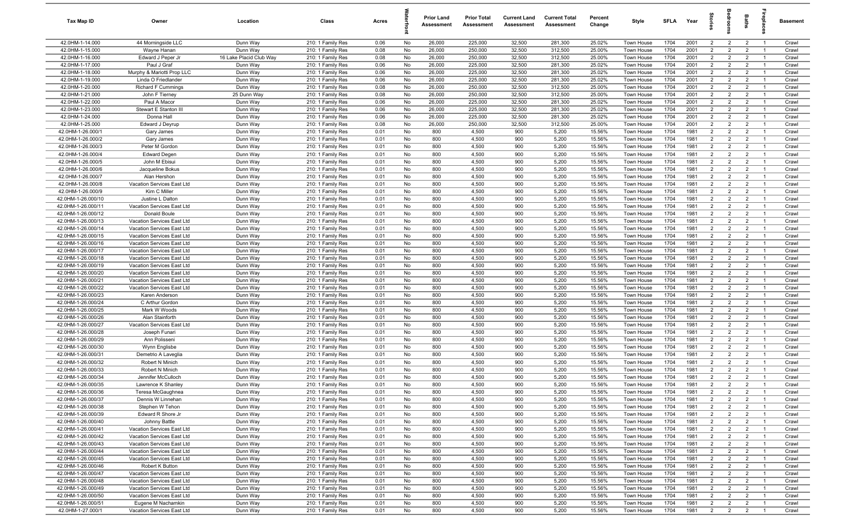| Tax Map ID                               | Owner                                                    | Location                | Class                                  | Acres        |          | <b>Prior Land</b><br>Assessment | <b>Prior Total</b><br>Assessment | <b>Current Land</b><br>Assessment | <b>Current Total</b><br>Assessment | Percent<br>Change | Style                    | SFLA         | Year         | $\vec{e}$                        | ā                                | <b>Baths</b>                     | ireplace                         | Basement       |
|------------------------------------------|----------------------------------------------------------|-------------------------|----------------------------------------|--------------|----------|---------------------------------|----------------------------------|-----------------------------------|------------------------------------|-------------------|--------------------------|--------------|--------------|----------------------------------|----------------------------------|----------------------------------|----------------------------------|----------------|
| 42.0HM-1-14.000                          | 44 Morningside LLC                                       | Dunn Way                | 210: 1 Family Res                      | 0.06         | No       | 26,000                          | 225,000                          | 32,500                            | 281,300                            | 25.02%            | Town House               | 1704         | 2001         | $\overline{2}$                   | $\overline{2}$                   | $\overline{2}$                   | $\overline{1}$                   | Crawl          |
| 42.0HM-1-15.000                          | Wavne Hanan                                              | Dunn Way                | 210: 1 Family Res                      | 0.08         | No       | 26,000                          | 250,000                          | 32,500                            | 312,500                            | 25.00%            | Town House               | 1704         | 2001         | 2                                | $\overline{2}$                   | $\overline{2}$                   | $\overline{1}$                   | Crawl          |
| 42.0HM-1-16.000                          | Edward J Peper Jr                                        | 16 Lake Placid Club Way | 210: 1 Family Res                      | 0.08         | No       | 26,000                          | 250,000                          | 32,500                            | 312,500                            | 25.00%            | Town House               | 1704         | 2001         | 2                                | $\overline{2}$                   | $\overline{2}$                   | $\overline{1}$                   | Crawl          |
| 42.0HM-1-17.000                          | Paul J Graf                                              | Dunn Way                | 210: 1 Family Res                      | 0.06         | No       | 26,000                          | 225,000                          | 32,500                            | 281,300                            | 25.02%            | Town House               | 1704         | 2001         | $\overline{2}$                   | $\overline{2}$                   | $\overline{2}$                   | - 1                              | Crawl          |
| 42.0HM-1-18.000                          | Murphy & Mariotti Prop LLC                               | Dunn Way                | 210: 1 Family Res                      | 0.06         | No       | 26,000                          | 225,000                          | 32,500                            | 281,300                            | 25.02%            | Town House               | 1704         | 2001         | $\overline{2}$                   | $\overline{2}$                   | $\overline{2}$                   | - 1                              | Crawl          |
| 42.0HM-1-19.000                          | Linda O Friedlander                                      | Dunn Way                | 210: 1 Family Res                      | 0.06         | No       | 26,000                          | 225,000                          | 32,500                            | 281,300                            | 25.02%            | Town House               | 1704         | 2001         | $\overline{2}$                   | $\overline{2}$                   | $\overline{2}$                   |                                  | Crawl          |
| 42.0HM-1-20.000                          | <b>Richard F Cummings</b>                                | Dunn Way                | 210: 1 Family Res                      | 0.08         | No       | 26,000                          | 250,000                          | 32,500                            | 312,500                            | 25.00%            | Town House               | 1704         | 2001         | $2^{\circ}$                      | $\overline{2}$                   | $\overline{2}$                   | $\overline{1}$                   | Crawl          |
| 42.0HM-1-21.000                          | John F Tierney                                           | 25 Dunn Way             | 210: 1 Family Res                      | 0.08         | No       | 26,000                          | 250,000                          | 32,500                            | 312,500                            | 25.00%            | <b>Town House</b>        | 1704         | 2001         | 2                                | $\overline{2}$                   | $\overline{2}$                   | -1                               | Crawl          |
| 42.0HM-1-22.000                          | Paul A Macor                                             | Dunn Way                | 210: 1 Family Res                      | 0.06         | No       | 26,000                          | 225,000                          | 32,500                            | 281,300                            | 25.02%            | Town House               | 1704         | 2001         | $\overline{2}$                   | $\overline{2}$                   | $\overline{2}$                   | $\overline{1}$                   | Crawl          |
| 42.0HM-1-23.000                          | Stewart E Stanton III                                    | Dunn Way                | 210: 1 Family Res                      | 0.06         | No       | 26,000                          | 225,000                          | 32,500                            | 281,300                            | 25.02%            | Town House               | 1704         | 2001         | $\overline{2}$                   | $\overline{2}$                   | $\overline{2}$                   | $\overline{1}$                   | Crawl          |
| 42.0HM-1-24.000                          | Donna Hall                                               | Dunn Way                | 210: 1 Family Res                      | 0.06         | No       | 26,000                          | 225,000                          | 32,500                            | 281,300                            | 25.02%            | Town House               | 1704         | 2001         | $\overline{2}$                   | $\overline{2}$                   | $\overline{2}$                   | $\overline{1}$                   | Crawl          |
| 42.0HM-1-25.000<br>42.0HM-1-26.000/1     | Edward J Deyrup                                          | Dunn Way                | 210: 1 Family Res                      | 0.08         | No<br>No | 26,000                          | 250,000                          | 32,500                            | 312,500                            | 25.00%<br>15.56%  | Town House               | 1704<br>1704 | 2001<br>1981 | $\overline{2}$<br>$\overline{2}$ | $\overline{2}$<br>$\overline{2}$ | $\overline{2}$<br>$\overline{2}$ | $\overline{1}$<br>$\overline{1}$ | Crawl<br>Crawl |
| 42.0HM-1-26.000/2                        | Gary James<br>Gary James                                 | Dunn Way<br>Dunn Way    | 210: 1 Family Res<br>210: 1 Family Res | 0.01<br>0.01 | No       | 800<br>800                      | 4,500<br>4,500                   | 900<br>900                        | 5,200<br>5,200                     | 15.56%            | Town House<br>Town House | 1704         | 1981         | $\overline{2}$                   | $\overline{2}$                   | $\overline{2}$                   | $\overline{1}$                   | Crawl          |
| 42.0HM-1-26.000/3                        | Peter M Gordon                                           | Dunn Way                | 210: 1 Family Res                      | 0.01         | No       | 800                             | 4,500                            | 900                               | 5,200                              | 15.56%            | Town House               | 1704         | 1981         | $\overline{2}$                   | $\overline{2}$                   | $\overline{2}$                   | $\overline{1}$                   | Crawl          |
| 42.0HM-1-26.000/4                        | <b>Edward Degen</b>                                      | Dunn Way                | 210: 1 Family Res                      | 0.01         | No       | 800                             | 4,500                            | 900                               | 5,200                              | 15.56%            | Town House               | 1704         | 1981         | $\overline{2}$                   | $\overline{2}$                   | $\overline{2}$                   | $\overline{1}$                   | Crawl          |
| 42.0HM-1-26.000/5                        | John M Ebisui                                            | Dunn Way                | 210: 1 Family Res                      | 0.01         | No       | 800                             | 4,500                            | 900                               | 5,200                              | 15.56%            | Town House               | 1704         | 1981         | $\overline{2}$                   | $\overline{2}$                   | $\overline{2}$                   | -1                               | Crawl          |
| 42.0HM-1-26.000/6                        | Jacqueline Bokus                                         | Dunn Way                | 210: 1 Family Res                      | 0.01         | No       | 800                             | 4,500                            | 900                               | 5,200                              | 15.56%            | Town House               | 1704         | 1981         | $2^{\circ}$                      | $\overline{2}$                   | $\overline{2}$                   | $\overline{1}$                   | Crawl          |
| 42.0HM-1-26.000/7                        | Alan Hershon                                             | Dunn Way                | 210: 1 Family Res                      | 0.01         | No       | 800                             | 4,500                            | 900                               | 5,200                              | 15.56%            | Town House               | 1704         | 1981         | $\overline{2}$                   | $\overline{2}$                   | $\overline{2}$                   |                                  | Crawl          |
| 42.0HM-1-26.000/8                        | Vacation Services East Ltd                               | Dunn Way                | 210: 1 Family Res                      | 0.01         | No       | 800                             | 4,500                            | 900                               | 5,200                              | 15.56%            | Town House               | 1704         | 1981         | $\overline{2}$                   | $\overline{2}$                   | $\overline{2}$                   | $\overline{1}$                   | Crawl          |
| 42.0HM-1-26.000/9                        | Kim C Miller                                             | Dunn Way                | 210: 1 Family Res                      | 0.01         | No       | 800                             | 4,500                            | 900                               | 5,200                              | 15.56%            | <b>Town House</b>        | 1704         | 1981         | 2                                | $\overline{2}$                   | $\overline{2}$                   | $\overline{1}$                   | Crawl          |
| 42.0HM-1-26.000/10                       | Justine L Dalton                                         | Dunn Way                | 210: 1 Family Res                      | 0.01         | No       | 800                             | 4,500                            | 900                               | 5,200                              | 15.56%            | Town House               | 1704         | 1981         | $\overline{2}$                   | $\overline{2}$                   | $\overline{2}$                   | $\overline{1}$                   | Crawl          |
| 42.0HM-1-26.000/11                       | Vacation Services East Ltd                               | Dunn Way                | 210: 1 Family Res                      | 0.01         | No       | 800                             | 4,500                            | 900                               | 5,200                              | 15.56%            | <b>Town House</b>        | 1704         | 1981         | $\overline{2}$                   | $\overline{2}$                   | $\overline{2}$                   | $\overline{1}$                   | Crawl          |
| 42.0HM-1-26.000/12                       | Donald Boule                                             | Dunn Way                | 210: 1 Family Res                      | 0.01         | No       | 800                             | 4,500                            | 900                               | 5,200                              | 15.56%            | Town House               | 1704         | 1981         | 2                                | $\overline{2}$                   | $\overline{2}$                   | $\overline{1}$                   | Crawl          |
| 42.0HM-1-26.000/13                       | Vacation Services East Ltd                               | Dunn Way                | 210: 1 Family Res                      | 0.01         | No       | 800                             | 4,500                            | 900                               | 5,200                              | 15.56%            | Town House               | 1704         | 1981         | $\overline{2}$                   | $\overline{2}$                   | $\overline{2}$                   | $\overline{1}$                   | Crawl          |
| 42.0HM-1-26.000/14                       | Vacation Services East Ltd                               | Dunn Way                | 210: 1 Family Res                      | 0.01         | No       | 800                             | 4,500                            | 900                               | 5,200                              | 15.56%            | Town House               | 1704         | 1981         | $\overline{2}$                   | $\overline{2}$                   | $\overline{2}$                   | $\overline{1}$                   | Crawl          |
| 42.0HM-1-26.000/15                       | Vacation Services East Ltd                               | Dunn Way                | 210: 1 Family Res                      | 0.01         | No       | 800                             | 4,500                            | 900                               | 5,200                              | 15.56%            | Town House               | 1704         | 1981         | $\overline{2}$                   | 2                                | $\overline{2}$                   | $\overline{1}$                   | Crawl          |
| 42.0HM-1-26.000/16                       | Vacation Services East Ltd                               | Dunn Way                | 210: 1 Family Res                      | 0.01         | No       | 800                             | 4,500                            | 900                               | 5,200                              | 15.56%            | Town House               | 1704         | 1981         | $\overline{2}$                   | $\overline{2}$                   | $\overline{2}$                   | -1                               | Crawl          |
| 42.0HM-1-26.000/17<br>42.0HM-1-26.000/18 | Vacation Services East Ltd<br>Vacation Services East Ltd | Dunn Way<br>Dunn Way    | 210: 1 Family Res<br>210: 1 Family Res | 0.01<br>0.01 | No<br>No | 800<br>800                      | 4,500<br>4,500                   | 900<br>900                        | 5,200<br>5,200                     | 15.56%<br>15.56%  | Town House<br>Town House | 1704<br>1704 | 1981<br>1981 | $\overline{2}$<br>$\overline{2}$ | $\overline{2}$<br>$\overline{2}$ | $\overline{2}$<br>$\overline{2}$ | $\overline{1}$<br>-1             | Crawl<br>Crawl |
| 42.0HM-1-26.000/19                       | Vacation Services East Ltd                               | Dunn Way                | 210: 1 Family Res                      | 0.01         | No       | 800                             | 4,500                            | 900                               | 5,200                              | 15.56%            | Town House               | 1704         | 1981         | $2^{\circ}$                      | $\overline{2}$                   | $\overline{2}$                   | $\overline{1}$                   | Crawl          |
| 42.0HM-1-26.000/20                       | Vacation Services East Ltd                               | Dunn Way                | 210: 1 Family Res                      | 0.01         | No       | 800                             | 4,500                            | 900                               | 5,200                              | 15.56%            | Town House               | 1704         | 1981         | 2                                | $\overline{2}$                   | $\overline{2}$                   | $\overline{1}$                   | Crawl          |
| 42.0HM-1-26.000/21                       | Vacation Services East Ltd                               | Dunn Way                | 210: 1 Family Res                      | 0.01         | No       | 800                             | 4,500                            | 900                               | 5,200                              | 15.56%            | Town House               | 1704         | 1981         | $\overline{2}$                   | $\overline{2}$                   | $\overline{2}$                   | $\overline{1}$                   | Crawl          |
| 42.0HM-1-26.000/22                       | Vacation Services East Ltd                               | Dunn Way                | 210: 1 Family Res                      | 0.01         | No       | 800                             | 4,500                            | 900                               | 5,200                              | 15.56%            | Town House               | 1704         | 1981         | 2                                | $\overline{2}$                   | $\overline{2}$                   | $\overline{1}$                   | Crawl          |
| 42.0HM-1-26.000/23                       | Karen Anderson                                           | Dunn Way                | 210: 1 Family Res                      | 0.01         | No       | 800                             | 4,500                            | 900                               | 5,200                              | 15.56%            | Town House               | 1704         | 1981         | $\overline{2}$                   | $\overline{2}$                   | $\overline{2}$                   | $\overline{1}$                   | Crawl          |
| 42.0HM-1-26.000/24                       | C Arthur Gordon                                          | Dunn Way                | 210: 1 Family Res                      | 0.01         | No       | 800                             | 4,500                            | 900                               | 5,200                              | 15.56%            | Town House               | 1704         | 1981         | $\overline{2}$                   | $\overline{2}$                   | $\overline{2}$                   | $\overline{1}$                   | Crawl          |
| 42.0HM-1-26.000/25                       | Mark W Woods                                             | Dunn Way                | 210: 1 Family Res                      | 0.01         | No       | 800                             | 4,500                            | 900                               | 5,200                              | 15.56%            | Town House               | 1704         | 1981         | $\overline{2}$                   | $\overline{2}$                   | $\overline{2}$                   | $\overline{1}$                   | Crawl          |
| 42.0HM-1-26.000/26                       | Alan Stainforth                                          | Dunn Way                | 210: 1 Family Res                      | 0.01         | No       | 800                             | 4,500                            | 900                               | 5,200                              | 15.56%            | Town House               | 1704         | 1981         | $\overline{2}$                   | $\overline{2}$                   | $\overline{2}$                   | $\overline{1}$                   | Crawl          |
| 42.0HM-1-26.000/27                       | Vacation Services East Ltd                               | Dunn Way                | 210: 1 Family Res                      | 0.01         | No       | 800                             | 4,500                            | 900                               | 5,200                              | 15.56%            | Town House               | 1704         | 1981         | $\overline{2}$                   | $\overline{2}$                   | $\overline{2}$                   | $\overline{1}$                   | Crawl          |
| 42.0HM-1-26.000/28                       | Joseph Funari                                            | Dunn Way                | 210: 1 Family Res                      | 0.01         | No       | 800                             | 4,500                            | 900                               | 5,200                              | 15.56%            | Town House               | 1704         | 1981         | $\overline{2}$                   | 2                                | $\overline{2}$                   | $\overline{1}$                   | Crawl          |
| 42.0HM-1-26.000/29                       | Ann Polisseni                                            | Dunn Way                | 210: 1 Family Res                      | 0.01         | No       | 800                             | 4,500                            | 900                               | 5,200                              | 15.56%            | Town House               | 1704         | 1981         | $\overline{2}$                   | $\overline{2}$                   | $\overline{2}$                   | $\overline{1}$                   | Crawl          |
| 42.0HM-1-26.000/30                       | Wynn Englisbe                                            | Dunn Way                | 210: 1 Family Res                      | 0.01         | No       | 800                             | 4,500                            | 900                               | 5,200                              | 15.56%            | Town House               | 1704         | 1981         | $\overline{2}$                   | $\overline{2}$                   | $\overline{2}$                   | - 1                              | Crawl          |
| 42.0HM-1-26.000/31<br>42.0HM-1-26.000/32 | Demetrio A Laveglia<br>Robert N Minich                   | Dunn Way                | 210: 1 Family Res                      | 0.01         | No       | 800<br>800                      | 4,500                            | 900<br>900                        | 5,200                              | 15.56%            | Town House               | 1704<br>1704 | 1981<br>1981 | $\overline{2}$<br>$\overline{2}$ | $\overline{2}$<br>$\overline{2}$ | $\overline{2}$<br>$\overline{2}$ | - 1                              | Crawl          |
| 42.0HM-1-26.000/33                       | Robert N Minich                                          | Dunn Way<br>Dunn Way    | 210: 1 Family Res<br>210: 1 Family Res | 0.01<br>0.01 | No<br>No | 800                             | 4,500<br>4,500                   | 900                               | 5,200<br>5,200                     | 15.56%<br>15.56%  | Town House<br>Town House | 1704         | 1981         | $\overline{2}$                   | $\overline{2}$                   | $\overline{2}$                   |                                  | Crawl<br>Crawl |
| 42.0HM-1-26.000/34                       | Jennifer McCulloch                                       | Dunn Way                | 210: 1 Family Res                      | 0.01         | No       | 800                             | 4,500                            | 900                               | 5,200                              | 15.56%            | Town House               | 1704         | 1981         | $\overline{2}$                   | $\overline{2}$                   | $\overline{2}$                   | $\overline{1}$                   | Crawl          |
| 42.0HM-1-26.000/35                       | Lawrence K Shanley                                       | Dunn Way                | 210: 1 Family Res                      | 0.01         | No       | 800                             | 4,500                            | 900                               | 5,200                              | 15.56%            | Town House               | 1704         | 1981         | $\overline{2}$                   | 2                                | $\overline{2}$                   |                                  | Crawl          |
| 42.0HM-1-26.000/36                       | Teresa McGaughnea                                        | Dunn Way                | 210: 1 Family Res                      | 0.01         | No       | 800                             | 4,500                            | 900                               | 5,200                              | 15.56%            | Town House               | 1704         | 1981         | $\overline{2}$                   | 2                                | $\overline{2}$                   | $\overline{1}$                   | Crawl          |
| 42.0HM-1-26.000/37                       | Dennis W Linnehan                                        | Dunn Way                | 210: 1 Family Res                      | 0.01         | No       | 800                             | 4,500                            | 900                               | 5,200                              | 15.56%            | Town House               | 1704         | 1981         | $\overline{2}$                   | $\overline{2}$                   | $\overline{2}$                   | $\overline{1}$                   | Crawl          |
| 42.0HM-1-26.000/38                       | Stephen W Tehon                                          | Dunn Way                | 210: 1 Family Res                      | 0.01         | No       | 800                             | 4,500                            | 900                               | 5,200                              | 15.56%            | Town House               | 1704         | 1981         | $\overline{2}$                   | $\overline{2}$                   | $\overline{2}$                   | $\overline{1}$                   | Crawl          |
| 42.0HM-1-26.000/39                       | Edward R Shore Jr                                        | Dunn Way                | 210: 1 Family Res                      | 0.01         | No       | 800                             | 4,500                            | 900                               | 5,200                              | 15.56%            | Town House               | 1704         | 1981         | $\overline{2}$                   | $\overline{2}$                   | $\overline{2}$                   | $\overline{1}$                   | Crawl          |
| 42.0HM-1-26.000/40                       | Johnny Battle                                            | Dunn Way                | 210: 1 Family Res                      | 0.01         | No       | 800                             | 4,500                            | 900                               | 5,200                              | 15.56%            | Town House               | 1704         | 1981         | $\overline{2}$                   | $\overline{2}$                   | $\overline{2}$                   | $\overline{1}$                   | Crawl          |
| 42.0HM-1-26.000/41                       | Vacation Services East Ltd                               | Dunn Way                | 210: 1 Family Res                      | 0.01         | No       | 800                             | 4,500                            | 900                               | 5,200                              | 15.56%            | Town House               | 1704         | 1981         | $\overline{2}$                   | $\overline{2}$                   | $\overline{2}$                   | $\overline{1}$                   | Crawl          |
| 42.0HM-1-26.000/42                       | Vacation Services East Ltd                               | Dunn Way                | 210: 1 Family Res                      | 0.01         | No       | 800                             | 4,500                            | 900                               | 5,200                              | 15.56%            | Town House               | 1704         | 1981         | $\overline{2}$                   | $\overline{2}$                   | $\overline{2}$                   | $\overline{1}$                   | Crawl          |
| 42.0HM-1-26.000/43                       | Vacation Services East Ltd                               | Dunn Way                | 210: 1 Family Res                      | 0.01         | No       | 800                             | 4,500                            | 900                               | 5,200                              | 15.56%            | Town House               | 1704         | 1981         | $\overline{2}$                   | $\overline{2}$                   | $\overline{2}$                   | $\overline{1}$                   | Crawl          |
| 42.0HM-1-26.000/44                       | Vacation Services East Ltd                               | Dunn Way                | 210: 1 Family Res                      | 0.01         | No       | 800                             | 4,500                            | 900                               | 5,200                              | 15.56%            | Town House               | 1704         | 1981         | $\overline{2}$                   | $\overline{2}$                   | $\overline{2}$                   | $\overline{1}$                   | Crawl          |
| 42.0HM-1-26.000/45                       | Vacation Services East Ltd                               | Dunn Way                | 210: 1 Family Res                      | 0.01         | No       | 800                             | 4,500                            | 900                               | 5,200                              | 15.56%            | Town House               | 1704         | 1981         | $\overline{2}$                   | $\overline{2}$                   | $\overline{2}$                   | $\overline{1}$                   | Crawl          |
| 42.0HM-1-26.000/46                       | Robert K Button                                          | Dunn Way                | 210: 1 Family Res                      | 0.01         | No       | 800                             | 4,500                            | 900                               | 5,200                              | 15.56%            | Town House               | 1704         | 1981         | $\overline{2}$                   | $\overline{2}$                   | $\overline{2}$                   | $\overline{1}$                   | Crawl          |
| 42.0HM-1-26.000/47<br>42.0HM-1-26.000/48 | Vacation Services East Ltd<br>Vacation Services East Ltd | Dunn Way<br>Dunn Way    | 210: 1 Family Res<br>210: 1 Family Res | 0.01<br>0.01 | No<br>No | 800<br>800                      | 4,500<br>4,500                   | 900<br>900                        | 5,200<br>5,200                     | 15.56%<br>15.56%  | Town House<br>Town House | 1704<br>1704 | 1981<br>1981 | $\overline{2}$<br>$\overline{2}$ | $\overline{2}$<br>$\overline{2}$ | $\overline{2}$<br>$\overline{2}$ | $\overline{1}$<br>$\overline{1}$ | Crawl<br>Crawl |
| 42.0HM-1-26.000/49                       | Vacation Services East Ltd                               | Dunn Way                | 210: 1 Family Res                      | 0.01         | No       | 800                             | 4,500                            | 900                               | 5,200                              | 15.56%            | Town House               | 1704         | 1981         | $\overline{2}$                   | $\overline{2}$                   | $\overline{2}$                   | $\overline{1}$                   | Crawl          |
| 42.0HM-1-26.000/50                       | Vacation Services East Ltd                               | Dunn Way                | 210: 1 Family Res                      | 0.01         | No       | 800                             | 4,500                            | 900                               | 5,200                              | 15.56%            | Town House               | 1704         | 1981         | $\overline{2}$                   | $\overline{2}$                   | $\overline{2}$                   | $\overline{1}$                   | Crawl          |
| 42.0HM-1-26.000/51                       | Eugene M Nachamkin                                       | Dunn Way                | 210: 1 Family Res                      | 0.01         | No       | 800                             | 4,500                            | 900                               | 5,200                              | 15.56%            | Town House               | 1704         | 1981         | $\overline{2}$                   | $\overline{2}$                   | $\overline{2}$                   | $\overline{1}$                   | Crawl          |
| 42.0HM-1-27.000/1                        | Vacation Services East Ltd                               | Dunn Way                | 210: 1 Family Res                      | 0.01         | No       | 800                             | 4,500                            | 900                               | 5,200                              | 15.56%            | Town House               | 1704         | 1981         | $\overline{2}$                   | $\overline{2}$                   | $\overline{2}$                   | $\overline{1}$                   | Crawl          |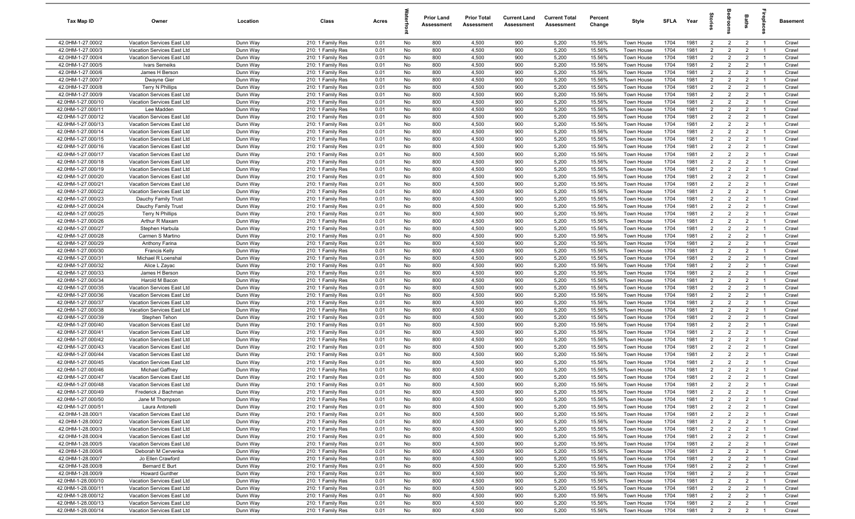| Tax Map ID                               | Owner                                                    | Location             | Class                                  | Acres        |          | <b>Prior Land</b><br>Assessment | <b>Prior Total</b><br>Assessment | <b>Current Land</b><br>Assessment | <b>Current Total</b><br>Assessment | Percent<br>Change | Style                    | SFLA         | Year         | $\vec{a}$                        | ē                                | <b>Baths</b>                     | irepla                           | Basement       |
|------------------------------------------|----------------------------------------------------------|----------------------|----------------------------------------|--------------|----------|---------------------------------|----------------------------------|-----------------------------------|------------------------------------|-------------------|--------------------------|--------------|--------------|----------------------------------|----------------------------------|----------------------------------|----------------------------------|----------------|
| 42.0HM-1-27.000/2                        | Vacation Services East Ltd                               | Dunn Way             | 210: 1 Family Res                      | 0.01         | No       | 800                             | 4,500                            | 900                               | 5,200                              | 15.56%            | Town House               | 1704         | 1981         | $\overline{2}$                   | $\overline{2}$                   | $\overline{2}$                   | $\overline{1}$                   | Crawl          |
| 42.0HM-1-27.000/3                        | Vacation Services East Ltd                               | Dunn Way             | 210: 1 Family Res                      | 0.01         | No       | 800                             | 4,500                            | 900                               | 5,200                              | 15.56%            | Town House               | 1704         | 1981         | 2                                | 2                                | $\overline{2}$                   | $\overline{1}$                   | Crawl          |
| 42.0HM-1-27.000/4                        | Vacation Services East Ltd                               | Dunn Way             | 210: 1 Family Res                      | 0.01         | No       | 800                             | 4,500                            | 900                               | 5,200                              | 15.56%            | Town House               | 1704         | 1981         | $\overline{2}$                   | $\overline{2}$                   | $\overline{2}$                   | $\overline{1}$                   | Crawl          |
| 42.0HM-1-27.000/5                        | Ivars Semeiks                                            | Dunn Way             | 210: 1 Family Res                      | 0.01         | No       | 800                             | 4,500                            | 900                               | 5,200                              | 15.56%            | Town House               | 1704         | 1981         | $\overline{2}$                   | $\overline{2}$                   | $\overline{2}$                   | - 1                              | Crawl          |
| 42.0HM-1-27.000/6                        | James H Berson                                           | Dunn Way             | 210: 1 Family Res                      | 0.01         | No       | 800                             | 4,500                            | 900                               | 5,200                              | 15.56%            | Town House               | 1704         | 1981         | $\overline{2}$                   | $\overline{2}$                   | $\overline{2}$                   | $\overline{1}$                   | Crawl          |
| 42.0HM-1-27.000/7                        | Dwayne Gier                                              | Dunn Way             | 210: 1 Family Res                      | 0.01         | No       | 800                             | 4,500                            | 900                               | 5,200                              | 15.56%            | Town House               | 1704         | 1981         | $\overline{2}$                   | $\overline{2}$                   | $\overline{2}$                   |                                  | Crawl          |
| 42.0HM-1-27.000/8                        | <b>Terry N Phillips</b>                                  | Dunn Way             | 210: 1 Family Res                      | 0.01         | No       | 800                             | 4,500                            | 900                               | 5,200                              | 15.56%            | Town House               | 1704         | 1981         | $\overline{2}$                   | $\overline{2}$                   | $\overline{2}$                   | $\overline{1}$                   | Crawl          |
| 42.0HM-1-27.000/9                        | Vacation Services East Ltd                               | Dunn Way             | 210: 1 Family Res                      | 0.01         | No       | 800                             | 4,500                            | 900                               | 5,200                              | 15.56%            | <b>Town House</b>        | 1704         | 1981         | $\overline{2}$                   | $\overline{2}$                   | $\overline{2}$                   | -1                               | Crawl          |
| 42.0HM-1-27.000/10                       | Vacation Services East Ltd                               | Dunn Way             | 210: 1 Family Res                      | 0.01         | No       | 800                             | 4,500                            | 900                               | 5,200                              | 15.56%            | Town House               | 1704         | 1981         | $\overline{2}$                   | $\overline{2}$                   | $\overline{2}$                   | $\overline{1}$                   | Crawl          |
| 42.0HM-1-27.000/11                       | Lee Madden                                               | Dunn Way             | 210: 1 Family Res                      | 0.01         | No       | 800                             | 4,500                            | 900                               | 5,200                              | 15.56%            | Town House               | 1704         | 1981         | $\overline{2}$                   | $\overline{2}$                   | $\overline{2}$                   | $\overline{1}$                   | Crawl          |
| 42.0HM-1-27.000/12                       | Vacation Services East Ltd                               | Dunn Way             | 210: 1 Family Res                      | 0.01         | No       | 800                             | 4,500                            | 900                               | 5,200                              | 15.56%            | Town House               | 1704         | 1981         | $\overline{2}$                   | $\overline{2}$                   | $\overline{2}$                   | $\overline{1}$                   | Crawl          |
| 42.0HM-1-27.000/13                       | Vacation Services East Ltd                               | Dunn Way             | 210: 1 Family Res                      | 0.01         | No       | 800                             | 4,500                            | 900                               | 5,200                              | 15.56%            | Town House               | 1704         | 1981<br>1981 | $\overline{2}$<br>2              | $\overline{2}$                   | $\overline{2}$                   | $\overline{1}$<br>$\overline{1}$ | Crawl          |
| 42.0HM-1-27.000/14<br>42.0HM-1-27.000/15 | Vacation Services East Ltd<br>Vacation Services East Ltd | Dunn Way<br>Dunn Way | 210: 1 Family Res<br>210: 1 Family Res | 0.01<br>0.01 | No<br>No | 800<br>800                      | 4,500<br>4,500                   | 900<br>900                        | 5,200<br>5,200                     | 15.56%<br>15.56%  | Town House<br>Town House | 1704<br>1704 | 1981         | $\overline{2}$                   | $\overline{2}$<br>$\overline{2}$ | $\overline{2}$<br>$\overline{2}$ | $\overline{1}$                   | Crawl<br>Crawl |
| 42.0HM-1-27.000/16                       | Vacation Services East Ltd                               | Dunn Way             | 210: 1 Family Res                      | 0.01         | No       | 800                             | 4,500                            | 900                               | 5,200                              | 15.56%            | Town House               | 1704         | 1981         | $\overline{2}$                   | $\overline{2}$                   | $\overline{2}$                   | $\overline{1}$                   | Crawl          |
| 42.0HM-1-27.000/17                       | Vacation Services East Ltd                               | Dunn Way             | 210: 1 Family Res                      | 0.01         | No       | 800                             | 4,500                            | 900                               | 5,200                              | 15.56%            | Town House               | 1704         | 1981         | $\overline{2}$                   | $\overline{2}$                   | $\overline{2}$                   | $\overline{1}$                   | Crawl          |
| 42.0HM-1-27.000/18                       | Vacation Services East Ltd                               | Dunn Way             | 210: 1 Family Res                      | 0.01         | No       | 800                             | 4,500                            | 900                               | 5,200                              | 15.56%            | Town House               | 1704         | 1981         | $\overline{2}$                   | $\overline{2}$                   | $\overline{2}$                   | -1                               | Crawl          |
| 42.0HM-1-27.000/19                       | Vacation Services East Ltd                               | Dunn Way             | 210: 1 Family Res                      | 0.01         | No       | 800                             | 4,500                            | 900                               | 5,200                              | 15.56%            | Town House               | 1704         | 1981         | $2^{\circ}$                      | $\overline{2}$                   | $\overline{2}$                   | $\overline{1}$                   | Crawl          |
| 42.0HM-1-27.000/20                       | Vacation Services East Ltd                               | Dunn Way             | 210: 1 Family Res                      | 0.01         | No       | 800                             | 4,500                            | 900                               | 5,200                              | 15.56%            | Town House               | 1704         | 1981         | $\overline{2}$                   | $\overline{2}$                   | $\overline{2}$                   |                                  | Crawl          |
| 42.0HM-1-27.000/21                       | Vacation Services East Ltd                               | Dunn Way             | 210: 1 Family Res                      | 0.01         | No       | 800                             | 4,500                            | 900                               | 5,200                              | 15.56%            | Town House               | 1704         | 1981         | $\overline{2}$                   | $\overline{2}$                   | $\overline{2}$                   | $\overline{1}$                   | Crawl          |
| 42.0HM-1-27.000/22                       | Vacation Services East Ltd                               | Dunn Way             | 210: 1 Family Res                      | 0.01         | No       | 800                             | 4,500                            | 900                               | 5,200                              | 15.56%            | Town House               | 1704         | 1981         | $\overline{2}$                   | $\overline{2}$                   | $\overline{2}$                   | $\overline{1}$                   | Crawl          |
| 42.0HM-1-27.000/23                       | Dauchy Family Trust                                      | Dunn Way             | 210: 1 Family Res                      | 0.01         | No       | 800                             | 4,500                            | 900                               | 5,200                              | 15.56%            | Town House               | 1704         | 1981         | $\overline{2}$                   | $\overline{2}$                   | $\overline{2}$                   | $\overline{1}$                   | Crawl          |
| 42.0HM-1-27.000/24                       | Dauchy Family Trust                                      | Dunn Way             | 210: 1 Family Res                      | 0.01         | No       | 800                             | 4,500                            | 900                               | 5,200                              | 15.56%            | <b>Town House</b>        | 1704         | 1981         | $\overline{2}$                   | $\overline{2}$                   | $\overline{2}$                   | $\overline{1}$                   | Crawl          |
| 42.0HM-1-27.000/25                       | <b>Terry N Phillips</b>                                  | Dunn Way             | 210: 1 Family Res                      | 0.01         | No       | 800                             | 4,500                            | 900                               | 5,200                              | 15.56%            | Town House               | 1704         | 1981         | 2                                | $\overline{2}$                   | $\overline{2}$                   | $\overline{1}$                   | Crawl          |
| 42.0HM-1-27.000/26                       | Arthur R Maxam                                           | Dunn Way             | 210: 1 Family Res                      | 0.01         | No       | 800                             | 4,500                            | 900                               | 5,200                              | 15.56%            | Town House               | 1704         | 1981         | $\overline{2}$                   | $\overline{2}$                   | $\overline{2}$                   | $\overline{1}$                   | Crawl          |
| 42.0HM-1-27.000/27                       | Stephen Harbula                                          | Dunn Way             | 210: 1 Family Res                      | 0.01         | No       | 800                             | 4,500                            | 900                               | 5,200                              | 15.56%            | Town House               | 1704         | 1981         | $\overline{2}$                   | $\overline{2}$                   | $\overline{2}$                   | $\overline{1}$                   | Crawl          |
| 42.0HM-1-27.000/28                       | Carmen S Martino                                         | Dunn Way             | 210: 1 Family Res                      | 0.01         | No       | 800                             | 4,500                            | 900                               | 5,200                              | 15.56%            | Town House               | 1704         | 1981         | $\overline{2}$                   | 2                                | $\overline{2}$                   | $\overline{1}$                   | Crawl          |
| 42.0HM-1-27.000/29                       | Anthony Farina                                           | Dunn Way             | 210: 1 Family Res                      | 0.01         | No       | 800                             | 4,500                            | 900                               | 5,200                              | 15.56%            | Town House               | 1704         | 1981         | $\overline{2}$                   | $\overline{2}$                   | $\overline{2}$                   | -1                               | Crawl          |
| 42.0HM-1-27.000/30                       | <b>Francis Kelly</b>                                     | Dunn Way             | 210: 1 Family Res                      | 0.01         | No       | 800                             | 4,500                            | 900                               | 5,200                              | 15.56%            | Town House               | 1704         | 1981         | $\overline{2}$                   | $\overline{2}$                   | $\overline{2}$                   | $\overline{1}$                   | Crawl          |
| 42.0HM-1-27.000/31                       | Michael R Loenshal                                       | Dunn Way             | 210: 1 Family Res                      | 0.01         | No       | 800                             | 4,500                            | 900                               | 5,200                              | 15.56%            | Town House               | 1704         | 1981         | $\overline{2}$                   | $\overline{2}$                   | $\overline{2}$                   | -1                               | Crawl          |
| 42.0HM-1-27.000/32                       | Alice L Zayac                                            | Dunn Way             | 210: 1 Family Res                      | 0.01         | No       | 800                             | 4,500                            | 900                               | 5,200                              | 15.56%            | Town House               | 1704         | 1981         | $2^{\circ}$                      | $\overline{2}$                   | $\overline{2}$                   | $\overline{1}$                   | Crawl          |
| 42.0HM-1-27.000/33                       | James H Berson                                           | Dunn Way             | 210: 1 Family Res                      | 0.01         | No       | 800                             | 4,500                            | 900                               | 5,200                              | 15.56%            | Town House               | 1704         | 1981         | $\overline{2}$                   | $\overline{2}$                   | $\overline{2}$                   | $\overline{1}$                   | Crawl          |
| 42.0HM-1-27.000/34                       | Harold M Bacon                                           | Dunn Way             | 210: 1 Family Res                      | 0.01         | No       | 800                             | 4,500                            | 900                               | 5,200                              | 15.56%            | Town House               | 1704         | 1981         | $\overline{2}$                   | $\overline{2}$                   | $\overline{2}$                   | $\overline{1}$                   | Crawl          |
| 42.0HM-1-27.000/35                       | Vacation Services East Ltd                               | Dunn Way             | 210: 1 Family Res                      | 0.01         | No       | 800                             | 4,500                            | 900                               | 5,200                              | 15.56%            | Town House               | 1704         | 1981         | $\overline{2}$                   | $\overline{2}$                   | $\overline{2}$                   | $\overline{1}$                   | Crawl          |
| 42.0HM-1-27.000/36                       | Vacation Services East Ltd                               | Dunn Way             | 210: 1 Family Res                      | 0.01         | No       | 800                             | 4,500                            | 900                               | 5,200                              | 15.56%            | Town House               | 1704         | 1981<br>1981 | $\overline{2}$<br>$\overline{2}$ | $\overline{2}$<br>$\overline{2}$ | $\overline{2}$                   | $\overline{1}$<br>$\overline{1}$ | Crawl          |
| 42.0HM-1-27.000/37<br>42.0HM-1-27.000/38 | Vacation Services East Ltd<br>Vacation Services East Ltd | Dunn Way<br>Dunn Way | 210: 1 Family Res<br>210: 1 Family Res | 0.01<br>0.01 | No<br>No | 800<br>800                      | 4,500<br>4,500                   | 900<br>900                        | 5,200<br>5,200                     | 15.56%<br>15.56%  | Town House<br>Town House | 1704<br>1704 | 1981         | $\overline{2}$                   | $\overline{2}$                   | $\overline{2}$<br>$\overline{2}$ | $\overline{1}$                   | Crawl<br>Crawl |
| 42.0HM-1-27.000/39                       | Stephen Tehon                                            | Dunn Way             | 210: 1 Family Res                      | 0.01         | No       | 800                             | 4,500                            | 900                               | 5,200                              | 15.56%            | Town House               | 1704         | 1981         | $\overline{2}$                   | $\overline{2}$                   | $\overline{2}$                   | $\overline{1}$                   | Crawl          |
| 42.0HM-1-27.000/40                       | Vacation Services East Ltd                               | Dunn Way             | 210: 1 Family Res                      | 0.01         | No       | 800                             | 4,500                            | 900                               | 5,200                              | 15.56%            | Town House               | 1704         | 1981         | $\overline{2}$                   | $\overline{2}$                   | $\overline{2}$                   | $\overline{1}$                   | Crawl          |
| 42.0HM-1-27.000/41                       | Vacation Services East Ltd                               | Dunn Way             | 210: 1 Family Res                      | 0.01         | No       | 800                             | 4,500                            | 900                               | 5,200                              | 15.56%            | Town House               | 1704         | 1981         | $\overline{2}$                   | 2                                | $\overline{2}$                   | $\overline{1}$                   | Crawl          |
| 42.0HM-1-27.000/42                       | Vacation Services East Ltd                               | Dunn Way             | 210: 1 Family Res                      | 0.01         | No       | 800                             | 4,500                            | 900                               | 5,200                              | 15.56%            | Town House               | 1704         | 1981         | $\overline{2}$                   | $\overline{2}$                   | $\overline{2}$                   | $\overline{1}$                   | Crawl          |
| 42.0HM-1-27.000/43                       | Vacation Services East Ltd                               | Dunn Way             | 210: 1 Family Res                      | 0.01         | No       | 800                             | 4,500                            | 900                               | 5,200                              | 15.56%            | Town House               | 1704         | 1981         | $\overline{2}$                   | $\overline{2}$                   | $\overline{2}$                   | $\overline{1}$                   | Crawl          |
| 42.0HM-1-27.000/44                       | Vacation Services East Ltd                               | Dunn Way             | 210: 1 Family Res                      | 0.01         | No       | 800                             | 4,500                            | 900                               | 5,200                              | 15.56%            | Town House               | 1704         | 1981         | $\overline{2}$                   | $\overline{2}$                   | $\overline{2}$                   | -1                               | Crawl          |
| 42.0HM-1-27.000/45                       | Vacation Services East Ltd                               | Dunn Way             | 210: 1 Family Res                      | 0.01         | No       | 800                             | 4,500                            | 900                               | 5,200                              | 15.56%            | Town House               | 1704         | 1981         | $\overline{2}$                   | $\overline{2}$                   | $\overline{2}$                   | - 1                              | Crawl          |
| 42.0HM-1-27.000/46                       | Michael Gaffney                                          | Dunn Way             | 210: 1 Family Res                      | 0.01         | No       | 800                             | 4,500                            | 900                               | 5,200                              | 15.56%            | Town House               | 1704         | 1981         | $\overline{2}$                   | $\overline{2}$                   | $\overline{2}$                   |                                  | Crawl          |
| 42.0HM-1-27.000/47                       | Vacation Services East Ltd                               | Dunn Way             | 210: 1 Family Res                      | 0.01         | No       | 800                             | 4,500                            | 900                               | 5,200                              | 15.56%            | Town House               | 1704         | 1981         | $\overline{2}$                   | $\overline{2}$                   | $\overline{2}$                   | $\overline{1}$                   | Crawl          |
| 42.0HM-1-27.000/48                       | Vacation Services East Ltd                               | Dunn Way             | 210: 1 Family Res                      | 0.01         | No       | 800                             | 4,500                            | 900                               | 5,200                              | 15.56%            | Town House               | 1704         | 1981         | $\overline{2}$                   | 2                                | $\overline{2}$                   |                                  | Crawl          |
| 42.0HM-1-27.000/49                       | Frederick J Bachman                                      | Dunn Way             | 210: 1 Family Res                      | 0.01         | No       | 800                             | 4,500                            | 900                               | 5,200                              | 15.56%            | Town House               | 1704         | 1981         | $\overline{2}$                   | 2                                | $\overline{2}$                   | $\overline{1}$                   | Crawl          |
| 42.0HM-1-27.000/50                       | Jane M Thompson                                          | Dunn Way             | 210: 1 Family Res                      | 0.01         | No       | 800                             | 4,500                            | 900                               | 5,200                              | 15.56%            | Town House               | 1704         | 1981         | $\overline{2}$                   | $\overline{2}$                   | $\overline{2}$                   | $\overline{1}$                   | Crawl          |
| 42.0HM-1-27.000/51                       | Laura Antonelli                                          | Dunn Way             | 210: 1 Family Res                      | 0.01         | No       | 800                             | 4,500                            | 900                               | 5,200                              | 15.56%            | Town House               | 1704         | 1981         | $\overline{2}$                   | $\overline{2}$                   | $\overline{2}$                   | $\overline{1}$                   | Crawl          |
| 42.0HM-1-28.000/1                        | Vacation Services East Ltd                               | Dunn Way             | 210: 1 Family Res                      | 0.01         | No       | 800                             | 4,500                            | 900                               | 5,200                              | 15.56%            | Town House               | 1704         | 1981         | $\overline{2}$                   | $\overline{2}$                   | $\overline{2}$                   | $\overline{1}$                   | Crawl          |
| 42.0HM-1-28.000/2                        | Vacation Services East Ltd                               | Dunn Way             | 210: 1 Family Res                      | 0.01         | No       | 800                             | 4,500                            | 900                               | 5,200                              | 15.56%            | Town House               | 1704         | 1981         | $\overline{2}$                   | $\overline{2}$                   | $\overline{2}$                   | $\overline{1}$                   | Crawl          |
| 42.0HM-1-28.000/3                        | Vacation Services East Ltd                               | Dunn Way             | 210: 1 Family Res                      | 0.01         | No       | 800                             | 4,500                            | 900                               | 5,200                              | 15.56%            | Town House               | 1704         | 1981         | $\overline{2}$                   | $\overline{2}$                   | $\overline{2}$                   | $\overline{1}$                   | Crawl          |
| 42.0HM-1-28.000/4                        | Vacation Services East Ltd                               | Dunn Way             | 210: 1 Family Res                      | 0.01         | No       | 800                             | 4,500                            | 900                               | 5,200                              | 15.56%            | Town House               | 1704         | 1981         | $\overline{2}$                   | $\overline{2}$                   | $\overline{2}$                   | $\overline{1}$                   | Crawl          |
| 42.0HM-1-28.000/5                        | Vacation Services East Ltd                               | Dunn Way             | 210: 1 Family Res                      | 0.01         | No       | 800                             | 4,500                            | 900                               | 5,200                              | 15.56%            | Town House               | 1704         | 1981         | $\overline{2}$                   | $\overline{2}$                   | $\overline{2}$                   | $\overline{1}$                   | Crawl          |
| 42.0HM-1-28.000/6                        | Deborah M Cervenka                                       | Dunn Way             | 210: 1 Family Res                      | 0.01         | No       | 800                             | 4,500                            | 900                               | 5,200                              | 15.56%            | Town House               | 1704         | 1981         | $\overline{2}$                   | $\overline{2}$                   | $\overline{2}$                   |                                  | Crawl          |
| 42.0HM-1-28.000/7<br>42.0HM-1-28.000/8   | Jo Ellen Crawford<br>Bernard E Burt                      | Dunn Way<br>Dunn Way | 210: 1 Family Res<br>210: 1 Family Res | 0.01<br>0.01 | No<br>No | 800<br>800                      | 4,500<br>4,500                   | 900<br>900                        | 5,200<br>5,200                     | 15.56%<br>15.56%  | Town House<br>Town House | 1704<br>1704 | 1981<br>1981 | $\overline{2}$<br>$\overline{2}$ | $\overline{2}$<br>$\overline{2}$ | $\overline{2}$<br>$\overline{2}$ | $\overline{1}$<br>$\overline{1}$ | Crawl<br>Crawl |
| 42.0HM-1-28.000/9                        | <b>Howard Gunther</b>                                    | Dunn Way             | 210: 1 Family Res                      | 0.01         | No       | 800                             | 4,500                            | 900                               | 5,200                              | 15.56%            | Town House               | 1704         | 1981         | $\overline{2}$                   | $\overline{2}$                   | $\overline{2}$                   | $\overline{1}$                   | Crawl          |
| 42.0HM-1-28.000/10                       | Vacation Services East Ltd                               | Dunn Way             | 210: 1 Family Res                      | 0.01         | No       | 800                             | 4,500                            | 900                               | 5,200                              | 15.56%            | Town House               | 1704         | 1981         | $\overline{2}$                   | $\overline{2}$                   | $\overline{2}$                   | $\overline{1}$                   | Crawl          |
| 42.0HM-1-28.000/11                       | Vacation Services East Ltd                               | Dunn Way             | 210: 1 Family Res                      | 0.01         | No       | 800                             | 4,500                            | 900                               | 5,200                              | 15.56%            | Town House               | 1704         | 1981         | $\overline{2}$                   | $\overline{2}$                   | $\overline{2}$                   | $\overline{1}$                   | Crawl          |
| 42.0HM-1-28.000/12                       | Vacation Services East Ltd                               | Dunn Way             | 210: 1 Family Res                      | 0.01         | No       | 800                             | 4,500                            | 900                               | 5,200                              | 15.56%            | Town House               | 1704         | 1981         | $\overline{2}$                   | $\overline{2}$                   | $\overline{2}$                   | $\overline{1}$                   | Crawl          |
| 42.0HM-1-28.000/13                       | Vacation Services East Ltd                               | Dunn Way             | 210: 1 Family Res                      | 0.01         | No       | 800                             | 4,500                            | 900                               | 5,200                              | 15.56%            | Town House               | 1704         | 1981         | $\overline{2}$                   | $\overline{2}$                   | $\overline{2}$                   | $\overline{1}$                   | Crawl          |
| 42.0HM-1-28.000/14                       | Vacation Services East Ltd                               | Dunn Way             | 210: 1 Family Res                      | 0.01         | No       | 800                             | 4,500                            | 900                               | 5,200                              | 15.56%            | Town House               | 1704         | 1981         | $\overline{2}$                   | $\overline{2}$                   | $\overline{2}$                   | $\overline{1}$                   | Crawl          |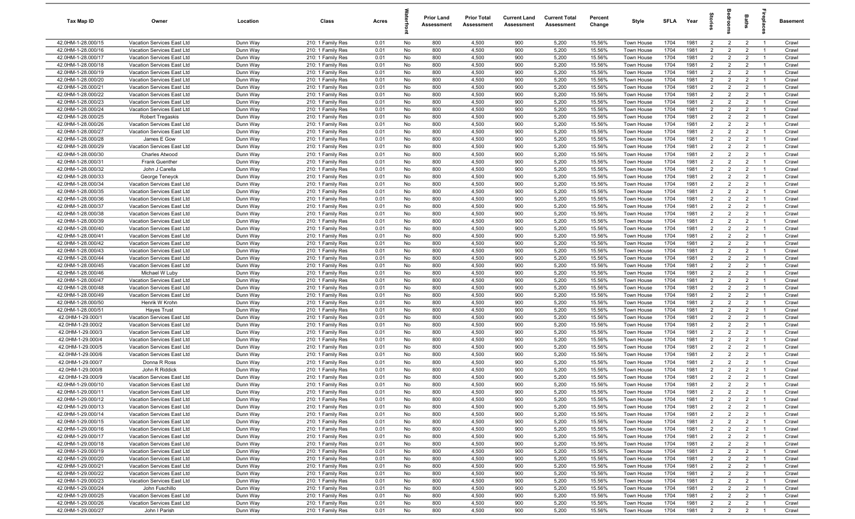| Tax Map ID                               | Owner                                                    | Location             | Class                                  | Acres        |          | <b>Prior Land</b><br>Assessment | <b>Prior Total</b><br>Assessment | <b>Current Land</b><br>Assessment | <b>Current Total</b><br>Assessment | Percent<br>Change | Style                    | SFLA         | Year         | $\vec{e}$                        | g                                | <b>Baths</b>                     | lrepla                           | Basement       |
|------------------------------------------|----------------------------------------------------------|----------------------|----------------------------------------|--------------|----------|---------------------------------|----------------------------------|-----------------------------------|------------------------------------|-------------------|--------------------------|--------------|--------------|----------------------------------|----------------------------------|----------------------------------|----------------------------------|----------------|
| 42.0HM-1-28.000/15                       | Vacation Services East Ltd                               | Dunn Way             | 210: 1 Family Res                      | 0.01         | No       | 800                             | 4,500                            | 900                               | 5,200                              | 15.56%            | Town House               | 1704         | 1981         | $\overline{2}$                   | $\overline{2}$                   | $\overline{2}$                   | $\overline{1}$                   | Crawl          |
| 42.0HM-1-28.000/16                       | Vacation Services East Ltd                               | Dunn Way             | 210: 1 Family Res                      | 0.01         | No       | 800                             | 4,500                            | 900                               | 5,200                              | 15.56%            | Town House               | 1704         | 1981         | $\overline{2}$                   | 2                                | $\overline{2}$                   | $\overline{1}$                   | Crawl          |
| 42.0HM-1-28.000/17                       | Vacation Services East Ltd                               | Dunn Way             | 210: 1 Family Res                      | 0.01         | No       | 800                             | 4,500                            | 900                               | 5,200                              | 15.56%            | Town House               | 1704         | 1981         | 2                                | $\overline{2}$                   | $\overline{2}$                   | $\overline{1}$                   | Crawl          |
| 42.0HM-1-28.000/18                       | Vacation Services East Ltd                               | Dunn Way             | 210: 1 Family Res                      | 0.01         | No       | 800                             | 4,500                            | 900                               | 5,200                              | 15.56%            | Town House               | 1704         | 1981         | $\overline{2}$                   | $\overline{2}$                   | $\overline{2}$                   | - 1                              | Crawl          |
| 42.0HM-1-28.000/19                       | Vacation Services East Ltd                               | Dunn Way             | 210: 1 Family Res                      | 0.01         | No       | 800                             | 4,500                            | 900                               | 5,200                              | 15.56%            | Town House               | 1704         | 1981         | $\overline{2}$                   | $\overline{2}$                   | $\overline{2}$                   | - 1                              | Crawl          |
| 42.0HM-1-28.000/20                       | Vacation Services East Ltd                               | Dunn Way             | 210: 1 Family Res                      | 0.01         | No       | 800                             | 4,500                            | 900                               | 5,200                              | 15.56%            | Town House               | 1704         | 1981         | $\overline{2}$                   | $\overline{2}$                   | $\overline{2}$                   |                                  | Crawl          |
| 42.0HM-1-28.000/21                       | Vacation Services East Ltd                               | Dunn Way             | 210: 1 Family Res                      | 0.01         | No       | 800                             | 4,500                            | 900                               | 5,200                              | 15.56%            | <b>Town House</b>        | 1704         | 1981         | $\overline{2}$                   | $\overline{2}$                   | $\overline{2}$                   | - 1                              | Crawl          |
| 42.0HM-1-28.000/22                       | Vacation Services East Ltd                               | Dunn Way             | 210: 1 Family Res                      | 0.01         | No       | 800                             | 4,500                            | 900                               | 5,200                              | 15.56%            | <b>Town House</b>        | 1704         | 1981         | $\overline{2}$                   | $\overline{2}$                   | $\overline{2}$                   | - 1                              | Crawl          |
| 42.0HM-1-28.000/23                       | Vacation Services East Ltd                               | Dunn Way             | 210: 1 Family Res                      | 0.01         | No       | 800                             | 4,500                            | 900                               | 5,200                              | 15.56%            | <b>Town House</b>        | 1704         | 1981         | $\overline{2}$                   | $\overline{2}$                   | $\overline{2}$                   | $\overline{1}$                   | Crawl          |
| 42.0HM-1-28.000/24                       | Vacation Services East Ltd                               | Dunn Way             | 210: 1 Family Res                      | 0.01         | No       | 800                             | 4,500                            | 900                               | 5,200                              | 15.56%            | Town House               | 1704         | 1981         | $\overline{2}$                   | $\overline{2}$                   | $\overline{2}$                   | $\overline{1}$                   | Crawl          |
| 42.0HM-1-28.000/25                       | <b>Robert Tregaskis</b>                                  | Dunn Way             | 210: 1 Family Res                      | 0.01         | No       | 800                             | 4,500                            | 900                               | 5,200                              | 15.56%            | Town House               | 1704         | 1981         | $\overline{2}$                   | $\overline{2}$                   | $\overline{2}$                   | $\overline{1}$                   | Crawl          |
| 42.0HM-1-28.000/26                       | Vacation Services East Ltd                               | Dunn Way             | 210: 1 Family Res                      | 0.01         | No       | 800                             | 4,500                            | 900                               | 5,200                              | 15.56%            | Town House               | 1704         | 1981         | $\overline{2}$                   | $\overline{2}$                   | $\overline{2}$                   | $\overline{1}$                   | Crawl          |
| 42.0HM-1-28.000/27                       | Vacation Services East Ltd                               | Dunn Way             | 210: 1 Family Res                      | 0.01         | No       | 800                             | 4,500                            | 900                               | 5,200                              | 15.56%            | Town House               | 1704         | 1981         | 2                                | $\overline{2}$                   | $\overline{2}$                   | $\overline{1}$                   | Crawl          |
| 42.0HM-1-28.000/28                       | James E Gow                                              | Dunn Way             | 210: 1 Family Res                      | 0.01         | No       | 800                             | 4,500                            | 900                               | 5,200                              | 15.56%            | Town House               | 1704         | 1981         | $\overline{2}$                   | $\overline{2}$                   | $\overline{2}$                   | $\overline{1}$                   | Crawl          |
| 42.0HM-1-28.000/29                       | Vacation Services East Ltd                               | Dunn Way             | 210: 1 Family Res                      | 0.01         | No<br>No | 800<br>800                      | 4,500                            | 900                               | 5,200                              | 15.56%            | Town House               | 1704<br>1704 | 1981<br>1981 | $\overline{2}$<br>$\overline{2}$ | $\overline{2}$<br>$\overline{2}$ | $\overline{2}$<br>$\overline{2}$ | - 1                              | Crawl          |
| 42.0HM-1-28.000/30<br>42.0HM-1-28.000/31 | Charles Atwood<br>Frank Guenther                         | Dunn Way<br>Dunn Way | 210: 1 Family Res<br>210: 1 Family Res | 0.01<br>0.01 | No       | 800                             | 4,500<br>4,500                   | 900<br>900                        | 5,200<br>5,200                     | 15.56%<br>15.56%  | Town House<br>Town House | 1704         | 1981         | $\overline{2}$                   | $\overline{2}$                   | $\overline{2}$                   | $\overline{1}$<br>-1             | Crawl<br>Crawl |
| 42.0HM-1-28.000/32                       | John J Carella                                           | Dunn Way             | 210: 1 Family Res                      | 0.01         | No       | 800                             | 4,500                            | 900                               | 5,200                              | 15.56%            | Town House               | 1704         | 1981         | $\overline{2}$                   | $\overline{2}$                   | $\overline{2}$                   | $\overline{1}$                   | Crawl          |
| 42.0HM-1-28.000/33                       | George Teneyck                                           | Dunn Way             | 210: 1 Family Res                      | 0.01         | No       | 800                             | 4,500                            | 900                               | 5,200                              | 15.56%            | <b>Town House</b>        | 1704         | 1981         | $\overline{2}$                   | $\overline{2}$                   | $\overline{2}$                   |                                  | Crawl          |
| 42.0HM-1-28.000/34                       | Vacation Services East Ltd                               | Dunn Way             | 210: 1 Family Res                      | 0.01         | No       | 800                             | 4,500                            | 900                               | 5,200                              | 15.56%            | Town House               | 1704         | 1981         | $\overline{2}$                   | $\overline{2}$                   | $\overline{2}$                   | - 1                              | Crawl          |
| 42.0HM-1-28.000/35                       | Vacation Services East Ltd                               | Dunn Way             | 210: 1 Family Res                      | 0.01         | No       | 800                             | 4,500                            | 900                               | 5,200                              | 15.56%            | Town House               | 1704         | 1981         | $\overline{2}$                   | $\overline{2}$                   | $\overline{2}$                   | $\overline{1}$                   | Crawl          |
| 42.0HM-1-28.000/36                       | Vacation Services East Ltd                               | Dunn Way             | 210: 1 Family Res                      | 0.01         | No       | 800                             | 4,500                            | 900                               | 5,200                              | 15.56%            | Town House               | 1704         | 1981         | $\overline{2}$                   | $\overline{2}$                   | $\overline{2}$                   | $\overline{1}$                   | Crawl          |
| 42.0HM-1-28.000/37                       | Vacation Services East Ltd                               | Dunn Way             | 210: 1 Family Res                      | 0.01         | No       | 800                             | 4,500                            | 900                               | 5,200                              | 15.56%            | Town House               | 1704         | 1981         | $\overline{2}$                   | $\overline{2}$                   | $\overline{2}$                   | $\overline{1}$                   | Crawl          |
| 42.0HM-1-28.000/38                       | Vacation Services East Ltd                               | Dunn Way             | 210: 1 Family Res                      | 0.01         | No       | 800                             | 4,500                            | 900                               | 5,200                              | 15.56%            | Town House               | 1704         | 1981         | 2                                | $\overline{2}$                   | $\overline{2}$                   | $\overline{1}$                   | Crawl          |
| 42.0HM-1-28.000/39                       | Vacation Services East Ltd                               | Dunn Way             | 210: 1 Family Res                      | 0.01         | No       | 800                             | 4,500                            | 900                               | 5,200                              | 15.56%            | Town House               | 1704         | 1981         | $\overline{2}$                   | $\overline{2}$                   | $\overline{2}$                   | $\overline{1}$                   | Crawl          |
| 42.0HM-1-28.000/40                       | Vacation Services East Ltd                               | Dunn Way             | 210: 1 Family Res                      | 0.01         | No       | 800                             | 4,500                            | 900                               | 5,200                              | 15.56%            | Town House               | 1704         | 1981         | 2                                | $\overline{2}$                   | $\overline{2}$                   | $\overline{1}$                   | Crawl          |
| 42.0HM-1-28.000/41                       | Vacation Services East Ltd                               | Dunn Way             | 210: 1 Family Res                      | 0.01         | No       | 800                             | 4,500                            | 900                               | 5,200                              | 15.56%            | Town House               | 1704         | 1981         | $\overline{2}$                   | 2                                | $\overline{2}$                   | $\overline{1}$                   | Crawl          |
| 42.0HM-1-28.000/42                       | Vacation Services East Ltd                               | Dunn Way             | 210: 1 Family Res                      | 0.01         | No       | 800                             | 4,500                            | 900                               | 5,200                              | 15.56%            | Town House               | 1704         | 1981         | $\overline{2}$                   | $\overline{2}$                   | $\overline{2}$                   | -1                               | Crawl          |
| 42.0HM-1-28.000/43                       | Vacation Services East Ltd                               | Dunn Way             | 210: 1 Family Res                      | 0.01         | No       | 800                             | 4,500                            | 900                               | 5,200                              | 15.56%            | Town House               | 1704         | 1981         | $\overline{2}$                   | $\overline{2}$                   | $\overline{2}$                   | $\overline{1}$                   | Crawl          |
| 42.0HM-1-28.000/44                       | Vacation Services East Ltd                               | Dunn Way             | 210: 1 Family Res                      | 0.01         | No       | 800                             | 4,500                            | 900                               | 5,200                              | 15.56%            | Town House               | 1704         | 1981         | $\overline{2}$                   | $\overline{2}$                   | $\overline{2}$                   | - 1                              | Crawl          |
| 42.0HM-1-28.000/45                       | Vacation Services East Ltd                               | Dunn Way             | 210: 1 Family Res                      | 0.01         | No       | 800                             | 4,500                            | 900                               | 5,200                              | 15.56%            | Town House               | 1704         | 1981         | $\overline{2}$                   | $\overline{2}$                   | $\overline{2}$                   | $\overline{1}$                   | Crawl          |
| 42.0HM-1-28.000/46                       | Michael W Luby                                           | Dunn Way             | 210: 1 Family Res                      | 0.01         | No       | 800                             | 4,500                            | 900                               | 5,200                              | 15.56%            | <b>Town House</b>        | 1704         | 1981         | $\overline{2}$                   | $\overline{2}$                   | $\overline{2}$                   | - 1                              | Crawl          |
| 42.0HM-1-28.000/47                       | Vacation Services East Ltd                               | Dunn Way             | 210: 1 Family Res                      | 0.01         | No       | 800                             | 4,500                            | 900                               | 5,200                              | 15.56%            | <b>Town House</b>        | 1704         | 1981         | $\overline{2}$                   | $\overline{2}$                   | $\overline{2}$                   | - 1                              | Crawl          |
| 42.0HM-1-28.000/48                       | Vacation Services East Ltd                               | Dunn Way             | 210: 1 Family Res                      | 0.01         | No       | 800                             | 4,500                            | 900                               | 5,200                              | 15.56%            | Town House               | 1704         | 1981         | $\overline{2}$                   | $\overline{2}$                   | $\overline{2}$                   | $\overline{1}$                   | Crawl          |
| 42.0HM-1-28.000/49                       | Vacation Services East Ltd                               | Dunn Way             | 210: 1 Family Res                      | 0.01         | No       | 800                             | 4,500                            | 900                               | 5,200                              | 15.56%            | Town House               | 1704         | 1981         | $\overline{2}$                   | $\overline{2}$                   | $\overline{2}$                   | $\overline{1}$                   | Crawl          |
| 42.0HM-1-28.000/50                       | Henrik W Krohn                                           | Dunn Way             | 210: 1 Family Res                      | 0.01         | No       | 800                             | 4,500                            | 900                               | 5,200                              | 15.56%            | Town House               | 1704         | 1981         | $\overline{2}$                   | $\overline{2}$                   | $\overline{2}$                   | $\overline{1}$                   | Crawl          |
| 42.0HM-1-28.000/51                       | <b>Hayes Trust</b>                                       | Dunn Way             | 210: 1 Family Res                      | 0.01         | No       | 800                             | 4,500                            | 900                               | 5,200                              | 15.56%            | Town House               | 1704         | 1981         | 2                                | $\overline{2}$                   | $\overline{2}$                   | $\overline{1}$                   | Crawl          |
| 42.0HM-1-29.000/1                        | Vacation Services East Ltd                               | Dunn Way             | 210: 1 Family Res                      | 0.01         | No       | 800                             | 4,500                            | 900                               | 5,200                              | 15.56%            | Town House               | 1704         | 1981         | $\overline{2}$                   | $\overline{2}$                   | $\overline{2}$                   | $\overline{1}$                   | Crawl          |
| 42.0HM-1-29.000/2                        | Vacation Services East Ltd                               | Dunn Way             | 210: 1 Family Res                      | 0.01         | No       | 800                             | 4,500                            | 900                               | 5,200                              | 15.56%            | Town House               | 1704         | 1981         | $\overline{2}$                   | $\overline{2}$                   | $\overline{2}$                   | $\overline{1}$                   | Crawl          |
| 42.0HM-1-29.000/3<br>42.0HM-1-29.000/4   | Vacation Services East Ltd                               | Dunn Way             | 210: 1 Family Res                      | 0.01         | No       | 800<br>800                      | 4,500                            | 900<br>900                        | 5,200                              | 15.56%            | Town House               | 1704         | 1981<br>1981 | $\overline{2}$<br>$\overline{2}$ | 2<br>$\overline{2}$              | $\overline{2}$<br>$\overline{2}$ | $\overline{1}$                   | Crawl          |
| 42.0HM-1-29.000/5                        | Vacation Services East Ltd<br>Vacation Services East Ltd | Dunn Way<br>Dunn Way | 210: 1 Family Res<br>210: 1 Family Res | 0.01<br>0.01 | No<br>No | 800                             | 4,500<br>4,500                   | 900                               | 5,200<br>5,200                     | 15.56%<br>15.56%  | Town House<br>Town House | 1704<br>1704 | 1981         | $\overline{2}$                   | $\overline{2}$                   | $\overline{2}$                   | - 1<br>$\overline{1}$            | Crawl<br>Crawl |
| 42.0HM-1-29.000/6                        | Vacation Services East Ltd                               | Dunn Way             | 210: 1 Family Res                      | 0.01         | No       | 800                             | 4,500                            | 900                               | 5,200                              | 15.56%            | Town House               | 1704         | 1981         | $\overline{2}$                   | $\overline{2}$                   | $\overline{2}$                   |                                  | Crawl          |
| 42.0HM-1-29.000/7                        | Donna R Ross                                             | Dunn Way             | 210: 1 Family Res                      | 0.01         | No       | 800                             | 4,500                            | 900                               | 5,200                              | 15.56%            | Town House               | 1704         | 1981         | $\overline{2}$                   | $\overline{2}$                   | $\overline{2}$                   | - 1                              | Crawl          |
| 42.0HM-1-29.000/8                        | John R Riddick                                           | Dunn Way             | 210: 1 Family Res                      | 0.01         | No       | 800                             | 4,500                            | 900                               | 5,200                              | 15.56%            | Town House               | 1704         | 1981         | $\overline{2}$                   | $\overline{2}$                   | $\overline{2}$                   |                                  | Crawl          |
| 42.0HM-1-29.000/9                        | Vacation Services East Ltd                               | Dunn Way             | 210: 1 Family Res                      | 0.01         | No       | 800                             | 4,500                            | 900                               | 5,200                              | 15.56%            | Town House               | 1704         | 1981         | $\overline{2}$                   | $\overline{2}$                   | $\overline{2}$                   | $\overline{1}$                   | Crawl          |
| 42.0HM-1-29.000/10                       | Vacation Services East Ltd                               | Dunn Way             | 210: 1 Family Res                      | 0.01         | No       | 800                             | 4,500                            | 900                               | 5,200                              | 15.56%            | Town House               | 1704         | 1981         | $\overline{2}$                   | 2                                | $\overline{2}$                   |                                  | Crawl          |
| 42.0HM-1-29.000/11                       | Vacation Services East Ltd                               | Dunn Way             | 210: 1 Family Res                      | 0.01         | No       | 800                             | 4,500                            | 900                               | 5,200                              | 15.56%            | Town House               | 1704         | 1981         | $\overline{2}$                   | $\overline{2}$                   | $\overline{2}$                   | $\overline{1}$                   | Crawl          |
| 42.0HM-1-29.000/12                       | Vacation Services East Ltd                               | Dunn Way             | 210: 1 Family Res                      | 0.01         | No       | 800                             | 4,500                            | 900                               | 5,200                              | 15.56%            | Town House               | 1704         | 1981         | $\overline{2}$                   | $\overline{2}$                   | $\overline{2}$                   | $\overline{1}$                   | Crawl          |
| 42.0HM-1-29.000/13                       | Vacation Services East Ltd                               | Dunn Way             | 210: 1 Family Res                      | 0.01         | No       | 800                             | 4,500                            | 900                               | 5,200                              | 15.56%            | Town House               | 1704         | 1981         | $\overline{2}$                   | $\overline{2}$                   | $\overline{2}$                   | $\overline{1}$                   | Crawl          |
| 42.0HM-1-29.000/14                       | Vacation Services East Ltd                               | Dunn Way             | 210: 1 Family Res                      | 0.01         | No       | 800                             | 4,500                            | 900                               | 5,200                              | 15.56%            | Town House               | 1704         | 1981         | $\overline{2}$                   | $\overline{2}$                   | $\overline{2}$                   | $\overline{1}$                   | Crawl          |
| 42.0HM-1-29.000/15                       | Vacation Services East Ltd                               | Dunn Way             | 210: 1 Family Res                      | 0.01         | No       | 800                             | 4,500                            | 900                               | 5,200                              | 15.56%            | Town House               | 1704         | 1981         | $\overline{2}$                   | $\overline{2}$                   | $\overline{2}$                   | $\overline{1}$                   | Crawl          |
| 42.0HM-1-29.000/16                       | Vacation Services East Ltd                               | Dunn Way             | 210: 1 Family Res                      | 0.01         | No       | 800                             | 4,500                            | 900                               | 5,200                              | 15.56%            | Town House               | 1704         | 1981         | $\overline{2}$                   | $\overline{2}$                   | $\overline{2}$                   | $\overline{1}$                   | Crawl          |
| 42.0HM-1-29.000/17                       | Vacation Services East Ltd                               | Dunn Way             | 210: 1 Family Res                      | 0.01         | No       | 800                             | 4,500                            | 900                               | 5,200                              | 15.56%            | Town House               | 1704         | 1981         | $\overline{2}$                   | $\overline{2}$                   | $\overline{2}$                   | $\overline{1}$                   | Crawl          |
| 42.0HM-1-29.000/18                       | Vacation Services East Ltd                               | Dunn Way             | 210: 1 Family Res                      | 0.01         | No       | 800                             | 4,500                            | 900                               | 5,200                              | 15.56%            | Town House               | 1704         | 1981         | $\overline{2}$                   | $\overline{2}$                   | $\overline{2}$                   | $\overline{1}$                   | Crawl          |
| 42.0HM-1-29.000/19                       | Vacation Services East Ltd                               | Dunn Way             | 210: 1 Family Res                      | 0.01         | No       | 800                             | 4,500                            | 900                               | 5,200                              | 15.56%            | Town House               | 1704         | 1981         | $\overline{2}$                   | $\overline{2}$                   | $\overline{2}$                   |                                  | Crawl          |
| 42.0HM-1-29.000/20                       | Vacation Services East Ltd                               | Dunn Way             | 210: 1 Family Res                      | 0.01         | No       | 800                             | 4,500                            | 900                               | 5,200                              | 15.56%            | Town House               | 1704         | 1981         | $2^{\circ}$                      | $\overline{2}$                   | $\overline{2}$                   | $\overline{1}$                   | Crawl          |
| 42.0HM-1-29.000/21                       | Vacation Services East Ltd                               | Dunn Way             | 210: 1 Family Res                      | 0.01         | No       | 800                             | 4,500                            | 900                               | 5,200                              | 15.56%            | Town House               | 1704         | 1981         | $\overline{2}$                   | $\overline{2}$                   | $\overline{2}$                   | - 1                              | Crawl          |
| 42.0HM-1-29.000/22                       | Vacation Services East Ltd                               | Dunn Way             | 210: 1 Family Res                      | 0.01         | No       | 800                             | 4,500                            | 900                               | 5,200                              | 15.56%            | Town House               | 1704         | 1981         | $\overline{2}$                   | $\overline{2}$                   | $\overline{2}$                   | $\overline{1}$                   | Crawl          |
| 42.0HM-1-29.000/23                       | Vacation Services East Ltd                               | Dunn Way             | 210: 1 Family Res                      | 0.01         | No       | 800                             | 4,500                            | 900                               | 5,200                              | 15.56%            | Town House               | 1704         | 1981         | $\overline{2}$                   | $\overline{2}$                   | $\overline{2}$                   | $\overline{1}$                   | Crawl          |
| 42.0HM-1-29.000/24                       | John Fuschillo                                           | Dunn Way             | 210: 1 Family Res                      | 0.01         | No       | 800                             | 4,500                            | 900                               | 5,200                              | 15.56%            | Town House               | 1704         | 1981         | $\overline{2}$                   | $\overline{2}$                   | $\overline{2}$                   | $\overline{1}$                   | Crawl          |
| 42.0HM-1-29.000/25                       | Vacation Services East Ltd                               | Dunn Way             | 210: 1 Family Res                      | 0.01         | No       | 800                             | 4,500                            | 900                               | 5,200                              | 15.56%            | Town House               | 1704         | 1981         | $\overline{2}$                   | $\overline{2}$                   | $\overline{2}$                   | $\overline{1}$                   | Crawl          |
| 42.0HM-1-29.000/26<br>42.0HM-1-29.000/27 | Vacation Services East Ltd<br>John I Parish              | Dunn Way<br>Dunn Way | 210: 1 Family Res<br>210: 1 Family Res | 0.01<br>0.01 | No<br>No | 800<br>800                      | 4,500<br>4,500                   | 900<br>900                        | 5,200<br>5,200                     | 15.56%<br>15.56%  | Town House<br>Town House | 1704<br>1704 | 1981<br>1981 | $\overline{2}$<br>$\overline{2}$ | $\overline{2}$<br>$\overline{2}$ | $\overline{2}$<br>$\overline{2}$ | $\overline{1}$<br>$\overline{1}$ | Crawl<br>Crawl |
|                                          |                                                          |                      |                                        |              |          |                                 |                                  |                                   |                                    |                   |                          |              |              |                                  |                                  |                                  |                                  |                |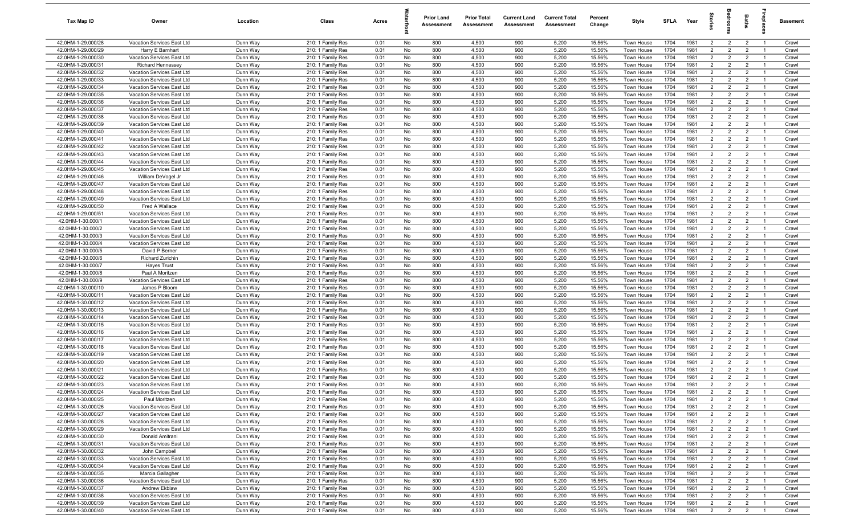| Tax Map ID                               | Owner                                                    | Location             | Class                                  | Acres        |          | <b>Prior Land</b><br>Assessment | <b>Prior Total</b><br>Assessment | <b>Current Land</b><br>Assessment | <b>Current Total</b><br>Assessment | Percent<br>Change | Style                    | SFLA         | Year         | $\vec{e}$                        | g                                | <b>Baths</b>                     | lrepla                           | Basement       |
|------------------------------------------|----------------------------------------------------------|----------------------|----------------------------------------|--------------|----------|---------------------------------|----------------------------------|-----------------------------------|------------------------------------|-------------------|--------------------------|--------------|--------------|----------------------------------|----------------------------------|----------------------------------|----------------------------------|----------------|
| 42.0HM-1-29.000/28                       | Vacation Services East Ltd                               | Dunn Way             | 210: 1 Family Res                      | 0.01         | No       | 800                             | 4,500                            | 900                               | 5,200                              | 15.56%            | Town House               | 1704         | 1981         | $\overline{2}$                   | $\overline{2}$                   | $\overline{2}$                   | $\overline{1}$                   | Crawl          |
| 42.0HM-1-29.000/29                       | Harry E Barnhart                                         | Dunn Way             | 210: 1 Family Res                      | 0.01         | No       | 800                             | 4,500                            | 900                               | 5,200                              | 15.56%            | Town House               | 1704         | 1981         | $\overline{2}$                   | 2                                | $\overline{2}$                   | $\overline{1}$                   | Crawl          |
| 42.0HM-1-29.000/30                       | Vacation Services East Ltd                               | Dunn Way             | 210: 1 Family Res                      | 0.01         | No       | 800                             | 4,500                            | 900                               | 5,200                              | 15.56%            | Town House               | 1704         | 1981         | 2                                | $\overline{2}$                   | $\overline{2}$                   | $\overline{1}$                   | Crawl          |
| 42.0HM-1-29.000/31                       | <b>Richard Hennessey</b>                                 | Dunn Way             | 210: 1 Family Res                      | 0.01         | No       | 800                             | 4,500                            | 900                               | 5,200                              | 15.56%            | Town House               | 1704         | 1981         | $\overline{2}$                   | $\overline{2}$                   | $\overline{2}$                   | - 1                              | Crawl          |
| 42.0HM-1-29.000/32                       | Vacation Services East Ltd                               | Dunn Way             | 210: 1 Family Res                      | 0.01         | No       | 800                             | 4,500                            | 900                               | 5,200                              | 15.56%            | Town House               | 1704         | 1981         | $\overline{2}$                   | $\overline{2}$                   | $\overline{2}$                   | - 1                              | Crawl          |
| 42.0HM-1-29.000/33                       | Vacation Services East Ltd                               | Dunn Way             | 210: 1 Family Res                      | 0.01         | No       | 800                             | 4,500                            | 900                               | 5,200                              | 15.56%            | Town House               | 1704         | 1981         | $\overline{2}$                   | $\overline{2}$                   | $\overline{2}$                   |                                  | Crawl          |
| 42.0HM-1-29.000/34                       | Vacation Services East Ltd                               | Dunn Way             | 210: 1 Family Res                      | 0.01         | No       | 800                             | 4,500                            | 900                               | 5,200                              | 15.56%            | <b>Town House</b>        | 1704         | 1981         | $\overline{2}$                   | $\overline{2}$                   | $\overline{2}$                   | - 1                              | Crawl          |
| 42.0HM-1-29.000/35                       | Vacation Services East Ltd                               | Dunn Way             | 210: 1 Family Res                      | 0.01         | No       | 800                             | 4,500                            | 900                               | 5,200                              | 15.56%            | <b>Town House</b>        | 1704         | 1981         | $\overline{2}$                   | $\overline{2}$                   | $\overline{2}$                   | - 1                              | Crawl          |
| 42.0HM-1-29.000/36                       | Vacation Services East Ltd                               | Dunn Way             | 210: 1 Family Res                      | 0.01         | No       | 800                             | 4,500                            | 900                               | 5,200                              | 15.56%            | <b>Town House</b>        | 1704         | 1981         | $\overline{2}$                   | $\overline{2}$                   | $\overline{2}$                   | $\overline{1}$                   | Crawl          |
| 42.0HM-1-29.000/37                       | Vacation Services East Ltd                               | Dunn Way             | 210: 1 Family Res                      | 0.01         | No       | 800                             | 4,500                            | 900                               | 5,200                              | 15.56%            | Town House               | 1704         | 1981         | $\overline{2}$                   | $\overline{2}$                   | $\overline{2}$                   | $\overline{1}$                   | Crawl          |
| 42.0HM-1-29.000/38                       | Vacation Services East Ltd                               | Dunn Way             | 210: 1 Family Res                      | 0.01         | No       | 800                             | 4,500                            | 900                               | 5,200                              | 15.56%            | Town House               | 1704         | 1981         | $\overline{2}$                   | $\overline{2}$                   | $\overline{2}$                   | $\overline{1}$                   | Crawl          |
| 42.0HM-1-29.000/39                       | Vacation Services East Ltd                               | Dunn Way             | 210: 1 Family Res                      | 0.01         | No       | 800                             | 4,500                            | 900                               | 5,200                              | 15.56%            | Town House               | 1704         | 1981         | $\overline{2}$                   | $\overline{2}$                   | $\overline{2}$                   | $\overline{1}$                   | Crawl          |
| 42.0HM-1-29.000/40                       | Vacation Services East Ltd                               | Dunn Way             | 210: 1 Family Res                      | 0.01         | No       | 800                             | 4,500                            | 900                               | 5,200                              | 15.56%            | Town House               | 1704         | 1981         | 2                                | $\overline{2}$                   | $\overline{2}$                   | $\overline{1}$                   | Crawl          |
| 42.0HM-1-29.000/41                       | Vacation Services East Ltd                               | Dunn Way             | 210: 1 Family Res                      | 0.01         | No       | 800                             | 4,500                            | 900                               | 5,200                              | 15.56%            | Town House               | 1704         | 1981         | $\overline{2}$                   | $\overline{2}$                   | $\overline{2}$                   | $\overline{1}$                   | Crawl          |
| 42.0HM-1-29.000/42                       | Vacation Services East Ltd                               | Dunn Way             | 210: 1 Family Res                      | 0.01         | No<br>No | 800<br>800                      | 4,500                            | 900                               | 5,200                              | 15.56%            | Town House               | 1704<br>1704 | 1981<br>1981 | $\overline{2}$<br>$\overline{2}$ | $\overline{2}$<br>$\overline{2}$ | $\overline{2}$<br>$\overline{2}$ | - 1                              | Crawl          |
| 42.0HM-1-29.000/43<br>42.0HM-1-29.000/44 | Vacation Services East Ltd<br>Vacation Services East Ltd | Dunn Way<br>Dunn Way | 210: 1 Family Res<br>210: 1 Family Res | 0.01<br>0.01 | No       | 800                             | 4,500<br>4,500                   | 900<br>900                        | 5,200<br>5,200                     | 15.56%<br>15.56%  | Town House<br>Town House | 1704         | 1981         | $\overline{2}$                   | $\overline{2}$                   | $\overline{2}$                   | $\overline{1}$<br>-1             | Crawl<br>Crawl |
| 42.0HM-1-29.000/45                       | Vacation Services East Ltd                               | Dunn Way             | 210: 1 Family Res                      | 0.01         | No       | 800                             | 4,500                            | 900                               | 5,200                              | 15.56%            | Town House               | 1704         | 1981         | $\overline{2}$                   | $\overline{2}$                   | $\overline{2}$                   | $\overline{1}$                   | Crawl          |
| 42.0HM-1-29.000/46                       | William DeVogel Jr                                       | Dunn Way             | 210: 1 Family Res                      | 0.01         | No       | 800                             | 4,500                            | 900                               | 5,200                              | 15.56%            | <b>Town House</b>        | 1704         | 1981         | $\overline{2}$                   | $\overline{2}$                   | $\overline{2}$                   |                                  | Crawl          |
| 42.0HM-1-29.000/47                       | Vacation Services East Ltd                               | Dunn Way             | 210: 1 Family Res                      | 0.01         | No       | 800                             | 4,500                            | 900                               | 5,200                              | 15.56%            | Town House               | 1704         | 1981         | $\overline{2}$                   | $\overline{2}$                   | $\overline{2}$                   | - 1                              | Crawl          |
| 42.0HM-1-29.000/48                       | Vacation Services East Ltd                               | Dunn Way             | 210: 1 Family Res                      | 0.01         | No       | 800                             | 4,500                            | 900                               | 5,200                              | 15.56%            | Town House               | 1704         | 1981         | $\overline{2}$                   | $\overline{2}$                   | $\overline{2}$                   | $\overline{1}$                   | Crawl          |
| 42.0HM-1-29.000/49                       | Vacation Services East Ltd                               | Dunn Way             | 210: 1 Family Res                      | 0.01         | No       | 800                             | 4,500                            | 900                               | 5,200                              | 15.56%            | Town House               | 1704         | 1981         | $\overline{2}$                   | $\overline{2}$                   | $\overline{2}$                   | $\overline{1}$                   | Crawl          |
| 42.0HM-1-29.000/50                       | Fred A Wallace                                           | Dunn Way             | 210: 1 Family Res                      | 0.01         | No       | 800                             | 4,500                            | 900                               | 5,200                              | 15.56%            | Town House               | 1704         | 1981         | $\overline{2}$                   | $\overline{2}$                   | $\overline{2}$                   | $\overline{1}$                   | Crawl          |
| 42.0HM-1-29.000/51                       | Vacation Services East Ltd                               | Dunn Way             | 210: 1 Family Res                      | 0.01         | No       | 800                             | 4,500                            | 900                               | 5,200                              | 15.56%            | Town House               | 1704         | 1981         | 2                                | $\overline{2}$                   | $\overline{2}$                   | $\overline{1}$                   | Crawl          |
| 42.0HM-1-30.000/1                        | Vacation Services East Ltd                               | Dunn Way             | 210: 1 Family Res                      | 0.01         | No       | 800                             | 4,500                            | 900                               | 5,200                              | 15.56%            | Town House               | 1704         | 1981         | $\overline{2}$                   | $\overline{2}$                   | $\overline{2}$                   | $\overline{1}$                   | Crawl          |
| 42.0HM-1-30.000/2                        | Vacation Services East Ltd                               | Dunn Way             | 210: 1 Family Res                      | 0.01         | No       | 800                             | 4,500                            | 900                               | 5,200                              | 15.56%            | Town House               | 1704         | 1981         | 2                                | $\overline{2}$                   | $\overline{2}$                   | $\overline{1}$                   | Crawl          |
| 42.0HM-1-30.000/3                        | Vacation Services East Ltd                               | Dunn Way             | 210: 1 Family Res                      | 0.01         | No       | 800                             | 4,500                            | 900                               | 5,200                              | 15.56%            | Town House               | 1704         | 1981         | $\overline{2}$                   | 2                                | $\overline{2}$                   | $\overline{1}$                   | Crawl          |
| 42.0HM-1-30.000/4                        | Vacation Services East Ltd                               | Dunn Way             | 210: 1 Family Res                      | 0.01         | No       | 800                             | 4,500                            | 900                               | 5,200                              | 15.56%            | Town House               | 1704         | 1981         | $\overline{2}$                   | $\overline{2}$                   | $\overline{2}$                   | -1                               | Crawl          |
| 42.0HM-1-30.000/5                        | David P Berner                                           | Dunn Way             | 210: 1 Family Res                      | 0.01         | No       | 800                             | 4,500                            | 900                               | 5,200                              | 15.56%            | Town House               | 1704         | 1981         | $\overline{2}$                   | $\overline{2}$                   | $\overline{2}$                   | $\overline{1}$                   | Crawl          |
| 42.0HM-1-30.000/6                        | Richard Zurichin                                         | Dunn Way             | 210: 1 Family Res                      | 0.01         | No       | 800                             | 4,500                            | 900                               | 5,200                              | 15.56%            | Town House               | 1704         | 1981         | $\overline{2}$                   | $\overline{2}$                   | $\overline{2}$                   | - 1                              | Crawl          |
| 42.0HM-1-30.000/7                        | <b>Hayes Trust</b>                                       | Dunn Way             | 210: 1 Family Res                      | 0.01         | No       | 800                             | 4,500                            | 900                               | 5,200                              | 15.56%            | Town House               | 1704         | 1981         | $\overline{2}$                   | $\overline{2}$                   | $\overline{2}$                   | $\overline{1}$                   | Crawl          |
| 42.0HM-1-30.000/8                        | Paul A Moritzen                                          | Dunn Way             | 210: 1 Family Res                      | 0.01         | No       | 800                             | 4,500                            | 900                               | 5,200                              | 15.56%            | <b>Town House</b>        | 1704         | 1981         | $\overline{2}$                   | $\overline{2}$                   | $\overline{2}$                   | - 1                              | Crawl          |
| 42.0HM-1-30.000/9                        | Vacation Services East Ltd                               | Dunn Way             | 210: 1 Family Res                      | 0.01         | No       | 800                             | 4,500                            | 900                               | 5,200                              | 15.56%            | <b>Town House</b>        | 1704         | 1981         | $\overline{2}$                   | $\overline{2}$                   | $\overline{2}$                   | - 1                              | Crawl          |
| 42.0HM-1-30.000/10                       | James P Bloom                                            | Dunn Way             | 210: 1 Family Res                      | 0.01         | No       | 800                             | 4,500                            | 900                               | 5,200                              | 15.56%            | Town House               | 1704         | 1981         | $\overline{2}$                   | $\overline{2}$                   | $\overline{2}$                   | $\overline{1}$                   | Crawl          |
| 42.0HM-1-30.000/11                       | Vacation Services East Ltd                               | Dunn Way             | 210: 1 Family Res                      | 0.01         | No       | 800                             | 4,500                            | 900                               | 5,200                              | 15.56%            | Town House               | 1704         | 1981         | $\overline{2}$                   | $\overline{2}$                   | $\overline{2}$                   | $\overline{1}$                   | Crawl          |
| 42.0HM-1-30.000/12                       | Vacation Services East Ltd                               | Dunn Way             | 210: 1 Family Res                      | 0.01         | No       | 800                             | 4,500                            | 900                               | 5,200                              | 15.56%            | Town House               | 1704         | 1981         | $\overline{2}$                   | $\overline{2}$                   | $\overline{2}$                   | $\overline{1}$                   | Crawl          |
| 42.0HM-1-30.000/13                       | Vacation Services East Ltd                               | Dunn Way             | 210: 1 Family Res                      | 0.01         | No       | 800                             | 4,500                            | 900                               | 5,200                              | 15.56%            | Town House               | 1704         | 1981         | 2                                | $\overline{2}$                   | $\overline{2}$                   | $\overline{1}$                   | Crawl          |
| 42.0HM-1-30.000/14                       | Vacation Services East Ltd                               | Dunn Way             | 210: 1 Family Res                      | 0.01         | No       | 800                             | 4,500                            | 900                               | 5,200                              | 15.56%            | Town House               | 1704         | 1981         | $\overline{2}$                   | $\overline{2}$                   | $\overline{2}$                   | $\overline{1}$                   | Crawl          |
| 42.0HM-1-30.000/15                       | Vacation Services East Ltd                               | Dunn Way             | 210: 1 Family Res                      | 0.01         | No       | 800<br>800                      | 4,500<br>4,500                   | 900<br>900                        | 5,200<br>5,200                     | 15.56%<br>15.56%  | Town House               | 1704<br>1704 | 1981<br>1981 | $\overline{2}$<br>$\overline{2}$ | $\overline{2}$<br>2              | $\overline{2}$                   | $\overline{1}$<br>$\overline{1}$ | Crawl          |
| 42.0HM-1-30.000/16<br>42.0HM-1-30.000/17 | Vacation Services East Ltd<br>Vacation Services East Ltd | Dunn Way<br>Dunn Way | 210: 1 Family Res<br>210: 1 Family Res | 0.01<br>0.01 | No<br>No | 800                             | 4,500                            | 900                               | 5,200                              | 15.56%            | Town House<br>Town House | 1704         | 1981         | $\overline{2}$                   | $\overline{2}$                   | $\overline{2}$<br>$\overline{2}$ | - 1                              | Crawl<br>Crawl |
| 42.0HM-1-30.000/18                       | Vacation Services East Ltd                               | Dunn Way             | 210: 1 Family Res                      | 0.01         | No       | 800                             | 4,500                            | 900                               | 5,200                              | 15.56%            | Town House               | 1704         | 1981         | $\overline{2}$                   | $\overline{2}$                   | $\overline{2}$                   | $\overline{1}$                   | Crawl          |
| 42.0HM-1-30.000/19                       | Vacation Services East Ltd                               | Dunn Way             | 210: 1 Family Res                      | 0.01         | No       | 800                             | 4,500                            | 900                               | 5,200                              | 15.56%            | Town House               | 1704         | 1981         | $\overline{2}$                   | $\overline{2}$                   | $\overline{2}$                   |                                  | Crawl          |
| 42.0HM-1-30.000/20                       | Vacation Services East Ltd                               | Dunn Way             | 210: 1 Family Res                      | 0.01         | No       | 800                             | 4,500                            | 900                               | 5,200                              | 15.56%            | Town House               | 1704         | 1981         | $\overline{2}$                   | $\overline{2}$                   | $\overline{2}$                   | - 1                              | Crawl          |
| 42.0HM-1-30.000/21                       | Vacation Services East Ltd                               | Dunn Way             | 210: 1 Family Res                      | 0.01         | No       | 800                             | 4,500                            | 900                               | 5,200                              | 15.56%            | Town House               | 1704         | 1981         | $\overline{2}$                   | $\overline{2}$                   | $\overline{2}$                   |                                  | Crawl          |
| 42.0HM-1-30.000/22                       | Vacation Services East Ltd                               | Dunn Way             | 210: 1 Family Res                      | 0.01         | No       | 800                             | 4,500                            | 900                               | 5,200                              | 15.56%            | Town House               | 1704         | 1981         | $\overline{2}$                   | $\overline{2}$                   | $\overline{2}$                   | $\overline{1}$                   | Crawl          |
| 42.0HM-1-30.000/23                       | Vacation Services East Ltd                               | Dunn Way             | 210: 1 Family Res                      | 0.01         | No       | 800                             | 4,500                            | 900                               | 5,200                              | 15.56%            | Town House               | 1704         | 1981         | $\overline{2}$                   | 2                                | $\overline{2}$                   |                                  | Crawl          |
| 42.0HM-1-30.000/24                       | Vacation Services East Ltd                               | Dunn Way             | 210: 1 Family Res                      | 0.01         | No       | 800                             | 4,500                            | 900                               | 5,200                              | 15.56%            | Town House               | 1704         | 1981         | $\overline{2}$                   | $\overline{2}$                   | $\overline{2}$                   | $\overline{1}$                   | Crawl          |
| 42.0HM-1-30.000/25                       | Paul Moritzen                                            | Dunn Way             | 210: 1 Family Res                      | 0.01         | No       | 800                             | 4,500                            | 900                               | 5,200                              | 15.56%            | Town House               | 1704         | 1981         | $\overline{2}$                   | $\overline{2}$                   | $\overline{2}$                   | $\overline{1}$                   | Crawl          |
| 42.0HM-1-30.000/26                       | Vacation Services East Ltd                               | Dunn Way             | 210: 1 Family Res                      | 0.01         | No       | 800                             | 4,500                            | 900                               | 5,200                              | 15.56%            | Town House               | 1704         | 1981         | $\overline{2}$                   | $\overline{2}$                   | $\overline{2}$                   | $\overline{1}$                   | Crawl          |
| 42.0HM-1-30.000/27                       | Vacation Services East Ltd                               | Dunn Way             | 210: 1 Family Res                      | 0.01         | No       | 800                             | 4,500                            | 900                               | 5,200                              | 15.56%            | Town House               | 1704         | 1981         | $\overline{2}$                   | $\overline{2}$                   | $\overline{2}$                   | $\overline{1}$                   | Crawl          |
| 42.0HM-1-30.000/28                       | Vacation Services East Ltd                               | Dunn Way             | 210: 1 Family Res                      | 0.01         | No       | 800                             | 4,500                            | 900                               | 5,200                              | 15.56%            | Town House               | 1704         | 1981         | $\overline{2}$                   | $\overline{2}$                   | $\overline{2}$                   | $\overline{1}$                   | Crawl          |
| 42.0HM-1-30.000/29                       | Vacation Services East Ltd                               | Dunn Way             | 210: 1 Family Res                      | 0.01         | No       | 800                             | 4,500                            | 900                               | 5,200                              | 15.56%            | Town House               | 1704         | 1981         | $\overline{2}$                   | $\overline{2}$                   | $\overline{2}$                   | $\overline{1}$                   | Crawl          |
| 42.0HM-1-30.000/30                       | Donald Amitrani                                          | Dunn Way             | 210: 1 Family Res                      | 0.01         | No       | 800                             | 4,500                            | 900                               | 5,200                              | 15.56%            | Town House               | 1704         | 1981         | $\overline{2}$                   | $\overline{2}$                   | $\overline{2}$                   | $\overline{1}$                   | Crawl          |
| 42.0HM-1-30.000/31                       | Vacation Services East Ltd                               | Dunn Way             | 210: 1 Family Res                      | 0.01         | No       | 800                             | 4,500                            | 900                               | 5,200                              | 15.56%            | Town House               | 1704         | 1981         | $\overline{2}$                   | $\overline{2}$                   | $\overline{2}$                   | $\overline{1}$                   | Crawl          |
| 42.0HM-1-30.000/32                       | John Campbell                                            | Dunn Way             | 210: 1 Family Res                      | 0.01         | No       | 800                             | 4,500                            | 900                               | 5,200                              | 15.56%            | Town House               | 1704         | 1981         | $\overline{2}$                   | $\overline{2}$                   | $\overline{2}$                   |                                  | Crawl          |
| 42.0HM-1-30.000/33                       | Vacation Services East Ltd                               | Dunn Way             | 210: 1 Family Res                      | 0.01         | No       | 800                             | 4,500                            | 900                               | 5,200                              | 15.56%            | Town House               | 1704         | 1981         | $\overline{2}$                   | $\overline{2}$                   | $\overline{2}$                   | $\overline{1}$                   | Crawl          |
| 42.0HM-1-30.000/34                       | Vacation Services East Ltd                               | Dunn Way             | 210: 1 Family Res                      | 0.01         | No       | 800                             | 4,500                            | 900                               | 5,200                              | 15.56%            | Town House               | 1704         | 1981         | $\overline{2}$                   | $\overline{2}$                   | $\overline{2}$                   | - 1                              | Crawl          |
| 42.0HM-1-30.000/35                       | Marcia Gallagher                                         | Dunn Way             | 210: 1 Family Res                      | 0.01         | No       | 800                             | 4,500                            | 900                               | 5,200                              | 15.56%            | Town House               | 1704         | 1981         | $\overline{2}$                   | $\overline{2}$                   | $\overline{2}$                   | $\overline{1}$                   | Crawl          |
| 42.0HM-1-30.000/36<br>42.0HM-1-30.000/37 | Vacation Services East Ltd<br>Andrew Ekblaw              | Dunn Way             | 210: 1 Family Res                      | 0.01<br>0.01 | No       | 800<br>800                      | 4,500<br>4,500                   | 900<br>900                        | 5,200<br>5,200                     | 15.56%<br>15.56%  | Town House               | 1704<br>1704 | 1981<br>1981 | $\overline{2}$<br>$\overline{2}$ | $\overline{2}$<br>$\overline{2}$ | $\overline{2}$<br>$\overline{2}$ | $\overline{1}$<br>$\overline{1}$ | Crawl          |
| 42.0HM-1-30.000/38                       | Vacation Services East Ltd                               | Dunn Way<br>Dunn Way | 210: 1 Family Res<br>210: 1 Family Res | 0.01         | No<br>No | 800                             | 4,500                            | 900                               | 5,200                              | 15.56%            | Town House<br>Town House | 1704         | 1981         | $\overline{2}$                   | $\overline{2}$                   | $\overline{2}$                   | $\overline{1}$                   | Crawl<br>Crawl |
| 42.0HM-1-30.000/39                       | Vacation Services East Ltd                               | Dunn Way             | 210: 1 Family Res                      | 0.01         | No       | 800                             | 4,500                            | 900                               | 5,200                              | 15.56%            | Town House               | 1704         | 1981         | $\overline{2}$                   | $\overline{2}$                   | $\overline{2}$                   | $\overline{1}$                   | Crawl          |
| 42.0HM-1-30.000/40                       | Vacation Services East Ltd                               | Dunn Way             | 210: 1 Family Res                      | 0.01         | No       | 800                             | 4,500                            | 900                               | 5,200                              | 15.56%            | Town House               | 1704         | 1981         | $\overline{2}$                   | $\overline{2}$                   | $\overline{2}$                   | $\overline{1}$                   | Crawl          |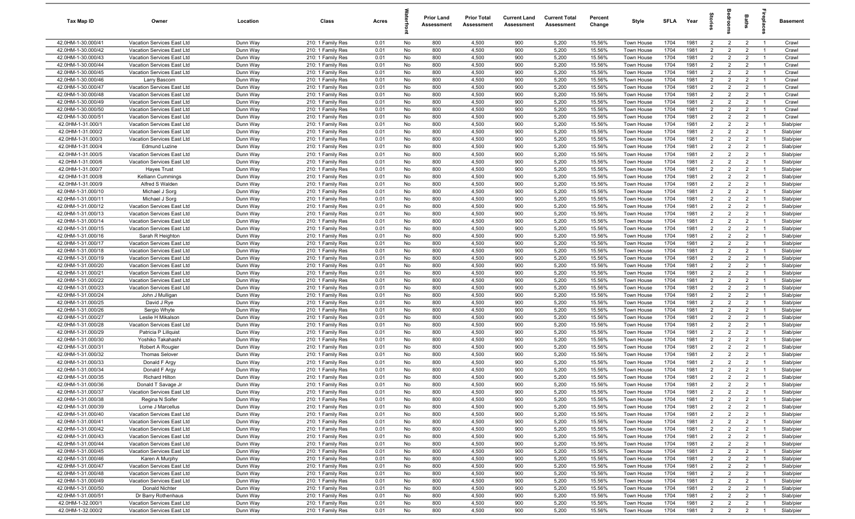| Tax Map ID                               | Owner                                                    | Location             | Class                                  | Acres        |          | <b>Prior Land</b><br>Assessment | <b>Prior Total</b><br>Assessment | <b>Current Land</b><br>Assessment | <b>Current Total</b><br>Assessment | Percent<br>Change | Style                    | <b>SFLA</b>  | Year         |                                  |                                  | Baths                            | repia                            | Basement               |
|------------------------------------------|----------------------------------------------------------|----------------------|----------------------------------------|--------------|----------|---------------------------------|----------------------------------|-----------------------------------|------------------------------------|-------------------|--------------------------|--------------|--------------|----------------------------------|----------------------------------|----------------------------------|----------------------------------|------------------------|
| 42.0HM-1-30.000/41                       | Vacation Services East Ltd                               | Dunn Way             | 210: 1 Family Res                      | 0.01         | No       | 800                             | 4,500                            | 900                               | 5,200                              | 15.56%            | Town House               | 1704         | 1981         | $\overline{2}$                   | $\overline{2}$                   | $\overline{2}$                   | $\overline{1}$                   | Crawl                  |
| 42.0HM-1-30.000/42                       | Vacation Services East Ltd                               | Dunn Way             | 210: 1 Family Res                      | 0.01         | No       | 800                             | 4,500                            | 900                               | 5,200                              | 15.56%            | Town House               | 1704         | 1981         | $\overline{2}$                   | $\overline{2}$                   | $\overline{2}$                   | - 1                              | Crawl                  |
| 42.0HM-1-30.000/43                       | Vacation Services East Ltd                               | Dunn Way             | 210: 1 Family Res                      | 0.01         | No       | 800                             | 4,500                            | 900                               | 5,200                              | 15.56%            | Town House               | 1704         | 1981         | $\overline{2}$                   | $\overline{2}$                   | $\overline{2}$                   | - 1                              | Crawl                  |
| 42.0HM-1-30.000/44                       | Vacation Services East Ltd                               | Dunn Way             | 210: 1 Family Res                      | 0.01         | No       | 800                             | 4,500                            | 900                               | 5,200                              | 15.56%            | Town House               | 1704         | 1981         | $\overline{2}$                   | $\overline{2}$                   | $\overline{2}$                   |                                  | Crawl                  |
| 42.0HM-1-30.000/45                       | Vacation Services East Ltd                               | Dunn Way             | 210: 1 Family Res                      | 0.01         | No       | 800                             | 4,500                            | 900                               | 5,200                              | 15.56%            | Town House               | 1704         | 1981         | $\overline{2}$                   | $\overline{2}$                   | $\overline{2}$                   | - 1                              | Crawl                  |
| 42.0HM-1-30.000/46                       | Larry Bascom                                             | Dunn Way             | 210: 1 Family Res                      | 0.01         | No       | 800                             | 4,500                            | 900                               | 5,200                              | 15.56%            | Town House               | 1704         | 1981         | $\overline{2}$                   | $\overline{2}$                   | $\overline{2}$                   | - 1                              | Crawl                  |
| 42.0HM-1-30.000/47                       | Vacation Services East Ltd                               | Dunn Way             | 210: 1 Family Res                      | 0.01         | No       | 800                             | 4,500                            | 900                               | 5,200                              | 15.56%            | Town House               | 1704         | 1981         | $\overline{2}$                   | $\overline{2}$                   | $\overline{2}$                   | $\overline{1}$                   | Crawl                  |
| 42.0HM-1-30.000/48                       | Vacation Services East Ltd                               | Dunn Way             | 210: 1 Family Res                      | 0.01         | No       | 800                             | 4,500                            | 900                               | 5,200                              | 15.56%            | Town House               | 1704         | 1981         | $\overline{2}$                   | $\overline{2}$                   | $\overline{2}$                   | $\overline{1}$                   | Crawl                  |
| 42.0HM-1-30.000/49                       | Vacation Services East Ltd<br>Vacation Services East Ltd | Dunn Way             | 210: 1 Family Res                      | 0.01         | No       | 800                             | 4,500                            | 900                               | 5,200                              | 15.56%            | Town House               | 1704<br>1704 | 1981<br>1981 | $\overline{2}$<br>$\overline{2}$ | $\overline{2}$<br>$\overline{2}$ | $\overline{2}$<br>$\overline{2}$ | $\overline{1}$<br>$\overline{1}$ | Crawl<br>Crawl         |
| 42.0HM-1-30.000/50<br>42.0HM-1-30.000/51 | Vacation Services East Ltd                               | Dunn Way<br>Dunn Way | 210: 1 Family Res<br>210: 1 Family Res | 0.01<br>0.01 | No<br>No | 800<br>800                      | 4,500<br>4,500                   | 900<br>900                        | 5,200<br>5,200                     | 15.56%<br>15.56%  | Town House<br>Town House | 1704         | 1981         | $\overline{2}$                   | $\overline{2}$                   | $\overline{2}$                   | $\overline{1}$                   | Crawl                  |
| 42.0HM-1-31.000/1                        | Vacation Services East Ltd                               | Dunn Way             | 210: 1 Family Res                      | 0.01         | No       | 800                             | 4,500                            | 900                               | 5,200                              | 15.56%            | Town House               | 1704         | 1981         | $\overline{2}$                   | $\overline{2}$                   | $\overline{2}$                   | $\overline{1}$                   | Slab/pier              |
| 42.0HM-1-31.000/2                        | Vacation Services East Ltd                               | Dunn Way             | 210: 1 Family Res                      | 0.01         | No       | 800                             | 4,500                            | 900                               | 5,200                              | 15.56%            | Town House               | 1704         | 1981         | $\overline{2}$                   | 2                                | $\overline{2}$                   | - 1                              | Slab/pier              |
| 42.0HM-1-31.000/3                        | Vacation Services East Ltd                               | Dunn Way             | 210: 1 Family Res                      | 0.01         | No       | 800                             | 4,500                            | 900                               | 5,200                              | 15.56%            | Town House               | 1704         | 1981         | $\overline{2}$                   | $\overline{2}$                   | $\overline{2}$                   | - 1                              | Slab/pier              |
| 42.0HM-1-31.000/4                        | <b>Edmund Luzine</b>                                     | Dunn Way             | 210: 1 Family Res                      | 0.01         | No       | 800                             | 4,500                            | 900                               | 5,200                              | 15.56%            | Town House               | 1704         | 1981         | $\overline{2}$                   | $\overline{2}$                   | $\overline{2}$                   |                                  | Slab/pier              |
| 42.0HM-1-31.000/5                        | Vacation Services East Ltd                               | Dunn Way             | 210: 1 Family Res                      | 0.01         | No       | 800                             | 4,500                            | 900                               | 5,200                              | 15.56%            | Town House               | 1704         | 1981         | $\overline{2}$                   | $\overline{2}$                   | $\overline{2}$                   | - 1                              | Slab/pier              |
| 42.0HM-1-31.000/6                        | Vacation Services East Ltd                               | Dunn Way             | 210: 1 Family Res                      | 0.01         | No       | 800                             | 4,500                            | 900                               | 5,200                              | 15.56%            | <b>Town House</b>        | 1704         | 1981         | $\overline{2}$                   | $\overline{2}$                   | $\overline{2}$                   |                                  | Slab/pier              |
| 42.0HM-1-31.000/7                        | <b>Hayes Trust</b>                                       | Dunn Way             | 210: 1 Family Res                      | 0.01         | No       | 800                             | 4,500                            | 900                               | 5,200                              | 15.56%            | <b>Town House</b>        | 1704         | 1981         | $\overline{2}$                   | $\overline{2}$                   | $\overline{2}$                   | - 1                              | Slab/pier              |
| 42.0HM-1-31.000/8                        | Kelliann Cummings                                        | Dunn Way             | 210: 1 Family Res                      | 0.01         | No       | 800                             | 4,500                            | 900                               | 5,200                              | 15.56%            | Town House               | 1704         | 1981         | $\overline{2}$                   | $\overline{2}$                   | $\overline{2}$                   |                                  | Slab/pier              |
| 42.0HM-1-31.000/9                        | Alfred S Walden                                          | Dunn Way             | 210: 1 Family Res                      | 0.01         | No       | 800                             | 4,500                            | 900                               | 5,200                              | 15.56%            | Town House               | 1704         | 1981         | $\overline{2}$                   | $\overline{2}$                   | $\overline{2}$                   | - 1                              | Slab/pier              |
| 42.0HM-1-31.000/10                       | Michael J Sorg                                           | Dunn Way             | 210: 1 Family Res                      | 0.01         | No       | 800                             | 4,500                            | 900                               | 5,200                              | 15.56%            | Town House               | 1704         | 1981         | $\overline{2}$                   | $\overline{2}$                   | $\overline{2}$                   | $\overline{1}$                   | Slab/pier              |
| 42.0HM-1-31.000/11                       | Michael J Sorg                                           | Dunn Way             | 210: 1 Family Res                      | 0.01         | No       | 800                             | 4,500                            | 900                               | 5,200                              | 15.56%            | Town House               | 1704         | 1981         | $\overline{2}$                   | $\overline{2}$                   | $\overline{2}$                   | $\overline{1}$                   | Slab/pier              |
| 42.0HM-1-31.000/12                       | Vacation Services East Ltd                               | Dunn Way             | 210: 1 Family Res                      | 0.01         | No       | 800                             | 4,500                            | 900                               | 5,200                              | 15.56%            | Town House               | 1704         | 1981         | $\overline{2}$                   | $\overline{2}$                   | $\overline{2}$                   | $\overline{1}$                   | Slab/pier              |
| 42.0HM-1-31.000/13                       | Vacation Services East Ltd                               | Dunn Way             | 210: 1 Family Res                      | 0.01         | No       | 800                             | 4,500                            | 900                               | 5,200                              | 15.56%            | Town House               | 1704         | 1981         | 2                                | $\overline{2}$                   | $\overline{2}$                   | $\overline{1}$                   | Slab/pier              |
| 42.0HM-1-31.000/14                       | Vacation Services East Ltd                               | Dunn Way             | 210: 1 Family Res                      | 0.01         | No       | 800                             | 4,500                            | 900                               | 5,200                              | 15.56%            | Town House               | 1704         | 1981         | $\overline{2}$                   | 2                                | $\overline{2}$                   | $\overline{1}$                   | Slab/pier              |
| 42.0HM-1-31.000/15                       | Vacation Services East Ltd                               | Dunn Way             | 210: 1 Family Res                      | 0.01         | No       | 800                             | 4,500                            | 900                               | 5,200                              | 15.56%            | Town House               | 1704         | 1981         | 2                                | $\overline{2}$                   | $\overline{2}$                   | - 1                              | Slab/pier              |
| 42.0HM-1-31.000/16                       | Sarah R Heighton                                         | Dunn Way             | 210: 1 Family Res                      | 0.01         | No       | 800                             | 4,500                            | 900                               | 5,200                              | 15.56%            | Town House               | 1704         | 1981         | $\overline{2}$                   | $\overline{2}$                   | $\overline{2}$                   | $\overline{1}$                   | Slab/pier              |
| 42.0HM-1-31.000/17                       | Vacation Services East Ltd                               | Dunn Way             | 210: 1 Family Res                      | 0.01         | No       | 800                             | 4,500                            | 900                               | 5,200                              | 15.56%            | Town House               | 1704         | 1981         | $\overline{2}$                   | $\overline{2}$                   | $\overline{2}$                   |                                  | Slab/pier              |
| 42.0HM-1-31.000/18                       | Vacation Services East Ltd                               | Dunn Way             | 210: 1 Family Res                      | 0.01         | No       | 800                             | 4,500                            | 900                               | 5,200                              | 15.56%            | Town House               | 1704         | 1981         | $\overline{2}$                   | $\overline{2}$                   | $\overline{2}$                   | - 1                              | Slab/pier              |
| 42.0HM-1-31.000/19                       | Vacation Services East Ltd                               | Dunn Way             | 210: 1 Family Res                      | 0.01         | No       | 800                             | 4,500                            | 900                               | 5,200                              | 15.56%            | <b>Town House</b>        | 1704         | 1981         | $\overline{2}$                   | $\overline{2}$                   | $\overline{2}$                   |                                  | Slab/pier              |
| 42.0HM-1-31.000/20                       | Vacation Services East Ltd                               | Dunn Way             | 210: 1 Family Res                      | 0.01         | No       | 800                             | 4,500                            | 900                               | 5,200                              | 15.56%            | Town House               | 1704         | 1981         | $\overline{2}$                   | $\overline{2}$                   | $\overline{2}$                   |                                  | Slab/pier              |
| 42.0HM-1-31.000/21                       | Vacation Services East Ltd                               | Dunn Way             | 210: 1 Family Res                      | 0.01         | No       | 800                             | 4,500                            | 900                               | 5,200                              | 15.56%            | Town House               | 1704         | 1981         | $\overline{2}$                   | $\overline{2}$                   | $\overline{2}$                   | - 1                              | Slab/pier              |
| 42.0HM-1-31.000/22                       | Vacation Services East Ltd                               | Dunn Way             | 210: 1 Family Res                      | 0.01         | No       | 800                             | 4,500                            | 900                               | 5,200                              | 15.56%            | Town House               | 1704         | 1981         | $\overline{2}$                   | $\overline{2}$                   | $\overline{2}$                   | $\overline{1}$                   | Slab/pier              |
| 42.0HM-1-31.000/23                       | Vacation Services East Ltd                               | Dunn Way             | 210: 1 Family Res                      | 0.01         | No       | 800                             | 4,500                            | 900                               | 5,200                              | 15.56%            | Town House               | 1704         | 1981         | $\overline{2}$                   | $\overline{2}$                   | $\overline{2}$                   | $\overline{1}$                   | Slab/pier              |
| 42.0HM-1-31.000/24                       | John J Mulligan                                          | Dunn Way             | 210: 1 Family Res                      | 0.01         | No       | 800                             | 4,500                            | 900                               | 5,200                              | 15.56%            | Town House               | 1704         | 1981         | 2                                | $\overline{2}$                   | $\overline{2}$                   | $\overline{1}$                   | Slab/pier              |
| 42.0HM-1-31.000/25                       | David J Rye                                              | Dunn Way             | 210: 1 Family Res                      | 0.01         | No       | 800                             | 4,500                            | 900                               | 5,200                              | 15.56%            | Town House               | 1704         | 1981         | $\overline{2}$                   | $\overline{2}$                   | $\overline{2}$                   | $\overline{1}$                   | Slab/pier              |
| 42.0HM-1-31.000/26                       | Sergio Whyte                                             | Dunn Way             | 210: 1 Family Res                      | 0.01         | No       | 800                             | 4,500                            | 900                               | 5,200                              | 15.56%            | Town House               | 1704         | 1981         | 2                                | $\overline{2}$                   | $\overline{2}$                   | $\overline{1}$                   | Slab/pier              |
| 42.0HM-1-31.000/27                       | Leslie H Mikalson                                        | Dunn Way             | 210: 1 Family Res                      | 0.01         | No       | 800<br>800                      | 4,500                            | 900<br>900                        | 5,200                              | 15.56%            | Town House               | 1704         | 1981<br>1981 | $\overline{2}$<br>$\overline{2}$ | 2<br>$\overline{2}$              | $\overline{2}$<br>$\overline{2}$ | $\overline{1}$                   | Slab/pier              |
| 42.0HM-1-31.000/28<br>42.0HM-1-31.000/29 | Vacation Services East Ltd                               | Dunn Way             | 210: 1 Family Res                      | 0.01<br>0.01 | No<br>No | 800                             | 4,500<br>4,500                   | 900                               | 5,200<br>5,200                     | 15.56%<br>15.56%  | Town House               | 1704<br>1704 | 1981         | $\overline{2}$                   | $\overline{2}$                   | $\overline{2}$                   | $\overline{1}$                   | Slab/pier              |
| 42.0HM-1-31.000/30                       | Patricia P Lillquist<br>Yoshiko Takahashi                | Dunn Way<br>Dunn Way | 210: 1 Family Res<br>210: 1 Family Res | 0.01         | No       | 800                             | 4,500                            | 900                               | 5,200                              | 15.56%            | Town House<br>Town House | 1704         | 1981         | $\overline{2}$                   | $\overline{2}$                   | $\overline{2}$                   |                                  | Slab/pier<br>Slab/pier |
| 42.0HM-1-31.000/31                       | Robert A Rougier                                         | Dunn Way             | 210: 1 Family Res                      | 0.01         | No       | 800                             | 4,500                            | 900                               | 5,200                              | 15.56%            | Town House               | 1704         | 1981         | $\overline{2}$                   | $\overline{2}$                   | $\overline{2}$                   | - 1                              | Slab/pier              |
| 42.0HM-1-31.000/32                       | <b>Thomas Selover</b>                                    | Dunn Way             | 210: 1 Family Res                      | 0.01         | No       | 800                             | 4,500                            | 900                               | 5,200                              | 15.56%            | <b>Town House</b>        | 1704         | 1981         | $\overline{2}$                   | $\overline{2}$                   | $\overline{2}$                   |                                  | Slab/pier              |
| 42.0HM-1-31.000/33                       | Donald F Argy                                            | Dunn Way             | 210: 1 Family Res                      | 0.01         | No       | 800                             | 4,500                            | 900                               | 5,200                              | 15.56%            | Town House               | 1704         | 1981         | $\overline{2}$                   | $\overline{2}$                   | $\overline{2}$                   |                                  | Slab/pier              |
| 42.0HM-1-31.000/34                       | Donald F Argy                                            | Dunn Way             | 210: 1 Family Res                      | 0.01         | No       | 800                             | 4,500                            | 900                               | 5,200                              | 15.56%            | <b>Town House</b>        | 1704         | 1981         | $\overline{2}$                   | $\overline{2}$                   | $\overline{2}$                   |                                  | Slab/pier              |
| 42.0HM-1-31.000/35                       | <b>Richard Hilton</b>                                    | Dunn Way             | 210: 1 Family Res                      | 0.01         | No       | 800                             | 4,500                            | 900                               | 5,200                              | 15.56%            | <b>Town House</b>        | 1704         | 1981         | $\overline{2}$                   | $\overline{2}$                   | $\overline{2}$                   | $\overline{1}$                   | Slab/pier              |
| 42.0HM-1-31.000/36                       | Donald T Savage Jr                                       | Dunn Way             | 210: 1 Family Res                      | 0.01         | No       | 800                             | 4,500                            | 900                               | 5,200                              | 15.56%            | Town House               | 1704         | 1981         | $\overline{2}$                   | $\overline{2}$                   | $\overline{2}$                   |                                  | Slab/pier              |
| 42.0HM-1-31.000/37                       | Vacation Services East Ltd                               | Dunn Way             | 210: 1 Family Res                      | 0.01         | No       | 800                             | 4,500                            | 900                               | 5,200                              | 15.56%            | Town House               | 1704         | 1981         | $\overline{2}$                   | $\overline{2}$                   | $\overline{2}$                   | $\overline{1}$                   | Slab/pier              |
| 42.0HM-1-31.000/38                       | Regina N Soifer                                          | Dunn Way             | 210: 1 Family Res                      | 0.01         | No       | 800                             | 4,500                            | 900                               | 5,200                              | 15.56%            | Town House               | 1704         | 1981         | 2                                | $\overline{2}$                   | $\overline{2}$                   | $\overline{1}$                   | Slab/pier              |
| 42.0HM-1-31.000/39                       | Lorne J Marcellus                                        | Dunn Way             | 210: 1 Family Res                      | 0.01         | No       | 800                             | 4,500                            | 900                               | 5,200                              | 15.56%            | Town House               | 1704         | 1981         | $\overline{2}$                   | $\overline{2}$                   | $\overline{2}$                   | $\overline{1}$                   | Slab/pier              |
| 42.0HM-1-31.000/40                       | Vacation Services East Ltd                               | Dunn Way             | 210: 1 Family Res                      | 0.01         | No       | 800                             | 4,500                            | 900                               | 5,200                              | 15.56%            | Town House               | 1704         | 1981         | $\overline{2}$                   | $\overline{2}$                   | $\overline{2}$                   | $\overline{1}$                   | Slab/pier              |
| 42.0HM-1-31.000/41                       | Vacation Services East Ltd                               | Dunn Way             | 210: 1 Family Res                      | 0.01         | No       | 800                             | 4,500                            | 900                               | 5,200                              | 15.56%            | Town House               | 1704         | 1981         | $\overline{2}$                   | $\overline{2}$                   | $\overline{2}$                   | - 1                              | Slab/pier              |
| 42.0HM-1-31.000/42                       | Vacation Services East Ltd                               | Dunn Way             | 210: 1 Family Res                      | 0.01         | No       | 800                             | 4,500                            | 900                               | 5,200                              | 15.56%            | Town House               | 1704         | 1981         | $\overline{2}$                   | $\overline{2}$                   | $\overline{2}$                   | $\overline{1}$                   | Slab/pier              |
| 42.0HM-1-31.000/43                       | Vacation Services East Ltd                               | Dunn Way             | 210: 1 Family Res                      | 0.01         | No       | 800                             | 4,500                            | 900                               | 5,200                              | 15.56%            | Town House               | 1704         | 1981         | $\overline{2}$                   | $\overline{2}$                   | $\overline{2}$                   |                                  | Slab/pier              |
| 42.0HM-1-31.000/44                       | Vacation Services East Ltd                               | Dunn Way             | 210: 1 Family Res                      | 0.01         | No       | 800                             | 4,500                            | 900                               | 5,200                              | 15.56%            | Town House               | 1704         | 1981         | $\overline{2}$                   | $\overline{2}$                   | $\overline{2}$                   | $\overline{1}$                   | Slab/pier              |
| 42.0HM-1-31.000/45                       | Vacation Services East Ltd                               | Dunn Way             | 210: 1 Family Res                      | 0.01         | No       | 800                             | 4,500                            | 900                               | 5,200                              | 15.56%            | Town House               | 1704         | 1981         | $\overline{2}$                   | $\overline{2}$                   | $\overline{2}$                   |                                  | Slab/pier              |
| 42.0HM-1-31.000/46                       | Karen A Murphy                                           | Dunn Way             | 210: 1 Family Res                      | 0.01         | No       | 800                             | 4,500                            | 900                               | 5,200                              | 15.56%            | Town House               | 1704         | 1981         | $\overline{2}$                   | $\overline{2}$                   | $\overline{2}$                   | $\overline{1}$                   | Slab/pier              |
| 42.0HM-1-31.000/47                       | Vacation Services East Ltd                               | Dunn Way             | 210: 1 Family Res                      | 0.01         | No       | 800                             | 4,500                            | 900                               | 5,200                              | 15.56%            | Town House               | 1704         | 1981         | $\overline{2}$                   | $\overline{2}$                   | $\overline{2}$                   | $\overline{1}$                   | Slab/pier              |
| 42.0HM-1-31.000/48                       | Vacation Services East Ltd                               | Dunn Way             | 210: 1 Family Res                      | 0.01         | No       | 800                             | 4,500                            | 900                               | 5,200                              | 15.56%            | Town House               | 1704         | 1981         | $\overline{2}$                   | $\overline{2}$                   | $\overline{2}$                   | $\overline{1}$                   | Slab/pier              |
| 42.0HM-1-31.000/49                       | Vacation Services East Ltd                               | Dunn Way             | 210: 1 Family Res                      | 0.01         | No       | 800                             | 4,500                            | 900                               | 5,200                              | 15.56%            | Town House               | 1704         | 1981         | $\overline{2}$                   | $\overline{2}$                   | $\overline{2}$                   | $\overline{1}$                   | Slab/pier              |
| 42.0HM-1-31.000/50                       | Donald Nichter                                           | Dunn Way             | 210: 1 Family Res                      | 0.01         | No       | 800                             | 4,500                            | 900                               | 5,200                              | 15.56%            | Town House               | 1704         | 1981         | $\overline{2}$                   | $\overline{2}$                   | $\overline{2}$                   | $\overline{1}$                   | Slab/pier              |
| 42.0HM-1-31.000/51                       | Dr Barry Rothenhaus                                      | Dunn Way             | 210: 1 Family Res                      | 0.01         | No       | 800                             | 4,500                            | 900                               | 5,200                              | 15.56%            | Town House               | 1704         | 1981         | $\overline{2}$                   | $\overline{2}$                   | $\overline{2}$                   | $\overline{1}$                   | Slab/pier              |
| 42.0HM-1-32.000/1<br>42.0HM-1-32.000/2   | Vacation Services East Ltd<br>Vacation Services East Ltd | Dunn Way<br>Dunn Way | 210: 1 Family Res<br>210: 1 Family Res | 0.01<br>0.01 | No<br>No | 800<br>800                      | 4,500<br>4,500                   | 900<br>900                        | 5,200<br>5,200                     | 15.56%<br>15.56%  | Town House<br>Town House | 1704<br>1704 | 1981<br>1981 | $\overline{2}$<br>$\overline{2}$ | $\overline{2}$<br>$\overline{2}$ | $\overline{2}$<br>$\overline{2}$ | $\overline{1}$<br>- 1            | Slab/pier<br>Slab/pier |
|                                          |                                                          |                      |                                        |              |          |                                 |                                  |                                   |                                    |                   |                          |              |              |                                  |                                  |                                  |                                  |                        |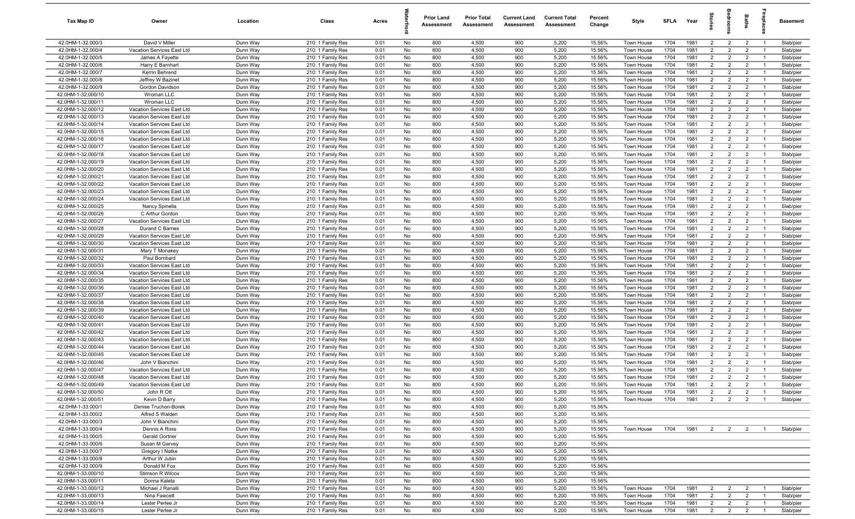| Tax Map ID                               | Owner                                                    | Location             | Class                                  | Acres        |          | <b>Prior Land</b><br>Assessment | <b>Prior Total</b><br>Assessment | <b>Current Land</b><br>Assessment | <b>Current Total</b><br>Assessment | Percent<br>Change | Style                    | <b>SFLA</b>  | Year         |                                  | š                                | Baths                            | epla                             | Basement               |
|------------------------------------------|----------------------------------------------------------|----------------------|----------------------------------------|--------------|----------|---------------------------------|----------------------------------|-----------------------------------|------------------------------------|-------------------|--------------------------|--------------|--------------|----------------------------------|----------------------------------|----------------------------------|----------------------------------|------------------------|
| 42.0HM-1-32.000/3                        | David V Miller                                           | Dunn Way             | 210: 1 Family Res                      | 0.01         | No       | 800                             | 4,500                            | 900                               | 5,200                              | 15.56%            | Town House               | 1704         | 1981         | $\overline{2}$                   | $\overline{2}$                   | $\overline{2}$                   | $\overline{1}$                   | Slab/pier              |
| 42.0HM-1-32.000/4                        | Vacation Services East Ltd                               | Dunn Way             | 210: 1 Family Res                      | 0.01         | No       | 800                             | 4,500                            | 900                               | 5,200                              | 15.56%            | Town House               | 1704         | 1981         | $\overline{2}$                   | $\overline{2}$                   | $\overline{2}$                   | - 1                              | Slab/pier              |
| 42.0HM-1-32.000/5                        | James A Fayette                                          | Dunn Way             | 210: 1 Family Res                      | 0.01         | No       | 800                             | 4,500                            | 900                               | 5,200                              | 15.56%            | Town House               | 1704         | 1981         | $\overline{2}$                   | $\overline{2}$                   | $\overline{2}$                   | - 1                              | Slab/pier              |
| 42.0HM-1-32.000/6                        | Harry E Barnhart                                         | Dunn Way             | 210: 1 Family Res                      | 0.01         | No       | 800                             | 4,500                            | 900                               | 5,200                              | 15.56%            | Town House               | 1704         | 1981         | $\overline{2}$                   | $\overline{2}$                   | $\overline{2}$                   |                                  | Slab/pier              |
| 42.0HM-1-32.000/7                        | Kerrin Behrend                                           | Dunn Way             | 210: 1 Family Res                      | 0.01         | No       | 800                             | 4,500                            | 900                               | 5,200                              | 15.56%            | Town House               | 1704         | 1981         | $\overline{2}$                   | $\overline{2}$                   | $\overline{2}$                   | - 1                              | Slab/pier              |
| 42.0HM-1-32.000/8                        | Jeffrey W Bazinet                                        | Dunn Way             | 210: 1 Family Res                      | 0.01         | No       | 800                             | 4,500                            | 900                               | 5,200                              | 15.56%            | Town House               | 1704         | 1981         | $\overline{2}$                   | $\overline{2}$                   | $\overline{2}$                   |                                  | Slab/pier              |
| 42.0HM-1-32.000/9                        | Gordon Davidson                                          | Dunn Way             | 210: 1 Family Res                      | 0.01         | No       | 800                             | 4,500                            | 900                               | 5,200                              | 15.56%            | Town House               | 1704         | 1981         | $\overline{2}$                   | $\overline{2}$                   | $\overline{2}$                   | $\overline{1}$                   | Slab/pier              |
| 42.0HM-1-32.000/10                       | Wroman LLC                                               | Dunn Way             | 210: 1 Family Res                      | 0.01         | No       | 800                             | 4,500                            | 900                               | 5,200                              | 15.56%            | Town House               | 1704         | 1981         | $\overline{2}$                   | $\overline{2}$                   | $\overline{2}$                   | $\overline{1}$                   | Slab/pier              |
| 42.0HM-1-32.000/11                       | Wroman LLC                                               | Dunn Way             | 210: 1 Family Res                      | 0.01         | No       | 800                             | 4,500                            | 900                               | 5,200                              | 15.56%            | Town House               | 1704<br>1704 | 1981<br>1981 | $\overline{2}$<br>$\overline{2}$ | $\overline{2}$<br>$\overline{2}$ | $\overline{2}$<br>$\overline{2}$ | $\overline{1}$<br>$\overline{1}$ | Slab/pier              |
| 42.0HM-1-32.000/12<br>42.0HM-1-32.000/13 | Vacation Services East Ltd<br>Vacation Services East Ltd | Dunn Way<br>Dunn Way | 210: 1 Family Res<br>210: 1 Family Res | 0.01<br>0.01 | No<br>No | 800<br>800                      | 4,500<br>4,500                   | 900<br>900                        | 5,200<br>5,200                     | 15.56%<br>15.56%  | Town House<br>Town House | 1704         | 1981         | $\overline{2}$                   | $\overline{2}$                   | $\overline{2}$                   | $\overline{1}$                   | Slab/pier<br>Slab/pier |
| 42.0HM-1-32.000/14                       | Vacation Services East Ltd                               | Dunn Way             | 210: 1 Family Res                      | 0.01         | No       | 800                             | 4,500                            | 900                               | 5,200                              | 15.56%            | Town House               | 1704         | 1981         | $\overline{2}$                   | $\overline{2}$                   | $\overline{2}$                   | $\overline{1}$                   | Slab/pier              |
| 42.0HM-1-32.000/15                       | Vacation Services East Ltd                               | Dunn Way             | 210: 1 Family Res                      | 0.01         | No       | 800                             | 4,500                            | 900                               | 5,200                              | 15.56%            | Town House               | 1704         | 1981         | $\overline{2}$                   | $\overline{2}$                   | $\overline{2}$                   | - 1                              | Slab/pier              |
| 42.0HM-1-32.000/16                       | Vacation Services East Ltd                               | Dunn Way             | 210: 1 Family Res                      | 0.01         | No       | 800                             | 4,500                            | 900                               | 5,200                              | 15.56%            | Town House               | 1704         | 1981         | 2                                | $\overline{2}$                   | $\overline{2}$                   | $\overline{1}$                   | Slab/pier              |
| 42.0HM-1-32.000/17                       | Vacation Services East Ltd                               | Dunn Way             | 210: 1 Family Res                      | 0.01         | No       | 800                             | 4,500                            | 900                               | 5,200                              | 15.56%            | Town House               | 1704         | 1981         | $\overline{2}$                   | $\overline{2}$                   | $\overline{2}$                   |                                  | Slab/pier              |
| 42.0HM-1-32.000/18                       | Vacation Services East Ltd                               | Dunn Way             | 210: 1 Family Res                      | 0.01         | No       | 800                             | 4,500                            | 900                               | 5,200                              | 15.56%            | Town House               | 1704         | 1981         | $\overline{2}$                   | $\overline{2}$                   | $\overline{2}$                   | $\overline{1}$                   | Slab/pier              |
| 42.0HM-1-32.000/19                       | Vacation Services East Ltd                               | Dunn Way             | 210: 1 Family Res                      | 0.01         | No       | 800                             | 4,500                            | 900                               | 5,200                              | 15.56%            | <b>Town House</b>        | 1704         | 1981         | $\overline{2}$                   | $\overline{2}$                   | $\overline{2}$                   |                                  | Slab/pier              |
| 42.0HM-1-32.000/20                       | Vacation Services East Ltd                               | Dunn Way             | 210: 1 Family Res                      | 0.01         | No       | 800                             | 4,500                            | 900                               | 5,200                              | 15.56%            | <b>Town House</b>        | 1704         | 1981         | $\overline{2}$                   | $\overline{2}$                   | $\overline{2}$                   | - 1                              | Slab/pier              |
| 42.0HM-1-32.000/21                       | Vacation Services East Ltd                               | Dunn Way             | 210: 1 Family Res                      | 0.01         | No       | 800                             | 4,500                            | 900                               | 5,200                              | 15.56%            | Town House               | 1704         | 1981         | $\overline{2}$                   | $\overline{2}$                   | $\overline{2}$                   |                                  | Slab/pier              |
| 42.0HM-1-32.000/22                       | Vacation Services East Ltd                               | Dunn Way             | 210: 1 Family Res                      | 0.01         | No       | 800                             | 4,500                            | 900                               | 5,200                              | 15.56%            | Town House               | 1704         | 1981         | $\overline{2}$                   | $\overline{2}$                   | $\overline{2}$                   | $\overline{1}$                   | Slab/pier              |
| 42.0HM-1-32.000/23                       | Vacation Services East Ltd                               | Dunn Way             | 210: 1 Family Res                      | 0.01         | No       | 800                             | 4,500                            | 900                               | 5,200                              | 15.56%            | Town House               | 1704         | 1981         | $\overline{2}$                   | $\overline{2}$                   | $\overline{2}$                   | $\overline{1}$                   | Slab/pier              |
| 42.0HM-1-32.000/24                       | Vacation Services East Ltd                               | Dunn Way             | 210: 1 Family Res                      | 0.01         | No       | 800                             | 4,500                            | 900                               | 5,200                              | 15.56%            | Town House               | 1704         | 1981         | $\overline{2}$                   | $\overline{2}$                   | $\overline{2}$                   | $\overline{1}$                   | Slab/pier              |
| 42.0HM-1-32.000/25                       | Nancy Spinella                                           | Dunn Way             | 210: 1 Family Res                      | 0.01         | No       | 800                             | 4,500                            | 900                               | 5,200                              | 15.56%            | Town House               | 1704         | 1981         | $\overline{2}$                   | $\overline{2}$                   | $\overline{2}$                   | $\overline{1}$                   | Slab/pier              |
| 42.0HM-1-32.000/26                       | C Arthur Gordon                                          | Dunn Way             | 210: 1 Family Res                      | 0.01         | No       | 800                             | 4,500                            | 900                               | 5,200                              | 15.56%            | Town House               | 1704         | 1981         | 2                                | $\overline{2}$                   | $\overline{2}$                   | $\overline{1}$                   | Slab/pier              |
| 42.0HM-1-32.000/27                       | Vacation Services East Ltd                               | Dunn Way             | 210: 1 Family Res                      | 0.01         | No       | 800                             | 4,500                            | 900                               | 5,200                              | 15.56%            | Town House               | 1704         | 1981         | $\overline{2}$                   | 2                                | $\overline{2}$                   | $\overline{1}$                   | Slab/pier              |
| 42.0HM-1-32.000/28                       | Durand C Barnes                                          | Dunn Way             | 210: 1 Family Res                      | 0.01         | No       | 800                             | 4,500                            | 900                               | 5,200                              | 15.56%            | Town House               | 1704         | 1981         | 2                                | $\overline{2}$                   | $\overline{2}$                   | - 1                              | Slab/pier              |
| 42.0HM-1-32.000/29                       | Vacation Services East Ltd                               | Dunn Way             | 210: 1 Family Res                      | 0.01         | No       | 800                             | 4,500                            | 900                               | 5,200                              | 15.56%            | Town House               | 1704         | 1981         | $\overline{2}$                   | $\overline{2}$                   | $\overline{2}$                   | $\overline{1}$                   | Slab/pier              |
| 42.0HM-1-32.000/30                       | Vacation Services East Ltd                               | Dunn Way             | 210: 1 Family Res                      | 0.01         | No       | 800                             | 4,500                            | 900                               | 5,200                              | 15.56%            | Town House               | 1704         | 1981         | $\overline{2}$                   | $\overline{2}$                   | $\overline{2}$                   |                                  | Slab/pier              |
| 42.0HM-1-32.000/31                       | Mary T Monakey                                           | Dunn Way             | 210: 1 Family Res                      | 0.01         | No       | 800                             | 4,500                            | 900                               | 5,200                              | 15.56%            | Town House               | 1704         | 1981         | $\overline{2}$                   | $\overline{2}$                   | $\overline{2}$                   | - 1                              | Slab/pier              |
| 42.0HM-1-32.000/32                       | Paul Bombard                                             | Dunn Way             | 210: 1 Family Res                      | 0.01         | No       | 800                             | 4,500                            | 900                               | 5,200                              | 15.56%            | <b>Town House</b>        | 1704         | 1981         | $\overline{2}$                   | $\overline{2}$                   | $\overline{2}$                   |                                  | Slab/pier              |
| 42.0HM-1-32.000/33                       | Vacation Services East Ltd                               | Dunn Way             | 210: 1 Family Res                      | 0.01         | No       | 800                             | 4,500                            | 900                               | 5,200                              | 15.56%            | Town House               | 1704         | 1981         | $\overline{2}$                   | $\overline{2}$                   | $\overline{2}$                   |                                  | Slab/pier              |
| 42.0HM-1-32.000/34                       | Vacation Services East Ltd                               | Dunn Way             | 210: 1 Family Res                      | 0.01         | No       | 800                             | 4,500                            | 900                               | 5,200                              | 15.56%            | Town House               | 1704         | 1981         | $\overline{2}$                   | $\overline{2}$                   | $\overline{2}$                   | - 1                              | Slab/pier              |
| 42.0HM-1-32.000/35                       | Vacation Services East Ltd                               | Dunn Way             | 210: 1 Family Res                      | 0.01         | No       | 800                             | 4,500                            | 900                               | 5,200                              | 15.56%            | Town House               | 1704         | 1981         | $\overline{2}$                   | $\overline{2}$                   | $\overline{2}$                   | $\overline{1}$                   | Slab/pier              |
| 42.0HM-1-32.000/36                       | Vacation Services East Ltd                               | Dunn Way             | 210: 1 Family Res                      | 0.01         | No       | 800                             | 4,500                            | 900                               | 5,200                              | 15.56%            | Town House               | 1704         | 1981         | $\overline{2}$                   | $\overline{2}$                   | $\overline{2}$                   | $\overline{1}$                   | Slab/pier              |
| 42.0HM-1-32.000/37                       | Vacation Services East Ltd                               | Dunn Way             | 210: 1 Family Res                      | 0.01         | No       | 800                             | 4,500                            | 900                               | 5,200                              | 15.56%            | Town House               | 1704         | 1981         | $\overline{2}$                   | $\overline{2}$                   | $\overline{2}$                   | $\overline{1}$                   | Slab/pier              |
| 42.0HM-1-32.000/38                       | Vacation Services East Ltd                               | Dunn Way             | 210: 1 Family Res                      | 0.01         | No       | 800                             | 4,500                            | 900<br>900                        | 5,200                              | 15.56%            | Town House               | 1704<br>1704 | 1981<br>1981 | $\overline{2}$<br>2              | $\overline{2}$<br>$\overline{2}$ | $\overline{2}$<br>$\overline{2}$ | $\overline{1}$<br>$\overline{1}$ | Slab/pier              |
| 42.0HM-1-32.000/39<br>42.0HM-1-32.000/40 | Vacation Services East Ltd<br>Vacation Services East Ltd | Dunn Way<br>Dunn Way | 210: 1 Family Res<br>210: 1 Family Res | 0.01<br>0.01 | No<br>No | 800<br>800                      | 4,500<br>4,500                   | 900                               | 5,200<br>5,200                     | 15.56%<br>15.56%  | Town House<br>Town House | 1704         | 1981         | $\overline{2}$                   | 2                                | $\overline{2}$                   | $\overline{1}$                   | Slab/pier<br>Slab/pier |
| 42.0HM-1-32.000/41                       | Vacation Services East Ltd                               | Dunn Way             | 210: 1 Family Res                      | 0.01         | No       | 800                             | 4,500                            | 900                               | 5,200                              | 15.56%            | Town House               | 1704         | 1981         | $\overline{2}$                   | $\overline{2}$                   | $\overline{2}$                   |                                  | Slab/pier              |
| 42.0HM-1-32.000/42                       | Vacation Services East Ltd                               | Dunn Way             | 210: 1 Family Res                      | 0.01         | No       | 800                             | 4,500                            | 900                               | 5,200                              | 15.56%            | Town House               | 1704         | 1981         | $\overline{2}$                   | $\overline{2}$                   | $\overline{2}$                   | $\overline{1}$                   | Slab/pier              |
| 42.0HM-1-32.000/43                       | Vacation Services East Ltd                               | Dunn Way             | 210: 1 Family Res                      | 0.01         | No       | 800                             | 4,500                            | 900                               | 5,200                              | 15.56%            | Town House               | 1704         | 1981         | $\overline{2}$                   | $\overline{2}$                   | $\overline{2}$                   |                                  | Slab/pier              |
| 42.0HM-1-32.000/44                       | Vacation Services East Ltd                               | Dunn Way             | 210: 1 Family Res                      | 0.01         | No       | 800                             | 4,500                            | 900                               | 5,200                              | 15.56%            | Town House               | 1704         | 1981         | $\overline{2}$                   | $\overline{2}$                   | $\overline{2}$                   | $\overline{1}$                   | Slab/pier              |
| 42.0HM-1-32.000/45                       | Vacation Services East Ltd                               | Dunn Way             | 210: 1 Family Res                      | 0.01         | No       | 800                             | 4,500                            | 900                               | 5,200                              | 15.56%            | Town House               | 1704         | 1981         | $\overline{2}$                   | $\overline{2}$                   | $\overline{2}$                   |                                  | Slab/pier              |
| 42.0HM-1-32.000/46                       | John V Bianchini                                         | Dunn Way             | 210: 1 Family Res                      | 0.01         | No       | 800                             | 4,500                            | 900                               | 5,200                              | 15.56%            | Town House               | 1704         | 1981         | $\overline{2}$                   | $\overline{2}$                   | $\overline{2}$                   |                                  | Slab/pier              |
| 42.0HM-1-32.000/47                       | Vacation Services East Ltd                               | Dunn Way             | 210: 1 Family Res                      | 0.01         | No       | 800                             | 4,500                            | 900                               | 5,200                              | 15.56%            | <b>Town House</b>        | 1704         | 1981         | $\overline{2}$                   | $\overline{2}$                   | $\overline{2}$                   |                                  | Slab/pier              |
| 42.0HM-1-32.000/48                       | Vacation Services East Ltd                               | Dunn Way             | 210: 1 Family Res                      | 0.01         | No       | 800                             | 4,500                            | 900                               | 5,200                              | 15.56%            | Town House               | 1704         | 1981         | $\overline{2}$                   | $\overline{2}$                   | $\overline{2}$                   | $\overline{1}$                   | Slab/pier              |
| 42.0HM-1-32.000/49                       | Vacation Services East Ltd                               | Dunn Way             | 210: 1 Family Res                      | 0.01         | No       | 800                             | 4,500                            | 900                               | 5,200                              | 15.56%            | Town House               | 1704         | 1981         | $\overline{2}$                   | $\mathcal{P}$                    | $\overline{2}$                   |                                  | Slab/pier              |
| 42.0HM-1-32.000/50                       | John R Ott                                               | Dunn Way             | 210: 1 Family Res                      | 0.01         | No       | 800                             | 4,500                            | 900                               | 5,200                              | 15.56%            | Town House               | 1704         | 1981         | $\overline{2}$                   | $\overline{2}$                   | $\overline{2}$                   | $\overline{1}$                   | Slab/pier              |
| 42.0HM-1-32.000/51                       | Kevin D Barry                                            | Dunn Way             | 210: 1 Family Res                      | 0.01         | No       | 800                             | 4,500                            | 900                               | 5,200                              | 15.56%            | Town House               | 1704         | 1981         | $\overline{2}$                   | $\overline{2}$                   | $\overline{2}$                   | $\overline{1}$                   | Slab/pier              |
| 42.0HM-1-33.000/1                        | Denise Truchon-Borek                                     | Dunn Way             | 210: 1 Family Res                      | 0.01         | No       | 800                             | 4,500                            | 900                               | 5,200                              | 15.56%            |                          |              |              |                                  |                                  |                                  |                                  |                        |
| 42.0HM-1-33.000/2                        | Alfred S Walden                                          | Dunn Way             | 210: 1 Family Res                      | 0.01         | No       | 800                             | 4,500                            | 900                               | 5,200                              | 15.56%            |                          |              |              |                                  |                                  |                                  |                                  |                        |
| 42.0HM-1-33.000/3                        | John V Bianchini                                         | Dunn Way             | 210: 1 Family Res                      | 0.01         | No       | 800                             | 4,500                            | 900                               | 5,200                              | 15.56%            |                          |              |              |                                  |                                  |                                  |                                  |                        |
| 42.0HM-1-33.000/4                        | Dennis A Ross                                            | Dunn Way             | 210: 1 Family Res                      | 0.01         | No       | 800                             | 4,500                            | 900                               | 5,200                              | 15.56%            | Town House               | 1704         | 1981         | $\overline{2}$                   | $\overline{2}$                   | $\overline{2}$                   |                                  | Slab/pier              |
| 42.0HM-1-33.000/5                        | Gerald Gortner                                           | Dunn Way             | 210: 1 Family Res                      | 0.01         | No       | 800                             | 4,500                            | 900                               | 5,200                              | 15.56%            |                          |              |              |                                  |                                  |                                  |                                  |                        |
| 42.0HM-1-33.000/6                        | Susan M Garvey                                           | Dunn Way             | 210: 1 Family Res                      | 0.01         | No       | 800                             | 4,500                            | 900                               | 5,200                              | 15.56%            |                          |              |              |                                  |                                  |                                  |                                  |                        |
| 42.0HM-1-33.000/7<br>42.0HM-1-33.000/8   | Gregory I Natke<br>Arthur W Jubin                        | Dunn Way             | 210: 1 Family Res                      | 0.01         | No       | 800                             | 4,500                            | 900                               | 5,200                              | 15.56%            |                          |              |              |                                  |                                  |                                  |                                  |                        |
|                                          |                                                          | Dunn Way             | 210: 1 Family Res                      | 0.01<br>0.01 | No       | 800                             | 4,500                            | 900<br>900                        | 5,200                              | 15.56%<br>15.56%  |                          |              |              |                                  |                                  |                                  |                                  |                        |
| 42.0HM-1-33.000/9<br>42.0HM-1-33.000/10  | Donald M Fox<br>Stimson R Wilcox                         | Dunn Way<br>Dunn Way | 210: 1 Family Res<br>210: 1 Family Res | 0.01         | No<br>No | 800<br>800                      | 4,500<br>4,500                   | 900                               | 5,200<br>5,200                     | 15.56%            |                          |              |              |                                  |                                  |                                  |                                  |                        |
| 42.0HM-1-33.000/11                       | Donna Kaleta                                             | Dunn Way             | 210: 1 Family Res                      | 0.01         | No       | 800                             | 4,500                            | 900                               | 5,200                              | 15.56%            |                          |              |              |                                  |                                  |                                  |                                  |                        |
| 42.0HM-1-33.000/12                       | Michael J Ranalli                                        | Dunn Way             | 210: 1 Family Res                      | 0.01         | No       | 800                             | 4,500                            | 900                               | 5,200                              | 15.56%            | Town House               | 1704         | 1981         | $\overline{2}$                   | $\overline{2}$                   | $\overline{2}$                   | $\overline{1}$                   | Slab/pier              |
| 42.0HM-1-33.000/13                       | Nina Fawcett                                             | Dunn Way             | 210: 1 Family Res                      | 0.01         | No       | 800                             | 4,500                            | 900                               | 5,200                              | 15.56%            | Town House               | 1704         | 1981         | $\overline{2}$                   | $\overline{2}$                   | $\overline{2}$                   | $\overline{1}$                   | Slab/pier              |
| 42.0HM-1-33.000/14                       | Lester Perlee Jr                                         | Dunn Way             | 210: 1 Family Res                      | 0.01         | No       | 800                             | 4,500                            | 900                               | 5,200                              | 15.56%            | Town House               | 1704         | 1981         | $\overline{2}$                   | $\overline{2}$                   | $\overline{2}$                   | $\overline{1}$                   | Slab/pier              |
| 42.0HM-1-33.000/15                       | Lester Perlee Jr                                         | Dunn Way             | 210: 1 Family Res                      | 0.01         | No       | 800                             | 4,500                            | 900                               | 5,200                              | 15.56%            | Town House               | 1704         | 1981         | $\overline{2}$                   | $\overline{2}$                   | $\overline{2}$                   | $\overline{1}$                   | Slab/pier              |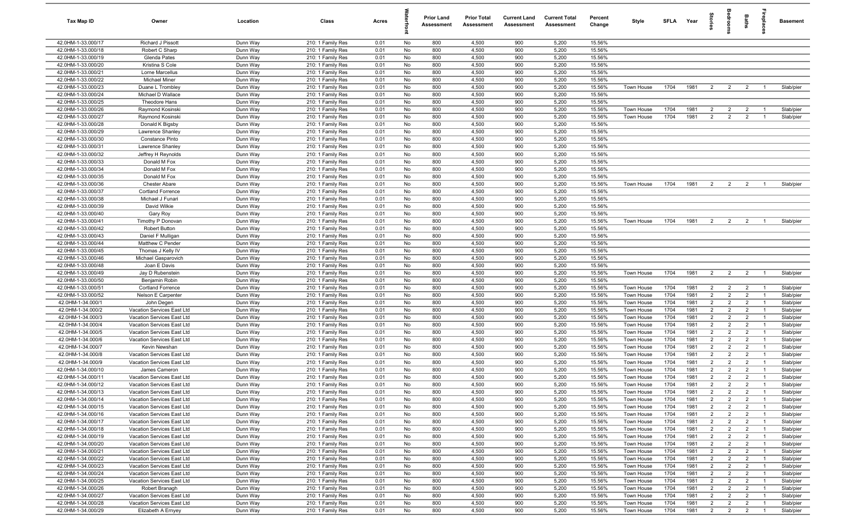| Tax Map ID                               | Owner                                                    | Location             | Class                                  | Acres        |          | <b>Prior Land</b><br>Assessment | <b>Prior Total</b><br>Assessment | <b>Current Land</b><br>Assessment | <b>Current Total</b><br>Assessment | Percent<br>Change | Style                    | <b>SFLA</b>  | Year         | ĝ                                |                                  | Baths                            | repla                            | Basement               |
|------------------------------------------|----------------------------------------------------------|----------------------|----------------------------------------|--------------|----------|---------------------------------|----------------------------------|-----------------------------------|------------------------------------|-------------------|--------------------------|--------------|--------------|----------------------------------|----------------------------------|----------------------------------|----------------------------------|------------------------|
| 42.0HM-1-33.000/17                       | Richard J Pissott                                        | Dunn Way             | 210: 1 Family Res                      | 0.01         | No       | 800                             | 4,500                            | 900                               | 5,200                              | 15.56%            |                          |              |              |                                  |                                  |                                  |                                  |                        |
| 42.0HM-1-33.000/18                       | Robert C Sharp                                           | Dunn Way             | 210: 1 Family Res                      | 0.01         | No       | 800                             | 4,500                            | 900                               | 5,200                              | 15.56%            |                          |              |              |                                  |                                  |                                  |                                  |                        |
| 42.0HM-1-33.000/19                       | Glenda Pates                                             | Dunn Way             | 210: 1 Family Res                      | 0.01         | No       | 800                             | 4,500                            | 900                               | 5,200                              | 15.56%            |                          |              |              |                                  |                                  |                                  |                                  |                        |
| 42.0HM-1-33.000/20                       | Kristina S Cole                                          | Dunn Way             | 210: 1 Family Res                      | 0.01         | No       | 800                             | 4,500                            | 900                               | 5,200                              | 15.56%            |                          |              |              |                                  |                                  |                                  |                                  |                        |
| 42.0HM-1-33.000/21                       | Lorne Marcellus                                          | Dunn Way             | 210: 1 Family Res                      | 0.01         | No       | 800                             | 4,500                            | 900                               | 5,200                              | 15.56%            |                          |              |              |                                  |                                  |                                  |                                  |                        |
| 42.0HM-1-33.000/22<br>42.0HM-1-33.000/23 | <b>Michael Miner</b>                                     | Dunn Way             | 210: 1 Family Res                      | 0.01         | No       | 800<br>800                      | 4,500<br>4,500                   | 900<br>900                        | 5,200<br>5,200                     | 15.56%            |                          | 1704         | 1981         | $\overline{2}$                   |                                  |                                  |                                  |                        |
| 42.0HM-1-33.000/24                       | Duane L Trombley<br>Michael D Wallace                    | Dunn Way<br>Dunn Way | 210: 1 Family Res<br>210: 1 Family Res | 0.01<br>0.01 | No<br>No | 800                             | 4,500                            | 900                               | 5,200                              | 15.56%<br>15.56%  | Town House               |              |              |                                  | $\overline{2}$                   | $\overline{2}$                   |                                  | Slab/pier              |
| 42.0HM-1-33.000/25                       | Theodore Hans                                            | Dunn Way             | 210: 1 Family Res                      | 0.01         | No       | 800                             | 4,500                            | 900                               | 5,200                              | 15.56%            |                          |              |              |                                  |                                  |                                  |                                  |                        |
| 42.0HM-1-33.000/26                       | Raymond Kosinski                                         | Dunn Way             | 210: 1 Family Res                      | 0.01         | No       | 800                             | 4,500                            | 900                               | 5,200                              | 15.56%            | Town House               | 1704         | 1981         | $\overline{2}$                   | $\overline{2}$                   | $\overline{2}$                   | $\overline{1}$                   | Slab/pier              |
| 42.0HM-1-33.000/27                       | Raymond Kosinski                                         | Dunn Way             | 210: 1 Family Res                      | 0.01         | No       | 800                             | 4,500                            | 900                               | 5,200                              | 15.56%            | Town House               | 1704         | 1981         | 2                                | $\overline{2}$                   | $\overline{2}$                   | $\overline{1}$                   | Slab/pier              |
| 42.0HM-1-33.000/28                       | Donald K Bigsby                                          | Dunn Way             | 210: 1 Family Res                      | 0.01         | No       | 800                             | 4,500                            | 900                               | 5,200                              | 15.56%            |                          |              |              |                                  |                                  |                                  |                                  |                        |
| 42.0HM-1-33.000/29                       | Lawrence Shanley                                         | Dunn Way             | 210: 1 Family Res                      | 0.01         | No       | 800                             | 4,500                            | 900                               | 5,200                              | 15.56%            |                          |              |              |                                  |                                  |                                  |                                  |                        |
| 42.0HM-1-33.000/30                       | Constance Pinto                                          | Dunn Way             | 210: 1 Family Res                      | 0.01         | No       | 800                             | 4,500                            | 900                               | 5,200                              | 15.56%            |                          |              |              |                                  |                                  |                                  |                                  |                        |
| 42.0HM-1-33.000/31                       | Lawrence Shanley                                         | Dunn Way             | 210: 1 Family Res                      | 0.01         | No       | 800                             | 4,500                            | 900                               | 5,200                              | 15.56%            |                          |              |              |                                  |                                  |                                  |                                  |                        |
| 42.0HM-1-33.000/32                       | Jeffrey H Reynolds                                       | Dunn Way             | 210: 1 Family Res                      | 0.01         | No       | 800                             | 4,500                            | 900                               | 5,200                              | 15.56%            |                          |              |              |                                  |                                  |                                  |                                  |                        |
| 42.0HM-1-33.000/33                       | Donald M Fox                                             | Dunn Way             | 210: 1 Family Res                      | 0.01         | No       | 800                             | 4,500                            | 900                               | 5,200                              | 15.56%            |                          |              |              |                                  |                                  |                                  |                                  |                        |
| 42.0HM-1-33.000/34                       | Donald M Fox                                             | Dunn Way             | 210: 1 Family Res                      | 0.01         | No       | 800                             | 4,500                            | 900                               | 5,200                              | 15.56%            |                          |              |              |                                  |                                  |                                  |                                  |                        |
| 42.0HM-1-33.000/35                       | Donald M Fox                                             | Dunn Way             | 210: 1 Family Res                      | 0.01         | No       | 800                             | 4,500                            | 900                               | 5,200                              | 15.56%            |                          |              |              |                                  |                                  |                                  |                                  |                        |
| 42.0HM-1-33.000/36                       | <b>Chester Abare</b>                                     | Dunn Way             | 210: 1 Family Res                      | 0.01         | No       | 800                             | 4,500                            | 900                               | 5,200                              | 15.56%            | Town House               | 1704         | 1981         | $\overline{2}$                   | $\overline{2}$                   | $\overline{2}$                   |                                  | Slab/pier              |
| 42.0HM-1-33.000/37                       | Cortland Forrence                                        | Dunn Way             | 210: 1 Family Res<br>210: 1 Family Res | 0.01         | No       | 800                             | 4,500                            | 900                               | 5,200                              | 15.56%            |                          |              |              |                                  |                                  |                                  |                                  |                        |
| 42.0HM-1-33.000/38<br>42.0HM-1-33.000/39 | Michael J Funari<br>David Wilkie                         | Dunn Way<br>Dunn Way | 210: 1 Family Res                      | 0.01<br>0.01 | No<br>No | 800<br>800                      | 4,500<br>4,500                   | 900<br>900                        | 5,200<br>5,200                     | 15.56%<br>15.56%  |                          |              |              |                                  |                                  |                                  |                                  |                        |
| 42.0HM-1-33.000/40                       | Gary Roy                                                 | Dunn Way             | 210: 1 Family Res                      | 0.01         | No       | 800                             | 4,500                            | 900                               | 5,200                              | 15.56%            |                          |              |              |                                  |                                  |                                  |                                  |                        |
| 42.0HM-1-33.000/41                       | Timothy P Donovan                                        | Dunn Way             | 210: 1 Family Res                      | 0.01         | No       | 800                             | 4,500                            | 900                               | 5,200                              | 15.56%            | Town House               | 1704         | 1981         | $\overline{2}$                   | $\overline{2}$                   | $\overline{2}$                   | $\overline{1}$                   | Slab/pier              |
| 42.0HM-1-33.000/42                       | <b>Robert Button</b>                                     | Dunn Way             | 210: 1 Family Res                      | 0.01         | No       | 800                             | 4,500                            | 900                               | 5,200                              | 15.56%            |                          |              |              |                                  |                                  |                                  |                                  |                        |
| 42.0HM-1-33.000/43                       | Daniel F Mulligan                                        | Dunn Way             | 210: 1 Family Res                      | 0.01         | No       | 800                             | 4,500                            | 900                               | 5,200                              | 15.56%            |                          |              |              |                                  |                                  |                                  |                                  |                        |
| 42.0HM-1-33.000/44                       | Matthew C Pender                                         | Dunn Way             | 210: 1 Family Res                      | 0.01         | No       | 800                             | 4,500                            | 900                               | 5,200                              | 15.56%            |                          |              |              |                                  |                                  |                                  |                                  |                        |
| 42.0HM-1-33.000/45                       | Thomas J Kelly IV                                        | Dunn Way             | 210: 1 Family Res                      | 0.01         | No       | 800                             | 4,500                            | 900                               | 5,200                              | 15.56%            |                          |              |              |                                  |                                  |                                  |                                  |                        |
| 42.0HM-1-33.000/46                       | Michael Gasparovich                                      | Dunn Way             | 210: 1 Family Res                      | 0.01         | No       | 800                             | 4,500                            | 900                               | 5,200                              | 15.56%            |                          |              |              |                                  |                                  |                                  |                                  |                        |
| 42.0HM-1-33.000/48                       | Joan E Davis                                             | Dunn Way             | 210: 1 Family Res                      | 0.01         | No       | 800                             | 4,500                            | 900                               | 5,200                              | 15.56%            |                          |              |              |                                  |                                  |                                  |                                  |                        |
| 42.0HM-1-33.000/49                       | Jay D Rubenstein                                         | Dunn Way             | 210: 1 Family Res                      | 0.01         | No       | 800                             | 4,500                            | 900                               | 5,200                              | 15.56%            | Town House               | 1704         | 1981         | $\overline{2}$                   | $\overline{2}$                   | $\overline{2}$                   | $\overline{1}$                   | Slab/pier              |
| 42.0HM-1-33.000/50                       | Benjamin Robin                                           | Dunn Way             | 210: 1 Family Res                      | 0.01         | No       | 800                             | 4,500                            | 900                               | 5,200                              | 15.56%            |                          |              |              |                                  |                                  |                                  |                                  |                        |
| 42.0HM-1-33.000/51                       | <b>Cortland Forrence</b>                                 | Dunn Way             | 210: 1 Family Res                      | 0.01         | No       | 800                             | 4,500                            | 900                               | 5,200                              | 15.56%            | Town House               | 1704         | 1981         | $\overline{2}$                   | $\overline{2}$                   | $\overline{2}$                   | $\overline{1}$                   | Slab/pier              |
| 42.0HM-1-33.000/52                       | Nelson E Carpenter                                       | Dunn Way             | 210: 1 Family Res                      | 0.01         | No       | 800                             | 4,500                            | 900                               | 5,200                              | 15.56%            | Town House               | 1704         | 1981         | $\overline{2}$                   | $\overline{2}$                   | $\overline{2}$                   | $\overline{1}$                   | Slab/pier              |
| 42.0HM-1-34.000/1<br>42.0HM-1-34.000/2   | John Degen<br>Vacation Services East Ltd                 | Dunn Way             | 210: 1 Family Res                      | 0.01<br>0.01 | No<br>No | 800<br>800                      | 4,500<br>4,500                   | 900<br>900                        | 5,200<br>5,200                     | 15.56%<br>15.56%  | Town House<br>Town House | 1704<br>1704 | 1981<br>1981 | $\overline{2}$<br>$\overline{2}$ | $\overline{2}$<br>$\overline{2}$ | $\overline{2}$<br>$\overline{2}$ | $\overline{1}$<br>$\overline{1}$ | Slab/pier              |
| 42.0HM-1-34.000/3                        | Vacation Services East Ltd                               | Dunn Way<br>Dunn Way | 210: 1 Family Res<br>210: 1 Family Res | 0.01         | No       | 800                             | 4,500                            | 900                               | 5,200                              | 15.56%            | Town House               | 1704         | 1981         | $\overline{2}$                   | $\overline{2}$                   | $\overline{2}$                   | $\overline{1}$                   | Slab/pier<br>Slab/pier |
| 42.0HM-1-34.000/4                        | Vacation Services East Ltd                               | Dunn Way             | 210: 1 Family Res                      | 0.01         | No       | 800                             | 4,500                            | 900                               | 5,200                              | 15.56%            | Town House               | 1704         | 1981         | $\overline{2}$                   | $\overline{2}$                   | $\overline{2}$                   |                                  | Slab/pier              |
| 42.0HM-1-34.000/5                        | Vacation Services East Ltd                               | Dunn Way             | 210: 1 Family Res                      | 0.01         | No       | 800                             | 4,500                            | 900                               | 5,200                              | 15.56%            | Town House               | 1704         | 1981         | $\overline{2}$                   | $\overline{2}$                   | $\overline{2}$                   | $\overline{1}$                   | Slab/pier              |
| 42.0HM-1-34.000/6                        | Vacation Services East Ltd                               | Dunn Way             | 210: 1 Family Res                      | 0.01         | No       | 800                             | 4,500                            | 900                               | 5,200                              | 15.56%            | Town House               | 1704         | 1981         | $\overline{2}$                   | $\overline{2}$                   | $\overline{2}$                   |                                  | Slab/pier              |
| 42.0HM-1-34.000/7                        | Kevin Newshan                                            | Dunn Way             | 210: 1 Family Res                      | 0.01         | No       | 800                             | 4,500                            | 900                               | 5,200                              | 15.56%            | Town House               | 1704         | 1981         | $2^{\circ}$                      | $\overline{2}$                   | $\overline{2}$                   | $\overline{1}$                   | Slab/pier              |
| 42.0HM-1-34.000/8                        | Vacation Services East Ltd                               | Dunn Way             | 210: 1 Family Res                      | 0.01         | No       | 800                             | 4,500                            | 900                               | 5,200                              | 15.56%            | Town House               | 1704         | 1981         | $\overline{2}$                   | $\overline{2}$                   | $\overline{2}$                   |                                  | Slab/pier              |
| 42.0HM-1-34.000/9                        | Vacation Services East Ltd                               | Dunn Way             | 210: 1 Family Res                      | 0.01         | No       | 800                             | 4,500                            | 900                               | 5,200                              | 15.56%            | Town House               | 1704         | 1981         | $\overline{2}$                   | $\overline{2}$                   | $\overline{2}$                   |                                  | Slab/pier              |
| 42.0HM-1-34.000/10                       | James Cameron                                            | Dunn Way             | 210: 1 Family Res                      | 0.01         | No       | 800                             | 4,500                            | 900                               | 5,200                              | 15.56%            | Town House               | 1704         | 1981         | $\overline{2}$                   | $\overline{2}$                   | $\overline{2}$                   |                                  | Slab/pier              |
| 42.0HM-1-34.000/11                       | Vacation Services East Ltd                               | Dunn Way             | 210: 1 Family Res                      | 0.01         | No       | 800                             | 4,500                            | 900                               | 5,200                              | 15.56%            | <b>Town House</b>        | 1704         | 1981         | $\overline{2}$                   | $\overline{2}$                   | $\overline{2}$                   | $\overline{1}$                   | Slab/pier              |
| 42.0HM-1-34.000/12                       | Vacation Services East Ltd                               | Dunn Way             | 210: 1 Family Res                      | 0.01         | No       | 800                             | 4,500                            | 900                               | 5,200                              | 15.56%            | Town House               | 1704         | 1981         | $\overline{2}$                   | $\overline{2}$                   | $\overline{2}$                   |                                  | Slab/pier              |
| 42.0HM-1-34.000/13                       | Vacation Services East Ltd                               | Dunn Way             | 210: 1 Family Res                      | 0.01         | No       | 800                             | 4,500                            | 900                               | 5,200                              | 15.56%            | Town House               | 1704         | 1981         | $\overline{2}$                   | $\overline{2}$                   | $\overline{2}$                   | $\overline{1}$                   | Slab/pier              |
| 42.0HM-1-34.000/14                       | Vacation Services East Ltd                               | Dunn Way             | 210: 1 Family Res                      | 0.01         | No       | 800                             | 4,500                            | 900                               | 5,200                              | 15.56%            | Town House               | 1704         | 1981         | 2                                | $\overline{2}$                   | $\overline{2}$                   | $\overline{1}$                   | Slab/pier              |
| 42.0HM-1-34.000/15                       | Vacation Services East Ltd                               | Dunn Way             | 210: 1 Family Res                      | 0.01         | No       | 800                             | 4,500                            | 900                               | 5,200                              | 15.56%            | Town House               | 1704         | 1981         | $\overline{2}$                   | $\overline{2}$                   | $\overline{2}$                   | $\overline{1}$                   | Slab/pier              |
| 42.0HM-1-34.000/16<br>42.0HM-1-34.000/17 | Vacation Services East Ltd                               | Dunn Way             | 210: 1 Family Res                      | 0.01         | No       | 800                             | 4,500<br>4,500                   | 900<br>900                        | 5,200<br>5,200                     | 15.56%<br>15.56%  | Town House               | 1704         | 1981<br>1981 | $\overline{2}$<br>$\overline{2}$ | $\overline{2}$                   | $\overline{2}$                   | $\overline{1}$                   | Slab/pier              |
| 42.0HM-1-34.000/18                       | Vacation Services East Ltd<br>Vacation Services East Ltd | Dunn Way<br>Dunn Way | 210: 1 Family Res<br>210: 1 Family Res | 0.01<br>0.01 | No<br>No | 800<br>800                      | 4,500                            | 900                               | 5,200                              | 15.56%            | Town House<br>Town House | 1704<br>1704 | 1981         | $\overline{2}$                   | $\overline{2}$<br>$\overline{2}$ | $\overline{2}$<br>$\overline{2}$ | - 1<br>$\overline{1}$            | Slab/pier<br>Slab/pier |
| 42.0HM-1-34.000/19                       | Vacation Services East Ltd                               | Dunn Way             | 210: 1 Family Res                      | 0.01         | No       | 800                             | 4,500                            | 900                               | 5,200                              | 15.56%            | Town House               | 1704         | 1981         | $\overline{2}$                   | $\overline{2}$                   | $\overline{2}$                   |                                  | Slab/pier              |
| 42.0HM-1-34.000/20                       | Vacation Services East Ltd                               | Dunn Way             | 210: 1 Family Res                      | 0.01         | No       | 800                             | 4,500                            | 900                               | 5,200                              | 15.56%            | Town House               | 1704         | 1981         | $\overline{a}$                   | $\overline{2}$                   | $\overline{2}$                   | $\overline{1}$                   | Slab/pier              |
| 42.0HM-1-34.000/21                       | Vacation Services East Ltd                               | Dunn Way             | 210: 1 Family Res                      | 0.01         | No       | 800                             | 4,500                            | 900                               | 5,200                              | 15.56%            | Town House               | 1704         | 1981         | $\overline{2}$                   | $\overline{2}$                   | $\overline{2}$                   |                                  | Slab/pier              |
| 42.0HM-1-34.000/22                       | Vacation Services East Ltd                               | Dunn Way             | 210: 1 Family Res                      | 0.01         | No       | 800                             | 4,500                            | 900                               | 5,200                              | 15.56%            | Town House               | 1704         | 1981         | $\overline{2}$                   | $\overline{2}$                   | $\overline{2}$                   | $\overline{1}$                   | Slab/pier              |
| 42.0HM-1-34.000/23                       | Vacation Services East Ltd                               | Dunn Way             | 210: 1 Family Res                      | 0.01         | No       | 800                             | 4,500                            | 900                               | 5,200                              | 15.56%            | Town House               | 1704         | 1981         | $\overline{2}$                   | $\overline{2}$                   | $\overline{2}$                   | $\overline{1}$                   | Slab/pier              |
| 42.0HM-1-34.000/24                       | Vacation Services East Ltd                               | Dunn Way             | 210: 1 Family Res                      | 0.01         | No       | 800                             | 4,500                            | 900                               | 5,200                              | 15.56%            | Town House               | 1704         | 1981         | $\overline{2}$                   | $\overline{2}$                   | $\overline{2}$                   | $\overline{1}$                   | Slab/pier              |
| 42.0HM-1-34.000/25                       | Vacation Services East Ltd                               | Dunn Way             | 210: 1 Family Res                      | 0.01         | No       | 800                             | 4,500                            | 900                               | 5,200                              | 15.56%            | Town House               | 1704         | 1981         | $\overline{2}$                   | $\overline{2}$                   | $\overline{2}$                   | $\overline{1}$                   | Slab/pier              |
| 42.0HM-1-34.000/26                       | Robert Branagh                                           | Dunn Way             | 210: 1 Family Res                      | 0.01         | No       | 800                             | 4,500                            | 900                               | 5,200                              | 15.56%            | Town House               | 1704         | 1981         | $\overline{2}$                   | $\overline{2}$                   | $\overline{2}$                   | $\overline{1}$                   | Slab/pier              |
| 42.0HM-1-34.000/27                       | Vacation Services East Ltd                               | Dunn Way             | 210: 1 Family Res                      | 0.01         | No       | 800                             | 4,500                            | 900                               | 5,200                              | 15.56%            | Town House               | 1704         | 1981         | $\overline{2}$                   | $\overline{2}$                   | $\overline{2}$                   | $\overline{1}$                   | Slab/pier              |
| 42.0HM-1-34.000/28                       | Vacation Services East Ltd                               | Dunn Way             | 210: 1 Family Res                      | 0.01         | No       | 800                             | 4,500                            | 900                               | 5,200                              | 15.56%            | Town House               | 1704         | 1981         | $\overline{2}$                   | $\overline{2}$                   | $\overline{2}$                   | $\overline{1}$                   | Slab/pier              |
| 42.0HM-1-34.000/29                       | Elizabeth A Ernyey                                       | Dunn Way             | 210: 1 Family Res                      | 0.01         | No       | 800                             | 4,500                            | 900                               | 5,200                              | 15.56%            | Town House               | 1704         | 1981         | $\overline{2}$                   | $\overline{2}$                   | $\overline{2}$                   | - 1                              | Slab/pier              |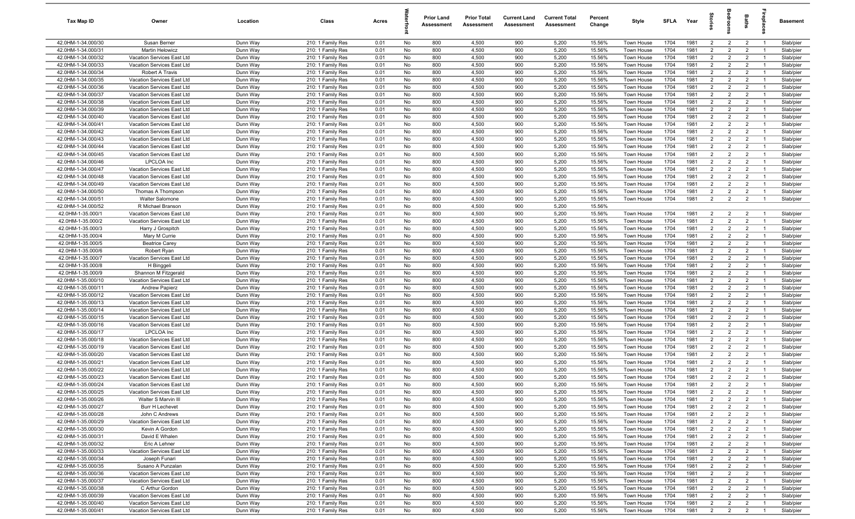| Tax Map ID                               | Owner                                                    | Location             | Class                                  | Acres        |          | <b>Prior Land</b><br>Assessment | <b>Prior Total</b><br>Assessment | <b>Current Land</b><br>Assessment | <b>Current Total</b><br>Assessment | Percent<br>Change | Style                    | <b>SFLA</b>  | Year         | $\frac{1}{2}$                    |                                  | Baths                            | 용                                | <b>Basement</b>        |
|------------------------------------------|----------------------------------------------------------|----------------------|----------------------------------------|--------------|----------|---------------------------------|----------------------------------|-----------------------------------|------------------------------------|-------------------|--------------------------|--------------|--------------|----------------------------------|----------------------------------|----------------------------------|----------------------------------|------------------------|
| 42.0HM-1-34.000/30                       | Susan Berner                                             | Dunn Way             | 210: 1 Family Res                      | 0.01         | No       | 800                             | 4,500                            | 900                               | 5,200                              | 15.56%            | Town House               | 1704         | 1981         | $\overline{2}$                   | $\overline{2}$                   | $\overline{2}$                   | $\overline{1}$                   | Slab/pier              |
| 42.0HM-1-34.000/31                       | <b>Martin Helowicz</b>                                   | Dunn Way             | 210: 1 Family Res                      | 0.01         | No       | 800                             | 4,500                            | 900                               | 5,200                              | 15.56%            | Town House               | 1704         | 1981         | $\overline{2}$                   | $\overline{2}$                   | $\overline{2}$                   | $\overline{1}$                   | Slab/pier              |
| 42.0HM-1-34.000/32                       | Vacation Services East Ltd                               | Dunn Way             | 210: 1 Family Res                      | 0.01         | No       | 800                             | 4,500                            | 900                               | 5,200                              | 15.56%            | Town House               | 1704         | 1981         | $\overline{2}$                   | $\overline{2}$                   | $\overline{2}$                   | $\overline{1}$                   | Slab/pier              |
| 42.0HM-1-34.000/33                       | Vacation Services East Ltd                               | Dunn Way             | 210: 1 Family Res                      | 0.01         | No       | 800                             | 4,500                            | 900                               | 5,200                              | 15.56%            | Town House               | 1704         | 1981         | $\overline{2}$                   | $\overline{2}$                   | $\overline{2}$                   |                                  | Slab/pier              |
| 42.0HM-1-34.000/34                       | Robert A Travis                                          | Dunn Way             | 210: 1 Family Res                      | 0.01         | No       | 800                             | 4,500<br>4,500                   | 900<br>900                        | 5,200<br>5,200                     | 15.56%<br>15.56%  | Town House               | 1704<br>1704 | 1981<br>1981 | $\overline{2}$<br>$\overline{2}$ | $\overline{2}$<br>$\overline{2}$ | $\overline{2}$                   | $\overline{1}$                   | Slab/pier<br>Slab/pier |
| 42.0HM-1-34.000/35<br>42.0HM-1-34.000/36 | Vacation Services East Ltd<br>Vacation Services East Ltd | Dunn Way<br>Dunn Way | 210: 1 Family Res<br>210: 1 Family Res | 0.01<br>0.01 | No<br>No | 800<br>800                      | 4,500                            | 900                               | 5,200                              | 15.56%            | Town House<br>Town House | 1704         | 1981         | $\overline{2}$                   | $\overline{2}$                   | $\overline{2}$<br>$\overline{2}$ | $\overline{1}$                   | Slab/pier              |
| 42.0HM-1-34.000/37                       | Vacation Services East Ltd                               | Dunn Way             | 210: 1 Family Res                      | 0.01         | No       | 800                             | 4,500                            | 900                               | 5,200                              | 15.56%            | Town House               | 1704         | 1981         | $\overline{2}$                   | $\overline{2}$                   | $\overline{2}$                   | $\overline{1}$                   | Slab/pier              |
| 42.0HM-1-34.000/38                       | Vacation Services East Ltd                               | Dunn Way             | 210: 1 Family Res                      | 0.01         | No       | 800                             | 4,500                            | 900                               | 5,200                              | 15.56%            | Town House               | 1704         | 1981         | $\overline{2}$                   | $\overline{2}$                   | $\overline{2}$                   | $\overline{1}$                   | Slab/pier              |
| 42.0HM-1-34.000/39                       | Vacation Services East Ltd                               | Dunn Way             | 210: 1 Family Res                      | 0.01         | No       | 800                             | 4,500                            | 900                               | 5,200                              | 15.56%            | Town House               | 1704         | 1981         | $\overline{2}$                   | $\overline{2}$                   | $\overline{2}$                   | $\overline{1}$                   | Slab/pier              |
| 42.0HM-1-34.000/40                       | Vacation Services East Ltd                               | Dunn Way             | 210: 1 Family Res                      | 0.01         | No       | 800                             | 4,500                            | 900                               | 5,200                              | 15.56%            | Town House               | 1704         | 1981         | 2                                | $\overline{2}$                   | $\overline{2}$                   | $\overline{1}$                   | Slab/pier              |
| 42.0HM-1-34.000/41                       | Vacation Services East Ltd                               | Dunn Way             | 210: 1 Family Res                      | 0.01         | No       | 800                             | 4,500                            | 900                               | 5,200                              | 15.56%            | Town House               | 1704         | 1981         | $\overline{2}$                   | $\overline{2}$                   | $\overline{2}$                   | $\overline{1}$                   | Slab/pier              |
| 42.0HM-1-34.000/42                       | Vacation Services East Ltd                               | Dunn Way             | 210: 1 Family Res                      | 0.01         | No       | 800                             | 4,500                            | 900                               | 5,200                              | 15.56%            | Town House               | 1704         | 1981         | $\overline{2}$                   | 2                                | $\overline{2}$                   | $\overline{1}$                   | Slab/pier              |
| 42.0HM-1-34.000/43                       | Vacation Services East Ltd                               | Dunn Way             | 210: 1 Family Res                      | 0.01         | No       | 800                             | 4,500                            | 900                               | 5,200                              | 15.56%            | Town House               | 1704         | 1981         | $\overline{2}$                   | $\overline{2}$                   | $\overline{2}$                   | $\overline{1}$                   | Slab/pier              |
| 42.0HM-1-34.000/44                       | Vacation Services East Ltd                               | Dunn Way             | 210: 1 Family Res                      | 0.01         | No       | 800                             | 4,500                            | 900                               | 5,200                              | 15.56%            | Town House               | 1704         | 1981         | $\overline{2}$                   | $\overline{2}$                   | $\overline{2}$                   | -1                               | Slab/pier              |
| 42.0HM-1-34.000/45                       | Vacation Services East Ltd                               | Dunn Way             | 210: 1 Family Res                      | 0.01         | No       | 800                             | 4,500                            | 900                               | 5,200                              | 15.56%            | Town House               | 1704         | 1981         | $\overline{2}$                   | $\overline{2}$                   | $\overline{2}$                   | $\overline{1}$                   | Slab/pier              |
| 42.0HM-1-34.000/46                       | LPCLOA Inc                                               | Dunn Way             | 210: 1 Family Res                      | 0.01         | No       | 800                             | 4,500                            | 900                               | 5,200                              | 15.56%            | Town House               | 1704         | 1981         | $\overline{2}$                   | $\overline{2}$                   | $\overline{2}$                   |                                  | Slab/pier              |
| 42.0HM-1-34.000/47                       | Vacation Services East Ltd                               | Dunn Way             | 210: 1 Family Res                      | 0.01         | No       | 800                             | 4,500                            | 900                               | 5,200                              | 15.56%            | Town House               | 1704         | 1981         | $\overline{2}$                   | $\overline{2}$                   | $\overline{2}$                   | $\overline{1}$                   | Slab/pier              |
| 42.0HM-1-34.000/48<br>42.0HM-1-34.000/49 | Vacation Services East Ltd<br>Vacation Services East Ltd | Dunn Way             | 210: 1 Family Res                      | 0.01<br>0.01 | No<br>No | 800<br>800                      | 4,500<br>4,500                   | 900<br>900                        | 5,200<br>5,200                     | 15.56%<br>15.56%  | <b>Town House</b>        | 1704<br>1704 | 1981<br>1981 | $\overline{2}$<br>$\overline{2}$ | $\overline{2}$<br>$\overline{2}$ | $\overline{2}$<br>$\overline{2}$ | $\overline{1}$                   | Slab/pier              |
| 42.0HM-1-34.000/50                       | Thomas A Thompson                                        | Dunn Way<br>Dunn Way | 210: 1 Family Res<br>210: 1 Family Res | 0.01         | No       | 800                             | 4,500                            | 900                               | 5,200                              | 15.56%            | Town House<br>Town House | 1704         | 1981         | $\overline{2}$                   | $\overline{2}$                   | $\overline{2}$                   | $\overline{1}$                   | Slab/pier<br>Slab/pier |
| 42.0HM-1-34.000/51                       | <b>Walter Salomone</b>                                   | Dunn Way             | 210: 1 Family Res                      | 0.01         | No       | 800                             | 4,500                            | 900                               | 5,200                              | 15.56%            | Town House               | 1704         | 1981         | $\overline{2}$                   | $\overline{2}$                   | $\overline{2}$                   | $\overline{1}$                   | Slab/pier              |
| 42.0HM-1-34.000/52                       | R Michael Branson                                        | Dunn Way             | 210: 1 Family Res                      | 0.01         | No       | 800                             | 4,500                            | 900                               | 5,200                              | 15.56%            |                          |              |              |                                  |                                  |                                  |                                  |                        |
| 42.0HM-1-35.000/1                        | Vacation Services East Ltd                               | Dunn Way             | 210: 1 Family Res                      | 0.01         | No       | 800                             | 4,500                            | 900                               | 5,200                              | 15.56%            | Town House               | 1704         | 1981         | 2                                | $\overline{2}$                   | $\overline{2}$                   | $\overline{1}$                   | Slab/pier              |
| 42.0HM-1-35.000/2                        | Vacation Services East Ltd                               | Dunn Way             | 210: 1 Family Res                      | 0.01         | No       | 800                             | 4,500                            | 900                               | 5,200                              | 15.56%            | Town House               | 1704         | 1981         | $\overline{2}$                   | 2                                | $\overline{2}$                   | $\overline{1}$                   | Slab/pier              |
| 42.0HM-1-35.000/3                        | Harry J Grospitch                                        | Dunn Way             | 210: 1 Family Res                      | 0.01         | No       | 800                             | 4,500                            | 900                               | 5,200                              | 15.56%            | Town House               | 1704         | 1981         | $\overline{2}$                   | $\overline{2}$                   | $\overline{2}$                   | $\overline{1}$                   | Slab/pier              |
| 42.0HM-1-35.000/4                        | Mary M Currie                                            | Dunn Way             | 210: 1 Family Res                      | 0.01         | No       | 800                             | 4,500                            | 900                               | 5,200                              | 15.56%            | Town House               | 1704         | 1981         | $\overline{2}$                   | $\overline{2}$                   | $\overline{2}$                   | $\overline{1}$                   | Slab/pier              |
| 42.0HM-1-35.000/5                        | <b>Beatrice Carey</b>                                    | Dunn Way             | 210: 1 Family Res                      | 0.01         | No       | 800                             | 4,500                            | 900                               | 5,200                              | 15.56%            | Town House               | 1704         | 1981         | $\overline{2}$                   | $\overline{2}$                   | $\overline{2}$                   | $\overline{1}$                   | Slab/pier              |
| 42.0HM-1-35.000/6                        | Robert Ryan                                              | Dunn Way             | 210: 1 Family Res                      | 0.01         | No       | 800                             | 4,500                            | 900                               | 5,200                              | 15.56%            | Town House               | 1704         | 1981         | $\overline{2}$                   | $\overline{2}$                   | $\overline{2}$                   | $\overline{1}$                   | Slab/pier              |
| 42.0HM-1-35.000/7                        | Vacation Services East Ltd                               | Dunn Way             | 210: 1 Family Res                      | 0.01         | No       | 800                             | 4,500                            | 900                               | 5,200                              | 15.56%            | Town House               | 1704         | 1981         | $\overline{2}$                   | $\overline{2}$                   | $\overline{2}$                   |                                  | Slab/pier              |
| 42.0HM-1-35.000/8                        | H Binggeli                                               | Dunn Way             | 210: 1 Family Res                      | 0.01         | No       | 800                             | 4,500                            | 900                               | 5,200                              | 15.56%            | Town House               | 1704         | 1981         | $\overline{2}$                   | $\overline{2}$                   | $\overline{2}$                   | $\overline{1}$                   | Slab/pier              |
| 42.0HM-1-35.000/9                        | Shannon M Fitzgerald                                     | Dunn Way             | 210: 1 Family Res                      | 0.01         | No       | 800                             | 4,500                            | 900                               | 5,200                              | 15.56%            | Town House               | 1704         | 1981         | $\overline{2}$                   | $\overline{2}$                   | $\overline{2}$                   | $\overline{1}$                   | Slab/pier              |
| 42.0HM-1-35.000/10                       | Vacation Services East Ltd                               | Dunn Way             | 210: 1 Family Res                      | 0.01         | No       | 800                             | 4,500                            | 900                               | 5,200                              | 15.56%            | Town House               | 1704         | 1981         | $\overline{2}$                   | $\overline{2}$                   | $\overline{2}$                   | $\overline{1}$                   | Slab/pier              |
| 42.0HM-1-35.000/11                       | <b>Andrew Papierz</b>                                    | Dunn Way             | 210: 1 Family Res                      | 0.01         | No       | 800                             | 4,500                            | 900                               | 5,200                              | 15.56%            | Town House               | 1704         | 1981         | $\overline{2}$<br>$\overline{2}$ | $\overline{2}$<br>$\overline{2}$ | $\overline{2}$<br>$\overline{2}$ | $\overline{1}$<br>$\overline{1}$ | Slab/pier              |
| 42.0HM-1-35.000/12<br>42.0HM-1-35.000/13 | Vacation Services East Ltd<br>Vacation Services East Ltd | Dunn Way<br>Dunn Way | 210: 1 Family Res<br>210: 1 Family Res | 0.01<br>0.01 | No<br>No | 800<br>800                      | 4,500<br>4,500                   | 900<br>900                        | 5,200<br>5,200                     | 15.56%<br>15.56%  | Town House<br>Town House | 1704<br>1704 | 1981<br>1981 | $\overline{2}$                   | $\overline{2}$                   | $\overline{2}$                   | $\overline{1}$                   | Slab/pier<br>Slab/pier |
| 42.0HM-1-35.000/14                       | Vacation Services East Ltd                               | Dunn Way             | 210: 1 Family Res                      | 0.01         | No       | 800                             | 4,500                            | 900                               | 5,200                              | 15.56%            | Town House               | 1704         | 1981         | $\overline{2}$                   | $\overline{2}$                   | $\overline{2}$                   | $\overline{1}$                   | Slab/pier              |
| 42.0HM-1-35.000/15                       | Vacation Services East Ltd                               | Dunn Way             | 210: 1 Family Res                      | 0.01         | No       | 800                             | 4,500                            | 900                               | 5,200                              | 15.56%            | Town House               | 1704         | 1981         | $\overline{2}$                   | 2                                | $\overline{2}$                   | $\overline{1}$                   | Slab/pier              |
| 42.0HM-1-35.000/16                       | Vacation Services East Ltd                               | Dunn Way             | 210: 1 Family Res                      | 0.01         | No       | 800                             | 4,500                            | 900                               | 5,200                              | 15.56%            | Town House               | 1704         | 1981         | $\overline{2}$                   | $\overline{2}$                   | $\overline{2}$                   |                                  | Slab/pier              |
| 42.0HM-1-35.000/17                       | LPCLOA Inc                                               | Dunn Way             | 210: 1 Family Res                      | 0.01         | No       | 800                             | 4,500                            | 900                               | 5,200                              | 15.56%            | Town House               | 1704         | 1981         | $\overline{2}$                   | $\overline{2}$                   | $\overline{2}$                   | $\overline{1}$                   | Slab/pier              |
| 42.0HM-1-35.000/18                       | Vacation Services East Ltd                               | Dunn Way             | 210: 1 Family Res                      | 0.01         | No       | 800                             | 4,500                            | 900                               | 5,200                              | 15.56%            | Town House               | 1704         | 1981         | $\overline{2}$                   | $\overline{2}$                   | $\overline{2}$                   | $\overline{1}$                   | Slab/pier              |
| 42.0HM-1-35.000/19                       | Vacation Services East Ltd                               | Dunn Way             | 210: 1 Family Res                      | 0.01         | No       | 800                             | 4,500                            | 900                               | 5,200                              | 15.56%            | Town House               | 1704         | 1981         | $\overline{2}$                   | $\overline{2}$                   | $\overline{2}$                   | $\overline{1}$                   | Slab/pier              |
| 42.0HM-1-35.000/20                       | Vacation Services East Ltd                               | Dunn Way             | 210: 1 Family Res                      | 0.01         | No       | 800                             | 4,500                            | 900                               | 5,200                              | 15.56%            | Town House               | 1704         | 1981         | $\overline{2}$                   | $\overline{2}$                   | $\overline{2}$                   |                                  | Slab/pier              |
| 42.0HM-1-35.000/21                       | Vacation Services East Ltd                               | Dunn Way             | 210: 1 Family Res                      | 0.01         | No       | 800                             | 4,500                            | 900                               | 5,200                              | 15.56%            | Town House               | 1704         | 1981         | $\overline{2}$                   | $\overline{2}$                   | $\overline{2}$                   |                                  | Slab/pier              |
| 42.0HM-1-35.000/22                       | Vacation Services East Ltd                               | Dunn Way             | 210: 1 Family Res                      | 0.01         | No       | 800                             | 4,500                            | 900                               | 5,200                              | 15.56%            | <b>Town House</b>        | 1704         | 1981         | $\overline{2}$                   | $\overline{2}$                   | $\overline{2}$                   |                                  | Slab/pier              |
| 42.0HM-1-35.000/23                       | Vacation Services East Ltd                               | Dunn Way             | 210: 1 Family Res                      | 0.01         | No       | 800                             | 4,500                            | 900                               | 5,200                              | 15.56%            | Town House               | 1704         | 1981         | $\overline{2}$                   | $\overline{2}$                   | $\overline{2}$                   | $\overline{1}$                   | Slab/pier              |
| 42.0HM-1-35.000/24                       | Vacation Services East Ltd                               | Dunn Way             | 210: 1 Family Res                      | 0.01         | No       | 800                             | 4,500                            | 900                               | 5,200                              | 15.56%            | Town House               | 1704         | 1981         | $\overline{2}$                   | $\overline{2}$                   | $\overline{2}$                   |                                  | Slab/pier              |
| 42.0HM-1-35.000/25<br>42.0HM-1-35.000/26 | Vacation Services East Ltd<br>Walter S Marvin III        | Dunn Way<br>Dunn Way | 210: 1 Family Res<br>210: 1 Family Res | 0.01<br>0.01 | No<br>No | 800<br>800                      | 4,500<br>4,500                   | 900<br>900                        | 5,200<br>5,200                     | 15.56%<br>15.56%  | Town House<br>Town House | 1704<br>1704 | 1981<br>1981 | $\overline{2}$<br>$\overline{2}$ | $\overline{2}$<br>$\overline{2}$ | $\overline{2}$<br>$\overline{2}$ | $\overline{1}$<br>$\overline{1}$ | Slab/pier<br>Slab/pier |
| 42.0HM-1-35.000/27                       | Burr H Lechevet                                          | Dunn Way             | 210: 1 Family Res                      | 0.01         | No       | 800                             | 4,500                            | 900                               | 5,200                              | 15.56%            | Town House               | 1704         | 1981         | $\overline{2}$                   | $\overline{2}$                   | $\overline{2}$                   | $\overline{1}$                   | Slab/pier              |
| 42.0HM-1-35.000/28                       | John C Andrews                                           | Dunn Way             | 210: 1 Family Res                      | 0.01         | No       | 800                             | 4,500                            | 900                               | 5,200                              | 15.56%            | Town House               | 1704         | 1981         | $\overline{2}$                   | $\overline{2}$                   | $\overline{2}$                   | $\overline{1}$                   | Slab/pier              |
| 42.0HM-1-35.000/29                       | Vacation Services East Ltd                               | Dunn Way             | 210: 1 Family Res                      | 0.01         | No       | 800                             | 4,500                            | 900                               | 5,200                              | 15.56%            | Town House               | 1704         | 1981         | $\overline{2}$                   | $\overline{2}$                   | $\overline{2}$                   | $\overline{1}$                   | Slab/pier              |
| 42.0HM-1-35.000/30                       | Kevin A Gordon                                           | Dunn Way             | 210: 1 Family Res                      | 0.01         | No       | 800                             | 4,500                            | 900                               | 5,200                              | 15.56%            | Town House               | 1704         | 1981         | $\overline{2}$                   | $\overline{2}$                   | $\overline{2}$                   | $\overline{1}$                   | Slab/pier              |
| 42.0HM-1-35.000/31                       | David E Whalen                                           | Dunn Way             | 210: 1 Family Res                      | 0.01         | No       | 800                             | 4,500                            | 900                               | 5,200                              | 15.56%            | Town House               | 1704         | 1981         | $\overline{2}$                   | $\overline{2}$                   | $\overline{2}$                   | $\overline{1}$                   | Slab/pier              |
| 42.0HM-1-35.000/32                       | Eric A Lehner                                            | Dunn Way             | 210: 1 Family Res                      | 0.01         | No       | 800                             | 4,500                            | 900                               | 5,200                              | 15.56%            | Town House               | 1704         | 1981         | $\overline{2}$                   | $\overline{2}$                   | $\overline{2}$                   | $\overline{1}$                   | Slab/pier              |
| 42.0HM-1-35.000/33                       | Vacation Services East Ltd                               | Dunn Way             | 210: 1 Family Res                      | 0.01         | No       | 800                             | 4,500                            | 900                               | 5,200                              | 15.56%            | Town House               | 1704         | 1981         | $\overline{2}$                   | $\overline{2}$                   | $\overline{2}$                   | $\overline{1}$                   | Slab/pier              |
| 42.0HM-1-35.000/34                       | Joseph Funari                                            | Dunn Way             | 210: 1 Family Res                      | 0.01         | No       | 800                             | 4,500                            | 900                               | 5,200                              | 15.56%            | Town House               | 1704         | 1981         | $\overline{2}$                   | $\overline{2}$                   | $\overline{2}$                   | $\overline{1}$                   | Slab/pier              |
| 42.0HM-1-35.000/35                       | Susano A Punzalan                                        | Dunn Way             | 210: 1 Family Res                      | 0.01         | No       | 800                             | 4,500                            | 900                               | 5,200                              | 15.56%            | Town House               | 1704         | 1981         | $\overline{2}$                   | $\overline{2}$                   | $\overline{2}$                   | $\overline{1}$                   | Slab/pier              |
| 42.0HM-1-35.000/36                       | Vacation Services East Ltd                               | Dunn Way             | 210: 1 Family Res                      | 0.01         | No       | 800                             | 4,500                            | 900                               | 5,200                              | 15.56%            | Town House               | 1704         | 1981         | $\overline{2}$                   | $\overline{2}$                   | $\overline{2}$                   | $\overline{1}$                   | Slab/pier              |
| 42.0HM-1-35.000/37                       | Vacation Services East Ltd                               | Dunn Way             | 210: 1 Family Res                      | 0.01         | No       | 800                             | 4,500                            | 900                               | 5,200                              | 15.56%            | Town House               | 1704         | 1981         | $\overline{2}$                   | $\overline{2}$                   | $\overline{2}$                   | $\overline{1}$                   | Slab/pier              |
| 42.0HM-1-35.000/38                       | C Arthur Gordon                                          | Dunn Way             | 210: 1 Family Res                      | 0.01         | No       | 800                             | 4,500                            | 900                               | 5,200                              | 15.56%            | Town House               | 1704         | 1981         | $\overline{2}$                   | $\overline{2}$                   | $\overline{2}$                   | $\overline{1}$                   | Slab/pier              |
| 42.0HM-1-35.000/39                       | Vacation Services East Ltd                               | Dunn Way             | 210: 1 Family Res                      | 0.01         | No       | 800                             | 4,500                            | 900                               | 5,200                              | 15.56%            | Town House               | 1704         | 1981         | $\overline{2}$                   | $\overline{2}$                   | $\overline{2}$                   | $\overline{1}$                   | Slab/pier              |
| 42.0HM-1-35.000/40<br>42.0HM-1-35.000/41 | Vacation Services East Ltd<br>Vacation Services East Ltd | Dunn Way<br>Dunn Way | 210: 1 Family Res<br>210: 1 Family Res | 0.01<br>0.01 | No<br>No | 800<br>800                      | 4,500<br>4,500                   | 900<br>900                        | 5,200<br>5,200                     | 15.56%<br>15.56%  | Town House<br>Town House | 1704<br>1704 | 1981<br>1981 | $\overline{2}$<br>$\overline{2}$ | $\overline{2}$<br>$\overline{2}$ | $\overline{2}$<br>$\overline{2}$ | $\overline{1}$<br>$\overline{1}$ | Slab/pier<br>Slab/pier |
|                                          |                                                          |                      |                                        |              |          |                                 |                                  |                                   |                                    |                   |                          |              |              |                                  |                                  |                                  |                                  |                        |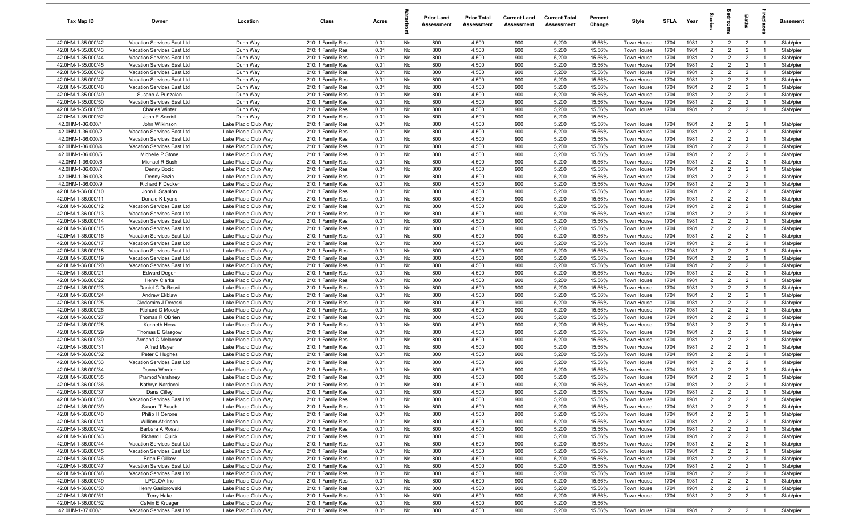| Tax Map ID                               | Owner                                                    | Location                                     | Class                                  | Acres        |           | <b>Prior Land</b><br>Assessment | <b>Prior Total</b><br>Assessment | <b>Current Land</b><br>Assessment | <b>Current Total</b><br>Assessment | Percent<br>Change | Style                           | SFLA         | Year         | 흞                                |                                  | Baths                            | epla                             | <b>Basement</b>        |
|------------------------------------------|----------------------------------------------------------|----------------------------------------------|----------------------------------------|--------------|-----------|---------------------------------|----------------------------------|-----------------------------------|------------------------------------|-------------------|---------------------------------|--------------|--------------|----------------------------------|----------------------------------|----------------------------------|----------------------------------|------------------------|
| 42.0HM-1-35.000/42                       | Vacation Services East Ltd                               | Dunn Way                                     | 210: 1 Family Res                      | 0.01         | No        | 800                             | 4,500                            | 900                               | 5,200                              | 15.56%            | Town House                      | 1704         | 1981         | $\overline{2}$                   | $\overline{2}$                   | $\overline{2}$                   | $\overline{1}$                   | Slab/pier              |
| 42.0HM-1-35.000/43                       | Vacation Services East Ltd                               | Dunn Way                                     | 210: 1 Family Res                      | 0.01         | No        | 800                             | 4,500                            | 900                               | 5,200                              | 15.56%            | Town House                      | 1704         | 1981         | $\overline{2}$                   | $\overline{2}$                   | $\overline{2}$                   |                                  | Slab/pier              |
| 42.0HM-1-35.000/44                       | Vacation Services East Ltd                               | Dunn Way                                     | 210: 1 Family Res                      | 0.01         | No        | 800                             | 4,500                            | 900                               | 5,200                              | 15.56%            | Town House                      | 1704         | 1981         | $\overline{2}$                   | $\overline{2}$                   | $\overline{2}$                   | $\overline{1}$                   | Slab/pier              |
| 42.0HM-1-35.000/45                       | Vacation Services East Ltd                               | Dunn Way                                     | 210: 1 Family Res                      | 0.01         | No        | 800                             | 4,500                            | 900                               | 5,200                              | 15.56%            | Town House                      | 1704         | 1981         | $\overline{2}$                   | $\overline{2}$                   | $\overline{2}$                   | $\overline{1}$                   | Slab/pier              |
| 42.0HM-1-35.000/46<br>42.0HM-1-35.000/47 | Vacation Services East Ltd<br>Vacation Services East Ltd | Dunn Way<br>Dunn Way                         | 210: 1 Family Res<br>210: 1 Family Res | 0.01<br>0.01 | No<br>No  | 800<br>800                      | 4,500<br>4,500                   | 900<br>900                        | 5,200<br>5,200                     | 15.56%<br>15.56%  | Town House<br>Town House        | 1704<br>1704 | 1981<br>1981 | $\overline{2}$<br>$\overline{2}$ | $\overline{2}$<br>$\overline{2}$ | $\overline{2}$<br>$\overline{2}$ | $\overline{1}$<br>$\overline{1}$ | Slab/pier<br>Slab/pier |
| 42.0HM-1-35.000/48                       | Vacation Services East Ltd                               | Dunn Way                                     | 210: 1 Family Res                      | 0.01         | No        | 800                             | 4,500                            | 900                               | 5,200                              | 15.56%            | Town House                      | 1704         | 1981         | 2                                | $\overline{2}$                   | $\overline{2}$                   | $\overline{1}$                   | Slab/pier              |
| 42.0HM-1-35.000/49                       | Susano A Punzalan                                        | Dunn Way                                     | 210: 1 Family Res                      | 0.01         | No        | 800                             | 4,500                            | 900                               | 5,200                              | 15.56%            | Town House                      | 1704         | 1981         | $\overline{2}$                   | $\overline{2}$                   | $\overline{2}$                   | $\overline{1}$                   | Slab/pier              |
| 42.0HM-1-35.000/50                       | Vacation Services East Ltd                               | Dunn Way                                     | 210: 1 Family Res                      | 0.01         | No        | 800                             | 4,500                            | 900                               | 5,200                              | 15.56%            | Town House                      | 1704         | 1981         | $\overline{2}$                   | $\overline{2}$                   | $\overline{2}$                   | $\mathbf{1}$                     | Slab/pier              |
| 42.0HM-1-35.000/51                       | <b>Charles Winter</b>                                    | Dunn Way                                     | 210: 1 Family Res                      | 0.01         | No        | 800                             | 4,500                            | 900                               | 5,200                              | 15.56%            | Town House                      | 1704         | 1981         | $\overline{2}$                   | $\overline{2}$                   | $\overline{2}$                   | $\overline{1}$                   | Slab/pier              |
| 42.0HM-1-35.000/52                       | John P Secrist                                           | Dunn Way                                     | 210: 1 Family Res                      | 0.01         | No        | 800                             | 4,500                            | 900                               | 5,200                              | 15.56%            |                                 |              |              |                                  |                                  |                                  |                                  |                        |
| 42.0HM-1-36.000/1                        | John Wilkinson                                           | Lake Placid Club Way                         | 210: 1 Family Res                      | 0.01         | No        | 800                             | 4,500                            | 900                               | 5,200                              | 15.56%            | Town House                      | 1704         | 1981         | $\overline{2}$                   | 2                                | $\overline{2}$                   | $\overline{1}$                   | Slab/pier              |
| 42.0HM-1-36.000/2                        | Vacation Services East Ltd                               | Lake Placid Club Way                         | 210: 1 Family Res                      | 0.01         | No        | 800                             | 4,500                            | 900                               | 5,200                              | 15.56%            | Town House                      | 1704         | 1981         | 2                                | 2                                | $\overline{2}$                   |                                  | Slab/pier              |
| 42.0HM-1-36.000/3                        | Vacation Services East Ltd                               | Lake Placid Club Way                         | 210: 1 Family Res                      | 0.01         | No        | 800                             | 4,500                            | 900                               | 5,200                              | 15.56%            | Town House                      | 1704         | 1981         | $\overline{2}$                   | $\overline{2}$                   | $\overline{2}$                   | $\overline{1}$                   | Slab/pier              |
| 42.0HM-1-36.000/4                        | Vacation Services East Ltd                               | Lake Placid Club Way                         | 210: 1 Family Res                      | 0.01         | No        | 800                             | 4,500                            | 900                               | 5,200                              | 15.56%            | Town House                      | 1704         | 1981         | $\overline{2}$                   | $\overline{2}$                   | $\overline{2}$                   |                                  | Slab/pier              |
| 42.0HM-1-36.000/5                        | Michelle P Stone                                         | Lake Placid Club Way                         | 210: 1 Family Res                      | 0.01         | No        | 800                             | 4,500                            | 900                               | 5,200                              | 15.56%            | Town House                      | 1704         | 1981         | $\overline{2}$                   | 2                                | $\overline{2}$                   | $\overline{1}$                   | Slab/pier              |
| 42.0HM-1-36.000/6                        | Michael R Bush                                           | Lake Placid Club Way                         | 210: 1 Family Res                      | 0.01         | No        | 800                             | 4,500                            | 900                               | 5,200                              | 15.56%            | Town House                      | 1704         | 1981         | $\overline{2}$                   | $\overline{2}$                   | $\overline{2}$                   | $\overline{1}$                   | Slab/pier              |
| 42.0HM-1-36.000/7                        | Denny Bozic                                              | Lake Placid Club Way                         | 210: 1 Family Res                      | 0.01         | No        | 800                             | 4,500                            | 900                               | 5,200                              | 15.56%            | Town House                      | 1704         | 1981         | $\overline{2}$                   | $\overline{2}$                   | $\overline{2}$                   | $\overline{1}$                   | Slab/pier              |
| 42.0HM-1-36.000/8                        | Denny Bozic                                              | Lake Placid Club Way                         | 210: 1 Family Res                      | 0.01         | No        | 800                             | 4,500                            | 900                               | 5,200                              | 15.56%            | Town House                      | 1704         | 1981         | $\overline{2}$                   | $\overline{2}$                   | $\overline{2}$                   | $\overline{1}$                   | Slab/pier              |
| 42.0HM-1-36.000/9                        | <b>Richard F Decker</b>                                  | Lake Placid Club Wav<br>Lake Placid Club Wav | 210: 1 Family Res                      | 0.01         | No        | 800<br>800                      | 4,500<br>4,500                   | 900<br>900                        | 5,200                              | 15.56%            | Town House                      | 1704<br>1704 | 1981<br>1981 | $\overline{2}$<br>$\overline{2}$ | $\overline{2}$<br>$\overline{2}$ | $\overline{2}$<br>$\overline{2}$ | $\mathbf{1}$<br>$\overline{1}$   | Slab/pier              |
| 42.0HM-1-36.000/10<br>42.0HM-1-36.000/11 | John L Scanlon<br>Donald K Lyons                         | Lake Placid Club Way                         | 210: 1 Family Res<br>210: 1 Family Res | 0.01<br>0.01 | No<br>No  | 800                             | 4,500                            | 900                               | 5,200<br>5,200                     | 15.56%<br>15.56%  | Town House<br><b>Town House</b> | 1704         | 1981         | $\overline{2}$                   | $\overline{2}$                   | $\overline{2}$                   | $\overline{1}$                   | Slab/pier<br>Slab/pier |
| 42.0HM-1-36.000/12                       | Vacation Services East Ltd                               | Lake Placid Club Way                         | 210: 1 Family Res                      | 0.01         | No        | 800                             | 4,500                            | 900                               | 5,200                              | 15.56%            | Town House                      | 1704         | 1981         | $\overline{2}$                   | $\overline{2}$                   | $\overline{2}$                   | $\overline{1}$                   | Slab/pier              |
| 42.0HM-1-36.000/13                       | Vacation Services East Ltd                               | Lake Placid Club Way                         | 210: 1 Family Res                      | 0.01         | No        | 800                             | 4,500                            | 900                               | 5,200                              | 15.56%            | Town House                      | 1704         | 1981         | $\overline{2}$                   | $\overline{2}$                   | $\overline{2}$                   |                                  | Slab/pier              |
| 42.0HM-1-36.000/14                       | Vacation Services East Ltd                               | Lake Placid Club Way                         | 210: 1 Family Res                      | 0.01         | No        | 800                             | 4,500                            | 900                               | 5,200                              | 15.56%            | Town House                      | 1704         | 1981         | $\overline{2}$                   | $\overline{2}$                   | $\overline{2}$                   | $\overline{1}$                   | Slab/pier              |
| 42.0HM-1-36.000/15                       | Vacation Services East Ltd                               | Lake Placid Club Way                         | 210: 1 Family Res                      | 0.01         | No        | 800                             | 4,500                            | 900                               | 5,200                              | 15.56%            | Town House                      | 1704         | 1981         | $\overline{2}$                   | 2                                | $\overline{2}$                   |                                  | Slab/pier              |
| 42.0HM-1-36.000/16                       | Vacation Services East Ltd                               | Lake Placid Club Way                         | 210: 1 Family Res                      | 0.01         | No        | 800                             | 4,500                            | 900                               | 5,200                              | 15.56%            | Town House                      | 1704         | 1981         | $\overline{2}$                   | $\overline{2}$                   | $\overline{2}$                   | $\overline{1}$                   | Slab/pier              |
| 42.0HM-1-36.000/17                       | Vacation Services East Ltd                               | Lake Placid Club Way                         | 210: 1 Family Res                      | 0.01         | No        | 800                             | 4,500                            | 900                               | 5,200                              | 15.56%            | Town House                      | 1704         | 1981         | $\overline{2}$                   | 2                                | $\overline{2}$                   |                                  | Slab/pier              |
| 42.0HM-1-36.000/18                       | Vacation Services East Ltd                               | Lake Placid Club Way                         | 210: 1 Family Res                      | 0.01         | No        | 800                             | 4,500                            | 900                               | 5,200                              | 15.56%            | Town House                      | 1704         | 1981         | $\overline{2}$                   | $\overline{2}$                   | $\overline{2}$                   | $\overline{1}$                   | Slab/pier              |
| 42.0HM-1-36.000/19                       | Vacation Services East Ltd                               | Lake Placid Club Way                         | 210: 1 Family Res                      | 0.01         | No        | 800                             | 4,500                            | 900                               | 5,200                              | 15.56%            | Town House                      | 1704         | 1981         | $\overline{2}$                   | $\overline{2}$                   | $\overline{2}$                   | $\overline{1}$                   | Slab/pier              |
| 42.0HM-1-36.000/20                       | Vacation Services East Ltd                               | Lake Placid Club Way                         | 210: 1 Family Res                      | 0.01         | No        | 800                             | 4,500                            | 900                               | 5,200                              | 15.56%            | Town House                      | 1704         | 1981         | $\overline{2}$                   | $\overline{2}$                   | $\overline{2}$                   | $\overline{1}$                   | Slab/pier              |
| 42.0HM-1-36.000/21                       | <b>Edward Degen</b>                                      | Lake Placid Club Way                         | 210: 1 Family Res                      | 0.01         | No        | 800                             | 4,500                            | 900                               | 5,200                              | 15.56%            | Town House                      | 1704         | 1981         | $\overline{2}$                   | $\overline{2}$                   | $\overline{2}$                   | $\overline{1}$                   | Slab/pier              |
| 42.0HM-1-36.000/22                       | Henry Clarke                                             | Lake Placid Club Way                         | 210: 1 Family Res                      | 0.01         | No        | 800                             | 4,500                            | 900                               | 5,200                              | 15.56%            | Town House                      | 1704         | 1981         | $\overline{2}$                   | $\overline{2}$                   | $\overline{2}$                   | $\mathbf{1}$                     | Slab/pier              |
| 42.0HM-1-36.000/23                       | Daniel C DeRossi                                         | Lake Placid Club Way                         | 210: 1 Family Res                      | 0.01         | No        | 800                             | 4,500                            | 900                               | 5,200                              | 15.56%            | Town House                      | 1704         | 1981         | $\overline{2}$<br>$\overline{2}$ | $\overline{2}$                   | $\overline{2}$                   | $\overline{1}$                   | Slab/pier              |
| 42.0HM-1-36.000/24<br>42.0HM-1-36.000/25 | Andrew Ekblaw<br>Clodomiro J Derossi                     | Lake Placid Club Way<br>Lake Placid Club Way | 210: 1 Family Res<br>210: 1 Family Res | 0.01<br>0.01 | No<br>No  | 800<br>800                      | 4,500<br>4,500                   | 900<br>900                        | 5,200<br>5,200                     | 15.56%<br>15.56%  | Town House<br>Town House        | 1704<br>1704 | 1981<br>1981 | $\overline{2}$                   | $\overline{2}$<br>2              | $\overline{2}$<br>$\overline{2}$ | -1<br>$\overline{1}$             | Slab/pier<br>Slab/pier |
| 42.0HM-1-36.000/26                       | Richard D Moody                                          | Lake Placid Club Way                         | 210: 1 Family Res                      | 0.01         | No        | 800                             | 4,500                            | 900                               | 5,200                              | 15.56%            | Town House                      | 1704         | 1981         | $\overline{2}$                   | $\overline{2}$                   | $\overline{2}$                   | $\mathbf{1}$                     | Slab/pier              |
| 42.0HM-1-36.000/27                       | Thomas R OBrien                                          | Lake Placid Club Way                         | 210: 1 Family Res                      | 0.01         | No        | 800                             | 4,500                            | 900                               | 5,200                              | 15.56%            | Town House                      | 1704         | 1981         | $\overline{2}$                   | $\overline{2}$                   | $\overline{2}$                   | $\mathbf{1}$                     | Slab/pier              |
| 42.0HM-1-36.000/28                       | Kenneth Hess                                             | Lake Placid Club Way                         | 210: 1 Family Res                      | 0.01         | No        | 800                             | 4,500                            | 900                               | 5,200                              | 15.56%            | Town House                      | 1704         | 1981         | $\overline{2}$                   | $\overline{2}$                   | $\overline{2}$                   |                                  | Slab/pier              |
| 42.0HM-1-36.000/29                       | Thomas E Glasgow                                         | Lake Placid Club Way                         | 210: 1 Family Res                      | 0.01         | No        | 800                             | 4,500                            | 900                               | 5,200                              | 15.56%            | Town House                      | 1704         | 1981         | $\overline{2}$                   | $\overline{2}$                   | $\overline{2}$                   | $\mathbf{1}$                     | Slab/pier              |
| 42.0HM-1-36.000/30                       | Armand C Melanson                                        | Lake Placid Club Way                         | 210: 1 Family Res                      | 0.01         | No        | 800                             | 4,500                            | 900                               | 5,200                              | 15.56%            | Town House                      | 1704         | 1981         | $\overline{2}$                   | $\overline{2}$                   | $\overline{2}$                   |                                  | Slab/pier              |
| 42.0HM-1-36.000/31                       | <b>Alfred Mayer</b>                                      | Lake Placid Club Way                         | 210: 1 Family Res                      | 0.01         | No        | 800                             | 4,500                            | 900                               | 5,200                              | 15.56%            | Town House                      | 1704         | 1981         | $\overline{2}$                   | $\overline{2}$                   | $\overline{2}$                   | $\overline{1}$                   | Slab/pier              |
| 42.0HM-1-36.000/32                       | Peter C Hughes                                           | Lake Placid Club Way                         | 210: 1 Family Res                      | 0.01         | No        | 800                             | 4,500                            | 900                               | 5,200                              | 15.56%            | Town House                      | 1704         | 1981         | $\overline{2}$                   | $\overline{2}$                   | $\overline{2}$                   | $\overline{1}$                   | Slab/pier              |
| 42.0HM-1-36.000/33                       | Vacation Services East Ltd                               | Lake Placid Club Way                         | 210: 1 Family Res                      | 0.01         | No        | 800                             | 4,500                            | 900                               | 5,200                              | 15.56%            | Town House                      | 1704         | 1981         | $\overline{2}$                   | $\overline{2}$                   | $\overline{2}$                   | $\overline{1}$                   | Slab/pier              |
| 42.0HM-1-36.000/34                       | Donna Worden                                             | Lake Placid Club Wav                         | 210: 1 Family Res                      | 0.01         | No        | 800                             | 4,500                            | 900                               | 5,200                              | 15.56%            | Town House                      | 1704         | 1981         | 2                                | $\overline{2}$                   | $\overline{2}$                   | $\mathbf{1}$                     | Slab/pier              |
| 42.0HM-1-36.000/35                       | Pramod Varshney                                          | Lake Placid Club Way                         | 210: 1 Family Res                      | 0.01         | No        | 800                             | 4,500                            | 900                               | 5,200                              | 15.56%            | Town House                      | 1704         | 1981         | $\overline{2}$                   | 2                                | $\overline{2}$                   | $\mathbf{1}$                     | Slab/pier              |
| 42.0HM-1-36.000/36                       | Kathrvn Nardacci                                         | Lake Placid Club Wav                         | 210: 1 Family Res                      | 0.01         | <b>No</b> | 800                             | 4.500                            | 900                               | 5,200                              | 15.56%            | <b>Town House</b>               | 1704         | 1981         | $\overline{2}$                   | 2                                | $\overline{2}$                   |                                  | Slab/pier              |
| 42.0HM-1-36.000/37                       | Dana Cilley                                              | Lake Placid Club Way                         | 210: 1 Family Res                      | 0.01         | No        | 800                             | 4,500                            | 900                               | 5,200                              | 15.56%            | Town House                      | 1704         | 1981         | $\overline{2}$                   | $\overline{2}$                   | $\overline{2}$                   | $\overline{1}$                   | Slab/pier              |
| 42.0HM-1-36.000/38<br>42.0HM-1-36.000/39 | Vacation Services East Ltd<br>Susan T Busch              | Lake Placid Club Way<br>Lake Placid Club Way | 210: 1 Family Res<br>210: 1 Family Res | 0.01<br>0.01 | No<br>No  | 800<br>800                      | 4,500<br>4,500                   | 900<br>900                        | 5,200<br>5,200                     | 15.56%<br>15.56%  | Town House<br>Town House        | 1704<br>1704 | 1981<br>1981 | $\overline{2}$<br>$\overline{2}$ | $\overline{2}$<br>$\overline{2}$ | $\overline{2}$<br>$\overline{2}$ | $\overline{1}$                   | Slab/pier<br>Slab/pier |
| 42.0HM-1-36.000/40                       | Philip H Cerone                                          | Lake Placid Club Way                         | 210: 1 Family Res                      | 0.01         | No        | 800                             | 4,500                            | 900                               | 5,200                              | 15.56%            | Town House                      | 1704         | 1981         | $\overline{2}$                   | $\overline{2}$                   | $\overline{2}$                   | $\overline{1}$                   | Slab/pier              |
| 42.0HM-1-36.000/41                       | William Atkinson                                         | Lake Placid Club Way                         | 210: 1 Family Res                      | 0.01         | No        | 800                             | 4,500                            | 900                               | 5,200                              | 15.56%            | Town House                      | 1704         | 1981         | $\overline{2}$                   | $\overline{2}$                   | $\overline{2}$                   |                                  | Slab/pier              |
| 42.0HM-1-36.000/42                       | Barbara A Rosati                                         | Lake Placid Club Way                         | 210: 1 Family Res                      | 0.01         | No        | 800                             | 4,500                            | 900                               | 5,200                              | 15.56%            | Town House                      | 1704         | 1981         | $\overline{2}$                   | $\overline{2}$                   | $\overline{2}$                   | $\overline{1}$                   | Slab/pier              |
| 42.0HM-1-36.000/43                       | Richard L Quick                                          | Lake Placid Club Way                         | 210: 1 Family Res                      | 0.01         | No        | 800                             | 4,500                            | 900                               | 5,200                              | 15.56%            | Town House                      | 1704         | 1981         | $\overline{2}$                   | $\overline{2}$                   | $\overline{2}$                   | $\overline{1}$                   | Slab/pier              |
| 42.0HM-1-36.000/44                       | Vacation Services East Ltd                               | Lake Placid Club Way                         | 210: 1 Family Res                      | 0.01         | No        | 800                             | 4,500                            | 900                               | 5,200                              | 15.56%            | Town House                      | 1704         | 1981         | $\overline{2}$                   | $\overline{2}$                   | $\overline{2}$                   | $\overline{1}$                   | Slab/pier              |
| 42.0HM-1-36.000/45                       | Vacation Services East Ltd                               | Lake Placid Club Way                         | 210: 1 Family Res                      | 0.01         | No        | 800                             | 4,500                            | 900                               | 5,200                              | 15.56%            | Town House                      | 1704         | 1981         | $\overline{2}$                   | $\overline{2}$                   | $\overline{2}$                   | $\overline{1}$                   | Slab/pier              |
| 42.0HM-1-36.000/46                       | <b>Brian F Gilkey</b>                                    | Lake Placid Club Way                         | 210: 1 Family Res                      | 0.01         | No        | 800                             | 4,500                            | 900                               | 5,200                              | 15.56%            | Town House                      | 1704         | 1981         | $\overline{2}$                   | $\overline{2}$                   | $\overline{2}$                   | $\overline{1}$                   | Slab/pier              |
| 42.0HM-1-36.000/47                       | Vacation Services East Ltd                               | Lake Placid Club Way                         | 210: 1 Family Res                      | 0.01         | No        | 800                             | 4,500                            | 900                               | 5,200                              | 15.56%            | Town House                      | 1704         | 1981         | $\overline{2}$                   | $\overline{2}$                   | $\overline{2}$                   | $\overline{1}$                   | Slab/pier              |
| 42.0HM-1-36.000/48                       | Vacation Services East Ltd                               | Lake Placid Club Way                         | 210: 1 Family Res                      | 0.01         | No        | 800                             | 4,500                            | 900                               | 5,200                              | 15.56%            | Town House                      | 1704         | 1981         | $\overline{2}$                   | $\overline{2}$                   | $\overline{2}$                   | $\overline{1}$                   | Slab/pier              |
| 42.0HM-1-36.000/49                       | LPCLOA Inc                                               | Lake Placid Club Way                         | 210: 1 Family Res                      | 0.01         | No        | 800                             | 4,500                            | 900                               | 5,200                              | 15.56%            | Town House                      | 1704         | 1981         | $\overline{2}$                   | $\overline{2}$                   | $\overline{2}$                   | $\overline{1}$                   | Slab/pier              |
| 42.0HM-1-36.000/50                       | Henry Gasiorowski                                        | Lake Placid Club Way                         | 210: 1 Family Res                      | 0.01         | No        | 800                             | 4,500                            | 900                               | 5,200                              | 15.56%            | Town House                      | 1704         | 1981         | $\overline{2}$                   | $\overline{2}$                   | $\overline{2}$                   | $\overline{1}$                   | Slab/pier              |
| 42.0HM-1-36.000/51                       | <b>Terry Hake</b>                                        | Lake Placid Club Way                         | 210: 1 Family Res                      | 0.01         | No        | 800                             | 4,500                            | 900                               | 5,200                              | 15.56%            | Town House                      | 1704         | 1981         | $\overline{2}$                   | $\overline{2}$                   | $\overline{2}$                   | $\overline{1}$                   | Slab/pier              |
| 42.0HM-1-36.000/52                       | Calvin E Krueger                                         | Lake Placid Club Way                         | 210: 1 Family Res                      | 0.01         | No        | 800                             | 4,500                            | 900                               | 5,200                              | 15.56%            |                                 |              |              |                                  |                                  |                                  |                                  |                        |
| 42.0HM-1-37.000/1                        | Vacation Services East Ltd                               | Lake Placid Club Way                         | 210: 1 Family Res                      | 0.01         | No        | 800                             | 4,500                            | 900                               | 5,200                              | 15.56%            | Town House                      | 1704         | 1981         | 2 2 2                            |                                  |                                  | $\overline{1}$                   | Slab/pier              |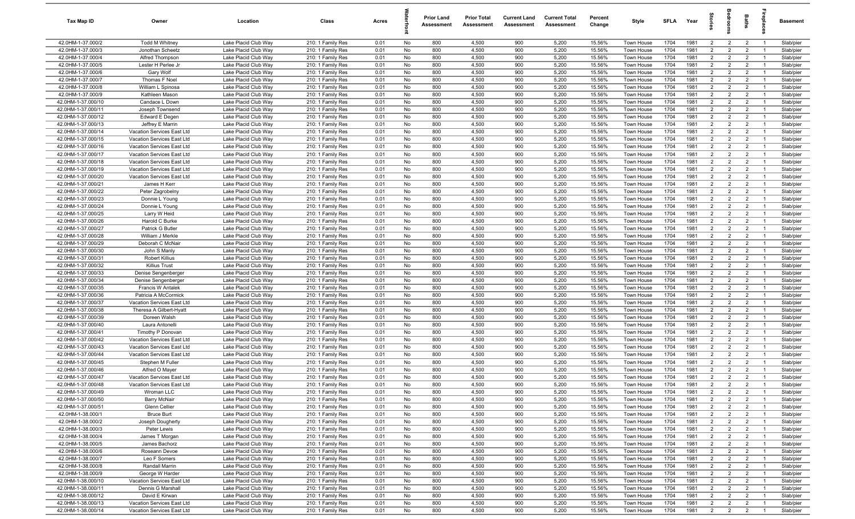| Tax Map ID                               | Owner                                                 | Location                                     | Class                                  | Acres        |          | <b>Prior Land</b><br>Assessment | <b>Prior Total</b><br>Assessment | <b>Current Land</b><br>Assessment | <b>Current Total</b><br>Assessment | Percent<br>Change | Style                    | <b>SFLA</b>  | Year         |                                  |                                  | Baths                            | 률                                | Basement               |
|------------------------------------------|-------------------------------------------------------|----------------------------------------------|----------------------------------------|--------------|----------|---------------------------------|----------------------------------|-----------------------------------|------------------------------------|-------------------|--------------------------|--------------|--------------|----------------------------------|----------------------------------|----------------------------------|----------------------------------|------------------------|
| 42.0HM-1-37.000/2                        | <b>Todd M Whitney</b>                                 | Lake Placid Club Way                         | 210: 1 Family Res                      | 0.01         | No       | 800                             | 4,500                            | 900                               | 5,200                              | 15.56%            | Town House               | 1704         | 1981         | $\overline{2}$                   | $\overline{2}$                   | $\overline{2}$                   | $\overline{1}$                   | Slab/pier              |
| 42.0HM-1-37.000/3                        | Jonothan Scheetz                                      | Lake Placid Club Way                         | 210: 1 Family Res                      | 0.01         | No       | 800                             | 4,500                            | 900                               | 5,200                              | 15.56%            | Town House               | 1704         | 1981         | $\overline{2}$                   | $\overline{2}$                   | $\overline{2}$                   | - 1                              | Slab/pier              |
| 42.0HM-1-37.000/4                        | Alfred Thompson                                       | Lake Placid Club Way                         | 210: 1 Family Res                      | 0.01         | No       | 800                             | 4,500                            | 900                               | 5,200                              | 15.56%            | Town House               | 1704         | 1981         | $\overline{2}$                   | $\overline{2}$                   | $\overline{2}$                   | - 1                              | Slab/pier              |
| 42.0HM-1-37.000/5                        | Lester H Perlee Jr                                    | Lake Placid Club Way                         | 210: 1 Family Res                      | 0.01         | No       | 800                             | 4,500                            | 900                               | 5,200                              | 15.56%            | Town House               | 1704         | 1981         | $\overline{2}$                   | $\overline{2}$                   | $\overline{2}$                   |                                  | Slab/pier              |
| 42.0HM-1-37.000/6                        | Gary Wolf                                             | Lake Placid Club Way                         | 210: 1 Family Res                      | 0.01         | No       | 800                             | 4,500                            | 900                               | 5,200                              | 15.56%            | Town House               | 1704         | 1981         | $2^{\circ}$                      | $\overline{2}$                   | $\overline{2}$                   | $\overline{1}$                   | Slab/pier              |
| 42.0HM-1-37.000/7<br>42.0HM-1-37.000/8   | Thomas F Noel<br>William L Spinosa                    | Lake Placid Club Way                         | 210: 1 Family Res                      | 0.01         | No       | 800<br>800                      | 4,500                            | 900<br>900                        | 5,200<br>5,200                     | 15.56%            | Town House               | 1704<br>1704 | 1981<br>1981 | $\overline{2}$<br>$\overline{2}$ | $\overline{2}$<br>$\overline{2}$ | $\overline{2}$<br>$\overline{2}$ | $\overline{1}$                   | Slab/pier              |
| 42.0HM-1-37.000/9                        | Kathleen Mason                                        | Lake Placid Club Way<br>Lake Placid Club Way | 210: 1 Family Res<br>210: 1 Family Res | 0.01<br>0.01 | No<br>No | 800                             | 4,500<br>4,500                   | 900                               | 5,200                              | 15.56%<br>15.56%  | Town House<br>Town House | 1704         | 1981         | $\overline{2}$                   | $\overline{2}$                   | $\overline{2}$                   | $\overline{1}$                   | Slab/pier<br>Slab/pier |
| 42.0HM-1-37.000/10                       | Candace L Down                                        | Lake Placid Club Way                         | 210: 1 Family Res                      | 0.01         | No       | 800                             | 4,500                            | 900                               | 5,200                              | 15.56%            | Town House               | 1704         | 1981         | $\overline{2}$                   | $\overline{2}$                   | $\overline{2}$                   | $\overline{1}$                   | Slab/pier              |
| 42.0HM-1-37.000/11                       | Joseph Townsend                                       | Lake Placid Club Way                         | 210: 1 Family Res                      | 0.01         | No       | 800                             | 4,500                            | 900                               | 5,200                              | 15.56%            | Town House               | 1704         | 1981         | $\overline{2}$                   | $\overline{2}$                   | $\overline{2}$                   | $\overline{1}$                   | Slab/pier              |
| 42.0HM-1-37.000/12                       | Edward E Degen                                        | Lake Placid Club Way                         | 210: 1 Family Res                      | 0.01         | No       | 800                             | 4,500                            | 900                               | 5,200                              | 15.56%            | Town House               | 1704         | 1981         | 2                                | $\overline{2}$                   | $\overline{2}$                   | $\overline{1}$                   | Slab/pier              |
| 42.0HM-1-37.000/13                       | Jeffrey E Marrin                                      | Lake Placid Club Way                         | 210: 1 Family Res                      | 0.01         | No       | 800                             | 4,500                            | 900                               | 5,200                              | 15.56%            | Town House               | 1704         | 1981         | $\overline{2}$                   | $\overline{2}$                   | $\overline{2}$                   | $\overline{1}$                   | Slab/pier              |
| 42.0HM-1-37.000/14                       | Vacation Services East Ltd                            | Lake Placid Club Way                         | 210: 1 Family Res                      | 0.01         | No       | 800                             | 4,500                            | 900                               | 5,200                              | 15.56%            | Town House               | 1704         | 1981         | $\overline{2}$                   | 2                                | $\overline{2}$                   | - 1                              | Slab/pier              |
| 42.0HM-1-37.000/15                       | Vacation Services East Ltd                            | Lake Placid Club Way                         | 210: 1 Family Res                      | 0.01         | No       | 800                             | 4,500                            | 900                               | 5,200                              | 15.56%            | Town House               | 1704         | 1981         | $\overline{2}$                   | $\overline{2}$                   | $\overline{2}$                   | $\overline{1}$                   | Slab/pier              |
| 42.0HM-1-37.000/16                       | Vacation Services East Ltd                            | Lake Placid Club Way                         | 210: 1 Family Res                      | 0.01         | No       | 800                             | 4,500                            | 900                               | 5,200                              | 15.56%            | Town House               | 1704         | 1981         | $\overline{2}$                   | $\overline{2}$                   | $\overline{2}$                   |                                  | Slab/pier              |
| 42.0HM-1-37.000/17                       | Vacation Services East Ltd                            | Lake Placid Club Way                         | 210: 1 Family Res                      | 0.01         | No       | 800                             | 4,500                            | 900                               | 5,200                              | 15.56%            | Town House               | 1704         | 1981         | $\overline{2}$                   | $\overline{2}$                   | $\overline{2}$                   | $\overline{1}$                   | Slab/pier              |
| 42.0HM-1-37.000/18                       | Vacation Services East Ltd                            | Lake Placid Club Way                         | 210: 1 Family Res                      | 0.01         | No       | 800                             | 4,500                            | 900                               | 5,200                              | 15.56%            | Town House               | 1704         | 1981         | $\overline{2}$                   | $\overline{2}$                   | $\overline{2}$                   |                                  | Slab/pier              |
| 42.0HM-1-37.000/19                       | Vacation Services East Ltd                            | Lake Placid Club Way                         | 210: 1 Family Res                      | 0.01         | No       | 800                             | 4,500                            | 900                               | 5,200                              | 15.56%            | Town House               | 1704         | 1981         | $2^{\circ}$                      | $\overline{2}$                   | $\overline{2}$                   | - 1                              | Slab/pier              |
| 42.0HM-1-37.000/20                       | Vacation Services East Ltd                            | Lake Placid Club Way                         | 210: 1 Family Res                      | 0.01         | No       | 800                             | 4,500                            | 900                               | 5,200                              | 15.56%            | Town House               | 1704         | 1981         | $\overline{2}$                   | $\overline{2}$                   | $\overline{2}$                   |                                  | Slab/pier              |
| 42.0HM-1-37.000/21                       | James H Kerr                                          | Lake Placid Club Way                         | 210: 1 Family Res                      | 0.01         | No       | 800                             | 4,500                            | 900                               | 5,200                              | 15.56%            | Town House               | 1704         | 1981         | $\overline{2}$                   | $\overline{2}$                   | $\overline{2}$                   | $\overline{1}$                   | Slab/pier              |
| 42.0HM-1-37.000/22                       | Peter Zagrobelny                                      | Lake Placid Club Wav                         | 210: 1 Family Res                      | 0.01         | No       | 800                             | 4,500                            | 900                               | 5,200                              | 15.56%            | Town House               | 1704         | 1981         | $\overline{2}$<br>$\overline{2}$ | $\overline{2}$<br>$\overline{2}$ | $\overline{2}$<br>$\overline{2}$ | $\overline{1}$<br>$\overline{1}$ | Slab/pier              |
| 42.0HM-1-37.000/23<br>42.0HM-1-37.000/24 | Donnie L Young<br>Donnie L Young                      | Lake Placid Club Way<br>Lake Placid Club Way | 210: 1 Family Res<br>210: 1 Family Res | 0.01<br>0.01 | No<br>No | 800<br>800                      | 4,500<br>4,500                   | 900<br>900                        | 5,200<br>5,200                     | 15.56%<br>15.56%  | Town House<br>Town House | 1704<br>1704 | 1981<br>1981 | $\overline{2}$                   | $\overline{2}$                   | $\overline{2}$                   | $\overline{1}$                   | Slab/pier<br>Slab/pier |
| 42.0HM-1-37.000/25                       | Larry W Heid                                          | Lake Placid Club Way                         | 210: 1 Family Res                      | 0.01         | No       | 800                             | 4,500                            | 900                               | 5,200                              | 15.56%            | Town House               | 1704         | 1981         | $\overline{2}$                   | $\overline{2}$                   | $\overline{2}$                   | $\overline{1}$                   | Slab/pier              |
| 42.0HM-1-37.000/26                       | Harold C Burke                                        | Lake Placid Club Way                         | 210: 1 Family Res                      | 0.01         | No       | 800                             | 4,500                            | 900                               | 5,200                              | 15.56%            | Town House               | 1704         | 1981         | $\overline{2}$                   | 2                                | $\overline{2}$                   | $\overline{1}$                   | Slab/pier              |
| 42.0HM-1-37.000/27                       | Patrick G Butler                                      | Lake Placid Club Way                         | 210: 1 Family Res                      | 0.01         | No       | 800                             | 4,500                            | 900                               | 5,200                              | 15.56%            | Town House               | 1704         | 1981         | 2                                | $\overline{2}$                   | $\overline{2}$                   | - 1                              | Slab/pier              |
| 42.0HM-1-37.000/28                       | William J Merkle                                      | Lake Placid Club Way                         | 210: 1 Family Res                      | 0.01         | No       | 800                             | 4,500                            | 900                               | 5,200                              | 15.56%            | Town House               | 1704         | 1981         | $\overline{2}$                   | $\overline{2}$                   | $\overline{2}$                   | $\overline{1}$                   | Slab/pier              |
| 42.0HM-1-37.000/29                       | Deborah C McNair                                      | Lake Placid Club Way                         | 210: 1 Family Res                      | 0.01         | No       | 800                             | 4,500                            | 900                               | 5,200                              | 15.56%            | Town House               | 1704         | 1981         | $\overline{2}$                   | $\overline{2}$                   | $\overline{2}$                   |                                  | Slab/pier              |
| 42.0HM-1-37.000/30                       | John S Manly                                          | Lake Placid Club Way                         | 210: 1 Family Res                      | 0.01         | No       | 800                             | 4,500                            | 900                               | 5,200                              | 15.56%            | Town House               | 1704         | 1981         | $2^{\circ}$                      | $\overline{2}$                   | $\overline{2}$                   | - 1                              | Slab/pier              |
| 42.0HM-1-37.000/31                       | <b>Robert Killius</b>                                 | Lake Placid Club Way                         | 210: 1 Family Res                      | 0.01         | No       | 800                             | 4,500                            | 900                               | 5,200                              | 15.56%            | Town House               | 1704         | 1981         | $\overline{2}$                   | $\overline{2}$                   | $\overline{2}$                   |                                  | Slab/pier              |
| 42.0HM-1-37.000/32                       | <b>Killius Trust</b>                                  | Lake Placid Club Way                         | 210: 1 Family Res                      | 0.01         | No       | 800                             | 4,500                            | 900                               | 5,200                              | 15.56%            | Town House               | 1704         | 1981         | $\overline{2}$                   | $\overline{2}$                   | $\overline{2}$                   |                                  | Slab/pier              |
| 42.0HM-1-37.000/33                       | Denise Sengenberger                                   | Lake Placid Club Way                         | 210: 1 Family Res                      | 0.01         | No       | 800                             | 4,500                            | 900                               | 5,200                              | 15.56%            | Town House               | 1704         | 1981         | $\overline{2}$                   | $\overline{2}$                   | $\overline{2}$                   | - 1                              | Slab/pier              |
| 42.0HM-1-37.000/34                       | Denise Sengenberger                                   | Lake Placid Club Way                         | 210: 1 Family Res                      | 0.01         | No       | 800                             | 4,500                            | 900                               | 5,200                              | 15.56%            | Town House               | 1704         | 1981         | $\overline{2}$                   | $\overline{2}$                   | $\overline{2}$                   | $\overline{1}$                   | Slab/pier              |
| 42.0HM-1-37.000/35                       | <b>Francis W Antalek</b>                              | Lake Placid Club Way                         | 210: 1 Family Res                      | 0.01         | No       | 800                             | 4,500                            | 900                               | 5,200                              | 15.56%            | Town House               | 1704         | 1981         | $\overline{2}$                   | $\overline{2}$                   | $\overline{2}$                   | $\overline{1}$                   | Slab/pier              |
| 42.0HM-1-37.000/36                       | Patricia A McCormick                                  | Lake Placid Club Way                         | 210: 1 Family Res                      | 0.01         | No       | 800                             | 4,500                            | 900                               | 5,200                              | 15.56%            | Town House               | 1704         | 1981         | $\overline{2}$                   | $\overline{2}$                   | $\overline{2}$                   | $\overline{1}$                   | Slab/pier              |
| 42.0HM-1-37.000/37<br>42.0HM-1-37.000/38 | Vacation Services East Ltd<br>Theresa A Gilbert-Hyatt | Lake Placid Club Way<br>Lake Placid Club Way | 210: 1 Family Res                      | 0.01<br>0.01 | No<br>No | 800<br>800                      | 4,500<br>4,500                   | 900<br>900                        | 5,200<br>5,200                     | 15.56%<br>15.56%  | Town House<br>Town House | 1704<br>1704 | 1981<br>1981 | $\overline{2}$<br>$\overline{2}$ | $\overline{2}$<br>$\overline{2}$ | $\overline{2}$<br>$\overline{2}$ | $\overline{1}$<br>$\overline{1}$ | Slab/pier              |
| 42.0HM-1-37.000/39                       | Doreen Walsh                                          | Lake Placid Club Way                         | 210: 1 Family Res<br>210: 1 Family Res | 0.01         | No       | 800                             | 4,500                            | 900                               | 5,200                              | 15.56%            | Town House               | 1704         | 1981         | $\overline{2}$                   | 2                                | $\overline{2}$                   | $\overline{1}$                   | Slab/pier<br>Slab/pier |
| 42.0HM-1-37.000/40                       | Laura Antonelli                                       | Lake Placid Club Way                         | 210: 1 Family Res                      | 0.01         | No       | 800                             | 4,500                            | 900                               | 5,200                              | 15.56%            | Town House               | 1704         | 1981         | $\overline{2}$                   | $\overline{2}$                   | $\overline{2}$                   |                                  | Slab/pier              |
| 42.0HM-1-37.000/41                       | Timothy P Donovan                                     | Lake Placid Club Way                         | 210: 1 Family Res                      | 0.01         | No       | 800                             | 4,500                            | 900                               | 5,200                              | 15.56%            | Town House               | 1704         | 1981         | $\overline{2}$                   | $\overline{2}$                   | $\overline{2}$                   | $\overline{1}$                   | Slab/pier              |
| 42.0HM-1-37.000/42                       | Vacation Services East Ltd                            | Lake Placid Club Way                         | 210: 1 Family Res                      | 0.01         | No       | 800                             | 4,500                            | 900                               | 5,200                              | 15.56%            | Town House               | 1704         | 1981         | $\overline{2}$                   | $\overline{2}$                   | $\overline{2}$                   |                                  | Slab/pier              |
| 42.0HM-1-37.000/43                       | Vacation Services East Ltd                            | Lake Placid Club Way                         | 210: 1 Family Res                      | 0.01         | No       | 800                             | 4,500                            | 900                               | 5,200                              | 15.56%            | Town House               | 1704         | 1981         | $2^{\circ}$                      | $\overline{2}$                   | $\overline{2}$                   | $\overline{1}$                   | Slab/pier              |
| 42.0HM-1-37.000/44                       | Vacation Services East Ltd                            | Lake Placid Club Way                         | 210: 1 Family Res                      | 0.01         | No       | 800                             | 4,500                            | 900                               | 5,200                              | 15.56%            | Town House               | 1704         | 1981         | $\overline{2}$                   | $\overline{2}$                   | $\overline{2}$                   |                                  | Slab/pier              |
| 42.0HM-1-37.000/45                       | Stephen M Fuller                                      | Lake Placid Club Way                         | 210: 1 Family Res                      | 0.01         | No       | 800                             | 4,500                            | 900                               | 5,200                              | 15.56%            | Town House               | 1704         | 1981         | $\overline{2}$                   | $\overline{2}$                   | $\overline{2}$                   |                                  | Slab/pier              |
| 42.0HM-1-37.000/46                       | Alfred O Mayer                                        | Lake Placid Club Way                         | 210: 1 Family Res                      | 0.01         | No       | 800                             | 4,500                            | 900                               | 5,200                              | 15.56%            | Town House               | 1704         | 1981         | $\overline{2}$                   | $\overline{2}$                   | $\overline{2}$                   |                                  | Slab/pier              |
| 42.0HM-1-37.000/47                       | Vacation Services East Ltd                            | Lake Placid Club Way                         | 210: 1 Family Res                      | 0.01         | No       | 800                             | 4,500                            | 900                               | 5,200                              | 15.56%            | Town House               | 1704         | 1981         | $\overline{2}$                   | $\overline{2}$                   | $\overline{2}$                   | $\overline{1}$                   | Slab/pier              |
| 42.0HM-1-37.000/48                       | Vacation Services East Ltd                            | Lake Placid Club Way                         | 210: 1 Family Res                      | 0.01         | No       | 800                             | 4,500                            | 900                               | 5,200                              | 15.56%            | Town House               | 1704         | 1981         | $\overline{2}$                   | $\overline{2}$                   | $\overline{2}$                   |                                  | Slab/pier              |
| 42.0HM-1-37.000/49                       | Wroman LLC                                            | Lake Placid Club Way                         | 210: 1 Family Res                      | 0.01         | No       | 800                             | 4,500                            | 900                               | 5,200                              | 15.56%            | Town House               | 1704         | 1981         | $\overline{2}$                   | $\overline{2}$                   | $\overline{2}$                   | $\overline{1}$                   | Slab/pier              |
| 42.0HM-1-37.000/50                       | <b>Barry McNair</b>                                   | Lake Placid Club Way                         | 210: 1 Family Res                      | 0.01         | No       | 800                             | 4,500                            | 900                               | 5,200                              | 15.56%            | Town House               | 1704         | 1981         | $\overline{2}$                   | $\overline{2}$                   | $\overline{2}$                   | $\overline{1}$                   | Slab/pier              |
| 42.0HM-1-37.000/51                       | Glenn Cellier                                         | Lake Placid Club Way                         | 210: 1 Family Res                      | 0.01         | No       | 800                             | 4,500                            | 900                               | 5,200                              | 15.56%            | Town House               | 1704         | 1981         | $\overline{2}$                   | $\overline{2}$                   | $\overline{2}$                   | $\overline{1}$                   | Slab/pier              |
| 42.0HM-1-38.000/1<br>42.0HM-1-38.000/2   | <b>Bruce Burt</b><br>Joseph Dougherty                 | Lake Placid Club Way<br>Lake Placid Club Way | 210: 1 Family Res<br>210: 1 Family Res | 0.01<br>0.01 | No<br>No | 800<br>800                      | 4,500<br>4,500                   | 900<br>900                        | 5,200<br>5,200                     | 15.56%<br>15.56%  | Town House<br>Town House | 1704<br>1704 | 1981<br>1981 | $\overline{2}$<br>$\overline{2}$ | $\overline{2}$<br>$\overline{2}$ | $\overline{2}$<br>$\overline{2}$ | $\overline{1}$<br>- 1            | Slab/pier<br>Slab/pier |
| 42.0HM-1-38.000/3                        | Peter Lewis                                           | Lake Placid Club Way                         | 210: 1 Family Res                      | 0.01         | No       | 800                             | 4,500                            | 900                               | 5,200                              | 15.56%            | Town House               | 1704         | 1981         | $\overline{2}$                   | $\overline{2}$                   | $\overline{2}$                   | $\overline{1}$                   | Slab/pier              |
| 42.0HM-1-38.000/4                        | James T Morgan                                        | Lake Placid Club Way                         | 210: 1 Family Res                      | 0.01         | No       | 800                             | 4,500                            | 900                               | 5,200                              | 15.56%            | Town House               | 1704         | 1981         | $\overline{2}$                   | $\overline{2}$                   | $\overline{2}$                   |                                  | Slab/pier              |
| 42.0HM-1-38.000/5                        | James Bachorz                                         | Lake Placid Club Way                         | 210: 1 Family Res                      | 0.01         | No       | 800                             | 4,500                            | 900                               | 5,200                              | 15.56%            | Town House               | 1704         | 1981         | $\overline{2}$                   | $\overline{2}$                   | $\overline{2}$                   | $\overline{1}$                   | Slab/pier              |
| 42.0HM-1-38.000/6                        | Roseann Devoe                                         | Lake Placid Club Way                         | 210: 1 Family Res                      | 0.01         | No       | 800                             | 4,500                            | 900                               | 5,200                              | 15.56%            | Town House               | 1704         | 1981         | $\overline{2}$                   | $\overline{2}$                   | $\overline{2}$                   |                                  | Slab/pier              |
| 42.0HM-1-38.000/7                        | Leo F Somers                                          | Lake Placid Club Way                         | 210: 1 Family Res                      | 0.01         | No       | 800                             | 4,500                            | 900                               | 5,200                              | 15.56%            | Town House               | 1704         | 1981         | $\overline{2}$                   | $\overline{2}$                   | $\overline{2}$                   | $\overline{1}$                   | Slab/pier              |
| 42.0HM-1-38.000/8                        | Randall Marrin                                        | Lake Placid Club Way                         | 210: 1 Family Res                      | 0.01         | No       | 800                             | 4,500                            | 900                               | 5,200                              | 15.56%            | Town House               | 1704         | 1981         | $\overline{2}$                   | $\overline{2}$                   | $\overline{2}$                   | $\overline{1}$                   | Slab/pier              |
| 42.0HM-1-38.000/9                        | George W Harder                                       | Lake Placid Club Way                         | 210: 1 Family Res                      | 0.01         | No       | 800                             | 4,500                            | 900                               | 5,200                              | 15.56%            | Town House               | 1704         | 1981         | $\overline{2}$                   | $\overline{2}$                   | $\overline{2}$                   | $\overline{1}$                   | Slab/pier              |
| 42.0HM-1-38.000/10                       | Vacation Services East Ltd                            | Lake Placid Club Way                         | 210: 1 Family Res                      | 0.01         | No       | 800                             | 4,500                            | 900                               | 5,200                              | 15.56%            | Town House               | 1704         | 1981         | $\overline{2}$                   | $\overline{2}$                   | $\overline{2}$                   | $\overline{1}$                   | Slab/pier              |
| 42.0HM-1-38.000/11                       | Dennis G Marshall                                     | Lake Placid Club Way                         | 210: 1 Family Res                      | 0.01         | No       | 800                             | 4,500                            | 900                               | 5,200                              | 15.56%            | Town House               | 1704         | 1981         | $\overline{2}$                   | $\overline{2}$                   | $\overline{2}$                   | $\overline{1}$                   | Slab/pier              |
| 42.0HM-1-38.000/12                       | David E Kirwan                                        | Lake Placid Club Way                         | 210: 1 Family Res                      | 0.01         | No       | 800                             | 4,500                            | 900                               | 5,200                              | 15.56%            | Town House               | 1704         | 1981         | $\overline{2}$                   | $\overline{2}$                   | $\overline{2}$                   | $\overline{1}$                   | Slab/pier              |
| 42.0HM-1-38.000/13                       | Vacation Services East Ltd                            | Lake Placid Club Way                         | 210: 1 Family Res                      | 0.01         | No       | 800                             | 4,500                            | 900                               | 5,200                              | 15.56%            | Town House               | 1704         | 1981         | $\overline{2}$                   | $\overline{2}$                   | $\overline{2}$                   | $\overline{1}$                   | Slab/pier              |
| 42.0HM-1-38.000/14                       | Vacation Services East Ltd                            | Lake Placid Club Way                         | 210: 1 Family Res                      | 0.01         | No       | 800                             | 4,500                            | 900                               | 5,200                              | 15.56%            | Town House               | 1704         | 1981         | $\overline{2}$                   | $\overline{2}$                   | $\overline{2}$                   | $\overline{1}$                   | Slab/pier              |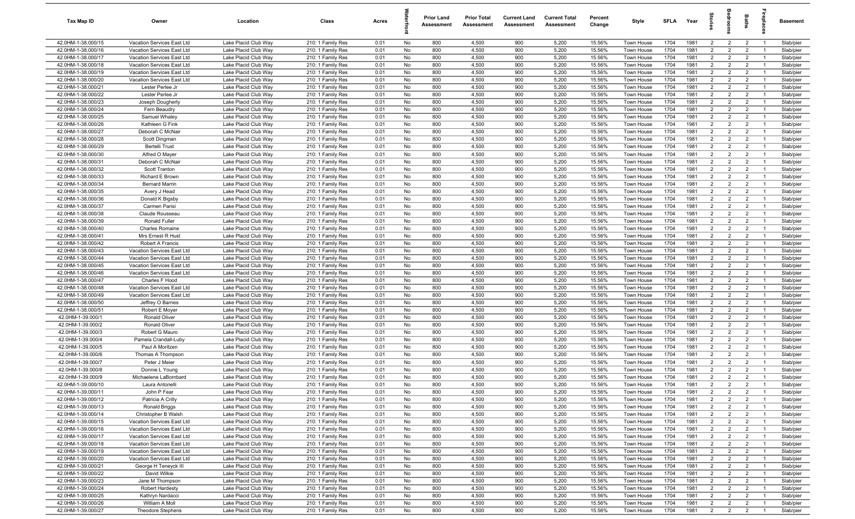| Tax Map ID                               | Owner                                                    | Location                                     | Class                                  | Acres        |          | <b>Prior Land</b><br>Assessment | <b>Prior Total</b><br>Assessment | <b>Current Land</b><br>Assessment | <b>Current Total</b><br>Assessment | Percent<br>Change | Style                    | <b>SFLA</b>  | Year         |                                  | š                                | Baths                            | Lebia                            | Basement               |
|------------------------------------------|----------------------------------------------------------|----------------------------------------------|----------------------------------------|--------------|----------|---------------------------------|----------------------------------|-----------------------------------|------------------------------------|-------------------|--------------------------|--------------|--------------|----------------------------------|----------------------------------|----------------------------------|----------------------------------|------------------------|
| 42.0HM-1-38.000/15                       | Vacation Services East Ltd                               | Lake Placid Club Way                         | 210: 1 Family Res                      | 0.01         | No       | 800                             | 4,500                            | 900                               | 5,200                              | 15.56%            | Town House               | 1704         | 1981         | $\overline{2}$                   | $\overline{2}$                   | $\overline{2}$                   | $\overline{1}$                   | Slab/pier              |
| 42.0HM-1-38.000/16                       | Vacation Services East Ltd                               | Lake Placid Club Way                         | 210: 1 Family Res                      | 0.01         | No       | 800                             | 4,500                            | 900                               | 5,200                              | 15.56%            | Town House               | 1704         | 1981         | $\overline{2}$                   | $\overline{2}$                   | $\overline{2}$                   | - 1                              | Slab/pier              |
| 42.0HM-1-38.000/17                       | Vacation Services East Ltd                               | Lake Placid Club Way                         | 210: 1 Family Res                      | 0.01         | No       | 800                             | 4,500                            | 900                               | 5,200                              | 15.56%            | Town House               | 1704         | 1981         | $\overline{2}$                   | $\overline{2}$                   | $\overline{2}$                   | - 1                              | Slab/pier              |
| 42.0HM-1-38.000/18                       | Vacation Services East Ltd                               | Lake Placid Club Way                         | 210: 1 Family Res                      | 0.01         | No       | 800                             | 4,500                            | 900                               | 5,200                              | 15.56%            | Town House               | 1704         | 1981         | $\overline{2}$                   | $\overline{2}$                   | $\overline{2}$                   |                                  | Slab/pier              |
| 42.0HM-1-38.000/19                       | Vacation Services East Ltd                               | Lake Placid Club Way                         | 210: 1 Family Res                      | 0.01         | No       | 800                             | 4,500                            | 900                               | 5,200                              | 15.56%            | <b>Town House</b>        | 1704         | 1981         | $\overline{2}$                   | $\overline{2}$                   | $\overline{2}$                   | - 1                              | Slab/pier              |
| 42.0HM-1-38.000/20                       | Vacation Services East Ltd                               | Lake Placid Club Way                         | 210: 1 Family Res                      | 0.01         | No       | 800                             | 4,500                            | 900                               | 5,200                              | 15.56%            | Town House               | 1704         | 1981         | $\overline{2}$                   | $\overline{2}$                   | $\overline{2}$                   |                                  | Slab/pier              |
| 42.0HM-1-38.000/21                       | Lester Perlee Jr                                         | Lake Placid Club Way                         | 210: 1 Family Res                      | 0.01         | No       | 800                             | 4,500                            | 900                               | 5,200                              | 15.56%            | Town House               | 1704         | 1981         | $\overline{2}$                   | $\overline{2}$                   | $\overline{2}$                   | $\overline{1}$                   | Slab/pier              |
| 42.0HM-1-38.000/22                       | Lester Perlee Jr                                         | Lake Placid Club Way                         | 210: 1 Family Res                      | 0.01         | No       | 800                             | 4,500                            | 900                               | 5,200                              | 15.56%            | Town House               | 1704         | 1981         | $\overline{2}$                   | $\overline{2}$                   | $\overline{2}$                   | $\overline{1}$                   | Slab/pier              |
| 42.0HM-1-38.000/23                       | Joseph Dougherty                                         | Lake Placid Club Way                         | 210: 1 Family Res                      | 0.01         | No       | 800                             | 4,500                            | 900                               | 5,200                              | 15.56%            | Town House               | 1704         | 1981         | $\overline{2}$                   | $\overline{2}$                   | $\overline{2}$                   | $\overline{1}$                   | Slab/pier              |
| 42.0HM-1-38.000/24                       | Fern Beaudry                                             | Lake Placid Club Way                         | 210: 1 Family Res                      | 0.01         | No       | 800                             | 4,500                            | 900                               | 5,200                              | 15.56%            | Town House               | 1704         | 1981         | $\overline{2}$                   | $\overline{2}$                   | $\overline{2}$                   | $\overline{1}$                   | Slab/pier              |
| 42.0HM-1-38.000/25                       | Samuel Whaley                                            | Lake Placid Club Wav                         | 210: 1 Family Res                      | 0.01         | No       | 800                             | 4,500                            | 900                               | 5,200                              | 15.56%            | Town House               | 1704         | 1981         | $\overline{2}$                   | $\overline{2}$                   | $\overline{2}$                   | $\overline{1}$                   | Slab/pier              |
| 42.0HM-1-38.000/26                       | Kathleen G Fink                                          | Lake Placid Club Way                         | 210: 1 Family Res                      | 0.01         | No       | 800                             | 4,500                            | 900                               | 5,200                              | 15.56%            | Town House               | 1704         | 1981         | $\overline{2}$                   | $\overline{2}$                   | $\overline{2}$                   | $\overline{1}$                   | Slab/pier              |
| 42.0HM-1-38.000/27                       | Deborah C McNair                                         | Lake Placid Club Way                         | 210: 1 Family Res                      | 0.01         | No       | 800                             | 4,500                            | 900                               | 5,200                              | 15.56%            | Town House               | 1704         | 1981         | $\overline{2}$                   | $\overline{2}$                   | $\overline{2}$                   | - 1                              | Slab/pier              |
| 42.0HM-1-38.000/28                       | Scott Dingman                                            | Lake Placid Club Way                         | 210: 1 Family Res                      | 0.01         | No       | 800                             | 4,500                            | 900                               | 5,200                              | 15.56%            | Town House               | 1704         | 1981         | $\overline{2}$                   | $\overline{2}$                   | $\overline{2}$                   | $\overline{1}$                   | Slab/pier              |
| 42.0HM-1-38.000/29                       | Bertelli Trust                                           | Lake Placid Club Way                         | 210: 1 Family Res                      | 0.01         | No       | 800                             | 4,500                            | 900                               | 5,200                              | 15.56%            | Town House               | 1704         | 1981         | $\overline{2}$                   | $\overline{2}$                   | $\overline{2}$                   |                                  | Slab/pier              |
| 42.0HM-1-38.000/30                       | Alfred O Mayer                                           | Lake Placid Club Way                         | 210: 1 Family Res                      | 0.01         | No       | 800                             | 4,500                            | 900                               | 5,200                              | 15.56%            | Town House               | 1704         | 1981         | $\overline{2}$                   | $\overline{2}$                   | $\overline{2}$                   | $\overline{1}$                   | Slab/pier              |
| 42.0HM-1-38.000/31                       | Deborah C McNair                                         | Lake Placid Club Way                         | 210: 1 Family Res                      | 0.01         | No       | 800                             | 4,500                            | 900                               | 5,200                              | 15.56%            | Town House               | 1704         | 1981         | $\overline{2}$                   | $\overline{2}$                   | $\overline{2}$                   |                                  | Slab/pier              |
| 42.0HM-1-38.000/32                       | Scott Tranton                                            | Lake Placid Club Way                         | 210: 1 Family Res                      | 0.01         | No       | 800                             | 4,500                            | 900                               | 5,200                              | 15.56%            | <b>Town House</b>        | 1704         | 1981         | $\overline{2}$                   | $\overline{2}$                   | $\overline{2}$                   | - 1                              | Slab/pier              |
| 42.0HM-1-38.000/33                       | Richard E Brown                                          | Lake Placid Club Way                         | 210: 1 Family Res                      | 0.01         | No       | 800                             | 4,500                            | 900                               | 5,200                              | 15.56%            | Town House               | 1704         | 1981         | $\overline{2}$                   | $\overline{2}$                   | $\overline{2}$                   |                                  | Slab/pier              |
| 42.0HM-1-38.000/34                       | <b>Bernard Marrir</b>                                    | Lake Placid Club Way                         | 210: 1 Family Res                      | 0.01         | No       | 800                             | 4,500                            | 900                               | 5,200                              | 15.56%            | Town House               | 1704         | 1981         | $\overline{2}$                   | $\overline{2}$                   | $\overline{2}$                   |                                  | Slab/pier              |
| 42.0HM-1-38.000/35                       | Avery J Head                                             | Lake Placid Club Way                         | 210: 1 Family Res                      | 0.01         | No       | 800                             | 4,500                            | 900                               | 5,200                              | 15.56%            | Town House               | 1704         | 1981         | $\overline{2}$                   | $\overline{2}$<br>$\overline{2}$ | $\overline{2}$                   | $\overline{1}$<br>$\overline{1}$ | Slab/pier              |
| 42.0HM-1-38.000/36                       | Donald K Bigsby                                          | Lake Placid Club Way                         | 210: 1 Family Res                      | 0.01         | No       | 800                             | 4,500                            | 900                               | 5,200                              | 15.56%            | Town House               | 1704<br>1704 | 1981<br>1981 | $\overline{2}$<br>$\overline{2}$ | $\overline{2}$                   | $\overline{2}$<br>$\overline{2}$ | $\overline{1}$                   | Slab/pier              |
| 42.0HM-1-38.000/37<br>42.0HM-1-38.000/38 | Carmen Parisi<br>Claude Rousseau                         | Lake Placid Club Way<br>Lake Placid Club Way | 210: 1 Family Res                      | 0.01         | No<br>No | 800                             | 4,500                            | 900<br>900                        | 5,200                              | 15.56%            | Town House<br>Town House | 1704         | 1981         | $\overline{2}$                   | $\overline{2}$                   | $\overline{2}$                   | $\overline{1}$                   | Slab/pier              |
| 42.0HM-1-38.000/39                       | Ronald Fuller                                            | Lake Placid Club Way                         | 210: 1 Family Res<br>210: 1 Family Res | 0.01<br>0.01 | No       | 800<br>800                      | 4,500<br>4,500                   | 900                               | 5,200<br>5,200                     | 15.56%<br>15.56%  | Town House               | 1704         | 1981         | $\overline{2}$                   | 2                                | $\overline{2}$                   | $\overline{1}$                   | Slab/pier<br>Slab/pier |
| 42.0HM-1-38.000/40                       | <b>Charles Romaine</b>                                   | Lake Placid Club Way                         | 210: 1 Family Res                      | 0.01         | No       | 800                             | 4,500                            | 900                               | 5,200                              | 15.56%            | Town House               | 1704         | 1981         | $\overline{2}$                   | $\overline{2}$                   | $\overline{2}$                   | - 1                              | Slab/pier              |
| 42.0HM-1-38.000/41                       | Mrs Ernest R Hust                                        | Lake Placid Club Way                         | 210: 1 Family Res                      | 0.01         | No       | 800                             | 4,500                            | 900                               | 5,200                              | 15.56%            | Town House               | 1704         | 1981         | $\overline{2}$                   | $\overline{2}$                   | $\overline{2}$                   | $\overline{1}$                   | Slab/pier              |
| 42.0HM-1-38.000/42                       | Robert A Francis                                         | Lake Placid Club Way                         | 210: 1 Family Res                      | 0.01         | No       | 800                             | 4,500                            | 900                               | 5,200                              | 15.56%            | Town House               | 1704         | 1981         | $\overline{2}$                   | $\overline{2}$                   | $\overline{2}$                   |                                  | Slab/pier              |
| 42.0HM-1-38.000/43                       | Vacation Services East Ltd                               | Lake Placid Club Way                         | 210: 1 Family Res                      | 0.01         | No       | 800                             | 4,500                            | 900                               | 5,200                              | 15.56%            | Town House               | 1704         | 1981         | $\overline{2}$                   | $\overline{2}$                   | $\overline{2}$                   | - 1                              | Slab/pier              |
| 42.0HM-1-38.000/44                       | Vacation Services East Ltd                               | Lake Placid Club Way                         | 210: 1 Family Res                      | 0.01         | No       | 800                             | 4,500                            | 900                               | 5,200                              | 15.56%            | <b>Town House</b>        | 1704         | 1981         | $\overline{2}$                   | $\overline{2}$                   | $\overline{2}$                   |                                  | Slab/pier              |
| 42.0HM-1-38.000/45                       | Vacation Services East Ltd                               | Lake Placid Club Way                         | 210: 1 Family Res                      | 0.01         | No       | 800                             | 4,500                            | 900                               | 5,200                              | 15.56%            | Town House               | 1704         | 1981         | $\overline{2}$                   | $\overline{2}$                   | $\overline{2}$                   |                                  | Slab/pier              |
| 42.0HM-1-38.000/46                       | Vacation Services East Ltd                               | Lake Placid Club Way                         | 210: 1 Family Res                      | 0.01         | No       | 800                             | 4,500                            | 900                               | 5,200                              | 15.56%            | Town House               | 1704         | 1981         | $\overline{2}$                   | $\overline{2}$                   | $\overline{2}$                   | - 1                              | Slab/pier              |
| 42.0HM-1-38.000/47                       | Charles F Hood                                           | Lake Placid Club Way                         | 210: 1 Family Res                      | 0.01         | No       | 800                             | 4,500                            | 900                               | 5,200                              | 15.56%            | Town House               | 1704         | 1981         | $\overline{2}$                   | $\overline{2}$                   | $\overline{2}$                   | $\overline{1}$                   | Slab/pier              |
| 42.0HM-1-38.000/48                       | Vacation Services East Ltd                               | Lake Placid Club Way                         | 210: 1 Family Res                      | 0.01         | No       | 800                             | 4,500                            | 900                               | 5,200                              | 15.56%            | Town House               | 1704         | 1981         | $\overline{2}$                   | $\overline{2}$                   | $\overline{2}$                   | $\overline{1}$                   | Slab/pier              |
| 42.0HM-1-38.000/49                       | Vacation Services East Ltd                               | Lake Placid Club Way                         | 210: 1 Family Res                      | 0.01         | No       | 800                             | 4,500                            | 900                               | 5,200                              | 15.56%            | Town House               | 1704         | 1981         | $\overline{2}$                   | $\overline{2}$                   | $\overline{2}$                   | $\overline{1}$                   | Slab/pier              |
| 42.0HM-1-38.000/50                       | Jeffrey O Barnes                                         | Lake Placid Club Way                         | 210: 1 Family Res                      | 0.01         | No       | 800                             | 4,500                            | 900                               | 5,200                              | 15.56%            | Town House               | 1704         | 1981         | $\overline{2}$                   | $\overline{2}$                   | $\overline{2}$                   | $\overline{1}$                   | Slab/pier              |
| 42.0HM-1-38.000/51                       | Robert E Moyer                                           | Lake Placid Club Way                         | 210: 1 Family Res                      | 0.01         | No       | 800                             | 4,500                            | 900                               | 5,200                              | 15.56%            | Town House               | 1704         | 1981         | 2                                | $\overline{2}$                   | $\overline{2}$                   | $\overline{1}$                   | Slab/pier              |
| 42.0HM-1-39.000/1                        | Ronald Oliver                                            | Lake Placid Club Way                         | 210: 1 Family Res                      | 0.01         | No       | 800                             | 4,500                            | 900                               | 5,200                              | 15.56%            | Town House               | 1704         | 1981         | $\overline{2}$                   | 2                                | $\overline{2}$                   | $\overline{1}$                   | Slab/pier              |
| 42.0HM-1-39.000/2                        | Ronald Oliver                                            | Lake Placid Club Way                         | 210: 1 Family Res                      | 0.01         | No       | 800                             | 4,500                            | 900                               | 5,200                              | 15.56%            | Town House               | 1704         | 1981         | $\overline{2}$                   | $\overline{2}$                   | $\overline{2}$                   |                                  | Slab/pier              |
| 42.0HM-1-39.000/3                        | Robert G Mauro                                           | Lake Placid Club Way                         | 210: 1 Family Res                      | 0.01         | No       | 800                             | 4,500                            | 900                               | 5,200                              | 15.56%            | Town House               | 1704         | 1981         | $\overline{2}$                   | $\overline{2}$                   | $\overline{2}$                   | $\overline{1}$                   | Slab/pier              |
| 42.0HM-1-39.000/4                        | Pamela Crandall-Luby                                     | Lake Placid Club Way                         | 210: 1 Family Res                      | 0.01         | No       | 800                             | 4,500                            | 900                               | 5,200                              | 15.56%            | Town House               | 1704         | 1981         | $\overline{2}$                   | $\overline{2}$                   | $\overline{2}$                   |                                  | Slab/pier              |
| 42.0HM-1-39.000/5                        | Paul A Moritzen                                          | Lake Placid Club Way                         | 210: 1 Family Res                      | 0.01         | No       | 800                             | 4,500                            | 900                               | 5,200                              | 15.56%            | Town House               | 1704         | 1981         | $\overline{2}$                   | $\overline{2}$                   | $\overline{2}$                   | $\overline{1}$                   | Slab/pier              |
| 42.0HM-1-39.000/6                        | Thomas A Thompson                                        | Lake Placid Club Way                         | 210: 1 Family Res                      | 0.01         | No       | 800                             | 4,500                            | 900                               | 5,200                              | 15.56%            | Town House               | 1704         | 1981         | $\overline{2}$                   | $\overline{2}$                   | $\overline{2}$                   |                                  | Slab/pier              |
| 42.0HM-1-39.000/7                        | Peter J Meier                                            | Lake Placid Club Way                         | 210: 1 Family Res                      | 0.01         | No       | 800                             | 4,500                            | 900                               | 5,200                              | 15.56%            | Town House               | 1704         | 1981         | $\overline{2}$                   | $\overline{2}$                   | $\overline{2}$                   |                                  | Slab/pier              |
| 42.0HM-1-39.000/8                        | Donnie L Young                                           | Lake Placid Club Way                         | 210: 1 Family Res                      | 0.01         | No       | 800                             | 4,500                            | 900                               | 5,200                              | 15.56%            | Town House               | 1704         | 1981         | $\overline{2}$                   | $\overline{2}$                   | $\overline{2}$                   |                                  | Slab/pier              |
| 42.0HM-1-39.000/9                        | Michaelene LaBombard                                     | Lake Placid Club Way                         | 210: 1 Family Res                      | 0.01         | No       | 800                             | 4,500                            | 900                               | 5,200                              | 15.56%            | <b>Town House</b>        | 1704         | 1981         | $\overline{2}$                   | $\overline{2}$                   | $\overline{2}$                   | $\overline{1}$                   | Slab/pier              |
| 42.0HM-1-39.000/10                       | Laura Antonell                                           | Lake Placid Club Way                         | 210: 1 Family Res                      | 0.01         | No       | 800                             | 4,500                            | 900                               | 5,200                              | 15.56%            | Town House               | 1704         | 1981         | $\overline{2}$                   | $\overline{2}$                   | $\overline{2}$                   |                                  | Slab/pier              |
| 42.0HM-1-39.000/11                       | John P Fear                                              | Lake Placid Club Way                         | 210: 1 Family Res                      | 0.01         | No       | 800                             | 4,500                            | 900                               | 5,200                              | 15.56%            | Town House               | 1704         | 1981         | $\overline{2}$                   | $\overline{2}$                   | $\overline{2}$                   | $\overline{1}$                   | Slab/pier              |
| 42.0HM-1-39.000/12                       | Patricia A Crilly                                        | Lake Placid Club Way                         | 210: 1 Family Res                      | 0.01         | No       | 800                             | 4,500                            | 900                               | 5,200                              | 15.56%            | Town House               | 1704         | 1981         | 2                                | $\overline{2}$                   | $\overline{2}$                   | $\overline{1}$                   | Slab/pier              |
| 42.0HM-1-39.000/13                       | Ronald Briggs                                            | Lake Placid Club Way                         | 210: 1 Family Res                      | 0.01         | No       | 800                             | 4,500                            | 900                               | 5,200                              | 15.56%            | Town House               | 1704         | 1981         | $\overline{2}$                   | $\overline{2}$                   | $\overline{2}$                   | $\overline{1}$                   | Slab/pier              |
| 42.0HM-1-39.000/14                       | Christopher B Walsh                                      | Lake Placid Club Way                         | 210: 1 Family Res                      | 0.01         | No       | 800                             | 4,500                            | 900                               | 5,200                              | 15.56%            | Town House               | 1704         | 1981         | $\overline{2}$                   | $\overline{2}$                   | $\overline{2}$                   | $\overline{1}$                   | Slab/pier              |
| 42.0HM-1-39.000/15<br>42.0HM-1-39.000/16 | Vacation Services East Ltd<br>Vacation Services East Ltd | Lake Placid Club Way<br>Lake Placid Club Way | 210: 1 Family Res<br>210: 1 Family Res | 0.01<br>0.01 | No<br>No | 800<br>800                      | 4,500<br>4,500                   | 900<br>900                        | 5,200<br>5,200                     | 15.56%<br>15.56%  | Town House<br>Town House | 1704<br>1704 | 1981<br>1981 | $\overline{2}$<br>$\overline{2}$ | $\overline{2}$<br>$\overline{2}$ | $\overline{2}$<br>$\overline{2}$ | - 1<br>$\overline{1}$            | Slab/pier<br>Slab/pier |
| 42.0HM-1-39.000/17                       | Vacation Services East Ltd                               | Lake Placid Club Way                         | 210: 1 Family Res                      | 0.01         | No       | 800                             | 4,500                            | 900                               | 5,200                              | 15.56%            | Town House               | 1704         | 1981         | $\overline{2}$                   | $\overline{2}$                   | $\overline{2}$                   |                                  | Slab/pier              |
| 42.0HM-1-39.000/18                       | Vacation Services East Ltd                               | Lake Placid Club Way                         | 210: 1 Family Res                      | 0.01         | No       | 800                             | 4,500                            | 900                               | 5,200                              | 15.56%            | Town House               | 1704         | 1981         | $\overline{2}$                   | $\overline{2}$                   | $\overline{2}$                   | $\overline{1}$                   | Slab/pier              |
| 42.0HM-1-39.000/19                       | Vacation Services East Ltd                               | Lake Placid Club Way                         | 210: 1 Family Res                      | 0.01         | No       | 800                             | 4,500                            | 900                               | 5,200                              | 15.56%            | Town House               | 1704         | 1981         | $\overline{2}$                   | $\overline{2}$                   | $\overline{2}$                   |                                  | Slab/pier              |
| 42.0HM-1-39.000/20                       | Vacation Services East Ltd                               | Lake Placid Club Way                         | 210: 1 Family Res                      | 0.01         | No       | 800                             | 4,500                            | 900                               | 5,200                              | 15.56%            | Town House               | 1704         | 1981         | $\overline{2}$                   | $\overline{2}$                   | $\overline{2}$                   | $\overline{1}$                   | Slab/pier              |
| 42.0HM-1-39.000/21                       | George H Teneyck III                                     | Lake Placid Club Way                         | 210: 1 Family Res                      | 0.01         | No       | 800                             | 4,500                            | 900                               | 5,200                              | 15.56%            | Town House               | 1704         | 1981         | $\overline{2}$                   | $\overline{2}$                   | $\overline{2}$                   | $\overline{1}$                   | Slab/pier              |
| 42.0HM-1-39.000/22                       | David Wilkie                                             | Lake Placid Club Way                         | 210: 1 Family Res                      | 0.01         | No       | 800                             | 4,500                            | 900                               | 5,200                              | 15.56%            | Town House               | 1704         | 1981         | $\overline{2}$                   | $\overline{2}$                   | $\overline{2}$                   | $\overline{1}$                   | Slab/pier              |
| 42.0HM-1-39.000/23                       | Jane M Thompson                                          | Lake Placid Club Way                         | 210: 1 Family Res                      | 0.01         | No       | 800                             | 4,500                            | 900                               | 5,200                              | 15.56%            | Town House               | 1704         | 1981         | $\overline{2}$                   | $\overline{2}$                   | $\overline{2}$                   | $\overline{1}$                   | Slab/pier              |
| 42.0HM-1-39.000/24                       | <b>Robert Hardesty</b>                                   | Lake Placid Club Way                         | 210: 1 Family Res                      | 0.01         | No       | 800                             | 4,500                            | 900                               | 5,200                              | 15.56%            | Town House               | 1704         | 1981         | $\overline{2}$                   | $\overline{2}$                   | $\overline{2}$                   | $\overline{1}$                   | Slab/pier              |
| 42.0HM-1-39.000/25                       | Kathryn Nardacci                                         | Lake Placid Club Way                         | 210: 1 Family Res                      | 0.01         | No       | 800                             | 4,500                            | 900                               | 5,200                              | 15.56%            | Town House               | 1704         | 1981         | $\overline{2}$                   | $\overline{2}$                   | $\overline{2}$                   | $\overline{1}$                   | Slab/pier              |
| 42.0HM-1-39.000/26                       | William A Moll                                           | Lake Placid Club Way                         | 210: 1 Family Res                      | 0.01         | No       | 800                             | 4,500                            | 900                               | 5,200                              | 15.56%            | Town House               | 1704         | 1981         | $\overline{2}$                   | $\overline{2}$                   | $\overline{2}$                   | $\overline{1}$                   | Slab/pier              |
| 42.0HM-1-39.000/27                       | Theodore Stephens                                        | Lake Placid Club Way                         | 210: 1 Family Res                      | 0.01         | No       | 800                             | 4,500                            | 900                               | 5,200                              | 15.56%            | Town House               | 1704         | 1981         | $\overline{2}$                   | $\overline{2}$                   | $\overline{2}$                   | $\overline{1}$                   | Slab/pier              |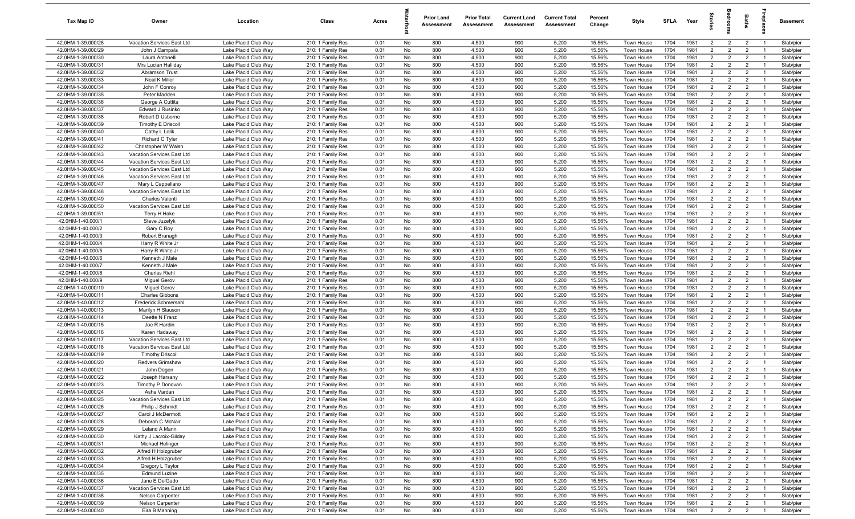| Tax Map ID                               | Owner                                      | Location                                     | Class                                  | Acres        |          | <b>Prior Land</b><br>Assessment | <b>Prior Total</b><br>Assessment | <b>Current Land</b><br>Assessment | <b>Current Total</b><br>Assessment | Percent<br>Change | Style                    | SFLA         | Year         | ទ្ទ                              |                                  | Baths                            | ebla                             | <b>Basement</b>        |
|------------------------------------------|--------------------------------------------|----------------------------------------------|----------------------------------------|--------------|----------|---------------------------------|----------------------------------|-----------------------------------|------------------------------------|-------------------|--------------------------|--------------|--------------|----------------------------------|----------------------------------|----------------------------------|----------------------------------|------------------------|
| 42.0HM-1-39.000/28                       | Vacation Services East Ltd                 | Lake Placid Club Way                         | 210: 1 Family Res                      | 0.01         | No       | 800                             | 4,500                            | 900                               | 5,200                              | 15.56%            | Town House               | 1704         | 1981         | $\overline{2}$                   | $\overline{2}$                   | $\overline{2}$                   | $\overline{1}$                   | Slab/pier              |
| 42.0HM-1-39.000/29                       | John J Campala                             | Lake Placid Club Way                         | 210: 1 Family Res                      | 0.01         | No       | 800                             | 4,500                            | 900                               | 5,200                              | 15.56%            | Town House               | 1704         | 1981         | $\overline{2}$                   | $\overline{2}$                   | $\overline{2}$                   | $\overline{1}$                   | Slab/pier              |
| 42.0HM-1-39.000/30                       | Laura Antonelli                            | Lake Placid Club Way                         | 210: 1 Family Res                      | 0.01         | No       | 800                             | 4,500                            | 900                               | 5,200                              | 15.56%            | Town House               | 1704         | 1981         | $\overline{2}$                   | $\overline{2}$                   | $\overline{2}$                   | $\overline{1}$                   | Slab/pier              |
| 42.0HM-1-39.000/31                       | Mrs Lucian Hallidav                        | Lake Placid Club Way                         | 210: 1 Family Res                      | 0.01         | No       | 800                             | 4,500                            | 900                               | 5,200                              | 15.56%            | Town House               | 1704         | 1981         | $\overline{2}$                   | $\overline{2}$                   | $\overline{2}$                   |                                  | Slab/pier              |
| 42.0HM-1-39.000/32                       | <b>Abramson Trust</b>                      | Lake Placid Club Way                         | 210: 1 Family Res                      | 0.01         | No       | 800                             | 4,500                            | 900                               | 5,200                              | 15.56%            | Town House               | 1704         | 1981         | $\overline{2}$                   | $\overline{2}$                   | $\overline{2}$                   | $\overline{1}$                   | Slab/pier              |
| 42.0HM-1-39.000/33                       | Neal K Miller                              | Lake Placid Club Way                         | 210: 1 Family Res                      | 0.01         | No       | 800                             | 4,500                            | 900                               | 5,200                              | 15.56%            | Town House               | 1704         | 1981         | $\overline{2}$                   | $\overline{2}$                   | $\overline{2}$                   |                                  | Slab/pie               |
| 42.0HM-1-39.000/34                       | John F Conroy                              | Lake Placid Club Way                         | 210: 1 Family Res                      | 0.01         | No       | 800                             | 4,500                            | 900                               | 5,200                              | 15.56%            | Town House               | 1704         | 1981         | $\overline{2}$                   | $\overline{2}$                   | $\overline{2}$                   | $\overline{1}$                   | Slab/pier              |
| 42.0HM-1-39.000/35                       | Peter Madden                               | Lake Placid Club Way                         | 210: 1 Family Res                      | 0.01         | No       | 800                             | 4,500                            | 900                               | 5,200                              | 15.56%            | Town House               | 1704         | 1981         | $\overline{2}$                   | $\overline{2}$                   | $\overline{2}$                   | $\overline{1}$                   | Slab/pier              |
| 42.0HM-1-39.000/36                       | George A Cuttita                           | Lake Placid Club Way                         | 210: 1 Family Res                      | 0.01         | No       | 800                             | 4,500                            | 900                               | 5,200                              | 15.56%            | Town House               | 1704         | 1981         | $\overline{2}$                   | $\overline{2}$                   | $\overline{2}$                   | $\overline{1}$                   | Slab/pier              |
| 42.0HM-1-39.000/37                       | Edward J Rusinko                           | Lake Placid Club Way                         | 210: 1 Family Res                      | 0.01         | No       | 800                             | 4,500                            | 900                               | 5,200                              | 15.56%            | Town House               | 1704         | 1981         | $\overline{2}$                   | $\overline{2}$                   | $\overline{2}$                   | $\overline{1}$                   | Slab/pier              |
| 42.0HM-1-39.000/38                       | Robert D Usborne                           | Lake Placid Club Way                         | 210: 1 Family Res                      | 0.01         | No       | 800                             | 4,500                            | 900                               | 5,200                              | 15.56%            | Town House               | 1704         | 1981         | 2                                | $\overline{2}$                   | $\overline{2}$                   | $\overline{1}$                   | Slab/pier              |
| 42.0HM-1-39.000/39                       | <b>Timothy E Driscoll</b>                  | Lake Placid Club Way                         | 210: 1 Family Res                      | 0.01         | No       | 800                             | 4,500<br>4,500                   | 900                               | 5,200<br>5,200                     | 15.56%            | Town House               | 1704         | 1981         | $\overline{2}$<br>2              | $\overline{2}$<br>2              | $\overline{2}$                   | $\overline{1}$                   | Slab/pier              |
| 42.0HM-1-39.000/40<br>42.0HM-1-39.000/41 | Cathy L Lolik<br>Richard C Tyler           | Lake Placid Club Way<br>Lake Placid Club Way | 210: 1 Family Res<br>210: 1 Family Res | 0.01<br>0.01 | No<br>No | 800<br>800                      | 4,500                            | 900<br>900                        | 5,200                              | 15.56%<br>15.56%  | Town House<br>Town House | 1704<br>1704 | 1981<br>1981 | $\overline{2}$                   | $\overline{2}$                   | $\overline{2}$<br>$\overline{2}$ | $\overline{1}$<br>$\overline{1}$ | Slab/pier<br>Slab/pier |
| 42.0HM-1-39.000/42                       | Christopher W Walsh                        | Lake Placid Club Way                         | 210: 1 Family Res                      | 0.01         | No       | 800                             | 4,500                            | 900                               | 5,200                              | 15.56%            | Town House               | 1704         | 1981         | $\overline{2}$                   | $\overline{2}$                   | $\overline{2}$                   | $\mathbf{1}$                     | Slab/pier              |
| 42.0HM-1-39.000/43                       | Vacation Services East Ltd                 | Lake Placid Club Way                         | 210: 1 Family Res                      | 0.01         | No       | 800                             | 4,500                            | 900                               | 5,200                              | 15.56%            | Town House               | 1704         | 1981         | $\overline{2}$                   | $\overline{2}$                   | $\overline{2}$                   | $\overline{1}$                   | Slab/pier              |
| 42.0HM-1-39.000/44                       | Vacation Services East Ltd                 | Lake Placid Club Way                         | 210: 1 Family Res                      | 0.01         | No       | 800                             | 4,500                            | 900                               | 5,200                              | 15.56%            | Town House               | 1704         | 1981         | $\overline{2}$                   | $\overline{2}$                   | $\overline{2}$                   |                                  | Slab/pier              |
| 42.0HM-1-39.000/45                       | Vacation Services East Ltd                 | Lake Placid Club Way                         | 210: 1 Family Res                      | 0.01         | No       | 800                             | 4,500                            | 900                               | 5,200                              | 15.56%            | Town House               | 1704         | 1981         | $\overline{2}$                   | $\overline{2}$                   | $\overline{2}$                   | $\overline{1}$                   | Slab/pier              |
| 42.0HM-1-39.000/46                       | Vacation Services East Ltd                 | Lake Placid Club Wav                         | 210: 1 Family Res                      | 0.01         | No       | 800                             | 4,500                            | 900                               | 5,200                              | 15.56%            | Town House               | 1704         | 1981         | $\overline{2}$                   | $\overline{2}$                   | $\overline{2}$                   |                                  | Slab/pier              |
| 42.0HM-1-39.000/47                       | Mary L Cappellano                          | Lake Placid Club Way                         | 210: 1 Family Res                      | 0.01         | No       | 800                             | 4,500                            | 900                               | 5,200                              | 15.56%            | Town House               | 1704         | 1981         | $\overline{2}$                   | $\overline{2}$                   | $\overline{2}$                   | $\overline{1}$                   | Slab/pier              |
| 42.0HM-1-39.000/48                       | Vacation Services East Ltd                 | Lake Placid Club Way                         | 210: 1 Family Res                      | 0.01         | No       | 800                             | 4,500                            | 900                               | 5,200                              | 15.56%            | Town House               | 1704         | 1981         | $\overline{2}$                   | $\overline{2}$                   | $\overline{2}$                   | $\overline{1}$                   | Slab/pier              |
| 42.0HM-1-39.000/49                       | <b>Charles Valenti</b>                     | Lake Placid Club Way                         | 210: 1 Family Res                      | 0.01         | No       | 800                             | 4,500                            | 900                               | 5,200                              | 15.56%            | Town House               | 1704         | 1981         | $\overline{2}$                   | $\overline{2}$                   | $\overline{2}$                   | $\overline{1}$                   | Slab/pier              |
| 42.0HM-1-39.000/50                       | Vacation Services East Ltd                 | Lake Placid Club Way                         | 210: 1 Family Res                      | 0.01         | No       | 800                             | 4,500                            | 900                               | 5,200                              | 15.56%            | Town House               | 1704         | 1981         | $\overline{2}$                   | $\overline{2}$                   | $\overline{2}$                   | $\overline{1}$                   | Slab/pier              |
| 42.0HM-1-39.000/51                       | Terry H Hake                               | Lake Placid Club Wav                         | 210: 1 Family Res                      | 0.01         | No       | 800                             | 4,500                            | 900                               | 5,200                              | 15.56%            | Town House               | 1704         | 1981         | 2                                | $\overline{2}$                   | $\overline{2}$                   | $\mathbf{1}$                     | Slab/pier              |
| 42.0HM-1-40.000/1                        | Steve Juzefyk                              | Lake Placid Club Way                         | 210: 1 Family Res                      | 0.01         | No       | 800                             | 4,500                            | 900                               | 5,200                              | 15.56%            | Town House               | 1704         | 1981         | $\overline{2}$                   | 2                                | $\overline{2}$                   | $\overline{1}$                   | Slab/pier              |
| 42.0HM-1-40.000/2                        | Gary C Roy                                 | Lake Placid Club Way                         | 210: 1 Family Res                      | 0.01         | No       | 800                             | 4,500                            | 900                               | 5,200                              | 15.56%            | Town House               | 1704         | 1981         | 2                                | $\overline{2}$                   | $\overline{2}$                   | $\mathbf{1}$                     | Slab/pier              |
| 42.0HM-1-40.000/3                        | Robert Branagh                             | Lake Placid Club Way                         | 210: 1 Family Res                      | 0.01         | No       | 800                             | 4,500                            | 900                               | 5,200                              | 15.56%            | Town House               | 1704         | 1981         | $\overline{2}$                   | $\overline{2}$                   | $\overline{2}$                   | $\overline{1}$                   | Slab/pier              |
| 42.0HM-1-40.000/4                        | Harry R White Jr                           | Lake Placid Club Way                         | 210: 1 Family Res                      | 0.01         | No       | 800                             | 4,500                            | 900                               | 5,200                              | 15.56%            | Town House               | 1704         | 1981         | $\overline{2}$                   | $\overline{2}$                   | $\overline{2}$                   |                                  | Slab/pier              |
| 42.0HM-1-40.000/5                        | Harry R White Jr                           | Lake Placid Club Way                         | 210: 1 Family Res                      | 0.01         | No       | 800                             | 4,500                            | 900                               | 5,200                              | 15.56%            | Town House               | 1704         | 1981         | $\overline{2}$                   | $\overline{2}$                   | $\overline{2}$                   | $\overline{1}$                   | Slab/pier              |
| 42.0HM-1-40.000/6                        | Kenneth J Male                             | Lake Placid Club Way                         | 210: 1 Family Res                      | 0.01         | No       | 800                             | 4,500                            | 900                               | 5,200                              | 15.56%            | Town House               | 1704         | 1981         | $\overline{2}$                   | $\overline{2}$                   | $\overline{2}$                   |                                  | Slab/pier              |
| 42.0HM-1-40.000/7                        | Kenneth J Male                             | Lake Placid Club Way                         | 210: 1 Family Res                      | 0.01         | No       | 800                             | 4,500                            | 900                               | 5,200                              | 15.56%            | Town House               | 1704         | 1981         | $\overline{2}$                   | $\overline{2}$                   | $\overline{2}$                   | $\overline{1}$                   | Slab/pier              |
| 42.0HM-1-40.000/8                        | <b>Charles Riehl</b>                       | Lake Placid Club Way                         | 210: 1 Family Res                      | 0.01         | No       | 800                             | 4,500                            | 900                               | 5,200                              | 15.56%            | Town House               | 1704         | 1981         | $\overline{2}$                   | $\overline{2}$                   | $\overline{2}$                   | $\overline{1}$                   | Slab/pier              |
| 42.0HM-1-40.000/9                        | <b>Miguel Gerov</b>                        | Lake Placid Club Way                         | 210: 1 Family Res                      | 0.01         | No       | 800                             | 4,500                            | 900                               | 5,200                              | 15.56%            | Town House               | 1704         | 1981         | $\overline{2}$                   | $\overline{2}$                   | $\overline{2}$                   | $\overline{1}$                   | Slab/pier              |
| 42.0HM-1-40.000/10                       | <b>Miguel Gerov</b>                        | Lake Placid Club Way                         | 210: 1 Family Res                      | 0.01         | No       | 800                             | 4,500                            | 900                               | 5,200                              | 15.56%            | Town House               | 1704         | 1981         | $\overline{2}$                   | $\overline{2}$                   | $\overline{2}$                   | $\overline{1}$                   | Slab/pier              |
| 42.0HM-1-40.000/11                       | <b>Charles Gibbons</b>                     | Lake Placid Club Way                         | 210: 1 Family Res                      | 0.01         | No       | 800                             | 4,500<br>4,500                   | 900<br>900                        | 5,200                              | 15.56%            | Town House               | 1704<br>1704 | 1981<br>1981 | 2                                | $\overline{2}$<br>$\overline{2}$ | $\overline{2}$<br>$\overline{2}$ | $\overline{1}$<br>$\overline{1}$ | Slab/pier              |
| 42.0HM-1-40.000/12<br>42.0HM-1-40.000/13 | Frederick Schmersahl<br>Marilyn H Slauson  | Lake Placid Club Way<br>Lake Placid Club Way | 210: 1 Family Res<br>210: 1 Family Res | 0.01<br>0.01 | No<br>No | 800<br>800                      | 4,500                            | 900                               | 5,200<br>5,200                     | 15.56%<br>15.56%  | Town House<br>Town House | 1704         | 1981         | $\overline{2}$<br>$\overline{2}$ | $\overline{2}$                   | $\overline{2}$                   | $\mathbf{1}$                     | Slab/pier<br>Slab/pier |
| 42.0HM-1-40.000/14                       | Deette N Franz                             | Lake Placid Club Way                         | 210: 1 Family Res                      | 0.01         | No       | 800                             | 4,500                            | 900                               | 5,200                              | 15.56%            | Town House               | 1704         | 1981         | $\overline{2}$                   | 2                                | $\overline{2}$                   | $\overline{1}$                   | Slab/pier              |
| 42.0HM-1-40.000/15                       | Joe R Hardin                               | Lake Placid Club Way                         | 210: 1 Family Res                      | 0.01         | No       | 800                             | 4,500                            | 900                               | 5,200                              | 15.56%            | Town House               | 1704         | 1981         | $\overline{2}$                   | $\overline{2}$                   | $\overline{2}$                   |                                  | Slab/pier              |
| 42.0HM-1-40.000/16                       | Karen Hadaway                              | Lake Placid Club Way                         | 210: 1 Family Res                      | 0.01         | No       | 800                             | 4,500                            | 900                               | 5,200                              | 15.56%            | Town House               | 1704         | 1981         | $\overline{2}$                   | $\overline{2}$                   | $\overline{2}$                   | $\overline{1}$                   | Slab/pier              |
| 42.0HM-1-40.000/17                       | Vacation Services East Ltd                 | Lake Placid Club Way                         | 210: 1 Family Res                      | 0.01         | No       | 800                             | 4,500                            | 900                               | 5,200                              | 15.56%            | Town House               | 1704         | 1981         | $\overline{2}$                   | $\overline{2}$                   | $\overline{2}$                   | $\mathbf{1}$                     | Slab/pier              |
| 42.0HM-1-40.000/18                       | Vacation Services East Ltd                 | Lake Placid Club Way                         | 210: 1 Family Res                      | 0.01         | No       | 800                             | 4,500                            | 900                               | 5,200                              | 15.56%            | Town House               | 1704         | 1981         | $\overline{2}$                   | $\overline{2}$                   | $\overline{2}$                   | $\overline{1}$                   | Slab/pier              |
| 42.0HM-1-40.000/19                       | <b>Timothy Driscoll</b>                    | Lake Placid Club Way                         | 210: 1 Family Res                      | 0.01         | No       | 800                             | 4,500                            | 900                               | 5,200                              | 15.56%            | Town House               | 1704         | 1981         | $\overline{2}$                   | $\overline{2}$                   | $\overline{2}$                   |                                  | Slab/pier              |
| 42.0HM-1-40.000/20                       | <b>Redvers Grimshaw</b>                    | Lake Placid Club Way                         | 210: 1 Family Res                      | 0.01         | No       | 800                             | 4,500                            | 900                               | 5,200                              | 15.56%            | Town House               | 1704         | 1981         | $\overline{2}$                   | $\overline{2}$                   | $\overline{2}$                   | $\overline{1}$                   | Slab/pier              |
| 42.0HM-1-40.000/21                       | John Degen                                 | Lake Placid Club Way                         | 210: 1 Family Res                      | 0.01         | No       | 800                             | 4,500                            | 900                               | 5,200                              | 15.56%            | Town House               | 1704         | 1981         | $\overline{2}$                   | $\overline{2}$                   | $\overline{2}$                   |                                  | Slab/pier              |
| 42.0HM-1-40.000/22                       | Joseph Harsany                             | Lake Placid Club Way                         | 210: 1 Family Res                      | 0.01         | No       | 800                             | 4,500                            | 900                               | 5,200                              | 15.56%            | Town House               | 1704         | 1981         | $\overline{2}$                   | $\overline{2}$                   | $\overline{2}$                   | $\overline{1}$                   | Slab/pier              |
| 42.0HM-1-40.000/23                       | Timothy P Donovan                          | Lake Placid Club Way                         | 210: 1 Family Res                      | 0.01         | No       | 800                             | 4,500                            | 900                               | 5,200                              | 15.56%            | Town House               | 1704         | 1981         | $\overline{2}$                   | 2                                | $\overline{2}$                   |                                  | Slab/pier              |
| 42.0HM-1-40.000/24                       | Asha Vardan                                | Lake Placid Club Way                         | 210: 1 Family Res                      | 0.01         | No       | 800                             | 4,500                            | 900                               | 5,200                              | 15.56%            | Town House               | 1704         | 1981         | $\overline{2}$                   | $\overline{2}$                   | $\overline{2}$                   | $\overline{1}$                   | Slab/pier              |
| 42.0HM-1-40.000/25                       | Vacation Services East Ltd                 | Lake Placid Club Way                         | 210: 1 Family Res                      | 0.01         | No       | 800                             | 4,500                            | 900                               | 5,200                              | 15.56%            | Town House               | 1704         | 1981         | 2                                | $\overline{2}$                   | $\overline{2}$                   | $\overline{1}$                   | Slab/pier              |
| 42.0HM-1-40.000/26                       | Philip J Schmidt                           | Lake Placid Club Way                         | 210: 1 Family Res                      | 0.01         | No       | 800                             | 4,500                            | 900                               | 5,200                              | 15.56%            | Town House               | 1704         | 1981         | $\overline{2}$                   | $\overline{2}$                   | $\overline{2}$                   | $\overline{1}$                   | Slab/pier              |
| 42.0HM-1-40.000/27                       | Carol J McDermott                          | Lake Placid Club Way                         | 210: 1 Family Res                      | 0.01         | No       | 800                             | 4,500                            | 900                               | 5,200                              | 15.56%            | Town House               | 1704         | 1981         | $\overline{2}$                   | $\overline{2}$                   | $\overline{2}$                   | $\overline{1}$                   | Slab/pier              |
| 42.0HM-1-40.000/28                       | Deborah C McNair                           | Lake Placid Club Way                         | 210: 1 Family Res                      | 0.01         | No       | 800                             | 4,500                            | 900                               | 5,200                              | 15.56%            | Town House               | 1704         | 1981         | $\overline{2}$                   | $\overline{2}$                   | $\overline{2}$                   | $\overline{1}$                   | Slab/pier              |
| 42.0HM-1-40.000/29                       | Leland A Mann                              | Lake Placid Club Way                         | 210: 1 Family Res                      | 0.01         | No       | 800                             | 4,500                            | 900                               | 5,200                              | 15.56%            | Town House               | 1704         | 1981         | $\overline{2}$                   | $\overline{2}$                   | $\overline{2}$                   | $\overline{1}$                   | Slab/pier              |
| 42.0HM-1-40.000/30                       | Kathy J Lacroix-Gilday                     | Lake Placid Club Way                         | 210: 1 Family Res                      | 0.01         | No       | 800                             | 4,500                            | 900                               | 5,200                              | 15.56%            | Town House               | 1704         | 1981         | $\overline{2}$                   | $\overline{2}$                   | $\overline{2}$                   |                                  | Slab/pier              |
| 42.0HM-1-40.000/31                       | Michael Helinger                           | Lake Placid Club Way                         | 210: 1 Family Res                      | 0.01         | No<br>No | 800<br>800                      | 4,500<br>4,500                   | 900<br>900                        | 5,200<br>5,200                     | 15.56%<br>15.56%  | Town House               | 1704         | 1981<br>1981 | $\overline{2}$<br>$\overline{2}$ | $\overline{2}$<br>$\overline{2}$ | $\overline{2}$                   | $\overline{1}$                   | Slab/pier<br>Slab/pier |
| 42.0HM-1-40.000/32<br>42.0HM-1-40.000/33 | Alfred H Holzgruber<br>Alfred H Holzgruber | Lake Placid Club Way<br>Lake Placid Club Way | 210: 1 Family Res<br>210: 1 Family Res | 0.01<br>0.01 | No       | 800                             | 4,500                            | 900                               | 5,200                              | 15.56%            | Town House<br>Town House | 1704<br>1704 | 1981         | $\overline{2}$                   | $\overline{2}$                   | $\overline{2}$<br>$\overline{2}$ | $\overline{1}$                   | Slab/pier              |
| 42.0HM-1-40.000/34                       | Gregory L Taylor                           | Lake Placid Club Way                         | 210: 1 Family Res                      | 0.01         | No       | 800                             | 4,500                            | 900                               | 5,200                              | 15.56%            | Town House               | 1704         | 1981         | $\overline{2}$                   | $\overline{2}$                   | $\overline{2}$                   | $\overline{1}$                   | Slab/pier              |
| 42.0HM-1-40.000/35                       | <b>Edmund Luzine</b>                       | Lake Placid Club Way                         | 210: 1 Family Res                      | 0.01         | No       | 800                             | 4,500                            | 900                               | 5,200                              | 15.56%            | Town House               | 1704         | 1981         | $\overline{2}$                   | $\overline{2}$                   | $\overline{2}$                   | $\overline{1}$                   | Slab/pier              |
| 42.0HM-1-40.000/36                       | Jane E DelGado                             | Lake Placid Club Way                         | 210: 1 Family Res                      | 0.01         | No       | 800                             | 4,500                            | 900                               | 5,200                              | 15.56%            | Town House               | 1704         | 1981         | $\overline{2}$                   | $\overline{2}$                   | $\overline{2}$                   | $\overline{1}$                   | Slab/pier              |
| 42.0HM-1-40.000/37                       | Vacation Services East Ltd                 | Lake Placid Club Way                         | 210: 1 Family Res                      | 0.01         | No       | 800                             | 4,500                            | 900                               | 5,200                              | 15.56%            | Town House               | 1704         | 1981         | $\overline{2}$                   | $\overline{2}$                   | $\overline{2}$                   | $\overline{1}$                   | Slab/pier              |
| 42.0HM-1-40.000/38                       | Nelson Carpenter                           | Lake Placid Club Way                         | 210: 1 Family Res                      | 0.01         | No       | 800                             | 4,500                            | 900                               | 5,200                              | 15.56%            | Town House               | 1704         | 1981         | $\overline{2}$                   | $\overline{2}$                   | $\overline{2}$                   | $\overline{1}$                   | Slab/pier              |
| 42.0HM-1-40.000/39                       | Nelson Carpenter                           | Lake Placid Club Way                         | 210: 1 Family Res                      | 0.01         | No       | 800                             | 4,500                            | 900                               | 5,200                              | 15.56%            | Town House               | 1704         | 1981         | $\overline{2}$                   | $\overline{2}$                   | $\overline{2}$                   | $\overline{1}$                   | Slab/pier              |
| 42.0HM-1-40.000/40                       | Eira B Manning                             | Lake Placid Club Way                         | 210: 1 Family Res                      | 0.01         | No       | 800                             | 4,500                            | 900                               | 5,200                              | 15.56%            | Town House               | 1704         | 1981         | $\overline{2}$                   | $\overline{2}$                   | $\overline{2}$                   | $\overline{1}$                   | Slab/pier              |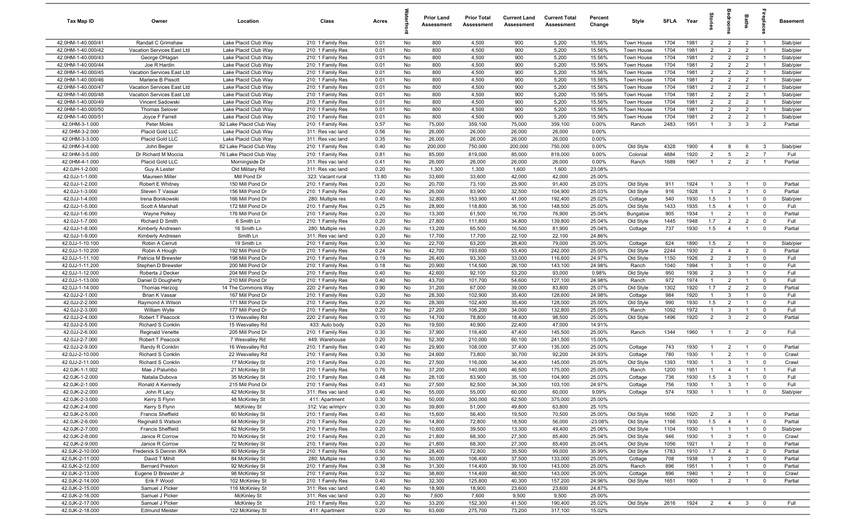| Tax Map ID                         | Owner                              | Location                           | Class                                  | Acres        |          | <b>Prior Land</b><br>Assessment | <b>Prior Total</b><br>Assessment | <b>Current Land</b><br>Assessment | <b>Current Total</b><br>Assessment | Percent<br>Change | Style                 | SFLA        | Year         | g<br>1                           | edroo                            | <b>Baths</b>                     | irepla                           | <b>Basement</b> |
|------------------------------------|------------------------------------|------------------------------------|----------------------------------------|--------------|----------|---------------------------------|----------------------------------|-----------------------------------|------------------------------------|-------------------|-----------------------|-------------|--------------|----------------------------------|----------------------------------|----------------------------------|----------------------------------|-----------------|
| 42.0HM-1-40.000/41                 | Randall C Grimshaw                 | Lake Placid Club Way               | 210: 1 Family Res                      | 0.01         | No       | 800                             | 4,500                            | 900                               | 5,200                              | 15.56%            | Town House            | 1704        | 1981         | $\overline{2}$                   | $\overline{2}$                   | $\overline{2}$                   | $\overline{1}$                   | Slab/pier       |
| 42.0HM-1-40.000/42                 | Vacation Services East Ltd         | Lake Placid Club Way               | 210: 1 Family Res                      | 0.01         | No       | 800                             | 4,500                            | 900                               | 5,200                              | 15.56%            | Town House            | 1704        | 1981         | 2                                | $\overline{2}$                   | 2                                | $\overline{1}$                   | Slab/pier       |
| 42.0HM-1-40.000/43                 | George OHagan                      | Lake Placid Club Way               | 210: 1 Family Res                      | 0.01         | No       | 800                             | 4,500                            | 900                               | 5,200                              | 15.56%            | Town House            | 1704        | 1981         | $\overline{2}$                   | $\overline{2}$                   | $\overline{2}$                   | $\overline{1}$                   | Slab/pier       |
| 42.0HM-1-40.000/44                 | Joe R Hardin                       | Lake Placid Club Way               | 210: 1 Family Res                      | 0.01         | No       | 800                             | 4,500                            | 900                               | 5,200                              | 15.56%            | Town House            | 1704        | 1981         | $\overline{2}$                   | $\overline{2}$                   | $\overline{2}$                   | - 1                              | Slab/pier       |
| 42.0HM-1-40.000/45                 | Vacation Services East Ltd         | Lake Placid Club Way               | 210: 1 Family Res                      | 0.01         | No       | 800                             | 4,500                            | 900                               | 5,200                              | 15.56%            | Town House            | 1704        | 1981         | $\overline{2}$                   | $\overline{2}$                   | $\overline{2}$                   | $\overline{1}$                   | Slab/pier       |
| 42.0HM-1-40.000/46                 | Marlene B Pissott                  | Lake Placid Club Way               | 210: 1 Family Res                      | 0.01         | No       | 800                             | 4,500                            | 900                               | 5,200                              | 15.56%            | Town House            | 1704        | 1981         | $\overline{2}$                   | $\overline{2}$                   | $\overline{2}$                   |                                  | Slab/pier       |
| 42.0HM-1-40.000/47                 | Vacation Services East Ltd         | Lake Placid Club Way               | 210: 1 Family Res                      | 0.01         | No       | 800                             | 4,500                            | 900                               | 5,200                              | 15.56%            | Town House            | 1704        | 1981         | $\overline{2}$                   | $\overline{2}$                   | $\overline{2}$                   | $\overline{1}$                   | Slab/pier       |
| 42.0HM-1-40.000/48                 | Vacation Services East Ltd         | Lake Placid Club Way               | 210: 1 Family Res                      | 0.01         | No       | 800                             | 4,500                            | 900                               | 5,200                              | 15.56%            | Town House            | 1704        | 1981         | $\overline{2}$                   | $\overline{2}$                   | $\overline{2}$                   | $\overline{1}$                   | Slab/pier       |
| 42.0HM-1-40.000/49                 | Vincent Sadowski                   | Lake Placid Club Way               | 210: 1 Family Res                      | 0.01         | No       | 800                             | 4,500                            | 900                               | 5,200                              | 15.56%            | Town House            | 1704        | 1981         | $\overline{2}$                   | $\overline{2}$                   | $\overline{2}$                   | $\overline{1}$                   | Slab/pier       |
| 42.0HM-1-40.000/50                 | <b>Thomas Selover</b>              | Lake Placid Club Way               | 210: 1 Family Res                      | 0.01         | No       | 800                             | 4,500                            | 900                               | 5,200                              | 15.56%            | Town House            | 1704        | 1981         | $\overline{2}$                   | $\overline{2}$                   | $\overline{2}$                   | $\overline{1}$                   | Slab/pier       |
| 42.0HM-1-40.000/51                 | Joyce F Farrell                    | Lake Placid Club Way               | 210: 1 Family Res                      | 0.01         | No       | 800                             | 4,500                            | 900                               | 5,200                              | 15.56%            | Town House            | 1704        | 1981         | $\overline{2}$                   | $\overline{2}$                   | $\overline{2}$                   | $\overline{1}$                   | Slab/pier       |
| 42.0HM-3-1.000                     | Peter Moles                        | 92 Lake Placid Club Way            | 210: 1 Family Res                      | 0.57         | No       | 75,000                          | 359,100                          | 75,000                            | 359,100                            | 0.00%             | Ranch                 | 2483        | 1951         | $\overline{1}$                   | $\mathbf{3}$                     | $\mathbf{3}$                     | $\overline{2}$                   | Partial         |
| 42.0HM-3-2.000                     | Placid Gold LLC                    | Lake Placid Club Way               | 311: Res vac land                      | 0.56         | No       | 26,000                          | 26,000                           | 26,000                            | 26,000                             | 0.00%             |                       |             |              |                                  |                                  |                                  |                                  |                 |
| 42.0HM-3-3.000                     | Placid Gold LLC                    | Lake Placid Club Way               | 311: Res vac land                      | 0.35         | No       | 26,000                          | 26,000                           | 26,000                            | 26,000                             | 0.00%             |                       |             |              |                                  |                                  |                                  |                                  |                 |
| 42.0HM-3-4.000                     | John Begier                        | 82 Lake Placid Club Way            | 210: 1 Family Res                      | 0.40         | No       | 200,000                         | 750,000                          | 200,000                           | 750,000                            | 0.00%             | Old Style             | 4328        | 1900         | $\overline{4}$                   | 8                                | 6                                | -3                               | Slab/pier       |
| 42.0HM-3-5.000                     | Dr Richard M Moccia                | 76 Lake Placid Club Way            | 210: 1 Family Res                      | 0.81         | No       | 85,000                          | 819,000                          | 85,000                            | 819,000                            | 0.00%             | Colonial              | 4884        | 1920         | $\overline{2}$                   | $5\overline{5}$                  | $\overline{2}$                   | $\overline{7}$                   | Full            |
| 42.0HM-4-1.000                     | Placid Gold LLC                    | Morningside Dr                     | 311: Res vac land                      | 0.41         | No       | 26,000                          | 26,000                           | 26,000                            | 26,000                             | 0.00%             | Ranch                 | 1689        | 1967         | $\overline{1}$                   | $\overline{2}$                   | $\overline{2}$                   | - 1                              | Partial         |
| 42.0JH-1-2.000                     | Guy A Lester                       | Old Military Rd                    | 311: Res vac land                      | 0.20         | No       | 1,300                           | 1,300                            | 1,600                             | 1,600                              | 23.08%            |                       |             |              |                                  |                                  |                                  |                                  |                 |
| 42.0JJ-1-1.000                     | <b>Maureen Miller</b>              | Mill Pond Dr                       | 323: Vacant rural                      | 13.80        | No       | 33,600                          | 33,600                           | 42,000<br>25,900                  | 42,000                             | 25.00%            |                       |             |              | -1                               |                                  |                                  | $\Omega$                         |                 |
| 42.0JJ-1-2.000                     | Robert E Whitney                   | 150 Mill Pond Dr                   | 210: 1 Family Res                      | 0.20         | No       | 20,700                          | 73,100                           |                                   | 91,400                             | 25.03%            | Old Style             | 911         | 1924         | $\overline{1}$                   | 3                                |                                  |                                  | Partial         |
| 42.0JJ-1-3.000                     | Steven T Vassar                    | 156 Mill Pond Dr                   | 210: 1 Family Res                      | 0.20         | No       | 26,000                          | 83,900                           | 32,500                            | 104,900                            | 25.03%            | Old Style             | 916         | 1928         |                                  | $\overline{2}$                   | $\overline{1}$                   | $\overline{\mathbf{0}}$          | Partial         |
| 42.0JJ-1-4.000                     | Irena Bonikowski                   | 166 Mill Pond Dr                   | 280: Multiple res                      | 0.40         | No       | 32,800                          | 153,900                          | 41,000                            | 192,400                            | 25.02%            | Cottage               | 540         | 1930         | 1.5                              | $\overline{1}$                   | $\overline{1}$<br>$\overline{1}$ | $\overline{\mathbf{0}}$          | Slab/pier       |
| 42.0JJ-1-5.000                     | Scott A Marshall                   | 172 Mill Pond Dr                   | 210: 1 Family Res                      | 0.25         | No<br>No | 28,900                          | 118,800                          | 36,100                            | 148,500                            | 25.00%            | Old Style             | 1433        | 1935<br>1934 | 1.5<br>$\overline{1}$            | $\overline{4}$<br>$\overline{2}$ | $\overline{1}$                   | $\overline{0}$<br>$\overline{0}$ | Full<br>Partial |
| 42.0JJ-1-6.000<br>42.0JJ-1-7.000   | Wayne Pelkey<br>Richard D Smith    | 176 Mill Pond Dr<br>6 Smith Ln     | 210: 1 Family Res<br>210: 1 Family Res | 0.20<br>0.20 | No       | 13,300<br>27,800                | 61,500<br>111,800                | 16,700<br>34,800                  | 76,900<br>139,800                  | 25.04%<br>25.04%  | Bungalow<br>Old Style | 905<br>1445 | 1948         | 1.7                              | $\overline{2}$                   | $\overline{2}$                   | $\mathbf 0$                      | Full            |
| 42.0JJ-1-8.000                     | Kimberly Andresen                  | 16 Smith Ln                        | 280: Multiple res                      | 0.20         | No       | 13,200                          | 65,500                           | 16,500                            | 81,900                             | 25.04%            | Cottage               | 737         | 1930         | 1.5                              | $\overline{4}$                   | $\overline{1}$                   | $^{\circ}$                       | Partial         |
| 42.0JJ-1-9.000                     | Kimberly Andresen                  | Smith Ln                           | 311: Res vac land                      | 0.20         | No       | 17,700                          | 17,700                           | 22,100                            | 22,100                             | 24.86%            |                       |             |              |                                  |                                  |                                  |                                  |                 |
| 42.0JJ-1-10.100                    | Robin A Cerruti                    | 19 Smith Ln                        | 210: 1 Family Res                      | 0.30         | No       | 22,700                          | 63,200                           | 28,400                            | 79,000                             | 25.00%            | Cottage               | 624         | 1890         | 1.5                              | $\overline{2}$                   | -1                               | $\overline{0}$                   | Slab/pier       |
| 42.0JJ-1-10.200                    | Robin A Hough                      | 192 Mill Pond Dr                   | 210: 1 Family Res                      | 0.24         | No       | 42,700                          | 193,600                          | 53,400                            | 242,000                            | 25.00%            | Old Style             | 2244        | 1930         | $\overline{2}$                   | $\overline{4}$                   | $\overline{2}$                   | $\overline{0}$                   | Partial         |
| 42.0JJ-1-11.100                    | Patricia M Brewster                | 198 Mill Pond Dr                   | 210: 1 Family Res                      | 0.19         | No       | 26,400                          | 93,300                           | 33,000                            | 116,600                            | 24.97%            | Old Style             | 1150        | 1926         | $\overline{2}$                   | $\overline{2}$                   |                                  | $\Omega$                         | Full            |
| 42.0JJ-1-11.200                    | Stephen D Brewster                 | 200 Mill Pond Dr                   | 210: 1 Family Res                      | 0.18         | No       | 20,900                          | 114,500                          | 26,100                            | 143,100                            | 24.98%            | Ranch                 | 1040        | 1994         | $\mathbf{1}$                     | 3                                | $\overline{1}$                   | $\Omega$                         | Full            |
| 42.0JJ-1-12.000                    | Roberta J Decker                   | 204 Mill Pond Dr                   | 210: 1 Family Res                      | 0.40         | No       | 42,600                          | 92,100                           | 53,200                            | 93,000                             | 0.98%             | Old Style             | 950         | 1936         | $\overline{2}$                   | 3                                |                                  | $\Omega$                         | Full            |
| 42.0JJ-1-13.000                    | Daniel D Dougherty                 | 210 Mill Pond Dr                   | 210: 1 Family Res                      | 0.40         | No       | 43,700                          | 101,700                          | 54,600                            | 127,100                            | 24.98%            | Ranch                 | 972         | 1974         | $\overline{1}$                   | $\overline{2}$                   |                                  | $\overline{0}$                   | Full            |
| 42.0JJ-1-14.000                    | Thomas Herzog                      | 14 The Commons Way                 | 220: 2 Family Res                      | 0.90         | No       | 31,200                          | 67,000                           | 39,000                            | 83,800                             | 25.07%            | Old Style             | 1302        | 1920         | 1.7                              | $\overline{2}$                   | $\overline{2}$                   | $\overline{0}$                   | Partial         |
| 42.0JJ-2-1.000                     | Brian K Vassar                     | 167 Mill Pond Dr                   | 210: 1 Family Res                      | 0.20         | No       | 28,300                          | 102,900                          | 35,400                            | 128,600                            | 24.98%            | Cottage               | 984         | 1920         | $\mathbf{1}$                     | 3                                | $\overline{1}$                   | 0                                | Full            |
| 42.0JJ-2-2.000                     | Raymond A Wilson                   | 171 Mill Pond Dr                   | 210: 1 Family Res                      | 0.20         | No       | 28,300                          | 102,400                          | 35,400                            | 128,000                            | 25.00%            | Old Style             | 990         | 1930         | 1.5                              | $\overline{2}$                   | $\overline{1}$                   | $\overline{0}$                   | Full            |
| 42.0JJ-2-3.000                     | William Wylie                      | 177 Mill Pond Dr                   | 210: 1 Family Res                      | 0.20         | No       | 27,200                          | 106,200                          | 34,000                            | 132,800                            | 25.05%            | Ranch                 | 1092        | 1972         | $\overline{1}$                   | 3                                | $\overline{1}$                   | $\overline{0}$                   | Full            |
| 42.0JJ-2-4.000                     | Robert T Peacock                   | 13 Wesvalley Rd                    | 220: 2 Family Res                      | 0.10         | No       | 14,700                          | 78,800                           | 18,400                            | 98,500                             | 25.00%            | Old Style             | 1496        | 1920         | $\overline{2}$                   | $\mathbf{3}$                     | $\overline{2}$                   | $\mathbf 0$                      | Partial         |
| 42.0JJ-2-5.000                     | Richard S Conklin                  | 15 Wesvalley Rd                    | 433: Auto body                         | 0.20         | No       | 19,500                          | 40,900                           | 22,400                            | 47,000                             | 14.91%            |                       |             |              |                                  |                                  |                                  |                                  |                 |
| 42.0JJ-2-6.000                     | <b>Reginald Venette</b>            | 205 Mill Pond Dr                   | 210: 1 Family Res                      | 0.30         | No       | 37,900                          | 116,400                          | 47,400                            | 145,500                            | 25.00%            | Ranch                 | 1344        | 1960         | $\overline{1}$                   | $\overline{1}$                   | $\overline{2}$                   | $\mathbf 0$                      | Full            |
| 42.0JJ-2-7.000                     | Robert T Peacock                   | 7 Wesvalley Rd                     | 449: Warehouse                         | 0.20         | No       | 52,300                          | 210,000                          | 60,100                            | 241,500                            | 15.00%            |                       |             |              |                                  |                                  |                                  |                                  |                 |
| 42.0JJ-2-9.000                     | Randy R Conklin                    | 16 Wesvalley Rd                    | 210: 1 Family Res                      | 0.40         | No       | 29,900                          | 108,000                          | 37,400                            | 135,000                            | 25.00%            | Cottage               | 743         | 1930         | $\overline{1}$                   | $\overline{2}$                   | $\overline{1}$                   | $\overline{0}$                   | Partial         |
| 42.0JJ-2-10.000                    | Richard S Conklin                  | 22 Wesvalley Rd                    | 210: 1 Family Res                      | 0.30         | No       | 24,600                          | 73,800                           | 30,700                            | 92,200                             | 24.93%            | Cottage               | 780         | 1930         | $\overline{1}$                   | $\overline{2}$                   |                                  | $\overline{0}$                   | Crawl           |
| 42.0JJ-2-11.000                    | Richard S Conklin                  | 17 McKinley St                     | 210: 1 Family Res                      | 0.20         | No       | 27,500                          | 116,000                          | 34,400                            | 145,000                            | 25.00%            | Old Style             | 1393        | 1930         | $\mathbf{1}$                     | 3                                |                                  | $\Omega$                         | Crawl           |
| 42.0JK-1-1.002                     | Mae J Palumbo                      | 21 McKinley St                     | 210: 1 Family Res                      | 0.76         | No       | 37,200                          | 140,000                          | 46,500                            | 175,000                            | 25.00%            | Ranch                 | 1200        | 1951         | -1                               | $\overline{4}$                   |                                  |                                  | Full            |
| 42.0JK-1-2.000                     | Natalia Dubova                     | 35 McKinley St                     | 210: 1 Family Res                      | 0.48         | No       | 28,100                          | 83,900                           | 35,100                            | 104,900                            | 25.03%            | Cottage               | 736         | 1930         | 1.5                              | $\mathbf{3}$                     | $\overline{1}$                   | $\mathbf 0$                      | Full            |
| 42.0JK-2-1.000                     | Ronald A Kennedy                   | 215 Mill Pond Dr                   | 210: 1 Family Res                      | 0.43         | No       | 27,500                          | 82,500                           | 34,300                            | 103,100                            | 24.97%            | Cottage               | 756         | 1930         |                                  | 3                                |                                  | $\mathbf 0$                      | Full            |
| 42.0JK-2-2.000                     | John R Lacy                        | 42 McKinley St                     | 311: Res vac land                      | 0.40         | No       | 55,000                          | 55,000                           | 60,000                            | 60,000                             | 9.09%             | Cottage               | 574         | 1930         | $\overline{1}$                   | $\overline{1}$                   | $\overline{1}$                   | $\overline{0}$                   | Slab/pier       |
| 42.0JK-2-3.000                     | Kerry S Flynn                      | 48 McKinley St                     | 411: Apartment                         | 0.30         | No       | 50,000                          | 300,000                          | 62,500                            | 375,000                            | 25.00%            |                       |             |              |                                  |                                  |                                  |                                  |                 |
| 42.0JK-2-4.000                     | Kerry S Flynn                      | <b>McKinley St</b>                 | 312: Vac w/imprv                       | 0.30         | No       | 39,800                          | 51,000                           | 49,800                            | 63,800                             | 25.10%            |                       |             |              |                                  |                                  |                                  |                                  |                 |
| 42.0JK-2-5.000                     | <b>Francis Sheffield</b>           | 60 McKinley St                     | 210: 1 Family Res                      | 0.40         | No       | 15,600                          | 56,400                           | 19,500                            | 70,500                             | 25.00%            | Old Style             | 1656        | 1920         | $\overline{2}$                   | $\mathbf{3}$                     | $\overline{1}$                   | $\overline{0}$                   | Partial         |
| 42.0JK-2-6.000                     | Reginald S Watson                  | 64 McKinley St                     | 210: 1 Family Res                      | 0.20         | No       | 14,800                          | 72,800                           | 18,500                            | 56,000                             | $-23.08%$         | Old Style             | 1166        | 1930         | 1.5                              | $\overline{4}$                   | $\overline{1}$                   | $\overline{0}$                   | Partial         |
| 42.0JK-2-7.000                     | <b>Francis Sheffield</b>           | 62 McKinley St                     | 210: 1 Family Res                      | 0.20         | No       | 10,600                          | 39,500                           | 13,300                            | 49,400                             | 25.06%            | Old Style             | 1104        | 1930         | $\overline{1}$                   | $\overline{1}$                   | $\overline{1}$                   | $\mathbf{0}$                     | Slab/pier       |
| 42.0JK-2-8.000                     | Janice R Corrow                    | 70 McKinley St                     | 210: 1 Family Res                      | 0.20         | No       | 21,800                          | 68,300                           | 27,300                            | 85,400                             | 25.04%            | Old Style             | 946         | 1930         | $\overline{1}$                   | $\mathbf{3}$                     | $\overline{1}$                   | $\overline{0}$                   | Crawl           |
| 42.0JK-2-9.000                     | Janice R Corrow                    | 72 McKinley St                     | 210: 1 Family Res                      | 0.20         | No       | 21,800                          | 68,300                           | 27,300                            | 85,400                             | 25.04%            | Old Style             | 1056        | 1921         | $\overline{1}$                   | $\overline{2}$                   | $\overline{1}$                   | $\overline{0}$                   | Partial         |
| 42.0JK-2-10.000                    | Frederick S Dennin IRA             | 80 McKinley St                     | 210: 1 Family Res                      | 0.50         | No       | 28,400                          | 72,800                           | 35,500                            | 99,000                             | 35.99%            | Old Style             | 1783        | 1910         | 1.7                              | $\overline{4}$                   | $\overline{2}$                   | $\overline{\mathbf{0}}$          | Partial         |
| 42.0JK-2-11.000                    | David T Mihill                     | 84 McKinley St                     | 280: Multiple res                      | 0.30         | No       | 30,000                          | 106,400                          | 37,500                            | 133,000                            | 25.00%            | Cottage               | 708         | 1938         | $\mathbf{1}$                     | $\overline{2}$                   | $\overline{1}$                   | $\overline{\mathbf{0}}$          | Partial         |
| 42.0JK-2-12.000                    | <b>Bernard Preston</b>             | 92 McKinley St                     | 210: 1 Family Res                      | 0.38         | No       | 31,300                          | 114,400                          | 39,100                            | 143,000                            | 25.00%            | Ranch                 | 896         | 1951         | $\overline{1}$                   | $\overline{1}$                   | $\overline{1}$                   | $\overline{\mathbf{0}}$          | Partial         |
| 42.0JK-2-13.000                    | Eugene D Brewster Jr               | 98 McKinley St                     | 210: 1 Family Res                      | 0.32         | No       | 38,800                          | 114,400                          | 48,500<br>40,300                  | 143,000                            | 25.00%            | Cottage               | 896<br>1651 | 1940<br>1900 | $\overline{1}$<br>$\overline{1}$ | $\overline{2}$                   | $\overline{1}$<br>$\overline{1}$ | $\overline{\mathbf{0}}$          | Crawl           |
| 42.0JK-2-14.000<br>42.0JK-2-15.000 | Erik F Wood<br>Samuel J Picker     | 102 McKinley St<br>116 McKinley St | 210: 1 Family Res<br>311: Res vac land | 0.40<br>0.40 | No       | 32,300<br>18,900                | 125,800<br>18,900                | 23,600                            | 157,200<br>23,600                  | 24.96%<br>24.87%  | Old Style             |             |              |                                  | $\overline{2}$                   |                                  | $\mathbf 0$                      | Partial         |
|                                    |                                    | <b>McKinley St</b>                 |                                        | 0.20         | No<br>No |                                 |                                  |                                   |                                    |                   |                       |             |              |                                  |                                  |                                  |                                  |                 |
| 42.0JK-2-16.000<br>42.0JK-2-17.000 | Samuel J Picker<br>Samuel J Picker | <b>McKinley St</b>                 | 311: Res vac land<br>210: 1 Family Res | 0.20         | No       | 7,600<br>33,200                 | 7,600<br>152,300                 | 9,500<br>41,500                   | 9,500<br>190,400                   | 25.00%<br>25.02%  | Old Style             | 2616        | 1924         | 2                                | $\overline{4}$                   | $\mathbf{3}$                     | $\mathbf 0$                      | Full            |
| 42.0JK-2-18.000                    | <b>Edmund Meister</b>              | 122 McKinley St                    | 411: Apartment                         | 0.20         | No       | 63,600                          | 275,700                          | 73,200                            | 317,100                            | 15.02%            |                       |             |              |                                  |                                  |                                  |                                  |                 |
|                                    |                                    |                                    |                                        |              |          |                                 |                                  |                                   |                                    |                   |                       |             |              |                                  |                                  |                                  |                                  |                 |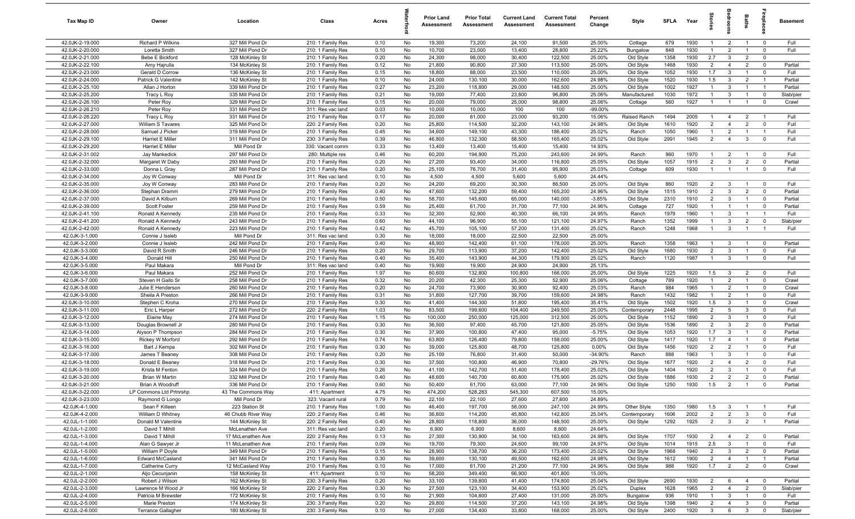| Tax Map ID                         | Owner                                   | Location                             | Class                                  | Acres        |          | <b>Prior Land</b><br>Assessment | <b>Prior Total</b><br>Assessment | <b>Current Land</b><br>Assessment | <b>Current Total</b><br>Assessment | Percent<br>Change  | Style                     | <b>SFLA</b>  | Year         | ğ                                | ē                            | Baths                            | repla                            | Basement             |
|------------------------------------|-----------------------------------------|--------------------------------------|----------------------------------------|--------------|----------|---------------------------------|----------------------------------|-----------------------------------|------------------------------------|--------------------|---------------------------|--------------|--------------|----------------------------------|------------------------------|----------------------------------|----------------------------------|----------------------|
| 42.0JK-2-19.000                    | Richard P Wilkins                       | 327 Mill Pond Dr                     | 210: 1 Family Res                      | 0.10         | No       | 19,300                          | 73,200                           | 24,100                            | 91,500                             | 25.00%             | Cottage                   | 679          | 1930         | $\mathbf{1}$                     | $\overline{2}$               | $\overline{1}$                   | $^{\circ}$                       | Full                 |
| 42.0JK-2-20.000                    | Loretta Smith                           | 327 Mill Pond Dr                     | 210: 1 Family Res                      | 0.10         | No       | 10,700                          | 23,000                           | 13,400                            | 28,800                             | 25.22%             | Bungalow                  | 848          | 1930         | $\overline{1}$                   | $\overline{2}$               | $\overline{1}$                   | $^{\circ}$                       | Full                 |
| 42.0JK-2-21.000                    | Bebe E Bickford                         | 128 McKinley St                      | 210: 1 Family Res                      | 0.20         | No       | 24,300                          | 98,000                           | 30,400                            | 122,500                            | 25.00%             | Old Style                 | 1358         | 1930         | 2.7                              | $\mathbf{3}$                 | $\overline{2}$                   | $\mathbf 0$                      |                      |
| 42.0JK-2-22.100                    | Amy Hajrulla                            | 134 McKinley St                      | 210: 1 Family Res                      | 0.12         | No       | 21,800                          | 90,800                           | 27,300                            | 113,500                            | 25.00%             | Old Style                 | 1468         | 1930         | $\overline{2}$                   | $\overline{4}$               | $\overline{2}$                   | $^{\circ}$                       | Partial              |
| 42.0JK-2-23.000                    | Gerald D Corrow                         | 136 McKinley St                      | 210: 1 Family Res                      | 0.15         | No       | 18,800                          | 88,000                           | 23,500                            | 110,000                            | 25.00%             | Old Style                 | 1052         | 1930         | 1.7                              | $\mathbf{3}$                 | $\mathbf{1}$                     | $^{\circ}$                       | Full                 |
| 42.0JK-2-24.000                    | Patrick G Valentine                     | 142 McKinley St                      | 210: 1 Family Res                      | 0.10         | No       | 24,000                          | 130,100                          | 30,000                            | 162,600                            | 24.98%             | Old Style                 | 1520<br>1002 | 1930<br>1927 | 1.5<br>$\overline{1}$            | $\mathbf{3}$<br>$\mathbf{3}$ | $\overline{2}$<br>$\overline{1}$ | $\overline{1}$<br>$\overline{1}$ | Partial              |
| 42.0JK-2-25.100<br>42.0JK-2-25.200 | Allan J Horton<br>Tracy L Roy           | 339 Mill Pond Dr<br>335 Mill Pond Dr | 210: 1 Family Res<br>210: 1 Family Res | 0.27<br>0.21 | No<br>No | 23,200<br>19,000                | 118,800<br>77,400                | 29,000<br>23,800                  | 148,500<br>96,800                  | 25.00%<br>25.06%   | Old Style<br>Manufactured | 1030         | 1972         | $\overline{1}$                   | $\mathbf{3}$                 | $\overline{1}$                   | $\mathbf 0$                      | Partial<br>Slab/pier |
| 42.0JK-2-26.100                    | Peter Roy                               | 329 Mill Pond Dr                     | 210: 1 Family Res                      | 0.15         | No       | 20,000                          | 79,000                           | 25,000                            | 98,800                             | 25.06%             | Cottage                   | 560          | 1927         | $\overline{1}$                   | $\overline{1}$               | $\mathbf{1}$                     | $\overline{\mathbf{0}}$          | Crawl                |
| 42.0JK-2-26.210                    | Peter Roy                               | 331 Mill Pond Dr                     | 311: Res vac land                      | 0.03         | No       | 10,000                          | 10,000                           | 100                               | 100                                | -99.00%            |                           |              |              |                                  |                              |                                  |                                  |                      |
| 42.0JK-2-26.220                    | Tracy L Roy                             | 331 Mill Pond Dr                     | 210: 1 Family Res                      | 0.17         | No       | 20,000                          | 81,000                           | 23,000                            | 93,200                             | 15.06%             | Raised Ranch              | 1494         | 2005         | $\overline{1}$                   | 4                            | $\overline{2}$                   | $\overline{1}$                   | Full                 |
| 42.0JK-2-27.000                    | William S Tavares                       | 325 Mill Pond Dr                     | 220: 2 Family Res                      | 0.20         | No       | 25,800                          | 114,500                          | 32,200                            | 143,100                            | 24.98%             | Old Style                 | 1610         | 1920         | $\overline{2}$                   | $\overline{4}$               | $\overline{2}$                   | $^{\circ}$                       | Full                 |
| 42.0JK-2-28.000                    | Samuel J Picker                         | 319 Mill Pond Dr                     | 210: 1 Family Res                      | 0.45         | No       | 34,600                          | 149,100                          | 43,300                            | 186,400                            | 25.02%             | Ranch                     | 1050         | 1960         | $\overline{1}$                   | 2                            | $\overline{1}$                   | $\overline{1}$                   | Full                 |
| 42.0JK-2-29.100                    | Harriet E Miller                        | 311 Mill Pond Dr                     | 230: 3 Family Res                      | 0.39         | No       | 46,800                          | 132,300                          | 58,500                            | 165,400                            | 25.02%             | Old Style                 | 2991         | 1945         | $\overline{2}$                   | $\overline{4}$               | $\mathbf{3}$                     | $\mathbf 0$                      | Full                 |
| 42.0JK-2-29.200                    | Harriet E Miller                        | Mill Pond Dr                         | 330: Vacant comm                       | 0.33         | No       | 13,400                          | 13,400                           | 15,400                            | 15,400                             | 14.93%             |                           |              |              |                                  |                              |                                  |                                  |                      |
| 42.0JK-2-31.002                    | Jay Mankedick                           | 297 Mill Pond Dr                     | 280: Multiple res                      | 0.46         | No       | 60,200                          | 194,900                          | 75,200                            | 243,600                            | 24.99%             | Ranch                     | 960          | 1970         | $\mathbf{1}$                     | $\overline{2}$               | $\overline{1}$                   | $\overline{\mathbf{0}}$          | Full                 |
| 42.0JK-2-32.000                    | Margaret W Daby                         | 293 Mill Pond Dr                     | 210: 1 Family Res                      | 0.20         | No       | 27,200                          | 93,400                           | 34,000                            | 116,800                            | 25.05%             | Old Style                 | 1057         | 1915         | $\overline{2}$                   | $\mathbf{3}$                 | $\overline{2}$                   | $\mathbf 0$                      | Partial              |
| 42.0JK-2-33.000                    | Donna L Gray                            | 287 Mill Pond Dr                     | 210: 1 Family Res                      | 0.20         | No       | 25,100                          | 76,700                           | 31,400                            | 95,900                             | 25.03%             | Cottage                   | 609          | 1930         | $\overline{1}$                   | $\overline{1}$               | $\overline{1}$                   | $^{\circ}$                       | Full                 |
| 42.0JK-2-34.000                    | Joy W Conway                            | Mill Pond Dr                         | 311: Res vac land                      | 0.10         | No       | 4,500                           | 4,500                            | 5,600                             | 5,600                              | 24.44%             |                           |              |              |                                  |                              |                                  |                                  |                      |
| 42.0JK-2-35.000                    | Joy W Conway                            | 283 Mill Pond Dr                     | 210: 1 Family Res                      | 0.20         | No       | 24,200                          | 69,200                           | 30,300                            | 86,500                             | 25.00%             | Old Style                 | 860          | 1920         | $\overline{2}$                   | $\mathbf{3}$                 | $\overline{1}$                   | $\overline{\mathbf{0}}$          | Full                 |
| 42.0JK-2-36.000<br>42.0JK-2-37.000 | Stephan Dramm                           | 279 Mill Pond Dr<br>269 Mill Pond Dr | 210: 1 Family Res                      | 0.40<br>0.50 | No       | 47,600<br>58,700                | 132,200<br>145,600               | 59,400<br>65,000                  | 165,200<br>140,000                 | 24.96%<br>$-3.85%$ | Old Style                 | 1515<br>2310 | 1910<br>1910 | $\overline{2}$<br>$\overline{2}$ | $\mathbf{3}$<br>$\mathbf{3}$ | $\overline{2}$<br>$\overline{1}$ | $\mathbf 0$<br>$\mathbf 0$       | Partial<br>Partial   |
| 42.0JK-2-39.000                    | David A Kilburn<br>Scott Foster         | 259 Mill Pond Dr                     | 210: 1 Family Res<br>210: 1 Family Res | 0.59         | No<br>No | 25,400                          | 61,700                           | 31,700                            | 77,100                             | 24.96%             | Old Style<br>Cottage      | 727          | 1920         | $\overline{1}$                   | $\overline{1}$               | $\overline{1}$                   | $\mathbf{0}$                     | Partial              |
| 42.0JK-2-41.100                    | Ronald A Kennedy                        | 235 Mill Pond Dr                     | 210: 1 Family Res                      | 0.33         | No       | 32,300                          | 52,900                           | 40,300                            | 66,100                             | 24.95%             | Ranch                     | 1979         | 1960         | $\overline{1}$                   | $\mathbf{3}$                 | $\overline{1}$                   | $\overline{1}$                   | Full                 |
| 42.0JK-2-41.200                    | Ronald A Kennedy                        | 243 Mill Pond Dr                     | 210: 1 Family Res                      | 0.60         | No       | 44,100                          | 96,900                           | 55,100                            | 121,100                            | 24.97%             | Ranch                     | 1352         | 1999         | $\overline{1}$                   | $\mathbf{3}$                 | $\overline{2}$                   | $\mathbf 0$                      | Slab/pier            |
| 42.0JK-2-42.000                    | Ronald A Kennedy                        | 223 Mill Pond Dr                     | 210: 1 Family Res                      | 0.42         | No       | 45,700                          | 105,100                          | 57,200                            | 131,400                            | 25.02%             | Ranch                     | 1248         | 1968         | $\overline{1}$                   | $\mathbf{3}$                 | $\overline{1}$                   | - 1                              | Full                 |
| 42.0JK-3-1.000                     | Connie J Issleb                         | Mill Pond Dr                         | 311: Res vac land                      | 0.30         | No       | 18,000                          | 18,000                           | 22,500                            | 22,500                             | 25.00%             |                           |              |              |                                  |                              |                                  |                                  |                      |
| 42.0JK-3-2.000                     | Connie J Issleb                         | 242 Mill Pond Dr                     | 210: 1 Family Res                      | 0.40         | No       | 48,900                          | 142,400                          | 61,100                            | 178,000                            | 25.00%             | Ranch                     | 1358         | 1963         | $\mathbf{1}$                     | $\mathbf{3}$                 |                                  | $^{\circ}$                       | Partial              |
| 42.0JK-3-3.000                     | David R Smith                           | 246 Mill Pond Dr                     | 210: 1 Family Res                      | 0.20         | No       | 29,700                          | 113,900                          | 37,200                            | 142,400                            | 25.02%             | Old Style                 | 1680         | 1930         | $\overline{2}$                   | $\mathbf{3}$                 |                                  | $^{\circ}$                       | Full                 |
| 42.0JK-3-4.000                     | Donald Hill                             | 250 Mill Pond Dr                     | 210: 1 Family Res                      | 0.40         | No       | 35,400                          | 143,900                          | 44,300                            | 179,900                            | 25.02%             | Ranch                     | 1120         | 1987         | $\mathbf{1}$                     | $\mathbf{3}$                 |                                  | $\Omega$                         | Full                 |
| 42.0JK-3-5.000                     | Paul Makara                             | Mill Pond Dr                         | 311: Res vac land                      | 0.40         | No       | 19,900                          | 19,900                           | 24,900                            | 24,900                             | 25.13%             |                           |              |              |                                  |                              |                                  |                                  |                      |
| 42.0JK-3-6.000                     | Paul Makara                             | 252 Mill Pond Dr                     | 210: 1 Family Res                      | 1.97         | No       | 80,600                          | 132,800                          | 100,800                           | 166,000                            | 25.00%             | Old Style                 | 1225         | 1920         | 1.5                              | $\mathbf{3}$                 | $\overline{2}$                   | $\overline{\mathbf{0}}$          | Full                 |
| 42.0JK-3-7.000                     | Steven H Gallo Sr                       | 258 Mill Pond Dr                     | 210: 1 Family Res                      | 0.32         | No       | 20,200                          | 42,300                           | 25,300                            | 52,900                             | 25.06%             | Cottage                   | 789          | 1920         | $\overline{1}$                   | $\overline{2}$               | $\overline{1}$                   | $\mathbf 0$                      | Crawl                |
| 42.0JK-3-8.000                     | Julie E Henderson                       | 260 Mill Pond Dr                     | 210: 1 Family Res                      | 0.20         | No       | 24,700                          | 73,900                           | 30,900                            | 92,400                             | 25.03%             | Ranch                     | 984          | 1965         | $\overline{1}$                   | $\overline{2}$               | $\overline{1}$                   | $\mathbf 0$                      | Crawl                |
| 42.0JK-3-9.000                     | Sheila A Preston                        | 266 Mill Pond Dr                     | 210: 1 Family Res                      | 0.31         | No       | 31,800                          | 127,700                          | 39,700                            | 159,600                            | 24.98%             | Ranch                     | 1432         | 1982         | $\overline{1}$                   | $\overline{2}$               | $\overline{1}$                   | $^{\circ}$                       | Full                 |
| 42.0JK-3-10.000<br>42.0JK-3-11.000 | Stephen C Kroha                         | 270 Mill Pond Dr                     | 210: 1 Family Res                      | 0.30<br>1.03 | No<br>No | 41,400<br>83,500                | 144,300<br>199,600               | 51,800                            | 195,400<br>249,500                 | 35.41%<br>25.00%   | Old Style                 | 1502<br>2448 | 1920<br>1995 | 1.5<br>2                         | $\mathbf{3}$<br>5            | $\overline{1}$<br>$\mathbf{3}$   | $^{\circ}$<br>$^{\circ}$         | Crawl<br>Full        |
| 42.0JK-3-12.000                    | Eric L Harper<br>Elaine May             | 272 Mill Pond Dr<br>274 Mill Pond Dr | 220: 2 Family Res<br>210: 1 Family Res | 1.15         | No       | 100,000                         | 250,000                          | 104,400<br>125,000                | 312,500                            | 25.00%             | Contemporary<br>Old Style | 1152         | 1890         | 2                                | $\mathbf{3}$                 | $\overline{1}$                   | $\mathbf{0}$                     | Full                 |
| 42.0JK-3-13.000                    | Douglas Brownell Jr                     | 280 Mill Pond Dr                     | 210: 1 Family Res                      | 0.30         | No       | 36,500                          | 97,400                           | 45,700                            | 121,800                            | 25.05%             | Old Style                 | 1536         | 1890         | $\overline{2}$                   | $\mathbf{3}$                 | $\overline{2}$                   | $\mathbf 0$                      | Partial              |
| 42.0JK-3-14.000                    | Alyson P Thompson                       | 284 Mill Pond Dr                     | 210: 1 Family Res                      | 0.30         | No       | 37,900                          | 100,800                          | 47,400                            | 95,000                             | $-5.75%$           | Old Style                 | 1053         | 1920         | 1.7                              | $\mathbf{3}$                 | $\overline{1}$                   | $\mathbf 0$                      | Partial              |
| 42.0JK-3-15.000                    | Rickey W Morford                        | 292 Mill Pond Dr                     | 210: 1 Family Res                      | 0.74         | No       | 63,800                          | 126,400                          | 79,800                            | 158,000                            | 25.00%             | Old Style                 | 1417         | 1920         | 1.7                              | $\overline{4}$               |                                  | $^{\circ}$                       | Partial              |
| 42.0JK-3-16.000                    | Bart J Kempa                            | 302 Mill Pond Dr                     | 210: 1 Family Res                      | 0.30         | No       | 39,000                          | 125,800                          | 48,700                            | 125,800                            | 0.00%              | Old Style                 | 1456         | 1920         | $\overline{2}$                   | $\overline{2}$               | $\overline{1}$                   | $^{\circ}$                       | Full                 |
| 42.0JK-3-17.000                    | James T Beaney                          | 308 Mill Pond Dr                     | 210: 1 Family Res                      | 0.20         | No       | 25,100                          | 76,800                           | 31,400                            | 50,000                             | $-34.90%$          | Ranch                     | 888          | 1963         | $\mathbf{1}$                     | $\mathbf{3}$                 |                                  | $\Omega$                         | Full                 |
| 42.0JK-3-18.000                    | Donald E Beaney                         | 318 Mill Pond Dr                     | 210: 1 Family Res                      | 0.30         | No       | 37,500                          | 100,800                          | 46,900                            | 70,800                             | $-29.76%$          | Old Style                 | 1677         | 1920         | $\overline{2}$                   | $\overline{4}$               | $\overline{2}$                   | $\Omega$                         | Full                 |
| 42.0JK-3-19.000                    | Krista M Fenton                         | 324 Mill Pond Dr                     | 210: 1 Family Res                      | 0.26         | No       | 41,100                          | 142,700                          | 51,400                            | 178,400                            | 25.02%             | Old Style                 | 1404         | 1920         | $\overline{2}$                   | $\mathbf{3}$                 |                                  | $\Omega$                         | Full                 |
| 42.0JK-3-20.000                    | Brian W Martin                          | 332 Mill Pond Dr                     | 210: 1 Family Res                      | 0.40         | No       | 48,600                          | 140,700                          | 60,800                            | 175,900                            | 25.02%             | Old Style                 | 1886         | 1930         | $\overline{2}$                   | $\overline{2}$               | $\overline{2}$                   | $\mathbf 0$                      | Partial              |
| 42.0JK-3-21.000                    | Brian A Woodruff                        | 336 Mill Pond Dr                     | 210: 1 Family Res                      | 0.60         | No       | 50,400                          | 61,700                           | 63,000                            | 77,100                             | 24.96%             | Old Style                 | 1250         | 1930         | 1.5                              | $\overline{2}$               | $\overline{1}$                   |                                  | Partial              |
| 42.0JK-3-22.000                    | LP Commons Ltd Prtnrshp                 | 43 The Commons Way                   | 411: Apartment                         | 4.75         | No       | 474,200                         | 528,283                          | 545,300                           | 607,500                            | 15.00%             |                           |              |              |                                  |                              |                                  |                                  |                      |
| 42.0JK-3-23.000                    | Raymond G Longo                         | Mill Pond Dr                         | 323: Vacant rural                      | 0.79         | No       | 22,100                          | 22,100                           | 27,600                            | 27,600                             | 24.89%             |                           |              |              |                                  |                              |                                  |                                  |                      |
| 42.0JK-4-1.000                     | Sean F Killeen                          | 223 Station St                       | 210: 1 Family Res                      | 1.00         | No       | 46,400                          | 197,700                          | 58,000                            | 247,100                            | 24.99%             | Other Style               | 1350         | 1980         | 1.5                              | $\mathbf{3}$                 | $\mathbf{1}$                     | $\overline{1}$                   | Full                 |
| 42.0JK-4-2.000<br>42.0JL-1-1.000   | William D Whitney<br>Donald M Valentine | 46 Chubb River Way                   | 220: 2 Family Res                      | 0.46         | No       | 36,600                          | 114,200                          | 45,800                            | 142,800                            | 25.04%             | Contemporary              | 1606         | 2002         | $\overline{2}$<br>$\overline{2}$ | $\overline{2}$               | $\mathbf{3}$                     | $\mathbf 0$                      | Full                 |
| 42.0JL-1-2.000                     | David T Mihill                          | 144 McKinley St<br>McLenathen Ave    | 220: 2 Family Res<br>311: Res vac land | 0.40<br>0.20 | No<br>No | 28,800<br>6,900                 | 118,800<br>6,900                 | 36,000<br>8,600                   | 148,500<br>8,600                   | 25.00%<br>24.64%   | Old Style                 | 1292         | 1925         |                                  | $\mathbf{3}$                 | $\overline{2}$                   | $\overline{1}$                   | Partial              |
| 42.0JL-1-3.000                     | David T Mihill                          | 17 McLenathen Ave                    | 220: 2 Family Res                      | 0.13         | No       | 27,300                          | 130,900                          | 34,100                            | 163,600                            | 24.98%             | Old Style                 | 1707         | 1930         | $\overline{2}$                   | $\overline{4}$               | $\overline{2}$                   | $\overline{\mathbf{0}}$          | Partial              |
| 42.0JL-1-4.000                     | Alan G Sawyer Jr                        | 11 McLenathen Ave                    | 210: 1 Family Res                      | 0.09         | No       | 19,700                          | 79,300                           | 24,600                            | 99,100                             | 24.97%             | Old Style                 | 1014         | 1915         | 2.5                              | $\overline{3}$               | $\overline{1}$                   | $\overline{\mathbf{0}}$          | Full                 |
| 42.0JL-1-5.000                     | William P Doyle                         | 349 Mill Pond Dr                     | 210: 1 Family Res                      | 0.15         | No       | 28,900                          | 138,700                          | 36,200                            | 173,400                            | 25.02%             | Old Style                 | 1968         | 1940         | $\overline{2}$                   | $\mathbf{3}$                 | $\overline{2}$                   | $\overline{\mathbf{0}}$          | Partial              |
| 42.0JL-1-6.000                     | <b>Edward McCasland</b>                 | 341 Mill Pond Dr                     | 210: 1 Family Res                      | 0.30         | No       | 39,600                          | 130,100                          | 49,500                            | 162,600                            | 24.98%             | Old Style                 | 1612         | 1900         | $\overline{2}$                   | $\overline{4}$               | $\mathbf{1}$                     | $\overline{1}$                   | Partial              |
| 42.0JL-1-7.000                     | Catherine Curry                         | 12 McCasland Way                     | 210: 1 Family Res                      | 0.10         | No       | 17,000                          | 61,700                           | 21,200                            | 77,100                             | 24.96%             | Old Style                 | 988          | 1920         | 1.7                              | $\overline{2}$               | $\overline{2}$                   | $\mathbf 0$                      | Crawl                |
| 42.0JL-2-1.000                     | Aljo Cecunjanin                         | 158 McKinley St                      | 411: Apartment                         | 0.10         | No       | 58,200                          | 349,400                          | 66,900                            | 401,800                            | 15.00%             |                           |              |              |                                  |                              |                                  |                                  |                      |
| 42.0JL-2-2.000                     | Robert J Wilson                         | 162 McKinley St                      | 230: 3 Family Res                      | 0.20         | No       | 33,100                          | 139,800                          | 41,400                            | 174,800                            | 25.04%             | Old Style                 | 2690         | 1930         | $\overline{2}$                   | 6                            | $\overline{4}$                   | $\overline{\mathbf{0}}$          | Partial              |
| 42.0JL-2-3.000                     | Lawrence M Wood Jr                      | 166 McKinley St                      | 220: 2 Family Res                      | 0.30         | No       | 27,500                          | 123,100                          | 34,400                            | 153,900                            | 25.02%             | Duplex                    | 1628         | 1965         | $\overline{2}$                   | $\overline{4}$               | $\overline{2}$                   | $\mathbf 0$                      | Slab/pier            |
| 42.0JL-2-4.000                     | Patricia M Brewster                     | 172 McKinley St                      | 210: 1 Family Res                      | 0.10         | No       | 21,900                          | 104,800                          | 27,400                            | 131,000                            | 25.00%             | Bungalow                  | 936          | 1910         | $\overline{1}$                   | $\mathbf{3}$                 | $\overline{1}$                   | $\overline{\mathbf{0}}$          | Full                 |
| 42.0JL-2-5.000                     | Marie Preston                           | 174 McKinley St                      | 230: 3 Family Res                      | 0.20         | No       | 29,800                          | 114,500                          | 37,200                            | 143,100                            | 24.98%             | Old Style                 | 1398         | 1940         | 2                                | $\overline{4}$               | $\mathbf{3}$                     | $\mathbf 0$                      | Partial              |
| 42.0JL-2-6.000                     | <b>Terrance Gallagher</b>               | 180 McKinley St                      | 230: 3 Family Res                      | 0.10         | No       | 27,000                          | 134,400                          | 33,800                            | 168,000                            | 25.00%             | Old Style                 | 2400         | 1920         | $\mathbf{3}$                     | 6                            | $\mathbf{3}$                     | $\mathbf 0$                      | Slab/pier            |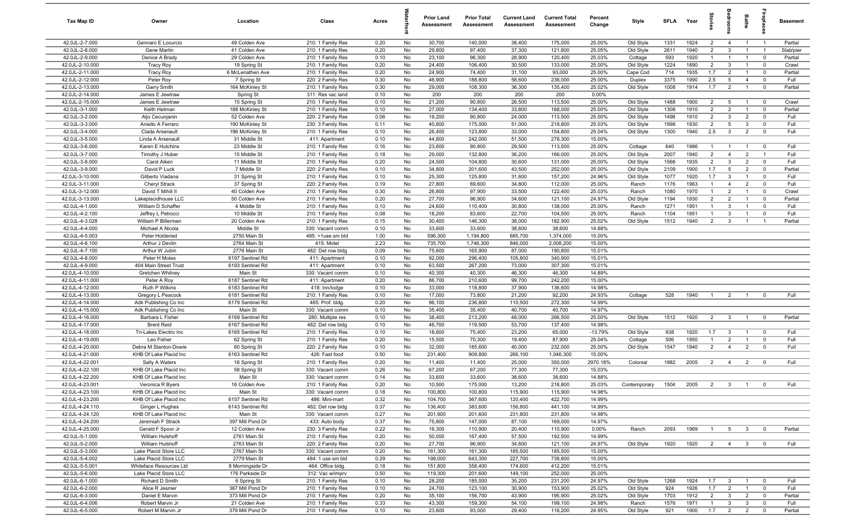| Tax Map ID                         | Owner                                      | Location                           | Class                               | Acres        |          | <b>Prior Land</b><br>Assessment | <b>Prior Total</b><br>Assessment | <b>Current Land</b><br>Assessment | <b>Current Total</b><br>Assessment | Percent<br>Change | Style                  | SFLA         | Year         | tories                | droom                           | Baths                          | 용                                | Basement     |
|------------------------------------|--------------------------------------------|------------------------------------|-------------------------------------|--------------|----------|---------------------------------|----------------------------------|-----------------------------------|------------------------------------|-------------------|------------------------|--------------|--------------|-----------------------|---------------------------------|--------------------------------|----------------------------------|--------------|
| 42.0JL-2-7.000                     | Gennaro E Locurcio                         | 49 Colden Ave                      | 210: 1 Family Res                   | 0.20         | No       | 30,700                          | 140,000                          | 38,400                            | 175,000                            | 25.00%            | Old Style              | 1331         | 1924         | $\overline{2}$        | $\overline{4}$                  | $\overline{1}$                 | $\overline{1}$                   | Partial      |
| 42.0JL-2-8.000                     | Gene Martin                                | 41 Colden Ave                      | 210: 1 Family Res                   | 0.20         | No       | 29,800                          | 97,400                           | 37,300                            | 121,800                            | 25.05%            | Old Style              | 2611         | 1940         | $\overline{2}$        | 3                               | $\overline{1}$                 | $\overline{1}$                   | Slab/pier    |
| 42.0JL-2-9.000                     | Denice A Brady                             | 29 Colden Ave                      | 210: 1 Family Res                   | 0.10         | No       | 23,100                          | 96,300                           | 28,900                            | 120,400                            | 25.03%            | Cottage                | 593          | 1920         | $\mathbf{1}$          | $\overline{1}$                  | $\overline{1}$                 | $\mathbf 0$                      | Partial      |
| 42.0JL-2-10.000                    | <b>Tracy Roy</b>                           | 19 Spring St                       | 210: 1 Family Res                   | 0.20         | No       | 24,400                          | 106,400                          | 30,500                            | 133,000                            | 25.00%            | Old Style              | 1224         | 1890         | $\overline{2}$        | 3                               |                                | $\mathbf 0$                      | Crawl        |
| 42.0JL-2-11.000                    | <b>Tracy Roy</b>                           | 6 McLenathen Ave                   | 210: 1 Family Res                   | 0.20         | No       | 24,900                          | 74,400                           | 31,100                            | 93,000                             | 25.00%            | Cape Cod               | 714          | 1935         | 1.7                   | $\overline{2}$                  |                                | $\overline{0}$                   | Partial      |
| 42.0JL-2-12.000                    | Peter Roy                                  | 7 Spring St                        | 220: 2 Family Res                   | 0.30         | No       | 46,900                          | 188,800                          | 58,600                            | 236,000                            | 25.00%            | Duplex                 | 3375         | 1990         | 2.5                   | 5                               | $\overline{4}$                 | $\mathbf 0$                      | Full         |
| 42.0JL-2-13.000                    | <b>Garry Smith</b>                         | 164 McKinley St                    | 210: 1 Family Res                   | 0.30         | No       | 29,000                          | 108,300                          | 36,300                            | 135,400                            | 25.02%            | Old Style              | 1008         | 1914         | 1.7                   | $\overline{2}$                  | $\overline{1}$                 | $\overline{\mathbf{0}}$          | Partial      |
| 42.0JL-2-14.000                    | James E Jewtraw                            | Spring St                          | 311: Res vac land                   | 0.10         | No       | 200                             | 200                              | 200                               | 200                                | 0.00%             |                        |              |              |                       |                                 |                                |                                  |              |
| 42.0JL-2-15.000                    | James E Jewtraw                            | 15 Spring St                       | 210: 1 Family Res                   | 0.10         | No       | 21,200                          | 90,800                           | 26,500                            | 113,500                            | 25.00%            | Old Style              | 1488         | 1900         | $\overline{2}$        | 5                               | $\overline{1}$                 | $\mathbf 0$                      | Crawl        |
| 42.0JL-3-1.000                     | Keith Hetman                               | 188 McKinley St                    | 210: 1 Family Res                   | 0.10         | No       | 27,000                          | 134,400                          | 33,800                            | 168,000                            | 25.00%            | Old Style              | 1308         | 1910         | $\overline{2}$        | $\overline{2}$                  | $\overline{1}$                 | $\mathbf 0$                      | Partial      |
| 42.0JL-3-2.000                     | Aljo Cecunjanin                            | 52 Colden Ave                      | 220: 2 Family Res                   | 0.06         | No       | 19,200                          | 90,800                           | 24,000                            | 113,500                            | 25.00%            | Old Style              | 1498         | 1910         | $\overline{2}$        | 3                               | $\overline{2}$                 | $\overline{0}$                   | Full         |
| 42.0JL-3-3.000<br>42.0JL-3-4.000   | Aniello A Ferraro<br>Clada Arsenault       | 190 McKinley St<br>196 McKinley St | 230: 3 Family Res                   | 0.11<br>0.10 | No<br>No | 40,800<br>26,400                | 175,000<br>123,800               | 51,000<br>33,000                  | 218,800<br>154,800                 | 25.03%<br>25.04%  | Old Style<br>Old Style | 1998<br>1300 | 1930<br>1940 | $\overline{2}$<br>2.5 | $5\overline{5}$<br>$\mathbf{3}$ | $\mathbf{3}$<br>$\overline{2}$ | $\overline{0}$<br>$\overline{0}$ | Full<br>Full |
| 42.0JL-3-5.000                     | Linda A Arsenault                          | 31 Middle St                       | 210: 1 Family Res<br>411: Apartment | 0.10         | No       | 44,800                          | 242,000                          | 51,500                            | 278,300                            | 15.00%            |                        |              |              |                       |                                 |                                |                                  |              |
| 42.0JL-3-6.000                     | Karen E Hutchins                           | 23 Middle St                       | 210: 1 Family Res                   | 0.16         | No       | 23,600                          | 90,800                           | 29,500                            | 113,500                            | 25.00%            | Cottage                | 640          | 1986         | $\overline{1}$        | $\overline{1}$                  | $\overline{1}$                 | $\mathbf 0$                      | Full         |
| 42.0JL-3-7.000                     | Timothy J Huber                            | 15 Middle St                       | 210: 1 Family Res                   | 0.18         | No       | 29,000                          | 132,800                          | 36,200                            | 166,000                            | 25.00%            | Old Style              | 2007         | 1940         | $\overline{2}$        | $\overline{4}$                  | $\overline{2}$                 | $\overline{1}$                   | Full         |
| 42.0JL-3-8.000                     | Carol Aiken                                | 11 Middle St                       | 210: 1 Family Res                   | 0.20         | No       | 24,500                          | 104,800                          | 30,600                            | 131,000                            | 25.00%            | Old Style              | 1566         | 1935         | $\overline{2}$        | $\mathbf{3}$                    | $\overline{2}$                 | $\mathbf 0$                      | Full         |
| 42.0JL-3-9.000                     | David P Luck                               | 7 Middle St                        | 220: 2 Family Res                   | 0.10         | No       | 34,800                          | 201,600                          | 43,500                            | 252,000                            | 25.00%            | Old Style              | 2109         | 1900         | 1.7                   | 5                               | $\overline{2}$                 | $\overline{0}$                   | Partial      |
| 42.0JL-3-10.000                    | Gilberto Viadana                           | 31 Spring St                       | 210: 1 Family Res                   | 0.10         | No       | 25,300                          | 125,800                          | 31,600                            | 157,200                            | 24.96%            | Old Style              | 1077         | 1920         | 1.7                   | $\mathbf{3}$                    | $\overline{1}$                 | $\mathbf 0$                      | Full         |
| 42.0JL-3-11.000                    | Cheryl Strack                              | 37 Spring St                       | 220: 2 Family Res                   | 0.19         | No       | 27,800                          | 89,600                           | 34,800                            | 112,000                            | 25.00%            | Ranch                  | 1176         | 1963         | $\mathbf{1}$          | $\overline{4}$                  | $\overline{2}$                 | $\mathbf 0$                      | Full         |
| 42.0JL-3-12.000                    | David T Mihill II                          | 40 Colden Ave                      | 210: 1 Family Res                   | 0.30         | No       | 26,800                          | 97,900                           | 33,500                            | 122,400                            | 25.03%            | Ranch                  | 1080         | 1970         | $\mathbf{1}$          | $\overline{2}$                  | $\overline{1}$                 | $\mathbf 0$                      | Crawl        |
| 42.0JL-3-13.000                    | Lakeplacidhouse LLC                        | 50 Colden Ave                      | 210: 1 Family Res                   | 0.20         | No       | 27,700                          | 96,900                           | 34,600                            | 121,100                            | 24.97%            | Old Style              | 1194         | 1930         | $\overline{2}$        | $\overline{2}$                  | $\overline{1}$                 | $\overline{0}$                   | Partial      |
| 42.0JL-4-1.000                     | William D Schaffer                         | 4 Middle St                        | 210: 1 Family Res                   | 0.10         | No       | 24,600                          | 110,400                          | 30,800                            | 138,000                            | 25.00%            | Ranch                  | 1271         | 1951         | $\overline{1}$        | 3                               | $\overline{1}$                 | $\overline{0}$                   | Full         |
| 42.0JL-4-2.100                     | Jeffrey L Petrocci                         | 10 Middle St                       | 210: 1 Family Res                   | 0.08         | No       | 18,200                          | 83,600                           | 22,700                            | 104,500                            | 25.00%            | Ranch                  | 1104         | 1951         | $\mathbf{1}$          | 3                               | $\overline{1}$                 | $\mathbf 0$                      | Full         |
| 42.0JL-4-3.028                     | William P Billerman                        | 20 Colden Ave                      | 210: 1 Family Res                   | 0.15         | No       | 30,400                          | 146,300                          | 38,000                            | 182,900                            | 25.02%            | Old Style              | 1512         | 1940         | 2                     | $\mathbf{3}$                    | $\overline{1}$                 | $\overline{1}$                   | Partial      |
| 42.0JL-4-4.000                     | Michael A Nicola                           | Middle St                          | 330: Vacant comm                    | 0.10         | No       | 33,600                          | 33,600                           | 38,600                            | 38,600                             | 14.88%            |                        |              |              |                       |                                 |                                |                                  |              |
| 42.0JL-4-5.003                     | Peter Holderied                            | 2750 Main St                       | 485: >1use sm bld                   | 1.00         | No       | 596,300                         | 1,194,800                        | 685,700                           | 1,374,000                          | 15.00%            |                        |              |              |                       |                                 |                                |                                  |              |
| 42.0JL-4-6.100                     | Arthur J Devlin                            | 2764 Main St                       | 415: Motel                          | 2.23         | No       | 735,700                         | 1,746,300                        | 846,000                           | 2,008,200                          | 15.00%            |                        |              |              |                       |                                 |                                |                                  |              |
| 42.0JL-4-7.100                     | Arthur W Jubin                             | 2776 Main St                       | 482: Det row bldg                   | 0.09         | No       | 75,600                          | 165,900                          | 87,000                            | 190,800                            | 15.01%            |                        |              |              |                       |                                 |                                |                                  |              |
| 42.0JL-4-8.000                     | Peter H Moles                              | 6197 Sentinel Rd                   | 411: Apartment                      | 0.10         | No       | 92,000                          | 296,400                          | 105,800                           | 340,900                            | 15.01%            |                        |              |              |                       |                                 |                                |                                  |              |
| 42.0JL-4-9.000<br>42.0JL-4-10.000  | 404 Main Street Trust                      | 6193 Sentinel Rd<br>Main St        | 411: Apartment                      | 0.10<br>0.10 | No<br>No | 63,500<br>40,300                | 267,200<br>40,300                | 73,000<br>46,300                  | 307,300<br>46,300                  | 15.01%<br>14.89%  |                        |              |              |                       |                                 |                                |                                  |              |
| 42.0JL-4-11.000                    | Gretchen Whitney<br>Peter A Roy            | 6187 Sentinel Rd                   | 330: Vacant comm<br>411: Apartment  | 0.20         | No       | 86,700                          | 210,600                          | 99,700                            | 242,200                            | 15.00%            |                        |              |              |                       |                                 |                                |                                  |              |
| 42.0JL-4-12.000                    | Ruth P Wilkins                             | 6183 Sentinel Rd                   | 418: Inn/lodge                      | 0.10         | No       | 33,000                          | 118,800                          | 37,900                            | 136,600                            | 14.98%            |                        |              |              |                       |                                 |                                |                                  |              |
| 42.0JL-4-13.000                    | Gregory L Peacock                          | 6181 Sentinel Rd                   | 210: 1 Family Res                   | 0.10         | No       | 17,000                          | 73,800                           | 21,200                            | 92,200                             | 24.93%            | Cottage                | 528          | 1940         | $\overline{1}$        | $\overline{2}$                  | $\overline{1}$                 | $^{\circ}$                       | Full         |
| 42.0JL-4-14.000                    | Adk Publishing Co Inc                      | 6179 Sentinel Rd                   | 465: Prof. bldg.                    | 0.20         | No       | 96,100                          | 236,800                          | 110,500                           | 272,300                            | 14.99%            |                        |              |              |                       |                                 |                                |                                  |              |
| 42.0JL-4-15.000                    | Adk Publishing Co Inc                      | Main St                            | 330: Vacant comm                    | 0.10         | No       | 35,400                          | 35,400                           | 40,700                            | 40,700                             | 14.97%            |                        |              |              |                       |                                 |                                |                                  |              |
| 42.0JL-4-16.000                    | Barbara L Fisher                           | 6169 Sentinel Rd                   | 280: Multiple res                   | 0.10         | No       | 38,400                          | 213,200                          | 48,000                            | 266,500                            | 25.00%            | Old Style              | 1512         | 1920         | $\overline{2}$        | $\mathbf{3}$                    | $\overline{1}$                 | $\mathbf 0$                      | Partial      |
| 42.0JL-4-17.000                    | <b>Brent Reid</b>                          | 6167 Sentinel Rd                   | 482: Det row bldg                   | 0.10         | No       | 46,700                          | 119,500                          | 53,700                            | 137,400                            | 14.98%            |                        |              |              |                       |                                 |                                |                                  |              |
| 42.0JL-4-18.000                    | Tri-Lakes Electric Inc                     | 6165 Sentinel Rd                   | 210: 1 Family Res                   | 0.10         | No       | 18,600                          | 75,400                           | 23,200                            | 65,000                             | $-13.79%$         | Old Style              | 938          | 1920         | 1.7                   | $\mathbf{3}$                    | $\overline{1}$                 | $\mathbf 0$                      | Full         |
| 42.0JL-4-19.000                    | Leo Fisher                                 | 62 Spring St                       | 210: 1 Family Res                   | 0.20         | No       | 15,500                          | 70,300                           | 19,400                            | 87,900                             | 25.04%            | Cottage                | 506          | 1950         | $\overline{1}$        | $\overline{2}$                  | -1                             | $\mathbf 0$                      | Full         |
| 42.0JL-4-20.000                    | Debra M Stanton-Dowie                      | 60 Spring St                       | 220: 2 Family Res                   | 0.10         | No       | 32,000                          | 185,600                          | 40,000                            | 232,000                            | 25.00%            | Old Style              | 1547         | 1940         | $\overline{2}$        | $\overline{4}$                  | $\overline{2}$                 | $\overline{0}$                   | Full         |
| 42.0JL-4-21.000                    | KHB Of Lake Placid Inc                     | 6163 Sentinel Rd                   | 426: Fast food                      | 0.50         | No       | 231,400                         | 909,800                          | 266,100                           | 1,046,300                          | 15.00%            |                        |              |              |                       |                                 |                                |                                  |              |
| 42.0JL-4-22.001                    | Sally A Waters                             | 16 Spring St                       | 210: 1 Family Res                   | 0.20         | No       | 11,400                          | 11,400                           | 25,000                            | 350,000                            | 2970.18%          | Colonial               | 1982         | 2005         | $\overline{2}$        | $\overline{4}$                  | $\overline{2}$                 | $\overline{0}$                   | Full         |
| 42.0JL-4-22.100                    | KHB Of Lake Placid Inc                     | 58 Spring St                       | 330: Vacant comm                    | 0.26         | No       | 67,200                          | 67,200                           | 77,300                            | 77,300                             | 15.03%            |                        |              |              |                       |                                 |                                |                                  |              |
| 42.0JL-4-22.200                    | KHB Of Lake Placid Inc                     | Main St                            | 330: Vacant comm                    | 0.14         | No       | 33,600                          | 33,600                           | 38,600                            | 38,600                             | 14.88%            |                        |              |              |                       |                                 |                                |                                  |              |
| 42.0JL-4-23.001                    | Veronica R Byers<br>KHB Of Lake Placid Inc | 16 Colden Ave                      | 210: 1 Family Res                   | 0.20         | No       | 10,500                          | 175,000                          | 13,200                            | 218,800                            | 25.03%            | Contemporary           | 1504 2005    |              | $\overline{2}$        |                                 |                                |                                  | Full         |
| 42.0JL-4-23.100<br>42.0JL-4-23.200 | KHB Of Lake Placid Inc                     | Main St<br>6157 Sentinel Rd        | 330: Vacant comm<br>486: Mini-mart  | 0.18<br>0.32 | No<br>No | 100,800<br>104,700              | 100,800<br>367,600               | 115,900<br>120,400                | 115,900<br>422,700                 | 14.98%<br>14.99%  |                        |              |              |                       |                                 |                                |                                  |              |
| 42.0JL-4-24.110                    | Ginger L Hughes                            | 6143 Sentinel Rd                   | 482: Det row bldg                   | 0.37         | No       | 136,400                         | 383,600                          | 156,800                           | 441,100                            | 14.99%            |                        |              |              |                       |                                 |                                |                                  |              |
| 42.0JL-4-24.120                    | KHB Of Lake Placid Inc                     | Main St                            | 330: Vacant comm                    | 0.27         | No       | 201,600                         | 201,600                          | 231,800                           | 231,800                            | 14.98%            |                        |              |              |                       |                                 |                                |                                  |              |
| 42.0JL-4-24.200                    | Jeremiah F Strack                          | 397 Mill Pond Dr                   | 433: Auto body                      | 0.37         | No       | 75,800                          | 147,000                          | 87,100                            | 169,000                            | 14.97%            |                        |              |              |                       |                                 |                                |                                  |              |
| 42.0JL-4-25.000                    | Gerald F Spoor Jr                          | 12 Colden Ave                      | 230: 3 Family Res                   | 0.22         | No       | 16,300                          | 110,900                          | 20,400                            | 110,900                            | 0.00%             | Ranch                  | 2093         | 1969         | $\overline{1}$        | 5 <sup>5</sup>                  | $\overline{\mathbf{3}}$        | $\overline{\mathbf{0}}$          | Partial      |
| 42.0JL-5-1.000                     | William Hulshoff                           | 2761 Main St                       | 210: 1 Family Res                   | 0.20         | No       | 50,000                          | 167,400                          | 57,500                            | 192,500                            | 14.99%            |                        |              |              |                       |                                 |                                |                                  |              |
| 42.0JL-5-2.000                     | William Hulshoff                           | 2763 Main St                       | 220: 2 Family Res                   | 0.20         | No       | 27,700                          | 96,900                           | 34,600                            | 121,100                            | 24.97%            | Old Style              | 1920         | 1920         |                       | $2 \qquad 4$                    | $3^{\circ}$                    | $\overline{\mathbf{0}}$          | Full         |
| 42.0JL-5-3.000                     | Lake Placid Store LLC                      | 2767 Main St                       | 330: Vacant comm                    | 0.20         | No       | 161,300                         | 161,300                          | 185,500                           | 185,500                            | 15.00%            |                        |              |              |                       |                                 |                                |                                  |              |
| 42.0JL-5-4.002                     | Lake Placid Store LLC                      | 2779 Main St                       | 484: 1 use sm bld                   | 0.29         | No       | 198,000                         | 643,300                          | 227,700                           | 739,800                            | 15.00%            |                        |              |              |                       |                                 |                                |                                  |              |
| 42.0JL-5-5.001                     | Whiteface Resources Ltd                    | 8 Morningside Dr                   | 464: Office bldg.                   | 0.18         | No       | 151,800                         | 358,400                          | 174,600                           | 412,200                            | 15.01%            |                        |              |              |                       |                                 |                                |                                  |              |
| 42.0JL-5-6.000                     | Lake Placid Store LLC                      | 176 Parkside Dr                    | 312: Vac w/imprv                    | 0.50         | No       | 119,300                         | 201,600                          | 149,100                           | 252,000                            | 25.00%            |                        |              |              |                       |                                 |                                |                                  |              |
| 42.0JL-6-1.000                     | Richard D Smith                            | 6 Spring St                        | 210: 1 Family Res                   | 0.10         | No       | 28,200                          | 185,000                          | 35,200                            | 231,200                            | 24.97%            | Old Style              | 1268         | 1924         | 1.7                   | $\mathbf{3}$                    | $\overline{1}$                 | $\overline{0}$                   | Full         |
| 42.0JL-6-2.000                     | Alice R Jesmer                             | 367 Mill Pond Dr                   | 210: 1 Family Res                   | 0.10         | No       | 24,700                          | 123,100                          | 30,900                            | 153,900                            | 25.02%            | Old Style              | 924          | 1926         | 1.7                   | $\overline{2}$                  | $\overline{1}$                 | $\mathbf 0$                      | Full         |
| 42.0JL-6-3.000                     | Daniel E Marvin                            | 373 Mill Pond Dr                   | 210: 1 Family Res                   | 0.20         | No       | 35,100                          | 156,700                          | 43,900                            | 195,900                            | 25.02%            | Old Style              | 1703         | 1912         | $\overline{2}$        | $\mathbf{3}$                    | $\overline{2}$                 | $\overline{0}$                   | Partial      |
| 42.0JL-6-4.006                     | Robert Marvin Jr                           | 21 Colden Ave                      | 210: 1 Family Res                   | 0.33         | No       | 43,300                          | 159,300                          | 54,100                            | 199,100                            | 24.98%            | Ranch                  | 1576         | 1971         | $\overline{1}$        | $\mathbf{3}$                    | $\mathbf{3}$<br>$\overline{2}$ | $\mathbf 0$                      | Full         |
| 42.0JL-6-5.000                     | Robert M Marvin Jr                         | 379 Mill Pond Dr                   | 210: 1 Family Res                   | 0.10         | No       | 23,600                          | 93,000                           | 29,400                            | 116,200                            | 24.95%            | Old Style              | 921          | 1900         | 1.7                   | $\overline{2}$                  |                                | $\overline{0}$                   | Partial      |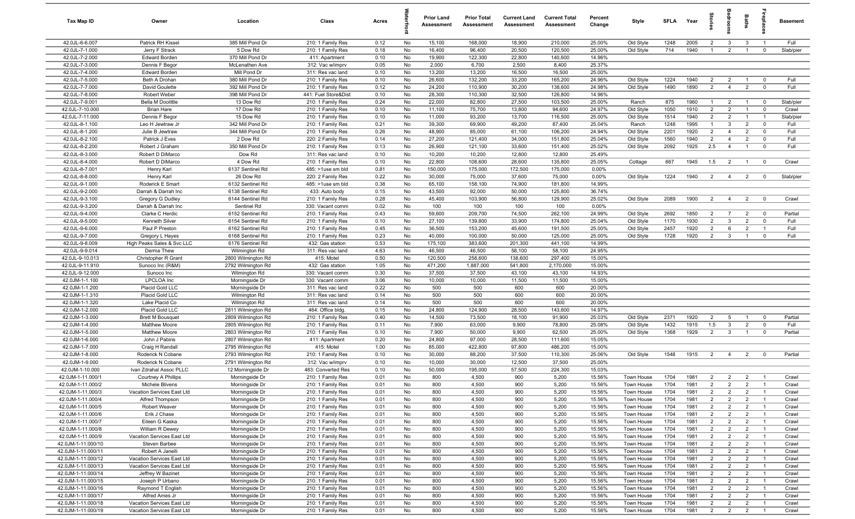| Tax Map ID                              | Owner                                                 | Location                             | Class                                   | Acres        |          | <b>Prior Land</b><br>Assessment | <b>Prior Total</b><br>Assessment | <b>Current Land</b><br>Assessment | <b>Current Total</b><br><b>Assessment</b> | Percent<br>Change | Style                    | <b>SFI A</b> | Year         | tories                           | eroo                             | Baths                            | ireplac                       | <b>Basement</b> |
|-----------------------------------------|-------------------------------------------------------|--------------------------------------|-----------------------------------------|--------------|----------|---------------------------------|----------------------------------|-----------------------------------|-------------------------------------------|-------------------|--------------------------|--------------|--------------|----------------------------------|----------------------------------|----------------------------------|-------------------------------|-----------------|
| 42.0JL-6-6.007                          | Patrick RH Kissel                                     | 385 Mill Pond Dr                     | 210: 1 Family Res                       | 0.12         | No       | 15,100                          | 168,000                          | 18,900                            | 210,000                                   | 25.00%            | Old Style                | 1248         | 2005         | $\overline{2}$                   | $\mathbf{3}$                     | 3                                | $\overline{1}$                | Full            |
| 42.0JL-7-1.000                          | Jerry F Strack                                        | 5 Dow Rd                             | 210: 1 Family Res                       | 0.18         | No       | 16,400                          | 96,400                           | 20,500                            | 120,500                                   | 25.00%            | Old Style                | 714          | 1940         | $\overline{1}$                   | 2                                | $\overline{1}$                   | $\mathbf 0$                   | Slab/pier       |
| 42.0JL-7-2.000                          | <b>Edward Borden</b>                                  | 370 Mill Pond Dr                     | 411: Apartment                          | 0.10         | No       | 19,900                          | 122,300                          | 22,800                            | 140,600                                   | 14.96%            |                          |              |              |                                  |                                  |                                  |                               |                 |
| 42.0JL-7-3.000<br>42.0JL-7-4.000        | Dennis F Begor<br><b>Edward Borden</b>                | McLenathen Ave<br>Mill Pond Dr       | 312: Vac w/imprv<br>311: Res vac land   | 0.05<br>0.10 | No<br>No | 2,000<br>13,200                 | 6,700<br>13,200                  | 2,500<br>16,500                   | 8,400<br>16,500                           | 25.37%<br>25.00%  |                          |              |              |                                  |                                  |                                  |                               |                 |
| 42.0JL-7-5.000                          | Beth A Drohan                                         | 380 Mill Pond Dr                     | 210: 1 Family Res                       | 0.10         | No       | 26,600                          | 132,200                          | 33,200                            | 165,200                                   | 24.96%            | Old Style                | 1224         | 1940         | $\overline{2}$                   | $\overline{2}$                   | $\overline{1}$                   | $\mathbf 0$                   | Full            |
| 42.0JL-7-7.000                          | David Goulette                                        | 392 Mill Pond Dr                     | 210: 1 Family Res                       | 0.12         | No       | 24,200                          | 110,900                          | 30,200                            | 138,600                                   | 24.98%            | Old Style                | 1490         | 1890         | $\overline{2}$                   | $\overline{4}$                   | $\overline{2}$                   | $\mathbf 0$                   | Full            |
| 42.0JL-7-8.000                          | Robert Weber                                          | 398 Mill Pond Dr                     | 441: Fuel Store&Dist                    | 0.10         | No       | 28,300                          | 110,300                          | 32,500                            | 126,800                                   | 14.96%            |                          |              |              |                                  |                                  |                                  |                               |                 |
| 42.0JL-7-9.001                          | <b>Bella M Doolittle</b>                              | 13 Dow Rd                            | 210: 1 Family Res                       | 0.24         | No       | 22,000                          | 82,800                           | 27,500                            | 103,500                                   | 25.00%            | Ranch                    | 875          | 1960         | $\overline{1}$                   | $\overline{2}$                   | $\overline{1}$                   | $\overline{\mathbf{0}}$       | Slab/pier       |
| 42.0JL-7-10.000                         | <b>Brian Hare</b>                                     | 17 Dow Rd                            | 210: 1 Family Res                       | 0.10         | No       | 11,100                          | 75,700                           | 13,800                            | 94,600                                    | 24.97%            | Old Style                | 1050         | 1910         | $\overline{2}$                   | 2                                | $\overline{1}$                   | $\mathbf 0$                   | Crawl           |
| 42.0JL-7-11.000                         | Dennis F Begor                                        | 15 Dow Rd                            | 210: 1 Family Res                       | 0.10         | No       | 11,000                          | 93,200                           | 13,700                            | 116,500                                   | 25.00%            | Old Style                | 1514         | 1940         | $\overline{2}$                   | $\overline{2}$                   | $\overline{1}$                   | $\overline{1}$                | Slab/pier       |
| 42.0JL-8-1.100                          | Leo H Jewtraw Jr                                      | 342 Mill Pond Dr                     | 210: 1 Family Res                       | 0.21         | No       | 39,300                          | 69,900                           | 49,200                            | 87,400                                    | 25.04%            | Ranch                    | 1248         | 1995         | $\overline{1}$                   | $\mathbf{3}$                     | $\overline{2}$                   | $\mathbf 0$                   | Full            |
| 42.0JL-8-1.200                          | Julie B Jewtraw                                       | 344 Mill Pond Dr                     | 210: 1 Family Res                       | 0.26         | No       | 48,900                          | 85,000                           | 61,100                            | 106,200                                   | 24.94%            | Old Style                | 2201         | 1920         | $\overline{2}$                   | $\overline{4}$                   | $\overline{2}$                   | $\mathbf 0$                   | Full            |
| 42.0JL-8-2.100<br>42.0JL-8-2.200        | Patrick J Eves                                        | 2 Dow Rd<br>350 Mill Pond Dr         | 220: 2 Family Res                       | 0.14<br>0.13 | No<br>No | 27,200                          | 121,400                          | 34,000                            | 151,800                                   | 25.04%<br>25.02%  | Old Style                | 1560<br>2092 | 1940<br>1925 | $\overline{2}$<br>2.5            | $\overline{4}$<br>$\overline{4}$ | $\overline{2}$<br>$\overline{1}$ | $\mathbf 0$<br>$\mathbf 0$    | Full<br>Full    |
| 42.0JL-8-3.000                          | Robert J Graham<br>Robert D DiMarco                   | Dow Rd                               | 210: 1 Family Res<br>311: Res vac land  | 0.10         | No       | 26,900<br>10,200                | 121,100<br>10,200                | 33,600<br>12,800                  | 151,400<br>12,800                         | 25.49%            | Old Style                |              |              |                                  |                                  |                                  |                               |                 |
| 42.0JL-8-4.000                          | Robert D DiMarco                                      | 4 Dow Rd                             | 210: 1 Family Res                       | 0.10         | No       | 22,800                          | 108,600                          | 28,600                            | 135,800                                   | 25.05%            | Cottage                  | 667          | 1945         | 1.5                              | $\overline{2}$                   | $\overline{1}$                   | $\overline{\mathbf{0}}$       | Crawl           |
| 42.0JL-8-7.001                          | Henry Karl                                            | 6137 Sentinel Rd                     | 485: >1use sm bld                       | 0.81         | No       | 150,000                         | 175,000                          | 172,500                           | 175,000                                   | 0.00%             |                          |              |              |                                  |                                  |                                  |                               |                 |
| 42.0JL-8-8.000                          | Henry Karl                                            | 26 Dow Rd                            | 220: 2 Family Res                       | 0.22         | No       | 30,000                          | 75,000                           | 37,600                            | 75,000                                    | 0.00%             | Old Style                | 1224         | 1940         | $\overline{2}$                   | $\overline{4}$                   | $\overline{2}$                   | $\mathbf 0$                   | Slab/pier       |
| 42.0JL-9-1.000                          | Roderick E Smart                                      | 6132 Sentinel Rd                     | 485: >1use sm bld                       | 0.38         | No       | 65,100                          | 158,100                          | 74,900                            | 181,800                                   | 14.99%            |                          |              |              |                                  |                                  |                                  |                               |                 |
| 42.0JL-9-2.000                          | Darrah & Darrah Inc                                   | 6138 Sentinel Rd                     | 433: Auto body                          | 0.15         | No       | 43,500                          | 92,000                           | 50,000                            | 125,800                                   | 36.74%            |                          |              |              |                                  |                                  |                                  |                               |                 |
| 42.0JL-9-3.100                          | <b>Gregory G Dudley</b>                               | 6144 Sentinel Rd                     | 210: 1 Family Res                       | 0.28         | No       | 45,400                          | 103,900                          | 56,800                            | 129,900                                   | 25.02%            | Old Style                | 2089         | 1900         | $\overline{2}$                   | $\overline{4}$                   | $\overline{2}$                   | $\overline{\mathbf{0}}$       | Crawl           |
| 42.0JL-9-3.200                          | Darrah & Darrah Inc                                   | Sentinel Rd                          | 330: Vacant comm                        | 0.02         | No       | 100                             | 100                              | 100                               | 100                                       | 0.00%             |                          |              |              |                                  |                                  |                                  |                               |                 |
| 42.0JL-9-4.000                          | Clarke C Herdic                                       | 6152 Sentinel Rd                     | 210: 1 Family Res                       | 0.43         | No       | 59,600                          | 209,700                          | 74,500                            | 262,100                                   | 24.99%            | Old Style                | 2692         | 1850         | $\overline{2}$                   | $\overline{7}$                   | $\overline{2}$                   | $\overline{0}$                | Partial         |
| 42.0JL-9-5.000<br>42.0JL-9-6.000        | Kenneth Silver<br>Paul P Preston                      | 6154 Sentinel Rd<br>6162 Sentinel Rd | 210: 1 Family Res<br>210: 1 Family Res  | 0.10<br>0.45 | No<br>No | 27,100<br>36,500                | 139,800<br>153,200               | 33,900<br>45,600                  | 174,800<br>191,500                        | 25.04%<br>25.00%  | Old Style<br>Old Style   | 1170<br>2457 | 1930<br>1920 | $\overline{2}$<br>$\overline{2}$ | $\mathbf{3}$<br>6                | $\overline{2}$<br>$\overline{2}$ | $\mathbf 0$<br>$\overline{1}$ | Full<br>Full    |
| 42.0JL-9-7.000                          | Gregory L Hayes                                       | 6168 Sentinel Rd                     | 210: 1 Family Res                       | 0.23         | No       | 40,000                          | 100,000                          | 50,000                            | 125,000                                   | 25.00%            | Old Style                | 1728         | 1920         | $\overline{2}$                   | $\overline{\mathbf{3}}$          | $\overline{1}$                   | $\mathbf 0$                   | Full            |
| 42.0JL-9-8.009                          | High Peaks Sales & Svc LLC                            | 6176 Sentinel Rd                     | 432: Gas station                        | 0.53         | No       | 175,100                         | 383,600                          | 201,300                           | 441,100                                   | 14.99%            |                          |              |              |                                  |                                  |                                  |                               |                 |
| 42.0JL-9-9.014                          | Derma Thew                                            | Wilmington Rd                        | 311: Res vac land                       | 4.63         | No       | 46,500                          | 46,500                           | 58,100                            | 58,100                                    | 24.95%            |                          |              |              |                                  |                                  |                                  |                               |                 |
| 42.0JL-9-10.013                         | Christopher R Grant                                   | 2800 Wilmington Rd                   | 415: Motel                              | 0.50         | No       | 120,500                         | 258,600                          | 138,600                           | 297,400                                   | 15.00%            |                          |              |              |                                  |                                  |                                  |                               |                 |
| 42.0JL-9-11.910                         | Sunoco Inc (R&M)                                      | 2792 Wilmington Rd                   | 432: Gas station                        | 1.05         | No       | 471,200                         | 1,887,000                        | 541,800                           | 2,170,000                                 | 15.00%            |                          |              |              |                                  |                                  |                                  |                               |                 |
| 42.0JL-9-12.000                         | Sunoco Inc                                            | Wilmington Rd                        | 330: Vacant comm                        | 0.30         | No       | 37,500                          | 37,500                           | 43,100                            | 43,100                                    | 14.93%            |                          |              |              |                                  |                                  |                                  |                               |                 |
| 42.0JM-1-1.100                          | <b>LPCLOA</b> Inc                                     | Morningside Dr                       | 330: Vacant comm                        | 3.06         | No       | 10,000                          | 10,000                           | 11,500                            | 11,500                                    | 15.00%            |                          |              |              |                                  |                                  |                                  |                               |                 |
| 42.0JM-1-1.200                          | Placid Gold LLC                                       | Morningside Dr                       | 311: Res vac land                       | 0.22         | No       | 500                             | 500                              | 600                               | 600                                       | 20.00%            |                          |              |              |                                  |                                  |                                  |                               |                 |
| 42.0JM-1-1.310<br>42.0JM-1-1.320        | Placid Gold LLC<br>Lake Placid Co                     | Wilmington Rd<br>Wilmington Rd       | 311: Res vac land<br>311: Res vac land  | 0.14<br>0.14 | No<br>No | 500<br>500                      | 500<br>500                       | 600<br>600                        | 600<br>600                                | 20.00%<br>20.00%  |                          |              |              |                                  |                                  |                                  |                               |                 |
| 42.0JM-1-2.000                          | Placid Gold LLC                                       | 2811 Wilmington Rd                   | 464: Office bldg.                       | 0.15         | No       | 24,800                          | 124,900                          | 28,500                            | 143,600                                   | 14.97%            |                          |              |              |                                  |                                  |                                  |                               |                 |
| 42.0JM-1-3.000                          | <b>Brett M Bousquet</b>                               | 2809 Wilmington Rd                   | 210: 1 Family Res                       | 0.40         | No       | 14,500                          | 73,500                           | 18,100                            | 91,900                                    | 25.03%            | Old Style                | 2371         | 1920         | $\overline{2}$                   | 5                                | $\overline{1}$                   | $\mathbf 0$                   | Partial         |
| 42.0JM-1-4.000                          | <b>Matthew Moore</b>                                  | 2805 Wilmington Rd                   | 210: 1 Family Res                       | 0.11         | No       | 7,900                           | 63,000                           | 9,900                             | 78,800                                    | 25.08%            | Old Style                | 1432         | 1915         | 1.5                              | $\mathbf{3}$                     | $\overline{2}$                   | $\mathbf 0$                   | Full            |
| 42.0JM-1-5.000                          | <b>Matthew Moore</b>                                  | 2803 Wilmington Rd                   | 210: 1 Family Res                       | 0.10         | No       | 7,900                           | 50,000                           | 9,900                             | 62,500                                    | 25.00%            | Old Style                | 1368         | 1929         | $\overline{2}$                   | $\mathbf{3}$                     | $\overline{1}$                   | $\overline{0}$                | Partial         |
| 42.0JM-1-6.000                          | John J Pabins                                         | 2807 Wilmington Rd                   | 411: Apartment                          | 0.20         | No       | 24,800                          | 97,000                           | 28,500                            | 111,600                                   | 15.05%            |                          |              |              |                                  |                                  |                                  |                               |                 |
| 42.0JM-1-7.000                          | Craig H Randall                                       | 2795 Wilmington Rd                   | 415: Motel                              | 1.00         | No       | 85,000                          | 422,800                          | 97,800                            | 486,200                                   | 15.00%            |                          |              |              |                                  |                                  |                                  |                               |                 |
| 42.0JM-1-8.000                          | Roderick N Cobane                                     | 2793 Wilmington Rd                   | 210: 1 Family Res                       | 0.10         | No       | 30,000                          | 88,200                           | 37,500                            | 110,300                                   | 25.06%            | Old Style                | 1548         | 1915         | $\overline{2}$                   | $\overline{4}$                   | $\overline{2}$                   | $\mathbf 0$                   | Partial         |
| 42.0JM-1-9.000                          | Roderick N Cobane                                     | 2791 Wilmington Rd                   | 312: Vac w/imprv                        | 0.10         | No<br>No | 10,000                          | 30,000<br>195,000                | 12,500                            | 37,500                                    | 25.00%<br>15.03%  |                          |              |              |                                  |                                  |                                  |                               |                 |
| 42.0JM-1-10.000<br>42.0JM-1-11.000/1    | Ivan Zdrahal Assoc PLLC<br><b>Courtney A Phillips</b> | 12 Morningside Dr<br>Morningside Dr  | 483: Converted Res<br>210: 1 Family Res | 0.10<br>0.01 | No       | 50,000<br>800                   | 4,500                            | 57,500<br>900                     | 224,300<br>5,200                          | 15.56%            | Town House               | 1704         | 1981         | $\overline{2}$                   | $\overline{2}$                   | $\overline{2}$                   |                               | Crawl           |
| 42.0JM-1-11.000/2                       | Michele Blivens                                       | Morningside Dr                       | 210: 1 Family Res                       | 0.01         | No       | 800                             | 4,500                            | 900                               | 5,200                                     | 15.56%            | Town House               | 1704         | 1981         | $\overline{2}$                   | $\overline{2}$                   | $\overline{2}$                   |                               | Crawl           |
| 42.0JM-1-11.000/3                       | Vacation Services East Ltd                            | Morningside Dr                       | 210: 1 Family Res                       | 0.01         | No       | 800                             | 4,500                            | 900                               | 5,200                                     | 15.56%            | Town House               | 1704         | 1981         | $\overline{2}$                   | $\overline{2}$                   | $\overline{2}$                   | $\overline{1}$                | Crawl           |
| 42.0JM-1-11.000/4                       | Alfred Thompson                                       | Morningside Dr                       | 210: 1 Family Res                       | 0.01         | No       | 800                             | 4,500                            | 900                               | 5,200                                     | 15.56%            | Town House               | 1704         | 1981         | $\overline{2}$                   | $\overline{2}$                   | $\overline{2}$                   | $\overline{1}$                | Crawl           |
| 42.0JM-1-11.000/5                       | <b>Robert Weaver</b>                                  | Morningside Dr                       | 210: 1 Family Res                       | 0.01         | No       | 800                             | 4,500                            | 900                               | 5,200                                     | 15.56%            | Town House               | 1704         | 1981         | $\overline{2}$                   | $\overline{2}$                   | $\overline{2}$                   | $\overline{1}$                | Crawl           |
| 42.0JM-1-11.000/6                       | Erik J Chase                                          | Morningside Dr                       | 210: 1 Family Res                       | 0.01         | No       | 800                             | 4,500                            | 900                               | 5,200                                     | 15.56%            | Town House               | 1704         | 1981         | $\overline{2}$                   | $\overline{2}$                   | $\overline{2}$                   | $\overline{1}$                | Crawl           |
| 42.0JM-1-11.000/7                       | Eileen G Kaska                                        | Morningside Dr                       | 210: 1 Family Res                       | 0.01         | No       | 800                             | 4,500                            | 900                               | 5,200                                     | 15.56%            | Town House               | 1704         | 1981         | $\overline{2}$                   | $\overline{2}$                   | $\overline{2}$                   | $\overline{1}$                | Crawl           |
| 42.0JM-1-11.000/8                       | William R Dewey                                       | Morningside Dr                       | 210: 1 Family Res                       | 0.01         | No       | 800                             | 4,500                            | 900                               | 5,200                                     | 15.56%            | Town House               | 1704         | 1981         | $\overline{2}$                   | $\overline{2}$                   | $\overline{2}$                   | $\overline{1}$                | Crawl           |
| 42.0JM-1-11.000/9<br>42.0JM-1-11.000/10 | Vacation Services East Ltd                            | Morningside Dr                       | 210: 1 Family Res                       | 0.01         | No       | 800                             | 4,500                            | 900                               | 5,200                                     | 15.56%            | Town House               | 1704         | 1981         | $\overline{2}$                   | $\overline{2}$                   | $\overline{2}$                   | $\overline{1}$                | Crawl           |
| 42.0JM-1-11.000/11                      | Steven Barbee<br>Robert A Janelli                     | Morningside Dr<br>Morningside Dr     | 210: 1 Family Res<br>210: 1 Family Res  | 0.01<br>0.01 | No<br>No | 800<br>800                      | 4,500<br>4,500                   | 900<br>900                        | 5,200<br>5,200                            | 15.56%<br>15.56%  | Town House<br>Town House | 1704<br>1704 | 1981<br>1981 | $\overline{2}$<br>$\overline{2}$ | $\overline{2}$<br>$\overline{2}$ | $\overline{2}$<br>$\overline{2}$ | $\overline{1}$                | Crawl<br>Crawl  |
| 42.0JM-1-11.000/12                      | Vacation Services East Ltd                            | Morningside Dr                       | 210: 1 Family Res                       | 0.01         | No       | 800                             | 4,500                            | 900                               | 5,200                                     | 15.56%            | Town House               | 1704         | 1981         | $\overline{2}$                   | $\overline{2}$                   | $\overline{2}$                   | $\overline{1}$                | Crawl           |
| 42.0JM-1-11.000/13                      | Vacation Services East Ltd                            | Morningside Dr                       | 210: 1 Family Res                       | 0.01         | No       | 800                             | 4,500                            | 900                               | 5,200                                     | 15.56%            | Town House               | 1704         | 1981         | $\overline{2}$                   | $\overline{2}$                   | $\overline{2}$                   |                               | Crawl           |
| 42.0JM-1-11.000/14                      | Jeffrey W Bazinet                                     | Morningside Dr                       | 210: 1 Family Res                       | 0.01         | No       | 800                             | 4,500                            | 900                               | 5,200                                     | 15.56%            | Town House               | 1704         | 1981         | $\overline{2}$                   | $\overline{2}$                   | $\overline{2}$                   | $\overline{1}$                | Crawl           |
| 42.0JM-1-11.000/15                      | Joseph P Urbano                                       | Morningside Dr                       | 210: 1 Family Res                       | 0.01         | No       | 800                             | 4,500                            | 900                               | 5,200                                     | 15.56%            | Town House               | 1704         | 1981         | $\overline{2}$                   | $\overline{2}$                   | $\overline{2}$                   | $\overline{1}$                | Crawl           |
| 42.0JM-1-11.000/16                      | Raymond T English                                     | Morningside Dr                       | 210: 1 Family Res                       | 0.01         | No       | 800                             | 4,500                            | 900                               | 5,200                                     | 15.56%            | Town House               | 1704         | 1981         | $\overline{2}$                   | $\overline{2}$                   | $\overline{2}$                   | $\overline{1}$                | Crawl           |
| 42.0JM-1-11.000/17                      | Alfred Ames Jr                                        | Morningside Dr                       | 210: 1 Family Res                       | 0.01         | No       | 800                             | 4,500                            | 900                               | 5,200                                     | 15.56%            | Town House               | 1704         | 1981         | $\overline{2}$                   | $\overline{2}$                   | $\overline{2}$                   | $\overline{1}$                | Crawl           |
| 42.0JM-1-11.000/18                      | Vacation Services East Ltd                            | Morningside Dr                       | 210: 1 Family Res                       | 0.01         | No       | 800                             | 4,500                            | 900                               | 5,200                                     | 15.56%            | Town House               | 1704         | 1981         | $\overline{2}$                   | $\overline{2}$                   | $\overline{2}$                   | $\overline{1}$                | Crawl           |
| 42.0JM-1-11.000/19                      | Vacation Services East Ltd                            | Morningside Dr                       | 210: 1 Family Res                       | 0.01         | No       | 800                             | 4,500                            | 900                               | 5,200                                     | 15.56%            | Town House               | 1704         | 1981         | $\overline{2}$                   | $\overline{2}$                   | $\overline{2}$                   | $\overline{1}$                | Crawl           |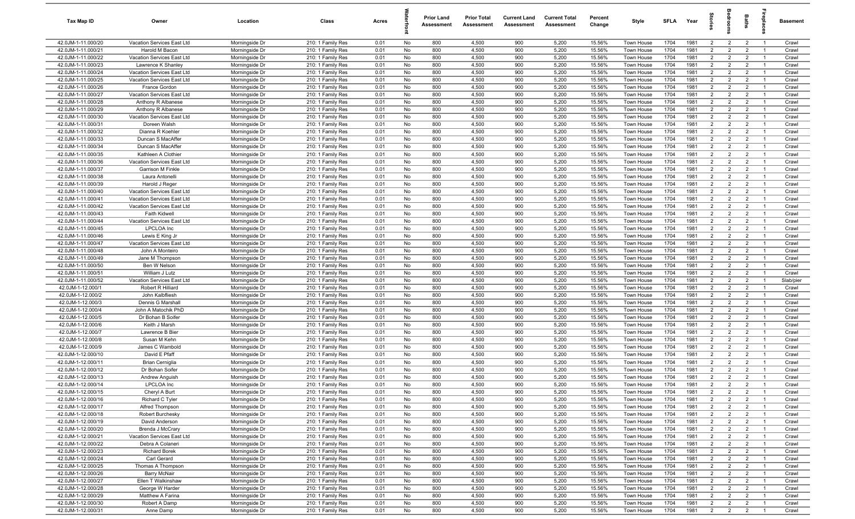| Tax Map ID                               | Owner                                           | Location                         | Class                                  | Acres        |          | <b>Prior Land</b><br>Assessment | <b>Prior Total</b><br>Assessment | <b>Current Land</b><br>Assessment | <b>Current Total</b><br>Assessment | Percent<br>Change | Style                    | SFLA         | Year         | $\vec{e}$                        | ā                                | <b>Baths</b>                     | ireplace                         | Basement       |
|------------------------------------------|-------------------------------------------------|----------------------------------|----------------------------------------|--------------|----------|---------------------------------|----------------------------------|-----------------------------------|------------------------------------|-------------------|--------------------------|--------------|--------------|----------------------------------|----------------------------------|----------------------------------|----------------------------------|----------------|
| 42.0JM-1-11.000/20                       | Vacation Services East Ltd                      | Morningside Dr                   | 210: 1 Family Res                      | 0.01         | No       | 800                             | 4,500                            | 900                               | 5,200                              | 15.56%            | Town House               | 1704         | 1981         | $\overline{2}$                   | $\overline{2}$                   | $\overline{2}$                   | $\overline{1}$                   | Crawl          |
| 42.0JM-1-11.000/21                       | Harold M Bacon                                  | Morningside Dr                   | 210: 1 Family Res                      | 0.01         | No       | 800                             | 4,500                            | 900                               | 5,200                              | 15.56%            | Town House               | 1704         | 1981         | $\overline{2}$                   | $\overline{2}$                   | $\overline{2}$                   | $\overline{1}$                   | Crawl          |
| 42.0JM-1-11.000/22                       | Vacation Services East Ltd                      | Morningside Dr                   | 210: 1 Family Res                      | 0.01         | No       | 800                             | 4,500                            | 900                               | 5,200                              | 15.56%            | Town House               | 1704         | 1981         | $\overline{2}$                   | $\overline{2}$                   | $\overline{2}$                   | $\overline{1}$                   | Crawl          |
| 42.0JM-1-11.000/23                       | Lawrence K Shanley                              | Morningside Dr                   | 210: 1 Family Res                      | 0.01         | No       | 800                             | 4,500                            | 900                               | 5,200                              | 15.56%            | Town House               | 1704         | 1981         | $\overline{2}$                   | $\overline{2}$                   | $\overline{2}$                   | -1                               | Crawl          |
| 42.0JM-1-11.000/24                       | Vacation Services East Ltd                      | Morningside Dr                   | 210: 1 Family Res                      | 0.01         | No       | 800                             | 4,500                            | 900                               | 5,200                              | 15.56%            | Town House               | 1704         | 1981         | $\overline{2}$                   | $\overline{2}$                   | $\overline{2}$                   | $\overline{1}$                   | Crawl          |
| 42.0JM-1-11.000/25                       | Vacation Services East Ltd                      | Morningside Dr                   | 210: 1 Family Res                      | 0.01         | No       | 800                             | 4,500                            | 900                               | 5,200                              | 15.56%            | Town House               | 1704         | 1981         | $\overline{2}$                   | $\overline{2}$                   | $\overline{2}$                   |                                  | Crawl          |
| 42.0JM-1-11.000/26                       | France Gordon                                   | Morningside Dr                   | 210: 1 Family Res                      | 0.01         | No       | 800                             | 4,500                            | 900                               | 5,200                              | 15.56%            | Town House               | 1704         | 1981         | 2                                | $\overline{2}$                   | $\overline{2}$                   | $\overline{1}$                   | Crawl          |
| 42.0JM-1-11.000/27                       | Vacation Services East Ltd                      | Morningside Dr                   | 210: 1 Family Res                      | 0.01         | No       | 800                             | 4,500                            | 900                               | 5,200                              | 15.56%            | <b>Town House</b>        | 1704         | 1981         | $\overline{2}$                   | $\overline{2}$                   | $\overline{2}$                   | -1                               | Crawl          |
| 42.0JM-1-11.000/28                       | Anthony R Albanese                              | Morningside Dr                   | 210: 1 Family Res                      | 0.01         | No       | 800                             | 4,500                            | 900                               | 5,200                              | 15.56%            | Town House               | 1704         | 1981         | $\overline{2}$                   | $\overline{2}$                   | $\overline{2}$                   | $\overline{1}$                   | Crawl          |
| 42.0JM-1-11.000/29                       | Anthony R Albanese                              | Morningside Dr                   | 210: 1 Family Res                      | 0.01         | No       | 800                             | 4,500                            | 900                               | 5,200                              | 15.56%            | Town House               | 1704         | 1981         | $\overline{2}$                   | $\overline{2}$                   | $\overline{2}$                   | $\overline{1}$                   | Crawl          |
| 42.0JM-1-11.000/30                       | Vacation Services East Ltd                      | Morningside Dr                   | 210: 1 Family Res                      | 0.01         | No       | 800                             | 4,500                            | 900                               | 5,200                              | 15.56%            | Town House               | 1704         | 1981         | $\overline{2}$                   | $\overline{2}$                   | $\overline{2}$                   | $\overline{1}$                   | Crawl          |
| 42.0JM-1-11.000/31                       | Doreen Walsh                                    | Morningside Dr                   | 210: 1 Family Res                      | 0.01         | No       | 800                             | 4,500                            | 900                               | 5,200                              | 15.56%            | Town House               | 1704         | 1981         | $\overline{2}$                   | $\overline{2}$                   | $\overline{2}$                   | $\overline{1}$                   | Crawl          |
| 42.0JM-1-11.000/32                       | Dianna R Koehler                                | Morningside Dr                   | 210: 1 Family Res                      | 0.01         | No       | 800                             | 4,500                            | 900                               | 5,200                              | 15.56%            | Town House               | 1704         | 1981         | $\overline{2}$                   | $\overline{2}$                   | $\overline{2}$                   | $\overline{1}$                   | Crawl          |
| 42.0JM-1-11.000/33                       | Duncan S MacAffer                               | Morningside Dr                   | 210: 1 Family Res                      | 0.01         | No       | 800                             | 4,500                            | 900                               | 5,200                              | 15.56%            | Town House               | 1704         | 1981         | $\overline{2}$                   | $\overline{2}$                   | $\overline{2}$                   | $\overline{1}$                   | Crawl          |
| 42.0JM-1-11.000/34                       | Duncan S MacAffer                               | Morningside Dr                   | 210: 1 Family Res                      | 0.01         | No       | 800                             | 4,500                            | 900                               | 5,200                              | 15.56%            | Town House               | 1704         | 1981         | 2                                | $\overline{2}$                   | $\overline{2}$                   | $\overline{1}$                   | Crawl          |
| 42.0JM-1-11.000/35                       | Kathleen A Clothier                             | Morningside Dr                   | 210: 1 Family Res                      | 0.01         | No       | 800                             | 4,500                            | 900                               | 5,200                              | 15.56%            | Town House               | 1704         | 1981         | $\overline{2}$                   | $\overline{2}$                   | $\overline{2}$                   | $\overline{1}$                   | Crawl          |
| 42.0JM-1-11.000/36                       | Vacation Services East Ltd                      | Morningside Dr                   | 210: 1 Family Res                      | 0.01         | No       | 800                             | 4,500                            | 900                               | 5,200                              | 15.56%            | Town House               | 1704         | 1981         | $\overline{2}$                   | $\overline{2}$                   | $\overline{2}$                   |                                  | Crawl          |
| 42.0JM-1-11.000/37                       | Garrison M Finkle                               | Morningside Dr                   | 210: 1 Family Res                      | 0.01         | No       | 800                             | 4,500                            | 900                               | 5,200                              | 15.56%            | Town House               | 1704         | 1981         | $\overline{2}$                   | $\overline{2}$                   | $\overline{2}$                   | $\overline{1}$                   | Crawl          |
| 42.0JM-1-11.000/38                       | Laura Antonelli                                 | Morningside Dr                   | 210: 1 Family Res                      | 0.01         | No       | 800                             | 4,500                            | 900                               | 5,200                              | 15.56%            | Town House               | 1704         | 1981         | $\overline{2}$                   | $\overline{2}$                   | $\overline{2}$                   |                                  | Crawl          |
| 42.0JM-1-11.000/39                       | Harold J Reger                                  | Morningside Dr                   | 210: 1 Family Res                      | 0.01         | No       | 800                             | 4,500                            | 900                               | 5,200                              | 15.56%            | Town House               | 1704         | 1981         | $\overline{2}$                   | $\overline{2}$                   | $\overline{2}$                   | $\overline{1}$                   | Crawl          |
| 42.0JM-1-11.000/40                       | Vacation Services East Ltd                      | Morningside Dr                   | 210: 1 Family Res                      | 0.01         | No       | 800                             | 4,500                            | 900                               | 5,200                              | 15.56%            | Town House               | 1704         | 1981         | $\overline{2}$                   | $\overline{2}$                   | $\overline{2}$                   | $\overline{1}$                   | Crawl          |
| 42.0JM-1-11.000/41                       | Vacation Services East Ltd                      | Morningside Dr                   | 210: 1 Family Res                      | 0.01         | No       | 800                             | 4,500                            | 900                               | 5,200                              | 15.56%            | Town House               | 1704         | 1981         | $\overline{2}$                   | $\overline{2}$                   | $\overline{2}$                   | $\overline{1}$                   | Crawl          |
| 42.0JM-1-11.000/42                       | Vacation Services East Ltd                      | Morningside Dr                   | 210: 1 Family Res                      | 0.01         | No       | 800                             | 4,500                            | 900                               | 5,200                              | 15.56%            | <b>Town House</b>        | 1704         | 1981         | $\overline{2}$                   | $\overline{2}$                   | $\overline{2}$                   | $\overline{1}$                   | Crawl          |
| 42.0JM-1-11.000/43                       | <b>Faith Kidwell</b>                            | Morningside Dr                   | 210: 1 Family Res                      | 0.01         | No       | 800                             | 4,500                            | 900<br>900                        | 5,200                              | 15.56%            | Town House               | 1704<br>1704 | 1981<br>1981 | $\overline{2}$<br>$\overline{2}$ | $\overline{2}$<br>$\overline{2}$ | $\overline{2}$<br>$\overline{2}$ | $\overline{1}$<br>$\overline{1}$ | Crawl          |
| 42.0JM-1-11.000/44                       | Vacation Services East Ltd<br><b>LPCLOA</b> Inc | Morningside Dr<br>Morningside Dr | 210: 1 Family Res                      | 0.01         | No       | 800                             | 4,500                            | 900                               | 5,200                              | 15.56%            | Town House               |              | 1981         | $\overline{2}$                   |                                  | $\overline{2}$                   | $\overline{1}$                   | Crawl          |
| 42.0JM-1-11.000/45<br>42.0JM-1-11.000/46 | Lewis E King Jr                                 | Morningside Dr                   | 210: 1 Family Res<br>210: 1 Family Res | 0.01<br>0.01 | No<br>No | 800<br>800                      | 4,500<br>4,500                   | 900                               | 5,200<br>5,200                     | 15.56%<br>15.56%  | Town House<br>Town House | 1704<br>1704 | 1981         | $\overline{2}$                   | $\overline{2}$<br>2              | $\overline{2}$                   | $\overline{1}$                   | Crawl<br>Crawl |
| 42.0JM-1-11.000/47                       | Vacation Services East Ltd                      | Morningside Dr                   | 210: 1 Family Res                      | 0.01         | No       | 800                             | 4,500                            | 900                               | 5,200                              | 15.56%            | Town House               | 1704         | 1981         | $\overline{2}$                   | $\overline{2}$                   | $\overline{2}$                   | -1                               | Crawl          |
| 42.0JM-1-11.000/48                       | John A Monteiro                                 | Morningside Dr                   | 210: 1 Family Res                      | 0.01         | No       | 800                             | 4,500                            | 900                               | 5,200                              | 15.56%            | Town House               | 1704         | 1981         | $\overline{2}$                   | $\overline{2}$                   | $\overline{2}$                   | $\overline{1}$                   | Crawl          |
| 42.0JM-1-11.000/49                       | Jane M Thompson                                 | Morningside Dr                   | 210: 1 Family Res                      | 0.01         | No       | 800                             | 4,500                            | 900                               | 5,200                              | 15.56%            | Town House               | 1704         | 1981         | $\overline{2}$                   | $\overline{2}$                   | $\overline{2}$                   | -1                               | Crawl          |
| 42.0JM-1-11.000/50                       | Ben W Nelson                                    | Morningside Dr                   | 210: 1 Family Res                      | 0.01         | No       | 800                             | 4,500                            | 900                               | 5,200                              | 15.56%            | Town House               | 1704         | 1981         | $2^{\circ}$                      | $\overline{2}$                   | $\overline{2}$                   | $\overline{1}$                   | Crawl          |
| 42.0JM-1-11.000/51                       | William J Lutz                                  | Morningside Dr                   | 210: 1 Family Res                      | 0.01         | No       | 800                             | 4,500                            | 900                               | 5,200                              | 15.56%            | Town House               | 1704         | 1981         | 2                                | $\overline{2}$                   | $\overline{2}$                   | -1                               | Crawl          |
| 42.0JM-1-11.000/52                       | Vacation Services East Ltd                      | Morningside Dr                   | 210: 1 Family Res                      | 0.01         | No       | 800                             | 4,500                            | 900                               | 5,200                              | 15.56%            | Town House               | 1704         | 1981         | $\overline{2}$                   | $\overline{2}$                   | $\overline{2}$                   | $\overline{1}$                   | Slab/pier      |
| 42.0JM-1-12.000/1                        | Robert R Hilliard                               | Morningside Dr                   | 210: 1 Family Res                      | 0.01         | No       | 800                             | 4,500                            | 900                               | 5,200                              | 15.56%            | Town House               | 1704         | 1981         | 2                                | $\overline{2}$                   | $\overline{2}$                   | $\overline{1}$                   | Crawl          |
| 42.0JM-1-12.000/2                        | John Kalbfliesh                                 | Morningside Dr                   | 210: 1 Family Res                      | 0.01         | No       | 800                             | 4,500                            | 900                               | 5,200                              | 15.56%            | Town House               | 1704         | 1981         | $\overline{2}$                   | $\overline{2}$                   | $\overline{2}$                   | $\overline{1}$                   | Crawl          |
| 42.0JM-1-12.000/3                        | Dennis G Marshall                               | Morningside Dr                   | 210: 1 Family Res                      | 0.01         | No       | 800                             | 4,500                            | 900                               | 5,200                              | 15.56%            | Town House               | 1704         | 1981         | $\overline{2}$                   | $\overline{2}$                   | $\overline{2}$                   | $\overline{1}$                   | Crawl          |
| 42.0JM-1-12.000/4                        | John A Matochik PhD                             | Morningside Dr                   | 210: 1 Family Res                      | 0.01         | No       | 800                             | 4,500                            | 900                               | 5,200                              | 15.56%            | Town House               | 1704         | 1981         | $\overline{2}$                   | $\overline{2}$                   | $\overline{2}$                   | $\overline{1}$                   | Crawl          |
| 42.0JM-1-12.000/5                        | Dr Bohan B Soifer                               | Morningside Dr                   | 210: 1 Family Res                      | 0.01         | No       | 800                             | 4,500                            | 900                               | 5,200                              | 15.56%            | Town House               | 1704         | 1981         | $\overline{2}$                   | $\overline{2}$                   | $\overline{2}$                   | $\overline{1}$                   | Crawl          |
| 42.0JM-1-12.000/6                        | Keith J Marsh                                   | Morningside Dr                   | 210: 1 Family Res                      | 0.01         | No       | 800                             | 4,500                            | 900                               | 5,200                              | 15.56%            | Town House               | 1704         | 1981         | $\overline{2}$                   | $\overline{2}$                   | $\overline{2}$                   | $\overline{1}$                   | Crawl          |
| 42.0JM-1-12.000/7                        | Lawrence B Bier                                 | Morningside Dr                   | 210: 1 Family Res                      | 0.01         | No       | 800                             | 4,500                            | 900                               | 5,200                              | 15.56%            | Town House               | 1704         | 1981         | $\overline{2}$                   | 2                                | $\overline{2}$                   | $\overline{1}$                   | Crawl          |
| 42.0JM-1-12.000/8                        | Susan M Kehn                                    | Morningside Dr                   | 210: 1 Family Res                      | 0.01         | No       | 800                             | 4,500                            | 900                               | 5,200                              | 15.56%            | Town House               | 1704         | 1981         | $\overline{2}$                   | $\overline{2}$                   | $\overline{2}$                   | - 1                              | Crawl          |
| 42.0JM-1-12.000/9                        | James C Wambold                                 | Morningside Dr                   | 210: 1 Family Res                      | 0.01         | No       | 800                             | 4,500                            | 900                               | 5,200                              | 15.56%            | Town House               | 1704         | 1981         | $\overline{2}$                   | $\overline{2}$                   | $\overline{2}$                   | $\overline{1}$                   | Crawl          |
| 42.0JM-1-12.000/10                       | David E Pfaff                                   | Morningside Dr                   | 210: 1 Family Res                      | 0.01         | No       | 800                             | 4,500                            | 900                               | 5,200                              | 15.56%            | Town House               | 1704         | 1981         | $\overline{2}$                   | $\overline{2}$                   | $\overline{2}$                   |                                  | Crawl          |
| 42.0JM-1-12.000/11                       | <b>Brian Cerniglia</b>                          | Morningside Dr                   | 210: 1 Family Res                      | 0.01         | No       | 800                             | 4,500                            | 900                               | 5,200                              | 15.56%            | Town House               | 1704         | 1981         | 2                                | $\overline{2}$                   | $\overline{2}$                   | - 1                              | Crawl          |
| 42.0JM-1-12.000/12                       | Dr Bohan Soifer                                 | Morningside Dr                   | 210: 1 Family Res                      | 0.01         | No       | 800                             | 4,500                            | 900                               | 5,200                              | 15.56%            | Town House               | 1704         | 1981         | $\overline{2}$                   | $\overline{2}$                   | $\overline{2}$                   |                                  | Crawl          |
| 42.0JM-1-12.000/13                       | Andrew Anguish                                  | Morningside Dr                   | 210: 1 Family Res                      | 0.01         | No       | 800                             | 4,500                            | 900                               | 5,200                              | 15.56%            | Town House               | 1704         | 1981         | $\overline{2}$                   | $\overline{2}$                   | $\overline{2}$                   | $\overline{1}$                   | Crawl          |
| 42.0JM-1-12.000/14                       | LPCLOA Inc                                      | Morningside Dr                   | 210: 1 Family Res                      | 0.01         | No       | 800                             | 4,500                            | 900                               | 5,200                              | 15.56%            | Town House               | 1704         | 1981         | $\overline{2}$                   | $\mathcal{P}$                    | $\overline{2}$                   |                                  | Crawl          |
| 42.0JM-1-12.000/15                       | Cheryl A Burt                                   | Morningside Dr                   | 210: 1 Family Res                      | 0.01         | No       | 800                             | 4,500                            | 900                               | 5,200                              | 15.56%            | Town House               | 1704         | 1981         | $\overline{2}$                   | $\overline{2}$                   | $\overline{2}$                   | $\overline{1}$                   | Crawl          |
| 42.0JM-1-12.000/16                       | Richard C Tyler                                 | Morningside Dr                   | 210: 1 Family Res                      | 0.01         | No       | 800                             | 4,500                            | 900                               | 5,200                              | 15.56%            | Town House               | 1704         | 1981         | $\overline{2}$                   | $\overline{2}$                   | $\overline{2}$                   | $\overline{1}$                   | Crawl          |
| 42.0JM-1-12.000/17                       | Alfred Thompson                                 | Morningside Dr                   | 210: 1 Family Res                      | 0.01         | No       | 800                             | 4,500                            | 900                               | 5,200                              | 15.56%            | Town House               | 1704         | 1981         | $\overline{2}$                   | $\overline{2}$                   | $\overline{2}$                   | $\overline{1}$                   | Crawl          |
| 42.0JM-1-12.000/18                       | Robert Burchesky                                | Morningside Dr                   | 210: 1 Family Res                      | 0.01         | No       | 800                             | 4,500                            | 900                               | 5,200                              | 15.56%            | Town House               | 1704         | 1981         | $\overline{2}$                   | $\overline{2}$                   | $\overline{2}$                   | $\overline{1}$                   | Crawl          |
| 42.0JM-1-12.000/19                       | David Anderson                                  | Morningside Dr                   | 210: 1 Family Res                      | 0.01         | No       | 800                             | 4,500                            | 900                               | 5,200                              | 15.56%            | Town House               | 1704         | 1981         | $\overline{2}$                   | 2                                | $\overline{2}$                   | $\overline{1}$                   | Crawl          |
| 42.0JM-1-12.000/20                       | Brenda J McCrary                                | Morningside Dr                   | 210: 1 Family Res                      | 0.01         | No       | 800                             | 4,500                            | 900                               | 5,200                              | 15.56%            | Town House               | 1704         | 1981         | $\overline{2}$                   | $\overline{2}$                   | $\overline{2}$                   | $\overline{1}$                   | Crawl          |
| 42.0JM-1-12.000/21                       | Vacation Services East Ltd                      | Morningside Dr                   | 210: 1 Family Res                      | 0.01         | No       | 800                             | 4,500                            | 900                               | 5,200                              | 15.56%            | Town House               | 1704         | 1981         | $\overline{2}$                   | $\overline{2}$                   | $\overline{2}$                   | $\overline{1}$                   | Crawl          |
| 42.0JM-1-12.000/22                       | Debra A Colaneri                                | Morningside Dr                   | 210: 1 Family Res                      | 0.01         | No       | 800                             | 4,500                            | 900                               | 5,200                              | 15.56%            | Town House               | 1704         | 1981         | $\overline{2}$                   | $\overline{2}$                   | $\overline{2}$                   | $\overline{1}$                   | Crawl          |
| 42.0JM-1-12.000/23                       | <b>Richard Borek</b>                            | Morningside Dr                   | 210: 1 Family Res                      | 0.01         | No       | 800                             | 4,500                            | 900                               | 5,200                              | 15.56%            | Town House               | 1704         | 1981         | $\overline{2}$                   | $\overline{2}$                   | $\overline{2}$                   |                                  | Crawl          |
| 42.0JM-1-12.000/24                       | Carl Gerard                                     | Morningside Dr                   | 210: 1 Family Res                      | 0.01         | No       | 800                             | 4,500                            | 900                               | 5,200                              | 15.56%            | Town House               | 1704         | 1981         | $\overline{2}$                   | $\overline{2}$                   | $\overline{2}$                   | $\overline{1}$                   | Crawl          |
| 42.0JM-1-12.000/25                       | Thomas A Thompson                               | Morningside Dr                   | 210: 1 Family Res                      | 0.01         | No       | 800                             | 4,500                            | 900                               | 5,200                              | 15.56%            | Town House               | 1704         | 1981         | $\overline{2}$                   | $\overline{2}$                   | $\overline{2}$                   | $\overline{1}$                   | Crawl          |
| 42.0JM-1-12.000/26                       | <b>Barry McNair</b>                             | Morningside Dr                   | 210: 1 Family Res                      | 0.01         | No       | 800                             | 4,500                            | 900                               | 5,200                              | 15.56%            | Town House               | 1704         | 1981         | $\overline{2}$                   | $\overline{2}$                   | $\overline{2}$                   | $\overline{1}$                   | Crawl          |
| 42.0JM-1-12.000/27                       | Ellen T Walkinshaw                              | Morningside Dr                   | 210: 1 Family Res                      | 0.01         | No       | 800                             | 4,500                            | 900                               | 5,200                              | 15.56%            | Town House               | 1704         | 1981         | $\overline{2}$                   | $\overline{2}$                   | $\overline{2}$                   | $\overline{1}$                   | Crawl          |
| 42.0JM-1-12.000/28                       | George W Harder                                 | Morningside Dr                   | 210: 1 Family Res                      | 0.01         | No       | 800                             | 4,500                            | 900                               | 5,200                              | 15.56%            | Town House               | 1704         | 1981         | $\overline{2}$                   | $\overline{2}$                   | $\overline{2}$                   | $\overline{1}$<br>$\overline{1}$ | Crawl          |
| 42.0JM-1-12.000/29<br>42.0JM-1-12.000/30 | Matthew A Farina<br>Robert A Damp               | Morningside Dr<br>Morningside Dr | 210: 1 Family Res<br>210: 1 Family Res | 0.01<br>0.01 | No<br>No | 800<br>800                      | 4,500<br>4,500                   | 900<br>900                        | 5,200<br>5,200                     | 15.56%<br>15.56%  | Town House<br>Town House | 1704<br>1704 | 1981<br>1981 | $\overline{2}$<br>$\overline{2}$ | $\overline{2}$<br>$\overline{2}$ | $\overline{2}$<br>$\overline{2}$ | $\overline{1}$                   | Crawl<br>Crawl |
| 42.0JM-1-12.000/31                       | Anne Damp                                       | Morningside Dr                   | 210: 1 Family Res                      | 0.01         | No       | 800                             | 4,500                            | 900                               | 5,200                              | 15.56%            | Town House               | 1704         | 1981         | $\overline{2}$                   | $\overline{2}$                   | $\overline{2}$                   | $\overline{1}$                   | Crawl          |
|                                          |                                                 |                                  |                                        |              |          |                                 |                                  |                                   |                                    |                   |                          |              |              |                                  |                                  |                                  |                                  |                |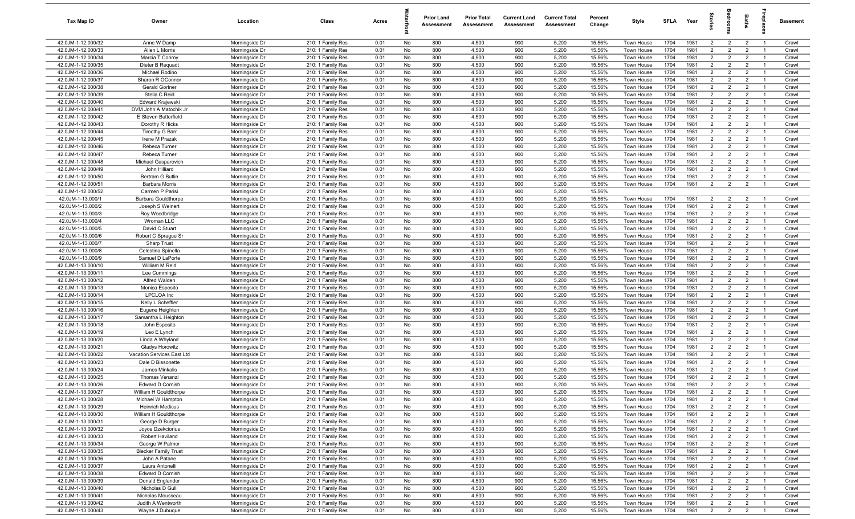| Tax Map ID                               | Owner                                  | Location                         | Class                                  | Acres        |          | <b>Prior Land</b><br>Assessment | <b>Prior Total</b><br>Assessment | <b>Current Land</b><br>Assessment | <b>Current Total</b><br>Assessment | Percent<br>Change | Style                    | SFLA         | Year         | $\frac{1}{2}$                    | ē                                | <b>Baths</b>                     | ireplace                         | Basement       |
|------------------------------------------|----------------------------------------|----------------------------------|----------------------------------------|--------------|----------|---------------------------------|----------------------------------|-----------------------------------|------------------------------------|-------------------|--------------------------|--------------|--------------|----------------------------------|----------------------------------|----------------------------------|----------------------------------|----------------|
| 42.0JM-1-12.000/32                       | Anne W Damp                            | Morningside Dr                   | 210: 1 Family Res                      | 0.01         | No       | 800                             | 4,500                            | 900                               | 5,200                              | 15.56%            | Town House               | 1704         | 1981         | $\overline{2}$                   | $\overline{2}$                   | $\overline{2}$                   | $\overline{1}$                   | Crawl          |
| 42.0JM-1-12.000/33                       | Allen L Morris                         | Morningside Dr                   | 210: 1 Family Res                      | 0.01         | No       | 800                             | 4,500                            | 900                               | 5,200                              | 15.56%            | Town House               | 1704         | 1981         | $\overline{2}$                   | $\overline{2}$                   | $\overline{2}$                   | $\overline{1}$                   | Crawl          |
| 42.0JM-1-12.000/34                       | Marcia T Conroy                        | Morningside Dr                   | 210: 1 Family Res                      | 0.01         | No       | 800                             | 4,500                            | 900                               | 5,200                              | 15.56%            | Town House               | 1704         | 1981         | 2                                | $\overline{2}$                   | $\overline{2}$                   | $\overline{1}$                   | Crawl          |
| 42.0JM-1-12.000/35                       | Dieter B Requadt                       | Morningside Dr                   | 210: 1 Family Res                      | 0.01         | No       | 800                             | 4,500                            | 900                               | 5,200                              | 15.56%            | Town House               | 1704         | 1981         | $\overline{2}$                   | $\overline{2}$                   | $\overline{2}$                   | - 1                              | Crawl          |
| 42.0JM-1-12.000/36                       | Michael Rodino                         | Morningside Dr                   | 210: 1 Family Res                      | 0.01         | No       | 800                             | 4,500                            | 900                               | 5,200                              | 15.56%            | Town House               | 1704         | 1981         | $\overline{2}$                   | $\overline{2}$                   | $\overline{2}$                   | $\overline{1}$                   | Crawl          |
| 42.0JM-1-12.000/37                       | Sharon R OConnor                       | Morningside Dr                   | 210: 1 Family Res                      | 0.01         | No       | 800                             | 4,500                            | 900                               | 5,200                              | 15.56%            | Town House               | 1704         | 1981         | $\overline{2}$                   | $\overline{2}$                   | $\overline{2}$                   |                                  | Crawl          |
| 42.0JM-1-12.000/38                       | <b>Gerald Gortner</b>                  | Morningside Dr                   | 210: 1 Family Res                      | 0.01         | No       | 800                             | 4,500                            | 900                               | 5,200                              | 15.56%            | Town House               | 1704         | 1981         | 2                                | $\overline{2}$                   | $\overline{2}$                   | $\overline{1}$                   | Crawl          |
| 42.0JM-1-12.000/39                       | Stella C Reid                          | Morningside Dr                   | 210: 1 Family Res                      | 0.01         | No       | 800                             | 4,500                            | 900                               | 5,200                              | 15.56%            | Town House               | 1704         | 1981         | $\overline{2}$                   | $\overline{2}$                   | $\overline{2}$                   | - 1                              | Crawl          |
| 42.0JM-1-12.000/40                       | Edward Krajewski                       | Morningside Dr                   | 210: 1 Family Res                      | 0.01         | No       | 800                             | 4,500                            | 900                               | 5,200                              | 15.56%            | Town House               | 1704         | 1981         | $\overline{2}$                   | $\overline{2}$                   | $\overline{2}$                   | $\overline{1}$                   | Crawl          |
| 42.0JM-1-12.000/41                       | DVM John A Matochik Jr                 | Morningside Dr                   | 210: 1 Family Res                      | 0.01         | No       | 800                             | 4,500                            | 900                               | 5,200                              | 15.56%            | Town House               | 1704         | 1981         | $\overline{2}$                   | $\overline{2}$                   | $\overline{2}$                   | $\overline{1}$                   | Crawl          |
| 42.0JM-1-12.000/42                       | E Steven Butterfield                   | Morningside Dr                   | 210: 1 Family Res                      | 0.01         | No       | 800                             | 4,500                            | 900                               | 5,200                              | 15.56%            | Town House               | 1704         | 1981         | $\overline{2}$                   | $\overline{2}$                   | $\overline{2}$                   | $\overline{1}$                   | Crawl          |
| 42.0JM-1-12.000/43                       | Dorothy R Hicks                        | Morningside Dr                   | 210: 1 Family Res                      | 0.01         | No       | 800                             | 4,500                            | 900                               | 5,200                              | 15.56%            | Town House               | 1704         | 1981         | $\overline{2}$                   | $\overline{2}$                   | $\overline{2}$                   | $\overline{1}$                   | Crawl          |
| 42.0JM-1-12.000/44                       | <b>Timothy G Barr</b>                  | Morningside Dr                   | 210: 1 Family Res                      | 0.01         | No       | 800                             | 4,500                            | 900                               | 5,200                              | 15.56%            | Town House               | 1704<br>1704 | 1981         | $\overline{2}$                   | $\overline{2}$                   | $\overline{2}$                   | $\overline{1}$                   | Crawl          |
| 42.0JM-1-12.000/45<br>42.0JM-1-12.000/46 | Irene M Prazak                         | Morningside Dr                   | 210: 1 Family Res                      | 0.01         | No<br>No | 800<br>800                      | 4,500<br>4,500                   | 900<br>900                        | 5,200<br>5,200                     | 15.56%<br>15.56%  | Town House               | 1704         | 1981<br>1981 | $\overline{2}$<br>2              | $\overline{2}$<br>$\overline{2}$ | $\overline{2}$<br>$\overline{2}$ | $\overline{1}$<br>$\overline{1}$ | Crawl<br>Crawl |
| 42.0JM-1-12.000/47                       | Rebeca Turner<br>Rebeca Turner         | Morningside Dr<br>Morningside Dr | 210: 1 Family Res<br>210: 1 Family Res | 0.01<br>0.01 | No       | 800                             | 4,500                            | 900                               | 5,200                              | 15.56%            | Town House<br>Town House | 1704         | 1981         | $\overline{2}$                   | $\overline{2}$                   | $\overline{2}$                   | $\overline{1}$                   | Crawl          |
| 42.0JM-1-12.000/48                       | Michael Gasparovich                    | Morningside Dr                   | 210: 1 Family Res                      | 0.01         | No       | 800                             | 4,500                            | 900                               | 5,200                              | 15.56%            | Town House               | 1704         | 1981         | $\overline{2}$                   | $\overline{2}$                   | $\overline{2}$                   |                                  | Crawl          |
| 42.0JM-1-12.000/49                       | John Hilliard                          | Morningside Dr                   | 210: 1 Family Res                      | 0.01         | No       | 800                             | 4,500                            | 900                               | 5,200                              | 15.56%            | Town House               | 1704         | 1981         | $\overline{2}$                   | $\overline{2}$                   | $\overline{2}$                   | $\overline{1}$                   | Crawl          |
| 42.0JM-1-12.000/50                       | Bertram G Butlin                       | Morningside Dr                   | 210: 1 Family Res                      | 0.01         | No       | 800                             | 4,500                            | 900                               | 5,200                              | 15.56%            | <b>Town House</b>        | 1704         | 1981         | $\overline{2}$                   | $\overline{2}$                   | $\overline{2}$                   |                                  | Crawl          |
| 42.0JM-1-12.000/51                       | <b>Barbara Morris</b>                  | Morningside Dr                   | 210: 1 Family Res                      | 0.01         | No       | 800                             | 4,500                            | 900                               | 5,200                              | 15.56%            | Town House               | 1704         | 1981         | $\overline{2}$                   | $\overline{2}$                   | $\overline{2}$                   | $\overline{1}$                   | Crawl          |
| 42.0JM-1-12.000/52                       | Carmen P Parisi                        | Morningside Dr                   | 210: 1 Family Res                      | 0.01         | No       | 800                             | 4,500                            | 900                               | 5,200                              | 15.56%            |                          |              |              |                                  |                                  |                                  |                                  |                |
| 42.0JM-1-13.000/1                        | <b>Barbara Gouldthorpe</b>             | Morningside Dr                   | 210: 1 Family Res                      | 0.01         | No       | 800                             | 4,500                            | 900                               | 5,200                              | 15.56%            | Town House               | 1704         | 1981         | $\overline{2}$                   | $\overline{2}$                   | $\overline{2}$                   | $\overline{1}$                   | Crawl          |
| 42.0JM-1-13.000/2                        | Joseph S Weinert                       | Morningside Dr                   | 210: 1 Family Res                      | 0.01         | No       | 800                             | 4,500                            | 900                               | 5,200                              | 15.56%            | Town House               | 1704         | 1981         | $\overline{2}$                   | $\overline{2}$                   | $\overline{2}$                   | $\overline{1}$                   | Crawl          |
| 42.0JM-1-13.000/3                        | Roy Woodbridge                         | Morningside Dr                   | 210: 1 Family Res                      | 0.01         | No       | 800                             | 4,500                            | 900                               | 5,200                              | 15.56%            | Town House               | 1704         | 1981         | 2                                | $\overline{2}$                   | $\overline{2}$                   | $\overline{1}$                   | Crawl          |
| 42.0JM-1-13.000/4                        | Wroman LLC                             | Morningside Dr                   | 210: 1 Family Res                      | 0.01         | No       | 800                             | 4,500                            | 900                               | 5,200                              | 15.56%            | Town House               | 1704         | 1981         | $\overline{2}$                   | $\overline{2}$                   | $\overline{2}$                   | $\overline{1}$                   | Crawl          |
| 42.0JM-1-13.000/5                        | David C Stuart                         | Morningside Dr                   | 210: 1 Family Res                      | 0.01         | No       | 800                             | 4,500                            | 900                               | 5,200                              | 15.56%            | Town House               | 1704         | 1981         | 2                                | $\overline{2}$                   | $\overline{2}$                   | $\overline{1}$                   | Crawl          |
| 42.0JM-1-13.000/6                        | Robert C Sprague Sr                    | Morningside Dr                   | 210: 1 Family Res                      | 0.01         | No       | 800                             | 4,500                            | 900                               | 5,200                              | 15.56%            | Town House               | 1704         | 1981         | $\overline{2}$                   | 2                                | $\overline{2}$                   | $\overline{1}$                   | Crawl          |
| 42.0JM-1-13.000/7                        | Sharp Trust                            | Morningside Dr                   | 210: 1 Family Res                      | 0.01         | No       | 800                             | 4,500                            | 900                               | 5,200                              | 15.56%            | Town House               | 1704         | 1981         | $\overline{2}$                   | $\overline{2}$                   | $\overline{2}$                   |                                  | Crawl          |
| 42.0JM-1-13.000/8                        | Celestina Spinella                     | Morningside Dr                   | 210: 1 Family Res                      | 0.01         | No       | 800                             | 4,500                            | 900                               | 5,200                              | 15.56%            | Town House               | 1704         | 1981         | $\overline{2}$                   | $\overline{2}$                   | $\overline{2}$                   | $\overline{1}$                   | Crawl          |
| 42.0JM-1-13.000/9                        | Samuel D LaPorte                       | Morningside Dr                   | 210: 1 Family Res                      | 0.01         | No       | 800                             | 4,500                            | 900                               | 5,200                              | 15.56%            | Town House               | 1704         | 1981         | $\overline{2}$                   | $\overline{2}$                   | $\overline{2}$                   | - 1                              | Crawl          |
| 42.0JM-1-13.000/10                       | William M Reid                         | Morningside Dr                   | 210: 1 Family Res                      | 0.01         | No       | 800                             | 4,500                            | 900                               | 5,200                              | 15.56%            | Town House               | 1704         | 1981         | $\overline{2}$                   | $\overline{2}$                   | $\overline{2}$                   | $\overline{1}$                   | Crawl          |
| 42.0JM-1-13.000/11                       | Lee Cummings                           | Morningside Dr                   | 210: 1 Family Res                      | 0.01         | No       | 800                             | 4,500                            | 900                               | 5,200                              | 15.56%            | Town House               | 1704         | 1981         | $\overline{2}$                   | $\overline{2}$                   | $\overline{2}$                   | -1                               | Crawl          |
| 42.0JM-1-13.000/12                       | Alfred Walden                          | Morningside Dr                   | 210: 1 Family Res                      | 0.01         | No       | 800                             | 4,500                            | 900                               | 5,200                              | 15.56%            | Town House               | 1704         | 1981         | $\overline{2}$                   | $\overline{2}$                   | $\overline{2}$                   | $\overline{1}$                   | Crawl          |
| 42.0JM-1-13.000/13                       | Monica Esposito                        | Morningside Dr                   | 210: 1 Family Res                      | 0.01         | No       | 800                             | 4,500                            | 900                               | 5,200                              | 15.56%            | Town House               | 1704         | 1981         | $\overline{2}$                   | $\overline{2}$                   | $\overline{2}$                   | $\overline{1}$                   | Crawl          |
| 42.0JM-1-13.000/14<br>42.0JM-1-13.000/15 | <b>LPCLOA</b> Inc<br>Kelly L Scheffler | Morningside Dr<br>Morningside Dr | 210: 1 Family Res<br>210: 1 Family Res | 0.01<br>0.01 | No<br>No | 800<br>800                      | 4,500<br>4,500                   | 900<br>900                        | 5,200<br>5,200                     | 15.56%<br>15.56%  | Town House<br>Town House | 1704<br>1704 | 1981<br>1981 | $\overline{2}$<br>$\overline{2}$ | $\overline{2}$<br>$\overline{2}$ | $\overline{2}$<br>$\overline{2}$ | $\overline{1}$<br>$\overline{1}$ | Crawl<br>Crawl |
| 42.0JM-1-13.000/16                       | Eugene Heighton                        | Morningside Dr                   | 210: 1 Family Res                      | 0.01         | No       | 800                             | 4,500                            | 900                               | 5,200                              | 15.56%            | Town House               | 1704         | 1981         | 2                                | $\overline{2}$                   | $\overline{2}$                   | $\overline{1}$                   | Crawl          |
| 42.0JM-1-13.000/17                       | Samantha L Heighton                    | Morningside Dr                   | 210: 1 Family Res                      | 0.01         | No       | 800                             | 4,500                            | 900                               | 5,200                              | 15.56%            | Town House               | 1704         | 1981         | $\overline{2}$                   | $\overline{2}$                   | $\overline{2}$                   | $\overline{1}$                   | Crawl          |
| 42.0JM-1-13.000/18                       | John Esposito                          | Morningside Dr                   | 210: 1 Family Res                      | 0.01         | No       | 800                             | 4,500                            | 900                               | 5,200                              | 15.56%            | Town House               | 1704         | 1981         | $\overline{2}$                   | $\overline{2}$                   | $\overline{2}$                   | $\overline{1}$                   | Crawl          |
| 42.0JM-1-13.000/19                       | Leo E Lynch                            | Morningside Dr                   | 210: 1 Family Res                      | 0.01         | No       | 800                             | 4,500                            | 900                               | 5,200                              | 15.56%            | Town House               | 1704         | 1981         | $\overline{2}$                   | 2                                | $\overline{2}$                   | $\overline{1}$                   | Crawl          |
| 42.0JM-1-13.000/20                       | Linda A Whyland                        | Morningside Dr                   | 210: 1 Family Res                      | 0.01         | No       | 800                             | 4,500                            | 900                               | 5,200                              | 15.56%            | Town House               | 1704         | 1981         | $\overline{2}$                   | $\overline{2}$                   | $\overline{2}$                   | - 1                              | Crawl          |
| 42.0JM-1-13.000/21                       | Gladys Horowitz                        | Morningside Dr                   | 210: 1 Family Res                      | 0.01         | No       | 800                             | 4,500                            | 900                               | 5,200                              | 15.56%            | Town House               | 1704         | 1981         | $\overline{2}$                   | $\overline{2}$                   | $\overline{2}$                   | $\overline{1}$                   | Crawl          |
| 42.0JM-1-13.000/22                       | Vacation Services East Ltd             | Morningside Dr                   | 210: 1 Family Res                      | 0.01         | No       | 800                             | 4,500                            | 900                               | 5,200                              | 15.56%            | Town House               | 1704         | 1981         | $\overline{2}$                   | $\overline{2}$                   | $\overline{2}$                   |                                  | Crawl          |
| 42.0JM-1-13.000/23                       | Dale D Bissonette                      | Morningside Dr                   | 210: 1 Family Res                      | 0.01         | No       | 800                             | 4,500                            | 900                               | 5,200                              | 15.56%            | Town House               | 1704         | 1981         | 2                                | $\overline{2}$                   | $\overline{2}$                   | - 1                              | Crawl          |
| 42.0JM-1-13.000/24                       | James Minkalis                         | Morningside Dr                   | 210: 1 Family Res                      | 0.01         | No       | 800                             | 4,500                            | 900                               | 5,200                              | 15.56%            | Town House               | 1704         | 1981         | $\overline{2}$                   | $\overline{2}$                   | $\overline{2}$                   |                                  | Crawl          |
| 42.0JM-1-13.000/25                       | <b>Thomas Venanzi</b>                  | Morningside Dr                   | 210: 1 Family Res                      | 0.01         | No       | 800                             | 4,500                            | 900                               | 5,200                              | 15.56%            | Town House               | 1704         | 1981         | $\overline{2}$                   | $\overline{2}$                   | $\overline{2}$                   | $\overline{1}$                   | Crawl          |
| 42.0JM-1-13.000/26                       | Edward D Cornish                       | Morningside Dr                   | 210: 1 Family Res                      | 0.01         | No       | 800                             | 4,500                            | 900                               | 5,200                              | 15.56%            | Town House               | 1704         | 1981         | $\overline{2}$                   | $\mathcal{P}$                    | $\overline{2}$                   |                                  | Crawl          |
| 42.0JM-1-13.000/27                       | William H Gouldthorpe                  | Morningside Dr                   | 210: 1 Family Res                      | 0.01         | No       | 800                             | 4,500                            | 900                               | 5,200                              | 15.56%            | Town House               | 1704         | 1981         | $\overline{2}$                   | $\overline{2}$                   | $\overline{2}$                   | $\overline{1}$                   | Crawl          |
| 42.0JM-1-13.000/28                       | Michael W Hampton                      | Morningside Dr                   | 210: 1 Family Res                      | 0.01         | No       | 800                             | 4,500                            | 900                               | 5,200                              | 15.56%            | Town House               | 1704         | 1981         | $\overline{2}$                   | $\overline{2}$                   | $\overline{2}$                   | $\overline{1}$                   | Crawl          |
| 42.0JM-1-13.000/29                       | <b>Heinrich Medicus</b>                | Morningside Dr                   | 210: 1 Family Res                      | 0.01         | No       | 800                             | 4,500                            | 900                               | 5,200                              | 15.56%            | Town House               | 1704         | 1981         | $\overline{2}$                   | $\overline{2}$                   | $\overline{2}$                   | $\overline{1}$                   | Crawl          |
| 42.0JM-1-13.000/30                       | William H Gouldthorpe                  | Morningside Dr                   | 210: 1 Family Res                      | 0.01         | No       | 800                             | 4,500                            | 900                               | 5,200                              | 15.56%            | Town House               | 1704         | 1981         | $\overline{2}$                   | $\overline{2}$                   | $\overline{2}$                   | $\overline{1}$                   | Crawl          |
| 42.0JM-1-13.000/31<br>42.0JM-1-13.000/32 | George D Burger                        | Morningside Dr<br>Morningside Dr | 210: 1 Family Res<br>210: 1 Family Res | 0.01<br>0.01 | No<br>No | 800<br>800                      | 4,500<br>4,500                   | 900<br>900                        | 5,200<br>5,200                     | 15.56%<br>15.56%  | Town House<br>Town House | 1704         | 1981<br>1981 | $\overline{2}$<br>$\overline{2}$ | $\overline{2}$<br>$\overline{2}$ | $\overline{2}$<br>$\overline{2}$ | $\overline{1}$<br>$\overline{1}$ | Crawl          |
| 42.0JM-1-13.000/33                       | Joyce Dzekciorius                      |                                  |                                        |              |          |                                 |                                  |                                   |                                    |                   |                          | 1704         |              |                                  |                                  |                                  |                                  | Crawl          |
| 42.0JM-1-13.000/34                       | Robert Haviland<br>George W Palmer     | Morningside Dr<br>Morningside Dr | 210: 1 Family Res<br>210: 1 Family Res | 0.01<br>0.01 | No<br>No | 800<br>800                      | 4,500<br>4,500                   | 900<br>900                        | 5,200<br>5,200                     | 15.56%<br>15.56%  | Town House<br>Town House | 1704<br>1704 | 1981<br>1981 | $\overline{2}$<br>$\overline{2}$ | $\overline{2}$<br>$\overline{2}$ | $\overline{2}$<br>$\overline{2}$ | $\overline{1}$<br>$\overline{1}$ | Crawl<br>Crawl |
| 42.0JM-1-13.000/35                       | <b>Blecker Family Trust</b>            | Morningside Dr                   | 210: 1 Family Res                      | 0.01         | No       | 800                             | 4,500                            | 900                               | 5,200                              | 15.56%            | Town House               | 1704         | 1981         | $\overline{2}$                   | $\overline{2}$                   | $\overline{2}$                   |                                  | Crawl          |
| 42.0JM-1-13.000/36                       | John A Patane                          | Morningside Dr                   | 210: 1 Family Res                      | 0.01         | No       | 800                             | 4,500                            | 900                               | 5,200                              | 15.56%            | Town House               | 1704         | 1981         | $2^{\circ}$                      | $\overline{2}$                   | $\overline{2}$                   | $\overline{1}$                   | Crawl          |
| 42.0JM-1-13.000/37                       | Laura Antonelli                        | Morningside Dr                   | 210: 1 Family Res                      | 0.01         | No       | 800                             | 4,500                            | 900                               | 5,200                              | 15.56%            | Town House               | 1704         | 1981         | $\overline{2}$                   | $\overline{2}$                   | $\overline{2}$                   | $\overline{1}$                   | Crawl          |
| 42.0JM-1-13.000/38                       | Edward D Cornish                       | Morningside Dr                   | 210: 1 Family Res                      | 0.01         | No       | 800                             | 4,500                            | 900                               | 5,200                              | 15.56%            | Town House               | 1704         | 1981         | $\overline{2}$                   | $\overline{2}$                   | $\overline{2}$                   | $\overline{1}$                   | Crawl          |
| 42.0JM-1-13.000/39                       | Donald Englander                       | Morningside Dr                   | 210: 1 Family Res                      | 0.01         | No       | 800                             | 4,500                            | 900                               | 5,200                              | 15.56%            | Town House               | 1704         | 1981         | $\overline{2}$                   | $\overline{2}$                   | $\overline{2}$                   | $\overline{1}$                   | Crawl          |
| 42.0JM-1-13.000/40                       | Nicholas D Gulli                       | Morningside Dr                   | 210: 1 Family Res                      | 0.01         | No       | 800                             | 4,500                            | 900                               | 5,200                              | 15.56%            | Town House               | 1704         | 1981         | $\overline{2}$                   | $\overline{2}$                   | $\overline{2}$                   | $\overline{1}$                   | Crawl          |
| 42.0JM-1-13.000/41                       | Nicholas Mousseau                      | Morningside Dr                   | 210: 1 Family Res                      | 0.01         | No       | 800                             | 4,500                            | 900                               | 5,200                              | 15.56%            | Town House               | 1704         | 1981         | $\overline{2}$                   | $\overline{2}$                   | $\overline{2}$                   | $\overline{1}$                   | Crawl          |
| 42.0JM-1-13.000/42                       | Judith A Wentworth                     | Morningside Dr                   | 210: 1 Family Res                      | 0.01         | No       | 800                             | 4,500                            | 900                               | 5,200                              | 15.56%            | Town House               | 1704         | 1981         | $\overline{2}$                   | $\overline{2}$                   | $\overline{2}$                   | $\overline{1}$                   | Crawl          |
| 42.0JM-1-13.000/43                       | Wayne J Dubuque                        | Morningside Dr                   | 210: 1 Family Res                      | 0.01         | No       | 800                             | 4,500                            | 900                               | 5,200                              | 15.56%            | Town House               | 1704         | 1981         | $\overline{2}$                   | $\overline{2}$                   | $\overline{2}$                   | $\overline{1}$                   | Crawl          |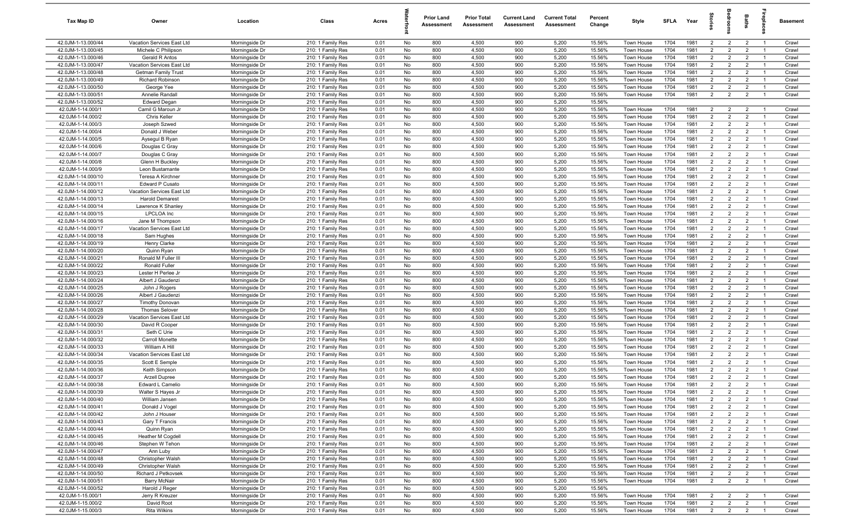| Tax Map ID                               | Owner                                                | Location                         | Class                                  | Acres        |          | <b>Prior Land</b><br>Assessment | <b>Prior Total</b><br>Assessment | <b>Current Land</b><br>Assessment | <b>Current Total</b><br>Assessment | Percent<br>Change | Style                    | <b>SFLA</b>  | Year         | $\vec{S}$                        | š                                | Baths                            | rebia                            | Basement       |
|------------------------------------------|------------------------------------------------------|----------------------------------|----------------------------------------|--------------|----------|---------------------------------|----------------------------------|-----------------------------------|------------------------------------|-------------------|--------------------------|--------------|--------------|----------------------------------|----------------------------------|----------------------------------|----------------------------------|----------------|
| 42.0JM-1-13.000/44                       | Vacation Services East Ltd                           | Morningside Dr                   | 210: 1 Family Res                      | 0.01         | No       | 800                             | 4,500                            | 900                               | 5,200                              | 15.56%            | Town House               | 1704         | 1981         | $\overline{2}$                   | $\overline{2}$                   | $\overline{2}$                   | $\overline{1}$                   | Crawl          |
| 42.0JM-1-13.000/45                       | Michele C Philipson                                  | Morningside Dr                   | 210: 1 Family Res                      | 0.01         | No       | 800                             | 4,500                            | 900                               | 5,200                              | 15.56%            | Town House               | 1704         | 1981         | $\overline{2}$                   | $\overline{2}$                   | $\overline{2}$                   | - 1                              | Crawl          |
| 42.0JM-1-13.000/46                       | Gerald R Antos                                       | Morningside Dr                   | 210: 1 Family Res                      | 0.01         | No       | 800                             | 4,500                            | 900                               | 5,200                              | 15.56%            | Town House               | 1704         | 1981         | $\overline{2}$                   | $\overline{2}$                   | $\overline{2}$                   | - 1                              | Crawl          |
| 42.0JM-1-13.000/47                       | Vacation Services East Ltd                           | Morningside Dr                   | 210: 1 Family Res                      | 0.01         | No       | 800                             | 4,500                            | 900                               | 5,200                              | 15.56%            | Town House               | 1704         | 1981         | $\overline{2}$                   | $\overline{2}$                   | $\overline{2}$                   |                                  | Crawl          |
| 42.0JM-1-13.000/48                       | <b>Getman Family Trust</b>                           | Morningside Dr                   | 210: 1 Family Res                      | 0.01         | No       | 800                             | 4,500                            | 900                               | 5,200                              | 15.56%            | Town House               | 1704         | 1981         | $2^{\circ}$                      | $\overline{2}$                   | $\overline{2}$                   | $\overline{1}$                   | Crawl          |
| 42.0JM-1-13.000/49                       | Richard Robinson                                     | Morningside Dr                   | 210: 1 Family Res                      | 0.01         | No       | 800                             | 4,500                            | 900                               | 5,200                              | 15.56%            | Town House               | 1704         | 1981         | $\overline{2}$                   | $\overline{2}$                   | $\overline{2}$                   | $\overline{1}$                   | Crawl          |
| 42.0JM-1-13.000/50                       | George Yee                                           | Morningside Dr                   | 210: 1 Family Res                      | 0.01         | No       | 800                             | 4,500                            | 900                               | 5,200                              | 15.56%            | Town House               | 1704         | 1981         | $\overline{2}$                   | $\overline{2}$                   | $\overline{2}$                   | $\overline{1}$                   | Crawl          |
| 42.0JM-1-13.000/51                       | Annelie Randall                                      | Morningside Dr                   | 210: 1 Family Res                      | 0.01         | No       | 800                             | 4,500                            | 900                               | 5,200                              | 15.56%            | Town House               | 1704         | 1981         | $\overline{2}$                   | $\overline{2}$                   | $\overline{2}$                   | $\overline{1}$                   | Crawl          |
| 42.0JM-1-13.000/52                       | <b>Edward Degan</b>                                  | Morningside Dr                   | 210: 1 Family Res                      | 0.01         | No       | 800                             | 4,500                            | 900                               | 5,200                              | 15.56%            |                          |              |              |                                  |                                  |                                  |                                  |                |
| 42.0JM-1-14.000/1                        | Camil G Maroun Jr                                    | Morningside Dr                   | 210: 1 Family Res                      | 0.01         | No       | 800                             | 4,500                            | 900                               | 5,200                              | 15.56%            | Town House               | 1704         | 1981         | $\overline{2}$                   | $\overline{2}$                   | $\overline{2}$                   | $\overline{1}$                   | Crawl          |
| 42.0JM-1-14.000/2                        | <b>Chris Keller</b>                                  | Morningside Dr                   | 210: 1 Family Res                      | 0.01         | No       | 800                             | 4,500                            | 900                               | 5,200                              | 15.56%            | Town House               | 1704         | 1981         | $\overline{2}$                   | $\overline{2}$                   | $\overline{2}$                   | $\overline{1}$                   | Crawl          |
| 42.0JM-1-14.000/3                        | Joseph Szwed                                         | Morningside Dr                   | 210: 1 Family Res                      | 0.01         | No       | 800                             | 4,500                            | 900                               | 5,200                              | 15.56%            | Town House               | 1704         | 1981         | $\overline{2}$                   | $\overline{2}$                   | $\overline{2}$                   | $\overline{1}$                   | Crawl          |
| 42.0JM-1-14.000/4                        | Donald J Weber                                       | Morningside Dr                   | 210: 1 Family Res                      | 0.01         | No       | 800                             | 4,500                            | 900                               | 5,200                              | 15.56%            | Town House               | 1704         | 1981         | $\overline{2}$                   | $\overline{2}$                   | $\overline{2}$                   | $\overline{1}$                   | Crawl          |
| 42.0JM-1-14.000/5                        | Aysegul B Ryan                                       | Morningside Dr                   | 210: 1 Family Res                      | 0.01         | No       | 800                             | 4,500                            | 900                               | 5,200                              | 15.56%            | Town House               | 1704         | 1981         | $\overline{2}$                   | $\overline{2}$                   | $\overline{2}$                   | $\overline{1}$                   | Crawl          |
| 42.0JM-1-14.000/6                        | Douglas C Gray                                       | Morningside Dr                   | 210: 1 Family Res                      | 0.01         | No       | 800                             | 4,500                            | 900                               | 5,200                              | 15.56%            | Town House               | 1704         | 1981         | $\overline{2}$                   | $\overline{2}$                   | $\overline{2}$                   | - 1                              | Crawl          |
| 42.0JM-1-14.000/7                        | Douglas C Gray                                       | Morningside Dr                   | 210: 1 Family Res                      | 0.01         | No       | 800                             | 4,500                            | 900                               | 5,200                              | 15.56%            | Town House               | 1704         | 1981         | $\overline{2}$                   | $\overline{2}$                   | $\overline{2}$                   | $\overline{1}$                   | Crawl          |
| 42.0JM-1-14.000/8                        | Glenn H Buckley                                      | Morningside Dr                   | 210: 1 Family Res                      | 0.01         | No       | 800                             | 4,500                            | 900                               | 5,200                              | 15.56%            | Town House               | 1704         | 1981         | $\overline{2}$                   | $\overline{2}$                   | $\overline{2}$                   |                                  | Crawl          |
| 42.0JM-1-14.000/9<br>42.0JM-1-14.000/10  | Leon Bustamante                                      | Morningside Dr                   | 210: 1 Family Res                      | 0.01         | No       | 800                             | 4,500                            | 900                               | 5,200                              | 15.56%            | Town House               | 1704         | 1981         | $2^{\circ}$<br>$\overline{2}$    | $\overline{2}$<br>$\overline{2}$ | $\overline{2}$<br>$\overline{2}$ | $\overline{1}$<br>- 1            | Crawl          |
| 42.0JM-1-14.000/11                       | Teresa A Kirchner<br>Edward P Cusato                 | Morningside Dr                   | 210: 1 Family Res                      | 0.01<br>0.01 | No<br>No | 800<br>800                      | 4,500<br>4,500                   | 900<br>900                        | 5,200<br>5,200                     | 15.56%<br>15.56%  | <b>Town House</b>        | 1704<br>1704 | 1981<br>1981 | $\overline{2}$                   | $\overline{2}$                   | $\overline{2}$                   | $\overline{1}$                   | Crawl<br>Crawl |
| 42.0JM-1-14.000/12                       |                                                      | Morningside Dr                   | 210: 1 Family Res<br>210: 1 Family Res |              | No       | 800                             |                                  | 900                               | 5,200                              |                   | Town House               | 1704         | 1981         | $\overline{2}$                   | $\overline{2}$                   | $\overline{2}$                   | $\overline{1}$                   | Crawl          |
| 42.0JM-1-14.000/13                       | Vacation Services East Ltd<br><b>Harold Demarest</b> | Morningside Dr<br>Morningside Dr | 210: 1 Family Res                      | 0.01<br>0.01 | No       | 800                             | 4,500<br>4,500                   | 900                               | 5,200                              | 15.56%<br>15.56%  | Town House<br>Town House | 1704         | 1981         | $\overline{2}$                   | $\overline{2}$                   | $\overline{2}$                   | $\overline{1}$                   | Crawl          |
| 42.0JM-1-14.000/14                       | Lawrence K Shanley                                   | Morningside Dr                   | 210: 1 Family Res                      | 0.01         | No       | 800                             | 4,500                            | 900                               | 5,200                              | 15.56%            | Town House               | 1704         | 1981         | $\overline{2}$                   | $\overline{2}$                   | $\overline{2}$                   | $\overline{1}$                   | Crawl          |
| 42.0JM-1-14.000/15                       | <b>LPCLOA</b> Inc                                    | Morningside Dr                   | 210: 1 Family Res                      | 0.01         | No       | 800                             | 4,500                            | 900                               | 5,200                              | 15.56%            | Town House               | 1704         | 1981         | $\overline{2}$                   | $\overline{2}$                   | $\overline{2}$                   | $\overline{1}$                   | Crawl          |
| 42.0JM-1-14.000/16                       | Jane M Thompson                                      | Morningside Dr                   | 210: 1 Family Res                      | 0.01         | No       | 800                             | 4,500                            | 900                               | 5,200                              | 15.56%            | Town House               | 1704         | 1981         | $\overline{2}$                   | 2                                | $\overline{2}$                   | $\overline{1}$                   | Crawl          |
| 42.0JM-1-14.000/17                       | Vacation Services East Ltd                           | Morningside Dr                   | 210: 1 Family Res                      | 0.01         | No       | 800                             | 4,500                            | 900                               | 5,200                              | 15.56%            | Town House               | 1704         | 1981         | 2                                | 2                                | $\overline{2}$                   | $\overline{1}$                   | Crawl          |
| 42.0JM-1-14.000/18                       | Sam Hughes                                           | Morningside Dr                   | 210: 1 Family Res                      | 0.01         | No       | 800                             | 4,500                            | 900                               | 5,200                              | 15.56%            | Town House               | 1704         | 1981         | $\overline{2}$                   | $\overline{2}$                   | $\overline{2}$                   | $\overline{1}$                   | Crawl          |
| 42.0JM-1-14.000/19                       | Henry Clarke                                         | Morningside Dr                   | 210: 1 Family Res                      | 0.01         | No       | 800                             | 4,500                            | 900                               | 5,200                              | 15.56%            | Town House               | 1704         | 1981         | $\overline{2}$                   | $\overline{2}$                   | $\overline{2}$                   |                                  | Crawl          |
| 42.0JM-1-14.000/20                       | Quinn Ryan                                           | Morningside Dr                   | 210: 1 Family Res                      | 0.01         | No       | 800                             | 4,500                            | 900                               | 5,200                              | 15.56%            | Town House               | 1704         | 1981         | $2^{\circ}$                      | $\overline{2}$                   | $\overline{2}$                   | $\overline{1}$                   | Crawl          |
| 42.0JM-1-14.000/21                       | Ronald M Fuller III                                  | Morningside Dr                   | 210: 1 Family Res                      | 0.01         | No       | 800                             | 4,500                            | 900                               | 5,200                              | 15.56%            | Town House               | 1704         | 1981         | $\overline{2}$                   | $\overline{2}$                   | $\overline{2}$                   |                                  | Crawl          |
| 42.0JM-1-14.000/22                       | Ronald Fuller                                        | Morningside Dr                   | 210: 1 Family Res                      | 0.01         | No       | 800                             | 4,500                            | 900                               | 5,200                              | 15.56%            | Town House               | 1704         | 1981         | $\overline{2}$                   | $\overline{2}$                   | $\overline{2}$                   | $\overline{1}$                   | Crawl          |
| 42.0JM-1-14.000/23                       | Lester H Perlee Jr                                   | Morningside Dr                   | 210: 1 Family Res                      | 0.01         | No       | 800                             | 4,500                            | 900                               | 5,200                              | 15.56%            | Town House               | 1704         | 1981         | $\overline{2}$                   | $\overline{2}$                   | $\overline{2}$                   | $\overline{1}$                   | Crawl          |
| 42.0JM-1-14.000/24                       | Albert J Gaudenzi                                    | Morningside Dr                   | 210: 1 Family Res                      | 0.01         | No       | 800                             | 4,500                            | 900                               | 5,200                              | 15.56%            | Town House               | 1704         | 1981         | $\overline{2}$                   | $\overline{2}$                   | $\overline{2}$                   | $\overline{1}$                   | Crawl          |
| 42.0JM-1-14.000/25                       | John J Rogers                                        | Morningside Dr                   | 210: 1 Family Res                      | 0.01         | No       | 800                             | 4,500                            | 900                               | 5,200                              | 15.56%            | Town House               | 1704         | 1981         | $\overline{2}$                   | $\overline{2}$                   | $\overline{2}$                   | $\overline{1}$                   | Crawl          |
| 42.0JM-1-14.000/26                       | Albert J Gaudenzi                                    | Morningside Dr                   | 210: 1 Family Res                      | 0.01         | No       | 800                             | 4,500                            | 900                               | 5,200                              | 15.56%            | Town House               | 1704         | 1981         | $\overline{2}$                   | $\overline{2}$                   | $\overline{2}$                   | $\overline{1}$                   | Crawl          |
| 42.0JM-1-14.000/27                       | <b>Timothy Donovan</b>                               | Morningside Dr                   | 210: 1 Family Res                      | 0.01         | No       | 800                             | 4,500                            | 900                               | 5,200                              | 15.56%            | Town House               | 1704         | 1981         | $\overline{2}$                   | $\overline{2}$                   | $\overline{2}$                   | $\overline{1}$                   | Crawl          |
| 42.0JM-1-14.000/28                       | <b>Thomas Selover</b>                                | Morningside Dr                   | 210: 1 Family Res                      | 0.01         | No       | 800                             | 4,500                            | 900                               | 5,200                              | 15.56%            | Town House               | 1704         | 1981         | $\overline{2}$                   | $\overline{2}$                   | $\overline{2}$                   | $\overline{1}$                   | Crawl          |
| 42.0JM-1-14.000/29                       | Vacation Services East Ltd                           | Morningside Dr                   | 210: 1 Family Res                      | 0.01         | No       | 800                             | 4,500                            | 900                               | 5,200                              | 15.56%            | Town House               | 1704         | 1981         | $\overline{2}$                   | 2                                | $\overline{2}$                   | $\overline{1}$                   | Crawl          |
| 42.0JM-1-14.000/30                       | David R Cooper                                       | Morningside Dr                   | 210: 1 Family Res                      | 0.01         | No       | 800                             | 4,500                            | 900                               | 5,200                              | 15.56%            | Town House               | 1704         | 1981         | $\overline{2}$                   | $\overline{2}$                   | $\overline{2}$                   | -1                               | Crawl          |
| 42.0JM-1-14.000/31                       | Seth C Urie                                          | Morningside Dr                   | 210: 1 Family Res                      | 0.01         | No       | 800                             | 4,500                            | 900                               | 5,200                              | 15.56%            | Town House               | 1704         | 1981         | $\overline{2}$                   | $\overline{2}$                   | $\overline{2}$                   | $\overline{1}$                   | Crawl          |
| 42.0JM-1-14.000/32                       | <b>Carroll Monette</b>                               | Morningside Dr                   | 210: 1 Family Res                      | 0.01         | No       | 800                             | 4,500                            | 900                               | 5,200                              | 15.56%            | Town House               | 1704         | 1981         | $\overline{2}$                   | $\overline{2}$                   | $\overline{2}$                   | -1                               | Crawl          |
| 42.0JM-1-14.000/33                       | William A Hill                                       | Morningside Dr                   | 210: 1 Family Res                      | 0.01         | No       | 800                             | 4,500                            | 900                               | 5,200                              | 15.56%            | Town House               | 1704         | 1981         | $2^{\circ}$                      | $\overline{2}$                   | $\overline{2}$                   | $\overline{1}$                   | Crawl          |
| 42.0JM-1-14.000/34                       | Vacation Services East Ltd                           | Morningside Dr                   | 210: 1 Family Res                      | 0.01         | No       | 800                             | 4,500                            | 900                               | 5,200                              | 15.56%            | Town House               | 1704         | 1981         | $\overline{2}$                   | $\overline{2}$                   | $\overline{2}$                   | -1                               | Crawl          |
| 42.0JM-1-14.000/35                       | Scott E Semple                                       | Morningside Dr                   | 210: 1 Family Res                      | 0.01         | No       | 800                             | 4,500                            | 900                               | 5,200                              | 15.56%            | Town House               | 1704         | 1981         | $\overline{2}$                   | $\overline{2}$                   | $\overline{2}$                   | $\overline{1}$                   | Crawl          |
| 42.0JM-1-14.000/36                       | Keith Simpson                                        | Morningside Dr                   | 210: 1 Family Res                      | 0.01         | No       | 800                             | 4,500                            | 900                               | 5,200                              | 15.56%            | Town House               | 1704         | 1981         | $\overline{2}$                   | $\overline{2}$                   | $\overline{2}$                   |                                  | Crawl          |
| 42.0JM-1-14.000/37                       | <b>Arzell Dupree</b>                                 | Morningside Dr                   | 210: 1 Family Res                      | 0.01         | No       | 800                             | 4,500                            | 900                               | 5,200                              | 15.56%            | Town House               | 1704         | 1981         | $\overline{2}$                   | $\overline{2}$                   | $\overline{2}$                   | $\overline{1}$                   | Crawl          |
| 42.0JM-1-14.000/38                       | Edward L Camelio                                     | Morningside Dr                   | 210: 1 Family Res                      | 0.01         | No       | 800                             | 4,500                            | 900                               | 5,200                              | 15.56%            | Town House               | 1704         | 1981         | 2                                | $\overline{2}$                   | $\overline{2}$                   |                                  | Crawl          |
| 42.0JM-1-14.000/39                       | Walter S Hayes Jr                                    | Morningside Dr                   | 210: 1 Family Res                      | 0.01         | No       | 800                             | 4,500                            | 900                               | 5,200                              | 15.56%            | Town House               | 1704         | 1981         | $\overline{2}$                   | $\overline{2}$                   | $\overline{2}$                   | $\overline{1}$                   | Crawl          |
| 42.0JM-1-14.000/40                       | William Jansen                                       | Morningside Dr                   | 210: 1 Family Res                      | 0.01         | No       | 800                             | 4,500                            | 900                               | 5,200                              | 15.56%            | Town House               | 1704         | 1981         | $\overline{2}$                   | $\overline{2}$                   | $\overline{2}$                   | $\overline{1}$                   | Crawl          |
| 42.0JM-1-14.000/41                       | Donald J Vogel                                       | Morningside Dr                   | 210: 1 Family Res                      | 0.01         | No       | 800                             | 4,500                            | 900                               | 5,200                              | 15.56%            | Town House               | 1704         | 1981         | $\overline{2}$                   | $\overline{2}$                   | $\overline{2}$                   | $\overline{1}$                   | Crawl          |
| 42.0JM-1-14.000/42                       | John J Houser                                        | Morningside Dr                   | 210: 1 Family Res                      | 0.01         | No       | 800                             | 4,500                            | 900                               | 5,200                              | 15.56%            | Town House               | 1704         | 1981         | $\overline{2}$                   | $\overline{2}$                   | $\overline{2}$                   | $\overline{1}$                   | Crawl          |
| 42.0JM-1-14.000/43                       | Gary T Francis                                       | Morningside Dr                   | 210: 1 Family Res                      | 0.01         | No       | 800                             | 4,500                            | 900                               | 5,200                              | 15.56%            | Town House               | 1704         | 1981         | $\overline{2}$                   | $\overline{2}$                   | $\overline{2}$                   | - 1                              | Crawl          |
| 42.0JM-1-14.000/44                       | Quinn Ryan                                           | Morningside Dr                   | 210: 1 Family Res                      | 0.01         | No       | 800                             | 4,500                            | 900                               | 5,200                              | 15.56%            | Town House               | 1704         | 1981         | $\overline{2}$                   | $\overline{2}$                   | $\overline{2}$                   | $\overline{1}$                   | Crawl          |
| 42.0JM-1-14.000/45                       | <b>Heather M Cogdell</b>                             | Morningside Dr                   | 210: 1 Family Res                      | 0.01         | No       | 800                             | 4,500                            | 900                               | 5,200                              | 15.56%            | Town House               | 1704         | 1981         | $\overline{2}$                   | $\overline{2}$                   | $\overline{2}$                   |                                  | Crawl          |
| 42.0JM-1-14.000/46                       | Stephen W Tehon                                      | Morningside Dr                   | 210: 1 Family Res                      | 0.01         | No       | 800                             | 4,500                            | 900                               | 5,200                              | 15.56%            | Town House               | 1704         | 1981         | $\overline{2}$                   | $\overline{2}$                   | $\overline{2}$                   | - 1                              | Crawl          |
| 42.0JM-1-14.000/47                       | Ann Luby                                             | Morningside Dr                   | 210: 1 Family Res                      | 0.01         | No       | 800                             | 4,500                            | 900                               | 5,200                              | 15.56%            | Town House               | 1704         | 1981         | $\overline{2}$                   | $\overline{2}$                   | $\overline{2}$                   | $\overline{1}$                   | Crawl          |
| 42.0JM-1-14.000/48<br>42.0JM-1-14.000/49 | Christopher Walsh                                    | Morningside Dr                   | 210: 1 Family Res                      | 0.01         | No       | 800                             | 4,500                            | 900                               | 5,200                              | 15.56%            | Town House               | 1704         | 1981         | $\overline{2}$                   | $\overline{2}$                   | $\overline{2}$                   | $\overline{1}$                   | Crawl          |
|                                          | Christopher Walsh                                    | Morningside Dr                   | 210: 1 Family Res                      | 0.01         | No       | 800<br>800                      | 4,500<br>4,500                   | 900<br>900                        | 5,200<br>5,200                     | 15.56%<br>15.56%  | Town House               | 1704         | 1981         | $\overline{2}$<br>$\overline{2}$ | $\overline{2}$                   | $\overline{2}$                   | $\overline{1}$                   | Crawl<br>Crawl |
| 42.0JM-1-14.000/50<br>42.0JM-1-14.000/51 | Richard J Petkovsek<br><b>Barry McNair</b>           | Morningside Dr<br>Morningside Dr | 210: 1 Family Res<br>210: 1 Family Res | 0.01<br>0.01 | No<br>No | 800                             | 4,500                            | 900                               | 5,200                              | 15.56%            | Town House<br>Town House | 1704<br>1704 | 1981<br>1981 | 2                                | $\overline{2}$<br>$\overline{2}$ | $\overline{2}$<br>$\overline{2}$ | $\overline{1}$<br>$\overline{1}$ | Crawl          |
| 42.0JM-1-14.000/52                       | Harold J Reger                                       | Morningside Dr                   | 210: 1 Family Res                      | 0.01         | No       | 800                             | 4,500                            | 900                               | 5,200                              | 15.56%            |                          |              |              |                                  |                                  |                                  |                                  |                |
| 42.0JM-1-15.000/1                        | Jerry R Kreuzer                                      | Morningside Dr                   | 210: 1 Family Res                      | 0.01         | No       | 800                             | 4,500                            | 900                               | 5,200                              | 15.56%            | Town House               | 1704         | 1981         | $\overline{2}$                   | $\overline{2}$                   | $\overline{2}$                   | $\overline{1}$                   | Crawl          |
| 42.0JM-1-15.000/2                        | David Root                                           | Morningside Dr                   | 210: 1 Family Res                      | 0.01         | No       | 800                             | 4,500                            | 900                               | 5,200                              | 15.56%            | Town House               | 1704         | 1981         | 2                                | $\overline{2}$                   | $\overline{2}$                   | $\overline{1}$                   | Crawl          |
| 42.0JM-1-15.000/3                        | <b>Rita Wilkins</b>                                  | Morningside Dr                   | 210: 1 Family Res                      | 0.01         | No       | 800                             | 4,500                            | 900                               | 5,200                              | 15.56%            | Town House               | 1704         | 1981         | $\overline{2}$                   | $\overline{2}$                   | $\overline{2}$                   | $\overline{1}$                   | Crawl          |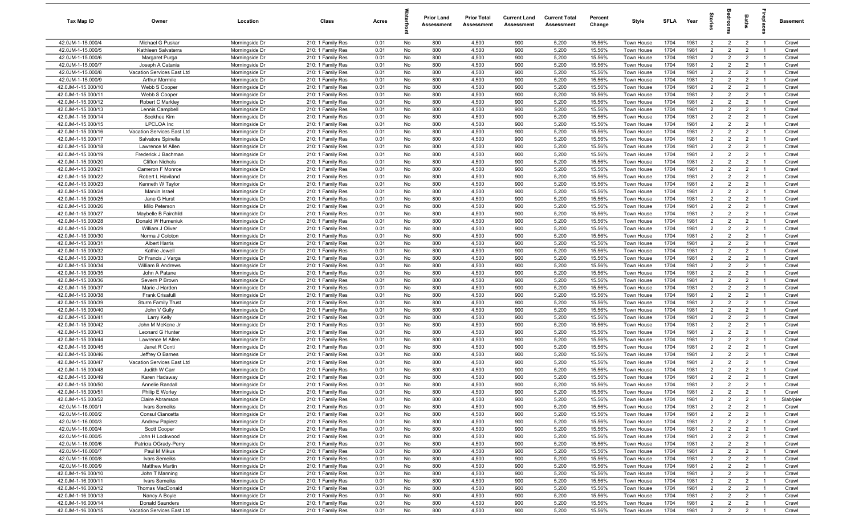| Tax Map ID                               | Owner                                   | Location                         | Class                                  | Acres        |          | <b>Prior Land</b><br>Assessment | <b>Prior Total</b><br>Assessment | <b>Current Land</b><br>Assessment | <b>Current Total</b><br>Assessment | Percent<br>Change | Style                    | SFLA         | Year         | $\vec{e}$                        | ā                                | <b>Baths</b>                     | ireplace                         | Basement       |
|------------------------------------------|-----------------------------------------|----------------------------------|----------------------------------------|--------------|----------|---------------------------------|----------------------------------|-----------------------------------|------------------------------------|-------------------|--------------------------|--------------|--------------|----------------------------------|----------------------------------|----------------------------------|----------------------------------|----------------|
| 42.0JM-1-15.000/4                        | Michael G Puskar                        | Morningside Dr                   | 210: 1 Family Res                      | 0.01         | No       | 800                             | 4,500                            | 900                               | 5,200                              | 15.56%            | Town House               | 1704         | 1981         | $\overline{2}$                   | $\overline{2}$                   | $\overline{2}$                   | $\overline{1}$                   | Crawl          |
| 42.0JM-1-15.000/5                        | Kathleen Salvaterra                     | Morningside Dr                   | 210: 1 Family Res                      | 0.01         | No       | 800                             | 4,500                            | 900                               | 5,200                              | 15.56%            | Town House               | 1704         | 1981         | $\overline{2}$                   | $\overline{2}$                   | $\overline{2}$                   | $\overline{1}$                   | Crawl          |
| 42.0JM-1-15.000/6                        | Margaret Purga                          | Morningside Dr                   | 210: 1 Family Res                      | 0.01         | No       | 800                             | 4,500                            | 900                               | 5,200                              | 15.56%            | Town House               | 1704         | 1981         | $\overline{2}$                   | $\overline{2}$                   | $\overline{2}$                   | $\overline{1}$                   | Crawl          |
| 42.0JM-1-15.000/7                        | Joseph A Catania                        | Morningside Dr                   | 210: 1 Family Res                      | 0.01         | No       | 800                             | 4,500                            | 900                               | 5,200                              | 15.56%            | Town House               | 1704         | 1981         | $\overline{2}$                   | $\overline{2}$                   | $\overline{2}$                   | -1                               | Crawl          |
| 42.0JM-1-15.000/8                        | Vacation Services East Ltd              | Morningside Dr                   | 210: 1 Family Res                      | 0.01         | No       | 800                             | 4,500                            | 900                               | 5,200                              | 15.56%            | Town House               | 1704         | 1981         | $\overline{2}$                   | $\overline{2}$                   | $\overline{2}$                   | $\overline{1}$                   | Crawl          |
| 42.0JM-1-15.000/9                        | <b>Arthur Mormile</b>                   | Morningside Dr                   | 210: 1 Family Res                      | 0.01         | No       | 800                             | 4,500                            | 900                               | 5,200                              | 15.56%            | Town House               | 1704         | 1981         | $\overline{2}$                   | $\overline{2}$                   | $\overline{2}$                   |                                  | Crawl          |
| 42.0JM-1-15.000/10                       | Webb S Cooper                           | Morningside Dr                   | 210: 1 Family Res                      | 0.01         | No       | 800                             | 4,500                            | 900                               | 5,200                              | 15.56%            | Town House               | 1704         | 1981         | 2                                | $\overline{2}$                   | $\overline{2}$                   | $\overline{1}$                   | Crawl          |
| 42.0JM-1-15.000/11                       | Webb S Cooper                           | Morningside Dr                   | 210: 1 Family Res                      | 0.01         | No       | 800                             | 4,500                            | 900                               | 5,200                              | 15.56%            | <b>Town House</b>        | 1704         | 1981         | $\overline{2}$                   | $\overline{2}$                   | $\overline{2}$                   | -1                               | Crawl          |
| 42.0JM-1-15.000/12                       | Robert C Markley                        | Morningside Dr                   | 210: 1 Family Res                      | 0.01         | No       | 800                             | 4,500                            | 900                               | 5,200                              | 15.56%            | Town House               | 1704         | 1981         | $\overline{2}$                   | $\overline{2}$                   | $\overline{2}$                   | $\overline{1}$                   | Crawl          |
| 42.0JM-1-15.000/13                       | Lennis Campbell                         | Morningside Dr                   | 210: 1 Family Res                      | 0.01         | No       | 800                             | 4,500                            | 900                               | 5,200                              | 15.56%            | Town House               | 1704         | 1981         | $\overline{2}$                   | $\overline{2}$                   | $\overline{2}$                   | $\overline{1}$                   | Crawl          |
| 42.0JM-1-15.000/14                       | Sookhee Kim                             | Morningside Dr                   | 210: 1 Family Res                      | 0.01         | No       | 800                             | 4,500                            | 900                               | 5,200                              | 15.56%            | Town House               | 1704         | 1981         | $\overline{2}$                   | $\overline{2}$                   | $\overline{2}$                   | $\overline{1}$                   | Crawl          |
| 42.0JM-1-15.000/15                       | <b>LPCLOA</b> Inc                       | Morningside Dr                   | 210: 1 Family Res                      | 0.01         | No       | 800                             | 4,500                            | 900                               | 5,200                              | 15.56%            | Town House               | 1704         | 1981         | $\overline{2}$                   | $\overline{2}$                   | $\overline{2}$                   | $\overline{1}$                   | Crawl          |
| 42.0JM-1-15.000/16                       | Vacation Services East Ltd              | Morningside Dr                   | 210: 1 Family Res                      | 0.01         | No       | 800                             | 4,500                            | 900                               | 5,200                              | 15.56%            | Town House               | 1704         | 1981         | $\overline{2}$                   | $\overline{2}$                   | $\overline{2}$                   | $\overline{1}$                   | Crawl          |
| 42.0JM-1-15.000/17                       | Salvatore Spinella                      | Morningside Dr                   | 210: 1 Family Res                      | 0.01         | No       | 800<br>800                      | 4,500<br>4,500                   | 900<br>900                        | 5,200<br>5,200                     | 15.56%<br>15.56%  | Town House               | 1704<br>1704 | 1981<br>1981 | $\overline{2}$<br>2              | $\overline{2}$<br>$\overline{2}$ | $\overline{2}$                   | $\overline{1}$                   | Crawl          |
| 42.0JM-1-15.000/18<br>42.0JM-1-15.000/19 | Lawrence M Allen<br>Frederick J Bachman | Morningside Dr<br>Morningside Dr | 210: 1 Family Res<br>210: 1 Family Res | 0.01<br>0.01 | No<br>No | 800                             | 4,500                            | 900                               | 5,200                              | 15.56%            | Town House<br>Town House | 1704         | 1981         | $\overline{2}$                   | $\overline{2}$                   | $\overline{2}$<br>$\overline{2}$ | $\overline{1}$<br>$\overline{1}$ | Crawl<br>Crawl |
| 42.0JM-1-15.000/20                       | <b>Clifton Nichols</b>                  | Morningside Dr                   | 210: 1 Family Res                      | 0.01         | No       | 800                             | 4,500                            | 900                               | 5,200                              | 15.56%            | Town House               | 1704         | 1981         | $\overline{2}$                   | $\overline{2}$                   | $\overline{2}$                   |                                  | Crawl          |
| 42.0JM-1-15.000/21                       | Cameron F Monroe                        | Morningside Dr                   | 210: 1 Family Res                      | 0.01         | No       | 800                             | 4,500                            | 900                               | 5,200                              | 15.56%            | Town House               | 1704         | 1981         | $\overline{2}$                   | $\overline{2}$                   | $\overline{2}$                   | $\overline{1}$                   | Crawl          |
| 42.0JM-1-15.000/22                       | Robert L Haviland                       | Morningside Dr                   | 210: 1 Family Res                      | 0.01         | No       | 800                             | 4,500                            | 900                               | 5,200                              | 15.56%            | Town House               | 1704         | 1981         | $\overline{2}$                   | $\overline{2}$                   | $\overline{2}$                   |                                  | Crawl          |
| 42.0JM-1-15.000/23                       | Kenneth W Taylor                        | Morningside Dr                   | 210: 1 Family Res                      | 0.01         | No       | 800                             | 4,500                            | 900                               | 5,200                              | 15.56%            | Town House               | 1704         | 1981         | $\overline{2}$                   | $\overline{2}$                   | $\overline{2}$                   | $\overline{1}$                   | Crawl          |
| 42.0JM-1-15.000/24                       | Marvin Israel                           | Morningside Dr                   | 210: 1 Family Res                      | 0.01         | No       | 800                             | 4,500                            | 900                               | 5,200                              | 15.56%            | Town House               | 1704         | 1981         | $\overline{2}$                   | $\overline{2}$                   | $\overline{2}$                   | $\overline{1}$                   | Crawl          |
| 42.0JM-1-15.000/25                       | Jane G Hurst                            | Morningside Dr                   | 210: 1 Family Res                      | 0.01         | No       | 800                             | 4,500                            | 900                               | 5,200                              | 15.56%            | Town House               | 1704         | 1981         | $\overline{2}$                   | $\overline{2}$                   | $\overline{2}$                   | $\overline{1}$                   | Crawl          |
| 42.0JM-1-15.000/26                       | Milo Peterson                           | Morningside Dr                   | 210: 1 Family Res                      | 0.01         | No       | 800                             | 4,500                            | 900                               | 5,200                              | 15.56%            | Town House               | 1704         | 1981         | $\overline{2}$                   | $\overline{2}$                   | $\overline{2}$                   | $\overline{1}$                   | Crawl          |
| 42.0JM-1-15.000/27                       | Maybelle B Fairchild                    | Morningside Dr                   | 210: 1 Family Res                      | 0.01         | No       | 800                             | 4,500                            | 900                               | 5,200                              | 15.56%            | Town House               | 1704         | 1981         | $\overline{2}$                   | $\overline{2}$                   | $\overline{2}$                   | $\overline{1}$                   | Crawl          |
| 42.0JM-1-15.000/28                       | Donald W Humeniuk                       | Morningside Dr                   | 210: 1 Family Res                      | 0.01         | No       | 800                             | 4,500                            | 900                               | 5,200                              | 15.56%            | Town House               | 1704         | 1981         | $\overline{2}$                   | $\overline{2}$                   | $\overline{2}$                   | $\overline{1}$                   | Crawl          |
| 42.0JM-1-15.000/29                       | William J Oliver                        | Morningside Dr                   | 210: 1 Family Res                      | 0.01         | No       | 800                             | 4,500                            | 900                               | 5,200                              | 15.56%            | Town House               | 1704         | 1981         | $\overline{2}$                   | $\overline{2}$                   | $\overline{2}$                   | $\overline{1}$                   | Crawl          |
| 42.0JM-1-15.000/30                       | Norma J Coloton                         | Morningside Dr                   | 210: 1 Family Res                      | 0.01         | No       | 800                             | 4,500                            | 900                               | 5,200                              | 15.56%            | Town House               | 1704         | 1981         | $\overline{2}$                   | 2                                | $\overline{2}$                   | $\overline{1}$                   | Crawl          |
| 42.0JM-1-15.000/31                       | <b>Albert Harris</b>                    | Morningside Dr                   | 210: 1 Family Res                      | 0.01         | No       | 800                             | 4,500                            | 900                               | 5,200                              | 15.56%            | Town House               | 1704         | 1981         | $\overline{2}$                   | $\overline{2}$                   | $\overline{2}$                   | -1                               | Crawl          |
| 42.0JM-1-15.000/32                       | Kathie Jewell                           | Morningside Dr                   | 210: 1 Family Res                      | 0.01         | No       | 800                             | 4,500                            | 900                               | 5,200                              | 15.56%            | Town House               | 1704         | 1981         | $\overline{2}$                   | $\overline{2}$                   | $\overline{2}$                   | $\overline{1}$                   | Crawl          |
| 42.0JM-1-15.000/33                       | Dr Francis J Varga                      | Morningside Dr                   | 210: 1 Family Res                      | 0.01         | No       | 800                             | 4,500                            | 900                               | 5,200                              | 15.56%            | Town House               | 1704         | 1981         | $\overline{2}$                   | $\overline{2}$                   | $\overline{2}$                   | -1                               | Crawl          |
| 42.0JM-1-15.000/34                       | <b>William B Andrews</b>                | Morningside Dr                   | 210: 1 Family Res                      | 0.01         | No       | 800                             | 4,500                            | 900                               | 5,200                              | 15.56%            | Town House               | 1704         | 1981         | $2^{\circ}$                      | $\overline{2}$                   | $\overline{2}$                   | $\overline{1}$                   | Crawl          |
| 42.0JM-1-15.000/35                       | John A Patane                           | Morningside Dr                   | 210: 1 Family Res                      | 0.01         | No       | 800                             | 4,500                            | 900                               | 5,200                              | 15.56%            | Town House               | 1704         | 1981         | 2                                | $\overline{2}$                   | $\overline{2}$                   | $\overline{1}$                   | Crawl          |
| 42.0JM-1-15.000/36                       | Severn P Brown                          | Morningside Dr                   | 210: 1 Family Res                      | 0.01         | No       | 800                             | 4,500                            | 900                               | 5,200                              | 15.56%            | Town House               | 1704         | 1981         | $\overline{2}$                   | $\overline{2}$                   | $\overline{2}$                   | $\overline{1}$                   | Crawl          |
| 42.0JM-1-15.000/37                       | Marie J Harden                          | Morningside Dr                   | 210: 1 Family Res                      | 0.01         | No       | 800                             | 4,500                            | 900                               | 5,200                              | 15.56%            | Town House               | 1704         | 1981         | $\overline{2}$                   | $\overline{2}$                   | $\overline{2}$                   | $\overline{1}$                   | Crawl          |
| 42.0JM-1-15.000/38                       | Frank Crisafulli                        | Morningside Dr                   | 210: 1 Family Res                      | 0.01         | No       | 800                             | 4,500                            | 900                               | 5,200                              | 15.56%            | Town House               | 1704         | 1981         | $\overline{2}$                   | $\overline{2}$                   | $\overline{2}$                   | $\overline{1}$                   | Crawl          |
| 42.0JM-1-15.000/39                       | <b>Sturm Family Trust</b>               | Morningside Dr                   | 210: 1 Family Res                      | 0.01         | No       | 800                             | 4,500                            | 900                               | 5,200                              | 15.56%            | Town House               | 1704         | 1981         | $\overline{2}$                   | $\overline{2}$                   | $\overline{2}$                   | $\overline{1}$<br>$\overline{1}$ | Crawl          |
| 42.0JM-1-15.000/40                       | John V Gully                            | Morningside Dr                   | 210: 1 Family Res                      | 0.01         | No       | 800                             | 4,500                            | 900<br>900                        | 5,200                              | 15.56%            | Town House               | 1704<br>1704 | 1981<br>1981 | $\overline{2}$                   | $\overline{2}$                   | $\overline{2}$<br>$\overline{2}$ | $\overline{1}$                   | Crawl          |
| 42.0JM-1-15.000/41<br>42.0JM-1-15.000/42 | Larry Kelly<br>John M McKone Jr         | Morningside Dr<br>Morningside Dr | 210: 1 Family Res<br>210: 1 Family Res | 0.01<br>0.01 | No<br>No | 800<br>800                      | 4,500<br>4,500                   | 900                               | 5,200<br>5,200                     | 15.56%<br>15.56%  | Town House<br>Town House | 1704         | 1981         | $\overline{2}$<br>$\overline{2}$ | $\overline{2}$<br>$\overline{2}$ | $\overline{2}$                   | $\overline{1}$                   | Crawl<br>Crawl |
| 42.0JM-1-15.000/43                       | Leonard G Hunter                        | Morningside Dr                   | 210: 1 Family Res                      | 0.01         | No       | 800                             | 4,500                            | 900                               | 5,200                              | 15.56%            | Town House               | 1704         | 1981         | $\overline{2}$                   | 2                                | $\overline{2}$                   | $\overline{1}$                   | Crawl          |
| 42.0JM-1-15.000/44                       | Lawrence M Allen                        | Morningside Dr                   | 210: 1 Family Res                      | 0.01         | No       | 800                             | 4,500                            | 900                               | 5,200                              | 15.56%            | Town House               | 1704         | 1981         | $\overline{2}$                   | $\overline{2}$                   | $\overline{2}$                   | - 1                              | Crawl          |
| 42.0JM-1-15.000/45                       | Janet R Conti                           | Morningside Dr                   | 210: 1 Family Res                      | 0.01         | No       | 800                             | 4,500                            | 900                               | 5,200                              | 15.56%            | Town House               | 1704         | 1981         | $\overline{2}$                   | $\overline{2}$                   | $\overline{2}$                   | $\overline{1}$                   | Crawl          |
| 42.0JM-1-15.000/46                       | Jeffrey O Barnes                        | Morningside Dr                   | 210: 1 Family Res                      | 0.01         | No       | 800                             | 4,500                            | 900                               | 5,200                              | 15.56%            | Town House               | 1704         | 1981         | $\overline{2}$                   | $\overline{2}$                   | $\overline{2}$                   |                                  | Crawl          |
| 42.0JM-1-15.000/47                       | Vacation Services East Ltd              | Morningside Dr                   | 210: 1 Family Res                      | 0.01         | No       | 800                             | 4,500                            | 900                               | 5,200                              | 15.56%            | Town House               | 1704         | 1981         | 2                                | $\overline{2}$                   | $\overline{2}$                   | - 1                              | Crawl          |
| 42.0JM-1-15.000/48                       | Judith W Carr                           | Morningside Dr                   | 210: 1 Family Res                      | 0.01         | No       | 800                             | 4,500                            | 900                               | 5,200                              | 15.56%            | Town House               | 1704         | 1981         | $\overline{2}$                   | 2                                | $\overline{2}$                   |                                  | Crawl          |
| 42.0JM-1-15.000/49                       | Karen Hadaway                           | Morningside Dr                   | 210: 1 Family Res                      | 0.01         | No       | 800                             | 4,500                            | 900                               | 5,200                              | 15.56%            | Town House               | 1704         | 1981         | $\overline{2}$                   | $\overline{2}$                   | $\overline{2}$                   | $\overline{1}$                   | Crawl          |
| 42.0JM-1-15.000/50                       | Annelie Randall                         | Morningside Dr                   | 210: 1 Family Res                      | 0.01         | No       | 800                             | 4,500                            | 900                               | 5,200                              | 15.56%            | Town House               | 1704         | 1981         | $\overline{2}$                   | 2                                | $\overline{2}$                   |                                  | Crawl          |
| 42.0JM-1-15.000/51                       | Philip E Worley                         | Morningside Dr                   | 210: 1 Family Res                      | 0.01         | No       | 800                             | 4,500                            | 900                               | 5,200                              | 15.56%            | Town House               | 1704         | 1981         | $\overline{2}$                   | $\overline{2}$                   | $\overline{2}$                   | $\overline{1}$                   | Crawl          |
| 42.0JM-1-15.000/52                       | Claire Abramson                         | Morningside Dr                   | 210: 1 Family Res                      | 0.01         | No       | 800                             | 4,500                            | 900                               | 5,200                              | 15.56%            | Town House               | 1704         | 1981         | $\overline{2}$                   | $\overline{2}$                   | $\overline{2}$                   | $\overline{1}$                   | Slab/pier      |
| 42.0JM-1-16.000/1                        | Ivars Semeiks                           | Morningside Dr                   | 210: 1 Family Res                      | 0.01         | No       | 800                             | 4,500                            | 900                               | 5,200                              | 15.56%            | Town House               | 1704         | 1981         | $\overline{2}$                   | $\overline{2}$                   | $\overline{2}$                   | $\overline{1}$                   | Crawl          |
| 42.0JM-1-16.000/2                        | Consul Ciancetta                        | Morningside Dr                   | 210: 1 Family Res                      | 0.01         | No       | 800                             | 4,500                            | 900                               | 5,200                              | 15.56%            | Town House               | 1704         | 1981         | $\overline{2}$                   | $\overline{2}$                   | $\overline{2}$                   | $\overline{1}$                   | Crawl          |
| 42.0JM-1-16.000/3                        | <b>Andrew Papierz</b>                   | Morningside Dr                   | 210: 1 Family Res                      | 0.01         | No       | 800                             | 4,500                            | 900                               | 5,200                              | 15.56%            | Town House               | 1704         | 1981         | $\overline{2}$                   | $\overline{2}$                   | $\overline{2}$                   | $\overline{1}$                   | Crawl          |
| 42.0JM-1-16.000/4                        | Scott Cooper                            | Morningside Dr                   | 210: 1 Family Res                      | 0.01         | No       | 800                             | 4,500                            | 900                               | 5,200                              | 15.56%            | Town House               | 1704         | 1981         | $\overline{2}$                   | $\overline{2}$                   | $\overline{2}$                   | $\overline{1}$                   | Crawl          |
| 42.0JM-1-16.000/5                        | John H Lockwood                         | Morningside Dr                   | 210: 1 Family Res                      | 0.01         | No       | 800                             | 4,500                            | 900                               | 5,200                              | 15.56%            | Town House               | 1704         | 1981         | $\overline{2}$                   | $\overline{2}$                   | $\overline{2}$                   | $\overline{1}$                   | Crawl          |
| 42.0JM-1-16.000/6                        | Patricia OGrady-Perry                   | Morningside Dr                   | 210: 1 Family Res                      | 0.01         | No       | 800                             | 4,500                            | 900                               | 5,200                              | 15.56%            | Town House               | 1704         | 1981         | $\overline{2}$                   | $\overline{2}$                   | $\overline{2}$                   | $\overline{1}$                   | Crawl          |
| 42.0JM-1-16.000/7                        | Paul M Mikus                            | Morningside Dr                   | 210: 1 Family Res                      | 0.01         | No       | 800                             | 4,500                            | 900                               | 5,200                              | 15.56%            | Town House               | 1704         | 1981         | $\overline{2}$                   | $\overline{2}$                   | $\overline{2}$                   |                                  | Crawl          |
| 42.0JM-1-16.000/8                        | Ivars Semeiks                           | Morningside Dr                   | 210: 1 Family Res                      | 0.01         | No       | 800                             | 4,500                            | 900                               | 5,200                              | 15.56%            | Town House               | 1704         | 1981         | $\overline{2}$                   | $\overline{2}$                   | $\overline{2}$                   | $\overline{1}$                   | Crawl          |
| 42.0JM-1-16.000/9                        | <b>Matthew Martin</b>                   | Morningside Dr                   | 210: 1 Family Res                      | 0.01         | No       | 800                             | 4,500                            | 900                               | 5,200                              | 15.56%            | Town House               | 1704         | 1981         | $\overline{2}$                   | $\overline{2}$                   | $\overline{2}$                   | $\overline{1}$                   | Crawl          |
| 42.0JM-1-16.000/10<br>42.0JM-1-16.000/11 | John T Manning<br>Ivars Semeiks         | Morningside Dr<br>Morningside Dr | 210: 1 Family Res<br>210: 1 Family Res | 0.01<br>0.01 | No<br>No | 800<br>800                      | 4,500<br>4,500                   | 900<br>900                        | 5,200<br>5,200                     | 15.56%<br>15.56%  | Town House<br>Town House | 1704<br>1704 | 1981<br>1981 | $\overline{2}$<br>$\overline{2}$ | $\overline{2}$<br>$\overline{2}$ | $\overline{2}$<br>$\overline{2}$ | $\overline{1}$<br>$\overline{1}$ | Crawl<br>Crawl |
| 42.0JM-1-16.000/12                       | Thomas MacDonald                        | Morningside Dr                   | 210: 1 Family Res                      | 0.01         | No       | 800                             | 4,500                            | 900                               | 5,200                              | 15.56%            | Town House               | 1704         | 1981         | $\overline{2}$                   | $\overline{2}$                   | $\overline{2}$                   | $\overline{1}$                   | Crawl          |
| 42.0JM-1-16.000/13                       | Nancy A Boyle                           | Morningside Dr                   | 210: 1 Family Res                      | 0.01         | No       | 800                             | 4,500                            | 900                               | 5,200                              | 15.56%            | Town House               | 1704         | 1981         | $\overline{2}$                   | $\overline{2}$                   | $\overline{2}$                   | $\overline{1}$                   | Crawl          |
| 42.0JM-1-16.000/14                       | Donald Saunders                         | Morningside Dr                   | 210: 1 Family Res                      | 0.01         | No       | 800                             | 4,500                            | 900                               | 5,200                              | 15.56%            | Town House               | 1704         | 1981         | $\overline{2}$                   | $\overline{2}$                   | $\overline{2}$                   | $\overline{1}$                   | Crawl          |
| 42.0JM-1-16.000/15                       | Vacation Services East Ltd              | Morningside Dr                   | 210: 1 Family Res                      | 0.01         | No       | 800                             | 4,500                            | 900                               | 5,200                              | 15.56%            | Town House               | 1704         | 1981         | $\overline{2}$                   | $\overline{2}$                   | $\overline{2}$                   | $\overline{1}$                   | Crawl          |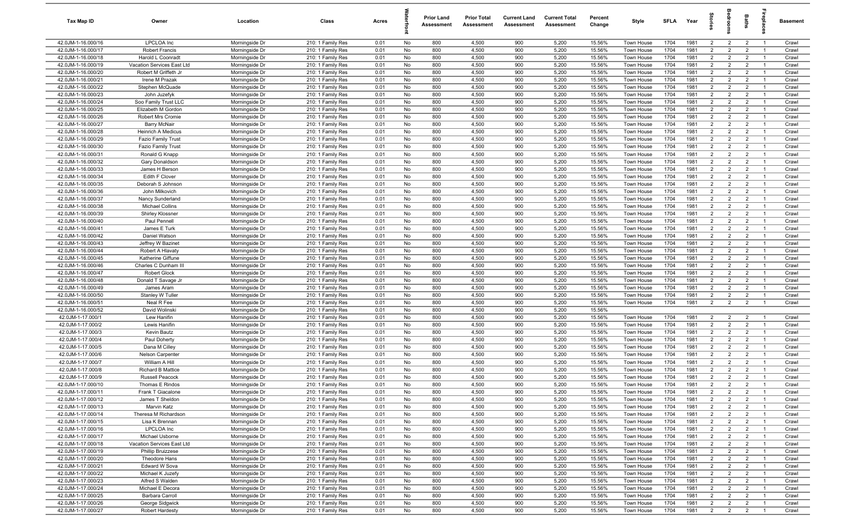| Tax Map ID                               | Owner                                    | Location                         | Class                                  | Acres        |          | <b>Prior Land</b><br>Assessment | <b>Prior Total</b><br>Assessment | <b>Current Land</b><br>Assessment | <b>Current Total</b><br>Assessment | Percent<br>Change | Style                    | SFLA         | Year         | $\vec{e}$                        | ā                                | <b>Baths</b>                     | ireplace                         | Basement       |
|------------------------------------------|------------------------------------------|----------------------------------|----------------------------------------|--------------|----------|---------------------------------|----------------------------------|-----------------------------------|------------------------------------|-------------------|--------------------------|--------------|--------------|----------------------------------|----------------------------------|----------------------------------|----------------------------------|----------------|
| 42.0JM-1-16.000/16                       | LPCLOA Inc                               | Morningside Dr                   | 210: 1 Family Res                      | 0.01         | No       | 800                             | 4,500                            | 900                               | 5,200                              | 15.56%            | Town House               | 1704         | 1981         | $\overline{2}$                   | $\overline{2}$                   | $\overline{2}$                   | $\overline{1}$                   | Crawl          |
| 42.0JM-1-16.000/17                       | <b>Robert Francis</b>                    | Morningside Dr                   | 210: 1 Family Res                      | 0.01         | No       | 800                             | 4,500                            | 900                               | 5,200                              | 15.56%            | Town House               | 1704         | 1981         | 2                                | 2                                | $\overline{2}$                   | $\overline{1}$                   | Crawl          |
| 42.0JM-1-16.000/18                       | Harold L Coonradt                        | Morningside Dr                   | 210: 1 Family Res                      | 0.01         | No       | 800                             | 4,500                            | 900                               | 5,200                              | 15.56%            | Town House               | 1704         | 1981         | $\overline{2}$                   | $\overline{2}$                   | $\overline{2}$                   | $\overline{1}$                   | Crawl          |
| 42.0JM-1-16.000/19                       | Vacation Services East Ltd               | Morningside Dr                   | 210: 1 Family Res                      | 0.01         | No       | 800                             | 4,500                            | 900                               | 5,200                              | 15.56%            | Town House               | 1704         | 1981         | $\overline{2}$                   | $\overline{2}$                   | $\overline{2}$                   | -1                               | Crawl          |
| 42.0JM-1-16.000/20                       | Robert M Griffeth Jr                     | Morningside Dr                   | 210: 1 Family Res                      | 0.01         | No       | 800                             | 4,500                            | 900                               | 5,200                              | 15.56%            | Town House               | 1704         | 1981         | $\overline{2}$                   | $\overline{2}$                   | $\overline{2}$                   | $\overline{1}$                   | Crawl          |
| 42.0JM-1-16.000/21                       | Irene M Prazak                           | Morningside Dr                   | 210: 1 Family Res                      | 0.01         | No       | 800                             | 4,500                            | 900                               | 5,200                              | 15.56%            | Town House               | 1704         | 1981         | $\overline{2}$                   | $\overline{2}$                   | $\overline{2}$                   |                                  | Crawl          |
| 42.0JM-1-16.000/22                       | Stephen McQuade                          | Morningside Dr                   | 210: 1 Family Res                      | 0.01         | No       | 800                             | 4,500                            | 900                               | 5,200                              | 15.56%            | Town House               | 1704         | 1981         | 2                                | $\overline{2}$                   | $\overline{2}$                   | $\overline{1}$                   | Crawl          |
| 42.0JM-1-16.000/23                       | John Juzefyk                             | Morningside Dr                   | 210: 1 Family Res                      | 0.01         | No       | 800                             | 4,500                            | 900                               | 5,200                              | 15.56%            | <b>Town House</b>        | 1704         | 1981         | $\overline{2}$                   | $\overline{2}$                   | $\overline{2}$                   | -1                               | Crawl          |
| 42.0JM-1-16.000/24                       | Soo Family Trust LLC                     | Morningside Dr                   | 210: 1 Family Res                      | 0.01         | No       | 800                             | 4,500                            | 900                               | 5,200                              | 15.56%            | Town House               | 1704         | 1981         | $\overline{2}$                   | $\overline{2}$                   | $\overline{2}$                   | $\overline{1}$                   | Crawl          |
| 42.0JM-1-16.000/25                       | Elizabeth M Gordon                       | Morningside Dr                   | 210: 1 Family Res                      | 0.01         | No       | 800                             | 4,500                            | 900                               | 5,200                              | 15.56%            | Town House               | 1704         | 1981         | $\overline{2}$                   | $\overline{2}$<br>$\overline{2}$ | $\overline{2}$                   | $\overline{1}$<br>$\overline{1}$ | Crawl          |
| 42.0JM-1-16.000/26<br>42.0JM-1-16.000/27 | Robert Mrs Cromie<br><b>Barry McNair</b> | Morningside Dr<br>Morningside Dr | 210: 1 Family Res<br>210: 1 Family Res | 0.01<br>0.01 | No<br>No | 800<br>800                      | 4,500<br>4,500                   | 900<br>900                        | 5,200<br>5,200                     | 15.56%<br>15.56%  | Town House<br>Town House | 1704<br>1704 | 1981<br>1981 | $\overline{2}$<br>$\overline{2}$ | $\overline{2}$                   | $\overline{2}$<br>$\overline{2}$ | $\overline{1}$                   | Crawl<br>Crawl |
| 42.0JM-1-16.000/28                       | Heinrich A Medicus                       | Morningside Dr                   | 210: 1 Family Res                      | 0.01         | No       | 800                             | 4,500                            | 900                               | 5,200                              | 15.56%            | Town House               | 1704         | 1981         | $\overline{2}$                   | $\overline{2}$                   | $\overline{2}$                   | $\overline{1}$                   | Crawl          |
| 42.0JM-1-16.000/29                       | <b>Fazio Family Trust</b>                | Morningside Dr                   | 210: 1 Family Res                      | 0.01         | No       | 800                             | 4,500                            | 900                               | 5,200                              | 15.56%            | Town House               | 1704         | 1981         | $\overline{2}$                   | $\overline{2}$                   | $\overline{2}$                   | $\overline{1}$                   | Crawl          |
| 42.0JM-1-16.000/30                       | <b>Fazio Family Trust</b>                | Morningside Dr                   | 210: 1 Family Res                      | 0.01         | No       | 800                             | 4,500                            | 900                               | 5,200                              | 15.56%            | Town House               | 1704         | 1981         | 2                                | $\overline{2}$                   | $\overline{2}$                   | $\overline{1}$                   | Crawl          |
| 42.0JM-1-16.000/31                       | Ronald G Knapp                           | Morningside Dr                   | 210: 1 Family Res                      | 0.01         | No       | 800                             | 4,500                            | 900                               | 5,200                              | 15.56%            | Town House               | 1704         | 1981         | $\overline{2}$                   | $\overline{2}$                   | $\overline{2}$                   | $\overline{1}$                   | Crawl          |
| 42.0JM-1-16.000/32                       | Gary Donaldson                           | Morningside Dr                   | 210: 1 Family Res                      | 0.01         | No       | 800                             | 4,500                            | 900                               | 5,200                              | 15.56%            | Town House               | 1704         | 1981         | $\overline{2}$                   | $\overline{2}$                   | $\overline{2}$                   |                                  | Crawl          |
| 42.0JM-1-16.000/33                       | James H Berson                           | Morningside Dr                   | 210: 1 Family Res                      | 0.01         | No       | 800                             | 4,500                            | 900                               | 5,200                              | 15.56%            | Town House               | 1704         | 1981         | $\overline{2}$                   | $\overline{2}$                   | $\overline{2}$                   | $\overline{1}$                   | Crawl          |
| 42.0JM-1-16.000/34                       | Edith F Clover                           | Morningside Dr                   | 210: 1 Family Res                      | 0.01         | No       | 800                             | 4,500                            | 900                               | 5,200                              | 15.56%            | Town House               | 1704         | 1981         | $\overline{2}$                   | $\overline{2}$                   | $\overline{2}$                   |                                  | Crawl          |
| 42.0JM-1-16.000/35                       | Deborah S Johnson                        | Morningside Dr                   | 210: 1 Family Res                      | 0.01         | No       | 800                             | 4,500                            | 900                               | 5,200                              | 15.56%            | Town House               | 1704         | 1981         | $\overline{2}$                   | $\overline{2}$                   | $\overline{2}$                   | $\overline{1}$                   | Crawl          |
| 42.0JM-1-16.000/36                       | John Milkovich                           | Morningside Dr                   | 210: 1 Family Res                      | 0.01         | No       | 800                             | 4,500                            | 900                               | 5,200                              | 15.56%            | Town House               | 1704         | 1981         | 2                                | $\overline{2}$                   | $\overline{2}$                   | $\overline{1}$                   | Crawl          |
| 42.0JM-1-16.000/37                       | Nancy Sunderland                         | Morningside Dr                   | 210: 1 Family Res                      | 0.01         | No       | 800                             | 4,500                            | 900                               | 5,200                              | 15.56%            | Town House               | 1704         | 1981         | $\overline{2}$                   | $\overline{2}$                   | $\overline{2}$                   | $\overline{1}$                   | Crawl          |
| 42.0JM-1-16.000/38                       | <b>Michael Collins</b>                   | Morningside Dr                   | 210: 1 Family Res                      | 0.01         | No       | 800                             | 4,500                            | 900                               | 5,200                              | 15.56%            | Town House               | 1704         | 1981         | $\overline{2}$                   | $\overline{2}$                   | $\overline{2}$                   | $\overline{1}$                   | Crawl          |
| 42.0JM-1-16.000/39                       | Shirley Klossner                         | Morningside Dr                   | 210: 1 Family Res                      | 0.01         | No       | 800                             | 4,500                            | 900                               | 5,200                              | 15.56%            | Town House               | 1704         | 1981         | $\overline{2}$                   | $\overline{2}$                   | $\overline{2}$                   | $\overline{1}$                   | Crawl          |
| 42.0JM-1-16.000/40<br>42.0JM-1-16.000/41 | Paul Pennell<br>James E Turk             | Morningside Dr<br>Morningside Dr | 210: 1 Family Res                      | 0.01<br>0.01 | No<br>No | 800<br>800                      | 4,500<br>4,500                   | 900<br>900                        | 5,200<br>5,200                     | 15.56%<br>15.56%  | Town House               | 1704<br>1704 | 1981<br>1981 | $\overline{2}$<br>$\overline{2}$ | $\overline{2}$<br>$\overline{2}$ | $\overline{2}$<br>$\overline{2}$ | $\overline{1}$<br>$\overline{1}$ | Crawl<br>Crawl |
| 42.0JM-1-16.000/42                       | Daniel Watson                            | Morningside Dr                   | 210: 1 Family Res<br>210: 1 Family Res | 0.01         | No       | 800                             | 4,500                            | 900                               | 5,200                              | 15.56%            | Town House<br>Town House | 1704         | 1981         | $\overline{2}$                   | 2                                | $\overline{2}$                   | $\overline{1}$                   | Crawl          |
| 42.0JM-1-16.000/43                       | Jeffrey W Bazinet                        | Morningside Dr                   | 210: 1 Family Res                      | 0.01         | No       | 800                             | 4,500                            | 900                               | 5,200                              | 15.56%            | Town House               | 1704         | 1981         | $\overline{2}$                   | $\overline{2}$                   | $\overline{2}$                   | -1                               | Crawl          |
| 42.0JM-1-16.000/44                       | Robert A Hlavaty                         | Morningside Dr                   | 210: 1 Family Res                      | 0.01         | No       | 800                             | 4,500                            | 900                               | 5,200                              | 15.56%            | Town House               | 1704         | 1981         | $\overline{2}$                   | $\overline{2}$                   | $\overline{2}$                   | $\overline{1}$                   | Crawl          |
| 42.0JM-1-16.000/45                       | Katherine Giffune                        | Morningside Dr                   | 210: 1 Family Res                      | 0.01         | No       | 800                             | 4,500                            | 900                               | 5,200                              | 15.56%            | Town House               | 1704         | 1981         | $\overline{2}$                   | $\overline{2}$                   | $\overline{2}$                   | -1                               | Crawl          |
| 42.0JM-1-16.000/46                       | Charles C Dunham III                     | Morningside Dr                   | 210: 1 Family Res                      | 0.01         | No       | 800                             | 4,500                            | 900                               | 5,200                              | 15.56%            | Town House               | 1704         | 1981         | $2^{\circ}$                      | $\overline{2}$                   | $\overline{2}$                   | $\overline{1}$                   | Crawl          |
| 42.0JM-1-16.000/47                       | <b>Robert Glock</b>                      | Morningside Dr                   | 210: 1 Family Res                      | 0.01         | No       | 800                             | 4,500                            | 900                               | 5,200                              | 15.56%            | Town House               | 1704         | 1981         | 2                                | $\overline{2}$                   | $\overline{2}$                   | $\overline{1}$                   | Crawl          |
| 42.0JM-1-16.000/48                       | Donald T Savage Jr                       | Morningside Dr                   | 210: 1 Family Res                      | 0.01         | No       | 800                             | 4,500                            | 900                               | 5,200                              | 15.56%            | Town House               | 1704         | 1981         | $\overline{2}$                   | $\overline{2}$                   | $\overline{2}$                   | $\overline{1}$                   | Crawl          |
| 42.0JM-1-16.000/49                       | James Aram                               | Morningside Dr                   | 210: 1 Family Res                      | 0.01         | No       | 800                             | 4,500                            | 900                               | 5,200                              | 15.56%            | Town House               | 1704         | 1981         | 2                                | $\overline{2}$                   | $\overline{2}$                   | $\overline{1}$                   | Crawl          |
| 42.0JM-1-16.000/50                       | Stanley W Tuller                         | Morningside Dr                   | 210: 1 Family Res                      | 0.01         | No       | 800                             | 4,500                            | 900                               | 5,200                              | 15.56%            | Town House               | 1704         | 1981         | $\overline{2}$                   | $\overline{2}$                   | $\overline{2}$                   | $\overline{1}$                   | Crawl          |
| 42.0JM-1-16.000/51                       | Neal R Fee                               | Morningside Dr                   | 210: 1 Family Res                      | 0.01         | No       | 800                             | 4,500                            | 900                               | 5,200                              | 15.56%            | Town House               | 1704         | 1981         | $\overline{2}$                   | $\overline{2}$                   | $\overline{2}$                   | $\overline{1}$                   | Crawl          |
| 42.0JM-1-16.000/52                       | David Wolinski                           | Morningside Dr                   | 210: 1 Family Res                      | 0.01         | No       | 800                             | 4,500                            | 900                               | 5,200                              | 15.56%            |                          |              |              |                                  |                                  |                                  |                                  |                |
| 42.0JM-1-17.000/1                        | Lew Hanifin                              | Morningside Dr                   | 210: 1 Family Res                      | 0.01         | No       | 800                             | 4,500                            | 900                               | 5,200                              | 15.56%            | Town House               | 1704<br>1704 | 1981         | $\overline{2}$                   | $\overline{2}$                   | $\overline{2}$                   | $\overline{1}$                   | Crawl          |
| 42.0JM-1-17.000/2<br>42.0JM-1-17.000/3   | Lewis Hanifin<br>Kevin Bautz             | Morningside Dr<br>Morningside Dr | 210: 1 Family Res                      | 0.01<br>0.01 | No<br>No | 800<br>800                      | 4,500<br>4,500                   | 900<br>900                        | 5,200<br>5,200                     | 15.56%<br>15.56%  | Town House<br>Town House | 1704         | 1981<br>1981 | $\overline{2}$<br>$\overline{2}$ | $\overline{2}$<br>2              | $\overline{2}$<br>$\overline{2}$ | $\overline{1}$<br>$\overline{1}$ | Crawl<br>Crawl |
| 42.0JM-1-17.000/4                        | Paul Doherty                             | Morningside Dr                   | 210: 1 Family Res<br>210: 1 Family Res | 0.01         | No       | 800                             | 4,500                            | 900                               | 5,200                              | 15.56%            | Town House               | 1704         | 1981         | $\overline{2}$                   | $\overline{2}$                   | $\overline{2}$                   | - 1                              | Crawl          |
| 42.0JM-1-17.000/5                        | Dana M Cilley                            | Morningside Dr                   | 210: 1 Family Res                      | 0.01         | No       | 800                             | 4,500                            | 900                               | 5,200                              | 15.56%            | Town House               | 1704         | 1981         | $\overline{2}$                   | $\overline{2}$                   | $\overline{2}$                   | $\overline{1}$                   | Crawl          |
| 42.0JM-1-17.000/6                        | Nelson Carpenter                         | Morningside Dr                   | 210: 1 Family Res                      | 0.01         | No       | 800                             | 4,500                            | 900                               | 5,200                              | 15.56%            | Town House               | 1704         | 1981         | $\overline{2}$                   | $\overline{2}$                   | $\overline{2}$                   |                                  | Crawl          |
| 42.0JM-1-17.000/7                        | William A Hill                           | Morningside Dr                   | 210: 1 Family Res                      | 0.01         | No       | 800                             | 4,500                            | 900                               | 5,200                              | 15.56%            | Town House               | 1704         | 1981         | 2                                | $\overline{2}$                   | $\overline{2}$                   | - 1                              | Crawl          |
| 42.0JM-1-17.000/8                        | <b>Richard B Mattice</b>                 | Morningside Dr                   | 210: 1 Family Res                      | 0.01         | No       | 800                             | 4,500                            | 900                               | 5,200                              | 15.56%            | Town House               | 1704         | 1981         | $\overline{2}$                   | 2                                | $\overline{2}$                   |                                  | Crawl          |
| 42.0JM-1-17.000/9                        | <b>Russell Peacock</b>                   | Morningside Dr                   | 210: 1 Family Res                      | 0.01         | No       | 800                             | 4,500                            | 900                               | 5,200                              | 15.56%            | Town House               | 1704         | 1981         | $\overline{2}$                   | $\overline{2}$                   | $\overline{2}$                   | $\overline{1}$                   | Crawl          |
| 42.0JM-1-17.000/10                       | Thomas E Rindos                          | Morningside Dr                   | 210: 1 Family Res                      | 0.01         | No       | 800                             | 4,500                            | 900                               | 5,200                              | 15.56%            | Town House               | 1704         | 1981         | $\overline{2}$                   | $\mathcal{P}$                    | $\overline{2}$                   |                                  | Crawl          |
| 42.0JM-1-17.000/11                       | Frank T Giacalone                        | Morningside Dr                   | 210: 1 Family Res                      | 0.01         | No       | 800                             | 4,500                            | 900                               | 5,200                              | 15.56%            | Town House               | 1704         | 1981         | $\overline{2}$                   | $\overline{2}$                   | $\overline{2}$                   | $\overline{1}$                   | Crawl          |
| 42.0JM-1-17.000/12                       | James T Sheldon                          | Morningside Dr                   | 210: 1 Family Res                      | 0.01         | No       | 800                             | 4,500                            | 900                               | 5,200                              | 15.56%            | Town House               | 1704         | 1981         | $\overline{2}$                   | $\overline{2}$                   | $\overline{2}$                   | $\overline{1}$                   | Crawl          |
| 42.0JM-1-17.000/13                       | Marvin Katz                              | Morningside Dr                   | 210: 1 Family Res                      | 0.01         | No       | 800                             | 4,500                            | 900                               | 5,200                              | 15.56%            | Town House               | 1704         | 1981         | $\overline{2}$                   | $\overline{2}$                   | $\overline{2}$                   | $\overline{1}$                   | Crawl          |
| 42.0JM-1-17.000/14                       | Theresa M Richardson<br>Lisa K Brennan   | Morningside Dr<br>Morningside Dr | 210: 1 Family Res                      | 0.01         | No       | 800                             | 4,500                            | 900                               | 5,200                              | 15.56%            | Town House               | 1704         | 1981         | $\overline{2}$                   | $\overline{2}$                   | $\overline{2}$                   | $\overline{1}$                   | Crawl          |
| 42.0JM-1-17.000/15<br>42.0JM-1-17.000/16 | LPCLOA Inc                               | Morningside Dr                   | 210: 1 Family Res<br>210: 1 Family Res | 0.01<br>0.01 | No<br>No | 800<br>800                      | 4,500<br>4,500                   | 900<br>900                        | 5,200<br>5,200                     | 15.56%<br>15.56%  | Town House<br>Town House | 1704<br>1704 | 1981<br>1981 | $\overline{2}$<br>$\overline{2}$ | $\overline{2}$<br>$\overline{2}$ | $\overline{2}$<br>$\overline{2}$ | $\overline{1}$<br>$\overline{1}$ | Crawl<br>Crawl |
| 42.0JM-1-17.000/17                       | Michael Usborne                          | Morningside Dr                   | 210: 1 Family Res                      | 0.01         | No       | 800                             | 4,500                            | 900                               | 5,200                              | 15.56%            | Town House               | 1704         | 1981         | $\overline{2}$                   | $\overline{2}$                   | $\overline{2}$                   | $\overline{1}$                   | Crawl          |
| 42.0JM-1-17.000/18                       | Vacation Services East Ltd               | Morningside Dr                   | 210: 1 Family Res                      | 0.01         | No       | 800                             | 4,500                            | 900                               | 5,200                              | 15.56%            | Town House               | 1704         | 1981         | $\overline{2}$                   | $\overline{2}$                   | $\overline{2}$                   | $\overline{1}$                   | Crawl          |
| 42.0JM-1-17.000/19                       | <b>Phillip Bruizzese</b>                 | Morningside Dr                   | 210: 1 Family Res                      | 0.01         | No       | 800                             | 4,500                            | 900                               | 5,200                              | 15.56%            | Town House               | 1704         | 1981         | $\overline{2}$                   | $\overline{2}$                   | $\overline{2}$                   |                                  | Crawl          |
| 42.0JM-1-17.000/20                       | Theodore Hans                            | Morningside Dr                   | 210: 1 Family Res                      | 0.01         | No       | 800                             | 4,500                            | 900                               | 5,200                              | 15.56%            | Town House               | 1704         | 1981         | $\overline{2}$                   | $\overline{2}$                   | $\overline{2}$                   | $\overline{1}$                   | Crawl          |
| 42.0JM-1-17.000/21                       | Edward W Sova                            | Morningside Dr                   | 210: 1 Family Res                      | 0.01         | No       | 800                             | 4,500                            | 900                               | 5,200                              | 15.56%            | Town House               | 1704         | 1981         | $\overline{2}$                   | $\overline{2}$                   | $\overline{2}$                   | $\overline{1}$                   | Crawl          |
| 42.0JM-1-17.000/22                       | Michael K Juzefy                         | Morningside Dr                   | 210: 1 Family Res                      | 0.01         | No       | 800                             | 4,500                            | 900                               | 5,200                              | 15.56%            | Town House               | 1704         | 1981         | $\overline{2}$                   | $\overline{2}$                   | $\overline{2}$                   | $\overline{1}$                   | Crawl          |
| 42.0JM-1-17.000/23                       | Alfred S Walden                          | Morningside Dr                   | 210: 1 Family Res                      | 0.01         | No       | 800                             | 4,500                            | 900                               | 5,200                              | 15.56%            | Town House               | 1704         | 1981         | $\overline{2}$                   | $\overline{2}$                   | $\overline{2}$                   | $\overline{1}$                   | Crawl          |
| 42.0JM-1-17.000/24                       | Michael E Decora                         | Morningside Dr                   | 210: 1 Family Res                      | 0.01         | No       | 800                             | 4,500                            | 900                               | 5,200                              | 15.56%            | Town House               | 1704         | 1981         | $\overline{2}$                   | $\overline{2}$                   | $\overline{2}$                   | $\overline{1}$                   | Crawl          |
| 42.0JM-1-17.000/25                       | <b>Barbara Carroll</b>                   | Morningside Dr                   | 210: 1 Family Res                      | 0.01         | No       | 800                             | 4,500                            | 900                               | 5,200                              | 15.56%            | Town House               | 1704         | 1981         | $\overline{2}$                   | $\overline{2}$                   | $\overline{2}$                   | $\overline{1}$                   | Crawl          |
| 42.0JM-1-17.000/26                       | George Sidgwick                          | Morningside Dr                   | 210: 1 Family Res                      | 0.01         | No       | 800                             | 4,500                            | 900                               | 5,200                              | 15.56%            | Town House               | 1704         | 1981         | $\overline{2}$                   | $\overline{2}$                   | $\overline{2}$                   | $\overline{1}$                   | Crawl          |
| 42.0JM-1-17.000/27                       | <b>Robert Hardesty</b>                   | Morningside Dr                   | 210: 1 Family Res                      | 0.01         | No       | 800                             | 4,500                            | 900                               | 5,200                              | 15.56%            | Town House               | 1704         | 1981         | $\overline{2}$                   | $\overline{2}$                   | $\overline{2}$                   | $\overline{1}$                   | Crawl          |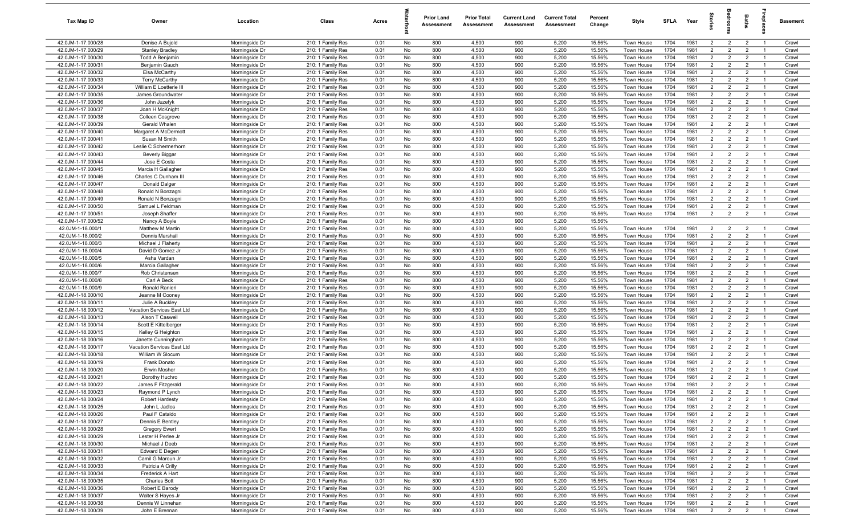| Tax Map ID                               | Owner                                   | Location                         | Class                                  | Acres        |          | <b>Prior Land</b><br>Assessment | <b>Prior Total</b><br>Assessment | <b>Current Land</b><br>Assessment | <b>Current Total</b><br>Assessment | Percent<br>Change | Style                    | SFLA         | Year         | $\frac{1}{2}$                    | ē                                | <b>Baths</b>                     | ireplace                         | Basement       |
|------------------------------------------|-----------------------------------------|----------------------------------|----------------------------------------|--------------|----------|---------------------------------|----------------------------------|-----------------------------------|------------------------------------|-------------------|--------------------------|--------------|--------------|----------------------------------|----------------------------------|----------------------------------|----------------------------------|----------------|
| 42.0JM-1-17.000/28                       | Denise A Bujold                         | Morningside Dr                   | 210: 1 Family Res                      | 0.01         | No       | 800                             | 4,500                            | 900                               | 5,200                              | 15.56%            | Town House               | 1704         | 1981         | $\overline{2}$                   | $\overline{2}$                   | $\overline{2}$                   | $\overline{1}$                   | Crawl          |
| 42.0JM-1-17.000/29                       | <b>Stanley Bradley</b>                  | Morningside Dr                   | 210: 1 Family Res                      | 0.01         | No       | 800                             | 4,500                            | 900                               | 5,200                              | 15.56%            | Town House               | 1704         | 1981         | $\overline{2}$                   | $\overline{2}$                   | $\overline{2}$                   | $\overline{1}$                   | Crawl          |
| 42.0JM-1-17.000/30                       | Todd A Benjamin                         | Morningside Dr                   | 210: 1 Family Res                      | 0.01         | No       | 800                             | 4,500                            | 900                               | 5,200                              | 15.56%            | Town House               | 1704         | 1981         | 2                                | $\overline{2}$                   | $\overline{2}$                   | $\overline{1}$                   | Crawl          |
| 42.0JM-1-17.000/31                       | Benjamin Gauch                          | Morningside Dr                   | 210: 1 Family Res                      | 0.01         | No       | 800                             | 4,500                            | 900                               | 5,200                              | 15.56%            | Town House               | 1704         | 1981         | $\overline{2}$                   | $\overline{2}$                   | $\overline{2}$                   | - 1                              | Crawl          |
| 42.0JM-1-17.000/32                       | Elsa McCarthy                           | Morningside Dr                   | 210: 1 Family Res                      | 0.01         | No       | 800                             | 4,500                            | 900                               | 5,200                              | 15.56%            | Town House               | 1704         | 1981         | $\overline{2}$                   | $\overline{2}$                   | $\overline{2}$                   | $\overline{1}$                   | Crawl          |
| 42.0JM-1-17.000/33                       | <b>Terry McCarthy</b>                   | Morningside Dr                   | 210: 1 Family Res                      | 0.01         | No       | 800                             | 4,500                            | 900                               | 5,200                              | 15.56%            | Town House               | 1704         | 1981         | $\overline{2}$                   | $\overline{2}$                   | $\overline{2}$                   |                                  | Crawl          |
| 42.0JM-1-17.000/34                       | William E Loetterle III                 | Morningside Dr                   | 210: 1 Family Res                      | 0.01         | No       | 800                             | 4,500                            | 900                               | 5,200                              | 15.56%            | <b>Town House</b>        | 1704         | 1981         | 2                                | $\overline{2}$                   | $\overline{2}$                   | $\overline{1}$                   | Crawl          |
| 42.0JM-1-17.000/35                       | James Groundwater                       | Morningside Dr                   | 210: 1 Family Res                      | 0.01         | No       | 800                             | 4,500                            | 900                               | 5,200                              | 15.56%            | Town House               | 1704         | 1981         | $\overline{2}$                   | $\overline{2}$                   | $\overline{2}$                   | - 1                              | Crawl          |
| 42.0JM-1-17.000/36                       | John Juzefyk                            | Morningside Dr                   | 210: 1 Family Res                      | 0.01         | No       | 800                             | 4,500                            | 900                               | 5,200                              | 15.56%            | Town House               | 1704         | 1981         | $\overline{2}$                   | $\overline{2}$                   | $\overline{2}$                   | $\overline{1}$                   | Crawl          |
| 42.0JM-1-17.000/37                       | Joan H McKnight                         | Morningside Dr                   | 210: 1 Family Res                      | 0.01         | No       | 800                             | 4,500                            | 900                               | 5,200                              | 15.56%            | Town House               | 1704         | 1981         | $\overline{2}$                   | $\overline{2}$                   | $\overline{2}$                   | $\overline{1}$                   | Crawl          |
| 42.0JM-1-17.000/38                       | Colleen Cosgrove                        | Morningside Dr                   | 210: 1 Family Res                      | 0.01         | No       | 800                             | 4,500                            | 900                               | 5,200                              | 15.56%            | Town House               | 1704         | 1981         | $\overline{2}$                   | $\overline{2}$                   | $\overline{2}$                   | $\overline{1}$                   | Crawl          |
| 42.0JM-1-17.000/39                       | Gerald Whalen                           | Morningside Dr                   | 210: 1 Family Res                      | 0.01         | No       | 800                             | 4,500                            | 900                               | 5,200                              | 15.56%            | Town House               | 1704         | 1981         | $\overline{2}$                   | $\overline{2}$                   | $\overline{2}$                   | $\overline{1}$                   | Crawl          |
| 42.0JM-1-17.000/40                       | Margaret A McDermott                    | Morningside Dr                   | 210: 1 Family Res                      | 0.01         | No       | 800                             | 4,500                            | 900                               | 5,200                              | 15.56%            | Town House               | 1704         | 1981         | 2                                | $\overline{2}$                   | $\overline{2}$                   | $\overline{1}$                   | Crawl          |
| 42.0JM-1-17.000/41                       | Susan M Smith                           | Morningside Dr                   | 210: 1 Family Res                      | 0.01         | No       | 800                             | 4,500                            | 900                               | 5,200                              | 15.56%            | Town House               | 1704         | 1981         | $\overline{2}$<br>2              | $\overline{2}$<br>$\overline{2}$ | $\overline{2}$                   | $\overline{1}$                   | Crawl          |
| 42.0JM-1-17.000/42                       | Leslie C Schermerhorn                   | Morningside Dr                   | 210: 1 Family Res                      | 0.01         | No       | 800                             | 4,500                            | 900                               | 5,200<br>5,200                     | 15.56%            | Town House               | 1704         | 1981<br>1981 | $\overline{2}$                   | $\overline{2}$                   | $\overline{2}$<br>$\overline{2}$ | $\overline{1}$                   | Crawl          |
| 42.0JM-1-17.000/43<br>42.0JM-1-17.000/44 | <b>Beverly Biggar</b><br>Jose E Costa   | Morningside Dr<br>Morningside Dr | 210: 1 Family Res<br>210: 1 Family Res | 0.01<br>0.01 | No<br>No | 800<br>800                      | 4,500<br>4,500                   | 900<br>900                        | 5,200                              | 15.56%<br>15.56%  | Town House<br>Town House | 1704<br>1704 | 1981         | $\overline{2}$                   | $\overline{2}$                   | $\overline{2}$                   | $\overline{1}$                   | Crawl<br>Crawl |
| 42.0JM-1-17.000/45                       | Marcia H Gallagher                      | Morningside Dr                   | 210: 1 Family Res                      | 0.01         | No       | 800                             | 4,500                            | 900                               | 5,200                              | 15.56%            | Town House               | 1704         | 1981         | $\overline{2}$                   | $\overline{2}$                   | $\overline{2}$                   | $\overline{1}$                   | Crawl          |
| 42.0JM-1-17.000/46                       | Charles C Dunham III                    | Morningside Dr                   | 210: 1 Family Res                      | 0.01         | No       | 800                             | 4,500                            | 900                               | 5,200                              | 15.56%            | Town House               | 1704         | 1981         | $\overline{2}$                   | $\overline{2}$                   | $\overline{2}$                   |                                  | Crawl          |
| 42.0JM-1-17.000/47                       | Donald Dalger                           | Morningside Dr                   | 210: 1 Family Res                      | 0.01         | No       | 800                             | 4,500                            | 900                               | 5,200                              | 15.56%            | Town House               | 1704         | 1981         | $\overline{2}$                   | $\overline{2}$                   | $\overline{2}$                   | $\overline{1}$                   | Crawl          |
| 42.0JM-1-17.000/48                       | Ronald N Bonzagni                       | Morningside Dr                   | 210: 1 Family Res                      | 0.01         | No       | 800                             | 4,500                            | 900                               | 5,200                              | 15.56%            | Town House               | 1704         | 1981         | $\overline{2}$                   | $\overline{2}$                   | $\overline{2}$                   | $\overline{1}$                   | Crawl          |
| 42.0JM-1-17.000/49                       | Ronald N Bonzagni                       | Morningside Dr                   | 210: 1 Family Res                      | 0.01         | No       | 800                             | 4,500                            | 900                               | 5,200                              | 15.56%            | Town House               | 1704         | 1981         | $\overline{2}$                   | $\overline{2}$                   | $\overline{2}$                   | $\overline{1}$                   | Crawl          |
| 42.0JM-1-17.000/50                       | Samuel L Feldman                        | Morningside Dr                   | 210: 1 Family Res                      | 0.01         | No       | 800                             | 4,500                            | 900                               | 5,200                              | 15.56%            | Town House               | 1704         | 1981         | $\overline{2}$                   | $\overline{2}$                   | $\overline{2}$                   | $\overline{1}$                   | Crawl          |
| 42.0JM-1-17.000/51                       | Joseph Shaffer                          | Morningside Dr                   | 210: 1 Family Res                      | 0.01         | No       | 800                             | 4,500                            | 900                               | 5,200                              | 15.56%            | Town House               | 1704         | 1981         | 2                                | $\overline{2}$                   | $\overline{2}$                   | $\overline{1}$                   | Crawl          |
| 42.0JM-1-17.000/52                       | Nancy A Boyle                           | Morningside Dr                   | 210: 1 Family Res                      | 0.01         | No       | 800                             | 4,500                            | 900                               | 5,200                              | 15.56%            |                          |              |              |                                  |                                  |                                  |                                  |                |
| 42.0JM-1-18.000/1                        | Matthew M Martin                        | Morningside Dr                   | 210: 1 Family Res                      | 0.01         | No       | 800                             | 4,500                            | 900                               | 5,200                              | 15.56%            | Town House               | 1704         | 1981         | 2                                | $\overline{2}$                   | $\overline{2}$                   | $\overline{1}$                   | Crawl          |
| 42.0JM-1-18.000/2                        | Dennis Marshall                         | Morningside Dr                   | 210: 1 Family Res                      | 0.01         | No       | 800                             | 4,500                            | 900                               | 5,200                              | 15.56%            | Town House               | 1704         | 1981         | $\overline{2}$                   | 2                                | $\overline{2}$                   | $\overline{1}$                   | Crawl          |
| 42.0JM-1-18.000/3                        | Michael J Flaherty                      | Morningside Dr                   | 210: 1 Family Res                      | 0.01         | No       | 800                             | 4,500                            | 900                               | 5,200                              | 15.56%            | Town House               | 1704         | 1981         | $\overline{2}$                   | $\overline{2}$                   | $\overline{2}$                   |                                  | Crawl          |
| 42.0JM-1-18.000/4                        | David D Gomez Jr                        | Morningside Dr                   | 210: 1 Family Res                      | 0.01         | No       | 800                             | 4,500                            | 900                               | 5,200                              | 15.56%            | Town House               | 1704         | 1981         | $\overline{2}$                   | $\overline{2}$                   | $\overline{2}$                   | $\overline{1}$                   | Crawl          |
| 42.0JM-1-18.000/5                        | Asha Vardan                             | Morningside Dr                   | 210: 1 Family Res                      | 0.01         | No       | 800                             | 4,500                            | 900                               | 5,200                              | 15.56%            | Town House               | 1704         | 1981         | $\overline{2}$                   | $\overline{2}$                   | $\overline{2}$                   | - 1                              | Crawl          |
| 42.0JM-1-18.000/6                        | Marcia Gallagher                        | Morningside Dr                   | 210: 1 Family Res                      | 0.01         | No       | 800                             | 4,500                            | 900                               | 5,200                              | 15.56%            | Town House               | 1704         | 1981         | $\overline{2}$                   | $\overline{2}$                   | $\overline{2}$                   | $\overline{1}$                   | Crawl          |
| 42.0JM-1-18.000/7                        | Rob Christensen                         | Morningside Dr                   | 210: 1 Family Res                      | 0.01         | No       | 800                             | 4,500                            | 900                               | 5,200                              | 15.56%            | <b>Town House</b>        | 1704         | 1981         | $\overline{2}$                   | $\overline{2}$                   | $\overline{2}$                   | -1                               | Crawl          |
| 42.0JM-1-18.000/8                        | Carl A Beck                             | Morningside Dr                   | 210: 1 Family Res                      | 0.01         | No       | 800                             | 4,500                            | 900                               | 5,200                              | 15.56%            | Town House               | 1704         | 1981         | $\overline{2}$                   | $\overline{2}$                   | $\overline{2}$                   | $\overline{1}$                   | Crawl          |
| 42.0JM-1-18.000/9                        | Ronald Ranieri                          | Morningside Dr                   | 210: 1 Family Res                      | 0.01         | No       | 800                             | 4,500                            | 900                               | 5,200                              | 15.56%            | Town House               | 1704         | 1981         | $\overline{2}$                   | $\overline{2}$                   | $\overline{2}$                   | $\overline{1}$                   | Crawl          |
| 42.0JM-1-18.000/10                       | Jeanne M Cooney                         | Morningside Dr                   | 210: 1 Family Res                      | 0.01         | No       | 800                             | 4,500                            | 900                               | 5,200                              | 15.56%            | Town House               | 1704         | 1981         | $\overline{2}$                   | $\overline{2}$                   | $\overline{2}$                   | $\overline{1}$                   | Crawl          |
| 42.0JM-1-18.000/11                       | Julie A Buckley                         | Morningside Dr                   | 210: 1 Family Res                      | 0.01         | No       | 800                             | 4,500                            | 900                               | 5,200                              | 15.56%            | Town House               | 1704         | 1981         | $\overline{2}$                   | $\overline{2}$                   | $\overline{2}$                   | $\overline{1}$                   | Crawl          |
| 42.0JM-1-18.000/12                       | Vacation Services East Ltd              | Morningside Dr                   | 210: 1 Family Res                      | 0.01         | No       | 800                             | 4,500                            | 900                               | 5,200                              | 15.56%            | Town House               | 1704         | 1981         | 2                                | $\overline{2}$                   | $\overline{2}$                   | $\overline{1}$                   | Crawl          |
| 42.0JM-1-18.000/13                       | Alson T Caswell                         | Morningside Dr                   | 210: 1 Family Res                      | 0.01         | No       | 800                             | 4,500                            | 900                               | 5,200                              | 15.56%            | Town House               | 1704         | 1981         | $\overline{2}$                   | $\overline{2}$                   | $\overline{2}$                   | $\overline{1}$                   | Crawl          |
| 42.0JM-1-18.000/14<br>42.0JM-1-18.000/15 | Scott E Kittelberger                    | Morningside Dr                   | 210: 1 Family Res                      | 0.01         | No       | 800                             | 4,500<br>4,500                   | 900<br>900                        | 5,200<br>5,200                     | 15.56%<br>15.56%  | Town House               | 1704<br>1704 | 1981<br>1981 | $\overline{2}$<br>$\overline{2}$ | $\overline{2}$<br>2              | $\overline{2}$<br>$\overline{2}$ | $\overline{1}$<br>$\overline{1}$ | Crawl          |
| 42.0JM-1-18.000/16                       | Kelley G Heighton<br>Janette Cunningham | Morningside Dr<br>Morningside Dr | 210: 1 Family Res<br>210: 1 Family Res | 0.01<br>0.01 | No<br>No | 800<br>800                      | 4,500                            | 900                               | 5,200                              | 15.56%            | Town House<br>Town House | 1704         | 1981         | $\overline{2}$                   | $\overline{2}$                   | $\overline{2}$                   | - 1                              | Crawl<br>Crawl |
| 42.0JM-1-18.000/17                       | Vacation Services East Ltd              | Morningside Dr                   | 210: 1 Family Res                      | 0.01         | No       | 800                             | 4,500                            | 900                               | 5,200                              | 15.56%            | Town House               | 1704         | 1981         | $\overline{2}$                   | $\overline{2}$                   | $\overline{2}$                   | $\overline{1}$                   | Crawl          |
| 42.0JM-1-18.000/18                       | William W Slocum                        | Morningside Dr                   | 210: 1 Family Res                      | 0.01         | No       | 800                             | 4,500                            | 900                               | 5,200                              | 15.56%            | Town House               | 1704         | 1981         | $\overline{2}$                   | $\overline{2}$                   | $\overline{2}$                   |                                  | Crawl          |
| 42.0JM-1-18.000/19                       | Frank Donato                            | Morningside Dr                   | 210: 1 Family Res                      | 0.01         | No       | 800                             | 4,500                            | 900                               | 5,200                              | 15.56%            | Town House               | 1704         | 1981         | 2                                | $\overline{2}$                   | $\overline{2}$                   | - 1                              | Crawl          |
| 42.0JM-1-18.000/20                       | Erwin Mosher                            | Morningside Dr                   | 210: 1 Family Res                      | 0.01         | No       | 800                             | 4,500                            | 900                               | 5,200                              | 15.56%            | Town House               | 1704         | 1981         | $\overline{2}$                   | 2                                | $\overline{2}$                   |                                  | Crawl          |
| 42.0JM-1-18.000/21                       | Dorothy Huchro                          | Morningside Dr                   | 210: 1 Family Res                      | 0.01         | No       | 800                             | 4,500                            | 900                               | 5,200                              | 15.56%            | Town House               | 1704         | 1981         | $\overline{2}$                   | $\overline{2}$                   | $\overline{2}$                   | $\overline{1}$                   | Crawl          |
| 42.0JM-1-18.000/22                       | James F Fitzgerald                      | Morningside Dr                   | 210: 1 Family Res                      | 0.01         | No       | 800                             | 4,500                            | 900                               | 5,200                              | 15.56%            | Town House               | 1704         | 1981         | $\overline{2}$                   | $\mathcal{P}$                    | $\overline{2}$                   |                                  | Crawl          |
| 42.0JM-1-18.000/23                       | Raymond P Lynch                         | Morningside Dr                   | 210: 1 Family Res                      | 0.01         | No       | 800                             | 4,500                            | 900                               | 5,200                              | 15.56%            | Town House               | 1704         | 1981         | $\overline{2}$                   | $\overline{2}$                   | $\overline{2}$                   | $\overline{1}$                   | Crawl          |
| 42.0JM-1-18.000/24                       | Robert Hardesty                         | Morningside Dr                   | 210: 1 Family Res                      | 0.01         | No       | 800                             | 4,500                            | 900                               | 5,200                              | 15.56%            | Town House               | 1704         | 1981         | $\overline{2}$                   | $\overline{2}$                   | $\overline{2}$                   | $\overline{1}$                   | Crawl          |
| 42.0JM-1-18.000/25                       | John L Jadlos                           | Morningside Dr                   | 210: 1 Family Res                      | 0.01         | No       | 800                             | 4,500                            | 900                               | 5,200                              | 15.56%            | Town House               | 1704         | 1981         | $\overline{2}$                   | $\overline{2}$                   | $\overline{2}$                   | $\overline{1}$                   | Crawl          |
| 42.0JM-1-18.000/26                       | Paul F Cataldo                          | Morningside Dr                   | 210: 1 Family Res                      | 0.01         | No       | 800                             | 4,500                            | 900                               | 5,200                              | 15.56%            | Town House               | 1704         | 1981         | $\overline{2}$                   | $\overline{2}$                   | $\overline{2}$                   | $\overline{1}$                   | Crawl          |
| 42.0JM-1-18.000/27                       | Dennis E Bentley                        | Morningside Dr                   | 210: 1 Family Res                      | 0.01         | No       | 800                             | 4,500                            | 900                               | 5,200                              | 15.56%            | Town House               | 1704         | 1981         | $\overline{2}$                   | $\overline{2}$                   | $\overline{2}$                   | $\overline{1}$                   | Crawl          |
| 42.0JM-1-18.000/28                       | <b>Gregory Ewert</b>                    | Morningside Dr                   | 210: 1 Family Res                      | 0.01         | No       | 800                             | 4,500                            | 900                               | 5,200                              | 15.56%            | Town House               | 1704         | 1981         | $\overline{2}$                   | $\overline{2}$                   | $\overline{2}$                   | $\overline{1}$                   | Crawl          |
| 42.0JM-1-18.000/29                       | Lester H Perlee Jr                      | Morningside Dr                   | 210: 1 Family Res                      | 0.01         | No       | 800                             | 4,500                            | 900                               | 5,200                              | 15.56%            | Town House               | 1704         | 1981         | $\overline{2}$                   | $\overline{2}$                   | $\overline{2}$                   | $\overline{1}$                   | Crawl          |
| 42.0JM-1-18.000/30                       | Michael J Deeb                          | Morningside Dr                   | 210: 1 Family Res                      | 0.01         | No       | 800                             | 4,500                            | 900                               | 5,200                              | 15.56%            | Town House               | 1704         | 1981         | $\overline{2}$                   | $\overline{2}$                   | $\overline{2}$                   | $\overline{1}$                   | Crawl          |
| 42.0JM-1-18.000/31                       | Edward E Degen                          | Morningside Dr                   | 210: 1 Family Res                      | 0.01         | No       | 800                             | 4,500                            | 900                               | 5,200                              | 15.56%            | Town House               | 1704         | 1981         | $\overline{2}$                   | $\overline{2}$                   | $\overline{2}$                   |                                  | Crawl          |
| 42.0JM-1-18.000/32                       | Camil G Maroun Jr                       | Morningside Dr                   | 210: 1 Family Res                      | 0.01         | No       | 800                             | 4,500                            | 900                               | 5,200                              | 15.56%            | Town House               | 1704         | 1981         | $\overline{2}$                   | $\overline{2}$                   | $\overline{2}$                   | $\overline{1}$                   | Crawl          |
| 42.0JM-1-18.000/33                       | Patricia A Crilly                       | Morningside Dr                   | 210: 1 Family Res                      | 0.01         | No       | 800                             | 4,500                            | 900                               | 5,200                              | 15.56%            | Town House               | 1704         | 1981         | $\overline{2}$                   | $\overline{2}$                   | $\overline{2}$                   | $\overline{1}$                   | Crawl          |
| 42.0JM-1-18.000/34                       | Frederick A Hart                        | Morningside Dr                   | 210: 1 Family Res                      | 0.01         | No       | 800                             | 4,500                            | 900                               | 5,200                              | 15.56%            | Town House               | 1704         | 1981         | $\overline{2}$                   | $\overline{2}$                   | $\overline{2}$                   | $\overline{1}$                   | Crawl          |
| 42.0JM-1-18.000/35<br>42.0JM-1-18.000/36 | <b>Charles Bott</b>                     | Morningside Dr<br>Morningside Dr | 210: 1 Family Res                      | 0.01<br>0.01 | No       | 800<br>800                      | 4,500<br>4,500                   | 900<br>900                        | 5,200<br>5,200                     | 15.56%            | Town House               | 1704<br>1704 | 1981<br>1981 | $\overline{2}$<br>$\overline{2}$ | $\overline{2}$<br>$\overline{2}$ | $\overline{2}$<br>$\overline{2}$ | $\overline{1}$<br>$\overline{1}$ | Crawl          |
| 42.0JM-1-18.000/37                       | Robert E Barody<br>Walter S Hayes Jr    | Morningside Dr                   | 210: 1 Family Res<br>210: 1 Family Res | 0.01         | No<br>No | 800                             | 4,500                            | 900                               | 5,200                              | 15.56%<br>15.56%  | Town House<br>Town House | 1704         | 1981         | $\overline{2}$                   | $\overline{2}$                   | $\overline{2}$                   | $\overline{1}$                   | Crawl<br>Crawl |
| 42.0JM-1-18.000/38                       | Dennis W Linnehan                       | Morningside Dr                   | 210: 1 Family Res                      | 0.01         | No       | 800                             | 4,500                            | 900                               | 5,200                              | 15.56%            | Town House               | 1704         | 1981         | $\overline{2}$                   | $\overline{2}$                   | $\overline{2}$                   | $\overline{1}$                   | Crawl          |
| 42.0JM-1-18.000/39                       | John E Brennan                          | Morningside Dr                   | 210: 1 Family Res                      | 0.01         | No       | 800                             | 4,500                            | 900                               | 5,200                              | 15.56%            | Town House               | 1704         | 1981         | $\overline{2}$                   | $\overline{2}$                   | $\overline{2}$                   | $\overline{1}$                   | Crawl          |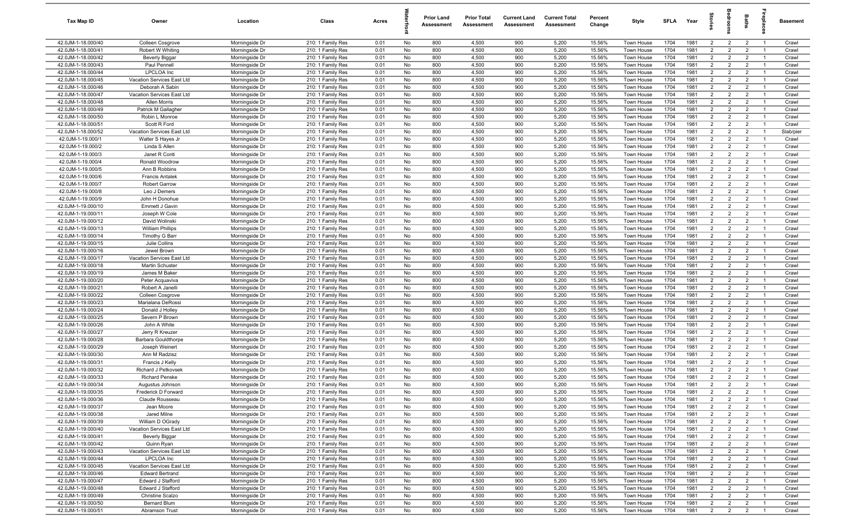| Tax Map ID                               | Owner                                 | Location                         | Class                                  | Acres        |          | <b>Prior Land</b><br>Assessment | <b>Prior Total</b><br>Assessment | <b>Current Land</b><br>Assessment | <b>Current Total</b><br>Assessment | Percent<br>Change | Style                    | SFLA         | Year         | $\frac{1}{2}$                    | ē                                | <b>Baths</b>                     | ireplace                         | Basement       |
|------------------------------------------|---------------------------------------|----------------------------------|----------------------------------------|--------------|----------|---------------------------------|----------------------------------|-----------------------------------|------------------------------------|-------------------|--------------------------|--------------|--------------|----------------------------------|----------------------------------|----------------------------------|----------------------------------|----------------|
| 42.0JM-1-18.000/40                       | Colleen Cosgrove                      | Morningside Dr                   | 210: 1 Family Res                      | 0.01         | No       | 800                             | 4,500                            | 900                               | 5,200                              | 15.56%            | Town House               | 1704         | 1981         | $\overline{2}$                   | $\overline{2}$                   | $\overline{2}$                   | $\overline{1}$                   | Crawl          |
| 42.0JM-1-18.000/41                       | Robert W Whiting                      | Morningside Dr                   | 210: 1 Family Res                      | 0.01         | No       | 800                             | 4,500                            | 900                               | 5,200                              | 15.56%            | Town House               | 1704         | 1981         | $\overline{2}$                   | $\overline{2}$                   | $\overline{2}$                   | $\overline{1}$                   | Crawl          |
| 42.0JM-1-18.000/42                       | <b>Beverly Biggar</b>                 | Morningside Dr                   | 210: 1 Family Res                      | 0.01         | No       | 800                             | 4,500                            | 900                               | 5,200                              | 15.56%            | Town House               | 1704         | 1981         | 2                                | $\overline{2}$                   | $\overline{2}$                   | $\overline{1}$                   | Crawl          |
| 42.0JM-1-18.000/43                       | Paul Pennell                          | Morningside Dr                   | 210: 1 Family Res                      | 0.01         | No       | 800                             | 4,500                            | 900                               | 5,200                              | 15.56%            | Town House               | 1704         | 1981         | $\overline{2}$                   | $\overline{2}$                   | $\overline{2}$                   | - 1                              | Crawl          |
| 42.0JM-1-18.000/44                       | LPCLOA Inc                            | Morningside Dr                   | 210: 1 Family Res                      | 0.01         | No       | 800                             | 4,500                            | 900                               | 5,200                              | 15.56%            | Town House               | 1704         | 1981         | $\overline{2}$                   | $\overline{2}$                   | $\overline{2}$                   | $\overline{1}$                   | Crawl          |
| 42.0JM-1-18.000/45                       | Vacation Services East Ltd            | Morningside Dr                   | 210: 1 Family Res                      | 0.01         | No       | 800                             | 4,500                            | 900                               | 5,200                              | 15.56%            | Town House               | 1704         | 1981         | $\overline{2}$                   | $\overline{2}$                   | $\overline{2}$                   |                                  | Crawl          |
| 42.0JM-1-18.000/46                       | Deborah A Sabin                       | Morningside Dr                   | 210: 1 Family Res                      | 0.01         | No       | 800                             | 4,500                            | 900                               | 5,200                              | 15.56%            | <b>Town House</b>        | 1704         | 1981         | 2                                | $\overline{2}$                   | $\overline{2}$                   | $\overline{1}$                   | Crawl          |
| 42.0JM-1-18.000/47                       | Vacation Services East Ltd            | Morningside Dr                   | 210: 1 Family Res                      | 0.01         | No       | 800                             | 4,500                            | 900                               | 5,200                              | 15.56%            | Town House               | 1704         | 1981         | $\overline{2}$                   | $\overline{2}$                   | $\overline{2}$                   | - 1                              | Crawl          |
| 42.0JM-1-18.000/48                       | Allen Morris                          | Morningside Dr                   | 210: 1 Family Res                      | 0.01         | No       | 800                             | 4,500                            | 900                               | 5,200                              | 15.56%            | Town House               | 1704         | 1981         | $\overline{2}$                   | $\overline{2}$                   | $\overline{2}$                   | $\overline{1}$                   | Crawl          |
| 42.0JM-1-18.000/49                       | Patrick M Gallagher                   | Morningside Dr                   | 210: 1 Family Res                      | 0.01         | No       | 800                             | 4,500                            | 900                               | 5,200                              | 15.56%            | Town House               | 1704         | 1981         | $\overline{2}$                   | $\overline{2}$                   | $\overline{2}$                   | $\overline{1}$                   | Crawl          |
| 42.0JM-1-18.000/50                       | Robin L Monroe                        | Morningside Dr                   | 210: 1 Family Res                      | 0.01         | No       | 800                             | 4,500                            | 900                               | 5,200                              | 15.56%            | Town House               | 1704         | 1981         | $\overline{2}$                   | $\overline{2}$                   | $\overline{2}$                   | $\overline{1}$                   | Crawl          |
| 42.0JM-1-18.000/51                       | Scott R Ford                          | Morningside Dr                   | 210: 1 Family Res                      | 0.01         | No       | 800                             | 4,500                            | 900                               | 5,200                              | 15.56%            | Town House               | 1704         | 1981         | $\overline{2}$                   | $\overline{2}$                   | $\overline{2}$                   | $\overline{1}$                   | Crawl          |
| 42.0JM-1-18.000/52                       | Vacation Services East Ltd            | Morningside Dr                   | 210: 1 Family Res                      | 0.01         | No       | 800                             | 4,500                            | 900                               | 5,200                              | 15.56%            | Town House               | 1704<br>1704 | 1981         | 2<br>$\overline{2}$              | $\overline{2}$                   | $\overline{2}$                   | $\overline{1}$                   | Slab/pier      |
| 42.0JM-1-19.000/1                        | Walter S Hayes Jr                     | Morningside Dr                   | 210: 1 Family Res                      | 0.01         | No       | 800<br>800                      | 4,500<br>4,500                   | 900<br>900                        | 5,200<br>5,200                     | 15.56%<br>15.56%  | Town House               | 1704         | 1981<br>1981 | 2                                | $\overline{2}$<br>$\overline{2}$ | $\overline{2}$                   | $\overline{1}$<br>- 1            | Crawl          |
| 42.0JM-1-19.000/2<br>42.0JM-1-19.000/3   | Linda S Allen<br>Janet R Conti        | Morningside Dr<br>Morningside Dr | 210: 1 Family Res<br>210: 1 Family Res | 0.01<br>0.01 | No<br>No | 800                             | 4,500                            | 900                               | 5,200                              | 15.56%            | Town House<br>Town House | 1704         | 1981         | $\overline{2}$                   | $\overline{2}$                   | $\overline{2}$<br>$\overline{2}$ | $\overline{1}$                   | Crawl<br>Crawl |
| 42.0JM-1-19.000/4                        | Ronald Woodrow                        | Morningside Dr                   | 210: 1 Family Res                      | 0.01         | No       | 800                             | 4,500                            | 900                               | 5,200                              | 15.56%            | Town House               | 1704         | 1981         | $\overline{2}$                   | $\overline{2}$                   | $\overline{2}$                   |                                  | Crawl          |
| 42.0JM-1-19.000/5                        | Ann B Robbins                         | Morningside Dr                   | 210: 1 Family Res                      | 0.01         | No       | 800                             | 4,500                            | 900                               | 5,200                              | 15.56%            | Town House               | 1704         | 1981         | $\overline{2}$                   | $\overline{2}$                   | $\overline{2}$                   | $\overline{1}$                   | Crawl          |
| 42.0JM-1-19.000/6                        | <b>Francis Antalek</b>                | Morningside Dr                   | 210: 1 Family Res                      | 0.01         | No       | 800                             | 4,500                            | 900                               | 5,200                              | 15.56%            | Town House               | 1704         | 1981         | $\overline{2}$                   | $\overline{2}$                   | $\overline{2}$                   |                                  | Crawl          |
| 42.0JM-1-19.000/7                        | <b>Robert Garrow</b>                  | Morningside Dr                   | 210: 1 Family Res                      | 0.01         | No       | 800                             | 4,500                            | 900                               | 5,200                              | 15.56%            | Town House               | 1704         | 1981         | $\overline{2}$                   | $\overline{2}$                   | $\overline{2}$                   | $\overline{1}$                   | Crawl          |
| 42.0JM-1-19.000/8                        | Leo J Demers                          | Morningside Dr                   | 210: 1 Family Res                      | 0.01         | No       | 800                             | 4,500                            | 900                               | 5,200                              | 15.56%            | Town House               | 1704         | 1981         | $\overline{2}$                   | $\overline{2}$                   | $\overline{2}$                   | $\overline{1}$                   | Crawl          |
| 42.0JM-1-19.000/9                        | John H Donohue                        | Morningside Dr                   | 210: 1 Family Res                      | 0.01         | No       | 800                             | 4,500                            | 900                               | 5,200                              | 15.56%            | Town House               | 1704         | 1981         | $\overline{2}$                   | $\overline{2}$                   | $\overline{2}$                   | $\overline{1}$                   | Crawl          |
| 42.0JM-1-19.000/10                       | Emmett J Gavin                        | Morningside Dr                   | 210: 1 Family Res                      | 0.01         | No       | 800                             | 4,500                            | 900                               | 5,200                              | 15.56%            | Town House               | 1704         | 1981         | $\overline{2}$                   | $\overline{2}$                   | $\overline{2}$                   | $\overline{1}$                   | Crawl          |
| 42.0JM-1-19.000/11                       | Joseph W Cole                         | Morningside Dr                   | 210: 1 Family Res                      | 0.01         | No       | 800                             | 4,500                            | 900                               | 5,200                              | 15.56%            | Town House               | 1704         | 1981         | 2                                | $\overline{2}$                   | $\overline{2}$                   | $\overline{1}$                   | Crawl          |
| 42.0JM-1-19.000/12                       | David Wolinski                        | Morningside Dr                   | 210: 1 Family Res                      | 0.01         | No       | 800                             | 4,500                            | 900                               | 5,200                              | 15.56%            | Town House               | 1704         | 1981         | $\overline{2}$                   | $\overline{2}$                   | $\overline{2}$                   | $\overline{1}$                   | Crawl          |
| 42.0JM-1-19.000/13                       | <b>William Phillips</b>               | Morningside Dr                   | 210: 1 Family Res                      | 0.01         | No       | 800                             | 4,500                            | 900                               | 5,200                              | 15.56%            | Town House               | 1704         | 1981         | 2                                | $\overline{2}$                   | $\overline{2}$                   | $\overline{1}$                   | Crawl          |
| 42.0JM-1-19.000/14                       | <b>Timothy G Barr</b>                 | Morningside Dr                   | 210: 1 Family Res                      | 0.01         | No       | 800                             | 4,500                            | 900                               | 5,200                              | 15.56%            | Town House               | 1704         | 1981         | $\overline{2}$                   | 2                                | $\overline{2}$                   | $\overline{1}$                   | Crawl          |
| 42.0JM-1-19.000/15                       | Julie Collins                         | Morningside Dr                   | 210: 1 Family Res                      | 0.01         | No       | 800                             | 4,500                            | 900                               | 5,200                              | 15.56%            | Town House               | 1704         | 1981         | $\overline{2}$                   | $\overline{2}$                   | $\overline{2}$                   |                                  | Crawl          |
| 42.0JM-1-19.000/16                       | Jewel Brown                           | Morningside Dr                   | 210: 1 Family Res                      | 0.01         | No       | 800                             | 4,500                            | 900                               | 5,200                              | 15.56%            | Town House               | 1704         | 1981         | $\overline{2}$                   | $\overline{2}$                   | $\overline{2}$                   | $\overline{1}$                   | Crawl          |
| 42.0JM-1-19.000/17                       | Vacation Services East Ltd            | Morningside Dr                   | 210: 1 Family Res                      | 0.01         | No       | 800                             | 4,500                            | 900                               | 5,200                              | 15.56%            | Town House               | 1704         | 1981         | $\overline{2}$                   | $\overline{2}$                   | $\overline{2}$                   | - 1                              | Crawl          |
| 42.0JM-1-19.000/18                       | Martin Schuster                       | Morningside Dr                   | 210: 1 Family Res                      | 0.01         | No       | 800                             | 4,500                            | 900                               | 5,200                              | 15.56%            | Town House               | 1704         | 1981         | $\overline{2}$                   | $\overline{2}$                   | $\overline{2}$                   | $\overline{1}$                   | Crawl          |
| 42.0JM-1-19.000/19                       | James M Baker                         | Morningside Dr                   | 210: 1 Family Res                      | 0.01         | No       | 800                             | 4,500                            | 900                               | 5,200                              | 15.56%            | <b>Town House</b>        | 1704         | 1981         | $\overline{2}$                   | $\overline{2}$                   | $\overline{2}$                   | -1                               | Crawl          |
| 42.0JM-1-19.000/20                       | Peter Acquaviva                       | Morningside Dr                   | 210: 1 Family Res                      | 0.01         | No       | 800                             | 4,500                            | 900                               | 5,200                              | 15.56%            | Town House               | 1704         | 1981         | $\overline{2}$                   | $\overline{2}$                   | $\overline{2}$                   | $\overline{1}$                   | Crawl          |
| 42.0JM-1-19.000/21                       | Robert A Janelli                      | Morningside Dr                   | 210: 1 Family Res                      | 0.01         | No       | 800                             | 4,500                            | 900                               | 5,200                              | 15.56%            | Town House               | 1704         | 1981         | $\overline{2}$                   | $\overline{2}$                   | $\overline{2}$                   | $\overline{1}$                   | Crawl          |
| 42.0JM-1-19.000/22<br>42.0JM-1-19.000/23 | Colleen Cosgrove<br>Marialana DeRossi | Morningside Dr<br>Morningside Dr | 210: 1 Family Res<br>210: 1 Family Res | 0.01<br>0.01 | No<br>No | 800<br>800                      | 4,500<br>4,500                   | 900<br>900                        | 5,200<br>5,200                     | 15.56%<br>15.56%  | Town House<br>Town House | 1704<br>1704 | 1981<br>1981 | $\overline{2}$<br>$\overline{2}$ | $\overline{2}$<br>$\overline{2}$ | $\overline{2}$<br>$\overline{2}$ | $\overline{1}$<br>$\overline{1}$ | Crawl<br>Crawl |
| 42.0JM-1-19.000/24                       | Donald J Holley                       | Morningside Dr                   | 210: 1 Family Res                      | 0.01         | No       | 800                             | 4,500                            | 900                               | 5,200                              | 15.56%            | Town House               | 1704         | 1981         | 2                                | $\overline{2}$                   | $\overline{2}$                   | $\overline{1}$                   | Crawl          |
| 42.0JM-1-19.000/25                       | Severn P Brown                        | Morningside Dr                   | 210: 1 Family Res                      | 0.01         | No       | 800                             | 4,500                            | 900                               | 5,200                              | 15.56%            | Town House               | 1704         | 1981         | $\overline{2}$                   | $\overline{2}$                   | $\overline{2}$                   | $\overline{1}$                   | Crawl          |
| 42.0JM-1-19.000/26                       | John A White                          | Morningside Dr                   | 210: 1 Family Res                      | 0.01         | No       | 800                             | 4,500                            | 900                               | 5,200                              | 15.56%            | Town House               | 1704         | 1981         | $\overline{2}$                   | $\overline{2}$                   | $\overline{2}$                   | $\overline{1}$                   | Crawl          |
| 42.0JM-1-19.000/27                       | Jerry R Kreuzer                       | Morningside Dr                   | 210: 1 Family Res                      | 0.01         | No       | 800                             | 4,500                            | 900                               | 5,200                              | 15.56%            | Town House               | 1704         | 1981         | $\overline{2}$                   | 2                                | $\overline{2}$                   | $\overline{1}$                   | Crawl          |
| 42.0JM-1-19.000/28                       | Barbara Gouldthorpe                   | Morningside Dr                   | 210: 1 Family Res                      | 0.01         | No       | 800                             | 4,500                            | 900                               | 5,200                              | 15.56%            | Town House               | 1704         | 1981         | $\overline{2}$                   | $\overline{2}$                   | $\overline{2}$                   | - 1                              | Crawl          |
| 42.0JM-1-19.000/29                       | Joseph Weinert                        | Morningside Dr                   | 210: 1 Family Res                      | 0.01         | No       | 800                             | 4,500                            | 900                               | 5,200                              | 15.56%            | Town House               | 1704         | 1981         | $\overline{2}$                   | $\overline{2}$                   | $\overline{2}$                   | $\overline{1}$                   | Crawl          |
| 42.0JM-1-19.000/30                       | Ann M Radzisz                         | Morningside Dr                   | 210: 1 Family Res                      | 0.01         | No       | 800                             | 4,500                            | 900                               | 5,200                              | 15.56%            | Town House               | 1704         | 1981         | $\overline{2}$                   | $\overline{2}$                   | $\overline{2}$                   |                                  | Crawl          |
| 42.0JM-1-19.000/31                       | Francis J Kelly                       | Morningside Dr                   | 210: 1 Family Res                      | 0.01         | No       | 800                             | 4,500                            | 900                               | 5,200                              | 15.56%            | Town House               | 1704         | 1981         | 2                                | $\overline{2}$                   | $\overline{2}$                   | - 1                              | Crawl          |
| 42.0JM-1-19.000/32                       | Richard J Petkovsek                   | Morningside Dr                   | 210: 1 Family Res                      | 0.01         | No       | 800                             | 4,500                            | 900                               | 5,200                              | 15.56%            | Town House               | 1704         | 1981         | $\overline{2}$                   | 2                                | $\overline{2}$                   |                                  | Crawl          |
| 42.0JM-1-19.000/33                       | <b>Richard Penske</b>                 | Morningside Dr                   | 210: 1 Family Res                      | 0.01         | No       | 800                             | 4,500                            | 900                               | 5,200                              | 15.56%            | Town House               | 1704         | 1981         | $\overline{2}$                   | $\overline{2}$                   | $\overline{2}$                   | $\overline{1}$                   | Crawl          |
| 42.0JM-1-19.000/34                       | Augustus Johnson                      | Morningside Dr                   | 210: 1 Family Res                      | 0.01         | No       | 800                             | 4,500                            | 900                               | 5,200                              | 15.56%            | Town House               | 1704         | 1981         | $\overline{2}$                   | $\mathfrak{p}$                   | $\overline{2}$                   |                                  | Crawl          |
| 42.0JM-1-19.000/35                       | Frederick D Forward                   | Morningside Dr                   | 210: 1 Family Res                      | 0.01         | No       | 800                             | 4,500                            | 900                               | 5,200                              | 15.56%            | Town House               | 1704         | 1981         | $\overline{2}$                   | $\overline{2}$                   | $\overline{2}$                   | $\overline{1}$                   | Crawl          |
| 42.0JM-1-19.000/36                       | Claude Rousseau                       | Morningside Dr                   | 210: 1 Family Res                      | 0.01         | No       | 800                             | 4,500                            | 900                               | 5,200                              | 15.56%            | Town House               | 1704         | 1981         | $\overline{2}$                   | $\overline{2}$                   | $\overline{2}$                   | $\overline{1}$                   | Crawl          |
| 42.0JM-1-19.000/37                       | Jean Moore                            | Morningside Dr                   | 210: 1 Family Res                      | 0.01         | No       | 800                             | 4,500                            | 900                               | 5,200                              | 15.56%            | Town House               | 1704         | 1981         | $\overline{2}$                   | $\overline{2}$                   | $\overline{2}$                   | $\overline{1}$                   | Crawl          |
| 42.0JM-1-19.000/38                       | Jared Milne                           | Morningside Dr                   | 210: 1 Family Res                      | 0.01         | No       | 800                             | 4,500                            | 900                               | 5,200                              | 15.56%            | Town House               | 1704         | 1981         | $\overline{2}$                   | $\overline{2}$                   | $\overline{2}$                   | $\overline{1}$                   | Crawl          |
| 42.0JM-1-19.000/39                       | William D OGrady                      | Morningside Dr                   | 210: 1 Family Res                      | 0.01         | No       | 800                             | 4,500                            | 900                               | 5,200                              | 15.56%            | Town House               | 1704         | 1981         | $\overline{2}$                   | $\overline{2}$                   | $\overline{2}$                   | $\overline{1}$                   | Crawl          |
| 42.0JM-1-19.000/40                       | Vacation Services East Ltd            | Morningside Dr                   | 210: 1 Family Res                      | 0.01         | No       | 800                             | 4,500                            | 900<br>900                        | 5,200                              | 15.56%            | Town House               | 1704         | 1981         | $\overline{2}$<br>$\overline{2}$ | $\overline{2}$<br>$\overline{2}$ | $\overline{2}$<br>$\overline{2}$ | $\overline{1}$<br>$\overline{1}$ | Crawl          |
| 42.0JM-1-19.000/41<br>42.0JM-1-19.000/42 | <b>Beverly Biggar</b><br>Quinn Ryan   | Morningside Dr<br>Morningside Dr | 210: 1 Family Res<br>210: 1 Family Res | 0.01<br>0.01 | No<br>No | 800<br>800                      | 4,500<br>4,500                   | 900                               | 5,200<br>5,200                     | 15.56%<br>15.56%  | Town House<br>Town House | 1704<br>1704 | 1981<br>1981 | $\overline{2}$                   | $\overline{2}$                   | $\overline{2}$                   | $\overline{1}$                   | Crawl<br>Crawl |
| 42.0JM-1-19.000/43                       | Vacation Services East Ltd            | Morningside Dr                   | 210: 1 Family Res                      | 0.01         | No       | 800                             | 4,500                            | 900                               | 5,200                              | 15.56%            | Town House               | 1704         | 1981         | $\overline{2}$                   | $\overline{2}$                   | $\overline{2}$                   |                                  | Crawl          |
| 42.0JM-1-19.000/44                       | <b>LPCLOA</b> Inc                     | Morningside Dr                   | 210: 1 Family Res                      | 0.01         | No       | 800                             | 4,500                            | 900                               | 5,200                              | 15.56%            | Town House               | 1704         | 1981         | $\overline{2}$                   | $\overline{2}$                   | $\overline{2}$                   | $\overline{1}$                   | Crawl          |
| 42.0JM-1-19.000/45                       | Vacation Services East Ltd            | Morningside Dr                   | 210: 1 Family Res                      | 0.01         | No       | 800                             | 4,500                            | 900                               | 5,200                              | 15.56%            | Town House               | 1704         | 1981         | $\overline{2}$                   | $\overline{2}$                   | $\overline{2}$                   | $\overline{1}$                   | Crawl          |
| 42.0JM-1-19.000/46                       | <b>Edward Bertrand</b>                | Morningside Dr                   | 210: 1 Family Res                      | 0.01         | No       | 800                             | 4,500                            | 900                               | 5,200                              | 15.56%            | Town House               | 1704         | 1981         | $\overline{2}$                   | $\overline{2}$                   | $\overline{2}$                   | $\overline{1}$                   | Crawl          |
| 42.0JM-1-19.000/47                       | Edward J Stafford                     | Morningside Dr                   | 210: 1 Family Res                      | 0.01         | No       | 800                             | 4,500                            | 900                               | 5,200                              | 15.56%            | Town House               | 1704         | 1981         | $\overline{2}$                   | $\overline{2}$                   | $\overline{2}$                   | $\overline{1}$                   | Crawl          |
| 42.0JM-1-19.000/48                       | Edward J Stafford                     | Morningside Dr                   | 210: 1 Family Res                      | 0.01         | No       | 800                             | 4,500                            | 900                               | 5,200                              | 15.56%            | Town House               | 1704         | 1981         | $\overline{2}$                   | $\overline{2}$                   | $\overline{2}$                   | $\overline{1}$                   | Crawl          |
| 42.0JM-1-19.000/49                       | Christine Scalzo                      | Morningside Dr                   | 210: 1 Family Res                      | 0.01         | No       | 800                             | 4,500                            | 900                               | 5,200                              | 15.56%            | Town House               | 1704         | 1981         | $\overline{2}$                   | $\overline{2}$                   | $\overline{2}$                   | $\overline{1}$                   | Crawl          |
| 42.0JM-1-19.000/50                       | Bernard Blum                          | Morningside Dr                   | 210: 1 Family Res                      | 0.01         | No       | 800                             | 4,500                            | 900                               | 5,200                              | 15.56%            | Town House               | 1704         | 1981         | $\overline{2}$                   | $\overline{2}$                   | $\overline{2}$                   | $\overline{1}$                   | Crawl          |
| 42.0JM-1-19.000/51                       | Abramson Trust                        | Morningside Dr                   | 210: 1 Family Res                      | 0.01         | No       | 800                             | 4,500                            | 900                               | 5,200                              | 15.56%            | Town House               | 1704         | 1981         | $\overline{2}$                   | $\overline{2}$                   | $\overline{2}$                   | $\overline{1}$                   | Crawl          |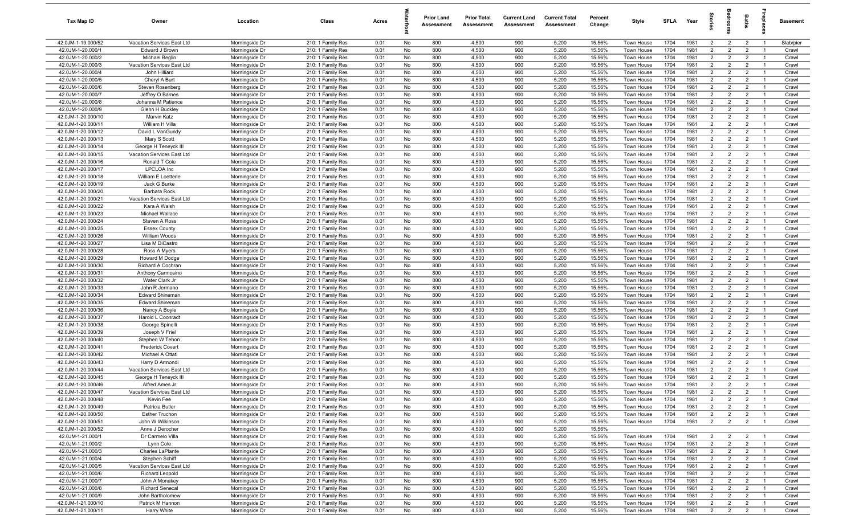| Tax Map ID                               | Owner                                    | Location                         | Class                                  | Acres        |          | <b>Prior Land</b><br>Assessment | <b>Prior Total</b><br>Assessment | <b>Current Land</b><br>Assessment | <b>Current Total</b><br>Assessment | Percent<br>Change | Style                    | <b>SFLA</b>  | Year         | $\vec{a}$                        | š                                | Baths                            | epla                             | Basement       |
|------------------------------------------|------------------------------------------|----------------------------------|----------------------------------------|--------------|----------|---------------------------------|----------------------------------|-----------------------------------|------------------------------------|-------------------|--------------------------|--------------|--------------|----------------------------------|----------------------------------|----------------------------------|----------------------------------|----------------|
| 42.0JM-1-19.000/52                       | Vacation Services East Ltd               | Morningside Dr                   | 210: 1 Family Res                      | 0.01         | No       | 800                             | 4,500                            | 900                               | 5,200                              | 15.56%            | Town House               | 1704         | 1981         | $\overline{2}$                   | $\overline{2}$                   | $\overline{2}$                   | $\overline{1}$                   | Slab/pier      |
| 42.0JM-1-20.000/1                        | Edward J Brown                           | Morningside Dr                   | 210: 1 Family Res                      | 0.01         | No       | 800                             | 4,500                            | 900                               | 5,200                              | 15.56%            | Town House               | 1704         | 1981         | $\overline{2}$                   | $\overline{2}$                   | $\overline{2}$                   |                                  | Crawl          |
| 42.0JM-1-20.000/2                        | Michael Beglin                           | Morningside Dr                   | 210: 1 Family Res                      | 0.01         | No       | 800                             | 4,500                            | 900                               | 5,200                              | 15.56%            | Town House               | 1704         | 1981         | 2                                | $\overline{2}$                   | $\overline{2}$                   | - 1                              | Crawl          |
| 42.0JM-1-20.000/3                        | Vacation Services East Ltd               | Morningside Dr                   | 210: 1 Family Res                      | 0.01         | No       | 800                             | 4,500                            | 900                               | 5,200                              | 15.56%            | Town House               | 1704         | 1981         | 2                                | $\overline{2}$                   | $\overline{2}$                   |                                  | Crawl          |
| 42.0JM-1-20.000/4                        | John Hilliard                            | Morningside Dr                   | 210: 1 Family Res                      | 0.01         | No       | 800                             | 4,500                            | 900                               | 5,200                              | 15.56%            | Town House               | 1704         | 1981         | $\overline{2}$                   | $\overline{2}$                   | $\overline{2}$                   | - 1                              | Crawl          |
| 42.0JM-1-20.000/5                        | Cheryl A Burt                            | Morningside Dr                   | 210: 1 Family Res                      | 0.01         | No       | 800                             | 4,500                            | 900                               | 5,200                              | 15.56%            | Town House               | 1704         | 1981         | $\overline{2}$                   | $\overline{2}$                   | $\overline{2}$                   | - 1                              | Crawl          |
| 42.0JM-1-20.000/6                        | Steven Rosenberg                         | Morningside Dr                   | 210: 1 Family Res                      | 0.01         | No       | 800                             | 4,500                            | 900                               | 5,200                              | 15.56%            | <b>Town House</b>        | 1704         | 1981         | $\overline{2}$                   | $\overline{2}$                   | $\overline{2}$                   | $\overline{1}$                   | Crawl          |
| 42.0JM-1-20.000/7                        | Jeffrey O Barnes                         | Morningside Dr                   | 210: 1 Family Res                      | 0.01         | No       | 800                             | 4,500                            | 900                               | 5,200                              | 15.56%            | Town House               | 1704         | 1981         | $\overline{2}$                   | $\overline{2}$                   | $\overline{2}$                   | $\overline{1}$                   | Crawl          |
| 42.0JM-1-20.000/8                        | Johanna M Patience                       | Morningside Dr                   | 210: 1 Family Res                      | 0.01         | No       | 800                             | 4,500                            | 900                               | 5,200                              | 15.56%            | Town House               | 1704         | 1981         | $\overline{2}$                   | $\overline{2}$                   | $\overline{2}$                   | $\overline{1}$                   | Crawl          |
| 42.0JM-1-20.000/9                        | Glenn H Buckley                          | Morningside Dr<br>Morningside Dr | 210: 1 Family Res                      | 0.01         | No       | 800                             | 4,500                            | 900                               | 5,200                              | 15.56%            | Town House               | 1704         | 1981         | $\overline{2}$<br>2              | $\overline{2}$                   | $\overline{2}$                   | $\overline{1}$<br>$\overline{1}$ | Crawl          |
| 42.0JM-1-20.000/10                       | Marvin Katz                              |                                  | 210: 1 Family Res                      | 0.01         | No       | 800                             | 4,500                            | 900                               | 5,200                              | 15.56%            | Town House               | 1704         | 1981         |                                  | $\overline{2}$                   | $\overline{2}$                   |                                  | Crawl          |
| 42.0JM-1-20.000/11<br>42.0JM-1-20.000/12 | William H Villa<br>David L VanGundy      | Morningside Dr<br>Morningside Dr | 210: 1 Family Res<br>210: 1 Family Res | 0.01<br>0.01 | No<br>No | 800<br>800                      | 4,500<br>4,500                   | 900<br>900                        | 5,200<br>5,200                     | 15.56%<br>15.56%  | Town House<br>Town House | 1704<br>1704 | 1981<br>1981 | $\overline{2}$<br>$\overline{2}$ | $\overline{2}$<br>$\overline{2}$ | $\overline{2}$<br>$\overline{2}$ | $\overline{1}$<br>- 1            | Crawl<br>Crawl |
| 42.0JM-1-20.000/13                       | Mary S Scott                             | Morningside Dr                   | 210: 1 Family Res                      | 0.01         | No       | 800                             | 4,500                            | 900                               | 5,200                              | 15.56%            | Town House               | 1704         | 1981         | $\overline{2}$                   | $\overline{2}$                   | $\overline{2}$                   | $\overline{1}$                   | Crawl          |
| 42.0JM-1-20.000/14                       | George H Teneyck III                     | Morningside Dr                   | 210: 1 Family Res                      | 0.01         | No       | 800                             | 4,500                            | 900                               | 5,200                              | 15.56%            | Town House               | 1704         | 1981         | $\overline{2}$                   | $\overline{2}$                   | $\overline{2}$                   | - 1                              | Crawl          |
| 42.0JM-1-20.000/15                       | Vacation Services East Ltd               | Morningside Dr                   | 210: 1 Family Res                      | 0.01         | No       | 800                             | 4,500                            | 900                               | 5,200                              | 15.56%            | Town House               | 1704         | 1981         | $\overline{2}$                   | $\overline{2}$                   | $\overline{2}$                   | - 1                              | Crawl          |
| 42.0JM-1-20.000/16                       | Ronald T Cole                            | Morningside Dr                   | 210: 1 Family Res                      | 0.01         | No       | 800                             | 4,500                            | 900                               | 5,200                              | 15.56%            | Town House               | 1704         | 1981         | $\overline{2}$                   | $\overline{2}$                   | $\overline{2}$                   |                                  | Crawl          |
| 42.0JM-1-20.000/17                       | LPCLOA Inc                               | Morningside Dr                   | 210: 1 Family Res                      | 0.01         | No       | 800                             | 4,500                            | 900                               | 5,200                              | 15.56%            | Town House               | 1704         | 1981         | $\overline{2}$                   | $\overline{2}$                   | $\overline{2}$                   | - 1                              | Crawl          |
| 42.0JM-1-20.000/18                       | William E Loetterle                      | Morningside Dr                   | 210: 1 Family Res                      | 0.01         | No       | 800                             | 4,500                            | 900                               | 5,200                              | 15.56%            | <b>Town House</b>        | 1704         | 1981         | $\overline{2}$                   | $\overline{2}$                   | $\overline{2}$                   | - 1                              | Crawl          |
| 42.0JM-1-20.000/19                       | Jack G Burke                             | Morningside Dr                   | 210: 1 Family Res                      | 0.01         | No       | 800                             | 4,500                            | 900                               | 5,200                              | 15.56%            | Town House               | 1704         | 1981         | $\overline{2}$                   | $\overline{2}$                   | $\overline{2}$                   | - 1                              | Crawl          |
| 42.0JM-1-20.000/20                       | Barbara Rock                             | Morningside Dr                   | 210: 1 Family Res                      | 0.01         | No       | 800                             | 4,500                            | 900                               | 5,200                              | 15.56%            | Town House               | 1704         | 1981         | $\overline{2}$                   | $\overline{2}$                   | $\overline{2}$                   | $\overline{1}$                   | Crawl          |
| 42.0JM-1-20.000/21                       | Vacation Services East Ltd               | Morningside Dr                   | 210: 1 Family Res                      | 0.01         | No       | 800                             | 4,500                            | 900                               | 5,200                              | 15.56%            | Town House               | 1704         | 1981         | $\overline{2}$                   | $\overline{2}$                   | $\overline{2}$                   | $\overline{1}$                   | Crawl          |
| 42.0JM-1-20.000/22                       | Kara A Walsh                             | Morningside Dr                   | 210: 1 Family Res                      | 0.01         | No       | 800                             | 4,500                            | 900                               | 5,200                              | 15.56%            | Town House               | 1704         | 1981         | $\overline{2}$                   | $\overline{2}$                   | $\overline{2}$                   | $\overline{1}$                   | Crawl          |
| 42.0JM-1-20.000/23                       | Michael Wallace                          | Morningside Dr                   | 210: 1 Family Res                      | 0.01         | No       | 800                             | 4,500                            | 900                               | 5,200                              | 15.56%            | <b>Town House</b>        | 1704         | 1981         | 2                                | $\overline{2}$                   | $\overline{2}$                   | $\overline{1}$                   | Crawl          |
| 42.0JM-1-20.000/24                       | Steven A Ross                            | Morningside Dr                   | 210: 1 Family Res                      | 0.01         | No       | 800                             | 4,500                            | 900                               | 5,200                              | 15.56%            | Town House               | 1704         | 1981         | $\overline{2}$                   | 2                                | $\overline{2}$                   | $\overline{1}$                   | Crawl          |
| 42.0JM-1-20.000/25                       | <b>Essex County</b>                      | Morningside Dr                   | 210: 1 Family Res                      | 0.01         | No       | 800                             | 4,500                            | 900                               | 5,200                              | 15.56%            | Town House               | 1704         | 1981         | $\overline{2}$                   | $\overline{2}$                   | $\overline{2}$                   | - 1                              | Crawl          |
| 42.0JM-1-20.000/26                       | William Woods                            | Morningside Dr                   | 210: 1 Family Res                      | 0.01         | No       | 800                             | 4,500                            | 900                               | 5,200                              | 15.56%            | Town House               | 1704         | 1981         | $\overline{2}$                   | $\overline{2}$                   | $\overline{2}$                   | $\overline{1}$                   | Crawl          |
| 42.0JM-1-20.000/27                       | Lisa M DiCastro                          | Morningside Dr                   | 210: 1 Family Res                      | 0.01         | No       | 800                             | 4,500                            | 900                               | 5,200                              | 15.56%            | Town House               | 1704         | 1981         | $\overline{2}$                   | $\overline{2}$                   | $\overline{2}$                   |                                  | Crawl          |
| 42.0JM-1-20.000/28                       | Ross A Myers                             | Morningside Dr                   | 210: 1 Family Res                      | 0.01         | No       | 800                             | 4,500                            | 900                               | 5,200                              | 15.56%            | Town House               | 1704         | 1981         | 2                                | $\overline{2}$                   | $\overline{2}$                   | - 1                              | Crawl          |
| 42.0JM-1-20.000/29                       | Howard M Dodge                           | Morningside Dr                   | 210: 1 Family Res                      | 0.01         | No       | 800                             | 4,500                            | 900                               | 5,200                              | 15.56%            | <b>Town House</b>        | 1704         | 1981         | $\overline{2}$                   | $\overline{2}$                   | $\overline{2}$                   |                                  | Crawl          |
| 42.0JM-1-20.000/30                       | Richard A Cochran                        | Morningside Dr                   | 210: 1 Family Res                      | 0.01         | No       | 800                             | 4,500                            | 900                               | 5,200                              | 15.56%            | Town House               | 1704         | 1981         | $\overline{2}$                   | $\overline{2}$                   | $\overline{2}$                   | - 1                              | Crawl          |
| 42.0JM-1-20.000/31                       | Anthony Carmosino                        | Morningside Dr                   | 210: 1 Family Res                      | 0.01         | No       | 800                             | 4,500                            | 900                               | 5,200                              | 15.56%            | Town House               | 1704         | 1981         | $\overline{2}$                   | $\overline{2}$                   | $\overline{2}$                   | $\overline{1}$                   | Crawl          |
| 42.0JM-1-20.000/32                       | Water Clark Jr                           | Morningside Dr                   | 210: 1 Family Res                      | 0.01         | No       | 800                             | 4,500                            | 900                               | 5,200                              | 15.56%            | Town House               | 1704         | 1981         | $\overline{2}$                   | $\overline{2}$                   | $\overline{2}$                   | $\overline{1}$<br>$\overline{1}$ | Crawl          |
| 42.0JM-1-20.000/33<br>42.0JM-1-20.000/34 | John R Jermano<br><b>Edward Shineman</b> | Morningside Dr<br>Morningside Dr | 210: 1 Family Res<br>210: 1 Family Res | 0.01<br>0.01 | No<br>No | 800<br>800                      | 4,500<br>4,500                   | 900<br>900                        | 5,200<br>5,200                     | 15.56%<br>15.56%  | Town House<br>Town House | 1704<br>1704 | 1981<br>1981 | $\overline{2}$<br>2              | $\overline{2}$<br>$\overline{2}$ | $\overline{2}$<br>$\overline{2}$ | $\overline{1}$                   | Crawl<br>Crawl |
| 42.0JM-1-20.000/35                       | <b>Edward Shineman</b>                   | Morningside Dr                   | 210: 1 Family Res                      | 0.01         | No       | 800                             | 4,500                            | 900                               | 5,200                              | 15.56%            | Town House               | 1704         | 1981         | $\overline{2}$                   | $\overline{2}$                   | $\overline{2}$                   | $\overline{1}$                   | Crawl          |
| 42.0JM-1-20.000/36                       | Nancy A Boyle                            | Morningside Dr                   | 210: 1 Family Res                      | 0.01         | No       | 800                             | 4,500                            | 900                               | 5,200                              | 15.56%            | <b>Town House</b>        | 1704         | 1981         | 2                                | $\overline{2}$                   | $\overline{2}$                   | $\overline{1}$                   | Crawl          |
| 42.0JM-1-20.000/37                       | Harold L Coonradt                        | Morningside Dr                   | 210: 1 Family Res                      | 0.01         | No       | 800                             | 4,500                            | 900                               | 5,200                              | 15.56%            | Town House               | 1704         | 1981         | $\overline{2}$                   | 2                                | $\overline{2}$                   | $\overline{1}$                   | Crawl          |
| 42.0JM-1-20.000/38                       | George Spinelli                          | Morningside Dr                   | 210: 1 Family Res                      | 0.01         | No       | 800                             | 4,500                            | 900                               | 5,200                              | 15.56%            | Town House               | 1704         | 1981         | $\overline{2}$                   | $\overline{2}$                   | $\overline{2}$                   |                                  | Crawl          |
| 42.0JM-1-20.000/39                       | Joseph V Friel                           | Morningside Dr                   | 210: 1 Family Res                      | 0.01         | No       | 800                             | 4,500                            | 900                               | 5,200                              | 15.56%            | Town House               | 1704         | 1981         | $\overline{2}$                   | $\overline{2}$                   | $\overline{2}$                   | $\overline{1}$                   | Crawl          |
| 42.0JM-1-20.000/40                       | Stephen W Tehon                          | Morningside Dr                   | 210: 1 Family Res                      | 0.01         | No       | 800                             | 4,500                            | 900                               | 5,200                              | 15.56%            | Town House               | 1704         | 1981         | $\overline{2}$                   | $\overline{2}$                   | $\overline{2}$                   | - 1                              | Crawl          |
| 42.0JM-1-20.000/41                       | <b>Frederick Covert</b>                  | Morningside Dr                   | 210: 1 Family Res                      | 0.01         | No       | 800                             | 4,500                            | 900                               | 5,200                              | 15.56%            | Town House               | 1704         | 1981         | $\overline{2}$                   | $\overline{2}$                   | $\overline{2}$                   | - 1                              | Crawl          |
| 42.0JM-1-20.000/42                       | Michael A Ottati                         | Morningside Dr                   | 210: 1 Family Res                      | 0.01         | No       | 800                             | 4,500                            | 900                               | 5,200                              | 15.56%            | <b>Town House</b>        | 1704         | 1981         | 2                                | 2                                | $\overline{2}$                   |                                  | Crawl          |
| 42.0JM-1-20.000/43                       | Harry D Armondi                          | Morningside Dr                   | 210: 1 Family Res                      | 0.01         | No       | 800                             | 4,500                            | 900                               | 5,200                              | 15.56%            | Town House               | 1704         | 1981         | $\overline{2}$                   | $\overline{2}$                   | $\overline{2}$                   | - 1                              | Crawl          |
| 42.0JM-1-20.000/44                       | Vacation Services East Ltd               | Morningside Dr                   | 210: 1 Family Res                      | 0.01         | No       | 800                             | 4,500                            | 900                               | 5,200                              | 15.56%            | Town House               | 1704         | 1981         | $\overline{2}$                   | $\overline{2}$                   | $\overline{2}$                   |                                  | Crawl          |
| 42.0JM-1-20.000/45                       | George H Teneyck III                     | Morningside Dr                   | 210: 1 Family Res                      | 0.01         | No       | 800                             | 4,500                            | 900                               | 5,200                              | 15.56%            | <b>Town House</b>        | 1704         | 1981         | $\overline{2}$                   | $\overline{2}$                   | $\overline{2}$                   | $\overline{1}$                   | Crawl          |
| 42.0JM-1-20.000/46                       | Alfred Ames Jr                           | Morningside Dr                   | 210: 1 Family Res                      | 0.01         | No       | 800                             | 4,500                            | 900                               | 5,200                              | 15.56%            | Town House               | 1704         | 1981         | $\mathcal{D}$                    | $\overline{2}$                   | $\overline{2}$                   |                                  | Crawl          |
| 42.0JM-1-20.000/47                       | Vacation Services East Ltd               | Morningside Dr                   | 210: 1 Family Res                      | 0.01         | No       | 800                             | 4,500                            | 900                               | 5,200                              | 15.56%            | Town House               | 1704         | 1981         | $\overline{2}$                   | $\overline{2}$                   | $\overline{2}$                   | $\overline{1}$                   | Crawl          |
| 42.0JM-1-20.000/48                       | Kevin Fee                                | Morningside Dr                   | 210: 1 Family Res                      | 0.01         | No       | 800                             | 4,500                            | 900                               | 5,200                              | 15.56%            | Town House               | 1704         | 1981         | $\overline{2}$                   | $\overline{2}$                   | $\overline{2}$                   | $\overline{1}$                   | Crawl          |
| 42.0JM-1-20.000/49                       | Patricia Butler                          | Morningside Dr                   | 210: 1 Family Res                      | 0.01         | No       | 800                             | 4,500                            | 900                               | 5,200                              | 15.56%            | Town House               | 1704         | 1981         | $\overline{2}$                   | $\overline{2}$                   | $\overline{2}$                   | $\overline{1}$                   | Crawl          |
| 42.0JM-1-20.000/50                       | <b>Esther Truchon</b>                    | Morningside Dr                   | 210: 1 Family Res                      | 0.01         | No       | 800                             | 4,500                            | 900                               | 5,200                              | 15.56%            | Town House               | 1704         | 1981         | $\overline{2}$                   | $\overline{2}$                   | $\overline{2}$                   | $\overline{1}$                   | Crawl          |
| 42.0JM-1-20.000/51                       | John W Wilkinson                         | Morningside Dr                   | 210: 1 Family Res                      | 0.01         | No       | 800                             | 4,500                            | 900                               | 5,200<br>5,200                     | 15.56%            | Town House               | 1704         | 1981         | $\overline{2}$                   | $\overline{2}$                   | $\overline{2}$                   |                                  | Crawl          |
| 42.0JM-1-20.000/52                       | Anne J Derocher                          | Morningside Dr                   | 210: 1 Family Res                      | 0.01         | No       | 800                             | 4,500<br>4,500                   | 900<br>900                        | 5,200                              | 15.56%<br>15.56%  |                          |              | 1981         | $\overline{2}$                   |                                  |                                  |                                  | Crawl          |
| 42.0JM-1-21.000/1<br>42.0JM-1-21.000/2   | Dr Carmelo Villa<br>Lynn Cole            | Morningside Dr<br>Morningside Dr | 210: 1 Family Res<br>210: 1 Family Res | 0.01<br>0.01 | No<br>No | 800<br>800                      | 4,500                            | 900                               | 5,200                              | 15.56%            | Town House<br>Town House | 1704<br>1704 | 1981         | $\overline{2}$                   | $\overline{2}$<br>$\overline{2}$ | $\overline{2}$<br>$\overline{2}$ | - 1                              | Crawl          |
| 42.0JM-1-21.000/3                        | Charles LaPlante                         | Morningside Dr                   | 210: 1 Family Res                      | 0.01         | No       | 800                             | 4,500                            | 900                               | 5,200                              | 15.56%            | Town House               | 1704         | 1981         | $\overline{2}$                   | $\overline{2}$                   | $\overline{2}$                   | - 1                              | Crawl          |
| 42.0JM-1-21.000/4                        | Stephen Schiff                           | Morningside Dr                   | 210: 1 Family Res                      | 0.01         | No       | 800                             | 4,500                            | 900                               | 5,200                              | 15.56%            | Town House               | 1704         | 1981         | $\overline{2}$                   | $\overline{2}$                   | $\overline{2}$                   | $\overline{1}$                   | Crawl          |
| 42.0JM-1-21.000/5                        | Vacation Services East Ltd               | Morningside Dr                   | 210: 1 Family Res                      | 0.01         | No       | 800                             | 4,500                            | 900                               | 5,200                              | 15.56%            | Town House               | 1704         | 1981         | $\overline{2}$                   | $\overline{2}$                   | $\overline{2}$                   | $\overline{1}$                   | Crawl          |
| 42.0JM-1-21.000/6                        | Richard Leopold                          | Morningside Dr                   | 210: 1 Family Res                      | 0.01         | No       | 800                             | 4,500                            | 900                               | 5,200                              | 15.56%            | Town House               | 1704         | 1981         | $\overline{2}$                   | $\overline{2}$                   | $\overline{2}$                   | $\overline{1}$                   | Crawl          |
| 42.0JM-1-21.000/7                        | John A Monakey                           | Morningside Dr                   | 210: 1 Family Res                      | 0.01         | No       | 800                             | 4,500                            | 900                               | 5,200                              | 15.56%            | Town House               | 1704         | 1981         | $\overline{2}$                   | $\overline{2}$                   | $\overline{2}$                   | $\overline{1}$                   | Crawl          |
| 42.0JM-1-21.000/8                        | <b>Richard Senecal</b>                   | Morningside Dr                   | 210: 1 Family Res                      | 0.01         | No       | 800                             | 4,500                            | 900                               | 5,200                              | 15.56%            | Town House               | 1704         | 1981         | $\overline{2}$                   | $\overline{2}$                   | $\overline{2}$                   | $\overline{1}$                   | Crawl          |
| 42.0JM-1-21.000/9                        | John Bartholomew                         | Morningside Dr                   | 210: 1 Family Res                      | 0.01         | No       | 800                             | 4,500                            | 900                               | 5,200                              | 15.56%            | Town House               | 1704         | 1981         | $\overline{2}$                   | $\overline{2}$                   | $\overline{2}$                   | $\overline{1}$                   | Crawl          |
| 42.0JM-1-21.000/10                       | Patrick M Hannon                         | Morningside Dr                   | 210: 1 Family Res                      | 0.01         | No       | 800                             | 4,500                            | 900                               | 5,200                              | 15.56%            | Town House               | 1704         | 1981         | $\overline{2}$                   | $\overline{2}$                   | $\overline{2}$                   | $\overline{1}$                   | Crawl          |
| 42.0JM-1-21.000/11                       | Harry White                              | Morningside Dr                   | 210: 1 Family Res                      | 0.01         | No       | 800                             | 4,500                            | 900                               | 5,200                              | 15.56%            | Town House               | 1704         | 1981         | $\overline{2}$                   | $\overline{2}$                   | $\overline{2}$                   | $\overline{1}$                   | Crawl          |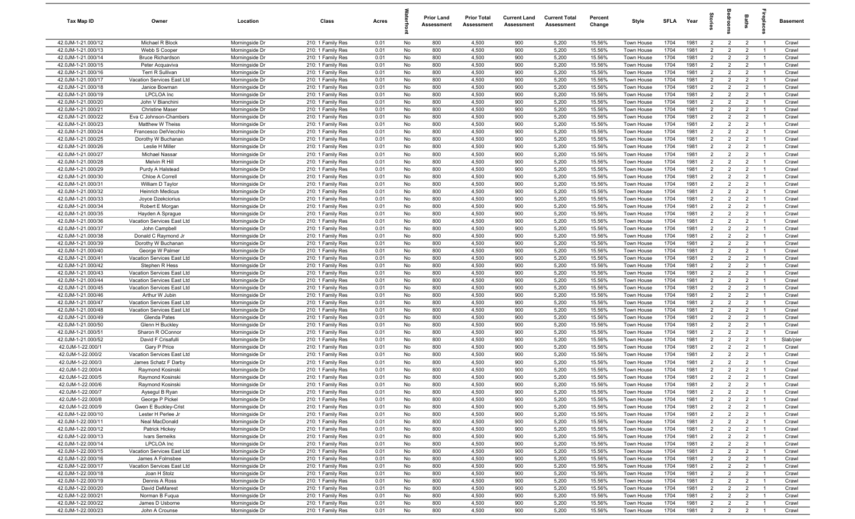| Tax Map ID                               | Owner                             | Location                         | Class                                  | Acres        |          | <b>Prior Land</b><br>Assessment | <b>Prior Total</b><br>Assessment | <b>Current Land</b><br>Assessment | <b>Current Total</b><br>Assessment | Percent<br>Change | Style                    | SFLA         | Year         | $\frac{1}{2}$                    | ē                                | <b>Baths</b>                     | ireplace                         | Basement       |
|------------------------------------------|-----------------------------------|----------------------------------|----------------------------------------|--------------|----------|---------------------------------|----------------------------------|-----------------------------------|------------------------------------|-------------------|--------------------------|--------------|--------------|----------------------------------|----------------------------------|----------------------------------|----------------------------------|----------------|
| 42.0JM-1-21.000/12                       | Michael R Block                   | Morningside Dr                   | 210: 1 Family Res                      | 0.01         | No       | 800                             | 4,500                            | 900                               | 5,200                              | 15.56%            | Town House               | 1704         | 1981         | $\overline{2}$                   | $\overline{2}$                   | $\overline{2}$                   | $\overline{1}$                   | Crawl          |
| 42.0JM-1-21.000/13                       | Webb S Cooper                     | Morningside Dr                   | 210: 1 Family Res                      | 0.01         | No       | 800                             | 4,500                            | 900                               | 5,200                              | 15.56%            | Town House               | 1704         | 1981         | $\overline{2}$                   | $\overline{2}$                   | $\overline{2}$                   | $\overline{1}$                   | Crawl          |
| 42.0JM-1-21.000/14                       | <b>Bruce Richardson</b>           | Morningside Dr                   | 210: 1 Family Res                      | 0.01         | No       | 800                             | 4,500                            | 900                               | 5,200                              | 15.56%            | Town House               | 1704         | 1981         | 2                                | $\overline{2}$                   | $\overline{2}$                   | $\overline{1}$                   | Crawl          |
| 42.0JM-1-21.000/15                       | Peter Acquaviva                   | Morningside Dr                   | 210: 1 Family Res                      | 0.01         | No       | 800                             | 4,500                            | 900                               | 5,200                              | 15.56%            | Town House               | 1704         | 1981         | $\overline{2}$                   | $\overline{2}$                   | $\overline{2}$                   | - 1                              | Crawl          |
| 42.0JM-1-21.000/16                       | Terri R Sullivan                  | Morningside Dr                   | 210: 1 Family Res                      | 0.01         | No       | 800                             | 4,500                            | 900                               | 5,200                              | 15.56%            | Town House               | 1704         | 1981         | $\overline{2}$                   | $\overline{2}$                   | $\overline{2}$                   | $\overline{1}$                   | Crawl          |
| 42.0JM-1-21.000/17                       | Vacation Services East Ltd        | Morningside Dr                   | 210: 1 Family Res                      | 0.01         | No       | 800                             | 4,500                            | 900                               | 5,200                              | 15.56%            | <b>Town House</b>        | 1704         | 1981         | $\overline{2}$                   | $\overline{2}$                   | $\overline{2}$                   |                                  | Crawl          |
| 42.0JM-1-21.000/18                       | Janice Bowman                     | Morningside Dr                   | 210: 1 Family Res                      | 0.01         | No       | 800                             | 4,500                            | 900                               | 5,200                              | 15.56%            | <b>Town House</b>        | 1704         | 1981         | 2                                | $\overline{2}$                   | $\overline{2}$                   | $\overline{1}$                   | Crawl          |
| 42.0JM-1-21.000/19                       | <b>LPCLOA</b> Inc                 | Morningside Dr                   | 210: 1 Family Res                      | 0.01         | No       | 800                             | 4,500                            | 900                               | 5,200                              | 15.56%            | Town House               | 1704         | 1981         | $\overline{2}$                   | $\overline{2}$                   | $\overline{2}$                   | - 1                              | Crawl          |
| 42.0JM-1-21.000/20                       | John V Bianchini                  | Morningside Dr                   | 210: 1 Family Res                      | 0.01         | No       | 800                             | 4,500                            | 900                               | 5,200                              | 15.56%            | Town House               | 1704         | 1981         | $\overline{2}$                   | $\overline{2}$                   | $\overline{2}$                   | $\overline{1}$                   | Crawl          |
| 42.0JM-1-21.000/21                       | <b>Christine Maser</b>            | Morningside Dr                   | 210: 1 Family Res                      | 0.01         | No       | 800                             | 4,500                            | 900                               | 5,200                              | 15.56%            | Town House               | 1704         | 1981         | $\overline{2}$                   | $\overline{2}$                   | $\overline{2}$                   | $\overline{1}$                   | Crawl          |
| 42.0JM-1-21.000/22                       | Eva C Johnson-Chambers            | Morningside Dr                   | 210: 1 Family Res                      | 0.01         | No       | 800                             | 4,500                            | 900                               | 5,200                              | 15.56%            | Town House               | 1704         | 1981         | $\overline{2}$                   | $\overline{2}$                   | $\overline{2}$                   | $\overline{1}$                   | Crawl          |
| 42.0JM-1-21.000/23                       | Matthew W Theiss                  | Morningside Dr                   | 210: 1 Family Res                      | 0.01         | No       | 800                             | 4,500                            | 900                               | 5,200                              | 15.56%            | Town House               | 1704         | 1981         | $\overline{2}$                   | $\overline{2}$                   | $\overline{2}$                   | $\overline{1}$                   | Crawl          |
| 42.0JM-1-21.000/24                       | Francesco DelVecchio              | Morningside Dr                   | 210: 1 Family Res                      | 0.01         | No       | 800                             | 4,500                            | 900                               | 5,200                              | 15.56%            | Town House               | 1704<br>1704 | 1981         | 2<br>$\overline{2}$              | $\overline{2}$                   | $\overline{2}$                   | $\overline{1}$                   | Crawl          |
| 42.0JM-1-21.000/25                       | Dorothy W Buchanan                | Morningside Dr                   | 210: 1 Family Res                      | 0.01         | No       | 800<br>800                      | 4,500<br>4,500                   | 900<br>900                        | 5,200<br>5,200                     | 15.56%<br>15.56%  | Town House               | 1704         | 1981<br>1981 | 2                                | $\overline{2}$<br>$\overline{2}$ | $\overline{2}$                   | $\overline{1}$                   | Crawl          |
| 42.0JM-1-21.000/26<br>42.0JM-1-21.000/27 | Leslie H Miller<br>Michael Nassar | Morningside Dr<br>Morningside Dr | 210: 1 Family Res<br>210: 1 Family Res | 0.01<br>0.01 | No<br>No | 800                             | 4,500                            | 900                               | 5,200                              | 15.56%            | Town House<br>Town House | 1704         | 1981         | $\overline{2}$                   | $\overline{2}$                   | $\overline{2}$<br>$\overline{2}$ | $\overline{1}$<br>$\overline{1}$ | Crawl<br>Crawl |
| 42.0JM-1-21.000/28                       | Melvin R Hill                     | Morningside Dr                   | 210: 1 Family Res                      | 0.01         | No       | 800                             | 4,500                            | 900                               | 5,200                              | 15.56%            | Town House               | 1704         | 1981         | $\overline{2}$                   | $\overline{2}$                   | $\overline{2}$                   |                                  | Crawl          |
| 42.0JM-1-21.000/29                       | Purdy A Halstead                  | Morningside Dr                   | 210: 1 Family Res                      | 0.01         | No       | 800                             | 4,500                            | 900                               | 5,200                              | 15.56%            | Town House               | 1704         | 1981         | $\overline{2}$                   | $\overline{2}$                   | $\overline{2}$                   | $\overline{1}$                   | Crawl          |
| 42.0JM-1-21.000/30                       | Chloe A Correll                   | Morningside Dr                   | 210: 1 Family Res                      | 0.01         | No       | 800                             | 4,500                            | 900                               | 5,200                              | 15.56%            | Town House               | 1704         | 1981         | $\overline{2}$                   | $\overline{2}$                   | $\overline{2}$                   |                                  | Crawl          |
| 42.0JM-1-21.000/31                       | William D Taylor                  | Morningside Dr                   | 210: 1 Family Res                      | 0.01         | No       | 800                             | 4,500                            | 900                               | 5,200                              | 15.56%            | Town House               | 1704         | 1981         | $\overline{2}$                   | $\overline{2}$                   | $\overline{2}$                   | $\overline{1}$                   | Crawl          |
| 42.0JM-1-21.000/32                       | <b>Heinrich Medicus</b>           | Morningside Dr                   | 210: 1 Family Res                      | 0.01         | No       | 800                             | 4,500                            | 900                               | 5,200                              | 15.56%            | Town House               | 1704         | 1981         | $\overline{2}$                   | $\overline{2}$                   | $\overline{2}$                   | $\overline{1}$                   | Crawl          |
| 42.0JM-1-21.000/33                       | Joyce Dzekciorius                 | Morningside Dr                   | 210: 1 Family Res                      | 0.01         | No       | 800                             | 4,500                            | 900                               | 5,200                              | 15.56%            | Town House               | 1704         | 1981         | $\overline{2}$                   | $\overline{2}$                   | $\overline{2}$                   | $\overline{1}$                   | Crawl          |
| 42.0JM-1-21.000/34                       | Robert E Morgan                   | Morningside Dr                   | 210: 1 Family Res                      | 0.01         | No       | 800                             | 4,500                            | 900                               | 5,200                              | 15.56%            | Town House               | 1704         | 1981         | $\overline{2}$                   | $\overline{2}$                   | $\overline{2}$                   | $\overline{1}$                   | Crawl          |
| 42.0JM-1-21.000/35                       | Hayden A Sprague                  | Morningside Dr                   | 210: 1 Family Res                      | 0.01         | No       | 800                             | 4,500                            | 900                               | 5,200                              | 15.56%            | Town House               | 1704         | 1981         | 2                                | $\overline{2}$                   | $\overline{2}$                   | $\overline{1}$                   | Crawl          |
| 42.0JM-1-21.000/36                       | Vacation Services East Ltd        | Morningside Dr                   | 210: 1 Family Res                      | 0.01         | No       | 800                             | 4,500                            | 900                               | 5,200                              | 15.56%            | Town House               | 1704         | 1981         | $\overline{2}$                   | $\overline{2}$                   | $\overline{2}$                   | $\overline{1}$                   | Crawl          |
| 42.0JM-1-21.000/37                       | John Campbell                     | Morningside Dr                   | 210: 1 Family Res                      | 0.01         | No       | 800                             | 4,500                            | 900                               | 5,200                              | 15.56%            | Town House               | 1704         | 1981         | 2                                | $\overline{2}$                   | $\overline{2}$                   | $\overline{1}$                   | Crawl          |
| 42.0JM-1-21.000/38                       | Donald C Raymond Jr               | Morningside Dr                   | 210: 1 Family Res                      | 0.01         | No       | 800                             | 4,500                            | 900                               | 5,200                              | 15.56%            | Town House               | 1704         | 1981         | $\overline{2}$                   | 2                                | $\overline{2}$                   | $\overline{1}$                   | Crawl          |
| 42.0JM-1-21.000/39                       | Dorothy W Buchanan                | Morningside Dr                   | 210: 1 Family Res                      | 0.01         | No       | 800                             | 4,500                            | 900                               | 5,200                              | 15.56%            | Town House               | 1704         | 1981         | $\overline{2}$                   | $\overline{2}$                   | $\overline{2}$                   |                                  | Crawl          |
| 42.0JM-1-21.000/40                       | George W Palmer                   | Morningside Dr                   | 210: 1 Family Res                      | 0.01         | No       | 800                             | 4,500                            | 900                               | 5,200                              | 15.56%            | Town House               | 1704         | 1981         | $\overline{2}$                   | $\overline{2}$                   | $\overline{2}$                   | $\overline{1}$                   | Crawl          |
| 42.0JM-1-21.000/41                       | Vacation Services East Ltd        | Morningside Dr                   | 210: 1 Family Res                      | 0.01         | No       | 800                             | 4,500                            | 900                               | 5,200                              | 15.56%            | Town House               | 1704         | 1981         | $\overline{2}$                   | $\overline{2}$                   | $\overline{2}$                   | - 1                              | Crawl          |
| 42.0JM-1-21.000/42                       | Stephen R Hess                    | Morningside Dr                   | 210: 1 Family Res                      | 0.01         | No       | 800                             | 4,500                            | 900                               | 5,200                              | 15.56%            | Town House               | 1704         | 1981         | $\overline{2}$                   | $\overline{2}$                   | $\overline{2}$                   | $\overline{1}$                   | Crawl          |
| 42.0JM-1-21.000/43                       | Vacation Services East Ltd        | Morningside Dr                   | 210: 1 Family Res                      | 0.01         | No       | 800                             | 4,500                            | 900                               | 5,200                              | 15.56%            | <b>Town House</b>        | 1704         | 1981         | $\overline{2}$                   | $\overline{2}$                   | $\overline{2}$                   | -1                               | Crawl          |
| 42.0JM-1-21.000/44                       | Vacation Services East Ltd        | Morningside Dr                   | 210: 1 Family Res                      | 0.01         | No       | 800                             | 4,500                            | 900                               | 5,200                              | 15.56%            | Town House               | 1704         | 1981         | $\overline{2}$                   | $\overline{2}$                   | $\overline{2}$                   | $\overline{1}$                   | Crawl          |
| 42.0JM-1-21.000/45                       | Vacation Services East Ltd        | Morningside Dr                   | 210: 1 Family Res                      | 0.01         | No       | 800                             | 4,500                            | 900                               | 5,200                              | 15.56%            | Town House               | 1704         | 1981         | $\overline{2}$                   | $\overline{2}$                   | $\overline{2}$                   | $\overline{1}$                   | Crawl          |
| 42.0JM-1-21.000/46                       | Arthur W Jubin                    | Morningside Dr                   | 210: 1 Family Res                      | 0.01         | No       | 800                             | 4,500                            | 900                               | 5,200                              | 15.56%            | Town House               | 1704         | 1981         | $\overline{2}$                   | $\overline{2}$                   | $\overline{2}$                   | $\overline{1}$                   | Crawl          |
| 42.0JM-1-21.000/47                       | Vacation Services East Ltd        | Morningside Dr                   | 210: 1 Family Res                      | 0.01         | No       | 800                             | 4,500                            | 900                               | 5,200                              | 15.56%            | Town House               | 1704         | 1981         | $\overline{2}$                   | $\overline{2}$                   | $\overline{2}$                   | $\overline{1}$                   | Crawl          |
| 42.0JM-1-21.000/48                       | Vacation Services East Ltd        | Morningside Dr                   | 210: 1 Family Res                      | 0.01         | No       | 800                             | 4,500                            | 900                               | 5,200                              | 15.56%            | Town House               | 1704         | 1981         | 2                                | $\overline{2}$                   | $\overline{2}$                   | $\overline{1}$                   | Crawl          |
| 42.0JM-1-21.000/49<br>42.0JM-1-21.000/50 | Glenda Pates<br>Glenn H Buckley   | Morningside Dr                   | 210: 1 Family Res                      | 0.01<br>0.01 | No<br>No | 800<br>800                      | 4,500<br>4,500                   | 900<br>900                        | 5,200<br>5,200                     | 15.56%<br>15.56%  | Town House<br>Town House | 1704<br>1704 | 1981<br>1981 | $\overline{2}$<br>$\overline{2}$ | $\overline{2}$<br>$\overline{2}$ | $\overline{2}$<br>$\overline{2}$ | $\overline{1}$<br>$\overline{1}$ | Crawl<br>Crawl |
| 42.0JM-1-21.000/51                       | Sharon R OConnor                  | Morningside Dr<br>Morningside Dr | 210: 1 Family Res<br>210: 1 Family Res | 0.01         | No       | 800                             | 4,500                            | 900                               | 5,200                              | 15.56%            | Town House               | 1704         | 1981         | $\overline{2}$                   | 2                                | $\overline{2}$                   | $\overline{1}$                   | Crawl          |
| 42.0JM-1-21.000/52                       | David F Crisafulli                | Morningside Dr                   | 210: 1 Family Res                      | 0.01         | No       | 800                             | 4,500                            | 900                               | 5,200                              | 15.56%            | Town House               | 1704         | 1981         | $\overline{2}$                   | $\overline{2}$                   | $\overline{2}$                   | -1                               | Slab/pier      |
| 42.0JM-1-22.000/1                        | Gary P Price                      | Morningside Dr                   | 210: 1 Family Res                      | 0.01         | No       | 800                             | 4,500                            | 900                               | 5,200                              | 15.56%            | Town House               | 1704         | 1981         | $\overline{2}$                   | $\overline{2}$                   | $\overline{2}$                   | $\overline{1}$                   | Crawl          |
| 42.0JM-1-22.000/2                        | Vacation Services East Ltd        | Morningside Dr                   | 210: 1 Family Res                      | 0.01         | No       | 800                             | 4,500                            | 900                               | 5,200                              | 15.56%            | Town House               | 1704         | 1981         | $\overline{2}$                   | $\overline{2}$                   | $\overline{2}$                   |                                  | Crawl          |
| 42.0JM-1-22.000/3                        | James Schatz F Darby              | Morningside Dr                   | 210: 1 Family Res                      | 0.01         | No       | 800                             | 4,500                            | 900                               | 5,200                              | 15.56%            | Town House               | 1704         | 1981         | 2                                | $\overline{2}$                   | $\overline{2}$                   | - 1                              | Crawl          |
| 42.0JM-1-22.000/4                        | Raymond Kosinski                  | Morningside Dr                   | 210: 1 Family Res                      | 0.01         | No       | 800                             | 4,500                            | 900                               | 5,200                              | 15.56%            | Town House               | 1704         | 1981         | $\overline{2}$                   | $\overline{2}$                   | $\overline{2}$                   |                                  | Crawl          |
| 42.0JM-1-22.000/5                        | Ravmond Kosinski                  | Morningside Dr                   | 210: 1 Family Res                      | 0.01         | No       | 800                             | 4,500                            | 900                               | 5,200                              | 15.56%            | Town House               | 1704         | 1981         | $\overline{2}$                   | $\overline{2}$                   | $\overline{2}$                   | $\overline{1}$                   | Crawl          |
| 42.0JM-1-22.000/6                        | Raymond Kosinski                  | Morningside Dr                   | 210: 1 Family Res                      | 0.01         | No       | 800                             | 4,500                            | 900                               | 5,200                              | 15.56%            | Town House               | 1704         | 1981         | $\overline{2}$                   | $\mathfrak{p}$                   | $\overline{2}$                   |                                  | Crawl          |
| 42.0JM-1-22.000/7                        | Aysegul B Ryan                    | Morningside Dr                   | 210: 1 Family Res                      | 0.01         | No       | 800                             | 4,500                            | 900                               | 5,200                              | 15.56%            | Town House               | 1704         | 1981         | $\overline{2}$                   | $\overline{2}$                   | $\overline{2}$                   | $\overline{1}$                   | Crawl          |
| 42.0JM-1-22.000/8                        | George P Pickel                   | Morningside Dr                   | 210: 1 Family Res                      | 0.01         | No       | 800                             | 4,500                            | 900                               | 5,200                              | 15.56%            | Town House               | 1704         | 1981         | $\overline{2}$                   | $\overline{2}$                   | $\overline{2}$                   | $\overline{1}$                   | Crawl          |
| 42.0JM-1-22.000/9                        | Gwen E Buckley-Crist              | Morningside Dr                   | 210: 1 Family Res                      | 0.01         | No       | 800                             | 4,500                            | 900                               | 5,200                              | 15.56%            | Town House               | 1704         | 1981         | $\overline{2}$                   | $\overline{2}$                   | $\overline{2}$                   | $\overline{1}$                   | Crawl          |
| 42.0JM-1-22.000/10                       | Lester H Perlee Jr                | Morningside Dr                   | 210: 1 Family Res                      | 0.01         | No       | 800                             | 4,500                            | 900                               | 5,200                              | 15.56%            | Town House               | 1704         | 1981         | $\overline{2}$                   | $\overline{2}$                   | $\overline{2}$                   | $\overline{1}$                   | Crawl          |
| 42.0JM-1-22.000/11                       | Neal MacDonald                    | Morningside Dr                   | 210: 1 Family Res                      | 0.01         | No       | 800                             | 4,500                            | 900                               | 5,200                              | 15.56%            | Town House               | 1704         | 1981         | $\overline{2}$                   | 2                                | $\overline{2}$                   | $\overline{1}$                   | Crawl          |
| 42.0JM-1-22.000/12                       | Patrick Hickey                    | Morningside Dr                   | 210: 1 Family Res                      | 0.01         | No       | 800                             | 4,500                            | 900                               | 5,200                              | 15.56%            | Town House               | 1704         | 1981         | $\overline{2}$                   | $\overline{2}$                   | $\overline{2}$                   | $\overline{1}$                   | Crawl          |
| 42.0JM-1-22.000/13                       | Ivars Semeiks                     | Morningside Dr                   | 210: 1 Family Res                      | 0.01         | No       | 800                             | 4,500                            | 900                               | 5,200                              | 15.56%            | Town House               | 1704         | 1981         | $\overline{2}$                   | $\overline{2}$                   | $\overline{2}$                   | $\overline{1}$                   | Crawl          |
| 42.0JM-1-22.000/14                       | LPCLOA Inc                        | Morningside Dr                   | 210: 1 Family Res                      | 0.01         | No       | 800                             | 4,500                            | 900                               | 5,200                              | 15.56%            | Town House               | 1704         | 1981         | $\overline{2}$                   | $\overline{2}$                   | $\overline{2}$                   | $\overline{1}$                   | Crawl          |
| 42.0JM-1-22.000/15                       | Vacation Services East Ltd        | Morningside Dr                   | 210: 1 Family Res                      | 0.01         | No       | 800                             | 4,500                            | 900                               | 5,200                              | 15.56%            | Town House               | 1704         | 1981         | $\overline{2}$                   | $\overline{2}$                   | $\overline{2}$                   |                                  | Crawl          |
| 42.0JM-1-22.000/16                       | James A Folmsbee                  | Morningside Dr                   | 210: 1 Family Res                      | 0.01         | No       | 800                             | 4,500                            | 900                               | 5,200                              | 15.56%            | Town House               | 1704         | 1981         | $2^{\circ}$                      | $\overline{2}$                   | $\overline{2}$                   | $\overline{1}$                   | Crawl          |
| 42.0JM-1-22.000/17                       | Vacation Services East Ltd        | Morningside Dr                   | 210: 1 Family Res                      | 0.01         | No       | 800                             | 4,500                            | 900                               | 5,200                              | 15.56%            | Town House               | 1704         | 1981         | $\overline{2}$                   | $\overline{2}$                   | $\overline{2}$                   | $\overline{1}$                   | Crawl          |
| 42.0JM-1-22.000/18<br>42.0JM-1-22.000/19 | Joan H Stolz<br>Dennis A Ross     | Morningside Dr<br>Morningside Dr | 210: 1 Family Res<br>210: 1 Family Res | 0.01<br>0.01 | No<br>No | 800<br>800                      | 4,500<br>4,500                   | 900<br>900                        | 5,200<br>5,200                     | 15.56%<br>15.56%  | Town House<br>Town House | 1704<br>1704 | 1981<br>1981 | $\overline{2}$<br>$\overline{2}$ | $\overline{2}$<br>$\overline{2}$ | $\overline{2}$<br>$\overline{2}$ | $\overline{1}$<br>$\overline{1}$ | Crawl<br>Crawl |
| 42.0JM-1-22.000/20                       | David DeMarest                    | Morningside Dr                   | 210: 1 Family Res                      | 0.01         | No       | 800                             | 4,500                            | 900                               | 5,200                              | 15.56%            | Town House               | 1704         | 1981         | $\overline{2}$                   | $\overline{2}$                   | $\overline{2}$                   | $\overline{1}$                   | Crawl          |
| 42.0JM-1-22.000/21                       | Norman B Fuqua                    | Morningside Dr                   | 210: 1 Family Res                      | 0.01         | No       | 800                             | 4,500                            | 900                               | 5,200                              | 15.56%            | Town House               | 1704         | 1981         | $\overline{2}$                   | $\overline{2}$                   | $\overline{2}$                   | $\overline{1}$                   | Crawl          |
| 42.0JM-1-22.000/22                       | James D Usborne                   | Morningside Dr                   | 210: 1 Family Res                      | 0.01         | No       | 800                             | 4,500                            | 900                               | 5,200                              | 15.56%            | Town House               | 1704         | 1981         | $\overline{2}$                   | $\overline{2}$                   | $\overline{2}$                   | $\overline{1}$                   | Crawl          |
| 42.0JM-1-22.000/23                       | John A Crounse                    | Morningside Dr                   | 210: 1 Family Res                      | 0.01         | No       | 800                             | 4,500                            | 900                               | 5,200                              | 15.56%            | Town House               | 1704         | 1981         | $\overline{2}$                   | $\overline{2}$                   | $\overline{2}$                   | $\overline{1}$                   | Crawl          |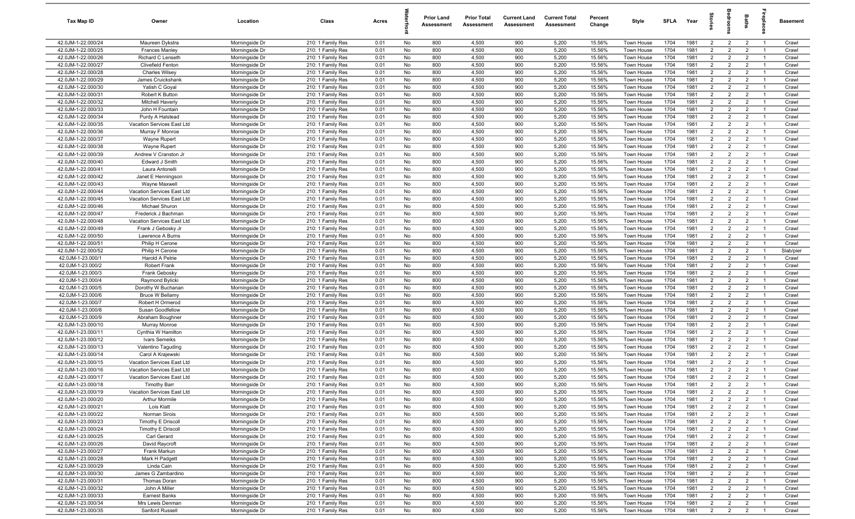| Tax Map ID                               | Owner                                | Location                         | Class                                  | Acres        |          | <b>Prior Land</b><br>Assessment | <b>Prior Total</b><br>Assessment | <b>Current Land</b><br>Assessment | <b>Current Total</b><br>Assessment | Percent<br>Change | Style                    | SFLA         | Year         | $\vec{e}$                        | ā                                | <b>Baths</b>                     | ireplace                         | Basement       |
|------------------------------------------|--------------------------------------|----------------------------------|----------------------------------------|--------------|----------|---------------------------------|----------------------------------|-----------------------------------|------------------------------------|-------------------|--------------------------|--------------|--------------|----------------------------------|----------------------------------|----------------------------------|----------------------------------|----------------|
| 42.0JM-1-22.000/24                       | Maureen Dykstra                      | Morningside Dr                   | 210: 1 Family Res                      | 0.01         | No       | 800                             | 4,500                            | 900                               | 5,200                              | 15.56%            | Town House               | 1704         | 1981         | $\overline{2}$                   | $\overline{2}$                   | $\overline{2}$                   | $\overline{1}$                   | Crawl          |
| 42.0JM-1-22.000/25                       | Frances Manley                       | Morningside Dr                   | 210: 1 Family Res                      | 0.01         | No       | 800                             | 4,500                            | 900                               | 5,200                              | 15.56%            | Town House               | 1704         | 1981         | $\overline{2}$                   | $\overline{2}$                   | $\overline{2}$                   | $\overline{1}$                   | Crawl          |
| 42.0JM-1-22.000/26                       | Richard C Lenseth                    | Morningside Dr                   | 210: 1 Family Res                      | 0.01         | No       | 800                             | 4,500                            | 900                               | 5,200                              | 15.56%            | Town House               | 1704         | 1981         | $\overline{2}$                   | $\overline{2}$                   | $\overline{2}$                   | $\overline{1}$                   | Crawl          |
| 42.0JM-1-22.000/27                       | <b>Clivefield Fenton</b>             | Morningside Dr                   | 210: 1 Family Res                      | 0.01         | No       | 800                             | 4,500                            | 900                               | 5,200                              | 15.56%            | Town House               | 1704         | 1981         | $\overline{2}$                   | $\overline{2}$                   | $\overline{2}$                   | -1                               | Crawl          |
| 42.0JM-1-22.000/28                       | <b>Charles Wilsey</b>                | Morningside Dr                   | 210: 1 Family Res                      | 0.01         | No       | 800                             | 4,500                            | 900                               | 5,200                              | 15.56%            | Town House               | 1704         | 1981         | $\overline{2}$                   | $\overline{2}$                   | $\overline{2}$                   | $\overline{1}$                   | Crawl          |
| 42.0JM-1-22.000/29                       | James Cruickshank                    | Morningside Dr                   | 210: 1 Family Res                      | 0.01         | No       | 800                             | 4,500                            | 900                               | 5,200                              | 15.56%            | Town House               | 1704         | 1981         | $\overline{2}$                   | $\overline{2}$                   | $\overline{2}$                   |                                  | Crawl          |
| 42.0JM-1-22.000/30                       | Yatish C Goyal                       | Morningside Dr                   | 210: 1 Family Res                      | 0.01         | No       | 800                             | 4,500                            | 900                               | 5,200                              | 15.56%            | Town House               | 1704         | 1981         | 2                                | $\overline{2}$                   | $\overline{2}$                   | $\overline{1}$                   | Crawl          |
| 42.0JM-1-22.000/31                       | Robert K Button                      | Morningside Dr                   | 210: 1 Family Res                      | 0.01         | No       | 800                             | 4,500                            | 900                               | 5,200                              | 15.56%            | <b>Town House</b>        | 1704         | 1981         | $\overline{2}$                   | $\overline{2}$                   | $\overline{2}$                   | -1                               | Crawl          |
| 42.0JM-1-22.000/32                       | <b>Mitchell Haverly</b>              | Morningside Dr                   | 210: 1 Family Res                      | 0.01         | No       | 800                             | 4,500                            | 900                               | 5,200                              | 15.56%            | Town House               | 1704         | 1981         | $\overline{2}$                   | $\overline{2}$                   | $\overline{2}$                   | $\overline{1}$                   | Crawl          |
| 42.0JM-1-22.000/33                       | John H Fountain                      | Morningside Dr                   | 210: 1 Family Res                      | 0.01         | No       | 800                             | 4,500                            | 900                               | 5,200                              | 15.56%            | Town House               | 1704         | 1981         | $\overline{2}$                   | $\overline{2}$                   | $\overline{2}$                   | $\overline{1}$                   | Crawl          |
| 42.0JM-1-22.000/34                       | Purdy A Halstead                     | Morningside Dr                   | 210: 1 Family Res                      | 0.01         | No       | 800                             | 4,500                            | 900                               | 5,200                              | 15.56%            | Town House               | 1704         | 1981         | $\overline{2}$                   | $\overline{2}$                   | $\overline{2}$                   | $\overline{1}$                   | Crawl          |
| 42.0JM-1-22.000/35                       | Vacation Services East Ltd           | Morningside Dr                   | 210: 1 Family Res                      | 0.01         | No       | 800                             | 4,500                            | 900                               | 5,200                              | 15.56%            | Town House               | 1704         | 1981         | $\overline{2}$                   | $\overline{2}$                   | $\overline{2}$                   | $\overline{1}$                   | Crawl          |
| 42.0JM-1-22.000/36                       | Murray F Monroe                      | Morningside Dr                   | 210: 1 Family Res                      | 0.01         | No       | 800                             | 4,500                            | 900                               | 5,200                              | 15.56%            | Town House               | 1704         | 1981         | $\overline{2}$                   | $\overline{2}$                   | $\overline{2}$                   | $\overline{1}$                   | Crawl          |
| 42.0JM-1-22.000/37                       | Wayne Rupert                         | Morningside Dr                   | 210: 1 Family Res                      | 0.01         | No       | 800<br>800                      | 4,500<br>4,500                   | 900<br>900                        | 5,200<br>5,200                     | 15.56%<br>15.56%  | Town House               | 1704<br>1704 | 1981<br>1981 | $\overline{2}$<br>2              | $\overline{2}$<br>$\overline{2}$ | $\overline{2}$                   | $\overline{1}$<br>-1             | Crawl          |
| 42.0JM-1-22.000/38<br>42.0JM-1-22.000/39 | Wayne Rupert<br>Andrew V Cranston Jr | Morningside Dr<br>Morningside Dr | 210: 1 Family Res<br>210: 1 Family Res | 0.01<br>0.01 | No<br>No | 800                             | 4,500                            | 900                               | 5,200                              | 15.56%            | Town House<br>Town House | 1704         | 1981         | $\overline{2}$                   | $\overline{2}$                   | $\overline{2}$<br>$\overline{2}$ | $\overline{1}$                   | Crawl<br>Crawl |
| 42.0JM-1-22.000/40                       | Edward J Smith                       | Morningside Dr                   | 210: 1 Family Res                      | 0.01         | No       | 800                             | 4,500                            | 900                               | 5,200                              | 15.56%            | Town House               | 1704         | 1981         | $\overline{2}$                   | $\overline{2}$                   | $\overline{2}$                   |                                  | Crawl          |
| 42.0JM-1-22.000/41                       | Laura Antonelli                      | Morningside Dr                   | 210: 1 Family Res                      | 0.01         | No       | 800                             | 4,500                            | 900                               | 5,200                              | 15.56%            | Town House               | 1704         | 1981         | $\overline{2}$                   | $\overline{2}$                   | $\overline{2}$                   | $\overline{1}$                   | Crawl          |
| 42.0JM-1-22.000/42                       | Janet E Henningson                   | Morningside Dr                   | 210: 1 Family Res                      | 0.01         | No       | 800                             | 4,500                            | 900                               | 5,200                              | 15.56%            | Town House               | 1704         | 1981         | $\overline{2}$                   | $\overline{2}$                   | $\overline{2}$                   |                                  | Crawl          |
| 42.0JM-1-22.000/43                       | Wayne Maxwell                        | Morningside Dr                   | 210: 1 Family Res                      | 0.01         | No       | 800                             | 4,500                            | 900                               | 5,200                              | 15.56%            | Town House               | 1704         | 1981         | $\overline{2}$                   | $\overline{2}$                   | $\overline{2}$                   | $\overline{1}$                   | Crawl          |
| 42.0JM-1-22.000/44                       | Vacation Services East Ltd           | Morningside Dr                   | 210: 1 Family Res                      | 0.01         | No       | 800                             | 4,500                            | 900                               | 5,200                              | 15.56%            | Town House               | 1704         | 1981         | $\overline{2}$                   | $\overline{2}$                   | $\overline{2}$                   | $\overline{1}$                   | Crawl          |
| 42.0JM-1-22.000/45                       | Vacation Services East Ltd           | Morningside Dr                   | 210: 1 Family Res                      | 0.01         | No       | 800                             | 4,500                            | 900                               | 5,200                              | 15.56%            | Town House               | 1704         | 1981         | $\overline{2}$                   | $\overline{2}$                   | $\overline{2}$                   | $\overline{1}$                   | Crawl          |
| 42.0JM-1-22.000/46                       | Michael Shuron                       | Morningside Dr                   | 210: 1 Family Res                      | 0.01         | No       | 800                             | 4,500                            | 900                               | 5,200                              | 15.56%            | Town House               | 1704         | 1981         | $\overline{2}$                   | $\overline{2}$                   | $\overline{2}$                   | $\overline{1}$                   | Crawl          |
| 42.0JM-1-22.000/47                       | Frederick J Bachman                  | Morningside Dr                   | 210: 1 Family Res                      | 0.01         | No       | 800                             | 4,500                            | 900                               | 5,200                              | 15.56%            | Town House               | 1704         | 1981         | $\overline{2}$                   | $\overline{2}$                   | $\overline{2}$                   | $\overline{1}$                   | Crawl          |
| 42.0JM-1-22.000/48                       | Vacation Services East Ltd           | Morningside Dr                   | 210: 1 Family Res                      | 0.01         | No       | 800                             | 4,500                            | 900                               | 5,200                              | 15.56%            | Town House               | 1704         | 1981         | $\overline{2}$                   | $\overline{2}$                   | $\overline{2}$                   | $\overline{1}$                   | Crawl          |
| 42.0JM-1-22.000/49                       | Frank J Gebosky Jr                   | Morningside Dr                   | 210: 1 Family Res                      | 0.01         | No       | 800                             | 4,500                            | 900                               | 5,200                              | 15.56%            | Town House               | 1704         | 1981         | $\overline{2}$                   | $\overline{2}$                   | $\overline{2}$                   | $\overline{1}$                   | Crawl          |
| 42.0JM-1-22.000/50                       | Lawrence A Burns                     | Morningside Dr                   | 210: 1 Family Res                      | 0.01         | No       | 800                             | 4,500                            | 900                               | 5,200                              | 15.56%            | Town House               | 1704         | 1981         | $\overline{2}$                   | 2                                | $\overline{2}$                   | $\overline{1}$                   | Crawl          |
| 42.0JM-1-22.000/51                       | Philip H Cerone                      | Morningside Dr                   | 210: 1 Family Res                      | 0.01         | No       | 800                             | 4,500                            | 900                               | 5,200                              | 15.56%            | Town House               | 1704         | 1981         | $\overline{2}$                   | $\overline{2}$                   | $\overline{2}$                   |                                  | Crawl          |
| 42.0JM-1-22.000/52                       | Philip H Cerone                      | Morningside Dr                   | 210: 1 Family Res                      | 0.01         | No       | 800                             | 4,500                            | 900                               | 5,200                              | 15.56%            | Town House               | 1704         | 1981         | $\overline{2}$                   | $\overline{2}$                   | $\overline{2}$                   | $\overline{1}$                   | Slab/pier      |
| 42.0JM-1-23.000/1                        | Harold A Petrie                      | Morningside Dr                   | 210: 1 Family Res                      | 0.01         | No       | 800                             | 4,500                            | 900                               | 5,200                              | 15.56%            | Town House               | 1704         | 1981         | $\overline{2}$                   | $\overline{2}$                   | $\overline{2}$                   |                                  | Crawl          |
| 42.0JM-1-23.000/2                        | <b>Robert Frank</b>                  | Morningside Dr                   | 210: 1 Family Res                      | 0.01         | No       | 800                             | 4,500                            | 900                               | 5,200                              | 15.56%            | Town House               | 1704         | 1981         | $2^{\circ}$                      | $\overline{2}$                   | $\overline{2}$                   | $\overline{1}$                   | Crawl          |
| 42.0JM-1-23.000/3                        | Frank Gebosky                        | Morningside Dr                   | 210: 1 Family Res                      | 0.01         | No       | 800                             | 4,500                            | 900                               | 5,200                              | 15.56%            | Town House               | 1704         | 1981         | 2                                | $\overline{2}$                   | $\overline{2}$                   | $\overline{1}$                   | Crawl          |
| 42.0JM-1-23.000/4                        | Raymond Bylicki                      | Morningside Dr                   | 210: 1 Family Res                      | 0.01         | No       | 800                             | 4,500                            | 900                               | 5,200                              | 15.56%            | Town House               | 1704         | 1981         | $\overline{2}$                   | $\overline{2}$                   | $\overline{2}$                   | $\overline{1}$                   | Crawl          |
| 42.0JM-1-23.000/5                        | Dorothy W Buchanan                   | Morningside Dr                   | 210: 1 Family Res                      | 0.01         | No       | 800                             | 4,500                            | 900                               | 5,200                              | 15.56%            | Town House               | 1704         | 1981         | 2                                | $\overline{2}$                   | $\overline{2}$                   | $\overline{1}$                   | Crawl          |
| 42.0JM-1-23.000/6                        | Bruce W Bellamy                      | Morningside Dr                   | 210: 1 Family Res                      | 0.01         | No       | 800                             | 4,500                            | 900                               | 5,200                              | 15.56%            | Town House               | 1704         | 1981         | $\overline{2}$                   | $\overline{2}$                   | $\overline{2}$                   | $\overline{1}$                   | Crawl          |
| 42.0JM-1-23.000/7                        | Robert H Ormerod                     | Morningside Dr                   | 210: 1 Family Res                      | 0.01         | No       | 800                             | 4,500                            | 900                               | 5,200                              | 15.56%            | Town House               | 1704         | 1981         | $\overline{2}$                   | $\overline{2}$                   | $\overline{2}$                   | $\overline{1}$                   | Crawl          |
| 42.0JM-1-23.000/8                        | Susan Goodfellow                     | Morningside Dr                   | 210: 1 Family Res                      | 0.01         | No       | 800                             | 4,500                            | 900                               | 5,200                              | 15.56%            | Town House               | 1704         | 1981         | 2                                | $\overline{2}$                   | $\overline{2}$                   | $\overline{1}$                   | Crawl          |
| 42.0JM-1-23.000/9                        | Abraham Boughner                     | Morningside Dr                   | 210: 1 Family Res                      | 0.01         | No       | 800                             | 4,500                            | 900                               | 5,200                              | 15.56%            | Town House               | 1704         | 1981         | $\overline{2}$                   | $\overline{2}$                   | $\overline{2}$                   | $\overline{1}$                   | Crawl          |
| 42.0JM-1-23.000/10                       | Murray Monroe<br>Cynthia W Hamilton  | Morningside Dr                   | 210: 1 Family Res                      | 0.01         | No       | 800<br>800                      | 4,500<br>4,500                   | 900<br>900                        | 5,200<br>5,200                     | 15.56%<br>15.56%  | Town House               | 1704<br>1704 | 1981<br>1981 | $\overline{2}$<br>$\overline{2}$ | $\overline{2}$<br>2              | $\overline{2}$<br>$\overline{2}$ | $\overline{1}$<br>$\overline{1}$ | Crawl          |
| 42.0JM-1-23.000/11<br>42.0JM-1-23.000/12 | Ivars Semeiks                        | Morningside Dr<br>Morningside Dr | 210: 1 Family Res<br>210: 1 Family Res | 0.01<br>0.01 | No<br>No | 800                             | 4,500                            | 900                               | 5,200                              | 15.56%            | Town House<br>Town House | 1704         | 1981         | $\overline{2}$                   | $\overline{2}$                   | $\overline{2}$                   | - 1                              | Crawl<br>Crawl |
| 42.0JM-1-23.000/13                       | Valentino Taguding                   | Morningside Dr                   | 210: 1 Family Res                      | 0.01         | No       | 800                             | 4,500                            | 900                               | 5,200                              | 15.56%            | Town House               | 1704         | 1981         | $\overline{2}$                   | $\overline{2}$                   | $\overline{2}$                   | $\overline{1}$                   | Crawl          |
| 42.0JM-1-23.000/14                       | Carol A Krajewski                    | Morningside Dr                   | 210: 1 Family Res                      | 0.01         | No       | 800                             | 4,500                            | 900                               | 5,200                              | 15.56%            | Town House               | 1704         | 1981         | $\overline{2}$                   | $\overline{2}$                   | $\overline{2}$                   |                                  | Crawl          |
| 42.0JM-1-23.000/15                       | Vacation Services East Ltd           | Morningside Dr                   | 210: 1 Family Res                      | 0.01         | No       | 800                             | 4,500                            | 900                               | 5,200                              | 15.56%            | Town House               | 1704         | 1981         | 2                                | $\overline{2}$                   | $\overline{2}$                   | - 1                              | Crawl          |
| 42.0JM-1-23.000/16                       | Vacation Services East Ltd           | Morningside Dr                   | 210: 1 Family Res                      | 0.01         | No       | 800                             | 4,500                            | 900                               | 5,200                              | 15.56%            | Town House               | 1704         | 1981         | $\overline{2}$                   | $\overline{2}$                   | $\overline{2}$                   |                                  | Crawl          |
| 42.0JM-1-23.000/17                       | Vacation Services East Ltd           | Morningside Dr                   | 210: 1 Family Res                      | 0.01         | No       | 800                             | 4,500                            | 900                               | 5,200                              | 15.56%            | Town House               | 1704         | 1981         | $\overline{2}$                   | $\overline{2}$                   | $\overline{2}$                   | $\overline{1}$                   | Crawl          |
| 42.0JM-1-23.000/18                       | <b>Timothy Barr</b>                  | Morningside Dr                   | 210: 1 Family Res                      | 0.01         | No       | 800                             | 4,500                            | 900                               | 5,200                              | 15.56%            | Town House               | 1704         | 1981         | $\overline{2}$                   | $\mathfrak{p}$                   | $\overline{2}$                   |                                  | Crawl          |
| 42.0JM-1-23.000/19                       | Vacation Services East Ltd           | Morningside Dr                   | 210: 1 Family Res                      | 0.01         | No       | 800                             | 4,500                            | 900                               | 5,200                              | 15.56%            | Town House               | 1704         | 1981         | $\overline{2}$                   | $\overline{2}$                   | $\overline{2}$                   | $\overline{1}$                   | Crawl          |
| 42.0JM-1-23.000/20                       | <b>Arthur Mormile</b>                | Morningside Dr                   | 210: 1 Family Res                      | 0.01         | No       | 800                             | 4,500                            | 900                               | 5,200                              | 15.56%            | Town House               | 1704         | 1981         | $\overline{2}$                   | $\overline{2}$                   | $\overline{2}$                   | $\overline{1}$                   | Crawl          |
| 42.0JM-1-23.000/21                       | Lois Klatt                           | Morningside Dr                   | 210: 1 Family Res                      | 0.01         | No       | 800                             | 4,500                            | 900                               | 5,200                              | 15.56%            | Town House               | 1704         | 1981         | $\overline{2}$                   | $\overline{2}$                   | $\overline{2}$                   | $\overline{1}$                   | Crawl          |
| 42.0JM-1-23.000/22                       | Norman Sirois                        | Morningside Dr                   | 210: 1 Family Res                      | 0.01         | No       | 800                             | 4,500                            | 900                               | 5,200                              | 15.56%            | Town House               | 1704         | 1981         | $\overline{2}$                   | $\overline{2}$                   | $\overline{2}$                   | $\overline{1}$                   | Crawl          |
| 42.0JM-1-23.000/23                       | Timothy E Driscoll                   | Morningside Dr                   | 210: 1 Family Res                      | 0.01         | No       | 800                             | 4,500                            | 900                               | 5,200                              | 15.56%            | Town House               | 1704         | 1981         | $\overline{2}$                   | 2                                | $\overline{2}$                   | $\overline{1}$                   | Crawl          |
| 42.0JM-1-23.000/24                       | Timothy E Driscoll                   | Morningside Dr                   | 210: 1 Family Res                      | 0.01         | No       | 800                             | 4,500                            | 900                               | 5,200                              | 15.56%            | Town House               | 1704         | 1981         | $\overline{2}$                   | $\overline{2}$                   | $\overline{2}$                   | $\overline{1}$                   | Crawl          |
| 42.0JM-1-23.000/25                       | Carl Gerard                          | Morningside Dr                   | 210: 1 Family Res                      | 0.01         | No       | 800                             | 4,500                            | 900                               | 5,200                              | 15.56%            | Town House               | 1704         | 1981         | $\overline{2}$                   | $\overline{2}$                   | $\overline{2}$                   | $\overline{1}$                   | Crawl          |
| 42.0JM-1-23.000/26                       | David Raycroft                       | Morningside Dr                   | 210: 1 Family Res                      | 0.01         | No       | 800                             | 4,500                            | 900                               | 5,200                              | 15.56%            | Town House               | 1704         | 1981         | $\overline{2}$                   | $\overline{2}$                   | $\overline{2}$                   | $\overline{1}$                   | Crawl          |
| 42.0JM-1-23.000/27                       | Frank Markun                         | Morningside Dr                   | 210: 1 Family Res                      | 0.01         | No       | 800                             | 4,500                            | 900                               | 5,200                              | 15.56%            | Town House               | 1704         | 1981         | $\overline{2}$                   | $\overline{2}$                   | $\overline{2}$                   |                                  | Crawl          |
| 42.0JM-1-23.000/28                       | Mark H Padgett                       | Morningside Dr                   | 210: 1 Family Res                      | 0.01         | No       | 800                             | 4,500                            | 900                               | 5,200                              | 15.56%            | Town House               | 1704         | 1981         | $\overline{2}$                   | $\overline{2}$                   | $\overline{2}$                   | $\overline{1}$                   | Crawl          |
| 42.0JM-1-23.000/29                       | Linda Cain                           | Morningside Dr                   | 210: 1 Family Res                      | 0.01         | No       | 800                             | 4,500                            | 900                               | 5,200                              | 15.56%            | Town House               | 1704         | 1981         | $\overline{2}$                   | $\overline{2}$                   | $\overline{2}$                   | $\overline{1}$                   | Crawl          |
| 42.0JM-1-23.000/30                       | James G Zambardino                   | Morningside Dr                   | 210: 1 Family Res                      | 0.01         | No       | 800                             | 4,500                            | 900                               | 5,200<br>5,200                     | 15.56%            | Town House               | 1704         | 1981         | $\overline{2}$                   | $\overline{2}$                   | $\overline{2}$                   | $\overline{1}$                   | Crawl          |
| 42.0JM-1-23.000/31<br>42.0JM-1-23.000/32 | Thomas Doran<br>John A Miller        | Morningside Dr<br>Morningside Dr | 210: 1 Family Res<br>210: 1 Family Res | 0.01<br>0.01 | No       | 800<br>800                      | 4,500                            | 900<br>900                        | 5,200                              | 15.56%            | Town House               | 1704         | 1981<br>1981 | $\overline{2}$<br>$\overline{2}$ | $\overline{2}$<br>$\overline{2}$ | $\overline{2}$<br>$\overline{2}$ | $\overline{1}$<br>$\overline{1}$ | Crawl          |
| 42.0JM-1-23.000/33                       | <b>Earnest Banks</b>                 | Morningside Dr                   | 210: 1 Family Res                      | 0.01         | No<br>No | 800                             | 4,500<br>4,500                   | 900                               | 5,200                              | 15.56%<br>15.56%  | Town House<br>Town House | 1704<br>1704 | 1981         | $\overline{2}$                   | $\overline{2}$                   | $\overline{2}$                   | $\overline{1}$                   | Crawl<br>Crawl |
| 42.0JM-1-23.000/34                       | Mrs Lewis Denman                     | Morningside Dr                   | 210: 1 Family Res                      | 0.01         | No       | 800                             | 4,500                            | 900                               | 5,200                              | 15.56%            | Town House               | 1704         | 1981         | $\overline{2}$                   | $\overline{2}$                   | $\overline{2}$                   | $\overline{1}$                   | Crawl          |
| 42.0JM-1-23.000/35                       | Sanford Russell                      | Morningside Dr                   | 210: 1 Family Res                      | 0.01         | No       | 800                             | 4,500                            | 900                               | 5,200                              | 15.56%            | Town House               | 1704         | 1981         | $\overline{2}$                   | $\overline{2}$                   | $\overline{2}$                   | $\overline{1}$                   | Crawl          |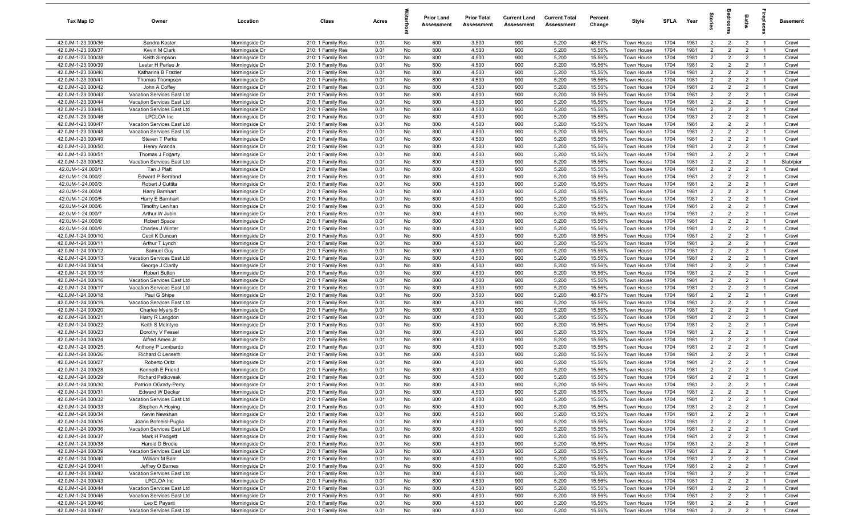| Tax Map ID                               | Owner                                          | Location                         | Class                                  | Acres        |          | <b>Prior Land</b><br>Assessment | <b>Prior Total</b><br>Assessment | <b>Current Land</b><br>Assessment | <b>Current Total</b><br>Assessment | Percent<br>Change | Style                    | SFLA         | Year         | $\frac{1}{2}$                    | ē                                | <b>Baths</b>                     | ireplace                         | Basement       |
|------------------------------------------|------------------------------------------------|----------------------------------|----------------------------------------|--------------|----------|---------------------------------|----------------------------------|-----------------------------------|------------------------------------|-------------------|--------------------------|--------------|--------------|----------------------------------|----------------------------------|----------------------------------|----------------------------------|----------------|
| 42.0JM-1-23.000/36                       | Sandra Koster                                  | Morningside Dr                   | 210: 1 Family Res                      | 0.01         | No       | 600                             | 3,500                            | 900                               | 5,200                              | 48.57%            | Town House               | 1704         | 1981         | $\overline{2}$                   | $\overline{2}$                   | $\overline{2}$                   | $\overline{1}$                   | Crawl          |
| 42.0JM-1-23.000/37                       | Kevin M Clark                                  | Morningside Dr                   | 210: 1 Family Res                      | 0.01         | No       | 800                             | 4,500                            | 900                               | 5,200                              | 15.56%            | Town House               | 1704         | 1981         | $\overline{2}$                   | $\overline{2}$                   | $\overline{2}$                   | $\overline{1}$                   | Crawl          |
| 42.0JM-1-23.000/38                       | Keith Simpson                                  | Morningside Dr                   | 210: 1 Family Res                      | 0.01         | No       | 800                             | 4,500                            | 900                               | 5,200                              | 15.56%            | Town House               | 1704         | 1981         | 2                                | $\overline{2}$                   | $\overline{2}$                   | $\overline{1}$                   | Crawl          |
| 42.0JM-1-23.000/39                       | Lester H Perlee Jr                             | Morningside Dr                   | 210: 1 Family Res                      | 0.01         | No       | 800                             | 4,500                            | 900                               | 5,200                              | 15.56%            | Town House               | 1704         | 1981         | $\overline{2}$                   | $\overline{2}$                   | $\overline{2}$                   | - 1                              | Crawl          |
| 42.0JM-1-23.000/40                       | Katharina B Frazier                            | Morningside Dr                   | 210: 1 Family Res                      | 0.01         | No       | 800                             | 4,500                            | 900                               | 5,200                              | 15.56%            | Town House               | 1704         | 1981         | $\overline{2}$                   | $\overline{2}$                   | $\overline{2}$                   | $\overline{1}$                   | Crawl          |
| 42.0JM-1-23.000/41                       | Thomas Thompson                                | Morningside Dr                   | 210: 1 Family Res                      | 0.01         | No       | 800                             | 4,500                            | 900                               | 5,200                              | 15.56%            | Town House               | 1704         | 1981         | $\overline{2}$                   | $\overline{2}$                   | $\overline{2}$                   |                                  | Crawl          |
| 42.0JM-1-23.000/42                       | John A Coffey                                  | Morningside Dr                   | 210: 1 Family Res                      | 0.01         | No       | 800                             | 4,500                            | 900                               | 5,200                              | 15.56%            | <b>Town House</b>        | 1704         | 1981         | 2                                | $\overline{2}$                   | $\overline{2}$                   | $\overline{1}$                   | Crawl          |
| 42.0JM-1-23.000/43                       | Vacation Services East Ltd                     | Morningside Dr                   | 210: 1 Family Res                      | 0.01         | No       | 800                             | 4,500                            | 900                               | 5,200                              | 15.56%            | Town House               | 1704         | 1981         | $\overline{2}$                   | $\overline{2}$                   | $\overline{2}$                   | - 1                              | Crawl          |
| 42.0JM-1-23.000/44                       | Vacation Services East Ltd                     | Morningside Dr                   | 210: 1 Family Res                      | 0.01         | No       | 800                             | 4,500                            | 900                               | 5,200                              | 15.56%            | Town House               | 1704         | 1981         | $\overline{2}$                   | $\overline{2}$                   | $\overline{2}$                   | $\overline{1}$                   | Crawl          |
| 42.0JM-1-23.000/45                       | Vacation Services East Ltd                     | Morningside Dr                   | 210: 1 Family Res                      | 0.01         | No       | 800                             | 4,500                            | 900                               | 5,200                              | 15.56%            | Town House               | 1704         | 1981         | $\overline{2}$                   | $\overline{2}$                   | $\overline{2}$                   | $\overline{1}$                   | Crawl          |
| 42.0JM-1-23.000/46                       | <b>LPCLOA</b> Inc                              | Morningside Dr                   | 210: 1 Family Res                      | 0.01         | No       | 800                             | 4,500                            | 900                               | 5,200                              | 15.56%            | Town House               | 1704         | 1981         | $\overline{2}$                   | $\overline{2}$                   | $\overline{2}$                   | $\overline{1}$                   | Crawl          |
| 42.0JM-1-23.000/47                       | Vacation Services East Ltd                     | Morningside Dr                   | 210: 1 Family Res                      | 0.01         | No       | 800                             | 4,500                            | 900                               | 5,200                              | 15.56%            | Town House               | 1704         | 1981         | $\overline{2}$                   | $\overline{2}$                   | $\overline{2}$                   | $\overline{1}$                   | Crawl          |
| 42.0JM-1-23.000/48                       | Vacation Services East Ltd                     | Morningside Dr                   | 210: 1 Family Res                      | 0.01         | No       | 800                             | 4,500                            | 900                               | 5,200                              | 15.56%            | Town House               | 1704         | 1981         | 2                                | $\overline{2}$                   | $\overline{2}$                   | $\overline{1}$                   | Crawl          |
| 42.0JM-1-23.000/49                       | Steven T Perks                                 | Morningside Dr                   | 210: 1 Family Res                      | 0.01         | No       | 800                             | 4,500                            | 900                               | 5,200                              | 15.56%            | Town House               | 1704         | 1981         | $\overline{2}$                   | $\overline{2}$                   | $\overline{2}$                   | $\overline{1}$                   | Crawl          |
| 42.0JM-1-23.000/50                       | Henry Aranda                                   | Morningside Dr                   | 210: 1 Family Res                      | 0.01         | No       | 800                             | 4,500                            | 900                               | 5,200                              | 15.56%            | Town House               | 1704         | 1981         | 2                                | $\overline{2}$                   | $\overline{2}$                   | $\overline{1}$                   | Crawl          |
| 42.0JM-1-23.000/51                       | Thomas J Fogarty                               | Morningside Dr                   | 210: 1 Family Res                      | 0.01         | No       | 800                             | 4,500                            | 900                               | 5,200                              | 15.56%            | Town House               | 1704         | 1981         | $\overline{2}$                   | $\overline{2}$                   | $\overline{2}$                   | $\overline{1}$                   | Crawl          |
| 42.0JM-1-23.000/52                       | Vacation Services East Ltd                     | Morningside Dr                   | 210: 1 Family Res                      | 0.01         | No       | 800                             | 4,500                            | 900                               | 5,200                              | 15.56%            | Town House               | 1704         | 1981         | $\overline{2}$                   | $\overline{2}$                   | $\overline{2}$                   |                                  | Slab/pier      |
| 42.0JM-1-24.000/1                        | Tan J Platt                                    | Morningside Dr                   | 210: 1 Family Res                      | 0.01         | No       | 800                             | 4,500                            | 900                               | 5,200                              | 15.56%            | Town House               | 1704         | 1981         | $\overline{2}$                   | $\overline{2}$                   | $\overline{2}$                   | $\overline{1}$                   | Crawl          |
| 42.0JM-1-24.000/2                        | Edward P Bertrand                              | Morningside Dr                   | 210: 1 Family Res                      | 0.01         | No       | 800                             | 4,500                            | 900                               | 5,200                              | 15.56%            | Town House               | 1704         | 1981         | $\overline{2}$                   | $\overline{2}$                   | $\overline{2}$                   |                                  | Crawl          |
| 42.0JM-1-24.000/3                        | Robert J Cuttita                               | Morningside Dr                   | 210: 1 Family Res                      | 0.01         | No       | 800                             | 4,500                            | 900                               | 5,200                              | 15.56%            | Town House               | 1704         | 1981         | $\overline{2}$                   | $\overline{2}$                   | $\overline{2}$                   | $\overline{1}$                   | Crawl          |
| 42.0JM-1-24.000/4                        | Harry Barnhart                                 | Morningside Dr                   | 210: 1 Family Res                      | 0.01         | No       | 800                             | 4,500                            | 900                               | 5,200                              | 15.56%            | Town House               | 1704         | 1981         | $\overline{2}$                   | $\overline{2}$                   | $\overline{2}$                   | $\overline{1}$                   | Crawl          |
| 42.0JM-1-24.000/5                        | Harry E Barnhart                               | Morningside Dr                   | 210: 1 Family Res                      | 0.01         | No       | 800                             | 4,500                            | 900                               | 5,200                              | 15.56%            | Town House               | 1704         | 1981         | $\overline{2}$                   | $\overline{2}$                   | $\overline{2}$                   | $\overline{1}$                   | Crawl          |
| 42.0JM-1-24.000/6                        | <b>Timothy Lenihan</b>                         | Morningside Dr                   | 210: 1 Family Res                      | 0.01         | No       | 800                             | 4,500                            | 900                               | 5,200                              | 15.56%            | Town House               | 1704         | 1981         | $\overline{2}$                   | $\overline{2}$                   | $\overline{2}$                   | $\overline{1}$                   | Crawl          |
| 42.0JM-1-24.000/7                        | Arthur W Jubin                                 | Morningside Dr                   | 210: 1 Family Res                      | 0.01         | No       | 800                             | 4,500                            | 900                               | 5,200                              | 15.56%            | Town House               | 1704         | 1981         | 2                                | $\overline{2}$                   | $\overline{2}$                   | $\overline{1}$                   | Crawl          |
| 42.0JM-1-24.000/8                        | Robert Space                                   | Morningside Dr                   | 210: 1 Family Res                      | 0.01         | No       | 800                             | 4,500                            | 900                               | 5,200                              | 15.56%            | Town House               | 1704         | 1981         | $\overline{2}$                   | $\overline{2}$                   | $\overline{2}$                   | $\overline{1}$                   | Crawl          |
| 42.0JM-1-24.000/9                        | Charles J Winter                               | Morningside Dr                   | 210: 1 Family Res                      | 0.01         | No       | 800                             | 4,500                            | 900                               | 5,200                              | 15.56%            | Town House               | 1704         | 1981         | 2                                | $\overline{2}$                   | $\overline{2}$                   | $\overline{1}$                   | Crawl          |
| 42.0JM-1-24.000/10                       | Cecil K Duncan                                 | Morningside Dr                   | 210: 1 Family Res                      | 0.01         | No       | 800                             | 4,500                            | 900                               | 5,200                              | 15.56%            | Town House               | 1704         | 1981         | $\overline{2}$                   | 2                                | $\overline{2}$                   | $\overline{1}$                   | Crawl          |
| 42.0JM-1-24.000/11                       | Arthur T Lynch                                 | Morningside Dr                   | 210: 1 Family Res                      | 0.01         | No       | 800                             | 4,500                            | 900                               | 5,200                              | 15.56%            | Town House               | 1704         | 1981         | $\overline{2}$                   | $\overline{2}$                   | $\overline{2}$                   |                                  | Crawl          |
| 42.0JM-1-24.000/12                       | Samuel Guy                                     | Morningside Dr                   | 210: 1 Family Res                      | 0.01         | No       | 800                             | 4,500                            | 900                               | 5,200                              | 15.56%            | Town House               | 1704         | 1981         | $\overline{2}$                   | $\overline{2}$                   | $\overline{2}$                   | $\overline{1}$                   | Crawl          |
| 42.0JM-1-24.000/13                       | Vacation Services East Ltd                     | Morningside Dr                   | 210: 1 Family Res                      | 0.01         | No       | 800                             | 4,500                            | 900                               | 5,200                              | 15.56%            | Town House               | 1704         | 1981         | $\overline{2}$                   | $\overline{2}$                   | $\overline{2}$                   | - 1                              | Crawl          |
| 42.0JM-1-24.000/14                       | George J Clarity                               | Morningside Dr                   | 210: 1 Family Res                      | 0.01         | No       | 800                             | 4,500                            | 900                               | 5,200                              | 15.56%            | Town House               | 1704         | 1981         | $\overline{2}$                   | $\overline{2}$                   | $\overline{2}$                   | $\overline{1}$                   | Crawl          |
| 42.0JM-1-24.000/15                       | Robert Button                                  | Morningside Dr                   | 210: 1 Family Res                      | 0.01         | No       | 800                             | 4,500                            | 900                               | 5,200                              | 15.56%            | <b>Town House</b>        | 1704         | 1981         | $\overline{2}$                   | $\overline{2}$                   | $\overline{2}$                   | -1                               | Crawl          |
| 42.0JM-1-24.000/16                       | Vacation Services East Ltd                     | Morningside Dr                   | 210: 1 Family Res                      | 0.01         | No       | 800                             | 4,500                            | 900                               | 5,200                              | 15.56%            | Town House               | 1704         | 1981         | $\overline{2}$                   | $\overline{2}$                   | $\overline{2}$                   | $\overline{1}$                   | Crawl          |
| 42.0JM-1-24.000/17                       | Vacation Services East Ltd                     | Morningside Dr                   | 210: 1 Family Res                      | 0.01         | No       | 800                             | 4,500                            | 900                               | 5,200                              | 15.56%            | Town House               | 1704         | 1981         | $\overline{2}$                   | $\overline{2}$                   | $\overline{2}$                   | $\overline{1}$                   | Crawl          |
| 42.0JM-1-24.000/18                       | Paul G Shipe                                   | Morningside Dr                   | 210: 1 Family Res                      | 0.01         | No       | 600                             | 3,500                            | 900                               | 5,200                              | 48.57%            | Town House               | 1704         | 1981         | $\overline{2}$                   | $\overline{2}$                   | $\overline{2}$                   | $\overline{1}$                   | Crawl          |
| 42.0JM-1-24.000/19                       | Vacation Services East Ltd                     | Morningside Dr                   | 210: 1 Family Res                      | 0.01         | No       | 800                             | 4,500                            | 900                               | 5,200                              | 15.56%            | Town House               | 1704         | 1981         | $\overline{2}$                   | $\overline{2}$                   | $\overline{2}$                   | $\overline{1}$                   | Crawl          |
| 42.0JM-1-24.000/20                       | Charles Myers Sr                               | Morningside Dr                   | 210: 1 Family Res                      | 0.01         | No       | 800                             | 4,500                            | 900                               | 5,200                              | 15.56%            | Town House               | 1704         | 1981         | 2                                | $\overline{2}$                   | $\overline{2}$                   | $\overline{1}$                   | Crawl          |
| 42.0JM-1-24.000/21                       | Harry R Langdon                                | Morningside Dr                   | 210: 1 Family Res                      | 0.01         | No       | 800                             | 4,500                            | 900                               | 5,200                              | 15.56%            | Town House               | 1704         | 1981         | $\overline{2}$                   | $\overline{2}$                   | $\overline{2}$                   | $\overline{1}$                   | Crawl          |
| 42.0JM-1-24.000/22                       | Keith S McIntyre                               | Morningside Dr                   | 210: 1 Family Res                      | 0.01         | No       | 800                             | 4,500                            | 900                               | 5,200                              | 15.56%            | Town House               | 1704         | 1981         | $\overline{2}$                   | $\overline{2}$                   | $\overline{2}$                   | $\overline{1}$                   | Crawl          |
| 42.0JM-1-24.000/23                       | Dorothy V Fessel                               | Morningside Dr                   | 210: 1 Family Res                      | 0.01         | No       | 800                             | 4,500                            | 900                               | 5,200                              | 15.56%            | Town House               | 1704         | 1981         | $\overline{2}$                   | 2                                | $\overline{2}$                   | $\overline{1}$                   | Crawl          |
| 42.0JM-1-24.000/24                       | Alfred Ames Jr                                 | Morningside Dr                   | 210: 1 Family Res                      | 0.01         | No       | 800                             | 4,500                            | 900                               | 5,200                              | 15.56%            | Town House               | 1704         | 1981         | $\overline{2}$                   | $\overline{2}$                   | $\overline{2}$                   | -1                               | Crawl          |
| 42.0JM-1-24.000/25                       | Anthony P Lombardo                             | Morningside Dr                   | 210: 1 Family Res                      | 0.01         | No       | 800                             | 4,500                            | 900                               | 5,200                              | 15.56%            | Town House               | 1704         | 1981         | $\overline{2}$                   | $\overline{2}$                   | $\overline{2}$                   | $\overline{1}$                   | Crawl          |
| 42.0JM-1-24.000/26                       | Richard C Lenseth                              | Morningside Dr                   | 210: 1 Family Res                      | 0.01         | No       | 800                             | 4,500                            | 900                               | 5,200                              | 15.56%            | Town House               | 1704         | 1981         | $\overline{2}$<br>2              | $\overline{2}$                   | $\overline{2}$                   |                                  | Crawl          |
| 42.0JM-1-24.000/27                       | Roberto Oritz                                  | Morningside Dr                   | 210: 1 Family Res                      | 0.01         | No       | 800                             | 4,500                            | 900                               | 5,200                              | 15.56%            | Town House               | 1704         | 1981         | $\overline{2}$                   | $\overline{2}$                   | $\overline{2}$                   | -1                               | Crawl          |
| 42.0JM-1-24.000/28                       | Kenneth E Friend                               | Morningside Dr                   | 210: 1 Family Res                      | 0.01         | No       | 800                             | 4,500                            | 900                               | 5,200                              | 15.56%            | Town House               | 1704         | 1981         |                                  | $\overline{2}$                   | $\overline{2}$                   |                                  | Crawl          |
| 42.0JM-1-24.000/29                       | <b>Richard Petkovsek</b>                       | Morningside Dr                   | 210: 1 Family Res                      | 0.01<br>0.01 | No       | 800                             | 4,500                            | 900                               | 5,200                              | 15.56%<br>15.56%  | Town House               | 1704<br>1704 | 1981<br>1981 | $\overline{2}$<br>$\overline{2}$ | $\overline{2}$<br>2              | $\overline{2}$<br>$\overline{2}$ | $\overline{1}$                   | Crawl<br>Crawl |
| 42.0JM-1-24.000/30                       | Patricia OGrady-Perry                          | Morningside Dr                   | 210: 1 Family Res                      |              | No       | 800                             | 4,500                            | 900                               | 5,200                              |                   | Town House               |              |              |                                  |                                  |                                  |                                  |                |
| 42.0JM-1-24.000/31                       | <b>Edward W Decker</b>                         | Morningside Dr                   | 210: 1 Family Res                      | 0.01         | No       | 800                             | 4,500                            | 900                               | 5,200<br>5,200                     | 15.56%            | Town House               | 1704         | 1981         | $\overline{2}$<br>$\overline{2}$ | $\overline{2}$<br>$\overline{2}$ | $\overline{2}$                   | $\overline{1}$<br>$\overline{1}$ | Crawl<br>Crawl |
| 42.0JM-1-24.000/32<br>42.0JM-1-24.000/33 | Vacation Services East Ltd<br>Stephen A Hoying | Morningside Dr<br>Morningside Dr | 210: 1 Family Res<br>210: 1 Family Res | 0.01<br>0.01 | No<br>No | 800<br>800                      | 4,500<br>4,500                   | 900<br>900                        | 5,200                              | 15.56%<br>15.56%  | Town House<br>Town House | 1704<br>1704 | 1981<br>1981 | $\overline{2}$                   | $\overline{2}$                   | $\overline{2}$<br>$\overline{2}$ | $\overline{1}$                   | Crawl          |
| 42.0JM-1-24.000/34                       | Kevin Newshan                                  | Morningside Dr                   | 210: 1 Family Res                      | 0.01         | No       | 800                             | 4,500                            | 900                               | 5,200                              | 15.56%            | Town House               | 1704         | 1981         | $\overline{2}$                   | $\overline{2}$                   | $\overline{2}$                   | $\overline{1}$                   | Crawl          |
| 42.0JM-1-24.000/35                       | Joann Bomeisl-Puglia                           | Morningside Dr                   | 210: 1 Family Res                      | 0.01         | No       | 800                             | 4,500                            | 900                               | 5,200                              | 15.56%            | Town House               | 1704         | 1981         | $\overline{2}$                   | $\overline{2}$                   | $\overline{2}$                   | $\overline{1}$                   | Crawl          |
| 42.0JM-1-24.000/36                       | Vacation Services East Ltd                     | Morningside Dr                   | 210: 1 Family Res                      | 0.01         | No       | 800                             | 4,500                            | 900                               | 5,200                              | 15.56%            | Town House               | 1704         | 1981         | $\overline{2}$                   | $\overline{2}$                   | $\overline{2}$                   | $\overline{1}$                   | Crawl          |
| 42.0JM-1-24.000/37                       | Mark H Padgett                                 | Morningside Dr                   | 210: 1 Family Res                      | 0.01         | No       | 800                             | 4,500                            | 900                               | 5,200                              | 15.56%            | Town House               | 1704         | 1981         | $\overline{2}$                   | $\overline{2}$                   | $\overline{2}$                   | $\overline{1}$                   | Crawl          |
| 42.0JM-1-24.000/38                       | Harold D Brodie                                | Morningside Dr                   | 210: 1 Family Res                      | 0.01         | No       | 800                             | 4,500                            | 900                               | 5,200                              | 15.56%            | Town House               | 1704         | 1981         | $\overline{2}$                   | $\overline{2}$                   | $\overline{2}$                   | $\overline{1}$                   | Crawl          |
| 42.0JM-1-24.000/39                       | Vacation Services East Ltd                     | Morningside Dr                   | 210: 1 Family Res                      | 0.01         | No       | 800                             | 4,500                            | 900                               | 5,200                              | 15.56%            | Town House               | 1704         | 1981         | $\overline{2}$                   | $\overline{2}$                   | $\overline{2}$                   |                                  | Crawl          |
| 42.0JM-1-24.000/40                       | William M Barr                                 | Morningside Dr                   | 210: 1 Family Res                      | 0.01         | No       | 800                             | 4,500                            | 900                               | 5,200                              | 15.56%            | Town House               | 1704         | 1981         | $2^{\circ}$                      | $\overline{2}$                   | $\overline{2}$                   | $\overline{1}$                   | Crawl          |
| 42.0JM-1-24.000/41                       | Jeffrey O Barnes                               | Morningside Dr                   | 210: 1 Family Res                      | 0.01         | No       | 800                             | 4,500                            | 900                               | 5,200                              | 15.56%            | Town House               | 1704         | 1981         | $\overline{2}$                   | $\overline{2}$                   | $\overline{2}$                   | $\overline{1}$                   | Crawl          |
| 42.0JM-1-24.000/42                       | Vacation Services East Ltd                     | Morningside Dr                   | 210: 1 Family Res                      | 0.01         | No       | 800                             | 4,500                            | 900                               | 5,200                              | 15.56%            | Town House               | 1704         | 1981         | $\overline{2}$                   | $\overline{2}$                   | $\overline{2}$                   | $\overline{1}$                   | Crawl          |
| 42.0JM-1-24.000/43                       | <b>LPCLOA</b> Inc                              | Morningside Dr                   | 210: 1 Family Res                      | 0.01         | No       | 800                             | 4,500                            | 900                               | 5,200                              | 15.56%            | Town House               | 1704         | 1981         | $\overline{2}$                   | $\overline{2}$                   | $\overline{2}$                   | $\overline{1}$                   | Crawl          |
| 42.0JM-1-24.000/44                       | Vacation Services East Ltd                     | Morningside Dr                   | 210: 1 Family Res                      | 0.01         | No       | 800                             | 4,500                            | 900                               | 5,200                              | 15.56%            | Town House               | 1704         | 1981         | $\overline{2}$                   | $\overline{2}$                   | $\overline{2}$                   | $\overline{1}$                   | Crawl          |
| 42.0JM-1-24.000/45                       | Vacation Services East Ltd                     | Morningside Dr                   | 210: 1 Family Res                      | 0.01         | No       | 800                             | 4,500                            | 900                               | 5,200                              | 15.56%            | Town House               | 1704         | 1981         | $\overline{2}$                   | $\overline{2}$                   | $\overline{2}$                   | $\overline{1}$                   | Crawl          |
| 42.0JM-1-24.000/46                       | Leo E Payant                                   | Morningside Dr                   | 210: 1 Family Res                      | 0.01         | No       | 800                             | 4,500                            | 900                               | 5,200                              | 15.56%            | Town House               | 1704         | 1981         | $\overline{2}$                   | $\overline{2}$                   | $\overline{2}$                   | $\overline{1}$                   | Crawl          |
| 42.0JM-1-24.000/47                       | Vacation Services East Ltd                     | Morningside Dr                   | 210: 1 Family Res                      | 0.01         | No       | 800                             | 4,500                            | 900                               | 5,200                              | 15.56%            | Town House               | 1704         | 1981         | $\overline{2}$                   | $\overline{2}$                   | $\overline{2}$                   | $\overline{1}$                   | Crawl          |
|                                          |                                                |                                  |                                        |              |          |                                 |                                  |                                   |                                    |                   |                          |              |              |                                  |                                  |                                  |                                  |                |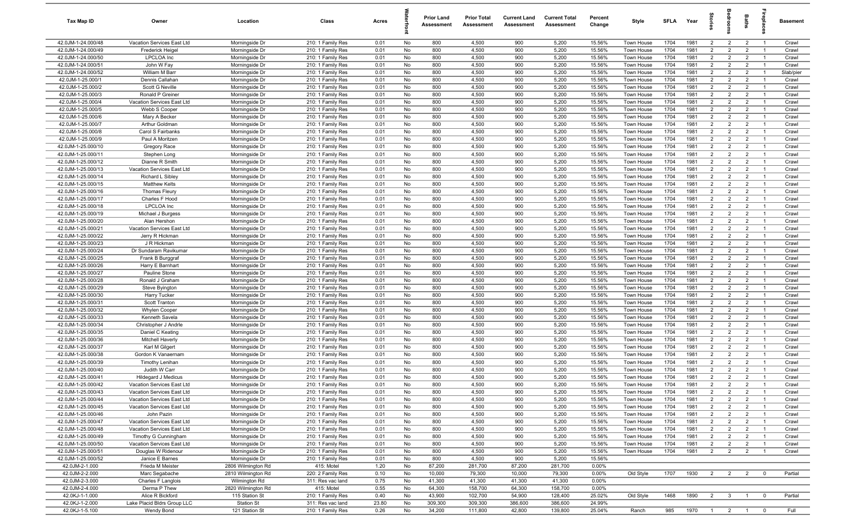| Tax Map ID                               | Owner                                                    | Location                         | Class                                  | Acres        |          | <b>Prior Land</b><br>Assessment | <b>Prior Total</b><br>Assessment | <b>Current Land</b><br>Assessment | <b>Current Total</b><br>Assessment | Percent<br>Change | Style                    | SFLA         | Year         | $\frac{1}{2}$                    | ā                                | <b>Baths</b>                     | ireplace                         | Basement       |
|------------------------------------------|----------------------------------------------------------|----------------------------------|----------------------------------------|--------------|----------|---------------------------------|----------------------------------|-----------------------------------|------------------------------------|-------------------|--------------------------|--------------|--------------|----------------------------------|----------------------------------|----------------------------------|----------------------------------|----------------|
| 42.0JM-1-24.000/48                       | Vacation Services East Ltd                               | Morningside Dr                   | 210: 1 Family Res                      | 0.01         | No       | 800                             | 4,500                            | 900                               | 5,200                              | 15.56%            | Town House               | 1704         | 1981         | $\overline{2}$                   | $\overline{2}$                   | $\overline{2}$                   | $\overline{1}$                   | Crawl          |
| 42.0JM-1-24.000/49                       | <b>Frederick Heigel</b>                                  | Morningside Dr                   | 210: 1 Family Res                      | 0.01         | No       | 800                             | 4,500                            | 900                               | 5,200                              | 15.56%            | Town House               | 1704         | 1981         | $\overline{2}$                   | $\overline{2}$                   | $\overline{2}$                   | $\overline{1}$                   | Crawl          |
| 42.0JM-1-24.000/50                       | <b>LPCLOA</b> Inc                                        | Morningside Dr                   | 210: 1 Family Res                      | 0.01         | No       | 800                             | 4,500                            | 900                               | 5,200                              | 15.56%            | Town House               | 1704         | 1981         | $\overline{2}$                   | $\overline{2}$                   | $\overline{2}$                   | $\overline{1}$                   | Crawl          |
| 42.0JM-1-24.000/51                       | John W Fay                                               | Morningside Dr                   | 210: 1 Family Res                      | 0.01         | No       | 800                             | 4,500                            | 900                               | 5,200                              | 15.56%            | Town House               | 1704         | 1981         | $\overline{2}$                   | $\overline{2}$                   | $\overline{2}$                   | -1                               | Crawl          |
| 42.0JM-1-24.000/52                       | William M Barr                                           | Morningside Dr                   | 210: 1 Family Res                      | 0.01         | No       | 800                             | 4,500                            | 900                               | 5,200                              | 15.56%            | Town House               | 1704         | 1981         | $\overline{2}$                   | $\overline{2}$                   | $\overline{2}$                   | $\overline{1}$                   | Slab/pier      |
| 42.0JM-1-25.000/1                        | Dennis Callahan                                          | Morningside Dr                   | 210: 1 Family Res                      | 0.01         | No       | 800                             | 4,500                            | 900                               | 5,200                              | 15.56%            | Town House               | 1704         | 1981         | $\overline{2}$                   | $\overline{2}$                   | $\overline{2}$                   |                                  | Crawl          |
| 42.0JM-1-25.000/2                        | Scott G Neville                                          | Morningside Dr                   | 210: 1 Family Res                      | 0.01         | No       | 800                             | 4,500                            | 900                               | 5,200                              | 15.56%            | Town House               | 1704         | 1981         | 2                                | $\overline{2}$                   | $\overline{2}$                   | $\overline{1}$                   | Crawl          |
| 42.0JM-1-25.000/3                        | Ronald P Greiner                                         | Morningside Dr                   | 210: 1 Family Res                      | 0.01         | No       | 800                             | 4,500                            | 900                               | 5,200                              | 15.56%            | <b>Town House</b>        | 1704         | 1981         | $\overline{2}$                   | $\overline{2}$                   | $\overline{2}$                   | -1                               | Crawl          |
| 42.0JM-1-25.000/4                        | Vacation Services East Ltd                               | Morningside Dr                   | 210: 1 Family Res                      | 0.01         | No       | 800                             | 4,500                            | 900                               | 5,200                              | 15.56%            | Town House               | 1704         | 1981         | $\overline{2}$                   | $\overline{2}$                   | $\overline{2}$                   | $\overline{1}$                   | Crawl          |
| 42.0JM-1-25.000/5                        | Webb S Cooper                                            | Morningside Dr                   | 210: 1 Family Res                      | 0.01         | No       | 800                             | 4,500                            | 900                               | 5,200                              | 15.56%            | Town House               | 1704         | 1981         | $\overline{2}$                   | $\overline{2}$                   | $\overline{2}$                   | $\overline{1}$                   | Crawl          |
| 42.0JM-1-25.000/6                        | Mary A Becker                                            | Morningside Dr                   | 210: 1 Family Res                      | 0.01         | No       | 800                             | 4,500                            | 900                               | 5,200                              | 15.56%            | Town House               | 1704         | 1981         | $\overline{2}$                   | $\overline{2}$                   | $\overline{2}$                   | $\overline{1}$                   | Crawl          |
| 42.0JM-1-25.000/7                        | Arthur Goldman                                           | Morningside Dr                   | 210: 1 Family Res                      | 0.01         | No       | 800                             | 4,500                            | 900                               | 5,200                              | 15.56%            | Town House               | 1704         | 1981         | $\overline{2}$                   | $\overline{2}$                   | $\overline{2}$                   | $\overline{1}$                   | Crawl          |
| 42.0JM-1-25.000/8                        | Carol S Fairbanks                                        | Morningside Dr                   | 210: 1 Family Res                      | 0.01         | No       | 800                             | 4,500                            | 900                               | 5,200                              | 15.56%            | Town House               | 1704         | 1981         | $\overline{2}$                   | $\overline{2}$                   | $\overline{2}$                   | $\overline{1}$                   | Crawl          |
| 42.0JM-1-25.000/9                        | Paul A Moritzen                                          | Morningside Dr                   | 210: 1 Family Res                      | 0.01         | No       | 800                             | 4,500                            | 900                               | 5,200                              | 15.56%            | Town House               | 1704         | 1981         | $\overline{2}$                   | $\overline{2}$                   | $\overline{2}$                   | $\overline{1}$                   | Crawl          |
| 42.0JM-1-25.000/10                       | Gregory Race                                             | Morningside Dr                   | 210: 1 Family Res                      | 0.01         | No       | 800                             | 4,500                            | 900                               | 5,200                              | 15.56%            | Town House               | 1704         | 1981         | 2                                | $\overline{2}$                   | $\overline{2}$                   | $\overline{1}$                   | Crawl          |
| 42.0JM-1-25.000/11                       | Stephen Long                                             | Morningside Dr                   | 210: 1 Family Res                      | 0.01         | No       | 800                             | 4,500                            | 900                               | 5,200                              | 15.56%            | Town House               | 1704         | 1981         | $\overline{2}$                   | $\overline{2}$                   | $\overline{2}$                   | $\overline{1}$                   | Crawl          |
| 42.0JM-1-25.000/12                       | Dianne R Smith                                           | Morningside Dr                   | 210: 1 Family Res                      | 0.01         | No       | 800                             | 4,500                            | 900                               | 5,200                              | 15.56%            | Town House               | 1704         | 1981         | $\overline{2}$                   | $\overline{2}$                   | $\overline{2}$                   |                                  | Crawl          |
| 42.0JM-1-25.000/13                       | Vacation Services East Ltd                               | Morningside Dr                   | 210: 1 Family Res                      | 0.01         | No       | 800                             | 4,500                            | 900                               | 5,200                              | 15.56%            | Town House               | 1704         | 1981         | $\overline{2}$                   | $\overline{2}$                   | $\overline{2}$                   | $\overline{1}$                   | Crawl          |
| 42.0JM-1-25.000/14                       | <b>Richard L Sibley</b>                                  | Morningside Dr                   | 210: 1 Family Res                      | 0.01         | No       | 800                             | 4,500                            | 900                               | 5,200                              | 15.56%            | Town House               | 1704         | 1981         | $\overline{2}$<br>$\overline{2}$ | $\overline{2}$<br>$\overline{2}$ | $\overline{2}$                   |                                  | Crawl          |
| 42.0JM-1-25.000/15                       | <b>Matthew Kelts</b>                                     | Morningside Dr                   | 210: 1 Family Res                      | 0.01         | No       | 800                             | 4,500                            | 900                               | 5,200                              | 15.56%            | Town House               | 1704<br>1704 | 1981<br>1981 | $\overline{2}$                   | $\overline{2}$                   | $\overline{2}$                   | $\overline{1}$<br>$\overline{1}$ | Crawl          |
| 42.0JM-1-25.000/16<br>42.0JM-1-25.000/17 | <b>Thomas Fleury</b><br>Charles F Hood                   | Morningside Dr                   | 210: 1 Family Res<br>210: 1 Family Res | 0.01<br>0.01 | No<br>No | 800<br>800                      | 4,500<br>4,500                   | 900<br>900                        | 5,200<br>5,200                     | 15.56%<br>15.56%  | Town House               | 1704         | 1981         | $\overline{2}$                   | $\overline{2}$                   | $\overline{2}$<br>$\overline{2}$ | $\overline{1}$                   | Crawl<br>Crawl |
| 42.0JM-1-25.000/18                       | <b>LPCLOA</b> Inc                                        | Morningside Dr                   |                                        | 0.01         | No       | 800                             | 4,500                            | 900                               | 5,200                              | 15.56%            | Town House               | 1704         | 1981         | $\overline{2}$                   | $\overline{2}$                   | $\overline{2}$                   | $\overline{1}$                   | Crawl          |
| 42.0JM-1-25.000/19                       | Michael J Burgess                                        | Morningside Dr<br>Morningside Dr | 210: 1 Family Res<br>210: 1 Family Res | 0.01         | No       | 800                             | 4,500                            | 900                               | 5,200                              | 15.56%            | Town House<br>Town House | 1704         | 1981         | $\overline{2}$                   | $\overline{2}$                   | $\overline{2}$                   | $\overline{1}$                   | Crawl          |
| 42.0JM-1-25.000/20                       | Alan Hershon                                             | Morningside Dr                   | 210: 1 Family Res                      | 0.01         | No       | 800                             | 4,500                            | 900                               | 5,200                              | 15.56%            | Town House               | 1704         | 1981         | $\overline{2}$                   | $\overline{2}$                   | $\overline{2}$                   | $\overline{1}$                   | Crawl          |
| 42.0JM-1-25.000/21                       | Vacation Services East Ltd                               | Morningside Dr                   | 210: 1 Family Res                      | 0.01         | No       | 800                             | 4,500                            | 900                               | 5,200                              | 15.56%            | Town House               | 1704         | 1981         | $\overline{2}$                   | $\overline{2}$                   | $\overline{2}$                   | $\overline{1}$                   | Crawl          |
| 42.0JM-1-25.000/22                       | Jerry R Hickman                                          | Morningside Dr                   | 210: 1 Family Res                      | 0.01         | No       | 800                             | 4,500                            | 900                               | 5,200                              | 15.56%            | Town House               | 1704         | 1981         | $\overline{2}$                   | 2                                | $\overline{2}$                   | $\overline{1}$                   | Crawl          |
| 42.0JM-1-25.000/23                       | J R Hickman                                              | Morningside Dr                   | 210: 1 Family Res                      | 0.01         | No       | 800                             | 4,500                            | 900                               | 5,200                              | 15.56%            | Town House               | 1704         | 1981         | $\overline{2}$                   | $\overline{2}$                   | $\overline{2}$                   |                                  | Crawl          |
| 42.0JM-1-25.000/24                       | Dr Sundaram Ravikumar                                    | Morningside Dr                   | 210: 1 Family Res                      | 0.01         | No       | 800                             | 4,500                            | 900                               | 5,200                              | 15.56%            | Town House               | 1704         | 1981         | $\overline{2}$                   | $\overline{2}$                   | $\overline{2}$                   | $\overline{1}$                   | Crawl          |
| 42.0JM-1-25.000/25                       | Frank B Burggraf                                         | Morningside Dr                   | 210: 1 Family Res                      | 0.01         | No       | 800                             | 4,500                            | 900                               | 5,200                              | 15.56%            | Town House               | 1704         | 1981         | $\overline{2}$                   | $\overline{2}$                   | $\overline{2}$                   | -1                               | Crawl          |
| 42.0JM-1-25.000/26                       | Harry E Barnhart                                         | Morningside Dr                   | 210: 1 Family Res                      | 0.01         | No       | 800                             | 4,500                            | 900                               | 5,200                              | 15.56%            | Town House               | 1704         | 1981         | $2^{\circ}$                      | $\overline{2}$                   | $\overline{2}$                   | $\overline{1}$                   | Crawl          |
| 42.0JM-1-25.000/27                       | Pauline Stone                                            | Morningside Dr                   | 210: 1 Family Res                      | 0.01         | No       | 800                             | 4,500                            | 900                               | 5,200                              | 15.56%            | Town House               | 1704         | 1981         | 2                                | $\overline{2}$                   | $\overline{2}$                   | $\overline{1}$                   | Crawl          |
| 42.0JM-1-25.000/28                       | Ronald J Graham                                          | Morningside Dr                   | 210: 1 Family Res                      | 0.01         | No       | 800                             | 4,500                            | 900                               | 5,200                              | 15.56%            | Town House               | 1704         | 1981         | $\overline{2}$                   | $\overline{2}$                   | $\overline{2}$                   | $\overline{1}$                   | Crawl          |
| 42.0JM-1-25.000/29                       | Steve Byington                                           | Morningside Dr                   | 210: 1 Family Res                      | 0.01         | No       | 800                             | 4,500                            | 900                               | 5,200                              | 15.56%            | Town House               | 1704         | 1981         | $\overline{2}$                   | $\overline{2}$                   | $\overline{2}$                   | $\overline{1}$                   | Crawl          |
| 42.0JM-1-25.000/30                       | <b>Harry Tucker</b>                                      | Morningside Dr                   | 210: 1 Family Res                      | 0.01         | No       | 800                             | 4,500                            | 900                               | 5,200                              | 15.56%            | Town House               | 1704         | 1981         | $\overline{2}$                   | $\overline{2}$                   | $\overline{2}$                   | $\overline{1}$                   | Crawl          |
| 42.0JM-1-25.000/31                       | Scott Tranton                                            | Morningside Dr                   | 210: 1 Family Res                      | 0.01         | No       | 800                             | 4,500                            | 900                               | 5,200                              | 15.56%            | Town House               | 1704         | 1981         | $\overline{2}$                   | $\overline{2}$                   | $\overline{2}$                   | $\overline{1}$                   | Crawl          |
| 42.0JM-1-25.000/32                       | Whylen Cooper                                            | Morningside Dr                   | 210: 1 Family Res                      | 0.01         | No       | 800                             | 4,500                            | 900                               | 5,200                              | 15.56%            | Town House               | 1704         | 1981         | 2                                | $\overline{2}$                   | $\overline{2}$                   | $\overline{1}$                   | Crawl          |
| 42.0JM-1-25.000/33                       | Kenneth Savela                                           | Morningside Dr                   | 210: 1 Family Res                      | 0.01         | No       | 800                             | 4,500                            | 900                               | 5,200                              | 15.56%            | Town House               | 1704         | 1981         | $\overline{2}$                   | $\overline{2}$                   | $\overline{2}$                   | $\overline{1}$                   | Crawl          |
| 42.0JM-1-25.000/34                       | Christopher J Andrle                                     | Morningside Dr                   | 210: 1 Family Res                      | 0.01         | No       | 800                             | 4,500                            | 900                               | 5,200                              | 15.56%            | Town House               | 1704         | 1981         | $\overline{2}$                   | $\overline{2}$                   | $\overline{2}$                   | $\overline{1}$                   | Crawl          |
| 42.0JM-1-25.000/35                       | Daniel C Keating                                         | Morningside Dr                   | 210: 1 Family Res                      | 0.01         | No       | 800                             | 4,500                            | 900                               | 5,200                              | 15.56%            | Town House               | 1704         | 1981         | $\overline{2}$                   | 2                                | $\overline{2}$                   | $\overline{1}$                   | Crawl          |
| 42.0JM-1-25.000/36                       | <b>Mitchell Haverly</b>                                  | Morningside Dr                   | 210: 1 Family Res                      | 0.01         | No       | 800                             | 4,500                            | 900                               | 5,200                              | 15.56%            | Town House               | 1704         | 1981         | $\overline{2}$                   | $\overline{2}$                   | $\overline{2}$                   | - 1                              | Crawl          |
| 42.0JM-1-25.000/37                       | Karl M Gilgert                                           | Morningside Dr                   | 210: 1 Family Res                      | 0.01         | No       | 800                             | 4,500                            | 900                               | 5,200                              | 15.56%            | Town House               | 1704         | 1981         | $\overline{2}$                   | $\overline{2}$                   | $\overline{2}$                   | $\overline{1}$                   | Crawl          |
| 42.0JM-1-25.000/38                       | Gordon K Vanaernam                                       | Morningside Dr                   | 210: 1 Family Res                      | 0.01         | No       | 800                             | 4,500                            | 900                               | 5,200                              | 15.56%            | Town House               | 1704         | 1981         | $\overline{2}$                   | $\overline{2}$                   | $\overline{2}$                   |                                  | Crawl          |
| 42.0JM-1-25.000/39                       | <b>Timothy Lenihan</b>                                   | Morningside Dr                   | 210: 1 Family Res                      | 0.01         | No       | 800                             | 4,500                            | 900                               | 5,200                              | 15.56%            | Town House               | 1704         | 1981         | 2                                | $\overline{2}$                   | $\overline{2}$                   | - 1                              | Crawl          |
| 42.0JM-1-25.000/40                       | Judith W Carr                                            | Morningside Dr                   | 210: 1 Family Res                      | 0.01         | No       | 800                             | 4,500                            | 900<br>900                        | 5,200                              | 15.56%            | Town House               | 1704         | 1981         | $\overline{2}$                   | 2                                | $\overline{2}$                   |                                  | Crawl          |
| 42.0JM-1-25.000/41<br>42.0JM-1-25.000/42 | Hildegard J Medicus                                      | Morningside Dr                   | 210: 1 Family Res                      | 0.01         | No       | 800                             | 4,500                            |                                   | 5,200<br>5,200                     | 15.56%<br>15.56%  | Town House               | 1704<br>1704 | 1981<br>1981 | $\overline{2}$<br>$\overline{2}$ | $\overline{2}$<br>2              | $\overline{2}$<br>$\overline{2}$ | $\overline{1}$                   | Crawl<br>Crawl |
|                                          | Vacation Services East Ltd                               | Morningside Dr                   | 210: 1 Family Res                      | 0.01         | No       | 800                             | 4,500                            | 900                               |                                    |                   | Town House               |              |              |                                  |                                  |                                  |                                  |                |
| 42.0JM-1-25.000/43<br>42.0JM-1-25.000/44 | Vacation Services East Ltd<br>Vacation Services East Ltd | Morningside Dr<br>Morningside Dr | 210: 1 Family Res<br>210: 1 Family Res | 0.01<br>0.01 | No<br>No | 800<br>800                      | 4,500<br>4,500                   | 900<br>900                        | 5,200<br>5,200                     | 15.56%<br>15.56%  | Town House<br>Town House | 1704<br>1704 | 1981<br>1981 | $\overline{2}$<br>$\overline{2}$ | $\overline{2}$<br>$\overline{2}$ | $\overline{2}$<br>$\overline{2}$ | $\overline{1}$<br>$\overline{1}$ | Crawl<br>Crawl |
| 42.0JM-1-25.000/45                       | Vacation Services East Ltd                               | Morningside Dr                   | 210: 1 Family Res                      | 0.01         | No       | 800                             | 4,500                            | 900                               | 5,200                              | 15.56%            | Town House               | 1704         | 1981         | $\overline{2}$                   | $\overline{2}$                   | $\overline{2}$                   | $\overline{1}$                   | Crawl          |
| 42.0JM-1-25.000/46                       | John Pazin                                               | Morningside Dr                   | 210: 1 Family Res                      | 0.01         | No       | 800                             | 4,500                            | 900                               | 5,200                              | 15.56%            | Town House               | 1704         | 1981         | $\overline{2}$                   | $\overline{2}$                   | $\overline{2}$                   | $\overline{1}$                   | Crawl          |
| 42.0JM-1-25.000/47                       | Vacation Services East Ltd                               | Morningside Dr                   | 210: 1 Family Res                      | 0.01         | No       | 800                             | 4,500                            | 900                               | 5,200                              | 15.56%            | Town House               | 1704         | 1981         | $\overline{2}$                   | $\overline{2}$                   | $\overline{2}$                   | $\overline{1}$                   | Crawl          |
| 42.0JM-1-25.000/48                       | Vacation Services East Ltd                               | Morningside Dr                   | 210: 1 Family Res                      | 0.01         | No       | 800                             | 4,500                            | 900                               | 5,200                              | 15.56%            | Town House               | 1704         | 1981         | $\overline{2}$                   | $\overline{2}$                   | $\overline{2}$                   | $\overline{1}$                   | Crawl          |
| 42.0JM-1-25.000/49                       | Timothy G Cunningham                                     | Morningside Dr                   | 210: 1 Family Res                      | 0.01         | No       | 800                             | 4,500                            | 900                               | 5,200                              | 15.56%            | Town House               | 1704         | 1981         | $\overline{2}$                   | $\overline{2}$                   | $\overline{2}$                   | $\overline{1}$                   | Crawl          |
| 42.0JM-1-25.000/50                       | Vacation Services East Ltd                               | Morningside Dr                   | 210: 1 Family Res                      | 0.01         | No       | 800                             | 4,500                            | 900                               | 5,200                              | 15.56%            | Town House               | 1704         | 1981         | $\overline{2}$                   | $\overline{2}$                   | $\overline{2}$                   | $\overline{1}$                   | Crawl          |
| 42.0JM-1-25.000/51                       | Douglas W Ridenour                                       | Morningside Dr                   | 210: 1 Family Res                      | 0.01         | No       | 800                             | 4,500                            | 900                               | 5,200                              | 15.56%            | Town House               | 1704         | 1981         | $\overline{2}$                   | $\overline{2}$                   | $\overline{2}$                   |                                  | Crawl          |
| 42.0JM-1-25.000/52                       | Janice E Barnes                                          | Morningside Dr                   | 210: 1 Family Res                      | 0.01         | No       | 800                             | 4,500                            | 900                               | 5,200                              | 15.56%            |                          |              |              |                                  |                                  |                                  |                                  |                |
| 42.0JM-2-1.000                           | Frieda M Meister                                         | 2806 Wilmington Rd               | 415: Motel                             | 1.20         | No       | 87,200                          | 281,700                          | 87,200                            | 281,700                            | 0.00%             |                          |              |              |                                  |                                  |                                  |                                  |                |
| 42.0JM-2-2.000                           | Marc Segabache                                           | 2810 Wilmington Rd               | 220: 2 Family Res                      | 0.10         | No       | 10,000                          | 79,300                           | 10,000                            | 79,300                             | 0.00%             | Old Style                | 1707         | 1930         | $\overline{2}$                   | $\overline{2}$                   | $\overline{2}$                   | $\overline{\mathbf{0}}$          | Partial        |
| 42.0JM-2-3.000                           | Charles F Langlois                                       | Wilmington Rd                    | 311: Res vac land                      | 0.75         | No       | 41,300                          | 41,300                           | 41,300                            | 41,300                             | 0.00%             |                          |              |              |                                  |                                  |                                  |                                  |                |
| 42.0JM-2-4.000                           | Derma P Thew                                             | 2820 Wilmington Rd               | 415: Motel                             | 0.55         | No       | 64,300                          | 158,700                          | 64,300                            | 158,700                            | 0.00%             |                          |              |              |                                  |                                  |                                  |                                  |                |
| 42.0KJ-1-1.000                           | Alice R Bickford                                         | 115 Station St                   | 210: 1 Family Res                      | 0.40         | No       | 43,900                          | 102,700                          | 54,900                            | 128,400                            | 25.02%            | Old Style                | 1468         | 1890         | $\overline{2}$                   | $\overline{\mathbf{3}}$          | $\overline{1}$                   | $\overline{0}$                   | Partial        |
| 42.0KJ-1-2.000                           | Lake Placid Bldrs Group LLC                              | <b>Station St</b>                | 311: Res vac land                      | 23.80        | No       | 309,300                         | 309,300                          | 386,600                           | 386,600                            | 24.99%            |                          |              |              |                                  |                                  |                                  |                                  |                |
| 42.0KJ-1-5.100                           | Wendy Bond                                               | 121 Station St                   | 210: 1 Family Res                      | 0.26         | No       | 34,200                          | 111,800                          | 42,800                            | 139,800                            | 25.04%            | Ranch                    | 985          | 1970         |                                  | $1 \quad 2 \quad 1$              |                                  | $\overline{\mathbf{0}}$          | Full           |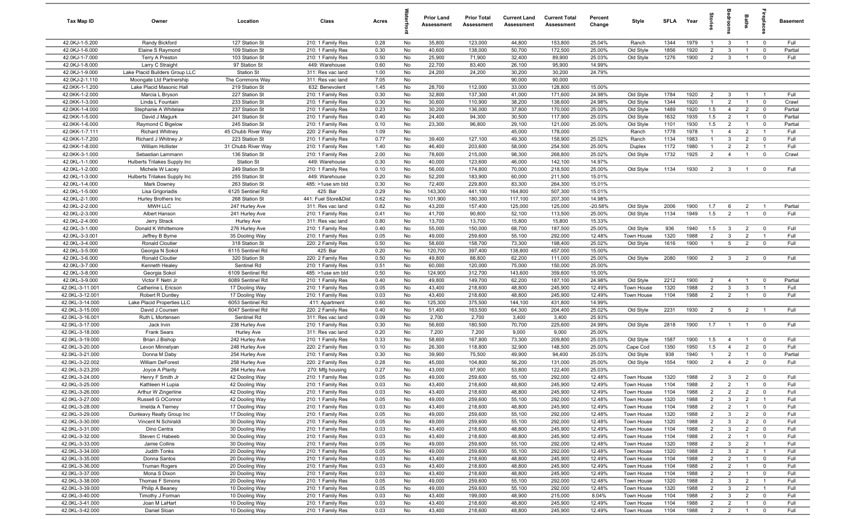| Tax Map ID                         | Owner                                          | Location                           | Class                                  | Acres        |          | <b>Prior Land</b><br>Assessment | <b>Prior Total</b><br>Assessment | <b>Current Land</b><br>Assessment | <b>Current Total</b><br><b>Assessment</b> | Percent<br>Change | Style                    | <b>SFLA</b>  | Year         | tories                           | ăroo                             | Baths                            | ireplac                       | <b>Basement</b>    |
|------------------------------------|------------------------------------------------|------------------------------------|----------------------------------------|--------------|----------|---------------------------------|----------------------------------|-----------------------------------|-------------------------------------------|-------------------|--------------------------|--------------|--------------|----------------------------------|----------------------------------|----------------------------------|-------------------------------|--------------------|
| 42.0KJ-1-5.200                     | Randy Bickford                                 | 127 Station St                     | 210: 1 Family Res                      | 0.28         | No       | 35,800                          | 123,000                          | 44,800                            | 153,800                                   | 25.04%            | Ranch                    | 1344         | 1979         | $\overline{1}$                   | $\mathbf{3}$                     | $\overline{1}$                   | $\mathbf 0$                   | Full               |
| 42.0KJ-1-6.000                     | Elaine S Raymond                               | 109 Station St                     | 210: 1 Family Res                      | 0.30         | No       | 40,600                          | 138,000                          | 50,700                            | 172,500                                   | 25.00%            | Old Style                | 1856         | 1920         | $\overline{2}$                   | 3                                | $\overline{1}$                   | $\overline{0}$                | Partial            |
| 42.0KJ-1-7.000                     | Terry A Preston                                | 103 Station St                     | 210: 1 Family Res                      | 0.50         | No       | 25,900                          | 71,900                           | 32,400                            | 89,900                                    | 25.03%            | Old Style                | 1276         | 1900         | $\overline{2}$                   | $\overline{\mathbf{3}}$          | $\overline{1}$                   | $\mathbf 0$                   | Full               |
| 42.0KJ-1-8.000                     | Larry C Straight                               | 97 Station St                      | 449: Warehouse                         | 0.60         | No       | 22,700                          | 83,400                           | 26,100                            | 95,900                                    | 14.99%            |                          |              |              |                                  |                                  |                                  |                               |                    |
| 42.0KJ-1-9.000                     | Lake Placid Builders Group LLC                 | Station St                         | 311: Res vac land                      | 1.00         | No       | 24,200                          | 24,200                           | 30,200                            | 30,200                                    | 24.79%            |                          |              |              |                                  |                                  |                                  |                               |                    |
| 42.0KJ-2-1.110                     | Moongate Ltd Partnership                       | The Commons Way                    | 311: Res vac land                      | 7.05         | No       |                                 |                                  | 90,000                            | 90,000                                    |                   |                          |              |              |                                  |                                  |                                  |                               |                    |
| 42.0KK-1-1.200                     | Lake Placid Masonic Hall                       | 219 Station St                     | 632: Benevolent                        | 1.45         | No       | 28,700                          | 112,000                          | 33,000                            | 128,800                                   | 15.00%            |                          |              |              |                                  |                                  |                                  |                               |                    |
| 42.0KK-1-2.000                     | Marcia L Bryson                                | 227 Station St                     | 210: 1 Family Res                      | 0.30         | No       | 32,800                          | 137,300                          | 41,000                            | 171,600                                   | 24.98%            | Old Style                | 1784         | 1920         | $\overline{2}$                   | $\overline{\mathbf{3}}$          | $\overline{1}$                   | $\overline{1}$                | Full               |
| 42.0KK-1-3.000                     | Linda L Fountain<br>Stephanie A Whitelaw       | 233 Station St<br>237 Station St   | 210: 1 Family Res                      | 0.30         | No       | 30,600                          | 110,900                          | 38,200                            | 138,600                                   | 24.98%            | Old Style                | 1344         | 1920<br>1920 | $\overline{1}$<br>1.5            | $\overline{2}$                   | $\overline{1}$                   | $\mathbf 0$                   | Crawl              |
| 42.0KK-1-4.000<br>42.0KK-1-5.000   | David J Magurk                                 | 241 Station St                     | 210: 1 Family Res                      | 0.23<br>0.40 | No<br>No | 30,200<br>24,400                | 136,000<br>94,300                | 37,800<br>30,500                  | 170,000                                   | 25.00%<br>25.03%  | Old Style                | 1489<br>1632 | 1935         | 1.5                              | $\overline{4}$<br>$\overline{2}$ | $\overline{2}$<br>$\overline{1}$ | $\mathbf 0$<br>$\mathbf 0$    | Partial<br>Partial |
| 42.0KK-1-6.000                     | Raymond C Bigelow                              | 245 Station St                     | 210: 1 Family Res<br>210: 1 Family Res | 0.10         | No       | 23,300                          | 96,800                           | 29,100                            | 117,900<br>121,000                        | 25.00%            | Old Style<br>Old Style   | 1101         | 1930         | 1.5                              | $\overline{2}$                   | $\overline{1}$                   | $\mathbf 0$                   | Partial            |
| 42.0KK-1-7.111                     | <b>Richard Whitney</b>                         | 45 Chubb River Way                 | 220: 2 Family Res                      | 1.09         | No       |                                 |                                  | 45,000                            | 178,000                                   |                   | Ranch                    | 1778         | 1978         | $\overline{1}$                   | $\overline{4}$                   | $\overline{2}$                   | $\overline{1}$                | Full               |
| 42.0KK-1-7.200                     | Richard J Whitney Jr                           | 223 Station St                     | 210: 1 Family Res                      | 0.77         | No       | 39,400                          | 127,100                          | 49,300                            | 158,900                                   | 25.02%            | Ranch                    | 1134         | 1983         | $\overline{1}$                   | $\mathbf{3}$                     | $\overline{2}$                   | $\mathbf 0$                   | Full               |
| 42.0KK-1-8.000                     | William Hollister                              | 31 Chubb River Way                 | 210: 1 Family Res                      | 1.40         | No       | 46,400                          | 203,600                          | 58,000                            | 254,500                                   | 25.00%            | Duplex                   | 1172         | 1980         | $\overline{1}$                   | 2                                | $\overline{2}$                   | $\overline{1}$                | Full               |
| 42.0KK-3-1.000                     | Sebastian Lammann                              | 136 Station St                     | 210: 1 Family Res                      | 2.00         | No       | 78,600                          | 215,000                          | 98,300                            | 268,800                                   | 25.02%            | Old Style                | 1732         | 1925         | $\overline{2}$                   | $\overline{4}$                   | $\overline{1}$                   | $\overline{0}$                | Crawl              |
| 42.0KL-1-1.000                     | Hulberts Trilakes Supply Inc                   | Station St                         | 449: Warehouse                         | 0.30         | No       | 40,000                          | 123,600                          | 46,000                            | 142,100                                   | 14.97%            |                          |              |              |                                  |                                  |                                  |                               |                    |
| 42.0KL-1-2.000                     | Michele W Lacey                                | 249 Station St                     | 210: 1 Family Res                      | 0.10         | No       | 56,000                          | 174,800                          | 70,000                            | 218,500                                   | 25.00%            | Old Style                | 1134         | 1930         | $\overline{2}$                   | $\mathbf{3}$                     | $\overline{1}$                   | $\mathbf 0$                   | Full               |
| 42.0KL-1-3.000                     | Hulberts Trilakes Supply Inc                   | 255 Station St                     | 449: Warehouse                         | 0.20         | No       | 52,200                          | 183,900                          | 60,000                            | 211,500                                   | 15.01%            |                          |              |              |                                  |                                  |                                  |                               |                    |
| 42.0KL-1-4.000                     | Mark Downey                                    | 263 Station St                     | 485: >1use sm bld                      | 0.30         | No       | 72,400                          | 229,800                          | 83,300                            | 264,300                                   | 15.01%            |                          |              |              |                                  |                                  |                                  |                               |                    |
| 42.0KL-1-5.000                     | Lisa Grigoriadis                               | 6125 Sentinel Rd                   | 425: Bar                               | 0.29         | No       | 143,300                         | 441,100                          | 164,800                           | 507,300                                   | 15.01%            |                          |              |              |                                  |                                  |                                  |                               |                    |
| 42.0KL-2-1.000                     | Hurley Brothers Inc                            | 268 Station St                     | 441: Fuel Store&Dist                   | 0.62         | No       | 101,900                         | 180,300                          | 117,100                           | 207,300                                   | 14.98%            |                          |              |              |                                  |                                  |                                  |                               |                    |
| 42.0KL-2-2.000                     | MWH LLC                                        | 247 Hurley Ave                     | 311: Res vac land                      | 0.82         | No       | 43,200                          | 157,400                          | 125,000                           | 125,000                                   | $-20.58%$         | Old Style                | 2006         | 1900         | 1.7                              | 6                                | $\overline{2}$                   | $\overline{1}$                | Partial            |
| 42.0KL-2-3.000                     | Albert Hanson                                  | 241 Hurley Ave                     | 210: 1 Family Res                      | 0.41         | No       | 41,700                          | 90,800                           | 52,100                            | 113,500                                   | 25.00%            | Old Style                | 1134         | 1949         | 1.5                              | 2                                | $\overline{1}$                   | $\mathbf 0$                   | Full               |
| 42.0KL-2-4.000                     | Jerry Strack                                   | Hurley Ave                         | 311: Res vac land                      | 0.80         | No       | 13,700                          | 13,700                           | 15,800                            | 15,800                                    | 15.33%            |                          |              |              |                                  |                                  |                                  |                               |                    |
| 42.0KL-3-1.000                     | Donald K Whittemore                            | 276 Hurley Ave                     | 210: 1 Family Res                      | 0.40         | No       | 55,000                          | 150,000                          | 68,700                            | 187,500                                   | 25.00%            | Old Style                | 936          | 1940         | 1.5                              | $\mathbf{3}$                     | 2                                | $\mathbf 0$                   | Full               |
| 42.0KL-3-3.001                     | Jeffrey B Byrne                                | 35 Dooling Way                     | 210: 1 Family Res                      | 0.05         | No       | 49,000                          | 259,600                          | 55,100                            | 292,000                                   | 12.48%            | Town House               | 1320         | 1988         | $\overline{2}$                   | $\mathbf{3}$                     | $\overline{2}$                   | $\overline{1}$                | Full               |
| 42.0KL-3-4.000                     | Ronald Cloutier                                | 318 Station St                     | 220: 2 Family Res                      | 0.50         | No       | 58,600                          | 158,700                          | 73,300                            | 198,400                                   | 25.02%            | Old Style                | 1616         | 1900         | $\overline{1}$                   | 5                                | $\overline{2}$                   | $\mathbf 0$                   | Full               |
| 42.0KL-3-5.000                     | Georgia N Sokol                                | 6115 Sentinel Rd                   | 425: Bar                               | 0.20         | No       | 120,700                         | 397,400                          | 138,800                           | 457,000                                   | 15.00%            |                          |              |              |                                  |                                  |                                  |                               |                    |
| 42.0KL-3-6.000                     | Ronald Cloutier                                | 320 Station St                     | 220: 2 Family Res                      | 0.50         | No       | 49,800                          | 88,800                           | 62,200                            | 111,000                                   | 25.00%            | Old Style                | 2080         | 1900         | $\overline{2}$                   | $\overline{\mathbf{3}}$          | $\overline{2}$                   | $\mathbf 0$                   | Full               |
| 42.0KL-3-7.000                     | Kenneth Healey                                 | Sentinel Rd                        | 210: 1 Family Res                      | 0.51         | No       | 60,000                          | 120,000                          | 75,000                            | 150,000                                   | 25.00%            |                          |              |              |                                  |                                  |                                  |                               |                    |
| 42.0KL-3-8.000                     | Georgia Sokol                                  | 6109 Sentinel Rd                   | 485: >1use sm bld                      | 0.50         | No       | 124,900                         | 312,700                          | 143,600                           | 359,600                                   | 15.00%            |                          |              |              |                                  |                                  |                                  |                               |                    |
| 42.0KL-3-9.000                     | Victor F Netri Jr                              | 6089 Sentinel Rd                   | 210: 1 Family Res                      | 0.40         | No       | 49,800                          | 149,700                          | 62,200                            | 187,100                                   | 24.98%            | Old Style                | 2212         | 1900         | $\overline{2}$                   | $\overline{4}$                   | $\overline{1}$                   | $\mathbf 0$                   | Partial            |
| 42.0KL-3-11.001                    | Catherine L Ericson                            | 17 Dooling Way                     | 210: 1 Family Res                      | 0.05         | No       | 43,400                          | 218,600                          | 48,800                            | 245,900                                   | 12.49%            | Town House               | 1320         | 1988         | $\overline{2}$                   | $\mathbf{3}$                     | 3                                | $\overline{1}$                | Full               |
| 42.0KL-3-12.001<br>42.0KL-3-14.000 | Robert R Duntley<br>Lake Placid Properties LLC | 17 Dooling Way<br>6053 Sentinel Rd | 210: 1 Family Res<br>411: Apartment    | 0.03<br>0.60 | No<br>No | 43,400<br>125,300               | 218,600<br>375,500               | 48,800<br>144,100                 | 245,900<br>431,800                        | 12.49%<br>14.99%  | Town House               | 1104         | 1988         | $\overline{2}$                   | $\overline{2}$                   | $\overline{1}$                   | $\mathbf 0$                   | Full               |
| 42.0KL-3-15.000                    | David J Coursen                                | 6047 Sentinel Rd                   | 220: 2 Family Res                      | 0.40         | No       | 51,400                          | 163,500                          | 64,300                            | 204,400                                   | 25.02%            | Old Style                | 2231         | 1930         | $\overline{2}$                   | 5                                | $\overline{2}$                   | $\overline{1}$                | Full               |
| 42.0KL-3-16.001                    | Ruth L Mortensen                               | Sentinel Rd                        | 311: Res vac land                      | 0.09         | No       | 2,700                           | 2,700                            | 3,400                             | 3,400                                     | 25.93%            |                          |              |              |                                  |                                  |                                  |                               |                    |
| 42.0KL-3-17.000                    | Jack Irvin                                     | 238 Hurley Ave                     | 210: 1 Family Res                      | 0.30         | No       | 56,600                          | 180,500                          | 70,700                            | 225,600                                   | 24.99%            | Old Style                | 2818         | 1900         | 1.7                              | $\overline{1}$                   | $\overline{1}$                   | $\overline{0}$                | Full               |
| 42.0KL-3-18.000                    | Frank Sears                                    | Hurley Ave                         | 311: Res vac land                      | 0.20         | No       | 7,200                           | 7,200                            | 9,000                             | 9,000                                     | 25.00%            |                          |              |              |                                  |                                  |                                  |                               |                    |
| 42.0KL-3-19.000                    | Brian J Bishop                                 | 242 Hurley Ave                     | 210: 1 Family Res                      | 0.33         | No       | 58,600                          | 167,800                          | 73,300                            | 209,800                                   | 25.03%            | Old Style                | 1587         | 1900         | 1.5                              | $\overline{4}$                   | $\overline{1}$                   | $\mathbf 0$                   | Full               |
| 42.0KL-3-20.000                    | Levon Minnetyan                                | 248 Hurley Ave                     | 220: 2 Family Res                      | 0.10         | No       | 26,300                          | 118,800                          | 32,900                            | 148,500                                   | 25.00%            | Cape Cod                 | 1350         | 1950         | 1.5                              | $\overline{4}$                   | $\overline{2}$                   | $\mathbf 0$                   | Full               |
| 42.0KL-3-21.000                    | Donna M Daby                                   | 254 Hurley Ave                     | 210: 1 Family Res                      | 0.30         | No       | 39,900                          | 75,500                           | 49,900                            | 94,400                                    | 25.03%            | Old Style                | 938          | 1940         | $\overline{1}$                   | $\overline{2}$                   | $\overline{1}$                   | $\mathbf 0$                   | Partial            |
| 42.0KL-3-22.002                    | William DeForest                               | 258 Hurley Ave                     | 220: 2 Family Res                      | 0.28         | No       | 45,000                          | 104,800                          | 56,200                            | 131,000                                   | 25.00%            | Old Style                | 1554         | 1900         | $\overline{2}$                   | $\overline{4}$                   | $\overline{2}$                   | $\mathbf 0$                   | Full               |
| 42.0KL-3-23.200                    | Joyce A Planty                                 | 264 Hurley Ave                     | 270: Mfg housing                       | 0.27         | No       | 43,000                          | 97,900                           | 53,800                            | 122,400                                   | 25.03%            |                          |              |              |                                  |                                  |                                  |                               |                    |
| 42.0KL-3-24.000                    | Henry F Smith Jr                               | 42 Dooling Way                     | 210: 1 Family Res                      | 0.05         | No       | 49,000                          | 259,600                          | 55,100                            | 292,000                                   | 12.48%            | Town House               | 1320         | 1988         | $\overline{2}$                   | $\overline{\mathbf{3}}$          | $\overline{2}$                   | $\mathbf 0$                   | Full               |
| 42.0KL-3-25.000                    | Kathleen H Lupia                               | 42 Dooling Way                     | 210: 1 Family Res                      | 0.03         | No       | 43,400                          | 218,600                          | 48,800                            | 245,900                                   | 12.49%            | Town House               | 1104         | 1988         | 2                                | $\overline{2}$                   |                                  | 0                             | Full               |
| 42.0KL-3-26.000                    | Arthur W Zingerline                            | 42 Dooling Way                     | 210: 1 Family Res                      | 0.03         | No       | 43,400                          | 218,600                          | 48,800                            | 245,900                                   | 12.49%            | Town House               | 1104         | 1988         | $\overline{2}$                   | $\overline{2}$                   | $\overline{2}$                   | $\mathbf 0$                   | Full               |
| 42.0KL-3-27.000                    | Russell G OConnor                              | 42 Dooling Way                     | 210: 1 Family Res                      | 0.05         | No       | 49,000                          | 259,600                          | 55,100                            | 292,000                                   | 12.48%            | Town House               | 1320         | 1988         | $\overline{2}$                   | 3                                | $\overline{2}$                   | $\overline{1}$                | Full               |
| 42.0KL-3-28.000                    | Imelda A Tierney                               | 17 Dooling Way                     | 210: 1 Family Res                      | 0.03         | No       | 43,400                          | 218,600                          | 48,800                            | 245,900                                   | 12.49%            | Town House               | 1104         | 1988         | $\overline{2}$                   | $\overline{2}$                   | $\overline{1}$                   | $\overline{0}$                | Full               |
| 42.0KL-3-29.000                    | Dunleavy Realty Group Inc                      | 17 Dooling Way                     | 210: 1 Family Res                      | 0.05         | No       | 49,000                          | 259,600                          | 55,100                            | 292,000                                   | 12.48%            | Town House               | 1320         | 1988         | $\overline{2}$                   | $\mathbf{3}$                     | $\overline{2}$                   | $\overline{0}$                | Full               |
| 42.0KL-3-30.000                    | Vincent N Schiraldi                            | 30 Dooling Way                     | 210: 1 Family Res                      | 0.05         | No       | 49,000                          | 259,600                          | 55,100                            | 292,000                                   | 12.48%            | Town House               | 1320         | 1988         | $\overline{2}$                   | $\mathbf{3}$                     | $\overline{2}$                   | $\mathbf 0$                   | Full               |
| 42.0KL-3-31.000                    | Dino Centra                                    | 30 Dooling Way                     | 210: 1 Family Res                      | 0.03         | No       | 43,400                          | 218,600                          | 48,800                            | 245,900                                   | 12.49%            | Town House               | 1104         | 1988         | $\overline{2}$                   | $\mathbf{3}$                     | $\overline{2}$                   | $\mathbf{0}$                  | Full               |
| 42.0KL-3-32.000                    | Steven C Habeeb                                | 30 Dooling Way                     | 210: 1 Family Res                      | 0.03         | No       | 43,400                          | 218,600                          | 48,800                            | 245,900                                   | 12.49%            | Town House               | 1104         | 1988         | $\overline{2}$                   | $\overline{2}$                   | $\overline{1}$                   | $\mathbf 0$                   | Full               |
| 42.0KL-3-33.000<br>42.0KL-3-34.000 | Jamie Collins                                  | 30 Dooling Way                     | 210: 1 Family Res                      | 0.05         | No       | 49,000                          | 259,600                          | 55,100                            | 292,000                                   | 12.48%            | Town House               | 1320         | 1988<br>1988 | $\overline{2}$                   | $\mathbf{3}$<br>$\mathbf{3}$     | $\overline{2}$<br>$\overline{2}$ | $\overline{1}$                | Full<br>Full       |
| 42.0KL-3-35.000                    | Judith Tonks                                   | 20 Dooling Way                     | 210: 1 Family Res                      | 0.05         | No       | 49,000<br>43,400                | 259,600<br>218,600               | 55,100<br>48,800                  | 292,000<br>245,900                        | 12.48%            | Town House               | 1320         | 1988         | $\overline{2}$                   | $\overline{2}$                   | $\overline{1}$                   |                               |                    |
| 42.0KL-3-36.000                    | Donna Santos<br><b>Truman Rogers</b>           | 20 Dooling Way<br>20 Dooling Way   | 210: 1 Family Res<br>210: 1 Family Res | 0.03<br>0.03 | No<br>No | 43,400                          | 218,600                          | 48,800                            | 245,900                                   | 12.49%<br>12.49%  | Town House<br>Town House | 1104<br>1104 | 1988         | $\overline{2}$<br>$\overline{2}$ | $\overline{2}$                   | $\overline{1}$                   | $\overline{0}$<br>$\mathbf 0$ | Full<br>Full       |
| 42.0KL-3-37.000                    | Mona S Dixon                                   | 20 Dooling Way                     | 210: 1 Family Res                      | 0.03         | No       | 43,400                          | 218,600                          | 48,800                            | 245,900                                   | 12.49%            | Town House               | 1104         | 1988         | $\overline{2}$                   | $\overline{2}$                   | $\overline{1}$                   | $\mathbf 0$                   | Full               |
| 42.0KL-3-38.000                    | Thomas F Simons                                | 20 Dooling Way                     | 210: 1 Family Res                      | 0.05         | No       | 49,000                          | 259,600                          | 55,100                            | 292,000                                   | 12.48%            | Town House               | 1320         | 1988         | $\overline{2}$                   | $\mathbf{3}$                     | $\overline{2}$                   | $\overline{1}$                | Full               |
| 42.0KL-3-39.000                    | Philip A Beaney                                | 10 Dooling Way                     | 210: 1 Family Res                      | 0.05         | No       | 49,000                          | 259,600                          | 55,100                            | 292,000                                   | 12.48%            | Town House               | 1320         | 1988         | $\overline{2}$                   | $\mathbf{3}$                     | $\overline{2}$                   | $\overline{1}$                | Full               |
| 42.0KL-3-40.000                    | Timothy J Forman                               | 10 Dooling Way                     | 210: 1 Family Res                      | 0.03         | No       | 43,400                          | 199,000                          | 48,900                            | 215,000                                   | 8.04%             | Town House               | 1104         | 1988         | $\overline{2}$                   | $\overline{3}$                   | $\overline{2}$                   | $\mathbf 0$                   | Full               |
| 42.0KL-3-41.000                    | Joan M LaHart                                  | 10 Dooling Way                     | 210: 1 Family Res                      | 0.03         | No       | 43,400                          | 218,600                          | 48,800                            | 245,900                                   | 12.49%            | Town House               | 1104         | 1988         | $\overline{2}$                   | $\overline{2}$                   | $\overline{1}$                   | $\overline{0}$                | Full               |
| 42.0KL-3-42.000                    | Daniel Sloan                                   | 10 Dooling Way                     | 210: 1 Family Res                      | 0.03         | No       | 43,400                          | 218,600                          | 48,800                            | 245,900                                   | 12.49%            | Town House               | 1104         | 1988         | $\overline{2}$                   | $\overline{2}$                   | $\overline{1}$                   | $\mathbf 0$                   | Full               |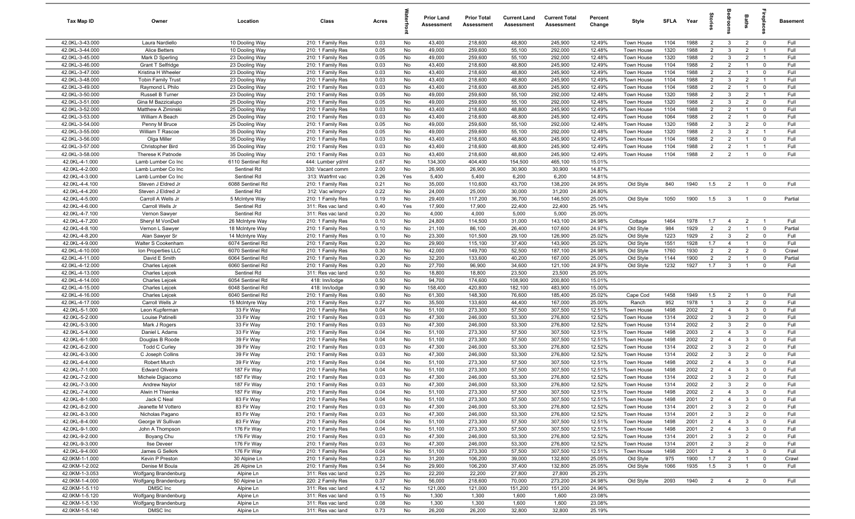| Tax Map ID                         | Owner                              | Location                         | Class                                  | Acres        |          | <b>Prior Land</b><br>Assessment | <b>Prior Total</b><br>Assessment | <b>Current Land</b><br>Assessment | <b>Current Total</b><br>Assessment | Percent<br>Change | Style                    | <b>SFLA</b>  | Year         | tories                           | <b>Bedroo</b>                    | Baths                            |                                        | <b>Basement</b> |
|------------------------------------|------------------------------------|----------------------------------|----------------------------------------|--------------|----------|---------------------------------|----------------------------------|-----------------------------------|------------------------------------|-------------------|--------------------------|--------------|--------------|----------------------------------|----------------------------------|----------------------------------|----------------------------------------|-----------------|
| 42.0KL-3-43.000                    | Laura Nardiello                    | 10 Dooling Way                   | 210: 1 Family Res                      | 0.03         | No       | 43,400                          | 218,600                          | 48,800                            | 245,900                            | 12.49%            | Town House               | 1104         | 1988         | $\overline{2}$                   | $\mathbf{3}$                     | $\overline{2}$                   | $\mathbf 0$                            | Full            |
| 42.0KL-3-44.000                    | Alice Betters                      | 10 Dooling Way                   | 210: 1 Family Res                      | 0.05         | No       | 49,000                          | 259,600                          | 55,100                            | 292,000                            | 12.48%            | Town House               | 1320         | 1988         | $\overline{2}$                   | $\mathbf{3}$                     | $\overline{2}$                   | $\overline{1}$                         | Full            |
| 42.0KL-3-45.000                    | Mark D Sperling                    | 23 Dooling Way                   | 210: 1 Family Res                      | 0.05         | No       | 49,000                          | 259,600                          | 55,100                            | 292,000                            | 12.48%            | Town House               | 1320         | 1988         | $\overline{2}$                   | $\mathbf{3}$                     | $\overline{2}$                   | $\overline{1}$                         | Full            |
| 42.0KL-3-46.000                    | <b>Grant T Selfridge</b>           | 23 Dooling Way                   | 210: 1 Family Res                      | 0.03         | No       | 43,400                          | 218,600                          | 48,800                            | 245,900                            | 12.49%            | Town House               | 1104         | 1988         | $\overline{2}$                   | $\overline{2}$                   | -1                               | $\mathbf 0$                            | Full            |
| 42.0KL-3-47.000                    | Kristina H Wheeler                 | 23 Dooling Way                   | 210: 1 Family Res                      | 0.03         | No       | 43,400                          | 218,600                          | 48,800                            | 245,900                            | 12.49%            | Town House               | 1104         | 1988         | $\overline{2}$                   | $\overline{2}$                   | $\overline{1}$                   | $\mathbf 0$                            | Full            |
| 42.0KL-3-48.000                    | <b>Tobin Family Trust</b>          | 23 Dooling Way                   | 210: 1 Family Res                      | 0.03         | No       | 43,400                          | 218,600                          | 48,800                            | 245,900                            | 12.49%            | Town House               | 1104         | 1988         | $\overline{2}$                   | 3                                | $\overline{2}$                   | $\overline{1}$                         | Full            |
| 42.0KL-3-49.000                    | Raymond L Philo                    | 23 Dooling Way                   | 210: 1 Family Res                      | 0.03         | No       | 43,400                          | 218,600                          | 48,800                            | 245,900                            | 12.49%            | Town House               | 1104         | 1988         | $\overline{2}$                   | 2                                | $\overline{1}$                   | $\mathbf 0$                            | Full            |
| 42.0KL-3-50.000                    | Russell B Turner                   | 23 Dooling Way                   | 210: 1 Family Res                      | 0.05         | No       | 49,000                          | 259,600                          | 55,100                            | 292,000                            | 12.48%            | Town House               | 1320         | 1988         | $\overline{2}$                   | $\mathbf{3}$                     | $\overline{2}$                   | $\overline{1}$                         | Full            |
| 42.0KL-3-51.000                    | Gina M Bazzicalupo                 | 25 Dooling Way                   | 210: 1 Family Res                      | 0.05         | No       | 49,000                          | 259,600                          | 55,100                            | 292,000                            | 12.48%            | Town House               | 1320         | 1988         | $\overline{2}$                   | $\mathbf{3}$                     | $\overline{2}$                   | $\mathbf 0$                            | Full            |
| 42.0KL-3-52.000                    | Matthew A Ziminski                 | 25 Dooling Way                   | 210: 1 Family Res                      | 0.03         | No       | 43,400                          | 218,600                          | 48,800                            | 245,900                            | 12.49%            | Town House               | 1104         | 1988         | $\overline{2}$                   | $\overline{2}$                   | $\overline{1}$                   | $\mathbf 0$                            | Full            |
| 42.0KL-3-53.000                    | William A Beach                    | 25 Dooling Way                   | 210: 1 Family Res                      | 0.03         | No       | 43,400                          | 218,600                          | 48,800                            | 245,900                            | 12.49%            | Town House               | 1064         | 1988         | $\overline{2}$                   | $\overline{2}$                   | $\overline{1}$                   | $\mathbf 0$                            | Full            |
| 42.0KL-3-54.000                    | Penny M Bruce                      | 25 Dooling Way                   | 210: 1 Family Res                      | 0.05         | No       | 49,000                          | 259,600                          | 55,100                            | 292,000                            | 12.48%            | Town House               | 1320         | 1988<br>1988 | $\overline{2}$                   | $\mathbf{3}$                     | 2<br>$\overline{2}$              | $\overline{0}$                         | Full<br>Full    |
| 42.0KL-3-55.000<br>42.0KL-3-56.000 | William T Rascoe<br>Olga Miller    | 35 Dooling Way<br>35 Dooling Way | 210: 1 Family Res<br>210: 1 Family Res | 0.05<br>0.03 | No<br>No | 49,000<br>43,400                | 259,600<br>218,600               | 55,100<br>48,800                  | 292,000<br>245,900                 | 12.48%<br>12.49%  | Town House<br>Town House | 1320<br>1104 | 1988         | $\overline{2}$<br>$\overline{2}$ | $\mathbf{3}$<br>$\overline{2}$   | $\overline{1}$                   | $\overline{1}$<br>$\mathbf 0$          | Full            |
| 42.0KL-3-57.000                    | Christopher Bird                   | 35 Dooling Way                   | 210: 1 Family Res                      | 0.03         | No       | 43,400                          | 218,600                          | 48,800                            | 245,900                            | 12.49%            | Town House               | 1104         | 1988         | $\overline{2}$                   | $\overline{2}$                   | $\overline{1}$                   | $\overline{1}$                         | Full            |
| 42.0KL-3-58.000                    | Therese K Patnode                  | 35 Dooling Way                   | 210: 1 Family Res                      | 0.03         | No       | 43,400                          | 218,600                          | 48,800                            | 245,900                            | 12.49%            | Town House               | 1104         | 1988         | $\overline{2}$                   | $\overline{2}$                   | $\overline{1}$                   | $\mathbf 0$                            | Full            |
| 42.0KL-4-1.000                     | Lamb Lumber Co Inc                 | 6110 Sentinel Rd                 | 444: Lumber yd/ml                      | 0.67         | No       | 134,300                         | 404,400                          | 154,500                           | 465,100                            | 15.01%            |                          |              |              |                                  |                                  |                                  |                                        |                 |
| 42.0KL-4-2.000                     | Lamb Lumber Co Inc                 | Sentinel Rd                      | 330: Vacant comm                       | 2.00         | No       | 26,900                          | 26,900                           | 30,900                            | 30,900                             | 14.87%            |                          |              |              |                                  |                                  |                                  |                                        |                 |
| 42.0KL-4-3.000                     | Lamb Lumber Co Inc                 | Sentinel Rd                      | 313: Watrfrnt vac                      | 0.26         | Yes      | 5,400                           | 5,400                            | 6,200                             | 6,200                              | 14.81%            |                          |              |              |                                  |                                  |                                  |                                        |                 |
| 42.0KL-4-4.100                     | Steven J Eldred Jr                 | 6088 Sentinel Rd                 | 210: 1 Family Res                      | 0.21         | No       | 35,000                          | 110,600                          | 43,700                            | 138,200                            | 24.95%            | Old Style                | 840          | 1940         | 1.5                              | $\overline{2}$                   | $\overline{1}$                   | $\overline{0}$                         | Full            |
| 42.0KL-4-4.200                     | Steven J Eldred Jr                 | Sentinel Rd                      | 312: Vac w/imprv                       | 0.22         | No       | 24,000                          | 25,000                           | 30,000                            | 31,200                             | 24.80%            |                          |              |              |                                  |                                  |                                  |                                        |                 |
| 42.0KL-4-5.000                     | Carroll A Wells Jr                 | 5 McIntyre Way                   | 210: 1 Family Res                      | 0.19         | No       | 29,400                          | 117,200                          | 36,700                            | 146,500                            | 25.00%            | Old Style                | 1050         | 1900         | 1.5                              | $\mathbf{3}$                     | $\overline{1}$                   | $\mathbf 0$                            | Partial         |
| 42.0KL-4-6.000                     | Carroll Wells Jr                   | Sentinel Rd                      | 311: Res vac land                      | 0.40         | Yes      | 17,900                          | 17,900                           | 22,400                            | 22,400                             | 25.14%            |                          |              |              |                                  |                                  |                                  |                                        |                 |
| 42.0KL-4-7.100                     | Vernon Sawyer                      | Sentinel Rd                      | 311: Res vac land                      | 0.20         | No       | 4,000                           | 4,000                            | 5,000                             | 5,000                              | 25.00%            |                          |              |              |                                  |                                  |                                  |                                        |                 |
| 42.0KL-4-7.200                     | Sheryl M VonDell                   | 26 McIntyre Way                  | 210: 1 Family Res                      | 0.10         | No       | 24,800                          | 114,500                          | 31,000                            | 143,100                            | 24.98%            | Cottage                  | 1464         | 1978         | 1.7                              | $\overline{4}$                   | $\overline{2}$                   | $\overline{1}$                         | Full            |
| 42.0KL-4-8.100                     | Vernon L Sawyer                    | 18 McIntyre Way                  | 210: 1 Family Res                      | 0.10         | No       | 21,100                          | 86,100                           | 26,400                            | 107,600                            | 24.97%            | Old Style                | 984          | 1929         | $\overline{2}$                   | $\overline{2}$                   | $\overline{1}$                   | $\mathbf 0$                            | Partial         |
| 42.0KL-4-8.200                     | Alan Sawyer Sr                     | 14 McIntyre Way                  | 210: 1 Family Res                      | 0.10         | No       | 23,300                          | 101,500                          | 29,100                            | 126,900                            | 25.02%            | Old Style                | 1223         | 1929         | $\overline{2}$                   | $\mathbf{3}$                     | $\overline{2}$                   | $\mathbf 0$                            | Full            |
| 42.0KL-4-9.000                     | Walter S Cookenham                 | 6074 Sentinel Rd                 | 210: 1 Family Res                      | 0.20         | No       | 29,900                          | 115,100                          | 37,400                            | 143,900                            | 25.02%            | Old Style                | 1551         | 1928         | 1.7                              | $\overline{4}$                   | -1                               | $\mathbf 0$                            | Full            |
| 42.0KL-4-10.000                    | Ion Properties LLC                 | 6070 Sentinel Rd                 | 210: 1 Family Res                      | 0.30         | No       | 42,000                          | 149,700                          | 52,500                            | 187,100                            | 24.98%            | Old Style                | 1760         | 1930         | $\overline{2}$                   | $\overline{2}$                   | $\overline{2}$                   | $\mathbf 0$                            | Crawl           |
| 42.0KL-4-11.000                    | David E Smith                      | 6064 Sentinel Rd                 | 210: 1 Family Res                      | 0.20         | No       | 32,200                          | 133,600                          | 40,200                            | 167,000                            | 25.00%            | Old Style                | 1144         | 1900         | $\overline{2}$                   | $\overline{2}$                   | -1                               | $\mathbf 0$                            | Partial         |
| 42.0KL-4-12.000                    | <b>Charles Lejcek</b>              | 6060 Sentinel Rd                 | 210: 1 Family Res                      | 0.20         | No       | 27,700                          | 96,900                           | 34,600                            | 121,100                            | 24.97%            | Old Style                | 1232         | 1927         | 1.7                              | $\overline{\mathbf{3}}$          | $\overline{1}$                   | $\mathbf 0$                            | Full            |
| 42.0KL-4-13.000                    | <b>Charles Lejcek</b>              | Sentinel Rd                      | 311: Res vac land                      | 0.50         | No       | 18,800                          | 18,800                           | 23,500                            | 23,500                             | 25.00%            |                          |              |              |                                  |                                  |                                  |                                        |                 |
| 42.0KL-4-14.000                    | <b>Charles Lejcek</b>              | 6054 Sentinel Rd                 | 418: Inn/lodge                         | 0.50         | No       | 94,700                          | 174,600                          | 108,900                           | 200,800                            | 15.01%            |                          |              |              |                                  |                                  |                                  |                                        |                 |
| 42.0KL-4-15.000                    | <b>Charles Lejcek</b>              | 6048 Sentinel Rd                 | 418: Inn/lodge                         | 0.90         | No       | 158,400                         | 420,800                          | 182,100                           | 483,900                            | 15.00%            |                          |              |              |                                  |                                  |                                  |                                        |                 |
| 42.0KL-4-16.000                    | <b>Charles Lejcek</b>              | 6040 Sentinel Rd                 | 210: 1 Family Res                      | 0.60         | No       | 61,300                          | 148,300                          | 76,600                            | 185,400                            | 25.02%            | Cape Cod                 | 1458         | 1949         | 1.5                              | $\overline{2}$                   | $\overline{1}$                   | $\Omega$                               | Full            |
| 42.0KL-4-17.000                    | Carroll Wells Jr                   | 15 McIntyre Way                  | 210: 1 Family Res                      | 0.27         | No       | 35,500                          | 133,600                          | 44,400                            | 167,000                            | 25.00%            | Ranch                    | 952          | 1978<br>2002 | $\overline{1}$                   | 3<br>$\overline{4}$              | $\overline{2}$<br>$\mathbf{3}$   | $\mathbf 0$<br>$\mathbf 0$             | Full<br>Full    |
| 42.0KL-5-1.000<br>42.0KL-5-2.000   | Leon Kupferman<br>Louise Patinelli | 33 Fir Way<br>33 Fir Way         | 210: 1 Family Res<br>210: 1 Family Res | 0.04<br>0.03 | No<br>No | 51,100<br>47,300                | 273,300<br>246,000               | 57,500<br>53,300                  | 307,500<br>276,800                 | 12.51%<br>12.52%  | Town House<br>Town House | 1498<br>1314 | 2002         | $\overline{2}$<br>$\overline{2}$ | $\overline{3}$                   | 2                                | $\mathbf 0$                            | Full            |
| 42.0KL-5-3.000                     | Mark J Rogers                      | 33 Fir Way                       | 210: 1 Family Res                      | 0.03         | No       | 47,300                          | 246,000                          | 53,300                            | 276,800                            | 12.52%            | Town House               | 1314         | 2002         | $\overline{2}$                   | $\mathbf{3}$                     | $\overline{2}$                   | $\mathbf 0$                            | Full            |
| 42.0KL-5-4.000                     | Daniel L Adams                     | 33 Fir Way                       | 210: 1 Family Res                      | 0.04         | No       | 51,100                          | 273,300                          | 57,500                            | 307,500                            | 12.51%            | Town House               | 1498         | 2003         | $\overline{2}$                   | $\overline{4}$                   | $\mathbf{3}$                     | $\mathbf 0$                            | Full            |
| 42.0KL-6-1.000                     | Douglas B Roode                    | 39 Fir Way                       | 210: 1 Family Res                      | 0.04         | No       | 51,100                          | 273,300                          | 57,500                            | 307,500                            | 12.51%            | Town House               | 1498         | 2002         | $\overline{2}$                   | $\overline{4}$                   | -3                               | $\mathbf 0$                            | Full            |
| 42.0KL-6-2.000                     | <b>Todd C Curley</b>               | 39 Fir Way                       | 210: 1 Family Res                      | 0.03         | No       | 47,300                          | 246,000                          | 53,300                            | 276,800                            | 12.52%            | Town House               | 1314         | 2002         | $\overline{2}$                   | $\mathbf{3}$                     | $\overline{2}$                   | $\mathbf 0$                            | Full            |
| 42.0KL-6-3.000                     | C Joseph Collins                   | 39 Fir Way                       | 210: 1 Family Res                      | 0.03         | No       | 47,300                          | 246,000                          | 53,300                            | 276,800                            | 12.52%            | Town House               | 1314         | 2002         | $\overline{2}$                   | 3                                | $\overline{2}$                   | $\overline{0}$                         | Full            |
| 42.0KL-6-4.000                     | Robert Murch                       | 39 Fir Way                       | 210: 1 Family Res                      | 0.04         | No       | 51,100                          | 273,300                          | 57,500                            | 307,500                            | 12.51%            | Town House               | 1498         | 2002         | $\overline{2}$                   | $\overline{4}$                   | $\mathbf{3}$                     | $\mathbf 0$                            | Full            |
| 42.0KL-7-1.000                     | <b>Edward Oliveira</b>             | 187 Fir Way                      | 210: 1 Family Res                      | 0.04         | No       | 51,100                          | 273,300                          | 57,500                            | 307,500                            | 12.51%            | Town House               | 1498         | 2002         | $\overline{2}$                   | $\overline{4}$                   | 3                                | $\mathbf 0$                            | Full            |
| 42.0KL-7-2.000                     | Michele Digiacomo                  | 187 Fir Way                      | 210: 1 Family Res                      | 0.03         | No       | 47,300                          | 246,000                          | 53,300                            | 276,800                            | 12.52%            | Town House               | 1314         | 2002         | $\overline{2}$                   | $\mathbf{3}$                     | $\overline{2}$                   | $\mathbf 0$                            | Full            |
| 42.0KL-7-3.000                     | Andrew Naylor                      | 187 Fir Way                      | 210: 1 Family Res                      | 0.03         | No       | 47,300                          | 246,000                          | 53,300                            | 276,800                            | 12.52%            | Town House               | 1314         | 2002         | $\overline{2}$                   | $\mathcal{R}$                    | $\overline{2}$                   | 0                                      | Full            |
| 42.0KL-7-4.000                     | Alwin H Thiemke                    | 187 Fir Way                      | 210: 1 Family Res                      | 0.04         | No       | 51,100                          | 273,300                          | 57,500                            | 307,500                            | 12.51%            | Town House               | 1498         | 2002         | $\overline{2}$                   | $\overline{4}$                   | $\overline{\mathbf{3}}$          | $\mathbf 0$                            | Full            |
| 42.0KL-8-1.000                     | Jack C Neal                        | 83 Fir Way                       | 210: 1 Family Res                      | 0.04         | No       | 51,100                          | 273,300                          | 57,500                            | 307,500                            | 12.51%            | Town House               | 1498         | 2001         | $\overline{2}$                   | $\overline{4}$                   | 3                                | $\mathbf 0$                            | Full            |
| 42.0KL-8-2.000                     | Jeanette M Vottero                 | 83 Fir Way                       | 210: 1 Family Res                      | 0.03         | No       | 47,300                          | 246,000                          | 53,300                            | 276,800                            | 12.52%            | Town House               | 1314         | 2001         | $\overline{2}$                   | $\mathbf{3}$                     | $\overline{2}$                   | $\mathbf 0$                            | Full            |
| 42.0KL-8-3.000                     | Nicholas Pagano                    | 83 Fir Way                       | 210: 1 Family Res                      | 0.03         | No       | 47,300                          | 246,000                          | 53,300                            | 276,800                            | 12.52%            | Town House               | 1314         | 2001         | $\overline{2}$                   | $\overline{\mathbf{3}}$          | $\overline{2}$                   | $\mathbf 0$                            | Full            |
| 42.0KL-8-4.000                     | George W Sullivan                  | 83 Fir Way                       | 210: 1 Family Res                      | 0.04         | No       | 51,100                          | 273,300                          | 57,500                            | 307,500                            | 12.51%            | Town House               | 1498         | 2001         | $\overline{2}$                   | $\overline{4}$                   | $\overline{3}$                   | $\mathbf 0$                            | Full            |
| 42.0KL-9-1.000                     | John A Thompson                    | 176 Fir Way                      | 210: 1 Family Res                      | 0.04         | No       | 51,100                          | 273,300                          | 57,500                            | 307,500                            | 12.51%            | Town House               | 1498         | 2001         | $\overline{2}$                   | $\overline{4}$                   | $\mathbf{3}$                     | $\mathbf 0$                            | Full            |
| 42.0KL-9-2.000                     | Boyang Chu                         | 176 Fir Way                      | 210: 1 Family Res                      | 0.03         | No       | 47,300                          | 246,000                          | 53,300                            | 276,800                            | 12.52%            | Town House               | 1314         | 2001         | $\overline{2}$                   | $\mathbf{3}$                     | $\overline{2}$                   | $\mathbf 0$                            | Full            |
| 42.0KL-9-3.000                     | Ilse Deveer                        | 176 Fir Way                      | 210: 1 Family Res                      | 0.03         | No       | 47,300                          | 246,000<br>273,300               | 53,300                            | 276,800                            | 12.52%            | Town House               | 1314         | 2001         | $\overline{2}$                   | $\mathbf{3}$<br>$\overline{4}$   | $\overline{2}$                   | $\overline{0}$                         | Full            |
| 42.0KL-9-4.000                     | James G Selkirk                    | 176 Fir Way                      | 210: 1 Family Res                      | 0.04         | No       | 51,100<br>31,200                | 106,200                          | 57,500<br>39,000                  | 307,500                            | 12.51%            | Town House               | 1498         | 2001<br>1900 | $\overline{2}$                   |                                  | $\overline{3}$                   | $\mathbf 0$                            | Full            |
| 42.0KM-1-1.000<br>42.0KM-1-2.002   | Kevin P Preston<br>Denise M Boula  | 30 Alpine Ln<br>26 Alpine Ln     | 210: 1 Family Res<br>210: 1 Family Res | 0.23<br>0.54 | No<br>No | 29,900                          | 106,200                          | 37,400                            | 132,800<br>132,800                 | 25.05%<br>25.05%  | Old Style<br>Old Style   | 975<br>1066  | 1935         | 1.7<br>1.5                       | $\overline{2}$<br>$\overline{3}$ | $\overline{1}$<br>$\overline{1}$ | $\overline{\mathbf{0}}$<br>$\mathbf 0$ | Crawl<br>Full   |
| 42.0KM-1-3.053                     | Wolfgang Brandenburg               | Alpine Ln                        | 311: Res vac land                      | 0.25         | No       | 22,200                          | 22,200                           | 27,800                            | 27,800                             | 25.23%            |                          |              |              |                                  |                                  |                                  |                                        |                 |
| 42.0KM-1-4.000                     | Wolfgang Brandenburg               | 50 Alpine Ln                     | 220: 2 Family Res                      | 0.37         | No       | 56,000                          | 218,600                          | 70,000                            | 273,200                            | 24.98%            | Old Style                | 2093         | 1940         | $\overline{2}$                   | $\overline{4}$                   | $\overline{2}$                   | $\overline{0}$                         | Full            |
| 42.0KM-1-5.110                     | DMSC Inc                           | Alpine Ln                        | 311: Res vac land                      | 4.12         | No       | 121,000                         | 121,000                          | 151,200                           | 151,200                            | 24.96%            |                          |              |              |                                  |                                  |                                  |                                        |                 |
| 42.0KM-1-5.120                     | Wolfgang Brandenburg               | Alpine Ln                        | 311: Res vac land                      | 0.15         | No       | 1,300                           | 1,300                            | 1,600                             | 1,600                              | 23.08%            |                          |              |              |                                  |                                  |                                  |                                        |                 |
| 42.0KM-1-5.130                     | Wolfgang Brandenburg               | Alpine Ln                        | 311: Res vac land                      | 0.08         | No       | 1,300                           | 1,300                            | 1,600                             | 1,600                              | 23.08%            |                          |              |              |                                  |                                  |                                  |                                        |                 |
| 42.0KM-1-5.140                     | DMSC Inc                           | Alpine Ln                        | 311: Res vac land                      | 0.73         | No       | 26,200                          | 26,200                           | 32,800                            | 32,800                             | 25.19%            |                          |              |              |                                  |                                  |                                  |                                        |                 |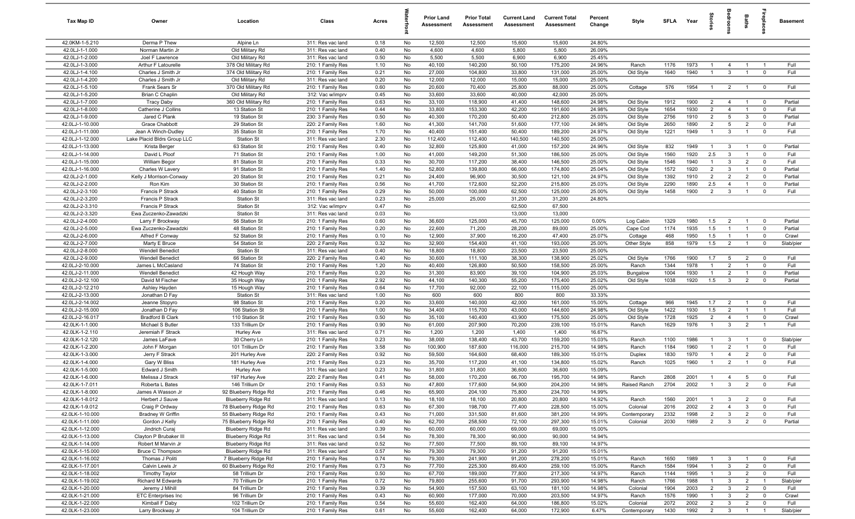| Tax Map ID                         | Owner                                | Location                                    | Class                                  | Acres        |          | <b>Prior Land</b><br>Assessment | <b>Prior Total</b><br>Assessment | <b>Current Land</b><br>Assessment | <b>Current Total</b><br>Assessment | Percent<br>Change | Style                    | <b>SFLA</b>  | Year         | ĝ.                               |                                         | <b>Baths</b>                     | Lehia                         | <b>Basement</b>    |
|------------------------------------|--------------------------------------|---------------------------------------------|----------------------------------------|--------------|----------|---------------------------------|----------------------------------|-----------------------------------|------------------------------------|-------------------|--------------------------|--------------|--------------|----------------------------------|-----------------------------------------|----------------------------------|-------------------------------|--------------------|
| 42.0KM-1-5.210                     | Derma P Thew                         | Alpine Ln                                   | 311: Res vac land                      | 0.18         | No       | 12,500                          | 12,500                           | 15,600                            | 15,600                             | 24.80%            |                          |              |              |                                  |                                         |                                  |                               |                    |
| 42.0LJ-1-1.000                     | Norman Martin Jr                     | Old Military Rd                             | 311: Res vac land                      | 0.40         | No       | 4,600                           | 4,600                            | 5,800                             | 5,800                              | 26.09%            |                          |              |              |                                  |                                         |                                  |                               |                    |
| 42.0LJ-1-2.000                     | Joel F Lawrence                      | Old Military Rd                             | 311: Res vac land                      | 0.50         | No       | 5,500                           | 5,500                            | 6,900                             | 6,900                              | 25.45%            |                          |              |              |                                  |                                         |                                  |                               |                    |
| 42.0LJ-1-3.000                     | Arthur F Latourelle                  | 378 Old Military Rd                         | 210: 1 Family Res                      | 1.10         | No       | 40,100                          | 140,200                          | 50,100                            | 175,200                            | 24.96%            | Ranch                    | 1176         | 1973         | $\mathbf{1}$                     | $\overline{4}$                          | $\overline{1}$                   |                               | Full               |
| 42.0LJ-1-4.100<br>42.0LJ-1-4.200   | Charles J Smith Jr                   | 374 Old Military Rd                         | 210: 1 Family Res                      | 0.21<br>0.20 | No       | 27,000<br>12,000                | 104,800<br>12,000                | 33,800<br>15,000                  | 131,000<br>15,000                  | 25.00%<br>25.00%  | Old Style                | 1640         | 1940         | $\mathbf{1}$                     | $\mathbf{3}$                            | $\overline{1}$                   | $\mathbf 0$                   | Full               |
| 42.0LJ-1-5.100                     | Charles J Smith Jr<br>Frank Sears Sr | Old Military Rd<br>370 Old Military Rd      | 311: Res vac land<br>210: 1 Family Res | 0.60         | No<br>No | 20,600                          | 70,400                           | 25,800                            | 88,000                             | 25.00%            | Cottage                  | 576          | 1954         | $\overline{1}$                   | $\overline{2}$                          | $\overline{1}$                   | $\overline{\mathbf{0}}$       | Full               |
| 42.0LJ-1-5.200                     | Brian C Chaplin                      | Old Military Rd                             | 312: Vac w/imprv                       | 0.45         | No       | 33,600                          | 33,600                           | 40,000                            | 42,000                             | 25.00%            |                          |              |              |                                  |                                         |                                  |                               |                    |
| 42.0LJ-1-7.000                     | <b>Tracy Daby</b>                    | 360 Old Military Rd                         | 210: 1 Family Res                      | 0.63         | No       | 33,100                          | 118,900                          | 41,400                            | 148,600                            | 24.98%            | Old Style                | 1912         | 1900         | $\overline{2}$                   | $\overline{4}$                          | $\overline{1}$                   | $\mathbf 0$                   | Partial            |
| 42.0LJ-1-8.000                     | Catherine J Collins                  | 13 Station St                               | 210: 1 Family Res                      | 0.44         | No       | 33,800                          | 153,300                          | 42,200                            | 191,600                            | 24.98%            | Old Style                | 1654         | 1930         | $\overline{2}$                   | $\overline{4}$                          | $\overline{1}$                   | $\overline{0}$                | Full               |
| 42.0LJ-1-9.000                     | Jared C Plank                        | 19 Station St                               | 230: 3 Family Res                      | 0.50         | No       | 40,300                          | 170,200                          | 50,400                            | 212,800                            | 25.03%            | Old Style                | 2756         | 1910         | $\overline{2}$                   | 5                                       | $\mathbf{3}$                     | $\mathbf 0$                   | Partial            |
| 42.0LJ-1-10.000                    | Grace Chabbott                       | 29 Station St                               | 220: 2 Family Res                      | 1.60         | No       | 41,300                          | 141,700                          | 51,600                            | 177,100                            | 24.98%            | Old Style                | 2650         | 1890         | $\overline{2}$                   | 5                                       | $\overline{2}$                   | $\mathbf 0$                   | Full               |
| 42.0LJ-1-11.000                    | Jean A Winch-Dudley                  | 35 Station St                               | 210: 1 Family Res                      | 1.70         | No       | 40,400                          | 151,400                          | 50,400                            | 189,200                            | 24.97%            | Old Style                | 1221         | 1949         | $\overline{1}$                   | $\mathbf{3}$                            | $\overline{1}$                   | $\mathbf 0$                   | Full               |
| 42.0LJ-1-12.000                    | Lake Placid Bldrs Group LLC          | <b>Station St</b>                           | 311: Res vac land                      | 2.30         | No       | 112,400                         | 112,400                          | 140,500                           | 140,500                            | 25.00%            |                          |              |              |                                  |                                         |                                  |                               |                    |
| 42.0LJ-1-13.000                    | Krista Berger                        | 63 Station St                               | 210: 1 Family Res                      | 0.40         | No       | 32,800                          | 125,800                          | 41,000                            | 157,200                            | 24.96%            | Old Style                | 832          | 1949         | $\overline{1}$                   | $\mathbf{3}$                            | $\overline{1}$                   | $\mathbf 0$                   | Partial            |
| 42.0LJ-1-14.000                    | David L Ploof                        | 71 Station St                               | 210: 1 Family Res                      | 1.00         | No       | 41,000                          | 149,200                          | 51,300                            | 186,500                            | 25.00%            | Old Style                | 1560         | 1920         | 2.5                              | $\mathbf{3}$                            | $\overline{1}$                   | $\Omega$                      | Full               |
| 42.0LJ-1-15.000                    | William Begor                        | 81 Station St                               | 210: 1 Family Res                      | 0.33         | No       | 30,700                          | 117,200                          | 38,400                            | 146,500                            | 25.00%            | Old Style                | 1546         | 1940         | $\overline{1}$                   | $\mathbf{3}$                            | $\overline{2}$                   | $\Omega$                      | Full               |
| 42.0LJ-1-16.000                    | Charles W Lavery                     | 91 Station St                               | 210: 1 Family Res                      | 1.40         | No       | 52,800                          | 139,800                          | 66,000                            | 174,800                            | 25.04%            | Old Style                | 1572         | 1920         | $\overline{2}$                   | $\mathbf{3}$                            | $\overline{1}$                   | $\mathbf 0$                   | Partial            |
| 42.0LJ-2-1.000<br>42.0LJ-2-2.000   | Kelly J Morrison-Conway<br>Ron Kim   | 20 Station St<br>30 Station St              | 210: 1 Family Res<br>210: 1 Family Res | 0.21<br>0.56 | No<br>No | 24,400<br>41,700                | 96,900<br>172,600                | 30,500<br>52,200                  | 121,100<br>215,800                 | 24.97%<br>25.03%  | Old Style                | 1392<br>2290 | 1910<br>1890 | $\overline{2}$<br>2.5            | $\overline{2}$<br>$\overline{4}$        | $\overline{2}$<br>$\overline{1}$ | $\Omega$<br>$\mathbf 0$       | Partial<br>Partial |
| 42.0LJ-2-3.100                     | Francis P Strack                     | 40 Station St                               | 210: 1 Family Res                      | 0.29         | No       | 50,000                          | 100,000                          | 62,500                            | 125,000                            | 25.00%            | Old Style<br>Old Style   | 1458         | 1900         | $\overline{2}$                   | $\mathbf{3}$                            | $\overline{1}$                   | $\mathbf 0$                   | Full               |
| 42.0LJ-2-3.200                     | Francis P Strack                     | <b>Station St</b>                           | 311: Res vac land                      | 0.23         | No       | 25,000                          | 25,000                           | 31,200                            | 31,200                             | 24.80%            |                          |              |              |                                  |                                         |                                  |                               |                    |
| 42.0LJ-2-3.310                     | <b>Francis P Strack</b>              | <b>Station St</b>                           | 312: Vac w/imprv                       | 0.47         | No       |                                 |                                  | 62,500                            | 67,500                             |                   |                          |              |              |                                  |                                         |                                  |                               |                    |
| 42.0LJ-2-3.320                     | Ewa Zuczenko-Zawadzki                | <b>Station St</b>                           | 311: Res vac land                      | 0.03         | No       |                                 |                                  | 13,000                            | 13,000                             |                   |                          |              |              |                                  |                                         |                                  |                               |                    |
| 42.0LJ-2-4.000                     | Larry F Brockway                     | 56 Station St                               | 210: 1 Family Res                      | 0.60         | No       | 36,600                          | 125,000                          | 45,700                            | 125,000                            | 0.00%             | Log Cabin                | 1329         | 1980         | 1.5                              | $\overline{2}$                          | $\overline{1}$                   | $\mathbf 0$                   | Partial            |
| 42.0LJ-2-5.000                     | Ewa Zuczenko-Zawadzki                | 48 Station St                               | 210: 1 Family Res                      | 0.20         | No       | 22,600                          | 71,200                           | 28,200                            | 89,000                             | 25.00%            | Cape Cod                 | 1174         | 1935         | 1.5                              | $\mathbf{1}$                            | $\overline{1}$                   | $\mathbf 0$                   | Partial            |
| 42.0LJ-2-6.000                     | Alfred F Conway                      | 52 Station St                               | 210: 1 Family Res                      | 0.10         | No       | 12,900                          | 37,900                           | 16,200                            | 47,400                             | 25.07%            | Cottage                  | 468          | 1950         | 1.5                              | $\overline{1}$                          | $\overline{1}$                   | $\mathbf 0$                   | Crawl              |
| 42.0LJ-2-7.000                     | Marty E Bruce                        | 54 Station St                               | 220: 2 Family Res                      | 0.32         | No       | 32,900                          | 154,400                          | 41,100                            | 193,000                            | 25.00%            | Other Style              | 858          | 1979         | 1.5                              | $\overline{2}$                          | $\overline{1}$                   | $\mathbf 0$                   | Slab/pier          |
| 42.0LJ-2-8.000                     | <b>Wendell Benedict</b>              | <b>Station St</b>                           | 311: Res vac land                      | 0.40         | No       | 18,800                          | 18,800                           | 23,500                            | 23,500                             | 25.00%            |                          |              |              |                                  |                                         |                                  |                               |                    |
| 42.0LJ-2-9.000                     | <b>Wendell Benedict</b>              | 66 Station St                               | 220: 2 Family Res                      | 0.40         | No       | 30,600                          | 111,100                          | 38,300                            | 138,900                            | 25.02%            | Old Style                | 1766         | 1900         | 1.7                              | 5                                       | $\overline{2}$                   | $\mathbf 0$                   | Full               |
| 42.0LJ-2-10.000                    | James L McCasland                    | 74 Station St                               | 210: 1 Family Res                      | 1.20         | No       | 40,400                          | 126,800                          | 50,500                            | 158,500                            | 25.00%            | Ranch                    | 1344         | 1978         |                                  | $\overline{2}$                          | $\overline{1}$                   | $\mathbf 0$                   | Full               |
| 42.0LJ-2-11.000                    | <b>Wendell Benedict</b>              | 42 Hough Way                                | 210: 1 Family Res                      | 0.20         | No       | 31,300                          | 83,900                           | 39,100                            | 104,900                            | 25.03%            | Bungalow                 | 1004         | 1930         | $\mathbf{1}$                     | $\overline{2}$                          | $\overline{1}$                   | $\mathbf 0$                   | Partial            |
| 42.0LJ-2-12.100                    | David M Fischer                      | 35 Hough Way                                | 210: 1 Family Res                      | 2.92         | No       | 44,100                          | 140,300                          | 55,200                            | 175,400                            | 25.02%            | Old Style                | 1038         | 1920         | 1.5                              | $\mathbf{3}$                            | $\overline{2}$                   | $\mathbf 0$                   | Partial            |
| 42.0LJ-2-12.210<br>42.0LJ-2-13.000 | Ashley Hayden                        | 15 Hough Way<br><b>Station St</b>           | 210: 1 Family Res<br>311: Res vac land | 0.64<br>1.00 | No<br>No | 17,700<br>600                   | 92,000<br>600                    | 22,100<br>800                     | 115,000<br>800                     | 25.00%<br>33.33%  |                          |              |              |                                  |                                         |                                  |                               |                    |
| 42.0LJ-2-14.002                    | Jonathan D Fay<br>Jeanne Stopyro     | 98 Station St                               | 210: 1 Family Res                      | 0.20         | No       | 33,600                          | 140,000                          | 42,000                            | 161,000                            | 15.00%            | Cottage                  | 966          | 1945         | 1.7                              | $\overline{2}$                          | $\overline{1}$                   | $\mathbf 0$                   | Full               |
| 42.0LJ-2-15.000                    | Jonathan D Fay                       | 106 Station St                              | 210: 1 Family Res                      | 1.00         | No       | 34,400                          | 115,700                          | 43,000                            | 144,600                            | 24.98%            | Old Style                | 1422         | 1930         | 1.5                              | $\overline{2}$                          | $\overline{1}$                   | $\overline{1}$                | Full               |
| 42.0LJ-2-16.017                    | <b>Bradford B Clark</b>              | 110 Station St                              | 210: 1 Family Res                      | 0.50         | No       | 35,100                          | 140,400                          | 43,900                            | 175,500                            | 25.00%            | Old Style                | 1728         | 1925         | $\overline{2}$                   | $\overline{4}$                          | $\overline{1}$                   | $\mathbf 0$                   | Crawl              |
| 42.0LK-1-1.000                     | Michael S Butler                     | 133 Trillium Dr                             | 210: 1 Family Res                      | 0.90         | No       | 61,000                          | 207,900                          | 70,200                            | 239,100                            | 15.01%            | Ranch                    | 1629         | 1976         | $\overline{1}$                   | $\mathbf{3}$                            | $\overline{2}$                   | $\overline{1}$                | Full               |
| 42.0LK-1-2.110                     | Jeremiah F Strack                    | Hurley Ave                                  | 311: Res vac land                      | 0.71         | No       | 1,200                           | 1,200                            | 1,400                             | 1,400                              | 16.67%            |                          |              |              |                                  |                                         |                                  |                               |                    |
| 42.0LK-1-2.120                     | James LaFave                         | 30 Cherry Ln                                | 210: 1 Family Res                      | 0.23         | No       | 38,000                          | 138,400                          | 43,700                            | 159,200                            | 15.03%            | Ranch                    | 1100         | 1986         | $\mathbf{1}$                     | $\mathbf{3}$                            | $\overline{1}$                   | $\mathbf 0$                   | Slab/pier          |
| 42.0LK-1-2.200                     | John F Morgan                        | 101 Trillium Dr                             | 210: 1 Family Res                      | 3.58         | No       | 100,900                         | 187,600                          | 116,000                           | 215,700                            | 14.98%            | Ranch                    | 1184         | 1960         | -1                               | $\overline{2}$                          | $\overline{1}$                   | $\mathbf 0$                   | Full               |
| 42.0LK-1-3.000                     | Jerry F Strack                       | 201 Hurley Ave                              | 220: 2 Family Res                      | 0.92         | No       | 59,500                          | 164,600                          | 68,400                            | 189,300                            | 15.01%            | Duplex                   | 1830         | 1970         | $\overline{1}$                   | $\overline{4}$                          | $\overline{2}$                   | $\Omega$                      | Full               |
| 42.0LK-1-4.000                     | Gary W Bliss                         | 181 Hurley Ave                              | 210: 1 Family Res                      | 0.23         | No       | 35,700                          | 117,200                          | 41,100                            | 134,800                            | 15.02%            | Ranch                    | 1025         | 1960         | $\mathbf{1}$                     | $\overline{2}$                          | $\overline{1}$                   | $\mathbf 0$                   | Full               |
| 42.0LK-1-5.000                     | Edward J Smith                       | Hurley Ave                                  | 311: Res vac land                      | 0.23         | No       | 31,800                          | 31,800                           | 36,600                            | 36,600                             | 15.09%            |                          |              |              |                                  |                                         |                                  |                               |                    |
| 42.0LK-1-6.000                     | Melissa J Strack                     | 197 Hurley Ave                              | 220: 2 Family Res                      | 0.41         | No       | 58,000                          | 170,200                          | 66,700                            | 195,700                            | 14.98%            | Ranch                    | 2808         | 2001         | $\overline{1}$                   | $\overline{4}$                          | 5                                | $\mathbf 0$                   | Full               |
| 42.0LK-1-7.011                     | Roberta L Bates                      | 146 Trillium Dr                             | 210: 1 Family Res                      | 0.53         | No       | 47,800                          | 177,600                          | 54,900                            | 204,200                            | 14.98%            | Raised Ranch             | 2704         | 2002         | $\overline{1}$                   | $\mathbf{R}$                            | $\mathcal{P}$                    | $\Omega$                      | Full               |
| 42.0LK-1-8.000<br>42.0LK-1-8.012   | James A Wasson Jr<br>Herbert J Sauve | 92 Blueberry Ridge Rd<br>Blueberry Ridge Rd | 210: 1 Family Res<br>311: Res vac land | 0.46<br>0.13 | No<br>No | 65,900<br>18,100                | 204,100<br>18,100                | 75,800<br>20,800                  | 234,700<br>20,800                  | 14.99%<br>14.92%  | Ranch                    | 1560         | 2001         | $\overline{1}$                   | $\mathbf{3}$                            | $\overline{2}$                   | $\mathbf 0$                   | Full               |
| 42.0LK-1-9.012                     | Craig P Ordway                       | 78 Blueberry Ridge Rd                       | 210: 1 Family Res                      | 0.63         | No       | 67,300                          | 198,700                          | 77,400                            | 228,500                            | 15.00%            | Colonial                 | 2016         | 2002         | $\overline{2}$                   | $\overline{4}$                          | $\mathbf{3}$                     | $\mathbf 0$                   | Full               |
| 42.0LK-1-10.000                    | Bradney W Griffin                    | 55 Blueberry Ridge Rd                       | 210: 1 Family Res                      | 0.43         | No       | 71,000                          | 331,500                          | 81,600                            | 381,200                            | 14.99%            | Contemporary             | 2332         | 1998         | $\overline{2}$                   | $\mathbf{3}$                            | $\overline{2}$                   | $\mathbf 0$                   | Full               |
| 42.0LK-1-11.000                    | Gordon J Kelly                       | 75 Blueberry Ridge Rd                       | 210: 1 Family Res                      | 0.40         | No       | 62,700                          | 258,500                          | 72,100                            | 297,300                            | 15.01%            | Colonial                 | 2030         | 1989         | $\overline{2}$                   | $\mathbf{3}$                            | $\overline{2}$                   | $\overline{0}$                | Partial            |
| 42.0LK-1-12.000                    | Jindrich Curaj                       | Blueberry Ridge Rd                          | 311: Res vac land                      | 0.39         | No       | 60,000                          | 60,000                           | 69,000                            | 69,000                             | 15.00%            |                          |              |              |                                  |                                         |                                  |                               |                    |
| 42.0LK-1-13.000                    | Clayton P Brubaker III               | <b>Blueberry Ridge Rd</b>                   | 311: Res vac land                      | 0.54         | No       | 78,300                          | 78,300                           | 90,000                            | 90,000                             | 14.94%            |                          |              |              |                                  |                                         |                                  |                               |                    |
| 42.0LK-1-14.000                    | Robert M Marvin Jr                   | Blueberry Ridge Rd                          | 311: Res vac land                      | 0.52         | No       | 77,500                          | 77,500                           | 89,100                            | 89,100                             | 14.97%            |                          |              |              |                                  |                                         |                                  |                               |                    |
| 42.0LK-1-15.000                    | Bruce C Thompson                     | Blueberry Ridge Rd                          | 311: Res vac land                      | 0.57         | No       | 79,300                          | 79,300                           | 91,200                            | 91,200                             | 15.01%            |                          |              |              |                                  |                                         |                                  |                               |                    |
| 42.0LK-1-16.002                    | Thomas J Politi                      | 7 Blueberry Ridge Rd                        | 210: 1 Family Res                      | 0.74         | No       | 79,300                          | 241,900                          | 91,200                            | 278,200                            | 15.01%            | Ranch                    | 1650         | 1989         |                                  | $\mathbf{3}$                            | $\overline{1}$                   | $\overline{\mathbf{0}}$       | Full               |
| 42.0LK-1-17.001                    | Calvin Lewis Jr                      | 60 Blueberry Ridge Rd                       | 210: 1 Family Res                      | 0.73         | No       | 77,700                          | 225,300                          | 89,400                            | 259,100                            | 15.00%            | Ranch                    | 1584         | 1994         | $\overline{1}$                   | $\mathbf{3}$                            | $\overline{2}$                   | $\mathbf 0$                   | Full               |
| 42.0LK-1-18.002                    | <b>Timothy Taylor</b>                | 58 Trillium Dr                              | 210: 1 Family Res                      | 0.50         | No       | 67,700                          | 189,000                          | 77,800                            | 217,300                            | 14.97%            | Ranch                    | 1144         | 1995         | $\overline{1}$                   | $\mathbf{3}$                            | $\overline{2}$                   | $\mathbf 0$                   | Full               |
| 42.0LK-1-19.002                    | Richard M Edwards                    | 70 Trillium Dr                              | 210: 1 Family Res                      | 0.72         | No       | 79,800                          | 255,600                          | 91,700                            | 293,900                            | 14.98%            | Ranch                    | 1766         | 1988         | $\overline{1}$                   | $\mathbf{3}$                            | $\overline{2}$                   | $\overline{1}$                | Slab/pier          |
| 42.0LK-1-20.000                    | Jeremy J Mihill                      | 84 Trillium Dr                              | 210: 1 Family Res                      | 0.39         | No       | 54,900                          | 157,500                          | 63,100                            | 181,100                            | 14.98%            | Colonial                 | 1904         | 2003         | $\overline{2}$                   | $\mathbf{3}$                            | $\overline{2}$                   | $\mathbf 0$                   | Full               |
| 42.0LK-1-21.000                    | <b>ETC Enterprises Inc</b>           | 96 Trillium Dr                              | 210: 1 Family Res                      | 0.43         | No       | 60,900                          | 177,000                          | 70,000                            | 203,500                            | 14.97%            | Ranch                    | 1576         | 1990         | $\overline{1}$                   | $\mathbf{3}$                            | $\overline{2}$                   | $\mathbf 0$                   | Crawl              |
| 42.0LK-1-22.000<br>42.0LK-1-23.000 | Kimball F Daby<br>Larry Brockway Jr  | 102 Trillium Dr<br>104 Trillium Dr          | 210: 1 Family Res<br>210: 1 Family Res | 0.54<br>0.61 | No<br>No | 55,600<br>55,600                | 162,400<br>162,400               | 64,000<br>64,000                  | 186,800<br>172,900                 | 15.02%<br>6.47%   | Colonial<br>Contemporary | 2072<br>1430 | 2002<br>1992 | $\overline{2}$<br>$\overline{2}$ | $\mathbf{3}$<br>$\overline{\mathbf{3}}$ | $\overline{2}$<br>$\overline{1}$ | $\mathbf 0$<br>$\overline{1}$ | Full<br>Slab/pier  |
|                                    |                                      |                                             |                                        |              |          |                                 |                                  |                                   |                                    |                   |                          |              |              |                                  |                                         |                                  |                               |                    |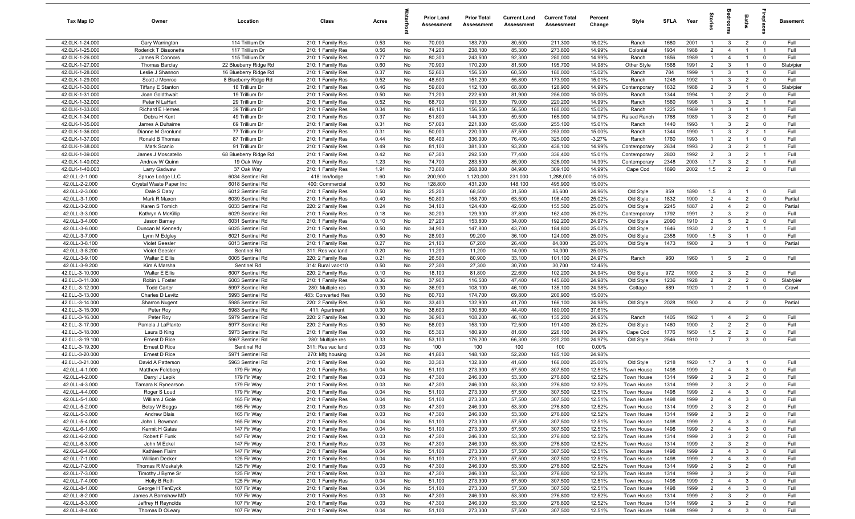| Tax Map ID                         | Owner                                          | Location                             | Class                                  | Acres        |          | <b>Prior Land</b><br>Assessment | <b>Prior Total</b><br>Assessment | <b>Current Land</b><br>Assessment | <b>Current Total</b><br>Assessment | Percent<br>Change | Style                    | <b>SFLA</b>  | Year         | $\vec{S}$                        | š                            | Baths                            | Lebia                        | Basement        |
|------------------------------------|------------------------------------------------|--------------------------------------|----------------------------------------|--------------|----------|---------------------------------|----------------------------------|-----------------------------------|------------------------------------|-------------------|--------------------------|--------------|--------------|----------------------------------|------------------------------|----------------------------------|------------------------------|-----------------|
| 42.0LK-1-24.000                    | Gary Warrington                                | 114 Trillium Dr                      | 210: 1 Family Res                      | 0.53         | No       | 70,000                          | 183,700                          | 80,500                            | 211,300                            | 15.02%            | Ranch                    | 1680         | 2001         | $\mathbf{1}$                     | $\mathbf{3}$                 | $\overline{2}$                   | $\mathbf{0}$                 | Full            |
| 42.0LK-1-25.000                    | Roderick T Bissonette                          | 117 Trillium Dr                      | 210: 1 Family Res                      | 0.56         | No       | 74,200                          | 238,100                          | 85,300                            | 273,800                            | 14.99%            | Colonial                 | 1934         | 1988         | $\overline{2}$                   | $\overline{4}$               | $\overline{1}$                   | - 1                          | Full            |
| 42.0LK-1-26.000                    | James R Connors                                | 115 Trillium Dr                      | 210: 1 Family Res                      | 0.77         | No       | 80,300                          | 243,500                          | 92,300                            | 280,000                            | 14.99%            | Ranch                    | 1856         | 1989         | $\mathbf{1}$                     | $\overline{4}$               | $\overline{1}$                   | $\mathbf 0$                  | Full            |
| 42.0LK-1-27.000                    | <b>Thomas Barclay</b>                          | 22 Blueberry Ridge Rd                | 210: 1 Family Res                      | 0.60         | No       | 70,900                          | 170,200                          | 81,500                            | 195,700                            | 14.98%            | Other Style              | 1568         | 1991         | $\overline{2}$                   | $\mathbf{3}$                 |                                  | $^{\circ}$                   | Slab/pier       |
| 42.0LK-1-28.000                    | Leslie J Shannon                               | 16 Blueberry Ridge Rd                | 210: 1 Family Res                      | 0.37         | No       | 52,600                          | 156,500                          | 60,500                            | 180,000                            | 15.02%            | Ranch                    | 784          | 1999         | $\mathbf{1}$                     | $\mathbf{3}$                 | $\overline{1}$                   | $^{\circ}$                   | Full            |
| 42.0LK-1-29.000                    | Scott J Monroe                                 | 8 Blueberry Ridge Rd                 | 210: 1 Family Res                      | 0.52         | No       | 48,500                          | 151,200                          | 55,800                            | 173,900                            | 15.01%            | Ranch                    | 1248         | 1992         | $\overline{1}$                   | $\mathbf{3}$                 | $\overline{2}$                   | $^{\circ}$                   | Full            |
| 42.0LK-1-30.000                    | <b>Tiffany E Stanton</b>                       | 18 Trillium Dr                       | 210: 1 Family Res                      | 0.46         | No       | 59,800                          | 112,100                          | 68,800                            | 128,900                            | 14.99%            | Contemporary             | 1632         | 1988         | $\overline{2}$                   | $\mathbf{3}$                 | $\overline{1}$                   | $\mathbf 0$                  | Slab/pier       |
| 42.0LK-1-31.000                    | Joan Goldthwait                                | 19 Trillium Dr                       | 210: 1 Family Res                      | 0.50         | No       | 71,200                          | 222,600                          | 81,900                            | 256,000                            | 15.00%            | Ranch                    | 1344         | 1994         | $\overline{1}$                   | $\overline{2}$               | $\overline{2}$                   | $\mathbf 0$                  | Full            |
| 42.0LK-1-32.000                    | Peter N LaHart                                 | 29 Trillium Dr                       | 210: 1 Family Res                      | 0.52         | No       | 68,700                          | 191,500                          | 79,000                            | 220,200                            | 14.99%            | Ranch                    | 1560         | 1996         | $\overline{1}$                   | $\mathbf{3}$                 | $\overline{2}$                   | $\overline{1}$               | Full            |
| 42.0LK-1-33.000                    | Richard E Hernes                               | 39 Trillium Dr                       | 210: 1 Family Res                      | 0.34         | No       | 49,100                          | 156,500                          | 56,500                            | 180,000                            | 15.02%            | Ranch                    | 1225<br>1768 | 1989<br>1989 | $\overline{1}$<br>$\overline{1}$ | $\mathbf{3}$<br>$\mathbf{3}$ | $\overline{1}$<br>$\overline{2}$ | $\overline{1}$<br>$^{\circ}$ | Full<br>Full    |
| 42.0LK-1-34.000<br>42.0LK-1-35.000 | Debra H Kent<br>James A Duhaime                | 49 Trillium Dr<br>69 Trillium Dr     | 210: 1 Family Res<br>210: 1 Family Res | 0.37<br>0.31 | No<br>No | 51,800<br>57,000                | 144,300<br>221,800               | 59,500<br>65,600                  | 165,900<br>255,100                 | 14.97%<br>15.01%  | Raised Ranch<br>Ranch    | 1440         | 1993         | $\overline{1}$                   | $\mathbf{3}$                 | $\overline{2}$                   | $^{\circ}$                   | Full            |
| 42.0LK-1-36.000                    | Dianne M Gronlund                              | 77 Trillium Dr                       | 210: 1 Family Res                      | 0.31         | No       | 50,000                          | 220,000                          | 57,500                            | 253,000                            | 15.00%            | Ranch                    | 1344         | 1990         | $\overline{1}$                   | $\mathbf{3}$                 | $\overline{2}$                   | $\overline{1}$               | Full            |
| 42.0LK-1-37.000                    | Ronald B Thomas                                | 87 Trillium Dr                       | 210: 1 Family Res                      | 0.44         | No       | 66,400                          | 336,000                          | 76,400                            | 325,000                            | $-3.27%$          | Ranch                    | 1760         | 1993         | $\overline{1}$                   | $\overline{2}$               | $\overline{1}$                   | $\mathbf 0$                  | Full            |
| 42.0LK-1-38.000                    | Mark Scanio                                    | 91 Trillium Dr                       | 210: 1 Family Res                      | 0.49         | No       | 81,100                          | 381,000                          | 93,200                            | 438,100                            | 14.99%            | Contemporary             | 2634         | 1993         | $\overline{2}$                   | $\mathbf{3}$                 | $\overline{2}$                   | $\overline{1}$               | Full            |
| 42.0LK-1-39.000                    | James J Moscatello                             | 68 Blueberry Ridge Rd                | 210: 1 Family Res                      | 0.42         | No       | 67,300                          | 292,500                          | 77,400                            | 336,400                            | 15.01%            | Contemporary             | 2800         | 1992         | $\overline{2}$                   | $\mathbf{3}$                 | $\overline{2}$                   | $\overline{1}$               | Full            |
| 42.0LK-1-40.002                    | Andrew W Quinn                                 | 19 Oak Way                           | 210: 1 Family Res                      | 1.23         | No       | 74,700                          | 283,500                          | 85,900                            | 326,000                            | 14.99%            | Contemporary             | 2348         | 2003         | 1.7                              | $\mathbf{3}$                 | $\overline{2}$                   |                              | Full            |
| 42.0LK-1-40.003                    | Larry Gadwaw                                   | 37 Oak Way                           | 210: 1 Family Res                      | 1.91         | No       | 73,800                          | 268,800                          | 84,900                            | 309,100                            | 14.99%            | Cape Cod                 | 1890         | 2002         | 1.5                              | $\overline{2}$               | $\overline{2}$                   | $^{\circ}$                   | Full            |
| 42.0LL-2-1.000                     | Spruce Lodge LLC                               | 6034 Sentinel Rd                     | 418: Inn/lodge                         | 1.60         | No       | 200,900                         | 1,120,000                        | 231,000                           | 1,288,000                          | 15.00%            |                          |              |              |                                  |                              |                                  |                              |                 |
| 42.0LL-2-2.000                     | Crystal Waste Paper Inc                        | 6018 Sentinel Rd                     | 400: Commercial                        | 0.50         | No       | 128,800                         | 431,200                          | 148,100                           | 495,900                            | 15.00%            |                          |              |              |                                  |                              |                                  |                              |                 |
| 42.0LL-2-3.000                     | Dale S Daby                                    | 6012 Sentinel Rd                     | 210: 1 Family Res                      | 0.50         | No       | 25,200                          | 68,500                           | 31,500                            | 85,600                             | 24.96%            | Old Style                | 859          | 1890         | 1.5                              | $\mathbf{3}$                 | $\overline{1}$                   | $\mathbf 0$                  | Full            |
| 42.0LL-3-1.000                     | Mark R Maxon                                   | 6039 Sentinel Rd                     | 210: 1 Family Res                      | 0.40         | No       | 50,800                          | 158,700                          | 63,500                            | 198,400                            | 25.02%            | Old Style                | 1832         | 1900         | $\overline{2}$                   | $\overline{4}$               | $\overline{2}$                   | $\mathbf 0$                  | Partial         |
| 42.0LL-3-2.000                     | Karen S Tomich                                 | 6033 Sentinel Rd                     | 220: 2 Family Res                      | 0.24         | No       | 34,100                          | 124,400                          | 42,600                            | 155,500                            | 25.00%            | Old Style                | 2245         | 1887         | $\overline{2}$                   | $\overline{4}$               | $\overline{2}$                   | $\mathbf{0}$                 | Partial         |
| 42.0LL-3-3.000                     | Kathryn A McKillip                             | 6029 Sentinel Rd                     | 210: 1 Family Res                      | 0.18         | No       | 30,200                          | 129,900                          | 37,800                            | 162,400                            | 25.02%            | Contemporary             | 1792         | 1991         | $\overline{2}$                   | $\mathbf{3}$                 | $\overline{2}$                   | $^{\circ}$                   | Full            |
| 42.0LL-3-4.000                     | Jason Barney                                   | 6031 Sentinel Rd                     | 210: 1 Family Res                      | 0.10         | No       | 27,200                          | 153,800                          | 34,000                            | 192,200                            | 24.97%            | Old Style                | 2090         | 1910         | $\overline{2}$                   | $5\overline{5}$              | $\overline{2}$                   | $\mathbf{0}$                 | Full            |
| 42.0LL-3-6.000                     | Duncan M Kennedy                               | 6025 Sentinel Rd                     | 210: 1 Family Res                      | 0.50         | No       | 34,900                          | 147,800                          | 43,700                            | 184,800                            | 25.03%            | Old Style                | 1646         | 1930         | $\overline{2}$                   | $\overline{2}$               | $\mathbf{1}$                     | - 1                          | Full            |
| 42.0LL-3-7.000<br>42.0LL-3-8.100   | Lynn M Edgley                                  | 6021 Sentinel Rd<br>6013 Sentinel Rd | 210: 1 Family Res                      | 0.50         | No       | 28,900                          | 99,200                           | 36,100                            | 124,000                            | 25.00%            | Old Style                | 2358<br>1473 | 1900         | 1.5<br>$\overline{2}$            | $\mathbf{3}$<br>$\mathbf{3}$ | $\overline{1}$                   | $\mathbf 0$                  | Full<br>Partial |
| 42.0LL-3-8.200                     | <b>Violet Geesler</b><br><b>Violet Geesler</b> | Sentinel Rd                          | 210: 1 Family Res                      | 0.27<br>0.20 | No<br>No | 21,100<br>11,200                | 67,200<br>11,200                 | 26,400<br>14,000                  | 84,000<br>14,000                   | 25.00%<br>25.00%  | Old Style                |              | 1900         |                                  |                              |                                  | $\mathbf 0$                  |                 |
| 42.0LL-3-9.100                     | Walter E Ellis                                 | 6005 Sentinel Rd                     | 311: Res vac land<br>220: 2 Family Res | 0.21         | No       | 26,500                          | 80,900                           | 33,100                            | 101,100                            | 24.97%            | Ranch                    | 960          | 1960         | -1                               | 5                            | $\overline{2}$                   | $^{\circ}$                   | Full            |
| 42.0LL-3-9.200                     | Kim A Marsha                                   | Sentinel Rd                          | 314: Rural vac<10                      | 0.50         | No       | 27,300                          | 27,300                           | 30,700                            | 30,700                             | 12.45%            |                          |              |              |                                  |                              |                                  |                              |                 |
| 42.0LL-3-10.000                    | Walter E Ellis                                 | 6007 Sentinel Rd                     | 220: 2 Family Res                      | 0.10         | No       | 18,100                          | 81,800                           | 22,600                            | 102,200                            | 24.94%            | Old Style                | 972          | 1900         | $\overline{2}$                   | $\mathbf{3}$                 | $\overline{2}$                   | $\overline{0}$               | Full            |
| 42.0LL-3-11.000                    | Robin L Foster                                 | 6003 Sentinel Rd                     | 210: 1 Family Res                      | 0.36         | No       | 37,900                          | 116,500                          | 47,400                            | 145,600                            | 24.98%            | Old Style                | 1236         | 1928         | $\overline{2}$                   | $\overline{2}$               | $\overline{2}$                   | $\mathbf 0$                  | Slab/pier       |
| 42.0LL-3-12.000                    | <b>Todd Carter</b>                             | 5997 Sentinel Rd                     | 280: Multiple res                      | 0.30         | No       | 36,900                          | 108,100                          | 46,100                            | 135,100                            | 24.98%            | Cottage                  | 889          | 1920         | $\overline{1}$                   | $\overline{2}$               | $\overline{1}$                   | $\mathbf{0}$                 | Crawl           |
| 42.0LL-3-13.000                    | Charles D Levitz                               | 5993 Sentinel Rd                     | 483: Converted Res                     | 0.50         | No       | 60,700                          | 174,700                          | 69,800                            | 200,900                            | 15.00%            |                          |              |              |                                  |                              |                                  |                              |                 |
| 42.0LL-3-14.000                    | Sharron Nugent                                 | 5985 Sentinel Rd                     | 220: 2 Family Res                      | 0.50         | No       | 33,400                          | 132,900                          | 41,700                            | 166,100                            | 24.98%            | Old Style                | 2028         | 1900         | $\overline{2}$                   | $\overline{4}$               | $\overline{2}$                   | $\overline{0}$               | Partial         |
| 42.0LL-3-15.000                    | Peter Roy                                      | 5983 Sentinel Rd                     | 411: Apartment                         | 0.30         | No       | 38,600                          | 130,800                          | 44,400                            | 180,000                            | 37.61%            |                          |              |              |                                  |                              |                                  |                              |                 |
| 42.0LL-3-16.000                    | Peter Roy                                      | 5979 Sentinel Rd                     | 220: 2 Family Res                      | 0.30         | No       | 36,900                          | 108,200                          | 46,100                            | 135,200                            | 24.95%            | Ranch                    | 1405         | 1982         | $\overline{1}$                   | $\overline{4}$               | $\overline{2}$                   | $^{\circ}$                   | Full            |
| 42.0LL-3-17.000                    | Pamela J LaPlante                              | 5977 Sentinel Rd                     | 220: 2 Family Res                      | 0.50         | No       | 58,000                          | 153,100                          | 72,500                            | 191,400                            | 25.02%            | Old Style                | 1460         | 1900         | $\overline{2}$                   | $\overline{2}$               | $\overline{2}$                   | $\Omega$                     | Full            |
| 42.0LL-3-18.000                    | Laura B King                                   | 5973 Sentinel Rd                     | 210: 1 Family Res                      | 0.60         | No       | 65,300                          | 180,900                          | 81,600                            | 226,100                            | 24.99%            | Cape Cod                 | 1776         | 1950         | 1.5                              | $\overline{2}$               | $\overline{2}$                   | $\Omega$                     | Full            |
| 42.0LL-3-19.100                    | Ernest D Rice                                  | 5967 Sentinel Rd                     | 280: Multiple res                      | 0.33         | No       | 53,100                          | 176,200                          | 66,300                            | 220,200                            | 24.97%            | Old Style                | 2546         | 1910         | $\overline{2}$                   | $\overline{7}$               | $\mathbf{3}$                     | $\mathbf 0$                  | Full            |
| 42.0LL-3-19.200                    | Ernest D Rice                                  | Sentinel Rd                          | 311: Res vac land                      | 0.03         | No       | 100                             | 100                              | 100                               | 100                                | 0.00%             |                          |              |              |                                  |                              |                                  |                              |                 |
| 42.0LL-3-20.000<br>42.0LL-3-21.000 | Ernest D Rice<br>David A Patterson             | 5971 Sentinel Rd<br>5963 Sentinel Rd | 270: Mfg housing<br>210: 1 Family Res  | 0.24<br>0.60 | No<br>No | 41,800<br>33,300                | 148,100<br>132,800               | 52,200<br>41,600                  | 185,100<br>166,000                 | 24.98%<br>25.00%  | Old Style                | 1218         | 1920         | 1.7                              | $\mathbf{3}$                 |                                  | $\mathbf 0$                  | Full            |
| 42.0LL-4-1.000                     | Matthew Feldberg                               | 179 Fir Way                          | 210: 1 Family Res                      | 0.04         | No       | 51,100                          | 273,300                          | 57,500                            | 307,500                            | 12.51%            | Town House               | 1498         | 1999         | $\overline{2}$                   | $\overline{4}$               | 3                                | $\Omega$                     | Full            |
| 42.0LL-4-2.000                     | Darryl J Lepik                                 | 179 Fir Way                          | 210: 1 Family Res                      | 0.03         | No       | 47,300                          | 246,000                          | 53,300                            | 276,800                            | 12.52%            | Town House               | 1314         | 1999         | $\overline{2}$                   | $\mathbf{3}$                 | $\overline{2}$                   | $^{\circ}$                   | Full            |
| 42.0LL-4-3.000                     | Tamara K Rynearson                             | 179 Fir Way                          | 210: 1 Family Res                      | 0.03         | No       | 47,300                          | 246,000                          | 53,300                            | 276,800                            | 12.52%            | Town House               | 1314         | 1999         | $\overline{2}$                   | $\mathcal{R}$                | $\overline{2}$                   |                              | Full            |
| 42.0LL-4-4.000                     | Roger S Loud                                   | 179 Fir Way                          | 210: 1 Family Res                      | 0.04         | No       | 51,100                          | 273,300                          | 57,500                            | 307,500                            | 12.51%            | Town House               | 1498         | 1999         | $\overline{2}$                   | $\overline{4}$               | $\mathbf{3}$                     | $\mathbf 0$                  | Full            |
| 42.0LL-5-1.000                     | William J Gole                                 | 165 Fir Way                          | 210: 1 Family Res                      | 0.04         | No       | 51,100                          | 273,300                          | 57,500                            | 307,500                            | 12.51%            | Town House               | 1498         | 1999         | $\overline{2}$                   | $\overline{4}$               | $\mathbf{3}$                     | $\mathbf 0$                  | Full            |
| 42.0LL-5-2.000                     | Betsy W Beggs                                  | 165 Fir Way                          | 210: 1 Family Res                      | 0.03         | No       | 47,300                          | 246,000                          | 53,300                            | 276,800                            | 12.52%            | Town House               | 1314         | 1999         | $\overline{2}$                   | $\mathbf{3}$                 | $\overline{2}$                   | $\mathbf 0$                  | Full            |
| 42.0LL-5-3.000                     | Andrew Blais                                   | 165 Fir Way                          | 210: 1 Family Res                      | 0.03         | No       | 47,300                          | 246,000                          | 53,300                            | 276,800                            | 12.52%            | Town House               | 1314         | 1999         | $\overline{2}$                   | $\mathbf{3}$                 | $\overline{2}$                   | $\mathbf 0$                  | Full            |
| 42.0LL-5-4.000                     | John L Bowman                                  | 165 Fir Way                          | 210: 1 Family Res                      | 0.04         | No       | 51,100                          | 273,300                          | 57,500                            | 307,500                            | 12.51%            | Town House               | 1498         | 1999         | $\overline{2}$                   | $\overline{4}$               | $\mathbf{3}$                     | $\mathbf 0$                  | Full            |
| 42.0LL-6-1.000                     | Kermit H Gates                                 | 147 Fir Way                          | 210: 1 Family Res                      | 0.04         | No       | 51,100                          | 273,300                          | 57,500                            | 307,500                            | 12.51%            | Town House               | 1498         | 1999         | $\overline{2}$                   | $\overline{4}$               | $\mathbf{3}$                     | $\mathbf 0$                  | Full            |
| 42.0LL-6-2.000                     | Robert F Funk                                  | 147 Fir Way                          | 210: 1 Family Res                      | 0.03         | No       | 47,300                          | 246,000                          | 53,300                            | 276,800                            | 12.52%            | Town House               | 1314         | 1999         | $\overline{2}$                   | $\mathbf{3}$                 | $\overline{2}$                   | $\mathbf 0$                  | Full            |
| 42.0LL-6-3.000                     | John M Eckel                                   | 147 Fir Way                          | 210: 1 Family Res                      | 0.03         | No       | 47,300                          | 246,000                          | 53,300                            | 276,800                            | 12.52%            | Town House               | 1314         | 1999         | $\overline{2}$                   | $\mathbf{3}$                 | $\overline{2}$                   | $\mathbf 0$                  | Full            |
| 42.0LL-6-4.000                     | Kathleen Flaim                                 | 147 Fir Way                          | 210: 1 Family Res                      | 0.04         | No       | 51,100                          | 273,300                          | 57,500                            | 307,500                            | 12.51%            | Town House               | 1498         | 1999         | $\overline{2}$                   | $\overline{4}$               | $\mathbf{3}$                     | $\mathbf 0$                  | Full            |
| 42.0LL-7-1.000<br>42.0LL-7-2.000   | <b>William Decker</b>                          | 125 Fir Way                          | 210: 1 Family Res                      | 0.04         | No       | 51,100                          | 273,300                          | 57,500                            | 307,500                            | 12.51%<br>12.52%  | Town House               | 1498         | 1999         | $\overline{2}$                   | $\overline{4}$               | $\mathbf{3}$                     | $\mathbf 0$                  | Full            |
| 42.0LL-7-3.000                     | Thomas R Moskalyk<br>Timothy J Byrne Sr        | 125 Fir Way<br>125 Fir Way           | 210: 1 Family Res<br>210: 1 Family Res | 0.03<br>0.03 | No<br>No | 47,300<br>47,300                | 246,000<br>246,000               | 53,300<br>53,300                  | 276,800<br>276,800                 | 12.52%            | Town House<br>Town House | 1314<br>1314 | 1999<br>1999 | $\overline{2}$<br>$\overline{2}$ | $\mathbf{3}$<br>$\mathbf{3}$ | $\overline{2}$<br>$\overline{2}$ | $\mathbf 0$<br>$\mathbf 0$   | Full<br>Full    |
| 42.0LL-7-4.000                     | Holly B Roth                                   | 125 Fir Way                          | 210: 1 Family Res                      | 0.04         | No       | 51,100                          | 273,300                          | 57,500                            | 307,500                            | 12.51%            | Town House               | 1498         | 1999         | $\overline{2}$                   | $\overline{4}$               | $\mathbf{3}$                     | $\mathbf 0$                  | Full            |
| 42.0LL-8-1.000                     | George H TenEyck                               | 107 Fir Way                          | 210: 1 Family Res                      | 0.04         | No       | 51,100                          | 273,300                          | 57,500                            | 307,500                            | 12.51%            | Town House               | 1498         | 1999         | $\overline{2}$                   | $\overline{4}$               | $\mathbf{3}$                     | $\mathbf 0$                  | Full            |
| 42.0LL-8-2.000                     | James A Barnshaw MD                            | 107 Fir Way                          | 210: 1 Family Res                      | 0.03         | No       | 47,300                          | 246,000                          | 53,300                            | 276,800                            | 12.52%            | Town House               | 1314         | 1999         | $\overline{2}$                   | $\mathbf{3}$                 | $\overline{2}$                   | $\overline{\mathbf{0}}$      | Full            |
| 42.0LL-8-3.000                     | Jeffrey H Reynolds                             | 107 Fir Way                          | 210: 1 Family Res                      | 0.03         | No       | 47,300                          | 246,000                          | 53,300                            | 276,800                            | 12.52%            | Town House               | 1314         | 1999         | $\overline{2}$                   | $\mathbf{3}$                 | $\overline{2}$                   | $\mathbf 0$                  | Full            |
| 42.0LL-8-4.000                     | Thomas D OLeary                                | 107 Fir Way                          | 210: 1 Family Res                      | 0.04         | No       | 51,100                          | 273,300                          | 57,500                            | 307,500                            | 12.51%            | Town House               | 1498         | 1999         | $\overline{2}$                   | $\overline{4}$               | $\mathbf{3}$                     | $\mathbf 0$                  | Full            |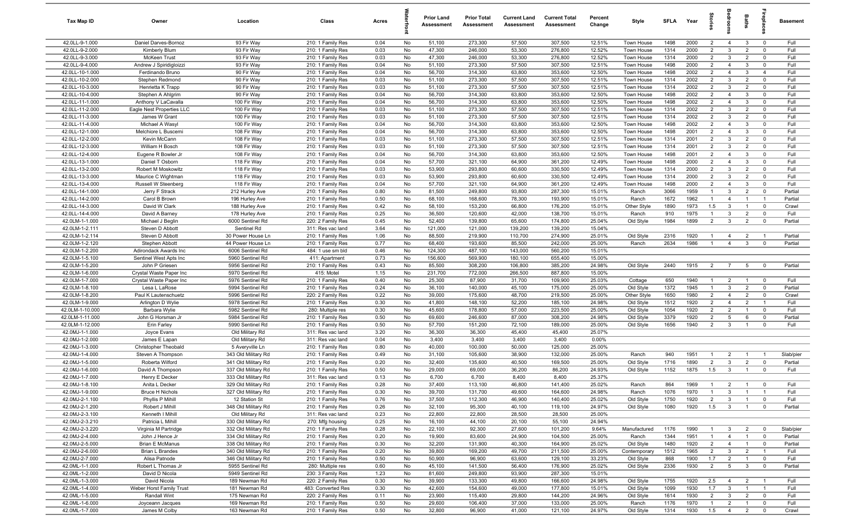| Tax Map ID                         | Owner                                 | Location                               | Class                                  | Acres        |          | <b>Prior Land</b><br>Assessment | <b>Prior Total</b><br>Assessment | <b>Current Land</b><br>Assessment | <b>Current Total</b><br>Assessment | Percent<br>Change | Style                    | <b>SFLA</b>  | Year         |                                  | g                                | Baths                            | <u>ep</u> la                  | Basement           |
|------------------------------------|---------------------------------------|----------------------------------------|----------------------------------------|--------------|----------|---------------------------------|----------------------------------|-----------------------------------|------------------------------------|-------------------|--------------------------|--------------|--------------|----------------------------------|----------------------------------|----------------------------------|-------------------------------|--------------------|
| 42.0LL-9-1.000                     | Daniel Darves-Bornoz                  | 93 Fir Way                             | 210: 1 Family Res                      | 0.04         | No       | 51,100                          | 273,300                          | 57,500                            | 307,500                            | 12.51%            | Town House               | 1498         | 2000         | $\overline{2}$                   | $\overline{4}$                   | $\mathbf{3}$                     | $\mathbf 0$                   | Full               |
| 42.0LL-9-2.000                     | Kimberly Blum                         | 93 Fir Way                             | 210: 1 Family Res                      | 0.03         | No       | 47,300                          | 246,000                          | 53,300                            | 276,800                            | 12.52%            | Town House               | 1314         | 2000         | $\overline{2}$                   | $\mathbf{3}$                     | $\overline{2}$                   | $^{\circ}$                    | Full               |
| 42.0LL-9-3.000                     | McKeen Trust                          | 93 Fir Way                             | 210: 1 Family Res                      | 0.03         | No       | 47,300                          | 246,000                          | 53,300                            | 276,800                            | 12.52%            | Town House               | 1314         | 2000         | $\overline{2}$                   | $\mathbf{3}$                     | $\overline{2}$                   | $\mathbf 0$                   | Full               |
| 42.0LL-9-4.000                     | Andrew J Spiridigloizzi               | 93 Fir Way                             | 210: 1 Family Res                      | 0.04         | No       | 51,100                          | 273,300                          | 57,500                            | 307,500                            | 12.51%            | Town House               | 1498         | 2000         | $\overline{2}$                   | $\overline{4}$                   | $\mathbf{3}$                     | $^{\circ}$                    | Full               |
| 42.0LL-10-1.000                    | Ferdinando Bruno                      | 90 Fir Way                             | 210: 1 Family Res                      | 0.04         | No       | 56,700                          | 314,300                          | 63,800                            | 353,600                            | 12.50%            | Town House               | 1498         | 2002         | $2^{\circ}$                      | $\overline{4}$                   | $\mathbf{3}$                     | $\overline{4}$                | Full               |
| 42.0LL-10-2.000                    | Stephen Redmond<br>Henrietta K Trapp  | 90 Fir Way                             | 210: 1 Family Res                      | 0.03         | No       | 51,100<br>51,100                | 273,300                          | 57,500<br>57,500                  | 307,500                            | 12.51%            | Town House               | 1314<br>1314 | 2002<br>2002 | $\overline{2}$<br>$\overline{2}$ | $\mathbf{3}$<br>$\mathbf{3}$     | $\overline{2}$<br>$\overline{2}$ | $^{\circ}$<br>$^{\circ}$      | Full<br>Full       |
| 42.0LL-10-3.000<br>42.0LL-10-4.000 | Stephen A Ahlgrim                     | 90 Fir Way<br>90 Fir Way               | 210: 1 Family Res<br>210: 1 Family Res | 0.03<br>0.04 | No<br>No | 56,700                          | 273,300<br>314,300               | 63,800                            | 307,500<br>353,600                 | 12.51%<br>12.50%  | Town House<br>Town House | 1498         | 2002         | $\overline{2}$                   | $\overline{4}$                   | $\mathbf{3}$                     | $\mathbf 0$                   | Full               |
| 42.0LL-11-1.000                    | Anthony V LaCavalla                   | 100 Fir Way                            | 210: 1 Family Res                      | 0.04         | No       | 56,700                          | 314,300                          | 63,800                            | 353,600                            | 12.50%            | Town House               | 1498         | 2002         | $\overline{2}$                   | $\overline{4}$                   | $\mathbf{3}$                     | $\mathbf 0$                   | Full               |
| 42.0LL-11-2.000                    | Eagle Nest Properties LLC             | 100 Fir Way                            | 210: 1 Family Res                      | 0.03         | No       | 51,100                          | 273,300                          | 57,500                            | 307,500                            | 12.51%            | Town House               | 1314         | 2002         | $\overline{2}$                   | $\mathbf{3}$                     | $\overline{2}$                   | $\mathbf 0$                   | Full               |
| 42.0LL-11-3.000                    | James W Grant                         | 100 Fir Way                            | 210: 1 Family Res                      | 0.03         | No       | 51,100                          | 273,300                          | 57,500                            | 307,500                            | 12.51%            | Town House               | 1314         | 2002         | 2                                | $\mathbf{3}$                     | $\overline{2}$                   | $^{\circ}$                    | Full               |
| 42.0LL-11-4.000                    | Michael A Wasyl                       | 100 Fir Way                            | 210: 1 Family Res                      | 0.04         | No       | 56,700                          | 314,300                          | 63,800                            | 353,600                            | 12.50%            | Town House               | 1498         | 2002         | $\overline{2}$                   | $\overline{4}$                   | $\mathbf{3}$                     | $^{\circ}$                    | Full               |
| 42.0LL-12-1.000                    | Melchiore L Buscemi                   | 108 Fir Way                            | 210: 1 Family Res                      | 0.04         | No       | 56,700                          | 314,300                          | 63,800                            | 353,600                            | 12.50%            | Town House               | 1498         | 2001         | $\overline{2}$                   | $\overline{4}$                   | $\mathbf{3}$                     | $\mathbf 0$                   | Full               |
| 42.0LL-12-2.000                    | Kevin McCann                          | 108 Fir Way                            | 210: 1 Family Res                      | 0.03         | No       | 51,100                          | 273,300                          | 57,500                            | 307,500                            | 12.51%            | Town House               | 1314         | 2001         | $\overline{2}$                   | $\mathbf{3}$                     | $\overline{2}$                   | $\mathbf 0$                   | Full               |
| 42.0LL-12-3.000                    | William H Bosch                       | 108 Fir Way                            | 210: 1 Family Res                      | 0.03         | No       | 51,100                          | 273,300                          | 57,500                            | 307,500                            | 12.51%            | Town House               | 1314         | 2001         | $\overline{2}$                   | $\mathbf{3}$                     | $\overline{2}$                   | $\Omega$                      | Full               |
| 42.0LL-12-4.000                    | Eugene R Bowler Jr                    | 108 Fir Way                            | 210: 1 Family Res                      | 0.04         | No       | 56,700                          | 314,300                          | 63,800                            | 353,600                            | 12.50%            | Town House               | 1498         | 2001         | $\overline{2}$                   | $\overline{4}$                   | $\mathbf{3}$                     | $\mathbf 0$                   | Full               |
| 42.0LL-13-1.000                    | Daniel T Osborn                       | 118 Fir Way                            | 210: 1 Family Res                      | 0.04         | No       | 57,700                          | 321,100                          | 64,900                            | 361,200                            | 12.49%            | Town House               | 1498         | 2000         | $\overline{2}$                   | $\overline{4}$                   | $\mathbf{3}$                     | $^{\circ}$                    | Full               |
| 42.0LL-13-2.000                    | Robert M Moskowitz                    | 118 Fir Way                            | 210: 1 Family Res                      | 0.03         | No       | 53,900                          | 293,800                          | 60,600                            | 330,500                            | 12.49%            | Town House               | 1314         | 2000         | $2^{\circ}$                      | $\mathbf{3}$                     | $\overline{2}$                   | $^{\circ}$                    | Full               |
| 42.0LL-13-3.000                    | Maurice C Wightman                    | 118 Fir Way                            | 210: 1 Family Res                      | 0.03         | No       | 53,900                          | 293,800                          | 60,600                            | 330,500                            | 12.49%            | Town House               | 1314         | 2000         | 2                                | $\mathbf{3}$                     | $\overline{2}$                   | $^{\circ}$                    | Full               |
| 42.0LL-13-4.000                    | Russell W Steenberg                   | 118 Fir Way                            | 210: 1 Family Res                      | 0.04         | No       | 57,700                          | 321,100                          | 64,900                            | 361,200                            | 12.49%            | Town House               | 1498         | 2000         | $\overline{2}$                   | $\overline{4}$                   | $\mathbf{3}$                     | $\mathbf 0$                   | Full               |
| 42.0LL-14-1.000<br>42.0LL-14-2.000 | Jerry F Strack<br>Carol B Brown       | 212 Hurley Ave<br>196 Hurley Ave       | 210: 1 Family Res                      | 0.80<br>0.50 | No       | 81,500<br>68,100                | 249,800<br>168,600               | 93,800<br>78,300                  | 287,300<br>193,900                 | 15.01%<br>15.01%  | Ranch                    | 3066<br>1672 | 1959<br>1962 | $\overline{1}$<br>$\overline{1}$ | $\mathbf{3}$<br>$\overline{4}$   | $\overline{2}$<br>$\overline{1}$ | $\mathbf 0$<br>$\overline{1}$ | Partial<br>Partial |
| 42.0LL-14-3.000                    | David W Clark                         | 188 Hurley Ave                         | 210: 1 Family Res<br>210: 1 Family Res | 0.42         | No<br>No | 58,100                          | 153,200                          | 66,800                            | 176,200                            | 15.01%            | Ranch<br>Other Style     | 1890         | 1973         | 1.5                              | $\mathbf{3}$                     | $\overline{1}$                   | $\mathbf 0$                   | Crawl              |
| 42.0LL-14-4.000                    | David A Barney                        | 178 Hurley Ave                         | 210: 1 Family Res                      | 0.25         | No       | 36,500                          | 120,600                          | 42,000                            | 138,700                            | 15.01%            | Ranch                    | 910          | 1975         | $\overline{1}$                   | $\mathbf{3}$                     | $\overline{2}$                   | $\mathbf 0$                   | Full               |
| 42.0LM-1-1.000                     | Michael J Beglin                      | 6000 Sentinel Rd                       | 220: 2 Family Res                      | 0.45         | No       | 52,400                          | 139,800                          | 65,600                            | 174,800                            | 25.04%            | Old Style                | 1984         | 1899         | $\overline{2}$                   | $\mathbf{3}$                     | $\overline{2}$                   | $\mathbf 0$                   | Partial            |
| 42.0LM-1-2.111                     | Steven D Abbott                       | Sentinel Rd                            | 311: Res vac land                      | 3.64         | No       | 121,000                         | 121,000                          | 139,200                           | 139,200                            | 15.04%            |                          |              |              |                                  |                                  |                                  |                               |                    |
| 42.0LM-1-2.114                     | Steven D Abbott                       | 30 Power House Ln                      | 210: 1 Family Res                      | 1.06         | No       | 88,500                          | 219,900                          | 110,700                           | 274,900                            | 25.01%            | Old Style                | 2316         | 1920         | $\overline{1}$                   | $\overline{4}$                   | $\overline{2}$                   | $\overline{1}$                | Partial            |
| 42.0LM-1-2.120                     | Stephen Abbott                        | 44 Power House Ln                      | 210: 1 Family Res                      | 0.77         | No       | 68,400                          | 193,600                          | 85,500                            | 242,000                            | 25.00%            | Ranch                    | 2634         | 1986         | $\mathbf{1}$                     | $\overline{4}$                   | $\mathbf{3}$                     | $\mathbf 0$                   | Partial            |
| 42.0LM-1-2.200                     | Adirondack Awards Inc                 | 6006 Sentinel Rd                       | 484: 1 use sm bld                      | 0.46         | No       | 124,300                         | 487,100                          | 143,000                           | 560,200                            | 15.01%            |                          |              |              |                                  |                                  |                                  |                               |                    |
| 42.0LM-1-5.100                     | Sentinel West Apts Inc                | 5960 Sentinel Rd                       | 411: Apartment                         | 0.73         | No       | 156,600                         | 569,900                          | 180,100                           | 655,400                            | 15.00%            |                          |              |              |                                  |                                  |                                  |                               |                    |
| 42.0LM-1-5.200                     | John P Griesen                        | 5956 Sentinel Rd                       | 210: 1 Family Res                      | 0.43         | No       | 85,500                          | 308,200                          | 106,800                           | 385,200                            | 24.98%            | Old Style                | 2440         | 1915         | $\overline{2}$                   | $\overline{7}$                   | $5\overline{5}$                  | $\overline{0}$                | Partial            |
| 42.0LM-1-6.000                     | Crystal Waste Paper Inc               | 5970 Sentinel Rd                       | 415: Motel                             | 1.15         | No       | 231,700                         | 772,000                          | 266,500                           | 887,800                            | 15.00%            |                          |              |              |                                  |                                  |                                  |                               |                    |
| 42.0LM-1-7.000                     | Crystal Waste Paper Inc               | 5976 Sentinel Rd                       | 210: 1 Family Res                      | 0.40         | No       | 25,300                          | 87,900                           | 31,700                            | 109,900                            | 25.03%            | Cottage                  | 650          | 1940         | $\overline{1}$                   | $\overline{2}$                   | $\overline{1}$                   | $\overline{0}$                | Full               |
| 42.0LM-1-8.100                     | Lesa L LaRose                         | 5994 Sentinel Rd                       | 210: 1 Family Res                      | 0.24         | No       | 36,100                          | 140,000                          | 45,100                            | 175,000                            | 25.00%            | Old Style                | 1372         | 1945         | $\mathbf{1}$                     | $\mathbf{3}$                     | $\overline{2}$                   | $\mathbf 0$                   | Partial            |
| 42.0LM-1-8.200                     | Paul K Lautenschuetz                  | 5996 Sentinel Rd                       | 220: 2 Family Res                      | 0.22         | No       | 39,000                          | 175,600                          | 48,700                            | 219,500                            | 25.00%            | Other Style              | 1650         | 1980         | $\overline{2}$                   | $\overline{4}$                   | $\overline{2}$                   | $^{\circ}$                    | Crawl              |
| 42.0LM-1-9.000<br>42.0LM-1-10.000  | Arlington D Wylie<br>Barbara Wylie    | 5978 Sentinel Rd<br>5982 Sentinel Rd   | 210: 1 Family Res                      | 0.30<br>0.30 | No<br>No | 41,800<br>45,600                | 148,100<br>178,800               | 52,200<br>57,000                  | 185,100<br>223,500                 | 24.98%<br>25.00%  | Old Style                | 1512<br>1054 | 1920<br>1920 | $\overline{2}$<br>2              | $\overline{4}$<br>$\overline{2}$ | $\overline{2}$<br>$\overline{1}$ | $\overline{1}$<br>$^{\circ}$  | Full<br>Full       |
| 42.0LM-1-11.000                    | John G Horsman Jr                     | 5984 Sentinel Rd                       | 280: Multiple res<br>210: 1 Family Res | 0.50         | No       | 69,600                          | 246,600                          | 87,000                            | 308,200                            | 24.98%            | Old Style<br>Old Style   | 3379         | 1920         | $\overline{2}$                   | 5                                | 6                                | $\mathbf 0$                   | Partial            |
| 42.0LM-1-12.000                    | Erin Farley                           | 5990 Sentinel Rd                       | 210: 1 Family Res                      | 0.50         | No       | 57,700                          | 151,200                          | 72,100                            | 189,000                            | 25.00%            | Old Style                | 1656         | 1940         | $\overline{2}$                   | $\mathbf{3}$                     | $\mathbf{1}$                     | $\mathbf 0$                   | Full               |
| 42.0MJ-1-1.000                     | Joyce Evans                           | Old Military Rd                        | 311: Res vac land                      | 3.20         | No       | 36,300                          | 36,300                           | 45,400                            | 45,400                             | 25.07%            |                          |              |              |                                  |                                  |                                  |                               |                    |
| 42.0MJ-1-2.000                     | James E Lapan                         | Old Military Rd                        | 311: Res vac land                      | 0.04         | No       | 3,400                           | 3,400                            | 3,400                             | 3,400                              | 0.00%             |                          |              |              |                                  |                                  |                                  |                               |                    |
| 42.0MJ-1-3.000                     | <b>Christopher Theobald</b>           | 5 Averyville Ln                        | 210: 1 Family Res                      | 0.80         | No       | 40,000                          | 100,000                          | 50,000                            | 125,000                            | 25.00%            |                          |              |              |                                  |                                  |                                  |                               |                    |
| 42.0MJ-1-4.000                     | Steven A Thompson                     | 343 Old Military Rd                    | 210: 1 Family Res                      | 0.49         | No       | 31,100                          | 105,600                          | 38,900                            | 132,000                            | 25.00%            | Ranch                    | 940          | 1951         | $\mathbf{1}$                     | $\overline{2}$                   |                                  |                               | Slab/pier          |
| 42.0MJ-1-5.000                     | Roberta Wilford                       | 341 Old Military Rd                    | 210: 1 Family Res                      | 0.20         | No       | 32,400                          | 135,600                          | 40,500                            | 169,500                            | 25.00%            | Old Style                | 1716         | 1890         | $\overline{2}$                   | $\mathbf{3}$                     | $\overline{2}$                   | $\Omega$                      | Partial            |
| 42.0MJ-1-6.000                     | David A Thompson                      | 337 Old Military Rd                    | 210: 1 Family Res                      | 0.50         | No       | 29,000                          | 69,000                           | 36,200                            | 86,200                             | 24.93%            | Old Style                | 1152         | 1875         | 1.5                              | $\mathbf{3}$                     |                                  | $\Omega$                      | Full               |
| 42.0MJ-1-7.000                     | Henry E Decker                        | 333 Old Military Rd                    | 311: Res vac land                      | 0.13         | No       | 6,700                           | 6,700                            | 8,400                             | 8,400                              | 25.37%            |                          |              |              |                                  |                                  |                                  |                               |                    |
| 42.0MJ-1-8.100                     | Anita L Decker                        | 329 Old Military Rd                    | 210: 1 Family Res                      | 0.28         | No       | 37,400                          | 113,100                          | 46,800                            | 141,400                            | 25.02%            | Ranch                    | 864          | 1969         | $\overline{1}$                   | $\overline{2}$                   | $\overline{1}$                   |                               | Full               |
| 42.0MJ-1-9.000                     | <b>Bruce H Nichols</b>                | 327 Old Military Rd                    | 210: 1 Family Res                      | 0.30         | No       | 39,700                          | 131,700                          | 49,600                            | 164,600                            | 24.98%            | Ranch                    | 1076         | 1970         | $\overline{1}$                   | $\mathbf{3}$                     | $\overline{1}$                   | $\overline{1}$                | Full               |
| 42.0MJ-2-1.100                     | Phyllis P Mihill                      | 12 Station St                          | 210: 1 Family Res                      | 0.76         | No       | 37,500                          | 112,300                          | 46,900                            | 140,400                            | 25.02%            | Old Style                | 1750         | 1920         | $\overline{2}$                   | $\mathbf{3}$                     | $\overline{1}$                   | $\mathbf 0$                   | Full               |
| 42.0MJ-2-1.200                     | Robert J Mihill                       | 348 Old Military Rd                    | 210: 1 Family Res                      | 0.26         | No       | 32,100                          | 95,300                           | 40,100                            | 119,100                            | 24.97%            | Old Style                | 1080         | 1920         | 1.5                              | $\mathbf{3}$                     | $\overline{1}$                   | $\mathbf 0$                   | Partial            |
| 42.0MJ-2-3.100<br>42.0MJ-2-3.210   | Kenneth I Mihill<br>Patricia L Mihill | Old Military Rd<br>330 Old Military Rd | 311: Res vac land<br>270: Mfg housing  | 0.23<br>0.25 | No<br>No | 22,800<br>16,100                | 22,800<br>44,100                 | 28,500<br>20,100                  | 28,500<br>55,100                   | 25.00%<br>24.94%  |                          |              |              |                                  |                                  |                                  |                               |                    |
| 42.0MJ-2-3.220                     | Virginia M Partridge                  | 332 Old Military Rd                    | 210: 1 Family Res                      | 0.28         | No       | 22,100                          | 92,300                           | 27,600                            | 101,200                            | 9.64%             | Manufactured             | 1176         | 1990         | $\mathbf{1}$                     | $\mathbf{3}$                     | $\overline{2}$                   | $\mathbf 0$                   | Slab/pier          |
| 42.0MJ-2-4.000                     | John J Hence Jr                       | 334 Old Military Rd                    | 210: 1 Family Res                      | 0.20         | No       | 19,900                          | 83,600                           | 24,900                            | 104,500                            | 25.00%            | Ranch                    | 1344         | 1951         | $\mathbf{1}$                     | $\overline{4}$                   | $\overline{1}$                   | $\mathbf 0$                   | Partial            |
| 42.0MJ-2-5.000                     | <b>Brian E McManus</b>                | 338 Old Military Rd                    | 210: 1 Family Res                      | 0.30         | No       | 32,200                          | 131,900                          | 40,300                            | 164,900                            | 25.02%            | Old Style                | 1480         | 1920         | $\overline{2}$                   | $\overline{4}$                   | $\mathbf{1}$                     | $\mathbf 0$                   | Partial            |
| 42.0MJ-2-6.000                     | <b>Brian L Brandes</b>                | 340 Old Military Rd                    | 210: 1 Family Res                      | 0.20         | No       | 39,800                          | 169,200                          | 49,700                            | 211,500                            | 25.00%            | Contemporary             | 1512         | 1965         | $\overline{2}$                   | $\mathbf{3}$                     | $\overline{2}$                   | - 1                           | Full               |
| 42.0MJ-2-7.000                     | Alisa Patnode                         | 346 Old Military Rd                    | 210: 1 Family Res                      | 0.50         | No       | 50,900                          | 96,900                           | 63,600                            | 129,100                            | 33.23%            | Old Style                | 868          | 1900         | 1.7                              | $\overline{2}$                   | $\mathbf{1}$                     | $\overline{0}$                | Full               |
| 42.0ML-1-1.000                     | Robert L Thomas Jr                    | 5955 Sentinel Rd                       | 280: Multiple res                      | 0.60         | No       | 45,100                          | 141,500                          | 56,400                            | 176,900                            | 25.02%            | Old Style                | 2336         | 1930         | $\overline{2}$                   | $5\overline{5}$                  | $\mathbf{3}$                     | $\mathbf 0$                   | Partial            |
| 42.0ML-1-2.000                     | David D Nicola                        | 5949 Sentinel Rd                       | 230: 3 Family Res                      | 1.23         | No       | 81,600                          | 249,800                          | 93,900                            | 287,300                            | 15.01%            |                          |              |              |                                  |                                  |                                  |                               |                    |
| 42.0ML-1-3.000                     | David Nicola                          | 189 Newman Rd                          | 220: 2 Family Res                      | 0.30         | No       | 39,900                          | 133,300                          | 49,800                            | 166,600                            | 24.98%            | Old Style                | 1755         | 1920         | 2.5                              | $\overline{4}$                   | $\overline{2}$                   | $\overline{1}$                | Full               |
| 42.0ML-1-4.000                     | Weber Horst Family Trust              | 181 Newman Rd                          | 483: Converted Res                     | 0.30         | No       | 42,600                          | 154,600                          | 49,000                            | 177,800                            | 15.01%            | Old Style                | 1099         | 1930         | 1.7                              | $\mathbf{3}$                     | $\overline{1}$                   | $\overline{1}$                | Full               |
| 42.0ML-1-5.000                     | <b>Randall Wint</b>                   | 175 Newman Rd                          | 220: 2 Family Res                      | 0.11         | No       | 23,900                          | 115,400                          | 29,800                            | 144,200                            | 24.96%            | Old Style                | 1614         | 1930         | $\overline{2}$                   | $\mathbf{3}$                     | $\overline{2}$                   | $\overline{0}$                | Full               |
| 42.0ML-1-6.000                     | Joyceann Jacques                      | 169 Newman Rd                          | 210: 1 Family Res                      | 0.50         | No       | 29,600                          | 106,400                          | 37,000                            | 133,000                            | 25.00%            | Ranch                    | 1176         | 1970         | $\mathbf{1}$                     | $\overline{2}$                   | $\mathbf{1}$                     | $\mathbf 0$                   | Full               |
| 42.0ML-1-7.000                     | James M Colby                         | 163 Newman Rd                          | 210: 1 Family Res                      | 0.50         | No       | 32,800                          | 96,900                           | 41,000                            | 121,100                            | 24.97%            | Old Style                | 1314         | 1930         | 1.5                              | $\overline{4}$                   | $\overline{2}$                   | $\overline{0}$                | Crawl              |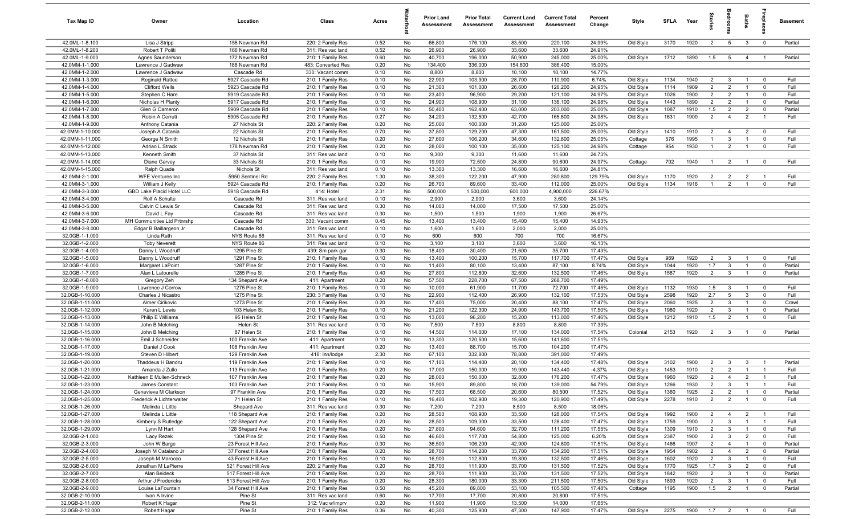| Tax Map ID                         | Owner                               | Location                                   | Class                                  | Acres        |          | <b>Prior Land</b><br>Assessment | <b>Prior Total</b><br>Assessment | <b>Current Land</b><br>Assessment | <b>Current Total</b><br><b>Assessment</b> | Percent<br>Change | Style                  | <b>SFLA</b>  | Year            | tories                           | ledroo                         | Baths                            |                               | <b>Basement</b> |
|------------------------------------|-------------------------------------|--------------------------------------------|----------------------------------------|--------------|----------|---------------------------------|----------------------------------|-----------------------------------|-------------------------------------------|-------------------|------------------------|--------------|-----------------|----------------------------------|--------------------------------|----------------------------------|-------------------------------|-----------------|
| 42.0ML-1-8.100                     | Lisa J Stripp                       | 158 Newman Rd                              | 220: 2 Family Res                      | 0.52         | No       | 66,800                          | 176,100                          | 83,500                            | 220,100                                   | 24.99%            | Old Style              | 3170         | 1920            | $\overline{2}$                   | 5                              | $\mathbf{3}$                     | $\overline{0}$                | Partial         |
| 42.0ML-1-8.200                     | Robert T Politi                     | 166 Newman Rd                              | 311: Res vac land                      | 0.52         | No       | 26,900                          | 26,900                           | 33,600                            | 33,600                                    | 24.91%            |                        |              |                 |                                  |                                |                                  |                               |                 |
| 42.0ML-1-9.000                     | Agnes Saunderson                    | 172 Newman Rd                              | 210: 1 Family Res                      | 0.60         | No       | 40,700                          | 196,000                          | 50,900                            | 245,000                                   | 25.00%            | Old Style              | 1712         | 1890            | 1.5                              | $5\overline{)}$                | $\overline{4}$                   | $\overline{1}$                | Partial         |
| 42.0MM-1-1.000                     | Lawrence J Gadwaw                   | 188 Newman Rd                              | 483: Converted Res                     | 0.20         | No       | 134,400                         | 336,000                          | 154,600                           | 386,400                                   | 15.00%            |                        |              |                 |                                  |                                |                                  |                               |                 |
| 42.0MM-1-2.000                     | Lawrence J Gadwaw                   | Cascade Rd                                 | 330: Vacant comm                       | 0.10         | No       | 8,800                           | 8,800                            | 10,100                            | 10,100                                    | 14.77%            |                        |              |                 |                                  |                                |                                  |                               |                 |
| 42.0MM-1-3.000                     | Reginald Rattee                     | 5927 Cascade Rd                            | 210: 1 Family Res                      | 0.10         | No       | 22,900                          | 103,900                          | 28,700                            | 110,900                                   | 6.74%             | Old Style              | 1134         | 1940            | $\overline{2}$                   | $\mathbf{3}$                   | $\overline{1}$                   | $\mathbf 0$                   | Full            |
| 42.0MM-1-4.000                     | <b>Clifford Wells</b>               | 5923 Cascade Rd                            | 210: 1 Family Res                      | 0.10         | No       | 21,300                          | 101,000                          | 26,600                            | 126,200                                   | 24.95%            | Old Style              | 1114         | 1909            | $\overline{2}$                   | $\overline{2}$                 | $\overline{1}$                   | $\mathbf 0$                   | Full            |
| 42.0MM-1-5.000                     | Stephen C Hare                      | 5919 Cascade Rd                            | 210: 1 Family Res                      | 0.10         | No       | 23,400                          | 96,900                           | 29,200                            | 121,100                                   | 24.97%            | Old Style              | 1026         | 1900            | $\overline{2}$                   | $\overline{2}$                 | $\overline{1}$                   | $\mathbf 0$                   | Full            |
| 42.0MM-1-6.000                     | Nicholas H Planty                   | 5917 Cascade Rd                            | 210: 1 Family Res                      | 0.10         | No       | 24,900                          | 108,900                          | 31,100                            | 136,100                                   | 24.98%            | Old Style              | 1443         | 1890            | $\overline{2}$                   | $\overline{2}$                 | $\overline{1}$                   | $\mathbf 0$                   | Partial         |
| 42.0MM-1-7.000                     | Glen G Cameron                      | 5909 Cascade Rd                            | 210: 1 Family Res                      | 0.10         | No       | 50,400                          | 162,400                          | 63,000                            | 203,000                                   | 25.00%            | Old Style              | 1087         | 1910            | 1.5                              | $\overline{2}$                 | $\overline{2}$                   | $\mathbf 0$                   | Partial         |
| 42.0MM-1-8.000                     | Robin A Cerruti                     | 5905 Cascade Rd                            | 210: 1 Family Res                      | 0.27         | No       | 34,200                          | 132,500                          | 42,700                            | 165,600                                   | 24.98%            | Old Style              | 1631         | 1900            | 2                                | $\overline{4}$                 | $\overline{2}$                   | $\overline{1}$                | Full            |
| 42.0MM-1-9.000                     | Anthony Catania                     | 27 Nichols St                              | 220: 2 Family Res                      | 0.20         | No       | 25,000                          | 100,000                          | 31,200                            | 125,000                                   | 25.00%            |                        | 1410         | 1910            | $\overline{2}$                   | $\overline{4}$                 | $\overline{2}$                   | $\mathbf 0$                   | Full            |
| 42.0MM-1-10.000<br>42.0MM-1-11.000 | Joseph A Catania<br>George N Smith  | 22 Nichols St<br>12 Nichols St             | 210: 1 Family Res<br>210: 1 Family Res | 0.70<br>0.20 | No<br>No | 37,800<br>27,600                | 129,200<br>106,200               | 47,300<br>34,600                  | 161,500<br>132,800                        | 25.00%<br>25.05%  | Old Style<br>Cottage   | 576          | 1995            | -1                               | $\mathbf{3}$                   | $\overline{1}$                   | $\mathbf 0$                   | Full            |
| 42.0MM-1-12.000                    | Adrian L Strack                     | 178 Newman Rd                              | 210: 1 Family Res                      | 0.20         | No       | 28,000                          | 100,100                          | 35,000                            | 125,100                                   | 24.98%            | Cottage                | 954          | 1930            | $\overline{1}$                   | $\overline{2}$                 | $\overline{1}$                   | $\mathbf 0$                   | Full            |
| 42.0MM-1-13.000                    | Kenneth Smith                       | 37 Nichols St                              | 311: Res vac land                      | 0.10         | No       | 9,300                           | 9,300                            | 11,600                            | 11,600                                    | 24.73%            |                        |              |                 |                                  |                                |                                  |                               |                 |
| 42.0MM-1-14.000                    | Diane Garvey                        | 33 Nichols St                              | 210: 1 Family Res                      | 0.10         | No       | 19,900                          | 72,500                           | 24,800                            | 90,600                                    | 24.97%            | Cottage                | 702          | 1940            | - 1                              | $\overline{2}$                 | $\overline{1}$                   | $\mathbf 0$                   | Full            |
| 42.0MM-1-15.000                    | Ralph Quade                         | Nichols St                                 | 311: Res vac land                      | 0.10         | No       | 13,300                          | 13,300                           | 16,600                            | 16,600                                    | 24.81%            |                        |              |                 |                                  |                                |                                  |                               |                 |
| 42.0MM-2-1.000                     | <b>WFE Ventures Inc</b>             | 5950 Sentinel Rd                           | 220: 2 Family Res                      | 1.30         | No       | 38,300                          | 122,200                          | 47,900                            | 280,800                                   | 129.79%           | Old Style              | 1170         | 1920            | $\overline{2}$                   | $\overline{2}$                 | $\overline{2}$                   | $\overline{1}$                | Full            |
| 42.0MM-3-1.000                     | William J Kelly                     | 5924 Cascade Rd                            | 210: 1 Family Res                      | 0.20         | No       | 26,700                          | 89,600                           | 33,400                            | 112,000                                   | 25.00%            | Old Style              | 1134         | 1916            | $\overline{1}$                   | $\overline{2}$                 | $\overline{1}$                   | $\mathbf 0$                   | Full            |
| 42.0MM-3-3.000                     | GBD Lake Placid Hotel LLC           | 5918 Cascade Rd                            | 414: Hotel                             | 2.31         | No       | 500,000                         | 1,500,000                        | 600,000                           | 4,900,000                                 | 226.67%           |                        |              |                 |                                  |                                |                                  |                               |                 |
| 42.0MM-3-4.000                     | Rolf A Schulte                      | Cascade Rd                                 | 311: Res vac land                      | 0.10         | No       | 2,900                           | 2,900                            | 3,600                             | 3,600                                     | 24.14%            |                        |              |                 |                                  |                                |                                  |                               |                 |
| 42.0MM-3-5.000                     | Calvin C Lewis Sr                   | Cascade Rd                                 | 311: Res vac land                      | 0.30         | No       | 14,000                          | 14,000                           | 17,500                            | 17,500                                    | 25.00%            |                        |              |                 |                                  |                                |                                  |                               |                 |
| 42.0MM-3-6.000                     | David L Fay                         | Cascade Rd                                 | 311: Res vac land                      | 0.30         | No       | 1,500                           | 1,500                            | 1,900                             | 1,900                                     | 26.67%            |                        |              |                 |                                  |                                |                                  |                               |                 |
| 42.0MM-3-7.000                     | MH Communities Ltd Prtnrshp         | Cascade Rd                                 | 330: Vacant comm                       | 0.45         | No       | 13,400                          | 13,400                           | 15,400                            | 15,400                                    | 14.93%            |                        |              |                 |                                  |                                |                                  |                               |                 |
| 42.0MM-3-8.000                     | Edgar B Baillargeon Jr              | Cascade Rd                                 | 311: Res vac land                      | 0.10         | No       | 1,600                           | 1,600                            | 2,000                             | 2,000                                     | 25.00%            |                        |              |                 |                                  |                                |                                  |                               |                 |
| 32.0GB-1-1.000                     | Linda Rath                          | NYS Route 86                               | 311: Res vac land                      | 0.10         | No       | 600                             | 600                              | 700                               | 700                                       | 16.67%            |                        |              |                 |                                  |                                |                                  |                               |                 |
| 32.0GB-1-2.000                     | <b>Toby Neverett</b>                | NYS Route 86                               | 311: Res vac land                      | 0.10         | No       | 3,100                           | 3,100                            | 3,600                             | 3,600                                     | 16.13%            |                        |              |                 |                                  |                                |                                  |                               |                 |
| 32.0GB-1-4.000                     | Danny L Woodruff                    | 1295 Pine St                               | 439: Sm park gar                       | 0.30         | No       | 18,400                          | 30,400                           | 21,600                            | 35,700                                    | 17.43%            |                        |              |                 |                                  |                                |                                  |                               |                 |
| 32.0GB-1-5.000                     | Danny L Woodruff                    | 1291 Pine St                               | 210: 1 Family Res                      | 0.10         | No       | 13,400                          | 100,200                          | 15,700                            | 117,700                                   | 17.47%            | Old Style              | 969          | 1920            | $\overline{2}$                   | $\overline{\mathbf{3}}$        | $\overline{1}$                   | $\mathbf 0$                   | Full            |
| 32.0GB-1-6.000                     | Margaret LaPoint                    | 1287 Pine St                               | 210: 1 Family Res                      | 0.10         | No       | 11,400                          | 80,100                           | 13,400                            | 87,100                                    | 8.74%             | Old Style              | 1044         | 1920            | 1.7                              | $\mathbf{3}$                   | -1                               | $\mathbf 0$                   | Partial         |
| 32.0GB-1-7.000                     | Alan L Latourelle                   | 1285 Pine St                               | 210: 1 Family Res                      | 0.40         | No       | 27,800                          | 112,800                          | 32,600                            | 132,500                                   | 17.46%            | Old Style              | 1587         | 1920            | $\overline{2}$                   | $\mathbf{3}$                   | $\overline{1}$                   | $\mathbf 0$                   | Partial         |
| 32.0GB-1-8.000                     | Gregory Zeh                         | 134 Shepard Ave                            | 411: Apartment                         | 0.20         | No       | 57,500                          | 228,700                          | 67,500                            | 268,700                                   | 17.49%            |                        |              |                 |                                  |                                |                                  |                               |                 |
| 32.0GB-1-9.000                     | Lawrence J Corrow                   | 1275 Pine St                               | 210: 1 Family Res                      | 0.10         | No       | 10,000                          | 61,900                           | 11,700                            | 72,700                                    | 17.45%            | Old Style              | 1132         | 1930            | 1.5                              | $\mathbf{3}$                   | $\overline{1}$                   | $\mathbf 0$                   | Full            |
| 32.0GB-1-10.000                    | Charles J Nicastro                  | 1275 Pine St                               | 230: 3 Family Res                      | 0.10         | No       | 22,900                          | 112,400                          | 26,900                            | 132,100                                   | 17.53%            | Old Style              | 2598         | 1920            | 2.7                              | $5^{\circ}$                    | 3                                | $\mathbf{0}$                  | Full            |
| 32.0GB-1-11.000                    | Almer Cirikovic                     | 1273 Pine St                               | 210: 1 Family Res                      | 0.20         | No       | 17,400                          | 75,000                           | 20,400                            | 88,100                                    | 17.47%            | Old Style              | 2060         | 1925            | $\overline{2}$                   | $\mathbf{3}$                   | $\overline{1}$                   | $\mathbf 0$                   | Crawl           |
| 32.0GB-1-12.000<br>32.0GB-1-13.000 | Karen L Lewis<br>Philip E Williams  | 103 Helen St<br>95 Helen St                | 210: 1 Family Res<br>210: 1 Family Res | 0.10<br>0.10 | No<br>No | 21,200<br>13,000                | 122,300<br>96,200                | 24,900<br>15,200                  | 143,700<br>113,000                        | 17.50%<br>17.46%  | Old Style<br>Old Style | 1980<br>1212 | 1920<br>1910    | $\overline{2}$<br>1.5            | $\mathbf{3}$<br>$\overline{2}$ | $\overline{1}$<br>$\overline{1}$ | $\mathbf 0$<br>$\overline{0}$ | Partial<br>Full |
| 32.0GB-1-14.000                    | John B Melching                     | Helen St                                   | 311: Res vac land                      | 0.10         | No       | 7,500                           | 7,500                            | 8,800                             | 8,800                                     | 17.33%            |                        |              |                 |                                  |                                |                                  |                               |                 |
| 32.0GB-1-15.000                    | John B Melching                     | 87 Helen St                                | 210: 1 Family Res                      | 0.10         | No       | 14,500                          | 114,000                          | 17,100                            | 134,000                                   | 17.54%            | Colonial               | 2153         | 1920            | 2                                | $\overline{\mathbf{3}}$        | $\overline{1}$                   | $\mathbf 0$                   | Partial         |
| 32.0GB-1-16.000                    | Emil J Schneider                    | 100 Franklin Ave                           | 411: Apartment                         | 0.10         | No       | 13,300                          | 120,500                          | 15,600                            | 141,600                                   | 17.51%            |                        |              |                 |                                  |                                |                                  |                               |                 |
| 32.0GB-1-17.000                    | Daniel J Cook                       | 108 Franklin Ave                           | 411: Apartment                         | 0.20         | No       | 13,400                          | 88,700                           | 15,700                            | 104,200                                   | 17.47%            |                        |              |                 |                                  |                                |                                  |                               |                 |
| 32.0GB-1-19.000                    | Steven D Hilbert                    | 129 Franklin Ave                           | 418: Inn/lodge                         | 2.30         | No       | 67,100                          | 332,800                          | 78,800                            | 391,000                                   | 17.49%            |                        |              |                 |                                  |                                |                                  |                               |                 |
| 32.0GB-1-20.000                    | Thaddeus H Bandru                   | 119 Franklin Ave                           | 210: 1 Family Res                      | 0.10         | No       | 17,100                          | 114,400                          | 20,100                            | 134,400                                   | 17.48%            | Old Style              | 3102         | 1900            | $\overline{2}$                   | $\mathbf{3}$                   | $\mathbf{3}$                     |                               | Partial         |
| 32.0GB-1-21.000                    | Amanda J Zullo                      | 113 Franklin Ave                           | 210: 1 Family Res                      | 0.20         | No       | 17,000                          | 150,000                          | 19,900                            | 143,440                                   | $-4.37%$          | Old Style              | 1453         | 1910            | $\overline{2}$                   | $\overline{2}$                 | $\overline{1}$                   | $\overline{1}$                | Full            |
| 32.0GB-1-22.000                    | Kathleen E Mullen-Schneck           | 107 Franklin Ave                           | 210: 1 Family Res                      | 0.20         | No       | 28,000                          | 150,000                          | 32,800                            | 176,200                                   | 17.47%            | Old Style              | 1960         | 1920            | $\overline{2}$                   | $\overline{4}$                 | $\overline{2}$                   | $\overline{1}$                | Full            |
| 32.0GB-1-23.000                    | James Constant                      | 103 Franklin Ave                           | 210: 1 Family Res                      | 0.10         | No       | 15,900                          | 89,800                           | 18,700                            | 139,000                                   | 54.79%            | Old Style              | 1266         | 1930            | $\overline{2}$                   | $\mathbf{3}$                   | $\overline{1}$                   | $\mathbf{1}$                  | Full            |
| 32.0GB-1-24.000                    | Genevieve M Clarkson                | 97 Franklin Ave                            | 210: 1 Family Res                      | 0.20         | No       | 17,500                          | 68,500                           | 20,600                            | 80,500                                    | 17.52%            | Old Style              | 1360         | 1925            | $\overline{2}$                   | $\overline{2}$                 | $\overline{1}$                   | $\overline{0}$                | Partial         |
| 32.0GB-1-25.000                    | Frederick A Lichterwalter           | 71 Helen St                                | 210: 1 Family Res                      | 0.10         | No       | 16,400                          | 102,900                          | 19,300                            | 120,900                                   | 17.49%            | Old Style              | 2278         | 1910            | $\overline{2}$                   | $\overline{2}$                 | $\overline{1}$                   | $\mathbf 0$                   | Full            |
| 32.0GB-1-26.000                    | Melinda L Little                    | Shepard Ave                                | 311: Res vac land                      | 0.30         | No       | 7,200                           | 7,200                            | 8,500                             | 8,500                                     | 18.06%            |                        |              |                 |                                  |                                |                                  |                               |                 |
| 32.0GB-1-27.000                    | Melinda L Little                    | 118 Shepard Ave                            | 210: 1 Family Res                      | 0.20         | No       | 28,500                          | 108,900                          | 33,500                            | 128,000                                   | 17.54%            | Old Style              | 1992         | 1900            | $\overline{2}$                   | $\overline{4}$                 | $\overline{2}$                   | $\overline{1}$                | Full            |
| 32.0GB-1-28.000                    | Kimberly S Rutledge                 | 122 Shepard Ave                            | 210: 1 Family Res                      | 0.20         | No       | 28,500                          | 109,300                          | 33,500                            | 128,400                                   | 17.47%            | Old Style              | 1759         | 1900            | $\overline{2}$                   | $\mathbf{3}$                   | $\overline{1}$                   | $\overline{1}$                | Full            |
| 32.0GB-1-29.000                    | Lynn M Hart                         | 128 Shepard Ave                            | 210: 1 Family Res                      | 0.20         | No       | 27,800                          | 94,600                           | 32,700                            | 111,200                                   | 17.55%            | Old Style              | 1309         | 1910            | $\overline{2}$                   | $\mathbf{3}$                   | $\overline{1}$                   | $\mathbf{0}$                  | Full            |
| 32.0GB-2-1.000                     | Lacy Rezek                          | 1304 Pine St                               | 210: 1 Family Res                      | 0.50         | No       | 46,600                          | 117,700                          | 54,800                            | 125,000                                   | 6.20%             | Old Style              | 2387         | 1900            | $\overline{2}$                   | $\mathbf{3}$                   | $\overline{2}$                   | $\mathbf 0$                   | Full            |
| 32.0GB-2-3.000                     | John W Barge                        | 23 Forest Hill Ave                         | 210: 1 Family Res                      | 0.30         | No       | 36,500                          | 106,200                          | 42,900                            | 124,800                                   | 17.51%            | Old Style              | 1466         | 1907            | $\overline{2}$                   | $\overline{4}$                 | $\overline{1}$                   | $\overline{\mathbf{0}}$       | Partial         |
| 32.0GB-2-4.000                     | Joseph M Catalano Jr                | 37 Forest Hill Ave                         | 210: 1 Family Res                      | 0.20         | No       | 28,700                          | 114,200                          | 33,700                            | 134,200                                   | 17.51%            | Old Style              | 1954         | 1902            | $\overline{2}$                   | $\overline{4}$                 | $\overline{2}$                   | $\overline{0}$                | Partial         |
| 32.0GB-2-5.000                     | Joseph M Marocco                    | 43 Forest Hill Ave                         | 210: 1 Family Res                      | 0.10         | No       | 16,900                          | 112,800                          | 19,800                            | 132,500                                   | 17.46%            | Old Style              | 1602         | 1920            | $\overline{2}$                   | $\mathbf{3}$                   | $\overline{1}$                   | $\overline{\mathbf{0}}$       | Full            |
| 32.0GB-2-6.000                     | Jonathan M LaPierre                 | 521 Forest Hill Ave                        | 220: 2 Family Res                      | 0.20         | No       | 28,700                          | 111,900                          | 33,700                            | 131,500                                   | 17.52%            | Old Style              | 1770         | 1925            | 1.7                              | $\overline{3}$                 | $\overline{2}$                   | $\overline{0}$                | Full            |
| 32.0GB-2-7.000<br>32.0GB-2-8.000   | Alan Beideck<br>Arthur J Fredericks | 517 Forest Hill Ave<br>513 Forest Hill Ave | 210: 1 Family Res<br>210: 1 Family Res | 0.20<br>0.20 | No<br>No | 28,700<br>28,300                | 111,900<br>180,000               | 33,700<br>33,300                  | 131,500<br>211,500                        | 17.52%<br>17.50%  | Old Style<br>Old Style | 1842<br>1893 | 1920<br>1920    | $\overline{2}$<br>$\overline{2}$ | $\mathbf{3}$<br>$\mathbf{3}$   | $\overline{1}$<br>$\overline{1}$ | $\mathbf 0$<br>$\mathbf 0$    | Partial<br>Full |
| 32.0GB-2-9.000                     | Louise LaFountain                   | 34 Forest Hill Ave                         | 210: 1 Family Res                      | 0.50         | No       | 45,200                          | 89,800                           | 53,100                            | 105,500                                   | 17.48%            | Cottage                | 1195         | 1900            | 1.5                              | $\overline{2}$                 | $\overline{1}$                   | $\overline{0}$                | Partial         |
| 32.0GB-2-10.000                    | Ivan A Irvine                       | Pine St                                    | 311: Res vac land                      | 0.60         | No       | 17,700                          | 17,700                           | 20,800                            | 20,800                                    | 17.51%            |                        |              |                 |                                  |                                |                                  |                               |                 |
| 32.0GB-2-11.000                    | Robert K Hagar                      | Pine St                                    | 312: Vac w/imprv                       | 0.20         | No       | 11,900                          | 11,900                           | 13,500                            | 14,000                                    | 17.65%            |                        |              |                 |                                  |                                |                                  |                               |                 |
| 32.0GB-2-12.000                    | Robert Hagar                        | Pine St                                    | 210: 1 Family Res                      | 0.36         | No       | 40,300                          | 125,900                          | 47,300                            | 147,900                                   | 17.47%            | Old Style              | 2275         | 1900  1.7  2  1 |                                  |                                |                                  | $\overline{0}$                | Full            |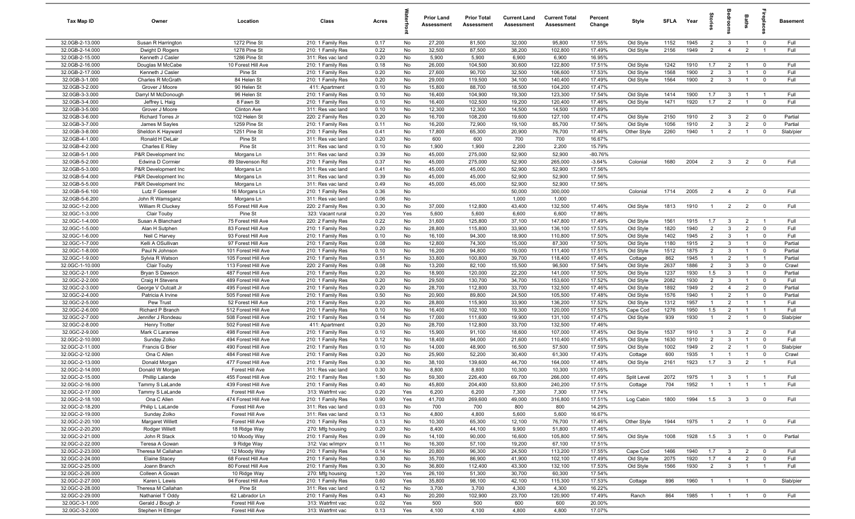| Tax Map ID                         | Owner                                      | Location                                   | Class                                  | Acres        |          | <b>Prior Land</b><br>Assessment | <b>Prior Total</b><br>Assessment | <b>Current Land</b><br>Assessment | <b>Current Total</b><br>Assessment | Percent<br>Change  | Style                  | <b>SFLA</b>  | Year         | tories                           | g                              | Baths                            | Lebia                                     | Basement         |
|------------------------------------|--------------------------------------------|--------------------------------------------|----------------------------------------|--------------|----------|---------------------------------|----------------------------------|-----------------------------------|------------------------------------|--------------------|------------------------|--------------|--------------|----------------------------------|--------------------------------|----------------------------------|-------------------------------------------|------------------|
| 32.0GB-2-13.000                    | Susan R Harrington                         | 1272 Pine St                               | 210: 1 Family Res                      | 0.17         | No       | 27,200                          | 81,500                           | 32,000                            | 95,800                             | 17.55%             | Old Style              | 1152         | 1945         | $\overline{2}$                   | $\mathbf{3}$                   | $\overline{1}$                   | $\mathbf{0}$                              | Full             |
| 32.0GB-2-14.000                    | Dwight D Rogers                            | 1278 Pine St                               | 210: 1 Family Res                      | 0.22         | No       | 32,500                          | 87,500                           | 38,200                            | 102,800                            | 17.49%             | Old Style              | 2156         | 1949         | $\overline{2}$                   | $\overline{4}$                 | $\overline{2}$                   | $\overline{1}$                            | Full             |
| 32.0GB-2-15.000                    | Kenneth J Casler                           | 1286 Pine St                               | 311: Res vac land                      | 0.20         | No       | 5,900                           | 5,900                            | 6,900                             | 6,900                              | 16.95%             |                        |              |              |                                  |                                |                                  |                                           |                  |
| 32.0GB-2-16.000                    | Douglas M McCabe                           | 10 Forest Hill Ave                         | 210: 1 Family Res                      | 0.18         | No       | 26,000                          | 104,500                          | 30,600                            | 122,800                            | 17.51%             | Old Style              | 1242         | 1910         | 1.7                              | $\overline{2}$                 |                                  | $^{\circ}$                                | Full             |
| 32.0GB-2-17.000<br>32.0GB-3-1.000  | Kenneth J Casler<br>Charles R McGrath      | Pine St<br>84 Helen St                     | 210: 1 Family Res<br>210: 1 Family Res | 0.20<br>0.20 | No<br>No | 27,600<br>29,000                | 90,700<br>119,500                | 32,500<br>34,100                  | 106,600<br>140,400                 | 17.53%<br>17.49%   | Old Style<br>Old Style | 1568<br>1564 | 1900<br>1900 | $\overline{2}$<br>$\overline{2}$ | $\mathbf{3}$<br>$\mathbf{3}$   | $\mathbf{1}$<br>$\mathbf{1}$     | $^{\circ}$<br>$\mathbf 0$                 | Full<br>Full     |
| 32.0GB-3-2.000                     | Grover J Moore                             | 90 Helen St                                | 411: Apartment                         | 0.10         | No       | 15,800                          | 88,700                           | 18,500                            | 104,200                            | 17.47%             |                        |              |              |                                  |                                |                                  |                                           |                  |
| 32.0GB-3-3.000                     | Darryl M McDonough                         | 96 Helen St                                | 210: 1 Family Res                      | 0.10         | No       | 16,400                          | 104,900                          | 19,300                            | 123,300                            | 17.54%             | Old Style              | 1414         | 1900         | 1.7                              | $\mathbf{3}$                   | $\overline{1}$                   | $\overline{1}$                            | Full             |
| 32.0GB-3-4.000                     | Jeffrey L Haig                             | 8 Fawn St                                  | 210: 1 Family Res                      | 0.10         | No       | 16,400                          | 102,500                          | 19,200                            | 120,400                            | 17.46%             | Old Style              | 1471         | 1920         | 1.7                              | 2                              | $\overline{1}$                   | $\overline{0}$                            | Full             |
| 32.0GB-3-5.000                     | Grover J Moore                             | Clinton Ave                                | 311: Res vac land                      | 0.10         | No       | 12,300                          | 12,300                           | 14,500                            | 14,500                             | 17.89%             |                        |              |              |                                  |                                |                                  |                                           |                  |
| 32.0GB-3-6.000                     | Richard Torres Jr                          | 102 Helen St                               | 220: 2 Family Res                      | 0.20         | No       | 16,700                          | 108,200                          | 19,600                            | 127,100                            | 17.47%             | Old Style              | 2150         | 1910         | $\overline{2}$                   | $\mathbf{3}$                   | $\overline{2}$                   | $\overline{0}$                            | Partial          |
| 32.0GB-3-7.000                     | James M Sayles                             | 1259 Pine St                               | 210: 1 Family Res                      | 0.11         | No       | 16,200                          | 72,900                           | 19,100                            | 85,700                             | 17.56%             | Old Style              | 1056         | 1910         | $\overline{2}$                   | $\mathbf{3}$                   | $\overline{2}$                   | $^{\circ}$                                | Partial          |
| 32.0GB-3-8.000                     | Sheldon K Hayward                          | 1251 Pine St                               | 210: 1 Family Res                      | 0.41         | No       | 17,800                          | 65,300                           | 20,900                            | 76,700                             | 17.46%             | Other Style            | 2260         | 1940         | $\overline{1}$                   | 2                              | $\overline{1}$                   | $\mathbf{0}$                              | Slab/pier        |
| 32.0GB-4-1.000                     | Ronald H DeLair                            | Pine St                                    | 311: Res vac land                      | 0.20         | No       | 600                             | 600                              | 700                               | 700                                | 16.67%             |                        |              |              |                                  |                                |                                  |                                           |                  |
| 32.0GB-4-2.000                     | Charles E Riley                            | Pine St                                    | 311: Res vac land                      | 0.10         | No       | 1,900                           | 1,900                            | 2,200                             | 2,200                              | 15.79%             |                        |              |              |                                  |                                |                                  |                                           |                  |
| 32.0GB-5-1.000                     | P&R Development Inc                        | Morgans Ln                                 | 311: Res vac land                      | 0.39         | No       | 45,000                          | 275,000                          | 52,900                            | 52,900                             | $-80.76%$          |                        |              |              |                                  |                                |                                  |                                           |                  |
| 32.0GB-5-2.000                     | Edwina D Cormier                           | 89 Stevenson Rd                            | 210: 1 Family Res                      | 0.37         | No       | 45,000                          | 275,000                          | 52,900                            | 265,000                            | $-3.64%$<br>17.56% | Colonial               | 1680         | 2004         | $\overline{2}$                   | 3                              | $\overline{2}$                   | $\Omega$                                  | Full             |
| 32.0GB-5-3.000<br>32.0GB-5-4.000   | P&R Development Inc<br>P&R Development Inc | Morgans Ln<br>Morgans Ln                   | 311: Res vac land<br>311: Res vac land | 0.41<br>0.39 | No<br>No | 45,000<br>45,000                | 45,000<br>45,000                 | 52,900<br>52,900                  | 52,900<br>52,900                   | 17.56%             |                        |              |              |                                  |                                |                                  |                                           |                  |
| 32.0GB-5-5.000                     | P&R Development Inc                        | Morgans Ln                                 | 311: Res vac land                      | 0.49         | No       | 45,000                          | 45,000                           | 52,900                            | 52,900                             | 17.56%             |                        |              |              |                                  |                                |                                  |                                           |                  |
| 32.0GB-5-6.100                     | Lutz F Goesser                             | 16 Morgans Ln                              | 210: 1 Family Res                      | 0.36         | No       |                                 |                                  | 50,000                            | 300,000                            |                    | Colonial               | 1714         | 2005         | $\overline{2}$                   | $\overline{4}$                 | $\overline{2}$                   | $\overline{0}$                            | Full             |
| 32.0GB-5-6.200                     | John R Wamsganz                            | Morgans Ln                                 | 311: Res vac land                      | 0.06         | No       |                                 |                                  | 1,000                             | 1,000                              |                    |                        |              |              |                                  |                                |                                  |                                           |                  |
| 32.0GC-1-2.000                     | William R Cluckey                          | 55 Forest Hill Ave                         | 220: 2 Family Res                      | 0.30         | No       | 37,000                          | 112,800                          | 43,400                            | 132,500                            | 17.46%             | Old Style              | 1813         | 1910         | $\overline{1}$                   | $\overline{2}$                 | $\overline{2}$                   | $\overline{0}$                            | Full             |
| 32.0GC-1-3.000                     | Clair Touby                                | Pine St                                    | 323: Vacant rural                      | 0.20         | Yes      | 5,600                           | 5,600                            | 6,600                             | 6,600                              | 17.86%             |                        |              |              |                                  |                                |                                  |                                           |                  |
| 32.0GC-1-4.000                     | Susan A Blanchard                          | 75 Forest Hill Ave                         | 220: 2 Family Res                      | 0.22         | No       | 31,600                          | 125,800                          | 37,100                            | 147,800                            | 17.49%             | Old Style              | 1561         | 1915         | 1.7                              | $\mathbf{3}$                   | $\overline{2}$                   | $\overline{1}$                            | Full             |
| 32.0GC-1-5.000                     | Alan H Sutphen                             | 83 Forest Hill Ave                         | 210: 1 Family Res                      | 0.20         | No       | 28,800                          | 115,800                          | 33,900                            | 136,100                            | 17.53%             | Old Style              | 1820         | 1940         | $\overline{2}$                   | $\mathbf{3}$                   | $\overline{2}$                   | $\Omega$                                  | Full             |
| 32.0GC-1-6.000                     | Neil C Harvey                              | 93 Forest Hill Ave                         | 210: 1 Family Res                      | 0.10         | No       | 16,100                          | 94,300                           | 18,900                            | 110,800                            | 17.50%             | Old Style              | 1402         | 1945         | $\overline{2}$                   | $\mathbf{3}$                   | $\overline{1}$                   | $\mathbf 0$                               | Full             |
| 32.0GC-1-7.000                     | Kelli A OSullivan                          | 97 Forest Hill Ave                         | 210: 1 Family Res                      | 0.08         | No       | 12,800                          | 74,300                           | 15,000                            | 87,300                             | 17.50%             | Old Style              | 1180         | 1915         | $\overline{2}$                   | $\mathbf{3}$                   | $\mathbf{1}$                     | $\mathbf 0$                               | Partial          |
| 32.0GC-1-8.000                     | Paul N Johnson                             | 101 Forest Hill Ave                        | 210: 1 Family Res                      | 0.10         | No       | 16,200                          | 94,800                           | 19,000                            | 111,400                            | 17.51%             | Old Style              | 1512         | 1875         | $\overline{2}$                   | $\mathbf{3}$                   | $\overline{1}$                   | $\mathbf 0$                               | Partial          |
| 32.0GC-1-9.000                     | Sylvia R Watson                            | 105 Forest Hill Ave                        | 210: 1 Family Res                      | 0.51         | No       | 33,800                          | 100,800                          | 39,700                            | 118,400<br>96,500                  | 17.46%             | Cottage                | 862<br>2637  | 1945<br>1886 | $\mathbf{1}$<br>$\overline{2}$   | $\overline{2}$<br>$\mathbf{3}$ | $\mathbf{3}$                     | -1                                        | Partial          |
| 32.0GC-1-10.000<br>32.0GC-2-1.000  | <b>Clair Touby</b><br>Bryan S Dawson       | 113 Forest Hill Ave<br>487 Forest Hill Ave | 220: 2 Family Res<br>210: 1 Family Res | 0.08<br>0.20 | No<br>No | 13,200<br>18,900                | 82,100<br>120,000                | 15,500<br>22,200                  | 141,000                            | 17.54%<br>17.50%   | Old Style<br>Old Style | 1237         | 1930         | 1.5                              | $\mathbf{3}$                   | $\overline{1}$                   | $\mathbf 0$<br>$^{\circ}$                 | Crawl<br>Partial |
| 32.0GC-2-2.000                     | Craig H Stevens                            | 489 Forest Hill Ave                        | 210: 1 Family Res                      | 0.20         | No       | 29,500                          | 130,700                          | 34,700                            | 153,600                            | 17.52%             | Old Style              | 2082         | 1930         | $\overline{2}$                   | $\mathbf{3}$                   | $\overline{1}$                   | $\mathbf 0$                               | Full             |
| 32.0GC-2-3.000                     | George V Outcalt Jr                        | 495 Forest Hill Ave                        | 210: 1 Family Res                      | 0.20         | No       | 28,700                          | 112,800                          | 33,700                            | 132,500                            | 17.46%             | Old Style              | 1892         | 1949         | 2                                | $\overline{4}$                 | $\overline{2}$                   | $\mathbf 0$                               | Partial          |
| 32.0GC-2-4.000                     | Patricia A Irvine                          | 505 Forest Hill Ave                        | 210: 1 Family Res                      | 0.50         | No       | 20,900                          | 89,800                           | 24,500                            | 105,500                            | 17.48%             | Old Style              | 1576         | 1940         | $\overline{1}$                   | $\overline{2}$                 | $\overline{1}$                   | $^{\circ}$                                | Partial          |
| 32.0GC-2-5.000                     | Pew Trust                                  | 52 Forest Hill Ave                         | 210: 1 Family Res                      | 0.20         | No       | 28,800                          | 115,900                          | 33,900                            | 136,200                            | 17.52%             | Old Style              | 1312         | 1957         | $\overline{1}$                   | $\overline{2}$                 | $\overline{1}$                   | $\overline{1}$                            | Full             |
| 32.0GC-2-6.000                     | Richard P Branch                           | 512 Forest Hill Ave                        | 210: 1 Family Res                      | 0.10         | No       | 16,400                          | 102,100                          | 19,300                            | 120,000                            | 17.53%             | Cape Cod               | 1276         | 1950         | 1.5                              | $\overline{2}$                 | $\overline{1}$                   | $\overline{1}$                            | Full             |
| 32.0GC-2-7.000                     | Jennifer J Rondeau                         | 508 Forest Hill Ave                        | 210: 1 Family Res                      | 0.14         | No       | 17,000                          | 111,600                          | 19,900                            | 131,100                            | 17.47%             | Old Style              | 939          | 1930         | $\overline{1}$                   | $\overline{2}$                 | $\mathbf{1}$                     | $\mathbf{0}$                              | Slab/pier        |
| 32.0GC-2-8.000                     | Henry Trotter                              | 502 Forest Hill Ave                        | 411: Apartment                         | 0.20         | No       | 28,700                          | 112,800                          | 33,700                            | 132,500                            | 17.46%             |                        |              |              |                                  |                                |                                  |                                           |                  |
| 32.0GC-2-9.000                     | Mark C Laramee                             | 498 Forest Hill Ave                        | 210: 1 Family Res                      | 0.10         | No       | 15,900                          | 91,100                           | 18,600                            | 107,000                            | 17.45%             | Old Style              | 1537         | 1910         | $\mathbf{1}$                     | $\mathbf{3}$                   | $\overline{2}$                   | $\mathbf 0$                               | Full             |
| 32.0GC-2-10.000                    | Sunday Zolko                               | 494 Forest Hill Ave                        | 210: 1 Family Res                      | 0.12         | No       | 18,400                          | 94,000                           | 21,600                            | 110,400                            | 17.45%             | Old Style              | 1630         | 1910         | 2                                | $\mathbf{3}$                   | $\mathbf{1}$                     | $^{\circ}$                                | Full             |
| 32.0GC-2-11.000                    | Francis G Brier                            | 490 Forest Hill Ave                        | 210: 1 Family Res                      | 0.10         | No       | 14,000                          | 48,900                           | 16,500                            | 57,500                             | 17.59%             | Old Style              | 1002         | 1949         | $2^{\circ}$                      | $\overline{2}$                 | $\overline{1}$                   | $\mathbf 0$                               | Slab/pier        |
| 32.0GC-2-12.000<br>32.0GC-2-13.000 | Ona C Allen                                | 484 Forest Hill Ave<br>477 Forest Hill Ave | 210: 1 Family Res<br>210: 1 Family Res | 0.20<br>0.30 | No<br>No | 25,900<br>38,100                | 52,200<br>139,600                | 30,400<br>44,700                  | 61,300<br>164,000                  | 17.43%<br>17.48%   | Cottage<br>Old Style   | 600<br>2161  | 1935<br>1923 | $\overline{1}$<br>1.7            | $\mathbf{3}$                   | $\overline{2}$                   | $^{\circ}$                                | Crawl<br>Full    |
| 32.0GC-2-14.000                    | Donald Morgan<br>Donald W Morgan           | Forest Hill Ave                            | 311: Res vac land                      | 0.30         | No       | 8,800                           | 8,800                            | 10,300                            | 10,300                             | 17.05%             |                        |              |              |                                  |                                |                                  |                                           |                  |
| 32.0GC-2-15.000                    | Phillip Lalande                            | 455 Forest Hill Ave                        | 210: 1 Family Res                      | 1.50         | No       | 59,300                          | 226,400                          | 69,700                            | 266,000                            | 17.49%             | Split Level            | 2072         | 1975         | $\overline{1}$                   | $\mathbf{3}$                   | $\overline{1}$                   |                                           | Full             |
| 32.0GC-2-16.000                    | Tammy S LaLande                            | 439 Forest Hill Ave                        | 210: 1 Family Res                      | 0.40         | No       | 45,800                          | 204,400                          | 53,800                            | 240,200                            | 17.51%             | Cottage                | 704          | 1952         | $\overline{1}$                   | $\overline{1}$                 |                                  |                                           | Full             |
| 32.0GC-2-17.000                    | Tammy S LaLande                            | Forest Hill Ave                            | 313: Watrfrnt vac                      | 0.20         | Yes      | 6,200                           | 6,200                            | 7,300                             | 7,300                              | 17.74%             |                        |              |              |                                  |                                |                                  |                                           |                  |
| 32.0GC-2-18.100                    | Ona C Allen                                | 474 Forest Hill Ave                        | 210: 1 Family Res                      | 0.90         | Yes      | 41,700                          | 269,600                          | 49,000                            | 316,800                            | 17.51%             | Log Cabin              | 1800         | 1994         | 1.5                              | $\overline{\mathbf{3}}$        | $\mathbf{3}$                     | $\overline{0}$                            | Full             |
| 32.0GC-2-18.200                    | Philip L LaLande                           | Forest Hill Ave                            | 311: Res vac land                      | 0.03         | No       | 700                             | 700                              | 800                               | 800                                | 14.29%             |                        |              |              |                                  |                                |                                  |                                           |                  |
| 32.0GC-2-19.000                    | Sunday Zolko                               | Forest Hill Ave                            | 311: Res vac land                      | 0.13         | No       | 4,800                           | 4,800                            | 5,600                             | 5,600                              | 16.67%             |                        |              |              |                                  |                                |                                  |                                           |                  |
| 32.0GC-2-20.100                    | Margaret Willett                           | Forest Hill Ave                            | 210: 1 Family Res                      | 0.13         | No       | 10,300                          | 65,300                           | 12,100                            | 76,700                             | 17.46%             | Other Style            | 1944         | 1975         | $\overline{1}$                   | $\overline{2}$                 | $\overline{1}$                   | $\overline{0}$                            | Full             |
| 32.0GC-2-20.200                    | Rodger Willett                             | 18 Ridge Way                               | 270: Mfg housing                       | 0.20         | No       | 8,400                           | 44,100                           | 9,900                             | 51,800                             | 17.46%             |                        |              |              |                                  |                                |                                  |                                           |                  |
| 32.0GC-2-21.000                    | John R Stack                               | 10 Moody Way                               | 210: 1 Family Res                      | 0.09         | No       | 14,100                          | 90,000                           | 16,600                            | 105,800                            | 17.56%             | Old Style              | 1008         | 1928         | 1.5                              | $\mathbf{3}$                   | $\mathbf{1}$                     | $\overline{\mathbf{0}}$                   | Partial          |
| 32.0GC-2-22.000                    | Teresa A Gowan                             | 9 Ridge Way                                | 312: Vac w/imprv                       | 0.11         | No       | 16,300                          | 57,100                           | 19,200                            | 67,100                             | 17.51%             |                        |              |              |                                  |                                |                                  |                                           |                  |
| 32.0GC-2-23.000                    | Theresa M Callahan                         | 12 Moody Way                               | 210: 1 Family Res                      | 0.14         | No       | 20,800                          | 96,300                           | 24,500                            | 113,200                            | 17.55%             | Cape Cod               | 1466         | 1940         | 1.7                              | $\mathbf{3}$                   | $\overline{2}$                   | $\overline{\mathbf{0}}$                   | Full             |
| 32.0GC-2-24.000<br>32.0GC-2-25.000 | Elaine Stacey<br>Joann Branch              | 68 Forest Hill Ave<br>80 Forest Hill Ave   | 210: 1 Family Res<br>210: 1 Family Res | 0.30<br>0.30 | No<br>No | 35,700<br>36,800                | 86,900<br>112,400                | 41,900<br>43,300                  | 102,100<br>132,100                 | 17.49%<br>17.53%   | Old Style<br>Old Style | 2075<br>1566 | 1920<br>1930 | 1.7<br>$\overline{2}$            | $\overline{4}$<br>$\mathbf{3}$ | $\overline{2}$<br>$\overline{1}$ | $\overline{\mathbf{0}}$<br>$\overline{1}$ | Full<br>Full     |
| 32.0GC-2-26.000                    | Colleen A Gowan                            | 10 Ridge Way                               | 270: Mfg housing                       | 1.20         | Yes      | 26,100                          | 51,300                           | 30,700                            | 60,300                             | 17.54%             |                        |              |              |                                  |                                |                                  |                                           |                  |
| 32.0GC-2-27.000                    | Karen L Lewis                              | 94 Forest Hill Ave                         | 210: 1 Family Res                      | 0.60         | Yes      | 35,800                          | 98,100                           | 42,100                            | 115,300                            | 17.53%             | Cottage                | 896          | 1960         | $\overline{1}$                   | $\overline{1}$                 | $\overline{1}$                   | $\overline{\mathbf{0}}$                   | Slab/pier        |
| 32.0GC-2-28.000                    | Theresa M Callahan                         | Pine St                                    | 311: Res vac land                      | 0.12         | No       | 3,700                           | 3,700                            | 4,300                             | 4,300                              | 16.22%             |                        |              |              |                                  |                                |                                  |                                           |                  |
| 32.0GC-2-29.000                    | Nathaniel T Oddy                           | 62 Labrador Ln                             | 210: 1 Family Res                      | 0.43         | No       | 20,200                          | 102,900                          | 23,700                            | 120,900                            | 17.49%             | Ranch                  | 864          | 1985         | $\overline{1}$                   | $\overline{1}$                 | $\overline{1}$                   | $\overline{0}$                            | Full             |
| 32.0GC-3-1.000                     | Gerald J Bough Jr                          | Forest Hill Ave                            | 313: Watrfrnt vac                      | 0.02         | Yes      | 500                             | 500                              | 600                               | 600                                | 20.00%             |                        |              |              |                                  |                                |                                  |                                           |                  |
| 32.0GC-3-2.000                     | Stephen H Ettinger                         | Forest Hill Ave                            | 313: Watrfrnt vac                      | 0.13         | Yes      | 4,100                           | 4,100                            | 4,800                             | 4,800                              | 17.07%             |                        |              |              |                                  |                                |                                  |                                           |                  |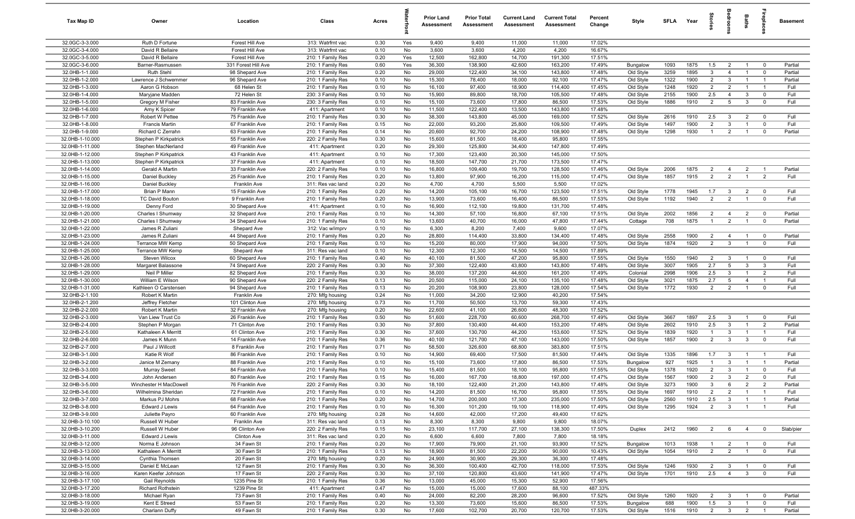| Tax Map ID                         | Owner                                       | Location                              | Class                                  | Acres        |           | <b>Prior Land</b><br>Assessment | <b>Prior Total</b><br>Assessment | <b>Current Land</b><br>Assessment | <b>Current Total</b><br>Assessment | Percent<br>Change | Style                  | <b>SFLA</b>  | Year         | ĝ.                    |                                   | Baths                            | Lehia                          | <b>Basement</b>    |
|------------------------------------|---------------------------------------------|---------------------------------------|----------------------------------------|--------------|-----------|---------------------------------|----------------------------------|-----------------------------------|------------------------------------|-------------------|------------------------|--------------|--------------|-----------------------|-----------------------------------|----------------------------------|--------------------------------|--------------------|
| 32.0GC-3-3.000                     | Ruth D Fortune                              | Forest Hill Ave                       | 313: Watrfrnt vac                      | 0.30         | Yes       | 9,400                           | 9,400                            | 11,000                            | 11,000                             | 17.02%            |                        |              |              |                       |                                   |                                  |                                |                    |
| 32.0GC-3-4.000                     | David R Bellaire                            | Forest Hill Ave                       | 313: Watrfrnt vac                      | 0.10         | No        | 3,600                           | 3,600                            | 4,200                             | 4,200                              | 16.67%            |                        |              |              |                       |                                   |                                  |                                |                    |
| 32.0GC-3-5.000                     | David R Bellaire                            | Forest Hill Ave                       | 210: 1 Family Res                      | 0.20         | Yes       | 12,500                          | 162,800                          | 14,700                            | 191,300                            | 17.51%            |                        |              |              |                       |                                   |                                  |                                |                    |
| 32.0GC-3-6.000<br>32.0HB-1-1.000   | Barner-Rasmussen<br>Ruth Stehl              | 331 Forest Hill Ave<br>98 Shepard Ave | 210: 1 Family Res<br>210: 1 Family Res | 0.60<br>0.20 | Yes<br>No | 36,300<br>29,000                | 138,900<br>122,400               | 42,600<br>34,100                  | 163,200<br>143,800                 | 17.49%<br>17.48%  | Bungalow<br>Old Style  | 1093<br>3259 | 1875<br>1895 | 1.5<br>3              | $\overline{2}$<br>$\overline{4}$  | $\overline{1}$<br>$\overline{1}$ | $\mathbf 0$<br>$\mathbf 0$     | Partial<br>Partial |
| 32.0HB-1-2.000                     | Lawrence J Schwemmer                        | 96 Shepard Ave                        | 210: 1 Family Res                      | 0.10         | No        | 15,300                          | 78,400                           | 18,000                            | 92,100                             | 17.47%            | Old Style              | 1322         | 1900         | $\overline{2}$        | $\mathbf{3}$                      | $\overline{1}$                   | $\mathbf{1}$                   | Partial            |
| 32.0HB-1-3.000                     | Aaron G Hobson                              | 68 Helen St                           | 210: 1 Family Res                      | 0.10         | No        | 16,100                          | 97,400                           | 18,900                            | 114,400                            | 17.45%            | Old Style              | 1248         | 1920         | $\overline{2}$        | $\overline{2}$                    | $\overline{1}$                   | $\overline{1}$                 | Full               |
| 32.0HB-1-4.000                     | Maryjane Madden                             | 72 Helen St                           | 230: 3 Family Res                      | 0.10         | No        | 15,900                          | 89,800                           | 18,700                            | 105,500                            | 17.48%            | Old Style              | 2155         | 1900         | 2.5                   | $\overline{4}$                    | $\mathbf{3}$                     | $\mathbf 0$                    | Full               |
| 32.0HB-1-5.000                     | Gregory M Fisher                            | 83 Franklin Ave                       | 230: 3 Family Res                      | 0.10         | No        | 15,100                          | 73,600                           | 17,800                            | 86,500                             | 17.53%            | Old Style              | 1886         | 1910         | 2                     | $5\overline{5}$                   | $\mathbf{3}$                     | $\mathbf 0$                    | Full               |
| 32.0HB-1-6.000                     | Amy K Spicer                                | 79 Franklin Ave                       | 411: Apartment                         | 0.10         | No        | 11,500                          | 122,400                          | 13,500                            | 143,800                            | 17.48%            |                        |              |              |                       |                                   |                                  |                                |                    |
| 32.0HB-1-7.000                     | Robert W Pettee                             | 75 Franklin Ave                       | 210: 1 Family Res                      | 0.30         | No        | 38,300                          | 143,800                          | 45,000                            | 169,000                            | 17.52%            | Old Style              | 2616         | 1910         | 2.5                   | 3                                 | $\overline{2}$                   | $\Omega$                       | Full               |
| 32.0HB-1-8.000                     | <b>Francis Martin</b>                       | 67 Franklin Ave                       | 210: 1 Family Res                      | 0.15         | No        | 22,000                          | 93,200                           | 25,800                            | 109,500                            | 17.49%            | Old Style              | 1497         | 1900         | $\overline{2}$        | $\mathbf{3}$                      | $\overline{1}$                   | $\mathbf 0$                    | Full               |
| 32.0HB-1-9.000                     | Richard C Zerrahn                           | 63 Franklin Ave                       | 210: 1 Family Res                      | 0.14         | No        | 20,600                          | 92,700                           | 24,200                            | 108,900                            | 17.48%            | Old Style              | 1298         | 1930         | $\overline{1}$        | $\overline{2}$                    | $\overline{1}$                   | $\mathbf 0$                    | Partial            |
| 32.0HB-1-10.000<br>32.0HB-1-11.000 | Stephen P Kirkpatrick<br>Stephen MacNerland | 55 Franklin Ave<br>49 Franklin Ave    | 220: 2 Family Res<br>411: Apartment    | 0.30<br>0.20 | No<br>No  | 15,600<br>29,300                | 81,500<br>125,800                | 18,400<br>34,400                  | 95,800<br>147,800                  | 17.55%<br>17.49%  |                        |              |              |                       |                                   |                                  |                                |                    |
| 32.0HB-1-12.000                    | Stephen P Kirkpatrick                       | 43 Franklin Ave                       | 411: Apartment                         | 0.10         | No        | 17,300                          | 123,400                          | 20,300                            | 145,000                            | 17.50%            |                        |              |              |                       |                                   |                                  |                                |                    |
| 32.0HB-1-13.000                    | Stephen P Kirkpatrick                       | 37 Franklin Ave                       | 411: Apartment                         | 0.10         | No        | 18,500                          | 147,700                          | 21,700                            | 173,500                            | 17.47%            |                        |              |              |                       |                                   |                                  |                                |                    |
| 32.0HB-1-14.000                    | Gerald A Martin                             | 33 Franklin Ave                       | 220: 2 Family Res                      | 0.10         | No        | 16,800                          | 109,400                          | 19,700                            | 128,500                            | 17.46%            | Old Style              | 2006         | 1875         | $\overline{2}$        | $\overline{4}$                    | $\overline{2}$                   |                                | Partial            |
| 32.0HB-1-15.000                    | Daniel Buckley                              | 25 Franklin Ave                       | 210: 1 Family Res                      | 0.20         | No        | 13,800                          | 97,900                           | 16,200                            | 115,000                            | 17.47%            | Old Style              | 1857         | 1915         | $\overline{2}$        | $\overline{2}$                    | $\overline{1}$                   | $\overline{2}$                 | Full               |
| 32.0HB-1-16.000                    | Daniel Buckley                              | Franklin Ave                          | 311: Res vac land                      | 0.20         | No        | 4,700                           | 4,700                            | 5,500                             | 5,500                              | 17.02%            |                        |              |              |                       |                                   |                                  |                                |                    |
| 32.0HB-1-17.000                    | Brian P Mann                                | 15 Franklin Ave                       | 210: 1 Family Res                      | 0.20         | No        | 14,200                          | 105,100                          | 16,700                            | 123,500                            | 17.51%            | Old Style              | 1778         | 1945         | 1.7                   | $\mathbf{3}$                      | $\overline{2}$                   | $\mathbf 0$                    | Full               |
| 32.0HB-1-18.000                    | <b>TC David Bouton</b>                      | 9 Franklin Ave                        | 210: 1 Family Res                      | 0.20         | No        | 13,900                          | 73,600                           | 16,400                            | 86,500                             | 17.53%            | Old Style              | 1192         | 1940         | $\overline{2}$        | $\overline{2}$                    | $\overline{1}$                   | $\mathbf 0$                    | Full               |
| 32.0HB-1-19.000<br>32.0HB-1-20.000 | Denny Ford                                  | 30 Shepard Ave                        | 411: Apartment<br>210: 1 Family Res    | 0.10         | No<br>No  | 16,900<br>14,300                | 112,100<br>57,100                | 19,800                            | 131,700<br>67,100                  | 17.48%<br>17.51%  | Old Style              | 2002         | 1856         | $\overline{2}$        | $\overline{4}$                    |                                  | $\mathbf 0$                    | Partial            |
| 32.0HB-1-21.000                    | Charles I Shumway<br>Charles I Shumway      | 32 Shepard Ave<br>34 Shepard Ave      | 210: 1 Family Res                      | 0.10<br>0.10 | No        | 13,600                          | 40,700                           | 16,800<br>16,000                  | 47,800                             | 17.44%            | Cottage                | 708          | 1875         | $\overline{1}$        | 2                                 | $\overline{2}$<br>$\overline{1}$ | $\mathbf 0$                    | Partial            |
| 32.0HB-1-22.000                    | James R Zuliani                             | Shepard Ave                           | 312: Vac w/imprv                       | 0.10         | No        | 6,300                           | 8,200                            | 7,400                             | 9,600                              | 17.07%            |                        |              |              |                       |                                   |                                  |                                |                    |
| 32.0HB-1-23.000                    | James R Zuliani                             | 44 Shepard Ave                        | 210: 1 Family Res                      | 0.20         | No        | 28,800                          | 114,400                          | 33,800                            | 134,400                            | 17.48%            | Old Style              | 2558         | 1900         | $\overline{2}$        | $\overline{4}$                    | $\overline{1}$                   | $\mathbf 0$                    | Partial            |
| 32.0HB-1-24.000                    | Terrance MW Kemp                            | 50 Shepard Ave                        | 210: 1 Family Res                      | 0.10         | No        | 15,200                          | 80,000                           | 17,900                            | 94,000                             | 17.50%            | Old Style              | 1874         | 1920         | $\overline{2}$        | $\overline{\mathbf{3}}$           | $\overline{1}$                   | $\mathbf 0$                    | Full               |
| 32.0HB-1-25.000                    | Terrance MW Kemp                            | Shepard Ave                           | 311: Res vac land                      | 0.10         | No        | 12,300                          | 12,300                           | 14,500                            | 14,500                             | 17.89%            |                        |              |              |                       |                                   |                                  |                                |                    |
| 32.0HB-1-26.000                    | Steven Wilcox                               | 60 Shepard Ave                        | 210: 1 Family Res                      | 0.40         | No        | 40,100                          | 81,500                           | 47,200                            | 95,800                             | 17.55%            | Old Style              | 1550         | 1940         | $\overline{2}$        | $\mathbf{3}$                      | $\overline{1}$                   | $\mathbf 0$                    | Full               |
| 32.0HB-1-28.000                    | Margaret Balassone                          | 74 Shepard Ave                        | 220: 2 Family Res                      | 0.30         | No        | 37,300                          | 122,400                          | 43,800                            | 143,800                            | 17.48%            | Old Style              | 3007         | 1905         | 2.7                   | 5                                 | $\mathbf{3}$                     | $\mathbf{3}$                   | Full               |
| 32.0HB-1-29.000                    | Neil P Miller                               | 82 Shepard Ave                        | 210: 1 Family Res                      | 0.30         | No        | 38,000                          | 137,200                          | 44,600                            | 161,200                            | 17.49%            | Colonial               | 2998         | 1906         | 2.5                   | $\mathbf{3}$                      | $\overline{1}$                   | $\overline{2}$                 | Full               |
| 32.0HB-1-30.000<br>32.0HB-1-31.000 | William E Wilson<br>Kathleen O Carstensen   | 90 Shepard Ave<br>94 Shepard Ave      | 220: 2 Family Res<br>210: 1 Family Res | 0.13<br>0.13 | No<br>No  | 20,500<br>20,200                | 115,000<br>108,900               | 24,100<br>23,800                  | 135,100<br>128,000                 | 17.48%<br>17.54%  | Old Style<br>Old Style | 3021<br>1772 | 1875<br>1930 | 2.7<br>$\overline{2}$ | $5\overline{5}$<br>$\overline{2}$ | $\overline{4}$<br>$\overline{1}$ | $\overline{1}$<br>$\mathbf{0}$ | Full<br>Full       |
| 32.0HB-2-1.100                     | Robert K Martin                             | Franklin Ave                          | 270: Mfg housing                       | 0.24         | No        | 11,000                          | 34,200                           | 12,900                            | 40,200                             | 17.54%            |                        |              |              |                       |                                   |                                  |                                |                    |
| 32.0HB-2-1.200                     | Jeffrey Fletcher                            | 101 Clinton Ave                       | 270: Mfg housing                       | 0.73         | No        | 11,700                          | 50,500                           | 13,700                            | 59,300                             | 17.43%            |                        |              |              |                       |                                   |                                  |                                |                    |
| 32.0HB-2-2.000                     | Robert K Martin                             | 32 Franklin Ave                       | 270: Mfg housing                       | 0.20         | No        | 22,600                          | 41,100                           | 26,600                            | 48,300                             | 17.52%            |                        |              |              |                       |                                   |                                  |                                |                    |
| 32.0HB-2-3.000                     | Van Liew Trust Co                           | 26 Franklin Ave                       | 210: 1 Family Res                      | 0.50         | No        | 51,600                          | 228,700                          | 60,600                            | 268,700                            | 17.49%            | Old Style              | 3667         | 1897         | 2.5                   | $\mathbf{3}$                      | $\overline{1}$                   | $\mathbf 0$                    | Full               |
| 32.0HB-2-4.000                     | Stephen P Morgan                            | 71 Clinton Ave                        | 210: 1 Family Res                      | 0.30         | No        | 37,800                          | 130,400                          | 44,400                            | 153,200                            | 17.48%            | Old Style              | 2602         | 1910         | 2.5                   | $\mathbf{3}$                      | $\overline{1}$                   | $\overline{2}$                 | Partial            |
| 32.0HB-2-5.000                     | Kathaleen A Merritt                         | 61 Clinton Ave                        | 210: 1 Family Res                      | 0.30         | No        | 37,600                          | 130,700                          | 44,200                            | 153,600                            | 17.52%            | Old Style              | 1839         | 1920         | $\overline{1}$        | $\mathbf{3}$                      | $\overline{1}$                   | $\overline{1}$                 | Full               |
| 32.0HB-2-6.000                     | James K Munn                                | 14 Franklin Ave                       | 210: 1 Family Res                      | 0.36         | No        | 40,100                          | 121,700                          | 47,100                            | 143,000                            | 17.50%            | Old Style              | 1857         | 1900         | $\overline{2}$        | $\mathbf{3}$                      | $\overline{\mathbf{3}}$          | $\mathbf 0$                    | Full               |
| 32.0HB-2-7.000<br>32.0HB-3-1.000   | Paul J Willcott<br>Katie R Wolf             | 8 Franklin Ave<br>86 Franklin Ave     | 210: 1 Family Res<br>210: 1 Family Res | 0.71<br>0.10 | No<br>No  | 58,500<br>14,900                | 326,600<br>69,400                | 68,800<br>17,500                  | 383,800<br>81,500                  | 17.51%<br>17.44%  | Old Style              | 1335         | 1896         | 1.7                   | $\mathbf{3}$                      |                                  |                                | Full               |
| 32.0HB-3-2.000                     | Janice M Zemany                             | 88 Franklin Ave                       | 210: 1 Family Res                      | 0.10         | No        | 15,100                          | 73,600                           | 17,800                            | 86,500                             | 17.53%            | Bungalow               | 927          | 1925         | $\mathbf{1}$          | 3                                 |                                  | $\overline{1}$                 | Partial            |
| 32.0HB-3-3.000                     | <b>Murray Sweet</b>                         | 84 Franklin Ave                       | 210: 1 Family Res                      | 0.10         | No        | 15,400                          | 81,500                           | 18,100                            | 95,800                             | 17.55%            | Old Style              | 1378         | 1920         | $\overline{2}$        | $\mathbf{3}$                      | $\overline{1}$                   | $\mathbf 0$                    | Full               |
| 32.0HB-3-4.000                     | John Andersen                               | 80 Franklin Ave                       | 210: 1 Family Res                      | 0.15         | No        | 16,000                          | 167,700                          | 18,800                            | 197,000                            | 17.47%            | Old Style              | 1567         | 1900         | $\overline{2}$        | $\mathbf{3}$                      | $\overline{2}$                   | $\mathbf 0$                    | Full               |
| 32.0HB-3-5.000                     | Winchester H MacDowell                      | 76 Franklin Ave                       | 220: 2 Family Res                      | 0.30         | No        | 18,100                          | 122,400                          | 21,200                            | 143,800                            | 17.48%            | Old Style              | 3273         | 1900         | $\mathbf{3}$          | $6^{\circ}$                       | $\overline{2}$                   | $\overline{2}$                 | Partial            |
| 32.0HB-3-6.000                     | Wilhelmina Sheridan                         | 72 Franklin Ave                       | 210: 1 Family Res                      | 0.10         | No        | 14,200                          | 81,500                           | 16,700                            | 95,800                             | 17.55%            | Old Style              | 1697         | 1910         | $\overline{2}$        | $\overline{2}$                    | $\overline{1}$                   | $\overline{1}$                 | Full               |
| 32.0HB-3-7.000                     | Markus PJ Mohrs                             | 68 Franklin Ave                       | 210: 1 Family Res                      | 0.20         | No        | 14,700                          | 200,000                          | 17,300                            | 235,000                            | 17.50%            | Old Style              | 2560         | 1910         | 2.5                   | $\mathbf{3}$                      | $\overline{1}$                   | $\overline{1}$                 | Partial            |
| 32.0HB-3-8.000                     | Edward J Lewis                              | 64 Franklin Ave                       | 210: 1 Family Res                      | 0.10         | No        | 16,300                          | 101,200                          | 19,100                            | 118,900                            | 17.49%            | Old Style              | 1295         | 1924         | 2                     | $\mathbf{3}$                      | $\overline{1}$                   | $\mathbf{1}$                   | Full               |
| 32.0HB-3-9.000<br>32.0HB-3-10.100  | Juliette Payro<br>Russell W Huber           | 60 Franklin Ave<br>Franklin Ave       | 270: Mfg housing<br>311: Res vac land  | 0.28<br>0.13 | No<br>No  | 14,600<br>8,300                 | 42,000<br>8,300                  | 17,200<br>9,800                   | 49,400<br>9,800                    | 17.62%<br>18.07%  |                        |              |              |                       |                                   |                                  |                                |                    |
| 32.0HB-3-10.200                    | Russell W Huber                             | 96 Clinton Ave                        | 220: 2 Family Res                      | 0.15         | No        | 23,100                          | 117,700                          | 27,100                            | 138,300                            | 17.50%            | Duplex                 | 2412         | 1960         | $\overline{2}$        | $6\overline{6}$                   | $\overline{4}$                   | $\mathbf 0$                    | Slab/pier          |
| 32.0HB-3-11.000                    | Edward J Lewis                              | Clinton Ave                           | 311: Res vac land                      | 0.20         | No        | 6,600                           | 6,600                            | 7,800                             | 7,800                              | 18.18%            |                        |              |              |                       |                                   |                                  |                                |                    |
| 32.0HB-3-12.000                    | Norma E Johnson                             | 34 Fawn St                            | 210: 1 Family Res                      | 0.20         | No        | 17,900                          | 79,900                           | 21,100                            | 93,900                             | 17.52%            | Bungalow               | 1013         | 1938         | $\overline{1}$        | $\overline{2}$                    | $\overline{1}$                   | $\mathbf 0$                    | Full               |
| 32.0HB-3-13.000                    | Kathaleen A Merritt                         | 30 Fawn St                            | 210: 1 Family Res                      | 0.13         | No        | 18,900                          | 81,500                           | 22,200                            | 90,000                             | 10.43%            | Old Style              | 1054         | 1910         | $\overline{2}$        | $\overline{2}$                    | $\overline{1}$                   | $\mathbf 0$                    | Full               |
| 32.0HB-3-14.000                    | Cynthia Thomsen                             | 20 Fawn St                            | 270: Mfg housing                       | 0.20         | No        | 24,900                          | 30,900                           | 29,300                            | 36,300                             | 17.48%            |                        |              |              |                       |                                   |                                  |                                |                    |
| 32.0HB-3-15.000                    | Daniel E McLean                             | 12 Fawn St                            | 210: 1 Family Res                      | 0.30         | No        | 36,300                          | 100,400                          | 42,700                            | 118,000                            | 17.53%            | Old Style              | 1246         | 1930         | $\overline{2}$        | $\mathbf{3}$                      | $\overline{1}$                   | $\overline{\mathbf{0}}$        | Full               |
| 32.0HB-3-16.000                    | Karen Keefer Johnson                        | 17 Fawn St                            | 220: 2 Family Res                      | 0.30         | No        | 37,100                          | 120,800                          | 43,600                            | 141,900                            | 17.47%            | Old Style              | 1701         | 1910         | 2.5                   | $\overline{4}$                    | $\mathbf{3}$                     | $\mathbf 0$                    | Full               |
| 32.0HB-3-17.100                    | Gail Reynolds<br><b>Richard Rothstein</b>   | 1235 Pine St<br>1239 Pine St          | 210: 1 Family Res<br>411: Apartment    | 0.36         | No        | 13,000                          | 45,000                           | 15,300                            | 52,900                             | 17.56%            |                        |              |              |                       |                                   |                                  |                                |                    |
| 32.0HB-3-17.200<br>32.0HB-3-18.000 | Michael Ryan                                | 73 Fawn St                            | 210: 1 Family Res                      | 0.47<br>0.40 | No<br>No  | 15,000<br>24,000                | 15,000<br>82,200                 | 17,600<br>28,200                  | 88,100<br>96,600                   | 487.33%<br>17.52% | Old Style              | 1260         | 1920         | $\overline{2}$        | $\mathbf{3}$                      | $\overline{1}$                   | $\mathbf 0$                    | Partial            |
| 32.0HB-3-19.000                    | Kent E Streed                               | 53 Fawn St                            | 210: 1 Family Res                      | 0.20         | No        | 13,300                          | 73,600                           | 15,600                            | 86,500                             | 17.53%            | Bungalow               | 688          | 1900         | 1.5                   | $\overline{\mathbf{3}}$           | $\overline{1}$                   | $\mathbf 0$                    | Full               |
| 32.0HB-3-20.000                    | Charlann Duffy                              | 49 Fawn St                            | 210: 1 Family Res                      | 0.30         | No        | 17,600                          | 102,700                          | 20,700                            | 120,700                            | 17.53%            | Old Style              | 1516         | 1910         | $\overline{2}$        | $\overline{\mathbf{3}}$           | $\overline{2}$                   | $\overline{1}$                 | Partial            |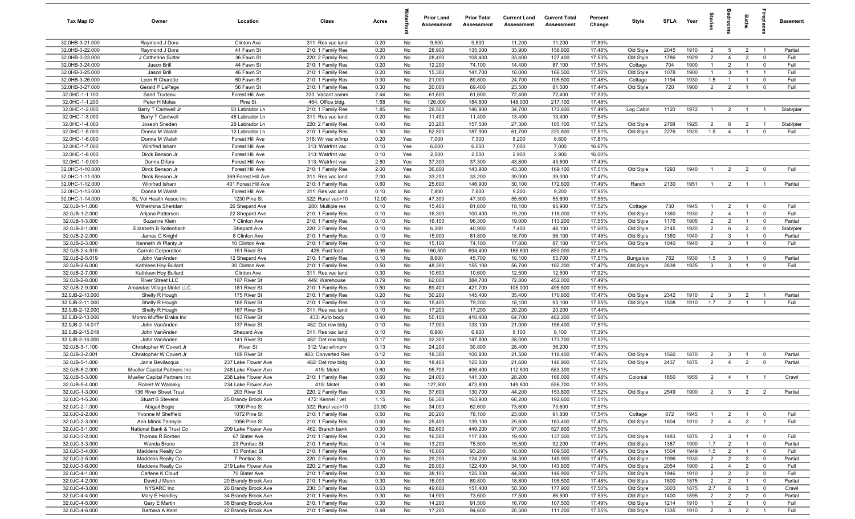| <b>Tax Map ID</b>                  | Owner                                            | Location                                   | Class                                  | Acres        |           | <b>Prior Land</b><br>Assessment | <b>Prior Total</b><br>Assessment | <b>Current Land</b><br>Assessment | <b>Current Total</b><br><b>Assessment</b> | Percent<br>Change | Style                  | <b>SFLA</b>  | Year         | igrie                            |                                  | Baths                            | repla                        | <b>Basement</b>    |
|------------------------------------|--------------------------------------------------|--------------------------------------------|----------------------------------------|--------------|-----------|---------------------------------|----------------------------------|-----------------------------------|-------------------------------------------|-------------------|------------------------|--------------|--------------|----------------------------------|----------------------------------|----------------------------------|------------------------------|--------------------|
| 32.0HB-3-21.000                    | Raymond J Dora                                   | Clinton Ave                                | 311: Res vac land                      | 0.20         | No        | 9,500                           | 9,500                            | 11,200                            | 11,200                                    | 17.89%            |                        |              |              |                                  |                                  |                                  |                              |                    |
| 32.0HB-3-22.000                    | Raymond J Dora                                   | 41 Fawn St                                 | 210: 1 Family Res                      | 0.20         | No        | 28,900                          | 135,000                          | 33,900                            | 158,600                                   | 17.48%            | Old Style              | 2045         | 1910         | $\overline{2}$                   | 5                                | $\overline{2}$                   | - 1                          | Partial            |
| 32.0HB-3-23.000                    | J Catherine Sutter                               | 36 Fawn St                                 | 220: 2 Family Res                      | 0.20         | No        | 28,400                          | 108,400                          | 33,400                            | 127,400                                   | 17.53%            | Old Style              | 1786         | 1929         | $\overline{2}$                   | $\overline{4}$                   | $\overline{2}$                   | $^{\circ}$                   | Full               |
| 32.0HB-3-24.000<br>32.0HB-3-25.000 | Jason Brill<br>Jason Brill                       | 44 Fawn St<br>46 Fawn St                   | 210: 1 Family Res<br>210: 1 Family Res | 0.20<br>0.20 | No<br>No  | 12,200<br>15,300                | 74,100<br>141,700                | 14,400<br>18,000                  | 87,100<br>166,500                         | 17.54%<br>17.50%  | Cottage<br>Old Style   | 704<br>1078  | 1900<br>1900 | $\mathbf{1}$<br>$\mathbf{1}$     | $\overline{2}$<br>$\mathbf{3}$   | $\overline{1}$                   | $^{\circ}$<br>$\overline{1}$ | Full<br>Full       |
| 32.0HB-3-26.000                    | Leon R Charette                                  | 50 Fawn St                                 | 210: 1 Family Res                      | 0.30         | No        | 21,000                          | 89,800                           | 24,700                            | 105,500                                   | 17.48%            | Cottage                | 1194         | 1930         | 1.5                              | $\overline{1}$                   |                                  | $\mathbf 0$                  | Full               |
| 32.0HB-3-27.000                    | Gerald P LaPage                                  | 56 Fawn St                                 | 210: 1 Family Res                      | 0.30         | No        | 20,000                          | 69,400                           | 23,500                            | 81,500                                    | 17.44%            | Old Style              | 720          | 1900         | $\overline{2}$                   | $\overline{2}$                   | $\overline{1}$                   | $\mathbf 0$                  | Full               |
| 32.0HC-1-1.100                     | Sand Trudeau                                     | Forest Hill Ave                            | 330: Vacant comm                       | 2.44         | No        | 61,600                          | 61,600                           | 72,400                            | 72,400                                    | 17.53%            |                        |              |              |                                  |                                  |                                  |                              |                    |
| 32.0HC-1-1.200                     | Peter H Moles                                    | Pine St                                    | 464: Office bldg.                      | 1.68         | No        | 126,000                         | 184,800                          | 148,000                           | 217,100                                   | 17.48%            |                        |              |              |                                  |                                  |                                  |                              |                    |
| 32.0HC-1-2.000                     | Barry T Cantwell Jr                              | 50 Labrador Ln                             | 210: 1 Family Res                      | 1.85         | No        | 29,500                          | 146,900                          | 34,700                            | 172,600                                   | 17.49%            | Log Cabin              | 1120         | 1972         | $\overline{1}$                   | $\overline{2}$                   | $\overline{1}$                   | $\overline{1}$               | Slab/pier          |
| 32.0HC-1-3.000                     | <b>Barry T Cantwell</b>                          | 48 Labrador Ln                             | 311: Res vac land                      | 0.20         | No        | 11,400                          | 11,400                           | 13,400                            | 13,400                                    | 17.54%            |                        |              |              |                                  |                                  |                                  |                              |                    |
| 32.0HC-1-4.000                     | Joseph Sneden                                    | 28 Labrador Ln                             | 220: 2 Family Res                      | 0.40         | No        | 23,200                          | 157,500                          | 27,300                            | 185,100                                   | 17.52%            | Old Style              | 2768         | 1925         | $\overline{2}$                   | 6                                | $\overline{2}$                   | $\overline{1}$               | Slab/pier          |
| 32.0HC-1-5.000                     | Donna M Walsh                                    | 12 Labrador Ln                             | 210: 1 Family Res                      | 1.50         | No        | 52,500                          | 187,900                          | 61,700                            | 220,800                                   | 17.51%            | Old Style              | 2276         | 1920         | 1.5                              | $\overline{4}$                   | $\mathbf{1}$                     | $^{\circ}$                   | Full               |
| 32.0HC-1-6.000                     | Donna M Walsh                                    | Forest Hill Ave                            | 316: Wr vac w/imp                      | 0.20         | Yes       | 7,000                           | 7,300                            | 8,200                             | 8,600                                     | 17.81%            |                        |              |              |                                  |                                  |                                  |                              |                    |
| 32.0HC-1-7.000                     | Winifred Isham                                   | Forest Hill Ave                            | 313: Watrfrnt vac                      | 0.10         | Yes       | 6,000                           | 6,000                            | 7,000                             | 7,000                                     | 16.67%            |                        |              |              |                                  |                                  |                                  |                              |                    |
| 32.0HC-1-8.000                     | Dirck Benson Jr                                  | Forest Hill Ave                            | 313: Watrfrnt vac                      | 0.10         | Yes       | 2,500                           | 2,500                            | 2,900                             | 2,900                                     | 16.00%            |                        |              |              |                                  |                                  |                                  |                              |                    |
| 32.0HC-1-9.000                     | Donna Difara                                     | Forest Hill Ave                            | 313: Watrfrnt vac                      | 2.80         | Yes       | 37,300<br>36,800                | 37,300                           | 43,800                            | 43,800                                    | 17.43%            |                        |              |              | $\overline{1}$                   |                                  |                                  |                              |                    |
| 32.0HC-1-10.000<br>32.0HC-1-11.000 | Dirck Benson Jr<br>Dirck Benson Jr               | Forest Hill Ave<br>369 Forest Hill Ave     | 210: 1 Family Res<br>311: Res vac land | 2.00<br>2.00 | Yes<br>No | 33,200                          | 143,900<br>33,200                | 43,300<br>39,000                  | 169,100<br>39,000                         | 17.51%<br>17.47%  | Old Style              | 1293         | 1940         |                                  | $\overline{2}$                   | $\overline{2}$                   | $\overline{0}$               | Full               |
| 32.0HC-1-12.000                    | Winifred Isham                                   | 401 Forest Hill Ave                        | 210: 1 Family Res                      | 0.60         | No        | 25,600                          | 146,900                          | 30,100                            | 172,600                                   | 17.49%            | Ranch                  | 2130         | 1951         | $\overline{1}$                   | $\overline{2}$                   | $\overline{1}$                   | $\overline{1}$               | Partial            |
| 32.0HC-1-13.000                    | Donna M Walsh                                    | Forest Hill Ave                            | 311: Res vac land                      | 0.10         | No        | 7,800                           | 7,800                            | 9,200                             | 9,200                                     | 17.95%            |                        |              |              |                                  |                                  |                                  |                              |                    |
| 32.0HC-1-14.000                    | SL Vol Health Assoc Inc                          | 1230 Pine St                               | 322: Rural vac>10                      | 12.00        | No        | 47,300                          | 47,300                           | 55,600                            | 55,600                                    | 17.55%            |                        |              |              |                                  |                                  |                                  |                              |                    |
| 32.0JB-1-1.000                     | Wilhelmina Sheridan                              | 26 Shepard Ave                             | 280: Multiple res                      | 0.10         | No        | 15,400                          | 81,600                           | 18,100                            | 95,900                                    | 17.52%            | Cottage                | 730          | 1945         | $\overline{1}$                   | $\overline{2}$                   | $\overline{1}$                   | $\overline{0}$               | Full               |
| 32.0JB-1-2.000                     | Arijana Patterson                                | 22 Shepard Ave                             | 210: 1 Family Res                      | 0.10         | No        | 16,300                          | 100,400                          | 19,200                            | 118,000                                   | 17.53%            | Old Style              | 1360         | 1930         | $\overline{2}$                   | $\overline{4}$                   | $\overline{1}$                   | $\mathbf{0}$                 | Full               |
| 32.0JB-1-3.000                     | Suzanne Klein                                    | 7 Clinton Ave                              | 210: 1 Family Res                      | 0.10         | No        | 16,100                          | 96,300                           | 19,000                            | 113,200                                   | 17.55%            | Old Style              | 1176         | 1905         | $\overline{2}$                   | $\overline{2}$                   | $\mathbf{1}$                     | $\mathbf 0$                  | Partial            |
| 32.0JB-2-1.000                     | Elizabeth B Bollenbach                           | Shepard Ave                                | 220: 2 Family Res                      | 0.10         | No        | 6,300                           | 40,900                           | 7,400                             | 48,100                                    | 17.60%            | Old Style              | 2145         | 1920         | $\overline{2}$                   | 6                                | $\overline{2}$                   | $\mathbf 0$                  | Slab/pier          |
| 32.0JB-2-2.000                     | James C Knight                                   | 8 Clinton Ave                              | 210: 1 Family Res                      | 0.10         | No        | 15,900                          | 81,800                           | 18,700                            | 96,100                                    | 17.48%            | Old Style              | 1360         | 1940         | $\overline{2}$                   | $\mathbf{3}$                     | $\overline{1}$                   | $\mathbf 0$                  | Partial            |
| 32.0JB-2-3.000                     | Kenneth W Planty Jr                              | 10 Clinton Ave                             | 210: 1 Family Res                      | 0.10         | No        | 15,100                          | 74,100                           | 17,800                            | 87,100                                    | 17.54%            | Old Style              | 1040         | 1940         | $\overline{2}$                   | $\mathbf{3}$                     |                                  | $^{\circ}$                   | Full               |
| 32.0JB-2-4.515                     | <b>Carrols Corporation</b>                       | 151 River St                               | 426: Fast food                         | 0.96         | No        | 160,500                         | 694,400                          | 188,600                           | 850,000                                   | 22.41%            |                        |              |              |                                  |                                  |                                  |                              |                    |
| 32.0JB-2-5.019<br>32.0JB-2-6.000   | John VanAnden                                    | 12 Shepard Ave                             | 210: 1 Family Res                      | 0.10         | No<br>No  | 8,600                           | 45,700                           | 10,100                            | 53,700                                    | 17.51%            | Bungalow               | 762<br>2838  | 1930<br>1925 | 1.5<br>$\mathbf{3}$              | $\mathbf{3}$                     | $\overline{1}$                   | $^{\circ}$                   | Partial<br>Full    |
| 32.0JB-2-7.000                     | Kathleen Hoy Bullard<br>Kathleen Hoy Bullard     | 30 Clinton Ave<br>Clinton Ave              | 210: 1 Family Res<br>311: Res vac land | 0.50<br>0.30 | No        | 48,300<br>10,600                | 155,100<br>10,600                | 56,700<br>12,500                  | 182,200<br>12,500                         | 17.47%<br>17.92%  | Old Style              |              |              |                                  | $\mathbf{3}$                     |                                  | $\mathbf 0$                  |                    |
| 32.0JB-2-8.000                     | <b>River Street LLC</b>                          | 187 River St                               | 449: Warehouse                         | 0.79         | No        | 62,000                          | 384,700                          | 72,800                            | 452,000                                   | 17.49%            |                        |              |              |                                  |                                  |                                  |                              |                    |
| 32.0JB-2-9.000                     | Amandas Village Motel LLC                        | 181 River St                               | 210: 1 Family Res                      | 0.50         | No        | 89,400                          | 421,700                          | 105,000                           | 495,500                                   | 17.50%            |                        |              |              |                                  |                                  |                                  |                              |                    |
| 32.0JB-2-10.000                    | Shelly R Hough                                   | 175 River St                               | 210: 1 Family Res                      | 0.20         | No        | 30,200                          | 145,400                          | 35,400                            | 170,800                                   | 17.47%            | Old Style              | 2342         | 1910         | $\overline{2}$                   | 3                                | $\overline{2}$                   | $\overline{1}$               | Partial            |
| 32.0JB-2-11.000                    | Shelly R Hough                                   | 169 River St                               | 210: 1 Family Res                      | 0.10         | No        | 15,400                          | 79,200                           | 18,100                            | 93,100                                    | 17.55%            | Old Style              | 1508         | 1910         | 1.7                              | $\overline{2}$                   | $\overline{1}$                   | $\overline{1}$               | Full               |
| 32.0JB-2-12.000                    | Shelly R Hough                                   | 167 River St                               | 311: Res vac land                      | 0.10         | No        | 17,200                          | 17,200                           | 20,200                            | 20,200                                    | 17.44%            |                        |              |              |                                  |                                  |                                  |                              |                    |
| 32.0JB-2-13.000                    | Monro Muffler Brake Inc                          | 163 River St                               | 433: Auto body                         | 0.40         | No        | 55,100                          | 410,400                          | 64,700                            | 482,200                                   | 17.50%            |                        |              |              |                                  |                                  |                                  |                              |                    |
| 32.0JB-2-14.017                    | John VanAnden                                    | 137 River St                               | 482: Det row bldg                      | 0.10         | No        | 17,900                          | 133,100                          | 21,000                            | 156,400                                   | 17.51%            |                        |              |              |                                  |                                  |                                  |                              |                    |
| 32.0JB-2-15.018                    | John VanAnden                                    | Shepard Ave                                | 311: Res vac land                      | 0.10         | No        | 6,900                           | 6,900                            | 8,100                             | 8,100                                     | 17.39%            |                        |              |              |                                  |                                  |                                  |                              |                    |
| 32.0JB-2-16.000                    | John VanAnden                                    | 141 River St                               | 482: Det row bldg                      | 0.17         | No        | 32,300                          | 147,800                          | 38,000                            | 173,700                                   | 17.52%            |                        |              |              |                                  |                                  |                                  |                              |                    |
| 32.0JB-3-1.100                     | Christopher W Covert Jr                          | <b>River St</b>                            | 312: Vac w/imprv                       | 0.13         | No        | 24,200                          | 30,800                           | 28,400                            | 36,200                                    | 17.53%            |                        |              |              |                                  |                                  |                                  |                              |                    |
| 32.0JB-3-2.001                     | Christopher W Covert Jr                          | 189 River St                               | 483: Converted Res                     | 0.12         | No        | 18,300                          | 100,800                          | 21,500                            | 118,400                                   | 17.46%            | Old Style              | 1560<br>2437 | 1870<br>1875 | $\overline{2}$<br>$\overline{2}$ | $\mathbf{3}$<br>$\overline{4}$   | $\overline{1}$<br>$\overline{2}$ | $^{\circ}$                   | Partial<br>Partial |
| 32.0JB-5-1.000<br>32.0JB-5-2.000   | Janie Bevilacqua<br>Mueller Capital Partners Inc | 237 Lake Flower Ave<br>248 Lake Flower Ave | 482: Det row bldg<br>415: Motel        | 0.30<br>0.60 | No<br>No  | 18,400<br>95,700                | 125,000<br>496,400               | 21,600<br>112,500                 | 146,900<br>583,300                        | 17.52%<br>17.51%  | Old Style              |              |              |                                  |                                  |                                  | $\mathbf 0$                  |                    |
| 32.0JB-5-3.000                     | Mueller Capital Partners Inc                     | 238 Lake Flower Ave                        | 210: 1 Family Res                      | 0.60         | No        | 24,000                          | 141,300                          | 28,200                            | 166,000                                   | 17.48%            | Colonial               | 1850         | 1955         | $\overline{2}$                   | $\overline{4}$                   | $\overline{1}$                   | $\overline{1}$               | Crawl              |
| 32.0JB-5-4.000                     | Robert W Walasky                                 | 234 Lake Flower Ave                        | 415: Motel                             | 0.90         | <b>No</b> | 127,500                         | 473,800                          | 149,800                           | 556,700                                   | 17.50%            |                        |              |              |                                  |                                  |                                  |                              |                    |
| 32.0JC-1-3.000                     | 136 River Street Trust                           | 203 River St                               | 220: 2 Family Res                      | 0.30         | No        | 37,600                          | 130,700                          | 44,200                            | 153,600                                   | 17.52%            | Old Style              | 2549         | 1900         | 2                                | $\overline{\mathbf{3}}$          | $\overline{2}$                   | $\overline{2}$               | Partial            |
| 32.0JC-1-5.200                     | <b>Stuart B Stevens</b>                          | 25 Brandy Brook Ave                        | 472: Kennel / vet                      | 1.15         | No        | 56,300                          | 163,900                          | 66,200                            | 192,600                                   | 17.51%            |                        |              |              |                                  |                                  |                                  |                              |                    |
| 32.0JC-2-1.000                     | Abigail Bogie                                    | 1090 Pine St                               | 322: Rural vac>10                      | 20.90        | No        | 34,000                          | 62,600                           | 73,600                            | 73,600                                    | 17.57%            |                        |              |              |                                  |                                  |                                  |                              |                    |
| 32.0JC-2-2.000                     | Yvonne M Sheffield                               | 1072 Pine St                               | 210: 1 Family Res                      | 0.50         | No        | 20,200                          | 78,100                           | 23,800                            | 91,800                                    | 17.54%            | Cottage                | 672          | 1945         | $\overline{1}$                   | $\overline{2}$                   | $\mathbf{1}$                     | $\mathbf 0$                  | Full               |
| 32.0JC-2-3.000                     | Ann Mirick Teneyck                               | 1056 Pine St                               | 210: 1 Family Res                      | 0.60         | No        | 25,400                          | 139,100                          | 29,800                            | 163,400                                   | 17.47%            | Old Style              | 1804         | 1910         | $\overline{2}$                   | $\overline{4}$                   | $\overline{2}$                   | $\overline{1}$               | Full               |
| 32.0JC-3-1.000                     | National Bank & Trust Co                         | 209 Lake Flower Ave                        | 462: Branch bank                       | 0.30         | No        | 82,600                          | 449,200                          | 97,000                            | 527,800                                   | 17.50%            |                        |              |              |                                  |                                  |                                  |                              |                    |
| 32.0JC-3-2.000                     | Thomas R Borden                                  | 67 Slater Ave                              | 210: 1 Family Res                      | 0.20         | No        | 16,500                          | 117,000                          | 19,400                            | 137,500                                   | 17.52%            | Old Style              | 1483         | 1875         | $\overline{2}$                   | $\mathbf{3}$                     |                                  | $\mathbf{0}$                 | Full               |
| 32.0JC-3-3.000                     | Wanda Bruno                                      | 23 Pontiac St                              | 210: 1 Family Res                      | 0.14         | No        | 13,200                          | 78,500                           | 15,500                            | 92,200                                    | 17.45%            | Old Style              | 1387         | 1900         | 1.7                              | $\overline{2}$                   | $\overline{1}$                   | $\mathbf 0$                  | Partial            |
| 32.0JC-3-4.000                     | Maddens Realty Co                                | 13 Pontiac St                              | 210: 1 Family Res                      | 0.10         | No        | 16,000                          | 93,200                           | 18,800                            | 109,500                                   | 17.49%            | Old Style              | 1504         | 1949         | 1.5                              | $\overline{2}$                   | $\overline{1}$                   | $\mathbf 0$                  | Full               |
| 32.0JC-3-5.000<br>32.0JC-3-6.000   | Maddens Realty Co<br>Maddens Realty Co           | 7 Pontiac St<br>219 Lake Flower Ave        | 220: 2 Family Res<br>220: 2 Family Res | 0.20<br>0.20 | No<br>No  | 29,200<br>29,000                | 124,200<br>122,400               | 34,300<br>34,100                  | 145,900<br>143,800                        | 17.47%<br>17.48%  | Old Style<br>Old Style | 1996<br>2054 | 1930<br>1900 | $\overline{2}$<br>$\overline{2}$ | $\overline{2}$<br>$\overline{4}$ | $\overline{2}$<br>$\overline{2}$ | $\mathbf 0$<br>$\mathbf 0$   | Partial<br>Full    |
| 32.0JC-4-1.000                     | Carlene K Cloud                                  | 70 Slater Ave                              | 210: 1 Family Res                      | 0.30         | No        | 38,100                          | 125,000                          | 44,800                            | 146,900                                   | 17.52%            | Old Style              | 1946         | 1910         | 2                                | $\overline{2}$                   | $\overline{2}$                   | $\mathbf 0$                  | Full               |
| 32.0JC-4-2.000                     | David J Munn                                     | 20 Brandy Brook Ave                        | 210: 1 Family Res                      | 0.30         | No        | 16,000                          | 89,800                           | 18,800                            | 105,500                                   | 17.48%            | Old Style              | 1800         | 1875         | $\overline{2}$                   | $\overline{2}$                   | $\overline{1}$                   | $\overline{\mathbf{0}}$      | Partial            |
| 32.0JC-4-3.000                     | NYSARC Inc                                       | 26 Brandy Brook Ave                        | 230: 3 Family Res                      | 0.63         | No        | 49,600                          | 151,400                          | 58,300                            | 177,900                                   | 17.50%            | Old Style              | 3003         | 1875         | 2.7                              | 6                                | $\mathbf{3}$                     | $\mathbf 0$                  | Crawl              |
| 32.0JC-4-4.000                     | Mary E Handley                                   | 34 Brandy Brook Ave                        | 210: 1 Family Res                      | 0.30         | No        | 14,900                          | 73,600                           | 17,500                            | 86,500                                    | 17.53%            | Old Style              | 1400         | 1895         | $\overline{2}$                   | $\overline{2}$                   | $\overline{2}$                   | $\mathbf 0$                  | Partial            |
| 32.0JC-4-5.000                     | Gary E Martin                                    | 38 Brandy Brook Ave                        | 210: 1 Family Res                      | 0.30         | No        | 14,200                          | 91,500                           | 16,700                            | 107,500                                   | 17.49%            | Old Style              | 1214         | 1910         | $\overline{1}$                   | $\overline{2}$                   | $\mathbf{1}$                     | $\mathbf 0$                  | Full               |
| 32.0JC-4-6.000                     | Barbara A Kent                                   | 42 Brandy Brook Ave                        | 210: 1 Family Res                      | 0.48         | No        | 17,200                          | 94,600                           | 20,300                            | 111,200                                   | 17.55%            | Old Style              | 1335         | 1910         | $\overline{2}$                   | 3 <sup>3</sup>                   | $\overline{2}$                   | $\overline{1}$               | Full               |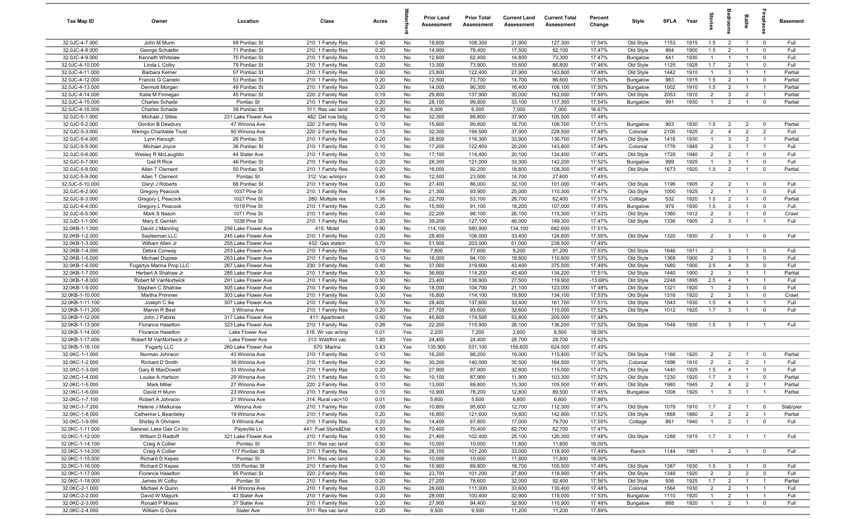| Tax Map ID                         | Owner                              | Location                                   | Class                                  | Acres        |           | <b>Prior Land</b><br>Assessment | <b>Prior Total</b><br>Assessment | <b>Current Land</b><br>Assessment | <b>Current Total</b><br>Assessment | Percent<br>Change | Style                 | <b>SFLA</b> | Year | tories         | aroo                             | Baths          |                         | <b>Basement</b> |
|------------------------------------|------------------------------------|--------------------------------------------|----------------------------------------|--------------|-----------|---------------------------------|----------------------------------|-----------------------------------|------------------------------------|-------------------|-----------------------|-------------|------|----------------|----------------------------------|----------------|-------------------------|-----------------|
| 32.0JC-4-7.000                     | John M Munn                        | 69 Pontiac St                              | 210: 1 Family Res                      | 0.40         | No        | 18,600                          | 108,300                          | 21,900                            | 127,300                            | 17.54%            | Old Style             | 1153        | 1915 | 1.5            | $\overline{2}$                   | $\overline{1}$ | $\overline{0}$          | Full            |
| 32.0JC-4-8.000                     | George Schaefer                    | 71 Pontiac St                              | 210: 1 Family Res                      | 0.20         | No        | 14,900                          | 78,400                           | 17,500                            | 92,100                             | 17.47%            | Old Style             | 864         | 1900 | 1.5            | $\overline{2}$                   | $\overline{1}$ | $\mathbf 0$             | Full            |
| 32.0JC-4-9.000                     | Kenneth Whitelaw                   | 75 Pontiac St                              | 210: 1 Family Res                      | 0.10         | No        | 12,600                          | 62,400                           | 14,800                            | 73,300                             | 17.47%            | Bungalow              | 641         | 1930 | $\mathbf{1}$   | $\mathbf{1}$                     | $\overline{1}$ | $\mathbf 0$             | Full            |
| 32.0JC-4-10.000                    | Linda L Colby                      | 79 Pontiac St                              | 210: 1 Family Res                      | 0.20         | No        | 13,300                          | 73,900                           | 15,600                            | 86,800                             | 17.46%            | Old Style             | 1125        | 1928 | 1.7            | $\overline{2}$                   | -1             | $\mathbf 0$             | Full            |
| 32.0JC-4-11.000                    | Barbara Kerner                     | 57 Pontiac St                              | 210: 1 Family Res                      | 0.60         | No        | 23,800                          | 122,400                          | 27,900                            | 143,800                            | 17.48%            | Old Style             | 1442        | 1910 | $\overline{1}$ | 3                                | $\overline{1}$ | $\overline{1}$          | Partial         |
| 32.0JC-4-12.000                    | Francis G Camelo                   | 53 Pontiac St                              | 210: 1 Family Res                      | 0.20         | No        | 12,500                          | 73,700                           | 14,700                            | 86,600                             | 17.50%            | Bungalow              | 983         | 1915 | 1.5            | $\overline{2}$                   | - 1            | $\mathbf 0$             | Partial         |
| 32.0JC-4-13.000                    | Dermott Morgan                     | 49 Pontiac St                              | 210: 1 Family Res                      | 0.20         | No        | 14,000                          | 90,300                           | 16,400                            | 106,100                            | 17.50%            | Bungalow              | 1002        | 1910 | 1.5            | $\overline{2}$                   | $\overline{1}$ | $\overline{1}$          | Partial         |
| 32.0JC-4-14.000                    | Katie M Finnegan                   | 45 Pontiac St                              | 220: 2 Family Res                      | 0.19         | No        | 29,800                          | 137,900                          | 35,000                            | 162,000                            | 17.48%            | Old Style             | 2053        | 1910 | $\overline{2}$ | 3                                | $\overline{2}$ | $\overline{1}$          | Partial         |
| 32.0JC-4-15.000                    | <b>Charles Schade</b>              | Pontiac St                                 | 210: 1 Family Res                      | 0.20         | No        | 28,100                          | 99,800                           | 33,100                            | 117,300                            | 17.54%            | Bungalow              | 991         | 1930 | $\overline{1}$ | $\overline{2}$                   | $\overline{1}$ | $\mathbf 0$             | Partial         |
| 32.0JC-4-16.000<br>32.0JC-5-1.000  | Charles Schade<br>Michael J Stiles | 39 Pontiac St<br>231 Lake Flower Ave       | 311: Res vac land<br>482: Det row bldg | 0.20<br>0.10 | No<br>No  | 6,000<br>32,300                 | 6,000<br>89,800                  | 7,000<br>37,900                   | 7,000<br>105,500                   | 16.67%<br>17.48%  |                       |             |      |                |                                  |                |                         |                 |
| 32.0JC-5-2.000                     | Gordon B Dewbury                   | 47 Winona Ave                              | 220: 2 Family Res                      | 0.10         | No        | 15,900                          | 90,800                           | 18,700                            | 106,700                            | 17.51%            | Bungalow              | 903         | 1930 | 1.5            | $\overline{2}$                   | $\overline{2}$ | $\mathbf 0$             | Partial         |
| 32.0JC-5-3.000                     | Wemgo Charitable Trust             | 50 Winona Ave                              | 220: 2 Family Res                      | 0.15         | No        | 32,300                          | 194,500                          | 37,900                            | 228,500                            | 17.48%            | Colonial              | 2100        | 1925 | $\overline{2}$ | $\overline{4}$                   | $\overline{2}$ | $\overline{2}$          | Full            |
| 32.0JC-5-4.000                     | Lynn Keough                        | 26 Pontiac St                              | 210: 1 Family Res                      | 0.20         | No        | 28,800                          | 116,300                          | 33,900                            | 136,700                            | 17.54%            | Old Style             | 1416        | 1930 | $\mathbf{1}$   | $\mathbf{3}$                     | $\overline{2}$ | $\overline{1}$          | Partial         |
| 32.0JC-5-5.000                     | Michael Joyce                      | 36 Pontiac St                              | 210: 1 Family Res                      | 0.10         | No        | 17,200                          | 122,400                          | 20,200                            | 143,800                            | 17.48%            | Colonial              | 1776        | 1945 | $\overline{2}$ | 3                                | $\overline{1}$ | $\overline{1}$          | Full            |
| 32.0JC-5-6.000                     | Wesley R McLaughlin                | 44 Slater Ave                              | 210: 1 Family Res                      | 0.10         | No        | 17,100                          | 114,400                          | 20,100                            | 134,400                            | 17.48%            | Old Style             | 1728        | 1940 | $\overline{2}$ | $\overline{2}$                   | $\overline{1}$ | $\mathbf 0$             | Full            |
| 32.0JC-5-7.000                     | Gail R Rice                        | 46 Pontiac St                              | 210: 1 Family Res                      | 0.20         | No        | 28,300                          | 121,000                          | 33,300                            | 142,200                            | 17.52%            | Bungalow              | 999         | 1925 | -1             | 3                                | -1             | $\mathbf 0$             | Full            |
| 32.0JC-5-8.000                     | Allen T Clement                    | 50 Pontiac St                              | 210: 1 Family Res                      | 0.20         | No        | 16,000                          | 92,200                           | 18,800                            | 108,300                            | 17.46%            | Old Style             | 1673        | 1920 | 1.5            | $\overline{2}$                   | $\overline{1}$ | $\mathbf 0$             | Partial         |
| 32.0JC-5-9.000                     | Allen T Clement                    | Pontiac St                                 | 312: Vac w/imprv                       | 0.40         | No        | 12,500                          | 23,500                           | 14,700                            | 27,600                             | 17.45%            |                       |             |      |                |                                  |                |                         |                 |
| 32.0JC-5-10.000                    | Daryl J Roberts                    | 66 Pontiac St                              | 210: 1 Family Res                      | 0.20         | No        | 27,400                          | 86,000                           | 32,100                            | 101,000                            | 17.44%            | Old Style             | 1196        | 1905 | $\overline{2}$ | $\overline{2}$                   | $\overline{1}$ | $\overline{\mathbf{0}}$ | Full            |
| 32.0JC-6-2.000                     | Gregory Peacock                    | 1037 Pine St                               | 210: 1 Family Res                      | 0.64         | No        | 21,300                          | 93,900                           | 25,000                            | 110,300                            | 17.47%            | Old Style             | 1000        | 1925 | $\overline{2}$ | $\mathbf{1}$                     | $\overline{1}$ | $\mathbf 0$             | Full            |
| 32.0JC-6-3.000                     | Gregory L Peacock                  | 1027 Pine St                               | 280: Multiple res                      | 1.36         | No        | 22,700                          | 53,100                           | 26,700                            | 62,400                             | 17.51%            | Cottage               | 532         | 1920 | 1.5            | $\overline{2}$                   | $\overline{1}$ | $\mathbf 0$             | Partial         |
| 32.0JC-6-4.000                     | Gregory L Peacock                  | 1019 Pine St                               | 210: 1 Family Res                      | 0.20         | No        | 15,500                          | 91,100                           | 18,200                            | 107,000                            | 17.45%            | Bungalow              | 979         | 1930 | 1.5            | $\mathbf{3}$                     | $\overline{1}$ | $\mathbf 0$             | Full            |
| 32.0JC-6-5.000                     | Mark S Nason                       | 1071 Pine St                               | 210: 1 Family Res                      | 0.40         | No        | 22,200                          | 98,100                           | 26,100                            | 115,300                            | 17.53%            | Old Style             | 1360        | 1912 | $\overline{2}$ | $\mathbf{3}$                     | $\overline{1}$ | $\mathbf 0$             | Crawl           |
| 32.0JD-1-1.000                     | Mary E Gerrish                     | 1038 Pine St                               | 210: 1 Family Res                      | 5.20         | No        | 39,200                          | 127,100                          | 46,000                            | 149,300                            | 17.47%            | Old Style             | 1336        | 1905 | $\overline{2}$ | $\mathbf{3}$                     | $\overline{1}$ | $\overline{1}$          | Full            |
| 32.0KB-1-1.000                     | David J Manning                    | 256 Lake Flower Ave                        | 415: Motel                             | 0.90         | No        | 114,100                         | 580,900                          | 134,100                           | 682,600                            | 17.51%            |                       |             |      |                |                                  |                |                         | Full            |
| 32.0KB-1-2.000<br>32.0KB-1-3.000   | Saylesman LLC<br>William Allen Jr  | 245 Lake Flower Ave<br>255 Lake Flower Ave | 210: 1 Family Res<br>432: Gas station  | 0.20<br>0.70 | No<br>No  | 28,400<br>51,900                | 106,000<br>203,000               | 33,400<br>61,000                  | 124,600<br>238,500                 | 17.55%<br>17.49%  | Old Style             | 1320        | 1930 | $\overline{2}$ | $\overline{\mathbf{3}}$          | $\overline{1}$ | $\overline{0}$          |                 |
| 32.0KB-1-4.000                     | Debra Conway                       | 253 Lake Flower Ave                        | 210: 1 Family Res                      | 0.19         | No        | 7,800                           | 77,600                           | 9,200                             | 91,200                             | 17.53%            | Old Style             | 1646        | 1911 | $\overline{2}$ | $\mathbf{3}$                     | $\overline{1}$ | $\overline{\mathbf{0}}$ | Full            |
| 32.0KB-1-5.000                     | Michael Dupree                     | 263 Lake Flower Ave                        | 210: 1 Family Res                      | 0.10         | No        | 16,000                          | 94,100                           | 18,800                            | 110,600                            | 17.53%            | Old Style             | 1368        | 1900 | $\overline{2}$ | $\mathbf{3}$                     | - 1            | $\mathbf 0$             | Full            |
| 32.0KB-1-6.000                     | Fogartys Marina Prop LLC           | 267 Lake Flower Ave                        | 230: 3 Family Res                      | 0.40         | No        | 37,000                          | 319,600                          | 43,400                            | 375,500                            | 17.49%            | Old Style             | 1680        | 1900 | 2.5            | $\overline{4}$                   | $\mathbf{3}$   | $\mathbf 0$             | Full            |
| 32.0KB-1-7.000                     | Herbert A Shatraw Jr               | 285 Lake Flower Ave                        | 210: 1 Family Res                      | 0.30         | No        | 36,900                          | 114,200                          | 43,400                            | 134,200                            | 17.51%            | Old Style             | 1440        | 1900 | $\overline{2}$ | 3                                | $\overline{1}$ | $\overline{1}$          | Partial         |
| 32.0KB-1-8.000                     | Robert M VanNortwick               | 291 Lake Flower Ave                        | 210: 1 Family Res                      | 0.50         | No        | 23,400                          | 138,900                          | 27,500                            | 119,900                            | $-13.68%$         | Old Style             | 2248        | 1895 | 2.5            | $\overline{4}$                   | $\overline{1}$ | $\overline{1}$          | Full            |
| 32.0KB-1-9.000                     | Stephen C Shatraw                  | 305 Lake Flower Ave                        | 210: 1 Family Res                      | 0.30         | No        | 18,000                          | 104,700                          | 21,100                            | 123,000                            | 17.48%            | Old Style             | 1321        | 1920 | $\overline{1}$ | $\overline{2}$                   | $\overline{1}$ | $\mathbf 0$             | Full            |
| 32.0KB-1-10.000                    | Martha Primmer                     | 303 Lake Flower Ave                        | 210: 1 Family Res                      | 0.30         | Yes       | 16,800                          | 114,100                          | 19,800                            | 134,100                            | 17.53%            | Old Style             | 1316        | 1920 | $\overline{2}$ | $\overline{2}$                   | $\overline{1}$ | $\mathbf 0$             | Crawl           |
| 32.0KB-1-11.100                    | Joseph C Ike                       | 307 Lake Flower Ave                        | 210: 1 Family Res                      | 0.70         | No        | 28,400                          | 137,600                          | 33,400                            | 161,700                            | 17.51%            | Old Style             | 1543        | 1930 | 1.5            | $\overline{4}$                   | $\overline{1}$ | $\overline{1}$          | Full            |
| 32.0KB-1-11.200                    | Marvin R Best                      | 3 Winona Ave                               | 210: 1 Family Res                      | 0.20         | No        | 27,700                          | 93,600                           | 32,600                            | 110,000                            | 17.52%            | Old Style             | 1012        | 1920 | 1.7            | $\overline{\mathbf{3}}$          | $\overline{1}$ | $\mathbf 0$             | Full            |
| 32.0KB-1-12.000                    | John J Pabins                      | 317 Lake Flower Ave                        | 411: Apartment                         | 0.50         | Yes       | 45,800                          | 174,500                          | 53,800                            | 205,000                            | 17.48%            |                       |             |      |                |                                  |                |                         |                 |
| 32.0KB-1-13.000                    | Florance Haselton                  | 323 Lake Flower Ave                        | 210: 1 Family Res                      | 0.26         | Yes       | 22,200                          | 115,900                          | 26,100                            | 136,200                            | 17.52%            | Old Style             | 1548        | 1930 | 1.5            | $\overline{3}$                   | - 1            | -1                      | Full            |
| 32.0KB-1-14.000                    | Florance Haselton                  | Lake Flower Ave                            | 316: Wr vac w/imp                      | 0.01         | Yes       | 2,200                           | 7,200                            | 2,600                             | 8,500                              | 18.06%            |                       |             |      |                |                                  |                |                         |                 |
| 32.0KB-1-17.000                    | Robert M VanNortwick Jr            | Lake Flower Ave                            | 313: Watrfrnt vac                      | 1.80         | Yes       | 24,400                          | 24,400                           | 28,700                            | 28,700                             | 17.62%            |                       |             |      |                |                                  |                |                         |                 |
| 32.0KB-1-18.100<br>32.0KC-1-1.000  | Fogarty LLC<br>Norman Johnson      | 260 Lake Flower Ave<br>43 Winona Ave       | 570: Marina<br>210: 1 Family Res       | 0.83<br>0.10 | Yes<br>No | 135,900                         | 531,100<br>98,200                | 159,600<br>19,000                 | 624,000<br>115,400                 | 17.49%<br>17.52%  |                       | 1166        | 1920 | $\overline{2}$ |                                  | $\overline{1}$ | $\mathbf 0$             | Partial         |
| 32.0KC-1-2.000                     | Richard D Smith                    | 39 Winona Ave                              | 210: 1 Family Res                      | 0.20         | No        | 16,200<br>30,200                | 140,000                          | 35,500                            | 164,500                            | 17.50%            | Old Style<br>Colonial | 1998        | 1910 | $\overline{2}$ | $\overline{2}$<br>$\overline{2}$ | $\overline{2}$ |                         | Full            |
| 32.0KC-1-3.000                     | Gary B MacDowell                   | 33 Winona Ave                              | 210: 1 Family Res                      | 0.20         | No        | 27,900                          | 97,900                           | 32,800                            | 115,000                            | 17.47%            | Old Style             | 1440        | 1925 | 1.5            | $\overline{4}$                   | -1             | $\mathbf{0}$            | Full            |
| 32.0KC-1-4.000                     | Louise A Hartson                   | 29 Winona Ave                              | 210: 1 Family Res                      | 0.10         | No        | 10,100                          | 87,900                           | 11,900                            | 103,300                            | 17.52%            | Old Style             | 1230        | 1920 | 1.7            | $\mathbf{3}$                     | $\overline{1}$ | $\mathbf 0$             | Partial         |
| 32.0KC-1-5.000                     | <b>Mark Miller</b>                 | 27 Winona Ave                              | 220: 2 Family Res                      | 0.10         | No        | 13,000                          | 89,800                           | 15,300                            | 105,500                            | 17.48%            | Old Style             | 1980        | 1945 | $\overline{2}$ | $\Delta$                         | $\overline{2}$ |                         | Partial         |
| 32.0KC-1-6.000                     | David H Munn                       | 23 Winona Ave                              | 210: 1 Family Res                      | 0.10         | No        | 10,900                          | 76,200                           | 12,800                            | 89,500                             | 17.45%            | Bungalow              | 1008        | 1920 | $\overline{1}$ | $\overline{\mathbf{3}}$          | $\overline{1}$ | $\overline{1}$          | Partial         |
| 32.0KC-1-7.100                     | Robert A Johnson                   | 21 Winona Ave                              | 314: Rural vac<10                      | 0.01         | No        | 5,600                           | 5,600                            | 6,600                             | 6,600                              | 17.86%            |                       |             |      |                |                                  |                |                         |                 |
| 32.0KC-1-7.200                     | Helene J Melkunas                  | Winona Ave                                 | 210: 1 Family Res                      | 0.08         | No        | 10,800                          | 95,600                           | 12,700                            | 112,300                            | 17.47%            | Old Style             | 1078        | 1910 | 1.7            | $\overline{2}$                   | $\overline{1}$ | $\mathbf 0$             | Slab/pier       |
| 32.0KC-1-8.000                     | Catherine L Beardsley              | 19 Winona Ave                              | 210: 1 Family Res                      | 0.20         | No        | 16,800                          | 121,600                          | 19,800                            | 142,900                            | 17.52%            | Old Style             | 1888        | 1880 | $\overline{2}$ | $\overline{2}$                   | $\overline{2}$ | $\overline{1}$          | Partial         |
| 32.0KC-1-9.000                     | Shirley A Ohmann                   | 9 Winona Ave                               | 210: 1 Family Res                      | 0.20         | No        | 14,400                          | 67,800                           | 17,000                            | 79,700                             | 17.55%            | Cottage               | 861         | 1940 | $\overline{1}$ | $\overline{2}$                   | $\overline{1}$ | $\mathbf 0$             | Full            |
| 32.0KC-1-11.000                    | Saranac Lake Gas Co Inc            | Payeville Ln                               | 441: Fuel Store&Dist                   | 4.50         | No        | 70,400                          | 70,400                           | 82,700                            | 82,700                             | 17.47%            |                       |             |      |                |                                  |                |                         |                 |
| 32.0KC-1-12.000                    | William D Radloff                  | 321 Lake Flower Ave                        | 210: 1 Family Res                      | 0.50         | No        | 21,400                          | 102,400                          | 25,100                            | 120,300                            | 17.48%            | Old Style             | 1288        | 1915 | 1.7            | $\overline{\mathbf{3}}$          | $\overline{1}$ | $\overline{1}$          | Full            |
| 32.0KC-1-14.100                    | Craig A Collier                    | Pontiac St                                 | 311: Res vac land                      | 0.30         | No        | 10,000                          | 10,000                           | 11,800                            | 11,800                             | 18.00%            |                       |             |      |                |                                  |                |                         |                 |
| 32.0KC-1-14.200                    | Craig A Collier                    | 117 Pontiac St<br>Pontiac St               | 210: 1 Family Res<br>311: Res vac land | 0.38         | No<br>No  | 28,100<br>10,000                | 101,200<br>10,000                | 33,000<br>11,800                  | 118,900                            | 17.49%<br>18.00%  | Ranch                 | 1144        | 1991 | $\overline{1}$ | $\overline{2}$                   | $\overline{1}$ | $\overline{0}$          | Full            |
| 32.0KC-1-15.000<br>32.0KC-1-16.000 | Richard D Kepes<br>Richard D Kepes | 105 Pontiac St                             | 210: 1 Family Res                      | 0.20<br>0.10 | No        | 15,900                          | 89,800                           | 18,700                            | 11,800<br>105,500                  | 17.48%            | Old Style             | 1387        | 1930 | 1.5            | $\mathbf{3}$                     | $\overline{1}$ | $\overline{\mathbf{0}}$ | Full            |
| 32.0KC-1-17.000                    | Florence Haselton                  | 95 Pontiac St                              | 220: 2 Family Res                      | 0.60         | No        | 23,700                          | 101,200                          | 27,800                            | 118,900                            | 17.49%            | Old Style             | 1348        | 1920 | $\overline{2}$ | $\overline{2}$                   | $\overline{2}$ | $\mathbf 0$             | Full            |
| 32.0KC-1-18.000                    | James W Colby                      | Pontiac St                                 | 210: 1 Family Res                      | 0.20         | No        | 27,200                          | 78,600                           | 32,000                            | 92,400                             | 17.56%            | Old Style             | 936         | 1925 | 1.7            | $\overline{2}$                   | $\overline{1}$ | $\overline{1}$          | Partial         |
| 32.0KC-2-1.000                     | Michael A Quinn                    | 44 Winona Ave                              | 210: 1 Family Res                      | 0.20         | No        | 28,600                          | 111,000                          | 33,600                            | 130,400                            | 17.48%            | Colonial              | 1564        | 1930 | $\overline{2}$ | $\overline{2}$                   | $\overline{1}$ | $\overline{1}$          | Full            |
| 32.0KC-2-2.000                     | David W Magurk                     | 43 Slater Ave                              | 210: 1 Family Res                      | 0.20         | No        | 28,000                          | 100,400                          | 32,900                            | 118,000                            | 17.53%            | Bungalow              | 1110        | 1920 | $\overline{1}$ | $\overline{2}$                   | $\overline{1}$ | $\overline{1}$          | Full            |
| 32.0KC-2-3.000                     | Ronald P Moses                     | 37 Slater Ave                              | 210: 1 Family Res                      | 0.20         | No        | 27,900                          | 94,400                           | 32,800                            | 110,900                            | 17.48%            | Bungalow              | 868         | 1920 | $\overline{1}$ | $\overline{2}$                   | $\overline{1}$ | $\mathbf{0}$            | Full            |
| 32.0KC-2-4.000                     | William G Dora                     | Slater Ave                                 | 311: Res vac land                      | 0.20         | No        | 9,500                           | 9,500                            | 11,200                            | 11,200                             | 17.89%            |                       |             |      |                |                                  |                |                         |                 |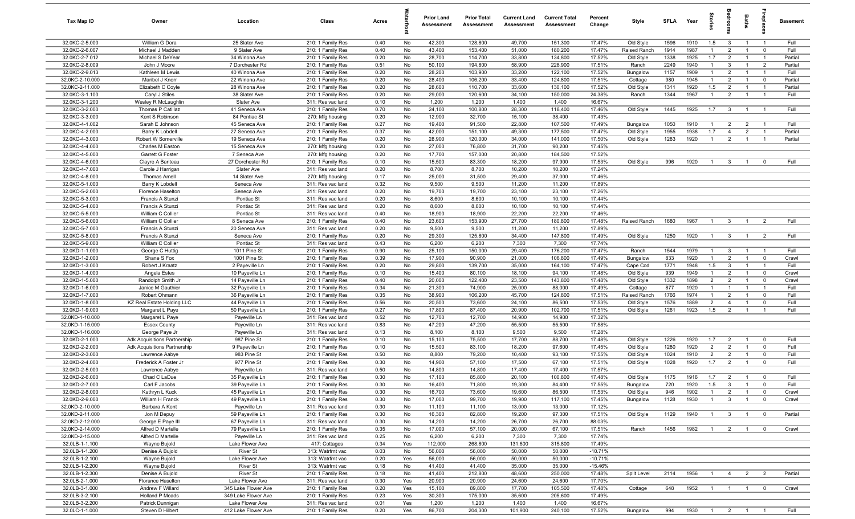| Tax Map ID                         | Owner                                       | Location                           | Class                                  | Acres        |          | <b>Prior Land</b><br>Assessment | <b>Prior Total</b><br>Assessment | <b>Current Land</b><br>Assessment | <b>Current Total</b><br>Assessment | Percent<br>Change | Style                     | <b>SFLA</b>  | Year         | tories                           | ăroo                             | Baths                            |                                  | <b>Basement</b> |
|------------------------------------|---------------------------------------------|------------------------------------|----------------------------------------|--------------|----------|---------------------------------|----------------------------------|-----------------------------------|------------------------------------|-------------------|---------------------------|--------------|--------------|----------------------------------|----------------------------------|----------------------------------|----------------------------------|-----------------|
| 32.0KC-2-5.000                     | William G Dora                              | 25 Slater Ave                      | 210: 1 Family Res                      | 0.40         | No       | 42,300                          | 128,800                          | 49,700                            | 151,300                            | 17.47%            | Old Style                 | 1596         | 1910         | 1.5                              | $\mathbf{3}$                     | $\overline{1}$                   | $\overline{1}$                   | Full            |
| 32.0KC-2-6.007                     | Michael J Madden                            | 9 Slater Ave                       | 210: 1 Family Res                      | 0.40         | No       | 43,400                          | 153,400                          | 51,000                            | 180,200                            | 17.47%            | Raised Ranch              | 1914         | 1987         | $\overline{1}$                   | $\overline{2}$                   | $\overline{1}$                   | $\mathbf 0$                      | Full            |
| 32.0KC-2-7.012                     | Michael S DeYear                            | 34 Winona Ave                      | 210: 1 Family Res                      | 0.20         | No       | 28,700                          | 114,700                          | 33,800                            | 134,800                            | 17.52%            | Old Style                 | 1338         | 1925         | 1.7                              | $\overline{2}$                   | $\overline{1}$                   | $\overline{1}$                   | Partial         |
| 32.0KC-2-8.009                     | John J Moore                                | 7 Dorchester Rd                    | 210: 1 Family Res                      | 0.51         | No       | 50,100                          | 194,800                          | 58,900                            | 228,900                            | 17.51%            | Ranch                     | 2249         | 1940         | $\mathbf{1}$                     | 3                                | $\overline{1}$                   | $\overline{2}$                   | Partial         |
| 32.0KC-2-9.013                     | Kathleen M Lewis                            | 40 Winona Ave                      | 210: 1 Family Res                      | 0.20         | No       | 28,200                          | 103,900                          | 33,200                            | 122,100                            | 17.52%            | Bungalow                  | 1157         | 1909         | $\mathbf{1}$                     | $\overline{2}$                   | $\overline{1}$                   | $\overline{1}$                   | Full            |
| 32.0KC-2-10.000                    | Maribel J Knorr                             | 22 Winona Ave                      | 210: 1 Family Res                      | 0.20         | No       | 28,400                          | 106,200                          | 33,400                            | 124,800                            | 17.51%            | Cottage                   | 980          | 1945         | $\mathbf{1}$                     | $\overline{2}$                   | $\overline{1}$                   | $\mathbf 0$                      | Partial         |
| 32.0KC-2-11.000                    | Elizabeth C Coyle                           | 28 Winona Ave                      | 210: 1 Family Res                      | 0.20         | No       | 28,600                          | 110,700                          | 33,600                            | 130,100                            | 17.52%            | Old Style                 | 1311         | 1920         | 1.5                              | $\overline{2}$                   | $\overline{1}$                   | $\overline{1}$                   | Partial         |
| 32.0KC-3-1.100                     | Caryl J Stiles                              | 38 Slater Ave                      | 210: 1 Family Res                      | 0.20         | No       | 29,000                          | 120,600                          | 34,100                            | 150,000                            | 24.38%            | Ranch                     | 1344         | 1967         | $\overline{1}$                   | $\overline{2}$                   | $\overline{1}$                   | $\overline{1}$                   | Full            |
| 32.0KC-3-1.200                     | Wesley R McLaughlin                         | Slater Ave                         | 311: Res vac land                      | 0.10         | No       | 1,200                           | 1,200                            | 1,400                             | 1,400                              | 16.67%            |                           |              |              |                                  |                                  |                                  |                                  |                 |
| 32.0KC-3-2.000                     | Thomas P Catillaz                           | 41 Seneca Ave                      | 210: 1 Family Res                      | 0.70         | No       | 24,100                          | 100,800                          | 28,300                            | 118,400                            | 17.46%            | Old Style                 | 1445         | 1925         | 1.7                              | $\mathbf{3}$                     | $\overline{1}$                   | $\overline{1}$                   | Full            |
| 32.0KC-3-3.000                     | Kent S Robinson                             | 84 Pontiac St                      | 270: Mfg housing                       | 0.20         | No       | 12,900                          | 32,700                           | 15,100                            | 38,400                             | 17.43%            |                           |              |              |                                  |                                  |                                  |                                  |                 |
| 32.0KC-4-1.002<br>32.0KC-4-2.000   | Sarah E Johnson                             | 45 Seneca Ave                      | 210: 1 Family Res                      | 0.27         | No       | 19,400<br>42,000                | 91,500                           | 22,800<br>49,300                  | 107,500                            | 17.49%            | Bungalow                  | 1050         | 1910<br>1938 | $\overline{1}$<br>1.7            | $\overline{2}$<br>$\overline{4}$ | $\overline{2}$<br>$\overline{2}$ | $\overline{1}$<br>$\overline{1}$ | Full<br>Partial |
| 32.0KC-4-3.000                     | Barry K Lobdell<br>Robert W Somerville      | 27 Seneca Ave<br>19 Seneca Ave     | 210: 1 Family Res<br>210: 1 Family Res | 0.37<br>0.20 | No<br>No | 28,900                          | 151,100<br>120,000               | 34,000                            | 177,500<br>141,000                 | 17.47%<br>17.50%  | Old Style<br>Old Style    | 1955<br>1283 | 1920         | $\overline{1}$                   | 2                                | $\overline{1}$                   | $\overline{1}$                   | Partial         |
| 32.0KC-4-4.000                     | Charles M Easton                            | 15 Seneca Ave                      | 270: Mfg housing                       | 0.20         | No       | 27,000                          | 76,800                           | 31,700                            | 90,200                             | 17.45%            |                           |              |              |                                  |                                  |                                  |                                  |                 |
| 32.0KC-4-5.000                     | Garrett G Foster                            | 7 Seneca Ave                       | 270: Mfg housing                       | 0.20         | No       | 17,700                          | 157,000                          | 20,800                            | 184,500                            | 17.52%            |                           |              |              |                                  |                                  |                                  |                                  |                 |
| 32.0KC-4-6.000                     | Clayre A Bariteau                           | 27 Dorchester Rd                   | 210: 1 Family Res                      | 0.10         | No       | 15,500                          | 83,300                           | 18,200                            | 97,900                             | 17.53%            | Old Style                 | 996          | 1920         | -1                               | $\mathbf{3}$                     |                                  | $\Omega$                         | Full            |
| 32.0KC-4-7.000                     | Carole J Harrigan                           | Slater Ave                         | 311: Res vac land                      | 0.20         | No       | 8,700                           | 8,700                            | 10,200                            | 10,200                             | 17.24%            |                           |              |              |                                  |                                  |                                  |                                  |                 |
| 32.0KC-4-8.000                     | <b>Thomas Amell</b>                         | 14 Slater Ave                      | 270: Mfg housing                       | 0.17         | No       | 25,000                          | 31,500                           | 29,400                            | 37,000                             | 17.46%            |                           |              |              |                                  |                                  |                                  |                                  |                 |
| 32.0KC-5-1.000                     | Barry K Lobdel                              | Seneca Ave                         | 311: Res vac land                      | 0.32         | No       | 9,500                           | 9,500                            | 11,200                            | 11,200                             | 17.89%            |                           |              |              |                                  |                                  |                                  |                                  |                 |
| 32.0KC-5-2.000                     | Florence Haselton                           | Seneca Ave                         | 311: Res vac land                      | 0.20         | No       | 19,700                          | 19,700                           | 23,100                            | 23,100                             | 17.26%            |                           |              |              |                                  |                                  |                                  |                                  |                 |
| 32.0KC-5-3.000                     | Francis A Stunzi                            | Pontiac St                         | 311: Res vac land                      | 0.20         | No       | 8,600                           | 8,600                            | 10,100                            | 10,100                             | 17.44%            |                           |              |              |                                  |                                  |                                  |                                  |                 |
| 32.0KC-5-4.000                     | Francis A Stunzi                            | Pontiac St                         | 311: Res vac land                      | 0.20         | No       | 8,600                           | 8,600                            | 10,100                            | 10,100                             | 17.44%            |                           |              |              |                                  |                                  |                                  |                                  |                 |
| 32.0KC-5-5.000                     | William C Collier                           | Pontiac St                         | 311: Res vac land                      | 0.40         | No       | 18,900                          | 18,900                           | 22,200                            | 22,200                             | 17.46%            |                           |              |              |                                  |                                  |                                  |                                  |                 |
| 32.0KC-5-6.000                     | William C Collier                           | 8 Seneca Ave                       | 210: 1 Family Res                      | 0.40         | No       | 23,600                          | 153,900                          | 27,700                            | 180,800                            | 17.48%            | Raised Ranch              | 1680         | 1967         | $\overline{1}$                   | $\overline{3}$                   | $\overline{1}$                   | $\overline{2}$                   | Full            |
| 32.0KC-5-7.000                     | Francis A Stunzi                            | 20 Seneca Ave                      | 311: Res vac land                      | 0.20         | No       | 9,500                           | 9,500                            | 11,200                            | 11,200                             | 17.89%            |                           |              |              |                                  |                                  |                                  |                                  |                 |
| 32.0KC-5-8.000                     | Francis A Stunzi                            | Seneca Ave                         | 210: 1 Family Res                      | 0.20         | No       | 29,300                          | 125,800                          | 34,400                            | 147,800                            | 17.49%            | Old Style                 | 1250         | 1920         | $\overline{1}$                   | $\overline{\mathbf{3}}$          | $\overline{1}$                   | $\overline{2}$                   | Full            |
| 32.0KC-5-9.000                     | William C Collier                           | Pontiac St                         | 311: Res vac land                      | 0.43         | No       | 6,200                           | 6,200                            | 7,300                             | 7,300                              | 17.74%            |                           |              |              |                                  |                                  |                                  |                                  |                 |
| 32.0KD-1-1.000                     | George C Huttig                             | 1011 Pine St                       | 210: 1 Family Res                      | 0.90         | No       | 25,100                          | 150,000                          | 29,400                            | 176,200                            | 17.47%            | Ranch                     | 1544         | 1979         | $\overline{1}$                   | $\mathbf{3}$                     | $\overline{1}$                   | $\overline{1}$                   | Full            |
| 32.0KD-1-2.000                     | Shane S Fox                                 | 1001 Pine St                       | 210: 1 Family Res                      | 0.39         | No       | 17,900                          | 90,900                           | 21,000                            | 106,800                            | 17.49%            | Bungalow                  | 833          | 1920         | $\overline{1}$                   | $\overline{2}$                   | $\overline{1}$                   | $\mathbf 0$                      | Crawl           |
| 32.0KD-1-3.000                     | Robert J Kraatz                             | 2 Payeville Ln                     | 210: 1 Family Res                      | 0.20         | No       | 29,800                          | 139,700                          | 35,000                            | 164,100                            | 17.47%            | Cape Cod                  | 1771         | 1948         | 1.5                              | $\mathbf{3}$                     | $\overline{1}$                   | $\overline{1}$                   | Full            |
| 32.0KD-1-4.000                     | Angela Estes                                | 10 Payeville Ln                    | 210: 1 Family Res                      | 0.10         | No       | 15,400                          | 80,100                           | 18,100                            | 94,100                             | 17.48%            | Old Style                 | 939          | 1949         | $\overline{1}$                   | $\overline{2}$                   | $\overline{1}$                   | $\mathbf 0$                      | Crawl           |
| 32.0KD-1-5.000                     | Randolph Smith Jr                           | 14 Payeville Ln                    | 210: 1 Family Res                      | 0.40         | No       | 20,000                          | 122,400                          | 23,500                            | 143,800                            | 17.48%            | Old Style                 | 1332         | 1898         | $\overline{2}$                   | $\overline{2}$                   | $\overline{1}$                   | $\mathbf 0$                      | Crawl           |
| 32.0KD-1-6.000<br>32.0KD-1-7.000   | Janice M Gauthier                           | 32 Payeville Ln                    | 210: 1 Family Res                      | 0.34         | No<br>No | 21,300                          | 74,900                           | 25,000                            | 88,000                             | 17.49%<br>17.51%  | Cottage                   | 877<br>1766  | 1920<br>1974 | $\overline{1}$<br>$\overline{1}$ | $\overline{1}$<br>$\overline{2}$ | $\overline{1}$<br>$\overline{1}$ | $\overline{1}$<br>$\mathbf 0$    | Full<br>Full    |
| 32.0KD-1-8.000                     | Robert Ohmann<br>KZ Real Estate Holding LLC | 36 Payeville Ln<br>44 Payeville Ln | 210: 1 Family Res<br>210: 1 Family Res | 0.35<br>0.56 | No       | 38,900<br>20,500                | 106,200<br>73,600                | 45,700<br>24,100                  | 124,800<br>86,500                  | 17.53%            | Raised Ranch<br>Old Style | 1576         | 1889         | $\overline{2}$                   | $\overline{4}$                   | $\overline{1}$                   | $\mathbf 0$                      | Full            |
| 32.0KD-1-9.000                     | Margaret L Paye                             | 50 Payeville Ln                    | 210: 1 Family Res                      | 0.27         | No       | 17,800                          | 87,400                           | 20,900                            | 102,700                            | 17.51%            | Old Style                 | 1261         | 1923         | 1.5                              | $\overline{2}$                   | $\overline{1}$                   | $\overline{1}$                   | Full            |
| 32.0KD-1-10.000                    | Margaret L Paye                             | Payeville Ln                       | 311: Res vac land                      | 0.52         | No       | 12,700                          | 12,700                           | 14,900                            | 14,900                             | 17.32%            |                           |              |              |                                  |                                  |                                  |                                  |                 |
| 32.0KD-1-15.000                    | <b>Essex County</b>                         | Payeville Ln                       | 311: Res vac land                      | 0.83         | No       | 47,200                          | 47,200                           | 55,500                            | 55,500                             | 17.58%            |                           |              |              |                                  |                                  |                                  |                                  |                 |
| 32.0KD-1-16.000                    | George Paye Jr                              | Payeville Ln                       | 311: Res vac land                      | 0.13         | No       | 8,100                           | 8,100                            | 9,500                             | 9,500                              | 17.28%            |                           |              |              |                                  |                                  |                                  |                                  |                 |
| 32.0KD-2-1.000                     | Adk Acquisitions Partnership                | 987 Pine St                        | 210: 1 Family Res                      | 0.10         | No       | 15,100                          | 75,500                           | 17,700                            | 88,700                             | 17.48%            | Old Style                 | 1226         | 1920         | 1.7                              | $\overline{2}$                   | $\overline{1}$                   | $\mathbf 0$                      | Full            |
| 32.0KD-2-2.000                     | <b>Adk Acquisitions Partnership</b>         | 9 Payeville Ln                     | 210: 1 Family Res                      | 0.10         | No       | 15,500                          | 83,100                           | 18,200                            | 97,600                             | 17.45%            | Old Style                 | 1280         | 1920         | $\overline{2}$                   | $\overline{2}$                   | $\overline{1}$                   | $\mathbf 0$                      | Full            |
| 32.0KD-2-3.000                     | Lawrence Aabye                              | 983 Pine St                        | 210: 1 Family Res                      | 0.50         | No       | 8,800                           | 79,200                           | 10,400                            | 93,100                             | 17.55%            | Old Style                 | 1024         | 1910         | $\overline{2}$                   | $\overline{2}$                   | $\overline{1}$                   | $\mathbf 0$                      | Full            |
| 32.0KD-2-4.000                     | Frederick A Foster Jr                       | 977 Pine St                        | 210: 1 Family Res                      | 0.30         | No       | 14,900                          | 57,100                           | 17,500                            | 67,100                             | 17.51%            | Old Style                 | 1028         | 1920         | 1.7                              | $\overline{2}$                   | $\overline{1}$                   | $\mathbf 0$                      | Full            |
| 32.0KD-2-5.000                     | Lawrence Aabye                              | Payeville Ln                       | 311: Res vac land                      | 0.50         | No       | 14,800                          | 14,800                           | 17,400                            | 17,400                             | 17.57%            |                           |              |              |                                  |                                  |                                  |                                  |                 |
| 32.0KD-2-6.000                     | Chad C LaDue                                | 35 Payeville Ln                    | 210: 1 Family Res                      | 0.30         | No       | 17,100                          | 85,800                           | 20,100                            | 100,800                            | 17.48%            | Old Style                 | 1175         | 1916         | 1.7                              | $\overline{2}$                   | $\overline{1}$                   | $\mathbf 0$                      | Full            |
| 32.0KD-2-7.000                     | Carl F Jacobs                               | 39 Payeville Ln                    | 210: 1 Family Res                      | 0.30         | No       | 16,400                          | 71,800                           | 19,300                            | 84,400                             | 17.55%            | Bungalow                  | 720          | 1920         | 1.5                              | $\mathbf{3}$                     |                                  | 0                                | Full            |
| 32.0KD-2-8.000                     | Kathryn L Kuck                              | 45 Payeville Ln                    | 210: 1 Family Res                      | 0.30         | No       | 16,700                          | 73,600                           | 19,600                            | 86,500                             | 17.53%            | Old Style                 | 946          | 1902         | $\overline{1}$                   | $\overline{2}$                   | $\overline{1}$                   | $\mathbf 0$                      | Crawl           |
| 32.0KD-2-9.000                     | William H Franck                            | 49 Payeville Ln                    | 210: 1 Family Res                      | 0.30         | No       | 17,000                          | 99,700                           | 19,900                            | 117,100                            | 17.45%            | Bungalow                  | 1128         | 1930         | $\overline{1}$                   | $\mathbf{3}$                     | $\overline{1}$                   | $\mathbf 0$                      | Crawl           |
| 32.0KD-2-10.000                    | Barbara A Kent                              | Payeville Ln                       | 311: Res vac land                      | 0.30         | No       | 11,100                          | 11,100                           | 13,000                            | 13,000                             | 17.12%            |                           |              |              |                                  |                                  |                                  |                                  |                 |
| 32.0KD-2-11.000                    | Jon M Depuy                                 | 59 Payeville Ln                    | 210: 1 Family Res                      | 0.30         | No       | 16,300                          | 82,800                           | 19,200                            | 97,300                             | 17.51%            | Old Style                 | 1129         | 1940         | $\overline{1}$                   | $\overline{\mathbf{3}}$          | $\overline{1}$                   | $\overline{0}$                   | Partial         |
| 32.0KD-2-12.000<br>32.0KD-2-14.000 | George E Paye III                           | 67 Payeville Ln                    | 311: Res vac land                      | 0.30         | No       | 14,200                          | 14,200                           | 26,700                            | 26,700                             | 88.03%            |                           |              |              |                                  |                                  |                                  |                                  | Crawl           |
| 32.0KD-2-15.000                    | Alfred D Martelle<br>Alfred D Martelle      | 79 Payeville Ln<br>Payeville Ln    | 210: 1 Family Res<br>311: Res vac land | 0.35<br>0.25 | No<br>No | 17,000<br>6,200                 | 57,100<br>6,200                  | 20,000<br>7,300                   | 67,100<br>7,300                    | 17.51%<br>17.74%  | Ranch                     | 1456         | 1982         | $\overline{1}$                   | $\overline{2}$                   | $\overline{1}$                   | $\overline{0}$                   |                 |
| 32.0LB-1-1.100                     | Wayne Bujold                                | Lake Flower Ave                    | 417: Cottages                          | 0.34         | Yes      | 112,000                         | 268,800                          | 131,600                           | 315,800                            | 17.49%            |                           |              |              |                                  |                                  |                                  |                                  |                 |
| 32.0LB-1-1.200                     | Denise A Bujold                             | <b>River St</b>                    | 313: Watrfrnt vac                      | 0.03         | No       | 56,000                          | 56,000                           | 50,000                            | 50,000                             | $-10.71%$         |                           |              |              |                                  |                                  |                                  |                                  |                 |
| 32.0LB-1-2.100                     | Wayne Bujold                                | Lake Flower Ave                    | 313: Watrfrnt vac                      | 0.20         | Yes      | 56,000                          | 56,000                           | 50,000                            | 50,000                             | $-10.71%$         |                           |              |              |                                  |                                  |                                  |                                  |                 |
| 32.0LB-1-2.200                     | Wayne Bujold                                | <b>River St</b>                    | 313: Watrfrnt vac                      | 0.18         | No       | 41,400                          | 41,400                           | 35,000                            | 35,000                             | $-15.46%$         |                           |              |              |                                  |                                  |                                  |                                  |                 |
| 32.0LB-1-2.300                     | Denise A Bujold                             | <b>River St</b>                    | 210: 1 Family Res                      | 0.18         | No       | 41,400                          | 212,800                          | 48,600                            | 250,000                            | 17.48%            | Split Level               | 2114         | 1956         | $\overline{1}$                   | $\overline{4}$                   | $\overline{2}$                   | $\overline{2}$                   | Partial         |
| 32.0LB-2-1.000                     | Florance Haselton                           | Lake Flower Ave                    | 311: Res vac land                      | 0.30         | Yes      | 20,900                          | 20,900                           | 24,600                            | 24,600                             | 17.70%            |                           |              |              |                                  |                                  |                                  |                                  |                 |
| 32.0LB-3-1.000                     | Andrew F Willard                            | 345 Lake Flower Ave                | 210: 1 Family Res                      | 0.20         | Yes      | 15,100                          | 89,800                           | 17,700                            | 105,500                            | 17.48%            | Cottage                   | 648          | 1952         | $\overline{1}$                   | $\overline{1}$                   | $\overline{1}$                   | $\mathbf 0$                      | Crawl           |
| 32.0LB-3-2.100                     | Holland P Meads                             | 349 Lake Flower Ave                | 210: 1 Family Res                      | 0.23         | Yes      | 30,300                          | 175,000                          | 35,600                            | 205,600                            | 17.49%            |                           |              |              |                                  |                                  |                                  |                                  |                 |
| 32.0LB-3-2.200                     | Patrick Dunnigan                            | Lake Flower Ave                    | 311: Res vac land                      | 0.01         | Yes      | 1,200                           | 1,200                            | 1,400                             | 1,400                              | 16.67%            |                           |              |              |                                  |                                  |                                  |                                  |                 |
| 32.0LC-1-1.000                     | Steven D Hilbert                            | 412 Lake Flower Ave                | 210: 1 Family Res                      | 0.20         | Yes      | 86,700                          | 204,300                          | 101,900                           | 240,100                            | 17.52%            | Bungalow                  | 994          | 1930 1 2 1 1 |                                  |                                  |                                  |                                  | Full            |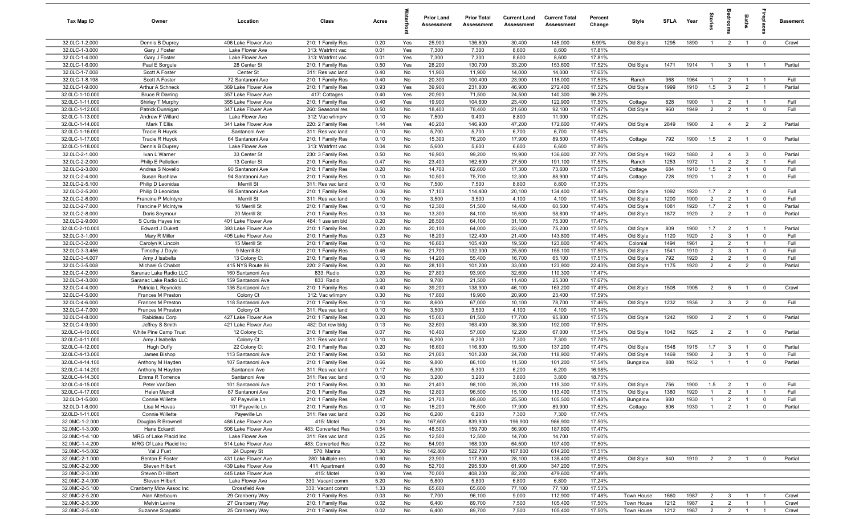| Tax Map ID                        | Owner                                      | Location                                   | Class                                  | Acres        |            | <b>Prior Land</b><br>Assessment | <b>Prior Total</b><br>Assessment | <b>Current Land</b><br>Assessment | <b>Current Total</b><br>Assessment | Percent<br>Change | Style                  | <b>SFLA</b> | Year         | $\frac{1}{2}$                    |                                  | Baths                            | repla                         | <b>Basement</b> |
|-----------------------------------|--------------------------------------------|--------------------------------------------|----------------------------------------|--------------|------------|---------------------------------|----------------------------------|-----------------------------------|------------------------------------|-------------------|------------------------|-------------|--------------|----------------------------------|----------------------------------|----------------------------------|-------------------------------|-----------------|
| 32.0LC-1-2.000                    | Dennis B Duprey                            | 406 Lake Flower Ave                        | 210: 1 Family Res                      | 0.20         | Yes        | 25,900                          | 136,800                          | 30,400                            | 145,000                            | 5.99%             | Old Style              | 1295        | 1890         | $\overline{1}$                   | $\overline{2}$                   | $\overline{1}$                   | $\mathbf 0$                   | Crawl           |
| 32.0LC-1-3.000                    | Gary J Foster                              | Lake Flower Ave                            | 313: Watrfrnt vac                      | 0.01         | Yes        | 7,300                           | 7,300                            | 8,600                             | 8,600                              | 17.81%            |                        |             |              |                                  |                                  |                                  |                               |                 |
| 32.0LC-1-4.000                    | Gary J Foster                              | Lake Flower Ave                            | 313: Watrfrnt vac                      | 0.01         | Yes        | 7,300                           | 7,300                            | 8,600                             | 8,600                              | 17.81%            |                        |             |              |                                  |                                  |                                  |                               |                 |
| 32.0LC-1-6.000                    | Paul E Sorgule                             | 28 Center St                               | 210: 1 Family Res                      | 0.50         | Yes        | 28,200                          | 130,700                          | 33,200                            | 153,600                            | 17.52%            | Old Style              | 1471        | 1914         | -1                               | $\mathbf{3}$                     |                                  |                               | Partial         |
| 32.0LC-1-7.008                    | Scott A Foster                             | Center St                                  | 311: Res vac land                      | 0.40         | No         | 11,900                          | 11,900                           | 14,000                            | 14,000                             | 17.65%            |                        |             |              |                                  |                                  |                                  |                               |                 |
| 32.0LC-1-8.198                    | Scott A Foster                             | 72 Santanoni Ave                           | 210: 1 Family Res                      | 0.40         | No         | 20,300                          | 100,400                          | 23,900                            | 118,000                            | 17.53%            | Ranch                  | 968         | 1964         |                                  | $\overline{2}$                   |                                  |                               | Full            |
| 32.0LC-1-9.000<br>32.0LC-1-10.000 | Arthur A Schneck<br><b>Bruce R Darring</b> | 369 Lake Flower Ave<br>357 Lake Flower Ave | 210: 1 Family Res<br>417: Cottages     | 0.93<br>0.40 | Yes<br>Yes | 39,900<br>20,900                | 231,800<br>71,500                | 46,900<br>24,500                  | 272,400<br>140,300                 | 17.52%<br>96.22%  | Old Style              | 1999        | 1910         | 1.5                              | $\mathbf{3}$                     | $\overline{2}$                   | $\overline{1}$                | Partial         |
| 32.0LC-1-11.000                   | Shirley T Murphy                           | 355 Lake Flower Ave                        | 210: 1 Family Res                      | 0.40         | Yes        | 19,900                          | 104,600                          | 23,400                            | 122,900                            | 17.50%            | Cottage                | 828         | 1900         | $\overline{1}$                   | $\overline{2}$                   | $\overline{1}$                   | $\overline{1}$                | Full            |
| 32.0LC-1-12.000                   | Patrick Dunnigan                           | 347 Lake Flower Ave                        | 260: Seasonal res                      | 0.50         | No         | 18,400                          | 78,400                           | 21,600                            | 92,100                             | 17.47%            | Old Style              | 960         | 1949         | $\overline{2}$                   | 2                                | $\overline{1}$                   | $\mathbf 0$                   | Full            |
| 32.0LC-1-13.000                   | Andrew F Willard                           | Lake Flower Ave                            | 312: Vac w/imprv                       | 0.10         | No         | 7,500                           | 9,400                            | 8,800                             | 11,000                             | 17.02%            |                        |             |              |                                  |                                  |                                  |                               |                 |
| 32.0LC-1-14.000                   | Mark T Ellis                               | 341 Lake Flower Ave                        | 220: 2 Family Res                      | 1.44         | Yes        | 40,200                          | 146,900                          | 47,200                            | 172,600                            | 17.49%            | Old Style              | 2849        | 1900         | 2                                | $\overline{4}$                   | $\overline{2}$                   | $\overline{2}$                | Partial         |
| 32.0LC-1-16.000                   | Tracie R Huyck                             | Santanoni Ave                              | 311: Res vac land                      | 0.10         | No         | 5,700                           | 5,700                            | 6,700                             | 6,700                              | 17.54%            |                        |             |              |                                  |                                  |                                  |                               |                 |
| 32.0LC-1-17.000                   | Tracie R Huyck                             | 64 Santanoni Ave                           | 210: 1 Family Res                      | 0.10         | No         | 15,300                          | 76,200                           | 17,900                            | 89,500                             | 17.45%            | Cottage                | 792         | 1900         | 1.5                              | $\overline{2}$                   | $\overline{1}$                   | $\mathbf 0$                   | Partial         |
| 32.0LC-1-18.000                   | Dennis B Duprey                            | Lake Flower Ave                            | 313: Watrfrnt vac                      | 0.04         | No         | 5,600                           | 5,600                            | 6,600                             | 6,600                              | 17.86%            |                        |             |              |                                  |                                  |                                  |                               |                 |
| 32.0LC-2-1.000                    | Ivan L Warner                              | 33 Center St                               | 230: 3 Family Res                      | 0.50         | No         | 16,900                          | 99,200                           | 19,900                            | 136,600                            | 37.70%            | Old Style              | 1922        | 1880         | $\overline{2}$                   | $\overline{4}$                   | $\mathbf{3}$                     | $\mathbf 0$                   | Partial         |
| 32.0LC-2-2.000<br>32.0LC-2-3.000  | Philip E Pelletieri                        | 13 Center St<br>90 Santanoni Ave           | 210: 1 Family Res                      | 0.47<br>0.20 | No         | 23,400<br>14,700                | 162,600                          | 27,500<br>17,300                  | 191,100<br>73,600                  | 17.53%<br>17.57%  | Ranch                  | 1253<br>684 | 1972<br>1910 | $\mathbf{1}$<br>1.5              | $\overline{2}$<br>$\overline{2}$ | $\overline{2}$<br>$\overline{1}$ | $\overline{1}$<br>$\mathbf 0$ | Full<br>Full    |
| 32.0LC-2-4.000                    | Andrea S Novello<br>Susan Rushlaw          | 94 Santanoni Ave                           | 210: 1 Family Res<br>210: 1 Family Res | 0.10         | No<br>No   | 10,500                          | 62,600<br>75,700                 | 12,300                            | 88,900                             | 17.44%            | Cottage<br>Cottage     | 728         | 1920         |                                  | $\overline{2}$                   |                                  | $\mathbf 0$                   | Full            |
| 32.0LC-2-5.100                    | Philip D Leonidas                          | Merrill St                                 | 311: Res vac land                      | 0.10         | No         | 7,500                           | 7,500                            | 8,800                             | 8,800                              | 17.33%            |                        |             |              |                                  |                                  |                                  |                               |                 |
| 32.0LC-2-5.200                    | Philip D Leonidas                          | 98 Santanoni Ave                           | 210: 1 Family Res                      | 0.06         | No         | 17,100                          | 114,400                          | 20,100                            | 134,400                            | 17.48%            | Old Style              | 1092        | 1920         | 1.7                              | $\overline{2}$                   | $\overline{1}$                   | $\overline{0}$                | Full            |
| 32.0LC-2-6.000                    | Francine P McIntyre                        | Merrill St                                 | 311: Res vac land                      | 0.10         | No         | 3,500                           | 3,500                            | 4,100                             | 4,100                              | 17.14%            | Old Style              | 1200        | 1900         | $\overline{2}$                   | $\overline{2}$                   | $\overline{1}$                   | $\mathbf 0$                   | Full            |
| 32.0LC-2-7.000                    | Francine P McIntyre                        | 16 Merrill St                              | 210: 1 Family Res                      | 0.10         | No         | 12,300                          | 51,500                           | 14,400                            | 60,500                             | 17.48%            | Old Style              | 1081        | 1920         | 1.7                              | $\overline{2}$                   | $\overline{1}$                   | $\mathbf 0$                   | Partial         |
| 32.0LC-2-8.000                    | Doris Seymour                              | 20 Merrill St                              | 210: 1 Family Res                      | 0.33         | No         | 13,300                          | 84,100                           | 15,600                            | 98,800                             | 17.48%            | Old Style              | 1872        | 1920         | $\overline{2}$                   | 2                                | $\overline{1}$                   | $\overline{\mathbf{0}}$       | Partial         |
| 32.0LC-2-9.000                    | S Curtis Hayes Inc                         | 401 Lake Flower Ave                        | 484: 1 use sm bld                      | 0.20         | No         | 26,500                          | 64,100                           | 31,100                            | 75,300                             | 17.47%            |                        |             |              |                                  |                                  |                                  |                               |                 |
| 32.0LC-2-10.000                   | Edward J Dukett                            | 393 Lake Flower Ave                        | 210: 1 Family Res                      | 0.20         | No         | 20,100                          | 64,000                           | 23,600                            | 75,200                             | 17.50%            | Old Style              | 809         | 1900         | 1.7                              | $\overline{2}$                   | $\overline{1}$                   | $\overline{1}$                | Partial         |
| 32.0LC-3-1.000                    | Mary R Miller                              | 405 Lake Flower Ave                        | 210: 1 Family Res                      | 0.23         | No         | 18,200                          | 122,400                          | 21,400                            | 143,800                            | 17.48%            | Old Style              | 1120        | 1920         | $\overline{2}$                   | $\mathbf{3}$                     | $\overline{1}$                   | $\mathbf 0$                   | Full            |
| 32.0LC-3-2.000                    | Carolyn K Lincoln                          | 15 Merrill St                              | 210: 1 Family Res                      | 0.10         | No         | 16,600                          | 105,400                          | 19,500                            | 123,800                            | 17.46%            | Colonial               | 1494        | 1961         | $\overline{2}$                   | $\overline{2}$                   | $\overline{1}$                   | $\mathbf{1}$                  | Full            |
| 32.0LC-3-3.456<br>32.0LC-3-4.007  | Timothy J Doyle                            | 9 Merrill St<br>13 Colony Ct               | 210: 1 Family Res<br>210: 1 Family Res | 0.46<br>0.10 | No<br>No   | 21,700<br>14,200                | 132,000<br>55,400                | 25,500<br>16,700                  | 155,100<br>65,100                  | 17.50%<br>17.51%  | Old Style<br>Old Style | 1541<br>792 | 1910<br>1920 | $\overline{2}$<br>$\overline{2}$ | $\mathbf{3}$<br>$\overline{2}$   | $\overline{1}$                   | $\mathbf 0$<br>$\mathbf 0$    | Full<br>Full    |
| 32.0LC-3-5.008                    | Amy J Isabella<br>Michael G Chabot         | 415 NYS Route 86                           | 220: 2 Family Res                      | 0.20         | No         | 28,100                          | 101,200                          | 33,000                            | 123,900                            | 22.43%            | Old Style              | 1175        | 1920         | $\overline{2}$                   | $\overline{4}$                   | $\overline{2}$                   | $\overline{0}$                | Partial         |
| 32.0LC-4-2.000                    | Saranac Lake Radio LLC                     | 160 Santanoni Ave                          | 833: Radio                             | 0.20         | No         | 27,800                          | 93,900                           | 32,600                            | 110,300                            | 17.47%            |                        |             |              |                                  |                                  |                                  |                               |                 |
| 32.0LC-4-3.000                    | Saranac Lake Radio LLC                     | 159 Santanoni Ave                          | 833: Radio                             | 3.00         | No         | 9,700                           | 21,500                           | 11,400                            | 25,300                             | 17.67%            |                        |             |              |                                  |                                  |                                  |                               |                 |
| 32.0LC-4-4.000                    | Patricia L Reynolds                        | 136 Santanoni Ave                          | 210: 1 Family Res                      | 0.40         | No         | 39,200                          | 138,900                          | 46,100                            | 163,200                            | 17.49%            | Old Style              | 1508        | 1905         | $\overline{2}$                   | 5                                | $\overline{1}$                   | $\mathbf 0$                   | Crawl           |
| 32.0LC-4-5.000                    | Frances M Preston                          | Colony Ct                                  | 312: Vac w/imprv                       | 0.30         | No         | 17,800                          | 19,900                           | 20,900                            | 23,400                             | 17.59%            |                        |             |              |                                  |                                  |                                  |                               |                 |
| 32.0LC-4-6.000                    | Frances M Preston                          | 118 Santanoni Ave                          | 210: 1 Family Res                      | 0.10         | No         | 8,600                           | 67,000                           | 10,100                            | 78,700                             | 17.46%            | Old Style              | 1232        | 1936         | $\overline{2}$                   | $\mathbf{3}$                     | $\overline{2}$                   | $\mathbf 0$                   | Full            |
| 32.0LC-4-7.000                    | Frances M Preston                          | Colony Ct                                  | 311: Res vac land                      | 0.10         | No         | 3,500                           | 3,500                            | 4,100                             | 4,100                              | 17.14%            |                        |             |              |                                  |                                  |                                  |                               |                 |
| 32.0LC-4-8.000                    | Rabideau Corp                              | 427 Lake Flower Ave                        | 210: 1 Family Res                      | 0.20         | No         | 15,000                          | 81,500                           | 17,700                            | 95,800                             | 17.55%            | Old Style              | 1242        | 1900         | $\overline{2}$                   | $\overline{2}$                   | $\overline{1}$                   | $\mathbf 0$                   | Partial         |
| 32.0LC-4-9.000<br>32.0LC-4-10.000 | Jeffrey S Smith                            | 421 Lake Flower Ave                        | 482: Det row bldg                      | 0.13<br>0.07 | No<br>No   | 32,600<br>10,400                | 163,400<br>57,000                | 38,300<br>12,200                  | 192,000<br>67,000                  | 17.50%<br>17.54%  |                        | 1042        | 1925         | 2                                | $\overline{2}$                   | $\overline{1}$                   | $\overline{0}$                | Partial         |
| 32.0LC-4-11.000                   | White Pine Camp Trust<br>Amy J Isabella    | 12 Colony Ct<br>Colony Ct                  | 210: 1 Family Res<br>311: Res vac land | 0.10         | No         | 6,200                           | 6,200                            | 7,300                             | 7,300                              | 17.74%            | Old Style              |             |              |                                  |                                  |                                  |                               |                 |
| 32.0LC-4-12.000                   | Hugh Duffy                                 | 22 Colony Ct                               | 210: 1 Family Res                      | 0.20         | No         | 16,600                          | 116,800                          | 19,500                            | 137,200                            | 17.47%            | Old Style              | 1548        | 1915         | 1.7                              | $\mathbf{3}$                     | $\overline{1}$                   | $\mathbf 0$                   | Partial         |
| 32.0LC-4-13.000                   | James Bishop                               | 113 Santanoni Ave                          | 210: 1 Family Res                      | 0.50         | No         | 21,000                          | 101,200                          | 24,700                            | 118,900                            | 17.49%            | Old Style              | 1469        | 1900         | $\overline{2}$                   | $\mathbf{3}$                     | $\overline{1}$                   | $\mathbf 0$                   | Full            |
| 32.0LC-4-14.100                   | Anthony M Hayden                           | 107 Santanoni Ave                          | 210: 1 Family Res                      | 0.66         | No         | 9,800                           | 86,100                           | 11,500                            | 101,200                            | 17.54%            | Bungalow               | 888         | 1932         | $\mathbf{1}$                     | $\overline{1}$                   |                                  | $\Omega$                      | Partial         |
| 32.0LC-4-14.200                   | Anthony M Hayden                           | Santanoni Ave                              | 311: Res vac land                      | 0.17         | No         | 5,300                           | 5,300                            | 6,200                             | 6,200                              | 16.98%            |                        |             |              |                                  |                                  |                                  |                               |                 |
| 32.0LC-4-14.300                   | Emma R Torrence                            | Santanoni Ave                              | 311: Res vac land                      | 0.10         | No         | 3,200                           | 3,200                            | 3,800                             | 3,800                              | 18.75%            |                        |             |              |                                  |                                  |                                  |                               |                 |
| 32.0LC-4-15.000                   | Peter VanDien                              | 101 Santanoni Ave                          | 210: 1 Family Res                      | 0.30         | No         | 21,400                          | 98,100                           | 25,200                            | 115,300                            | 17.53%            | Old Style              | 756         | 1900         | 1.5                              | $\overline{2}$                   |                                  |                               | Full            |
| 32.0LC-4-17.000                   | Helen Muncil                               | 87 Santanoni Ave                           | 210: 1 Family Res                      | 0.25         | No         | 12,800                          | 96,500                           | 15,100                            | 113,400                            | 17.51%            | Old Style              | 1380        | 1920         | $\overline{1}$                   | 2                                | $\overline{1}$                   | $\overline{1}$                | Full            |
| 32.0LD-1-5.000                    | Connie Willette                            | 97 Payeville Ln                            | 210: 1 Family Res                      | 0.47         | No         | 21,700                          | 89,800                           | 25,500                            | 105,500                            | 17.48%            | Bungalow               | 880         | 1930         | $\overline{1}$<br>$\overline{1}$ | 2                                | $\overline{1}$<br>$\overline{1}$ | $\mathbf 0$                   | Full<br>Partial |
| 32.0LD-1-6.000<br>32.0LD-1-11.000 | Lisa M Havas<br>Connie Willette            | 101 Payeville Ln<br>Payeville Ln           | 210: 1 Family Res<br>311: Res vac land | 0.10<br>0.26 | No<br>No   | 15,200<br>6,200                 | 76,500<br>6,200                  | 17,900<br>7,300                   | 89,900<br>7,300                    | 17.52%<br>17.74%  | Cottage                | 806         | 1930         |                                  | $\overline{2}$                   |                                  | $\mathbf 0$                   |                 |
| 32.0MC-1-2.000                    | Douglas R Brownell                         | 486 Lake Flower Ave                        | 415: Motel                             | 1.20         | No         | 167,600                         | 839,900                          | 196,900                           | 986,900                            | 17.50%            |                        |             |              |                                  |                                  |                                  |                               |                 |
| 32.0MC-1-3.000                    | Hans Eckardt                               | 506 Lake Flower Ave                        | 483: Converted Res                     | 0.54         | No         | 48,500                          | 159,700                          | 56,900                            | 187,600                            | 17.47%            |                        |             |              |                                  |                                  |                                  |                               |                 |
| 32.0MC-1-4.100                    | MRG of Lake Placid Inc                     | Lake Flower Ave                            | 311: Res vac land                      | 0.25         | No         | 12,500                          | 12,500                           | 14,700                            | 14,700                             | 17.60%            |                        |             |              |                                  |                                  |                                  |                               |                 |
| 32.0MC-1-4.200                    | MRG Of Lake Placid Inc                     | 514 Lake Flower Ave                        | 483: Converted Res                     | 0.22         | No         | 54,900                          | 168,000                          | 64,500                            | 197,400                            | 17.50%            |                        |             |              |                                  |                                  |                                  |                               |                 |
| 32.0MC-1-5.002                    | Val J Fust                                 | 24 Duprey St                               | 570: Marina                            | 1.30         | No         | 142,800                         | 522,700                          | 167,800                           | 614,200                            | 17.51%            |                        |             |              |                                  |                                  |                                  |                               |                 |
| 32.0MC-2-1.000                    | Benton E Foster                            | 431 Lake Flower Ave                        | 280: Multiple res                      | 0.60         | No         | 23,900                          | 117,800                          | 28,100                            | 138,400                            | 17.49%            | Old Style              | 840         | 1910         |                                  | $2 \t2$                          | $\overline{1}$                   | $\mathbf 0$                   | Partial         |
| 32.0MC-2-2.000                    | Steven Hilbert                             | 439 Lake Flower Ave                        | 411: Apartment                         | 0.60         | No         | 52,700                          | 295,500                          | 61,900                            | 347,200                            | 17.50%            |                        |             |              |                                  |                                  |                                  |                               |                 |
| 32.0MC-2-3.000                    | Steven D Hilbert                           | 445 Lake Flower Ave                        | 415: Motel                             | 0.90         | Yes        | 70,000                          | 408,200                          | 82,200                            | 479,600                            | 17.49%            |                        |             |              |                                  |                                  |                                  |                               |                 |
| 32.0MC-2-4.000<br>32.0MC-2-5.100  | Steven Hilbert<br>Cranberry Mdw Assoc Inc  | Lake Flower Ave<br>Crossfield Ave          | 330: Vacant comm<br>330: Vacant comm   | 5.20<br>1.33 | No<br>No   | 5,800<br>65,600                 | 5,800<br>65,600                  | 6,800<br>77,100                   | 6,800<br>77,100                    | 17.24%<br>17.53%  |                        |             |              |                                  |                                  |                                  |                               |                 |
| 32.0MC-2-5.200                    | Alan Alterbaum                             | 29 Cranberry Way                           | 210: 1 Family Res                      | 0.03         | No         | 7,700                           | 96,100                           | 9,000                             | 112,900                            | 17.48%            | Town House             | 1660        | 1987         | $\overline{2}$                   | $\mathbf{3}$                     | $\overline{1}$                   | $\overline{1}$                | Crawl           |
| 32.0MC-2-5.300                    | Melvin Levine                              | 27 Cranberry Way                           | 210: 1 Family Res                      | 0.02         | No         | 6,400                           | 89,700                           | 7,500                             | 105,400                            | 17.50%            | Town House             | 1212        | 1987         | $\overline{2}$                   | $\overline{2}$                   | $\overline{1}$                   | $\overline{1}$                | Crawl           |
| 32.0MC-2-5.400                    | Suzanne Scapatici                          | 25 Cranberry Way                           | 210: 1 Family Res                      | 0.02         | No         | 6,400                           | 89,700                           | 7,500                             | 105,400                            | 17.50%            | Town House             | 1212        | 1987         | $\overline{2}$                   | $\overline{\mathbf{2}}$          | $\overline{1}$                   | $\overline{1}$                | Crawl           |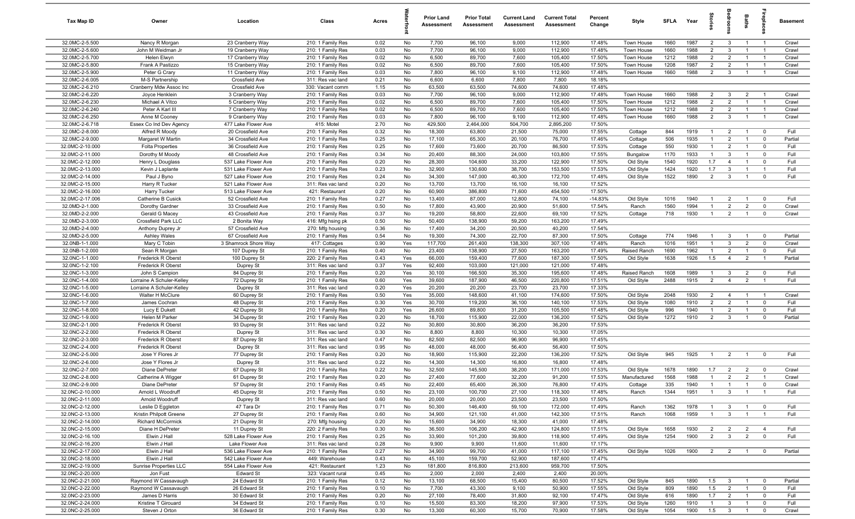| Tax Map ID                         | Owner                                       | Location                                 | Class                                  | Acres        |            | <b>Prior Land</b><br>Assessment | <b>Prior Total</b><br>Assessment | <b>Current Land</b><br>Assessment | <b>Current Total</b><br>Assessment | Percent<br>Change | Style        | <b>SFLA</b> | Year | Stories                          | room                             | Baths                            | repla                   | Basement |
|------------------------------------|---------------------------------------------|------------------------------------------|----------------------------------------|--------------|------------|---------------------------------|----------------------------------|-----------------------------------|------------------------------------|-------------------|--------------|-------------|------|----------------------------------|----------------------------------|----------------------------------|-------------------------|----------|
| 32.0MC-2-5.500                     | Nancy R Morgan                              | 23 Cranberry Way                         | 210: 1 Family Res                      | 0.02         | No         | 7,700                           | 96,100                           | 9,000                             | 112,900                            | 17.48%            | Town House   | 1660        | 1987 | $\overline{2}$                   | $\mathbf{3}$                     | $\overline{1}$                   | $\overline{1}$          | Crawl    |
| 32.0MC-2-5.600                     | John M Weidman Jr                           | 19 Cranberry Way                         | 210: 1 Family Res                      | 0.03         | No         | 7,700                           | 96,100                           | 9,000                             | 112,900                            | 17.48%            | Town House   | 1660        | 1988 | $\overline{2}$                   | $\mathbf{3}$                     | $\overline{1}$                   | $\overline{1}$          | Crawl    |
| 32.0MC-2-5.700                     | Helen Elwyn                                 | 17 Cranberry Way                         | 210: 1 Family Res                      | 0.02         | No         | 6,500                           | 89,700                           | 7,600                             | 105,400                            | 17.50%            | Town House   | 1212        | 1988 | $\overline{2}$                   | $\overline{2}$                   | $\mathbf{1}$                     | $\overline{1}$          | Crawl    |
| 32.0MC-2-5.800                     | Frank A Pastizzo                            | 15 Cranberry Way                         | 210: 1 Family Res                      | 0.02         | No         | 6,500                           | 89,700                           | 7,600                             | 105,400                            | 17.50%            | Town House   | 1208        | 1987 | $\overline{2}$                   | $\overline{2}$                   |                                  |                         | Crawl    |
| 32.0MC-2-5.900                     | Peter G Crary                               | 11 Cranberry Way                         | 210: 1 Family Res                      | 0.03         | No         | 7,800                           | 96,100                           | 9,100                             | 112,900                            | 17.48%            | Town House   | 1660        | 1988 | $\overline{2}$                   | $\mathbf{3}$                     | $\mathbf{1}$                     | $\overline{1}$          | Crawl    |
| 32.0MC-2-6.005                     | M-S Partnership                             | Crossfield Ave                           | 311: Res vac land                      | 0.21         | No         | 6,600                           | 6,600                            | 7,800                             | 7,800                              | 18.18%            |              |             |      |                                  |                                  |                                  |                         |          |
| 32.0MC-2-6.210                     | Cranberry Mdw Assoc Inc                     | Crossfield Ave                           | 330: Vacant comm                       | 1.15         | No         | 63,500                          | 63,500                           | 74,600                            | 74,600                             | 17.48%            |              |             |      |                                  |                                  |                                  |                         |          |
| 32.0MC-2-6.220                     | Joyce Henklein                              | 3 Cranberry Way                          | 210: 1 Family Res                      | 0.03         | No         | 7,700                           | 96,100                           | 9,000                             | 112,900                            | 17.48%            | Town House   | 1660        | 1988 | $\overline{2}$                   | $\mathbf{3}$                     | $\overline{2}$                   | $\overline{1}$          | Crawl    |
| 32.0MC-2-6.230                     | Michael A Vitco                             | 5 Cranberry Way                          | 210: 1 Family Res                      | 0.02         | No         | 6,500                           | 89,700                           | 7,600                             | 105,400                            | 17.50%            | Town House   | 1212        | 1988 | $\overline{2}$                   | $\overline{2}$                   | $\overline{1}$                   | $\overline{1}$          | Crawl    |
| 32.0MC-2-6.240                     | Peter A Karl III                            | 7 Cranberry Way                          | 210: 1 Family Res                      | 0.02         | No         | 6,500                           | 89,700                           | 7,600                             | 105,400                            | 17.50%            | Town House   | 1212        | 1988 | $\overline{2}$                   | $\overline{2}$                   | $\overline{1}$                   | $\overline{1}$          | Crawl    |
| 32.0MC-2-6.250                     | Anne M Cooney                               | 9 Cranberry Way                          | 210: 1 Family Res                      | 0.03         | No         | 7,800                           | 96,100                           | 9,100                             | 112,900                            | 17.48%            | Town House   | 1660        | 1988 | $\overline{2}$                   | $\mathbf{3}$                     | $\overline{1}$                   | $\overline{1}$          | Crawl    |
| 32.0MC-2-6.718<br>32.0MC-2-8.000   | Essex Co Ind Dev Agency<br>Alfred R Moody   | 477 Lake Flower Ave<br>20 Crossfield Ave | 415: Motel<br>210: 1 Family Res        | 2.70<br>0.32 | No<br>No   | 429,500<br>18,300               | 2,464,000<br>63,800              | 504,700<br>21,500                 | 2,895,200<br>75,000                | 17.50%<br>17.55%  | Cottage      | 844         | 1919 | $\overline{1}$                   | $\overline{2}$                   | $\overline{1}$                   | $\mathbf{0}$            | Full     |
| 32.0MC-2-9.000                     | Margaret W Martin                           | 34 Crossfield Ave                        | 210: 1 Family Res                      | 0.25         | No         | 17,100                          | 65,300                           | 20,100                            | 76,700                             | 17.46%            | Cottage      | 506         | 1935 | $\mathbf{1}$                     | $\overline{2}$                   | $\overline{1}$                   | $\mathbf 0$             | Partial  |
| 32.0MC-2-10.000                    | <b>Folta Properties</b>                     | 36 Crossfield Ave                        | 210: 1 Family Res                      | 0.25         | No         | 17,600                          | 73,600                           | 20,700                            | 86,500                             | 17.53%            | Cottage      | 550         | 1930 | $\overline{1}$                   | $\overline{2}$                   | $\overline{1}$                   | $^{\circ}$              | Full     |
| 32.0MC-2-11.000                    | Dorothy M Moody                             | 48 Crossfield Ave                        | 210: 1 Family Res                      | 0.34         | No         | 20,400                          | 88,300                           | 24,000                            | 103,800                            | 17.55%            | Bungalow     | 1170        | 1933 | $\overline{1}$                   | $\mathbf{3}$                     | $\mathbf{1}$                     | $\mathbf{0}$            | Full     |
| 32.0MC-2-12.000                    | Henry L Douglass                            | 537 Lake Flower Ave                      | 210: 1 Family Res                      | 0.20         | No         | 28,300                          | 104,600                          | 33,200                            | 122,900                            | 17.50%            | Old Style    | 1540        | 1920 | 1.7                              | $\overline{4}$                   |                                  | $\Omega$                | Full     |
| 32.0MC-2-13.000                    | Kevin J Laplante                            | 531 Lake Flower Ave                      | 210: 1 Family Res                      | 0.23         | No         | 32,900                          | 130,600                          | 38,700                            | 153,500                            | 17.53%            | Old Style    | 1424        | 1920 | 1.7                              | $\mathbf{3}$                     |                                  |                         | Full     |
| 32.0MC-2-14.000                    | Paul J Byno                                 | 527 Lake Flower Ave                      | 210: 1 Family Res                      | 0.24         | No         | 34,300                          | 147,000                          | 40,300                            | 172,700                            | 17.48%            | Old Style    | 1522        | 1890 | 2                                | $\mathbf{3}$                     |                                  | $\Omega$                | Full     |
| 32.0MC-2-15.000                    | Harry R Tucker                              | 521 Lake Flower Ave                      | 311: Res vac land                      | 0.20         | No         | 13,700                          | 13,700                           | 16,100                            | 16,100                             | 17.52%            |              |             |      |                                  |                                  |                                  |                         |          |
| 32.0MC-2-16.000                    | Harry Tucker                                | 513 Lake Flower Ave                      | 421: Restaurant                        | 0.20         | No         | 60,900                          | 386,800                          | 71,600                            | 454,500                            | 17.50%            |              |             |      |                                  |                                  |                                  |                         |          |
| 32.0MC-2-17.006                    | Catherine B Cusick                          | 52 Crossfield Ave                        | 210: 1 Family Res                      | 0.27         | No         | 13,400                          | 87,000                           | 12,800                            | 74,100                             | $-14.83%$         | Old Style    | 1016        | 1940 | $\overline{1}$                   | $\overline{2}$                   | $\overline{1}$                   | $^{\circ}$              | Full     |
| 32.0MD-2-1.000                     | Dorothy Gardner                             | 33 Crossfield Ave                        | 210: 1 Family Res                      | 0.50         | No         | 17,800                          | 43,900                           | 20,900                            | 51,600                             | 17.54%            | Ranch        | 1560        | 1994 | $\overline{1}$                   | $\overline{2}$                   | $\overline{2}$                   | $\mathbf{0}$            | Crawl    |
| 32.0MD-2-2.000                     | Gerald G Macey                              | 43 Crossfield Ave                        | 210: 1 Family Res                      | 0.37         | No         | 19,200                          | 58,800                           | 22,600                            | 69,100                             | 17.52%            | Cottage      | 718         | 1930 | $\overline{1}$                   | $\overline{2}$                   | $\overline{1}$                   | $^{\circ}$              | Crawl    |
| 32.0MD-2-3.000                     | Crossfield Park LLC                         | 2 Bonita Way                             | 416: Mfg hsing pk                      | 0.50         | No         | 50,400                          | 138,900                          | 59,200                            | 163,200                            | 17.49%            |              |             |      |                                  |                                  |                                  |                         |          |
| 32.0MD-2-4.000                     | Anthony Duprey Jr                           | 57 Crossfield Ave                        | 270: Mfg housing                       | 0.36         | No         | 17,400                          | 34,200                           | 20,500                            | 40,200                             | 17.54%            |              |             |      |                                  |                                  |                                  |                         |          |
| 32.0MD-2-5.000                     | Ashley Wales                                | 67 Crossfield Ave                        | 210: 1 Family Res                      | 0.54         | No         | 19,300                          | 74,300                           | 22,700                            | 87,300                             | 17.50%            | Cottage      | 774         | 1946 | $\overline{1}$                   | $\mathbf{3}$                     | $\overline{1}$                   | $\mathbf 0$             | Partial  |
| 32.0NB-1-1.000                     | Mary C Tobin                                | 3 Shamrock Shore Way                     | 417: Cottages                          | 0.90         | Yes        | 117,700                         | 261,400                          | 138,300                           | 307,100                            | 17.48%            | Ranch        | 1016        | 1951 | $\overline{1}$                   | $\mathbf{3}$                     | $\overline{2}$                   | $^{\circ}$              | Crawl    |
| 32.0NB-1-2.000                     | Sean R Morgan                               | 107 Duprey St                            | 210: 1 Family Res                      | 0.40         | No         | 23,400                          | 138,900                          | 27,500                            | 163,200                            | 17.49%            | Raised Ranch | 1690        | 1962 | $\mathbf{1}$                     | $\overline{2}$                   | $\overline{1}$                   | $^{\circ}$              | Full     |
| 32.0NC-1-1.000                     | Frederick R Oberst                          | 100 Duprey St                            | 220: 2 Family Res                      | 0.43         | Yes        | 66,000                          | 159,400                          | 77,600                            | 187,300                            | 17.50%            | Old Style    | 1638        | 1926 | 1.5                              | $\overline{4}$                   | $\overline{2}$                   |                         | Partial  |
| 32.0NC-1-2.100<br>32.0NC-1-3.000   | <b>Frederick R Oberst</b>                   | Duprey St<br>84 Duprey St                | 311: Res vac land                      | 0.37<br>0.20 | Yes<br>Yes | 92,400<br>30,100                | 103,000<br>166,500               | 121,000<br>35,300                 | 121,000<br>195,600                 | 17.48%<br>17.48%  | Raised Ranch | 1608        | 1989 | $\mathbf{1}$                     | $\mathbf{3}$                     | $\overline{2}$                   | $\overline{\mathbf{0}}$ | Full     |
| 32.0NC-1-4.000                     | John S Campion<br>Lorraine A Schuler-Kelley | 72 Duprey St                             | 210: 1 Family Res<br>210: 1 Family Res | 0.60         | Yes        | 39,600                          | 187,900                          | 46,500                            | 220,800                            | 17.51%            | Old Style    | 2488        | 1915 | 2                                | $\overline{4}$                   | $\overline{2}$                   | $\overline{1}$          | Full     |
| 32.0NC-1-5.000                     | Lorraine A Schuler-Kelley                   | Duprey St                                | 311: Res vac land                      | 0.20         | Yes        | 20,200                          | 20,200                           | 23,700                            | 23,700                             | 17.33%            |              |             |      |                                  |                                  |                                  |                         |          |
| 32.0NC-1-6.000                     | Walter H McClure                            | 60 Duprey St                             | 210: 1 Family Res                      | 0.50         | Yes        | 35,000                          | 148,600                          | 41,100                            | 174,600                            | 17.50%            | Old Style    | 2048        | 1930 | $\overline{2}$                   | $\overline{4}$                   | $\overline{1}$                   | $\overline{1}$          | Crawl    |
| 32.0NC-1-7.000                     | James Cochran                               | 48 Duprey St                             | 210: 1 Family Res                      | 0.30         | Yes        | 30,700                          | 119,200                          | 36,100                            | 140,100                            | 17.53%            | Old Style    | 1080        | 1910 | $\overline{2}$                   | $\overline{2}$                   | $\overline{1}$                   | $^{\circ}$              | Full     |
| 32.0NC-1-8.000                     | Lucy E Dukett                               | 42 Duprey St                             | 210: 1 Family Res                      | 0.20         | Yes        | 26,600                          | 89,800                           | 31,200                            | 105,500                            | 17.48%            | Old Style    | 996         | 1940 | $\overline{1}$                   | $\overline{2}$                   | $\overline{1}$                   | $^{\circ}$              | Full     |
| 32.0NC-1-9.000                     | Helen M Parker                              | 34 Duprey St                             | 210: 1 Family Res                      | 0.20         | No         | 18,700                          | 115,900                          | 22,000                            | 136,200                            | 17.52%            | Old Style    | 1272        | 1910 | $\overline{2}$                   | $\mathbf{3}$                     | $\overline{1}$                   | $\Omega$                | Partial  |
| 32.0NC-2-1.000                     | Frederick R Oberst                          | 93 Duprey St                             | 311: Res vac land                      | 0.22         | No         | 30,800                          | 30,800                           | 36,200                            | 36,200                             | 17.53%            |              |             |      |                                  |                                  |                                  |                         |          |
| 32.0NC-2-2.000                     | Frederick R Oberst                          | Duprey St                                | 311: Res vac land                      | 0.30         | No         | 8,800                           | 8,800                            | 10,300                            | 10,300                             | 17.05%            |              |             |      |                                  |                                  |                                  |                         |          |
| 32.0NC-2-3.000                     | <b>Frederick R Oberst</b>                   | 87 Duprey St                             | 311: Res vac land                      | 0.47         | No         | 82,500                          | 82,500                           | 96,900                            | 96,900                             | 17.45%            |              |             |      |                                  |                                  |                                  |                         |          |
| 32.0NC-2-4.000                     | <b>Frederick R Oberst</b>                   | Duprey St                                | 311: Res vac land                      | 0.95         | No         | 48,000                          | 48,000                           | 56,400                            | 56,400                             | 17.50%            |              |             |      |                                  |                                  |                                  |                         |          |
| 32.0NC-2-5.000                     | Jose Y Flores Jr                            | 77 Duprey St                             | 210: 1 Family Res                      | 0.20         | No         | 18,900                          | 115,900                          | 22,200                            | 136,200                            | 17.52%            | Old Style    | 945         | 1925 | $\overline{1}$                   | $\overline{2}$                   | $\overline{1}$                   | $^{\circ}$              | Full     |
| 32.0NC-2-6.000                     | Jose Y Flores Jr                            | Duprey St                                | 311: Res vac land                      | 0.22         | No         | 14,300                          | 14,300                           | 16,800                            | 16,800                             | 17.48%            |              |             |      |                                  |                                  |                                  |                         |          |
| 32.0NC-2-7.000                     | Diane DePreter                              | 67 Duprey St                             | 210: 1 Family Res                      | 0.22         | No         | 32,500                          | 145,500                          | 38,200                            | 171,000                            | 17.53%            | Old Style    | 1678        | 1890 | 1.7                              | $\overline{2}$                   | $\overline{2}$                   | $^{\circ}$              | Crawl    |
| 32.0NC-2-8.000                     | Catherine A Wigger                          | 61 Duprey St                             | 210: 1 Family Res                      | 0.20         | No         | 27,400                          | 77,600                           | 32,200                            | 91,200                             | 17.53%            | Manufactured | 1568        | 1988 | $\overline{1}$<br>$\overline{1}$ | $\overline{2}$<br>$\overline{1}$ | $\overline{2}$<br>$\overline{1}$ | $\overline{1}$          | Crawl    |
| 32.0NC-2-9.000                     | Diane DePreter                              | 57 Duprey St                             | 210: 1 Family Res                      | 0.45         | No         | 22,400                          | 65,400                           | 26,300                            | 76,800                             | 17.43%            | Cottage      | 335         | 1940 |                                  |                                  |                                  |                         | Crawl    |
| 32.0NC-2-10.000<br>32.0NC-2-11.000 | Arnold L Woodruff<br>Arnold Woodruff        | 45 Duprey St<br>Duprey St                | 210: 1 Family Res<br>311: Res vac land | 0.50<br>0.60 | No<br>No   | 23,100<br>20,000                | 100,700<br>20,000                | 27,100<br>23,500                  | 118,300<br>23,500                  | 17.48%<br>17.50%  | Ranch        | 1344        | 1951 | $\overline{1}$                   | $\mathbf{3}$                     | $\overline{1}$                   | $\overline{1}$          | Full     |
| 32.0NC-2-12.000                    | Leslie D Eggleton                           | 47 Tara Dr                               | 210: 1 Family Res                      | 0.71         | No         | 50,300                          | 146,400                          | 59,100                            | 172,000                            | 17.49%            | Ranch        | 1362        | 1978 | $\overline{1}$                   | $\mathbf{3}$                     | $\mathbf{1}$                     | $\mathbf 0$             | Full     |
| 32.0NC-2-13.000                    | Kristin Philpott Greene                     | 27 Duprey St                             | 210: 1 Family Res                      | 0.60         | No         | 34,900                          | 121,100                          | 41,000                            | 142,300                            | 17.51%            | Ranch        | 1068        | 1959 | $\overline{1}$                   | $\mathbf{3}$                     | $\overline{1}$                   | $\overline{1}$          | Full     |
| 32.0NC-2-14.000                    | <b>Richard McCormick</b>                    | 21 Duprey St                             | 270: Mfg housing                       | 0.20         | No         | 15,600                          | 34,900                           | 18,300                            | 41,000                             | 17.48%            |              |             |      |                                  |                                  |                                  |                         |          |
| 32.0NC-2-15.000                    | Diane H DePreter                            | 11 Duprey St                             | 220: 2 Family Res                      | 0.30         | No         | 36,500                          | 106,200                          | 42,900                            | 124,800                            | 17.51%            | Old Style    | 1658        | 1930 | $\overline{2}$                   | $\overline{2}$                   | $\overline{2}$                   | $\overline{4}$          | Full     |
| 32.0NC-2-16.100                    | Elwin J Hall                                | 528 Lake Flower Ave                      | 210: 1 Family Res                      | 0.25         | No         | 33,900                          | 101,200                          | 39,800                            | 118,900                            | 17.49%            | Old Style    | 1254        | 1900 | $\overline{2}$                   | $\mathbf{3}$                     | $\overline{2}$                   | $\mathbf 0$             | Full     |
| 32.0NC-2-16.200                    | Elwin J Hall                                | Lake Flower Ave                          | 311: Res vac land                      | 0.28         | No         | 9,900                           | 9,900                            | 11,600                            | 11,600                             | 17.17%            |              |             |      |                                  |                                  |                                  |                         |          |
| 32.0NC-2-17.000                    | Elwin J Hall                                | 536 Lake Flower Ave                      | 210: 1 Family Res                      | 0.27         | No         | 34,900                          | 99,700                           | 41,000                            | 117,100                            | 17.45%            | Old Style    | 1026        | 1900 | $\overline{2}$                   | $\overline{2}$                   | $\mathbf{1}$                     | $\overline{\mathbf{0}}$ | Partial  |
| 32.0NC-2-18.000                    | Elwin J Hall                                | 542 Lake Flower Ave                      | 449: Warehouse                         | 0.43         | No         | 45,100                          | 159,700                          | 52,900                            | 187,600                            | 17.47%            |              |             |      |                                  |                                  |                                  |                         |          |
| 32.0NC-2-19.000                    | Sunrise Properties LLC                      | 554 Lake Flower Ave                      | 421: Restaurant                        | 1.23         | No         | 181,800                         | 816,800                          | 213,600                           | 959,700                            | 17.50%            |              |             |      |                                  |                                  |                                  |                         |          |
| 32.0NC-2-20.000                    | Jon Fust                                    | <b>Edward St</b>                         | 323: Vacant rural                      | 0.45         | No         | 2,000                           | 2,000                            | 2,400                             | 2,400                              | 20.00%            |              |             |      |                                  |                                  |                                  |                         |          |
| 32.0NC-2-21.000                    | Raymond W Cassavaugh                        | 24 Edward St                             | 210: 1 Family Res                      | 0.12         | No         | 13,100                          | 68,500                           | 15,400                            | 80,500                             | 17.52%            | Old Style    | 845         | 1890 | 1.5                              | $\mathbf{3}$                     | $\overline{1}$                   | $\overline{\mathbf{0}}$ | Partial  |
| 32.0NC-2-22.000                    | Raymond W Cassavaugh                        | 26 Edward St                             | 210: 1 Family Res                      | 0.10         | No         | 7,700                           | 43,300                           | 9,100                             | 50,900                             | 17.55%            | Old Style    | 809         | 1890 | 1.5                              | $\overline{2}$                   | $\overline{1}$                   | $\mathbf 0$             | Full     |
| 32.0NC-2-23.000                    | James D Harris                              | 30 Edward St                             | 210: 1 Family Res                      | 0.20         | No         | 27,100                          | 78,400                           | 31,800                            | 92,100                             | 17.47%            | Old Style    | 616         | 1890 | 1.7                              | $\overline{2}$                   | $\overline{1}$                   | $\overline{\mathbf{0}}$ | Full     |
| 32.0NC-2-24.000                    | Kristine T Girouard                         | 34 Edward St                             | 210: 1 Family Res                      | 0.10         | No         | 15,500                          | 83,300                           | 18,200                            | 97,900                             | 17.53%            | Old Style    | 1260        | 1910 | $\overline{1}$                   | $\mathbf{3}$                     | $\mathbf{1}$                     | $\mathbf 0$             | Full     |
| 32.0NC-2-25.000                    | Steven J Orton                              | 36 Edward St                             | 210: 1 Family Res                      | 0.30         | No         | 13,300                          | 60,300                           | 15,700                            | 70,900                             | 17.58%            | Old Style    | 1054        | 1900 | 1.5                              | $\overline{\mathbf{3}}$          | $\overline{1}$                   | $\overline{0}$          | Crawl    |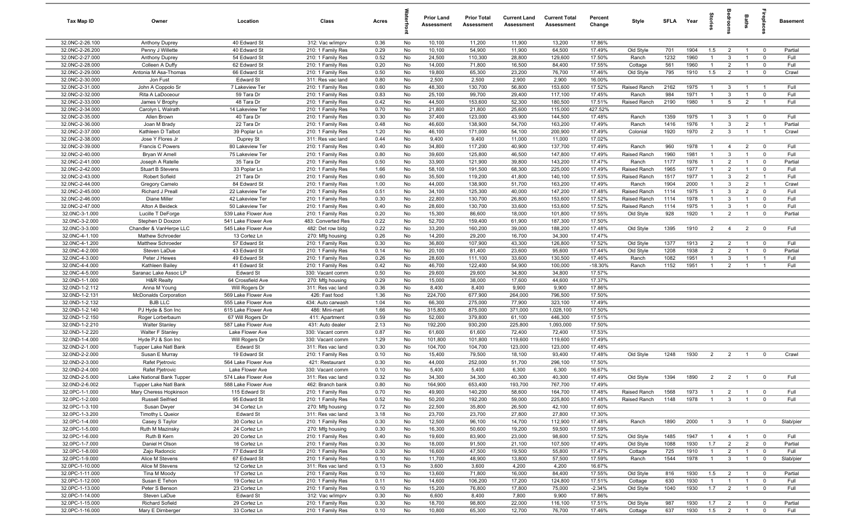| <b>Tax Map ID</b>                  | Owner                                             | Location                              | Class                                  | Acres        |          | <b>Prior Land</b><br>Assessment | <b>Prior Total</b><br>Assessment | <b>Current Land</b><br>Assessment | <b>Current Total</b><br>Assessment | Percent<br>Change | Style                 | <b>SFLA</b>  | Year         | tories                         | noom                                      | Baths                            | repla                        | Basement      |
|------------------------------------|---------------------------------------------------|---------------------------------------|----------------------------------------|--------------|----------|---------------------------------|----------------------------------|-----------------------------------|------------------------------------|-------------------|-----------------------|--------------|--------------|--------------------------------|-------------------------------------------|----------------------------------|------------------------------|---------------|
| 32.0NC-2-26.100                    | <b>Anthony Duprey</b>                             | 40 Edward St                          | 312: Vac w/imprv                       | 0.36         | No       | 10,100                          | 11,200                           | 11,900                            | 13,200                             | 17.86%            |                       |              |              |                                |                                           |                                  |                              |               |
| 32.0NC-2-26.200                    | Penny J Willette                                  | 40 Edward St                          | 210: 1 Family Res                      | 0.29         | No       | 10,100                          | 54,900                           | 11,900                            | 64,500                             | 17.49%            | Old Style             | 701          | 1904         | 1.5                            | $\overline{2}$                            | $\overline{1}$                   | $\mathbf{0}$                 | Partial       |
| 32.0NC-2-27.000                    | Anthony Duprey                                    | 54 Edward St                          | 210: 1 Family Res                      | 0.52         | No       | 24,500                          | 110,300                          | 28,800                            | 129,600                            | 17.50%            | Ranch                 | 1232         | 1960         |                                | 3                                         |                                  | $^{\circ}$                   | Full          |
| 32.0NC-2-28.000                    | Colleen A Duffy<br>Antonia M Asa-Thomas           | 62 Edward St<br>66 Edward St          | 210: 1 Family Res<br>210: 1 Family Res | 0.20         | No       | 14,000<br>19,800                | 71,800                           | 16,500                            | 84,400                             | 17.55%            | Cottage               | 561          | 1960         | $\overline{1}$                 | $\overline{2}$                            | $\overline{1}$                   | $^{\circ}$<br>$^{\circ}$     | Full<br>Crawl |
| 32.0NC-2-29.000<br>32.0NC-2-30.000 | Jon Fust                                          | <b>Edward St</b>                      | 311: Res vac land                      | 0.50<br>0.80 | No<br>No | 2,500                           | 65,300<br>2,500                  | 23,200<br>2,900                   | 76,700<br>2,900                    | 17.46%<br>16.00%  | Old Style             | 795          | 1910         | 1.5                            | $\overline{2}$                            |                                  |                              |               |
| 32.0NC-2-31.000                    | John A Coppolo Sr                                 | 7 Lakeview Ter                        | 210: 1 Family Res                      | 0.60         | No       | 48,300                          | 130,700                          | 56,800                            | 153,600                            | 17.52%            | Raised Ranch          | 2162         | 1975         | $\overline{1}$                 | $\mathbf{3}$                              | $\overline{1}$                   | - 1                          | Full          |
| 32.0NC-2-32.000                    | Rita A LaDoceour                                  | 59 Tara Dr                            | 210: 1 Family Res                      | 0.83         | No       | 25,100                          | 99,700                           | 29,400                            | 117,100                            | 17.45%            | Ranch                 | 984          | 1971         | $\overline{1}$                 | $\mathbf{3}$                              | $\overline{1}$                   | $\mathbf 0$                  | Full          |
| 32.0NC-2-33.000                    | James V Brophy                                    | 48 Tara Dr                            | 210: 1 Family Res                      | 0.42         | No       | 44,500                          | 153,600                          | 52,300                            | 180,500                            | 17.51%            | Raised Ranch          | 2190         | 1980         | $\overline{1}$                 | $5\overline{)}$                           | $\overline{2}$                   | $\overline{1}$               | Full          |
| 32.0NC-2-34.000                    | Carolyn L Walrath                                 | 14 Lakeview Ter                       | 210: 1 Family Res                      | 0.70         | No       | 21,800                          | 21,800                           | 25,600                            | 115,000                            | 427.52%           |                       |              |              |                                |                                           |                                  |                              |               |
| 32.0NC-2-35.000                    | Allen Brown                                       | 40 Tara Dr                            | 210: 1 Family Res                      | 0.30         | No       | 37,400                          | 123,000                          | 43,900                            | 144,500                            | 17.48%            | Ranch                 | 1359         | 1975         | $\overline{1}$                 | $\mathbf{3}$                              | $\mathbf{1}$                     | $\overline{0}$               | Full          |
| 32.0NC-2-36.000                    | Joan M Brady                                      | 22 Tara Dr                            | 210: 1 Family Res                      | 0.48         | No       | 46,600                          | 138,900                          | 54,700                            | 163,200                            | 17.49%            | Ranch                 | 1416         | 1976         | $\overline{1}$                 | $\mathbf{3}$                              | $\overline{2}$                   | $\overline{1}$               | Partial       |
| 32.0NC-2-37.000                    | Kathleen D Talbot                                 | 39 Poplar Ln                          | 210: 1 Family Res                      | 1.20         | No       | 46,100                          | 171,000                          | 54,100                            | 200,900                            | 17.49%            | Colonial              | 1920         | 1970         | 2                              | $\mathbf{3}$                              | $\overline{1}$                   | $\overline{1}$               | Crawl         |
| 32.0NC-2-38.000                    | Jose Y Flores Jr                                  | Duprey St                             | 311: Res vac land                      | 0.44         | No       | 9,400                           | 9,400                            | 11,000                            | 11,000                             | 17.02%            |                       |              |              |                                |                                           |                                  |                              |               |
| 32.0NC-2-39.000                    | Francis C Powers                                  | 80 Lakeview Ter                       | 210: 1 Family Res                      | 0.40         | No       | 34,800                          | 117,200                          | 40,900                            | 137,700                            | 17.49%            | Ranch                 | 960          | 1978         | $\overline{1}$                 | $\overline{4}$                            | $\overline{2}$                   | $^{\circ}$                   | Full          |
| 32.0NC-2-40.000                    | Bryan W Amell                                     | 75 Lakeview Ter                       | 210: 1 Family Res                      | 0.80         | No       | 39,600                          | 125,800                          | 46,500                            | 147,800                            | 17.49%            | Raised Ranch          | 1960         | 1981         | $\mathbf{1}$                   | $\mathbf{3}$                              | $\mathbf{1}$                     | $\mathbf{0}$                 | Full          |
| 32.0NC-2-41.000                    | Joseph A Ratelle                                  | 35 Tara Dr                            | 210: 1 Family Res                      | 0.50         | No       | 33,900                          | 121,900                          | 39,800                            | 143,200                            | 17.47%            | Ranch                 | 1177         | 1976         | $\mathbf{1}$                   | $\overline{2}$                            |                                  | $^{\circ}$                   | Partial       |
| 32.0NC-2-42.000<br>32.0NC-2-43.000 | <b>Stuart B Stevens</b><br>Robert Sofield         | 33 Poplar Ln<br>21 Tara Dr            | 210: 1 Family Res                      | 1.66         | No<br>No | 58,100<br>35,500                | 191,500<br>119,200               | 68,300<br>41,800                  | 225,000<br>140,100                 | 17.49%<br>17.53%  | Raised Ranch          | 1965<br>1517 | 1977<br>1977 | $\mathbf{1}$<br>$\overline{1}$ | $\overline{2}$<br>$\mathbf{3}$            | $\overline{1}$<br>$\overline{2}$ | $^{\circ}$<br>$\overline{1}$ | Full<br>Full  |
| 32.0NC-2-44.000                    | Gregory Camelo                                    | 84 Edward St                          | 210: 1 Family Res<br>210: 1 Family Res | 0.60<br>1.00 | No       | 44,000                          | 138,900                          | 51,700                            | 163,200                            | 17.49%            | Raised Ranch<br>Ranch | 1904         | 2000         | $\overline{1}$                 | $\mathbf{3}$                              | $\overline{2}$                   | $\overline{1}$               | Crawl         |
| 32.0NC-2-45.000                    | Richard J Preal                                   | 22 Lakeview Ter                       | 210: 1 Family Res                      | 0.51         | No       | 34,100                          | 125,300                          | 40,000                            | 147,200                            | 17.48%            | Raised Ranch          | 1114         | 1975         | $\overline{1}$                 | $\mathbf{3}$                              | $\overline{2}$                   | $\mathbf 0$                  | Full          |
| 32.0NC-2-46.000                    | Diane Miller                                      | 42 Lakeview Ter                       | 210: 1 Family Res                      | 0.30         | No       | 22,800                          | 130,700                          | 26,800                            | 153,600                            | 17.52%            | Raised Ranch          | 1114         | 1978         | $\overline{1}$                 | $\mathbf{3}$                              | $\overline{1}$                   | $\mathbf 0$                  | Full          |
| 32.0NC-2-47.000                    | Alton A Beideck                                   | 50 Lakeview Ter                       | 210: 1 Family Res                      | 0.40         | No       | 28,600                          | 130,700                          | 33,600                            | 153,600                            | 17.52%            | Raised Ranch          | 1114         | 1975         | $\overline{1}$                 | $\mathbf{3}$                              | $\overline{1}$                   | $\mathbf{0}$                 | Full          |
| 32.0NC-3-1.000                     | Lucille T DeForge                                 | 539 Lake Flower Ave                   | 210: 1 Family Res                      | 0.20         | No       | 15,300                          | 86,600                           | 18,000                            | 101,800                            | 17.55%            | Old Style             | 928          | 1920         | $\overline{1}$                 | $\overline{2}$                            | $\overline{1}$                   | $\overline{0}$               | Partial       |
| 32.0NC-3-2.000                     | Stephen D Doxzon                                  | 541 Lake Flower Ave                   | 483: Converted Res                     | 0.22         | No       | 52,700                          | 159,400                          | 61,900                            | 187,300                            | 17.50%            |                       |              |              |                                |                                           |                                  |                              |               |
| 32.0NC-3-3.000                     | Chandler & VanHerpe LLC                           | 545 Lake Flower Ave                   | 482: Det row bldg                      | 0.22         | No       | 33,200                          | 160,200                          | 39,000                            | 188,200                            | 17.48%            | Old Style             | 1395         | 1910         | 2                              | $\overline{4}$                            | $\overline{2}$                   | $\mathbf{0}$                 | Full          |
| 32.0NC-4-1.100                     | Mathew Schroeder                                  | 13 Cortez Ln                          | 270: Mfg housing                       | 0.26         | No       | 14,200                          | 29,200                           | 16,700                            | 34,300                             | 17.47%            |                       |              |              |                                |                                           |                                  |                              |               |
| 32.0NC-4-1.200                     | Matthew Schroeder                                 | 57 Edward St                          | 210: 1 Family Res                      | 0.30         | No       | 36,800                          | 107,900                          | 43,300                            | 126,800                            | 17.52%            | Old Style             | 1377         | 1913         | $\overline{2}$                 | $\overline{2}$                            | $\mathbf{1}$                     | $^{\circ}$                   | Full          |
| 32.0NC-4-2.000                     | Steven LaDue                                      | 43 Edward St                          | 210: 1 Family Res                      | 0.14         | No       | 20,100                          | 81,400                           | 23,600                            | 95,600                             | 17.44%            | Old Style             | 1208         | 1938         | $2^{\circ}$                    | $\overline{2}$                            |                                  | $^{\circ}$                   | Partial       |
| 32.0NC-4-3.000                     | Peter J Hewes                                     | 49 Edward St                          | 210: 1 Family Res                      | 0.26         | No       | 28,600                          | 111,100                          | 33,600                            | 130,500                            | 17.46%            | Ranch                 | 1082         | 1951         | $\mathbf{1}$                   | $\mathbf{3}$                              |                                  |                              | Full          |
| 32.0NC-4-4.000                     | Kathleen Bailey                                   | 41 Edward St                          | 210: 1 Family Res                      | 0.42         | No       | 46,700                          | 122,400                          | 54,900                            | 100,000                            | $-18.30%$         | Ranch                 | 1152         | 1951         | $\overline{1}$                 | $\overline{2}$                            | $\overline{1}$                   |                              | Full          |
| 32.0NC-4-5.000<br>32.0ND-1-1.000   | Saranac Lake Assoc LP<br><b>H&amp;R Realty</b>    | <b>Edward St</b><br>64 Crossfield Ave | 330: Vacant comm<br>270: Mfg housing   | 0.50<br>0.29 | No<br>No | 29,600<br>15,000                | 29,600<br>38,000                 | 34,800<br>17,600                  | 34,800<br>44,600                   | 17.57%<br>17.37%  |                       |              |              |                                |                                           |                                  |                              |               |
| 32.0ND-1-2.112                     | Anna M Young                                      | Will Rogers Dr                        | 311: Res vac land                      | 0.36         | No       | 8,400                           | 8,400                            | 9,900                             | 9,900                              | 17.86%            |                       |              |              |                                |                                           |                                  |                              |               |
| 32.0ND-1-2.131                     | <b>McDonalds Corporation</b>                      | 569 Lake Flower Ave                   | 426: Fast food                         | 1.36         | No       | 224,700                         | 677,900                          | 264,000                           | 796,500                            | 17.50%            |                       |              |              |                                |                                           |                                  |                              |               |
| 32.0ND-1-2.132                     | <b>BJB LLC</b>                                    | 555 Lake Flower Ave                   | 434: Auto carwash                      | 1.04         | No       | 66,300                          | 275,000                          | 77,900                            | 323,100                            | 17.49%            |                       |              |              |                                |                                           |                                  |                              |               |
| 32.0ND-1-2.140                     | PJ Hyde & Son Inc                                 | 615 Lake Flower Ave                   | 486: Mini-mart                         | 1.66         | No       | 315,800                         | 875,000                          | 371,000                           | 1,028,100                          | 17.50%            |                       |              |              |                                |                                           |                                  |                              |               |
| 32.0ND-1-2.150                     | Roger Lorberbaum                                  | 67 Will Rogers Dr                     | 411: Apartment                         | 0.59         | No       | 52,000                          | 379,800                          | 61,100                            | 446,300                            | 17.51%            |                       |              |              |                                |                                           |                                  |                              |               |
| 32.0ND-1-2.210                     | <b>Walter Stanley</b>                             | 587 Lake Flower Ave                   | 431: Auto dealer                       | 2.13         | No       | 192,200                         | 930,200                          | 225,800                           | 1,093,000                          | 17.50%            |                       |              |              |                                |                                           |                                  |                              |               |
| 32.0ND-1-2.220                     | Walter F Stanley                                  | Lake Flower Ave                       | 330: Vacant comm                       | 0.87         | No       | 61,600                          | 61,600                           | 72,400                            | 72,400                             | 17.53%            |                       |              |              |                                |                                           |                                  |                              |               |
| 32.0ND-1-4.000                     | Hyde PJ & Son Inc                                 | Will Rogers Dr                        | 330: Vacant comm                       | 1.29         | No       | 101,800                         | 101,800                          | 119,600                           | 119,600                            | 17.49%            |                       |              |              |                                |                                           |                                  |                              |               |
| 32.0ND-2-1.000                     | Tupper Lake Natl Bank                             | <b>Edward St</b>                      | 311: Res vac land                      | 0.30         | No       | 104,700                         | 104,700                          | 123,000                           | 123,000                            | 17.48%            |                       |              |              |                                |                                           |                                  |                              |               |
| 32.0ND-2-2.000                     | Susan E Murray                                    | 19 Edward St                          | 210: 1 Family Res                      | 0.10         | No       | 15,400                          | 79,500                           | 18,100                            | 93,400                             | 17.48%            | Old Style             | 1248         | 1930         | $\overline{2}$                 | $\overline{2}$                            | $\overline{1}$                   | $^{\circ}$                   | Crawl         |
| 32.0ND-2-3.000                     | Rafet Pjetrovic                                   | 564 Lake Flower Ave                   | 421: Restaurant                        | 0.30         | No       | 44,000                          | 252,000                          | 51,700                            | 296,100                            | 17.50%            |                       |              |              |                                |                                           |                                  |                              |               |
| 32.0ND-2-4.000                     | Rafet Pietrovic                                   | Lake Flower Ave                       | 330: Vacant comm                       | 0.10         | No       | 5,400                           | 5,400                            | 6,300                             | 6,300                              | 16.67%            |                       |              |              |                                |                                           |                                  |                              |               |
| 32.0ND-2-5.000                     | Lake National Bank Tupper                         | 574 Lake Flower Ave                   | 311: Res vac land                      | 0.32         | No       | 34,300                          | 34,300                           | 40,300                            | 40,300                             | 17.49%            | Old Style             | 1394         | 1890         | $\overline{2}$                 | $\overline{2}$                            | $\overline{1}$                   | $^{\circ}$                   | Full          |
| 32.0ND-2-6.002<br>32.0PC-1-1.000   | Tupper Lake Natl Bank                             | 588 Lake Flower Ave<br>115 Edward St  | 462: Branch bank<br>210: 1 Family Res  | 0.80<br>0.70 | No<br>No | 164,900<br>49,900               | 653,400<br>140,200               | 193,700<br>58,600                 | 767,700<br>164,700                 | 17.49%<br>17.48%  | Raised Ranch          | 1568         | 1973         | $\overline{1}$                 | $\overline{2}$                            | $\overline{1}$                   | $\overline{0}$               | Full          |
| 32.0PC-1-2.000                     | Mary Cheress Hopkinson<br><b>Russell Seifried</b> | 95 Edward St                          | 210: 1 Family Res                      | 0.52         | No       | 50,200                          | 192,200                          | 59,000                            | 225,800                            | 17.48%            | Raised Ranch          | 1148         | 1978         | $\overline{1}$                 | $\mathbf{3}$                              | $\overline{1}$                   | $\mathbf{0}$                 | Full          |
| 32.0PC-1-3.100                     | Susan Dwyer                                       | 34 Cortez Ln                          | 270: Mfg housing                       | 0.72         | No       | 22,500                          | 35,800                           | 26,500                            | 42,100                             | 17.60%            |                       |              |              |                                |                                           |                                  |                              |               |
| 32.0PC-1-3.200                     | Timothy L Queior                                  | <b>Edward St</b>                      | 311: Res vac land                      | 3.18         | No       | 23,700                          | 23,700                           | 27,800                            | 27,800                             | 17.30%            |                       |              |              |                                |                                           |                                  |                              |               |
| 32.0PC-1-4.000                     | Casey S Taylor                                    | 30 Cortez Ln                          | 210: 1 Family Res                      | 0.30         | No       | 12,500                          | 96,100                           | 14,700                            | 112,900                            | 17.48%            | Ranch                 | 1890         | 2000         | $\overline{1}$                 | $\overline{\mathbf{3}}$                   | $\overline{1}$                   | $\mathbf{0}$                 | Slab/pier     |
| 32.0PC-1-5.000                     | Ruth M Mazinsky                                   | 24 Cortez Ln                          | 270: Mfg housing                       | 0.30         | No       | 16,300                          | 50,600                           | 19,200                            | 59,500                             | 17.59%            |                       |              |              |                                |                                           |                                  |                              |               |
| 32.0PC-1-6.000                     | Ruth B Kern                                       | 20 Cortez Ln                          | 210: 1 Family Res                      | 0.40         | No       | 19,600                          | 83,900                           | 23,000                            | 98,600                             | 17.52%            | Old Style             | 1485         | 1947         | $\overline{1}$                 | $\overline{4}$                            | $\overline{1}$                   | $^{\circ}$                   | Full          |
| 32.0PC-1-7.000                     | Daniel H Olson                                    | 16 Cortez Ln                          | 210: 1 Family Res                      | 0.30         | No       | 18,000                          | 91,500                           | 21,100                            | 107,500                            | 17.49%            | Old Style             | 1088         | 1930         | 1.7                            | $\overline{2}$                            | $\overline{2}$                   | $\mathbf 0$                  | Partial       |
| 32.0PC-1-8.000                     | Zajo Radoncic                                     | 77 Edward St                          | 210: 1 Family Res                      | 0.30         | No       | 16,600                          | 47,500                           | 19,500                            | 55,800                             | 17.47%            | Cottage               | 725          | 1910         | $\overline{1}$                 | $\overline{2}$                            | $\overline{1}$                   | $\mathbf 0$                  | Full          |
| 32.0PC-1-9.000                     | Alice M Stevens                                   | 67 Edward St                          | 210: 1 Family Res                      | 0.10         | No       | 11,700                          | 48,900                           | 13,800                            | 57,500                             | 17.59%            | Ranch                 | 1544         | 1978         | $\overline{1}$                 | $\mathbf{3}$                              | $\overline{1}$                   | $\overline{\mathbf{0}}$      | Slab/pier     |
| 32.0PC-1-10.000                    | Alice M Stevens                                   | 12 Cortez Ln                          | 311: Res vac land                      | 0.13         | No       | 3,600                           | 3,600                            | 4,200                             | 4,200                              | 16.67%            |                       |              |              |                                |                                           |                                  |                              |               |
| 32.0PC-1-11.000                    | Tina M Moody                                      | 17 Cortez Ln                          | 210: 1 Family Res                      | 0.10         | No       | 13,600                          | 71,800                           | 16,000                            | 84,400                             | 17.55%            | Old Style             | 816          | 1930         | 1.5                            | $\overline{2}$                            | $\overline{1}$                   | $\overline{\mathbf{0}}$      | Partial       |
| 32.0PC-1-12.000                    | Susan E Tehon                                     | 19 Cortez Ln                          | 210: 1 Family Res                      | 0.11         | No       | 14,600                          | 106,200                          | 17,200                            | 124,800                            | 17.51%            | Cottage               | 630          | 1930         | $\overline{1}$                 | $\overline{1}$                            | $\overline{1}$                   | $\mathbf 0$                  | Full          |
| 32.0PC-1-13.000                    | Peter S Benson                                    | 23 Cortez Ln                          | 210: 1 Family Res                      | 0.10         | No       | 15,200                          | 76,800                           | 17,800                            | 75,000                             | $-2.34%$          | Old Style             | 1040         | 1930         | 1.7                            | $\overline{2}$                            | $\mathbf{1}$                     | $\mathbf 0$                  | Full          |
| 32.0PC-1-14.000<br>32.0PC-1-15.000 | Steven LaDue<br><b>Richard Sofield</b>            | <b>Edward St</b><br>29 Cortez Ln      | 312: Vac w/imprv<br>210: 1 Family Res  | 0.30<br>0.30 | No<br>No | 6,600<br>18,700                 | 8,400<br>98,800                  | 7,800<br>22,000                   | 9,900<br>116,100                   | 17.86%<br>17.51%  | Old Style             | 987          | 1930         | 1.7                            |                                           |                                  | $\mathbf 0$                  | Partial       |
| 32.0PC-1-16.000                    | Mary E Dirnberger                                 | 33 Cortez Ln                          | 210: 1 Family Res                      | 0.10         | No       | 10,800                          | 65,300                           | 12,700                            | 76,700                             | 17.46%            | Cottage               | 637          | 1930         | 1.5                            | $\overline{\mathbf{2}}$<br>$\overline{2}$ | $\overline{1}$<br>$\overline{1}$ | $\mathbf 0$                  | Full          |
|                                    |                                                   |                                       |                                        |              |          |                                 |                                  |                                   |                                    |                   |                       |              |              |                                |                                           |                                  |                              |               |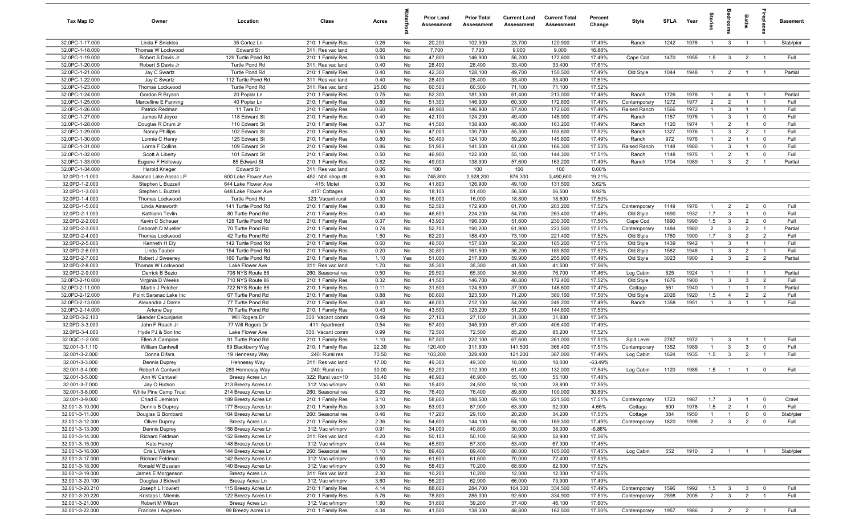| Tax Map ID                         | Owner                                  | Location                                   | Class                                  | Acres         |           | <b>Prior Land</b><br>Assessment | <b>Prior Total</b><br>Assessment | <b>Current Land</b><br>Assessment | <b>Current Total</b><br>Assessment | Percent<br>Change | Style                   | <b>SFLA</b>  | Year         | tories              | <b>OHOO</b>                    | <b>Baths</b>                     | repla                            | <b>Basement</b> |
|------------------------------------|----------------------------------------|--------------------------------------------|----------------------------------------|---------------|-----------|---------------------------------|----------------------------------|-----------------------------------|------------------------------------|-------------------|-------------------------|--------------|--------------|---------------------|--------------------------------|----------------------------------|----------------------------------|-----------------|
| 32.0PC-1-17.000                    | Linda F Snickles                       | 35 Cortez Ln                               | 210: 1 Family Res                      | 0.26          | No        | 20,200                          | 102,900                          | 23,700                            | 120,900                            | 17.49%            | Ranch                   | 1242         | 1978         | $\overline{1}$      | $\mathbf{3}$                   | $\overline{1}$                   | $\overline{1}$                   | Slab/pier       |
| 32.0PC-1-18.000                    | Thomas W Lockwood                      | <b>Edward St</b>                           | 311: Res vac land                      | 0.66          | No        | 7,700                           | 7,700                            | 9,000                             | 9,000                              | 16.88%            |                         |              |              |                     |                                |                                  |                                  |                 |
| 32.0PC-1-19.000                    | Robert S Davis Jr                      | 129 Turtle Pond Rd                         | 210: 1 Family Res                      | 0.50          | No        | 47,800                          | 146,900                          | 56,200                            | 172,600                            | 17.49%            | Cape Cod                | 1470         | 1955         | 1.5                 | $\mathbf{3}$                   | $\overline{2}$                   | $\overline{1}$                   | Full            |
| 32.0PC-1-20.000                    | Robert S Davis Jr                      | Turtle Pond Rd                             | 311: Res vac land                      | 0.40          | No        | 28,400                          | 28,400                           | 33,400                            | 33,400                             | 17.61%            |                         |              |              |                     |                                |                                  |                                  |                 |
| 32.0PC-1-21.000                    | Jay C Swartz                           | Turtle Pond Rd                             | 210: 1 Family Res                      | 0.40          | No        | 42,300                          | 128,100                          | 49,700                            | 150,500                            | 17.49%            | Old Style               | 1044         | 1948         | $\overline{1}$      | $\overline{2}$                 | $\overline{1}$                   |                                  | Partial         |
| 32.0PC-1-22.000<br>32.0PC-1-23.000 | Jay C Swartz<br><b>Thomas Lockwood</b> | 112 Turtle Pond Rd<br>Turtle Pond Rd       | 311: Res vac land                      | 0.40<br>25.00 | No<br>No  | 28,400<br>60,500                | 28,400<br>60,500                 | 33,400<br>71,100                  | 33,400<br>71,100                   | 17.61%<br>17.52%  |                         |              |              |                     |                                |                                  |                                  |                 |
| 32.0PC-1-24.000                    | Gordon R Bryson                        | 20 Poplar Ln                               | 311: Res vac land<br>210: 1 Family Res | 0.75          | No        | 52,300                          | 181,300                          | 61,400                            | 213,000                            | 17.48%            | Ranch                   | 1726         | 1978         | $\overline{1}$      | $\overline{4}$                 |                                  |                                  | Partial         |
| 32.0PC-1-25.000                    | Marcelline E Fanning                   | 40 Poplar Ln                               | 210: 1 Family Res                      | 0.80          | No        | 51,300                          | 146,900                          | 60,300                            | 172,600                            | 17.49%            | Contemporary            | 1272         | 1977         | 2                   | 2                              | $\overline{1}$                   | $\overline{1}$                   | Full            |
| 32.0PC-1-26.000                    | Patrick Redman                         | 11 Tara Dr                                 | 210: 1 Family Res                      | 0.60          | No        | 48,900                          | 146,900                          | 57,400                            | 172,600                            | 17.49%            | Raised Ranch            | 1566         | 1972         | $\overline{1}$      | $\mathbf{3}$                   | $\overline{1}$                   | $\overline{1}$                   | Full            |
| 32.0PC-1-27.000                    | James M Joyce                          | 118 Edward St                              | 210: 1 Family Res                      | 0.40          | No        | 42,100                          | 124,200                          | 49,400                            | 145,900                            | 17.47%            | Ranch                   | 1157         | 1975         | $\overline{1}$      | $\mathbf{3}$                   | $\overline{1}$                   | $\mathbf 0$                      | Full            |
| 32.0PC-1-28.000                    | Douglas R Drum Jr                      | 110 Edward St                              | 210: 1 Family Res                      | 0.37          | No        | 41,500                          | 138,900                          | 48,800                            | 163,200                            | 17.49%            | Ranch                   | 1120         | 1974         | $\overline{1}$      | 2                              | $\overline{1}$                   | $\mathbf{0}$                     | Full            |
| 32.0PC-1-29.000                    | Nancy Phillips                         | 102 Edward St                              | 210: 1 Family Res                      | 0.50          | No        | 47,000                          | 130,700                          | 55,300                            | 153,600                            | 17.52%            | Ranch                   | 1327         | 1976         | $\overline{1}$      | $\mathbf{3}$                   | $\overline{2}$                   | $\overline{1}$                   | Full            |
| 32.0PC-1-30.000                    | Lonnie C Henry                         | 125 Edward St                              | 210: 1 Family Res                      | 0.80          | No        | 50,400                          | 124,100                          | 59,200                            | 145,800                            | 17.49%            | Ranch                   | 972          | 1976         | $\overline{1}$      | $\overline{2}$                 | $\overline{1}$                   | $\mathbf 0$                      | Full            |
| 32.0PC-1-31.000                    | Lorna F Collins                        | 109 Edward St                              | 210: 1 Family Res                      | 0.86          | No        | 51,900                          | 141,500                          | 61,000                            | 166,300                            | 17.53%            | Raised Ranch            | 1148         | 1980         | $\overline{1}$      | $\mathbf{3}$                   | $\mathbf{1}$                     | $\mathbf{0}$                     | Full            |
| 32.0PC-1-32.000                    | Scott A Liberty                        | 101 Edward St                              | 210: 1 Family Res                      | 0.50          | No        | 46,900                          | 122,800                          | 55,100                            | 144,300                            | 17.51%            | Ranch                   | 1148         | 1975         | $\overline{1}$      | $\overline{2}$                 | $\overline{1}$                   | $\mathbf 0$                      | Full            |
| 32.0PC-1-33.000                    | Eugene F Holloway                      | 85 Edward St                               | 210: 1 Family Res                      | 0.62          | No        | 49,000                          | 138,900                          | 57,600                            | 163,200                            | 17.49%            | Ranch                   | 1704         | 1989         | $\overline{1}$      | $\mathbf{3}$                   | $\overline{2}$                   |                                  | Partial         |
| 32.0PC-1-34.000                    | Harold Krieger                         | <b>Edward St</b>                           | 311: Res vac land                      | 0.06          | No        | 100                             | 100                              | 100                               | 100                                | 0.00%             |                         |              |              |                     |                                |                                  |                                  |                 |
| 32.0PD-1-1.000                     | Saranac Lake Assoc LP                  | 600 Lake Flower Ave                        | 452: Nbh shop ctr                      | 6.90          | No        | 745,800                         | 2,928,200                        | 876,300                           | 3,490,600                          | 19.21%            |                         |              |              |                     |                                |                                  |                                  |                 |
| 32.0PD-1-2.000                     | Stephen L Buzzell                      | 644 Lake Flower Ave                        | 415: Motel                             | 0.30          | No        | 41,800                          | 126,900                          | 49,100                            | 131,500                            | 3.62%             |                         |              |              |                     |                                |                                  |                                  |                 |
| 32.0PD-1-3.000                     | Stephen L Buzzell                      | 648 Lake Flower Ave                        | 417: Cottages                          | 0.40          | No        | 18,100                          | 51,400                           | 56,500                            | 56,500                             | 9.92%             |                         |              |              |                     |                                |                                  |                                  |                 |
| 32.0PD-1-4.000                     | Thomas Lockwood                        | Turtle Pond Rd                             | 323: Vacant rural                      | 0.30          | No        | 16,000                          | 16,000                           | 18,800                            | 18,800                             | 17.50%            |                         |              |              |                     |                                |                                  |                                  |                 |
| 32.0PD-1-5.000                     | Linda Ainsworth                        | 141 Turtle Pond Rd                         | 210: 1 Family Res                      | 0.80          | No        | 52,500                          | 172,900                          | 61,700                            | 203,200                            | 17.52%            | Contemporary            | 1149         | 1976         | $\overline{1}$      | $\overline{2}$                 | $\overline{2}$                   | $\mathbf 0$                      | Full            |
| 32.0PD-2-1.000                     | Kathiann Tevlin                        | 80 Turtle Pond Rd                          | 210: 1 Family Res                      | 0.40          | No        | 46,600                          | 224,200                          | 54,700                            | 263,400                            | 17.48%            | Old Style               | 1690         | 1932         | 1.7                 | $\mathbf{3}$                   | $\overline{1}$                   | $\Omega$                         | Full            |
| 32.0PD-2-2.000                     | Kevin C Scheuer                        | 128 Turtle Pond Rd                         | 210: 1 Family Res                      | 0.37          | No        | 43,900                          | 196,000                          | 51,600                            | 230,300                            | 17.50%            | Cape Cod                | 1890         | 1990         | 1.5                 | $\mathbf{3}$                   | $\overline{2}$                   | $^{\circ}$                       | Full            |
| 32.0PD-2-3.000                     | Deborah D Mueller                      | 70 Turtle Pond Rd                          | 210: 1 Family Res                      | 0.74          | No        | 52,700                          | 190,200                          | 61,900                            | 223,500                            | 17.51%            | Contemporary            | 1484         | 1980         | $\overline{2}$      | $\mathbf{3}$                   | $\overline{2}$                   | $\overline{1}$                   | Partial         |
| 32.0PD-2-4.000                     | Thomas Lockwood                        | 42 Turtle Pond Rd                          | 210: 1 Family Res                      | 1.50          | No        | 62,200                          | 188,400                          | 73,100                            | 221,400                            | 17.52%            | Old Style               | 1760         | 1900         | 1.7                 | $\mathbf{3}$                   | $\overline{2}$                   | 2                                | Full            |
| 32.0PD-2-5.000                     | Kenneth H Ely                          | 142 Turtle Pond Rd                         | 210: 1 Family Res                      | 0.60          | No        | 49,500                          | 157,600                          | 58,200                            | 185,200                            | 17.51%            | Old Style               | 1439         | 1942         | $\overline{1}$      | $\mathbf{3}$                   | $\overline{1}$                   | - 1                              | Full            |
| 32.0PD-2-6.000<br>32.0PD-2-7.000   | Linda Tauber                           | 154 Turtle Pond Rd<br>160 Turtle Pond Rd   | 210: 1 Family Res                      | 0.20<br>1.10  | No<br>Yes | 30,800<br>51,000                | 161,500<br>217,800               | 36,200<br>59,900                  | 189,800<br>255,900                 | 17.52%<br>17.49%  | Old Style<br>Old Style  | 1582<br>3023 | 1948<br>1900 | $\overline{1}$<br>2 | $\mathbf{3}$<br>$\mathbf{3}$   | $\overline{2}$<br>$\overline{2}$ | $\overline{1}$<br>$\overline{2}$ | Full<br>Partial |
| 32.0PD-2-8.000                     | Robert J Sweeney<br>Thomas W Lockwood  | Lake Flower Ave                            | 210: 1 Family Res<br>311: Res vac land | 1.70          | No        | 35,300                          | 35,300                           | 41,500                            | 41,500                             | 17.56%            |                         |              |              |                     |                                |                                  |                                  |                 |
| 32.0PD-2-9.000                     | Derrick B Bezio                        | 708 NYS Route 86                           | 260: Seasonal res                      | 0.50          | No        | 29,500                          | 65,300                           | 34,600                            | 76,700                             | 17.46%            | Log Cabin               | 525          | 1924         | $\mathbf{1}$        |                                |                                  | $\overline{1}$                   | Partial         |
| 32.0PD-2-10.000                    | Virginia D Weeks                       | 710 NYS Route 86                           | 210: 1 Family Res                      | 0.32          | No        | 41,500                          | 146,700                          | 48,800                            | 172,400                            | 17.52%            | Old Style               | 1676         | 1900         | $\overline{1}$      | $\mathbf{3}$                   | $\mathbf{3}$                     | $\overline{2}$                   | Full            |
| 32.0PD-2-11.000                    | Martin J Pelcher                       | 722 NYS Route 86                           | 210: 1 Family Res                      | 0.11          | No        | 31,500                          | 124,800                          | 37,000                            | 146,600                            | 17.47%            | Cottage                 | 561          | 1940         | $\overline{1}$      | $\overline{1}$                 | $\overline{1}$                   | $\overline{1}$                   | Partial         |
| 32.0PD-2-12.000                    | Point Saranac Lake Inc                 | 67 Turtle Pond Rd                          | 210: 1 Family Res                      | 0.88          | No        | 60,600                          | 323,500                          | 71,200                            | 380,100                            | 17.50%            | Old Style               | 2026         | 1920         | 1.5                 | $\overline{4}$                 | $\overline{2}$                   | $\overline{2}$                   | Full            |
| 32.0PD-2-13.000                    | Alexandra J Dame                       | 77 Turtle Pond Rd                          | 210: 1 Family Res                      | 0.40          | No        | 46,000                          | 212,100                          | 54,000                            | 249,200                            | 17.49%            | Ranch                   | 1358         | 1951         | $\overline{1}$      | $\mathbf{3}$                   | $\overline{1}$                   | $\overline{1}$                   | Full            |
| 32.0PD-2-14.000                    | Arlene Day                             | 79 Turtle Pond Rd                          | 210: 1 Family Res                      | 0.43          | No        | 43,500                          | 123,200                          | 51,200                            | 144,800                            | 17.53%            |                         |              |              |                     |                                |                                  |                                  |                 |
| 32.0PD-3-2.100                     | Skender Cecunjanin                     | Will Rogers Dr                             | 330: Vacant comm                       | 0.49          | No        | 27,100                          | 27,100                           | 31,800                            | 31,800                             | 17.34%            |                         |              |              |                     |                                |                                  |                                  |                 |
| 32.0PD-3-3.000                     | John F Roach Jr                        | 77 Will Rogers Dr                          | 411: Apartment                         | 0.54          | No        | 57,400                          | 345,900                          | 67,400                            | 406,400                            | 17.49%            |                         |              |              |                     |                                |                                  |                                  |                 |
| 32.0PD-3-4.000                     | Hyde PJ & Son Inc                      | Lake Flower Ave                            | 330: Vacant comm                       | 0.99          | No        | 72,500                          | 72,500                           | 85,200                            | 85,200                             | 17.52%            |                         |              |              |                     |                                |                                  |                                  |                 |
| 32.0QC-1-2.000                     | Ellen A Campion                        | 91 Turtle Pond Rd                          | 210: 1 Family Res                      | 1.10          | No        | 57,500                          | 222,100                          | 67,600                            | 261,000                            | 17.51%            | Split Level             | 2787         | 1972         | $\overline{1}$      | $\mathbf{3}$                   | $\overline{1}$                   | - 1                              | Full            |
| 32.001-3-1.110                     | William Cantwell                       | 69 Blackberry Way                          | 210: 1 Family Res                      | 22.39         | No        | 120,400                         | 311,800                          | 141,500                           | 366,400                            | 17.51%            | Contemporary            | 1352         | 1989         | $\overline{1}$      | $\mathbf{3}$                   | $\mathbf{3}$                     | $\mathbf 0$                      | Full            |
| 32.001-3-2.000                     | Donna Difara                           | 19 Hennessy Way                            | 240: Rural res                         | 70.50         | No        | 103,200                         | 329,400                          | 121,200                           | 387,000                            | 17.49%            | Log Cabin               | 1624         | 1935         | 1.5                 | $\overline{3}$                 | $\overline{2}$                   |                                  | Full            |
| 32.001-3-3.000                     | Dennis Duprey                          | Hennessy Way                               | 311: Res vac land                      | 17.00         | No        | 49,300                          | 49,300                           | 18,000                            | 18,000                             | $-63.49%$         |                         |              |              |                     |                                |                                  |                                  |                 |
| 32.001-3-4.000                     | Robert A Cantwell                      | 289 Hennessy Way                           | 240: Rural res                         | 30.00         | No        | 52,200                          | 112,300                          | 61,400                            | 132,000                            | 17.54%            | Log Cabin               | 1120         | 1985         | 1.5                 |                                | $\overline{1}$                   | $\mathbf 0$                      | Full            |
| 32.001-3-5.000                     | Ann W Cantwell                         | Breezy Acres Ln                            | 322: Rural vac>10                      | 36.40         | No        | 46,900                          | 46,900                           | 55,100                            | 55,100                             | 17.48%            |                         |              |              |                     |                                |                                  |                                  |                 |
| 32.001-3-7.000                     | Jay O Hutson                           | 213 Breezy Acres Ln                        | 312: Vac w/imprv                       | 0.50          | No        | 15,400                          | 24,500                           | 18,100                            | 28,800                             | 17.55%            |                         |              |              |                     |                                |                                  |                                  |                 |
| 32.001-3-8.000<br>32.001-3-9.000   | White Pine Camp Trust                  | 214 Breezy Acres Ln                        | 260: Seasonal res                      | 6.20<br>3.10  | No        | 76,400<br>58,800                | 76,400<br>188,500                | 89,800                            | 100,000                            | 30.89%            |                         | 1723         | 1987         |                     |                                | $\overline{1}$                   | $\overline{0}$                   |                 |
| 32.001-3-10.000                    | Chad E Jemison<br>Dennis B Duprey      | 189 Breezy Acres Ln<br>177 Breezy Acres Ln | 210: 1 Family Res<br>210: 1 Family Res | 3.00          | No<br>No  | 53,900                          | 87,900                           | 69,100<br>63,300                  | 221,500<br>92,000                  | 17.51%<br>4.66%   | Contemporary<br>Cottage | 600          | 1978         | 1.7<br>1.5          | $\mathbf{3}$<br>$\overline{2}$ | $\overline{1}$                   | $\mathbf 0$                      | Crawl<br>Full   |
| 32.001-3-11.000                    | Douglas G Bombard                      | 164 Breezy Acres Ln                        | 260: Seasonal res                      | 0.46          | No        | 17,200                          | 29,100                           | 20,200                            | 34,200                             | 17.53%            | Cottage                 | 384          | 1950         | $\overline{1}$      | $\overline{1}$                 | $\mathbf 0$                      | $\overline{0}$                   | Slab/pier       |
| 32.001-3-12.000                    | Oliver Duprey                          | Breezy Acres Ln                            | 210: 1 Family Res                      | 2.36          | No        | 54,600                          | 144,100                          | 64,100                            | 169,300                            | 17.49%            | Contemporary            | 1820         | 1998         | $\overline{2}$      | $\mathbf{3}$                   | $\overline{2}$                   | $\mathbf{0}$                     | Full            |
| 32.001-3-13.000                    | Dennis Duprey                          | 158 Breezy Acres Ln                        | 312: Vac w/imprv                       | 0.91          | No        | 34,000                          | 40,800                           | 30,000                            | 38,000                             | $-6.86%$          |                         |              |              |                     |                                |                                  |                                  |                 |
| 32.001-3-14.000                    | Richard Feldman                        | 152 Breezy Acres Ln                        | 311: Res vac land                      | 4.20          | No        | 50,100                          | 50,100                           | 58,900                            | 58,900                             | 17.56%            |                         |              |              |                     |                                |                                  |                                  |                 |
| 32.001-3-15.000                    | Kate Haney                             | 148 Breezy Acres Ln                        | 312: Vac w/imprv                       | 0.44          | No        | 45,500                          | 57,300                           | 53,400                            | 67,300                             | 17.45%            |                         |              |              |                     |                                |                                  |                                  |                 |
| 32.001-3-16.000                    | Cris L Winters                         | 144 Breezy Acres Ln                        | 260: Seasonal res                      | 1.10          | No        | 89,400                          | 89,400                           | 80,000                            | 105,000                            | 17.45%            | Log Cabin               | 552          | 1910         | $\overline{2}$      | $\overline{1}$                 | $\overline{1}$                   |                                  | Slab/pier       |
| 32.001-3-17.000                    | Richard Feldman                        | 142 Breezy Acres Ln                        | 312: Vac w/imprv                       | 0.50          | No        | 61,600                          | 61,600                           | 70,000                            | 72,400                             | 17.53%            |                         |              |              |                     |                                |                                  |                                  |                 |
| 32.001-3-18.000                    | Ronald W Bussian                       | 140 Breezy Acres Ln                        | 312: Vac w/imprv                       | 0.50          | No        | 58,400                          | 70,200                           | 68,600                            | 82,500                             | 17.52%            |                         |              |              |                     |                                |                                  |                                  |                 |
| 32.001-3-19.000                    | James E Morganson                      | Breezy Acres Ln                            | 311: Res vac land                      | 2.30          | No        | 10,200                          | 10,200                           | 12,000                            | 12,000                             | 17.65%            |                         |              |              |                     |                                |                                  |                                  |                 |
| 32.001-3-20.100                    | Douglas J Bidwell                      | Breezy Acres Ln                            | 312: Vac w/imprv                       | 3.60          | No        | 56,200                          | 62,900                           | 66,000                            | 73,900                             | 17.49%            |                         |              |              |                     |                                |                                  |                                  |                 |
| 32.001-3-20.210                    | Joseph L Howlett                       | 115 Breezy Acres Ln                        | 210: 1 Family Res                      | 4.14          | No        | 88,800                          | 284,700                          | 104,300                           | 334,500                            | 17.49%            | Contemporary            | 1596         | 1992         | 1.5                 | $\mathbf{3}$                   | $\mathbf{3}$                     | $\mathbf 0$                      | Full            |
| 32.001-3-20.220                    | Kristaps L Miemis                      | 122 Breezy Acres Ln                        | 210: 1 Family Res                      | 5.76          | No        | 78,800                          | 285,000                          | 92,600                            | 334,900                            | 17.51%            | Contemporary            | 2598         | 2005         | $\overline{2}$      | $\mathbf{3}$                   | $\overline{2}$                   | $\overline{1}$                   | Full            |
| 32.001-3-21.000                    | Robert M Wilson                        | Breezy Acres Ln                            | 312: Vac w/imprv                       | 1.80          | No        | 31,800                          | 39,200                           | 37,400                            | 46,100                             | 17.60%            |                         |              |              |                     |                                |                                  |                                  |                 |
| 32.001-3-22.000                    | Frances I Aagesen                      | 99 Breezy Acres Ln                         | 210: 1 Family Res                      | 4.34          | No        | 41,500                          | 138,300                          | 48,800                            | 162,500                            | 17.50%            | Contemporary            | 1957         | 1986         |                     | $2 \t 2$                       | $\overline{2}$                   |                                  | Full            |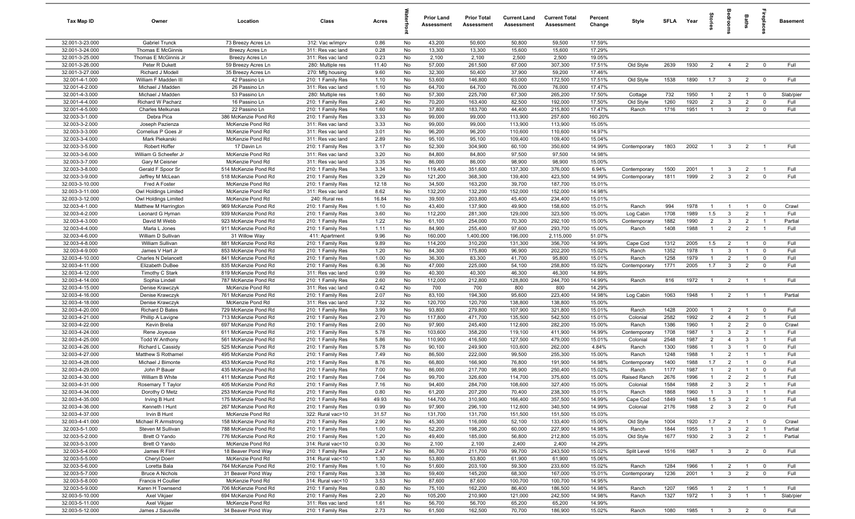| Tax Map ID                         | Owner                                    | Location                                     | Class                                  | Acres        |          | <b>Prior Land</b><br>Assessment | <b>Prior Total</b><br>Assessment | <b>Current Land</b><br>Assessment | <b>Current Total</b><br>Assessment | Percent<br>Change | Style                    | SFLA         | Year         | tories                           | å                                | Baths                            |                               | <b>Basement</b> |
|------------------------------------|------------------------------------------|----------------------------------------------|----------------------------------------|--------------|----------|---------------------------------|----------------------------------|-----------------------------------|------------------------------------|-------------------|--------------------------|--------------|--------------|----------------------------------|----------------------------------|----------------------------------|-------------------------------|-----------------|
| 32.001-3-23.000                    | <b>Gabriel Trunck</b>                    | 73 Breezy Acres Ln                           | 312: Vac w/imprv                       | 0.86         | No       | 43,200                          | 50,600                           | 50,800                            | 59,500                             | 17.59%            |                          |              |              |                                  |                                  |                                  |                               |                 |
| 32.001-3-24.000                    | Thomas E McGinnis                        | Breezy Acres Ln                              | 311: Res vac land                      | 0.28         | No       | 13,300                          | 13,300                           | 15,600                            | 15,600                             | 17.29%            |                          |              |              |                                  |                                  |                                  |                               |                 |
| 32.001-3-25.000                    | Thomas E McGinnis Jr                     | Breezy Acres Ln                              | 311: Res vac land                      | 0.23         | No       | 2,100                           | 2,100                            | 2,500                             | 2,500                              | 19.05%            |                          |              |              |                                  |                                  |                                  |                               |                 |
| 32.001-3-26.000                    | Peter R Dukett                           | 59 Breezy Acres Ln                           | 280: Multiple res                      | 11.40        | No       | 57,000                          | 261,500                          | 67,000                            | 307,300                            | 17.51%            | Old Style                | 2639         | 1930         | $\overline{2}$                   | $\overline{4}$                   | $\overline{2}$                   | $\mathbf 0$                   | Full            |
| 32.001-3-27.000<br>32.001-4-1.000  | Richard J Modell<br>William F Madden III | 35 Breezy Acres Ln<br>42 Passino Ln          | 270: Mfg housing<br>210: 1 Family Res  | 9.60<br>1.10 | No<br>No | 32,300<br>53,600                | 50,400<br>146,800                | 37,900<br>63,000                  | 59,200<br>172,500                  | 17.46%<br>17.51%  | Old Style                | 1538         | 1890         | 1.7                              | $\mathbf{3}$                     | $\overline{2}$                   | $\overline{\mathbf{0}}$       | Full            |
| 32.001-4-2.000                     | Michael J Madden                         | 26 Passino Ln                                | 311: Res vac land                      | 1.10         | No       | 64,700                          | 64,700                           | 76,000                            | 76,000                             | 17.47%            |                          |              |              |                                  |                                  |                                  |                               |                 |
| 32.001-4-3.000                     | Michael J Madden                         | 53 Passino Ln                                | 280: Multiple res                      | 1.60         | No       | 57,300                          | 225,700                          | 67,300                            | 265,200                            | 17.50%            | Cottage                  | 732          | 1950         | $\overline{1}$                   | $\overline{2}$                   | $\overline{1}$                   | $\mathbf 0$                   | Slab/pier       |
| 32.001-4-4.000                     | <b>Richard W Pacharz</b>                 | 16 Passino Ln                                | 210: 1 Family Res                      | 2.40         | No       | 70,200                          | 163,400                          | 82,500                            | 192,000                            | 17.50%            | Old Style                | 1260         | 1920         | $\overline{2}$                   | $\mathbf{3}$                     | 2                                | $\overline{0}$                | Full            |
| 32.001-4-5.000                     | Charles Melkunas                         | 22 Passino Ln                                | 210: 1 Family Res                      | 1.60         | No       | 37,800                          | 183,700                          | 44,400                            | 215,800                            | 17.47%            | Ranch                    | 1716         | 1951         | $\overline{1}$                   | $\mathbf{3}$                     | $\overline{2}$                   | $\mathbf{0}$                  | Full            |
| 32.003-3-1.000                     | Debra Pica                               | 386 McKenzie Pond Rd                         | 210: 1 Family Res                      | 3.33         | No       | 99,000                          | 99,000                           | 113,900                           | 257,600                            | 160.20%           |                          |              |              |                                  |                                  |                                  |                               |                 |
| 32.003-3-2.000                     | Joseph Pazienza                          | McKenzie Pond Rd                             | 311: Res vac land                      | 3.33         | No       | 99,000                          | 99,000                           | 113,900                           | 113,900                            | 15.05%            |                          |              |              |                                  |                                  |                                  |                               |                 |
| 32.003-3-3.000                     | Cornelius P Goes Jr                      | McKenzie Pond Rd                             | 311: Res vac land                      | 3.01         | No       | 96,200                          | 96,200                           | 110,600                           | 110,600                            | 14.97%            |                          |              |              |                                  |                                  |                                  |                               |                 |
| 32.003-3-4.000                     | Mark Piekarski                           | McKenzie Pond Rd                             | 311: Res vac land                      | 2.89         | No       | 95,100                          | 95,100                           | 109,400                           | 109,400                            | 15.04%            |                          |              |              |                                  |                                  |                                  |                               |                 |
| 32.003-3-5.000                     | Robert Hoffer                            | 17 Davin Ln                                  | 210: 1 Family Res                      | 3.17         | No       | 52,300                          | 304,900                          | 60,100                            | 350,600                            | 14.99%            | Contemporary             | 1803         | 2002         | $\overline{1}$                   | $\mathbf{3}$                     | $\overline{2}$                   |                               | Full            |
| 32.003-3-6.000<br>32.003-3-7.000   | William G Scheefer Jr<br>Gary M Ceisner  | McKenzie Pond Rd<br>McKenzie Pond Rd         | 311: Res vac land<br>311: Res vac land | 3.20<br>3.35 | No<br>No | 84,800<br>86,000                | 84,800<br>86,000                 | 97,500<br>98,900                  | 97,500<br>98,900                   | 14.98%<br>15.00%  |                          |              |              |                                  |                                  |                                  |                               |                 |
| 32.003-3-8.000                     | Gerald F Spoor Sr                        | 514 McKenzie Pond Rd                         | 210: 1 Family Res                      | 3.34         | No       | 119,400                         | 351,600                          | 137,300                           | 376,000                            | 6.94%             | Contemporary             | 1500         | 2001         | -1                               | 3                                | $\overline{2}$                   |                               | Full            |
| 32.003-3-9.000                     | Jeffrey M McLean                         | 518 McKenzie Pond Rd                         | 210: 1 Family Res                      | 3.29         | No       | 121,200                         | 368,300                          | 139,400                           | 423,500                            | 14.99%            | Contemporary             | 1811         | 1999         | $\overline{2}$                   | $\mathbf{3}$                     | $\overline{2}$                   | $\mathbf{0}$                  | Full            |
| 32.003-3-10.000                    | Fred A Foster                            | McKenzie Pond Rd                             | 210: 1 Family Res                      | 12.18        | No       | 34,500                          | 163,200                          | 39,700                            | 187,700                            | 15.01%            |                          |              |              |                                  |                                  |                                  |                               |                 |
| 32.003-3-11.000                    | Owl Holdings Limited                     | McKenzie Pond Rd                             | 311: Res vac land                      | 8.62         | No       | 132,200                         | 132,200                          | 152,000                           | 152,000                            | 14.98%            |                          |              |              |                                  |                                  |                                  |                               |                 |
| 32.003-3-12.000                    | Owl Holdings Limited                     | McKenzie Pond Rd                             | 240: Rural res                         | 16.84        | No       | 39,500                          | 203,800                          | 45,400                            | 234,400                            | 15.01%            |                          |              |              |                                  |                                  |                                  |                               |                 |
| 32.003-4-1.000                     | Matthew M Harrington                     | 969 McKenzie Pond Rd                         | 210: 1 Family Res                      | 1.10         | No       | 43,400                          | 137,900                          | 49,900                            | 158,600                            | 15.01%            | Ranch                    | 994          | 1978         | $\overline{1}$                   | $\overline{1}$                   | $\overline{1}$                   | $\mathbf 0$                   | Crawl           |
| 32.003-4-2.000                     | Leonard G Hyman                          | 939 McKenzie Pond Rd                         | 210: 1 Family Res                      | 3.60         | No       | 112,200                         | 281,300                          | 129,000                           | 323,500                            | 15.00%            | Log Cabin                | 1708         | 1989         | 1.5                              | $\mathbf{3}$                     | $\overline{2}$                   | $\overline{1}$                | Full            |
| 32.003-4-3.000                     | David M Webb                             | 923 McKenzie Pond Rd                         | 210: 1 Family Res                      | 1.22         | No       | 61,100                          | 254,000                          | 70,300                            | 292,100                            | 15.00%            | Contemporary             | 1882         | 1990         | $\overline{2}$                   | $\mathbf{3}$                     | $\overline{2}$                   | $\overline{1}$                | Partial         |
| 32.003-4-4.000                     | Marla L Jones                            | 911 McKenzie Pond Rd                         | 210: 1 Family Res                      | 1.11         | No       | 84,900                          | 255,400                          | 97,600                            | 293,700                            | 15.00%            | Ranch                    | 1408         | 1988         | $\overline{1}$                   | 2                                | $\overline{2}$                   | $\overline{1}$                | Full            |
| 32.003-4-6.000<br>32.003-4-8.000   | William D Sullivan<br>William Sullivan   | 31 Willow Way<br>881 McKenzie Pond Rd        | 411: Apartment<br>210: 1 Family Res    | 9.96<br>9.89 | No<br>No | 160,000<br>114,200              | 1,400,000<br>310,200             | 196,000<br>131,300                | 2,115,000<br>356,700               | 51.07%<br>14.99%  | Cape Cod                 | 1312         | 2005         | 1.5                              | $\overline{2}$                   | $\overline{1}$                   | $\mathbf 0$                   | Full            |
| 32.003-4-9.000                     | James V Hart Jr                          | 853 McKenzie Pond Rd                         | 210: 1 Family Res                      | 1.20         | No       | 84,300                          | 175,800                          | 96,900                            | 202,200                            | 15.02%            | Ranch                    | 1352         | 1978         | -1                               | 3                                | $\overline{1}$                   | $\mathbf 0$                   | Full            |
| 32.003-4-10.000                    | <b>Charles N Delancett</b>               | 841 McKenzie Pond Rd                         | 210: 1 Family Res                      | 1.00         | No       | 36,300                          | 83,300                           | 41,700                            | 95,800                             | 15.01%            | Ranch                    | 1258         | 1979         | $\overline{1}$                   | $\overline{2}$                   | $\overline{1}$                   | $\mathbf 0$                   | Full            |
| 32.003-4-11.000                    | Elizabeth DuBee                          | 835 McKenzie Pond Rd                         | 210: 1 Family Res                      | 6.36         | No       | 47,000                          | 225,000                          | 54,100                            | 258,800                            | 15.02%            | Contemporary             | 1771         | 2005         | 1.7                              | $\overline{3}$                   | $\overline{2}$                   | $\mathbf 0$                   | Full            |
| 32.003-4-12.000                    | Timothy C Stark                          | 819 McKenzie Pond Rd                         | 311: Res vac land                      | 0.99         | No       | 40,300                          | 40,300                           | 46,300                            | 46,300                             | 14.89%            |                          |              |              |                                  |                                  |                                  |                               |                 |
| 32.003-4-14.000                    | Sophia Lindell                           | 787 McKenzie Pond Rd                         | 210: 1 Family Res                      | 2.60         | No       | 112,000                         | 212,800                          | 128,800                           | 244,700                            | 14.99%            | Ranch                    | 816          | 1972         | $\overline{1}$                   | $\overline{2}$                   | $\overline{1}$                   | $\overline{1}$                | Full            |
| 32.003-4-15.000                    | Denise Krawczyk                          | McKenzie Pond Rd                             | 311: Res vac land                      | 0.42         | No       | 700                             | 700                              | 800                               | 800                                | 14.29%            |                          |              |              |                                  |                                  |                                  |                               |                 |
| 32.003-4-16.000                    | Denise Krawczyk                          | 761 McKenzie Pond Rd                         | 210: 1 Family Res                      | 2.07         | No       | 83,100                          | 194,300                          | 95,600                            | 223,400                            | 14.98%            | Log Cabin                | 1063         | 1948         | $\overline{1}$                   | $\overline{2}$                   | $\overline{1}$                   | $\overline{1}$                | Partial         |
| 32.003-4-18.000                    | Denise Krawczyk                          | McKenzie Pond Rd                             | 311: Res vac land                      | 7.32         | No       | 120,700                         | 120,700                          | 138,800                           | 138,800                            | 15.00%            |                          |              |              |                                  |                                  |                                  |                               |                 |
| 32.003-4-20.000<br>32.003-4-21.000 | Richard D Bates<br>Phillip A Lavigne     | 729 McKenzie Pond Rd<br>713 McKenzie Pond Rd | 210: 1 Family Res<br>210: 1 Family Res | 3.99<br>2.70 | No<br>No | 93,800<br>117,800               | 279,800<br>471,700               | 107,900<br>135,500                | 321,800<br>542,500                 | 15.01%<br>15.01%  | Ranch<br>Colonial        | 1428<br>2582 | 2000<br>1992 | $\overline{1}$<br>$\overline{2}$ | $\overline{2}$<br>$\overline{4}$ | $\overline{1}$<br>2              | $\mathbf 0$<br>$\overline{1}$ | Full<br>Full    |
| 32.003-4-22.000                    | Kevin Brelia                             | 697 McKenzie Pond Rd                         | 210: 1 Family Res                      | 2.00         | No       | 97,900                          | 245,400                          | 112,600                           | 282,200                            | 15.00%            | Ranch                    | 1386         | 1960         | $\overline{1}$                   | $\overline{2}$                   | $\overline{2}$                   | $\mathbf 0$                   | Crawl           |
| 32.003-4-24.000                    | Rene Joyeuse                             | 611 McKenzie Pond Rd                         | 210: 1 Family Res                      | 5.78         | No       | 103,600                         | 358,200                          | 119,100                           | 411,900                            | 14.99%            | Contemporary             | 1708         | 1987         | $\overline{1}$                   | $\mathbf{3}$                     | $\overline{2}$                   | $\overline{1}$                | Full            |
| 32.003-4-25.000                    | <b>Todd W Anthony</b>                    | 561 McKenzie Pond Rd                         | 210: 1 Family Res                      | 5.86         | No       | 110,900                         | 416,500                          | 127,500                           | 479,000                            | 15.01%            | Colonial                 | 2548         | 1987         | $\overline{2}$                   | $\overline{4}$                   | -3                               | $\overline{1}$                | Full            |
| 32.003-4-26.000                    | Richard L Cassidy                        | 525 McKenzie Pond Rd                         | 210: 1 Family Res                      | 5.78         | No       | 90,100                          | 249,900                          | 103,600                           | 262,000                            | 4.84%             | Ranch                    | 1300         | 1986         | $\mathbf{1}$                     | $\mathbf{3}$                     | $\overline{1}$                   | $\mathbf 0$                   | Full            |
| 32.003-4-27.000                    | Matthew S Rothamel                       | 495 McKenzie Pond Rd                         | 210: 1 Family Res                      | 7.49         | No       | 86,500                          | 222,000                          | 99,500                            | 255,300                            | 15.00%            | Ranch                    | 1248         | 1988         | $\overline{1}$                   | $\overline{2}$                   | $\overline{1}$                   | $\overline{1}$                | Full            |
| 32.003-4-28.000                    | Michael J Bimonte                        | 453 McKenzie Pond Rd                         | 210: 1 Family Res                      | 8.76         | No       | 66,800                          | 166,900                          | 76,800                            | 191,900                            | 14.98%            | Contemporary             | 1400         | 1988         | 1.7                              | $\overline{2}$                   | $\overline{1}$                   | $\mathbf 0$                   | Full            |
| 32.003-4-29.000                    | John P Bauer                             | 435 McKenzie Pond Rd                         | 210: 1 Family Res                      | 7.00         | No       | 86,000                          | 217,700                          | 98,900                            | 250,400                            | 15.02%            | Ranch                    | 1177         | 1987         | $\overline{1}$                   | $\overline{2}$                   | $\overline{1}$                   | $\mathbf{0}$                  | Full            |
| 32.003-4-30.000<br>32.003-4-31.000 | William B White                          | 411 McKenzie Pond Rd<br>405 McKenzie Pond Rd | 210: 1 Family Res<br>210: 1 Family Res | 7.04<br>7.16 | No<br>No | 99,700<br>94,400                | 326,600<br>284,700               | 114,700<br>108,600                | 375,600<br>327,400                 | 15.00%<br>15.00%  | Raised Ranch<br>Colonial | 2676<br>1584 | 1996<br>1988 | $\overline{1}$<br>$\overline{2}$ | $\overline{2}$<br>$\mathcal{R}$  | $\overline{2}$<br>$\overline{2}$ | $\overline{1}$                | Full<br>Full    |
| 32.003-4-34.000                    | Rosemary T Taylor<br>Dorothy O Metz      | 253 McKenzie Pond Rd                         | 210: 1 Family Res                      | 0.80         | No       | 61,200                          | 207,200                          | 70,400                            | 238,300                            | 15.01%            | Ranch                    | 1868         | 1960         | $\overline{1}$                   | $\mathbf{3}$                     | $\overline{1}$                   | $\overline{1}$                | Full            |
| 32.003-4-35.000                    | Irving B Hunt                            | 175 McKenzie Pond Rd                         | 210: 1 Family Res                      | 49.93        | No       | 144,700                         | 310,900                          | 166,400                           | 357,500                            | 14.99%            | Cape Cod                 | 1849         | 1948         | 1.5                              | $\mathbf{3}$                     | $\overline{2}$                   | $\overline{1}$                | Full            |
| 32.003-4-36.000                    | Kenneth I Hunt                           | 267 McKenzie Pond Rd                         | 210: 1 Family Res                      | 0.99         | No       | 97,900                          | 296,100                          | 112,600                           | 340,500                            | 14.99%            | Colonial                 | 2176         | 1988         | $\overline{2}$                   | $\mathbf{3}$                     | $\overline{2}$                   | $\mathbf 0$                   | Full            |
| 32.003-4-37.000                    | Irvin B Hunt                             | McKenzie Pond Rd                             | 322: Rural vac>10                      | 31.57        | No       | 131,700                         | 131,700                          | 151,500                           | 151,500                            | 15.03%            |                          |              |              |                                  |                                  |                                  |                               |                 |
| 32.003-4-41.000                    | Michael R Armstrong                      | 158 McKenzie Pond Rd                         | 210: 1 Family Res                      | 2.90         | No       | 45,300                          | 116,000                          | 52,100                            | 133,400                            | 15.00%            | Old Style                | 1004         | 1920         | 1.7                              | $\overline{2}$                   | $\overline{1}$                   | $\mathbf 0$                   | Crawl           |
| 32.003-5-1.000                     | Steven M Sullivan                        | 788 McKenzie Pond Rd                         | 210: 1 Family Res                      | 1.00         | No       | 52,200                          | 198,200                          | 60,000                            | 227,900                            | 14.98%            | Ranch                    | 1844         | 1955         | $\overline{1}$                   | $\mathbf{3}$                     | $\overline{2}$                   | $\overline{1}$                | Partial         |
| 32.003-5-2.000                     | Brett O Yando                            | 776 McKenzie Pond Rd                         | 210: 1 Family Res                      | 1.20         | No       | 49,400                          | 185,000                          | 56,800                            | 212,800                            | 15.03%            | Old Style                | 1677         | 1930         | $\overline{2}$                   | $\overline{3}$                   | $\overline{2}$                   | $\overline{1}$                | Partial         |
| 32.003-5-3.000                     | Brett O Yando                            | McKenzie Pond Rd                             | 314: Rural vac<10                      | 0.30         | No       | 2,100                           | 2,100                            | 2,400                             | 2,400                              | 14.29%            |                          |              |              |                                  |                                  |                                  |                               |                 |
| 32.003-5-4.000<br>32.003-5-5.000   | James R Flint                            | 18 Beaver Pond Way<br>McKenzie Pond Rd       | 210: 1 Family Res                      | 2.47         | No       | 86,700<br>53,800                | 211,700<br>53,800                | 99,700                            | 243,500<br>61,900                  | 15.02%<br>15.06%  | Split Level              | 1516         | 1987         | $\overline{1}$                   | $\mathbf{3}$                     | $\overline{2}$                   | $\overline{\mathbf{0}}$       | Full            |
| 32.003-5-6.000                     | Cheryl Doerr<br>Loretta Bala             | 764 McKenzie Pond Rd                         | 314: Rural vac<10<br>210: 1 Family Res | 1.30<br>1.10 | No<br>No | 51,600                          | 203,100                          | 61,900<br>59,300                  | 233,600                            | 15.02%            | Ranch                    | 1284         | 1966         | $\overline{1}$                   | $\overline{2}$                   | $\overline{1}$                   | $\overline{\mathbf{0}}$       | Full            |
| 32.003-5-7.000                     | <b>Bruce A Nichols</b>                   | 31 Beaver Pond Way                           | 210: 1 Family Res                      | 3.38         | No       | 59,400                          | 145,200                          | 68,300                            | 167,000                            | 15.01%            | Contemporary             | 1236         | 2001         | $\overline{1}$                   | $\mathbf{3}$                     | $\overline{2}$                   | $\mathbf 0$                   | Full            |
| 32.003-5-8.000                     | Francis H Coullier                       | McKenzie Pond Rd                             | 314: Rural vac<10                      | 3.53         | No       | 87,600                          | 87,600                           | 100,700                           | 100,700                            | 14.95%            |                          |              |              |                                  |                                  |                                  |                               |                 |
| 32.003-5-9.000                     | Karen H Townsend                         | 706 McKenzie Pond Rd                         | 210: 1 Family Res                      | 0.80         | No       | 75,100                          | 162,200                          | 86,400                            | 186,500                            | 14.98%            | Ranch                    | 1207         | 1965         | $\overline{1}$                   | $\overline{2}$                   | $\overline{1}$                   | $\overline{1}$                | Full            |
| 32.003-5-10.000                    | Axel Vikjaer                             | 694 McKenzie Pond Rd                         | 210: 1 Family Res                      | 2.20         | No       | 105,200                         | 210,900                          | 121,000                           | 242,500                            | 14.98%            | Ranch                    | 1327         | 1972         | $\overline{1}$                   | $\mathbf{3}$                     | $\overline{1}$                   | $\overline{1}$                | Slab/pier       |
| 32.003-5-11.000                    | Axel Vikjaer                             | McKenzie Pond Rd                             | 311: Res vac land                      | 1.61         | No       | 56,700                          | 56,700                           | 65,200                            | 65,200                             | 14.99%            |                          |              |              |                                  |                                  |                                  |                               |                 |
| 32.003-5-12.000                    | James J Sausville                        | 34 Beaver Pond Way                           | 210: 1 Family Res                      | 2.73         | No       | 61,500                          | 162,500                          | 70,700                            | 186,900                            | 15.02%            | Ranch                    | 1080         | 1985         | $1 \quad 3 \quad 2$              |                                  |                                  | $\overline{0}$                | Full            |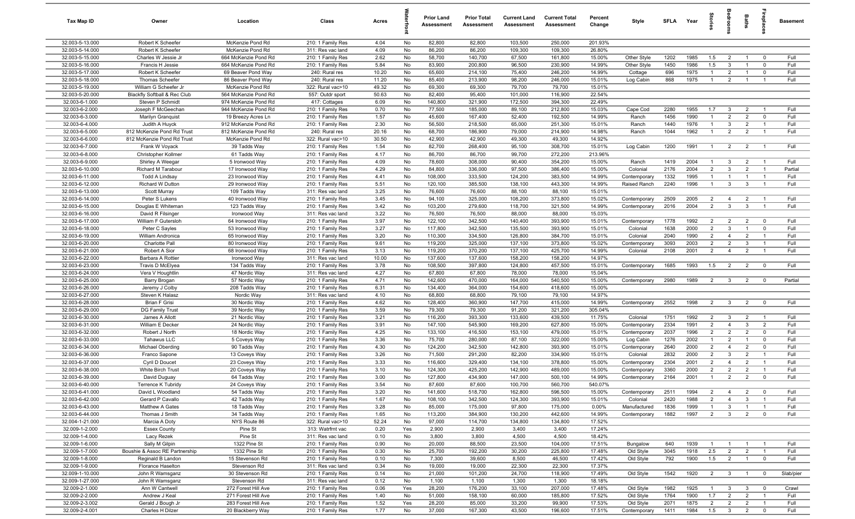| Tax Map ID                         | Owner                                       | Location                                 | Class                                  | Acres         |          | Prior Land<br>Assessment | <b>Prior Total</b><br>Assessment | <b>Current Land</b><br><b>Assessment</b> | <b>Current Total</b><br><b>Assessment</b> | Percent<br>Change | Style                    | <b>SFLA</b>  | Year         | ğ                              |                                | Baths                            | epla                             | <b>Basement</b> |
|------------------------------------|---------------------------------------------|------------------------------------------|----------------------------------------|---------------|----------|--------------------------|----------------------------------|------------------------------------------|-------------------------------------------|-------------------|--------------------------|--------------|--------------|--------------------------------|--------------------------------|----------------------------------|----------------------------------|-----------------|
| 32.003-5-13.000                    | Robert K Scheefer                           | McKenzie Pond Rd                         | 210: 1 Family Res                      | 4.04          | No       | 82,800                   | 82,800                           | 103,500                                  | 250,000                                   | 201.93%           |                          |              |              |                                |                                |                                  |                                  |                 |
| 32.003-5-14.000                    | Robert K Scheefer                           | McKenzie Pond Rd                         | 311: Res vac land                      | 4.09          | No       | 86,200                   | 86,200                           | 109,300                                  | 109,300                                   | 26.80%            |                          |              |              |                                |                                |                                  |                                  |                 |
| 32.003-5-15.000                    | Charles W Jessie Jr                         | 664 McKenzie Pond Rd                     | 210: 1 Family Res                      | 2.62          | No       | 58,700                   | 140,700                          | 67,500                                   | 161,800                                   | 15.00%            | Other Style              | 1202         | 1985         | 1.5                            | $\overline{2}$                 |                                  | $^{\circ}$                       | Full            |
| 32.003-5-16.000<br>32.003-5-17.000 | Francis H Jessie<br>Robert K Scheefer       | 664 McKenzie Pond Rd                     | 210: 1 Family Res                      | 5.84<br>10.20 | No<br>No | 83,900<br>65,600         | 200,800<br>214,100               | 96,500<br>75,400                         | 230,900<br>246,200                        | 14.99%<br>14.99%  | Other Style              | 1450<br>696  | 1986<br>1975 | 1.5<br>$\overline{1}$          | $\mathbf{3}$<br>$\overline{2}$ | $\overline{1}$                   | $^{\circ}$<br>$\Omega$           | Full<br>Full    |
| 32.003-5-18.000                    | <b>Thomas Scheefer</b>                      | 69 Beaver Pond Way<br>86 Beaver Pond Way | 240: Rural res<br>240: Rural res       | 11.20         | No       | 85,400                   | 213,900                          | 98,200                                   | 246,000                                   | 15.01%            | Cottage<br>Log Cabin     | 868          | 1975         | $\overline{1}$                 | $\overline{2}$                 |                                  |                                  | Full            |
| 32.003-5-19.000                    | William G Scheefer Jr                       | McKenzie Pond Rd                         | 322: Rural vac>10                      | 49.32         | No       | 69,300                   | 69,300                           | 79,700                                   | 79,700                                    | 15.01%            |                          |              |              |                                |                                |                                  |                                  |                 |
| 32.003-5-20.000                    | Blackfly Softball & Rec Club                | 564 McKenzie Pond Rd                     | 557: Outdr sport                       | 50.63         | No       | 82,400                   | 95,400                           | 101,000                                  | 116,900                                   | 22.54%            |                          |              |              |                                |                                |                                  |                                  |                 |
| 32.003-6-1.000                     | Steven P Schmidt                            | 974 McKenzie Pond Rd                     | 417: Cottages                          | 6.09          | No       | 140,800                  | 321,900                          | 172,500                                  | 394,300                                   | 22.49%            |                          |              |              |                                |                                |                                  |                                  |                 |
| 32.003-6-2.000                     | Joseph F McGeechan                          | 944 McKenzie Pond Rd                     | 210: 1 Family Res                      | 0.70          | No       | 77,500                   | 185,000                          | 89,100                                   | 212,800                                   | 15.03%            | Cape Cod                 | 2280         | 1955         | 1.7                            | $\mathbf{3}$                   | $\overline{2}$                   | $\overline{1}$                   | Full            |
| 32.003-6-3.000                     | Marilyn Granquist                           | 19 Breezy Acres Ln                       | 210: 1 Family Res                      | 1.57          | No       | 45,600                   | 167,400                          | 52,400                                   | 192,500                                   | 14.99%            | Ranch                    | 1456         | 1990         | $\overline{1}$                 | $\overline{2}$                 | $\overline{2}$                   | $^{\circ}$                       | Full            |
| 32.003-6-4.000                     | Judith A Huyck                              | 912 McKenzie Pond Rd                     | 210: 1 Family Res                      | 2.30          | No       | 56,500                   | 218,500                          | 65,000                                   | 251,300                                   | 15.01%            | Ranch                    | 1440         | 1976         | $\overline{1}$                 | $\mathbf{3}$                   | $\overline{2}$                   | $\overline{1}$                   | Full            |
| 32.003-6-5.000                     | 812 McKenzie Pond Rd Trust                  | 812 McKenzie Pond Rd                     | 240: Rural res                         | 20.16         | No       | 68,700                   | 186,900                          | 79,000                                   | 214,900                                   | 14.98%            | Ranch                    | 1044         | 1962         | $\overline{1}$                 | $\overline{2}$                 | $\overline{2}$                   | $\overline{1}$                   | Full            |
| 32.003-6-6.000                     | 812 McKenzie Pond Rd Trust                  | McKenzie Pond Rd                         | 322: Rural vac>10                      | 30.50         | No       | 42,900                   | 42,900                           | 49,300                                   | 49,300                                    | 14.92%            |                          |              |              |                                |                                |                                  |                                  |                 |
| 32.003-6-7.000                     | Frank W Voyack                              | 39 Tadds Way                             | 210: 1 Family Res                      | 1.54          | No       | 82,700                   | 268,400                          | 95,100                                   | 308,700                                   | 15.01%            | Log Cabin                | 1200         | 1991         | $\overline{1}$                 | $\overline{2}$                 | $\overline{2}$                   | -1                               | Full            |
| 32.003-6-8.000                     | Christopher Kollmer                         | 61 Tadds Way                             | 210: 1 Family Res                      | 4.17          | No       | 86,700                   | 86,700                           | 99,700                                   | 272,200                                   | 213.96%           |                          |              |              |                                |                                |                                  |                                  |                 |
| 32.003-6-9.000                     | Shirley A Weegar                            | 5 Ironwood Way                           | 210: 1 Family Res                      | 4.09<br>4.29  | No       | 78,600<br>84,800         | 308,000                          | 90,400                                   | 354,200<br>386,400                        | 15.00%            | Ranch                    | 1419<br>2176 | 2004<br>2004 | $\mathbf{1}$<br>$\overline{2}$ | $\mathbf{3}$                   | $\overline{2}$<br>$\overline{2}$ | $\overline{1}$<br>$\overline{1}$ | Full<br>Partial |
| 32.003-6-10.000<br>32.003-6-11.000 | Richard M Tarabour<br><b>Todd A Lindsay</b> | 17 Ironwood Way<br>23 Ironwood Way       | 210: 1 Family Res<br>210: 1 Family Res | 4.41          | No<br>No | 108,000                  | 336,000<br>333,500               | 97,500<br>124,200                        | 383,500                                   | 15.00%<br>14.99%  | Colonial<br>Contemporary | 1332         | 1995         | $\overline{1}$                 | $\mathbf{3}$<br>$\overline{1}$ | $\overline{1}$                   | $\overline{1}$                   | Full            |
| 32.003-6-12.000                    | Richard W Dutton                            | 29 Ironwood Way                          | 210: 1 Family Res                      | 5.51          | No       | 120,100                  | 385,500                          | 138,100                                  | 443,300                                   | 14.99%            | Raised Ranch             | 2240         | 1996         | $\overline{1}$                 | $\mathbf{3}$                   | $\mathbf{3}$                     | $\overline{1}$                   | Full            |
| 32.003-6-13.000                    | Scott Murray                                | 109 Tadds Way                            | 311: Res vac land                      | 3.25          | No       | 76,600                   | 76,600                           | 88,100                                   | 88,100                                    | 15.01%            |                          |              |              |                                |                                |                                  |                                  |                 |
| 32.003-6-14.000                    | Peter S Lukens                              | 40 Ironwood Way                          | 210: 1 Family Res                      | 3.45          | No       | 94,100                   | 325,000                          | 108,200                                  | 373,800                                   | 15.02%            | Contemporary             | 2509         | 2005         | $\overline{2}$                 | $\overline{4}$                 | $\overline{2}$                   | $\overline{1}$                   | Full            |
| 32.003-6-15.000                    | Douglas E Whiteman                          | 123 Tadds Way                            | 210: 1 Family Res                      | 3.42          | No       | 103,200                  | 279,600                          | 118,700                                  | 321,500                                   | 14.99%            | Contemporary             | 2016         | 2004         | $\overline{2}$                 | $\mathbf{3}$                   | $\mathbf{3}$                     | $\overline{1}$                   | Full            |
| 32.003-6-16.000                    | David R Filsinger                           | Ironwood Way                             | 311: Res vac land                      | 3.22          | No       | 76,500                   | 76,500                           | 88,000                                   | 88,000                                    | 15.03%            |                          |              |              |                                |                                |                                  |                                  |                 |
| 32.003-6-17.000                    | William F Gutersloh                         | 64 Ironwood Way                          | 210: 1 Family Res                      | 3.97          | No       | 122,100                  | 342,500                          | 140,400                                  | 393,900                                   | 15.01%            | Contemporary             | 1778         | 1992         | $\overline{2}$                 | $\overline{2}$                 | $\overline{2}$                   | $\mathbf 0$                      | Full            |
| 32.003-6-18.000                    | Peter C Sayles                              | 53 Ironwood Way                          | 210: 1 Family Res                      | 3.27          | No       | 117,800                  | 342,500                          | 135,500                                  | 393,900                                   | 15.01%            | Colonial                 | 1638         | 2000         | $\overline{2}$                 | $\mathbf{3}$                   | $\overline{1}$                   | $\Omega$                         | Full            |
| 32.003-6-19.000                    | William Andronica                           | 65 Ironwood Way                          | 210: 1 Family Res                      | 3.20          | No       | 110,300                  | 334,500                          | 126,800                                  | 384,700                                   | 15.01%            | Colonial                 | 2040         | 1990         | $\overline{2}$                 | $\overline{4}$                 | $\overline{2}$                   | $\overline{1}$                   | Full            |
| 32.003-6-20.000                    | Charlotte Pall                              | 80 Ironwood Way                          | 210: 1 Family Res                      | 9.61          | No       | 119,200                  | 325,000                          | 137,100                                  | 373,800                                   | 15.02%            | Contemporary             | 3093         | 2003         | $\overline{2}$                 | $\overline{2}$                 | $\mathbf{3}$                     | $\overline{1}$                   | Full            |
| 32.003-6-21.000                    | Robert A Sior                               | 68 Ironwood Way                          | 210: 1 Family Res                      | 3.13          | No       | 119,200                  | 370,200                          | 137,100                                  | 425,700                                   | 14.99%            | Colonial                 | 2108         | 2001         | $\overline{2}$                 | $\overline{4}$                 | $\overline{2}$                   | $\overline{1}$                   | Full            |
| 32.003-6-22.000<br>32.003-6-23.000 | Barbara A Rottier<br>Travis D McElyea       | Ironwood Way<br>134 Tadds Way            | 311: Res vac land                      | 10.00<br>3.78 | No<br>No | 137,600<br>108,500       | 137,600<br>397,800               | 158,200<br>124,800                       | 158,200<br>457,500                        | 14.97%<br>15.01%  | Contemporary             | 1685         | 1993         | 1.5                            | $\overline{2}$                 | $\overline{2}$                   | $\overline{0}$                   | Full            |
| 32.003-6-24.000                    | Vera V Houghtlin                            | 47 Nordic Way                            | 210: 1 Family Res<br>311: Res vac land | 4.27          | No       | 67,800                   | 67,800                           | 78,000                                   | 78,000                                    | 15.04%            |                          |              |              |                                |                                |                                  |                                  |                 |
| 32.003-6-25.000                    | Barry Brogan                                | 57 Nordic Way                            | 210: 1 Family Res                      | 4.71          | No       | 142,600                  | 470,000                          | 164,000                                  | 540,500                                   | 15.00%            | Contemporary             | 2980         | 1989         | $\overline{2}$                 | $\mathbf{3}$                   | $\overline{2}$                   | $\mathbf 0$                      | Partial         |
| 32.003-6-26.000                    | Jeremy J Colby                              | 208 Tadds Way                            | 210: 1 Family Res                      | 6.31          | No       | 134,400                  | 364,000                          | 154,600                                  | 418,600                                   | 15.00%            |                          |              |              |                                |                                |                                  |                                  |                 |
| 32.003-6-27.000                    | Steven K Halasz                             | Nordic Way                               | 311: Res vac land                      | 4.10          | No       | 68,800                   | 68,800                           | 79,100                                   | 79,100                                    | 14.97%            |                          |              |              |                                |                                |                                  |                                  |                 |
| 32.003-6-28.000                    | <b>Brian F Grisi</b>                        | 30 Nordic Way                            | 210: 1 Family Res                      | 4.62          | No       | 128,400                  | 360,900                          | 147,700                                  | 415,000                                   | 14.99%            | Contemporary             | 2552         | 1998         | $\overline{2}$                 | $\overline{3}$                 | 2                                | $\mathbf{0}$                     | Full            |
| 32.003-6-29.000                    | DG Family Trust                             | 39 Nordic Way                            | 210: 1 Family Res                      | 3.59          | No       | 79,300                   | 79,300                           | 91,200                                   | 321,200                                   | 305.04%           |                          |              |              |                                |                                |                                  |                                  |                 |
| 32.003-6-30.000                    | James A Allott                              | 21 Nordic Way                            | 210: 1 Family Res                      | 3.21          | No       | 116,200                  | 393,300                          | 133,600                                  | 439,500                                   | 11.75%            | Colonial                 | 1751         | 1992         | $\overline{2}$                 | $\mathbf{3}$                   | $\overline{2}$                   | $\overline{1}$                   | Full            |
| 32.003-6-31.000                    | William E Decker                            | 24 Nordic Way                            | 210: 1 Family Res                      | 3.91          | No       | 147,100                  | 545,900                          | 169,200                                  | 627,800                                   | 15.00%            | Contemporary             | 2334         | 1991         | $\overline{2}$                 | $\overline{4}$                 | $\mathbf{3}$                     | $\overline{2}$                   | Full            |
| 32.003-6-32.000                    | Robert J North                              | 18 Nordic Way                            | 210: 1 Family Res                      | 4.25          | No       | 133,100                  | 416,500                          | 153,100                                  | 479,000                                   | 15.01%            | Contemporary             | 2037         | 1996         | $\overline{2}$                 | $\overline{2}$                 | $\overline{2}$                   | $\mathbf 0$                      | Full            |
| 32.003-6-33.000                    | Tahawus LLC                                 | 5 Coveys Way                             | 210: 1 Family Res                      | 3.36          | No       | 75,700                   | 280,000                          | 87,100                                   | 322,000                                   | 15.00%            | Log Cabin                | 1276         | 2002         | $\mathbf{1}$                   | $\overline{2}$                 |                                  | $\Omega$                         | Full            |
| 32.003-6-34.000                    | Michael Oberding                            | 90 Tadds Way                             | 210: 1 Family Res                      | 4.30          | No       | 124,200                  | 342,500                          | 142,800                                  | 393,900                                   | 15.01%            | Contemporary             | 2640         | 2000         | $\overline{2}$                 | $\overline{4}$                 | $\overline{2}$                   | $\mathbf 0$<br>$\overline{1}$    | Full            |
| 32.003-6-36.000<br>32.003-6-37.000 | Franco Sapone<br>Cyril D Doucet             | 13 Coveys Way<br>23 Coveys Way           | 210: 1 Family Res<br>210: 1 Family Res | 3.26<br>3.33  | No<br>No | 71,500<br>116,600        | 291,200<br>329,400               | 82,200<br>134,100                        | 334,900<br>378,800                        | 15.01%<br>15.00%  | Colonial<br>Contemporary | 2832<br>2304 | 2000<br>2001 | 2<br>$\overline{2}$            | $\mathbf{3}$<br>$\overline{4}$ | $\overline{2}$<br>$\overline{2}$ | $\overline{1}$                   | Full<br>Full    |
| 32.003-6-38.000                    | White Birch Trust                           | 20 Coveys Way                            | 210: 1 Family Res                      | 3.10          | No       | 124,300                  | 425,200                          | 142,900                                  | 489,000                                   | 15.00%            | Contemporary             | 3360         | 2000         | $\overline{2}$                 | $\overline{2}$                 | $\overline{2}$                   | $\overline{1}$                   | Full            |
| 32.003-6-39.000                    | David Duguay                                | 64 Tadds Way                             | 210: 1 Family Res                      | 3.00          | No       | 127,800                  | 434,900                          | 147,000                                  | 500,100                                   | 14.99%            | Contemporary             | 2164         | 2001         | $\overline{1}$                 | $\overline{2}$                 | $\overline{2}$                   | $^{\circ}$                       | Full            |
| 32.003-6-40.000                    | Terrence K Tubridy                          | 24 Coveys Way                            | 210: 1 Family Res                      | 3.54          | No.      | 87,600                   | 87,600                           | 100,700                                  | 560,700                                   | 540.07%           |                          |              |              |                                |                                |                                  |                                  |                 |
| 32.003-6-41.000                    | David L Woodland                            | 54 Tadds Way                             | 210: 1 Family Res                      | 3.20          | No       | 141,600                  | 518,700                          | 162,800                                  | 596,500                                   | 15.00%            | Contemporary             | 2511         | 1994         | $\overline{2}$                 | $\overline{4}$                 | $\overline{2}$                   | $\overline{0}$                   | Full            |
| 32.003-6-42.000                    | Gerard P Cavallo                            | 42 Tadds Way                             | 210: 1 Family Res                      | 1.67          | No       | 108,100                  | 342,500                          | 124,300                                  | 393,900                                   | 15.01%            | Colonial                 | 2420         | 1988         | $\overline{2}$                 | $\overline{4}$                 | $\mathbf{3}$                     | $\overline{1}$                   | Full            |
| 32.003-6-43.000                    | Matthew A Gates                             | 18 Tadds Way                             | 210: 1 Family Res                      | 3.28          | No       | 85,000                   | 175,000                          | 97,800                                   | 175,000                                   | 0.00%             | Manufactured             | 1836         | 1999         | $\mathbf{1}$                   | $\mathbf{3}$                   | $\mathbf{1}$                     | $\overline{1}$                   | Full            |
| 32.003-6-44.000                    | Thomas J Smith                              | 34 Tadds Way                             | 210: 1 Family Res                      | 1.65          | No       | 113,200                  | 384,900                          | 130,200                                  | 442,600                                   | 14.99%            | Contemporary             | 1882         | 1997         | $\overline{2}$                 | 3 <sup>3</sup>                 | $\overline{2}$                   | $\mathbf 0$                      | Full            |
| 32.004-1-21.000                    | Marcia A Doty                               | NYS Route 86                             | 322: Rural vac>10                      | 52.24         | No       | 97,000                   | 114,700                          | 134,800                                  | 134,800                                   | 17.52%            |                          |              |              |                                |                                |                                  |                                  |                 |
| 32.009-1-2.000                     | <b>Essex County</b>                         | Pine St                                  | 313: Watrfrnt vac                      | 0.20          | Yes      | 2,900                    | 2,900                            | 3,400                                    | 3,400                                     | 17.24%            |                          |              |              |                                |                                |                                  |                                  |                 |
| 32.009-1-4.000                     | Lacy Rezek                                  | Pine St                                  | 311: Res vac land                      | 0.10          | No       | 3,800                    | 3,800                            | 4,500                                    | 4,500                                     | 18.42%            |                          |              |              |                                |                                |                                  |                                  |                 |
| 32.009-1-6.000                     | Sally M Gilpin                              | 1322 Pine St                             | 210: 1 Family Res                      | 0.90          | No       | 20,000                   | 88,500                           | 23,500                                   | 104,000                                   | 17.51%            | Bungalow                 | 640          | 1939         | $\overline{1}$                 |                                |                                  |                                  | Full            |
| 32.009-1-7.000                     | Boushie & Assoc RE Partnership              | 1332 Pine St                             | 210: 1 Family Res                      | 0.30          | No       | 25,700                   | 192,200                          | 30,200                                   | 225,800                                   | 17.48%            | Old Style                | 3045         | 1918         | 2.5                            | $\overline{2}$                 | $\overline{2}$                   | $\overline{1}$                   | Full            |
| 32.009-1-8.000<br>32.009-1-9.000   | Reginald B Landon<br>Florance Haselton      | 15 Stevenson Rd<br>Stevenson Rd          | 210: 1 Family Res<br>311: Res vac land | 0.10<br>0.34  | No<br>No | 7,300<br>19,000          | 39,600<br>19,000                 | 8,500<br>22,300                          | 46,500<br>22,300                          | 17.42%<br>17.37%  | Old Style                | 792          | 1900         | 1.5                            | $\overline{2}$                 | $\overline{1}$                   | $\overline{0}$                   | Full            |
| 32.009-1-10.000                    | John R Wamsganz                             | 30 Stevenson Rd                          | 210: 1 Family Res                      | 0.14          | No       | 21,000                   | 101,200                          | 24,700                                   | 118,900                                   | 17.49%            | Old Style                | 1542         | 1920         | 2                              | $\overline{\mathbf{3}}$        | $\mathbf{1}$                     | $\overline{\mathbf{0}}$          | Slab/pier       |
| 32.009-1-27.000                    | John R Wamsganz                             | Stevenson Rd                             | 311: Res vac land                      | 0.12          | No       | 1,100                    | 1,100                            | 1,300                                    | 1,300                                     | 18.18%            |                          |              |              |                                |                                |                                  |                                  |                 |
| 32.009-2-1.000                     | Ann W Cantwell                              | 272 Forest Hill Ave                      | 210: 1 Family Res                      | 0.06          | Yes      | 28,200                   | 176,200                          | 33,100                                   | 207,000                                   | 17.48%            | Old Style                | 1982         | 1925         | $\overline{1}$                 | $\mathbf{3}$                   | $\mathbf{3}$                     | $\overline{0}$                   | Crawl           |
| 32.009-2-2.000                     | Andrew J Keal                               | 271 Forest Hill Ave                      | 210: 1 Family Res                      | 1.40          | No       | 51,000                   | 158,100                          | 60,000                                   | 185,800                                   | 17.52%            | Old Style                | 1764         | 1900         | 1.7                            | $\overline{2}$                 | $\overline{2}$                   | $\overline{1}$                   | Full            |
| 32.009-2-3.002                     | Gerald J Bough Jr                           | 283 Forest Hill Ave                      | 210: 1 Family Res                      | 1.52          | Yes      | 28,200                   | 85,000                           | 33,200                                   | 99,900                                    | 17.53%            | Old Style                | 2071         | 1875         | $\overline{2}$                 | $\overline{2}$                 | $\overline{2}$                   | $\overline{1}$                   | Full            |
| 32.009-2-4.001                     | Charles H Dilzer                            | 20 Blackberry Way                        | 210: 1 Family Res                      | 1.77          | No       | 37,000                   | 167,300                          | 43,500                                   | 196,600                                   | 17.51%            | Contemporary             | 1411         | 1984         |                                | $1.5 \t 3 \t 2$                |                                  | $\overline{\mathbf{0}}$          | Full            |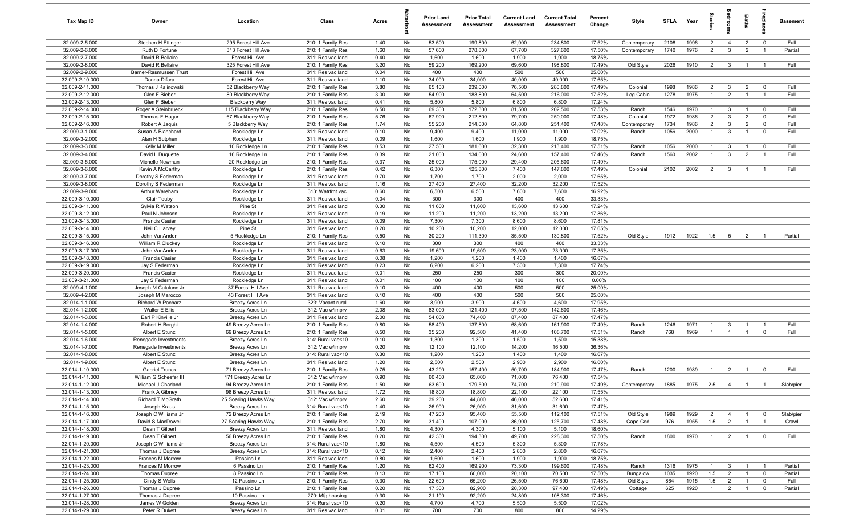| Tax Map ID                         | Owner                                        | Location                                  | Class                                  | Acres        |          | <b>Prior Land</b><br>Assessment | <b>Prior Total</b><br>Assessment | <b>Current Land</b><br>Assessment | <b>Current Total</b><br>Assessment | Percent<br>Change | Style        | <b>SFI A</b> | Year     | tories         | adroom          | Baths          | ireplace                | <b>Basement</b> |
|------------------------------------|----------------------------------------------|-------------------------------------------|----------------------------------------|--------------|----------|---------------------------------|----------------------------------|-----------------------------------|------------------------------------|-------------------|--------------|--------------|----------|----------------|-----------------|----------------|-------------------------|-----------------|
| 32.009-2-5.000                     | Stephen H Ettinger                           | 295 Forest Hill Ave                       | 210: 1 Family Res                      | 1.40         | No       | 53,500                          | 199,800                          | 62,900                            | 234,800                            | 17.52%            | Contemporary | 2108         | 1996     | $\overline{2}$ | $\overline{4}$  | $\overline{2}$ | $\overline{\mathbf{0}}$ | Full            |
| 32.009-2-6.000                     | Ruth D Fortune                               | 313 Forest Hill Ave                       | 210: 1 Family Res                      | 1.60         | No       | 57,600                          | 278,800                          | 67,700                            | 327,600                            | 17.50%            | Contemporary | 1740         | 1976     | 2              | $\mathbf{3}$    | $\overline{2}$ | $\overline{1}$          | Partial         |
| 32.009-2-7.000                     | David R Bellaire                             | Forest Hill Ave                           | 311: Res vac land                      | 0.40         | No       | 1,600                           | 1,600                            | 1,900                             | 1,900                              | 18.75%            |              |              |          |                |                 |                |                         |                 |
| 32.009-2-8.000                     | David R Bellaire                             | 325 Forest Hill Ave                       | 210: 1 Family Res                      | 3.20         | No       | 59,200                          | 169,200                          | 69,600                            | 198,800                            | 17.49%            | Old Style    | 2026         | 1910     | $\overline{2}$ | $\overline{3}$  | $\overline{1}$ | - 1                     | Full            |
| 32.009-2-9.000<br>32.009-2-10.000  | Barner-Rasmussen Trust<br>Donna Difara       | Forest Hill Ave<br>Forest Hill Ave        | 311: Res vac land<br>311: Res vac land | 0.04<br>1.10 | No<br>No | 400<br>34,000                   | 400<br>34,000                    | 500<br>40,000                     | 500<br>40,000                      | 25.00%<br>17.65%  |              |              |          |                |                 |                |                         |                 |
| 32.009-2-11.000                    | Thomas J Kalinowski                          | 52 Blackberry Way                         | 210: 1 Family Res                      | 3.80         | No       | 65,100                          | 239,000                          | 76,500                            | 280,800                            | 17.49%            | Colonial     | 1998         | 1986     | $\overline{2}$ | $\mathbf{3}$    | $\overline{2}$ | $^{\circ}$              | Full            |
| 32.009-2-12.000                    | Glen F Bieber                                | 80 Blackberry Way                         | 210: 1 Family Res                      | 3.00         | No       | 54,900                          | 183,800                          | 64,500                            | 216,000                            | 17.52%            | Log Cabin    | 1278         | 1975     | $\overline{1}$ | $\overline{2}$  | $\overline{1}$ | $\overline{1}$          | Full            |
| 32.009-2-13.000                    | Glen F Bieber                                | <b>Blackberry Way</b>                     | 311: Res vac land                      | 0.41         | No       | 5,800                           | 5,800                            | 6,800                             | 6,800                              | 17.24%            |              |              |          |                |                 |                |                         |                 |
| 32.009-2-14.000                    | Roger A Steinbrueck                          | 115 Blackberry Way                        | 210: 1 Family Res                      | 6.50         | No       | 69,300                          | 172,300                          | 81,500                            | 202,500                            | 17.53%            | Ranch        | 1546         | 1970     | $\overline{1}$ | $\mathbf{3}$    | $\overline{1}$ | $\overline{0}$          | Full            |
| 32.009-2-15.000                    | Thomas F Hagar                               | 67 Blackberry Way                         | 210: 1 Family Res                      | 5.76         | No       | 67,900                          | 212,800                          | 79,700                            | 250,000                            | 17.48%            | Colonial     | 1972         | 1986     | $\overline{2}$ | $\mathbf{3}$    | $\overline{2}$ | $\mathbf 0$             | Full            |
| 32.009-2-16.000                    | Robert A Jaquis                              | 5 Blackberry Way                          | 210: 1 Family Res                      | 1.74         | No       | 55,200                          | 214,000                          | 64,800                            | 251,400                            | 17.48%            | Contemporary | 1734         | 1986     | $\overline{2}$ | $\mathbf{3}$    | $\overline{2}$ | $\mathbf 0$             | Full            |
| 32.009-3-1.000                     | Susan A Blanchard                            | Rockledge Ln                              | 311: Res vac land                      | 0.10         | No       | 9,400                           | 9,400                            | 11,000                            | 11,000                             | 17.02%            | Ranch        | 1056         | 2000     | $\overline{1}$ | $\mathbf{3}$    | $\overline{1}$ | $^{\circ}$              | Full            |
| 32.009-3-2.000                     | Alan H Sutphen                               | Rockledge Ln                              | 311: Res vac land                      | 0.09         | No       | 1,600                           | 1,600                            | 1,900                             | 1,900                              | 18.75%            |              |              |          |                |                 |                |                         |                 |
| 32.009-3-3.000                     | Kelly M Miller                               | 10 Rockledge Ln                           | 210: 1 Family Res                      | 0.53         | No       | 27,500                          | 181,600                          | 32,300                            | 213,400                            | 17.51%            | Ranch        | 1056         | 2000     | $\overline{1}$ | $\mathbf{3}$    | $\overline{1}$ | $^{\circ}$              | Full            |
| 32.009-3-4.000                     | David L Duquette                             | 16 Rockledge Ln                           | 210: 1 Family Res                      | 0.39         | No       | 21,000                          | 134,000                          | 24,600                            | 157,400                            | 17.46%            | Ranch        | 1560         | 2002     | $\mathbf{1}$   | $\overline{3}$  | $\overline{2}$ | $\overline{1}$          | Full            |
| 32.009-3-5.000                     | Michelle Newman                              | 20 Rockledge Ln                           | 210: 1 Family Res                      | 0.37         | No       | 25,000                          | 175,000                          | 29,400                            | 205,600                            | 17.49%            |              |              |          |                |                 |                |                         |                 |
| 32.009-3-6.000<br>32.009-3-7.000   | Kevin A McCarthy<br>Dorothy S Federman       | Rockledge Ln<br>Rockledge Ln              | 210: 1 Family Res<br>311: Res vac land | 0.42<br>0.70 | No<br>No | 6,300<br>1,700                  | 125,800<br>1,700                 | 7,400<br>2,000                    | 147,800<br>2,000                   | 17.49%<br>17.65%  | Colonial     | 2102         | 2002     | 2              | $\mathbf{3}$    | $\overline{1}$ | - 1                     | Full            |
| 32.009-3-8.000                     | Dorothy S Federman                           | Rockledge Ln                              | 311: Res vac land                      | 1.16         | No       | 27,400                          | 27,400                           | 32,200                            | 32,200                             | 17.52%            |              |              |          |                |                 |                |                         |                 |
| 32.009-3-9.000                     | Arthur Wareham                               | Rockledge Ln                              | 313: Watrfrnt vac                      | 0.60         | No       | 6,500                           | 6,500                            | 7,600                             | 7,600                              | 16.92%            |              |              |          |                |                 |                |                         |                 |
| 32.009-3-10.000                    | Clair Touby                                  | Rockledge Ln                              | 311: Res vac land                      | 0.04         | No       | 300                             | 300                              | 400                               | 400                                | 33.33%            |              |              |          |                |                 |                |                         |                 |
| 32.009-3-11.000                    | Sylvia R Watson                              | Pine St                                   | 311: Res vac land                      | 0.30         | No       | 11,600                          | 11,600                           | 13,600                            | 13,600                             | 17.24%            |              |              |          |                |                 |                |                         |                 |
| 32.009-3-12.000                    | Paul N Johnson                               | Rockledge Ln                              | 311: Res vac land                      | 0.19         | No       | 11,200                          | 11,200                           | 13,200                            | 13,200                             | 17.86%            |              |              |          |                |                 |                |                         |                 |
| 32.009-3-13.000                    | <b>Francis Casier</b>                        | Rockledge Ln                              | 311: Res vac land                      | 0.09         | No       | 7,300                           | 7,300                            | 8,600                             | 8,600                              | 17.81%            |              |              |          |                |                 |                |                         |                 |
| 32.009-3-14.000                    | Neil C Harvey                                | Pine St                                   | 311: Res vac land                      | 0.20         | No       | 10,200                          | 10,200                           | 12,000                            | 12,000                             | 17.65%            |              |              |          |                |                 |                |                         |                 |
| 32.009-3-15.000                    | John VanAnden                                | 5 Rockledge Ln                            | 210: 1 Family Res                      | 0.50         | No       | 30,200                          | 111,300                          | 35,500                            | 130,800                            | 17.52%            | Old Style    | 1912         | 1922     | 1.5            | $5\overline{)}$ | $\overline{2}$ | $\overline{1}$          | Partial         |
| 32.009-3-16.000                    | William R Cluckey                            | Rockledge Ln                              | 311: Res vac land                      | 0.10         | No       | 300                             | 300                              | 400                               | 400                                | 33.33%            |              |              |          |                |                 |                |                         |                 |
| 32.009-3-17.000                    | John VanAnden                                | Rockledge Ln                              | 311: Res vac land                      | 0.63         | No       | 19,600                          | 19,600                           | 23,000                            | 23,000                             | 17.35%            |              |              |          |                |                 |                |                         |                 |
| 32.009-3-18.000                    | <b>Francis Casier</b>                        | Rockledge Ln                              | 311: Res vac land                      | 0.08         | No       | 1,200                           | 1,200                            | 1,400                             | 1,400                              | 16.67%            |              |              |          |                |                 |                |                         |                 |
| 32.009-3-19.000                    | Jay S Federman                               | Rockledge Ln                              | 311: Res vac land                      | 0.23         | No       | 6,200                           | 6,200                            | 7,300                             | 7,300                              | 17.74%            |              |              |          |                |                 |                |                         |                 |
| 32.009-3-20.000<br>32.009-3-21.000 | <b>Francis Casier</b>                        | Rockledge Ln                              | 311: Res vac land                      | 0.01         | No<br>No | 250<br>100                      | 250<br>100                       | 300<br>100                        | 300<br>100                         | 20.00%<br>0.00%   |              |              |          |                |                 |                |                         |                 |
| 32.009-4-1.000                     | Jay S Federman<br>Joseph M Catalano Jr       | Rockledge Ln<br>37 Forest Hill Ave        | 311: Res vac land<br>311: Res vac land | 0.01<br>0.10 | No       | 400                             | 400                              | 500                               | 500                                | 25.00%            |              |              |          |                |                 |                |                         |                 |
| 32.009-4-2.000                     | Joseph M Marocco                             | 43 Forest Hill Ave                        | 311: Res vac land                      | 0.10         | No       | 400                             | 400                              | 500                               | 500                                | 25.00%            |              |              |          |                |                 |                |                         |                 |
| 32.014-1-1.000                     | Richard W Pacharz                            | Breezy Acres Ln                           | 323: Vacant rural                      | 1.60         | No       | 3,900                           | 3,900                            | 4,600                             | 4,600                              | 17.95%            |              |              |          |                |                 |                |                         |                 |
| 32.014-1-2.000                     | Walter E Ellis                               | Breezy Acres Ln                           | 312: Vac w/imprv                       | 2.08         | No       | 83,000                          | 121,400                          | 97,500                            | 142,600                            | 17.46%            |              |              |          |                |                 |                |                         |                 |
| 32.014-1-3.000                     | Earl P Kinville Jr                           | Breezy Acres Ln                           | 311: Res vac land                      | 2.00         | No       | 54,000                          | 74,400                           | 87,400                            | 87,400                             | 17.47%            |              |              |          |                |                 |                |                         |                 |
| 32.014-1-4.000                     | Robert H Borghi                              | 49 Breezy Acres Ln                        | 210: 1 Family Res                      | 0.80         | No       | 58,400                          | 137,800                          | 68,600                            | 161,900                            | 17.49%            | Ranch        | 1246         | 1971     | $\overline{1}$ | 3               | $\overline{1}$ | $\overline{1}$          | Full            |
| 32.014-1-5.000                     | Albert E Stunzi                              | 69 Breezy Acres Ln                        | 210: 1 Family Res                      | 0.50         | No       | 35,200                          | 92,500                           | 41,400                            | 108,700                            | 17.51%            | Ranch        | 768          | 1969     | $\overline{1}$ | $\overline{1}$  | $\mathbf{1}$   | $\Omega$                | Full            |
| 32.014-1-6.000                     | Renegade Investments                         | Breezy Acres Ln                           | 314: Rural vac<10                      | 0.10         | No       | 1,300                           | 1,300                            | 1,500                             | 1,500                              | 15.38%            |              |              |          |                |                 |                |                         |                 |
| 32.014-1-7.000                     | Renegade Investments                         | Breezy Acres Ln                           | 312: Vac w/imprv                       | 0.20         | No       | 12,100                          | 12,100                           | 14,200                            | 16,500                             | 36.36%            |              |              |          |                |                 |                |                         |                 |
| 32.014-1-8.000                     | Albert E Stunzi                              | Breezy Acres Ln                           | 314: Rural vac<10                      | 0.30         | No       | 1,200                           | 1,200                            | 1,400                             | 1,400                              | 16.67%            |              |              |          |                |                 |                |                         |                 |
| 32.014-1-9.000                     | Albert E Stunzi                              | Breezy Acres Ln                           | 311: Res vac land                      | 1.20         | No       | 2,500                           | 2,500                            | 2,900                             | 2,900                              | 16.00%            |              |              |          |                |                 |                |                         |                 |
| 32.014-1-10.000                    | Gabriel Trunck                               | 71 Breezy Acres Ln                        | 210: 1 Family Res                      | 0.75         | No       | 43,200                          | 157,400                          | 50,700                            | 184,900                            | 17.47%            | Ranch        | 1200         | 1989     | $\overline{1}$ | $\overline{2}$  |                | $\mathbf 0$             | Full            |
| 32.014-1-11.000<br>32.014-1-12.000 | William G Scheefer III<br>Michael J Charland | 171 Breezy Acres Ln<br>94 Breezy Acres Ln | 312: Vac w/imprv<br>210: 1 Family Res  | 0.90<br>1.50 | No<br>No | 60,400<br>63,600                | 65,000<br>179,500                | 71,000<br>74,700                  | 76,400<br>210,900                  | 17.54%<br>17.49%  |              | 1885         |          |                | $\overline{4}$  |                |                         | Slab/pier       |
| 32.014-1-13.000                    | Frank A Gibney                               | 98 Breezy Acres Ln                        | 311: Res vac land                      | 1.72         | No       | 18,800                          | 18,800                           | 22,100                            | 22,100                             | 17.55%            | Contemporary |              | 1975 2.5 |                |                 |                |                         |                 |
| 32.014-1-14.000                    | Richard T McGrath                            | 25 Soaring Hawks Way                      | 312: Vac w/imprv                       | 2.60         | No       | 39,200                          | 44,800                           | 46,000                            | 52,600                             | 17.41%            |              |              |          |                |                 |                |                         |                 |
| 32.014-1-15.000                    | Joseph Kraus                                 | Breezy Acres Ln                           | 314: Rural vac<10                      | 1.40         | No       | 26,900                          | 26,900                           | 31,600                            | 31,600                             | 17.47%            |              |              |          |                |                 |                |                         |                 |
| 32.014-1-16.000                    | Joseph C Williams Jr                         | 72 Breezy Acres Ln                        | 210: 1 Family Res                      | 2.19         | No       | 47,200                          | 95,400                           | 55,500                            | 112,100                            | 17.51%            | Old Style    | 1989         | 1929     | $\overline{2}$ | $\overline{4}$  | $\overline{1}$ | $\overline{\mathbf{0}}$ | Slab/pier       |
| 32.014-1-17.000                    | David S MacDowell                            | 27 Soaring Hawks Way                      | 210: 1 Family Res                      | 2.70         | No       | 31,400                          | 107,000                          | 36,900                            | 125,700                            | 17.48%            | Cape Cod     | 976          | 1955     | 1.5            | $\overline{2}$  | $\mathbf{1}$   | $\overline{1}$          | Crawl           |
| 32.014-1-18.000                    | Dean T Gilbert                               | Breezy Acres Ln                           | 311: Res vac land                      | 1.80         | No       | 4,300                           | 4,300                            | 5,100                             | 5,100                              | 18.60%            |              |              |          |                |                 |                |                         |                 |
| 32.014-1-19.000                    | Dean T Gilbert                               | 56 Breezy Acres Ln                        | 210: 1 Family Res                      | 0.20         | No       | 42,300                          | 194,300                          | 49,700                            | 228,300                            | 17.50%            | Ranch        | 1800         | 1970     | $\overline{1}$ | $\overline{2}$  | $\overline{1}$ | $\mathbf 0$             | Full            |
| 32.014-1-20.000                    | Joseph C Williams Jr                         | Breezy Acres Ln                           | 314: Rural vac<10                      | 1.80         | No       | 4,500                           | 4,500                            | 5,300                             | 5,300                              | 17.78%            |              |              |          |                |                 |                |                         |                 |
| 32.014-1-21.000                    | Thomas J Dupree                              | Breezy Acres Ln                           | 314: Rural vac<10                      | 0.12         | No       | 2,400                           | 2,400                            | 2,800                             | 2,800                              | 16.67%            |              |              |          |                |                 |                |                         |                 |
| 32.014-1-22.000                    | Frances M Morrow                             | Passino Ln                                | 311: Res vac land                      | 0.80         | No       | 1,600                           | 1,600                            | 1,900                             | 1,900                              | 18.75%            |              |              |          |                |                 |                |                         |                 |
| 32.014-1-23.000                    | Frances M Morrow                             | 6 Passino Ln                              | 210: 1 Family Res                      | 1.20         | No       | 62,400                          | 169,900                          | 73,300                            | 199,600                            | 17.48%            | Ranch        | 1316         | 1975     | $\overline{1}$ | $\mathbf{3}$    | $\overline{1}$ | $\overline{1}$          | Partial         |
| 32.014-1-24.000                    | Thomas Dupree                                | 8 Passino Ln                              | 210: 1 Family Res                      | 0.13         | No       | 17,100                          | 60,000                           | 20,100                            | 70,500                             | 17.50%            | Bungalow     | 1035         | 1920     | 1.5            | $\overline{2}$  | $\mathbf{1}$   | $\overline{0}$          | Partial         |
| 32.014-1-25.000                    | Cindy S Wells                                | 12 Passino Ln                             | 210: 1 Family Res                      | 0.30         | No       | 22,600                          | 65,200                           | 26,500                            | 76,600                             | 17.48%            | Old Style    | 864          | 1915     | 1.5            | $\overline{2}$  | $\overline{1}$ | $\mathbf 0$             | Full            |
| 32.014-1-26.000<br>32.014-1-27.000 | Thomas J Dupree<br>Thomas J Dupree           | Passino Ln<br>10 Passino Ln               | 210: 1 Family Res<br>270: Mfg housing  | 0.20<br>0.30 | No<br>No | 17,300<br>21,100                | 82,900<br>92,200                 | 20,300<br>24,800                  | 97,400<br>108,300                  | 17.49%<br>17.46%  | Cottage      | 625          | 1920     | $\mathbf{1}$   | $\overline{2}$  | $\overline{1}$ | $\mathbf 0$             | Partial         |
| 32.014-1-28.000                    | James W Golden                               | Breezy Acres Ln                           | 314: Rural vac<10                      | 0.20         | No       | 4,700                           | 4,700                            | 5,500                             | 5,500                              | 17.02%            |              |              |          |                |                 |                |                         |                 |
| 32.014-1-29.000                    | Peter R Dukett                               | Breezy Acres Ln                           | 311: Res vac land                      | 0.01         | No       | 700                             | 700                              | 800                               | 800                                | 14.29%            |              |              |          |                |                 |                |                         |                 |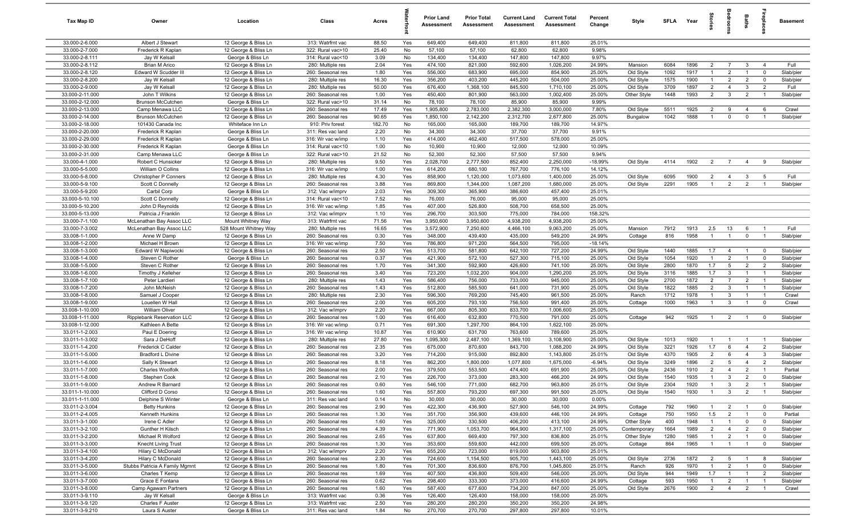| <b>Tax Map ID</b>                  | Owner                                    | Location                                      | Class                                  | Acres         |            | <b>Prior Land</b><br>Assessment | <b>Prior Total</b><br><b>Assessment</b> | <b>Current Land</b><br>Assessment | <b>Current Total</b><br><b>Assessment</b> | Percent<br>Change | Style                  | SFLA Year    |              | 들<br>등                           |                                  | Baths                            | lebia                            | <b>Basement</b>      |
|------------------------------------|------------------------------------------|-----------------------------------------------|----------------------------------------|---------------|------------|---------------------------------|-----------------------------------------|-----------------------------------|-------------------------------------------|-------------------|------------------------|--------------|--------------|----------------------------------|----------------------------------|----------------------------------|----------------------------------|----------------------|
| 33.000-2-6.000                     | Albert J Stewart                         | 12 George & Bliss Ln                          | 313: Watrfrnt vac                      | 88.50         | Yes        | 649,400                         | 649,400                                 | 811,800                           | 811,800                                   | 25.01%            |                        |              |              |                                  |                                  |                                  |                                  |                      |
| 33.000-2-7.000                     | Frederick R Kaplan                       | 12 George & Bliss Ln                          | 322: Rural vac>10                      | 25.40         | No         | 57,100                          | 57,100                                  | 62,800                            | 62,800                                    | 9.98%             |                        |              |              |                                  |                                  |                                  |                                  |                      |
| 33.000-2-8.111                     | Jay W Kelsall                            | George & Bliss Ln                             | 314: Rural vac<10                      | 3.09          | No         | 134,400                         | 134,400                                 | 147,800                           | 147,800                                   | 9.97%             |                        |              |              |                                  |                                  |                                  |                                  |                      |
| 33.000-2-8.112<br>33.000-2-8.120   | Brian M Arico<br>Edward W Scudder III    | 12 George & Bliss Ln<br>12 George & Bliss Ln  | 280: Multiple res<br>260: Seasonal res | 2.04<br>1.80  | Yes<br>Yes | 474,100<br>556,000              | 821,000<br>683,900                      | 592,600<br>695,000                | 1,026,200<br>854,900                      | 24.99%<br>25.00%  | Mansion<br>Old Style   | 6084<br>1092 | 1896<br>1917 | $\overline{2}$<br>$\overline{1}$ | $\overline{7}$<br>$\overline{2}$ | $\mathbf{3}$<br>$\overline{1}$   | $\overline{4}$<br>$\mathbf 0$    | Full<br>Slab/pier    |
| 33.000-2-8.200                     | Jay W Kelsall                            | 12 George & Bliss Ln                          | 280: Multiple res                      | 16.30         | Yes        | 356,200                         | 403,200                                 | 445,200                           | 504,000                                   | 25.00%            | Old Style              | 1575         | 1900         | $\overline{1}$                   | $\overline{2}$                   | $\overline{2}$                   | $\mathbf 0$                      | Slab/pier            |
| 33.000-2-9.000                     | Jay W Kelsall                            | 12 George & Bliss Ln                          | 280: Multiple res                      | 50.00         | Yes        | 676,400                         | 1,368,100                               | 845,500                           | 1,710,100                                 | 25.00%            | Old Style              | 3709         | 1897         | $\overline{2}$                   | $\overline{4}$                   | -3                               | $\overline{2}$                   | Full                 |
| 33.000-2-11.000                    | John T Wilkins                           | 12 George & Bliss Ln                          | 260: Seasonal res                      | 1.00          | Yes        | 450,400                         | 801,900                                 | 563,000                           | 1,002,400                                 | 25.00%            | Other Style            | 1448         | 1993         | $\overline{2}$                   | $\mathbf{3}$                     | $\overline{2}$                   | $\overline{1}$                   | Slab/pier            |
| 33.000-2-12.000                    | Brunson McCutchen                        | George & Bliss Ln                             | 322: Rural vac>10                      | 31.14         | No         | 78,100                          | 78,100                                  | 85,900                            | 85,900                                    | 9.99%             |                        |              |              |                                  |                                  |                                  |                                  |                      |
| 33.000-2-13.000                    | Camp Menawa LLC                          | 12 George & Bliss Ln                          | 260: Seasonal res                      | 17.49         | Yes        | 1,905,800                       | 2,783,000                               | 2,382,300                         | 3,000,000                                 | 7.80%             | Old Style              | 5511         | 1925         | $\overline{2}$                   | 9                                | $\overline{4}$                   | 6                                | Crawl                |
| 33.000-2-14.000                    | Brunson McCutchen                        | 12 George & Bliss Ln                          | 260: Seasonal res                      | 90.65         | Yes        | 1,850,100                       | 2,142,200                               | 2,312,700                         | 2,677,800                                 | 25.00%            | Bungalow               | 1042         | 1888         | -1                               | $\mathbf 0$                      | $\mathbf 0$                      | $\overline{1}$                   | Slab/pier            |
| 33.000-2-18.000                    | 101430 Canada Inc                        | Whiteface Inn Ln                              | 910: Priv forest                       | 182.70        | No         | 165,000                         | 165,000                                 | 189,700                           | 189,700                                   | 14.97%            |                        |              |              |                                  |                                  |                                  |                                  |                      |
| 33.000-2-20.000                    | Frederick R Kaplan                       | George & Bliss Ln                             | 311: Res vac land                      | 2.20          | No         | 34,300                          | 34,300                                  | 37,700                            | 37,700                                    | 9.91%             |                        |              |              |                                  |                                  |                                  |                                  |                      |
| 33.000-2-29.000                    | Frederick R Kaplan                       | George & Bliss Ln                             | 316: Wr vac w/imp                      | 1.10          | Yes        | 414,000                         | 462,400                                 | 517,500                           | 578,000                                   | 25.00%            |                        |              |              |                                  |                                  |                                  |                                  |                      |
| 33.000-2-30.000<br>33.000-2-31.000 | Frederick R Kaplan<br>Camp Menawa LLC    | George & Bliss Ln<br>George & Bliss Ln        | 314: Rural vac<10<br>322: Rural vac>10 | 1.00<br>21.52 | No<br>No   | 10,900<br>52,300                | 10,900<br>52,300                        | 12,000<br>57,500                  | 12,000<br>57,500                          | 10.09%<br>9.94%   |                        |              |              |                                  |                                  |                                  |                                  |                      |
| 33.000-4-1.000                     | Robert C Hunsicker                       | 12 George & Bliss Ln                          | 280: Multiple res                      | 9.50          | Yes        | 2,028,700                       | 2,777,500                               | 852,400                           | 2,250,000                                 | $-18.99%$         | Old Style              | 4114         | 1902         | $\overline{2}$                   | $\overline{7}$                   | 4                                | 9                                | Slab/pier            |
| 33.000-5-5.000                     | William O Collins                        | 12 George & Bliss Ln                          | 316: Wr vac w/imp                      | 1.00          | Yes        | 614,200                         | 680,100                                 | 767,700                           | 776,100                                   | 14.12%            |                        |              |              |                                  |                                  |                                  |                                  |                      |
| 33.000-5-8.000                     | Christopher P Conners                    | 12 George & Bliss Ln                          | 280: Multiple res                      | 4.30          | Yes        | 858,900                         | 1,120,000                               | 1,073,600                         | 1,400,000                                 | 25.00%            | Old Style              | 6095         | 1900         | $\overline{2}$                   | $\overline{4}$                   | $\mathbf{3}$                     | 5                                | Full                 |
| 33.000-5-9.100                     | Scott C Donnelly                         | 12 George & Bliss Ln                          | 260: Seasonal res                      | 3.88          | Yes        | 869,800                         | 1,344,000                               | 1,087,200                         | 1,680,000                                 | 25.00%            | Old Style              | 2291         | 1905         | $\overline{1}$                   | $\overline{2}$                   | $\overline{2}$                   | $\overline{1}$                   | Slab/pier            |
| 33.000-5-9.200                     | Carbil Corp                              | George & Bliss Ln                             | 312: Vac w/imprv                       | 2.03          | Yes        | 309,300                         | 365,900                                 | 386,600                           | 457,400                                   | 25.01%            |                        |              |              |                                  |                                  |                                  |                                  |                      |
| 33.000-5-10.100                    | Scott C Donnelly                         | 12 George & Bliss Ln                          | 314: Rural vac<10                      | 7.52          | No         | 76,000                          | 76,000                                  | 95,000                            | 95,000                                    | 25.00%            |                        |              |              |                                  |                                  |                                  |                                  |                      |
| 33.000-5-10.200                    | John D Reynolds                          | 12 George & Bliss Ln                          | 316: Wr vac w/imp                      | 1.85          | Yes        | 407,000                         | 526,800                                 | 508,700                           | 658,500                                   | 25.00%            |                        |              |              |                                  |                                  |                                  |                                  |                      |
| 33.000-5-13.000                    | Patricia J Franklin                      | 12 George & Bliss Ln                          | 312: Vac w/imprv                       | 1.10          | Yes        | 296,700                         | 303,500                                 | 775,000                           | 784,000                                   | 158.32%           |                        |              |              |                                  |                                  |                                  |                                  |                      |
| 33.000-7-1.100                     | McLenathan Bay Assoc LLC                 | Mount Whitney Way                             | 313: Watrfrnt vac                      | 71.56         | Yes        | 3,950,600                       | 3,950,600                               | 4,938,200                         | 4,938,200                                 | 25.00%            |                        |              |              |                                  |                                  |                                  | $\overline{1}$                   | Full                 |
| 33.000-7-3.002<br>33.008-1-1.000   | McLenathan Bay Assoc LLC<br>Anne W Damp  | 528 Mount Whitney Way<br>12 George & Bliss Ln | 280: Multiple res<br>260: Seasonal res | 16.65<br>0.30 | Yes<br>Yes | 3,572,900<br>348,000            | 7,250,600<br>439,400                    | 4,466,100<br>435,000              | 9,063,200<br>549,200                      | 25.00%<br>24.99%  | Mansion<br>Cottage     | 7912<br>816  | 1913<br>1958 | 2.5<br>$\overline{1}$            | 13<br>$\overline{1}$             | 6<br>$\mathbf 0$                 | $\overline{1}$                   | Slab/pier            |
| 33.008-1-2.000                     | Michael H Brown                          | 12 George & Bliss Ln                          | 316: Wr vac w/imp                      | 7.50          | Yes        | 786,800                         | 971,200                                 | 564,500                           | 795,000                                   | $-18.14%$         |                        |              |              |                                  |                                  |                                  |                                  |                      |
| 33.008-1-3.000                     | Edward W Napiwocki                       | 12 George & Bliss Ln                          | 260: Seasonal res                      | 2.50          | Yes        | 513,700                         | 581,800                                 | 642,100                           | 727,200                                   | 24.99%            | Old Style              | 1440         | 1885         | 1.7                              | $\overline{4}$                   | $\overline{1}$                   | $\overline{\mathbf{0}}$          | Slab/pier            |
| 33.008-1-4.000                     | Steven C Rother                          | George & Bliss Ln                             | 260: Seasonal res                      | 0.37          | Yes        | 421,900                         | 572,100                                 | 527,300                           | 715,100                                   | 25.00%            | Old Style              | 1054         | 1920         | $\overline{1}$                   | $\overline{2}$                   | $\overline{1}$                   | $\mathbf 0$                      | Slab/pier            |
| 33.008-1-5.000                     | Steven C Rother                          | 12 George & Bliss Ln                          | 260: Seasonal res                      | 1.70          | Yes        | 341,300                         | 592,900                                 | 426,600                           | 741,100                                   | 25.00%            | Old Style              | 2800         | 1870         | 1.7                              | $5\overline{5}$                  | $\overline{2}$                   | $\overline{2}$                   | Slab/pier            |
| 33.008-1-6.000                     | Timothy J Kelleher                       | 12 George & Bliss Ln                          | 260: Seasonal res                      | 3.40          | Yes        | 723,200                         | 1,032,200                               | 904,000                           | 1,290,200                                 | 25.00%            | Old Style              | 3116         | 1885         | 1.7                              | $\mathbf{3}$                     | $\overline{1}$                   | $\overline{1}$                   | Slab/pier            |
| 33.008-1-7.100                     | Peter Lardieri                           | 12 George & Bliss Ln                          | 280: Multiple res                      | 1.43          | Yes        | 586,400                         | 756,000                                 | 733,000                           | 945,000                                   | 25.00%            | Old Style              | 2700         | 1872         | $\overline{2}$                   | $\overline{7}$                   | $\overline{2}$                   | $\overline{1}$                   | Slab/pier            |
| 33.008-1-7.200                     | John McNeish                             | 12 George & Bliss Ln                          | 260: Seasonal res                      | 1.43          | Yes        | 512,800                         | 585,500                                 | 641,000                           | 731,900                                   | 25.00%            | Old Style              | 1822         | 1885         | $\overline{2}$                   | $\mathbf{3}$                     | $\overline{1}$                   | $\overline{1}$                   | Slab/pier            |
| 33.008-1-8.000                     | Samuel J Cooper                          | 12 George & Bliss Ln                          | 280: Multiple res                      | 2.30          | Yes        | 596,300                         | 769,200                                 | 745,400                           | 961,500                                   | 25.00%            | Ranch                  | 1712         | 1978<br>1963 | $\overline{1}$<br>$\overline{1}$ | $\mathbf{3}$<br>$\mathbf{3}$     | $\overline{1}$<br>$\overline{1}$ | $\overline{1}$<br>$\overline{0}$ | Crawl                |
| 33.008-1-9.000<br>33.008-1-10.000  | Louellen W Hall<br>William Oliver        | 12 George & Bliss Ln<br>12 George & Bliss Ln  | 260: Seasonal res<br>312: Vac w/imprv  | 2.00<br>2.20  | Yes<br>Yes | 605,200<br>667,000              | 793,100<br>805,300                      | 756,500<br>833,700                | 991,400<br>1,006,600                      | 25.00%<br>25.00%  | Cottage                | 1000         |              |                                  |                                  |                                  |                                  | Crawl                |
| 33.008-1-11.000                    | Ripplebank Reservation LLC               | 12 George & Bliss Ln                          | 260: Seasonal res                      | 1.00          | Yes        | 616,400                         | 632,800                                 | 770,500                           | 791,000                                   | 25.00%            | Cottage                | 942          | 1925         | $\overline{1}$                   | $\overline{2}$                   | $\overline{1}$                   | $\mathbf 0$                      | Slab/pier            |
| 33.008-1-12.000                    | Kathleen A Bette                         | 12 George & Bliss Ln                          | 316: Wr vac w/imp                      | 0.71          | Yes        | 691,300                         | 1,297,700                               | 864,100                           | 1,622,100                                 | 25.00%            |                        |              |              |                                  |                                  |                                  |                                  |                      |
| 33.011-1-2.003                     | Paul E Doering                           | 12 George & Bliss Ln                          | 316: Wr vac w/imp                      | 10.87         | Yes        | 610,900                         | 631,700                                 | 763,600                           | 789,600                                   | 25.00%            |                        |              |              |                                  |                                  |                                  |                                  |                      |
| 33.011-1-3.002                     | Sara J DeHoff                            | 12 George & Bliss Ln                          | 280: Multiple res                      | 27.80         | Yes        | 1,095,300                       | 2,487,100                               | 1,369,100                         | 3,108,900                                 | 25.00%            | Old Style              | 1013         | 1920         | -1                               | -1                               | $\overline{1}$                   | $\overline{1}$                   | Slab/pier            |
| 33.011-1-4.200                     | Frederick C Calder                       | 12 George & Bliss Ln                          | 260: Seasonal res                      | 2.35          | Yes        | 675,000                         | 870,600                                 | 843,700                           | 1,088,200                                 | 24.99%            | Old Style              | 3221         | 1926         | 1.7                              | 6                                | $\overline{4}$                   | $\overline{2}$                   | Slab/pier            |
| 33.011-1-5.000                     | Bradford L Divine                        | 12 George & Bliss Ln                          | 260: Seasonal res                      | 3.20          | Yes        | 714,200                         | 915,000                                 | 892,800                           | 1,143,800                                 | 25.01%            | Old Style              | 4370         | 1905         | $\overline{2}$                   | 6                                | $\overline{4}$                   | $\mathbf{3}$                     | Slab/pier            |
| 33.011-1-6.000                     | Sally K Stewart                          | 12 George & Bliss Ln                          | 260: Seasonal res                      | 8.18          | Yes        | 862,200                         | 1,800,000                               | 1,077,800                         | 1,675,000                                 | $-6.94%$          | Old Style              | 3249         | 1896         | $\overline{2}$                   | $5\overline{5}$                  | $\overline{4}$                   | $\overline{2}$<br>$\overline{1}$ | Slab/pier            |
| 33.011-1-7.000<br>33.011-1-8.000   | Charles Woolfolk<br>Stephen Cook         | 12 George & Bliss Ln                          | 260: Seasonal res<br>260: Seasonal res | 2.00<br>2.10  | Yes<br>Yes | 379,500<br>226,700              | 553,500<br>373,000                      | 474,400<br>283,300                | 691,900<br>466,200                        | 25.00%<br>24.99%  | Old Style<br>Old Style | 2436<br>1540 | 1910<br>1935 | $\overline{2}$<br>$\overline{1}$ | $\overline{4}$<br>3              | $\overline{2}$<br>$\overline{2}$ | $\mathbf 0$                      | Partial<br>Slab/pier |
| 33.011-1-9.000                     | Andrew R Barnard                         | 12 George & Bliss Ln<br>12 George & Bliss Ln  | 260: Seasonal res                      | 0.60          | Yes        | 546,100                         | 771,000                                 | 682,700                           | 963,800                                   | 25.01%            | Old Style              | 2304         | 1920         | $\overline{1}$                   | 3                                | $\overline{2}$                   |                                  | Slab/pier            |
| 33.011-1-10.000                    | Clifford D Corso                         | 12 George & Bliss Ln                          | 260: Seasonal res                      | 1.60          | Yes        | 557,800                         | 793,200                                 | 697,300                           | 991,500                                   | 25.00%            | Old Style              | 1540         | 1930         | $\overline{1}$                   | $\mathbf{3}$                     | $\overline{2}$                   | $\overline{1}$                   | Slab/pier            |
| 33.011-1-11.000                    | Delphine S Winter                        | George & Bliss Ln                             | 311: Res vac land                      | 0.14          | No         | 30,000                          | 30,000                                  | 30,000                            | 30,000                                    | 0.00%             |                        |              |              |                                  |                                  |                                  |                                  |                      |
| 33.011-2-3.004                     | <b>Betty Hunkins</b>                     | 12 George & Bliss Ln                          | 260: Seasonal res                      | 2.90          | Yes        | 422,300                         | 436,900                                 | 527,900                           | 546,100                                   | 24.99%            | Cottage                | 792          | 1960         | $\overline{1}$                   | $\overline{2}$                   | $\overline{1}$                   | $\mathbf 0$                      | Slab/pier            |
| 33.011-2-4.005                     | Kenneth Hunkins                          | 12 George & Bliss Ln                          | 260: Seasonal res                      | 1.30          | Yes        | 351,700                         | 356,900                                 | 439,600                           | 446,100                                   | 24.99%            | Cottage                | 750          | 1950         | 1.5                              | $\overline{2}$                   | $\overline{1}$                   | $\overline{0}$                   | Partial              |
| 33.011-3-1.000                     | Irene C Adler                            | 12 George & Bliss Ln                          | 260: Seasonal res                      | 1.60          | Yes        | 325,000                         | 330,500                                 | 406,200                           | 413,100                                   | 24.99%            | Other Style            | 400          | 1948         | $\overline{1}$                   | -1                               | $\mathbf 0$                      | $\mathbf 0$                      | Slab/pier            |
| 33.011-3-2.100                     | Gunther H Kilsch                         | 12 George & Bliss Ln                          | 260: Seasonal res                      | 4.39          | Yes        | 771,900                         | 1,053,700                               | 964,900                           | 1,317,100                                 | 25.00%            | Contemporary           | 1664         | 1989         | $\overline{2}$                   | $\overline{4}$                   | $\overline{2}$                   | $\overline{0}$                   | Slab/pier            |
| 33.011-3-2.200                     | Michael R Wolford                        | 12 George & Bliss Ln                          | 260: Seasonal res                      | 2.65          | Yes        | 637,800                         | 669,400                                 | 797,300                           | 836,800                                   | 25.01%            | Other Style            | 1280         | 1985         | -1                               | $\overline{2}$                   | $\overline{1}$                   | $\overline{0}$                   | Slab/pier            |
| 33.011-3-3.000<br>33.011-3-4.100   | Knecht Living Trust<br>Hilary C McDonald | 12 George & Bliss Ln<br>12 George & Bliss Ln  | 260: Seasonal res<br>312: Vac w/imprv  | 1.30<br>2.20  | Yes<br>Yes | 353,600<br>655,200              | 559,600<br>723,000                      | 442,000<br>819,000                | 699,500<br>903,800                        | 25.00%<br>25.01%  | Cottage                | 864          | 1965         | $\overline{1}$                   | $\overline{1}$                   | $\overline{1}$                   | $\overline{\mathbf{0}}$          | Slab/pier            |
| 33.011-3-4.200                     | Hilary C McDonald                        | 12 George & Bliss Ln                          | 260: Seasonal res                      | 2.30          | Yes        | 724,600                         | 1,154,500                               | 905,700                           | 1,443,100                                 | 25.00%            | Old Style              | 2736         | 1872         | $\overline{2}$                   | $5\overline{5}$                  | $\overline{1}$                   | 8                                | Slab/pier            |
| 33.011-3-5.000                     | Stubbs Patricia A Family Mgmnt           | 12 George & Bliss Ln                          | 260: Seasonal res                      | 1.80          | Yes        | 701,300                         | 836,600                                 | 876,700                           | 1,045,800                                 | 25.01%            | Ranch                  | 926          | 1970         | $\overline{1}$                   | $\overline{2}$                   | $\overline{1}$                   | $\mathbf 0$                      | Slab/pier            |
| 33.011-3-6.000                     | Charles T Kemp                           | 12 George & Bliss Ln                          | 260: Seasonal res                      | 1.69          | Yes        | 407,500                         | 436,800                                 | 509,400                           | 546,000                                   | 25.00%            | Old Style              | 944          | 1949         | 1.7                              | $\overline{1}$                   | $\overline{1}$                   | $\overline{2}$                   | Slab/pier            |
| 33.011-3-7.000                     | Grace E Fontana                          | 12 George & Bliss Ln                          | 260: Seasonal res                      | 0.62          | Yes        | 298,400                         | 333,300                                 | 373,000                           | 416,600                                   | 24.99%            | Cottage                | 593          | 1950         | $\overline{1}$                   | $\overline{2}$                   | $\overline{1}$                   | $\overline{1}$                   | Slab/pier            |
| 33.011-3-8.000                     | Camp Agawam Partners                     | 12 George & Bliss Ln                          | 260: Seasonal res                      | 1.60          | Yes        | 587,400                         | 677,600                                 | 734,200                           | 847,000                                   | 25.00%            | Old Style              | 2676         | 1900         | $\overline{2}$                   | $\overline{4}$                   | $\overline{2}$                   | $\overline{1}$                   | Crawl                |
| 33.011-3-9.110                     | Jay W Kelsall                            | George & Bliss Ln                             | 313: Watrfrnt vac                      | 0.36          | Yes        | 126,400                         | 126,400                                 | 158,000                           | 158,000                                   | 25.00%            |                        |              |              |                                  |                                  |                                  |                                  |                      |
| 33.011-3-9.120                     | Charles F Auster                         | 12 George & Bliss Ln                          | 313: Watrfrnt vac                      | 2.50          | Yes        | 280,200                         | 280,200                                 | 350,200                           | 350,200                                   | 24.98%            |                        |              |              |                                  |                                  |                                  |                                  |                      |
| 33.011-3-9.210                     | Laura S Auster                           | George & Bliss Ln                             | 311: Res vac land                      | 1.84          | No         | 270,700                         | 270,700                                 | 297,800                           | 297,800                                   | 10.01%            |                        |              |              |                                  |                                  |                                  |                                  |                      |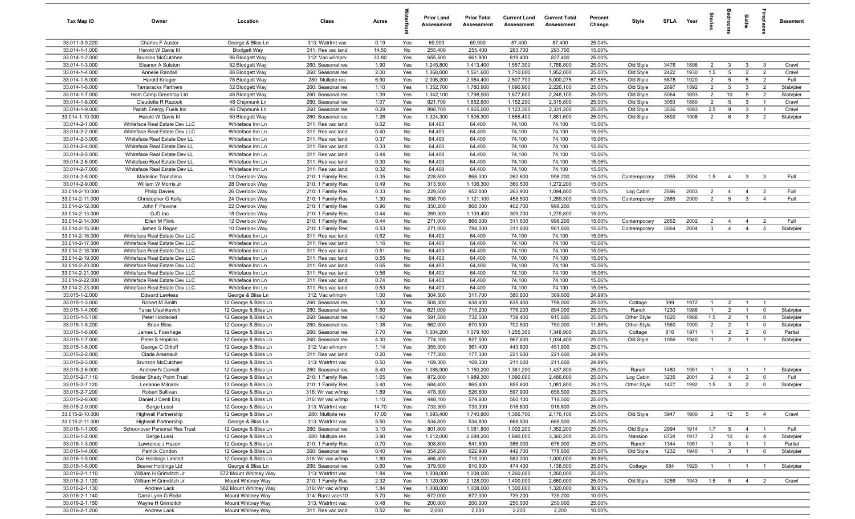| Tax Map ID                         | Owner                                                          | Location                                     | Class                                  | Acres        |            | <b>Prior Land</b><br>Assessment | <b>Prior Total</b><br><b>Assessment</b> | <b>Current Land</b><br>Assessment | <b>Current Total</b><br><b>Assessment</b> | Percent<br>Change | Style                    | <b>SFLA</b>  | Year         | 흞                     |                                           | Baths                          | repla                          | <b>Basement</b>   |
|------------------------------------|----------------------------------------------------------------|----------------------------------------------|----------------------------------------|--------------|------------|---------------------------------|-----------------------------------------|-----------------------------------|-------------------------------------------|-------------------|--------------------------|--------------|--------------|-----------------------|-------------------------------------------|--------------------------------|--------------------------------|-------------------|
| 33.011-3-9.220                     | Charles F Auster                                               | George & Bliss Ln                            | 313: Watrfrnt vac                      | 0.19         | Yes        | 69,900                          | 69,900                                  | 87,400                            | 87,400                                    | 25.04%            |                          |              |              |                       |                                           |                                |                                |                   |
| 33.014-1-1.000                     | Harold W Davis III                                             | <b>Blodgett Way</b>                          | 311: Res vac land                      | 14.50        | No         | 255,400                         | 255,400                                 | 293,700                           | 293,700                                   | 15.00%            |                          |              |              |                       |                                           |                                |                                |                   |
| 33.014-1-2.000                     | Brunson McCutchen                                              | 96 Blodgett Way                              | 312: Vac w/imprv                       | 30.80        | Yes        | 655,500                         | 661,900                                 | 819,400                           | 827,400                                   | 25.00%            |                          |              |              |                       |                                           |                                |                                |                   |
| 33.014-1-3.000<br>33.014-1-4.000   | Eleanor A Sulston<br>Annelie Randall                           | 92 Blodgett Way                              | 260: Seasonal res<br>260: Seasonal res | 1.90<br>2.00 | Yes<br>Yes | 1,245,800<br>1,368,000          | 1,413,400<br>1,561,600                  | 1,557,300<br>1,710,000            | 1,766,800<br>1,952,000                    | 25.00%<br>25.00%  | Old Style                | 3476<br>2422 | 1898<br>1930 | $\overline{2}$<br>1.5 | $\mathbf{3}$<br>$5\phantom{.0}$           | $\mathbf{3}$<br>$\overline{2}$ | $\mathbf{3}$<br>$\overline{2}$ | Crawl<br>Crawl    |
| 33.014-1-5.000                     | Harold Krieger                                                 | 88 Blodgett Way<br>78 Blodgett Way           | 280: Multiple res                      | 6.90         | Yes        | 2,006,200                       | 2,984,400                               | 2,507,700                         | 5,000,275                                 | 67.55%            | Old Style<br>Old Style   | 5878         | 1920         | $\overline{2}$        | 5                                         | 5                              | $\overline{2}$                 | Full              |
| 33.014-1-6.000                     | <b>Tamaracks Partners</b>                                      | 52 Blodgett Way                              | 260: Seasonal res                      | 1.10         | Yes        | 1,352,700                       | 1,780,900                               | 1,690,900                         | 2,226,100                                 | 25.00%            | Old Style                | 2697         | 1892         | $\overline{2}$        | $5\overline{5}$                           | $\mathbf{3}$                   | $\overline{2}$                 | Slab/pier         |
| 33.014-1-7.000                     | Hom Camp Greentop Ltd                                          | 48 Blodgett Way                              | 260: Seasonal res                      | 1.39         | Yes        | 1,342,100                       | 1,798,500                               | 1,677,600                         | 2,248,100                                 | 25.00%            | Old Style                | 5064         | 1893         | $\overline{2}$        | 10                                        | $5\phantom{.0}$                | $\overline{2}$                 | Slab/pier         |
| 33.014-1-8.000                     | Claudette R Razook                                             | 48 Chipmunk Ln                               | 260: Seasonal res                      | 1.07         | Yes        | 921,700                         | 1,852,600                               | 1,152,200                         | 2,315,800                                 | 25.00%            | Old Style                | 3053         | 1880         | $\overline{2}$        | $5^{\circ}$                               | $\mathbf{3}$                   | $\overline{1}$                 | Crawl             |
| 33.014-1-9.000                     | Parish Energy Fuels Inc                                        | 46 Chipmunk Ln                               | 260: Seasonal res                      | 0.29         | Yes        | 898,700                         | 1,865,000                               | 1,123,300                         | 2,331,200                                 | 25.00%            | Old Style                | 3536         | 1893         | 2.5                   | 9                                         | $\mathbf{3}$                   | $\overline{1}$                 | Crawl             |
| 33.014-1-10.000                    | Harold W Davis III                                             | 50 Blodgett Way                              | 260: Seasonal res                      | 1.26         | Yes        | 1,324,300                       | 1,505,300                               | 1,655,400                         | 1,881,600                                 | 25.00%            | Old Style                | 3692         | 1908         | $\overline{2}$        | 6                                         | $\mathbf{3}$                   | $\overline{2}$                 | Slab/pier         |
| 33.014-2-1.000                     | Whiteface Real Estate Dev LLC                                  | Whiteface Inn Ln                             | 311: Res vac land                      | 0.62         | No         | 64,400                          | 64,400                                  | 74,100                            | 74,100                                    | 15.06%            |                          |              |              |                       |                                           |                                |                                |                   |
| 33.014-2-2.000                     | Whiteface Real Estate Dev LLC                                  | Whiteface Inn Ln                             | 311: Res vac land                      | 0.40         | No         | 64,400                          | 64,400                                  | 74,100                            | 74,100                                    | 15.06%            |                          |              |              |                       |                                           |                                |                                |                   |
| 33.014-2-3.000                     | Whiteface Real Estate Dev LL                                   | Whiteface Inn Ln                             | 311: Res vac land                      | 0.37         | No         | 64,400                          | 64,400                                  | 74,100                            | 74,100                                    | 15.06%            |                          |              |              |                       |                                           |                                |                                |                   |
| 33.014-2-4.000                     | Whiteface Real Estate Dev LL                                   | Whiteface Inn Ln                             | 311: Res vac land                      | 0.33         | No         | 64,400                          | 64,400                                  | 74,100                            | 74,100                                    | 15.06%            |                          |              |              |                       |                                           |                                |                                |                   |
| 33.014-2-5.000                     | Whiteface Real Estate Dev LL                                   | Whiteface Inn Ln                             | 311: Res vac land                      | 0.44         | No         | 64,400                          | 64,400                                  | 74,100                            | 74,100                                    | 15.06%            |                          |              |              |                       |                                           |                                |                                |                   |
| 33.014-2-6.000                     | Whiteface Real Estate Dev LL                                   | Whiteface Inn Ln                             | 311: Res vac land                      | 0.30         | No         | 64,400                          | 64,400                                  | 74,100                            | 74,100                                    | 15.06%            |                          |              |              |                       |                                           |                                |                                |                   |
| 33.014-2-7.000<br>33.014-2-8.000   | Whiteface Real Estate Dev LL<br>Madeline Tranchina             | Whiteface Inn Ln<br>13 Overlook Way          | 311: Res vac land<br>210: 1 Family Res | 0.32<br>0.35 | No<br>No   | 64,400<br>228,500               | 64,400<br>868,000                       | 74,100<br>262,800                 | 74,100<br>998,200                         | 15.06%<br>15.00%  | Contemporary             | 2055         | 2004         | 1.5                   | $\overline{4}$                            | $\mathbf{3}$                   | $\mathbf{3}$                   | Full              |
| 33.014-2-9.000                     | William W Morris Jr                                            | 28 Overlook Way                              | 210: 1 Family Res                      | 0.49         | No         | 313,500                         | 1,106,300                               | 360,500                           | 1,272,200                                 | 15.00%            |                          |              |              |                       |                                           |                                |                                |                   |
| 33.014-2-10.000                    | <b>Philip Davies</b>                                           | 26 Overlook Way                              | 210: 1 Family Res                      | 0.33         | No         | 229,500                         | 952,000                                 | 263,900                           | 1,094,800                                 | 15.00%            | Log Cabin                | 2596         | 2003         | $\overline{2}$        | $\overline{4}$                            | $\overline{4}$                 | $\overline{2}$                 | Full              |
| 33.014-2-11.000                    | Christopher G Kelly                                            | 24 Overlook Way                              | 210: 1 Family Res                      | 1.30         | No         | 398,700                         | 1,121,100                               | 458,500                           | 1,289,300                                 | 15.00%            | Contemporary             | 2885         | 2000         | $\overline{2}$        | $5\overline{5}$                           | $\mathbf{3}$                   | $\overline{4}$                 | Full              |
| 33.014-2-12.000                    | John F Pavone                                                  | 22 Overlook Way                              | 210: 1 Family Res                      | 0.96         | No         | 350,200                         | 868,000                                 | 402,700                           | 998,200                                   | 15.00%            |                          |              |              |                       |                                           |                                |                                |                   |
| 33.014-2-13.000                    | GJD Inc                                                        | 18 Overlook Way                              | 210: 1 Family Res                      | 0.44         | No         | 269,300                         | 1,109,400                               | 309,700                           | 1,275,800                                 | 15.00%            |                          |              |              |                       |                                           |                                |                                |                   |
| 33.014-2-14.000                    | Ellen M Flink                                                  | 12 Overlook Way                              | 210: 1 Family Res                      | 0.44         | No         | 271,000                         | 868,000                                 | 311,600                           | 998,200                                   | 15.00%            | Contemporary             | 2652         | 2002         | $\overline{2}$        | $\overline{4}$                            | $\overline{4}$                 | $\overline{2}$                 | Full              |
| 33.014-2-15.000                    | James S Regan                                                  | 10 Overlook Way                              | 210: 1 Family Res                      | 0.53         | No         | 271,000                         | 784,000                                 | 311,600                           | 901,600                                   | 15.00%            | Contemporary             | 5064         | 2004         | $\mathbf{3}$          | $\overline{4}$                            | $\overline{4}$                 | 5                              | Slab/pier         |
| 33.014-2-16.000                    | Whiteface Real Estate Dev LLC                                  | Whiteface Inn Ln                             | 311: Res vac land                      | 0.62         | No         | 64,400                          | 64,400                                  | 74,100                            | 74,100                                    | 15.06%            |                          |              |              |                       |                                           |                                |                                |                   |
| 33.014-2-17.000                    | Whiteface Real Estate Dev LLC                                  | Whiteface Inn Ln                             | 311: Res vac land                      | 1.16         | No         | 64,400                          | 64,400                                  | 74,100                            | 74,100                                    | 15.06%            |                          |              |              |                       |                                           |                                |                                |                   |
| 33.014-2-18.000                    | Whiteface Real Estate Dev LLC                                  | Whiteface Inn Ln                             | 311: Res vac land                      | 0.51         | No         | 64,400                          | 64,400                                  | 74,100                            | 74,100                                    | 15.06%            |                          |              |              |                       |                                           |                                |                                |                   |
| 33.014-2-19.000                    | Whiteface Real Estate Dev LLC                                  | Whiteface Inn Ln                             | 311: Res vac land                      | 0.55         | No         | 64,400                          | 64,400                                  | 74,100                            | 74,100                                    | 15.06%            |                          |              |              |                       |                                           |                                |                                |                   |
| 33.014-2-20.000                    | Whiteface Real Estate Dev LLC                                  | Whiteface Inn Ln                             | 311: Res vac land                      | 0.65         | No         | 64,400                          | 64,400                                  | 74,100                            | 74,100                                    | 15.06%            |                          |              |              |                       |                                           |                                |                                |                   |
| 33.014-2-21.000                    | Whiteface Real Estate Dev LLC                                  | Whiteface Inn Ln                             | 311: Res vac land                      | 0.56         | No         | 64,400                          | 64,400                                  | 74,100                            | 74,100                                    | 15.06%            |                          |              |              |                       |                                           |                                |                                |                   |
| 33.014-2-22.000<br>33.014-2-23.000 | Whiteface Real Estate Dev LLC<br>Whiteface Real Estate Dev LLC | Whiteface Inn Ln<br>Whiteface Inn Ln         | 311: Res vac land<br>311: Res vac land | 0.74<br>0.53 | No<br>No   | 64,400<br>64,400                | 64,400<br>64,400                        | 74,100<br>74,100                  | 74,100<br>74,100                          | 15.06%<br>15.06%  |                          |              |              |                       |                                           |                                |                                |                   |
| 33.015-1-2.000                     | <b>Edward Lawless</b>                                          | George & Bliss Ln                            | 312: Vac w/imprv                       | 1.00         | Yes        | 304,500                         | 311,700                                 | 380,600                           | 389,600                                   | 24.99%            |                          |              |              |                       |                                           |                                |                                |                   |
| 33.015-1-3.000                     | Robert M Smith                                                 | 12 George & Bliss Ln                         | 260: Seasonal res                      | 1.30         | Yes        | 508,300                         | 638,400                                 | 635,400                           | 798,000                                   | 25.00%            | Cottage                  | 399          | 1972         | $\overline{1}$        | 2                                         | $\overline{1}$                 | $\overline{1}$                 |                   |
| 33.015-1-4.000                     | Taras Ulashkevich                                              | 12 George & Bliss Ln                         | 260: Seasonal res                      | 1.60         | Yes        | 621,000                         | 715,200                                 | 776,200                           | 894,000                                   | 25.00%            | Ranch                    | 1230         | 1986         | $\overline{1}$        | 2                                         | $\overline{1}$                 | $\mathbf 0$                    | Slab/pier         |
| 33.015-1-5.100                     | Peter Holderied                                                | 12 George & Bliss Ln                         | 260: Seasonal res                      | 1.42         | Yes        | 591,500                         | 732,500                                 | 739,400                           | 915,600                                   | 25.00%            | Other Style              | 1620         | 1988         | 1.5                   | $\overline{2}$                            | $\overline{1}$                 | $\mathbf 0$                    | Slab/pier         |
| 33.015-1-5.200                     | <b>Brian Bliss</b>                                             | 12 George & Bliss Ln                         | 260: Seasonal res                      | 1.38         | Yes        | 562,000                         | 670,500                                 | 702,500                           | 750,000                                   | 11.86%            | Other Style              | 1560         | 1990         | $\overline{2}$        | $\overline{2}$                            | $\overline{1}$                 | $\mathbf 0$                    | Slab/pier         |
| 33.015-1-6.000                     | James L Fosshage                                               | 12 George & Bliss Ln                         | 260: Seasonal res                      | 7.70         | Yes        | 1,004,200                       | 1,079,100                               | 1,255,300                         | 1,348,900                                 | 25.00%            | Cottage                  | 816          | 1971         | -1                    | $\overline{2}$                            | $\overline{2}$                 | $\mathbf 0$                    | Partial           |
| 33.015-1-7.000                     | Peter S Hopkins                                                | 12 George & Bliss Ln                         | 260: Seasonal res                      | 4.30         | Yes        | 774,100                         | 827,500                                 | 967,600                           | 1,034,400                                 | 25.00%            | Old Style                | 1056         | 1940         |                       | $\overline{2}$                            |                                |                                | Slab/pier         |
| 33.015-1-8.000                     | George C Ortloff                                               | 12 George & Bliss Ln                         | 312: Vac w/imprv                       | 1.14         | Yes        | 355,000                         | 361,400                                 | 443,800                           | 451,800                                   | 25.01%            |                          |              |              |                       |                                           |                                |                                |                   |
| 33.015-2-2.000                     | Clada Arsenault                                                | 12 George & Bliss Ln                         | 311: Res vac land                      | 0.20         | Yes        | 177,300                         | 177,300                                 | 221,600                           | 221,600                                   | 24.99%            |                          |              |              |                       |                                           |                                |                                |                   |
| 33.015-2-3.000                     | <b>Brunson McCutchen</b>                                       | 12 George & Bliss Ln                         | 313: Watrfrnt vac                      | 0.50         | Yes        | 169,300                         | 169,300                                 | 211,600                           | 211,600                                   | 24.99%            |                          |              |              |                       |                                           |                                |                                |                   |
| 33.015-2-6.000                     | Andrew N Carnell                                               | 12 George & Bliss Ln                         | 260: Seasonal res                      | 8.40         | Yes        | 1,088,900                       | 1,150,200                               | 1,361,200                         | 1,437,800                                 | 25.00%            | Ranch                    | 1480         | 1951         | $\overline{1}$        | -3                                        | $\overline{1}$                 |                                | Slab/pier         |
| 33.015-2-7.110<br>33.015-2-7.120   | Snider Shady Point Trust<br>Leeanne Milnarik                   | 12 George & Bliss Ln                         | 210: 1 Family Res<br>210: 1 Family Res | 1.65<br>3.40 | Yes<br>Yes | 872,000<br>684,400              | 1,989,300<br>865,400                    | 1,090,000<br>855,600              | 2,486,600<br>1,081,800                    | 25.00%<br>25.01%  | Log Cabin<br>Other Style | 3235<br>1427 | 2001<br>1992 | $\overline{2}$<br>1.5 | $\overline{4}$<br>$\overline{\mathbf{3}}$ | $\overline{2}$<br>2            | $\mathbf 0$<br>$\Omega$        | Full<br>Slab/pier |
| 33.015-2-7.200                     | Robert Sullivan                                                | 12 George & Bliss Ln<br>12 George & Bliss Ln | 316: Wr vac w/imp                      | 1.89         | Yes        | 478,300                         | 526,800                                 | 597,900                           | 658,500                                   | 25.00%            |                          |              |              |                       |                                           |                                |                                |                   |
| 33.015-2-8.000                     | Daniel J Centi Esq                                             | 12 George & Bliss Ln                         | 316: Wr vac w/imp                      | 1.10         | Yes        | 448,100                         | 574,800                                 | 560,100                           | 718,500                                   | 25.00%            |                          |              |              |                       |                                           |                                |                                |                   |
| 33.015-2-9.000                     | Serge Lussi                                                    | 12 George & Bliss Ln                         | 313: Watrfrnt vac                      | 14.70        | Yes        | 733,300                         | 733,300                                 | 916,600                           | 916,600                                   | 25.00%            |                          |              |              |                       |                                           |                                |                                |                   |
| 33.015-2-10.000                    | <b>Highwall Partnership</b>                                    | 12 George & Bliss Ln                         | 280: Multiple res                      | 17.00        | Yes        | 1,093,400                       | 1,740,900                               | 1,366,700                         | 2,176,100                                 | 25.00%            | Old Style                | 5947         | 1900         | $\overline{2}$        | 12                                        | 5 <sub>5</sub>                 | $\overline{4}$                 | Crawl             |
| 33.015-2-11.000                    | <b>Highwall Partnership</b>                                    | George & Bliss Ln                            | 313: Watrfrnt vac                      | 5.50         | Yes        | 534,800                         | 534,800                                 | 668,500                           | 668,500                                   | 25.00%            |                          |              |              |                       |                                           |                                |                                |                   |
| 33.016-1-1.000                     | Schoonover Personal Res Trust                                  | 12 George & Bliss Ln                         | 260: Seasonal res                      | 3.10         | Yes        | 801,800                         | 1,081,800                               | 1,002,200                         | 1,352,200                                 | 25.00%            | Old Style                | 2994         | 1914         | 1.7                   |                                           | 5 4                            | $\overline{1}$                 | Full              |
| 33.016-1-2.000                     | Serge Lussi                                                    | 12 George & Bliss Ln                         | 280: Multiple res                      | 3.90         | Yes        | 1,512,000                       | 2,688,200                               | 1,890,000                         | 3,360,200                                 | 25.00%            | Mansion                  | 6724         | 1917         | $\overline{2}$        | 10                                        | 6                              | $\overline{4}$                 | Slab/pier         |
| 33.016-1-3.000                     | Lawrence J Hazen                                               | 12 George & Bliss Ln                         | 210: 1 Family Res                      | 0.70         | Yes        | 308,800                         | 541,500                                 | 386,000                           | 676,900                                   | 25.00%            | Ranch                    | 1344         | 1951         | $\overline{1}$        | $\mathbf{3}$                              | $\overline{1}$                 | $\overline{1}$                 | Partial           |
| 33.016-1-4.000                     | Patrick Condon                                                 | 12 George & Bliss Ln                         | 260: Seasonal res                      | 0.40         | Yes        | 354,200                         | 622,900                                 | 442,700                           | 778,600                                   | 25.00%            | Old Style                | 1232         | 1940         | $\overline{1}$        | $\mathbf{3}$                              | $\overline{1}$                 | $\mathbf 0$                    | Slab/pier         |
| 33.016-1-5.000                     | Owl Holdings Limited                                           | 12 George & Bliss Ln                         | 316: Wr vac w/imp                      | 1.80         | Yes        | 466,400                         | 715,000                                 | 583,000                           | 1,000,000                                 | 39.86%            |                          |              |              |                       |                                           |                                |                                |                   |
| 33.016-1-6.000                     | Beaver Holdings Ltd                                            | George & Bliss Ln                            | 260: Seasonal res                      | 0.60         | Yes        | 379,500                         | 910,800                                 | 474,400                           | 1,138,500                                 | 25.00%            | Cottage                  | 684          | 1920         | $\overline{1}$        | $\overline{1}$                            | $\overline{1}$                 | $\overline{1}$                 | Slab/pier         |
| 33.016-2-1.110                     | William H Grimditch Jr                                         | 572 Mount Whitney Way                        | 313: Watrfrnt vac                      | 1.84         | Yes        | 1,008,000                       | 1,008,000                               | 1,260,000                         | 1,260,000                                 | 25.00%            |                          |              |              |                       |                                           |                                |                                |                   |
| 33.016-2-1.120                     | William H Grimditch Jr                                         | Mount Whitney Way                            | 210: 1 Family Res                      | 2.32         | Yes        | 1,120,000                       | 2,128,000                               | 1,400,000                         | 2,660,000                                 | 25.00%            | Old Style                | 3256         | 1943         | 1.5                   | $5^{\circ}$                               | $\overline{4}$                 | $\overline{2}$                 | Crawl             |
| 33.016-2-1.130<br>33.016-2-1.140   | Andrew Lack                                                    | 582 Mount Whitney Way                        | 316: Wr vac w/imp                      | 1.84         | Yes        | 1,008,000                       | 1,008,000                               | 1,300,000                         | 1,320,000                                 | 30.95%<br>10.00%  |                          |              |              |                       |                                           |                                |                                |                   |
| 33.016-2-1.150                     | Carol Lynn G Roda<br>Wayne H Grimditch                         | Mount Whitney Way<br>Mount Whitney Way       | 314: Rural vac<10<br>313: Watrfrnt vac | 5.70<br>0.48 | No<br>No   | 672,000<br>200,000              | 672,000<br>200,000                      | 739,200<br>250,000                | 739,200<br>250,000                        | 25.00%            |                          |              |              |                       |                                           |                                |                                |                   |
| 33.016-2-1.200                     | Andrew Lack                                                    | Mount Whitney Way                            | 311: Res vac land                      | 0.52         | No         | 2,000                           | 2,000                                   | 2,200                             | 2,200                                     | 10.00%            |                          |              |              |                       |                                           |                                |                                |                   |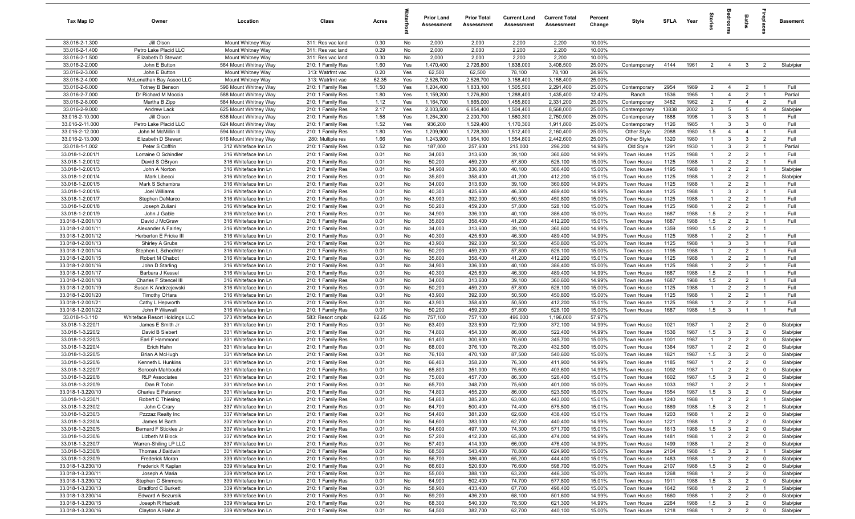| Tax Map ID                             | Owner                                         | Location                                     | Class                                  | Acres         |            | <b>Prior Land</b><br>Assessment | <b>Prior Total</b><br>Assessment | <b>Current Land</b><br>Assessment | <b>Current Total</b><br>Assessment | Percent<br>Change | Style                    | <b>SFLA</b>  | Year         | ŝ                                |                                  | Baths                            | Бер<br>Б                         | <b>Basement</b>        |
|----------------------------------------|-----------------------------------------------|----------------------------------------------|----------------------------------------|---------------|------------|---------------------------------|----------------------------------|-----------------------------------|------------------------------------|-------------------|--------------------------|--------------|--------------|----------------------------------|----------------------------------|----------------------------------|----------------------------------|------------------------|
| 33.016-2-1.300                         | Jill Olson                                    | Mount Whitney Way                            | 311: Res vac land                      | 0.30          | No         | 2,000                           | 2,000                            | 2,200                             | 2,200                              | 10.00%            |                          |              |              |                                  |                                  |                                  |                                  |                        |
| 33.016-2-1.400                         | Petro Lake Placid LLC                         | Mount Whitney Way                            | 311: Res vac land                      | 0.29          | No         | 2,000                           | 2,000                            | 2,200                             | 2,200                              | 10.00%            |                          |              |              |                                  |                                  |                                  |                                  |                        |
| 33.016-2-1.500                         | Elizabeth D Stewart                           | Mount Whitney Way                            | 311: Res vac land                      | 0.30          | No         | 2,000                           | 2,000                            | 2,200                             | 2,200                              | 10.00%            |                          |              |              |                                  |                                  |                                  |                                  |                        |
| 33.016-2-2.000                         | John E Button                                 | 564 Mount Whitney Way                        | 210: 1 Family Res                      | 1.60          | Yes        | 1,470,400                       | 2,726,800                        | 1,838,000                         | 3,408,500                          | 25.00%            | Contemporary             | 4144         | 1961         | $\overline{2}$                   | $\overline{4}$                   | $\mathbf{3}$                     | 2                                | Slab/pier              |
| 33.016-2-3.000<br>33.016-2-4.000       | John E Button<br>McLenathan Bay Assoc LLC     | Mount Whitney Way<br>Mount Whitney Way       | 313: Watrfrnt vac<br>313: Watrfrnt vac | 0.20<br>62.35 | Yes<br>Yes | 62,500<br>2,526,700             | 62,500<br>2,526,700              | 78,100<br>3,158,400               | 78,100<br>3,158,400                | 24.96%<br>25.00%  |                          |              |              |                                  |                                  |                                  |                                  |                        |
| 33.016-2-6.000                         | <b>Totney B Benson</b>                        | 596 Mount Whitney Way                        | 210: 1 Family Res                      | 1.50          | Yes        | 1,204,400                       | 1,833,100                        | 1,505,500                         | 2,291,400                          | 25.00%            | Contemporary             | 2954         | 1989         | $\overline{2}$                   | $\overline{4}$                   | $\overline{2}$                   |                                  | Full                   |
| 33.016-2-7.000                         | Dr Richard M Moccia                           | 588 Mount Whitney Way                        | 210: 1 Family Res                      | 1.80          | Yes        | 1,159,200                       | 1,276,800                        | 1,288,400                         | 1,435,400                          | 12.42%            | Ranch                    | 1536         | 1965         | $\overline{1}$                   | $\overline{4}$                   | $\overline{2}$                   | $\overline{1}$                   | Partial                |
| 33.016-2-8.000                         | Martha B Zipp                                 | 584 Mount Whitney Way                        | 210: 1 Family Res                      | 1.12          | Yes        | 1,164,700                       | 1,865,000                        | 1,455,800                         | 2,331,200                          | 25.00%            | Contemporary             | 3482         | 1962         | $\overline{2}$                   | $\overline{7}$                   | $\overline{4}$                   | $\overline{2}$                   | Full                   |
| 33.016-2-9.000                         | Andrew Lack                                   | 625 Mount Whitney Way                        | 210: 1 Family Res                      | 2.17          | Yes        | 2,003,500                       | 6,854,400                        | 1,504,400                         | 8,568,000                          | 25.00%            | Contemporary             | 13838        | 2002         | $\mathbf{3}$                     | $5\overline{5}$                  | $5\phantom{.0}$                  | $\overline{4}$                   | Slab/pier              |
| 33.016-2-10.000                        | Jill Olson                                    | 636 Mount Whitney Way                        | 210: 1 Family Res                      | 1.58          | Yes        | 1,264,200                       | 2,200,700                        | 1,580,300                         | 2,750,900                          | 25.00%            | Contemporary             | 1888         | 1998         | $\overline{1}$                   | $\mathbf{3}$                     | $\mathbf{3}$                     | $\overline{1}$                   | Full                   |
| 33.016-2-11.000                        | Petro Lake Placid LLC                         | 624 Mount Whitney Way                        | 210: 1 Family Res                      | 1.52          | Yes        | 936,200                         | 1,529,400                        | 1,170,300                         | 1,911,800                          | 25.00%            | Contemporary             | 1126         | 1985         | $\overline{1}$                   | $\mathbf{3}$                     | $\mathbf{3}$                     | $\Omega$                         | Full                   |
| 33.016-2-12.000                        | John M McMillin III                           | 594 Mount Whitney Way                        | 210: 1 Family Res                      | 1.80          | Yes        | 1,209,900                       | 1,728,300                        | 1,512,400                         | 2,160,400                          | 25.00%            | Other Style              | 2088         | 1980         | 1.5                              | $\overline{4}$                   | $\overline{4}$                   | $\mathbf{1}$                     | Full                   |
| 33.016-2-13.000                        | Elizabeth D Stewart                           | 616 Mount Whitney Way                        | 280: Multiple res                      | 1.66          | Yes        | 1,243,900                       | 1,954,100                        | 1,554,800                         | 2,442,600                          | 25.00%            | Other Style              | 1320         | 1980         | $\mathbf{1}$                     | $\mathbf{3}$                     | $\mathbf{3}$                     | $\overline{2}$                   | Full                   |
| 33.018-1-1.002<br>33.018-1-2.001/1     | Peter S Coffrin                               | 312 Whiteface Inn Ln                         | 210: 1 Family Res<br>210: 1 Family Res | 0.52          | No         | 187,000<br>34,000               | 257,600<br>313,600               | 215,000<br>39,100                 | 296,200<br>360,600                 | 14.98%<br>14.99%  | Old Style                | 1291<br>1125 | 1930<br>1988 | $\mathbf{1}$<br>$\mathbf{1}$     | $\mathbf{3}$<br>$\overline{2}$   | $\overline{2}$<br>$\overline{2}$ | $\overline{1}$<br>$\mathbf{1}$   | Partial<br>Full        |
| 33.018-1-2.001/2                       | Lorraine O Schindler<br>David S OBryon        | 316 Whiteface Inn Ln<br>316 Whiteface Inn Ln | 210: 1 Family Res                      | 0.01<br>0.01  | No<br>No   | 50,200                          | 459,200                          | 57,800                            | 528,100                            | 15.00%            | Town House<br>Town House | 1125         | 1988         |                                  | $\overline{2}$                   | $\overline{2}$                   |                                  | Full                   |
| 33.018-1-2.001/3                       | John A Norton                                 | 316 Whiteface Inn Ln                         | 210: 1 Family Res                      | 0.01          | No         | 34,900                          | 336,000                          | 40,100                            | 386,400                            | 15.00%            | Town House               | 1195         | 1988         |                                  | $\overline{2}$                   | $\overline{2}$                   | $\mathbf{1}$                     | Slab/pier              |
| 33.018-1-2.001/4                       | Mark Libecci                                  | 316 Whiteface Inn Ln                         | 210: 1 Family Res                      | 0.01          | No         | 35,800                          | 358,400                          | 41,200                            | 412,200                            | 15.01%            | Town House               | 1125         | 1988         |                                  | $\overline{2}$                   | $\overline{2}$                   |                                  | Slab/pier              |
| 33.018-1-2.001/5                       | Mark S Schambra                               | 316 Whiteface Inn Ln                         | 210: 1 Family Res                      | 0.01          | No         | 34,000                          | 313,600                          | 39,100                            | 360,600                            | 14.99%            | Town House               | 1125         | 1988         | $\mathbf{1}$                     | $\overline{2}$                   | $\overline{2}$                   | $\overline{1}$                   | Full                   |
| 33.018-1-2.001/6                       | Joel Williams                                 | 316 Whiteface Inn Ln                         | 210: 1 Family Res                      | 0.01          | No         | 40,300                          | 425,600                          | 46,300                            | 489,400                            | 14.99%            | Town House               | 1125         | 1988         | $\mathbf{1}$                     | $\mathbf{3}$                     | $\overline{2}$                   | $\overline{1}$                   | Full                   |
| 33.018-1-2.001/7                       | Stephen DeMarco                               | 316 Whiteface Inn Ln                         | 210: 1 Family Res                      | 0.01          | No         | 43,900                          | 392,000                          | 50,500                            | 450,800                            | 15.00%            | Town House               | 1125         | 1988         | $\overline{1}$                   | $\overline{2}$                   | $\overline{2}$                   | $\overline{1}$                   | Full                   |
| 33.018-1-2.001/8                       | Joseph Zuliani                                | 316 Whiteface Inn Ln                         | 210: 1 Family Res                      | 0.01          | No         | 50,200                          | 459,200                          | 57,800                            | 528,100                            | 15.00%            | Town House               | 1125         | 1988         | $\overline{1}$                   | $\overline{2}$                   | $\overline{2}$                   | $\overline{1}$                   | Full                   |
| 33.018-1-2.001/9                       | John J Gable                                  | 316 Whiteface Inn Ln                         | 210: 1 Family Res                      | 0.01          | No         | 34,900                          | 336,000                          | 40,100                            | 386,400                            | 15.00%            | Town House               | 1687         | 1988         | 1.5                              | $\overline{2}$                   | $\overline{2}$                   | $\overline{1}$                   | Full                   |
| 33.018-1-2.001/10                      | David J McGraw                                | 316 Whiteface Inn Ln                         | 210: 1 Family Res                      | 0.01          | No         | 35,800                          | 358,400                          | 41,200                            | 412,200                            | 15.01%            | Town House               | 1687         | 1988         | 1.5                              | $\overline{2}$                   | 2                                | $\overline{1}$                   | Full                   |
| 33.018-1-2.001/11<br>33.018-1-2.001/12 | Alexander A Fairley<br>Herberton E Fricke III | 316 Whiteface Inn Ln<br>316 Whiteface Inn Ln | 210: 1 Family Res<br>210: 1 Family Res | 0.01<br>0.01  | No<br>No   | 34,000<br>40,300                | 313,600<br>425,600               | 39,100<br>46,300                  | 360,600<br>489,400                 | 14.99%<br>14.99%  | Town House<br>Town House | 1359<br>1125 | 1990<br>1988 | 1.5<br>$\mathbf{1}$              | $\overline{2}$<br>$\overline{2}$ | $\overline{2}$<br>$\overline{2}$ | $\mathbf{1}$<br>$\overline{1}$   | Full                   |
| 33.018-1-2.001/13                      | Shirley A Grubs                               | 316 Whiteface Inn Ln                         | 210: 1 Family Res                      | 0.01          | No         | 43,900                          | 392,000                          | 50,500                            | 450,800                            | 15.00%            | Town House               | 1125         | 1988         | $\mathbf{1}$                     | $\mathbf{3}$                     | $\mathbf{3}$                     |                                  | Full                   |
| 33.018-1-2.001/14                      | Stephen L Schechter                           | 316 Whiteface Inn Ln                         | 210: 1 Family Res                      | 0.01          | No         | 50,200                          | 459,200                          | 57,800                            | 528,100                            | 15.00%            | Town House               | 1195         | 1988         | -1                               | $\overline{2}$                   | $\overline{2}$                   | $\mathbf{1}$                     | Full                   |
| 33.018-1-2.001/15                      | Robert M Chabot                               | 316 Whiteface Inn Ln                         | 210: 1 Family Res                      | 0.01          | No         | 35,800                          | 358,400                          | 41,200                            | 412,200                            | 15.01%            | Town House               | 1125         | 1988         | $\mathbf{1}$                     | $\overline{2}$                   | $\overline{2}$                   |                                  | Full                   |
| 33.018-1-2.001/16                      | John D Starling                               | 316 Whiteface Inn Ln                         | 210: 1 Family Res                      | 0.01          | No         | 34,900                          | 336,000                          | 40,100                            | 386,400                            | 15.00%            | Town House               | 1125         | 1988         | $\mathbf{1}$                     | $\overline{2}$                   | $\overline{2}$                   |                                  | Full                   |
| 33.018-1-2.001/17                      | Barbara J Kessel                              | 316 Whiteface Inn Ln                         | 210: 1 Family Res                      | 0.01          | No         | 40,300                          | 425,600                          | 46,300                            | 489,400                            | 14.99%            | Town House               | 1687         | 1988         | 1.5                              | $\overline{2}$                   | $\overline{1}$                   | $\overline{1}$                   | Full                   |
| 33.018-1-2.001/18                      | Charles F Stencel III                         | 316 Whiteface Inn Ln                         | 210: 1 Family Res                      | 0.01          | No         | 34,000                          | 313,600                          | 39,100                            | 360,600                            | 14.99%            | Town House               | 1687         | 1988         | 1.5                              | $\overline{2}$                   | $\overline{2}$                   | $\overline{1}$                   | Full                   |
| 33.018-1-2.001/19                      | Susan K Andrzejewski                          | 316 Whiteface Inn Ln                         | 210: 1 Family Res                      | 0.01          | No         | 50,200                          | 459,200                          | 57,800                            | 528,100                            | 15.00%            | Town House               | 1125         | 1988         | $\overline{1}$                   | $\overline{2}$                   | $\overline{2}$                   | $\overline{1}$                   | Full                   |
| 33.018-1-2.001/20<br>33.018-1-2.001/21 | Timothy OHara                                 | 316 Whiteface Inn Ln<br>316 Whiteface Inn Ln | 210: 1 Family Res<br>210: 1 Family Res | 0.01<br>0.01  | No<br>No   | 43,900<br>43,900                | 392,000<br>358,400               | 50,500<br>50,500                  | 450,800<br>412,200                 | 15.00%<br>15.01%  | Town House<br>Town House | 1125<br>1125 | 1988<br>1988 | $\overline{1}$<br>$\overline{1}$ | $\overline{2}$<br>$\overline{2}$ | $\overline{2}$<br>$\overline{2}$ | $\overline{1}$<br>$\overline{1}$ | Full<br>Full           |
| 33.018-1-2.001/22                      | Cathy L Hepworth<br>John P Wiswall            | 316 Whiteface Inn Ln                         | 210: 1 Family Res                      | 0.01          | No         | 50,200                          | 459,200                          | 57,800                            | 528,100                            | 15.00%            | Town House               | 1687         | 1988         | 1.5                              | $\mathbf{3}$                     | $\overline{1}$                   | $\overline{1}$                   | Full                   |
| 33.018-1-3.110                         | Whiteface Resort Holdings LLC                 | 373 Whiteface Inn Ln                         | 583: Resort cmplx                      | 62.65         | No         | 757,100                         | 757,100                          | 496,000                           | 1,196,000                          | 57.97%            |                          |              |              |                                  |                                  |                                  |                                  |                        |
| 33.018-1-3.220/1                       | James E Smith Jr                              | 331 Whiteface Inn Ln                         | 210: 1 Family Res                      | 0.01          | No         | 63,400                          | 323,600                          | 72,900                            | 372,100                            | 14.99%            | Town House               | 1021         | 1987         | $\mathbf{1}$                     | $\overline{2}$                   | $\overline{2}$                   | $\mathbf 0$                      | Slab/pier              |
| 33.018-1-3.220/2                       | David B Siebert                               | 331 Whiteface Inn Ln                         | 210: 1 Family Res                      | 0.01          | No         | 74,800                          | 454,300                          | 86,000                            | 522,400                            | 14.99%            | Town House               | 1536         | 1987         | 1.5                              | $\mathbf{3}$                     | $\overline{2}$                   | $\mathbf 0$                      | Slab/pier              |
| 33.018-1-3.220/3                       | Earl F Hammond                                | 331 Whiteface Inn Ln                         | 210: 1 Family Res                      | 0.01          | No         | 61,400                          | 300,600                          | 70,600                            | 345,700                            | 15.00%            | Town House               | 1001         | 1987         | $\mathbf{1}$                     | $\overline{2}$                   | $\overline{2}$                   | $\mathbf 0$                      | Slab/pier              |
| 33.018-1-3.220/4                       | Erich Hahn                                    | 331 Whiteface Inn Ln                         | 210: 1 Family Res                      | 0.01          | No         | 68,000                          | 376,100                          | 78,200                            | 432,500                            | 15.00%            | Town House               | 1364         | 1987         | $\mathbf{1}$                     | $\overline{2}$                   | $\overline{2}$                   | $\mathbf 0$                      | Slab/pier              |
| 33.018-1-3.220/5                       | Brian A McHugh                                | 331 Whiteface Inn Ln                         | 210: 1 Family Res                      | 0.01          | No         | 76,100                          | 470,100                          | 87,500                            | 540,600                            | 15.00%            | <b>Town House</b>        | 1821         | 1987         | 1.5                              | $\mathbf{3}$                     | $\overline{2}$                   | $\Omega$                         | Slab/pier              |
| 33.018-1-3.220/6<br>33.018-1-3.220/7   | Kenneth L Hunkins                             | 331 Whiteface Inn Ln                         | 210: 1 Family Res                      | 0.01<br>0.01  | No<br>No   | 66,400<br>65,800                | 358,200<br>351,000               | 76,300<br>75,600                  | 411,900<br>403,600                 | 14.99%<br>14.99%  | Town House               | 1185<br>1092 | 1987<br>1987 | $\mathbf{1}$                     | $\overline{2}$<br>$\overline{2}$ | $\overline{2}$<br>$\overline{2}$ | $\Omega$<br>$\Omega$             | Slab/pier<br>Slab/pier |
| 33.018-1-3.220/8                       | Soroosh Mahboubi<br><b>RLP Associates</b>     | 331 Whiteface Inn Ln<br>331 Whiteface Inn Ln | 210: 1 Family Res<br>210: 1 Family Res | 0.01          | No         | 75,000                          | 457,700                          | 86,300                            | 526,400                            | 15.01%            | Town House<br>Town House | 1602         | 1987         | 1.5                              | $\mathbf{3}$                     | $\overline{2}$                   | $\mathbf 0$                      | Slab/pier              |
| 33.018-1-3.220/9                       | Dan R Tobin                                   | 331 Whiteface Inn Ln                         | 210: 1 Family Res                      | 0.01          | No         | 65,700                          | 348,700                          | 75,600                            | 401,000                            | 15.00%            | Town House               | 1033         | 1987         | $\overline{1}$                   | $\overline{2}$                   | $\overline{2}$                   |                                  | Slab/pier              |
| 33.018-1-3.220/10                      | Charles E Peterson                            | 331 Whiteface Inn Ln                         | 210: 1 Family Res                      | 0.01          | No         | 74,800                          | 455,200                          | 86,000                            | 523,500                            | 15.00%            | Town House               | 1554         | 1987         | 1.5                              | $\mathbf{3}$                     | $\overline{2}$                   | $\mathbf 0$                      | Slab/pier              |
| 33.018-1-3.230/1                       | Robert C Thiesing                             | 337 Whiteface Inn Ln                         | 210: 1 Family Res                      | 0.01          | No         | 54,800                          | 385,200                          | 63,000                            | 443,000                            | 15.01%            | Town House               | 1240         | 1988         | $\overline{1}$                   | $\overline{2}$                   | $\overline{2}$                   | $\overline{1}$                   | Slab/pier              |
| 33.018-1-3.230/2                       | John C Crary                                  | 337 Whiteface Inn Ln                         | 210: 1 Family Res                      | 0.01          | No         | 64,700                          | 500,400                          | 74,400                            | 575,500                            | 15.01%            | Town House               | 1869         | 1988         | 1.5                              | $\mathbf{3}$                     | $\overline{2}$                   | $\mathbf{1}$                     | Slab/pier              |
| 33.018-1-3.230/3                       | Pzzzaz Realty Inc                             | 337 Whiteface Inn Ln                         | 210: 1 Family Res                      | 0.01          | No         | 54,400                          | 381,200                          | 62,600                            | 438,400                            | 15.01%            | Town House               | 1203         | 1988         | $\mathbf{1}$                     | $\overline{2}$                   | $\overline{2}$                   | $\mathbf 0$                      | Slab/pier              |
| 33.018-1-3.230/4                       | James M Barth                                 | 337 Whiteface Inn Ln                         | 210: 1 Family Res                      | 0.01          | No         | 54,600                          | 383,000                          | 62,700                            | 440,400                            | 14.99%            | Town House               | 1221         | 1988         | $\overline{1}$                   | $\overline{2}$                   | $\overline{2}$                   | $\mathbf 0$                      | Slab/pier              |
| 33.018-1-3.230/5                       | Bernard F Stickles Jr                         | 337 Whiteface Inn Ln                         | 210: 1 Family Res                      | 0.01          | No         | 64,600                          | 497,100                          | 74,300                            | 571,700                            | 15.01%            | Town House               | 1813         | 1988         | 1.5                              | $\mathbf{3}$                     | $\overline{2}$                   | $\mathbf 0$                      | Slab/pier              |
| 33.018-1-3.230/6<br>33.018-1-3.230/7   | Lizbeth M Block<br>Warren-Shiling LP LLC      | 337 Whiteface Inn Ln                         | 210: 1 Family Res                      | 0.01          | No         | 57,200                          | 412,200                          | 65,800                            | 474,000                            | 14.99%            | Town House               | 1481         | 1988         | $\mathbf{1}$<br>1                | $\overline{2}$                   | $\overline{2}$                   | $\mathbf 0$                      | Slab/pier              |
| 33.018-1-3.230/8                       | Thomas J Baldwin                              | 337 Whiteface Inn Ln<br>331 Whiteface Inn Ln | 210: 1 Family Res<br>210: 1 Family Res | 0.01<br>0.01  | No<br>No   | 57,400<br>68,500                | 414,300<br>543,400               | 66,000<br>78,800                  | 476,400<br>624,900                 | 14.99%<br>15.00%  | Town House<br>Town House | 1499<br>2104 | 1988<br>1988 | 1.5                              | $\overline{2}$<br>$\mathbf{3}$   | $\overline{2}$<br>$\overline{2}$ | $\mathbf 0$                      | Slab/pier<br>Slab/pier |
| 33.018-1-3.230/9                       | Frederick Moran                               | 339 Whiteface Inn Ln                         | 210: 1 Family Res                      | 0.01          | No         | 56,700                          | 386,400                          | 65,200                            | 444,400                            | 15.01%            | Town House               | 1483         | 1988         | $\overline{1}$                   | $\overline{2}$                   | $\overline{2}$                   | $\mathbf 0$                      | Slab/pier              |
| 33.018-1-3.230/10                      | Frederick R Kaplan                            | 339 Whiteface Inn Ln                         | 210: 1 Family Res                      | 0.01          | No         | 66,600                          | 520,600                          | 76,600                            | 598,700                            | 15.00%            | Town House               | 2107         | 1988         | 1.5                              | $\mathbf{3}$                     | $\overline{2}$                   | $\mathbf 0$                      | Slab/pier              |
| 33.018-1-3.230/11                      | Joseph A Maria                                | 339 Whiteface Inn Ln                         | 210: 1 Family Res                      | 0.01          | No         | 55,000                          | 388,100                          | 63,200                            | 446,300                            | 15.00%            | Town House               | 1268         | 1988         | $\overline{1}$                   | $\overline{2}$                   | $\overline{2}$                   | $\mathbf 0$                      | Slab/pier              |
| 33.018-1-3.230/12                      | Stephen C Simmons                             | 339 Whiteface Inn Ln                         | 210: 1 Family Res                      | 0.01          | No         | 64,900                          | 502,400                          | 74,700                            | 577,800                            | 15.01%            | Town House               | 1911         | 1988         | 1.5                              | $\mathbf{3}$                     | $\overline{2}$                   | $\mathbf 0$                      | Slab/pier              |
| 33.018-1-3.230/13                      | <b>Bradford C Burkett</b>                     | 339 Whiteface Inn Ln                         | 210: 1 Family Res                      | 0.01          | No         | 58,900                          | 433,400                          | 67,700                            | 498,400                            | 15.00%            | Town House               | 1642         | 1988         | $\overline{1}$                   | $\overline{2}$                   | $\overline{2}$                   | $\overline{1}$                   | Slab/pier              |
| 33.018-1-3.230/14                      | <b>Edward A Bezursik</b>                      | 339 Whiteface Inn Ln                         | 210: 1 Family Res                      | 0.01          | No         | 59,200                          | 436,200                          | 68,100                            | 501,600                            | 14.99%            | Town House               | 1660         | 1988         | $\overline{1}$                   | $\overline{2}$                   | $\overline{2}$                   | $\mathbf 0$                      | Slab/pier              |
| 33.018-1-3.230/15                      | Joseph R Hackett                              | 339 Whiteface Inn Ln                         | 210: 1 Family Res                      | 0.01          | No         | 68,300                          | 540,300                          | 78,500                            | 621,300                            | 14.99%            | Town House               | 2264         | 1988         | 1.5                              | $\mathbf{3}$                     | $\overline{2}$                   | $\mathbf 0$                      | Slab/pier              |
| 33.018-1-3.230/16                      | Clayton A Hahn Jr                             | 339 Whiteface Inn Ln                         | 210: 1 Family Res                      | 0.01          | No         | 54,500                          | 382,700                          | 62,700                            | 440,100                            | 15.00%            | Town House               | 1218         | 1988         | $\overline{1}$                   | $\overline{2}$                   | $\overline{2}$                   | $\mathbf 0$                      | Slab/pier              |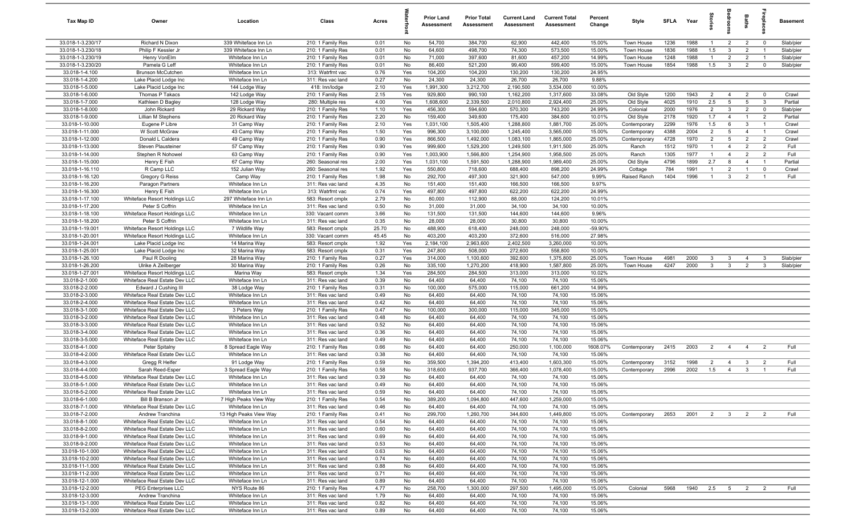| Tax Map ID                         | Owner                                                          | Location                         | Class                                  | Acres        |           | <b>Prior Land</b><br>Assessment | <b>Prior Total</b><br>Assessment | <b>Current Land</b><br>Assessment | <b>Current Total</b><br><b>Assessment</b> | Percent<br>Change | Style                     | <b>SFLA</b>  | Year         | tories                | ăroo                           | Baths                            | replac                        | <b>Basement</b>      |
|------------------------------------|----------------------------------------------------------------|----------------------------------|----------------------------------------|--------------|-----------|---------------------------------|----------------------------------|-----------------------------------|-------------------------------------------|-------------------|---------------------------|--------------|--------------|-----------------------|--------------------------------|----------------------------------|-------------------------------|----------------------|
| 33.018-1-3.230/17                  | Richard N Dixon                                                | 339 Whiteface Inn Ln             | 210: 1 Family Res                      | 0.01         | No        | 54,700                          | 384,700                          | 62,900                            | 442,400                                   | 15.00%            | Town House                | 1236         | 1988         | $\overline{1}$        | $\overline{2}$                 | $\overline{2}$                   | $\overline{\mathbf{0}}$       | Slab/pier            |
| 33.018-1-3.230/18                  | Philip F Kessler Jr                                            | 339 Whiteface Inn Ln             | 210: 1 Family Res                      | 0.01         | No        | 64,600                          | 498,700                          | 74,300                            | 573,500                                   | 15.00%            | Town House                | 1836         | 1988         | 1.5                   | $\mathbf{3}$                   | 2                                | $\overline{1}$                | Slab/pier            |
| 33.018-1-3.230/19                  | Henry VonElm                                                   | Whiteface Inn Ln                 | 210: 1 Family Res                      | 0.01         | No        | 71,000                          | 397,600                          | 81,600                            | 457,200                                   | 14.99%            | Town House                | 1248         | 1988         | $\overline{1}$        | $\overline{2}$                 | $\overline{2}$                   | $\overline{1}$                | Slab/pier            |
| 33.018-1-3.230/20                  | Pamela G Leff                                                  | Whiteface Inn Ln                 | 210: 1 Family Res                      | 0.01         | No        | 86,400                          | 521,200                          | 99,400                            | 599,400                                   | 15.00%            | Town House                | 1854         | 1988         | 1.5                   | $\mathbf{3}$                   | $\overline{2}$                   | $\mathbf 0$                   | Slab/pier            |
| 33.018-1-4.100                     | Brunson McCutchen                                              | Whiteface Inn Ln                 | 313: Watrfrnt vac                      | 0.76         | Yes       | 104,200                         | 104,200                          | 130,200                           | 130,200                                   | 24.95%            |                           |              |              |                       |                                |                                  |                               |                      |
| 33.018-1-4.200                     | Lake Placid Lodge Inc                                          | Whiteface Inn Ln                 | 311: Res vac land                      | 0.27         | No        | 24,300                          | 24,300                           | 26,700                            | 26,700                                    | 9.88%             |                           |              |              |                       |                                |                                  |                               |                      |
| 33.018-1-5.000                     | Lake Placid Lodge Inc                                          | 144 Lodge Way                    | 418: Inn/lodge                         | 2.10         | Yes       | 1,991,300                       | 3,212,700                        | 2,190,500                         | 3,534,000                                 | 10.00%            |                           |              |              |                       |                                |                                  |                               |                      |
| 33.018-1-6.000                     | Thomas P Takacs                                                | 142 Lodge Way                    | 210: 1 Family Res                      | 2.15         | Yes       | 929,800                         | 990,100                          | 1,162,200                         | 1,317,600                                 | 33.08%            | Old Style                 | 1200         | 1943         | $\overline{2}$        | $\overline{4}$                 | $\overline{2}$                   | $\overline{\mathbf{0}}$       | Crawl                |
| 33.018-1-7.000                     | Kathleen D Bagley                                              | 128 Lodge Way                    | 280: Multiple res                      | 4.00         | Yes       | 1,608,600                       | 2,339,500                        | 2,010,800                         | 2,924,400                                 | 25.00%            | Old Style                 | 4025         | 1910         | 2.5                   | $5\overline{5}$                | $5\overline{5}$                  | $\mathbf{3}$                  | Partial              |
| 33.018-1-8.000<br>33.018-1-9.000   | John Rickard<br>Lillian M Stephens                             | 29 Rickard Way<br>20 Rickard Way | 210: 1 Family Res                      | 1.10<br>2.20 | Yes       | 456,300<br>159,400              | 594,600                          | 570,300                           | 743,200                                   | 24.99%<br>10.01%  | Colonial                  | 2000<br>2178 | 1976<br>1920 | $\overline{2}$<br>1.7 | $\mathbf{3}$<br>$\overline{4}$ | $\overline{2}$<br>$\overline{1}$ | $\mathbf 0$<br>$\overline{2}$ | Slab/pier<br>Partial |
| 33.018-1-10.000                    | Eugene P Libre                                                 | 31 Camp Way                      | 210: 1 Family Res<br>210: 1 Family Res | 2.10         | No<br>Yes | 1,031,100                       | 349,600<br>1,505,400             | 175,400<br>1,288,800              | 384,600<br>1,881,700                      | 25.00%            | Old Style<br>Contemporary | 2299         | 1976         | 1.5                   | 6                              | $\mathbf{3}$                     | $\overline{1}$                | Crawl                |
| 33.018-1-11.000                    | W Scott McGraw                                                 | 43 Camp Way                      | 210: 1 Family Res                      | 1.50         | Yes       | 996,300                         | 3,100,000                        | 1,245,400                         | 3,565,000                                 | 15.00%            | Contemporary              | 4388         | 2004         | 2                     | 5                              | $\overline{4}$                   | $\overline{1}$                | Crawl                |
| 33.018-1-12.000                    | Donald L Caldera                                               | 49 Camp Way                      | 210: 1 Family Res                      | 0.90         | Yes       | 866,500                         | 1,492,000                        | 1,083,100                         | 1,865,000                                 | 25.00%            | Contemporary              | 4728         | 1970         | $\overline{2}$        | $5\overline{5}$                | $\overline{2}$                   | $\overline{2}$                | Crawl                |
| 33.018-1-13.000                    | Steven Plausteiner                                             | 57 Camp Way                      | 210: 1 Family Res                      | 0.90         | Yes       | 999,600                         | 1,529,200                        | 1,249,500                         | 1,911,500                                 | 25.00%            | Ranch                     | 1512         | 1970         | $\overline{1}$        | $\overline{4}$                 | $\overline{2}$                   | $\overline{2}$                | Full                 |
| 33.018-1-14.000                    | Stephen R Nohowel                                              | 63 Camp Way                      | 210: 1 Family Res                      | 0.90         | Yes       | 1,003,900                       | 1,566,800                        | 1,254,900                         | 1,958,500                                 | 25.00%            | Ranch                     | 1305         | 1977         | $\overline{1}$        | $\overline{4}$                 | $\overline{2}$                   | $\overline{2}$                | Full                 |
| 33.018-1-15.000                    | Henry E Fish                                                   | 67 Camp Way                      | 260: Seasonal res                      | 2.00         | Yes       | 1,031,100                       | 1,591,500                        | 1,288,900                         | 1,989,400                                 | 25.00%            | Old Style                 | 4796         | 1899         | 2.7                   | 8                              | $\overline{4}$                   | $\overline{1}$                | Partial              |
| 33.018-1-16.110                    | R Camp LLC                                                     | 152 Julian Way                   | 260: Seasonal res                      | 1.92         | Yes       | 550,800                         | 718,600                          | 688,400                           | 898,200                                   | 24.99%            | Cottage                   | 784          | 1991         | $\overline{1}$        | $\overline{2}$                 | $\overline{1}$                   | $\mathbf 0$                   | Crawl                |
| 33.018-1-16.120                    | Gregory G Reiss                                                | Camp Way                         | 210: 1 Family Res                      | 1.98         | No        | 292,700                         | 497,300                          | 321,900                           | 547,000                                   | 9.99%             | Raised Ranch              | 1404         | 1996         | -1                    | 3                              | $\overline{2}$                   |                               | Full                 |
| 33.018-1-16.200                    | Paragon Partners                                               | Whiteface Inn Ln                 | 311: Res vac land                      | 4.35         | No        | 151,400                         | 151,400                          | 166,500                           | 166,500                                   | 9.97%             |                           |              |              |                       |                                |                                  |                               |                      |
| 33.018-1-16.300                    | Henry E Fish                                                   | Whiteface Inn Ln                 | 313: Watrfrnt vac                      | 0.74         | Yes       | 497,800                         | 497,800                          | 622,200                           | 622,200                                   | 24.99%            |                           |              |              |                       |                                |                                  |                               |                      |
| 33.018-1-17.100                    | Whiteface Resort Holdings LLC                                  | 297 Whiteface Inn Ln             | 583: Resort cmplx                      | 2.79         | No        | 80,000                          | 112,900                          | 88,000                            | 124,200                                   | 10.01%            |                           |              |              |                       |                                |                                  |                               |                      |
| 33.018-1-17.200                    | Peter S Coffrin                                                | Whiteface Inn Ln                 | 311: Res vac land                      | 0.50         | No        | 31,000                          | 31,000                           | 34,100                            | 34,100                                    | 10.00%            |                           |              |              |                       |                                |                                  |                               |                      |
| 33.018-1-18.100                    | Whiteface Resort Holdings LLC                                  | Whiteface Inn Ln                 | 330: Vacant comm                       | 3.66         | No        | 131,500                         | 131,500                          | 144,600                           | 144,600                                   | 9.96%             |                           |              |              |                       |                                |                                  |                               |                      |
| 33.018-1-18.200                    | Peter S Coffrin                                                | Whiteface Inn Ln                 | 311: Res vac land                      | 0.35         | No        | 28,000                          | 28,000                           | 30,800                            | 30,800                                    | 10.00%            |                           |              |              |                       |                                |                                  |                               |                      |
| 33.018-1-19.001                    | Whiteface Resort Holdings LLC                                  | 7 Wildlife Way                   | 583: Resort cmplx                      | 25.70        | No        | 488,900                         | 618,400                          | 248,000                           | 248,000                                   | -59.90%           |                           |              |              |                       |                                |                                  |                               |                      |
| 33.018-1-20.001                    | Whiteface Resort Holdings LLC                                  | Whiteface Inn Ln                 | 330: Vacant comm                       | 45.45        | No        | 403,200                         | 403,200                          | 372,600                           | 516,000                                   | 27.98%            |                           |              |              |                       |                                |                                  |                               |                      |
| 33.018-1-24.001                    | Lake Placid Lodge Inc                                          | 14 Marina Way                    | 583: Resort cmplx                      | 1.92         | Yes       | 2,184,100                       | 2,963,600                        | 2,402,500                         | 3,260,000                                 | 10.00%            |                           |              |              |                       |                                |                                  |                               |                      |
| 33.018-1-25.001                    | Lake Placid Lodge Inc                                          | 32 Marina Way                    | 583: Resort cmplx                      | 0.31         | Yes       | 247,800                         | 508,000                          | 272,600                           | 558,800                                   | 10.00%            |                           |              |              |                       |                                |                                  |                               |                      |
| 33.018-1-26.100                    | Paul R Dooling                                                 | 28 Marina Way                    | 210: 1 Family Res                      | 0.27         | Yes       | 314,000                         | 1,100,600                        | 392,600                           | 1,375,800                                 | 25.00%            | Town House                | 4981         | 2000         | 3                     | - 3                            | $\overline{4}$                   | $\mathbf{3}$                  | Slab/pier            |
| 33.018-1-26.200                    | Ulrike A Zeilberger                                            | 30 Marina Way                    | 210: 1 Family Res                      | 0.26         | No        | 335,100                         | 1,270,200                        | 418,900                           | 1,587,800                                 | 25.00%            | Town House                | 4247         | 2000         | $\mathbf{3}$          | $\mathbf{3}$                   | $\overline{2}$                   | $\mathbf{3}$                  | Slab/pier            |
| 33.018-1-27.001                    | Whiteface Resort Holdings LLC                                  | Marina Way                       | 583: Resort cmplx                      | 1.34         | Yes       | 284,500                         | 284,500                          | 313,000                           | 313,000                                   | 10.02%            |                           |              |              |                       |                                |                                  |                               |                      |
| 33.018-2-1.000                     | Whiteface Real Estate Dev LLC                                  | Whiteface Inn Ln                 | 311: Res vac land                      | 0.39         | No        | 64,400                          | 64,400                           | 74,100                            | 74,100                                    | 15.06%            |                           |              |              |                       |                                |                                  |                               |                      |
| 33.018-2-2.000                     | Edward J Cushing III                                           | 38 Lodge Way                     | 210: 1 Family Res                      | 0.31         | No        | 100,000                         | 575,000                          | 115,000                           | 661,200                                   | 14.99%            |                           |              |              |                       |                                |                                  |                               |                      |
| 33.018-2-3.000                     | Whiteface Real Estate Dev LLC                                  | Whiteface Inn Ln                 | 311: Res vac land                      | 0.49         | No        | 64,400                          | 64,400                           | 74,100                            | 74,100                                    | 15.06%            |                           |              |              |                       |                                |                                  |                               |                      |
| 33.018-2-4.000<br>33.018-3-1.000   | Whiteface Real Estate Dev LLC<br>Whiteface Real Estate Dev LLC | Whiteface Inn Ln                 | 311: Res vac land                      | 0.42<br>0.47 | No<br>No  | 64,400                          | 64,400                           | 74,100                            | 74,100<br>345,000                         | 15.06%<br>15.00%  |                           |              |              |                       |                                |                                  |                               |                      |
| 33.018-3-2.000                     | Whiteface Real Estate Dev LLC                                  | 3 Peters Way<br>Whiteface Inn Ln | 210: 1 Family Res<br>311: Res vac land | 0.48         | No        | 100,000<br>64,400               | 300,000<br>64,400                | 115,000<br>74,100                 | 74,100                                    | 15.06%            |                           |              |              |                       |                                |                                  |                               |                      |
| 33.018-3-3.000                     | Whiteface Real Estate Dev LLC                                  | Whiteface Inn Ln                 | 311: Res vac land                      | 0.52         | No        | 64,400                          | 64,400                           | 74,100                            | 74,100                                    | 15.06%            |                           |              |              |                       |                                |                                  |                               |                      |
| 33.018-3-4.000                     | Whiteface Real Estate Dev LLC                                  | Whiteface Inn Ln                 | 311: Res vac land                      | 0.36         | No        | 64,400                          | 64,400                           | 74,100                            | 74,100                                    | 15.06%            |                           |              |              |                       |                                |                                  |                               |                      |
| 33.018-3-5.000                     | Whiteface Real Estate Dev LLC                                  | Whiteface Inn Ln                 | 311: Res vac land                      | 0.49         | No        | 64,400                          | 64,400                           | 74,100                            | 74,100                                    | 15.06%            |                           |              |              |                       |                                |                                  |                               |                      |
| 33.018-4-1.000                     | Peter Spitalny                                                 | 8 Spread Eagle Way               | 210: 1 Family Res                      | 0.66         | No        | 64,400                          | 64,400                           | 250,000                           | 1,100,000                                 | 1608.07%          | Contemporary              | 2415         | 2003         | $\overline{2}$        | $\overline{4}$                 | $\overline{4}$                   | $\overline{2}$                | Full                 |
| 33.018-4-2.000                     | Whiteface Real Estate Dev LLC                                  | Whiteface Inn Ln                 | 311: Res vac land                      | 0.38         | No        | 64,400                          | 64,400                           | 74,100                            | 74,100                                    | 15.06%            |                           |              |              |                       |                                |                                  |                               |                      |
| 33.018-4-3.000                     | Gregg R Helfer                                                 | 91 Lodge Way                     | 210: 1 Family Res                      | 0.59         | No        | 359,500                         | 1,394,200                        | 413,400                           | 1,603,300                                 | 15.00%            | Contemporary              | 3152         | 1998         | $\overline{2}$        | $\overline{4}$                 | $\mathbf{3}$                     | $\overline{2}$                | Full                 |
| 33.018-4-4.000                     | Sarah Reed-Esper                                               | 3 Spread Eagle Way               | 210: 1 Family Res                      | 0.58         | No        | 318,600                         | 937,700                          | 366,400                           | 1,078,400                                 | 15.00%            | Contemporary              | 2996         | 2002         | 1.5                   | $\overline{4}$                 | 3                                |                               | Full                 |
| 33.018-4-5.000                     | Whiteface Real Estate Dev LLC                                  | Whiteface Inn Ln                 | 311: Res vac land                      | 0.39         | No        | 64,400                          | 64,400                           | 74,100                            | 74,100                                    | 15.06%            |                           |              |              |                       |                                |                                  |                               |                      |
| 33.018-5-1.000                     | Whiteface Real Estate Dev LLC                                  | Whiteface Inn Ln                 | 311: Res vac land                      | 0.49         | No        | 64,400                          | 64,400                           | 74,100                            | 74,100                                    | 15.06%            |                           |              |              |                       |                                |                                  |                               |                      |
| 33.018-5-2.000                     | Whiteface Real Estate Dev LLC                                  | Whiteface Inn Ln                 | 311: Res vac land                      | 0.59         | No        | 64,400                          | 64,400                           | 74,100                            | 74,100                                    | 15.06%            |                           |              |              |                       |                                |                                  |                               |                      |
| 33.018-6-1.000                     | Bill B Branson Jr                                              | 7 High Peaks View Way            | 210: 1 Family Res                      | 0.54         | No        | 389,200                         | 1,094,800                        | 447,600                           | 1,259,000                                 | 15.00%            |                           |              |              |                       |                                |                                  |                               |                      |
| 33.018-7-1.000                     | Whiteface Real Estate Dev LLC                                  | Whiteface Inn Ln                 | 311: Res vac land                      | 0.46         | No        | 64,400                          | 64,400                           | 74,100                            | 74,100                                    | 15.06%            |                           |              |              |                       |                                |                                  |                               |                      |
| 33.018-7-2.000                     | Andrew Tranchina                                               | 13 High Peaks View Way           | 210: 1 Family Res                      | 0.41         | No        | 299,700                         | 1,260,700                        | 344,600                           | 1,449,800                                 | 15.00%            | Contemporary              | 2653         | 2001         | 2 3                   |                                | $\overline{2}$                   | $\overline{\mathbf{2}}$       | Full                 |
| 33.018-8-1.000                     | Whiteface Real Estate Dev LLC                                  | Whiteface Inn Ln                 | 311: Res vac land                      | 0.54         | No        | 64,400                          | 64,400                           | 74,100                            | 74,100                                    | 15.06%            |                           |              |              |                       |                                |                                  |                               |                      |
| 33.018-8-2.000                     | Whiteface Real Estate Dev LLC                                  | Whiteface Inn Ln                 | 311: Res vac land                      | 0.60         | No        | 64,400                          | 64,400                           | 74,100                            | 74,100                                    | 15.06%            |                           |              |              |                       |                                |                                  |                               |                      |
| 33.018-9-1.000                     | Whiteface Real Estate Dev LLC                                  | Whiteface Inn Ln                 | 311: Res vac land                      | 0.69         | No        | 64,400                          | 64,400                           | 74,100                            | 74,100                                    | 15.06%            |                           |              |              |                       |                                |                                  |                               |                      |
| 33.018-9-2.000                     | Whiteface Real Estate Dev LLC                                  | Whiteface Inn Ln                 | 311: Res vac land                      | 0.53         | No        | 64,400                          | 64,400                           | 74,100                            | 74,100                                    | 15.06%            |                           |              |              |                       |                                |                                  |                               |                      |
| 33.018-10-1.000                    | Whiteface Real Estate Dev LLC                                  | Whiteface Inn Ln                 | 311: Res vac land                      | 0.63         | No        | 64,400                          | 64,400                           | 74,100                            | 74,100                                    | 15.06%            |                           |              |              |                       |                                |                                  |                               |                      |
| 33.018-10-2.000                    | Whiteface Real Estate Dev LLC                                  | Whiteface Inn Ln                 | 311: Res vac land                      | 0.74         | No        | 64,400                          | 64,400                           | 74,100                            | 74,100                                    | 15.06%            |                           |              |              |                       |                                |                                  |                               |                      |
| 33.018-11-1.000                    | Whiteface Real Estate Dev LLC                                  | Whiteface Inn Ln                 | 311: Res vac land                      | 0.88         | No        | 64,400                          | 64,400                           | 74,100                            | 74,100                                    | 15.06%            |                           |              |              |                       |                                |                                  |                               |                      |
| 33.018-11-2.000                    | Whiteface Real Estate Dev LLC                                  | Whiteface Inn Ln                 | 311: Res vac land                      | 0.71         | No        | 64,400<br>64,400                | 64,400<br>64,400                 | 74,100<br>74,100                  | 74,100<br>74,100                          | 15.06%            |                           |              |              |                       |                                |                                  |                               |                      |
| 33.018-12-1.000<br>33.018-12-2.000 | Whiteface Real Estate Dev LLC<br>PEG Enterprises LLC           | Whiteface Inn Ln<br>NYS Route 86 | 311: Res vac land<br>210: 1 Family Res | 0.89<br>4.77 | No<br>No  | 258,700                         | 1,300,000                        | 297,500                           | 1,495,000                                 | 15.06%<br>15.00%  | Colonial                  | 5968         | 1940 2.5 5   |                       |                                | $\overline{2}$                   | $\overline{2}$                | Full                 |
| 33.018-12-3.000                    | Andrew Tranchina                                               | Whiteface Inn Ln                 | 311: Res vac land                      | 1.79         | No        | 64,400                          | 64,400                           | 74,100                            | 74,100                                    | 15.06%            |                           |              |              |                       |                                |                                  |                               |                      |
| 33.018-13-1.000                    | Whiteface Real Estate Dev LLC                                  | Whiteface Inn Ln                 | 311: Res vac land                      | 0.82         | No        | 64,400                          | 64,400                           | 74,100                            | 74,100                                    | 15.06%            |                           |              |              |                       |                                |                                  |                               |                      |
| 33.018-13-2.000                    | Whiteface Real Estate Dev LLC                                  | Whiteface Inn Ln                 | 311: Res vac land                      | 0.89         | No        | 64,400                          | 64,400                           | 74,100                            | 74,100                                    | 15.06%            |                           |              |              |                       |                                |                                  |                               |                      |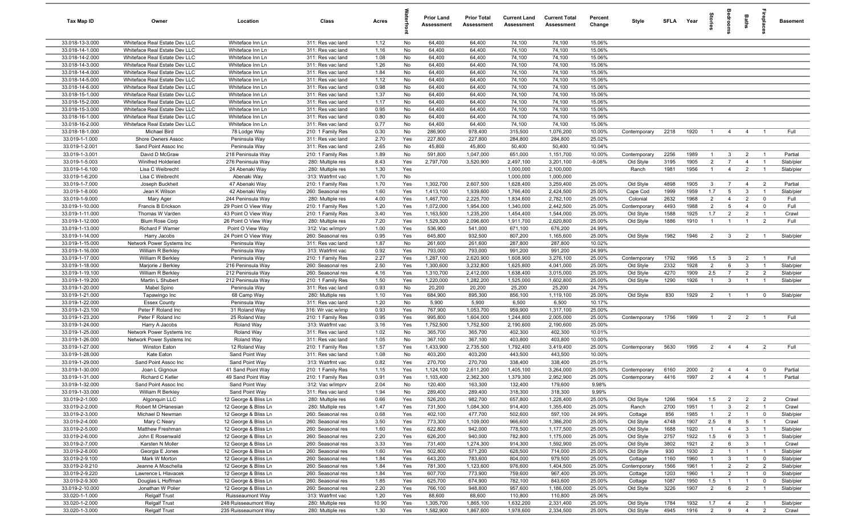| Tax Map ID                         | Owner                                                | Location                               | Class                                  | Acres        |            | <b>Prior Land</b><br>Assessment | <b>Prior Total</b><br>Assessment | <b>Current Land</b><br>Assessment | <b>Current Total</b><br>Assessment | Percent<br>Change | Style                  | <b>SFI A</b> | Year         | tories                | å                       | Baths                            |                                  | <b>Basement</b>        |
|------------------------------------|------------------------------------------------------|----------------------------------------|----------------------------------------|--------------|------------|---------------------------------|----------------------------------|-----------------------------------|------------------------------------|-------------------|------------------------|--------------|--------------|-----------------------|-------------------------|----------------------------------|----------------------------------|------------------------|
| 33.018-13-3.000                    | Whiteface Real Estate Dev LLC                        | Whiteface Inn Ln                       | 311: Res vac land                      | 1.12         | No         | 64,400                          | 64,400                           | 74,100                            | 74,100                             | 15.06%            |                        |              |              |                       |                         |                                  |                                  |                        |
| 33.018-14-1.000                    | Whiteface Real Estate Dev LLC                        | Whiteface Inn Ln                       | 311: Res vac land                      | 1.16         | No         | 64,400                          | 64,400                           | 74,100                            | 74,100                             | 15.06%            |                        |              |              |                       |                         |                                  |                                  |                        |
| 33.018-14-2.000                    | Whiteface Real Estate Dev LLC                        | Whiteface Inn Ln                       | 311: Res vac land                      | 1.08         | No         | 64,400                          | 64,400                           | 74,100                            | 74,100                             | 15.06%            |                        |              |              |                       |                         |                                  |                                  |                        |
| 33.018-14-3.000                    | Whiteface Real Estate Dev LLC                        | Whiteface Inn Ln                       | 311: Res vac land                      | 1.26         | No         | 64,400                          | 64,400                           | 74,100                            | 74,100                             | 15.06%            |                        |              |              |                       |                         |                                  |                                  |                        |
| 33.018-14-4.000                    | Whiteface Real Estate Dev LLC                        | Whiteface Inn Ln                       | 311: Res vac land                      | 1.84         | No         | 64,400                          | 64,400                           | 74,100                            | 74,100                             | 15.06%            |                        |              |              |                       |                         |                                  |                                  |                        |
| 33.018-14-5.000                    | Whiteface Real Estate Dev LLC                        | Whiteface Inn Ln                       | 311: Res vac land                      | 1.12         | No         | 64,400                          | 64,400                           | 74,100                            | 74,100                             | 15.06%            |                        |              |              |                       |                         |                                  |                                  |                        |
| 33.018-14-6.000                    | Whiteface Real Estate Dev LLC                        | Whiteface Inn Ln                       | 311: Res vac land                      | 0.98         | No         | 64,400                          | 64,400                           | 74,100                            | 74,100                             | 15.06%            |                        |              |              |                       |                         |                                  |                                  |                        |
| 33.018-15-1.000                    | Whiteface Real Estate Dev LLC                        | Whiteface Inn Ln                       | 311: Res vac land                      | 1.37         | No         | 64,400                          | 64,400                           | 74,100                            | 74,100                             | 15.06%            |                        |              |              |                       |                         |                                  |                                  |                        |
| 33.018-15-2.000                    | Whiteface Real Estate Dev LLC                        | Whiteface Inn Ln                       | 311: Res vac land                      | 1.17         | No         | 64,400                          | 64,400                           | 74,100                            | 74,100                             | 15.06%            |                        |              |              |                       |                         |                                  |                                  |                        |
| 33.018-15-3.000                    | Whiteface Real Estate Dev LLC                        | Whiteface Inn Ln                       | 311: Res vac land                      | 0.95         | No         | 64,400                          | 64,400                           | 74,100                            | 74,100                             | 15.06%            |                        |              |              |                       |                         |                                  |                                  |                        |
| 33.018-16-1.000                    | Whiteface Real Estate Dev LLC                        | Whiteface Inn Ln                       | 311: Res vac land                      | 0.80         | No         | 64,400                          | 64,400                           | 74,100                            | 74,100                             | 15.06%            |                        |              |              |                       |                         |                                  |                                  |                        |
| 33.018-16-2.000<br>33.018-18-1.000 | Whiteface Real Estate Dev LLC<br><b>Michael Bird</b> | Whiteface Inn Ln<br>78 Lodge Way       | 311: Res vac land<br>210: 1 Family Res | 0.77<br>0.30 | No<br>No   | 64,400<br>286,900               | 64,400<br>978,400                | 74,100<br>315,500                 | 74,100<br>1,076,200                | 15.06%<br>10.00%  | Contemporary           | 2218         | 1920         | $\overline{1}$        | $\overline{4}$          | $\overline{4}$                   | $\overline{1}$                   | Full                   |
| 33.019-1-1.000                     | Shore Owners Assoc                                   | Peninsula Way                          | 311: Res vac land                      | 2.70         | Yes        | 227,800                         | 227,800                          | 284,800                           | 284,800                            | 25.02%            |                        |              |              |                       |                         |                                  |                                  |                        |
| 33.019-1-2.001                     | Sand Point Assoc Inc                                 | Peninsula Way                          | 311: Res vac land                      | 2.65         | No         | 45,800                          | 45,800                           | 50,400                            | 50,400                             | 10.04%            |                        |              |              |                       |                         |                                  |                                  |                        |
| 33.019-1-3.001                     | David D McGraw                                       | 218 Peninsula Way                      | 210: 1 Family Res                      | 1.89         | No         | 591,800                         | 1,047,000                        | 651,000                           | 1,151,700                          | 10.00%            | Contemporary           | 2256         | 1989         | $\overline{1}$        | $\mathbf{3}$            | $\overline{2}$                   | $\overline{1}$                   | Partial                |
| 33.019-1-5.003                     | Winifred Holderied                                   | 276 Peninsula Way                      | 280: Multiple res                      | 8.43         | Yes        | 2,797,700                       | 3,520,900                        | 2,497,100                         | 3,201,100                          | $-9.08%$          | Old Style              | 3195         | 1905         | $\overline{2}$        | $\overline{7}$          | $\overline{4}$                   | $\overline{1}$                   | Slab/pier              |
| 33.019-1-6.100                     | Lisa C Weibrecht                                     | 24 Abenaki Way                         | 280: Multiple res                      | 1.30         | Yes        |                                 |                                  | 1,000,000                         | 2,100,000                          |                   | Ranch                  | 1981         | 1956         | $\overline{1}$        | $\overline{4}$          | $\overline{2}$                   | $\overline{1}$                   | Slab/pier              |
| 33.019-1-6.200                     | Lisa C Weibrecht                                     | Abenaki Way                            | 313: Watrfrnt vac                      | 1.70         | No         |                                 |                                  | 1,000,000                         | 1,000,000                          |                   |                        |              |              |                       |                         |                                  |                                  |                        |
| 33.019-1-7.000                     | Joseph Buckheit                                      | 47 Abenaki Way                         | 210: 1 Family Res                      | 1.70         | Yes        | 1,302,700                       | 2,607,500                        | 1,628,400                         | 3,259,400                          | 25.00%            | Old Style              | 4898         | 1905         | $\mathbf{3}$          | $\overline{7}$          | $\overline{4}$                   | $\overline{2}$                   | Partial                |
| 33.019-1-8.000                     | Jean K Wilson                                        | 42 Abenaki Way                         | 260: Seasonal res                      | 1.60         | Yes        | 1,413,100                       | 1,939,600                        | 1,766,400                         | 2,424,500                          | 25.00%            | Cape Cod               | 1999         | 1959         | 1.7                   | $5\overline{5}$         | 3                                | $\overline{1}$                   | Slab/pier              |
| 33.019-1-9.000                     | Mary Ager                                            | 244 Peninsula Way                      | 280: Multiple res                      | 4.00         | Yes        | 1,467,700                       | 2,225,700                        | 1,834,600                         | 2,782,100                          | 25.00%            | Colonial               | 2632         | 1968         | $\overline{2}$        | $\overline{4}$          | $\overline{2}$                   | $\mathbf 0$                      | Full                   |
| 33.019-1-10.000                    | Francis B Erickson                                   | 29 Point O View Way                    | 210: 1 Family Res                      | 1.20         | Yes        | 1,072,000                       | 1,954,000                        | 1,340,000                         | 2,442,500                          | 25.00%            | Contemporary           | 4493         | 1988         | $\overline{2}$        | $5\overline{5}$         | $\overline{4}$                   | $\mathbf 0$                      | Full                   |
| 33.019-1-11.000                    | Thomas W Varden                                      | 43 Point O View Way                    | 210: 1 Family Res                      | 3.40         | Yes        | 1,163,500                       | 1,235,200                        | 1,454,400                         | 1,544,000                          | 25.00%            | Old Style              | 1588         | 1925         | 1.7                   | $\overline{2}$          | $\overline{2}$                   | $\overline{1}$                   | Crawl                  |
| 33.019-1-12.000                    | <b>Blum Rose Corp</b>                                | 26 Point O View Way                    | 280: Multiple res                      | 7.20         | Yes        | 1,529,300                       | 2,096,600                        | 1,911,700                         | 2,620,800                          | 25.00%            | Old Style              | 1886         | 1910         | $\overline{1}$        | $\overline{1}$          | $\overline{1}$                   | $\overline{2}$                   | Full                   |
| 33.019-1-13.000                    | <b>Richard F Warner</b>                              | Point O View Way                       | 312: Vac w/imprv                       | 1.00         | Yes        | 536,900                         | 541,000                          | 671,100                           | 676,200                            | 24.99%            |                        |              |              |                       |                         |                                  |                                  |                        |
| 33.019-1-14.000                    | Harry Jacobs                                         | 24 Point O View Way                    | 260: Seasonal res                      | 0.95         | Yes        | 645,800                         | 932,500                          | 807,200                           | 1,165,600                          | 25.00%            | Old Style              | 1982         | 1946         | $\overline{2}$        | $\overline{\mathbf{3}}$ | $\overline{2}$                   | $\overline{1}$                   | Slab/pier              |
| 33.019-1-15.000                    | Network Power Systems Inc                            | Peninsula Way                          | 311: Res vac land                      | 1.87         | No         | 261,600                         | 261,600                          | 287,800                           | 287,800                            | 10.02%            |                        |              |              |                       |                         |                                  |                                  |                        |
| 33.019-1-16.000                    | William R Berkley                                    | Peninsula Way                          | 313: Watrfrnt vac                      | 0.92         | Yes        | 793,000                         | 793,000                          | 991,200                           | 991,200                            | 24.99%            |                        |              |              |                       |                         |                                  |                                  |                        |
| 33.019-1-17.000                    | William R Berkley                                    | Peninsula Way                          | 210: 1 Family Res                      | 2.27         | Yes        | 1,287,100                       | 2,620,900                        | 1,608,900                         | 3,276,100                          | 25.00%            | Contemporary           | 1792         | 1995         | 1.5                   | $\mathbf{3}$            | $\overline{2}$                   | $\overline{1}$                   | Full                   |
| 33.019-1-18.000                    | Marjorie J Berkley                                   | 216 Peninsula Way<br>212 Peninsula Way | 260: Seasonal res                      | 2.50<br>4.16 | Yes        | 1,300,600                       | 3,232,800                        | 1,625,800                         | 4,041,000                          | 25.00%<br>25.00%  | Old Style              | 2332<br>4270 | 1928<br>1909 | $\overline{2}$<br>2.5 | 6<br>$\overline{7}$     | $\mathbf{3}$                     | $\overline{1}$<br>$\overline{2}$ | Slab/pier              |
| 33.019-1-19.100<br>33.019-1-19.200 | William R Berkley<br>Martin L Shubert                | 212 Peninsula Way                      | 260: Seasonal res<br>210: 1 Family Res | 1.50         | Yes<br>Yes | 1,310,700<br>1,220,000          | 2,412,000<br>1,282,200           | 1,638,400<br>1,525,000            | 3,015,000<br>1,602,800             | 25.00%            | Old Style<br>Old Style | 1290         | 1926         | $\overline{1}$        | $\mathbf{3}$            | $\overline{2}$<br>$\overline{1}$ | $\overline{1}$                   | Slab/pier<br>Slab/pier |
| 33.019-1-20.000                    | Mabel Spino                                          | Peninsula Way                          | 311: Res vac land                      | 0.93         | No         | 20,200                          | 20,200                           | 25,200                            | 25,200                             | 24.75%            |                        |              |              |                       |                         |                                  |                                  |                        |
| 33.019-1-21.000                    | Tapawingo Inc                                        | 68 Camp Way                            | 280: Multiple res                      | 1.10         | Yes        | 684,900                         | 895,300                          | 856,100                           | 1,119,100                          | 25.00%            | Old Style              | 830          | 1929         | $\overline{2}$        | $\overline{1}$          | $\overline{1}$                   | $\mathbf 0$                      | Slab/pier              |
| 33.019-1-22.000                    | <b>Essex County</b>                                  | Peninsula Way                          | 311: Res vac land                      | 1.20         | No         | 5,900                           | 5,900                            | 6,500                             | 6,500                              | 10.17%            |                        |              |              |                       |                         |                                  |                                  |                        |
| 33.019-1-23.100                    | Peter F Roland Inc                                   | 31 Roland Way                          | 316: Wr vac w/imp                      | 0.93         | Yes        | 767,900                         | 1,053,700                        | 959,900                           | 1,317,100                          | 25.00%            |                        |              |              |                       |                         |                                  |                                  |                        |
| 33.019-1-23.200                    | Peter F Roland Inc                                   | 25 Roland Way                          | 210: 1 Family Res                      | 0.95         | Yes        | 995,800                         | 1,604,000                        | 1,244,800                         | 2,005,000                          | 25.00%            | Contemporary           | 1756         | 1999         | $\overline{1}$        | $\overline{2}$          | $\overline{2}$                   | $\overline{1}$                   | Full                   |
| 33.019-1-24.000                    | Harry A Jacobs                                       | Roland Way                             | 313: Watrfrnt vac                      | 3.16         | Yes        | 1,752,500                       | 1,752,500                        | 2,190,600                         | 2,190,600                          | 25.00%            |                        |              |              |                       |                         |                                  |                                  |                        |
| 33.019-1-25.000                    | Network Power Systems Inc                            | Roland Way                             | 311: Res vac land                      | 1.02         | No         | 365,700                         | 365,700                          | 402,300                           | 402,300                            | 10.01%            |                        |              |              |                       |                         |                                  |                                  |                        |
| 33.019-1-26.000                    | Network Power Systems Inc                            | Roland Way                             | 311: Res vac land                      | 1.05         | No         | 367,100                         | 367,100                          | 403,800                           | 403,800                            | 10.00%            |                        |              |              |                       |                         |                                  |                                  |                        |
| 33.019-1-27.000                    | Winston Eaton                                        | 12 Roland Way                          | 210: 1 Family Res                      | 1.57         | Yes        | 1,433,900                       | 2,735,500                        | 1,792,400                         | 3,419,400                          | 25.00%            | Contemporary           | 5630         | 1995         | $\overline{2}$        | $\overline{4}$          | $\overline{4}$                   | $\overline{2}$                   | Full                   |
| 33.019-1-28.000                    | Kate Eaton                                           | Sand Point Way                         | 311: Res vac land                      | 1.08         | No         | 403,200                         | 403,200                          | 443,500                           | 443,500                            | 10.00%            |                        |              |              |                       |                         |                                  |                                  |                        |
| 33.019-1-29.000                    | Sand Point Assoc Inc                                 | Sand Point Way                         | 313: Watrfrnt vac                      | 0.82         | Yes        | 270,700                         | 270,700                          | 338,400                           | 338,400                            | 25.01%            |                        |              |              |                       |                         |                                  |                                  |                        |
| 33.019-1-30.000                    | Joan L Gignoux                                       | 41 Sand Point Way                      | 210: 1 Family Res                      | 1.15         | Yes        | 1,124,100                       | 2,611,200                        | 1,405,100                         | 3,264,000                          | 25.00%            | Contemporary           | 6160         | 2000         | $\overline{2}$        | $\overline{4}$          | $\overline{4}$                   | $\mathbf 0$                      | Partial                |
| 33.019-1-31.000                    | Richard C Keller                                     | 49 Sand Point Way                      | 210: 1 Family Res                      | 0.91         | Yes        | 1,103,400                       | 2,362,300                        | 1,379,300                         | 2,952,900                          | 25.00%            | Contemporary           | 4416         | 1997         | $\overline{2}$        | $\overline{4}$          | $\overline{4}$                   | $\overline{1}$                   | Partial                |
| 33.019-1-32.000                    | Sand Point Assoc Inc                                 | Sand Point Way                         | 312: Vac w/imprv                       | 2.04         | No         | 120,400                         | 163,300                          | 132,400                           | 179,600                            | 9.98%             |                        |              |              |                       |                         |                                  |                                  |                        |
| 33.019-1-33.000<br>33.019-2-1.000  | William R Berkley<br>Algonquin LLC                   | Sand Point Way<br>12 George & Bliss Ln | 311: Res vac land<br>280: Multiple res | 1.94<br>0.66 | No<br>Yes  | 289,400<br>526,200              | 289,400<br>982,700               | 318,300<br>657,800                | 318,300<br>1,228,400               | 9.99%<br>25.00%   | Old Style              | 1266         | 1904         | 1.5                   | $\overline{2}$          | $\overline{2}$                   | $\overline{2}$                   | Crawl                  |
| 33.019-2-2.000                     | Robert M OHanesian                                   | 12 George & Bliss Ln                   | 280: Multiple res                      | 1.47         | Yes        | 731,500                         | 1,084,300                        | 914,400                           | 1,355,400                          | 25.00%            | Ranch                  | 2700         | 1951         | $\overline{1}$        | $\mathbf{3}$            | $\overline{2}$                   | $\overline{1}$                   | Crawl                  |
| 33.019-2-3.000                     | Michael D Newman                                     | 12 George & Bliss Ln                   | 260: Seasonal res                      | 0.68         | Yes        | 402,100                         | 477,700                          | 502,600                           | 597,100                            | 24.99%            | Cottage                | 856          | 1985         | $\overline{1}$        | $\overline{2}$          | $\overline{1}$                   | $\overline{0}$                   | Slab/pier              |
| 33.019-2-4.000                     | Mary C Neary                                         | 12 George & Bliss Ln                   | 260: Seasonal res                      | 3.50         | Yes        | 773,300                         | 1,109,000                        | 966,600                           | 1,386,200                          | 25.00%            | Old Style              | 4748         | 1907         | 2.5                   | 8                       | $5\overline{5}$                  | $\overline{1}$                   | Crawl                  |
| 33.019-2-5.000                     | Matthew Freshman                                     | 12 George & Bliss Ln                   | 260: Seasonal res                      | 1.60         | Yes        | 622,800                         | 942,000                          | 778,500                           | 1,177,500                          | 25.00%            | Old Style              | 1688         | 1920         | $\overline{1}$        | $\overline{4}$          | $\mathbf{3}$                     | $\overline{1}$                   | Slab/pier              |
| 33.019-2-6.000                     | John E Rosenwald                                     | 12 George & Bliss Ln                   | 260: Seasonal res                      | 2.20         | Yes        | 626,200                         | 940,000                          | 782,800                           | 1,175,000                          | 25.00%            | Old Style              | 2757         | 1922         | 1.5                   | 6                       | 3                                | $\overline{1}$                   | Slab/pier              |
| 33.019-2-7.000                     | Karsten N Moller                                     | 12 George & Bliss Ln                   | 260: Seasonal res                      | 3.33         | Yes        | 731,400                         | 1,274,300                        | 914,300                           | 1,592,900                          | 25.00%            | Old Style              | 3802         | 1921         | $\overline{2}$        | 6                       | $\mathbf{3}$                     | $\overline{1}$                   | Crawl                  |
| 33.019-2-8.000                     | Georgia E Jones                                      | 12 George & Bliss Ln                   | 260: Seasonal res                      | 1.60         | Yes        | 502,800                         | 571,200                          | 628,500                           | 714,000                            | 25.00%            | Old Style              | 930          | 1930         | $\overline{2}$        |                         | $\overline{1}$                   | $\overline{1}$                   | Slab/pier              |
| 33.019-2-9.100                     | Mark W Morton                                        | 12 George & Bliss Ln                   | 260: Seasonal res                      | 1.84         | Yes        | 643,200                         | 783,600                          | 804,000                           | 979,500                            | 25.00%            | Cottage                | 1160         | 1960         | $\overline{1}$        | $\mathbf{3}$            | $\overline{1}$                   | $\overline{\mathbf{0}}$          | Slab/pier              |
| 33.019-2-9.210                     | Jeanne A Moschella                                   | 12 George & Bliss Ln                   | 260: Seasonal res                      | 1.84         | Yes        | 781,300                         | 1,123,600                        | 976,600                           | 1,404,500                          | 25.00%            | Contemporary           | 1566         | 1961         | $\overline{1}$        | $\overline{2}$          | $\overline{2}$                   | $\overline{2}$                   | Slab/pier              |
| 33.019-2-9.220                     | Lawrence L Hlavacek                                  | 12 George & Bliss Ln                   | 260: Seasonal res                      | 1.84         | Yes        | 607,700                         | 773,900                          | 759,600                           | 967,400                            | 25.00%            | Cottage                | 1203         | 1960         | $\overline{1}$        | $\overline{2}$          | $\overline{1}$                   | $\mathbf 0$                      | Slab/pier              |
| 33.019-2-9.300                     | Douglas L Hoffman                                    | 12 George & Bliss Ln                   | 260: Seasonal res                      | 1.85         | Yes        | 625,700                         | 674,900                          | 782,100                           | 843,600                            | 25.00%            | Cottage                | 1087         | 1950         | 1.5                   | $\overline{1}$          | $\overline{1}$                   | $\mathbf 0$                      | Slab/pier              |
| 33.019-2-10.000                    | Jonathan W Polier                                    | 12 George & Bliss Ln                   | 260: Seasonal res                      | 2.20         | Yes        | 766,100                         | 948,800                          | 957,600                           | 1,186,000                          | 25.00%            | Old Style              | 3226         | 1907         | $\overline{2}$        | 6                       | $\overline{2}$                   | $\overline{1}$                   | Slab/pier              |
| 33.020-1-1.000                     | <b>Relgalf Trust</b>                                 | Ruisseaumont Way                       | 313: Watrfrnt vac                      | 1.20         | Yes        | 88,600                          | 88,600                           | 110,800                           | 110,800                            | 25.06%            |                        |              |              |                       |                         |                                  |                                  |                        |
| 33.020-1-2.000                     | <b>Relgalf Trust</b>                                 | 248 Ruisseaumont Way                   | 280: Multiple res                      | 10.90        | Yes        | 1,305,700                       | 1,865,100                        | 1,632,200                         | 2,331,400                          | 25.00%            | Old Style              | 1784         | 1932         | 1.7                   | $\overline{4}$          | $\overline{2}$                   |                                  | Slab/pier              |
| 33.020-1-3.000                     | <b>Relgalf Trust</b>                                 | 235 Ruisseaumont Way                   | 280: Multiple res                      | 1.30         | Yes        | 1,582,900                       | 1,867,600                        | 1,978,600                         | 2,334,500                          | 25.00%            | Old Style              | 4945         | 1916         | $\overline{2}$        | 9                       | $\overline{4}$                   | $\overline{2}$                   | Crawl                  |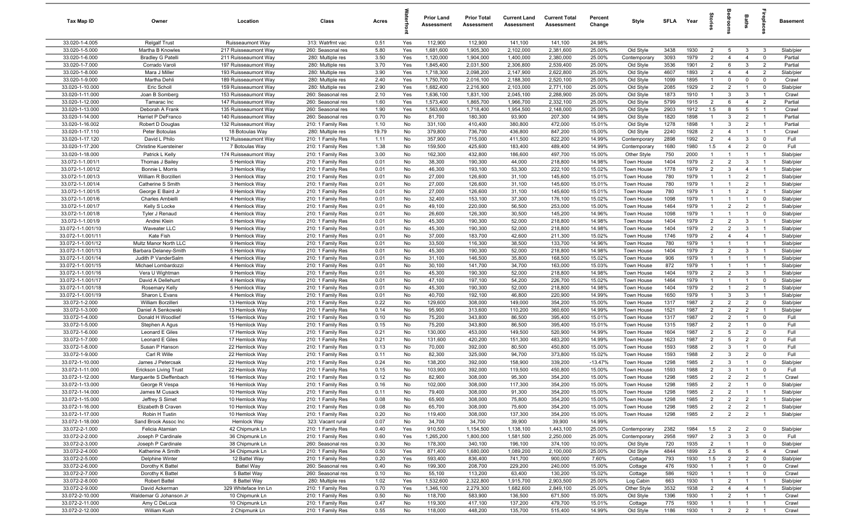| Tax Map ID                          | Owner                                    | Location                                | Class                                  | Acres         |           | <b>Prior Land</b><br>Assessment | <b>Prior Total</b><br>Assessment | <b>Current Land</b><br>Assessment | <b>Current Total</b><br>Assessment | Percent<br>Change | Style                     | <b>SFLA</b>  | Year         | tories                           |                                  | Baths                            |                                  | <b>Basement</b>        |
|-------------------------------------|------------------------------------------|-----------------------------------------|----------------------------------------|---------------|-----------|---------------------------------|----------------------------------|-----------------------------------|------------------------------------|-------------------|---------------------------|--------------|--------------|----------------------------------|----------------------------------|----------------------------------|----------------------------------|------------------------|
| 33.020-1-4.005                      | <b>Relgalf Trust</b>                     | Ruisseaumont Way                        | 313: Watrfrnt vac                      | 0.51          | Yes       | 112,900                         | 112,900                          | 141,100                           | 141,100                            | 24.98%            |                           |              |              |                                  |                                  |                                  |                                  |                        |
| 33.020-1-5.000                      | Martha B Knowles                         | 217 Ruisseaumont Way                    | 260: Seasonal res                      | 5.80          | Yes       | 1,681,600                       | 1,905,300                        | 2,102,000                         | 2,381,600                          | 25.00%            | Old Style                 | 3438         | 1930         | $\overline{2}$                   | 5                                | -3                               | $\mathbf{3}$                     | Slab/pier              |
| 33.020-1-6.000                      | <b>Bradley G Patelli</b>                 | 211 Ruisseaumont Way                    | 280: Multiple res                      | 3.50          | Yes       | 1,120,000                       | 1,904,000                        | 1,400,000                         | 2,380,000                          | 25.00%            | Contemporary              | 3093         | 1979         | $\overline{2}$                   | $\overline{4}$                   | $\overline{4}$                   | $\mathbf 0$                      | Partial                |
| 33.020-1-7.000                      | Corrado Varoli                           | 197 Ruisseaumont Way                    | 280: Multiple res                      | 3.70          | Yes       | 1,845,400                       | 2,031,500                        | 2,306,800                         | 2,539,400                          | 25.00%            | Old Style                 | 3536         | 1901         | $\overline{2}$                   | 6                                | 3                                | $\overline{2}$                   | Partial                |
| 33.020-1-8.000                      | Mara J Miller                            | 193 Ruisseaumont Way                    | 280: Multiple res                      | 3.90          | Yes       | 1,718,300                       | 2,098,200                        | 2,147,900                         | 2,622,800                          | 25.00%            | Old Style                 | 4607         | 1893         | $\overline{2}$                   | $\overline{4}$                   | $\overline{4}$                   | $\overline{2}$                   | Slab/pier              |
| 33.020-1-9.000                      | Martha Dehli                             | 189 Ruisseaumont Way                    | 280: Multiple res                      | 2.40          | Yes       | 1,750,700                       | 2,016,100                        | 2,188,300                         | 2,520,100                          | 25.00%            | Old Style                 | 1099         | 1895         | $\mathbf{1}$                     | $\mathbf 0$                      | $\mathbf 0$                      | $\mathbf 0$                      | Crawl                  |
| 33.020-1-10.000                     | Eric Scholl                              | 159 Ruisseaumont Wav                    | 280: Multiple res                      | 2.90          | Yes       | 1,682,400                       | 2,216,900                        | 2,103,000                         | 2,771,100                          | 25.00%            | Old Style                 | 2085         | 1929         | $\overline{2}$                   | $\overline{2}$                   | $\overline{1}$                   | $\mathbf 0$                      | Slab/pier              |
| 33.020-1-11.000                     | Joan B Somberg                           | 153 Ruisseaumont Way                    | 260: Seasonal res                      | 2.10          | Yes       | 1,636,100                       | 1,831,100                        | 2,045,100                         | 2,288,900                          | 25.00%            | Old Style                 | 1873         | 1910         | $\overline{1}$                   | $\mathbf{3}$                     | 3                                | $\overline{1}$                   | Crawl                  |
| 33.020-1-12.000                     | Tamarac Inc                              | 147 Ruisseaumont Way                    | 260: Seasonal res                      | 1.60          | Yes       | 1,573,400                       | 1,865,700                        | 1,966,700                         | 2,332,100                          | 25.00%            | Old Style                 | 5799         | 1915         | $\overline{2}$                   | 6                                | $\overline{4}$                   | $\overline{2}$                   | Partial                |
| 33.020-1-13.000                     | Deborah A Frank                          | 135 Ruisseaumont Way                    | 260: Seasonal res                      | 1.90          | Yes       | 1,563,600                       | 1,718,400                        | 1,954,500                         | 2,148,000                          | 25.00%            | Old Style                 | 2903         | 1912         | 1.5                              | 8                                | 5                                | $\overline{1}$                   | Crawl                  |
| 33.020-1-14.000<br>33.020-1-16.002  | Harriet P DeFranco                       | 140 Ruisseaumont Way                    | 260: Seasonal res                      | 0.70          | No        | 81,700                          | 180,300                          | 93,900                            | 207,300                            | 14.98%            | Old Style                 | 1820         | 1898         | $\overline{1}$                   | 3                                | $\overline{2}$                   | $\overline{1}$                   | Partial                |
| 33.020-1-17.110                     | Robert D Douglas                         | 132 Ruisseaumont Way                    | 210: 1 Family Res                      | 1.10          | No<br>No  | 331,100<br>379,800              | 410,400<br>736,700               | 380,800<br>436,800                | 472,000<br>847,200                 | 15.01%<br>15.00%  | Old Style<br>Old Style    | 1278<br>2240 | 1898<br>1928 | $\overline{1}$<br>$\overline{2}$ | $\overline{3}$<br>$\overline{4}$ | $\overline{2}$<br>$\overline{1}$ | $\overline{1}$<br>$\overline{1}$ | Partial<br>Crawl       |
| 33.020-1-17.120                     | Peter Botoulas<br>David L Philo          | 18 Botoulas Way<br>112 Ruisseaumont Way | 280: Multiple res<br>210: 1 Family Res | 19.79<br>1.11 | No        | 357,900                         | 715,000                          | 411,500                           | 822,200                            | 14.99%            | Contemporary              | 2898         | 1992         | $\overline{2}$                   | $\overline{4}$                   | 3                                | $\mathbf 0$                      | Full                   |
| 33.020-1-17.200                     | <b>Christine Kuersteiner</b>             | 7 Botoulas Way                          | 210: 1 Family Res                      | 1.38          | No        | 159,500                         | 425,600                          | 183,400                           | 489,400                            | 14.99%            | Contemporary              | 1680         | 1980         | 1.5                              | $\overline{4}$                   | $\overline{2}$                   | $\mathbf 0$                      | Full                   |
| 33.020-1-18.000                     | Patrick L Kelly                          | 174 Ruisseaumont Way                    | 210: 1 Family Res                      | 3.00          | No        | 162,300                         | 432,800                          | 186,600                           | 497,700                            | 15.00%            | Other Style               | 750          | 2000         | $\overline{1}$                   | -1                               | $\overline{1}$                   | $\overline{1}$                   | Slab/pier              |
| 33.072-1-1.001/1                    | Thomas J Bailey                          | 5 Hemlock Way                           | 210: 1 Family Res                      | 0.01          | No        | 38,300                          | 190,300                          | 44,000                            | 218,800                            | 14.98%            | Town House                | 1404         | 1979         | $\overline{2}$                   | 2                                | 3                                |                                  | Slab/pier              |
| 33.072-1-1.001/2                    | Bonnie L Morris                          | 3 Hemlock Way                           | 210: 1 Family Res                      | 0.01          | No        | 46,300                          | 193,100                          | 53,300                            | 222,100                            | 15.02%            | Town House                | 1778         | 1979         | $\overline{2}$                   | 3                                | $\overline{4}$                   | $\overline{1}$                   | Slab/pier              |
| 33.072-1-1.001/3                    | William R Borzilleri                     | 3 Hemlock Way                           | 210: 1 Family Res                      | 0.01          | No        | 27,000                          | 126,600                          | 31,100                            | 145,600                            | 15.01%            | Town House                | 780          | 1979         | $\overline{1}$                   |                                  | $\overline{2}$                   |                                  | Slab/pier              |
| 33.072-1-1.001/4                    | Catherine S Smith                        | 3 Hemlock Way                           | 210: 1 Family Res                      | 0.01          | No        | 27,000                          | 126,600                          | 31,100                            | 145,600                            | 15.01%            | Town House                | 780          | 1979         | $\overline{1}$                   | -1                               | $\overline{2}$                   | $\overline{1}$                   | Slab/pier              |
| 33.072-1-1.001/5                    | George E Baird Jr                        | 9 Hemlock Way                           | 210: 1 Family Res                      | 0.01          | No        | 27,000                          | 126,600                          | 31,100                            | 145,600                            | 15.01%            | Town House                | 780          | 1979         | $\overline{1}$                   | $\mathbf{1}$                     | $\overline{2}$                   | $\overline{1}$                   | Slab/pier              |
| 33.072-1-1.001/6                    | Charles Ambielli                         | 4 Hemlock Way                           | 210: 1 Family Res                      | 0.01          | No        | 32,400                          | 153,100                          | 37,300                            | 176,100                            | 15.02%            | Town House                | 1098         | 1979         | $\overline{1}$                   | $\overline{1}$                   | $\overline{1}$                   | $\mathbf 0$                      | Slab/pier              |
| 33.072-1-1.001/7                    | Kelly S Locke                            | 4 Hemlock Way                           | 210: 1 Family Res                      | 0.01          | No        | 49,100                          | 220,000                          | 56,500                            | 253,000                            | 15.00%            | Town House                | 1464         | 1979         | $\overline{1}$                   | $\overline{2}$                   | $\overline{2}$                   | $\overline{1}$                   | Slab/pier              |
| 33.072-1-1.001/8                    | Tyler J Renaud                           | 4 Hemlock Way                           | 210: 1 Family Res                      | 0.01          | No        | 26,600                          | 126,300                          | 30,500                            | 145,200                            | 14.96%            | Town House                | 1098         | 1979         | $\overline{1}$                   | $\overline{1}$                   | $\overline{1}$                   | $\mathbf 0$                      | Slab/pier              |
| 33.072-1-1.001/9                    | Andrei Klein                             | 5 Hemlock Way                           | 210: 1 Family Res                      | 0.01          | No        | 45,300                          | 190,300                          | 52,000                            | 218,800                            | 14.98%            | Town House                | 1404         | 1979         | $\overline{2}$                   | $\overline{2}$                   | 3                                | $\overline{1}$                   | Slab/pier              |
| 33.072-1-1.001/10                   | Waveater LLC                             | 9 Hemlock Way                           | 210: 1 Family Res                      | 0.01          | No        | 45,300                          | 190,300                          | 52,000                            | 218,800                            | 14.98%            | Town House                | 1404         | 1979         | $\overline{2}$                   | $\overline{2}$                   | 3                                | - 1                              | Slab/pier              |
| 33.072-1-1.001/11                   | Kate Fish                                | 9 Hemlock Way                           | 210: 1 Family Res                      | 0.01          | No        | 37,000                          | 183,700                          | 42,600                            | 211,300                            | 15.02%            | Town House                | 1746         | 1979         | $\overline{2}$                   | $\overline{4}$                   | $\overline{4}$                   | $\overline{1}$                   | Slab/pier              |
| 33.072-1-1.001/12                   | Multz Manor North LLC                    | 9 Hemlock Way                           | 210: 1 Family Res                      | 0.01          | No        | 33,500                          | 116,300                          | 38,500                            | 133,700                            | 14.96%            | Town House                | 780          | 1979         | $\overline{1}$                   |                                  | $\overline{1}$                   |                                  | Slab/pier              |
| 33.072-1-1.001/13                   | Barbara Delaney-Smith                    | 5 Hemlock Way                           | 210: 1 Family Res                      | 0.01          | No        | 45,300                          | 190,300                          | 52,000                            | 218,800                            | 14.98%            | Town House                | 1404         | 1979         | $\overline{2}$                   | $\overline{2}$                   | $\mathbf{3}$                     | $\overline{1}$                   | Slab/pier              |
| 33.072-1-1.001/14                   | Judith P VanderSalm                      | 4 Hemlock Way                           | 210: 1 Family Res                      | 0.01          | No        | 31,100                          | 146,500                          | 35,800                            | 168,500                            | 15.02%            | Town House                | 906          | 1979         | $\overline{1}$                   | -1                               | $\overline{1}$                   |                                  | Slab/pier              |
| 33.072-1-1.001/15                   | Michael Lombardozzi                      | 4 Hemlock Way                           | 210: 1 Family Res                      | 0.01          | No        | 30,100                          | 141,700                          | 34,700                            | 163,000                            | 15.03%            | Town House                | 872          | 1979         | $\overline{1}$                   |                                  | $\overline{1}$                   | $\overline{1}$                   | Slab/pier              |
| 33.072-1-1.001/16                   | Vera U Wightman                          | 9 Hemlock Way                           | 210: 1 Family Res                      | 0.01          | No        | 45,300                          | 190,300                          | 52,000                            | 218,800                            | 14.98%            | Town House                | 1404         | 1979         | $\overline{2}$                   | $\overline{2}$                   | 3                                | $\overline{1}$                   | Slab/pier              |
| 33.072-1-1.001/17                   | David A Dellehunt                        | 4 Hemlock Way                           | 210: 1 Family Res                      | 0.01          | No        | 47,100                          | 197,100                          | 54,200                            | 226,700                            | 15.02%            | Town House                | 1464         | 1979         | $\overline{1}$                   | $\overline{1}$                   | $\overline{1}$                   | $\mathbf 0$                      | Slab/pier              |
| 33.072-1-1.001/18                   | Rosemary Kelly                           | 5 Hemlock Way                           | 210: 1 Family Res                      | 0.01          | No        | 45,300                          | 190,300                          | 52,000                            | 218,800                            | 14.98%            | Town House                | 1404         | 1979         | $\overline{2}$<br>$\overline{1}$ | $\overline{1}$<br>3              | $\overline{2}$<br>3              | $\overline{1}$<br>$\overline{1}$ | Slab/pier              |
| 33.072-1-1.001/19<br>33.072-1-2.000 | Sharon L Evans<br>William Borzilleri     | 4 Hemlock Way<br>13 Hemlock Way         | 210: 1 Family Res<br>210: 1 Family Res | 0.01<br>0.22  | No<br>No  | 40,700<br>129,600               | 192,100<br>308,000               | 46,800<br>149,000                 | 220,900<br>354,200                 | 14.99%<br>15.00%  | Town House<br>Town House  | 1650<br>1317 | 1979<br>1987 | $\overline{2}$                   | $\overline{2}$                   | $\overline{2}$                   | $\mathbf 0$                      | Slab/pier<br>Slab/pier |
| 33.072-1-3.000                      | Daniel A Senkowski                       | 13 Hemlock Way                          | 210: 1 Family Res                      | 0.14          | No        | 95,900                          | 313,600                          | 110,200                           | 360,600                            | 14.99%            | Town House                | 1521         | 1987         | 2                                | $\overline{2}$                   | $\overline{2}$                   | $\overline{1}$                   | Slab/pier              |
| 33.072-1-4.000                      | Donald H Woodlief                        | 15 Hemlock Way                          | 210: 1 Family Res                      | 0.10          | No        | 75,200                          | 343,800                          | 86,500                            | 395,400                            | 15.01%            | Town House                | 1317         | 1987         | $\overline{2}$                   | 2                                | $\overline{1}$                   | $\mathbf 0$                      | Full                   |
| 33.072-1-5.000                      | Stephen A Agus                           | 15 Hemlock Way                          | 210: 1 Family Res                      | 0.15          | No        | 75,200                          | 343,800                          | 86,500                            | 395,400                            | 15.01%            | Town House                | 1315         | 1987         | $\overline{2}$                   | $\overline{2}$                   | $\overline{1}$                   | $\mathbf 0$                      | Full                   |
| 33.072-1-6.000                      | Leonard E Giles                          | 17 Hemlock Way                          | 210: 1 Family Res                      | 0.21          | No        | 130,000                         | 453,000                          | 149,500                           | 520,900                            | 14.99%            | Town House                | 1604         | 1987         | $\overline{2}$                   | 5                                | $\overline{2}$                   | $\mathbf 0$                      | Full                   |
| 33.072-1-7.000                      | Leonard E Giles                          | 17 Hemlock Way                          | 210: 1 Family Res                      | 0.21          | No        | 131,600                         | 420,200                          | 151,300                           | 483,200                            | 14.99%            | Town House                | 1623         | 1987         | $\overline{2}$                   | 5                                | $\overline{2}$                   | $\mathbf 0$                      | Full                   |
| 33.072-1-8.000                      | Susan P Hanson                           | 22 Hemlock Way                          | 210: 1 Family Res                      | 0.13          | No        | 70,000                          | 392,000                          | 80,500                            | 450,800                            | 15.00%            | Town House                | 1593         | 1988         | $\overline{2}$                   | $\mathbf{3}$                     | $\overline{1}$                   | $\mathbf 0$                      | Full                   |
| 33.072-1-9.000                      | Carl R Wille                             | 22 Hemlock Way                          | 210: 1 Family Res                      | 0.11          | No        | 82,300                          | 325,000                          | 94,700                            | 373,800                            | 15.02%            | Town House                | 1593         | 1988         | $\overline{2}$                   | 3                                | $\overline{2}$                   | $\mathbf 0$                      | Full                   |
| 33.072-1-10.000                     | James J Petercsak                        | 22 Hemlock Way                          | 210: 1 Family Res                      | 0.24          | No        | 138,200                         | 392,000                          | 158,900                           | 339,200                            | $-13.47%$         | Town House                | 1298         | 1985         | $\overline{2}$                   | 3                                | $\overline{1}$                   | $\mathbf 0$                      | Slab/pier              |
| 33.072-1-11.000                     | <b>Erickson Living Trust</b>             | 22 Hemlock Way                          | 210: 1 Family Res                      | 0.15          | No        | 103,900                         | 392,000                          | 119,500                           | 450,800                            | 15.00%            | Town House                | 1593         | 1988         | $\overline{2}$                   | 3                                | $\overline{1}$                   | $\mathbf 0$                      | Full                   |
| 33.072-1-12.000                     | Marguerite S Dieffenbach                 | 16 Hemlock Way                          | 210: 1 Family Res                      | 0.12          | No        | 82,900                          | 308,000                          | 95,300                            | 354,200                            | 15.00%            | Town House                | 1298         | 1985         | $\overline{2}$                   | $\overline{2}$                   | $\overline{2}$                   | $\overline{1}$                   | Crawl                  |
| 33.072-1-13.000                     | George R Vespa                           | 16 Hemlock Way                          | 210: 1 Family Res                      | 0.16          | No        | 102,000                         | 308,000                          | 117,300                           | 354,200                            | 15.00%            | Town House                | 1298         | 1985         | $\overline{2}$                   | $\overline{2}$                   | $\overline{1}$                   | 0                                | Slab/pier              |
| 33.072-1-14.000                     | James M Cusack                           | 10 Hemlock Way                          | 210: 1 Family Res                      | 0.11          | No        | 79,400                          | 308,000                          | 91,300                            | 354,200                            | 15.00%            | Town House                | 1298         | 1985         | $\overline{2}$                   | $\overline{2}$                   | $\overline{1}$                   | $\overline{1}$                   | Slab/pier              |
| 33.072-1-15.000                     | Jeffrey S Simet                          | 10 Hemlock Way                          | 210: 1 Family Res                      | 0.08          | No        | 65,900                          | 308,000                          | 75,800                            | 354,200                            | 15.00%            | Town House                | 1298         | 1985         | $\overline{2}$                   | $\overline{2}$                   | $\overline{2}$                   | $\overline{1}$                   | Slab/pier              |
| 33.072-1-16.000                     | Elizabeth B Craven                       | 10 Hemlock Way                          | 210: 1 Family Res                      | 0.08          | No        | 65,700                          | 308,000                          | 75,600                            | 354,200                            | 15.00%            | Town House                | 1298         | 1985         | $\overline{2}$                   | $\overline{2}$                   | $\overline{2}$                   | $\overline{1}$                   | Slab/pier              |
| 33.072-1-17.000                     | Robin H Tustin                           | 10 Hemlock Way                          | 210: 1 Family Res                      | 0.20          | No        | 119,400                         | 308,000                          | 137,300                           | 354,200                            | 15.00%            | Town House                | 1298         | 1985         | $\overline{2}$                   | $\overline{2}$                   | $\overline{2}$                   | $\overline{1}$                   | Slab/pier              |
| 33.072-1-18.000<br>33.072-2-1.000   | Sand Brook Assoc Inc                     | Hemlock Way                             | 323: Vacant rural                      | 0.07          | No        | 34,700                          | 34,700                           | 39,900                            | 39,900                             | 14.99%            |                           |              |              |                                  |                                  |                                  |                                  |                        |
|                                     | Felicia Atamian                          | 42 Chipmunk Ln                          | 210: 1 Family Res                      | 0.40          | Yes       | 910,500                         | 1,154,500                        | 1,138,100                         | 1,443,100                          | 25.00%            | Contemporary              | 2382         | 1984<br>1997 | 1.5<br>$\overline{2}$            | $\overline{2}$<br>$\mathbf{3}$   | $\overline{2}$                   | $\overline{0}$                   | Slab/pier<br>Full      |
| 33.072-2-2.000<br>33.072-2-3.000    | Joseph P Cardinale<br>Joseph P Cardinale | 36 Chipmunk Ln<br>38 Chipmunk Ln        | 210: 1 Family Res<br>260: Seasonal res | 0.60<br>0.30  | Yes<br>No | 1,265,200<br>178,300            | 1,800,000<br>340,100             | 1,581,500<br>196,100              | 2,250,000<br>374,100               | 25.00%<br>10.00%  | Contemporary<br>Old Style | 2958<br>720  | 1935         | $\overline{2}$                   | $\overline{1}$                   | $\mathbf{3}$<br>$\overline{1}$   | $\mathbf 0$<br>$\overline{0}$    | Slab/pier              |
| 33.072-2-4.000                      | Katherine A Smith                        | 34 Chipmunk Ln                          | 210: 1 Family Res                      | 0.50          | Yes       | 871,400                         | 1,680,000                        | 1,089,200                         | 2,100,000                          | 25.00%            | Old Style                 | 4844         | 1899         | 2.5                              | 6                                | $5\overline{5}$                  | $\overline{4}$                   | Crawl                  |
| 33.072-2-5.000                      | Delphine Winter                          | 12 Battel Way                           | 210: 1 Family Res                      | 0.20          | Yes       | 593,400                         | 836,400                          | 741,700                           | 900,000                            | 7.60%             | Cottage                   | 793          | 1930         | 1.5                              | $\overline{2}$                   | $\overline{2}$                   | $\overline{\mathbf{0}}$          | Slab/pier              |
| 33.072-2-6.000                      | Dorothy K Battel                         | <b>Battel Way</b>                       | 260: Seasonal res                      | 0.40          | No        | 199,300                         | 208,700                          | 229,200                           | 240,000                            | 15.00%            | Cottage                   | 476          | 1930         | $\overline{1}$                   | $\overline{1}$                   | $\overline{1}$                   | $\overline{0}$                   | Crawl                  |
| 33.072-2-7.000                      | Dorothy K Battel                         | 5 Battel Way                            | 260: Seasonal res                      | 0.10          | No        | 55,100                          | 113,200                          | 63,400                            | 130,200                            | 15.02%            | Cottage                   | 586          | 1920         | $\overline{1}$                   | $\overline{1}$                   | $\overline{1}$                   | $\mathbf 0$                      | Crawl                  |
| 33.072-2-8.000                      | Robert Battel                            | 8 Battel Way                            | 280: Multiple res                      | 1.02          | Yes       | 1,532,600                       | 2,322,800                        | 1,915,700                         | 2,903,500                          | 25.00%            | Log Cabin                 | 663          | 1930         | $\overline{1}$                   | $\overline{2}$                   | $\overline{1}$                   | $\overline{1}$                   | Slab/pier              |
| 33.072-2-9.000                      | David Ackerman                           | 329 Whiteface Inn Ln                    | 210: 1 Family Res                      | 0.70          | Yes       | 1,346,100                       | 2,279,300                        | 1,682,600                         | 2,849,100                          | 25.00%            | Other Style               | 3532         | 1938         | $\overline{2}$                   | $\overline{4}$                   | $\overline{4}$                   | $\overline{1}$                   | Slab/pier              |
| 33.072-2-10.000                     | Waldemar G Johanson Jr                   | 10 Chipmunk Ln                          | 210: 1 Family Res                      | 0.50          | No        | 118,700                         | 583,900                          | 136,500                           | 671,500                            | 15.00%            | Old Style                 | 1396         | 1930         | $\overline{1}$                   | $\overline{2}$                   | $\overline{1}$                   | $\overline{1}$                   | Crawl                  |
| 33.072-2-11.000                     | Amy C DeLuca                             | 10 Chipmunk Ln                          | 210: 1 Family Res                      | 0.47          | No        | 119,300                         | 417,100                          | 137,200                           | 479,700                            | 15.01%            | Cottage                   | 775          | 1930         | $\overline{1}$                   | $\overline{1}$                   | $\overline{1}$                   | $\overline{1}$                   | Crawl                  |
| 33.072-2-12.000                     | William Kush                             | 2 Chipmunk Ln                           | 210: 1 Family Res                      | 0.55          | No        | 118,000                         | 448,200                          | 135,700                           | 515,400                            | 14.99%            | Old Style                 | 1186         | 1930         | $\overline{1}$                   | $\overline{2}$                   | $\overline{2}$                   | $\overline{1}$                   | Crawl                  |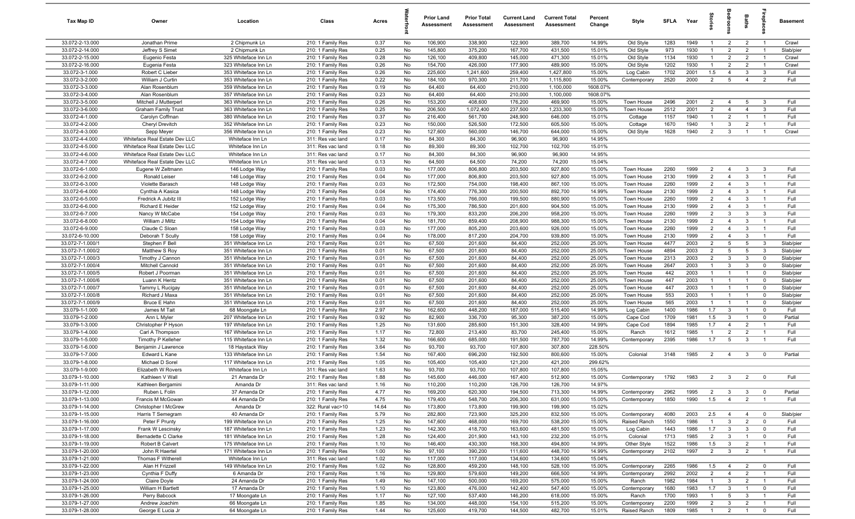| Tax Map ID                           | Owner                                               | Location                                     | Class                                  | Acres        |          | <b>Prior Land</b><br>Assessment | <b>Prior Total</b><br>Assessment | <b>Current Land</b><br><b>Assessment</b> | <b>Current Total</b><br>Assessment | Percent<br>Change | Style                    | <b>SFLA</b>  | Year         | ğ                              |                                  | Baths                            | epla                             | <b>Basement</b>        |
|--------------------------------------|-----------------------------------------------------|----------------------------------------------|----------------------------------------|--------------|----------|---------------------------------|----------------------------------|------------------------------------------|------------------------------------|-------------------|--------------------------|--------------|--------------|--------------------------------|----------------------------------|----------------------------------|----------------------------------|------------------------|
| 33.072-2-13.000                      | Jonathan Prime                                      | 2 Chipmunk Ln                                | 210: 1 Family Res                      | 0.37         | No       | 106,900                         | 338,900                          | 122,900                                  | 389,700                            | 14.99%            | Old Style                | 1283         | 1949         | -1                             | $\overline{2}$                   | $\overline{2}$                   | $\overline{1}$                   | Crawl                  |
| 33.072-2-14.000                      | Jeffrey S Simet                                     | 2 Chipmunk Ln                                | 210: 1 Family Res                      | 0.25         | No       | 145,800                         | 375,200                          | 167,700                                  | 431,500                            | 15.01%            | Old Style                | 973          | 1930         | $\mathbf{1}$                   | $\overline{2}$                   | $\overline{2}$                   | - 1                              | Slab/pier              |
| 33.072-2-15.000                      | Eugenio Festa                                       | 325 Whiteface Inn Ln                         | 210: 1 Family Res                      | 0.28         | No       | 126,100                         | 409,800                          | 145,000                                  | 471,300                            | 15.01%            | Old Style                | 1134         | 1930         | 1                              | $\overline{2}$                   | $\overline{2}$                   | - 1                              | Crawl                  |
| 33.072-2-16.000                      | Eugenia Festa                                       | 323 Whiteface Inn Ln                         | 210: 1 Family Res                      | 0.26         | No       | 154,700                         | 426,000                          | 177,900                                  | 489,900                            | 15.00%            | Old Style                | 1202         | 1930         | 1                              | $\overline{2}$                   | $\overline{2}$                   | $\overline{\mathbf{1}}$          | Crawl                  |
| 33.072-3-1.000                       | Robert C Lieber                                     | 353 Whiteface Inn Ln                         | 210: 1 Family Res                      | 0.26         | No       | 225,600                         | 1,241,600                        | 259,400                                  | 1,427,800                          | 15.00%            | Log Cabin                | 1702         | 2001         | 1.5                            | $\overline{4}$                   | $\mathbf{3}$                     | $\mathbf{3}$                     | Full                   |
| 33.072-3-2.000                       | William J Curtin                                    | 353 Whiteface Inn Ln                         | 210: 1 Family Res                      | 0.22         | No       | 184,100                         | 970,300                          | 211,700                                  | 1,115,800                          | 15.00%            | Contemporary             | 2520         | 2000         | $\overline{2}$                 | 5                                | $\overline{4}$                   | $\overline{2}$                   | Full                   |
| 33.072-3-3.000<br>33.072-3-4.000     | Alan Rosenblum                                      | 359 Whiteface Inn Ln                         | 210: 1 Family Res                      | 0.19         | No       | 64,400                          | 64,400                           | 210,000                                  | 1,100,000                          | 1608.07%          |                          |              |              |                                |                                  |                                  |                                  |                        |
| 33.072-3-5.000                       | Alan Rosenblum                                      | 357 Whiteface Inn Ln                         | 210: 1 Family Res                      | 0.23         | No       | 64,400                          | 64,400                           | 210,000                                  | 1,100,000                          | 1608.07%          | Town House               |              |              | 2                              |                                  |                                  | $\mathcal{R}$                    |                        |
| 33.072-3-6.000                       | Mitchell J Mutterperl<br><b>Graham Family Trust</b> | 363 Whiteface Inn Ln<br>363 Whiteface Inn Ln | 210: 1 Family Res                      | 0.26<br>0.25 | No<br>No | 153,200<br>206,500              | 408,600<br>1,072,400             | 176,200<br>237,500                       | 469,900<br>1,233,300               | 15.00%<br>15.00%  | Town House               | 2496<br>2512 | 2001<br>2001 | $\overline{2}$                 | $\overline{4}$<br>$\overline{4}$ | 5<br>$\overline{4}$              | 3                                | Full<br>Full           |
| 33.072-4-1.000                       | Carolyn Coffman                                     | 380 Whiteface Inn Ln                         | 210: 1 Family Res<br>210: 1 Family Res | 0.37         | No       | 216,400                         | 561,700                          | 248,900                                  | 646,000                            | 15.01%            | Cottage                  | 1157         | 1940         | $\overline{1}$                 | $\overline{2}$                   | $\overline{1}$                   | $\overline{1}$                   | Full                   |
| 33.072-4-2.000                       | Cheryl Drevitch                                     | 352 Whiteface Inn Ln                         | 210: 1 Family Res                      | 0.23         | No       | 150,000                         | 526,500                          | 172,500                                  | 605,500                            | 15.00%            | Cottage                  | 1670         | 1940         | $\overline{1}$                 | $\mathbf{3}$                     | $\overline{2}$                   | $\overline{1}$                   | Full                   |
| 33.072-4-3.000                       | Sepp Meyer                                          | 356 Whiteface Inn Ln                         | 210: 1 Family Res                      | 0.23         | No       | 127,600                         | 560,000                          | 146,700                                  | 644,000                            | 15.00%            | Old Style                | 1628         | 1940         | 2                              | $\mathbf{3}$                     |                                  | $\overline{1}$                   | Crawl                  |
| 33.072-4-4.000                       | Whiteface Real Estate Dev LLC                       | Whiteface Inn Ln                             | 311: Res vac land                      | 0.17         | No       | 84,300                          | 84,300                           | 96,900                                   | 96,900                             | 14.95%            |                          |              |              |                                |                                  |                                  |                                  |                        |
| 33.072-4-5.000                       | Whiteface Real Estate Dev LLC                       | Whiteface Inn Ln                             | 311: Res vac land                      | 0.18         | No       | 89,300                          | 89,300                           | 102,700                                  | 102,700                            | 15.01%            |                          |              |              |                                |                                  |                                  |                                  |                        |
| 33.072-4-6.000                       | Whiteface Real Estate Dev LLC                       | Whiteface Inn Ln                             | 311: Res vac land                      | 0.17         | No       | 84,300                          | 84,300                           | 96,900                                   | 96,900                             | 14.95%            |                          |              |              |                                |                                  |                                  |                                  |                        |
| 33.072-4-7.000                       | Whiteface Real Estate Dev LLC                       | Whiteface Inn Ln                             | 311: Res vac land                      | 0.13         | No       | 64,500                          | 64,500                           | 74,200                                   | 74,200                             | 15.04%            |                          |              |              |                                |                                  |                                  |                                  |                        |
| 33.072-6-1.000                       | Eugene W Zeltmann                                   | 146 Lodge Way                                | 210: 1 Family Res                      | 0.03         | No       | 177,000                         | 806,800                          | 203,500                                  | 927,800                            | 15.00%            | Town House               | 2260         | 1999         | $\overline{2}$                 | $\overline{4}$                   | $\mathbf{3}$                     | 3                                | Full                   |
| 33.072-6-2.000                       | Ronald Leiser                                       | 146 Lodge Way                                | 210: 1 Family Res                      | 0.04         | No       | 177,000                         | 806,800                          | 203,500                                  | 927,800                            | 15.00%            | Town House               | 2130         | 1999         | $\overline{2}$                 | $\overline{4}$                   | 3                                | $\overline{1}$                   | Full                   |
| 33.072-6-3.000                       | Violette Barasch                                    | 148 Lodge Way                                | 210: 1 Family Res                      | 0.03         | No       | 172,500                         | 754,000                          | 198,400                                  | 867,100                            | 15.00%            | Town House               | 2260         | 1999         | $\overline{2}$                 | $\overline{4}$                   | $\mathbf{3}$                     | $\overline{1}$                   | Full                   |
| 33.072-6-4.000                       | Cynthia A Kasica                                    | 148 Lodge Way                                | 210: 1 Family Res                      | 0.04         | No       | 174,400                         | 776,300                          | 200,500                                  | 892,700                            | 14.99%            | Town House               | 2130         | 1999         | $\overline{2}$                 | $\overline{4}$                   | 3                                | $\overline{1}$                   | Full                   |
| 33.072-6-5.000                       | Fredrick A Jubitz III                               | 152 Lodge Way                                | 210: 1 Family Res                      | 0.03         | No       | 173,500                         | 766,000                          | 199,500                                  | 880,900                            | 15.00%            | Town House               | 2260         | 1999         | $\overline{2}$                 | $\overline{4}$                   | $\mathbf{3}$                     | $\overline{1}$                   | Full                   |
| 33.072-6-6.000                       | Richard E Heider                                    | 152 Lodge Way                                | 210: 1 Family Res                      | 0.04         | No       | 175,300                         | 786,500                          | 201,600                                  | 904,500                            | 15.00%            | Town House               | 2130         | 1999         | $\overline{2}$                 | $\overline{4}$                   | $\mathbf{3}$                     | $\overline{1}$                   | Full                   |
| 33.072-6-7.000                       | Nancy W McCabe                                      | 154 Lodge Way                                | 210: 1 Family Res                      | 0.03         | No       | 179,300                         | 833,200                          | 206,200                                  | 958,200                            | 15.00%            | Town House               | 2260         | 1999         | $\overline{2}$                 | $\mathbf{3}$                     | $\mathbf{3}$                     | $\mathbf{3}$                     | Full                   |
| 33.072-6-8.000                       | William J Miltz                                     | 154 Lodge Way                                | 210: 1 Family Res                      | 0.04         | No       | 181,700                         | 859,400                          | 208,900                                  | 988,300                            | 15.00%            | Town House               | 2130         | 1999         | $\overline{2}$                 | $\overline{4}$                   | $\mathbf{3}$                     | $\overline{1}$                   | Full                   |
| 33.072-6-9.000                       | Claude C Sloan                                      | 158 Lodge Way                                | 210: 1 Family Res                      | 0.03         | No       | 177,000                         | 805,200                          | 203,600                                  | 926,000                            | 15.00%            | Town House               | 2260         | 1999         | $\overline{2}$                 | $\overline{4}$                   | 3                                | - 1                              | Full                   |
| 33.072-6-10.000                      | Deborah T Scully                                    | 158 Lodge Way                                | 210: 1 Family Res                      | 0.04         | No       | 178,000                         | 817,200                          | 204,700                                  | 939,800                            | 15.00%            | Town House               | 2130         | 1999         | $\overline{2}$                 | $\overline{4}$                   | $\mathbf{3}$                     | $\overline{1}$                   | Full                   |
| 33.072-7-1.000/1                     | Stephen F Bell                                      | 351 Whiteface Inn Ln                         | 210: 1 Family Res                      | 0.01         | No       | 67,500                          | 201,600                          | 84,400                                   | 252,000                            | 25.00%            | <b>Town House</b>        | 4477         | 2003         | $\overline{2}$                 | 5                                | 5                                | 3                                | Slab/pier              |
| 33.072-7-1.000/2                     | Matthew S Roy                                       | 351 Whiteface Inn Ln                         | 210: 1 Family Res                      | 0.01         | No       | 67,500                          | 201,600                          | 84,400                                   | 252,000                            | 25.00%            | Town House               | 4894         | 2003         | $\overline{2}$                 | 5                                | 5                                | $\mathbf{3}$                     | Slab/pier              |
| 33.072-7-1.000/3                     | Timothy J Cannon                                    | 351 Whiteface Inn Ln                         | 210: 1 Family Res                      | 0.01         | No       | 67,500                          | 201,600                          | 84,400                                   | 252,000                            | 25.00%            | Town House               | 2313         | 2003         | 2                              | $\mathbf{3}$                     | 3                                | $\Omega$                         | Slab/pier              |
| 33.072-7-1.000/4                     | Mitchell Cannold                                    | 351 Whiteface Inn Ln                         | 210: 1 Family Res                      | 0.01         | No       | 67,500                          | 201,600                          | 84,400                                   | 252,000                            | 25.00%            | Town House               | 2647         | 2003         | $\overline{1}$                 | $\mathbf{3}$                     | $\mathbf{3}$                     | $\mathbf 0$                      | Slab/pier              |
| 33.072-7-1.000/5                     | Robert J Poorman                                    | 351 Whiteface Inn Ln                         | 210: 1 Family Res                      | 0.01         | No       | 67,500                          | 201,600                          | 84,400                                   | 252,000                            | 25.00%            | Town House               | 442          | 2003         | $\overline{1}$                 | $\overline{1}$                   | $\overline{1}$                   | $\mathbf 0$                      | Slab/pier              |
| 33.072-7-1.000/6                     | Luann K Hentz                                       | 351 Whiteface Inn Ln                         | 210: 1 Family Res                      | 0.01         | No       | 67,500                          | 201,600                          | 84,400                                   | 252,000                            | 25.00%            | Town House               | 447          | 2003         | $\overline{1}$                 | $\overline{1}$                   | $\overline{1}$                   | $\mathbf 0$                      | Slab/pier              |
| 33.072-7-1.000/7                     | Tammy L Rucigay                                     | 351 Whiteface Inn Ln                         | 210: 1 Family Res                      | 0.01         | No       | 67,500                          | 201,600                          | 84,400                                   | 252,000                            | 25.00%            | Town House               | 447          | 2003<br>2003 | $\mathbf{1}$<br>$\overline{1}$ | $\overline{1}$<br>$\overline{1}$ | $\overline{1}$<br>$\overline{1}$ | $\mathbf 0$<br>$^{\circ}$        | Slab/pier              |
| 33.072-7-1.000/8<br>33.072-7-1.000/9 | Richard J Maxa<br>Bruce E Hahn                      | 351 Whiteface Inn Ln<br>351 Whiteface Inn Ln | 210: 1 Family Res<br>210: 1 Family Res | 0.01<br>0.01 | No<br>No | 67,500<br>67,500                | 201,600<br>201,600               | 84,400<br>84,400                         | 252,000<br>252,000                 | 25.00%<br>25.00%  | Town House<br>Town House | 553<br>565   | 2003         | $\mathbf{1}$                   | $\overline{1}$                   | $\overline{1}$                   | $\mathbf 0$                      | Slab/pier<br>Slab/pier |
| 33.079-1-1.000                       | James M Tait                                        | 68 Moongate Ln                               | 210: 1 Family Res                      | 2.97         | No       | 162,600                         | 448,200                          | 187,000                                  | 515,400                            | 14.99%            | Log Cabin                | 1400         | 1986         | 1.7                            | $\mathbf{3}$                     | $\overline{1}$                   | $\mathbf 0$                      | Full                   |
| 33.079-1-2.000                       | Ann L Myler                                         | 207 Whiteface Inn Ln                         | 210: 1 Family Res                      | 0.92         | No       | 82,900                          | 336,700                          | 95,300                                   | 387,200                            | 15.00%            | Cape Cod                 | 1709         | 1981         | 1.5                            | $\mathbf{3}$                     | $\overline{1}$                   | $\mathbf 0$                      | Partial                |
| 33.079-1-3.000                       | Christopher P Hyson                                 | 197 Whiteface Inn Ln                         | 210: 1 Family Res                      | 1.25         | No       | 131,600                         | 285,600                          | 151,300                                  | 328,400                            | 14.99%            | Cape Cod                 | 1894         | 1985         | 1.7                            | $\overline{4}$                   | $\overline{2}$                   | -1                               | Full                   |
| 33.079-1-4.000                       | Carl A Thompson                                     | 167 Whiteface Inn Ln                         | 210: 1 Family Res                      | 1.17         | No       | 72,800                          | 213,400                          | 83,700                                   | 245,400                            | 15.00%            | Ranch                    | 1612         | 1985         | $\mathbf{1}$                   | $\overline{2}$                   | $\overline{2}$                   | - 1                              | Full                   |
| 33.079-1-5.000                       | Timothy P Kelleher                                  | 115 Whiteface Inn Ln                         | 210: 1 Family Res                      | 1.32         | No       | 166,600                         | 685,000                          | 191,500                                  | 787,700                            | 14.99%            | Contemporary             | 2395         | 1986         | 1.7                            | 5                                | -3                               |                                  | Full                   |
| 33.079-1-6.000                       | Benjamin J Lawrence                                 | 18 Haystack Way                              | 210: 1 Family Res                      | 3.64         | No       | 93,700                          | 93,700                           | 107,800                                  | 307,800                            | 228.50%           |                          |              |              |                                |                                  |                                  |                                  |                        |
| 33.079-1-7.000                       | Edward L Kane                                       | 133 Whiteface Inn Ln                         | 210: 1 Family Res                      | 1.54         | No       | 167,400                         | 696,200                          | 192,500                                  | 800,600                            | 15.00%            | Colonial                 | 3148         | 1985         | 2                              | -4                               | $\overline{3}$                   | $\mathbf 0$                      | Partial                |
| 33.079-1-8.000                       | Michael D Sorel                                     | 117 Whiteface Inn Ln                         | 210: 1 Family Res                      | 1.05         | No       | 105,400                         | 105,400                          | 121,200                                  | 421,200                            | 299.62%           |                          |              |              |                                |                                  |                                  |                                  |                        |
| 33.079-1-9.000                       | Elizabeth W Rovers                                  | Whiteface Inn Ln                             | 311: Res vac land                      | 1.63         | No       | 93,700                          | 93,700                           | 107,800                                  | 107,800                            | 15.05%            |                          |              |              |                                |                                  |                                  |                                  |                        |
| 33.079-1-10.000                      | Kathleen V Wall                                     | 21 Amanda Dr                                 | 210: 1 Family Res                      | 1.88         | No       | 145,600                         | 446,000                          | 167,400                                  | 512,900                            | 15.00%            | Contemporary             | 1792         | 1983         | 2                              | $\mathbf{3}$                     | $\overline{2}$                   | $\Omega$                         | Full                   |
| 33.079-1-11.000                      | Kathleen Bergamini                                  | Amanda Dr                                    | 311: Res vac land                      | 1.16         | No       | 110,200                         | 110,200                          | 126,700                                  | 126,700                            | 14.97%            |                          |              |              |                                |                                  |                                  |                                  |                        |
| 33.079-1-12.000                      | Ruben L Folin                                       | 37 Amanda Dr                                 | 210: 1 Family Res                      | 4.77         | No       | 169,200                         | 620,300                          | 194,500                                  | 713,300                            | 14.99%            | Contemporary             | 2962         | 1995         | $\overline{2}$                 | $\mathbf{3}$                     | $\mathbf{3}$                     | $\overline{0}$                   | Partial                |
| 33.079-1-13.000                      | Francis M McGowan                                   | 44 Amanda Dr                                 | 210: 1 Family Res                      | 4.75         | No       | 179,400                         | 548,700                          | 206,300                                  | 631,000                            | 15.00%            | Contemporary             | 1850         | 1990         | 1.5                            | $\overline{4}$                   | $\overline{2}$                   | $\overline{1}$                   | Full                   |
| 33.079-1-14.000                      | Christopher I McGrew                                | Amanda Dr                                    | 322: Rural vac>10                      | 14.64        | No       | 173,800                         | 173,800                          | 199,900                                  | 199,900                            | 15.02%            |                          |              |              |                                |                                  |                                  |                                  |                        |
| 33.079-1-15.000                      | Harris T Semegram                                   | 40 Amanda Dr                                 | 210: 1 Family Res                      | 5.79         | No       | 282,800                         | 723,900                          | 325,200                                  | 832,500                            | 15.00%            | Contemporary             | 4080         | 2003         | 2.5                            | $\overline{4}$                   | $\overline{4}$                   | $\overline{0}$                   | Slab/pier              |
| 33.079-1-16.000                      | Peter F Prunty                                      | 199 Whiteface Inn Ln                         | 210: 1 Family Res                      | 1.25         | No       | 147,600                         | 468,000                          | 169,700                                  | 538,200                            | 15.00%            | Raised Ranch             | 1550         | 1986         | $\overline{1}$                 | $\mathbf{3}$                     | $\overline{2}$                   | $\mathbf 0$                      | Full                   |
| 33.079-1-17.000                      | Frank W Lescinsky                                   | 187 Whiteface Inn Ln                         | 210: 1 Family Res                      | 1.23         | No       | 142,300                         | 418,700                          | 163,600                                  | 481,500                            | 15.00%            | Log Cabin                | 1443         | 1986         | 1.7                            | $\mathbf{3}$                     | $\mathbf{3}$                     | $\overline{0}$                   | Full                   |
| 33.079-1-18.000                      | Bernadette C Clarke                                 | 181 Whiteface Inn Ln                         | 210: 1 Family Res                      | 1.28         | No       | 124,400                         | 201,900                          | 143,100                                  | 232,200                            | 15.01%            | Colonial                 | 1713         | 1985         | $\overline{2}$                 | $\overline{3}$                   |                                  | $\mathbf 0$                      | Full                   |
| 33.079-1-19.000<br>33.079-1-20.000   | Robert B Calvert<br>John R Haertel                  | 175 Whiteface Inn Ln<br>171 Whiteface Inn Ln | 210: 1 Family Res<br>210: 1 Family Res | 1.10<br>1.00 | No<br>No | 146,400<br>97,100               | 430,300<br>390,200               | 168,300<br>111,600                       | 494,800<br>448,700                 | 14.99%<br>14.99%  | Other Style              | 1522<br>2102 | 1986<br>1997 | 1.5<br>$\overline{2}$          | $\mathbf{3}$<br>$\mathbf{3}$     | $\overline{2}$<br>$\overline{2}$ | $\overline{1}$<br>$\overline{1}$ | Full<br>Full           |
| 33.079-1-21.000                      | Thomas F Witherell                                  | Whiteface Inn Ln                             | 311: Res vac land                      | 1.02         |          | 117,000                         | 117,000                          | 134,600                                  | 134,600                            | 15.04%            | Contemporary             |              |              |                                |                                  |                                  |                                  |                        |
| 33.079-1-22.000                      | Alan H Frizzell                                     | 149 Whiteface Inn Ln                         | 210: 1 Family Res                      | 1.02         | No<br>No | 128,800                         | 459,200                          | 148,100                                  | 528,100                            | 15.00%            | Contemporary             | 2265         | 1986         | 1.5                            | $\overline{4}$                   | $\overline{2}$                   | $\overline{0}$                   | Full                   |
| 33.079-1-23.000                      | Cynthia F Duffy                                     | 6 Amanda Dr                                  | 210: 1 Family Res                      | 1.16         | No       | 129,800                         | 579,600                          | 149,200                                  | 666,500                            | 14.99%            | Contemporary             | 2992         | 2002         | $\overline{2}$                 | $\overline{4}$                   | $\overline{2}$                   | $\overline{1}$                   | Full                   |
| 33.079-1-24.000                      | Claire Doyle                                        | 24 Amanda Dr                                 | 210: 1 Family Res                      | 1.49         | No       | 147,100                         | 500,000                          | 169,200                                  | 575,000                            | 15.00%            | Ranch                    | 1982         | 1984         | $\mathbf{1}$                   | $\mathbf{3}$                     | $\overline{2}$                   | $\overline{1}$                   | Full                   |
| 33.079-1-25.000                      | William H Bartlett                                  | 17 Amanda Dr                                 | 210: 1 Family Res                      | 1.10         | No       | 123,800                         | 476,000                          | 142,400                                  | 547,400                            | 15.00%            | Contemporary             | 1680         | 1983         | 1.7                            | $\mathbf{3}$                     | $\overline{1}$                   | $\mathbf 0$                      | Full                   |
| 33.079-1-26.000                      | Perry Babcock                                       | 17 Moongate Ln                               | 210: 1 Family Res                      | 1.17         | No       | 127,100                         | 537,400                          | 146,200                                  | 618,000                            | 15.00%            | Ranch                    | 1700         | 1993         | $\mathbf{1}$                   | $5\overline{5}$                  | $\mathbf{3}$                     | $\overline{1}$                   | Full                   |
| 33.079-1-27.000                      | Andrew Joachim                                      | 66 Moongate Ln                               | 210: 1 Family Res                      | 1.85         | No       | 134,000                         | 448,000                          | 154,100                                  | 515,200                            | 15.00%            | Contemporary             | 2200         | 1999         | $\overline{2}$                 | $\mathbf{3}$                     | $\overline{2}$                   | $\overline{1}$                   | Full                   |
| 33.079-1-28.000                      | George E Lucia Jr                                   | 64 Moongate Ln                               | 210: 1 Family Res                      | 1.44         | No       | 125,600                         | 419,700                          | 144,500                                  | 482,700                            | 15.01%            | Raised Ranch             | 1809         | 1985         | $\overline{1}$                 | $\overline{2}$                   | $\overline{1}$                   | $\overline{0}$                   | Full                   |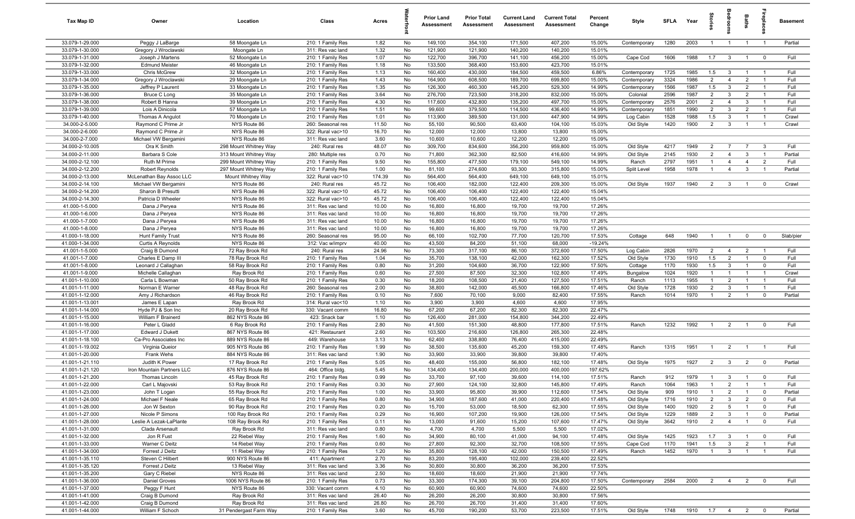| Tax Map ID                         | Owner                                              | Location                                   | Class                                  | Acres          |          | <b>Prior Land</b><br>Assessment | <b>Prior Total</b><br>Assessment | <b>Current Land</b><br>Assessment | <b>Current Total</b><br><b>Assessment</b> | Percent<br>Change | Style                        | SFLA         | Year           | tories                           | ledroo                           | Baths                            |                                  | <b>Basement</b> |
|------------------------------------|----------------------------------------------------|--------------------------------------------|----------------------------------------|----------------|----------|---------------------------------|----------------------------------|-----------------------------------|-------------------------------------------|-------------------|------------------------------|--------------|----------------|----------------------------------|----------------------------------|----------------------------------|----------------------------------|-----------------|
| 33.079-1-29.000                    | Peggy J LaBarge                                    | 58 Moongate Ln                             | 210: 1 Family Res                      | 1.82           | No       | 149,100                         | 354,100                          | 171,500                           | 407,200                                   | 15.00%            | Contemporary                 | 1280         | 2003           | $\overline{1}$                   | $\overline{1}$                   | $\overline{1}$                   | $\overline{1}$                   | Partial         |
| 33.079-1-30.000                    | Gregory J Wroclawski                               | Moongate Ln                                | 311: Res vac land                      | 1.32           | No       | 121,900                         | 121,900                          | 140,200                           | 140,200                                   | 15.01%            |                              |              |                |                                  |                                  |                                  |                                  |                 |
| 33.079-1-31.000                    | Joseph J Martens                                   | 52 Moongate Ln                             | 210: 1 Family Res                      | 1.07           | No       | 122,700                         | 396,700                          | 141,100                           | 456,200                                   | 15.00%            | Cape Cod                     | 1606         | 1988           | 1.7                              | $\overline{\mathbf{3}}$          | $\overline{1}$                   | $\overline{0}$                   | Full            |
| 33.079-1-32.000                    | <b>Edmund Meister</b>                              | 46 Moongate Ln                             | 210: 1 Family Res                      | 1.18           | No       | 133,500                         | 368,400                          | 153,600                           | 423,700                                   | 15.01%            |                              |              |                |                                  |                                  |                                  |                                  |                 |
| 33.079-1-33.000<br>33.079-1-34.000 | Chris McGrew<br>Gregory J Wroclawski               | 32 Moongate Ln<br>29 Moongate Ln           | 210: 1 Family Res<br>210: 1 Family Res | 1.13<br>1.43   | No<br>No | 160,400<br>164,900              | 430,000<br>608,500               | 184,500<br>189,700                | 459,500<br>699,800                        | 6.86%<br>15.00%   | Contemporary<br>Contemporary | 1725<br>3324 | 1985<br>1986   | 1.5<br>$\overline{2}$            | $\mathbf{3}$<br>$\overline{4}$   | $\overline{1}$<br>$\overline{2}$ | $\overline{1}$                   | Full<br>Full    |
| 33.079-1-35.000                    | Jeffrey P Laurent                                  | 33 Moongate Ln                             | 210: 1 Family Res                      | 1.35           | No       | 126,300                         | 460,300                          | 145,200                           | 529,300                                   | 14.99%            | Contemporary                 | 1566         | 1987           | 1.5                              | $\mathbf{3}$                     | $\overline{2}$                   | $\overline{1}$                   | Full            |
| 33.079-1-36.000                    | <b>Bruce C Long</b>                                | 35 Moongate Ln                             | 210: 1 Family Res                      | 3.64           | No       | 276,700                         | 723,500                          | 318,200                           | 832,000                                   | 15.00%            | Colonial                     | 2596         | 1987           | $\overline{2}$                   | $\mathbf{3}$                     | $\overline{2}$                   | $\overline{1}$                   | Full            |
| 33.079-1-38.000                    | Robert B Hanna                                     | 39 Moongate Ln                             | 210: 1 Family Res                      | 4.30           | No       | 117,600                         | 432,800                          | 135,200                           | 497,700                                   | 15.00%            | Contemporary                 | 2576         | 2001           | $\overline{2}$                   | $\overline{4}$                   | -3                               | $\overline{1}$                   | Full            |
| 33.079-1-39.000                    | Lois A Dinicola                                    | 57 Moongate Ln                             | 210: 1 Family Res                      | 1.51           | No       | 99,600                          | 379,500                          | 114,500                           | 436,400                                   | 14.99%            | Contemporary                 | 1851         | 1990           | $\overline{2}$                   | $\mathbf{3}$                     | $\overline{2}$                   | $\overline{1}$                   | Full            |
| 33.079-1-40.000                    | Thomas A Angulot                                   | 70 Moongate Ln                             | 210: 1 Family Res                      | 1.01           | No       | 113,900                         | 389,500                          | 131,000                           | 447,900                                   | 14.99%            | Log Cabin                    | 1528         | 1988           | 1.5                              | 3                                | $\overline{1}$                   | $\overline{1}$                   | Crawl           |
| 34.000-2-5.000                     | Raymond C Prime Jr                                 | NYS Route 86                               | 260: Seasonal res                      | 11.50          | No       | 55,100                          | 90,500                           | 63,400                            | 104,100                                   | 15.03%            | Old Style                    | 1420         | 1900           | $\overline{2}$                   | $\mathbf{3}$                     | $\overline{1}$                   | $\overline{1}$                   | Crawl           |
| 34.000-2-6.000                     | Raymond C Prime Jr                                 | NYS Route 86                               | 322: Rural vac>10                      | 16.70          | No       | 12,000                          | 12,000                           | 13,800                            | 13,800                                    | 15.00%            |                              |              |                |                                  |                                  |                                  |                                  |                 |
| 34.000-2-7.000                     | Michael VW Bergamini                               | NYS Route 86                               | 311: Res vac land                      | 3.60           | No       | 10,600                          | 10,600                           | 12,200                            | 12,200                                    | 15.09%            |                              |              |                |                                  |                                  |                                  |                                  |                 |
| 34.000-2-10.005                    | Ora K Smith                                        | 298 Mount Whitney Way                      | 240: Rural res                         | 48.07          | No       | 309,700                         | 834,600                          | 356,200                           | 959,800                                   | 15.00%            | Old Style                    | 4217         | 1949           | $\overline{2}$                   | $\overline{7}$                   | $\overline{7}$                   | $\mathbf{3}$                     | Full            |
| 34.000-2-11.000                    | Barbara S Cole                                     | 313 Mount Whitney Way                      | 280: Multiple res                      | 0.70           | No       | 71,800                          | 362,300                          | 82,500                            | 416,600                                   | 14.99%            | Old Style                    | 2145         | 1930           | $\overline{2}$                   | $\overline{4}$                   | 3                                | $\overline{1}$                   | Partial         |
| 34.000-2-12.100                    | Ruth M Prime                                       | 299 Mount Whitney Way                      | 210: 1 Family Res                      | 9.50           | No       | 155,800                         | 477,500                          | 179,100                           | 549,100                                   | 14.99%            | Ranch                        | 2797         | 1951           | -1                               | $\overline{4}$                   | $\overline{4}$                   | $\overline{2}$                   | Full            |
| 34.000-2-12.200<br>34.000-2-13.000 | <b>Robert Reynolds</b><br>McLenathan Bay Assoc LLC | 297 Mount Whitney Way<br>Mount Whitney Way | 210: 1 Family Res                      | 1.00<br>174.39 | No<br>No | 81,100<br>564,400               | 274,600<br>564,400               | 93,300<br>649,100                 | 315,800<br>649,100                        | 15.00%<br>15.01%  | Split Level                  | 1958         | 1978           | -1                               | $\overline{4}$                   | $\mathbf{3}$                     | $\overline{1}$                   | Partial         |
| 34.000-2-14.100                    | Michael VW Bergamini                               | NYS Route 86                               | 322: Rural vac>10<br>240: Rural res    | 45.72          | No       | 106,400                         | 182,000                          | 122,400                           | 209,300                                   | 15.00%            | Old Style                    | 1937         | 1940           | $\overline{2}$                   | $\overline{\mathbf{3}}$          | $\overline{1}$                   | $\mathbf 0$                      | Crawl           |
| 34.000-2-14.200                    | Sharon B Presutti                                  | NYS Route 86                               | 322: Rural vac>10                      | 45.72          | No       | 106,400                         | 106,400                          | 122,400                           | 122,400                                   | 15.04%            |                              |              |                |                                  |                                  |                                  |                                  |                 |
| 34.000-2-14.300                    | Patricia D Wheeler                                 | NYS Route 86                               | 322: Rural vac>10                      | 45.72          | No       | 106,400                         | 106,400                          | 122,400                           | 122,400                                   | 15.04%            |                              |              |                |                                  |                                  |                                  |                                  |                 |
| 41.000-1-5.000                     | Dana J Peryea                                      | NYS Route 86                               | 311: Res vac land                      | 10.00          | No       | 16,800                          | 16,800                           | 19,700                            | 19,700                                    | 17.26%            |                              |              |                |                                  |                                  |                                  |                                  |                 |
| 41.000-1-6.000                     | Dana J Peryea                                      | NYS Route 86                               | 311: Res vac land                      | 10.00          | No       | 16,800                          | 16,800                           | 19,700                            | 19,700                                    | 17.26%            |                              |              |                |                                  |                                  |                                  |                                  |                 |
| 41.000-1-7.000                     | Dana J Peryea                                      | NYS Route 86                               | 311: Res vac land                      | 10.00          | No       | 16,800                          | 16,800                           | 19,700                            | 19,700                                    | 17.26%            |                              |              |                |                                  |                                  |                                  |                                  |                 |
| 41.000-1-8.000                     | Dana J Peryea                                      | NYS Route 86                               | 311: Res vac land                      | 10.00          | No       | 16,800                          | 16,800                           | 19,700                            | 19,700                                    | 17.26%            |                              |              |                |                                  |                                  |                                  |                                  |                 |
| 41.000-1-18.000                    | Hunt Family Trust                                  | NYS Route 86                               | 260: Seasonal res                      | 95.00          | No       | 66,100                          | 102,700                          | 77,700                            | 120,700                                   | 17.53%            | Cottage                      | 648          | 1940           | $\overline{1}$                   | $\overline{1}$                   | $\mathbf{0}$                     | $\overline{0}$                   | Slab/pier       |
| 41.000-1-34.000                    | Curtis A Reynolds                                  | NYS Route 86                               | 312: Vac w/imprv                       | 40.00          | No       | 43,500                          | 84,200                           | 51,100                            | 68,000                                    | $-19.24%$         |                              |              |                |                                  |                                  |                                  |                                  |                 |
| 41.001-1-5.000                     | Craig B Dumond                                     | 72 Ray Brook Rd                            | 240: Rural res                         | 24.96          | No       | 73,300                          | 317,100                          | 86,100                            | 372,600                                   | 17.50%            | Log Cabin                    | 2826         | 1970           | $\overline{2}$                   | $\overline{4}$                   | $\overline{2}$                   | $\overline{1}$                   | Full            |
| 41.001-1-7.000                     | Charles E Damp III                                 | 78 Ray Brook Rd                            | 210: 1 Family Res                      | 1.04           | No       | 35,700                          | 138,100                          | 42,000                            | 162,300                                   | 17.52%            | Old Style                    | 1730         | 1910           | 1.5                              | $\overline{2}$                   | $\overline{1}$                   | $\mathbf 0$                      | Full            |
| 41.001-1-8.000                     | Leonard J Callaghan                                | 58 Ray Brook Rd                            | 210: 1 Family Res                      | 0.80           | No       | 31,200                          | 104,600                          | 36,700                            | 122,900                                   | 17.50%            | Cottage                      | 1170         | 1930           | 1.5                              | $\mathbf{3}$                     | $\overline{1}$                   | $\mathbf 0$                      | Full            |
| 41.001-1-9.000<br>41.001-1-10.000  | Michelle Callaghan                                 | Ray Brook Rd<br>50 Ray Brook Rd            | 210: 1 Family Res                      | 0.60<br>0.30   | No<br>No | 27,500<br>18,200                | 87,500<br>108,500                | 32,300<br>21,400                  | 102,800<br>127,500                        | 17.49%<br>17.51%  | Bungalow                     | 1024<br>1113 | 1920<br>1955   | $\overline{1}$<br>$\overline{1}$ | $\overline{1}$<br>$\overline{2}$ | $\overline{1}$<br>$\overline{1}$ | $\overline{1}$<br>$\overline{1}$ | Crawl<br>Full   |
| 41.001-1-11.000                    | Carla L Bowman<br>Norman E Warner                  | 48 Ray Brook Rd                            | 210: 1 Family Res<br>260: Seasonal res | 2.00           | No       | 38,800                          | 142,000                          | 45,500                            | 166,800                                   | 17.46%            | Ranch<br>Old Style           | 1728         | 1930           | $\overline{2}$                   | $\mathbf{3}$                     | $\overline{1}$                   | $\overline{1}$                   | Full            |
| 41.001-1-12.000                    | Amy J Richardson                                   | 46 Ray Brook Rd                            | 210: 1 Family Res                      | 0.10           | No       | 7,600                           | 70,100                           | 9,000                             | 82,400                                    | 17.55%            | Ranch                        | 1014         | 1970           | $\overline{1}$                   | $\overline{2}$                   | $\overline{1}$                   | $\mathbf 0$                      | Partial         |
| 41.001-1-13.001                    | James E Lapan                                      | Ray Brook Rd                               | 314: Rural vac<10                      | 1.10           | No       | 3,900                           | 3,900                            | 4,600                             | 4,600                                     | 17.95%            |                              |              |                |                                  |                                  |                                  |                                  |                 |
| 41.001-1-14.000                    | Hyde PJ & Son Inc                                  | 20 Ray Brook Rd                            | 330: Vacant comm                       | 16.80          | No       | 67,200                          | 67,200                           | 82,300                            | 82,300                                    | 22.47%            |                              |              |                |                                  |                                  |                                  |                                  |                 |
| 41.001-1-15.000                    | William F Brainerd                                 | 862 NYS Route 86                           | 423: Snack bar                         | 1.10           | No       | 126,400                         | 281,000                          | 154,800                           | 344,200                                   | 22.49%            |                              |              |                |                                  |                                  |                                  |                                  |                 |
| 41.001-1-16.000                    | Peter L Gladd                                      | 6 Ray Brook Rd                             | 210: 1 Family Res                      | 2.80           | No       | 41,500                          | 151,300                          | 48,800                            | 177,800                                   | 17.51%            | Ranch                        | 1232         | 1992           | - 1                              | $\overline{2}$                   | $\overline{1}$                   | $\mathbf 0$                      | Full            |
| 41.001-1-17.000                    | Edward J Dukett                                    | 867 NYS Route 86                           | 421: Restaurant                        | 2.60           | No       | 103,500                         | 216,600                          | 126,800                           | 265,300                                   | 22.48%            |                              |              |                |                                  |                                  |                                  |                                  |                 |
| 41.001-1-18.100                    | Ca-Pro Associates Inc                              | 889 NYS Route 86                           | 449: Warehouse                         | 3.13           | No       | 62,400                          | 338,800                          | 76,400                            | 415,000                                   | 22.49%            |                              |              |                |                                  |                                  |                                  |                                  |                 |
| 41.001-1-19.002                    | Virginia Queior                                    | 905 NYS Route 86                           | 210: 1 Family Res                      | 1.99           | No       | 38,500                          | 135,600                          | 45,200                            | 159,300                                   | 17.48%            | Ranch                        | 1315         | 1951           | $\overline{1}$                   | $\overline{2}$                   | $\overline{1}$                   | $\overline{1}$                   | Full            |
| 41.001-1-20.000                    | <b>Frank Wehs</b>                                  | 884 NYS Route 86                           | 311: Res vac land                      | 1.90           | No       | 33,900                          | 33,900                           | 39,800                            | 39,800                                    | 17.40%            |                              |              |                |                                  |                                  |                                  |                                  |                 |
| 41.001-1-21.110                    | Judith K Power                                     | 17 Ray Brook Rd                            | 210: 1 Family Res                      | 5.05           | No       | 48,400                          | 155,000                          | 56,800                            | 182,100                                   | 17.48%            | Old Style                    | 1975         | 1927           | $\overline{2}$                   | $\mathbf{3}$                     | $\overline{2}$                   | $\overline{\mathbf{0}}$          | Partial         |
| 41.001-1-21.120                    | Iron Mountain Partners LLC                         | 876 NYS Route 86                           | 464: Office bldg.                      | 5.45           | No       | 134,400                         | 134,400                          | 200,000                           | 400,000                                   | 197.62%           |                              |              |                |                                  |                                  |                                  |                                  |                 |
| 41.001-1-21.200<br>41.001-1-22.000 | <b>Thomas Lincoln</b>                              | 45 Ray Brook Rd                            | 210: 1 Family Res<br>210: 1 Family Res | 0.99<br>0.30   | No<br>No | 33,700<br>27,900                | 97,100<br>124,100                | 39,600<br>32,800                  | 114,100<br>145,800                        | 17.51%<br>17.49%  | Ranch<br>Ranch               | 912<br>1064  | 1979<br>1963   | $\overline{1}$<br>$\overline{1}$ | $\mathbf{3}$<br>$\overline{2}$   | $\overline{1}$                   | $\mathbf 0$                      | Full<br>Full    |
| 41.001-1-23.000                    | Carl L Majovski<br>John T Logan                    | 53 Ray Brook Rd<br>55 Ray Brook Rd         | 210: 1 Family Res                      | 1.00           | No       | 33,900                          | 95,800                           | 39,900                            | 112,600                                   | 17.54%            | Old Style                    | 909          | 1910           | $\overline{1}$                   | $\overline{2}$                   | $\overline{1}$                   | $\overline{0}$                   | Partial         |
| 41.001-1-24.000                    | Michael F Neale                                    | 65 Ray Brook Rd                            | 210: 1 Family Res                      | 0.80           | No       | 34,900                          | 187,600                          | 41,000                            | 220,400                                   | 17.48%            | Old Style                    | 1716         | 1910           | $\overline{2}$                   | $\mathbf{3}$                     | $\overline{2}$                   | $\mathbf 0$                      | Full            |
| 41.001-1-26.000                    | Jon W Sexton                                       | 90 Ray Brook Rd                            | 210: 1 Family Res                      | 0.20           | No       | 15,700                          | 53,000                           | 18,500                            | 62,300                                    | 17.55%            | Old Style                    | 1400         | 1920           | $\overline{2}$                   | $5\overline{5}$                  | $\overline{1}$                   | $\mathbf 0$                      | Full            |
| 41.001-1-27.000                    | Nicole P Simons                                    | 100 Ray Brook Rd                           | 210: 1 Family Res                      | 0.29           | No       | 16,900                          | 107,200                          | 19,900                            | 126,000                                   | 17.54%            | Old Style                    | 1229         | 1889           | $\overline{2}$                   | $\overline{\mathbf{3}}$          | $\overline{1}$                   | $\overline{0}$                   | Partial         |
| 41.001-1-28.000                    | Leslie A Lezak-LaPlante                            | 108 Ray Brook Rd                           | 210: 1 Family Res                      | 0.11           | No       | 13,000                          | 91,600                           | 15,200                            | 107,600                                   | 17.47%            | Old Style                    | 3642         | 1910           | $\overline{2}$                   | $\overline{4}$                   | $\overline{1}$                   | $\mathbf 0$                      | Full            |
| 41.001-1-31.000                    | Clada Arsenault                                    | Ray Brook Rd                               | 311: Res vac land                      | 0.80           | No       | 4,700                           | 4,700                            | 5,500                             | 5,500                                     | 17.02%            |                              |              |                |                                  |                                  |                                  |                                  |                 |
| 41.001-1-32.000                    | Jon R Fust                                         | 22 Riebel Way                              | 210: 1 Family Res                      | 1.60           | No       | 34,900                          | 80,100                           | 41,000                            | 94,100                                    | 17.48%            | Old Style                    | 1425         | 1923           | 1.7                              | $\mathbf{3}$                     | $\overline{1}$                   | $\mathbf 0$                      | Full            |
| 41.001-1-33.000                    | Warner C Deitz                                     | 14 Riebel Way                              | 210: 1 Family Res                      | 0.60           | No       | 27,800                          | 92,300                           | 32,700                            | 108,500                                   | 17.55%            | Cape Cod                     | 1170         | 1941           | 1.5                              | $\overline{3}$                   | $\overline{2}$                   | $\overline{1}$                   | Full            |
| 41.001-1-34.000                    | Forrest J Deitz                                    | 11 Riebel Way                              | 210: 1 Family Res                      | 1.20           | No       | 35,800                          | 128,100                          | 42,000                            | 150,500                                   | 17.49%            | Ranch                        | 1452         | 1970           | $\overline{1}$                   | $\overline{\mathbf{3}}$          | $\overline{1}$                   | $\overline{1}$                   | Full            |
| 41.001-1-35.110                    | Steven C Hilbert                                   | 900 NYS Route 86                           | 411: Apartment                         | 2.70           | No       | 83,200                          | 195,400                          | 102,000                           | 239,400                                   | 22.52%            |                              |              |                |                                  |                                  |                                  |                                  |                 |
| 41.001-1-35.120                    | Forrest J Deitz                                    | 13 Riebel Way                              | 311: Res vac land                      | 3.36           | No       | 30,800                          | 30,800                           | 36,200                            | 36,200                                    | 17.53%            |                              |              |                |                                  |                                  |                                  |                                  |                 |
| 41.001-1-35.200                    | Gary C Riebel                                      | NYS Route 86                               | 311: Res vac land                      | 2.50           | No       | 18,600                          | 18,600                           | 21,900                            | 21,900                                    | 17.74%            |                              |              |                |                                  |                                  |                                  |                                  |                 |
| 41.001-1-36.000                    | Daniel Groves                                      | 1006 NYS Route 86                          | 210: 1 Family Res                      | 0.73           | No       | 33,300                          | 174,300                          | 39,100                            | 204,800                                   | 17.50%            | Contemporary                 | 2584         | 2000           |                                  | 2 4                              | $\overline{2}$                   | $\overline{0}$                   | Full            |
| 41.001-1-37.000<br>41.001-1-41.000 | Peggy F Hunt                                       | NYS Route 86<br>Ray Brook Rd               | 330: Vacant comm<br>311: Res vac land  | 4.10<br>26.40  | No<br>No | 60,900<br>26,200                | 60,900<br>26,200                 | 74,600<br>30,800                  | 74,600<br>30,800                          | 22.50%<br>17.56%  |                              |              |                |                                  |                                  |                                  |                                  |                 |
| 41.001-1-42.000                    | Craig B Dumond<br>Craig B Dumond                   | Ray Brook Rd                               | 311: Res vac land                      | 26.80          | No       | 26,700                          | 26,700                           | 31,400                            | 31,400                                    | 17.60%            |                              |              |                |                                  |                                  |                                  |                                  |                 |
| 41.001-1-44.000                    | William F Schoch                                   | 31 Pendergast Farm Way                     | 210: 1 Family Res                      | 3.60           | No       | 45,700                          | 190,200                          | 53,700                            | 223,500                                   | 17.51%            | Old Style                    | 1748         | 1910 1.7 4 2 0 |                                  |                                  |                                  |                                  | Partial         |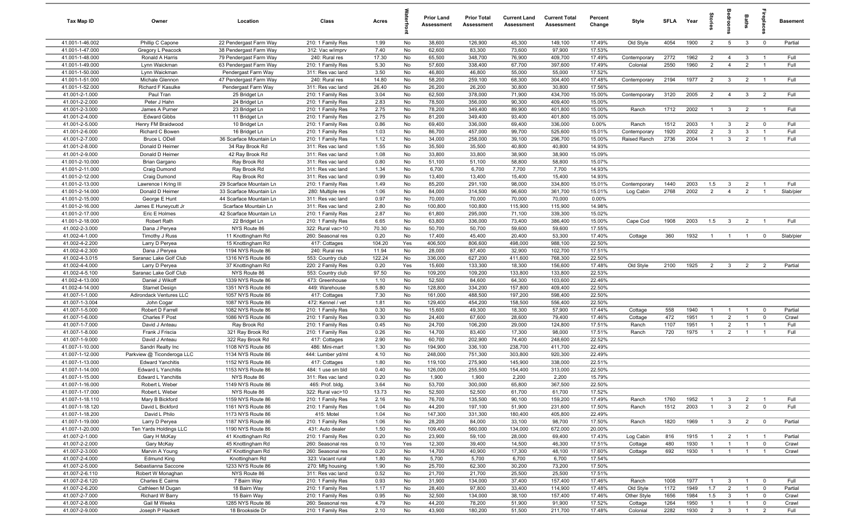| Tax Map ID                         | Owner                                           | Location                                      | Class                                  | Acres         |           | <b>Prior Land</b><br>Assessment | <b>Prior Total</b><br>Assessment | <b>Current Land</b><br>Assessment | <b>Current Total</b><br>Assessment | Percent<br>Change | Style              | <b>SFLA</b> | Year         | Stori                          | droom                            | Baths          | <b>G</b> bia                     | Basement       |
|------------------------------------|-------------------------------------------------|-----------------------------------------------|----------------------------------------|---------------|-----------|---------------------------------|----------------------------------|-----------------------------------|------------------------------------|-------------------|--------------------|-------------|--------------|--------------------------------|----------------------------------|----------------|----------------------------------|----------------|
| 41.001-1-46.002                    | Phillip C Capone                                | 22 Pendergast Farm Way                        | 210: 1 Family Res                      | 1.99          | No        | 38,600                          | 126,900                          | 45,300                            | 149,100                            | 17.49%            | Old Style          | 4054        | 1900         | $\overline{2}$                 | $5\overline{5}$                  | $\mathbf{3}$   | $\mathbf 0$                      | Partial        |
| 41.001-1-47.000                    | Gregory L Peacock                               | 38 Pendergast Farm Way                        | 312: Vac w/imprv                       | 7.40          | No        | 62,600                          | 83,300                           | 73,600                            | 97,900                             | 17.53%            |                    |             |              |                                |                                  |                |                                  |                |
| 41.001-1-48.000                    | Ronald A Harris                                 | 79 Pendergast Farm Way                        | 240: Rural res                         | 17.30         | No        | 65,500                          | 348,700                          | 76,900                            | 409,700                            | 17.49%            | Contemporary       | 2772        | 1962         | $\overline{2}$                 | $\overline{4}$                   | $\mathbf{3}$   | -1                               | Full           |
| 41.001-1-49.000<br>41.001-1-50.000 | Lynn Waickman                                   | 63 Pendergast Farm Way                        | 210: 1 Family Res                      | 5.30<br>3.50  | No<br>No  | 57,600<br>46,800                | 338,400<br>46,800                | 67,700<br>55,000                  | 397,600<br>55,000                  | 17.49%<br>17.52%  | Colonial           | 2550        | 1960         | $\overline{2}$                 | $\overline{4}$                   | $\overline{2}$ |                                  | Full           |
| 41.001-1-51.000                    | Lynn Waickman<br>Michale Glennon                | Pendergast Farm Way<br>47 Pendergast Farm Way | 311: Res vac land<br>240: Rural res    | 14.80         | No        | 58,200                          | 259,100                          | 68,300                            | 304,400                            | 17.48%            | Contemporary       | 2194        | 1977         | 2                              | $\mathbf{3}$                     | $\overline{2}$ | $\overline{1}$                   | Full           |
| 41.001-1-52.000                    | <b>Richard F Kasulke</b>                        | Pendergast Farm Way                           | 311: Res vac land                      | 26.40         | No        | 26,200                          | 26,200                           | 30,800                            | 30,800                             | 17.56%            |                    |             |              |                                |                                  |                |                                  |                |
| 41.001-2-1.000                     | Paul Tran                                       | 25 Bridget Ln                                 | 210: 1 Family Res                      | 3.04          | No        | 62,500                          | 378,000                          | 71,900                            | 434,700                            | 15.00%            | Contemporary       | 3120        | 2005         | 2                              | $\overline{4}$                   | $\mathbf{3}$   | $\overline{2}$                   | Full           |
| 41.001-2-2.000                     | Peter J Hahn                                    | 24 Bridget Ln                                 | 210: 1 Family Res                      | 2.83          | No        | 78,500                          | 356,000                          | 90,300                            | 409,400                            | 15.00%            |                    |             |              |                                |                                  |                |                                  |                |
| 41.001-2-3.000                     | James A Purner                                  | 23 Bridget Ln                                 | 210: 1 Family Res                      | 2.75          | No        | 78,200                          | 349,400                          | 89,900                            | 401,800                            | 15.00%            | Ranch              | 1712        | 2002         | $\overline{1}$                 | $\mathbf{3}$                     | $\overline{2}$ | $\overline{1}$                   | Full           |
| 41.001-2-4.000                     | <b>Edward Gibbs</b>                             | 11 Bridget Ln                                 | 210: 1 Family Res                      | 2.75          | No        | 81,200                          | 349,400                          | 93,400                            | 401,800                            | 15.00%            |                    |             |              |                                |                                  |                |                                  |                |
| 41.001-2-5.000                     | Henry FM Braidwood                              | 10 Bridget Ln                                 | 210: 1 Family Res                      | 0.86          | No        | 69,400                          | 336,000                          | 69,400                            | 336,000                            | 0.00%             | Ranch              | 1512        | 2003         | $\overline{1}$                 | $\mathbf{3}$                     | $\overline{2}$ | $\overline{0}$                   | Full           |
| 41.001-2-6.000                     | Richard C Bowen                                 | 16 Bridget Ln                                 | 210: 1 Family Res                      | 1.03          | No        | 86,700                          | 457,000                          | 99,700                            | 525,600                            | 15.01%            | Contemporary       | 1920        | 2002         | 2                              | $\mathbf{3}$                     | $\mathbf{3}$   | $\overline{1}$                   | Full           |
| 41.001-2-7.000                     | Bruce L ODell                                   | 36 Scarface Mountain Ln                       | 210: 1 Family Res                      | 1.12          | No        | 34,000                          | 258,000                          | 39,100                            | 296,700                            | 15.00%            | Raised Ranch       | 2736        | 2004         | $\overline{1}$                 | $\mathbf{3}$                     | $\overline{2}$ | $\overline{1}$                   | Full           |
| 41.001-2-8.000<br>41.001-2-9.000   | Donald D Heimer<br>Donald D Heimer              | 34 Ray Brook Rd<br>42 Ray Brook Rd            | 311: Res vac land<br>311: Res vac land | 1.55<br>1.08  | No<br>No  | 35,500<br>33,800                | 35,500<br>33,800                 | 40,800<br>38,900                  | 40,800<br>38,900                   | 14.93%<br>15.09%  |                    |             |              |                                |                                  |                |                                  |                |
| 41.001-2-10.000                    | Brian Gargano                                   | Ray Brook Rd                                  | 311: Res vac land                      | 0.80          | No        | 51,100                          | 51,100                           | 58,800                            | 58,800                             | 15.07%            |                    |             |              |                                |                                  |                |                                  |                |
| 41.001-2-11.000                    | Craig Dumond                                    | Ray Brook Rd                                  | 311: Res vac land                      | 1.34          | No        | 6,700                           | 6,700                            | 7,700                             | 7,700                              | 14.93%            |                    |             |              |                                |                                  |                |                                  |                |
| 41.001-2-12.000                    | Craig Dumond                                    | Ray Brook Rd                                  | 311: Res vac land                      | 0.99          | No        | 13,400                          | 13,400                           | 15,400                            | 15,400                             | 14.93%            |                    |             |              |                                |                                  |                |                                  |                |
| 41.001-2-13.000                    | Lawrence I Kring III                            | 29 Scarface Mountain Ln                       | 210: 1 Family Res                      | 1.49          | No        | 85,200                          | 291,100                          | 98,000                            | 334,800                            | 15.01%            | Contemporary       | 1440        | 2003         | 1.5                            | $\mathbf{3}$                     | $\overline{2}$ |                                  | Full           |
| 41.001-2-14.000                    | Donald D Heimer                                 | 33 Scarface Mountain Ln                       | 280: Multiple res                      | 1.06          | No        | 84,000                          | 314,500                          | 96,600                            | 361,700                            | 15.01%            | Log Cabin          | 2768        | 2002         | 2                              | $\overline{4}$                   | $\overline{2}$ | $\overline{1}$                   | Slab/pier      |
| 41.001-2-15.000                    | George E Hunt                                   | 44 Scarface Mountain Ln                       | 311: Res vac land                      | 0.97          | No        | 70,000                          | 70,000                           | 70,000                            | 70,000                             | 0.00%             |                    |             |              |                                |                                  |                |                                  |                |
| 41.001-2-16.000                    | James E Huneycutt Jr                            | Scarface Mountain Ln                          | 311: Res vac land                      | 2.80          | No        | 100,800                         | 100,800                          | 115,900                           | 115,900                            | 14.98%            |                    |             |              |                                |                                  |                |                                  |                |
| 41.001-2-17.000                    | Eric E Holmes                                   | 42 Scarface Mountain Ln                       | 210: 1 Family Res                      | 2.87          | No        | 61,800                          | 295,000                          | 71,100                            | 339,300                            | 15.02%            |                    |             |              |                                |                                  |                |                                  |                |
| 41.001-2-18.000                    | Robert Rath                                     | 22 Bridget Ln                                 | 210: 1 Family Res                      | 6.65          | No        | 63,800                          | 336,000                          | 73,400                            | 386,400                            | 15.00%            | Cape Cod           | 1908        | 2003         | 1.5                            | $\overline{3}$                   | $\overline{2}$ | $\overline{1}$                   | Full           |
| 41.002-2-3.000<br>41.002-4-1.000   | Dana J Peryea<br>Timothy J Russ                 | NYS Route 86<br>11 Knottingham Rd             | 322: Rural vac>10<br>260: Seasonal res | 70.30<br>0.20 | No<br>No  | 50,700<br>17,400                | 50,700<br>45,400                 | 59,600<br>20,400                  | 59,600<br>53,300                   | 17.55%<br>17.40%  | Cottage            | 360         | 1932         | $\overline{1}$                 | $\overline{1}$                   | $\overline{1}$ | $\overline{0}$                   | Slab/pier      |
| 41.002-4-2.200                     | Larry D Peryea                                  | 15 Knottingham Rd                             | 417: Cottages                          | 104.20        | Yes       | 406,500                         | 806,600                          | 498,000                           | 988,100                            | 22.50%            |                    |             |              |                                |                                  |                |                                  |                |
| 41.002-4-2.300                     | Dana J Peryea                                   | 1194 NYS Route 86                             | 240: Rural res                         | 11.94         | No        | 28,000                          | 87,400                           | 32,900                            | 102,700                            | 17.51%            |                    |             |              |                                |                                  |                |                                  |                |
| 41.002-4-3.015                     | Saranac Lake Golf Club                          | 1316 NYS Route 86                             | 553: Country club                      | 122.24        | No        | 336,000                         | 627,200                          | 411,600                           | 768,300                            | 22.50%            |                    |             |              |                                |                                  |                |                                  |                |
| 41.002-4-4.000                     | Larry D Peryea                                  | 37 Knottingham Rd                             | 220: 2 Family Res                      | 0.20          | Yes       | 15,600                          | 133,300                          | 18,300                            | 156,600                            | 17.48%            | Old Style          | 2100        | 1925         | $\overline{2}$                 | $\mathbf{3}$                     | $\overline{2}$ | 2                                | Partial        |
| 41.002-4-5.100                     | Saranac Lake Golf Club                          | NYS Route 86                                  | 553: Country club                      | 97.50         | No        | 109,200                         | 109,200                          | 133,800                           | 133,800                            | 22.53%            |                    |             |              |                                |                                  |                |                                  |                |
| 41.002-4-13.000                    | Daniel J Wikoff                                 | 1339 NYS Route 86                             | 473: Greenhouse                        | 1.10          | No        | 52,500                          | 84,600                           | 64,300                            | 103,600                            | 22.46%            |                    |             |              |                                |                                  |                |                                  |                |
| 41.002-4-14.000                    | <b>Starnet Design</b>                           | 1351 NYS Route 86                             | 449: Warehouse                         | 5.80          | No        | 128,800                         | 334,200                          | 157,800                           | 409,400                            | 22.50%            |                    |             |              |                                |                                  |                |                                  |                |
| 41.007-1-1.000                     | Adirondack Ventures LLC                         | 1057 NYS Route 86                             | 417: Cottages                          | 7.30          | No        | 161,000                         | 488,500                          | 197,200                           | 598,400                            | 22.50%            |                    |             |              |                                |                                  |                |                                  |                |
| 41.007-1-3.004<br>41.007-1-5.000   | John Cogar<br>Robert D Farrell                  | 1087 NYS Route 86<br>1082 NYS Route 86        | 472: Kennel / vet<br>210: 1 Family Res | 1.81<br>0.30  | No<br>No  | 129,400<br>15,600               | 454,200<br>49,300                | 158,500<br>18,300                 | 556,400<br>57,900                  | 22.50%<br>17.44%  | Cottage            | 558         | 1940         | $\overline{1}$                 | $\overline{1}$                   | $\overline{1}$ | $^{\circ}$                       | Partial        |
| 41.007-1-6.000                     | Charles F Post                                  | 1086 NYS Route 86                             | 210: 1 Family Res                      | 0.30          | No        | 24,400                          | 67,600                           | 28,600                            | 79,400                             | 17.46%            | Cottage            | 472         | 1951         | $\overline{1}$                 | 2                                | $\overline{1}$ | $\mathbf 0$                      | Crawl          |
| 41.007-1-7.000                     | David J Anteau                                  | Ray Brook Rd                                  | 210: 1 Family Res                      | 0.45          | No        | 24,700                          | 106,200                          | 29,000                            | 124,800                            | 17.51%            | Ranch              | 1107        | 1951         | $\overline{1}$                 | $\overline{2}$                   |                | - 1                              | Full           |
| 41.007-1-8.000                     | Frank J Friscia                                 | 321 Ray Brook Rd                              | 210: 1 Family Res                      | 0.26          | No        | 14,700                          | 83,400                           | 17,300                            | 98,000                             | 17.51%            | Ranch              | 720         | 1975         | $\overline{1}$                 | $\overline{2}$                   | $\overline{1}$ | $\overline{1}$                   | Full           |
| 41.007-1-9.000                     | David J Anteau                                  | 322 Ray Brook Rd                              | 417: Cottages                          | 2.90          | No        | 60,700                          | 202,900                          | 74,400                            | 248,600                            | 22.52%            |                    |             |              |                                |                                  |                |                                  |                |
| 41.007-1-10.000                    | Sandri Realty Inc                               | 1108 NYS Route 86                             | 486: Mini-mart                         | 1.30          | No        | 194,900                         | 336,100                          | 238,700                           | 411,700                            | 22.49%            |                    |             |              |                                |                                  |                |                                  |                |
| 41.007-1-12.000                    | Parkview @ Ticonderoga LLC                      | 1134 NYS Route 86                             | 444: Lumber yd/ml                      | 4.10          | No        | 248,000                         | 751,300                          | 303,800                           | 920,300                            | 22.49%            |                    |             |              |                                |                                  |                |                                  |                |
| 41.007-1-13.000                    | <b>Edward Yanchitis</b>                         | 1152 NYS Route 86                             | 417: Cottages                          | 1.80          | No        | 119,100                         | 275,900                          | 145,900                           | 338,000                            | 22.51%            |                    |             |              |                                |                                  |                |                                  |                |
| 41.007-1-14.000<br>41.007-1-15.000 | Edward L Yanchitis<br><b>Edward L Yanchitis</b> | 1153 NYS Route 86                             | 484: 1 use sm bld                      | 0.40<br>0.20  | No<br>No  | 126,000<br>1,900                | 255,500<br>1,900                 | 154,400<br>2,200                  | 313,000<br>2,200                   | 22.50%<br>15.79%  |                    |             |              |                                |                                  |                |                                  |                |
| 41.007-1-16.000                    | Robert L Weber                                  | NYS Route 86<br>1149 NYS Route 86             | 311: Res vac land<br>465: Prof. bldg.  | 3.64          | No        | 53,700                          | 300,000                          | 65,800                            | 367,500                            | 22.50%            |                    |             |              |                                |                                  |                |                                  |                |
| 41.007-1-17.000                    | Robert L Weber                                  | NYS Route 86                                  | 322: Rural vac>10                      | 13.73         | No        | 52,500                          | 52,500                           | 61,700                            | 61,700                             | 17.52%            |                    |             |              |                                |                                  |                |                                  |                |
| 41.007-1-18.110                    | Mary B Bickford                                 | 1159 NYS Route 86                             | 210: 1 Family Res                      | 2.16          | No        | 76,700                          | 135,500                          | 90,100                            | 159,200                            | 17.49%            | Ranch              | 1760        | 1952         | $\overline{1}$                 | $\mathbf{3}$                     | $\overline{2}$ | $\overline{1}$                   | Full           |
| 41.007-1-18.120                    | David L Bickford                                | 1161 NYS Route 86                             | 210: 1 Family Res                      | 1.04          | No        | 44,200                          | 197,100                          | 51,900                            | 231,600                            | 17.50%            | Ranch              | 1512        | 2003         | $\overline{1}$                 | $\mathbf{3}$                     | $\overline{2}$ | $\mathbf 0$                      | Full           |
| 41.007-1-18.200                    | David L Philo                                   | 1173 NYS Route 86                             | 415: Motel                             | 1.04          | No        | 147,300                         | 331,300                          | 180,400                           | 405,800                            | 22.49%            |                    |             |              |                                |                                  |                |                                  |                |
| 41.007-1-19.000                    | Larry D Peryea                                  | 1187 NYS Route 86                             | 210: 1 Family Res                      | 1.06          | No        | 28,200                          | 84,000                           | 33,100                            | 98,700                             | 17.50%            | Ranch              | 1820        | 1969         | $\mathbf{1}$                   | $\overline{\mathbf{3}}$          | $\overline{2}$ | $\overline{0}$                   | Partial        |
| 41.007-1-20.000                    | Ten Yards Holdings LLC                          | 1190 NYS Route 86                             | 431: Auto dealer                       | 1.50          | No        | 109,400                         | 560,000                          | 134,000                           | 672,000                            | 20.00%            |                    |             |              |                                |                                  |                |                                  |                |
| 41.007-2-1.000                     | Gary H McKay                                    | 41 Knottingham Rd                             | 210: 1 Family Res                      | 0.20          | No        | 23,900                          | 59,100                           | 28,000                            | 69,400                             | 17.43%            | Log Cabin          | 816         | 1915         | $\overline{1}$                 | $\overline{2}$                   |                | $\overline{1}$                   | Partial        |
| 41.007-2-2.000<br>41.007-2-3.000   | Gary McKay<br>Marvin A Young                    | 45 Knottingham Rd<br>47 Knottingham Rd        | 260: Seasonal res<br>260: Seasonal res | 0.10<br>0.20  | Yes<br>No | 12,300<br>14,700                | 39,400<br>40,900                 | 14,500<br>17,300                  | 46,300<br>48,100                   | 17.51%<br>17.60%  | Cottage<br>Cottage | 480<br>692  | 1930<br>1930 | $\mathbf{1}$<br>$\overline{1}$ | $\overline{1}$<br>$\overline{1}$ | $\overline{1}$ | $\overline{0}$<br>$\overline{1}$ | Crawl<br>Crawl |
| 41.007-2-4.000                     | <b>Edmund King</b>                              | Knottingham Rd                                | 323: Vacant rural                      | 1.80          | No        | 5,700                           | 5,700                            | 6,700                             | 6,700                              | 17.54%            |                    |             |              |                                |                                  |                |                                  |                |
| 41.007-2-5.000                     | Sebastianna Saccone                             | 1233 NYS Route 86                             | 270: Mfg housing                       | 1.90          | No        | 25,700                          | 62,300                           | 30,200                            | 73,200                             | 17.50%            |                    |             |              |                                |                                  |                |                                  |                |
| 41.007-2-6.110                     | Robert W Monaghan                               | NYS Route 86                                  | 311: Res vac land                      | 0.52          | No        | 21,700                          | 21,700                           | 25,500                            | 25,500                             | 17.51%            |                    |             |              |                                |                                  |                |                                  |                |
| 41.007-2-6.120                     | Charles E Cairns                                | 7 Bairn Way                                   | 210: 1 Family Res                      | 0.93          | No        | 31,900                          | 134,000                          | 37,400                            | 157,400                            | 17.46%            | Ranch              | 1008        | 1977         | $\overline{1}$                 | $\mathbf{3}$                     | $\overline{1}$ | $\overline{\mathbf{0}}$          | Full           |
| 41.007-2-6.200                     | Cathleen M Dugan                                | 18 Bairn Way                                  | 210: 1 Family Res                      | 1.17          | No        | 28,400                          | 97,800                           | 33,400                            | 114,900                            | 17.48%            | Old Style          | 1172        | 1949         | 1.7                            | $\overline{2}$                   | $\overline{1}$ | $\mathbf 0$                      | Partial        |
| 41.007-2-7.000                     | Richard W Barry                                 | 15 Bairn Way                                  | 210: 1 Family Res                      | 0.95          | No        | 32,500                          | 134,000                          | 38,100                            | 157,400                            | 17.46%            | Other Style        | 1656        | 1984         | 1.5                            | $\mathbf{3}$                     | $\mathbf{1}$   | $\overline{0}$                   | Crawl          |
| 41.007-2-8.000                     | Gail M Weeks                                    | 1285 NYS Route 86                             | 260: Seasonal res                      | 4.79          | No        | 44,200                          | 78,200                           | 51,900                            | 91,900                             | 17.52%            | Cottage            | 1264        | 1950         | $\overline{1}$                 | $\overline{1}$                   | $\mathbf{1}$   | $\overline{0}$                   | Crawl          |
| 41.007-2-9.000                     | Joseph P Hackett                                | 18 Brookside Dr                               | 210: 1 Family Res                      | 2.10          | No        | 43,900                          | 180,200                          | 51,500                            | 211,700                            | 17.48%            | Colonial           | 2282        | 1930         | 2                              | $\mathbf{3}$                     | $\overline{1}$ | $\overline{2}$                   | Full           |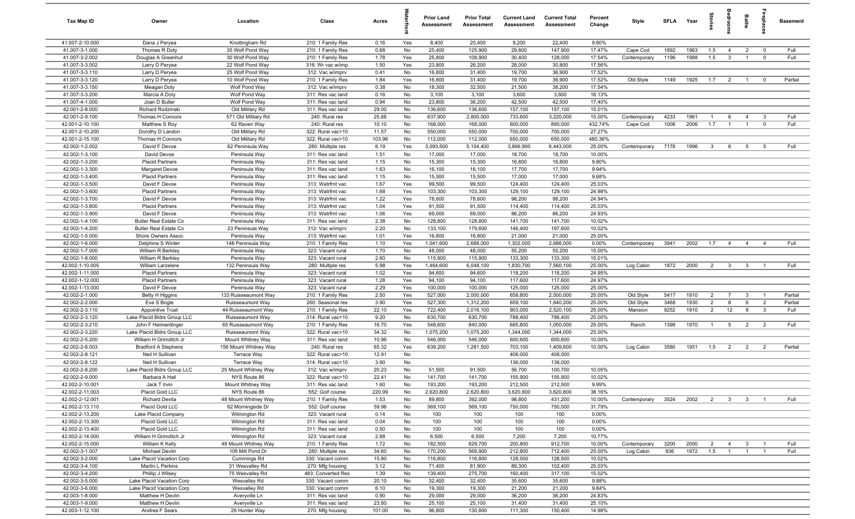| Tax Map ID                       | Owner                                         | Location                                 | Class                                  | Acres          |            | <b>Prior Land</b><br>Assessment | <b>Prior Total</b><br>Assessment | <b>Current Land</b><br><b>Assessment</b> | <b>Current Total</b><br><b>Assessment</b> | Percent<br>Change | Style                    | <b>SFLA</b>  | Year         | tories                           | eroo                             | Baths                   | ireplac                        | <b>Basement</b>    |
|----------------------------------|-----------------------------------------------|------------------------------------------|----------------------------------------|----------------|------------|---------------------------------|----------------------------------|------------------------------------------|-------------------------------------------|-------------------|--------------------------|--------------|--------------|----------------------------------|----------------------------------|-------------------------|--------------------------------|--------------------|
| 41.007-2-10.000                  | Dana J Peryea                                 | Knottingham Rd                           | 210: 1 Family Res                      | 0.16           | Yes        | 8,400                           | 20,400                           | 9,200                                    | 22,400                                    | 9.80%             |                          |              |              |                                  |                                  |                         |                                |                    |
| 41.007-3-1.000                   | Thomas R Doty                                 | 35 Wolf Pond Way                         | 210: 1 Family Res                      | 0.68           | No         | 25,400                          | 125,900                          | 29,800                                   | 147,900                                   | 17.47%            | Cape Cod                 | 1892         | 1963         | 1.5                              | $\overline{4}$                   | $\overline{2}$          | $\overline{0}$                 | Full               |
| 41.007-3-2.002                   | Douglas A Greenhut                            | 30 Wolf Pond Way                         | 210: 1 Family Res                      | 1.78           | Yes        | 25,800                          | 108,900                          | 30,400                                   | 128,000                                   | 17.54%            | Contemporary             | 1196         | 1988         | 1.5                              | $\mathbf{3}$                     | $\overline{1}$          | $\mathbf 0$                    | Full               |
| 41.007-3-3.002                   | Larry D Peryea                                | 22 Wolf Pond Way                         | 316: Wr vac w/imp                      | 1.50           | Yes        | 23,800                          | 26,200                           | 28,000                                   | 30,800                                    | 17.56%            |                          |              |              |                                  |                                  |                         |                                |                    |
| 41.007-3-3.110                   | Larry D Peryea                                | 25 Wolf Pond Way                         | 312: Vac w/imprv                       | 0.41           | No         | 16,800                          | 31,400                           | 19,700                                   | 36,900                                    | 17.52%            |                          |              |              |                                  |                                  |                         |                                |                    |
| 41.007-3-3.120                   | Larry D Peryea                                | 10 Wolf Pond Way                         | 210: 1 Family Res                      | 1.84           | Yes        | 16,800                          | 31,400                           | 19,700                                   | 36,900                                    | 17.52%            | Old Style                | 1149         | 1925         | 1.7                              | $\overline{2}$                   | $\overline{1}$          | $\mathbf 0$                    | Partial            |
| 41.007-3-3.150                   | Meagan Doty                                   | Wolf Pond Way                            | 312: Vac w/imprv                       | 0.38           | No         | 18,300                          | 32,500                           | 21,500                                   | 38,200                                    | 17.54%            |                          |              |              |                                  |                                  |                         |                                |                    |
| 41.007-3-3.200                   | Marcia A Doty                                 | Wolf Pond Way                            | 311: Res vac land                      | 0.16           | No         | 3,100                           | 3,100                            | 3,600                                    | 3,600                                     | 16.13%            |                          |              |              |                                  |                                  |                         |                                |                    |
| 41.007-4-1.000                   | Joan D Butler                                 | Wolf Pond Way                            | 311: Res vac land                      | 0.94           | No         | 23,800                          | 36,200                           | 42,500                                   | 42,500                                    | 17.40%            |                          |              |              |                                  |                                  |                         |                                |                    |
| 42.001-2-8.000<br>42.001-2-9.100 | Richard Rodzinski                             | Old Military Rd<br>571 Old Military Rd   | 311: Res vac land<br>240: Rural res    | 29.00<br>25.88 | No         | 136,600<br>637,900              | 136,600                          | 157,100<br>733,600                       | 157,100<br>3,220,000                      | 15.01%            |                          | 4233         | 1961         | $\overline{1}$                   | 6                                | $\overline{4}$          | $\mathbf{3}$                   | Full               |
| 42.001-2-10.100                  | Thomas H Connors<br>Matthew S Roy             | 62 Raven Way                             | 240: Rural res                         | 10.10          | No<br>No   | 168,000                         | 2,800,000<br>168,000             | 600,000                                  | 895,000                                   | 15.00%<br>432.74% | Contemporary<br>Cape Cod | 1008         | 2006         | 1.7                              | $\overline{1}$                   | $\overline{1}$          | $\mathbf{0}$                   | Full               |
| 42.001-2-10.200                  | Dorothy D Landon                              | Old Military Rd                          | 322: Rural vac>10                      | 11.57          | No         | 550,000                         | 550,000                          | 700,000                                  | 700,000                                   | 27.27%            |                          |              |              |                                  |                                  |                         |                                |                    |
| 42.001-2-15.100                  | Thomas H Connors                              | Old Military Rd                          | 322: Rural vac>10                      | 103.96         | No         | 112,000                         | 112,000                          | 650,000                                  | 650,000                                   | 480.36%           |                          |              |              |                                  |                                  |                         |                                |                    |
| 42.002-1-2.002                   | David F Devoe                                 | 62 Peninsula Way                         | 280: Multiple res                      | 6.19           | Yes        | 3,093,500                       | 5,154,400                        | 3,866,900                                | 6,443,000                                 | 25.00%            | Contemporary             | 7178         | 1996         | $\mathbf{3}$                     | 6                                | $5\overline{5}$         | - 5                            | Full               |
| 42.002-1-3.100                   | David Devoe                                   | Peninsula Way                            | 311: Res vac land                      | 1.51           | No         | 17,000                          | 17,000                           | 18,700                                   | 18,700                                    | 10.00%            |                          |              |              |                                  |                                  |                         |                                |                    |
| 42.002-1-3.200                   | <b>Placid Partners</b>                        | Peninsula Way                            | 311: Res vac land                      | 1.15           | No         | 15,300                          | 15,300                           | 16,800                                   | 16,800                                    | 9.80%             |                          |              |              |                                  |                                  |                         |                                |                    |
| 42.002-1-3.300                   | Margaret Devoe                                | Peninsula Way                            | 311: Res vac land                      | 1.63           | No         | 16,100                          | 16,100                           | 17,700                                   | 17,700                                    | 9.94%             |                          |              |              |                                  |                                  |                         |                                |                    |
| 42.002-1-3.400                   | <b>Placid Partners</b>                        | Peninsula Way                            | 311: Res vac land                      | 1.15           | No         | 15,500                          | 15,500                           | 17,000                                   | 17,000                                    | 9.68%             |                          |              |              |                                  |                                  |                         |                                |                    |
| 42.002-1-3.500                   | David F Devoe                                 | Peninsula Way                            | 313: Watrfrnt vac                      | 1.67           | Yes        | 99,500                          | 99,500                           | 124,400                                  | 124,400                                   | 25.03%            |                          |              |              |                                  |                                  |                         |                                |                    |
| 42.002-1-3.600                   | <b>Placid Partners</b>                        | Peninsula Way                            | 313: Watrfrnt vac                      | 1.68           | Yes        | 103,300                         | 103,300                          | 129,100                                  | 129,100                                   | 24.98%            |                          |              |              |                                  |                                  |                         |                                |                    |
| 42.002-1-3.700                   | David F Devoe                                 | Peninsula Way                            | 313: Watrfrnt vac                      | 1.22           | Yes        | 78,600                          | 78,600                           | 98,200                                   | 98,200                                    | 24.94%            |                          |              |              |                                  |                                  |                         |                                |                    |
| 42.002-1-3.800                   | <b>Placid Partners</b>                        | Peninsula Way                            | 313: Watrfrnt vac                      | 1.04           | Yes        | 91,500                          | 91,500                           | 114,400                                  | 114,400                                   | 25.03%            |                          |              |              |                                  |                                  |                         |                                |                    |
| 42.002-1-3.900                   | David F Devoe                                 | Peninsula Way                            | 313: Watrfrnt vac                      | 1.06           | Yes        | 69,000                          | 69,000                           | 86,200                                   | 86,200                                    | 24.93%            |                          |              |              |                                  |                                  |                         |                                |                    |
| 42.002-1-4.100                   | <b>Butler Real Estate Co</b>                  | Peninsula Way                            | 311: Res vac land                      | 2.38           | No         | 128,800                         | 128,800                          | 141,700                                  | 141,700                                   | 10.02%            |                          |              |              |                                  |                                  |                         |                                |                    |
| 42.002-1-4.200                   | <b>Butler Real Estate Co</b>                  | 23 Peninsula Way                         | 312: Vac w/imprv                       | 2.20           | No         | 133,100                         | 179,600                          | 146,400                                  | 197,600                                   | 10.02%            |                          |              |              |                                  |                                  |                         |                                |                    |
| 42.002-1-5.000                   | Shore Owners Assoc                            | Peninsula Way                            | 313: Watrfrnt vac                      | 1.01           | Yes        | 16,800                          | 16,800                           | 21,000                                   | 21,000                                    | 25.00%            |                          |              |              |                                  |                                  |                         |                                |                    |
| 42.002-1-6.000                   | Delphine S Winter                             | 146 Peninsula Way                        | 210: 1 Family Res                      | 1.10           | Yes        | 1,041,600                       | 2,688,000                        | 1,302,000                                | 2,688,000                                 | 0.00%             | Contemporary             | 3941         | 2002         | 1.7                              | $\overline{4}$                   | $\overline{4}$          | $\overline{4}$                 | Full               |
| 42.002-1-7.000                   | William R Berkley                             | Peninsula Way                            | 323: Vacant rural                      | 1.70           | No         | 48,000                          | 48,000                           | 55,200                                   | 55,200                                    | 15.00%            |                          |              |              |                                  |                                  |                         |                                |                    |
| 42.002-1-8.000                   | William R Berkley                             | Peninsula Way                            | 323: Vacant rural                      | 2.60           | No         | 115,900                         | 115,900                          | 133,300                                  | 133,300                                   | 15.01%            |                          |              |              |                                  |                                  |                         |                                |                    |
| 42.002-1-10.005                  | William Larzelere                             | 132 Peninsula Way                        | 280: Multiple res                      | 5.98           | Yes        | 1,464,600                       | 6,048,100                        | 1,830,700                                | 7,560,100                                 | 25.00%            | Log Cabin                | 1872         | 2000         | $\overline{2}$                   | $\mathbf{3}$                     | $\mathbf{3}$            |                                | Full               |
| 42.002-1-11.000                  | <b>Placid Partners</b>                        | Peninsula Way                            | 323: Vacant rural                      | 1.02           | Yes        | 94,600                          | 94,600                           | 118,200                                  | 118,200                                   | 24.95%            |                          |              |              |                                  |                                  |                         |                                |                    |
| 42.002-1-12.000                  | <b>Placid Partners</b>                        | Peninsula Way                            | 323: Vacant rural                      | 1.28           | Yes        | 94,100                          | 94,100                           | 117,600                                  | 117,600                                   | 24.97%            |                          |              |              |                                  |                                  |                         |                                |                    |
| 42.002-1-13.000                  | David F Devoe                                 | Peninsula Way                            | 323: Vacant rural                      | 2.29           | Yes        | 100,000                         | 100,000                          | 125,000                                  | 125,000                                   | 25.00%            |                          |              |              |                                  |                                  |                         | $\overline{1}$                 |                    |
| 42.002-2-1.000<br>42.002-2-2.000 | <b>Betty H Higgins</b>                        | 133 Ruisseaumont Way                     | 210: 1 Family Res                      | 2.50<br>3.90   | Yes        | 527,000                         | 2,000,000                        | 658,800                                  | 2,500,000                                 | 25.00%            | Old Style                | 5417<br>3468 | 1910<br>1930 | $\overline{2}$<br>$\overline{2}$ | $\overline{7}$<br>8              | $\overline{3}$<br>6     |                                | Partial<br>Partial |
| 42.002-2-3.110                   | Eve S Bogle<br><b>Appointive Trust</b>        | Ruisseaumont Way<br>44 Ruisseaumont Way  | 260: Seasonal res<br>210: 1 Family Res | 22.10          | Yes<br>Yes | 527,300<br>722,400              | 1,312,200<br>2,016,100           | 659,100<br>903,000                       | 1,640,200<br>2,520,100                    | 25.00%<br>25.00%  | Old Style<br>Mansion     | 9252         | 1910         | $\overline{2}$                   | 12                               | 8                       | $\overline{2}$<br>$\mathbf{3}$ | Full               |
| 42.002-2-3.120                   | Lake Placid Bldrs Group LLC                   | Ruisseaumont Way                         | 314: Rural vac<10                      | 9.20           | No         | 630,700                         | 630,700                          | 788,400                                  | 788,400                                   | 25.00%            |                          |              |              |                                  |                                  |                         |                                |                    |
| 42.002-2-3.210                   | John F Heimerdinger                           | 65 Ruisseaumont Way                      | 210: 1 Family Res                      | 16.70          | Yes        | 548,600                         | 840,000                          | 685,800                                  | 1,050,000                                 | 25.00%            | Ranch                    | 1399         | 1970         | $\overline{1}$                   | 5                                | $\overline{2}$          | $\overline{2}$                 | Full               |
| 42.002-2-3.220                   | Lake Placid Bldrs Group LLC                   | Ruisseaumont Way                         | 322: Rural vac>10                      | 34.32          | No         | 1,075,200                       | 1,075,200                        | 1,344,000                                | 1,344,000                                 | 25.00%            |                          |              |              |                                  |                                  |                         |                                |                    |
| 42.002-2-5.200                   | William H Grimditch Jr                        | Mount Whitney Way                        | 311: Res vac land                      | 10.96          | No         | 546,000                         | 546,000                          | 600,600                                  | 600,600                                   | 10.00%            |                          |              |              |                                  |                                  |                         |                                |                    |
| 42.002-2-6.003                   | <b>Bradford A Stephens</b>                    | 156 Mount Whitney Way                    | 240: Rural res                         | 65.32          | Yes        | 639,200                         | 1,281,500                        | 703,100                                  | 1,409,600                                 | 10.00%            | Log Cabin                | 3580         | 1931         | 1.5                              | $\overline{\mathbf{2}}$          | $\overline{2}$          | $\overline{2}$                 | Partial            |
| 42.002-2-8.121                   | Neil H Sullivan                               | <b>Terrace Way</b>                       | 322: Rural vac>10                      | 12.91          | No         |                                 |                                  | 408,000                                  | 408,000                                   |                   |                          |              |              |                                  |                                  |                         |                                |                    |
| 42.002-2-8.122                   | Neil H Sullivan                               | Terrace Way                              | 314: Rural vac<10                      | 3.90           | No         |                                 |                                  | 136,000                                  | 136,000                                   |                   |                          |              |              |                                  |                                  |                         |                                |                    |
| 42.002-2-8.200                   | Lake Placid Bldrs Group LLC                   | 25 Mount Whitney Way                     | 312: Vac w/imprv                       | 20.23          | No         | 51,500                          | 91,500                           | 56,700                                   | 100,700                                   | 10.05%            |                          |              |              |                                  |                                  |                         |                                |                    |
| 42.002-2-9.000                   | Barbara A Hail                                | NYS Route 86                             | 322: Rural vac>10                      | 22.41          | No         | 141,700                         | 141,700                          | 155,900                                  | 155,900                                   | 10.02%            |                          |              |              |                                  |                                  |                         |                                |                    |
| 42.002-2-10.001                  | Jack T Irvin                                  | Mount Whitney Way                        | 311: Res vac land                      | 1.60           | No         | 193,200                         | 193,200                          | 212,500                                  | 212,500                                   | 9.99%             |                          |              |              |                                  |                                  |                         |                                |                    |
| 42.002-2-11.003                  | Placid Gold LLC                               | NYS Route 86                             | 552: Golf course                       | 220.99         | No         | 2,620,800                       | 2,620,800                        | 3,620,800                                | 3,620,800                                 | 38.16%            |                          |              |              |                                  |                                  |                         |                                |                    |
| 42.002-2-12.001                  | <b>Richard Devita</b>                         | 48 Mount Whitney Way                     | 210: 1 Family Res                      | 1.53           | No         | 89,800                          | 392,000                          | 98,800                                   | 431,200                                   | 10.00%            | Contemporary             | 3524         | 2002         | $\overline{2}$                   | $\overline{\mathbf{3}}$          | $\overline{\mathbf{3}}$ | $\overline{1}$                 | Full               |
| 42.002-2-13.110                  | Placid Gold LLC                               | 62 Morningside Dr                        | 552: Golf course                       | 59.96          | No         | 569,100                         | 569,100                          | 750,000                                  | 750,000                                   | 31.79%            |                          |              |              |                                  |                                  |                         |                                |                    |
| 42.002-2-13.200                  | Lake Placid Company                           | Wilmington Rd                            | 323: Vacant rural                      | 0.14           | No         | 100                             | 100                              | 100                                      | 100                                       | 0.00%             |                          |              |              |                                  |                                  |                         |                                |                    |
| 42.002-2-13.300                  | Placid Gold LLC                               | Wilmington Rd                            | 311: Res vac land                      | 0.04           | No         | 100                             | 100                              | 100                                      | 100                                       | 0.00%             |                          |              |              |                                  |                                  |                         |                                |                    |
| 42.002-2-13.400                  | Placid Gold LLC                               | Wilmington Rd                            | 311: Res vac land                      | 0.50           | No         | 100                             | 100                              | 100                                      | 100                                       | 0.00%             |                          |              |              |                                  |                                  |                         |                                |                    |
| 42.002-2-14.000                  | William H Grimditch Jr                        | Wilmington Rd                            | 323: Vacant rural                      | 2.88           | No         | 6,500                           | 6,500                            | 7,200                                    | 7,200                                     | 10.77%            |                          |              |              |                                  |                                  |                         |                                |                    |
| 42.002-2-15.000                  | William K Kelly                               | 48 Mount Whitney Way<br>105 Mill Pond Dr | 210: 1 Family Res                      | 1.72           | No         | 182,500                         | 829,700                          | 200,800                                  | 912,700                                   | 10.00%            | Contemporary             | 3200<br>936  | 2000<br>1972 | $\overline{2}$<br>1.5            | $\overline{4}$<br>$\overline{1}$ | 3<br>$\overline{1}$     |                                | Full<br>Full       |
| 42.002-3-1.007                   | Michael Devlin                                |                                          | 280: Multiple res                      | 34.60          | No         | 170,200                         | 569,900                          | 212,800                                  | 712,400                                   | 25.00%            | Log Cabin                |              |              |                                  |                                  |                         |                                |                    |
| 42.002-3-2.000<br>42.002-3-4.100 | Lake Placid Vacation Corp<br>Martin L Perkins | Cummings Rd<br>31 Wesvalley Rd           | 330: Vacant comm<br>270: Mfg housing   | 15.80<br>3.12  | No<br>No   | 116,800<br>71,400               | 116,800<br>81,900                | 128,500<br>89,300                        | 128,500<br>102,400                        | 10.02%<br>25.03%  |                          |              |              |                                  |                                  |                         |                                |                    |
| 42.002-3-4.200                   | Phillip J Wilsey                              | 75 Wesvalley Rd                          | 483: Converted Res                     | 1.39           | No         | 139,400                         | 275,700                          | 160,400                                  | 317,100                                   | 15.02%            |                          |              |              |                                  |                                  |                         |                                |                    |
| 42.002-3-5.000                   | Lake Placid Vacation Corp                     | Wesvalley Rd                             | 330: Vacant comm                       | 20.10          | No         | 32,400                          | 32,400                           | 35,600                                   | 35,600                                    | 9.88%             |                          |              |              |                                  |                                  |                         |                                |                    |
| 42.002-3-6.000                   | Lake Placid Vacation Corp                     | Wesvalley Rd                             | 330: Vacant comm                       | 6.10           | No         | 19,300                          | 19,300                           | 21,200                                   | 21,200                                    | 9.84%             |                          |              |              |                                  |                                  |                         |                                |                    |
| 42.003-1-8.000                   | Matthew H Devlin                              | Averyville Ln                            | 311: Res vac land                      | 0.90           | No         | 29,000                          | 29,000                           | 36,200                                   | 36,200                                    | 24.83%            |                          |              |              |                                  |                                  |                         |                                |                    |
| 42.003-1-9.000                   | Matthew H Devlin                              | Averyville Ln                            | 311: Res vac land                      | 23.80          | No         | 25,100                          | 25,100                           | 31,400                                   | 31,400                                    | 25.10%            |                          |              |              |                                  |                                  |                         |                                |                    |
| 42.003-1-12.100                  | Andrea F Sears                                | 26 Hunter Way                            | 270: Mfg housing                       | 101.00         | No         | 96,800                          | 130,800                          | 111,300                                  | 150,400                                   | 14.98%            |                          |              |              |                                  |                                  |                         |                                |                    |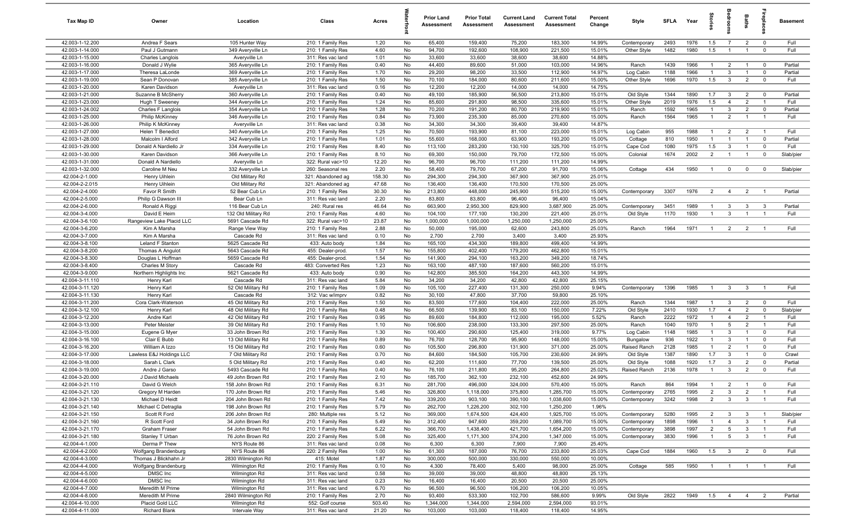| Tax Map ID                         | Owner                                | Location                                 | Class                                  | Acres         |          | <b>Prior Land</b><br>Assessment | <b>Prior Total</b><br>Assessment | <b>Current Land</b><br>Assessment | <b>Current Total</b><br>Assessment | Percent<br>Change | Style                        | <b>SFI A</b> | Year         | tories                           | edroo                          | Baths                          | ireplac                          | <b>Basement</b>   |
|------------------------------------|--------------------------------------|------------------------------------------|----------------------------------------|---------------|----------|---------------------------------|----------------------------------|-----------------------------------|------------------------------------|-------------------|------------------------------|--------------|--------------|----------------------------------|--------------------------------|--------------------------------|----------------------------------|-------------------|
| 42.003-1-12.200                    | Andrea F Sears                       | 105 Hunter Way                           | 210: 1 Family Res                      | 1.20          | No       | 65,400                          | 159,400                          | 75,200                            | 183,300                            | 14.99%            | Contemporary                 | 2493         | 1976         | 1.5                              | $\overline{7}$                 | $\overline{2}$                 | $\mathbf 0$                      | Full              |
| 42.003-1-14.000                    | Paul J Gutmann                       | 349 Averyville Ln                        | 210: 1 Family Res                      | 4.60          | No       | 94,700                          | 192,600                          | 108,900                           | 221,500                            | 15.01%            | Other Style                  | 1482         | 1980         | 1.5                              | $\overline{1}$                 | $\overline{1}$                 | $\overline{0}$                   | Full              |
| 42.003-1-15.000                    | Charles Langlois                     | Averyville Ln                            | 311: Res vac land                      | 1.01          | No       | 33,600                          | 33,600                           | 38,600                            | 38,600                             | 14.88%            |                              |              |              |                                  |                                |                                |                                  |                   |
| 42.003-1-16.000                    | Donald J Wylie                       | 365 Averyville Ln                        | 210: 1 Family Res                      | 0.40          | No       | 44,400                          | 89,600                           | 51,000                            | 103,000                            | 14.96%            | Ranch                        | 1439         | 1966         | $\overline{1}$                   | $\overline{2}$                 | $\overline{1}$                 | $\overline{\mathbf{0}}$          | Partial           |
| 42.003-1-17.000                    | Theresa LaLonde                      | 369 Averyville Ln                        | 210: 1 Family Res                      | 1.70          | No       | 29,200                          | 98,200                           | 33,500                            | 112,900                            | 14.97%            | Log Cabin                    | 1188         | 1966         | $\overline{1}$                   | 3                              | $\overline{1}$                 | $\mathbf 0$                      | Partial           |
| 42.003-1-19.000                    | Sean P Donovan                       | 385 Averyville Ln                        | 210: 1 Family Res                      | 1.50          | No       | 70,100                          | 184,000                          | 80,600                            | 211,600                            | 15.00%            | Other Style                  | 1696         | 1970         | 1.5                              | 3                              | $\overline{2}$                 | $\mathbf 0$                      | Full              |
| 42.003-1-20.000<br>42.003-1-21.000 | Karen Davidson<br>Suzanne B McSherry | Averyville Ln<br>360 Averyville Ln       | 311: Res vac land<br>210: 1 Family Res | 0.16<br>0.40  | No<br>No | 12,200<br>49,100                | 12,200<br>185,900                | 14,000<br>56,500                  | 14,000<br>213,800                  | 14.75%<br>15.01%  | Old Style                    | 1344         | 1890         | 1.7                              | $\overline{\mathbf{3}}$        | $\overline{2}$                 | $\overline{\mathbf{0}}$          | Partial           |
| 42.003-1-23.000                    | Hugh T Sweeney                       | 344 Averyville Ln                        | 210: 1 Family Res                      | 1.24          | No       | 85,600                          | 291,800                          | 98,500                            | 335,600                            | 15.01%            | Other Style                  | 2019         | 1976         | 1.5                              | $\overline{4}$                 | 2                              | $\overline{1}$                   | Full              |
| 42.003-1-24.002                    | Charles F Langlois                   | 354 Averyville Ln                        | 210: 1 Family Res                      | 1.28          | No       | 70,200                          | 191,200                          | 80,700                            | 219,900                            | 15.01%            | Ranch                        | 1592         | 1965         | $\overline{1}$                   | 3                              | $\overline{2}$                 | $\mathbf 0$                      | Partial           |
| 42.003-1-25.000                    | Philip McKinney                      | 346 Averyville Ln                        | 210: 1 Family Res                      | 0.84          | No       | 73,900                          | 235,300                          | 85,000                            | 270,600                            | 15.00%            | Ranch                        | 1564         | 1965         | $\overline{1}$                   | $\overline{2}$                 | $\overline{1}$                 | $\overline{1}$                   | Full              |
| 42.003-1-26.000                    | Philip K McKinney                    | Averyville Ln                            | 311: Res vac land                      | 0.38          | No       | 34,300                          | 34,300                           | 39,400                            | 39,400                             | 14.87%            |                              |              |              |                                  |                                |                                |                                  |                   |
| 42.003-1-27.000                    | Helen T Benedict                     | 340 Averyville Ln                        | 210: 1 Family Res                      | 1.25          | No       | 70,500                          | 193,900                          | 81,100                            | 223,000                            | 15.01%            | Log Cabin                    | 955          | 1988         | $\overline{1}$                   | $\overline{2}$                 | $\overline{2}$                 | $\overline{1}$                   | Full              |
| 42.003-1-28.000                    | Malcolm I Alford                     | 342 Averyville Ln                        | 210: 1 Family Res                      | 1.01          | No       | 55,600                          | 168,000                          | 63,900                            | 193,200                            | 15.00%            | Cottage                      | 810          | 1950         | $\mathbf{1}$                     | -1                             | $\overline{1}$                 | $\mathbf 0$                      | Partial           |
| 42.003-1-29.000                    | Donald A Nardiello Jr                | 334 Averyville Ln                        | 210: 1 Family Res                      | 8.40          | No       | 113,100                         | 283,200                          | 130,100                           | 325,700                            | 15.01%            | Cape Cod                     | 1080         | 1975         | 1.5                              | $\mathbf{3}$                   | $\overline{1}$                 | $\mathbf 0$                      | Full              |
| 42.003-1-30.000                    | Karen Davidson                       | 366 Averyville Ln                        | 210: 1 Family Res                      | 8.10          | No       | 69,300                          | 150,000                          | 79,700                            | 172,500                            | 15.00%            | Colonial                     | 1674         | 2002         | $\overline{2}$                   | $\overline{1}$                 | $\overline{1}$                 | $\mathbf 0$                      | Slab/pier         |
| 42.003-1-31.000                    | Donald A Nardiello                   | Averyville Ln                            | 322: Rural vac>10                      | 12.20         | No       | 96,700                          | 96,700                           | 111,200                           | 111,200                            | 14.99%            |                              |              |              |                                  |                                |                                |                                  |                   |
| 42.003-1-32.000                    | Caroline M Neu                       | 332 Averyville Ln                        | 260: Seasonal res                      | 2.20          | No       | 58,400                          | 79,700                           | 67,200                            | 91,700                             | 15.06%            | Cottage                      | 434          | 1950         | $\overline{1}$                   | $\mathbf 0$                    | $\mathbf 0$                    | $\mathbf 0$                      | Slab/pier         |
| 42.004-2-1.000                     | Henry Uihlein                        | Old Military Rd                          | 321: Abandoned ag                      | 158.30        | No       | 294,300                         | 294,300                          | 367,900                           | 367,900                            | 25.01%            |                              |              |              |                                  |                                |                                |                                  |                   |
| 42.004-2-2.015                     | Henry Uihlein                        | Old Military Rd                          | 321: Abandoned ag                      | 47.68         | No       | 136,400                         | 136,400                          | 170,500                           | 170,500                            | 25.00%            |                              |              |              |                                  |                                |                                |                                  |                   |
| 42.004-2-4.000                     | Favor R Smith<br>Philip G Dawson III | 52 Bear Cub Ln                           | 210: 1 Family Res                      | 30.30         | No       | 213,800                         | 448,000                          | 245,900                           | 515,200                            | 15.00%            | Contemporary                 | 3307         | 1976         | $\overline{2}$                   | $\overline{4}$                 | $\overline{2}$                 | $\overline{1}$                   | Partial           |
| 42.004-2-5.000<br>42.004-2-6.000   | Ronald A Riggi                       | Bear Cub Ln<br>116 Bear Cub Ln           | 311: Res vac land<br>240: Rural res    | 2.20<br>46.64 | No<br>No | 83,800<br>663,900               | 83,800<br>2,950,300              | 96,400<br>829,900                 | 96,400<br>3,687,900                | 15.04%<br>25.00%  | Contemporary                 | 3451         | 1989         | $\overline{1}$                   | $\mathbf{3}$                   | $\mathbf{3}$                   | $\mathbf{3}$                     | Partial           |
| 42.004-3-4.000                     | David E Heim                         | 132 Old Military Rd                      | 210: 1 Family Res                      | 4.60          | No       | 104,100                         | 177,100                          | 130,200                           | 221,400                            | 25.01%            | Old Style                    | 1170         | 1930         | $\overline{1}$                   | $\mathbf{3}$                   | $\overline{1}$                 | $\overline{1}$                   | Full              |
| 42.004-3-6.100                     | Rangeview Lake Placid LLC            | 5691 Cascade Rd                          | 322: Rural vac>10                      | 23.87         | No       | 1,000,000                       | 1,000,000                        | 1,250,000                         | 1,250,000                          | 25.00%            |                              |              |              |                                  |                                |                                |                                  |                   |
| 42.004-3-6.200                     | Kim A Marsha                         | Range View Way                           | 210: 1 Family Res                      | 2.88          | No       | 50,000                          | 195,000                          | 62,600                            | 243,800                            | 25.03%            | Ranch                        | 1964         | 1971         | $\overline{1}$                   | $\overline{2}$                 | $\overline{2}$                 | $\overline{1}$                   | Full              |
| 42.004-3-7.000                     | Kim A Marsha                         | Cascade Rd                               | 311: Res vac land                      | 0.10          | No       | 2,700                           | 2,700                            | 3,400                             | 3,400                              | 25.93%            |                              |              |              |                                  |                                |                                |                                  |                   |
| 42.004-3-8.100                     | Leland F Stanton                     | 5625 Cascade Rd                          | 433: Auto body                         | 1.84          | No       | 165,100                         | 434,300                          | 189,800                           | 499,400                            | 14.99%            |                              |              |              |                                  |                                |                                |                                  |                   |
| 42.004-3-8.200                     | Thomas A Angulot                     | 5643 Cascade Rd                          | 455: Dealer-prod.                      | 1.57          | No       | 155,800                         | 402,400                          | 179,200                           | 462,800                            | 15.01%            |                              |              |              |                                  |                                |                                |                                  |                   |
| 42.004-3-8.300                     | Douglas L Hoffman                    | 5659 Cascade Rd                          | 455: Dealer-prod.                      | 1.54          | No       | 141,900                         | 294,100                          | 163,200                           | 349,200                            | 18.74%            |                              |              |              |                                  |                                |                                |                                  |                   |
| 42.004-3-8.400                     | Charles M Story                      | Cascade Rd                               | 483: Converted Res                     | 1.23          | No       | 163,100                         | 487,100                          | 187,600                           | 560,200                            | 15.01%            |                              |              |              |                                  |                                |                                |                                  |                   |
| 42.004-3-9.000                     | Northern Highlights Inc              | 5621 Cascade Rd                          | 433: Auto body                         | 0.90          | No       | 142,800                         | 385,500                          | 164,200                           | 443,300                            | 14.99%            |                              |              |              |                                  |                                |                                |                                  |                   |
| 42.004-3-11.110                    | Henry Karl                           | Cascade Rd                               | 311: Res vac land                      | 5.84          | No       | 34,200                          | 34,200                           | 42,800                            | 42,800                             | 25.15%            |                              |              |              |                                  |                                |                                |                                  |                   |
| 42.004-3-11.120                    | Henry Karl                           | 52 Old Military Rd                       | 210: 1 Family Res                      | 1.09          | No       | 105,100                         | 227,400                          | 131,300                           | 250,000                            | 9.94%             | Contemporary                 | 1396         | 1985         | $\overline{1}$                   | $\mathbf{3}$                   | $\mathbf{3}$                   | $\overline{1}$                   | Full              |
| 42.004-3-11.130                    | Henry Karl                           | Cascade Rd                               | 312: Vac w/imprv                       | 0.82          | No       | 30,100                          | 47,800                           | 37,700                            | 59,800                             | 25.10%            |                              |              |              |                                  |                                |                                |                                  |                   |
| 42.004-3-11.200<br>42.004-3-12.100 | Cora Clark-Waterson                  | 45 Old Military Rd                       | 210: 1 Family Res                      | 1.50<br>0.48  | No<br>No | 83,500<br>66,500                | 177,600                          | 104,400                           | 222,000                            | 25.00%<br>7.22%   | Ranch                        | 1344<br>2410 | 1987<br>1930 | $\overline{1}$<br>1.7            | $\mathbf{3}$<br>$\overline{4}$ | $\overline{2}$<br>2            | $\mathbf 0$<br>$\mathbf 0$       | Full<br>Slab/pier |
| 42.004-3-12.200                    | Henry Karl<br>Andre Karl             | 48 Old Military Rd<br>42 Old Military Rd | 210: 1 Family Res<br>210: 1 Family Res | 0.95          | No       | 89,600                          | 139,900<br>184,800               | 83,100<br>112,000                 | 150,000<br>195,000                 | 5.52%             | Old Style<br>Ranch           | 2222         | 1972         | $\overline{1}$                   | $\overline{4}$                 | $\overline{2}$                 | $\overline{1}$                   | Full              |
| 42.004-3-13.000                    | Peter Meister                        | 39 Old Military Rd                       | 210: 1 Family Res                      | 1.10          | No       | 106,600                         | 238,000                          | 133,300                           | 297,500                            | 25.00%            | Ranch                        | 1040         | 1970         | $\overline{1}$                   | $5\overline{5}$                | $\overline{2}$                 | $\overline{1}$                   | Full              |
| 42.004-3-15.000                    | Eugene G Myer                        | 33 John Brown Rd                         | 210: 1 Family Res                      | 1.30          | No       | 100,400                         | 290,600                          | 125,400                           | 319,000                            | 9.77%             | Log Cabin                    | 1148         | 1985         | $\overline{1}$                   | $\mathbf{3}$                   | $\overline{1}$                 | $\mathbf 0$                      | Full              |
| 42.004-3-16.100                    | Clair E Bubb                         | 13 Old Military Rd                       | 210: 1 Family Res                      | 0.89          | No       | 76,700                          | 128,700                          | 95,900                            | 148,000                            | 15.00%            | Bungalow                     | 936          | 1922         | $\overline{1}$                   | $\mathbf{3}$                   | $\overline{1}$                 | $\mathbf 0$                      | Full              |
| 42.004-3-16.200                    | William A Izzo                       | 15 Old Military Rd                       | 210: 1 Family Res                      | 0.60          | No       | 105,500                         | 296,800                          | 131,900                           | 371,000                            | 25.00%            | Raised Ranch                 | 2128         | 1985         | $\overline{1}$                   | $\overline{2}$                 | $\overline{1}$                 | $\mathbf 0$                      | Full              |
| 42.004-3-17.000                    | Lawless E&J Holdings LLC             | 7 Old Military Rd                        | 210: 1 Family Res                      | 0.70          | No       | 84,600                          | 184,500                          | 105,700                           | 230,600                            | 24.99%            | Old Style                    | 1387         | 1890         | 1.7                              | 3                              |                                | $\mathbf 0$                      | Crawl             |
| 42.004-3-18.000                    | Sarah L Clark                        | 5 Old Military Rd                        | 210: 1 Family Res                      | 0.40          | No       | 62,200                          | 111,600                          | 77,700                            | 139,500                            | 25.00%            | Old Style                    | 1088         | 1920         | 1.7                              | 3                              | $\overline{2}$                 | $\mathbf 0$                      | Partial           |
| 42.004-3-19.000                    | Andre J Garso                        | 5493 Cascade Rd                          | 210: 1 Family Res                      | 0.40          | No       | 76,100                          | 211,800                          | 95,200                            | 264,800                            | 25.02%            | Raised Ranch                 | 2136         | 1978         | -1                               | 3                              | $\overline{2}$                 | $\Omega$                         | Full              |
| 42.004-3-20.000                    | J David Michaels                     | 49 John Brown Rd                         | 210: 1 Family Res                      | 2.10          | No       | 185,700                         | 362,100                          | 232,100                           | 452,600                            | 24.99%            |                              |              |              |                                  |                                |                                |                                  |                   |
| 42.004-3-21.110                    | David G Welch                        | 158 John Brown Rd                        | 210: 1 Family Res                      | 6.31          | No       | 281,700                         | 496,000                          | 324,000                           | 570,400                            | 15.00%            | Ranch                        | 864          | 1994         | $\overline{1}$                   | 2                              | $\overline{1}$                 |                                  | Full              |
| 42.004-3-21.120                    | Gregory M Harden                     | 170 John Brown Rd                        | 210: 1 Family Res                      | 5.46          | No       | 326,800                         | 1,118,000                        | 375,800                           | 1,285,700                          | 15.00%            | Contemporary                 | 2765         | 1995         | $\overline{2}$                   | $\mathbf{3}$                   | $\overline{2}$                 | $\overline{1}$                   | Full              |
| 42.004-3-21.130                    | Michael D Heidt                      | 204 John Brown Rd                        | 210: 1 Family Res                      | 7.42          | No       | 339,200                         | 903,100                          | 390,100                           | 1,038,600                          | 15.00%            | Contemporary                 | 3242         | 1998         | $\overline{2}$                   | $\mathbf{3}$                   | $\mathbf{3}$                   | $\overline{1}$                   | Full              |
| 42.004-3-21.140                    | Michael C Detraglia                  | 198 John Brown Rd                        | 210: 1 Family Res                      | 5.79<br>5.12  | No       | 262,700<br>369,000              | 1,226,200                        | 302,100<br>424,400                | 1,250,200                          | 1.96%             |                              |              |              |                                  |                                |                                |                                  |                   |
| 42.004-3-21.150<br>42.004-3-21.160 | Scott R Ford<br>R Scott Ford         | 206 John Brown Rd<br>34 John Brown Rd    | 280: Multiple res<br>210: 1 Family Res | 5.49          | No<br>No | 312,400                         | 1,674,500<br>947,600             | 359,200                           | 1,925,700<br>1,089,700             | 15.00%<br>15.00%  | Contemporary<br>Contemporary | 5280<br>1898 | 1995<br>1996 | $\overline{2}$<br>$\overline{1}$ | $\mathbf{3}$<br>$\overline{4}$ | $\mathbf{3}$<br>$\overline{3}$ | $\overline{1}$<br>$\overline{1}$ | Slab/pier<br>Full |
| 42.004-3-21.170                    | Graham Fraser                        | 54 John Brown Rd                         | 210: 1 Family Res                      | 6.22          | No       | 366,700                         | 1,438,400                        | 421,700                           | 1,654,200                          | 15.00%            | Contemporary                 | 3898         | 1997         | $\overline{2}$                   | $5\overline{)}$                | $\mathbf{3}$                   | $\overline{1}$                   | Full              |
| 42.004-3-21.180                    | Stanley T Urban                      | 76 John Brown Rd                         | 220: 2 Family Res                      | 5.08          | No       | 325,400                         | 1,171,300                        | 374,200                           | 1,347,000                          | 15.00%            | Contemporary                 | 3830         | 1996         | $\overline{1}$                   | $5\overline{)}$                | $\mathbf{3}$                   | $\overline{1}$                   | Full              |
| 42.004-4-1.000                     | Derma P Thew                         | NYS Route 86                             | 311: Res vac land                      | 0.08          | No       | 6,300                           | 6,300                            | 7,900                             | 7,900                              | 25.40%            |                              |              |              |                                  |                                |                                |                                  |                   |
| 42.004-4-2.000                     | Wolfgang Brandenburg                 | NYS Route 86                             | 220: 2 Family Res                      | 1.00          | No       | 61,300                          | 187,000                          | 76,700                            | 233,800                            | 25.03%            | Cape Cod                     | 1884         | 1960         | 1.5                              | $\overline{\mathbf{3}}$        | $\overline{2}$                 | $\overline{\mathbf{0}}$          | Full              |
| 42.004-4-3.000                     | Thomas J Blickhahn Jr                | 2830 Wilmington Rd                       | 415: Motel                             | 1.87          | No       | 300,000                         | 500,000                          | 330,000                           | 550,000                            | 10.00%            |                              |              |              |                                  |                                |                                |                                  |                   |
| 42.004-4-4.000                     | Wolfgang Brandenburg                 | Wilmington Rd                            | 210: 1 Family Res                      | 0.10          | No       | 4,300                           | 78,400                           | 5,400                             | 98,000                             | 25.00%            | Cottage                      | 585          | 1950         | $\overline{1}$                   | $\overline{1}$                 | $\overline{1}$                 | $\overline{1}$                   | Full              |
| 42.004-4-5.000                     | DMSC Inc                             | Wilmington Rd                            | 311: Res vac land                      | 0.58          | No       | 39,000                          | 39,000                           | 48,800                            | 48,800                             | 25.13%            |                              |              |              |                                  |                                |                                |                                  |                   |
| 42.004-4-6.000                     | DMSC Inc                             | Wilmington Rd                            | 311: Res vac land                      | 0.23          | No       | 16,400                          | 16,400                           | 20,500                            | 20,500                             | 25.00%            |                              |              |              |                                  |                                |                                |                                  |                   |
| 42.004-4-7.000                     | Meredith M Prime                     | Wilmington Rd                            | 311: Res vac land                      | 6.70          | No       | 96,500                          | 96,500                           | 106,200                           | 106,200                            | 10.05%            |                              |              |              |                                  |                                |                                |                                  |                   |
| 42.004-4-8.000                     | Meredith M Prime                     | 2840 Wilmington Rd                       | 210: 1 Family Res                      | 2.70          | No       | 93,400                          | 533,300                          | 102,700                           | 586,600                            | 9.99%             | Old Style                    | 2822         | 1949         | $1.5 \t 4$                       |                                | $\overline{4}$                 | $\overline{2}$                   | Partial           |
| 42.004-4-10.000                    | Placid Gold LLC                      | Wilmington Rd                            | 552: Golf course                       | 503.40        | No       | 1,344,000                       | 1,344,000                        | 2,594,000                         | 2,594,000                          | 93.01%            |                              |              |              |                                  |                                |                                |                                  |                   |
| 42.004-4-11.000                    | Richard Blank                        | Intervale Way                            | 311: Res vac land                      | 21.20         | No       | 103,000                         | 103,000                          | 118,400                           | 118,400                            | 14.95%            |                              |              |              |                                  |                                |                                |                                  |                   |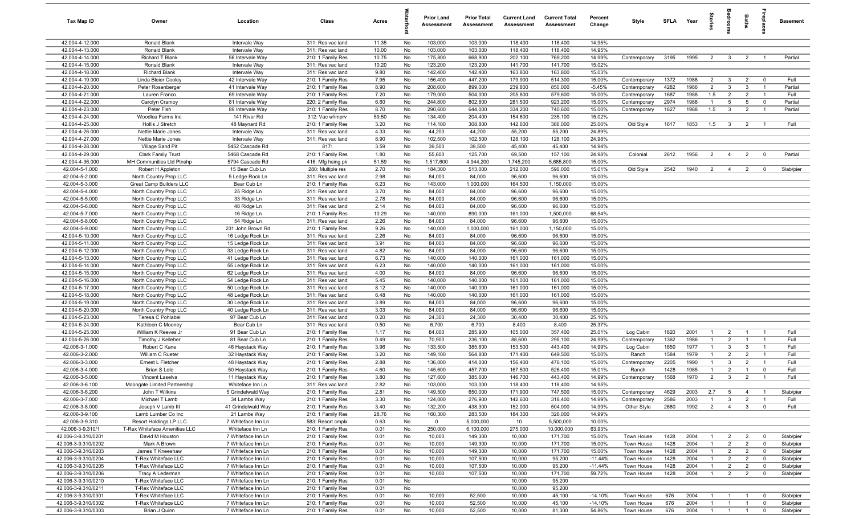| Tax Map ID                                 | Owner                                         | Location                                 | Class                                  | Acres        |          | <b>Prior Land</b><br>Assessment | <b>Prior Total</b><br>Assessment | <b>Current Land</b><br><b>Assessment</b> | <b>Current Total</b><br>Assessment | Percent<br>Change      | Style                     | SFLA         | Year         | tories         | ğ                                | Baths                            | repla                                  | <b>Basement</b>        |
|--------------------------------------------|-----------------------------------------------|------------------------------------------|----------------------------------------|--------------|----------|---------------------------------|----------------------------------|------------------------------------------|------------------------------------|------------------------|---------------------------|--------------|--------------|----------------|----------------------------------|----------------------------------|----------------------------------------|------------------------|
| 42.004-4-12.000                            | Ronald Blank                                  | Intervale Way                            | 311: Res vac land                      | 11.35        | No       | 103,000                         | 103,000                          | 118,400                                  | 118,400                            | 14.95%                 |                           |              |              |                |                                  |                                  |                                        |                        |
| 42.004-4-13.000                            | Ronald Blank                                  | Intervale Way                            | 311: Res vac land                      | 10.00        | No       | 103,000                         | 103,000                          | 118,400                                  | 118,400                            | 14.95%                 |                           |              |              |                |                                  |                                  |                                        |                        |
| 42.004-4-14.000                            | Richard T Blank                               | 56 Intervale Way                         | 210: 1 Family Res                      | 10.75        | No       | 175,800                         | 668,900                          | 202,100                                  | 769,200                            | 14.99%                 | Contemporary              | 3195         | 1995         | $\overline{2}$ | $\overline{\mathbf{3}}$          | $\overline{2}$                   | $\overline{1}$                         | Partial                |
| 42.004-4-15.000                            | Ronald Blank                                  | Intervale Way                            | 311: Res vac land                      | 10.20        | No       | 123,200                         | 123,200                          | 141,700                                  | 141,700                            | 15.02%                 |                           |              |              |                |                                  |                                  |                                        |                        |
| 42.004-4-18.000                            | <b>Richard Blank</b>                          | Intervale Way                            | 311: Res vac land                      | 9.80         | No       | 142,400                         | 142,400                          | 163,800                                  | 163,800                            | 15.03%                 |                           |              |              |                |                                  |                                  |                                        |                        |
| 42.004-4-19.000                            | Linda Bleier Cooley                           | 42 Intervale Way                         | 210: 1 Family Res                      | 7.95         | No       | 156,400                         | 447,200                          | 179,900                                  | 514,300                            | 15.00%                 | Contemporary              | 1372         | 1988         | $\overline{2}$ | $\mathbf{3}$                     | $\overline{2}$                   | $\mathbf 0$                            | Full                   |
| 42.004-4-20.000                            | Peter Rosenberger                             | 41 Intervale Way                         | 210: 1 Family Res                      | 8.90         | No       | 208,600                         | 899,000                          | 239,800                                  | 850,000                            | $-5.45%$               | Contemporary              | 4282         | 1986         | $\overline{2}$ | 3                                | 3                                | $\overline{1}$                         | Partial                |
| 42.004-4-21.000                            | Lauren Franco                                 | 69 Intervale Way                         | 210: 1 Family Res                      | 7.20         | No       | 179,000                         | 504,000                          | 205,800                                  | 579,600                            | 15.00%                 | Contemporary              | 1687         | 1988         | 1.5            | $\overline{2}$                   | $\overline{2}$                   | $\overline{1}$                         | Full                   |
| 42.004-4-22.000                            | Carolyn Cramoy                                | 81 Intervale Way                         | 220: 2 Family Res                      | 6.60         | No       | 244,800                         | 802,800                          | 281,500                                  | 923,200                            | 15.00%                 | Contemporary              | 2974         | 1988         | $\overline{1}$ | $5\overline{5}$                  | $5\overline{5}$                  | $\overline{\mathbf{0}}$                | Partial                |
| 42.004-4-23.000                            | Peter Fish                                    | 89 Intervale Way                         | 210: 1 Family Res                      | 8.70         | No       | 290,600                         | 644,000                          | 334,200                                  | 740,600                            | 15.00%                 | Contemporary              | 1627         | 1988         | 1.5            | $\mathbf{3}$                     | $\overline{2}$                   | $\overline{1}$                         | Partial                |
| 42.004-4-24.000                            | Woodlea Farms Inc                             | 141 River Rd                             | 312: Vac w/imprv                       | 59.50        | No       | 134,400                         | 204,400                          | 154,600                                  | 235,100                            | 15.02%                 |                           |              |              |                |                                  |                                  |                                        |                        |
| 42.004-4-25.000                            | Hollis J Stretch                              | 48 Maynard Rd                            | 210: 1 Family Res                      | 3.20         | No       | 114,100                         | 308,800                          | 142,600                                  | 386,000                            | 25.00%                 | Old Style                 | 1617         | 1853         | 1.5            | $\overline{\mathbf{3}}$          | $\overline{2}$                   | $\overline{1}$                         | Full                   |
| 42.004-4-26.000                            | Nettie Marie Jones                            | Intervale Way                            | 311: Res vac land                      | 4.33         | No       | 44,200                          | 44,200                           | 55,200                                   | 55,200                             | 24.89%                 |                           |              |              |                |                                  |                                  |                                        |                        |
| 42.004-4-27.000<br>42.004-4-28.000         | Nettie Marie Jones                            | Intervale Way<br>5452 Cascade Rd         | 311: Res vac land<br>817:              | 8.90<br>3.59 | No<br>No | 102,500<br>39,500               | 102,500<br>39,500                | 128,100<br>45,400                        | 128,100<br>45,400                  | 24.98%<br>14.94%       |                           |              |              |                |                                  |                                  |                                        |                        |
| 42.004-4-29.000                            | Village Sand Pit<br><b>Clark Family Trust</b> | 5468 Cascade Rd                          | 210: 1 Family Res                      | 1.80         | No       | 55,600                          | 125,700                          | 69,500                                   | 157,100                            | 24.98%                 | Colonial                  | 2612         | 1956         | 2              | $\overline{4}$                   | 2                                | $\overline{0}$                         | Partial                |
| 42.004-4-36.000                            | MH Communities Ltd Ptnshp                     | 5794 Cascade Rd                          | 416: Mfg hsing pk                      | 51.59        | No       | 1,517,600                       | 4,944,200                        | 1,745,200                                | 5,685,800                          | 15.00%                 |                           |              |              |                |                                  |                                  |                                        |                        |
| 42.004-5-1.000                             | Robert H Appleton                             | 15 Bear Cub Ln                           | 280: Multiple res                      | 2.70         | No       | 184,300                         | 513,000                          | 212,000                                  | 590,000                            | 15.01%                 | Old Style                 | 2542         | 1940         | $\overline{2}$ | $\overline{4}$                   | $\overline{2}$                   | $\overline{0}$                         | Slab/pier              |
| 42.004-5-2.000                             | North Country Prop LLC                        | 5 Ledge Rock Ln                          | 311: Res vac land                      | 2.98         | No       | 84,000                          | 84,000                           | 96,600                                   | 96,600                             | 15.00%                 |                           |              |              |                |                                  |                                  |                                        |                        |
| 42.004-5-3.000                             | Great Camp Builders LLC                       | Bear Cub Ln                              | 210: 1 Family Res                      | 6.23         | No       | 143,000                         | 1,000,000                        | 164,500                                  | 1,150,000                          | 15.00%                 |                           |              |              |                |                                  |                                  |                                        |                        |
| 42.004-5-4.000                             | North Country Prop LLC                        | 25 Ridge Ln                              | 311: Res vac land                      | 3.70         | No       | 84,000                          | 84,000                           | 96,600                                   | 96,600                             | 15.00%                 |                           |              |              |                |                                  |                                  |                                        |                        |
| 42.004-5-5.000                             | North Country Prop LLC                        | 33 Ridge Ln                              | 311: Res vac land                      | 2.78         | No       | 84,000                          | 84,000                           | 96,600                                   | 96,600                             | 15.00%                 |                           |              |              |                |                                  |                                  |                                        |                        |
| 42.004-5-6.000                             | North Country Prop LLC                        | 48 Ridge Ln                              | 311: Res vac land                      | 2.14         | No       | 84,000                          | 84,000                           | 96,600                                   | 96,600                             | 15.00%                 |                           |              |              |                |                                  |                                  |                                        |                        |
| 42.004-5-7.000                             | North Country Prop LLC                        | 16 Ridge Ln                              | 210: 1 Family Res                      | 10.29        | No       | 140,000                         | 890,000                          | 161,000                                  | 1,500,000                          | 68.54%                 |                           |              |              |                |                                  |                                  |                                        |                        |
| 42.004-5-8.000                             | North Country Prop LLC                        | 54 Ridge Ln                              | 311: Res vac land                      | 2.26         | No       | 84,000                          | 84,000                           | 96,600                                   | 96,600                             | 15.00%                 |                           |              |              |                |                                  |                                  |                                        |                        |
| 42.004-5-9.000                             | North Country Prop LLC                        | 231 John Brown Rd                        | 210: 1 Family Res                      | 9.26         | No       | 140,000                         | 1,000,000                        | 161,000                                  | 1,150,000                          | 15.00%                 |                           |              |              |                |                                  |                                  |                                        |                        |
| 42.004-5-10.000                            | North Country Prop LLC                        | 16 Ledge Rock Ln                         | 311: Res vac land                      | 2.26         | No       | 84,000                          | 84,000                           | 96,600                                   | 96,600                             | 15.00%                 |                           |              |              |                |                                  |                                  |                                        |                        |
| 42.004-5-11.000                            | North Country Prop LLC                        | 15 Ledge Rock Ln                         | 311: Res vac land                      | 3.91         | No       | 84,000                          | 84,000                           | 96,600                                   | 96,600                             | 15.00%                 |                           |              |              |                |                                  |                                  |                                        |                        |
| 42.004-5-12.000                            | North Country Prop LLC                        | 33 Ledge Rock Ln                         | 311: Res vac land                      | 4.82         | No       | 84,000                          | 84,000                           | 96,600                                   | 96,600                             | 15.00%                 |                           |              |              |                |                                  |                                  |                                        |                        |
| 42.004-5-13.000                            | North Country Prop LLC                        | 41 Ledge Rock Ln                         | 311: Res vac land                      | 6.73         | No       | 140,000                         | 140,000                          | 161,000                                  | 161,000                            | 15.00%                 |                           |              |              |                |                                  |                                  |                                        |                        |
| 42.004-5-14.000                            | North Country Prop LLC                        | 55 Ledge Rock Ln                         | 311: Res vac land                      | 6.23         | No       | 140,000                         | 140,000                          | 161,000                                  | 161,000                            | 15.00%                 |                           |              |              |                |                                  |                                  |                                        |                        |
| 42.004-5-15.000                            | North Country Prop LLC                        | 62 Ledge Rock Ln                         | 311: Res vac land                      | 4.00         | No       | 84,000                          | 84,000                           | 96,600                                   | 96,600                             | 15.00%                 |                           |              |              |                |                                  |                                  |                                        |                        |
| 42.004-5-16.000                            | North Country Prop LLC                        | 54 Ledge Rock Ln                         | 311: Res vac land                      | 5.45         | No       | 140,000                         | 140,000                          | 161,000                                  | 161,000                            | 15.00%                 |                           |              |              |                |                                  |                                  |                                        |                        |
| 42.004-5-17.000                            | North Country Prop LLC                        | 50 Ledge Rock Ln                         | 311: Res vac land                      | 8.12         | No       | 140,000                         | 140,000                          | 161,000                                  | 161,000                            | 15.00%                 |                           |              |              |                |                                  |                                  |                                        |                        |
| 42.004-5-18.000                            | North Country Prop LLC                        | 48 Ledge Rock Ln                         | 311: Res vac land                      | 6.48         | No       | 140,000                         | 140,000                          | 161,000                                  | 161,000                            | 15.00%                 |                           |              |              |                |                                  |                                  |                                        |                        |
| 42.004-5-19.000                            | North Country Prop LLC                        | 30 Ledge Rock Ln                         | 311: Res vac land                      | 3.89         | No       | 84,000                          | 84,000                           | 96,600                                   | 96,600                             | 15.00%                 |                           |              |              |                |                                  |                                  |                                        |                        |
| 42.004-5-20.000                            | North Country Prop LLC                        | 40 Ledge Rock Ln                         | 311: Res vac land                      | 3.03         | No       | 84,000                          | 84,000                           | 96,600                                   | 96,600                             | 15.00%                 |                           |              |              |                |                                  |                                  |                                        |                        |
| 42.004-5-23.000                            | Teresa C Pohlabel                             | 97 Bear Cub Ln                           | 311: Res vac land                      | 0.20         | No       | 24,300                          | 24,300                           | 30,400                                   | 30,400                             | 25.10%                 |                           |              |              |                |                                  |                                  |                                        |                        |
| 42.004-5-24.000<br>42.004-5-25.000         | Kathleen C Mooney                             | Bear Cub Ln                              | 311: Res vac land                      | 0.50         | No       | 6,700                           | 6,700                            | 8,400                                    | 8,400<br>357,400                   | 25.37%                 |                           |              | 2001         | $\overline{1}$ | 2                                |                                  |                                        | Full                   |
| 42.004-5-26.000                            | William K Reeves Jr<br>Timothy J Kelleher     | 91 Bear Cub Ln<br>81 Bear Cub Ln         | 210: 1 Family Res<br>210: 1 Family Res | 1.17<br>0.49 | No<br>No | 84,000<br>70,900                | 285,900<br>236,100               | 105,000<br>88,600                        | 295,100                            | 25.01%<br>24.99%       | Log Cabin<br>Contemporary | 1820<br>1362 | 1986         | $\overline{1}$ | $\overline{2}$                   | $\overline{1}$<br>$\overline{1}$ | $\overline{1}$<br>$\overline{1}$       | Full                   |
| 42.006-3-1.000                             | Robert C Kane                                 | 46 Haystack Way                          | 210: 1 Family Res                      | 3.96         | No       | 133,500                         | 385,600                          | 153,500                                  | 443,400                            | 14.99%                 | Log Cabin                 | 1650         | 1977         | $\overline{1}$ | $\mathbf{3}$                     | $\overline{\mathbf{3}}$          | $\overline{1}$                         | Full                   |
| 42.006-3-2.000                             | William C Rueter                              | 32 Haystack Way                          | 210: 1 Family Res                      | 3.20         | No       | 149,100                         | 564,800                          | 171,400                                  | 649,500                            | 15.00%                 | Ranch                     | 1584         | 1979         | $\overline{1}$ | $\overline{2}$                   | $\overline{2}$                   | $\overline{1}$                         | Full                   |
| 42.006-3-3.000                             | Ernest L Fletcher                             | 48 Haystack Way                          | 210: 1 Family Res                      | 2.88         | No       | 136,000                         | 414,000                          | 156,400                                  | 476,100                            | 15.00%                 | Contemporary              | 2205         | 1990         | $\overline{1}$ | 3                                | $\overline{2}$                   | $\overline{1}$                         | Full                   |
| 42.006-3-4.000                             | Brian S Lelo                                  | 50 Haystack Way                          | 210: 1 Family Res                      | 4.60         | No       | 145,600                         | 457,700                          | 167,500                                  | 526,400                            | 15.01%                 | Ranch                     | 1428         | 1985         | $\mathbf{1}$   | $\overline{2}$                   | -1                               | $\mathbf 0$                            | Full                   |
| 42.006-3-5.000                             | Vincent Laselva                               | 11 Haystack Way                          | 210: 1 Family Res                      | 3.80         | No       | 127,600                         | 385,600                          | 146,700                                  | 443,400                            | 14.99%                 | Contemporary              | 1568         | 1970         | $\overline{2}$ | $\mathbf{3}$                     | $\overline{2}$                   | $\overline{1}$                         | Full                   |
| 42.006-3-6.100                             | Moongate Limited Partnership                  | Whiteface Inn Ln                         | 311: Res vac land                      | 2.82         | No       | 103,000                         | 103,000                          | 118,400                                  | 118,400                            | 14.95%                 |                           |              |              |                |                                  |                                  |                                        |                        |
| 42.006-3-6.200                             | John T Wilkins                                | 5 Grindelwald Way                        | 210: 1 Family Res                      | 2.81         | No       | 149,500                         | 650,000                          | 171,900                                  | 747,500                            | 15.00%                 | Contemporary              | 4629         | 2003         | 2.7            | 5                                | $\overline{4}$                   | $\overline{1}$                         | Slab/pier              |
| 42.006-3-7.000                             | Michael T Lamb                                | 34 Lambs Way                             | 210: 1 Family Res                      | 3.30         | No       | 124,000                         | 276,900                          | 142,600                                  | 318,400                            | 14.99%                 | Contemporary              | 2586         | 2003         | $\overline{1}$ | 3                                | $\overline{2}$                   | $\overline{1}$                         | Full                   |
| 42.006-3-8.000                             | Joseph V Lamb III                             | 41 Grindelwald Way                       | 210: 1 Family Res                      | 3.40         | No       | 132,200                         | 438,300                          | 152,000                                  | 504,000                            | 14.99%                 | Other Style               | 2680         | 1992         | $\overline{2}$ | $\overline{4}$                   | $\mathbf{3}$                     | $\mathbf 0$                            | Full                   |
| 42.006-3-9.100                             | Lamb Lumber Co Inc                            | 21 Lambs Way                             | 210: 1 Family Res                      | 28.76        | No       | 160,300                         | 283,500                          | 184,300                                  | 326,000                            | 14.99%                 |                           |              |              |                |                                  |                                  |                                        |                        |
| 42.006-3-9.310                             | Resort Holdings LP LLC                        | 7 Whiteface Inn Ln                       | 583: Resort cmplx                      | 0.63         | No       | $\mathbf{0}$                    | 5,000,000                        | 10                                       | 5,500,000                          | 10.00%                 |                           |              |              |                |                                  |                                  |                                        |                        |
| 42.006-3-9.310/1                           | T-Rex Whiteface Amenities LLC                 | Whiteface Inn Ln                         | 210: 1 Family Res                      | 0.01         | No       | 250,000                         | 6,100,000                        | 275,000                                  | 10,000,000                         | 63.93%                 |                           |              |              |                |                                  |                                  |                                        |                        |
| 42.006-3-9.310/0201                        | David M Houston                               | 7 Whiteface Inn Ln                       | 210: 1 Family Res                      | 0.01         | No       | 10,000                          | 149,300                          | 10,000                                   | 171,700                            | 15.00%                 | Town House                | 1428         | 2004         | -1             | $\overline{2}$                   | $\overline{2}$                   | $\mathbf 0$                            | Slab/pier              |
| 42.006-3-9.310/0202                        | Mark A Brown                                  | 7 Whiteface Inn Ln                       | 210: 1 Family Res                      | 0.01         | No       | 10,000                          | 149,300                          | 10,000                                   | 171,700                            | 15.00%                 | Town House                | 1428         | 2004         | $\mathbf{1}$   | $\overline{2}$                   | $\overline{2}$                   | $\mathbf 0$                            | Slab/pier              |
| 42.006-3-9.310/0203                        | James T Kneeshaw                              | 7 Whiteface Inn Ln                       | 210: 1 Family Res                      | 0.01         | No       | 10,000                          | 149,300                          | 10,000                                   | 171,700                            | 15.00%                 | Town House                | 1428         | 2004         | $\mathbf{1}$   | $\overline{2}$                   | $\overline{2}$                   | $\overline{0}$                         | Slab/pier              |
| 42.006-3-9.310/0204                        | T-Rex Whiteface LLC                           | 7 Whiteface Inn Ln                       | 210: 1 Family Res                      | 0.01         | No       | 10,000                          | 107,500                          | 10,000                                   | 95,200                             | $-11.44%$              | Town House                | 1428         | 2004         |                | $\overline{2}$                   | $\overline{2}$                   | $\overline{\mathbf{0}}$                | Slab/pier              |
| 42.006-3-9.310/0205                        | T-Rex Whiteface LLC                           | 7 Whiteface Inn Ln                       | 210: 1 Family Res                      | 0.01         | No       | 10,000                          | 107,500                          | 10,000                                   | 95,200                             | $-11.44%$              | Town House                | 1428         | 2004         | $\overline{1}$ | $\overline{2}$                   | $\overline{2}$                   | $\mathbf 0$                            | Slab/pier              |
| 42.006-3-9.310/0206                        | Tracy A Lederman                              | 7 Whiteface Inn Ln                       | 210: 1 Family Res                      | 0.01         | No       | 10,000                          | 107,500                          | 10,000                                   | 171,700                            | 59.72%                 | Town House                | 1428         | 2004         | $\overline{1}$ | $\overline{2}$                   | $\overline{2}$                   | $\mathbf 0$                            | Slab/pier              |
| 42.006-3-9.310/0210                        | T-Rex Whiteface LLC                           | 7 Whiteface Inn Ln                       | 210: 1 Family Res                      | 0.01         | No       |                                 |                                  | 10,000                                   | 95,200                             |                        |                           |              |              |                |                                  |                                  |                                        |                        |
| 42.006-3-9.310/0211                        | T-Rex Whiteface LLC                           | 7 Whiteface Inn Ln                       | 210: 1 Family Res                      | 0.01         | No       |                                 |                                  | 10,000                                   | 95,200                             |                        |                           |              |              | $\overline{1}$ |                                  |                                  |                                        |                        |
| 42.006-3-9.310/0301<br>42.006-3-9.310/0302 | T-Rex Whiteface LLC<br>T-Rex Whiteface LLC    | 7 Whiteface Inn Ln<br>7 Whiteface Inn Ln | 210: 1 Family Res<br>210: 1 Family Res | 0.01<br>0.01 | No<br>No | 10,000<br>10,000                | 52,500<br>52,500                 | 10,000<br>10,000                         | 45,100<br>45,100                   | $-14.10%$<br>$-14.10%$ | Town House<br>Town House  | 676<br>676   | 2004<br>2004 | $\overline{1}$ | $\overline{1}$<br>$\overline{1}$ | $\overline{1}$<br>$\overline{1}$ | $\overline{\mathbf{0}}$<br>$\mathbf 0$ | Slab/pier<br>Slab/pier |
| 42.006-3-9.310/0303                        | Brian J Quinn                                 | 7 Whiteface Inn Ln                       | 210: 1 Family Res                      | 0.01         | No       | 10,000                          | 52,500                           | 10,000                                   | 81,300                             | 54.86%                 | Town House                | 676          | 2004         | $\overline{1}$ | $\overline{1}$                   | $\overline{1}$                   | $\mathbf 0$                            | Slab/pier              |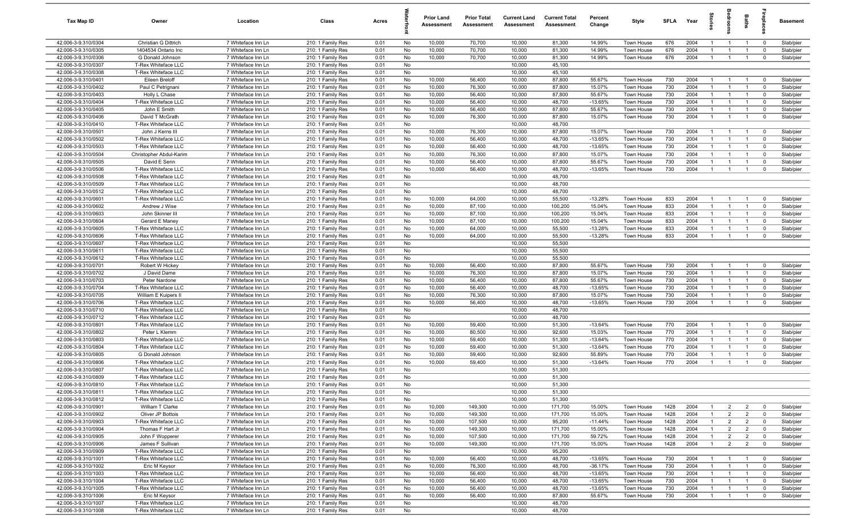| Tax Map ID                                 | Owner                                      | Location                                 | Class                                  | Acres        |          | <b>Prior Land</b><br>Assessment | <b>Prior Total</b><br>Assessment | <b>Current Land</b><br>Assessment | <b>Current Total</b><br>Assessment | Percent<br>Change | Style                    | <b>SFLA</b> | Year         | $\overline{a}$     |                                | Baths                            | å                          | <b>Basement</b>        |
|--------------------------------------------|--------------------------------------------|------------------------------------------|----------------------------------------|--------------|----------|---------------------------------|----------------------------------|-----------------------------------|------------------------------------|-------------------|--------------------------|-------------|--------------|--------------------|--------------------------------|----------------------------------|----------------------------|------------------------|
| 42.006-3-9.310/0304                        | Christian G Dittrich                       | 7 Whiteface Inn Ln                       | 210: 1 Family Res                      | 0.01         | No       | 10,000                          | 70,700                           | 10,000                            | 81,300                             | 14.99%            | Town House               | 676         | 2004         | $\mathbf{1}$       | $\overline{1}$                 | $\overline{1}$                   | $\overline{\mathbf{0}}$    | Slab/pier              |
| 42.006-3-9.310/0305                        | 1404534 Ontario Inc                        | 7 Whiteface Inn Ln                       | 210: 1 Family Res                      | 0.01         | No       | 10,000                          | 70,700                           | 10,000                            | 81,300                             | 14.99%            | Town House               | 676         | 2004         | -1                 | $\mathbf{1}$                   | $\overline{1}$                   | $\mathbf 0$                | Slab/pier              |
| 42.006-3-9.310/0306                        | G Donald Johnson                           | 7 Whiteface Inn Ln                       | 210: 1 Family Res                      | 0.01         | No       | 10,000                          | 70,700                           | 10,000                            | 81,300                             | 14.99%            | Town House               | 676         | 2004         | $\overline{1}$     | $\overline{1}$                 | $\overline{1}$                   | $\mathbf 0$                | Slab/pier              |
| 42.006-3-9.310/0307                        | T-Rex Whiteface LLC                        | 7 Whiteface Inn Ln                       | 210: 1 Family Res                      | 0.01         | No       |                                 |                                  | 10,000                            | 45,100                             |                   |                          |             |              |                    |                                |                                  |                            |                        |
| 42.006-3-9.310/0308                        | T-Rex Whiteface LLC                        | 7 Whiteface Inn Ln                       | 210: 1 Family Res                      | 0.01         | No       |                                 |                                  | 10,000                            | 45,100                             |                   |                          |             |              |                    |                                |                                  |                            |                        |
| 42.006-3-9.310/0401                        | Eileen Breloff                             | 7 Whiteface Inn Ln                       | 210: 1 Family Res                      | 0.01         | No       | 10,000                          | 56,400                           | 10,000                            | 87,800                             | 55.67%            | Town House               | 730         | 2004         |                    |                                | - 1                              | $\mathbf 0$                | Slab/pier              |
| 42.006-3-9.310/0402                        | Paul C Petrignani                          | 7 Whiteface Inn Ln                       | 210: 1 Family Res                      | 0.01         | No       | 10,000                          | 76,300                           | 10,000                            | 87,800                             | 15.07%            | Town House               | 730         | 2004         |                    | $\mathbf{1}$                   | $\overline{1}$                   | $\mathbf 0$                | Slab/pier              |
| 42.006-3-9.310/0403                        | Holly L Chase                              | 7 Whiteface Inn Ln                       | 210: 1 Family Res                      | 0.01         | No       | 10,000                          | 56,400                           | 10,000                            | 87,800                             | 55.67%            | Town House               | 730         | 2004         | $\overline{1}$     | $\overline{1}$                 | $\overline{1}$                   | $\mathbf 0$                | Slab/pier              |
| 42.006-3-9.310/0404                        | T-Rex Whiteface LLC                        | 7 Whiteface Inn Ln                       | 210: 1 Family Res                      | 0.01         | No       | 10,000                          | 56,400                           | 10,000                            | 48,700                             | $-13.65%$         | Town House               | 730         | 2004         | $\mathbf{1}$       | $\overline{1}$                 | $\overline{1}$                   | $\mathbf 0$                | Slab/pier              |
| 42.006-3-9.310/0405                        | John E Smith                               | 7 Whiteface Inn Ln                       | 210: 1 Family Res                      | 0.01         | No       | 10,000                          | 56,400                           | 10,000                            | 87,800                             | 55.67%            | Town House               | 730         | 2004         | $\overline{1}$     | $\mathbf{1}$                   | $\overline{1}$                   | $\mathbf 0$                | Slab/pier              |
| 42.006-3-9.310/0406                        | David T McGrath                            | 7 Whiteface Inn Ln                       | 210: 1 Family Res                      | 0.01         | No       | 10,000                          | 76,300                           | 10,000                            | 87,800                             | 15.07%            | Town House               | 730         | 2004         | $\overline{1}$     | $\overline{1}$                 | $\overline{1}$                   | $\mathbf 0$                | Slab/pier              |
| 42.006-3-9.310/0410<br>42.006-3-9.310/0501 | T-Rex Whiteface LLC<br>John J Kerns III    | 7 Whiteface Inn Ln<br>7 Whiteface Inn Ln | 210: 1 Family Res                      | 0.01         | No<br>No | 10,000                          | 76,300                           | 10,000<br>10,000                  | 48,700<br>87,800                   | 15.07%            | Town House               | 730         | 2004         | $\mathbf{1}$       | $\mathbf{1}$                   | $\overline{1}$                   | $\mathbf 0$                | Slab/pier              |
| 42.006-3-9.310/0502                        | T-Rex Whiteface LLC                        | 7 Whiteface Inn Ln                       | 210: 1 Family Res<br>210: 1 Family Res | 0.01<br>0.01 | No       | 10,000                          | 56,400                           | 10,000                            | 48,700                             | $-13.65%$         | Town House               | 730         | 2004         | -1                 | $\mathbf{1}$                   | $\overline{1}$                   | $\mathbf 0$                | Slab/pier              |
| 42.006-3-9.310/0503                        | T-Rex Whiteface LLC                        | 7 Whiteface Inn Ln                       | 210: 1 Family Res                      | 0.01         | No       | 10,000                          | 56,400                           | 10,000                            | 48,700                             | $-13.65%$         | Town House               | 730         | 2004         | $\mathbf{1}$       | $\mathbf{1}$                   | $\mathbf{1}$                     | $\mathbf 0$                | Slab/pier              |
| 42.006-3-9.310/0504                        | Christopher Abdul-Karim                    | 7 Whiteface Inn Ln                       | 210: 1 Family Res                      | 0.01         | No       | 10,000                          | 76,300                           | 10,000                            | 87,800                             | 15.07%            | Town House               | 730         | 2004         | -1                 | $\overline{1}$                 | $\overline{1}$                   | $\mathbf 0$                | Slab/pier              |
| 42.006-3-9.310/0505                        | David E Senn                               | 7 Whiteface Inn Ln                       | 210: 1 Family Res                      | 0.01         | No       | 10,000                          | 56,400                           | 10,000                            | 87,800                             | 55.67%            | Town House               | 730         | 2004         |                    | -1                             | -1                               | $\mathbf 0$                | Slab/pier              |
| 42.006-3-9.310/0506                        | T-Rex Whiteface LLC                        | 7 Whiteface Inn Ln                       | 210: 1 Family Res                      | 0.01         | No       | 10,000                          | 56,400                           | 10,000                            | 48,700                             | $-13.65%$         | Town House               | 730         | 2004         | -1                 | $\overline{1}$                 | $\overline{1}$                   | $\mathbf 0$                | Slab/pier              |
| 42.006-3-9.310/0508                        | T-Rex Whiteface LLC                        | 7 Whiteface Inn Ln                       | 210: 1 Family Res                      | 0.01         | No       |                                 |                                  | 10,000                            | 48,700                             |                   |                          |             |              |                    |                                |                                  |                            |                        |
| 42.006-3-9.310/0509                        | T-Rex Whiteface LLC                        | 7 Whiteface Inn Ln                       | 210: 1 Family Res                      | 0.01         | No       |                                 |                                  | 10,000                            | 48,700                             |                   |                          |             |              |                    |                                |                                  |                            |                        |
| 42.006-3-9.310/0512                        | T-Rex Whiteface LLC                        | 7 Whiteface Inn Ln                       | 210: 1 Family Res                      | 0.01         | No       |                                 |                                  | 10,000                            | 48,700                             |                   |                          |             |              |                    |                                |                                  |                            |                        |
| 42.006-3-9.310/0601                        | T-Rex Whiteface LLC                        | 7 Whiteface Inn Ln                       | 210: 1 Family Res                      | 0.01         | No       | 10,000                          | 64,000                           | 10,000                            | 55,500                             | $-13.28%$         | Town House               | 833         | 2004         | -1                 | $\overline{1}$                 | $\overline{1}$                   | $\mathbf 0$                | Slab/pier              |
| 42.006-3-9.310/0602                        | Andrew J Wise                              | 7 Whiteface Inn Ln                       | 210: 1 Family Res                      | 0.01         | No       | 10,000                          | 87,100                           | 10,000                            | 100,200                            | 15.04%            | Town House               | 833         | 2004         | $\overline{1}$     | $\overline{1}$                 | $\overline{1}$                   | $\mathbf 0$                | Slab/pier              |
| 42.006-3-9.310/0603                        | John Skinner III                           | 7 Whiteface Inn Ln                       | 210: 1 Family Res                      | 0.01         | No       | 10,000                          | 87,100                           | 10,000                            | 100,200                            | 15.04%            | Town House               | 833         | 2004         | $\overline{1}$     | $\mathbf{1}$                   | $\overline{1}$                   | $\mathbf 0$                | Slab/pier              |
| 42.006-3-9.310/0604                        | Gerard E Maney                             | 7 Whiteface Inn Ln                       | 210: 1 Family Res                      | 0.01         | No       | 10,000                          | 87,100                           | 10,000                            | 100,200                            | 15.04%            | Town House               | 833         | 2004         | $\overline{1}$     | $\mathbf{1}$                   | $\overline{1}$                   | $\mathbf 0$                | Slab/pier              |
| 42.006-3-9.310/0605                        | T-Rex Whiteface LLC                        | 7 Whiteface Inn Ln                       | 210: 1 Family Res                      | 0.01         | No       | 10,000                          | 64,000                           | 10,000                            | 55,500                             | $-13.28%$         | Town House               | 833         | 2004         | $\mathbf{1}$       | $\mathbf{1}$                   | $\overline{1}$                   | $\mathbf 0$                | Slab/pier              |
| 42.006-3-9.310/0606                        | T-Rex Whiteface LLC                        | 7 Whiteface Inn Ln                       | 210: 1 Family Res                      | 0.01         | No       | 10,000                          | 64,000                           | 10,000                            | 55,500                             | $-13.28%$         | Town House               | 833         | 2004         | $\overline{1}$     | $\overline{1}$                 | $\overline{1}$                   | $\mathbf 0$                | Slab/pier              |
| 42.006-3-9.310/0607                        | T-Rex Whiteface LLC                        | 7 Whiteface Inn Ln                       | 210: 1 Family Res                      | 0.01         | No       |                                 |                                  | 10,000                            | 55,500                             |                   |                          |             |              |                    |                                |                                  |                            |                        |
| 42.006-3-9.310/0611                        | T-Rex Whiteface LLC                        | 7 Whiteface Inn Ln                       | 210: 1 Family Res                      | 0.01         | No       |                                 |                                  | 10,000                            | 55,500                             |                   |                          |             |              |                    |                                |                                  |                            |                        |
| 42.006-3-9.310/0612                        | T-Rex Whiteface LLC                        | 7 Whiteface Inn Ln                       | 210: 1 Family Res                      | 0.01         | No       |                                 |                                  | 10,000                            | 55,500                             |                   |                          |             |              |                    |                                |                                  |                            |                        |
| 42.006-3-9.310/0701                        | Robert W Hickey                            | 7 Whiteface Inn Ln                       | 210: 1 Family Res                      | 0.01         | No       | 10,000                          | 56,400                           | 10,000                            | 87,800                             | 55.67%            | Town House               | 730         | 2004         |                    |                                |                                  | $\mathbf 0$                | Slab/pier              |
| 42.006-3-9.310/0702<br>42.006-3-9.310/0703 | J David Dame<br>Peter Nardone              | 7 Whiteface Inn Ln<br>7 Whiteface Inn Ln | 210: 1 Family Res<br>210: 1 Family Res | 0.01<br>0.01 | No<br>No | 10,000<br>10,000                | 76,300<br>56,400                 | 10,000<br>10,000                  | 87,800<br>87,800                   | 15.07%<br>55.67%  | Town House<br>Town House | 730<br>730  | 2004<br>2004 | -1<br>$\mathbf{1}$ | $\mathbf{1}$<br>$\overline{1}$ | $\overline{1}$<br>$\overline{1}$ | $\mathbf 0$<br>$\mathbf 0$ | Slab/pier<br>Slab/pier |
| 42.006-3-9.310/0704                        | T-Rex Whiteface LLC                        | 7 Whiteface Inn Ln                       | 210: 1 Family Res                      | 0.01         | No       | 10,000                          | 56,400                           | 10,000                            | 48,700                             | $-13.65%$         | Town House               | 730         | 2004         | $\mathbf{1}$       | $\overline{1}$                 | $\overline{1}$                   | $\mathbf 0$                | Slab/pier              |
| 42.006-3-9.310/0705                        | William E Kuipers II                       | 7 Whiteface Inn Ln                       | 210: 1 Family Res                      | 0.01         | No       | 10,000                          | 76,300                           | 10,000                            | 87,800                             | 15.07%            | Town House               | 730         | 2004         | $\overline{1}$     | $\mathbf{1}$                   | $\overline{1}$                   | $\mathbf 0$                | Slab/pier              |
| 42.006-3-9.310/0706                        | T-Rex Whiteface LLC                        | 7 Whiteface Inn Ln                       | 210: 1 Family Res                      | 0.01         | No       | 10,000                          | 56,400                           | 10,000                            | 48,700                             | $-13.65%$         | Town House               | 730         | 2004         | $\overline{1}$     | $\overline{1}$                 | $\overline{1}$                   | $\mathbf 0$                | Slab/pier              |
| 42.006-3-9.310/0710                        | T-Rex Whiteface LLC                        | 7 Whiteface Inn Ln                       | 210: 1 Family Res                      | 0.01         | No       |                                 |                                  | 10,000                            | 48,700                             |                   |                          |             |              |                    |                                |                                  |                            |                        |
| 42.006-3-9.310/0712                        | T-Rex Whiteface LLC                        | 7 Whiteface Inn Ln                       | 210: 1 Family Res                      | 0.01         | No       |                                 |                                  | 10,000                            | 48,700                             |                   |                          |             |              |                    |                                |                                  |                            |                        |
| 42.006-3-9.310/0801                        | T-Rex Whiteface LLC                        | 7 Whiteface Inn Ln                       | 210: 1 Family Res                      | 0.01         | No       | 10,000                          | 59,400                           | 10,000                            | 51,300                             | $-13.64%$         | Town House               | 770         | 2004         | -1                 | -1                             | -1                               | $\mathbf 0$                | Slab/pier              |
| 42.006-3-9.310/0802                        | Peter L Klemm                              | 7 Whiteface Inn Ln                       | 210: 1 Family Res                      | 0.01         | No       | 10,000                          | 80,500                           | 10,000                            | 92,600                             | 15.03%            | Town House               | 770         | 2004         | -1                 | -1                             | $\mathbf{1}$                     | $\mathbf 0$                | Slab/pier              |
| 42.006-3-9.310/0803                        | T-Rex Whiteface LLC                        | 7 Whiteface Inn Ln                       | 210: 1 Family Res                      | 0.01         | No       | 10,000                          | 59,400                           | 10,000                            | 51,300                             | $-13.64%$         | Town House               | 770         | 2004         | $\overline{1}$     | $\mathbf{1}$                   | -1                               | $\mathbf 0$                | Slab/pier              |
| 42.006-3-9.310/0804                        | T-Rex Whiteface LLC                        | 7 Whiteface Inn Ln                       | 210: 1 Family Res                      | 0.01         | No       | 10,000                          | 59,400                           | 10,000                            | 51,300                             | $-13.64%$         | Town House               | 770         | 2004         |                    | $\overline{1}$                 | $\overline{1}$                   | $\mathbf 0$                | Slab/pier              |
| 42.006-3-9.310/0805                        | G Donald Johnson                           | 7 Whiteface Inn Ln                       | 210: 1 Family Res                      | 0.01         | No       | 10,000                          | 59,400                           | 10,000                            | 92,600                             | 55.89%            | <b>Town House</b>        | 770         | 2004         |                    | -1                             | -1                               | $\mathbf 0$                | Slab/pier              |
| 42.006-3-9.310/0806                        | T-Rex Whiteface LLC                        | 7 Whiteface Inn Ln                       | 210: 1 Family Res                      | 0.01         | No       | 10,000                          | 59,400                           | 10,000                            | 51,300                             | $-13.64%$         | Town House               | 770         | 2004         |                    | $\overline{1}$                 | $\overline{1}$                   | $\mathbf 0$                | Slab/pier              |
| 42.006-3-9.310/0807                        | T-Rex Whiteface LLC                        | 7 Whiteface Inn Ln                       | 210: 1 Family Res                      | 0.01         | No       |                                 |                                  | 10,000                            | 51,300                             |                   |                          |             |              |                    |                                |                                  |                            |                        |
| 42.006-3-9.310/0809                        | T-Rex Whiteface LLC                        | 7 Whiteface Inn Ln                       | 210: 1 Family Res                      | 0.01         | No       |                                 |                                  | 10,000                            | 51,300                             |                   |                          |             |              |                    |                                |                                  |                            |                        |
| 42.006-3-9.310/0810                        | T-Rex Whiteface LLC                        | 7 Whiteface Inn Ln                       | 210: 1 Family Res                      | 0.01         | No       |                                 |                                  | 10,000                            | 51,300                             |                   |                          |             |              |                    |                                |                                  |                            |                        |
| 42.006-3-9.310/0811<br>42.006-3-9.310/0812 | T-Rex Whiteface LLC<br>T-Rex Whiteface LLC | 7 Whiteface Inn Ln<br>7 Whiteface Inn Ln | 210: 1 Family Res<br>210: 1 Family Res | 0.01<br>0.01 | No<br>No |                                 |                                  | 10,000<br>10,000                  | 51,300<br>51,300                   |                   |                          |             |              |                    |                                |                                  |                            |                        |
| 42.006-3-9.310/0901                        | William T Clarke                           | 7 Whiteface Inn Ln                       | 210: 1 Family Res                      | 0.01         | No       | 10,000                          | 149,300                          | 10,000                            | 171,700                            | 15.00%            | Town House               | 1428        | 2004         | -1                 | $\overline{2}$                 | $\overline{2}$                   | $\mathbf 0$                | Slab/pier              |
| 42.006-3-9.310/0902                        | Oliver JP Bottois                          | 7 Whiteface Inn Ln                       | 210: 1 Family Res                      | 0.01         | No       | 10,000                          | 149,300                          | 10,000                            | 171,700                            | 15.00%            | Town House               | 1428        | 2004         | $\mathbf{1}$       | $\overline{2}$                 | $\overline{2}$                   | $\mathbf 0$                | Slab/pier              |
| 42.006-3-9.310/0903                        | T-Rex Whiteface LLC                        | 7 Whiteface Inn Ln                       | 210: 1 Family Res                      | 0.01         | No       | 10,000                          | 107,500                          | 10,000                            | 95,200                             | $-11.44%$         | Town House               | 1428        | 2004         | $\overline{1}$     | $\overline{2}$                 | $\overline{2}$                   | $\mathbf 0$                | Slab/pier              |
| 42.006-3-9.310/0904                        | Thomas F Hart Jr                           | 7 Whiteface Inn Ln                       | 210: 1 Family Res                      | 0.01         | No       | 10,000                          | 149,300                          | 10,000                            | 171,700                            | 15.00%            | Town House               | 1428        | 2004         | $\mathbf{1}$       | $\overline{2}$                 | $\overline{2}$                   | $\overline{0}$             | Slab/pier              |
| 42.006-3-9.310/0905                        | John F Wopperer                            | 7 Whiteface Inn Ln                       | 210: 1 Family Res                      | 0.01         | No       | 10,000                          | 107,500                          | 10,000                            | 171,700                            | 59.72%            | Town House               | 1428        | 2004         | $\overline{1}$     | $\overline{2}$                 | $\overline{2}$                   | $\mathbf 0$                | Slab/pier              |
| 42.006-3-9.310/0906                        | James F Sullivan                           | 7 Whiteface Inn Ln                       | 210: 1 Family Res                      | 0.01         | No       | 10,000                          | 149,300                          | 10,000                            | 171,700                            | 15.00%            | Town House               | 1428        | 2004         | $\mathbf{1}$       | $\overline{2}$                 | $\overline{2}$                   | $\mathbf 0$                | Slab/pier              |
| 42.006-3-9.310/0909                        | T-Rex Whiteface LLC                        | 7 Whiteface Inn Ln                       | 210: 1 Family Res                      | 0.01         | No       |                                 |                                  | 10,000                            | 95,200                             |                   |                          |             |              |                    |                                |                                  |                            |                        |
| 42.006-3-9.310/1001                        | T-Rex Whiteface LLC                        | 7 Whiteface Inn Ln                       | 210: 1 Family Res                      | 0.01         | No       | 10,000                          | 56,400                           | 10,000                            | 48,700                             | $-13.65%$         | Town House               | 730         | 2004         |                    | $\overline{1}$                 | $\overline{1}$                   | $\overline{\mathbf{0}}$    | Slab/pier              |
| 42.006-3-9.310/1002                        | Eric M Keysor                              | 7 Whiteface Inn Ln                       | 210: 1 Family Res                      | 0.01         | No       | 10,000                          | 76,300                           | 10,000                            | 48,700                             | $-36.17%$         | Town House               | 730         | 2004         | $\overline{1}$     | $\overline{1}$                 | $\overline{1}$                   | $\mathbf 0$                | Slab/pier              |
| 42.006-3-9.310/1003                        | T-Rex Whiteface LLC                        | 7 Whiteface Inn Ln                       | 210: 1 Family Res                      | 0.01         | No       | 10,000                          | 56,400                           | 10,000                            | 48,700                             | $-13.65%$         | Town House               | 730         | 2004         | $\mathbf{1}$       | $\overline{1}$                 | $\overline{1}$                   | $\mathbf 0$                | Slab/pier              |
| 42.006-3-9.310/1004                        | T-Rex Whiteface LLC                        | 7 Whiteface Inn Ln                       | 210: 1 Family Res                      | 0.01         | No       | 10,000                          | 56,400                           | 10,000                            | 48,700                             | $-13.65%$         | Town House               | 730         | 2004         | $\overline{1}$     | $\overline{1}$                 | $\overline{1}$                   | $\mathbf 0$                | Slab/pier              |
| 42.006-3-9.310/1005                        | T-Rex Whiteface LLC                        | 7 Whiteface Inn Ln                       | 210: 1 Family Res                      | 0.01         | No       | 10,000                          | 56,400                           | 10,000                            | 48,700                             | $-13.65%$         | Town House               | 730         | 2004         | $\mathbf{1}$       | $\overline{1}$                 | $\overline{1}$                   | $\mathbf 0$                | Slab/pier              |
| 42.006-3-9.310/1006                        | Eric M Keysor                              | 7 Whiteface Inn Ln                       | 210: 1 Family Res                      | 0.01         | No       | 10,000                          | 56,400                           | 10,000                            | 87,800                             | 55.67%            | Town House               | 730         | 2004         | $\overline{1}$     | $\overline{1}$                 | $\overline{1}$                   | $\mathbf 0$                | Slab/pier              |
| 42.006-3-9.310/1007                        | T-Rex Whiteface LLC                        | 7 Whiteface Inn Ln                       | 210: 1 Family Res                      | 0.01         | No       |                                 |                                  | 10,000                            | 48,700                             |                   |                          |             |              |                    |                                |                                  |                            |                        |
| 42.006-3-9.310/1008                        | T-Rex Whiteface LLC                        | 7 Whiteface Inn Ln                       | 210: 1 Family Res                      | 0.01         | No       |                                 |                                  | 10,000                            | 48,700                             |                   |                          |             |              |                    |                                |                                  |                            |                        |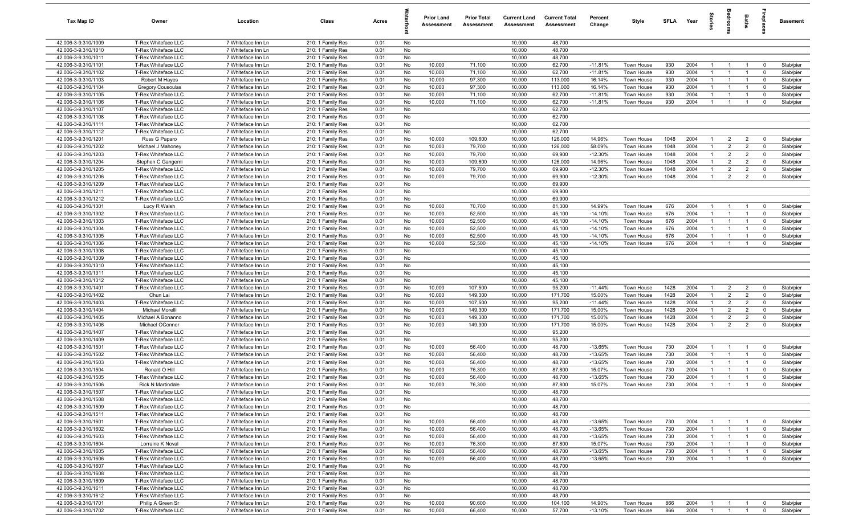| Tax Map ID                                 | Owner                                           | Location                                 | Class                                  | Acres        |          | <b>Prior Land</b><br>Assessment | <b>Prior Total</b><br>Assessment | <b>Current Land</b><br><b>Assessment</b> | <b>Current Total</b><br>Assessment | Percent<br>Change   | Style                    | SFLA         | Year         | 훜                              |                       | Bath                             | ebia                             | <b>Basement</b>        |
|--------------------------------------------|-------------------------------------------------|------------------------------------------|----------------------------------------|--------------|----------|---------------------------------|----------------------------------|------------------------------------------|------------------------------------|---------------------|--------------------------|--------------|--------------|--------------------------------|-----------------------|----------------------------------|----------------------------------|------------------------|
| 42.006-3-9.310/1009                        | T-Rex Whiteface LLC                             | 7 Whiteface Inn Ln                       | 210: 1 Family Res                      | 0.01         | No       |                                 |                                  | 10,000                                   | 48,700                             |                     |                          |              |              |                                |                       |                                  |                                  |                        |
| 42.006-3-9.310/1010                        | T-Rex Whiteface LLC                             | 7 Whiteface Inn Ln                       | 210: 1 Family Res                      | 0.01         | No       |                                 |                                  | 10,000                                   | 48,700                             |                     |                          |              |              |                                |                       |                                  |                                  |                        |
| 42.006-3-9.310/1011                        | T-Rex Whiteface LLC                             | 7 Whiteface Inn Ln                       | 210: 1 Family Res                      | 0.01         | No       |                                 |                                  | 10,000                                   | 48,700                             |                     |                          |              |              |                                |                       |                                  |                                  |                        |
| 42.006-3-9.310/1101                        | T-Rex Whiteface LLC                             | 7 Whiteface Inn Ln                       | 210: 1 Family Res                      | 0.01         | No       | 10,000                          | 71,100                           | 10,000                                   | 62,700                             | $-11.81%$           | Town House               | 930          | 2004         | $\mathbf{1}$                   | - 1                   | -1                               | $\overline{0}$                   | Slab/pier              |
| 42.006-3-9.310/1102                        | T-Rex Whiteface LLC                             | 7 Whiteface Inn Ln                       | 210: 1 Family Res                      | 0.01         | No       | 10,000                          | 71,100                           | 10,000                                   | 62,700                             | $-11.81%$           | Town House               | 930          | 2004         | $\mathbf{1}$                   | - 1                   | $\overline{1}$                   | $\overline{0}$                   | Slab/pier              |
| 42.006-3-9.310/1103<br>42.006-3-9.310/1104 | Robert M Hayes                                  | 7 Whiteface Inn Ln<br>7 Whiteface Inn Ln | 210: 1 Family Res                      | 0.01         | No       | 10,000<br>10,000                | 97,300                           | 10,000                                   | 113,000                            | 16.14%              | Town House               | 930<br>930   | 2004<br>2004 |                                | $\mathbf{1}$          | -1<br>$\mathbf{1}$               | 0                                | Slab/pier              |
| 42.006-3-9.310/1105                        | <b>Gregory Cousoulas</b><br>T-Rex Whiteface LLC | 7 Whiteface Inn Ln                       | 210: 1 Family Res<br>210: 1 Family Res | 0.01<br>0.01 | No<br>No | 10,000                          | 97,300<br>71,100                 | 10,000<br>10,000                         | 113,000<br>62,700                  | 16.14%<br>$-11.81%$ | Town House<br>Town House | 930          | 2004         | $\mathbf{1}$<br>$\overline{1}$ | - 1                   | $\overline{1}$                   | $\overline{0}$<br>$\overline{0}$ | Slab/pier<br>Slab/pier |
| 42.006-3-9.310/1106                        | T-Rex Whiteface LLC                             | 7 Whiteface Inn Ln                       | 210: 1 Family Res                      | 0.01         | No       | 10,000                          | 71,100                           | 10,000                                   | 62,700                             | $-11.81%$           | Town House               | 930          | 2004         | $\overline{1}$                 | $\overline{1}$        | $\overline{1}$                   | $\overline{0}$                   | Slab/pier              |
| 42.006-3-9.310/1107                        | T-Rex Whiteface LLC                             | 7 Whiteface Inn Ln                       | 210: 1 Family Res                      | 0.01         | No       |                                 |                                  | 10,000                                   | 62,700                             |                     |                          |              |              |                                |                       |                                  |                                  |                        |
| 42.006-3-9.310/1108                        | T-Rex Whiteface LLC                             | 7 Whiteface Inn Ln                       | 210: 1 Family Res                      | 0.01         | No       |                                 |                                  | 10,000                                   | 62,700                             |                     |                          |              |              |                                |                       |                                  |                                  |                        |
| 42.006-3-9.310/1111                        | T-Rex Whiteface LLC                             | 7 Whiteface Inn Ln                       | 210: 1 Family Res                      | 0.01         | No       |                                 |                                  | 10,000                                   | 62,700                             |                     |                          |              |              |                                |                       |                                  |                                  |                        |
| 42.006-3-9.310/1112                        | T-Rex Whiteface LLC                             | 7 Whiteface Inn Ln                       | 210: 1 Family Res                      | 0.01         | No       |                                 |                                  | 10,000                                   | 62,700                             |                     |                          |              |              |                                |                       |                                  |                                  |                        |
| 42.006-3-9.310/1201                        | Russ G Paparo                                   | 7 Whiteface Inn Ln                       | 210: 1 Family Res                      | 0.01         | No       | 10,000                          | 109,600                          | 10,000                                   | 126,000                            | 14.96%              | Town House               | 1048         | 2004         | $\mathbf{1}$                   | $\overline{2}$        | $\overline{2}$                   | $\overline{0}$                   | Slab/pier              |
| 42.006-3-9.310/1202                        | Michael J Mahoney                               | 7 Whiteface Inn Ln                       | 210: 1 Family Res                      | 0.01         | No       | 10,000                          | 79,700                           | 10,000                                   | 126,000                            | 58.09%              | Town House               | 1048         | 2004         | $\mathbf{1}$                   | $\overline{2}$        | $\overline{2}$                   | $\overline{0}$                   | Slab/pier              |
| 42.006-3-9.310/1203                        | T-Rex Whiteface LLC                             | 7 Whiteface Inn Ln                       | 210: 1 Family Res                      | 0.01         | No       | 10,000                          | 79,700                           | 10,000                                   | 69,900                             | $-12.30%$           | Town House               | 1048         | 2004         |                                | $\overline{2}$        | $\overline{2}$                   | $\overline{0}$                   | Slab/pier              |
| 42.006-3-9.310/1204                        | Stephen C Gangemi                               | 7 Whiteface Inn Ln                       | 210: 1 Family Res                      | 0.01         | No       | 10,000                          | 109,600                          | 10,000                                   | 126,000                            | 14.96%              | Town House               | 1048         | 2004         |                                | $\overline{2}$        | 2                                | $^{\circ}$                       | Slab/pier              |
| 42.006-3-9.310/1205                        | T-Rex Whiteface LLC                             | 7 Whiteface Inn Ln                       | 210: 1 Family Res                      | 0.01         | No       | 10,000                          | 79,700                           | 10,000                                   | 69,900                             | $-12.30%$           | Town House               | 1048         | 2004         |                                | $\overline{2}$        | $\overline{2}$                   | $\overline{0}$                   | Slab/pier              |
| 42.006-3-9.310/1206                        | T-Rex Whiteface LLC                             | 7 Whiteface Inn Ln                       | 210: 1 Family Res                      | 0.01         | No       | 10,000                          | 79,700                           | 10,000                                   | 69,900                             | $-12.30%$           | Town House               | 1048         | 2004         |                                | $\overline{2}$        | $\overline{2}$                   | $\Omega$                         | Slab/pier              |
| 42.006-3-9.310/1209                        | T-Rex Whiteface LLC                             | 7 Whiteface Inn Ln                       | 210: 1 Family Res                      | 0.01         | No       |                                 |                                  | 10,000                                   | 69,900                             |                     |                          |              |              |                                |                       |                                  |                                  |                        |
| 42.006-3-9.310/1211                        | T-Rex Whiteface LLC                             | 7 Whiteface Inn Ln                       | 210: 1 Family Res                      | 0.01         | No       |                                 |                                  | 10,000                                   | 69,900                             |                     |                          |              |              |                                |                       |                                  |                                  |                        |
| 42.006-3-9.310/1212<br>42.006-3-9.310/1301 | T-Rex Whiteface LLC<br>Lucy R Walsh             | 7 Whiteface Inn Ln<br>7 Whiteface Inn Ln | 210: 1 Family Res<br>210: 1 Family Res | 0.01<br>0.01 | No<br>No | 10,000                          | 70,700                           | 10,000<br>10,000                         | 69,900<br>81,300                   | 14.99%              | Town House               | 676          | 2004         | $\overline{1}$                 | $\overline{1}$        | $\overline{1}$                   | $\overline{0}$                   | Slab/pier              |
| 42.006-3-9.310/1302                        | T-Rex Whiteface LLC                             | 7 Whiteface Inn Ln                       | 210: 1 Family Res                      | 0.01         | No       | 10,000                          | 52,500                           | 10,000                                   | 45,100                             | $-14.10%$           | Town House               | 676          | 2004         | $\mathbf{1}$                   | $\overline{1}$        | $\overline{1}$                   | $\overline{0}$                   | Slab/pier              |
| 42.006-3-9.310/1303                        | T-Rex Whiteface LLC                             | 7 Whiteface Inn Ln                       | 210: 1 Family Res                      | 0.01         | No       | 10,000                          | 52,500                           | 10,000                                   | 45,100                             | $-14.10%$           | Town House               | 676          | 2004         | $\overline{1}$                 | $\overline{1}$        | $\overline{1}$                   | $\overline{0}$                   | Slab/pier              |
| 42.006-3-9.310/1304                        | T-Rex Whiteface LLC                             | 7 Whiteface Inn Ln                       | 210: 1 Family Res                      | 0.01         | No       | 10,000                          | 52,500                           | 10,000                                   | 45,100                             | $-14.10%$           | Town House               | 676          | 2004         | $\mathbf{1}$                   | $\overline{1}$        | $\mathbf{1}$                     | $\overline{0}$                   | Slab/pier              |
| 42.006-3-9.310/1305                        | T-Rex Whiteface LLC                             | 7 Whiteface Inn Ln                       | 210: 1 Family Res                      | 0.01         | No       | 10,000                          | 52,500                           | 10,000                                   | 45,100                             | $-14.10%$           | Town House               | 676          | 2004         | $\mathbf{1}$                   | $\overline{1}$        | $\overline{1}$                   | $\overline{0}$                   | Slab/pier              |
| 42.006-3-9.310/1306                        | T-Rex Whiteface LLC                             | 7 Whiteface Inn Ln                       | 210: 1 Family Res                      | 0.01         | No       | 10,000                          | 52,500                           | 10,000                                   | 45,100                             | $-14.10%$           | Town House               | 676          | 2004         | $\overline{1}$                 | $\overline{1}$        | $\mathbf{1}$                     | $\mathbf 0$                      | Slab/pier              |
| 42.006-3-9.310/1308                        | T-Rex Whiteface LLC                             | 7 Whiteface Inn Ln                       | 210: 1 Family Res                      | 0.01         | No       |                                 |                                  | 10,000                                   | 45,100                             |                     |                          |              |              |                                |                       |                                  |                                  |                        |
| 42.006-3-9.310/1309                        | T-Rex Whiteface LLC                             | 7 Whiteface Inn Ln                       | 210: 1 Family Res                      | 0.01         | No       |                                 |                                  | 10,000                                   | 45,100                             |                     |                          |              |              |                                |                       |                                  |                                  |                        |
| 42.006-3-9.310/1310                        | T-Rex Whiteface LLC                             | 7 Whiteface Inn Ln                       | 210: 1 Family Res                      | 0.01         | No       |                                 |                                  | 10,000                                   | 45,100                             |                     |                          |              |              |                                |                       |                                  |                                  |                        |
| 42.006-3-9.310/1311                        | T-Rex Whiteface LLC                             | 7 Whiteface Inn Ln                       | 210: 1 Family Res                      | 0.01         | No       |                                 |                                  | 10,000                                   | 45,100                             |                     |                          |              |              |                                |                       |                                  |                                  |                        |
| 42.006-3-9.310/1312                        | T-Rex Whiteface LLC                             | 7 Whiteface Inn Ln                       | 210: 1 Family Res                      | 0.01         | No       |                                 |                                  | 10,000                                   | 45,100                             |                     |                          |              |              |                                |                       |                                  |                                  |                        |
| 42.006-3-9.310/1401                        | T-Rex Whiteface LLC                             | 7 Whiteface Inn Ln                       | 210: 1 Family Res                      | 0.01         | No       | 10,000                          | 107,500                          | 10,000                                   | 95,200                             | $-11.44%$           | Town House               | 1428         | 2004         | $\overline{1}$                 | 2                     | $\overline{2}$                   | $\overline{\mathbf{0}}$          | Slab/pier              |
| 42.006-3-9.310/1402                        | Chun Lai                                        | 7 Whiteface Inn Ln                       | 210: 1 Family Res                      | 0.01         | No       | 10,000                          | 149,300                          | 10,000                                   | 171,700                            | 15.00%              | Town House               | 1428         | 2004         | $\mathbf{1}$                   | 2<br>2                | $\overline{2}$                   | $\overline{0}$                   | Slab/pier              |
| 42.006-3-9.310/1403<br>42.006-3-9.310/1404 | T-Rex Whiteface LLC<br>Michael Morelli          | 7 Whiteface Inn Ln                       | 210: 1 Family Res                      | 0.01<br>0.01 | No<br>No | 10,000<br>10,000                | 107,500<br>149,300               | 10,000<br>10,000                         | 95,200<br>171,700                  | $-11.44%$           | Town House<br>Town House | 1428<br>1428 | 2004<br>2004 | $\mathbf{1}$<br>$\mathbf{1}$   | 2                     | $\overline{2}$<br>$\overline{2}$ | $\overline{0}$<br>$\overline{0}$ | Slab/pier<br>Slab/pier |
| 42.006-3-9.310/1405                        | Michael A Bonanno                               | 7 Whiteface Inn Ln<br>7 Whiteface Inn Ln | 210: 1 Family Res<br>210: 1 Family Res | 0.01         | No       | 10,000                          | 149,300                          | 10,000                                   | 171,700                            | 15.00%<br>15.00%    | Town House               | 1428         | 2004         | -1                             | $\overline{2}$        | $\overline{2}$                   | $\overline{0}$                   | Slab/pier              |
| 42.006-3-9.310/1406                        | Michael OConnor                                 | 7 Whiteface Inn Ln                       | 210: 1 Family Res                      | 0.01         | No       | 10,000                          | 149,300                          | 10,000                                   | 171,700                            | 15.00%              | Town House               | 1428         | 2004         | $\mathbf{1}$                   | $\overline{2}$        | $\overline{2}$                   | $\overline{0}$                   | Slab/pier              |
| 42.006-3-9.310/1407                        | T-Rex Whiteface LLC                             | 7 Whiteface Inn Ln                       | 210: 1 Family Res                      | 0.01         | No       |                                 |                                  | 10,000                                   | 95,200                             |                     |                          |              |              |                                |                       |                                  |                                  |                        |
| 42.006-3-9.310/1409                        | T-Rex Whiteface LLC                             | 7 Whiteface Inn Ln                       | 210: 1 Family Res                      | 0.01         | No       |                                 |                                  | 10,000                                   | 95,200                             |                     |                          |              |              |                                |                       |                                  |                                  |                        |
| 42.006-3-9.310/1501                        | T-Rex Whiteface LLC                             | 7 Whiteface Inn Ln                       | 210: 1 Family Res                      | 0.01         | No       | 10,000                          | 56,400                           | 10,000                                   | 48,700                             | $-13.65%$           | Town House               | 730          | 2004         |                                | $\overline{1}$        | $\overline{1}$                   | $\overline{0}$                   | Slab/pier              |
| 42.006-3-9.310/1502                        | T-Rex Whiteface LLC                             | 7 Whiteface Inn Ln                       | 210: 1 Family Res                      | 0.01         | No       | 10,000                          | 56,400                           | 10,000                                   | 48,700                             | $-13.65%$           | Town House               | 730          | 2004         |                                | -1                    |                                  | $\Omega$                         | Slab/pier              |
| 42.006-3-9.310/1503                        | T-Rex Whiteface LLC                             | 7 Whiteface Inn Ln                       | 210: 1 Family Res                      | 0.01         | No       | 10,000                          | 56,400                           | 10,000                                   | 48,700                             | $-13.65%$           | Town House               | 730          | 2004         |                                | $\mathbf{1}$          | $\mathbf{1}$                     | $\overline{\mathbf{0}}$          | Slab/pier              |
| 42.006-3-9.310/1504                        | Ronald O Hill                                   | 7 Whiteface Inn Ln                       | 210: 1 Family Res                      | 0.01         | No       | 10,000                          | 76,300                           | 10,000                                   | 87,800                             | 15.07%              | Town House               | 730          | 2004         |                                |                       |                                  | $\Omega$                         | Slab/pier              |
| 42.006-3-9.310/1505                        | T-Rex Whiteface LLC                             | 7 Whiteface Inn Ln                       | 210: 1 Family Res                      | 0.01         | No       | 10,000                          | 56,400                           | 10,000                                   | 48,700                             | $-13.65%$           | Town House               | 730          | 2004         | $\mathbf{1}$                   | $\overline{1}$        | $\overline{1}$                   | $\mathbf 0$                      | Slab/pier              |
| 42.006-3-9.310/1506                        | Rick N Martindale                               | 7 Whiteface Inn Ln                       | 210: 1 Family Res                      | 0.01         | No       | 10,000                          | 76,300                           | 10,000                                   | 87,800                             | 15.07%              | Town House               | 730          | 2004         | $\overline{1}$                 |                       |                                  |                                  | Slab/pier              |
| 42.006-3-9.310/1507                        | T-Rex Whiteface LLC                             | 7 Whiteface Inn Ln                       | 210: 1 Family Res                      | 0.01         | No       |                                 |                                  | 10,000                                   | 48,700                             |                     |                          |              |              |                                |                       |                                  |                                  |                        |
| 42.006-3-9.310/1508                        | T-Rex Whiteface LLC                             | 7 Whiteface Inn Ln                       | 210: 1 Family Res                      | 0.01         | No       |                                 |                                  | 10,000                                   | 48,700                             |                     |                          |              |              |                                |                       |                                  |                                  |                        |
| 42.006-3-9.310/1509                        | T-Rex Whiteface LLC                             | 7 Whiteface Inn Ln                       | 210: 1 Family Res                      | 0.01         | No       |                                 |                                  | 10,000                                   | 48,700                             |                     |                          |              |              |                                |                       |                                  |                                  |                        |
| 42.006-3-9.310/1511<br>42.006-3-9.310/1601 | T-Rex Whiteface LLC<br>T-Rex Whiteface LLC      | 7 Whiteface Inn Ln                       | 210: 1 Family Res<br>210: 1 Family Res | 0.01         | No       | 10,000                          | 56,400                           | 10,000<br>10,000                         | 48,700<br>48,700                   | $-13.65%$           |                          | 730          | 2004         |                                |                       | $\overline{1}$                   | $\overline{0}$                   | Slab/pier              |
| 42.006-3-9.310/1602                        | T-Rex Whiteface LLC                             | 7 Whiteface Inn Ln<br>7 Whiteface Inn Ln | 210: 1 Family Res                      | 0.01<br>0.01 | No<br>No | 10,000                          | 56,400                           | 10,000                                   | 48,700                             | $-13.65%$           | Town House<br>Town House | 730          | 2004         | $\mathbf{1}$                   | $\overline{1}$<br>- 1 | $\overline{1}$                   | $\overline{0}$                   | Slab/pier              |
| 42.006-3-9.310/1603                        | T-Rex Whiteface LLC                             | 7 Whiteface Inn Ln                       | 210: 1 Family Res                      | 0.01         | No       | 10,000                          | 56,400                           | 10,000                                   | 48,700                             | $-13.65%$           | Town House               | 730          | 2004         | $\mathbf{1}$                   | - 1                   | $\overline{1}$                   | $\overline{0}$                   | Slab/pier              |
| 42.006-3-9.310/1604                        | Lorraine K Noval                                | 7 Whiteface Inn Ln                       | 210: 1 Family Res                      | 0.01         | No       | 10,000                          | 76,300                           | 10,000                                   | 87,800                             | 15.07%              | Town House               | 730          | 2004         | $\mathbf{1}$                   | $\overline{1}$        | $\overline{1}$                   | $\overline{0}$                   | Slab/pier              |
| 42.006-3-9.310/1605                        | T-Rex Whiteface LLC                             | 7 Whiteface Inn Ln                       | 210: 1 Family Res                      | 0.01         | No       | 10,000                          | 56,400                           | 10,000                                   | 48,700                             | $-13.65%$           | Town House               | 730          | 2004         |                                |                       | $\overline{1}$                   | $\overline{0}$                   | Slab/pier              |
| 42.006-3-9.310/1606                        | T-Rex Whiteface LLC                             | 7 Whiteface Inn Ln                       | 210: 1 Family Res                      | 0.01         | No       | 10,000                          | 56,400                           | 10,000                                   | 48,700                             | $-13.65%$           | Town House               | 730          | 2004         | $\mathbf{1}$                   | $\overline{1}$        | $\overline{1}$                   | $\overline{0}$                   | Slab/pier              |
| 42.006-3-9.310/1607                        | T-Rex Whiteface LLC                             | 7 Whiteface Inn Ln                       | 210: 1 Family Res                      | 0.01         | No       |                                 |                                  | 10,000                                   | 48,700                             |                     |                          |              |              |                                |                       |                                  |                                  |                        |
| 42.006-3-9.310/1608                        | T-Rex Whiteface LLC                             | 7 Whiteface Inn Ln                       | 210: 1 Family Res                      | 0.01         | No       |                                 |                                  | 10,000                                   | 48,700                             |                     |                          |              |              |                                |                       |                                  |                                  |                        |
| 42.006-3-9.310/1609                        | T-Rex Whiteface LLC                             | 7 Whiteface Inn Ln                       | 210: 1 Family Res                      | 0.01         | No       |                                 |                                  | 10,000                                   | 48,700                             |                     |                          |              |              |                                |                       |                                  |                                  |                        |
| 42.006-3-9.310/1611                        | T-Rex Whiteface LLC                             | 7 Whiteface Inn Ln                       | 210: 1 Family Res                      | 0.01         | No       |                                 |                                  | 10,000                                   | 48,700                             |                     |                          |              |              |                                |                       |                                  |                                  |                        |
| 42.006-3-9.310/1612                        | T-Rex Whiteface LLC                             | 7 Whiteface Inn Ln                       | 210: 1 Family Res                      | 0.01         | No       |                                 |                                  | 10,000                                   | 48,700                             |                     |                          |              |              |                                |                       |                                  |                                  |                        |
| 42.006-3-9.310/1701                        | Philip A Green Sr                               | 7 Whiteface Inn Ln                       | 210: 1 Family Res                      | 0.01         | No       | 10,000                          | 90,600                           | 10,000                                   | 104,100                            | 14.90%              | Town House               | 866          | 2004         | $\mathbf{1}$                   | $\overline{1}$        | $\overline{1}$                   | $\overline{0}$                   | Slab/pier              |
| 42.006-3-9.310/1702                        | T-Rex Whiteface LLC                             | 7 Whiteface Inn Ln                       | 210: 1 Family Res                      | 0.01         | No       | 10,000                          | 66,400                           | 10,000                                   | 57,700                             | $-13.10%$           | Town House               | 866          | 2004         | $\overline{1}$                 | $\overline{1}$        | $\overline{1}$                   | $\overline{0}$                   | Slab/pier              |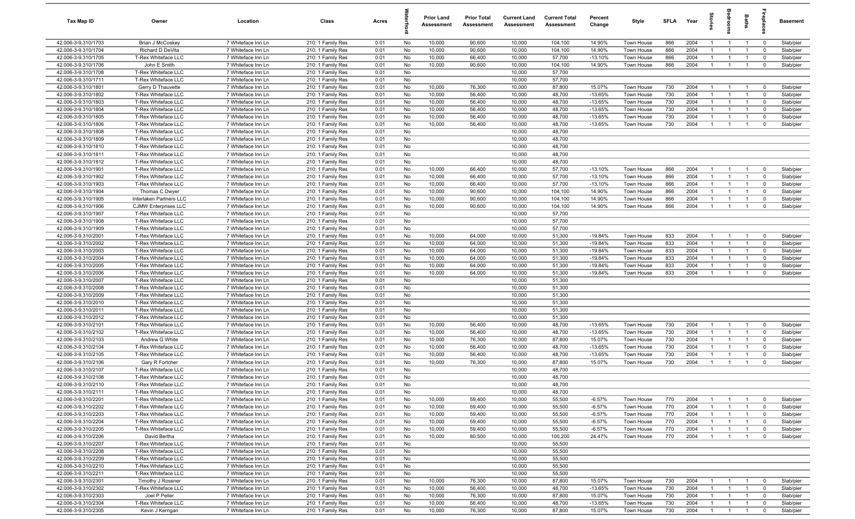| Tax Map ID                                 | Owner                                              | Location                                 | Class                                  | Acres        |          | <b>Prior Land</b><br>Assessment | <b>Prior Total</b><br>Assessment | <b>Current Land</b><br>Assessment | <b>Current Total</b><br>Assessment | Percent<br>Change    | Style                    | <b>SFLA</b> | Year         | $\vec{e}$                      | š                                | Baths                            | repla                      | Basement               |
|--------------------------------------------|----------------------------------------------------|------------------------------------------|----------------------------------------|--------------|----------|---------------------------------|----------------------------------|-----------------------------------|------------------------------------|----------------------|--------------------------|-------------|--------------|--------------------------------|----------------------------------|----------------------------------|----------------------------|------------------------|
| 42.006-3-9.310/1703                        | Brian J McCoskey                                   | 7 Whiteface Inn Ln                       | 210: 1 Family Res                      | 0.01         | No       | 10,000                          | 90,600                           | 10,000                            | 104,100                            | 14.90%               | Town House               | 866         | 2004         | $\mathbf{1}$                   | $\overline{1}$                   | $\overline{1}$                   | $\mathbf 0$                | Slab/pier              |
| 42.006-3-9.310/1704                        | Richard D DeVita                                   | 7 Whiteface Inn Ln                       | 210: 1 Family Res                      | 0.01         | No       | 10,000                          | 90,600                           | 10,000                            | 104,100                            | 14.90%               | Town House               | 866         | 2004         | $\overline{1}$                 |                                  | $\overline{1}$                   | $\mathbf 0$                | Slab/pier              |
| 42.006-3-9.310/1705                        | T-Rex Whiteface LLC                                | 7 Whiteface Inn Ln                       | 210: 1 Family Res                      | 0.01         | No       | 10,000                          | 66,400                           | 10,000                            | 57,700                             | $-13.10%$            | Town House               | 866         | 2004         | $\mathbf{1}$                   | $\mathbf{1}$                     | $\overline{1}$                   | $\mathbf 0$                | Slab/pier              |
| 42.006-3-9.310/1706                        | John E Smith                                       | 7 Whiteface Inn Ln                       | 210: 1 Family Res                      | 0.01         | No       | 10,000                          | 90,600                           | 10,000                            | 104,100                            | 14.90%               | Town House               | 866         | 2004         | -1                             | $\overline{1}$                   |                                  | $\Omega$                   | Slab/pier              |
| 42.006-3-9.310/1708                        | T-Rex Whiteface LLC                                | 7 Whiteface Inn Ln                       | 210: 1 Family Res                      | 0.01         | No       |                                 |                                  | 10,000                            | 57,700                             |                      |                          |             |              |                                |                                  |                                  |                            |                        |
| 42.006-3-9.310/1711                        | T-Rex Whiteface LLC                                | 7 Whiteface Inn Ln                       | 210: 1 Family Res                      | 0.01         | No       |                                 |                                  | 10,000                            | 57,700                             |                      |                          |             |              |                                |                                  |                                  |                            |                        |
| 42.006-3-9.310/1801<br>42.006-3-9.310/1802 | Gerry D Thauvette                                  | 7 Whiteface Inn Ln                       | 210: 1 Family Res<br>210: 1 Family Res | 0.01<br>0.01 | No       | 10,000<br>10,000                | 76,300<br>56,400                 | 10,000                            | 87,800                             | 15.07%<br>$-13.65%$  | Town House               | 730<br>730  | 2004<br>2004 | $\mathbf{1}$<br>$\overline{1}$ | $\overline{1}$<br>$\overline{1}$ | $\overline{1}$<br>$\overline{1}$ | $\mathbf 0$                | Slab/pier              |
| 42.006-3-9.310/1803                        | T-Rex Whiteface LLC<br>T-Rex Whiteface LLC         | 7 Whiteface Inn Ln<br>7 Whiteface Inn Ln | 210: 1 Family Res                      | 0.01         | No<br>No | 10,000                          | 56,400                           | 10,000<br>10,000                  | 48,700<br>48,700                   | $-13.65%$            | Town House<br>Town House | 730         | 2004         | $\overline{1}$                 | $\overline{1}$                   | $\overline{1}$                   | $\mathbf 0$<br>$\mathbf 0$ | Slab/pier<br>Slab/pier |
| 42.006-3-9.310/1804                        | T-Rex Whiteface LLC                                | 7 Whiteface Inn Ln                       | 210: 1 Family Res                      | 0.01         | No       | 10,000                          | 56,400                           | 10,000                            | 48,700                             | $-13.65%$            | Town House               | 730         | 2004         | $\overline{1}$                 | $\overline{1}$                   | $\overline{1}$                   | $\mathbf 0$                | Slab/pier              |
| 42.006-3-9.310/1805                        | T-Rex Whiteface LLC                                | 7 Whiteface Inn Ln                       | 210: 1 Family Res                      | 0.01         | No       | 10,000                          | 56,400                           | 10,000                            | 48,700                             | $-13.65%$            | Town House               | 730         | 2004         | $\overline{1}$                 | $\overline{1}$                   | $\overline{1}$                   | $\mathbf 0$                | Slab/pier              |
| 42.006-3-9.310/1806                        | T-Rex Whiteface LLC                                | 7 Whiteface Inn Ln                       | 210: 1 Family Res                      | 0.01         | No       | 10,000                          | 56,400                           | 10,000                            | 48,700                             | $-13.65%$            | Town House               | 730         | 2004         | $\overline{1}$                 | $\overline{1}$                   | $\overline{1}$                   | $\mathbf 0$                | Slab/pier              |
| 42.006-3-9.310/1808                        | T-Rex Whiteface LLC                                | 7 Whiteface Inn Ln                       | 210: 1 Family Res                      | 0.01         | No       |                                 |                                  | 10,000                            | 48,700                             |                      |                          |             |              |                                |                                  |                                  |                            |                        |
| 42.006-3-9.310/1809                        | T-Rex Whiteface LLC                                | 7 Whiteface Inn Ln                       | 210: 1 Family Res                      | 0.01         | No       |                                 |                                  | 10,000                            | 48,700                             |                      |                          |             |              |                                |                                  |                                  |                            |                        |
| 42.006-3-9.310/1810                        | T-Rex Whiteface LLC                                | 7 Whiteface Inn Ln                       | 210: 1 Family Res                      | 0.01         | No       |                                 |                                  | 10,000                            | 48,700                             |                      |                          |             |              |                                |                                  |                                  |                            |                        |
| 42.006-3-9.310/1811                        | T-Rex Whiteface LLC                                | 7 Whiteface Inn Ln                       | 210: 1 Family Res                      | 0.01         | No       |                                 |                                  | 10,000                            | 48,700                             |                      |                          |             |              |                                |                                  |                                  |                            |                        |
| 42.006-3-9.310/1812                        | T-Rex Whiteface LLC                                | 7 Whiteface Inn Ln                       | 210: 1 Family Res                      | 0.01         | No       |                                 |                                  | 10,000                            | 48,700                             |                      |                          |             |              |                                |                                  |                                  |                            |                        |
| 42.006-3-9.310/1901                        | T-Rex Whiteface LLC                                | 7 Whiteface Inn Ln                       | 210: 1 Family Res                      | 0.01         | No       | 10,000                          | 66,400                           | 10,000                            | 57,700                             | $-13.10%$            | <b>Town House</b>        | 866         | 2004         | $\mathbf{1}$                   | $\mathbf{1}$                     | $\overline{1}$                   | $\mathbf 0$                | Slab/pier              |
| 42.006-3-9.310/1902                        | T-Rex Whiteface LLC                                | 7 Whiteface Inn Ln                       | 210: 1 Family Res                      | 0.01         | No       | 10,000                          | 66,400                           | 10,000                            | 57,700                             | $-13.10%$            | Town House               | 866         | 2004         | $\overline{1}$                 |                                  | $\overline{1}$                   | $\mathbf 0$                | Slab/pier              |
| 42.006-3-9.310/1903                        | T-Rex Whiteface LLC                                | 7 Whiteface Inn Ln                       | 210: 1 Family Res                      | 0.01         | No       | 10,000                          | 66,400                           | 10,000                            | 57,700                             | $-13.10%$            | Town House               | 866         | 2004         | $\overline{1}$                 | $\overline{1}$                   | $\overline{1}$                   | $\mathbf 0$                | Slab/pier              |
| 42.006-3-9.310/1904                        | Thomas C Dwyer                                     | 7 Whiteface Inn Ln                       | 210: 1 Family Res                      | 0.01         | No       | 10,000                          | 90,600                           | 10,000                            | 104,100                            | 14.90%               | Town House               | 866         | 2004         | $\overline{1}$                 | $\mathbf{1}$                     | $\overline{1}$                   | $\mathbf 0$                | Slab/pier              |
| 42.006-3-9.310/1905                        | Interlaken Partners LLC                            | 7 Whiteface Inn Ln                       | 210: 1 Family Res                      | 0.01         | No       | 10,000                          | 90,600                           | 10,000                            | 104,100                            | 14.90%               | Town House               | 866<br>866  | 2004<br>2004 | $\overline{1}$                 | $\overline{1}$                   | $\overline{1}$<br>$\overline{1}$ | $\mathbf 0$                | Slab/pier              |
| 42.006-3-9.310/1906<br>42.006-3-9.310/1907 | <b>CJMW Enterprises LLC</b><br>T-Rex Whiteface LLC | 7 Whiteface Inn Ln<br>7 Whiteface Inn Ln | 210: 1 Family Res<br>210: 1 Family Res | 0.01<br>0.01 | No<br>No | 10,000                          | 90,600                           | 10,000<br>10,000                  | 104,100<br>57,700                  | 14.90%               | Town House               |             |              | $\overline{1}$                 | $\overline{1}$                   |                                  | $\mathbf 0$                | Slab/pier              |
| 42.006-3-9.310/1908                        | T-Rex Whiteface LLC                                | 7 Whiteface Inn Ln                       | 210: 1 Family Res                      | 0.01         | No       |                                 |                                  | 10,000                            | 57,700                             |                      |                          |             |              |                                |                                  |                                  |                            |                        |
| 42.006-3-9.310/1909                        | T-Rex Whiteface LLC                                | 7 Whiteface Inn Ln                       | 210: 1 Family Res                      | 0.01         | No       |                                 |                                  | 10,000                            | 57,700                             |                      |                          |             |              |                                |                                  |                                  |                            |                        |
| 42.006-3-9.310/2001                        | T-Rex Whiteface LLC                                | 7 Whiteface Inn Ln                       | 210: 1 Family Res                      | 0.01         | No       | 10,000                          | 64,000                           | 10,000                            | 51,300                             | $-19.84%$            | Town House               | 833         | 2004         | $\overline{1}$                 | -1                               | $\overline{1}$                   | $\mathbf 0$                | Slab/pier              |
| 42.006-3-9.310/2002                        | T-Rex Whiteface LLC                                | 7 Whiteface Inn Ln                       | 210: 1 Family Res                      | 0.01         | No       | 10,000                          | 64,000                           | 10,000                            | 51,300                             | $-19.84%$            | Town House               | 833         | 2004         | -1                             | $\overline{1}$                   | $\overline{1}$                   | $\mathbf 0$                | Slab/pier              |
| 42.006-3-9.310/2003                        | T-Rex Whiteface LLC                                | 7 Whiteface Inn Ln                       | 210: 1 Family Res                      | 0.01         | No       | 10,000                          | 64,000                           | 10,000                            | 51,300                             | $-19.84%$            | Town House               | 833         | 2004         | -1                             | $\overline{1}$                   | $\overline{1}$                   | $\mathbf 0$                | Slab/pier              |
| 42.006-3-9.310/2004                        | T-Rex Whiteface LLC                                | 7 Whiteface Inn Ln                       | 210: 1 Family Res                      | 0.01         | No       | 10,000                          | 64,000                           | 10,000                            | 51,300                             | $-19.84%$            | <b>Town House</b>        | 833         | 2004         | $\overline{1}$                 |                                  |                                  | $\Omega$                   | Slab/pier              |
| 42.006-3-9.310/2005                        | T-Rex Whiteface LLC                                | 7 Whiteface Inn Ln                       | 210: 1 Family Res                      | 0.01         | No       | 10,000                          | 64,000                           | 10,000                            | 51,300                             | $-19.84%$            | Town House               | 833         | 2004         | -1                             | $\mathbf{1}$                     | $\mathbf{1}$                     | $\mathbf 0$                | Slab/pier              |
| 42.006-3-9.310/2006                        | T-Rex Whiteface LLC                                | 7 Whiteface Inn Ln                       | 210: 1 Family Res                      | 0.01         | No       | 10,000                          | 64,000                           | 10,000                            | 51,300                             | $-19.84%$            | Town House               | 833         | 2004         | $\mathbf{1}$                   | $\overline{1}$                   | $\overline{1}$                   | $\Omega$                   | Slab/pier              |
| 42.006-3-9.310/2007                        | T-Rex Whiteface LLC                                | 7 Whiteface Inn Ln                       | 210: 1 Family Res                      | 0.01         | No       |                                 |                                  | 10,000                            | 51,300                             |                      |                          |             |              |                                |                                  |                                  |                            |                        |
| 42.006-3-9.310/2008                        | T-Rex Whiteface LLC                                | 7 Whiteface Inn Ln                       | 210: 1 Family Res                      | 0.01         | No       |                                 |                                  | 10,000                            | 51,300                             |                      |                          |             |              |                                |                                  |                                  |                            |                        |
| 42.006-3-9.310/2009                        | T-Rex Whiteface LLC                                | 7 Whiteface Inn Ln                       | 210: 1 Family Res                      | 0.01         | No       |                                 |                                  | 10,000                            | 51,300                             |                      |                          |             |              |                                |                                  |                                  |                            |                        |
| 42.006-3-9.310/2010                        | T-Rex Whiteface LLC                                | 7 Whiteface Inn Ln                       | 210: 1 Family Res                      | 0.01         | No       |                                 |                                  | 10,000                            | 51,300                             |                      |                          |             |              |                                |                                  |                                  |                            |                        |
| 42.006-3-9.310/2011<br>42.006-3-9.310/2012 | T-Rex Whiteface LLC<br>T-Rex Whiteface LLC         | 7 Whiteface Inn Ln<br>7 Whiteface Inn Ln | 210: 1 Family Res<br>210: 1 Family Res | 0.01<br>0.01 | No<br>No |                                 |                                  | 10,000<br>10,000                  | 51,300<br>51,300                   |                      |                          |             |              |                                |                                  |                                  |                            |                        |
| 42.006-3-9.310/2101                        | T-Rex Whiteface LLC                                | 7 Whiteface Inn Ln                       | 210: 1 Family Res                      | 0.01         | No       | 10,000                          | 56,400                           | 10,000                            | 48,700                             | $-13.65%$            | Town House               | 730         | 2004         | $\mathbf{1}$                   |                                  | $\overline{1}$                   | $\mathbf 0$                | Slab/pier              |
| 42.006-3-9.310/2102                        | T-Rex Whiteface LLC                                | 7 Whiteface Inn Ln                       | 210: 1 Family Res                      | 0.01         | No       | 10,000                          | 56,400                           | 10,000                            | 48,700                             | $-13.65%$            | Town House               | 730         | 2004         | $\mathbf{1}$                   | $\mathbf{1}$                     | $\overline{1}$                   | $\mathbf 0$                | Slab/pier              |
| 42.006-3-9.310/2103                        | Andrew G White                                     | 7 Whiteface Inn Ln                       | 210: 1 Family Res                      | 0.01         | No       | 10,000                          | 76,300                           | 10,000                            | 87,800                             | 15.07%               | Town House               | 730         | 2004         | -1                             | $\overline{1}$                   | $\overline{1}$                   | $\mathbf 0$                | Slab/pier              |
| 42.006-3-9.310/2104                        | T-Rex Whiteface LLC                                | 7 Whiteface Inn Ln                       | 210: 1 Family Res                      | 0.01         | No       | 10,000                          | 56,400                           | 10,000                            | 48,700                             | $-13.65%$            | Town House               | 730         | 2004         | -1                             | $\overline{1}$                   | $\overline{1}$                   | $\mathbf 0$                | Slab/pier              |
| 42.006-3-9.310/2105                        | T-Rex Whiteface LLC                                | 7 Whiteface Inn Ln                       | 210: 1 Family Res                      | 0.01         | No       | 10,000                          | 56,400                           | 10,000                            | 48,700                             | $-13.65%$            | <b>Town House</b>        | 730         | 2004         | $\mathbf{1}$                   |                                  |                                  | $\Omega$                   | Slab/pier              |
| 42.006-3-9.310/2106                        | Gary R Fortcher                                    | 7 Whiteface Inn Ln                       | 210: 1 Family Res                      | 0.01         | No       | 10,000                          | 76,300                           | 10,000                            | 87,800                             | 15.07%               | Town House               | 730         | 2004         | $\mathbf{1}$                   |                                  | $\mathbf{1}$                     | $\Omega$                   | Slab/pier              |
| 42.006-3-9.310/2107                        | T-Rex Whiteface LLC                                | 7 Whiteface Inn Ln                       | 210: 1 Family Res                      | 0.01         | No       |                                 |                                  | 10,000                            | 48,700                             |                      |                          |             |              |                                |                                  |                                  |                            |                        |
| 42.006-3-9.310/2108                        | T-Rex Whiteface LLC                                | 7 Whiteface Inn Ln                       | 210: 1 Family Res                      | 0.01         | No       |                                 |                                  | 10,000                            | 48,700                             |                      |                          |             |              |                                |                                  |                                  |                            |                        |
| 42.006-3-9.310/2110                        | T-Rex Whiteface LLC                                | 7 Whiteface Inn Ln                       | 210: 1 Family Res                      | 0.01         | No       |                                 |                                  | 10,000                            | 48,700                             |                      |                          |             |              |                                |                                  |                                  |                            |                        |
| 42.006-3-9.310/2111                        | T-Rex Whiteface LLC                                | 7 Whiteface Inn Ln                       | 210: 1 Family Res                      | 0.01         | No       |                                 |                                  | 10,000                            | 48,700                             |                      |                          |             |              |                                |                                  |                                  |                            |                        |
| 42.006-3-9.310/2201                        | T-Rex Whiteface LLC                                | 7 Whiteface Inn Ln                       | 210: 1 Family Res                      | 0.01         | No       | 10,000                          | 59,400                           | 10,000                            | 55,500                             | $-6.57%$             | Town House               | 770         | 2004         | $\overline{1}$                 | $\overline{1}$                   | $\overline{1}$                   | $\mathbf 0$                | Slab/pier              |
| 42.006-3-9.310/2202                        | T-Rex Whiteface LLC                                | 7 Whiteface Inn Ln                       | 210: 1 Family Res                      | 0.01         | No       | 10,000                          | 59,400                           | 10,000                            | 55,500                             | $-6.57%$             | Town House               | 770         | 2004         | $\overline{1}$                 | $\overline{1}$                   | $\overline{1}$                   | $\mathbf 0$                | Slab/pier              |
| 42.006-3-9.310/2203                        | T-Rex Whiteface LLC                                | 7 Whiteface Inn Ln                       | 210: 1 Family Res                      | 0.01         | No       | 10,000                          | 59,400                           | 10,000                            | 55,500                             | $-6.57%$             | Town House               | 770         | 2004         | $\mathbf{1}$<br>$\overline{1}$ | $\overline{1}$<br>$\overline{1}$ | $\mathbf{1}$                     | $\mathbf 0$                | Slab/pier              |
| 42.006-3-9.310/2204<br>42.006-3-9.310/2205 | T-Rex Whiteface LLC<br>T-Rex Whiteface LLC         | 7 Whiteface Inn Ln<br>7 Whiteface Inn Ln | 210: 1 Family Res<br>210: 1 Family Res | 0.01<br>0.01 | No<br>No | 10,000<br>10,000                | 59,400<br>59,400                 | 10,000<br>10,000                  | 55,500<br>55,500                   | $-6.57%$<br>$-6.57%$ | Town House<br>Town House | 770<br>770  | 2004<br>2004 | $\mathbf{1}$                   | $\overline{1}$                   | $\overline{1}$<br>$\mathbf{1}$   | $\mathbf 0$<br>$\mathbf 0$ | Slab/pier<br>Slab/pier |
| 42.006-3-9.310/2206                        | David Bertha                                       | 7 Whiteface Inn Ln                       | 210: 1 Family Res                      | 0.01         | No       | 10,000                          | 80,500                           | 10,000                            | 100,200                            | 24.47%               | Town House               | 770         | 2004         | $\overline{1}$                 | $\overline{1}$                   | $\overline{1}$                   | $\mathbf 0$                | Slab/pier              |
| 42.006-3-9.310/2207                        | T-Rex Whiteface LLC                                | 7 Whiteface Inn Ln                       | 210: 1 Family Res                      | 0.01         | No       |                                 |                                  | 10,000                            | 55,500                             |                      |                          |             |              |                                |                                  |                                  |                            |                        |
| 42.006-3-9.310/2208                        | T-Rex Whiteface LLC                                | 7 Whiteface Inn Ln                       | 210: 1 Family Res                      | 0.01         | No       |                                 |                                  | 10,000                            | 55,500                             |                      |                          |             |              |                                |                                  |                                  |                            |                        |
| 42.006-3-9.310/2209                        | T-Rex Whiteface LLC                                | 7 Whiteface Inn Ln                       | 210: 1 Family Res                      | 0.01         | No       |                                 |                                  | 10,000                            | 55,500                             |                      |                          |             |              |                                |                                  |                                  |                            |                        |
| 42.006-3-9.310/2210                        | T-Rex Whiteface LLC                                | 7 Whiteface Inn Ln                       | 210: 1 Family Res                      | 0.01         | No       |                                 |                                  | 10,000                            | 55,500                             |                      |                          |             |              |                                |                                  |                                  |                            |                        |
| 42.006-3-9.310/2211                        | T-Rex Whiteface LLC                                | 7 Whiteface Inn Ln                       | 210: 1 Family Res                      | 0.01         | No       |                                 |                                  | 10,000                            | 55,500                             |                      |                          |             |              |                                |                                  |                                  |                            |                        |
| 42.006-3-9.310/2301                        | Timothy J Rossner                                  | 7 Whiteface Inn Ln                       | 210: 1 Family Res                      | 0.01         | No       | 10,000                          | 76,300                           | 10,000                            | 87,800                             | 15.07%               | Town House               | 730         | 2004         | $\overline{1}$                 | $\overline{1}$                   | $\overline{1}$                   | $\mathbf 0$                | Slab/pier              |
| 42.006-3-9.310/2302                        | T-Rex Whiteface LLC                                | 7 Whiteface Inn Ln                       | 210: 1 Family Res                      | 0.01         | No       | 10,000                          | 56,400                           | 10,000                            | 48,700                             | $-13.65%$            | Town House               | 730         | 2004         | $\overline{1}$                 | $\overline{1}$                   | $\overline{1}$                   | $\mathbf 0$                | Slab/pier              |
| 42.006-3-9.310/2303                        | Joel P Peller                                      | 7 Whiteface Inn Ln                       | 210: 1 Family Res                      | 0.01         | No       | 10,000                          | 76,300                           | 10,000                            | 87,800                             | 15.07%               | Town House               | 730         | 2004         | $\overline{1}$                 | $\overline{1}$                   | $\overline{1}$                   | $\overline{\mathbf{0}}$    | Slab/pier              |
| 42.006-3-9.310/2304                        | T-Rex Whiteface LLC                                | 7 Whiteface Inn Ln                       | 210: 1 Family Res                      | 0.01         | No       | 10,000                          | 56,400                           | 10,000                            | 48,700                             | $-13.65%$            | Town House               | 730         | 2004         | $\overline{1}$                 | $\overline{1}$                   | $\mathbf{1}$                     | $\mathbf 0$                | Slab/pier              |
| 42.006-3-9.310/2305                        | Kevin J Kerrigan                                   | 7 Whiteface Inn Ln                       | 210: 1 Family Res                      | 0.01         | No       | 10,000                          | 76,300                           | 10,000                            | 87,800                             | 15.07%               | Town House               | 730         | 2004         | $\overline{1}$                 | $\overline{1}$                   | $\overline{1}$                   | $\mathbf 0$                | Slab/pier              |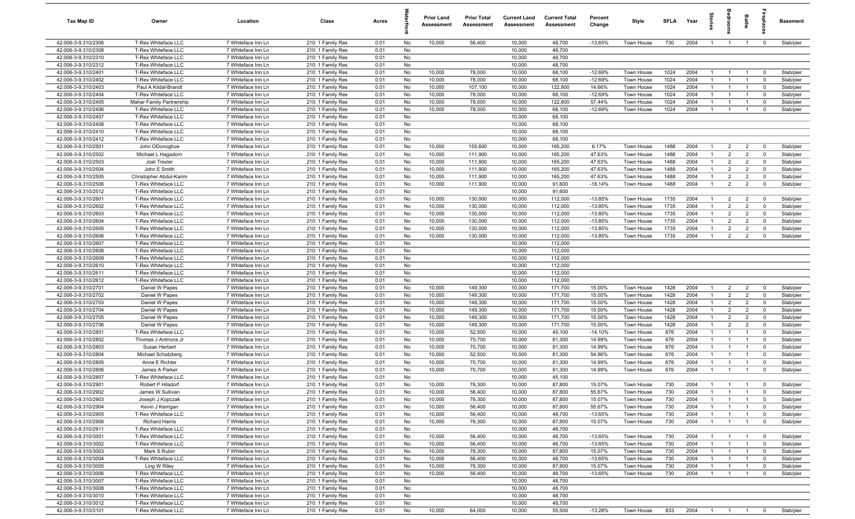| Tax Map ID                                 | Owner                                        | Location                                 | Class                                  | Acres        |          | <b>Prior Land</b><br>Assessment | <b>Prior Total</b><br>Assessment | <b>Current Land</b><br>Assessment | <b>Current Total</b><br>Assessment | Percent<br>Change      | Style                    | <b>SFLA</b>  | Year         | $\vec{e}$                        | groo                             | <b>Baths</b>                     | lrepla                                    | <b>Basement</b>        |
|--------------------------------------------|----------------------------------------------|------------------------------------------|----------------------------------------|--------------|----------|---------------------------------|----------------------------------|-----------------------------------|------------------------------------|------------------------|--------------------------|--------------|--------------|----------------------------------|----------------------------------|----------------------------------|-------------------------------------------|------------------------|
| 42.006-3-9.310/2306                        | T-Rex Whiteface LLC                          | 7 Whiteface Inn Ln                       | 210: 1 Family Res                      | 0.01         | No       | 10,000                          | 56,400                           | 10,000                            | 48,700                             | $-13.65%$              | Town House               | 730          | 2004         | $\overline{1}$                   | $\overline{1}$                   | $\overline{1}$                   | $\overline{\mathbf{0}}$                   | Slab/pier              |
| 42.006-3-9.310/2308                        | T-Rex Whiteface LLC                          | 7 Whiteface Inn Ln                       | 210: 1 Family Res                      | 0.01         | No       |                                 |                                  | 10,000                            | 48,700                             |                        |                          |              |              |                                  |                                  |                                  |                                           |                        |
| 42.006-3-9.310/2310                        | T-Rex Whiteface LLC                          | 7 Whiteface Inn Ln                       | 210: 1 Family Res                      | 0.01         | No       |                                 |                                  | 10,000                            | 48,700                             |                        |                          |              |              |                                  |                                  |                                  |                                           |                        |
| 42.006-3-9.310/2312                        | T-Rex Whiteface LLC                          | 7 Whiteface Inn Ln                       | 210: 1 Family Res                      | 0.01         | No       |                                 |                                  | 10,000                            | 48,700                             |                        |                          |              |              |                                  |                                  |                                  |                                           |                        |
| 42.006-3-9.310/2401                        | T-Rex Whiteface LLC                          | 7 Whiteface Inn Ln                       | 210: 1 Family Res                      | 0.01         | No       | 10,000                          | 78,000                           | 10,000                            | 68,100                             | $-12.69%$              | Town House               | 1024         | 2004         | $\mathbf{1}$                     |                                  |                                  | $^{\circ}$                                | Slab/pier              |
| 42.006-3-9.310/2402                        | T-Rex Whiteface LLC                          | 7 Whiteface Inn Ln                       | 210: 1 Family Res                      | 0.01         | No       | 10,000                          | 78,000                           | 10,000                            | 68,100                             | $-12.69%$              | Town House               | 1024         | 2004         | $\mathbf{1}$<br>$\mathbf{1}$     | $\overline{1}$                   | $\overline{1}$                   | $^{\circ}$                                | Slab/pier              |
| 42.006-3-9.310/2403<br>42.006-3-9.310/2404 | Paul A Kildal-Brandt<br>T-Rex Whiteface LLC  | 7 Whiteface Inn Ln<br>7 Whiteface Inn Ln | 210: 1 Family Res<br>210: 1 Family Res | 0.01<br>0.01 | No<br>No | 10,000<br>10,000                | 107,100<br>78,000                | 10,000<br>10,000                  | 122,800<br>68,100                  | 14.66%<br>$-12.69%$    | Town House<br>Town House | 1024<br>1024 | 2004<br>2004 | $\overline{1}$                   | $\overline{1}$                   | $\overline{1}$                   | $^{\circ}$<br>$\Omega$                    | Slab/pier<br>Slab/pier |
| 42.006-3-9.310/2405                        | <b>Mahar Family Partnership</b>              | 7 Whiteface Inn Ln                       | 210: 1 Family Res                      | 0.01         | No       | 10,000                          | 78,000                           | 10,000                            | 122,800                            | 57.44%                 | Town House               | 1024         | 2004         | $\mathbf{1}$                     | $\overline{1}$                   | $\overline{1}$                   | $\mathbf{0}$                              | Slab/pier              |
| 42.006-3-9.310/2406                        | T-Rex Whiteface LLC                          | 7 Whiteface Inn Ln                       | 210: 1 Family Res                      | 0.01         | No       | 10,000                          | 78,000                           | 10,000                            | 68,100                             | $-12.69%$              | Town House               | 1024         | 2004         | $\overline{1}$                   | $\overline{1}$                   | $\overline{1}$                   | $\Omega$                                  | Slab/pier              |
| 42.006-3-9.310/2407                        | T-Rex Whiteface LLC                          | 7 Whiteface Inn Ln                       | 210: 1 Family Res                      | 0.01         | No       |                                 |                                  | 10,000                            | 68,100                             |                        |                          |              |              |                                  |                                  |                                  |                                           |                        |
| 42.006-3-9.310/2408                        | T-Rex Whiteface LLC                          | 7 Whiteface Inn Ln                       | 210: 1 Family Res                      | 0.01         | No       |                                 |                                  | 10,000                            | 68,100                             |                        |                          |              |              |                                  |                                  |                                  |                                           |                        |
| 42.006-3-9.310/2410                        | T-Rex Whiteface LLC                          | 7 Whiteface Inn Ln                       | 210: 1 Family Res                      | 0.01         | No       |                                 |                                  | 10,000                            | 68,100                             |                        |                          |              |              |                                  |                                  |                                  |                                           |                        |
| 42.006-3-9.310/2412                        | T-Rex Whiteface LLC                          | 7 Whiteface Inn Ln                       | 210: 1 Family Res                      | 0.01         | No       |                                 |                                  | 10,000                            | 68,100                             |                        |                          |              |              |                                  |                                  |                                  |                                           |                        |
| 42.006-3-9.310/2501                        | John ODonoghue                               | 7 Whiteface Inn Ln                       | 210: 1 Family Res                      | 0.01         | No       | 10,000                          | 155,600                          | 10,000                            | 165,200                            | 6.17%                  | Town House               | 1488         | 2004         | $\overline{1}$                   | $\overline{2}$                   | $\overline{2}$                   | $^{\circ}$                                | Slab/pier              |
| 42.006-3-9.310/2502                        | Michael L Hagadorn                           | 7 Whiteface Inn Ln                       | 210: 1 Family Res                      | 0.01         | No       | 10,000                          | 111,900                          | 10,000                            | 165,200                            | 47.63%                 | Town House               | 1488         | 2004         | $\overline{1}$                   | $\overline{2}$                   | $\overline{2}$                   | $^{\circ}$                                | Slab/pier              |
| 42.006-3-9.310/2503                        | Joel Trexler                                 | 7 Whiteface Inn Ln                       | 210: 1 Family Res                      | 0.01         | No       | 10,000                          | 111,900                          | 10,000                            | 165,200                            | 47.63%                 | Town House               | 1488         | 2004         | $\overline{1}$                   | $\overline{2}$                   | $\overline{2}$                   | $^{\circ}$                                | Slab/pier              |
| 42.006-3-9.310/2504                        | John E Smith                                 | 7 Whiteface Inn Ln                       | 210: 1 Family Res                      | 0.01         | No       | 10,000                          | 111,900                          | 10,000                            | 165,200                            | 47.63%                 | Town House               | 1488         | 2004         | $\overline{1}$                   | $\overline{2}$                   | $\overline{2}$                   | $^{\circ}$                                | Slab/pier              |
| 42.006-3-9.310/2505                        | Christopher Abdul-Karim                      | 7 Whiteface Inn Ln                       | 210: 1 Family Res                      | 0.01         | No       | 10,000                          | 111,900                          | 10,000                            | 165,200                            | 47.63%                 | Town House               | 1488         | 2004         | $\overline{1}$                   | $\overline{2}$                   | $\overline{2}$                   | $\Omega$                                  | Slab/pier              |
| 42.006-3-9.310/2506                        | T-Rex Whiteface LLC                          | 7 Whiteface Inn Ln                       | 210: 1 Family Res                      | 0.01         | No       | 10,000                          | 111,900                          | 10,000                            | 91,600                             | $-18.14%$              | Town House               | 1488         | 2004         | $\mathbf{1}$                     | $\overline{2}$                   | $\overline{2}$                   | $^{\circ}$                                | Slab/pier              |
| 42.006-3-9.310/2512                        | T-Rex Whiteface LLC                          | 7 Whiteface Inn Ln                       | 210: 1 Family Res                      | 0.01         | No       |                                 |                                  | 10,000                            | 91,600                             |                        |                          |              |              |                                  |                                  |                                  |                                           |                        |
| 42.006-3-9.310/2601<br>42.006-3-9.310/2602 | T-Rex Whiteface LLC<br>T-Rex Whiteface LLC   | 7 Whiteface Inn Ln<br>7 Whiteface Inn Ln | 210: 1 Family Res<br>210: 1 Family Res | 0.01<br>0.01 | No<br>No | 10,000<br>10,000                | 130,000<br>130,000               | 10,000<br>10,000                  | 112,000<br>112,000                 | $-13.85%$<br>$-13.85%$ | Town House<br>Town House | 1735<br>1735 | 2004<br>2004 | $\overline{1}$<br>$\overline{1}$ | $\overline{2}$<br>$\overline{2}$ | $\overline{2}$<br>$\overline{2}$ | $\mathbf 0$<br>$\overline{0}$             | Slab/pier<br>Slab/pier |
| 42.006-3-9.310/2603                        | T-Rex Whiteface LLC                          | 7 Whiteface Inn Ln                       | 210: 1 Family Res                      | 0.01         | No       | 10,000                          | 130,000                          | 10,000                            | 112,000                            | $-13.85%$              | Town House               | 1735         | 2004         | $\overline{1}$                   | $\overline{2}$                   | $\overline{2}$                   | $^{\circ}$                                | Slab/pier              |
| 42.006-3-9.310/2604                        | T-Rex Whiteface LLC                          | 7 Whiteface Inn Ln                       | 210: 1 Family Res                      | 0.01         | No       | 10,000                          | 130,000                          | 10,000                            | 112,000                            | $-13.85%$              | Town House               | 1735         | 2004         | $\overline{1}$                   | $\overline{2}$                   | $\overline{2}$                   | $^{\circ}$                                | Slab/pier              |
| 42.006-3-9.310/2605                        | T-Rex Whiteface LLC                          | 7 Whiteface Inn Ln                       | 210: 1 Family Res                      | 0.01         | No       | 10,000                          | 130,000                          | 10,000                            | 112,000                            | $-13.85%$              | Town House               | 1735         | 2004         | $\overline{1}$                   | $\overline{2}$                   | $\overline{2}$                   | $^{\circ}$                                | Slab/pier              |
| 42.006-3-9.310/2606                        | T-Rex Whiteface LLC                          | 7 Whiteface Inn Ln                       | 210: 1 Family Res                      | 0.01         | No       | 10,000                          | 130,000                          | 10,000                            | 112,000                            | $-13.85%$              | Town House               | 1735         | 2004         | $\overline{1}$                   | $\overline{2}$                   | $\overline{2}$                   | $\Omega$                                  | Slab/pier              |
| 42.006-3-9.310/2607                        | T-Rex Whiteface LLC                          | 7 Whiteface Inn Ln                       | 210: 1 Family Res                      | 0.01         | No       |                                 |                                  | 10,000                            | 112,000                            |                        |                          |              |              |                                  |                                  |                                  |                                           |                        |
| 42.006-3-9.310/2608                        | T-Rex Whiteface LLC                          | 7 Whiteface Inn Ln                       | 210: 1 Family Res                      | 0.01         | No       |                                 |                                  | 10,000                            | 112,000                            |                        |                          |              |              |                                  |                                  |                                  |                                           |                        |
| 42.006-3-9.310/2609                        | T-Rex Whiteface LLC                          | 7 Whiteface Inn Ln                       | 210: 1 Family Res                      | 0.01         | No       |                                 |                                  | 10,000                            | 112,000                            |                        |                          |              |              |                                  |                                  |                                  |                                           |                        |
| 42.006-3-9.310/2610                        | T-Rex Whiteface LLC                          | 7 Whiteface Inn Ln                       | 210: 1 Family Res                      | 0.01         | No       |                                 |                                  | 10,000                            | 112,000                            |                        |                          |              |              |                                  |                                  |                                  |                                           |                        |
| 42.006-3-9.310/2611                        | T-Rex Whiteface LLC                          | 7 Whiteface Inn Ln                       | 210: 1 Family Res                      | 0.01         | No       |                                 |                                  | 10,000                            | 112,000                            |                        |                          |              |              |                                  |                                  |                                  |                                           |                        |
| 42.006-3-9.310/2612                        | T-Rex Whiteface LLC                          | 7 Whiteface Inn Ln                       | 210: 1 Family Res                      | 0.01         | No       |                                 |                                  | 10,000                            | 112,000                            |                        |                          |              |              |                                  |                                  |                                  |                                           |                        |
| 42.006-3-9.310/2701                        | Daniel W Papes                               | 7 Whiteface Inn Ln                       | 210: 1 Family Res                      | 0.01         | No       | 10,000                          | 149,300                          | 10,000                            | 171,700                            | 15.00%                 | Town House               | 1428         | 2004         | $\overline{1}$                   | $\overline{2}$                   | $\overline{2}$                   | $^{\circ}$                                | Slab/pier              |
| 42.006-3-9.310/2702                        | Daniel W Papes                               | 7 Whiteface Inn Ln                       | 210: 1 Family Res                      | 0.01         | No       | 10,000                          | 149,300                          | 10,000                            | 171,700                            | 15.00%                 | Town House               | 1428         | 2004         | $\overline{1}$                   | $\overline{2}$                   | $\overline{2}$                   | $\mathbf 0$                               | Slab/pier              |
| 42.006-3-9.310/2703                        | Daniel W Papes                               | 7 Whiteface Inn Ln                       | 210: 1 Family Res                      | 0.01<br>0.01 | No<br>No | 10,000                          | 149,300                          | 10,000                            | 171,700                            | 15.00%                 | Town House               | 1428<br>1428 | 2004<br>2004 | $\overline{1}$<br>$\overline{1}$ | $\overline{2}$<br>$\overline{2}$ | $\overline{2}$<br>$\overline{2}$ | $\mathbf 0$<br>$\overline{0}$             | Slab/pier              |
| 42.006-3-9.310/2704<br>42.006-3-9.310/2705 | Daniel W Papes<br>Daniel W Papes             | 7 Whiteface Inn Ln<br>7 Whiteface Inn Ln | 210: 1 Family Res<br>210: 1 Family Res | 0.01         | No       | 10,000<br>10,000                | 149,300<br>149,300               | 10,000<br>10,000                  | 171,700<br>171,700                 | 15.00%<br>15.00%       | Town House<br>Town House | 1428         | 2004         | $\overline{1}$                   | $\overline{2}$                   | $\overline{2}$                   | $^{\circ}$                                | Slab/pier<br>Slab/pier |
| 42.006-3-9.310/2706                        | Daniel W Papes                               | 7 Whiteface Inn Ln                       | 210: 1 Family Res                      | 0.01         | No       | 10,000                          | 149,300                          | 10,000                            | 171,700                            | 15.00%                 | Town House               | 1428         | 2004         | $\overline{1}$                   | $\overline{2}$                   | $\overline{2}$                   | $^{\circ}$                                | Slab/pier              |
| 42.006-3-9.310/2801                        | T-Rex Whiteface LLC                          | 7 Whiteface Inn Ln                       | 210: 1 Family Res                      | 0.01         | No       | 10,000                          | 52,500                           | 10,000                            | 45,100                             | $-14.10%$              | Town House               | 676          | 2004         | $\overline{1}$                   | $\overline{1}$                   | $\overline{1}$                   | $\overline{0}$                            | Slab/pier              |
| 42.006-3-9.310/2802                        | Thomas J Antinora Jr                         | 7 Whiteface Inn Ln                       | 210: 1 Family Res                      | 0.01         | No       | 10,000                          | 70,700                           | 10,000                            | 81,300                             | 14.99%                 | Town House               | 676          | 2004         | $\overline{1}$                   | $\overline{1}$                   | $\overline{1}$                   | $\mathbf 0$                               | Slab/pier              |
| 42.006-3-9.310/2803                        | Susan Herbert                                | 7 Whiteface Inn Ln                       | 210: 1 Family Res                      | 0.01         | No       | 10,000                          | 70,700                           | 10,000                            | 81,300                             | 14.99%                 | Town House               | 676          | 2004         | -1                               | $\overline{1}$                   | $\overline{1}$                   | $^{\circ}$                                | Slab/pier              |
| 42.006-3-9.310/2804                        | Michael Schatzberg                           | 7 Whiteface Inn Ln                       | 210: 1 Family Res                      | 0.01         | No       | 10,000                          | 52,500                           | 10,000                            | 81,300                             | 54.86%                 | Town House               | 676          | 2004         | $\overline{1}$                   |                                  |                                  | $\Omega$                                  | Slab/pier              |
| 42.006-3-9.310/2805                        | Anne E Richter                               | 7 Whiteface Inn Ln                       | 210: 1 Family Res                      | 0.01         | No       | 10,000                          | 70,700                           | 10,000                            | 81,300                             | 14.99%                 | Town House               | 676          | 2004         | -1                               |                                  | $\mathbf{1}$                     | $\Omega$                                  | Slab/pier              |
| 42.006-3-9.310/2806                        | James A Parker                               | 7 Whiteface Inn Ln                       | 210: 1 Family Res                      | 0.01         | No       | 10,000                          | 70,700                           | 10,000                            | 81,300                             | 14.99%                 | Town House               | 676          | 2004         | -1                               |                                  |                                  | $\Omega$                                  | Slab/pier              |
| 42.006-3-9.310/2807                        | <b>T-Rex Whiteface LLC</b>                   | 7 Whiteface Inn Ln                       | 210: 1 Family Res                      | 0.01         | No       |                                 |                                  | 10,000                            | 45,100                             |                        |                          |              |              |                                  |                                  |                                  |                                           |                        |
| 42.006-3-9.310/2901                        | Robert P Hilsdorf                            | 7 Whiteface Inn Ln                       | 210: 1 Family Res                      | 0.01         | No       | 10,000                          | 76,300                           | 10,000                            | 87,800                             | 15.07%                 | Town House               | 730          | 2004         | $\overline{1}$                   | $\overline{1}$                   |                                  |                                           | Slab/pier              |
| 42.006-3-9.310/2902                        | James W Sullivan                             | 7 Whiteface Inn Ln                       | 210: 1 Family Res                      | 0.01         | No       | 10,000                          | 56,400                           | 10,000                            | 87,800                             | 55.67%                 | Town House               | 730          | 2004         | $\overline{1}$                   | $\overline{1}$                   | $\overline{1}$                   | $\mathbf 0$                               | Slab/pier              |
| 42.006-3-9.310/2903                        | Joseph J Kopczak                             | 7 Whiteface Inn Ln                       | 210: 1 Family Res                      | 0.01         | No       | 10,000                          | 76,300                           | 10,000                            | 87,800                             | 15.07%                 | Town House               | 730          | 2004         | $\overline{1}$                   |                                  | $\overline{1}$                   | $^{\circ}$                                | Slab/pier              |
| 42.006-3-9.310/2904                        | Kevin J Kerrigan                             | 7 Whiteface Inn Ln                       | 210: 1 Family Res                      | 0.01         | No       | 10,000                          | 56,400                           | 10,000                            | 87,800                             | 55.67%                 | Town House               | 730          | 2004         | $\overline{1}$                   | $\overline{1}$                   | $\overline{1}$                   | $^{\circ}$                                | Slab/pier              |
| 42.006-3-9.310/2905                        | T-Rex Whiteface LLC                          | 7 Whiteface Inn Ln                       | 210: 1 Family Res                      | 0.01         | No       | 10,000                          | 56,400                           | 10,000                            | 48,700                             | $-13.65%$              | Town House               | 730          | 2004         | $\overline{1}$<br>$\overline{1}$ | $\overline{1}$                   | $\overline{1}$                   | $\overline{\mathbf{0}}$<br>$\overline{0}$ | Slab/pier              |
| 42.006-3-9.310/2906<br>42.006-3-9.310/2911 | <b>Richard Harris</b><br>T-Rex Whiteface LLC | 7 Whiteface Inn Ln<br>7 Whiteface Inn Ln | 210: 1 Family Res<br>210: 1 Family Res | 0.01<br>0.01 | No<br>No | 10,000                          | 76,300                           | 10,000<br>10,000                  | 87,800<br>48,700                   | 15.07%                 | Town House               | 730          | 2004         |                                  | $\overline{1}$                   | $\overline{1}$                   |                                           | Slab/pier              |
| 42.006-3-9.310/3001                        | T-Rex Whiteface LLC                          | 7 Whiteface Inn Ln                       | 210: 1 Family Res                      | 0.01         | No       | 10,000                          | 56,400                           | 10,000                            | 48,700                             | $-13.65%$              | Town House               | 730          | 2004         | $\mathbf{1}$                     | -1                               | $\overline{1}$                   | $\mathbf 0$                               | Slab/pier              |
| 42.006-3-9.310/3002                        | T-Rex Whiteface LLC                          | 7 Whiteface Inn Ln                       | 210: 1 Family Res                      | 0.01         | No       | 10,000                          | 56,400                           | 10,000                            | 48,700                             | $-13.65%$              | Town House               | 730          | 2004         |                                  | $\overline{1}$                   | $\overline{1}$                   | $\mathbf 0$                               | Slab/pier              |
| 42.006-3-9.310/3003                        | Mark S Rubin                                 | 7 Whiteface Inn Ln                       | 210: 1 Family Res                      | 0.01         | No       | 10,000                          | 76,300                           | 10,000                            | 87,800                             | 15.07%                 | Town House               | 730          | 2004         | -1                               |                                  | $\mathbf{1}$                     | $\mathbf 0$                               | Slab/pier              |
| 42.006-3-9.310/3004                        | T-Rex Whiteface LLC                          | 7 Whiteface Inn Ln                       | 210: 1 Family Res                      | 0.01         | No       | 10,000                          | 56,400                           | 10,000                            | 48,700                             | $-13.65%$              | Town House               | 730          | 2004         | -1                               | $\overline{1}$                   | $\overline{1}$                   | $\mathbf{0}$                              | Slab/pier              |
| 42.006-3-9.310/3005                        | Ling W Riley                                 | 7 Whiteface Inn Ln                       | 210: 1 Family Res                      | 0.01         | No       | 10,000                          | 76,300                           | 10,000                            | 87,800                             | 15.07%                 | Town House               | 730          | 2004         | $\mathbf{1}$                     |                                  | $\overline{1}$                   | $\mathbf 0$                               | Slab/pier              |
| 42.006-3-9.310/3006                        | T-Rex Whiteface LLC                          | 7 Whiteface Inn Ln                       | 210: 1 Family Res                      | 0.01         | No       | 10,000                          | 56,400                           | 10,000                            | 48,700                             | $-13.65%$              | Town House               | 730          | 2004         | $\overline{1}$                   | $\overline{1}$                   | $\overline{1}$                   | $\mathbf 0$                               | Slab/pier              |
| 42.006-3-9.310/3007                        | T-Rex Whiteface LLC                          | 7 Whiteface Inn Ln                       | 210: 1 Family Res                      | 0.01         | No       |                                 |                                  | 10,000                            | 48,700                             |                        |                          |              |              |                                  |                                  |                                  |                                           |                        |
| 42.006-3-9.310/3008                        | T-Rex Whiteface LLC                          | 7 Whiteface Inn Ln                       | 210: 1 Family Res                      | 0.01         | No       |                                 |                                  | 10,000                            | 48,700                             |                        |                          |              |              |                                  |                                  |                                  |                                           |                        |
| 42.006-3-9.310/3010                        | T-Rex Whiteface LLC                          | 7 Whiteface Inn Ln                       | 210: 1 Family Res                      | 0.01         | No       |                                 |                                  | 10,000                            | 48,700                             |                        |                          |              |              |                                  |                                  |                                  |                                           |                        |
| 42.006-3-9.310/3012                        | T-Rex Whiteface LLC                          | 7 Whiteface Inn Ln                       | 210: 1 Family Res                      | 0.01         | No       |                                 |                                  | 10,000                            | 48,700                             |                        |                          |              |              |                                  |                                  |                                  |                                           |                        |
| 42.006-3-9.310/3101                        | T-Rex Whiteface LLC                          | 7 Whiteface Inn Ln                       | 210: 1 Family Res                      | 0.01         | No       | 10,000                          | 64,000                           | 10,000                            | 55,500                             | $-13.28%$              | Town House               | 833          | 2004         | $\overline{1}$                   | $1 \quad 1$                      |                                  | $\overline{\mathbf{0}}$                   | Slab/pier              |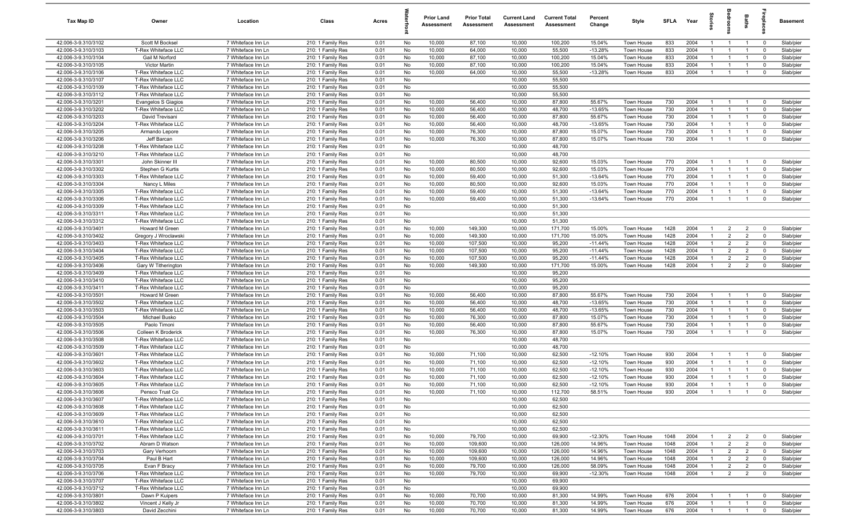| Tax Map ID                                 | Owner                                      | Location                                 | Class                                  | Acres        |          | <b>Prior Land</b><br>Assessment | <b>Prior Total</b><br>Assessment | <b>Current Land</b><br>Assessment | <b>Current Total</b><br>Assessment | Percent<br>Change   | Style                    | <b>SFLA</b> | Year         | g                              |                    | Baths                 | å                          | <b>Basement</b>        |
|--------------------------------------------|--------------------------------------------|------------------------------------------|----------------------------------------|--------------|----------|---------------------------------|----------------------------------|-----------------------------------|------------------------------------|---------------------|--------------------------|-------------|--------------|--------------------------------|--------------------|-----------------------|----------------------------|------------------------|
| 42.006-3-9.310/3102                        | Scott M Bocksel                            | 7 Whiteface Inn Ln                       | 210: 1 Family Res                      | 0.01         | No       | 10,000                          | 87,100                           | 10,000                            | 100,200                            | 15.04%              | Town House               | 833         | 2004         | $\mathbf{1}$                   | $\overline{1}$     | $\overline{1}$        | $\overline{\mathbf{0}}$    | Slab/pier              |
| 42.006-3-9.310/3103                        | T-Rex Whiteface LLC                        | 7 Whiteface Inn Ln                       | 210: 1 Family Res                      | 0.01         | No       | 10,000                          | 64,000                           | 10,000                            | 55,500                             | $-13.28%$           | Town House               | 833         | 2004         | -1                             | $\mathbf{1}$       | $\overline{1}$        | $\mathbf 0$                | Slab/pier              |
| 42.006-3-9.310/3104                        | Gail M Norford                             | 7 Whiteface Inn Ln                       | 210: 1 Family Res                      | 0.01         | No       | 10,000                          | 87,100                           | 10,000                            | 100,200                            | 15.04%              | Town House               | 833         | 2004         | $\mathbf{1}$                   | -1                 | $\overline{1}$        | $\mathbf 0$                | Slab/pier              |
| 42.006-3-9.310/3105                        | Victor Martin                              | 7 Whiteface Inn Ln                       | 210: 1 Family Res                      | 0.01         | No       | 10,000                          | 87,100                           | 10,000                            | 100,200                            | 15.04%              | Town House               | 833         | 2004         | $\mathbf{1}$                   |                    |                       | $\mathbf 0$                | Slab/pier              |
| 42.006-3-9.310/3106                        | T-Rex Whiteface LLC                        | 7 Whiteface Inn Ln                       | 210: 1 Family Res                      | 0.01         | No       | 10,000                          | 64,000                           | 10,000                            | 55,500                             | $-13.28%$           | Town House               | 833         | 2004         | -1                             | $\overline{1}$     | $\overline{1}$        | $\mathbf 0$                | Slab/pier              |
| 42.006-3-9.310/3107                        | T-Rex Whiteface LLC                        | 7 Whiteface Inn Ln                       | 210: 1 Family Res                      | 0.01         | No       |                                 |                                  | 10,000                            | 55,500                             |                     |                          |             |              |                                |                    |                       |                            |                        |
| 42.006-3-9.310/3109                        | T-Rex Whiteface LLC                        | 7 Whiteface Inn Ln                       | 210: 1 Family Res                      | 0.01         | No       |                                 |                                  | 10,000                            | 55,500                             |                     |                          |             |              |                                |                    |                       |                            |                        |
| 42.006-3-9.310/3112                        | T-Rex Whiteface LLC                        | 7 Whiteface Inn Ln                       | 210: 1 Family Res                      | 0.01         | No       |                                 |                                  | 10,000                            | 55,500                             |                     |                          |             |              |                                |                    |                       |                            |                        |
| 42.006-3-9.310/3201                        | Evangelos S Giagios                        | 7 Whiteface Inn Ln                       | 210: 1 Family Res                      | 0.01         | No       | 10,000                          | 56,400                           | 10,000                            | 87,800                             | 55.67%              | Town House               | 730         | 2004         | $\overline{1}$                 | $\overline{1}$     | $\overline{1}$        | $\mathbf 0$                | Slab/pier              |
| 42.006-3-9.310/3202                        | T-Rex Whiteface LLC                        | 7 Whiteface Inn Ln                       | 210: 1 Family Res                      | 0.01         | No       | 10,000                          | 56,400                           | 10,000                            | 48,700                             | $-13.65%$           | Town House               | 730         | 2004         | $\overline{1}$                 | $\mathbf{1}$       | $\overline{1}$        | $\mathbf 0$                | Slab/pier              |
| 42.006-3-9.310/3203                        | David Trevisani                            | 7 Whiteface Inn Ln                       | 210: 1 Family Res                      | 0.01         | No       | 10,000                          | 56,400                           | 10,000                            | 87,800                             | 55.67%              | Town House               | 730         | 2004         | $\overline{1}$                 | $\overline{1}$     | $\overline{1}$        | $\mathbf 0$                | Slab/pier              |
| 42.006-3-9.310/3204                        | T-Rex Whiteface LLC                        | 7 Whiteface Inn Ln                       | 210: 1 Family Res                      | 0.01         | No       | 10,000                          | 56,400                           | 10,000                            | 48,700                             | $-13.65%$           | Town House               | 730         | 2004         | $\overline{1}$                 | $\overline{1}$     | $\overline{1}$        | $\mathbf 0$                | Slab/pier              |
| 42.006-3-9.310/3205                        | Armando Lepore                             | 7 Whiteface Inn Ln                       | 210: 1 Family Res                      | 0.01         | No       | 10,000                          | 76,300                           | 10,000                            | 87,800                             | 15.07%              | Town House               | 730         | 2004         | $\overline{1}$                 | $\mathbf{1}$       | $\overline{1}$        | $\mathbf 0$                | Slab/pier              |
| 42.006-3-9.310/3206                        | Jeff Barcan                                | 7 Whiteface Inn Ln                       | 210: 1 Family Res                      | 0.01         | No       | 10,000                          | 76,300                           | 10,000                            | 87,800                             | 15.07%              | Town House               | 730         | 2004         | $\mathbf{1}$                   | $\mathbf{1}$       | $\overline{1}$        | $\mathbf 0$                | Slab/pier              |
| 42.006-3-9.310/3208                        | T-Rex Whiteface LLC                        | 7 Whiteface Inn Ln                       | 210: 1 Family Res                      | 0.01         | No       |                                 |                                  | 10,000                            | 48,700                             |                     |                          |             |              |                                |                    |                       |                            |                        |
| 42.006-3-9.310/3210                        | T-Rex Whiteface LLC                        | 7 Whiteface Inn Ln                       | 210: 1 Family Res                      | 0.01         | No       |                                 |                                  | 10,000                            | 48,700                             |                     |                          |             |              |                                |                    |                       |                            |                        |
| 42.006-3-9.310/3301                        | John Skinner III                           | 7 Whiteface Inn Ln                       | 210: 1 Family Res                      | 0.01         | No       | 10,000                          | 80,500                           | 10,000                            | 92,600                             | 15.03%              | <b>Town House</b>        | 770         | 2004         |                                | $\overline{1}$     | -1                    | $\mathbf 0$                | Slab/pier              |
| 42.006-3-9.310/3302                        | Stephen G Kurtis                           | 7 Whiteface Inn Ln                       | 210: 1 Family Res                      | 0.01         | No       | 10,000                          | 80,500                           | 10,000                            | 92,600                             | 15.03%              | Town House               | 770<br>770  | 2004         |                                | -1                 | $\mathbf{1}$          | $\mathbf 0$                | Slab/pier              |
| 42.006-3-9.310/3303<br>42.006-3-9.310/3304 | T-Rex Whiteface LLC                        | 7 Whiteface Inn Ln                       | 210: 1 Family Res                      | 0.01         | No<br>No | 10,000<br>10,000                | 59,400<br>80,500                 | 10,000<br>10,000                  | 51,300<br>92,600                   | $-13.64%$<br>15.03% | Town House               | 770         | 2004<br>2004 | $\mathbf{1}$<br>$\overline{1}$ | $\mathbf{1}$<br>-1 | - 1<br>$\overline{1}$ | $\mathbf 0$<br>$\mathbf 0$ | Slab/pier              |
|                                            | Nancy L Miles                              | 7 Whiteface Inn Ln                       | 210: 1 Family Res                      | 0.01         | No       | 10,000                          | 59,400                           | 10,000                            | 51,300                             | $-13.64%$           | Town House               | 770         | 2004         | $\overline{1}$                 | $\overline{1}$     | $\overline{1}$        | $\mathbf 0$                | Slab/pier              |
| 42.006-3-9.310/3305<br>42.006-3-9.310/3306 | T-Rex Whiteface LLC<br>T-Rex Whiteface LLC | 7 Whiteface Inn Ln<br>7 Whiteface Inn Ln | 210: 1 Family Res                      | 0.01<br>0.01 | No       | 10,000                          | 59,400                           | 10,000                            | 51,300                             | $-13.64%$           | Town House<br>Town House | 770         | 2004         | $\overline{1}$                 | $\overline{1}$     | $\overline{1}$        | $\mathbf 0$                | Slab/pier<br>Slab/pier |
| 42.006-3-9.310/3309                        | T-Rex Whiteface LLC                        | 7 Whiteface Inn Ln                       | 210: 1 Family Res<br>210: 1 Family Res | 0.01         | No       |                                 |                                  | 10,000                            | 51,300                             |                     |                          |             |              |                                |                    |                       |                            |                        |
| 42.006-3-9.310/3311                        | T-Rex Whiteface LLC                        | 7 Whiteface Inn Ln                       | 210: 1 Family Res                      | 0.01         | No       |                                 |                                  | 10,000                            | 51,300                             |                     |                          |             |              |                                |                    |                       |                            |                        |
| 42.006-3-9.310/3312                        | T-Rex Whiteface LLC                        | 7 Whiteface Inn Ln                       | 210: 1 Family Res                      | 0.01         | No       |                                 |                                  | 10,000                            | 51,300                             |                     |                          |             |              |                                |                    |                       |                            |                        |
| 42.006-3-9.310/3401                        | Howard M Green                             | 7 Whiteface Inn Ln                       | 210: 1 Family Res                      | 0.01         | No       | 10,000                          | 149,300                          | 10,000                            | 171,700                            | 15.00%              | Town House               | 1428        | 2004         | -1                             | $\overline{2}$     | $\overline{2}$        | $\overline{0}$             | Slab/pier              |
| 42.006-3-9.310/3402                        | Gregory J Wroclawski                       | 7 Whiteface Inn Ln                       | 210: 1 Family Res                      | 0.01         | No       | 10,000                          | 149,300                          | 10,000                            | 171,700                            | 15.00%              | Town House               | 1428        | 2004         | -1                             | $\overline{2}$     | $\overline{2}$        | $\mathbf 0$                | Slab/pier              |
| 42.006-3-9.310/3403                        | T-Rex Whiteface LLC                        | 7 Whiteface Inn Ln                       | 210: 1 Family Res                      | 0.01         | No       | 10,000                          | 107,500                          | 10,000                            | 95,200                             | $-11.44%$           | Town House               | 1428        | 2004         | $\overline{1}$                 | $\overline{2}$     | $\overline{2}$        | $\mathbf 0$                | Slab/pier              |
| 42.006-3-9.310/3404                        | T-Rex Whiteface LLC                        | 7 Whiteface Inn Ln                       | 210: 1 Family Res                      | 0.01         | No       | 10,000                          | 107,500                          | 10,000                            | 95,200                             | $-11.44%$           | Town House               | 1428        | 2004         | $\mathbf{1}$                   | $\overline{2}$     | $\overline{2}$        | $\mathbf 0$                | Slab/pier              |
| 42.006-3-9.310/3405                        | T-Rex Whiteface LLC                        | 7 Whiteface Inn Ln                       | 210: 1 Family Res                      | 0.01         | No       | 10,000                          | 107,500                          | 10,000                            | 95,200                             | $-11.44%$           | Town House               | 1428        | 2004         |                                | $\overline{2}$     | $\overline{2}$        | $\mathbf 0$                | Slab/pier              |
| 42.006-3-9.310/3406                        | Gary W Titherington                        | 7 Whiteface Inn Ln                       | 210: 1 Family Res                      | 0.01         | No       | 10,000                          | 149,300                          | 10,000                            | 171,700                            | 15.00%              | Town House               | 1428        | 2004         | $\mathbf{1}$                   | $\overline{2}$     | $\overline{2}$        | $\mathbf 0$                | Slab/pier              |
| 42.006-3-9.310/3409                        | T-Rex Whiteface LLC                        | 7 Whiteface Inn Ln                       | 210: 1 Family Res                      | 0.01         | No       |                                 |                                  | 10,000                            | 95,200                             |                     |                          |             |              |                                |                    |                       |                            |                        |
| 42.006-3-9.310/3410                        | T-Rex Whiteface LLC                        | 7 Whiteface Inn Ln                       | 210: 1 Family Res                      | 0.01         | No       |                                 |                                  | 10,000                            | 95,200                             |                     |                          |             |              |                                |                    |                       |                            |                        |
| 42.006-3-9.310/3411                        | T-Rex Whiteface LLC                        | 7 Whiteface Inn Ln                       | 210: 1 Family Res                      | 0.01         | No       |                                 |                                  | 10,000                            | 95,200                             |                     |                          |             |              |                                |                    |                       |                            |                        |
| 42.006-3-9.310/3501                        | Howard M Green                             | 7 Whiteface Inn Ln                       | 210: 1 Family Res                      | 0.01         | No       | 10,000                          | 56,400                           | 10,000                            | 87,800                             | 55.67%              | Town House               | 730         | 2004         | $\overline{1}$                 | $\overline{1}$     | $\overline{1}$        | $\mathbf 0$                | Slab/pier              |
| 42.006-3-9.310/3502                        | T-Rex Whiteface LLC                        | 7 Whiteface Inn Ln                       | 210: 1 Family Res                      | 0.01         | No       | 10,000                          | 56,400                           | 10,000                            | 48,700                             | $-13.65%$           | Town House               | 730         | 2004         | $\overline{1}$                 | $\overline{1}$     | $\overline{1}$        | $\mathbf 0$                | Slab/pier              |
| 42.006-3-9.310/3503                        | T-Rex Whiteface LLC                        | 7 Whiteface Inn Ln                       | 210: 1 Family Res                      | 0.01         | No       | 10,000                          | 56,400                           | 10,000                            | 48,700                             | $-13.65%$           | Town House               | 730         | 2004         | $\overline{1}$                 | $\overline{1}$     | $\overline{1}$        | $\mathbf 0$                | Slab/pier              |
| 42.006-3-9.310/3504                        | Michael Busko                              | 7 Whiteface Inn Ln                       | 210: 1 Family Res                      | 0.01         | No       | 10,000                          | 76,300                           | 10,000                            | 87,800                             | 15.07%              | Town House               | 730         | 2004         | $\overline{1}$                 | $\mathbf{1}$       | $\overline{1}$        | $\mathbf 0$                | Slab/pier              |
| 42.006-3-9.310/3505                        | Paolo Timoni                               | 7 Whiteface Inn Ln                       | 210: 1 Family Res                      | 0.01         | No       | 10,000                          | 56,400                           | 10,000                            | 87,800                             | 55.67%              | Town House               | 730         | 2004         | -1                             | $\mathbf{1}$       | -1                    | $\mathbf 0$                | Slab/pier              |
| 42.006-3-9.310/3506                        | Colleen K Broderick                        | 7 Whiteface Inn Ln                       | 210: 1 Family Res                      | 0.01         | No       | 10,000                          | 76,300                           | 10,000                            | 87,800                             | 15.07%              | Town House               | 730         | 2004         | $\overline{1}$                 | $\overline{1}$     | $\overline{1}$        | $\mathbf 0$                | Slab/pier              |
| 42.006-3-9.310/3508                        | T-Rex Whiteface LLC                        | 7 Whiteface Inn Ln                       | 210: 1 Family Res                      | 0.01         | No       |                                 |                                  | 10,000                            | 48,700                             |                     |                          |             |              |                                |                    |                       |                            |                        |
| 42.006-3-9.310/3509                        | T-Rex Whiteface LLC                        | 7 Whiteface Inn Ln                       | 210: 1 Family Res                      | 0.01         | No       |                                 |                                  | 10,000                            | 48,700                             |                     |                          |             |              |                                |                    |                       |                            |                        |
| 42.006-3-9.310/3601                        | T-Rex Whiteface LLC                        | 7 Whiteface Inn Ln                       | 210: 1 Family Res                      | 0.01         | No       | 10,000                          | 71,100                           | 10,000                            | 62,500                             | $-12.10%$           | Town House               | 930         | 2004         |                                | $\overline{1}$     | $\overline{1}$        | $\mathbf 0$                | Slab/pier              |
| 42.006-3-9.310/3602                        | T-Rex Whiteface LLC                        | 7 Whiteface Inn Ln                       | 210: 1 Family Res                      | 0.01         | No       | 10,000                          | 71,100                           | 10,000                            | 62,500                             | $-12.10%$           | Town House               | 930         | 2004         |                                | $\mathbf{1}$       | -1                    | $\mathbf 0$                | Slab/pier              |
| 42.006-3-9.310/3603                        | T-Rex Whiteface LLC                        | 7 Whiteface Inn Ln                       | 210: 1 Family Res                      | 0.01         | No       | 10,000                          | 71,100                           | 10,000                            | 62,500                             | $-12.10%$           | Town House               | 930         | 2004         | -1                             | $\overline{1}$     |                       | $\mathbf 0$                | Slab/pier              |
| 42.006-3-9.310/3604                        | T-Rex Whiteface LLC                        | 7 Whiteface Inn Ln                       | 210: 1 Family Res                      | 0.01         | No       | 10,000                          | 71,100                           | 10,000                            | 62,500                             | $-12.10%$           | Town House               | 930         | 2004         | $\mathbf{1}$                   | $\overline{1}$     | $\overline{1}$        | $\mathbf 0$                | Slab/pier              |
| 42.006-3-9.310/3605                        | T-Rex Whiteface LLC                        | 7 Whiteface Inn Ln                       | 210: 1 Family Res                      | 0.01         | No       | 10,000                          | 71,100                           | 10,000                            | 62,500                             | $-12.10%$           | <b>Town House</b>        | 930         | 2004         |                                | 1                  |                       |                            | Slab/pier              |
| 42.006-3-9.310/3606<br>42.006-3-9.310/3607 | Pensco Trust Co                            | 7 Whiteface Inn Ln                       | 210: 1 Family Res                      | 0.01         | No       | 10,000                          | 71,100                           | 10,000                            | 112,700                            | 58.51%              | Town House               | 930         | 2004         | $\overline{1}$                 | $\overline{1}$     | $\overline{1}$        | $\mathbf 0$                | Slab/pier              |
|                                            | T-Rex Whiteface LLC<br>T-Rex Whiteface LLC | 7 Whiteface Inn Ln                       | 210: 1 Family Res                      | 0.01         | No       |                                 |                                  | 10,000<br>10,000                  | 62,500<br>62,500                   |                     |                          |             |              |                                |                    |                       |                            |                        |
| 42.006-3-9.310/3608                        | T-Rex Whiteface LLC                        | 7 Whiteface Inn Ln<br>7 Whiteface Inn Ln | 210: 1 Family Res                      | 0.01         | No       |                                 |                                  | 10,000                            | 62,500                             |                     |                          |             |              |                                |                    |                       |                            |                        |
| 42.006-3-9.310/3609                        |                                            |                                          | 210: 1 Family Res                      | 0.01         | No       |                                 |                                  |                                   |                                    |                     |                          |             |              |                                |                    |                       |                            |                        |
| 42.006-3-9.310/3610<br>42.006-3-9.310/3611 | T-Rex Whiteface LLC<br>T-Rex Whiteface LLC | 7 Whiteface Inn Ln<br>7 Whiteface Inn Ln | 210: 1 Family Res<br>210: 1 Family Res | 0.01<br>0.01 | No<br>No |                                 |                                  | 10,000<br>10,000                  | 62,500<br>62,500                   |                     |                          |             |              |                                |                    |                       |                            |                        |
| 42.006-3-9.310/3701                        | T-Rex Whiteface LLC                        | 7 Whiteface Inn Ln                       | 210: 1 Family Res                      | 0.01         | No       | 10,000                          | 79,700                           | 10,000                            | 69,900                             | $-12.30%$           | Town House               | 1048        | 2004         | -1                             | $\overline{2}$     | $\overline{2}$        | $\mathbf 0$                | Slab/pier              |
| 42.006-3-9.310/3702                        | Abram D Watson                             | 7 Whiteface Inn Ln                       | 210: 1 Family Res                      | 0.01         | No       | 10,000                          | 109,600                          | 10,000                            | 126,000                            | 14.96%              | Town House               | 1048        | 2004         |                                | $\overline{2}$     | $\overline{2}$        | $\mathbf 0$                | Slab/pier              |
| 42.006-3-9.310/3703                        | Gary Verhoorn                              | 7 Whiteface Inn Ln                       | 210: 1 Family Res                      | 0.01         | No       | 10,000                          | 109,600                          | 10,000                            | 126,000                            | 14.96%              | Town House               | 1048        | 2004         | $\mathbf{1}$                   | $\overline{2}$     | $\overline{2}$        | $\mathbf 0$                | Slab/pier              |
| 42.006-3-9.310/3704                        | Paul B Hart                                | 7 Whiteface Inn Ln                       | 210: 1 Family Res                      | 0.01         | No       | 10,000                          | 109,600                          | 10,000                            | 126,000                            | 14.96%              | Town House               | 1048        | 2004         |                                | $\overline{2}$     | $\overline{2}$        | $\overline{\mathbf{0}}$    | Slab/pier              |
| 42.006-3-9.310/3705                        | Evan F Bracy                               | 7 Whiteface Inn Ln                       | 210: 1 Family Res                      | 0.01         | No       | 10,000                          | 79,700                           | 10,000                            | 126,000                            | 58.09%              | Town House               | 1048        | 2004         | $\overline{1}$                 | $\overline{2}$     | $\overline{2}$        | $\mathbf 0$                | Slab/pier              |
| 42.006-3-9.310/3706                        | T-Rex Whiteface LLC                        | 7 Whiteface Inn Ln                       | 210: 1 Family Res                      | 0.01         | No       | 10,000                          | 79,700                           | 10,000                            | 69,900                             | $-12.30%$           | Town House               | 1048        | 2004         | $\mathbf{1}$                   | $\overline{2}$     | $\overline{2}$        | $\mathbf 0$                | Slab/pier              |
| 42.006-3-9.310/3707                        | T-Rex Whiteface LLC                        | 7 Whiteface Inn Ln                       | 210: 1 Family Res                      | 0.01         | No       |                                 |                                  | 10,000                            | 69,900                             |                     |                          |             |              |                                |                    |                       |                            |                        |
| 42.006-3-9.310/3712                        | T-Rex Whiteface LLC                        | 7 Whiteface Inn Ln                       | 210: 1 Family Res                      | 0.01         | No       |                                 |                                  | 10,000                            | 69,900                             |                     |                          |             |              |                                |                    |                       |                            |                        |
| 42.006-3-9.310/3801                        | Dawn P Kuipers                             | 7 Whiteface Inn Ln                       | 210: 1 Family Res                      | 0.01         | No       | 10,000                          | 70,700                           | 10,000                            | 81,300                             | 14.99%              | Town House               | 676         | 2004         | $\overline{1}$                 | $\overline{1}$     | $\overline{1}$        | $\mathbf 0$                | Slab/pier              |
| 42.006-3-9.310/3802                        | Vincent J Kelly Jr                         | 7 Whiteface Inn Ln                       | 210: 1 Family Res                      | 0.01         | No       | 10,000                          | 70,700                           | 10,000                            | 81,300                             | 14.99%              | Town House               | 676         | 2004         | $\overline{1}$                 | $\mathbf{1}$       | $\overline{1}$        | $\mathbf 0$                | Slab/pier              |
| 42.006-3-9.310/3803                        | David Zecchini                             | 7 Whiteface Inn Ln                       | 210: 1 Family Res                      | 0.01         | No       | 10,000                          | 70,700                           | 10,000                            | 81,300                             | 14.99%              | Town House               | 676         | 2004         | $\overline{1}$                 | $\overline{1}$     | $\overline{1}$        | $\mathbf 0$                | Slab/pier              |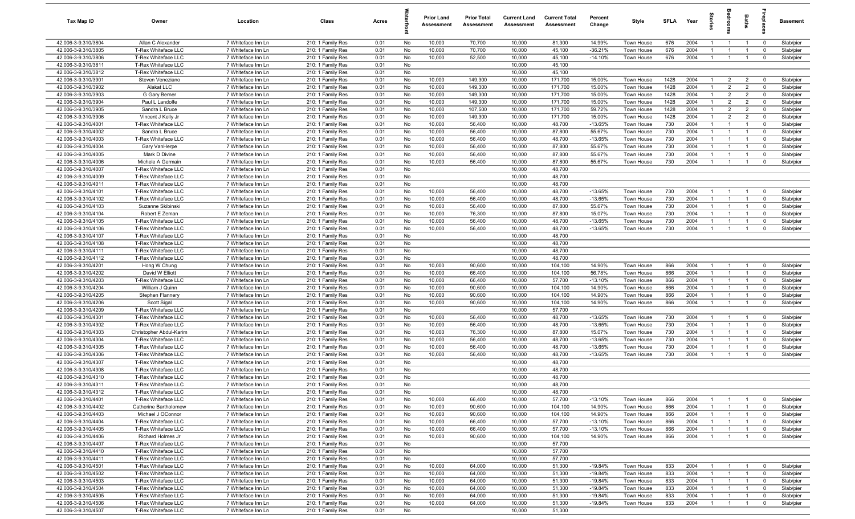| Tax Map ID                                 | Owner                                        | Location                                 | Class                                  | Acres        |          | <b>Prior Land</b><br>Assessment | <b>Prior Total</b><br>Assessment | <b>Current Land</b><br>Assessment | <b>Current Total</b><br>Assessment | Percent<br>Change   | Style                    | <b>SFLA</b> | Year         | $\frac{1}{2}$                    |                                  | Baths                            | epla                                      | <b>Basement</b>        |
|--------------------------------------------|----------------------------------------------|------------------------------------------|----------------------------------------|--------------|----------|---------------------------------|----------------------------------|-----------------------------------|------------------------------------|---------------------|--------------------------|-------------|--------------|----------------------------------|----------------------------------|----------------------------------|-------------------------------------------|------------------------|
| 42.006-3-9.310/3804                        | Allan C Alexander                            | 7 Whiteface Inn Ln                       | 210: 1 Family Res                      | 0.01         | No       | 10,000                          | 70,700                           | 10,000                            | 81,300                             | 14.99%              | Town House               | 676         | 2004         | $\mathbf{1}$                     | $\overline{1}$                   | $\overline{1}$                   | $\overline{0}$                            | Slab/pier              |
| 42.006-3-9.310/3805                        | T-Rex Whiteface LLC                          | 7 Whiteface Inn Ln                       | 210: 1 Family Res                      | 0.01         | No       | 10,000                          | 70,700                           | 10,000                            | 45,100                             | $-36.21%$           | Town House               | 676         | 2004         | -1                               | $\overline{1}$                   | $\overline{1}$                   | $\overline{0}$                            | Slab/pier              |
| 42.006-3-9.310/3806                        | T-Rex Whiteface LLC                          | 7 Whiteface Inn Ln                       | 210: 1 Family Res                      | 0.01         | No       | 10,000                          | 52,500                           | 10,000                            | 45,100                             | $-14.10%$           | Town House               | 676         | 2004         | -1                               | $\overline{1}$                   | $\overline{1}$                   | $\mathbf 0$                               | Slab/pier              |
| 42.006-3-9.310/3811                        | T-Rex Whiteface LLC                          | 7 Whiteface Inn Ln                       | 210: 1 Family Res                      | 0.01         | No       |                                 |                                  | 10,000                            | 45,100                             |                     |                          |             |              |                                  |                                  |                                  |                                           |                        |
| 42.006-3-9.310/3812                        | T-Rex Whiteface LLC                          | 7 Whiteface Inn Ln                       | 210: 1 Family Res                      | 0.01         | No       |                                 |                                  | 10,000                            | 45,100                             |                     |                          |             |              |                                  |                                  |                                  |                                           |                        |
| 42.006-3-9.310/3901                        | Steven Veneziano                             | 7 Whiteface Inn Ln                       | 210: 1 Family Res                      | 0.01         | No       | 10,000                          | 149,300                          | 10,000                            | 171,700                            | 15.00%              | Town House               | 1428        | 2004         |                                  | $\overline{2}$                   | $\overline{2}$                   | $\Omega$                                  | Slab/pier              |
| 42.006-3-9.310/3902                        | Alakat LLC                                   | 7 Whiteface Inn Ln                       | 210: 1 Family Res                      | 0.01         | No       | 10,000                          | 149,300                          | 10,000                            | 171,700                            | 15.00%              | <b>Town House</b>        | 1428        | 2004         |                                  | $\overline{2}$                   | $\overline{2}$                   | $\overline{0}$                            | Slab/pier              |
| 42.006-3-9.310/3903                        | G Gary Berner                                | 7 Whiteface Inn Ln                       | 210: 1 Family Res                      | 0.01         | No       | 10,000                          | 149,300                          | 10,000                            | 171,700                            | 15.00%              | Town House               | 1428        | 2004         | $\overline{1}$                   | $\overline{2}$                   | $\overline{2}$                   | $\mathbf 0$                               | Slab/pier              |
| 42.006-3-9.310/3904                        | Paul L Landolfe                              | 7 Whiteface Inn Ln                       | 210: 1 Family Res                      | 0.01         | No       | 10,000                          | 149,300                          | 10,000                            | 171,700                            | 15.00%              | Town House               | 1428        | 2004         | $\mathbf{1}$                     | $\overline{2}$                   | $\overline{2}$                   | $\overline{0}$                            | Slab/pier              |
| 42.006-3-9.310/3905                        | Sandra L Bruce                               | 7 Whiteface Inn Ln                       | 210: 1 Family Res                      | 0.01         | No       | 10,000                          | 107,500                          | 10,000                            | 171,700                            | 59.72%              | Town House               | 1428        | 2004         | $\overline{1}$                   | $\overline{2}$                   | $\overline{2}$                   | $\mathbf 0$                               | Slab/pier              |
| 42.006-3-9.310/3906                        | Vincent J Kelly Jr                           | 7 Whiteface Inn Ln                       | 210: 1 Family Res                      | 0.01         | No       | 10,000                          | 149,300                          | 10,000                            | 171,700                            | 15.00%              | Town House               | 1428        | 2004         | $\overline{1}$                   | $\overline{2}$                   | $\overline{2}$<br>$\overline{1}$ | $\Omega$                                  | Slab/pier              |
| 42.006-3-9.310/4001<br>42.006-3-9.310/4002 | T-Rex Whiteface LLC<br>Sandra L Bruce        | 7 Whiteface Inn Ln<br>7 Whiteface Inn Ln | 210: 1 Family Res                      | 0.01<br>0.01 | No<br>No | 10,000<br>10,000                | 56,400<br>56,400                 | 10,000<br>10,000                  | 48,700<br>87,800                   | $-13.65%$<br>55.67% | Town House<br>Town House | 730<br>730  | 2004<br>2004 | $\overline{1}$<br>$\overline{1}$ | $\overline{1}$<br>$\overline{1}$ | $\overline{1}$                   | $\Omega$<br>$\Omega$                      | Slab/pier              |
| 42.006-3-9.310/4003                        | T-Rex Whiteface LLC                          | 7 Whiteface Inn Ln                       | 210: 1 Family Res<br>210: 1 Family Res | 0.01         | No       | 10,000                          | 56,400                           | 10,000                            | 48,700                             | $-13.65%$           | Town House               | 730         | 2004         | -1                               | $\overline{1}$                   | $\overline{1}$                   | $\mathbf 0$                               | Slab/pier<br>Slab/pier |
| 42.006-3-9.310/4004                        | Gary VanHerpe                                | 7 Whiteface Inn Ln                       | 210: 1 Family Res                      | 0.01         | No       | 10,000                          | 56,400                           | 10,000                            | 87,800                             | 55.67%              | Town House               | 730         | 2004         | -1                               | $\overline{1}$                   |                                  | $\mathbf 0$                               | Slab/pier              |
| 42.006-3-9.310/4005                        | Mark D Divine                                | 7 Whiteface Inn Ln                       | 210: 1 Family Res                      | 0.01         | No       | 10,000                          | 56,400                           | 10,000                            | 87,800                             | 55.67%              | Town House               | 730         | 2004         |                                  | $\overline{1}$                   | $\overline{1}$                   | $\mathbf 0$                               | Slab/pier              |
| 42.006-3-9.310/4006                        | Michele A Germain                            | 7 Whiteface Inn Ln                       | 210: 1 Family Res                      | 0.01         | No       | 10,000                          | 56,400                           | 10,000                            | 87,800                             | 55.67%              | Town House               | 730         | 2004         |                                  | $\mathbf{1}$                     |                                  | $\Omega$                                  | Slab/pier              |
| 42.006-3-9.310/4007                        | T-Rex Whiteface LLC                          | 7 Whiteface Inn Ln                       | 210: 1 Family Res                      | 0.01         | No       |                                 |                                  | 10,000                            | 48,700                             |                     |                          |             |              |                                  |                                  |                                  |                                           |                        |
| 42.006-3-9.310/4009                        | T-Rex Whiteface LLC                          | 7 Whiteface Inn Ln                       | 210: 1 Family Res                      | 0.01         | No       |                                 |                                  | 10,000                            | 48,700                             |                     |                          |             |              |                                  |                                  |                                  |                                           |                        |
| 42.006-3-9.310/4011                        | T-Rex Whiteface LLC                          | 7 Whiteface Inn Ln                       | 210: 1 Family Res                      | 0.01         | No       |                                 |                                  | 10,000                            | 48,700                             |                     |                          |             |              |                                  |                                  |                                  |                                           |                        |
| 42.006-3-9.310/4101                        | T-Rex Whiteface LLC                          | 7 Whiteface Inn Ln                       | 210: 1 Family Res                      | 0.01         | No       | 10,000                          | 56,400                           | 10,000                            | 48,700                             | $-13.65%$           | Town House               | 730         | 2004         | $\mathbf{1}$                     | $\overline{1}$                   | $\overline{1}$                   | $\overline{0}$                            | Slab/pier              |
| 42.006-3-9.310/4102                        | T-Rex Whiteface LLC                          | 7 Whiteface Inn Ln                       | 210: 1 Family Res                      | 0.01         | No       | 10,000                          | 56,400                           | 10,000                            | 48,700                             | $-13.65%$           | Town House               | 730         | 2004         | -1                               | $\overline{1}$                   | $\overline{1}$                   | $\mathbf 0$                               | Slab/pier              |
| 42.006-3-9.310/4103                        | Suzanne Skibinski                            | 7 Whiteface Inn Ln                       | 210: 1 Family Res                      | 0.01         | No       | 10,000                          | 56,400                           | 10,000                            | 87,800                             | 55.67%              | Town House               | 730         | 2004         | $\overline{1}$                   | $\overline{1}$                   | $\overline{1}$                   | $\Omega$                                  | Slab/pier              |
| 42.006-3-9.310/4104                        | Robert E Zeman                               | 7 Whiteface Inn Ln                       | 210: 1 Family Res                      | 0.01         | No       | 10,000                          | 76,300                           | 10,000                            | 87,800                             | 15.07%              | Town House               | 730         | 2004         | $\overline{1}$                   | $\overline{1}$                   | $\overline{1}$                   | $\Omega$                                  | Slab/pier              |
| 42.006-3-9.310/4105                        | T-Rex Whiteface LLC                          | 7 Whiteface Inn Ln                       | 210: 1 Family Res                      | 0.01         | No       | 10,000                          | 56,400                           | 10,000                            | 48,700                             | $-13.65%$           | Town House               | 730         | 2004         | $\mathbf{1}$                     | $\overline{1}$                   | $\overline{1}$                   | $\Omega$                                  | Slab/pier              |
| 42.006-3-9.310/4106                        | T-Rex Whiteface LLC                          | 7 Whiteface Inn Ln                       | 210: 1 Family Res                      | 0.01         | No       | 10,000                          | 56,400                           | 10,000                            | 48,700                             | $-13.65%$           | Town House               | 730         | 2004         | $\overline{1}$                   | $\overline{1}$                   | $\overline{1}$                   | $^{\circ}$                                | Slab/pier              |
| 42.006-3-9.310/4107                        | T-Rex Whiteface LLC                          | 7 Whiteface Inn Ln                       | 210: 1 Family Res                      | 0.01         | No       |                                 |                                  | 10,000                            | 48,700                             |                     |                          |             |              |                                  |                                  |                                  |                                           |                        |
| 42.006-3-9.310/4108                        | T-Rex Whiteface LLC                          | 7 Whiteface Inn Ln                       | 210: 1 Family Res                      | 0.01         | No       |                                 |                                  | 10,000                            | 48,700                             |                     |                          |             |              |                                  |                                  |                                  |                                           |                        |
| 42.006-3-9.310/4111                        | T-Rex Whiteface LLC                          | 7 Whiteface Inn Ln                       | 210: 1 Family Res                      | 0.01         | No       |                                 |                                  | 10,000                            | 48,700                             |                     |                          |             |              |                                  |                                  |                                  |                                           |                        |
| 42.006-3-9.310/4112                        | T-Rex Whiteface LLC                          | 7 Whiteface Inn Ln                       | 210: 1 Family Res                      | 0.01         | No       |                                 |                                  | 10,000                            | 48,700                             |                     |                          |             |              |                                  |                                  |                                  |                                           |                        |
| 42.006-3-9.310/4201                        | Hong W Chung                                 | 7 Whiteface Inn Ln                       | 210: 1 Family Res                      | 0.01         | No       | 10,000                          | 90,600                           | 10,000                            | 104,100                            | 14.90%              | Town House               | 866         | 2004         |                                  | $\mathbf{1}$                     |                                  | $\mathbf{0}$                              | Slab/pier              |
| 42.006-3-9.310/4202<br>42.006-3-9.310/4203 | David W Elliott<br>T-Rex Whiteface LLC       | 7 Whiteface Inn Ln                       | 210: 1 Family Res                      | 0.01         | No<br>No | 10,000<br>10,000                | 66,400<br>66,400                 | 10,000<br>10,000                  | 104,100<br>57,700                  | 56.78%<br>$-13.10%$ | Town House               | 866<br>866  | 2004<br>2004 | -1<br>$\overline{1}$             | $\overline{1}$<br>$\overline{1}$ | $\overline{1}$<br>$\overline{1}$ | $\overline{\mathbf{0}}$<br>$\overline{0}$ | Slab/pier              |
| 42.006-3-9.310/4204                        | William J Quinn                              | 7 Whiteface Inn Ln<br>7 Whiteface Inn Ln | 210: 1 Family Res<br>210: 1 Family Res | 0.01<br>0.01 | No       | 10,000                          | 90,600                           | 10,000                            | 104,100                            | 14.90%              | Town House<br>Town House | 866         | 2004         | $\mathbf{1}$                     | $\overline{1}$                   | $\overline{1}$                   | $\Omega$                                  | Slab/pier<br>Slab/pier |
| 42.006-3-9.310/4205                        | Stephen Flannery                             | 7 Whiteface Inn Ln                       | 210: 1 Family Res                      | 0.01         | No       | 10,000                          | 90,600                           | 10,000                            | 104,100                            | 14.90%              | Town House               | 866         | 2004         | $\mathbf{1}$                     | $\overline{1}$                   | $\overline{1}$                   | $\Omega$                                  | Slab/pier              |
| 42.006-3-9.310/4206                        | Scott Sigal                                  | 7 Whiteface Inn Ln                       | 210: 1 Family Res                      | 0.01         | No       | 10,000                          | 90,600                           | 10,000                            | 104,100                            | 14.90%              | Town House               | 866         | 2004         | $\overline{1}$                   | $\overline{1}$                   | $\overline{1}$                   | $^{\circ}$                                | Slab/pier              |
| 42.006-3-9.310/4209                        | T-Rex Whiteface LLC                          | 7 Whiteface Inn Ln                       | 210: 1 Family Res                      | 0.01         | No       |                                 |                                  | 10,000                            | 57,700                             |                     |                          |             |              |                                  |                                  |                                  |                                           |                        |
| 42.006-3-9.310/4301                        | T-Rex Whiteface LLC                          | 7 Whiteface Inn Ln                       | 210: 1 Family Res                      | 0.01         | No       | 10,000                          | 56,400                           | 10,000                            | 48,700                             | $-13.65%$           | Town House               | 730         | 2004         | -1                               | $\overline{1}$                   | $\overline{1}$                   | $\overline{0}$                            | Slab/pier              |
| 42.006-3-9.310/4302                        | T-Rex Whiteface LLC                          | 7 Whiteface Inn Ln                       | 210: 1 Family Res                      | 0.01         | No       | 10,000                          | 56,400                           | 10,000                            | 48,700                             | $-13.65%$           | Town House               | 730         | 2004         |                                  | $\overline{1}$                   |                                  | $\mathbf 0$                               | Slab/pier              |
| 42.006-3-9.310/4303                        | Christopher Abdul-Karim                      | 7 Whiteface Inn Ln                       | 210: 1 Family Res                      | 0.01         | No       | 10,000                          | 76,300                           | 10,000                            | 87,800                             | 15.07%              | Town House               | 730         | 2004         | -1                               | $\overline{1}$                   | $\overline{1}$                   | $\mathbf 0$                               | Slab/pier              |
| 42.006-3-9.310/4304                        | T-Rex Whiteface LLC                          | 7 Whiteface Inn Ln                       | 210: 1 Family Res                      | 0.01         | No       | 10,000                          | 56,400                           | 10,000                            | 48,700                             | $-13.65%$           | Town House               | 730         | 2004         |                                  | $\overline{1}$                   |                                  | $\mathbf 0$                               | Slab/pier              |
| 42.006-3-9.310/4305                        | T-Rex Whiteface LLC                          | 7 Whiteface Inn Ln                       | 210: 1 Family Res                      | 0.01         | No       | 10,000                          | 56,400                           | 10,000                            | 48,700                             | $-13.65%$           | Town House               | 730         | 2004         |                                  | $\overline{1}$                   |                                  | $\mathbf 0$                               | Slab/pier              |
| 42.006-3-9.310/4306                        | T-Rex Whiteface LLC                          | 7 Whiteface Inn Ln                       | 210: 1 Family Res                      | 0.01         | No       | 10,000                          | 56,400                           | 10,000                            | 48,700                             | $-13.65%$           | Town House               | 730         | 2004         |                                  | $\mathbf{1}$                     |                                  | $\Omega$                                  | Slab/pier              |
| 42.006-3-9.310/4307                        | T-Rex Whiteface LLC                          | 7 Whiteface Inn Ln                       | 210: 1 Family Res                      | 0.01         | No       |                                 |                                  | 10,000                            | 48,700                             |                     |                          |             |              |                                  |                                  |                                  |                                           |                        |
| 42.006-3-9.310/4308                        | T-Rex Whiteface LLC                          | 7 Whiteface Inn Ln                       | 210: 1 Family Res                      | 0.01         | No       |                                 |                                  | 10,000                            | 48,700                             |                     |                          |             |              |                                  |                                  |                                  |                                           |                        |
| 42.006-3-9.310/4310                        | T-Rex Whiteface LLC                          | 7 Whiteface Inn Ln                       | 210: 1 Family Res                      | 0.01         | No       |                                 |                                  | 10,000                            | 48,700                             |                     |                          |             |              |                                  |                                  |                                  |                                           |                        |
| 42.006-3-9.310/4311                        | T-Rex Whiteface LLC                          | 7 Whiteface Inn Ln                       | 210: 1 Family Res                      | 0.01         | No       |                                 |                                  | 10,000                            | 48,700                             |                     |                          |             |              |                                  |                                  |                                  |                                           |                        |
| 42.006-3-9.310/4312                        | T-Rex Whiteface LLC                          | 7 Whiteface Inn Ln                       | 210: 1 Family Res                      | 0.01         | No       |                                 |                                  | 10,000                            | 48,700                             |                     |                          |             |              |                                  |                                  |                                  |                                           |                        |
| 42.006-3-9.310/4401<br>42.006-3-9.310/4402 | T-Rex Whiteface LLC<br>Catherine Bartholomew | 7 Whiteface Inn Ln                       | 210: 1 Family Res                      | 0.01         | No<br>No | 10,000<br>10,000                | 66,400<br>90,600                 | 10,000<br>10,000                  | 57,700                             | $-13.10%$<br>14.90% | Town House               | 866<br>866  | 2004<br>2004 | -1<br>-1                         | $\overline{1}$<br>$\overline{1}$ | $\overline{1}$<br>$\overline{1}$ | $\overline{0}$<br>$\mathbf 0$             | Slab/pier<br>Slab/pier |
| 42.006-3-9.310/4403                        | Michael J OConnor                            | 7 Whiteface Inn Ln<br>7 Whiteface Inn Ln | 210: 1 Family Res<br>210: 1 Family Res | 0.01<br>0.01 | No       | 10,000                          | 90,600                           | 10,000                            | 104,100<br>104,100                 | 14.90%              | Town House<br>Town House | 866         | 2004         | -1                               | $\overline{1}$                   | $\overline{1}$                   | $\overline{0}$                            | Slab/pier              |
| 42.006-3-9.310/4404                        | T-Rex Whiteface LLC                          | 7 Whiteface Inn Ln                       | 210: 1 Family Res                      | 0.01         | No       | 10,000                          | 66,400                           | 10,000                            | 57,700                             | $-13.10%$           | Town House               | 866         | 2004         | -1                               | $\overline{1}$                   | $\overline{1}$                   | $\mathbf 0$                               | Slab/pier              |
| 42.006-3-9.310/4405                        | T-Rex Whiteface LLC                          | 7 Whiteface Inn Ln                       | 210: 1 Family Res                      | 0.01         | No       | 10,000                          | 66,400                           | 10,000                            | 57,700                             | $-13.10%$           | Town House               | 866         | 2004         | -1                               | $\overline{1}$                   | $\overline{1}$                   | $\mathbf 0$                               | Slab/pier              |
| 42.006-3-9.310/4406                        | Richard Holmes Jr                            | 7 Whiteface Inn Ln                       | 210: 1 Family Res                      | 0.01         | No       | 10,000                          | 90,600                           | 10,000                            | 104,100                            | 14.90%              | Town House               | 866         | 2004         | -1                               | $\overline{1}$                   | $\overline{1}$                   | $\mathbf 0$                               | Slab/pier              |
| 42.006-3-9.310/4407                        | T-Rex Whiteface LLC                          | 7 Whiteface Inn Ln                       | 210: 1 Family Res                      | 0.01         | No       |                                 |                                  | 10,000                            | 57,700                             |                     |                          |             |              |                                  |                                  |                                  |                                           |                        |
| 42.006-3-9.310/4410                        | T-Rex Whiteface LLC                          | 7 Whiteface Inn Ln                       | 210: 1 Family Res                      | 0.01         | No       |                                 |                                  | 10,000                            | 57,700                             |                     |                          |             |              |                                  |                                  |                                  |                                           |                        |
| 42.006-3-9.310/4411                        | T-Rex Whiteface LLC                          | 7 Whiteface Inn Ln                       | 210: 1 Family Res                      | 0.01         | No       |                                 |                                  | 10,000                            | 57,700                             |                     |                          |             |              |                                  |                                  |                                  |                                           |                        |
| 42.006-3-9.310/4501                        | T-Rex Whiteface LLC                          | 7 Whiteface Inn Ln                       | 210: 1 Family Res                      | 0.01         | No       | 10,000                          | 64,000                           | 10,000                            | 51,300                             | $-19.84%$           | Town House               | 833         | 2004         |                                  | $\overline{1}$                   | $\overline{1}$                   | $\overline{\mathbf{0}}$                   | Slab/pier              |
| 42.006-3-9.310/4502                        | T-Rex Whiteface LLC                          | 7 Whiteface Inn Ln                       | 210: 1 Family Res                      | 0.01         | No       | 10,000                          | 64,000                           | 10,000                            | 51,300                             | $-19.84%$           | Town House               | 833         | 2004         |                                  | $\overline{1}$                   | $\overline{1}$                   | $\overline{\mathbf{0}}$                   | Slab/pier              |
| 42.006-3-9.310/4503                        | T-Rex Whiteface LLC                          | 7 Whiteface Inn Ln                       | 210: 1 Family Res                      | 0.01         | No       | 10,000                          | 64,000                           | 10,000                            | 51,300                             | $-19.84%$           | Town House               | 833         | 2004         | $\overline{1}$                   | $\overline{1}$                   | $\overline{1}$                   | $\mathbf 0$                               | Slab/pier              |
| 42.006-3-9.310/4504                        | T-Rex Whiteface LLC                          | 7 Whiteface Inn Ln                       | 210: 1 Family Res                      | 0.01         | No       | 10,000                          | 64,000                           | 10,000                            | 51,300                             | $-19.84%$           | Town House               | 833         | 2004         | $\overline{1}$                   | $\overline{1}$                   | $\overline{1}$                   | $\mathbf 0$                               | Slab/pier              |
| 42.006-3-9.310/4505                        | T-Rex Whiteface LLC                          | 7 Whiteface Inn Ln                       | 210: 1 Family Res                      | 0.01         | No       | 10,000                          | 64,000                           | 10,000                            | 51,300                             | $-19.84%$           | Town House               | 833         | 2004         | $\overline{1}$                   | $\overline{1}$                   | $\overline{1}$                   | $\mathbf 0$                               | Slab/pier              |
| 42.006-3-9.310/4506                        | T-Rex Whiteface LLC                          | 7 Whiteface Inn Ln                       | 210: 1 Family Res                      | 0.01         | No       | 10,000                          | 64,000                           | 10,000                            | 51,300                             | $-19.84%$           | Town House               | 833         | 2004         | $\overline{1}$                   | $\overline{1}$                   | $\overline{1}$                   | $\mathbf 0$                               | Slab/pier              |
| 42.006-3-9.310/4507                        | T-Rex Whiteface LLC                          | 7 Whiteface Inn Ln                       | 210: 1 Family Res                      | 0.01         | No       |                                 |                                  | 10,000                            | 51,300                             |                     |                          |             |              |                                  |                                  |                                  |                                           |                        |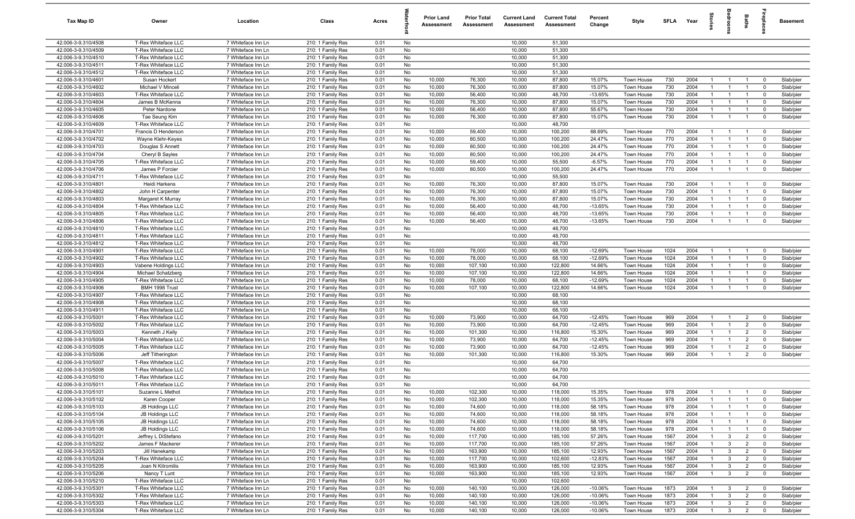| <b>Tax Map ID</b>                          | Owner                                            | Location                                 | Class                                  | Acres        |           | <b>Prior Land</b><br>Assessment | <b>Prior Total</b><br>Assessment | <b>Current Land</b><br>Assessment | <b>Current Total</b><br><b>Assessment</b> | Percent<br>Change      | Style                           | <b>SFLA</b>  | Year         | ã                                |                                  | Baths                            | repla                      | <b>Basement</b>        |
|--------------------------------------------|--------------------------------------------------|------------------------------------------|----------------------------------------|--------------|-----------|---------------------------------|----------------------------------|-----------------------------------|-------------------------------------------|------------------------|---------------------------------|--------------|--------------|----------------------------------|----------------------------------|----------------------------------|----------------------------|------------------------|
| 42.006-3-9.310/4508                        | T-Rex Whiteface LLC                              | 7 Whiteface Inn Ln                       | 210: 1 Family Res                      | 0.01         | No        |                                 |                                  | 10,000                            | 51,300                                    |                        |                                 |              |              |                                  |                                  |                                  |                            |                        |
| 42.006-3-9.310/4509                        | T-Rex Whiteface LLC                              | 7 Whiteface Inn Ln                       | 210: 1 Family Res                      | 0.01         | No        |                                 |                                  | 10,000                            | 51,300                                    |                        |                                 |              |              |                                  |                                  |                                  |                            |                        |
| 42.006-3-9.310/4510                        | T-Rex Whiteface LLC                              | 7 Whiteface Inn Ln                       | 210: 1 Family Res                      | 0.01         | No        |                                 |                                  | 10,000                            | 51,300                                    |                        |                                 |              |              |                                  |                                  |                                  |                            |                        |
| 42.006-3-9.310/4511<br>42.006-3-9.310/4512 | T-Rex Whiteface LLC<br>T-Rex Whiteface LLC       | 7 Whiteface Inn Ln<br>7 Whiteface Inn Ln | 210: 1 Family Res<br>210: 1 Family Res | 0.01<br>0.01 | No<br>No  |                                 |                                  | 10,000<br>10,000                  | 51,300<br>51,300                          |                        |                                 |              |              |                                  |                                  |                                  |                            |                        |
| 42.006-3-9.310/4601                        | Susan Hockert                                    | 7 Whiteface Inn Ln                       | 210: 1 Family Res                      | 0.01         | No        | 10,000                          | 76,300                           | 10,000                            | 87,800                                    | 15.07%                 | Town House                      | 730          | 2004         | $\overline{1}$                   | $\overline{1}$                   | $\overline{1}$                   | $\mathbf 0$                | Slab/pier              |
| 42.006-3-9.310/4602                        | Michael V Minceli                                | 7 Whiteface Inn Ln                       | 210: 1 Family Res                      | 0.01         | No        | 10,000                          | 76,300                           | 10,000                            | 87,800                                    | 15.07%                 | Town House                      | 730          | 2004         | $\overline{1}$                   | $\overline{1}$                   | $\overline{1}$                   | $\mathbf 0$                | Slab/pier              |
| 42.006-3-9.310/4603                        | T-Rex Whiteface LLC                              | 7 Whiteface Inn Ln                       | 210: 1 Family Res                      | 0.01         | No        | 10,000                          | 56,400                           | 10,000                            | 48,700                                    | $-13.65%$              | Town House                      | 730          | 2004         | $\overline{1}$                   | $\overline{1}$                   | $\overline{1}$                   | $\mathbf 0$                | Slab/pier              |
| 42.006-3-9.310/4604                        | James B McKenna                                  | 7 Whiteface Inn Ln                       | 210: 1 Family Res                      | 0.01         | No        | 10,000                          | 76,300                           | 10,000                            | 87,800                                    | 15.07%                 | Town House                      | 730          | 2004         | $\overline{1}$                   | $\overline{1}$                   | $\overline{1}$                   | $\mathbf 0$                | Slab/pier              |
| 42.006-3-9.310/4605                        | Peter Nardone                                    | 7 Whiteface Inn Ln                       | 210: 1 Family Res                      | 0.01         | No        | 10,000                          | 56,400                           | 10,000                            | 87,800                                    | 55.67%                 | Town House                      | 730          | 2004         | $\overline{1}$                   | $\overline{1}$                   | $\overline{1}$                   | $\mathbf 0$                | Slab/pier              |
| 42.006-3-9.310/4606                        | Tae Seung Kim                                    | 7 Whiteface Inn Ln                       | 210: 1 Family Res                      | 0.01         | No        | 10,000                          | 76,300                           | 10,000                            | 87,800                                    | 15.07%                 | Town House                      | 730          | 2004         | $\overline{1}$                   | $\overline{1}$                   | $\overline{1}$                   | $\mathbf 0$                | Slab/pier              |
| 42.006-3-9.310/4609                        | T-Rex Whiteface LLC                              | 7 Whiteface Inn Ln                       | 210: 1 Family Res                      | 0.01         | No        |                                 |                                  | 10,000                            | 48,700                                    |                        |                                 |              | 2004         | $\overline{1}$                   |                                  |                                  | $\mathbf 0$                |                        |
| 42.006-3-9.310/4701<br>42.006-3-9.310/4702 | Francis D Henderson<br>Wayne Klehr-Keyes         | 7 Whiteface Inn Ln<br>7 Whiteface Inn Ln | 210: 1 Family Res<br>210: 1 Family Res | 0.01<br>0.01 | No<br>No  | 10,000<br>10,000                | 59,400<br>80,500                 | 10,000<br>10,000                  | 100,200<br>100,200                        | 68.69%<br>24.47%       | Town House<br>Town House        | 770<br>770   | 2004         |                                  | -1                               | $\overline{1}$<br>$\mathbf{1}$   | $\mathbf 0$                | Slab/pier<br>Slab/pier |
| 42.006-3-9.310/4703                        | Douglas S Annett                                 | 7 Whiteface Inn Ln                       | 210: 1 Family Res                      | 0.01         | No        | 10,000                          | 80,500                           | 10,000                            | 100,200                                   | 24.47%                 | Town House                      | 770          | 2004         | $\overline{1}$                   | $\overline{1}$                   |                                  | $\Omega$                   | Slab/pier              |
| 42.006-3-9.310/4704                        | Cheryl B Sayles                                  | 7 Whiteface Inn Ln                       | 210: 1 Family Res                      | 0.01         | No        | 10,000                          | 80,500                           | 10,000                            | 100,200                                   | 24.47%                 | Town House                      | 770          | 2004         | -1                               | $\overline{1}$                   | $\overline{1}$                   | $\mathbf 0$                | Slab/pier              |
| 42.006-3-9.310/4705                        | T-Rex Whiteface LLC                              | 7 Whiteface Inn Ln                       | 210: 1 Family Res                      | 0.01         | No        | 10,000                          | 59,400                           | 10,000                            | 55,500                                    | $-6.57%$               | Town House                      | 770          | 2004         | $\mathbf{1}$                     |                                  | $\mathbf{1}$                     | $\Omega$                   | Slab/pier              |
| 42.006-3-9.310/4706                        | James P Forcier                                  | 7 Whiteface Inn Ln                       | 210: 1 Family Res                      | 0.01         | No        | 10,000                          | 80,500                           | 10,000                            | 100,200                                   | 24.47%                 | Town House                      | 770          | 2004         | $\overline{1}$                   | $\overline{1}$                   | $\overline{1}$                   | $\mathbf 0$                | Slab/pier              |
| 42.006-3-9.310/4711                        | T-Rex Whiteface LLC                              | 7 Whiteface Inn Ln                       | 210: 1 Family Res                      | 0.01         | No        |                                 |                                  | 10,000                            | 55,500                                    |                        |                                 |              |              |                                  |                                  |                                  |                            |                        |
| 42.006-3-9.310/4801<br>42.006-3-9.310/4802 | Heidi Harkens<br>John H Carpenter                | 7 Whiteface Inn Ln<br>7 Whiteface Inn Ln | 210: 1 Family Res<br>210: 1 Family Res | 0.01<br>0.01 | No<br>No  | 10,000<br>10,000                | 76,300<br>76,300                 | 10,000<br>10,000                  | 87,800<br>87,800                          | 15.07%<br>15.07%       | Town House<br>Town House        | 730<br>730   | 2004<br>2004 | $\overline{1}$<br>$\overline{1}$ | $\overline{1}$<br>$\overline{1}$ | $\overline{1}$<br>$\overline{1}$ | $\mathbf 0$<br>$\mathbf 0$ | Slab/pier<br>Slab/pier |
| 42.006-3-9.310/4803                        | Margaret K Murray                                | 7 Whiteface Inn Ln                       | 210: 1 Family Res                      | 0.01         | No        | 10,000                          | 76,300                           | 10,000                            | 87,800                                    | 15.07%                 | Town House                      | 730          | 2004         | $\overline{1}$                   | $\overline{1}$                   | $\overline{1}$                   | $\mathbf 0$                | Slab/pier              |
| 42.006-3-9.310/4804                        | T-Rex Whiteface LLC                              | 7 Whiteface Inn Ln                       | 210: 1 Family Res                      | 0.01         | No        | 10,000                          | 56,400                           | 10,000                            | 48,700                                    | $-13.65%$              | Town House                      | 730          | 2004         | $\overline{1}$                   | $\overline{1}$                   | $\overline{1}$                   | $\mathbf 0$                | Slab/pier              |
| 42.006-3-9.310/4805                        | T-Rex Whiteface LLC                              | 7 Whiteface Inn Ln                       | 210: 1 Family Res                      | 0.01         | No        | 10,000                          | 56,400                           | 10,000                            | 48,700                                    | $-13.65%$              | Town House                      | 730          | 2004         | $\overline{1}$                   | $\overline{1}$                   | $\overline{1}$                   | $\Omega$                   | Slab/pier              |
| 42.006-3-9.310/4806                        | T-Rex Whiteface LLC                              | 7 Whiteface Inn Ln                       | 210: 1 Family Res                      | 0.01         | No        | 10,000                          | 56,400                           | 10,000                            | 48,700                                    | $-13.65%$              | Town House                      | 730          | 2004         | $\overline{1}$                   | $\overline{1}$                   | $\overline{1}$                   | $\mathbf 0$                | Slab/pier              |
| 42.006-3-9.310/4810                        | T-Rex Whiteface LLC                              | 7 Whiteface Inn Ln                       | 210: 1 Family Res                      | 0.01         | No        |                                 |                                  | 10,000                            | 48,700                                    |                        |                                 |              |              |                                  |                                  |                                  |                            |                        |
| 42.006-3-9.310/4811                        | T-Rex Whiteface LLC                              | 7 Whiteface Inn Ln                       | 210: 1 Family Res                      | 0.01         | No        |                                 |                                  | 10,000                            | 48,700                                    |                        |                                 |              |              |                                  |                                  |                                  |                            |                        |
| 42.006-3-9.310/4812                        | T-Rex Whiteface LLC                              | 7 Whiteface Inn Ln                       | 210: 1 Family Res                      | 0.01         | No        |                                 |                                  | 10,000                            | 48,700                                    |                        |                                 |              |              | -1                               |                                  | $\mathbf{1}$                     |                            |                        |
| 42.006-3-9.310/4901<br>42.006-3-9.310/4902 | T-Rex Whiteface LLC<br>T-Rex Whiteface LLC       | 7 Whiteface Inn Ln<br>7 Whiteface Inn Ln | 210: 1 Family Res<br>210: 1 Family Res | 0.01<br>0.01 | No<br>No  | 10,000<br>10,000                | 78,000<br>78,000                 | 10,000<br>10,000                  | 68,100<br>68,100                          | $-12.69%$<br>$-12.69%$ | <b>Town House</b><br>Town House | 1024<br>1024 | 2004<br>2004 | $\overline{1}$                   |                                  | $\overline{1}$                   | $\mathbf 0$<br>$\Omega$    | Slab/pier<br>Slab/pier |
| 42.006-3-9.310/4903                        | Vabene Holdings LLC                              | 7 Whiteface Inn Ln                       | 210: 1 Family Res                      | 0.01         | No        | 10,000                          | 107,100                          | 10,000                            | 122,800                                   | 14.66%                 | Town House                      | 1024         | 2004         | $\overline{1}$                   | $\overline{1}$                   | $\overline{1}$                   | $\mathbf 0$                | Slab/pier              |
| 42.006-3-9.310/4904                        | Michael Schatzberg                               | 7 Whiteface Inn Ln                       | 210: 1 Family Res                      | 0.01         | No        | 10,000                          | 107,100                          | 10,000                            | 122,800                                   | 14.66%                 | Town House                      | 1024         | 2004         | $\overline{1}$                   | $\mathbf{1}$                     | $\overline{1}$                   | $\mathbf 0$                | Slab/pier              |
| 42.006-3-9.310/4905                        | T-Rex Whiteface LLC                              | 7 Whiteface Inn Ln                       | 210: 1 Family Res                      | 0.01         | No        | 10,000                          | 78,000                           | 10,000                            | 68,100                                    | $-12.69%$              | Town House                      | 1024         | 2004         | $\overline{1}$                   | $\overline{1}$                   | $\overline{1}$                   | $\mathbf 0$                | Slab/pier              |
| 42.006-3-9.310/4906                        | BMH 1998 Trust                                   | 7 Whiteface Inn Ln                       | 210: 1 Family Res                      | 0.01         | No        | 10,000                          | 107,100                          | 10,000                            | 122,800                                   | 14.66%                 | Town House                      | 1024         | 2004         | $\overline{1}$                   | $\overline{1}$                   | $\overline{1}$                   | $\mathbf 0$                | Slab/pier              |
| 42.006-3-9.310/4907                        | T-Rex Whiteface LLC                              | 7 Whiteface Inn Ln                       | 210: 1 Family Res                      | 0.01         | No        |                                 |                                  | 10,000                            | 68,100                                    |                        |                                 |              |              |                                  |                                  |                                  |                            |                        |
| 42.006-3-9.310/4908<br>42.006-3-9.310/4911 | T-Rex Whiteface LLC<br>T-Rex Whiteface LLC       | 7 Whiteface Inn Ln<br>7 Whiteface Inn Ln | 210: 1 Family Res                      | 0.01         | No<br>No  |                                 |                                  | 10,000<br>10,000                  | 68,100                                    |                        |                                 |              |              |                                  |                                  |                                  |                            |                        |
| 42.006-3-9.310/5001                        | T-Rex Whiteface LLC                              | 7 Whiteface Inn Ln                       | 210: 1 Family Res<br>210: 1 Family Res | 0.01<br>0.01 | No        | 10,000                          | 73,900                           | 10,000                            | 68,100<br>64,700                          | $-12.45%$              | Town House                      | 969          | 2004         | $\overline{1}$                   | $\overline{1}$                   | $\overline{2}$                   | $\mathbf 0$                | Slab/pier              |
| 42.006-3-9.310/5002                        | T-Rex Whiteface LLC                              | 7 Whiteface Inn Ln                       | 210: 1 Family Res                      | 0.01         | No        | 10,000                          | 73,900                           | 10,000                            | 64,700                                    | $-12.45%$              | Town House                      | 969          | 2004         | $\overline{1}$                   | $\overline{1}$                   | $\overline{2}$                   | $\mathbf 0$                | Slab/pier              |
| 42.006-3-9.310/5003                        | Kenneth J Kelly                                  | 7 Whiteface Inn Ln                       | 210: 1 Family Res                      | 0.01         | No        | 10,000                          | 101,300                          | 10,000                            | 116,800                                   | 15.30%                 | Town House                      | 969          | 2004         | -1                               | $\overline{1}$                   | $\overline{2}$                   | $\mathbf 0$                | Slab/pier              |
| 42.006-3-9.310/5004                        | T-Rex Whiteface LLC                              | 7 Whiteface Inn Ln                       | 210: 1 Family Res                      | 0.01         | No        | 10,000                          | 73,900                           | 10,000                            | 64,700                                    | $-12.45%$              | <b>Town House</b>               | 969          | 2004         | -1                               |                                  | $\overline{2}$                   | $\Omega$                   | Slab/pier              |
| 42.006-3-9.310/5005                        | T-Rex Whiteface LLC                              | 7 Whiteface Inn Ln                       | 210: 1 Family Res                      | 0.01         | No        | 10,000                          | 73,900                           | 10,000                            | 64,700                                    | $-12.45%$              | Town House                      | 969          | 2004         | $\mathbf{1}$                     |                                  | $\overline{2}$                   | $\Omega$                   | Slab/pier              |
| 42.006-3-9.310/5006                        | Jeff Titherington                                | 7 Whiteface Inn Ln                       | 210: 1 Family Res                      | 0.01         | No        | 10,000                          | 101,300                          | 10,000                            | 116,800                                   | 15.30%                 | Town House                      | 969          | 2004         | $\mathbf{1}$                     |                                  | $\overline{2}$                   | $\Omega$                   | Slab/pier              |
| 42.006-3-9.310/5007<br>42.006-3-9.310/5008 | T-Rex Whiteface LLC<br>T-Rex Whiteface LLC       | 7 Whiteface Inn Ln<br>7 Whiteface Inn Ln | 210: 1 Family Res<br>210: 1 Family Res | 0.01<br>0.01 | No<br>No  |                                 |                                  | 10,000<br>10,000                  | 64,700<br>64,700                          |                        |                                 |              |              |                                  |                                  |                                  |                            |                        |
| 42.006-3-9.310/5010                        | T-Rex Whiteface LLC                              | 7 Whiteface Inn Ln                       | 210: 1 Family Res                      | 0.01         | No        |                                 |                                  | 10,000                            | 64,700                                    |                        |                                 |              |              |                                  |                                  |                                  |                            |                        |
| 42.006-3-9.310/5011                        | T-Rex Whiteface LLC                              | 7 Whiteface Inn I n                      | 210: 1 Family Res                      | 0.01         | <b>No</b> |                                 |                                  | 10,000                            | 64,700                                    |                        |                                 |              |              |                                  |                                  |                                  |                            |                        |
| 42.006-3-9.310/5101                        | Suzanne L Methot                                 | 7 Whiteface Inn Ln                       | 210: 1 Family Res                      | 0.01         | No        | 10,000                          | 102,300                          | 10,000                            | 118,000                                   | 15.35%                 | Town House                      | 978          | 2004         | $\overline{1}$                   | $\overline{1}$                   | $\overline{1}$                   | $\mathbf 0$                | Slab/pier              |
| 42.006-3-9.310/5102                        | Karen Cooper                                     | 7 Whiteface Inn Ln                       | 210: 1 Family Res                      | 0.01         | No        | 10,000                          | 102,300                          | 10,000                            | 118,000                                   | 15.35%                 | Town House                      | 978          | 2004         | -1                               |                                  | $\overline{1}$                   | $\Omega$                   | Slab/pier              |
| 42.006-3-9.310/5103                        | <b>JB Holdings LLC</b>                           | 7 Whiteface Inn Ln                       | 210: 1 Family Res                      | 0.01         | No        | 10,000                          | 74,600                           | 10,000                            | 118,000                                   | 58.18%                 | Town House                      | 978          | 2004         | $\overline{1}$                   | $\overline{1}$                   | $\overline{1}$                   | $\mathbf 0$                | Slab/pier              |
| 42.006-3-9.310/5104<br>42.006-3-9.310/5105 | <b>JB Holdings LLC</b><br><b>JB Holdings LLC</b> | 7 Whiteface Inn Ln                       | 210: 1 Family Res<br>210: 1 Family Res | 0.01<br>0.01 | No<br>No  | 10,000<br>10,000                | 74,600<br>74,600                 | 10,000<br>10,000                  | 118,000<br>118,000                        | 58.18%<br>58.18%       | Town House                      | 978<br>978   | 2004<br>2004 | $\mathbf{1}$<br>$\overline{1}$   | $\overline{1}$<br>$\overline{1}$ | $\mathbf{1}$<br>$\mathbf{1}$     | $\mathbf 0$<br>$\mathbf 0$ | Slab/pier              |
| 42.006-3-9.310/5106                        | <b>JB Holdings LLC</b>                           | 7 Whiteface Inn Ln<br>7 Whiteface Inn Ln | 210: 1 Family Res                      | 0.01         | No        | 10,000                          | 74,600                           | 10,000                            | 118,000                                   | 58.18%                 | Town House<br>Town House        | 978          | 2004         | 1                                | $\overline{1}$                   | $\overline{1}$                   | $\mathbf 0$                | Slab/pier<br>Slab/pier |
| 42.006-3-9.310/5201                        | Jeffrey L DiStefano                              | 7 Whiteface Inn Ln                       | 210: 1 Family Res                      | 0.01         | No        | 10,000                          | 117,700                          | 10,000                            | 185,100                                   | 57.26%                 | Town House                      | 1567         | 2004         | $\overline{1}$                   | $\mathbf{3}$                     | $\overline{2}$                   | $\mathbf 0$                | Slab/pier              |
| 42.006-3-9.310/5202                        | James F Mackerer                                 | 7 Whiteface Inn Ln                       | 210: 1 Family Res                      | 0.01         | No        | 10,000                          | 117,700                          | 10,000                            | 185,100                                   | 57.26%                 | Town House                      | 1567         | 2004         | $\overline{1}$                   | $\mathbf{3}$                     | $\overline{2}$                   | $\mathbf 0$                | Slab/pier              |
| 42.006-3-9.310/5203                        | Jill Hanekamp                                    | 7 Whiteface Inn Ln                       | 210: 1 Family Res                      | 0.01         | No        | 10,000                          | 163,900                          | 10,000                            | 185,100                                   | 12.93%                 | Town House                      | 1567         | 2004         | $\overline{1}$                   | $\mathbf{3}$                     | $\overline{2}$                   | $\mathbf 0$                | Slab/pier              |
| 42.006-3-9.310/5204                        | T-Rex Whiteface LLC                              | 7 Whiteface Inn Ln                       | 210: 1 Family Res                      | 0.01         | No        | 10,000                          | 117,700                          | 10,000                            | 102,600                                   | $-12.83%$              | Town House                      | 1567         | 2004         | $\overline{1}$                   | $\mathbf{3}$                     | $\overline{2}$                   | $\mathbf 0$                | Slab/pier              |
| 42.006-3-9.310/5205                        | Joan N Kitromilis                                | 7 Whiteface Inn Ln                       | 210: 1 Family Res                      | 0.01         | No        | 10,000                          | 163,900                          | 10,000                            | 185,100                                   | 12.93%                 | Town House                      | 1567         | 2004         | $\overline{1}$                   | $\mathbf{3}$                     | $\overline{2}$                   | $\overline{0}$             | Slab/pier              |
| 42.006-3-9.310/5206<br>42.006-3-9.310/5210 | Nancy T Lunt<br>T-Rex Whiteface LLC              | 7 Whiteface Inn Ln<br>7 Whiteface Inn Ln | 210: 1 Family Res<br>210: 1 Family Res | 0.01<br>0.01 | No<br>No  | 10,000                          | 163,900                          | 10,000<br>10,000                  | 185,100<br>102,600                        | 12.93%                 | Town House                      | 1567         | 2004         | $\overline{1}$                   | $\overline{3}$                   | $\overline{2}$                   | $\overline{\mathbf{0}}$    | Slab/pier              |
| 42.006-3-9.310/5301                        | T-Rex Whiteface LLC                              | 7 Whiteface Inn Ln                       | 210: 1 Family Res                      | 0.01         | No        | 10,000                          | 140,100                          | 10,000                            | 126,000                                   | $-10.06%$              | Town House                      | 1873         | 2004         | $\overline{1}$                   | $\mathbf{3}$                     | $\overline{2}$                   | $\mathbf 0$                | Slab/pier              |
| 42.006-3-9.310/5302                        | T-Rex Whiteface LLC                              | 7 Whiteface Inn Ln                       | 210: 1 Family Res                      | 0.01         | No        | 10,000                          | 140,100                          | 10,000                            | 126,000                                   | $-10.06%$              | Town House                      | 1873         | 2004         | $\overline{1}$                   | $\mathbf{3}$                     | $\overline{2}$                   | $\mathbf 0$                | Slab/pier              |
| 42.006-3-9.310/5303                        | T-Rex Whiteface LLC                              | 7 Whiteface Inn Ln                       | 210: 1 Family Res                      | 0.01         | No        | 10,000                          | 140,100                          | 10,000                            | 126,000                                   | $-10.06%$              | Town House                      | 1873         | 2004         | $\overline{1}$                   | $\mathbf{3}$                     | $\overline{2}$                   | $\mathbf 0$                | Slab/pier              |
| 42.006-3-9.310/5304                        | T-Rex Whiteface LLC                              | 7 Whiteface Inn Ln                       | 210: 1 Family Res                      | 0.01         | No        | 10,000                          | 140,100                          | 10,000                            | 126,000                                   | $-10.06%$              | Town House                      | 1873         | 2004         | $\overline{1}$                   | 3 <sup>3</sup>                   | $\overline{2}$                   | $\mathbf 0$                | Slab/pier              |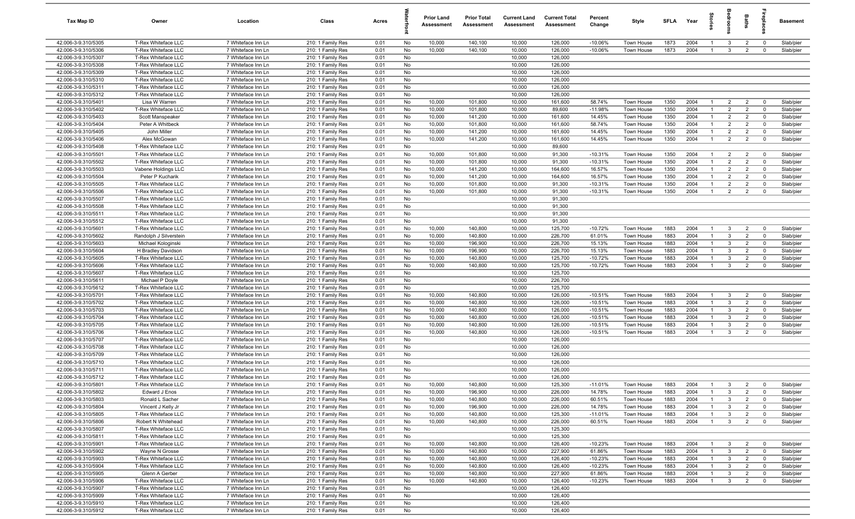| <b>Tax Map ID</b>                          | Owner                                      | Location                                 | Class                                  | Acres        |           | <b>Prior Land</b><br>Assessment | <b>Prior Total</b><br>Assessment | <b>Current Land</b><br><b>Assessment</b> | <b>Current Total</b><br><b>Assessment</b> | Percent<br>Change      | Style                    | SFLA         | Year         | g                    |                              | Baths                            | <b>G</b>                      | <b>Basement</b>        |
|--------------------------------------------|--------------------------------------------|------------------------------------------|----------------------------------------|--------------|-----------|---------------------------------|----------------------------------|------------------------------------------|-------------------------------------------|------------------------|--------------------------|--------------|--------------|----------------------|------------------------------|----------------------------------|-------------------------------|------------------------|
| 42.006-3-9.310/5305                        | T-Rex Whiteface LLC                        | 7 Whiteface Inn Ln                       | 210: 1 Family Res                      | 0.01         | No        | 10,000                          | 140,100                          | 10,000                                   | 126,000                                   | $-10.06%$              | Town House               | 1873         | 2004         | -1                   | 3                            | $\overline{2}$                   | $\mathbf 0$                   | Slab/pier              |
| 42.006-3-9.310/5306                        | T-Rex Whiteface LLC                        | 7 Whiteface Inn Ln                       | 210: 1 Family Res                      | 0.01         | No        | 10,000                          | 140,100                          | 10,000                                   | 126,000                                   | $-10.06%$              | Town House               | 1873         | 2004         |                      | 3                            | $\overline{2}$                   | $\mathbf 0$                   | Slab/pier              |
| 42.006-3-9.310/5307                        | T-Rex Whiteface LLC                        | 7 Whiteface Inn Ln                       | 210: 1 Family Res                      | 0.01         | No        |                                 |                                  | 10,000                                   | 126,000                                   |                        |                          |              |              |                      |                              |                                  |                               |                        |
| 42.006-3-9.310/5308                        | T-Rex Whiteface LLC                        | 7 Whiteface Inn Ln                       | 210: 1 Family Res                      | 0.01         | No        |                                 |                                  | 10,000                                   | 126,000                                   |                        |                          |              |              |                      |                              |                                  |                               |                        |
| 42.006-3-9.310/5309                        | T-Rex Whiteface LLC                        | 7 Whiteface Inn Ln                       | 210: 1 Family Res                      | 0.01         | No        |                                 |                                  | 10,000                                   | 126,000                                   |                        |                          |              |              |                      |                              |                                  |                               |                        |
| 42.006-3-9.310/5310<br>42.006-3-9.310/5311 | T-Rex Whiteface LLC<br>T-Rex Whiteface LLC | 7 Whiteface Inn Ln<br>7 Whiteface Inn Ln | 210: 1 Family Res<br>210: 1 Family Res | 0.01<br>0.01 | No<br>No  |                                 |                                  | 10,000<br>10,000                         | 126,000<br>126,000                        |                        |                          |              |              |                      |                              |                                  |                               |                        |
| 42.006-3-9.310/5312                        | T-Rex Whiteface LLC                        | 7 Whiteface Inn Ln                       | 210: 1 Family Res                      | 0.01         | No        |                                 |                                  | 10,000                                   | 126,000                                   |                        |                          |              |              |                      |                              |                                  |                               |                        |
| 42.006-3-9.310/5401                        | Lisa W Warren                              | 7 Whiteface Inn Ln                       | 210: 1 Family Res                      | 0.01         | No        | 10,000                          | 101,800                          | 10,000                                   | 161,600                                   | 58.74%                 | Town House               | 1350         | 2004         | $\mathbf{1}$         | $\overline{2}$               | $\overline{2}$                   | $\Omega$                      | Slab/pier              |
| 42.006-3-9.310/5402                        | T-Rex Whiteface LLC                        | 7 Whiteface Inn Ln                       | 210: 1 Family Res                      | 0.01         | No        | 10,000                          | 101,800                          | 10,000                                   | 89,600                                    | $-11.98%$              | Town House               | 1350         | 2004         | $\overline{1}$       | $\overline{2}$               | $\overline{2}$                   | $^{\circ}$                    | Slab/pier              |
| 42.006-3-9.310/5403                        | Scott Manspeaker                           | 7 Whiteface Inn Ln                       | 210: 1 Family Res                      | 0.01         | No        | 10,000                          | 141,200                          | 10,000                                   | 161,600                                   | 14.45%                 | Town House               | 1350         | 2004         | $\overline{1}$       | $\overline{2}$               | $\overline{2}$                   | $^{\circ}$                    | Slab/pier              |
| 42.006-3-9.310/5404                        | Peter A Whitbeck                           | 7 Whiteface Inn Ln                       | 210: 1 Family Res                      | 0.01         | No        | 10,000                          | 101,800                          | 10,000                                   | 161,600                                   | 58.74%                 | Town House               | 1350         | 2004         | $\mathbf{1}$         | $\overline{2}$               | 2                                | $\mathbf 0$                   | Slab/pier              |
| 42.006-3-9.310/5405                        | John Miller                                | 7 Whiteface Inn Ln                       | 210: 1 Family Res                      | 0.01         | No        | 10,000                          | 141,200                          | 10,000                                   | 161,600                                   | 14.45%                 | Town House               | 1350         | 2004         | $\overline{1}$       | $\overline{2}$               | $\overline{2}$                   | $\mathbf 0$                   | Slab/pier              |
| 42.006-3-9.310/5406                        | Alex McGowan                               | 7 Whiteface Inn Ln                       | 210: 1 Family Res                      | 0.01         | No        | 10,000                          | 141,200                          | 10,000                                   | 161,600                                   | 14.45%                 | Town House               | 1350         | 2004         | -1                   | $\overline{2}$               | $\overline{2}$                   | $\mathbf 0$                   | Slab/pier              |
| 42.006-3-9.310/5408                        | T-Rex Whiteface LLC                        | 7 Whiteface Inn Ln                       | 210: 1 Family Res                      | 0.01         | No        |                                 |                                  | 10,000                                   | 89,600                                    |                        |                          |              |              |                      |                              |                                  |                               |                        |
| 42.006-3-9.310/5501                        | T-Rex Whiteface LLC                        | 7 Whiteface Inn Ln                       | 210: 1 Family Res                      | 0.01         | No        | 10,000                          | 101,800                          | 10,000                                   | 91,300                                    | $-10.31%$              | Town House               | 1350         | 2004         |                      | $\overline{2}$               | $\overline{2}$                   | $\overline{0}$                | Slab/pier              |
| 42.006-3-9.310/5502                        | T-Rex Whiteface LLC                        | 7 Whiteface Inn Ln                       | 210: 1 Family Res                      | 0.01         | No        | 10,000                          | 101,800                          | 10,000                                   | 91,300                                    | $-10.31%$              | Town House               | 1350         | 2004         |                      | $\overline{2}$               | $\overline{2}$                   | $\Omega$                      | Slab/pier              |
| 42.006-3-9.310/5503                        | Vabene Holdings LLC                        | 7 Whiteface Inn Ln                       | 210: 1 Family Res                      | 0.01         | No        | 10,000                          | 141,200                          | 10,000                                   | 164,600                                   | 16.57%                 | <b>Town House</b>        | 1350         | 2004         |                      | $\overline{2}$               | $\overline{2}$                   | $\overline{0}$                | Slab/pier              |
| 42.006-3-9.310/5504                        | Peter P Kucharik                           | 7 Whiteface Inn Ln                       | 210: 1 Family Res                      | 0.01         | No        | 10,000                          | 141,200                          | 10,000                                   | 164,600                                   | 16.57%                 | Town House               | 1350         | 2004         | $\overline{1}$       | $\overline{2}$               | $\overline{2}$                   | $\mathbf 0$                   | Slab/pier              |
| 42.006-3-9.310/5505                        | T-Rex Whiteface LLC                        | 7 Whiteface Inn Ln                       | 210: 1 Family Res                      | 0.01         | No        | 10,000                          | 101,800                          | 10,000                                   | 91,300                                    | $-10.31%$              | Town House               | 1350         | 2004         | $\overline{1}$       | $\overline{2}$               | $\overline{2}$                   | $\mathbf 0$                   | Slab/pier              |
| 42.006-3-9.310/5506<br>42.006-3-9.310/5507 | T-Rex Whiteface LLC<br>T-Rex Whiteface LLC | 7 Whiteface Inn Ln<br>7 Whiteface Inn Ln | 210: 1 Family Res<br>210: 1 Family Res | 0.01<br>0.01 | No<br>No  | 10,000                          | 101,800                          | 10,000<br>10,000                         | 91,300<br>91,300                          | $-10.31%$              | Town House               | 1350         | 2004         | $\overline{1}$       | $\overline{2}$               | $\overline{2}$                   | $\mathbf 0$                   | Slab/pier              |
| 42.006-3-9.310/5508                        | T-Rex Whiteface LLC                        | 7 Whiteface Inn Ln                       | 210: 1 Family Res                      | 0.01         | No        |                                 |                                  | 10,000                                   | 91,300                                    |                        |                          |              |              |                      |                              |                                  |                               |                        |
| 42.006-3-9.310/5511                        | T-Rex Whiteface LLC                        | 7 Whiteface Inn Ln                       | 210: 1 Family Res                      | 0.01         | No        |                                 |                                  | 10,000                                   | 91,300                                    |                        |                          |              |              |                      |                              |                                  |                               |                        |
| 42.006-3-9.310/5512                        | T-Rex Whiteface LLC                        | 7 Whiteface Inn Ln                       | 210: 1 Family Res                      | 0.01         | No        |                                 |                                  | 10,000                                   | 91,300                                    |                        |                          |              |              |                      |                              |                                  |                               |                        |
| 42.006-3-9.310/5601                        | T-Rex Whiteface LLC                        | 7 Whiteface Inn Ln                       | 210: 1 Family Res                      | 0.01         | No        | 10,000                          | 140,800                          | 10,000                                   | 125,700                                   | $-10.72%$              | Town House               | 1883         | 2004         | $\mathbf{1}$         | 3                            | $\overline{2}$                   | $\mathbf 0$                   | Slab/pier              |
| 42.006-3-9.310/5602                        | Randolph J Silverstein                     | 7 Whiteface Inn Ln                       | 210: 1 Family Res                      | 0.01         | No        | 10,000                          | 140,800                          | 10,000                                   | 226,700                                   | 61.01%                 | Town House               | 1883         | 2004         |                      | $\mathbf{3}$                 | $\overline{2}$                   | $\Omega$                      | Slab/pier              |
| 42.006-3-9.310/5603                        | Michael Kologinski                         | 7 Whiteface Inn Ln                       | 210: 1 Family Res                      | 0.01         | No        | 10,000                          | 196,900                          | 10,000                                   | 226,700                                   | 15.13%                 | Town House               | 1883         | 2004         |                      | 3                            | $\overline{2}$                   | $\Omega$                      | Slab/pier              |
| 42.006-3-9.310/5604                        | H Bradley Davidson                         | 7 Whiteface Inn Ln                       | 210: 1 Family Res                      | 0.01         | No        | 10,000                          | 196,900                          | 10,000                                   | 226,700                                   | 15.13%                 | Town House               | 1883         | 2004         |                      | 3                            | $\overline{2}$                   | $\Omega$                      | Slab/pier              |
| 42.006-3-9.310/5605                        | T-Rex Whiteface LLC                        | 7 Whiteface Inn Ln                       | 210: 1 Family Res                      | 0.01         | No        | 10,000                          | 140,800                          | 10,000                                   | 125,700                                   | $-10.72%$              | Town House               | 1883         | 2004         | -1                   | 3                            | $\overline{2}$                   | $\Omega$                      | Slab/pier              |
| 42.006-3-9.310/5606                        | T-Rex Whiteface LLC                        | 7 Whiteface Inn Ln                       | 210: 1 Family Res                      | 0.01         | No        | 10,000                          | 140,800                          | 10,000                                   | 125,700                                   | $-10.72%$              | Town House               | 1883         | 2004         | -1                   | $\mathbf{3}$                 | $\overline{2}$                   | $\Omega$                      | Slab/pier              |
| 42.006-3-9.310/5607                        | T-Rex Whiteface LLC                        | 7 Whiteface Inn Ln                       | 210: 1 Family Res                      | 0.01         | No        |                                 |                                  | 10,000                                   | 125,700                                   |                        |                          |              |              |                      |                              |                                  |                               |                        |
| 42.006-3-9.310/5611                        | Michael P Doyle                            | 7 Whiteface Inn Ln                       | 210: 1 Family Res                      | 0.01         | No        |                                 |                                  | 10,000                                   | 226,700                                   |                        |                          |              |              |                      |                              |                                  |                               |                        |
| 42.006-3-9.310/5612                        | T-Rex Whiteface LLC                        | 7 Whiteface Inn Ln                       | 210: 1 Family Res                      | 0.01         | No        |                                 |                                  | 10,000                                   | 125,700                                   |                        |                          |              |              |                      |                              |                                  |                               |                        |
| 42.006-3-9.310/5701                        | T-Rex Whiteface LLC                        | 7 Whiteface Inn Ln                       | 210: 1 Family Res                      | 0.01         | No        | 10,000                          | 140,800                          | 10,000                                   | 126,000                                   | $-10.51%$              | Town House               | 1883<br>1883 | 2004         | $\overline{1}$       | 3                            | 2                                | $\Omega$                      | Slab/pier              |
| 42.006-3-9.310/5702<br>42.006-3-9.310/5703 | T-Rex Whiteface LLC<br>T-Rex Whiteface LLC | 7 Whiteface Inn Ln<br>7 Whiteface Inn Ln | 210: 1 Family Res<br>210: 1 Family Res | 0.01<br>0.01 | No<br>No  | 10,000<br>10,000                | 140,800<br>140,800               | 10,000<br>10,000                         | 126,000<br>126,000                        | $-10.51%$<br>$-10.51%$ | Town House<br>Town House | 1883         | 2004<br>2004 | -1<br>$\overline{1}$ | $\mathbf{3}$<br>$\mathbf{3}$ | $\overline{2}$<br>$\overline{2}$ | $^{\circ}$<br>$\Omega$        | Slab/pier<br>Slab/pier |
| 42.006-3-9.310/5704                        | T-Rex Whiteface LLC                        | 7 Whiteface Inn Ln                       | 210: 1 Family Res                      | 0.01         | No        | 10,000                          | 140,800                          | 10,000                                   | 126,000                                   | $-10.51%$              | Town House               | 1883         | 2004         | -1                   | $\mathbf{3}$                 | $\overline{2}$                   | $\mathbf 0$                   | Slab/pier              |
| 42.006-3-9.310/5705                        | T-Rex Whiteface LLC                        | 7 Whiteface Inn Ln                       | 210: 1 Family Res                      | 0.01         | No        | 10,000                          | 140,800                          | 10,000                                   | 126,000                                   | $-10.51%$              | Town House               | 1883         | 2004         | -1                   | 3                            | $\overline{2}$                   | $\mathbf 0$                   | Slab/pier              |
| 42.006-3-9.310/5706                        | T-Rex Whiteface LLC                        | 7 Whiteface Inn Ln                       | 210: 1 Family Res                      | 0.01         | No        | 10,000                          | 140,800                          | 10,000                                   | 126,000                                   | $-10.51%$              | Town House               | 1883         | 2004         |                      | $\mathbf{3}$                 | $\overline{2}$                   | $\Omega$                      | Slab/pier              |
| 42.006-3-9.310/5707                        | T-Rex Whiteface LLC                        | 7 Whiteface Inn Ln                       | 210: 1 Family Res                      | 0.01         | No        |                                 |                                  | 10,000                                   | 126,000                                   |                        |                          |              |              |                      |                              |                                  |                               |                        |
| 42.006-3-9.310/5708                        | T-Rex Whiteface LLC                        | 7 Whiteface Inn Ln                       | 210: 1 Family Res                      | 0.01         | No        |                                 |                                  | 10,000                                   | 126,000                                   |                        |                          |              |              |                      |                              |                                  |                               |                        |
| 42.006-3-9.310/5709                        | T-Rex Whiteface LLC                        | 7 Whiteface Inn Ln                       | 210: 1 Family Res                      | 0.01         | No        |                                 |                                  | 10,000                                   | 126,000                                   |                        |                          |              |              |                      |                              |                                  |                               |                        |
| 42.006-3-9.310/5710                        | T-Rex Whiteface LLC                        | 7 Whiteface Inn Ln                       | 210: 1 Family Res                      | 0.01         | No        |                                 |                                  | 10,000                                   | 126,000                                   |                        |                          |              |              |                      |                              |                                  |                               |                        |
| 42.006-3-9.310/5711                        | T-Rex Whiteface LLC                        | 7 Whiteface Inn Ln                       | 210: 1 Family Res                      | 0.01         | No        |                                 |                                  | 10,000                                   | 126,000                                   |                        |                          |              |              |                      |                              |                                  |                               |                        |
| 42.006-3-9.310/5712                        | T-Rex Whiteface LLC                        | 7 Whiteface Inn Ln                       | 210: 1 Family Res                      | 0.01         | No        |                                 |                                  | 10,000                                   | 126,000                                   |                        |                          |              |              |                      |                              |                                  |                               |                        |
| 42.006-3-9.310/5801                        | T-Rex Whiteface LLC                        | 7 Whiteface Inn Ln                       | 210: 1 Family Res                      | 0.01         | <b>No</b> | 10,000                          | 140,800                          | 10,000                                   | 125,300                                   | -11.01%                | Town House               | 1883         | 2004         |                      | $\mathcal{R}$                | 2                                |                               | Slab/pier              |
| 42.006-3-9.310/5802                        | Edward J Enos                              | 7 Whiteface Inn Ln                       | 210: 1 Family Res                      | 0.01         | No        | 10,000                          | 196,900                          | 10,000                                   | 226,000                                   | 14.78%                 | Town House               | 1883         | 2004         | $\overline{1}$       | 3                            | $\overline{2}$                   | $\overline{0}$                | Slab/pier              |
| 42.006-3-9.310/5803                        | Ronald L Sacher                            | 7 Whiteface Inn Ln                       | 210: 1 Family Res<br>210: 1 Family Res | 0.01         | No        | 10,000                          | 140,800                          | 10,000                                   | 226,000                                   | 60.51%                 | Town House               | 1883         | 2004         | -1                   | 3                            | $\overline{2}$                   | $\mathbf 0$                   | Slab/pier              |
| 42.006-3-9.310/5804<br>42.006-3-9.310/5805 | Vincent J Kelly Jr<br>T-Rex Whiteface LLC  | 7 Whiteface Inn Ln<br>7 Whiteface Inn Ln | 210: 1 Family Res                      | 0.01<br>0.01 | No<br>No  | 10,000<br>10,000                | 196,900<br>140,800               | 10,000<br>10,000                         | 226,000<br>125,300                        | 14.78%<br>$-11.01%$    | Town House<br>Town House | 1883<br>1883 | 2004<br>2004 | $\mathbf{1}$         | $\mathbf{3}$<br>$\mathbf{3}$ | $\overline{2}$<br>$\overline{2}$ | $\mathbf 0$<br>$\overline{0}$ | Slab/pier<br>Slab/pier |
| 42.006-3-9.310/5806                        | Robert N Whitehead                         | 7 Whiteface Inn Ln                       | 210: 1 Family Res                      | 0.01         | No        | 10,000                          | 140,800                          | 10,000                                   | 226,000                                   | 60.51%                 | Town House               | 1883         | 2004         |                      | $\mathbf{3}$                 | $\overline{2}$                   | $\mathbf 0$                   | Slab/pier              |
| 42.006-3-9.310/5807                        | T-Rex Whiteface LLC                        | 7 Whiteface Inn Ln                       | 210: 1 Family Res                      | 0.01         | No        |                                 |                                  | 10,000                                   | 125,300                                   |                        |                          |              |              |                      |                              |                                  |                               |                        |
| 42.006-3-9.310/5811                        | T-Rex Whiteface LLC                        | 7 Whiteface Inn Ln                       | 210: 1 Family Res                      | 0.01         | No        |                                 |                                  | 10,000                                   | 125,300                                   |                        |                          |              |              |                      |                              |                                  |                               |                        |
| 42.006-3-9.310/5901                        | T-Rex Whiteface LLC                        | 7 Whiteface Inn Ln                       | 210: 1 Family Res                      | 0.01         | No        | 10,000                          | 140,800                          | 10,000                                   | 126,400                                   | $-10.23%$              | Town House               | 1883         | 2004         |                      | 3                            | $\overline{2}$                   | $\overline{0}$                | Slab/pier              |
| 42.006-3-9.310/5902                        | Wayne N Grosse                             | 7 Whiteface Inn Ln                       | 210: 1 Family Res                      | 0.01         | No        | 10,000                          | 140,800                          | 10,000                                   | 227,900                                   | 61.86%                 | Town House               | 1883         | 2004         |                      | 3                            | $\overline{2}$                   | $\mathbf 0$                   | Slab/pier              |
| 42.006-3-9.310/5903                        | T-Rex Whiteface LLC                        | 7 Whiteface Inn Ln                       | 210: 1 Family Res                      | 0.01         | No        | 10,000                          | 140,800                          | 10,000                                   | 126,400                                   | $-10.23%$              | Town House               | 1883         | 2004         | -1                   | $\mathbf{3}$                 | $\overline{2}$                   | $\overline{0}$                | Slab/pier              |
| 42.006-3-9.310/5904                        | T-Rex Whiteface LLC                        | 7 Whiteface Inn Ln                       | 210: 1 Family Res                      | 0.01         | No        | 10,000                          | 140,800                          | 10,000                                   | 126,400                                   | $-10.23%$              | Town House               | 1883         | 2004         | $\overline{1}$       | $\mathbf{3}$                 | $\overline{2}$                   | $\overline{0}$                | Slab/pier              |
| 42.006-3-9.310/5905                        | Glenn A Gerber                             | 7 Whiteface Inn Ln                       | 210: 1 Family Res                      | 0.01         | No        | 10,000                          | 140,800                          | 10,000                                   | 227,900                                   | 61.86%                 | Town House               | 1883         | 2004         | -1                   | 3                            | $\overline{2}$                   | $\mathbf 0$                   | Slab/pier              |
| 42.006-3-9.310/5906                        | T-Rex Whiteface LLC                        | 7 Whiteface Inn Ln                       | 210: 1 Family Res                      | 0.01         | No        | 10,000                          | 140,800                          | 10,000                                   | 126,400                                   | $-10.23%$              | Town House               | 1883         | 2004         | $\overline{1}$       | $\mathbf{3}$                 | $\overline{2}$                   | $\mathbf 0$                   | Slab/pier              |
| 42.006-3-9.310/5907                        | T-Rex Whiteface LLC                        | 7 Whiteface Inn Ln                       | 210: 1 Family Res                      | 0.01         | No        |                                 |                                  | 10,000                                   | 126,400                                   |                        |                          |              |              |                      |                              |                                  |                               |                        |
| 42.006-3-9.310/5909                        | T-Rex Whiteface LLC                        | 7 Whiteface Inn Ln                       | 210: 1 Family Res                      | 0.01         | No        |                                 |                                  | 10,000                                   | 126,400                                   |                        |                          |              |              |                      |                              |                                  |                               |                        |
| 42.006-3-9.310/5910                        | T-Rex Whiteface LLC                        | 7 Whiteface Inn Ln                       | 210: 1 Family Res                      | 0.01         | No        |                                 |                                  | 10,000                                   | 126,400                                   |                        |                          |              |              |                      |                              |                                  |                               |                        |
| 42.006-3-9.310/5912                        | T-Rex Whiteface LLC                        | 7 Whiteface Inn Ln                       | 210: 1 Family Res                      | 0.01         | No        |                                 |                                  | 10,000                                   | 126,400                                   |                        |                          |              |              |                      |                              |                                  |                               |                        |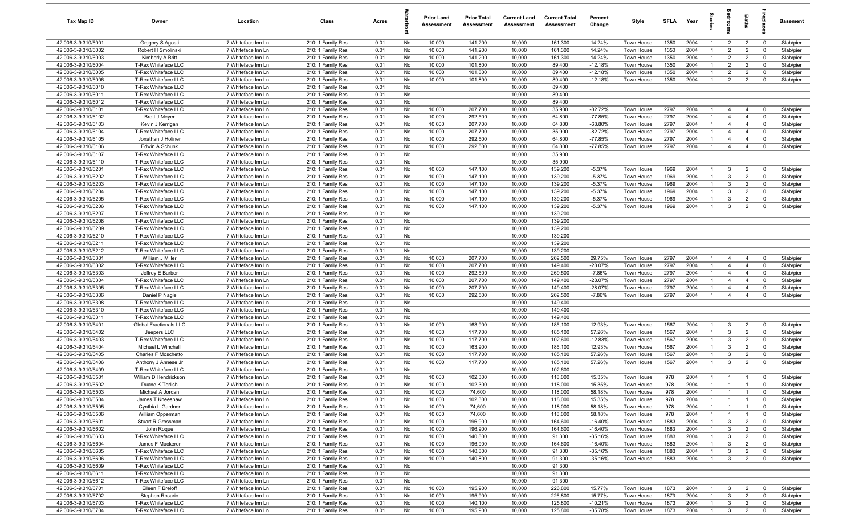| Tax Map ID                                 | Owner                                      | Location                                 | Class                                  | Acres        |          | <b>Prior Land</b><br>Assessment | <b>Prior Total</b><br>Assessment | <b>Current Land</b><br>Assessment | <b>Current Total</b><br>Assessment | Percent<br>Change      | Style                    | <b>SFLA</b>  | Year         | $\vec{a}$                        | š                            | Baths                            | lebia                      | Basement               |
|--------------------------------------------|--------------------------------------------|------------------------------------------|----------------------------------------|--------------|----------|---------------------------------|----------------------------------|-----------------------------------|------------------------------------|------------------------|--------------------------|--------------|--------------|----------------------------------|------------------------------|----------------------------------|----------------------------|------------------------|
| 42.006-3-9.310/6001                        | Gregory S Agosti                           | 7 Whiteface Inn Ln                       | 210: 1 Family Res                      | 0.01         | No       | 10,000                          | 141,200                          | 10,000                            | 161,300                            | 14.24%                 | Town House               | 1350         | 2004         | $\mathbf{1}$                     | $\overline{2}$               | $\overline{2}$                   | $\mathbf 0$                | Slab/pier              |
| 42.006-3-9.310/6002                        | Robert H Smolinski                         | 7 Whiteface Inn Ln                       | 210: 1 Family Res                      | 0.01         | No       | 10,000                          | 141,200                          | 10,000                            | 161,300                            | 14.24%                 | Town House               | 1350         | 2004         | $\overline{1}$                   | $\overline{2}$               | $\overline{2}$                   | $\mathbf 0$                | Slab/pier              |
| 42.006-3-9.310/6003                        | Kimberly A Britt                           | 7 Whiteface Inn Ln                       | 210: 1 Family Res                      | 0.01         | No       | 10,000                          | 141,200                          | 10,000                            | 161,300                            | 14.24%                 | Town House               | 1350         | 2004         | $\mathbf{1}$                     | $\overline{2}$               | $\overline{2}$                   | $\mathbf 0$                | Slab/pier              |
| 42.006-3-9.310/6004                        | T-Rex Whiteface LLC                        | 7 Whiteface Inn Ln                       | 210: 1 Family Res                      | 0.01         | No       | 10,000                          | 101,800                          | 10,000                            | 89,400                             | $-12.18%$              | Town House               | 1350         | 2004         | -1                               | $\overline{2}$               | $\overline{2}$                   | $\Omega$                   | Slab/pier              |
| 42.006-3-9.310/6005                        | T-Rex Whiteface LLC                        | 7 Whiteface Inn Ln                       | 210: 1 Family Res                      | 0.01         | No       | 10,000                          | 101,800                          | 10,000                            | 89,400                             | $-12.18%$              | Town House               | 1350         | 2004         | -1                               | $\overline{2}$               | $\overline{2}$                   | $\Omega$                   | Slab/pier              |
| 42.006-3-9.310/6006<br>42.006-3-9.310/6010 | T-Rex Whiteface LLC<br>T-Rex Whiteface LLC | 7 Whiteface Inn Ln<br>7 Whiteface Inn Ln | 210: 1 Family Res                      | 0.01         | No       | 10,000                          | 101,800                          | 10,000<br>10,000                  | 89,400<br>89,400                   | $-12.18%$              | Town House               | 1350         | 2004         | -1                               | $\overline{2}$               | $\overline{2}$                   | $\Omega$                   | Slab/pier              |
| 42.006-3-9.310/6011                        | T-Rex Whiteface LLC                        | 7 Whiteface Inn Ln                       | 210: 1 Family Res<br>210: 1 Family Res | 0.01<br>0.01 | No<br>No |                                 |                                  | 10,000                            | 89,400                             |                        |                          |              |              |                                  |                              |                                  |                            |                        |
| 42.006-3-9.310/6012                        | T-Rex Whiteface LLC                        | 7 Whiteface Inn Ln                       | 210: 1 Family Res                      | 0.01         | No       |                                 |                                  | 10,000                            | 89,400                             |                        |                          |              |              |                                  |                              |                                  |                            |                        |
| 42.006-3-9.310/6101                        | T-Rex Whiteface LLC                        | 7 Whiteface Inn Ln                       | 210: 1 Family Res                      | 0.01         | No       | 10,000                          | 207,700                          | 10,000                            | 35,900                             | $-82.72%$              | Town House               | 2797         | 2004         | $\overline{1}$                   | $\overline{4}$               | $\overline{4}$                   | $\mathbf 0$                | Slab/pier              |
| 42.006-3-9.310/6102                        | <b>Brett J Meyer</b>                       | 7 Whiteface Inn Ln                       | 210: 1 Family Res                      | 0.01         | No       | 10,000                          | 292,500                          | 10,000                            | 64,800                             | $-77.85%$              | Town House               | 2797         | 2004         | $\overline{1}$                   | $\overline{4}$               | $\overline{4}$                   | $\mathbf 0$                | Slab/pier              |
| 42.006-3-9.310/6103                        | Kevin J Kerrigan                           | 7 Whiteface Inn Ln                       | 210: 1 Family Res                      | 0.01         | No       | 10,000                          | 207,700                          | 10,000                            | 64,800                             | $-68.80%$              | Town House               | 2797         | 2004         | $\overline{1}$                   | $\overline{4}$               | $\overline{4}$                   | $\mathbf 0$                | Slab/pier              |
| 42.006-3-9.310/6104                        | T-Rex Whiteface LLC                        | 7 Whiteface Inn Ln                       | 210: 1 Family Res                      | 0.01         | No       | 10,000                          | 207,700                          | 10,000                            | 35,900                             | $-82.72%$              | Town House               | 2797         | 2004         | $\overline{1}$                   | $\overline{4}$               | $\overline{4}$                   | $\mathbf 0$                | Slab/pier              |
| 42.006-3-9.310/6105                        | Jonathan J Holiner                         | 7 Whiteface Inn Ln                       | 210: 1 Family Res                      | 0.01         | No       | 10,000                          | 292,500                          | 10,000                            | 64,800                             | $-77.85%$              | Town House               | 2797         | 2004         | $\mathbf{1}$                     | $\overline{4}$               | $\overline{4}$                   | $\mathbf 0$                | Slab/pier              |
| 42.006-3-9.310/6106                        | Edwin A Schunk                             | 7 Whiteface Inn Ln                       | 210: 1 Family Res                      | 0.01         | No       | 10,000                          | 292,500                          | 10,000                            | 64,800                             | $-77.85%$              | Town House               | 2797         | 2004         | $\overline{1}$                   | $\overline{4}$               | $\overline{4}$                   | $\mathbf 0$                | Slab/pier              |
| 42.006-3-9.310/6107                        | T-Rex Whiteface LLC                        | 7 Whiteface Inn Ln                       | 210: 1 Family Res                      | 0.01         | No       |                                 |                                  | 10,000                            | 35,900                             |                        |                          |              |              |                                  |                              |                                  |                            |                        |
| 42.006-3-9.310/6110                        | T-Rex Whiteface LLC                        | 7 Whiteface Inn Ln                       | 210: 1 Family Res                      | 0.01         | No       |                                 |                                  | 10,000                            | 35,900                             |                        |                          |              |              |                                  |                              |                                  |                            |                        |
| 42.006-3-9.310/6201                        | T-Rex Whiteface LLC                        | 7 Whiteface Inn Ln                       | 210: 1 Family Res                      | 0.01         | No       | 10,000                          | 147,100                          | 10,000                            | 139,200                            | $-5.37%$               | <b>Town House</b>        | 1969         | 2004         | -1                               | $\mathbf{3}$                 | $\overline{2}$                   | $\mathbf 0$                | Slab/pier              |
| 42.006-3-9.310/6202                        | T-Rex Whiteface LLC                        | 7 Whiteface Inn Ln                       | 210: 1 Family Res                      | 0.01         | No       | 10,000                          | 147,100                          | 10,000                            | 139,200                            | $-5.37%$               | Town House               | 1969         | 2004         | $\overline{1}$                   | $\mathbf{3}$                 | $\overline{2}$                   | $\Omega$                   | Slab/pier              |
| 42.006-3-9.310/6203                        | T-Rex Whiteface LLC                        | 7 Whiteface Inn Ln                       | 210: 1 Family Res                      | 0.01         | No       | 10,000                          | 147,100                          | 10,000                            | 139,200                            | $-5.37%$               | Town House               | 1969         | 2004         | $\overline{1}$                   | $\mathbf{3}$                 | $\overline{2}$                   | $\mathbf 0$                | Slab/pier              |
| 42.006-3-9.310/6204<br>42.006-3-9.310/6205 | T-Rex Whiteface LLC<br>T-Rex Whiteface LLC | 7 Whiteface Inn Ln                       | 210: 1 Family Res                      | 0.01         | No<br>No | 10,000<br>10,000                | 147,100                          | 10,000                            | 139,200<br>139,200                 | $-5.37%$<br>$-5.37%$   | Town House               | 1969<br>1969 | 2004<br>2004 | $\overline{1}$<br>$\overline{1}$ | $\mathbf{3}$<br>$\mathbf{3}$ | $\overline{2}$<br>$\overline{2}$ | $\mathbf 0$<br>$\mathbf 0$ | Slab/pier              |
| 42.006-3-9.310/6206                        | T-Rex Whiteface LLC                        | 7 Whiteface Inn Ln<br>7 Whiteface Inn Ln | 210: 1 Family Res<br>210: 1 Family Res | 0.01<br>0.01 | No       | 10,000                          | 147,100<br>147,100               | 10,000<br>10,000                  | 139,200                            | $-5.37%$               | Town House<br>Town House | 1969         | 2004         | $\overline{1}$                   | $\mathbf{3}$                 | $\overline{2}$                   | $\Omega$                   | Slab/pier<br>Slab/pier |
| 42.006-3-9.310/6207                        | T-Rex Whiteface LLC                        | 7 Whiteface Inn Ln                       | 210: 1 Family Res                      | 0.01         | No       |                                 |                                  | 10,000                            | 139,200                            |                        |                          |              |              |                                  |                              |                                  |                            |                        |
| 42.006-3-9.310/6208                        | T-Rex Whiteface LLC                        | 7 Whiteface Inn Ln                       | 210: 1 Family Res                      | 0.01         | No       |                                 |                                  | 10,000                            | 139,200                            |                        |                          |              |              |                                  |                              |                                  |                            |                        |
| 42.006-3-9.310/6209                        | T-Rex Whiteface LLC                        | 7 Whiteface Inn Ln                       | 210: 1 Family Res                      | 0.01         | No       |                                 |                                  | 10,000                            | 139,200                            |                        |                          |              |              |                                  |                              |                                  |                            |                        |
| 42.006-3-9.310/6210                        | T-Rex Whiteface LLC                        | 7 Whiteface Inn Ln                       | 210: 1 Family Res                      | 0.01         | No       |                                 |                                  | 10,000                            | 139,200                            |                        |                          |              |              |                                  |                              |                                  |                            |                        |
| 42.006-3-9.310/6211                        | T-Rex Whiteface LLC                        | 7 Whiteface Inn Ln                       | 210: 1 Family Res                      | 0.01         | No       |                                 |                                  | 10,000                            | 139,200                            |                        |                          |              |              |                                  |                              |                                  |                            |                        |
| 42.006-3-9.310/6212                        | T-Rex Whiteface LLC                        | 7 Whiteface Inn Ln                       | 210: 1 Family Res                      | 0.01         | No       |                                 |                                  | 10,000                            | 139,200                            |                        |                          |              |              |                                  |                              |                                  |                            |                        |
| 42.006-3-9.310/6301                        | William J Miller                           | 7 Whiteface Inn Ln                       | 210: 1 Family Res                      | 0.01         | No       | 10,000                          | 207,700                          | 10,000                            | 269,500                            | 29.75%                 | Town House               | 2797         | 2004         | $\mathbf{1}$                     | $\overline{4}$               | $\overline{4}$                   | $\mathbf 0$                | Slab/pier              |
| 42.006-3-9.310/6302                        | T-Rex Whiteface LLC                        | 7 Whiteface Inn Ln                       | 210: 1 Family Res                      | 0.01         | No       | 10,000                          | 207,700                          | 10,000                            | 149,400                            | $-28.07%$              | Town House               | 2797         | 2004         | $\mathbf{1}$                     | $\overline{4}$               | $\overline{4}$                   | $\mathbf 0$                | Slab/pier              |
| 42.006-3-9.310/6303                        | Jeffrey E Barber                           | 7 Whiteface Inn Ln                       | 210: 1 Family Res                      | 0.01         | No       | 10,000                          | 292,500                          | 10,000                            | 269,500                            | $-7.86%$               | Town House               | 2797         | 2004         | $\mathbf{1}$                     | $\overline{4}$               | $\overline{4}$                   | $\mathbf 0$                | Slab/pier              |
| 42.006-3-9.310/6304                        | T-Rex Whiteface LLC                        | 7 Whiteface Inn Ln                       | 210: 1 Family Res                      | 0.01         | No       | 10,000                          | 207,700                          | 10,000                            | 149,400                            | $-28.07%$              | Town House               | 2797         | 2004         | $\overline{1}$                   | $\overline{4}$               | $\overline{4}$                   | $\mathbf 0$                | Slab/pier              |
| 42.006-3-9.310/6305                        | T-Rex Whiteface LLC                        | 7 Whiteface Inn Ln                       | 210: 1 Family Res                      | 0.01         | No       | 10,000                          | 207,700                          | 10,000                            | 149,400                            | $-28.07%$              | Town House               | 2797         | 2004         | $\overline{1}$                   | $\overline{4}$               | $\overline{4}$                   | $\mathbf 0$                | Slab/pier              |
| 42.006-3-9.310/6306                        | Daniel P Nagle                             | 7 Whiteface Inn Ln                       | 210: 1 Family Res                      | 0.01         | No       | 10,000                          | 292,500                          | 10,000                            | 269,500                            | $-7.86%$               | Town House               | 2797         | 2004         | $\overline{1}$                   | $\overline{4}$               | $\overline{4}$                   | $\mathbf 0$                | Slab/pier              |
| 42.006-3-9.310/6308<br>42.006-3-9.310/6310 | T-Rex Whiteface LLC<br>T-Rex Whiteface LLC | 7 Whiteface Inn Ln<br>7 Whiteface Inn Ln | 210: 1 Family Res<br>210: 1 Family Res | 0.01<br>0.01 | No<br>No |                                 |                                  | 10,000<br>10,000                  | 149,400<br>149,400                 |                        |                          |              |              |                                  |                              |                                  |                            |                        |
| 42.006-3-9.310/6311                        | T-Rex Whiteface LLC                        | 7 Whiteface Inn Ln                       | 210: 1 Family Res                      | 0.01         | No       |                                 |                                  | 10,000                            | 149,400                            |                        |                          |              |              |                                  |                              |                                  |                            |                        |
| 42.006-3-9.310/6401                        | <b>Global Fractionals LLC</b>              | 7 Whiteface Inn Ln                       | 210: 1 Family Res                      | 0.01         | No       | 10,000                          | 163,900                          | 10,000                            | 185,100                            | 12.93%                 | Town House               | 1567         | 2004         | $\overline{1}$                   | $\mathbf{3}$                 | $\overline{2}$                   | $\mathbf 0$                | Slab/pier              |
| 42.006-3-9.310/6402                        | Jeepers LLC                                | 7 Whiteface Inn Ln                       | 210: 1 Family Res                      | 0.01         | No       | 10,000                          | 117,700                          | 10,000                            | 185,100                            | 57.26%                 | Town House               | 1567         | 2004         | $\mathbf{1}$                     | $\mathbf{3}$                 | $\overline{2}$                   | $\mathbf 0$                | Slab/pier              |
| 42.006-3-9.310/6403                        | T-Rex Whiteface LLC                        | 7 Whiteface Inn Ln                       | 210: 1 Family Res                      | 0.01         | No       | 10,000                          | 117,700                          | 10,000                            | 102,600                            | $-12.83%$              | Town House               | 1567         | 2004         | $\overline{1}$                   | $\mathbf{3}$                 | $\overline{2}$                   | $\mathbf 0$                | Slab/pier              |
| 42.006-3-9.310/6404                        | Michael L Winchell                         | 7 Whiteface Inn Ln                       | 210: 1 Family Res                      | 0.01         | No       | 10,000                          | 163,900                          | 10,000                            | 185,100                            | 12.93%                 | Town House               | 1567         | 2004         | -1                               | $\mathbf{3}$                 | $\overline{2}$                   | $\mathbf 0$                | Slab/pier              |
| 42.006-3-9.310/6405                        | Charles F Moschetto                        | 7 Whiteface Inn Ln                       | 210: 1 Family Res                      | 0.01         | No       | 10,000                          | 117,700                          | 10,000                            | 185,100                            | 57.26%                 | Town House               | 1567         | 2004         | $\overline{1}$                   | $\mathbf{3}$                 | $\overline{2}$                   | $\Omega$                   | Slab/pier              |
| 42.006-3-9.310/6406                        | Anthony J Annese Jr                        | 7 Whiteface Inn Ln                       | 210: 1 Family Res                      | 0.01         | No       | 10,000                          | 117,700                          | 10,000                            | 185,100                            | 57.26%                 | Town House               | 1567         | 2004         | $\mathbf{1}$                     | $\mathbf{3}$                 | $\overline{2}$                   | $\mathbf 0$                | Slab/pier              |
| 42.006-3-9.310/6409                        | T-Rex Whiteface LLC                        | 7 Whiteface Inn Ln                       | 210: 1 Family Res                      | 0.01         | No       |                                 |                                  | 10,000                            | 102,600                            |                        |                          |              |              |                                  |                              |                                  |                            |                        |
| 42.006-3-9.310/6501                        | William D Hendrickson                      | 7 Whiteface Inn Ln                       | 210: 1 Family Res                      | 0.01         | No       | 10,000                          | 102,300                          | 10,000                            | 118,000                            | 15.35%                 | Town House               | 978          | 2004         | $\overline{1}$                   | $\overline{1}$               | $\overline{1}$                   | $\Omega$                   | Slab/pier              |
| 42.006-3-9.310/6502                        | Duane K Torlish                            | 7 Whiteface Inn Ln                       | 210: 1 Family Res                      | 0.01         | No       | 10,000                          | 102,300                          | 10,000                            | 118,000                            | 15.35%                 | Town House               | 978          | 2004         |                                  |                              |                                  |                            | Slab/pier              |
| 42.006-3-9.310/6503<br>42.006-3-9.310/6504 | Michael A Jordan<br>James T Kneeshaw       | 7 Whiteface Inn Ln<br>7 Whiteface Inn Ln | 210: 1 Family Res<br>210: 1 Family Res | 0.01<br>0.01 | No<br>No | 10,000<br>10,000                | 74,600<br>102,300                | 10,000<br>10,000                  | 118,000<br>118,000                 | 58.18%<br>15.35%       | Town House<br>Town House | 978<br>978   | 2004<br>2004 | $\overline{1}$<br>$\mathbf{1}$   | $\overline{1}$               | $\mathbf{1}$<br>$\overline{1}$   | $\mathbf 0$<br>$\mathbf 0$ | Slab/pier<br>Slab/pier |
| 42.006-3-9.310/6505                        | Cynthia L Gardner                          | 7 Whiteface Inn Ln                       | 210: 1 Family Res                      | 0.01         | No       | 10,000                          | 74,600                           | 10,000                            | 118,000                            | 58.18%                 | Town House               | 978          | 2004         | $\overline{1}$                   | $\mathbf{1}$                 | $\overline{1}$                   | $\mathbf 0$                | Slab/pier              |
| 42.006-3-9.310/6506                        | William Opperman                           | 7 Whiteface Inn Ln                       | 210: 1 Family Res                      | 0.01         | No       | 10,000                          | 74,600                           | 10,000                            | 118,000                            | 58.18%                 | Town House               | 978          | 2004         | $\mathbf{1}$                     | $\overline{1}$               | $\mathbf{1}$                     | $\mathbf 0$                | Slab/pier              |
| 42.006-3-9.310/6601                        | Stuart R Grossman                          | 7 Whiteface Inn Ln                       | 210: 1 Family Res                      | 0.01         | No       | 10,000                          | 196,900                          | 10,000                            | 164,600                            | $-16.40%$              | Town House               | 1883         | 2004         | $\overline{1}$                   | $\mathbf{3}$                 | $\overline{2}$                   | $\mathbf 0$                | Slab/pier              |
| 42.006-3-9.310/6602                        | John Roque                                 | 7 Whiteface Inn Ln                       | 210: 1 Family Res                      | 0.01         | No       | 10,000                          | 196,900                          | 10,000                            | 164,600                            | $-16.40%$              | Town House               | 1883         | 2004         | $\mathbf{1}$                     | $\mathbf{3}$                 | $\overline{2}$                   | $\mathbf 0$                | Slab/pier              |
| 42.006-3-9.310/6603                        | T-Rex Whiteface LLC                        | 7 Whiteface Inn Ln                       | 210: 1 Family Res                      | 0.01         | No       | 10,000                          | 140,800                          | 10,000                            | 91,300                             | $-35.16%$              | Town House               | 1883         | 2004         | $\overline{1}$                   | $\overline{\mathbf{3}}$      | $\overline{2}$                   | $\mathbf 0$                | Slab/pier              |
| 42.006-3-9.310/6604                        | James F Mackerer                           | 7 Whiteface Inn Ln                       | 210: 1 Family Res                      | 0.01         | No       | 10,000                          | 196,900                          | 10,000                            | 164,600                            | $-16.40%$              | Town House               | 1883         | 2004         | 1                                | $\mathbf{3}$                 | $\overline{2}$                   | $\mathbf 0$                | Slab/pier              |
| 42.006-3-9.310/6605                        | T-Rex Whiteface LLC                        | 7 Whiteface Inn Ln                       | 210: 1 Family Res                      | 0.01         | No       | 10,000                          | 140,800                          | 10,000                            | 91,300                             | $-35.16%$              | Town House               | 1883         | 2004         | $\mathbf{1}$                     | $\overline{\mathbf{3}}$      | $\overline{2}$                   | $\mathbf 0$                | Slab/pier              |
| 42.006-3-9.310/6606                        | T-Rex Whiteface LLC                        | 7 Whiteface Inn Ln                       | 210: 1 Family Res                      | 0.01         | No       | 10,000                          | 140,800                          | 10,000                            | 91,300                             | $-35.16%$              | Town House               | 1883         | 2004         | $\overline{1}$                   | $\mathbf{3}$                 | $\overline{2}$                   | $\mathbf 0$                | Slab/pier              |
| 42.006-3-9.310/6609                        | T-Rex Whiteface LLC                        | 7 Whiteface Inn Ln                       | 210: 1 Family Res                      | 0.01         | No       |                                 |                                  | 10,000                            | 91,300                             |                        |                          |              |              |                                  |                              |                                  |                            |                        |
| 42.006-3-9.310/6611                        | T-Rex Whiteface LLC                        | 7 Whiteface Inn Ln                       | 210: 1 Family Res                      | 0.01         | No       |                                 |                                  | 10,000                            | 91,300                             |                        |                          |              |              |                                  |                              |                                  |                            |                        |
| 42.006-3-9.310/6612                        | T-Rex Whiteface LLC                        | 7 Whiteface Inn Ln                       | 210: 1 Family Res                      | 0.01         | No       |                                 |                                  | 10,000                            | 91,300                             |                        |                          |              |              |                                  |                              |                                  |                            |                        |
| 42.006-3-9.310/6701                        | Eileen F Breloff                           | 7 Whiteface Inn Ln                       | 210: 1 Family Res                      | 0.01         | No       | 10,000                          | 195,900                          | 10,000                            | 226,800                            | 15.77%                 | Town House               | 1873         | 2004         | $\overline{1}$                   | $\mathbf{3}$                 | $\overline{2}$                   | $\mathbf 0$                | Slab/pier              |
| 42.006-3-9.310/6702                        | Stephen Rosario                            | 7 Whiteface Inn Ln                       | 210: 1 Family Res                      | 0.01         | No       | 10,000                          | 195,900                          | 10,000                            | 226,800                            | 15.77%                 | Town House               | 1873         | 2004         | $\overline{1}$<br>$\overline{1}$ | $\mathbf{3}$                 | $\overline{2}$                   | $\mathbf 0$                | Slab/pier              |
| 42.006-3-9.310/6703<br>42.006-3-9.310/6704 | T-Rex Whiteface LLC<br>T-Rex Whiteface LLC | 7 Whiteface Inn Ln<br>7 Whiteface Inn Ln | 210: 1 Family Res<br>210: 1 Family Res | 0.01<br>0.01 | No<br>No | 10,000<br>10,000                | 140,100<br>195,900               | 10,000<br>10,000                  | 125,800<br>125,800                 | $-10.21%$<br>$-35.78%$ | Town House<br>Town House | 1873<br>1873 | 2004<br>2004 | $\overline{1}$                   | $\mathbf{3}$<br>$\mathbf{3}$ | $\overline{2}$<br>$\overline{2}$ | $\mathbf 0$<br>$\mathbf 0$ | Slab/pier<br>Slab/pier |
|                                            |                                            |                                          |                                        |              |          |                                 |                                  |                                   |                                    |                        |                          |              |              |                                  |                              |                                  |                            |                        |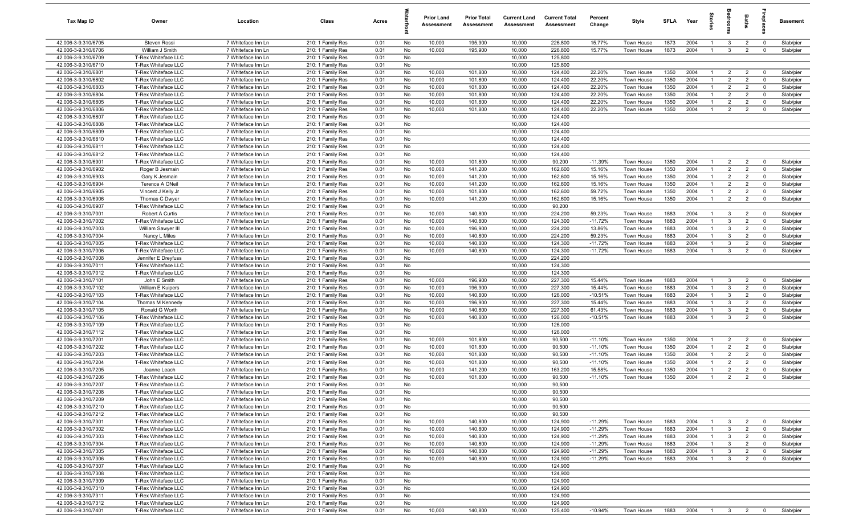| Tax Map ID                                 | Owner                                      | Location                                 | Class                                  | Acres        |          | <b>Prior Land</b><br>Assessment | <b>Prior Total</b><br>Assessment | <b>Current Land</b><br>Assessment | <b>Current Total</b><br>Assessment | Percent<br>Change      | Style                                  | <b>SFLA</b>  | Year         |                                | š                                | Baths                            | Lebia                     | Basement               |
|--------------------------------------------|--------------------------------------------|------------------------------------------|----------------------------------------|--------------|----------|---------------------------------|----------------------------------|-----------------------------------|------------------------------------|------------------------|----------------------------------------|--------------|--------------|--------------------------------|----------------------------------|----------------------------------|---------------------------|------------------------|
| 42.006-3-9.310/6705                        | Steven Rossi                               | 7 Whiteface Inn Ln                       | 210: 1 Family Res                      | 0.01         | No       | 10,000                          | 195,900                          | 10,000                            | 226,800                            | 15.77%                 | Town House                             | 1873         | 2004         | $\mathbf{1}$                   | $\mathbf{3}$                     | $\overline{2}$                   | $^{\circ}$                | Slab/pier              |
| 42.006-3-9.310/6706                        | William J Smith                            | 7 Whiteface Inn Ln                       | 210: 1 Family Res                      | 0.01         | No       | 10,000                          | 195,900                          | 10,000                            | 226,800                            | 15.77%                 | Town House                             | 1873         | 2004         | $\overline{1}$                 | $\mathbf{3}$                     | $\overline{2}$                   | $\mathbf 0$               | Slab/pier              |
| 42.006-3-9.310/6709                        | T-Rex Whiteface LLC                        | 7 Whiteface Inn Ln                       | 210: 1 Family Res                      | 0.01         | No       |                                 |                                  | 10,000                            | 125,800                            |                        |                                        |              |              |                                |                                  |                                  |                           |                        |
| 42.006-3-9.310/6710                        | T-Rex Whiteface LLC                        | 7 Whiteface Inn Ln                       | 210: 1 Family Res                      | 0.01         | No       |                                 |                                  | 10,000                            | 125,800                            |                        |                                        |              |              | -1                             |                                  |                                  |                           |                        |
| 42.006-3-9.310/6801<br>42.006-3-9.310/6802 | T-Rex Whiteface LLC<br>T-Rex Whiteface LLC | 7 Whiteface Inn Ln<br>7 Whiteface Inn Ln | 210: 1 Family Res<br>210: 1 Family Res | 0.01<br>0.01 | No<br>No | 10,000<br>10,000                | 101,800<br>101,800               | 10,000<br>10,000                  | 124,400<br>124,400                 | 22.20%<br>22.20%       | <b>Town House</b><br>Town House        | 1350<br>1350 | 2004<br>2004 | $\mathbf{1}$                   | $\overline{2}$<br>$\overline{2}$ | $\overline{2}$<br>$\overline{2}$ | $^{\circ}$<br>$\Omega$    | Slab/pier<br>Slab/pier |
| 42.006-3-9.310/6803                        | T-Rex Whiteface LLC                        | 7 Whiteface Inn Ln                       | 210: 1 Family Res                      | 0.01         | No       | 10,000                          | 101,800                          | 10,000                            | 124,400                            | 22.20%                 | Town House                             | 1350         | 2004         | $\overline{1}$                 | $\overline{2}$                   | $\overline{2}$                   | $\mathbf 0$               | Slab/pier              |
| 42.006-3-9.310/6804                        | T-Rex Whiteface LLC                        | 7 Whiteface Inn Ln                       | 210: 1 Family Res                      | 0.01         | No       | 10,000                          | 101,800                          | 10,000                            | 124,400                            | 22.20%                 | Town House                             | 1350         | 2004         | $\overline{1}$                 | $\overline{2}$                   | $\overline{2}$                   | $\mathbf 0$               | Slab/pier              |
| 42.006-3-9.310/6805                        | T-Rex Whiteface LLC                        | 7 Whiteface Inn Ln                       | 210: 1 Family Res                      | 0.01         | No       | 10,000                          | 101,800                          | 10,000                            | 124,400                            | 22.20%                 | Town House                             | 1350         | 2004         | $\overline{1}$                 | $\overline{2}$                   | $\overline{2}$                   | $^{\circ}$                | Slab/pier              |
| 42.006-3-9.310/6806                        | T-Rex Whiteface LLC                        | 7 Whiteface Inn Ln                       | 210: 1 Family Res                      | 0.01         | No       | 10,000                          | 101,800                          | 10,000                            | 124,400                            | 22.20%                 | Town House                             | 1350         | 2004         | $\overline{1}$                 | $\overline{2}$                   | $\overline{2}$                   | $^{\circ}$                | Slab/pier              |
| 42.006-3-9.310/6807                        | T-Rex Whiteface LLC                        | 7 Whiteface Inn Ln                       | 210: 1 Family Res                      | 0.01         | No       |                                 |                                  | 10,000                            | 124,400                            |                        |                                        |              |              |                                |                                  |                                  |                           |                        |
| 42.006-3-9.310/6808                        | T-Rex Whiteface LLC                        | 7 Whiteface Inn Ln                       | 210: 1 Family Res                      | 0.01         | No       |                                 |                                  | 10,000                            | 124,400                            |                        |                                        |              |              |                                |                                  |                                  |                           |                        |
| 42.006-3-9.310/6809                        | T-Rex Whiteface LLC                        | 7 Whiteface Inn Ln                       | 210: 1 Family Res                      | 0.01         | No       |                                 |                                  | 10,000                            | 124,400                            |                        |                                        |              |              |                                |                                  |                                  |                           |                        |
| 42.006-3-9.310/6810                        | T-Rex Whiteface LLC                        | 7 Whiteface Inn Ln                       | 210: 1 Family Res                      | 0.01         | No       |                                 |                                  | 10,000                            | 124,400                            |                        |                                        |              |              |                                |                                  |                                  |                           |                        |
| 42.006-3-9.310/6811                        | T-Rex Whiteface LLC                        | 7 Whiteface Inn Ln                       | 210: 1 Family Res                      | 0.01         | No       |                                 |                                  | 10,000                            | 124,400                            |                        |                                        |              |              |                                |                                  |                                  |                           |                        |
| 42.006-3-9.310/6812                        | T-Rex Whiteface LLC                        | 7 Whiteface Inn Ln                       | 210: 1 Family Res                      | 0.01         | No       |                                 |                                  | 10,000                            | 124,400                            |                        |                                        |              |              |                                |                                  |                                  |                           |                        |
| 42.006-3-9.310/6901<br>42.006-3-9.310/6902 | T-Rex Whiteface LLC                        | 7 Whiteface Inn Ln<br>7 Whiteface Inn Ln | 210: 1 Family Res                      | 0.01         | No       | 10,000                          | 101,800                          | 10,000                            | 90,200                             | $-11.39%$              | Town House                             | 1350         | 2004<br>2004 | $\mathbf{1}$<br>$\overline{1}$ | $\overline{2}$                   | $\overline{2}$                   | $\mathbf 0$<br>$^{\circ}$ | Slab/pier              |
| 42.006-3-9.310/6903                        | Roger B Jesmain<br>Gary K Jesmain          | 7 Whiteface Inn Ln                       | 210: 1 Family Res<br>210: 1 Family Res | 0.01<br>0.01 | No<br>No | 10,000<br>10,000                | 141,200<br>141,200               | 10,000<br>10,000                  | 162,600<br>162,600                 | 15.16%<br>15.16%       | <b>Town House</b><br><b>Town House</b> | 1350<br>1350 | 2004         | $\overline{1}$                 | $\overline{2}$<br>$\overline{2}$ | $\overline{2}$<br>$\overline{2}$ | $^{\circ}$                | Slab/pier<br>Slab/pier |
| 42.006-3-9.310/6904                        | Terence A ONeil                            | 7 Whiteface Inn Ln                       | 210: 1 Family Res                      | 0.01         | No       | 10,000                          | 141,200                          | 10,000                            | 162,600                            | 15.16%                 | Town House                             | 1350         | 2004         | $\overline{1}$                 | $\overline{2}$                   | $\overline{2}$                   | $\mathbf 0$               | Slab/pier              |
| 42.006-3-9.310/6905                        | Vincent J Kelly Jr                         | 7 Whiteface Inn Ln                       | 210: 1 Family Res                      | 0.01         | No       | 10,000                          | 101,800                          | 10,000                            | 162,600                            | 59.72%                 | Town House                             | 1350         | 2004         | $\overline{1}$                 | $\overline{2}$                   | $\overline{2}$                   | $\mathbf 0$               | Slab/pier              |
| 42.006-3-9.310/6906                        | Thomas C Dwyer                             | 7 Whiteface Inn Ln                       | 210: 1 Family Res                      | 0.01         | No       | 10,000                          | 141,200                          | 10,000                            | 162,600                            | 15.16%                 | Town House                             | 1350         | 2004         | $\overline{1}$                 | $\overline{2}$                   | $\overline{2}$                   | $\mathbf 0$               | Slab/pier              |
| 42.006-3-9.310/6907                        | T-Rex Whiteface LLC                        | 7 Whiteface Inn Ln                       | 210: 1 Family Res                      | 0.01         | No       |                                 |                                  | 10,000                            | 90,200                             |                        |                                        |              |              |                                |                                  |                                  |                           |                        |
| 42.006-3-9.310/7001                        | Robert A Curtis                            | 7 Whiteface Inn Ln                       | 210: 1 Family Res                      | 0.01         | No       | 10,000                          | 140,800                          | 10,000                            | 224,200                            | 59.23%                 | Town House                             | 1883         | 2004         | $\overline{1}$                 | 3                                | $\overline{2}$                   | $^{\circ}$                | Slab/pier              |
| 42.006-3-9.310/7002                        | T-Rex Whiteface LLC                        | 7 Whiteface Inn Ln                       | 210: 1 Family Res                      | 0.01         | No       | 10,000                          | 140,800                          | 10,000                            | 124,300                            | $-11.72%$              | Town House                             | 1883         | 2004         | $\overline{1}$                 | $\mathbf{3}$                     | $\overline{2}$                   | $\mathbf{0}$              | Slab/pier              |
| 42.006-3-9.310/7003                        | William Sawyer III                         | 7 Whiteface Inn Ln                       | 210: 1 Family Res                      | 0.01         | No       | 10,000                          | 196,900                          | 10,000                            | 224,200                            | 13.86%                 | Town House                             | 1883         | 2004         | $\overline{1}$                 | $\mathbf{3}$                     | $\overline{2}$                   | $\Omega$                  | Slab/pier              |
| 42.006-3-9.310/7004                        | Nancy L Miles                              | 7 Whiteface Inn Ln                       | 210: 1 Family Res                      | 0.01         | No       | 10,000                          | 140,800                          | 10,000                            | 224,200                            | 59.23%                 | Town House                             | 1883         | 2004         | $\overline{1}$                 | $\mathbf{3}$                     | $\overline{2}$                   | $\mathbf 0$               | Slab/pier              |
| 42.006-3-9.310/7005                        | T-Rex Whiteface LLC                        | 7 Whiteface Inn Ln                       | 210: 1 Family Res                      | 0.01         | No       | 10,000                          | 140,800                          | 10,000                            | 124,300                            | $-11.72%$              | Town House                             | 1883         | 2004         | $\overline{1}$                 | $\mathbf{3}$                     | $\overline{2}$                   | $\Omega$                  | Slab/pier              |
| 42.006-3-9.310/7006                        | T-Rex Whiteface LLC                        | 7 Whiteface Inn Ln                       | 210: 1 Family Res                      | 0.01         | No       | 10,000                          | 140,800                          | 10,000                            | 124,300                            | $-11.72%$              | Town House                             | 1883         | 2004         | $\overline{1}$                 | $\mathbf{3}$                     | $\overline{2}$                   | $^{\circ}$                | Slab/pier              |
| 42.006-3-9.310/7008                        | Jennifer E Dreyfuss                        | 7 Whiteface Inn Ln                       | 210: 1 Family Res                      | 0.01         | No       |                                 |                                  | 10,000                            | 224,200                            |                        |                                        |              |              |                                |                                  |                                  |                           |                        |
| 42.006-3-9.310/7011<br>42.006-3-9.310/7012 | T-Rex Whiteface LLC<br>T-Rex Whiteface LLC | 7 Whiteface Inn Ln<br>7 Whiteface Inn Ln | 210: 1 Family Res<br>210: 1 Family Res | 0.01<br>0.01 | No<br>No |                                 |                                  | 10,000<br>10,000                  | 124,300<br>124,300                 |                        |                                        |              |              |                                |                                  |                                  |                           |                        |
| 42.006-3-9.310/7101                        | John E Smith                               | 7 Whiteface Inn Ln                       | 210: 1 Family Res                      | 0.01         | No       | 10,000                          | 196,900                          | 10,000                            | 227,300                            | 15.44%                 | Town House                             | 1883         | 2004         | $\overline{1}$                 | 3                                | $\overline{2}$                   | $^{\circ}$                | Slab/pier              |
| 42.006-3-9.310/7102                        | William E Kuipers                          | 7 Whiteface Inn Ln                       | 210: 1 Family Res                      | 0.01         | No       | 10,000                          | 196,900                          | 10,000                            | 227,300                            | 15.44%                 | Town House                             | 1883         | 2004         | $\overline{1}$                 | $\mathbf{3}$                     | $\overline{2}$                   | $\mathbf 0$               | Slab/pier              |
| 42.006-3-9.310/7103                        | T-Rex Whiteface LLC                        | 7 Whiteface Inn Ln                       | 210: 1 Family Res                      | 0.01         | No       | 10,000                          | 140,800                          | 10,000                            | 126,000                            | $-10.51%$              | Town House                             | 1883         | 2004         | $\overline{1}$                 | $\mathbf{3}$                     | $\overline{2}$                   | $^{\circ}$                | Slab/pier              |
| 42.006-3-9.310/7104                        | Thomas M Kennedy                           | 7 Whiteface Inn Ln                       | 210: 1 Family Res                      | 0.01         | No       | 10,000                          | 196,900                          | 10,000                            | 227,300                            | 15.44%                 | Town House                             | 1883         | 2004         | $\overline{1}$                 | $\mathbf{3}$                     | $\overline{2}$                   | $^{\circ}$                | Slab/pier              |
| 42.006-3-9.310/7105                        | Ronald G Worth                             | 7 Whiteface Inn Ln                       | 210: 1 Family Res                      | 0.01         | No       | 10,000                          | 140,800                          | 10,000                            | 227,300                            | 61.43%                 | Town House                             | 1883         | 2004         | $\overline{1}$                 | $\mathbf{3}$                     | $\overline{2}$                   | $^{\circ}$                | Slab/pier              |
| 42.006-3-9.310/7106                        | T-Rex Whiteface LLC                        | 7 Whiteface Inn Ln                       | 210: 1 Family Res                      | 0.01         | No       | 10,000                          | 140,800                          | 10,000                            | 126,000                            | $-10.51%$              | Town House                             | 1883         | 2004         | $\overline{1}$                 | $\mathbf{3}$                     | $\overline{2}$                   | $\Omega$                  | Slab/pier              |
| 42.006-3-9.310/7109                        | T-Rex Whiteface LLC                        | 7 Whiteface Inn Ln                       | 210: 1 Family Res                      | 0.01         | No       |                                 |                                  | 10,000                            | 126,000                            |                        |                                        |              |              |                                |                                  |                                  |                           |                        |
| 42.006-3-9.310/7112                        | T-Rex Whiteface LLC                        | 7 Whiteface Inn Ln                       | 210: 1 Family Res                      | 0.01         | No       |                                 |                                  | 10,000                            | 126,000                            |                        |                                        |              |              |                                |                                  |                                  |                           |                        |
| 42.006-3-9.310/7201                        | T-Rex Whiteface LLC                        | 7 Whiteface Inn Ln                       | 210: 1 Family Res                      | 0.01         | No       | 10,000                          | 101,800                          | 10,000                            | 90,500                             | $-11.10%$              | Town House                             | 1350         | 2004         | $\overline{1}$                 | $\overline{2}$                   | $\overline{2}$                   | $^{\circ}$                | Slab/pier              |
| 42.006-3-9.310/7202                        | T-Rex Whiteface LLC                        | 7 Whiteface Inn Ln                       | 210: 1 Family Res                      | 0.01         | No       | 10,000                          | 101,800                          | 10,000                            | 90,500                             | $-11.10%$              | Town House                             | 1350         | 2004         | -1                             | $\overline{2}$                   | $\overline{2}$                   | $^{\circ}$<br>$\Omega$    | Slab/pier              |
| 42.006-3-9.310/7203<br>42.006-3-9.310/7204 | T-Rex Whiteface LLC<br>T-Rex Whiteface LLC | 7 Whiteface Inn Ln<br>7 Whiteface Inn Ln | 210: 1 Family Res<br>210: 1 Family Res | 0.01<br>0.01 | No<br>No | 10,000<br>10,000                | 101,800<br>101,800               | 10,000<br>10,000                  | 90,500<br>90,500                   | $-11.10%$<br>$-11.10%$ | Town House<br>Town House               | 1350<br>1350 | 2004<br>2004 | $\overline{1}$<br>$\mathbf{1}$ | $\overline{2}$<br>$\overline{2}$ | $\overline{2}$<br>$\overline{2}$ | $\mathbf{0}$              | Slab/pier<br>Slab/pier |
| 42.006-3-9.310/7205                        | Joanne Leach                               | 7 Whiteface Inn Ln                       | 210: 1 Family Res                      | 0.01         | No       | 10,000                          | 141,200                          | 10,000                            | 163,200                            | 15.58%                 | Town House                             | 1350         | 2004         | $\overline{1}$                 | $\overline{2}$                   | $\overline{2}$                   | $\Omega$                  | Slab/pier              |
| 42.006-3-9.310/7206                        | T-Rex Whiteface LLC                        | 7 Whiteface Inn Ln                       | 210: 1 Family Res                      | 0.01         | No       | 10,000                          | 101,800                          | 10,000                            | 90,500                             | $-11.10%$              | Town House                             | 1350         | 2004         | $\overline{1}$                 | $\overline{2}$                   | $\overline{2}$                   | $^{\circ}$                | Slab/pier              |
| 42.006-3-9.310/7207                        | T-Rex Whiteface LLC                        | 7 Whiteface Inn Ln                       | 210: 1 Family Res                      | 0.01         | No       |                                 |                                  | 10,000                            | 90,500                             |                        |                                        |              |              |                                |                                  |                                  |                           |                        |
| 42.006-3-9.310/7208                        | T-Rex Whiteface LLC                        | 7 Whiteface Inn Ln                       | 210: 1 Family Res                      | 0.01         | No       |                                 |                                  | 10,000                            | 90,500                             |                        |                                        |              |              |                                |                                  |                                  |                           |                        |
| 42.006-3-9.310/7209                        | T-Rex Whiteface LLC                        | 7 Whiteface Inn Ln                       | 210: 1 Family Res                      | 0.01         | No       |                                 |                                  | 10,000                            | 90,500                             |                        |                                        |              |              |                                |                                  |                                  |                           |                        |
| 42.006-3-9.310/7210                        | T-Rex Whiteface LLC                        | 7 Whiteface Inn Ln                       | 210: 1 Family Res                      | 0.01         | No       |                                 |                                  | 10,000                            | 90,500                             |                        |                                        |              |              |                                |                                  |                                  |                           |                        |
| 42.006-3-9.310/7212                        | T-Rex Whiteface LLC                        | 7 Whiteface Inn Ln                       | 210: 1 Family Res                      | 0.01         | No       |                                 |                                  | 10,000                            | 90,500                             |                        |                                        |              |              |                                |                                  |                                  |                           |                        |
| 42.006-3-9.310/7301                        | T-Rex Whiteface LLC                        | 7 Whiteface Inn Ln                       | 210: 1 Family Res                      | 0.01         | No       | 10,000                          | 140,800                          | 10,000                            | 124,900                            | $-11.29%$              | Town House                             | 1883         | 2004         | $\overline{1}$                 | $\mathbf{3}$                     | $\overline{2}$                   | $\mathbf 0$               | Slab/pier              |
| 42.006-3-9.310/7302                        | T-Rex Whiteface LLC                        | 7 Whiteface Inn Ln                       | 210: 1 Family Res                      | 0.01         | No       | 10,000                          | 140,800                          | 10,000                            | 124,900                            | $-11.29%$              | Town House                             | 1883         | 2004         | $\mathbf{1}$                   | $\mathbf{3}$                     | $\overline{2}$                   | $\mathbf 0$               | Slab/pier              |
| 42.006-3-9.310/7303                        | T-Rex Whiteface LLC                        | 7 Whiteface Inn Ln                       | 210: 1 Family Res                      | 0.01         | No       | 10,000                          | 140,800                          | 10,000                            | 124,900                            | $-11.29%$              | Town House                             | 1883         | 2004         | $\overline{1}$                 | $\mathbf{3}$                     | $\overline{2}$                   | $\mathbf 0$               | Slab/pier              |
| 42.006-3-9.310/7304                        | T-Rex Whiteface LLC                        | 7 Whiteface Inn Ln                       | 210: 1 Family Res                      | 0.01         | No       | 10,000                          | 140,800                          | 10,000                            | 124,900                            | $-11.29%$              | Town House                             | 1883         | 2004         | $\mathbf{1}$                   | $\mathbf{3}$                     | $\overline{2}$                   | $\mathbf 0$               | Slab/pier              |
| 42.006-3-9.310/7305<br>42.006-3-9.310/7306 | T-Rex Whiteface LLC                        | 7 Whiteface Inn Ln                       | 210: 1 Family Res                      | 0.01         | No       | 10,000                          | 140,800                          | 10,000<br>10,000                  | 124,900<br>124,900                 | $-11.29%$              | Town House                             | 1883         | 2004<br>2004 | $\mathbf{1}$                   | $\overline{\mathbf{3}}$          | $\overline{2}$                   | $\mathbf 0$<br>$^{\circ}$ | Slab/pier              |
| 42.006-3-9.310/7307                        | T-Rex Whiteface LLC<br>T-Rex Whiteface LLC | 7 Whiteface Inn Ln<br>7 Whiteface Inn Ln | 210: 1 Family Res<br>210: 1 Family Res | 0.01<br>0.01 | No<br>No | 10,000                          | 140,800                          | 10,000                            | 124,900                            | $-11.29%$              | Town House                             | 1883         |              | $\overline{1}$                 | $\mathbf{3}$                     | $\overline{2}$                   |                           | Slab/pier              |
| 42.006-3-9.310/7308                        | T-Rex Whiteface LLC                        | 7 Whiteface Inn Ln                       | 210: 1 Family Res                      | 0.01         | No       |                                 |                                  | 10,000                            | 124,900                            |                        |                                        |              |              |                                |                                  |                                  |                           |                        |
| 42.006-3-9.310/7309                        | T-Rex Whiteface LLC                        | 7 Whiteface Inn Ln                       | 210: 1 Family Res                      | 0.01         | No       |                                 |                                  | 10,000                            | 124,900                            |                        |                                        |              |              |                                |                                  |                                  |                           |                        |
| 42.006-3-9.310/7310                        | T-Rex Whiteface LLC                        | 7 Whiteface Inn Ln                       | 210: 1 Family Res                      | 0.01         | No       |                                 |                                  | 10,000                            | 124,900                            |                        |                                        |              |              |                                |                                  |                                  |                           |                        |
| 42.006-3-9.310/7311                        | T-Rex Whiteface LLC                        | 7 Whiteface Inn Ln                       | 210: 1 Family Res                      | 0.01         | No       |                                 |                                  | 10,000                            | 124,900                            |                        |                                        |              |              |                                |                                  |                                  |                           |                        |
| 42.006-3-9.310/7312                        | T-Rex Whiteface LLC                        | 7 Whiteface Inn Ln                       | 210: 1 Family Res                      | 0.01         | No       |                                 |                                  | 10,000                            | 124,900                            |                        |                                        |              |              |                                |                                  |                                  |                           |                        |
| 42.006-3-9.310/7401                        | T-Rex Whiteface LLC                        | 7 Whiteface Inn Ln                       | 210: 1 Family Res                      | 0.01         | No       | 10,000                          | 140,800                          | 10,000                            | 125,400                            | $-10.94%$              | Town House                             | 1883         | 2004 1 3 2 0 |                                |                                  |                                  |                           | Slab/pier              |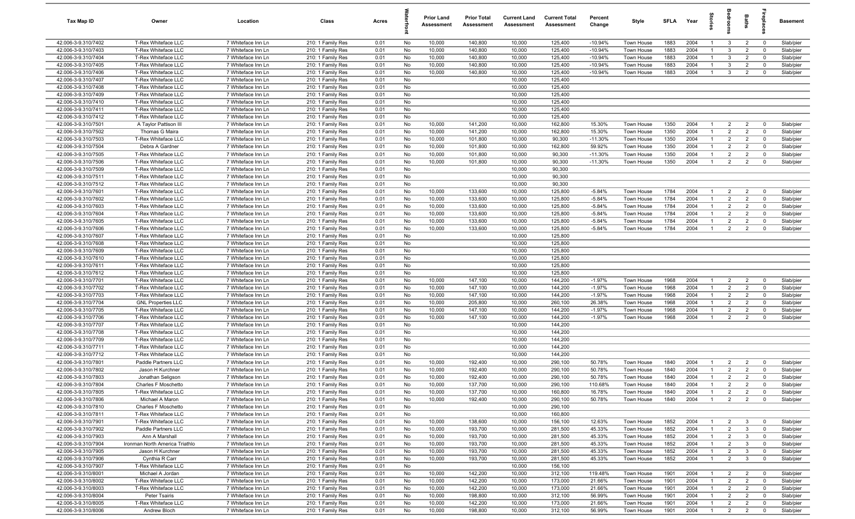| Tax Map ID                                 | Owner                                            | Location                                 | Class                                  | Acres        |          | <b>Prior Land</b><br>Assessment | <b>Prior Total</b><br>Assessment | <b>Current Land</b><br>Assessment | <b>Current Total</b><br>Assessment | Percent<br>Change    | Style                    | <b>SFLA</b>  | Year         | $\overline{a}$                   | š                                | Baths                            | repla                      | Basement               |
|--------------------------------------------|--------------------------------------------------|------------------------------------------|----------------------------------------|--------------|----------|---------------------------------|----------------------------------|-----------------------------------|------------------------------------|----------------------|--------------------------|--------------|--------------|----------------------------------|----------------------------------|----------------------------------|----------------------------|------------------------|
| 42.006-3-9.310/7402                        | T-Rex Whiteface LLC                              | 7 Whiteface Inn Ln                       | 210: 1 Family Res                      | 0.01         | No       | 10,000                          | 140,800                          | 10,000                            | 125,400                            | $-10.94%$            | Town House               | 1883         | 2004         | $\mathbf{1}$                     | $\mathbf{3}$                     | $\overline{2}$                   | $\mathbf 0$                | Slab/pier              |
| 42.006-3-9.310/7403                        | T-Rex Whiteface LLC                              | 7 Whiteface Inn Ln                       | 210: 1 Family Res                      | 0.01         | No       | 10,000                          | 140,800                          | 10,000                            | 125,400                            | $-10.94%$            | Town House               | 1883         | 2004         | $\overline{1}$                   | $\mathbf{3}$                     | $\overline{2}$                   | $\mathbf 0$                | Slab/pier              |
| 42.006-3-9.310/7404                        | T-Rex Whiteface LLC                              | 7 Whiteface Inn Ln                       | 210: 1 Family Res                      | 0.01         | No       | 10,000                          | 140,800                          | 10,000                            | 125,400                            | $-10.94%$            | Town House               | 1883         | 2004         | $\mathbf{1}$                     | $\mathbf{3}$                     | $\overline{2}$                   | $\mathbf 0$                | Slab/pier              |
| 42.006-3-9.310/7405                        | T-Rex Whiteface LLC                              | 7 Whiteface Inn Ln                       | 210: 1 Family Res                      | 0.01         | No       | 10,000                          | 140,800                          | 10,000                            | 125,400                            | $-10.94%$            | Town House               | 1883         | 2004         | -1                               | $\mathbf{3}$                     | $\overline{2}$                   | $\mathbf 0$                | Slab/pier              |
| 42.006-3-9.310/7406                        | T-Rex Whiteface LLC                              | 7 Whiteface Inn Ln                       | 210: 1 Family Res                      | 0.01         | No       | 10,000                          | 140,800                          | 10,000                            | 125,400                            | $-10.94%$            | Town House               | 1883         | 2004         | $\overline{1}$                   | $\mathbf{3}$                     | $\overline{2}$                   | $\Omega$                   | Slab/pier              |
| 42.006-3-9.310/7407                        | T-Rex Whiteface LLC                              | 7 Whiteface Inn Ln                       | 210: 1 Family Res                      | 0.01         | No       |                                 |                                  | 10,000                            | 125,400                            |                      |                          |              |              |                                  |                                  |                                  |                            |                        |
| 42.006-3-9.310/7408<br>42.006-3-9.310/7409 | T-Rex Whiteface LLC<br>T-Rex Whiteface LLC       | 7 Whiteface Inn Ln<br>7 Whiteface Inn Ln | 210: 1 Family Res<br>210: 1 Family Res | 0.01<br>0.01 | No<br>No |                                 |                                  | 10,000<br>10,000                  | 125,400<br>125,400                 |                      |                          |              |              |                                  |                                  |                                  |                            |                        |
| 42.006-3-9.310/7410                        | T-Rex Whiteface LLC                              | 7 Whiteface Inn Ln                       | 210: 1 Family Res                      | 0.01         | No       |                                 |                                  | 10,000                            | 125,400                            |                      |                          |              |              |                                  |                                  |                                  |                            |                        |
| 42.006-3-9.310/7411                        | T-Rex Whiteface LLC                              | 7 Whiteface Inn Ln                       | 210: 1 Family Res                      | 0.01         | No       |                                 |                                  | 10,000                            | 125,400                            |                      |                          |              |              |                                  |                                  |                                  |                            |                        |
| 42.006-3-9.310/7412                        | T-Rex Whiteface LLC                              | 7 Whiteface Inn Ln                       | 210: 1 Family Res                      | 0.01         | No       |                                 |                                  | 10,000                            | 125,400                            |                      |                          |              |              |                                  |                                  |                                  |                            |                        |
| 42.006-3-9.310/7501                        | A Taylor Pattison III                            | 7 Whiteface Inn Ln                       | 210: 1 Family Res                      | 0.01         | No       | 10,000                          | 141,200                          | 10,000                            | 162,800                            | 15.30%               | Town House               | 1350         | 2004         | $\overline{1}$                   | 2                                | $\overline{2}$                   | $\mathbf 0$                | Slab/pier              |
| 42.006-3-9.310/7502                        | Thomas G Maira                                   | 7 Whiteface Inn Ln                       | 210: 1 Family Res                      | 0.01         | No       | 10,000                          | 141,200                          | 10,000                            | 162,800                            | 15.30%               | Town House               | 1350         | 2004         | $\overline{1}$                   | 2                                | $\overline{2}$                   | $\overline{0}$             | Slab/pier              |
| 42.006-3-9.310/7503                        | T-Rex Whiteface LLC                              | 7 Whiteface Inn Ln                       | 210: 1 Family Res                      | 0.01         | No       | 10,000                          | 101,800                          | 10,000                            | 90,300                             | $-11.30%$            | Town House               | 1350         | 2004         | $\mathbf{1}$                     | $\overline{2}$                   | $\overline{2}$                   | $\mathbf 0$                | Slab/pier              |
| 42.006-3-9.310/7504                        | Debra A Gardner                                  | 7 Whiteface Inn Ln                       | 210: 1 Family Res                      | 0.01         | No       | 10,000                          | 101,800                          | 10,000                            | 162,800                            | 59.92%               | Town House               | 1350         | 2004         | $\overline{1}$                   | $\overline{2}$                   | $\overline{2}$                   | $\Omega$                   | Slab/pier              |
| 42.006-3-9.310/7505                        | T-Rex Whiteface LLC                              | 7 Whiteface Inn Ln                       | 210: 1 Family Res                      | 0.01         | No       | 10,000                          | 101,800                          | 10,000                            | 90,300                             | $-11.30%$            | Town House               | 1350         | 2004         | $\mathbf{1}$                     | $\overline{2}$                   | $\overline{2}$                   | $\mathbf 0$                | Slab/pier              |
| 42.006-3-9.310/7506                        | T-Rex Whiteface LLC                              | 7 Whiteface Inn Ln                       | 210: 1 Family Res                      | 0.01         | No       | 10,000                          | 101,800                          | 10,000                            | 90,300                             | $-11.30%$            | <b>Town House</b>        | 1350         | 2004         | $\mathbf{1}$                     | $\overline{2}$                   | $\overline{2}$                   | $\Omega$                   | Slab/pier              |
| 42.006-3-9.310/7509                        | T-Rex Whiteface LLC                              | 7 Whiteface Inn Ln                       | 210: 1 Family Res                      | 0.01         | No       |                                 |                                  | 10,000                            | 90,300                             |                      |                          |              |              |                                  |                                  |                                  |                            |                        |
| 42.006-3-9.310/7511                        | T-Rex Whiteface LLC                              | 7 Whiteface Inn Ln                       | 210: 1 Family Res                      | 0.01         | No       |                                 |                                  | 10,000                            | 90,300                             |                      |                          |              |              |                                  |                                  |                                  |                            |                        |
| 42.006-3-9.310/7512                        | T-Rex Whiteface LLC                              | 7 Whiteface Inn Ln                       | 210: 1 Family Res                      | 0.01         | No       |                                 |                                  | 10,000                            | 90,300                             |                      |                          |              |              |                                  |                                  |                                  |                            |                        |
| 42.006-3-9.310/7601                        | T-Rex Whiteface LLC                              | 7 Whiteface Inn Ln                       | 210: 1 Family Res                      | 0.01         | No       | 10,000                          | 133,600                          | 10,000                            | 125,800                            | $-5.84%$             | Town House               | 1784         | 2004         | $\overline{1}$<br>$\overline{1}$ | $\overline{2}$                   | $\overline{2}$                   | $\mathbf 0$                | Slab/pier              |
| 42.006-3-9.310/7602<br>42.006-3-9.310/7603 | T-Rex Whiteface LLC<br>T-Rex Whiteface LLC       | 7 Whiteface Inn Ln<br>7 Whiteface Inn Ln | 210: 1 Family Res<br>210: 1 Family Res | 0.01<br>0.01 | No<br>No | 10,000<br>10,000                | 133,600<br>133,600               | 10,000<br>10,000                  | 125,800<br>125,800                 | $-5.84%$<br>$-5.84%$ | Town House<br>Town House | 1784<br>1784 | 2004<br>2004 | $\overline{1}$                   | $\overline{2}$<br>$\overline{2}$ | $\overline{2}$<br>$\overline{2}$ | $\mathbf 0$<br>$\mathbf 0$ | Slab/pier<br>Slab/pier |
| 42.006-3-9.310/7604                        | T-Rex Whiteface LLC                              | 7 Whiteface Inn Ln                       | 210: 1 Family Res                      | 0.01         | No       | 10,000                          | 133,600                          | 10,000                            | 125,800                            | $-5.84%$             | Town House               | 1784         | 2004         | $\overline{1}$                   | $\overline{2}$                   | $\overline{2}$                   | $\mathbf 0$                | Slab/pier              |
| 42.006-3-9.310/7605                        | T-Rex Whiteface LLC                              | 7 Whiteface Inn Ln                       | 210: 1 Family Res                      | 0.01         | No       | 10,000                          | 133,600                          | 10,000                            | 125,800                            | $-5.84%$             | Town House               | 1784         | 2004         | $\overline{1}$                   | $\overline{2}$                   | $\overline{2}$                   | $\overline{0}$             | Slab/pier              |
| 42.006-3-9.310/7606                        | T-Rex Whiteface LLC                              | 7 Whiteface Inn Ln                       | 210: 1 Family Res                      | 0.01         | No       | 10,000                          | 133,600                          | 10,000                            | 125,800                            | $-5.84%$             | Town House               | 1784         | 2004         | $\overline{1}$                   | $\overline{2}$                   | $\overline{2}$                   | $\Omega$                   | Slab/pier              |
| 42.006-3-9.310/7607                        | T-Rex Whiteface LLC                              | 7 Whiteface Inn Ln                       | 210: 1 Family Res                      | 0.01         | No       |                                 |                                  | 10,000                            | 125,800                            |                      |                          |              |              |                                  |                                  |                                  |                            |                        |
| 42.006-3-9.310/7608                        | T-Rex Whiteface LLC                              | 7 Whiteface Inn Ln                       | 210: 1 Family Res                      | 0.01         | No       |                                 |                                  | 10,000                            | 125,800                            |                      |                          |              |              |                                  |                                  |                                  |                            |                        |
| 42.006-3-9.310/7609                        | T-Rex Whiteface LLC                              | 7 Whiteface Inn Ln                       | 210: 1 Family Res                      | 0.01         | No       |                                 |                                  | 10,000                            | 125,800                            |                      |                          |              |              |                                  |                                  |                                  |                            |                        |
| 42.006-3-9.310/7610                        | T-Rex Whiteface LLC                              | 7 Whiteface Inn Ln                       | 210: 1 Family Res                      | 0.01         | No       |                                 |                                  | 10,000                            | 125,800                            |                      |                          |              |              |                                  |                                  |                                  |                            |                        |
| 42.006-3-9.310/7611                        | T-Rex Whiteface LLC                              | 7 Whiteface Inn Ln                       | 210: 1 Family Res                      | 0.01         | No       |                                 |                                  | 10,000                            | 125,800                            |                      |                          |              |              |                                  |                                  |                                  |                            |                        |
| 42.006-3-9.310/7612                        | T-Rex Whiteface LLC                              | 7 Whiteface Inn Ln                       | 210: 1 Family Res                      | 0.01         | No       |                                 |                                  | 10,000                            | 125,800                            |                      |                          |              |              |                                  |                                  |                                  |                            |                        |
| 42.006-3-9.310/7701                        | T-Rex Whiteface LLC                              | 7 Whiteface Inn Ln                       | 210: 1 Family Res                      | 0.01         | No       | 10,000                          | 147,100                          | 10,000                            | 144,200                            | $-1.97%$             | Town House               | 1968         | 2004         | $\overline{1}$                   | $\overline{2}$                   | $\overline{2}$                   | $\mathbf 0$                | Slab/pier              |
| 42.006-3-9.310/7702                        | T-Rex Whiteface LLC                              | 7 Whiteface Inn Ln                       | 210: 1 Family Res                      | 0.01         | No       | 10,000                          | 147,100                          | 10,000                            | 144,200                            | $-1.97%$             | Town House               | 1968         | 2004         | $\overline{1}$                   | $\overline{2}$                   | $\overline{2}$                   | $\mathbf 0$                | Slab/pier              |
| 42.006-3-9.310/7703                        | T-Rex Whiteface LLC                              | 7 Whiteface Inn Ln                       | 210: 1 Family Res                      | 0.01         | No       | 10,000<br>10,000                | 147,100                          | 10,000                            | 144,200                            | $-1.97%$             | Town House               | 1968         | 2004<br>2004 | $\overline{1}$<br>$\overline{1}$ | $\overline{2}$                   | $\overline{2}$<br>$\overline{2}$ | $\mathbf 0$<br>$\mathbf 0$ | Slab/pier              |
| 42.006-3-9.310/7704<br>42.006-3-9.310/7705 | <b>GNL Properties LLC</b><br>T-Rex Whiteface LLC | 7 Whiteface Inn Ln<br>7 Whiteface Inn Ln | 210: 1 Family Res<br>210: 1 Family Res | 0.01<br>0.01 | No<br>No | 10,000                          | 205,800<br>147,100               | 10,000<br>10,000                  | 260,100<br>144,200                 | 26.38%<br>$-1.97%$   | Town House<br>Town House | 1968<br>1968 | 2004         | $\overline{1}$                   | $\overline{2}$<br>$\overline{2}$ | $\overline{2}$                   | $\mathbf 0$                | Slab/pier<br>Slab/pier |
| 42.006-3-9.310/7706                        | T-Rex Whiteface LLC                              | 7 Whiteface Inn Ln                       | 210: 1 Family Res                      | 0.01         | No       | 10,000                          | 147,100                          | 10,000                            | 144,200                            | $-1.97%$             | Town House               | 1968         | 2004         | $\overline{1}$                   | $\overline{2}$                   | $\overline{2}$                   | $\Omega$                   | Slab/pier              |
| 42.006-3-9.310/7707                        | T-Rex Whiteface LLC                              | 7 Whiteface Inn Ln                       | 210: 1 Family Res                      | 0.01         | No       |                                 |                                  | 10,000                            | 144,200                            |                      |                          |              |              |                                  |                                  |                                  |                            |                        |
| 42.006-3-9.310/7708                        | T-Rex Whiteface LLC                              | 7 Whiteface Inn Ln                       | 210: 1 Family Res                      | 0.01         | No       |                                 |                                  | 10,000                            | 144,200                            |                      |                          |              |              |                                  |                                  |                                  |                            |                        |
| 42.006-3-9.310/7709                        | T-Rex Whiteface LLC                              | 7 Whiteface Inn Ln                       | 210: 1 Family Res                      | 0.01         | No       |                                 |                                  | 10,000                            | 144,200                            |                      |                          |              |              |                                  |                                  |                                  |                            |                        |
| 42.006-3-9.310/7711                        | T-Rex Whiteface LLC                              | 7 Whiteface Inn Ln                       | 210: 1 Family Res                      | 0.01         | No       |                                 |                                  | 10,000                            | 144,200                            |                      |                          |              |              |                                  |                                  |                                  |                            |                        |
| 42.006-3-9.310/7712                        | T-Rex Whiteface LLC                              | 7 Whiteface Inn Ln                       | 210: 1 Family Res                      | 0.01         | No       |                                 |                                  | 10,000                            | 144,200                            |                      |                          |              |              |                                  |                                  |                                  |                            |                        |
| 42.006-3-9.310/7801                        | Paddle Partners LLC                              | 7 Whiteface Inn Ln                       | 210: 1 Family Res                      | 0.01         | No       | 10,000                          | 192,400                          | 10,000                            | 290,100                            | 50.78%               | Town House               | 1840         | 2004         | $\mathbf{1}$                     | $\overline{2}$                   | $\overline{2}$                   | $\mathbf 0$                | Slab/pier              |
| 42.006-3-9.310/7802                        | Jason H Kurchner                                 | 7 Whiteface Inn Ln                       | 210: 1 Family Res                      | 0.01         | No       | 10,000                          | 192,400                          | 10,000                            | 290,100                            | 50.78%               | Town House               | 1840         | 2004         | $\overline{1}$                   | $\overline{2}$                   | $\overline{2}$                   | $\Omega$                   | Slab/pier              |
| 42.006-3-9.310/7803                        | Jonathan Seligson                                | 7 Whiteface Inn Ln                       | 210: 1 Family Res                      | 0.01         | No       | 10,000                          | 192,400                          | 10,000                            | 290,100                            | 50.78%               | Town House               | 1840         | 2004         | $\overline{1}$                   | $\overline{2}$                   | $\overline{2}$                   | $\mathbf 0$                | Slab/pier              |
| 42.006-3-9.310/7804                        | Charles F Moschetto                              | 7 Whiteface Inn Ln                       | 210: 1 Family Res                      | 0.01         | No       | 10,000                          | 137,700                          | 10,000                            | 290,100                            | 110.68%              | Town House               | 1840         | 2004         | $\overline{1}$                   | 2                                | $\overline{2}$                   |                            | Slab/pier              |
| 42.006-3-9.310/7805<br>42.006-3-9.310/7806 | T-Rex Whiteface LLC<br>Michael A Maron           | 7 Whiteface Inn Ln<br>7 Whiteface Inn Ln | 210: 1 Family Res<br>210: 1 Family Res | 0.01<br>0.01 | No<br>No | 10,000<br>10,000                | 137,700<br>192,400               | 10,000                            | 160,800<br>290,100                 | 16.78%<br>50.78%     | Town House<br>Town House | 1840<br>1840 | 2004<br>2004 | $\overline{1}$<br>$\overline{1}$ | $\overline{2}$                   | $\overline{2}$<br>$\overline{2}$ | $\mathbf 0$<br>$\Omega$    | Slab/pier<br>Slab/pier |
| 42.006-3-9.310/7810                        | Charles F Moschetto                              | 7 Whiteface Inn Ln                       | 210: 1 Family Res                      | 0.01         | No       |                                 |                                  | 10,000<br>10,000                  | 290,100                            |                      |                          |              |              |                                  | $\overline{2}$                   |                                  |                            |                        |
| 42.006-3-9.310/7811                        | T-Rex Whiteface LLC                              | 7 Whiteface Inn Ln                       | 210: 1 Family Res                      | 0.01         | No       |                                 |                                  | 10,000                            | 160,800                            |                      |                          |              |              |                                  |                                  |                                  |                            |                        |
| 42.006-3-9.310/7901                        | T-Rex Whiteface LLC                              | 7 Whiteface Inn Ln                       | 210: 1 Family Res                      | 0.01         | No       | 10,000                          | 138,600                          | 10,000                            | 156,100                            | 12.63%               | Town House               | 1852         | 2004         | $\overline{1}$                   | $\overline{2}$                   | $\mathbf{3}$                     | $\mathbf 0$                | Slab/pier              |
| 42.006-3-9.310/7902                        | Paddle Partners LLC                              | 7 Whiteface Inn Ln                       | 210: 1 Family Res                      | 0.01         | No       | 10,000                          | 193,700                          | 10,000                            | 281,500                            | 45.33%               | Town House               | 1852         | 2004         |                                  | $\overline{2}$                   | $\mathbf{3}$                     | $\mathbf 0$                | Slab/pier              |
| 42.006-3-9.310/7903                        | Ann A Marshall                                   | 7 Whiteface Inn Ln                       | 210: 1 Family Res                      | 0.01         | No       | 10,000                          | 193,700                          | 10,000                            | 281,500                            | 45.33%               | Town House               | 1852         | 2004         | -1                               | $\overline{2}$                   | 3                                | $\mathbf 0$                | Slab/pier              |
| 42.006-3-9.310/7904                        | Ironman North America Triathlo                   | 7 Whiteface Inn Ln                       | 210: 1 Family Res                      | 0.01         | No       | 10,000                          | 193,700                          | 10,000                            | 281,500                            | 45.33%               | Town House               | 1852         | 2004         | $\mathbf{1}$                     | $\overline{2}$                   | $\mathbf{3}$                     | $\mathbf 0$                | Slab/pier              |
| 42.006-3-9.310/7905                        | Jason H Kurchner                                 | 7 Whiteface Inn Ln                       | 210: 1 Family Res                      | 0.01         | No       | 10,000                          | 193,700                          | 10,000                            | 281,500                            | 45.33%               | Town House               | 1852         | 2004         | $\mathbf{1}$                     | $\overline{2}$                   | $\mathbf{3}$                     | $\mathbf 0$                | Slab/pier              |
| 42.006-3-9.310/7906                        | Cynthia R Carr                                   | 7 Whiteface Inn Ln                       | 210: 1 Family Res                      | 0.01         | No       | 10,000                          | 193,700                          | 10,000                            | 281,500                            | 45.33%               | Town House               | 1852         | 2004         | $\overline{1}$                   | $\overline{2}$                   | $\mathbf{3}$                     | $\mathbf 0$                | Slab/pier              |
| 42.006-3-9.310/7907                        | T-Rex Whiteface LLC                              | 7 Whiteface Inn Ln                       | 210: 1 Family Res                      | 0.01         | No       |                                 |                                  | 10,000                            | 156,100                            |                      |                          |              |              |                                  |                                  |                                  |                            |                        |
| 42.006-3-9.310/8001                        | Michael A Jordan                                 | 7 Whiteface Inn Ln                       | 210: 1 Family Res                      | 0.01         | No       | 10,000                          | 142,200                          | 10,000                            | 312,100                            | 119.48%              | Town House               | 1901         | 2004         | $\overline{1}$                   | $\overline{2}$                   | $\overline{2}$                   | $\overline{\mathbf{0}}$    | Slab/pier              |
| 42.006-3-9.310/8002<br>42.006-3-9.310/8003 | T-Rex Whiteface LLC<br>T-Rex Whiteface LLC       | 7 Whiteface Inn Ln<br>7 Whiteface Inn Ln | 210: 1 Family Res<br>210: 1 Family Res | 0.01<br>0.01 | No<br>No | 10,000<br>10,000                | 142,200<br>142,200               | 10,000<br>10,000                  | 173,000<br>173,000                 | 21.66%<br>21.66%     | Town House<br>Town House | 1901<br>1901 | 2004<br>2004 | $\overline{1}$<br>$\overline{1}$ | $\overline{2}$<br>$\overline{2}$ | $\overline{2}$<br>$\overline{2}$ | $\mathbf 0$<br>$\mathbf 0$ | Slab/pier<br>Slab/pier |
| 42.006-3-9.310/8004                        | Peter Tsairis                                    | 7 Whiteface Inn Ln                       | 210: 1 Family Res                      | 0.01         | No       | 10,000                          | 198,800                          | 10,000                            | 312,100                            | 56.99%               | Town House               | 1901         | 2004         | $\overline{1}$                   | $\overline{2}$                   | $\overline{2}$                   | $\overline{\mathbf{0}}$    | Slab/pier              |
| 42.006-3-9.310/8005                        | T-Rex Whiteface LLC                              | 7 Whiteface Inn Ln                       | 210: 1 Family Res                      | 0.01         | No       | 10,000                          | 142,200                          | 10,000                            | 173,000                            | 21.66%               | Town House               | 1901         | 2004         | $\overline{1}$                   | $\overline{2}$                   | $\overline{2}$                   | $\mathbf 0$                | Slab/pier              |
| 42.006-3-9.310/8006                        | Andrew Bloch                                     | 7 Whiteface Inn Ln                       | 210: 1 Family Res                      | 0.01         | No       | 10,000                          | 198,800                          | 10,000                            | 312,100                            | 56.99%               | Town House               | 1901         | 2004         | $\overline{1}$                   | $\overline{2}$                   | $\overline{2}$                   | $\mathbf 0$                | Slab/pier              |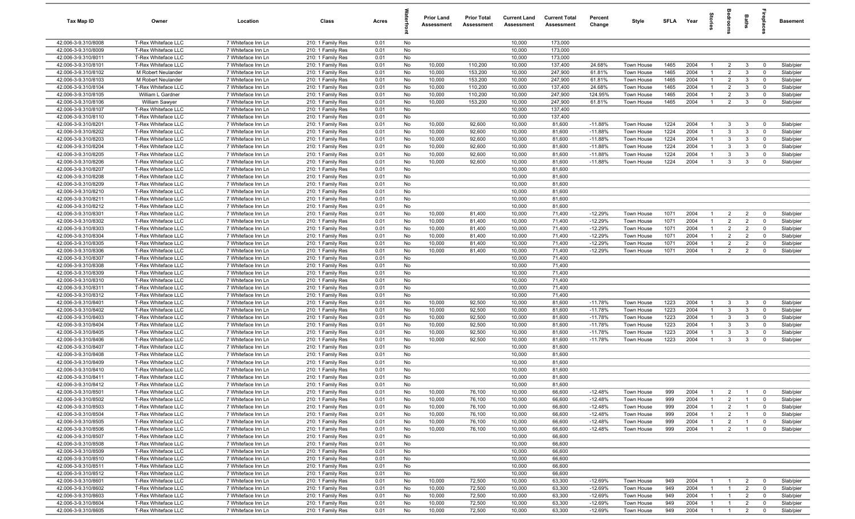| Tax Map ID                                 | Owner                                      | Location                                 | Class                                  | Acres        |          | <b>Prior Land</b><br>Assessment | <b>Prior Total</b><br>Assessment | <b>Current Land</b><br>Assessment | <b>Current Total</b><br>Assessment | Percent<br>Change      | Style                           | SFLA Year    |              | $\overline{a}$                   |                                  | Baths                            | 용<br>호                        | Basement               |
|--------------------------------------------|--------------------------------------------|------------------------------------------|----------------------------------------|--------------|----------|---------------------------------|----------------------------------|-----------------------------------|------------------------------------|------------------------|---------------------------------|--------------|--------------|----------------------------------|----------------------------------|----------------------------------|-------------------------------|------------------------|
| 42.006-3-9.310/8008                        | T-Rex Whiteface LLC                        | 7 Whiteface Inn Ln                       | 210: 1 Family Res                      | 0.01         | No       |                                 |                                  | 10,000                            | 173,000                            |                        |                                 |              |              |                                  |                                  |                                  |                               |                        |
| 42.006-3-9.310/8009                        | T-Rex Whiteface LLC                        | 7 Whiteface Inn Ln                       | 210: 1 Family Res                      | 0.01         | No       |                                 |                                  | 10,000                            | 173,000                            |                        |                                 |              |              |                                  |                                  |                                  |                               |                        |
| 42.006-3-9.310/8011                        | T-Rex Whiteface LLC                        | 7 Whiteface Inn Ln                       | 210: 1 Family Res                      | 0.01         | No       |                                 |                                  | 10,000                            | 173,000                            |                        |                                 |              |              |                                  |                                  |                                  |                               |                        |
| 42.006-3-9.310/8101                        | T-Rex Whiteface LLC                        | 7 Whiteface Inn Ln                       | 210: 1 Family Res                      | 0.01         | No       | 10,000                          | 110,200                          | 10,000                            | 137,400                            | 24.68%                 | Town House                      | 1465         | 2004         | $\overline{1}$                   | $\overline{2}$                   | 3                                | $\overline{0}$                | Slab/pier              |
| 42.006-3-9.310/8102                        | M Robert Neulander                         | 7 Whiteface Inn Ln                       | 210: 1 Family Res                      | 0.01         | No       | 10,000                          | 153,200                          | 10,000                            | 247,900                            | 61.81%                 | Town House                      | 1465         | 2004         |                                  | $\overline{2}$                   | $\mathbf{3}$                     | $^{\circ}$                    | Slab/pier              |
| 42.006-3-9.310/8103<br>42.006-3-9.310/8104 | M Robert Neulander                         | 7 Whiteface Inn Ln<br>7 Whiteface Inn Ln | 210: 1 Family Res                      | 0.01         | No       | 10,000<br>10,000                | 153,200                          | 10,000                            | 247,900                            | 61.81%                 | Town House<br><b>Town House</b> | 1465<br>1465 | 2004<br>2004 | $\mathbf{1}$<br>-1               | $\overline{2}$<br>$\overline{2}$ | 3<br>$\mathbf{3}$                | $\mathbf 0$                   | Slab/pier              |
| 42.006-3-9.310/8105                        | T-Rex Whiteface LLC<br>William L Gardner   | 7 Whiteface Inn Ln                       | 210: 1 Family Res<br>210: 1 Family Res | 0.01<br>0.01 | No<br>No | 10,000                          | 110,200<br>110,200               | 10,000<br>10,000                  | 137,400<br>247,900                 | 24.68%<br>124.95%      | Town House                      | 1465         | 2004         | $\overline{1}$                   | $\overline{2}$                   | 3                                | $\mathbf 0$<br>$\mathbf 0$    | Slab/pier<br>Slab/pier |
| 42.006-3-9.310/8106                        | <b>William Sawyer</b>                      | 7 Whiteface Inn Ln                       | 210: 1 Family Res                      | 0.01         | No       | 10,000                          | 153,200                          | 10,000                            | 247,900                            | 61.81%                 | Town House                      | 1465         | 2004         | $\overline{1}$                   | $\overline{2}$                   | $\mathbf{3}$                     | $\mathbf 0$                   | Slab/pier              |
| 42.006-3-9.310/8107                        | T-Rex Whiteface LLC                        | 7 Whiteface Inn Ln                       | 210: 1 Family Res                      | 0.01         | No       |                                 |                                  | 10,000                            | 137,400                            |                        |                                 |              |              |                                  |                                  |                                  |                               |                        |
| 42.006-3-9.310/8110                        | T-Rex Whiteface LLC                        | 7 Whiteface Inn Ln                       | 210: 1 Family Res                      | 0.01         | No       |                                 |                                  | 10,000                            | 137,400                            |                        |                                 |              |              |                                  |                                  |                                  |                               |                        |
| 42.006-3-9.310/8201                        | T-Rex Whiteface LLC                        | 7 Whiteface Inn Ln                       | 210: 1 Family Res                      | 0.01         | No       | 10,000                          | 92,600                           | 10,000                            | 81,600                             | $-11.88%$              | Town House                      | 1224         | 2004         | $\overline{1}$                   | 3                                | 3                                | $\overline{0}$                | Slab/pier              |
| 42.006-3-9.310/8202                        | T-Rex Whiteface LLC                        | 7 Whiteface Inn Ln                       | 210: 1 Family Res                      | 0.01         | No       | 10,000                          | 92,600                           | 10,000                            | 81,600                             | $-11.88%$              | Town House                      | 1224         | 2004         | $\overline{1}$                   | $\mathbf{3}$                     | 3                                | $\mathbf 0$                   | Slab/pier              |
| 42.006-3-9.310/8203                        | T-Rex Whiteface LLC                        | 7 Whiteface Inn Ln                       | 210: 1 Family Res                      | 0.01         | No       | 10,000                          | 92,600                           | 10,000                            | 81,600                             | $-11.88%$              | Town House                      | 1224         | 2004         | $\mathbf{1}$                     | $\mathbf{3}$                     | $\mathbf{3}$                     | $\mathbf 0$                   | Slab/pier              |
| 42.006-3-9.310/8204                        | T-Rex Whiteface LLC                        | 7 Whiteface Inn Ln                       | 210: 1 Family Res                      | 0.01         | No       | 10,000                          | 92,600                           | 10,000                            | 81,600                             | $-11.88%$              | Town House                      | 1224         | 2004         | $\mathbf{1}$                     | $\mathbf{3}$                     | 3                                | $\mathbf 0$                   | Slab/pier              |
| 42.006-3-9.310/8205                        | T-Rex Whiteface LLC                        | 7 Whiteface Inn Ln                       | 210: 1 Family Res                      | 0.01         | No       | 10,000                          | 92,600                           | 10,000                            | 81,600                             | $-11.88%$              | Town House                      | 1224         | 2004         | -1                               | $\mathbf{3}$                     | 3                                | $\mathbf 0$                   | Slab/pier              |
| 42.006-3-9.310/8206                        | T-Rex Whiteface LLC                        | 7 Whiteface Inn Ln                       | 210: 1 Family Res                      | 0.01         | No       | 10,000                          | 92,600                           | 10,000                            | 81,600                             | $-11.88%$              | Town House                      | 1224         | 2004         |                                  | $\mathbf{3}$                     | 3                                | $\mathbf 0$                   | Slab/pier              |
| 42.006-3-9.310/8207                        | T-Rex Whiteface LLC                        | 7 Whiteface Inn Ln                       | 210: 1 Family Res                      | 0.01         | No       |                                 |                                  | 10,000                            | 81,600                             |                        |                                 |              |              |                                  |                                  |                                  |                               |                        |
| 42.006-3-9.310/8208                        | T-Rex Whiteface LLC                        | 7 Whiteface Inn Ln                       | 210: 1 Family Res                      | 0.01         | No       |                                 |                                  | 10,000                            | 81,600                             |                        |                                 |              |              |                                  |                                  |                                  |                               |                        |
| 42.006-3-9.310/8209                        | T-Rex Whiteface LLC                        | 7 Whiteface Inn Ln                       | 210: 1 Family Res                      | 0.01         | No       |                                 |                                  | 10,000                            | 81,600                             |                        |                                 |              |              |                                  |                                  |                                  |                               |                        |
| 42.006-3-9.310/8210<br>42.006-3-9.310/8211 | T-Rex Whiteface LLC<br>T-Rex Whiteface LLC | 7 Whiteface Inn Ln<br>7 Whiteface Inn Ln | 210: 1 Family Res                      | 0.01         | No       |                                 |                                  | 10,000<br>10,000                  | 81,600<br>81,600                   |                        |                                 |              |              |                                  |                                  |                                  |                               |                        |
| 42.006-3-9.310/8212                        | T-Rex Whiteface LLC                        | 7 Whiteface Inn Ln                       | 210: 1 Family Res<br>210: 1 Family Res | 0.01<br>0.01 | No<br>No |                                 |                                  | 10,000                            | 81,600                             |                        |                                 |              |              |                                  |                                  |                                  |                               |                        |
| 42.006-3-9.310/8301                        | T-Rex Whiteface LLC                        | 7 Whiteface Inn Ln                       | 210: 1 Family Res                      | 0.01         | No       | 10,000                          | 81,400                           | 10,000                            | 71,400                             | $-12.29%$              | Town House                      | 1071         | 2004         | $\overline{1}$                   | $\overline{2}$                   | $\overline{2}$                   | $\mathbf{0}$                  | Slab/pier              |
| 42.006-3-9.310/8302                        | T-Rex Whiteface LLC                        | 7 Whiteface Inn Ln                       | 210: 1 Family Res                      | 0.01         | No       | 10,000                          | 81,400                           | 10,000                            | 71,400                             | $-12.29%$              | Town House                      | 1071         | 2004         | $\overline{1}$                   | $\overline{2}$                   | $\overline{2}$                   | $\mathbf 0$                   | Slab/pier              |
| 42.006-3-9.310/8303                        | T-Rex Whiteface LLC                        | 7 Whiteface Inn Ln                       | 210: 1 Family Res                      | 0.01         | No       | 10,000                          | 81,400                           | 10,000                            | 71,400                             | $-12.29%$              | <b>Town House</b>               | 1071         | 2004         | $\overline{1}$                   | $\overline{2}$                   | $\overline{2}$                   | $\mathbf 0$                   | Slab/pier              |
| 42.006-3-9.310/8304                        | T-Rex Whiteface LLC                        | 7 Whiteface Inn Ln                       | 210: 1 Family Res                      | 0.01         | No       | 10,000                          | 81,400                           | 10,000                            | 71,400                             | $-12.29%$              | Town House                      | 1071         | 2004         | $\overline{1}$                   | $\overline{2}$                   | $\overline{2}$                   | $\overline{0}$                | Slab/pier              |
| 42.006-3-9.310/8305                        | T-Rex Whiteface LLC                        | 7 Whiteface Inn Ln                       | 210: 1 Family Res                      | 0.01         | No       | 10,000                          | 81,400                           | 10,000                            | 71,400                             | $-12.29%$              | Town House                      | 1071         | 2004         | $\mathbf{1}$                     | $\overline{2}$                   | $\overline{2}$                   | $\mathbf 0$                   | Slab/pier              |
| 42.006-3-9.310/8306                        | T-Rex Whiteface LLC                        | 7 Whiteface Inn Ln                       | 210: 1 Family Res                      | 0.01         | No       | 10,000                          | 81,400                           | 10,000                            | 71,400                             | $-12.29%$              | Town House                      | 1071         | 2004         | $\overline{1}$                   | $\overline{2}$                   | $\overline{2}$                   | $\mathbf 0$                   | Slab/pier              |
| 42.006-3-9.310/8307                        | T-Rex Whiteface LLC                        | 7 Whiteface Inn Ln                       | 210: 1 Family Res                      | 0.01         | No       |                                 |                                  | 10,000                            | 71,400                             |                        |                                 |              |              |                                  |                                  |                                  |                               |                        |
| 42.006-3-9.310/8308                        | T-Rex Whiteface LLC                        | 7 Whiteface Inn Ln                       | 210: 1 Family Res                      | 0.01         | No       |                                 |                                  | 10,000                            | 71,400                             |                        |                                 |              |              |                                  |                                  |                                  |                               |                        |
| 42.006-3-9.310/8309                        | T-Rex Whiteface LLC                        | 7 Whiteface Inn Ln                       | 210: 1 Family Res                      | 0.01         | No       |                                 |                                  | 10,000                            | 71,400                             |                        |                                 |              |              |                                  |                                  |                                  |                               |                        |
| 42.006-3-9.310/8310                        | T-Rex Whiteface LLC                        | 7 Whiteface Inn Ln                       | 210: 1 Family Res                      | 0.01         | No       |                                 |                                  | 10,000                            | 71,400                             |                        |                                 |              |              |                                  |                                  |                                  |                               |                        |
| 42.006-3-9.310/8311                        | T-Rex Whiteface LLC                        | 7 Whiteface Inn Ln                       | 210: 1 Family Res                      | 0.01         | No       |                                 |                                  | 10,000                            | 71,400                             |                        |                                 |              |              |                                  |                                  |                                  |                               |                        |
| 42.006-3-9.310/8312                        | T-Rex Whiteface LLC                        | 7 Whiteface Inn Ln                       | 210: 1 Family Res                      | 0.01         | No       |                                 |                                  | 10,000                            | 71,400                             |                        |                                 |              |              |                                  |                                  |                                  |                               |                        |
| 42.006-3-9.310/8401<br>42.006-3-9.310/8402 | T-Rex Whiteface LLC<br>T-Rex Whiteface LLC | 7 Whiteface Inn Ln                       | 210: 1 Family Res                      | 0.01<br>0.01 | No<br>No | 10,000<br>10,000                | 92,500<br>92,500                 | 10,000<br>10,000                  | 81,600<br>81,600                   | $-11.78%$              | Town House<br>Town House        | 1223<br>1223 | 2004<br>2004 | $\overline{1}$<br>$\overline{1}$ | 3<br>$\mathbf{3}$                | $\mathbf{3}$<br>3                | $\mathbf{0}$<br>$^{\circ}$    | Slab/pier              |
| 42.006-3-9.310/8403                        | T-Rex Whiteface LLC                        | 7 Whiteface Inn Ln<br>7 Whiteface Inn Ln | 210: 1 Family Res<br>210: 1 Family Res | 0.01         | No       | 10,000                          | 92,500                           | 10,000                            | 81,600                             | $-11.78%$<br>$-11.78%$ | Town House                      | 1223         | 2004         | $\overline{1}$                   | $\mathbf{3}$                     | 3                                | $\mathbf 0$                   | Slab/pier<br>Slab/pier |
| 42.006-3-9.310/8404                        | T-Rex Whiteface LLC                        | 7 Whiteface Inn Ln                       | 210: 1 Family Res                      | 0.01         | No       | 10,000                          | 92,500                           | 10,000                            | 81,600                             | $-11.78%$              | Town House                      | 1223         | 2004         | $\overline{1}$                   | $\mathbf{3}$                     | 3                                | $\mathbf 0$                   | Slab/pier              |
| 42.006-3-9.310/8405                        | T-Rex Whiteface LLC                        | 7 Whiteface Inn Ln                       | 210: 1 Family Res                      | 0.01         | No       | 10,000                          | 92,500                           | 10,000                            | 81,600                             | $-11.78%$              | Town House                      | 1223         | 2004         | -1                               | $\mathbf{3}$                     | $\mathbf{3}$                     | $\mathbf 0$                   | Slab/pier              |
| 42.006-3-9.310/8406                        | T-Rex Whiteface LLC                        | 7 Whiteface Inn Ln                       | 210: 1 Family Res                      | 0.01         | No       | 10,000                          | 92,500                           | 10,000                            | 81,600                             | $-11.78%$              | Town House                      | 1223         | 2004         |                                  | $\mathbf{3}$                     | 3                                | $\mathbf 0$                   | Slab/pier              |
| 42.006-3-9.310/8407                        | T-Rex Whiteface LLC                        | 7 Whiteface Inn Ln                       | 210: 1 Family Res                      | 0.01         | No       |                                 |                                  | 10,000                            | 81,600                             |                        |                                 |              |              |                                  |                                  |                                  |                               |                        |
| 42.006-3-9.310/8408                        | T-Rex Whiteface LLC                        | 7 Whiteface Inn Ln                       | 210: 1 Family Res                      | 0.01         | No       |                                 |                                  | 10,000                            | 81,600                             |                        |                                 |              |              |                                  |                                  |                                  |                               |                        |
| 42.006-3-9.310/8409                        | T-Rex Whiteface LLC                        | 7 Whiteface Inn Ln                       | 210: 1 Family Res                      | 0.01         | No       |                                 |                                  | 10,000                            | 81,600                             |                        |                                 |              |              |                                  |                                  |                                  |                               |                        |
| 42.006-3-9.310/8410                        | T-Rex Whiteface LLC                        | 7 Whiteface Inn Ln                       | 210: 1 Family Res                      | 0.01         | No       |                                 |                                  | 10,000                            | 81,600                             |                        |                                 |              |              |                                  |                                  |                                  |                               |                        |
| 42.006-3-9.310/8411                        | T-Rex Whiteface LLC                        | 7 Whiteface Inn Ln                       | 210: 1 Family Res                      | 0.01         | No       |                                 |                                  | 10,000                            | 81,600                             |                        |                                 |              |              |                                  |                                  |                                  |                               |                        |
| 42.006-3-9.310/8412                        | T-Rex Whiteface LLC                        | 7 Whiteface Inn Ln                       | 210: 1 Family Res                      | 0.01         | No       |                                 |                                  | 10,000                            | 81,600                             |                        |                                 |              |              |                                  |                                  |                                  |                               |                        |
| 42.006-3-9.310/8501                        | T-Rex Whiteface LLC                        | 7 Whiteface Inn Ln                       | 210: 1 Family Res                      | 0.01         | No       | 10,000                          | 76,100                           | 10,000                            | 66,600                             | $-12.48%$              | Town House                      | 999          | 2004         | $\overline{1}$                   | $\overline{2}$                   | $\overline{1}$                   | $\overline{\mathbf{0}}$       | Slab/pier              |
| 42.006-3-9.310/8502                        | T-Rex Whiteface LLC                        | 7 Whiteface Inn Ln                       | 210: 1 Family Res                      | 0.01         | No       | 10,000                          | 76,100                           | 10,000                            | 66,600                             | $-12.48%$              | Town House                      | 999          | 2004         | -1                               | $\overline{2}$                   | $\overline{1}$                   | $\overline{0}$                | Slab/pier              |
| 42.006-3-9.310/8503<br>42.006-3-9.310/8504 | T-Rex Whiteface LLC<br>T-Rex Whiteface LLC | 7 Whiteface Inn Ln<br>7 Whiteface Inn Ln | 210: 1 Family Res<br>210: 1 Family Res | 0.01<br>0.01 | No<br>No | 10,000<br>10,000                | 76,100<br>76,100                 | 10,000<br>10,000                  | 66,600<br>66,600                   | $-12.48%$<br>$-12.48%$ | Town House                      | 999<br>999   | 2004<br>2004 | $\mathbf{1}$<br>$\overline{1}$   | $\overline{2}$<br>$\overline{2}$ | $\overline{1}$<br>$\overline{1}$ | $\overline{0}$<br>$\mathbf 0$ | Slab/pier              |
| 42.006-3-9.310/8505                        | T-Rex Whiteface LLC                        | 7 Whiteface Inn Ln                       | 210: 1 Family Res                      | 0.01         | No       | 10,000                          | 76,100                           | 10,000                            | 66,600                             | $-12.48%$              | Town House<br>Town House        | 999          | 2004         | $\overline{1}$                   | $\overline{2}$                   | $\mathbf{1}$                     | $\overline{0}$                | Slab/pier<br>Slab/pier |
| 42.006-3-9.310/8506                        | T-Rex Whiteface LLC                        | 7 Whiteface Inn Ln                       | 210: 1 Family Res                      | 0.01         | No       | 10,000                          | 76,100                           | 10,000                            | 66,600                             | $-12.48%$              | Town House                      | 999          | 2004         | $\overline{1}$                   | $\overline{2}$                   | $\overline{1}$                   | $\mathbf 0$                   | Slab/pier              |
| 42.006-3-9.310/8507                        | T-Rex Whiteface LLC                        | 7 Whiteface Inn Ln                       | 210: 1 Family Res                      | 0.01         | No       |                                 |                                  | 10,000                            | 66,600                             |                        |                                 |              |              |                                  |                                  |                                  |                               |                        |
| 42.006-3-9.310/8508                        | T-Rex Whiteface LLC                        | 7 Whiteface Inn Ln                       | 210: 1 Family Res                      | 0.01         | No       |                                 |                                  | 10,000                            | 66,600                             |                        |                                 |              |              |                                  |                                  |                                  |                               |                        |
| 42.006-3-9.310/8509                        | T-Rex Whiteface LLC                        | 7 Whiteface Inn Ln                       | 210: 1 Family Res                      | 0.01         | No       |                                 |                                  | 10,000                            | 66,600                             |                        |                                 |              |              |                                  |                                  |                                  |                               |                        |
| 42.006-3-9.310/8510                        | T-Rex Whiteface LLC                        | 7 Whiteface Inn Ln                       | 210: 1 Family Res                      | 0.01         | No       |                                 |                                  | 10,000                            | 66,600                             |                        |                                 |              |              |                                  |                                  |                                  |                               |                        |
| 42.006-3-9.310/8511                        | T-Rex Whiteface LLC                        | 7 Whiteface Inn Ln                       | 210: 1 Family Res                      | 0.01         | No       |                                 |                                  | 10,000                            | 66,600                             |                        |                                 |              |              |                                  |                                  |                                  |                               |                        |
| 42.006-3-9.310/8512                        | T-Rex Whiteface LLC                        | 7 Whiteface Inn Ln                       | 210: 1 Family Res                      | 0.01         | No       |                                 |                                  | 10,000                            | 66,600                             |                        |                                 |              |              |                                  |                                  |                                  |                               |                        |
| 42.006-3-9.310/8601                        | T-Rex Whiteface LLC                        | 7 Whiteface Inn Ln                       | 210: 1 Family Res                      | 0.01         | No       | 10,000                          | 72,500                           | 10,000                            | 63,300                             | $-12.69%$              | Town House                      | 949          | 2004         | $\overline{1}$                   | $\overline{1}$                   | $\overline{2}$                   | $\overline{0}$                | Slab/pier              |
| 42.006-3-9.310/8602                        | T-Rex Whiteface LLC                        | 7 Whiteface Inn Ln                       | 210: 1 Family Res                      | 0.01         | No       | 10,000                          | 72,500                           | 10,000                            | 63,300                             | $-12.69%$              | Town House                      | 949          | 2004         | $\overline{1}$                   | $\overline{1}$                   | $\overline{2}$                   | $\overline{0}$                | Slab/pier              |
| 42.006-3-9.310/8603                        | T-Rex Whiteface LLC                        | 7 Whiteface Inn Ln                       | 210: 1 Family Res                      | 0.01         | No       | 10,000                          | 72,500                           | 10,000                            | 63,300                             | -12.69%                | Town House                      | 949          | 2004         | $\overline{1}$                   | $\overline{1}$                   | $\overline{2}$                   | $\overline{0}$                | Slab/pier              |
| 42.006-3-9.310/8604                        | T-Rex Whiteface LLC                        | 7 Whiteface Inn Ln                       | 210: 1 Family Res                      | 0.01         | No       | 10,000                          | 72,500                           | 10,000                            | 63,300                             | $-12.69%$              | Town House                      | 949          | 2004         | $\overline{1}$                   | $\overline{1}$                   | $\overline{2}$                   | $\mathbf 0$                   | Slab/pier              |
| 42.006-3-9.310/8605                        | T-Rex Whiteface LLC                        | 7 Whiteface Inn Ln                       | 210: 1 Family Res                      | 0.01         | No       | 10,000                          | 72,500                           | 10,000                            | 63,300                             | $-12.69%$              | Town House                      | 949          | 2004         | $\overline{1}$                   | $\overline{1}$                   | $\overline{2}$                   | $\mathbf 0$                   | Slab/pier              |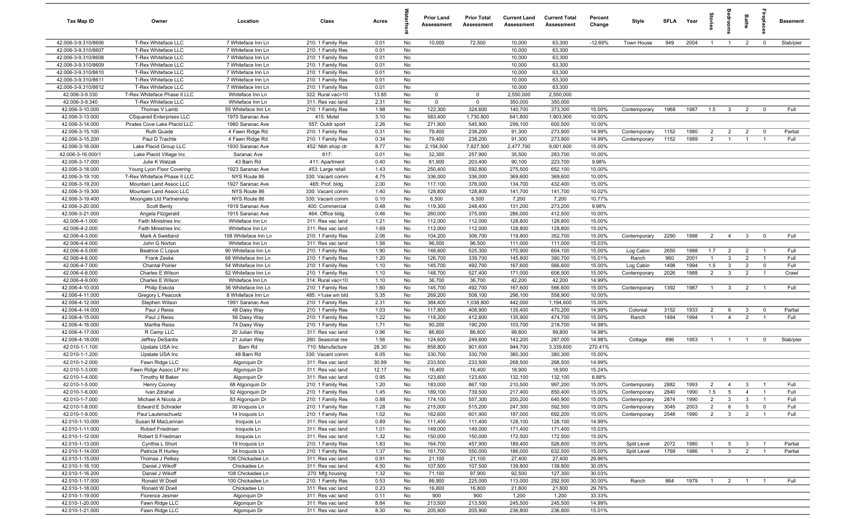| <b>Tax Map ID</b>                          | Owner                                               | Location                                 | Class                                  | Acres        |          | <b>Prior Land</b><br>Assessment | <b>Prior Total</b><br>Assessment | <b>Current Land</b><br>Assessment | <b>Current Total</b><br>Assessment | Percent<br>Change | Style        | SFLA | Year | torie:         |                         | Baths           | epla           | <b>Basement</b> |
|--------------------------------------------|-----------------------------------------------------|------------------------------------------|----------------------------------------|--------------|----------|---------------------------------|----------------------------------|-----------------------------------|------------------------------------|-------------------|--------------|------|------|----------------|-------------------------|-----------------|----------------|-----------------|
| 42.006-3-9.310/8606                        | T-Rex Whiteface LLC                                 | 7 Whiteface Inn Ln                       | 210: 1 Family Res                      | 0.01         | No       | 10,000                          | 72,500                           | 10,000                            | 63,300                             | $-12.69%$         | Town House   | 949  | 2004 | $\overline{1}$ | $\overline{1}$          | $\overline{2}$  | $\mathbf 0$    | Slab/pier       |
| 42.006-3-9.310/8607                        | T-Rex Whiteface LLC                                 | 7 Whiteface Inn Ln                       | 210: 1 Family Res                      | 0.01         | No       |                                 |                                  | 10,000                            | 63,300                             |                   |              |      |      |                |                         |                 |                |                 |
| 42.006-3-9.310/8608                        | T-Rex Whiteface LLC                                 | 7 Whiteface Inn Ln                       | 210: 1 Family Res                      | 0.01         | No       |                                 |                                  | 10,000                            | 63,300                             |                   |              |      |      |                |                         |                 |                |                 |
| 42.006-3-9.310/8609                        | T-Rex Whiteface LLC                                 | 7 Whiteface Inn Ln                       | 210: 1 Family Res                      | 0.01         | No       |                                 |                                  | 10,000                            | 63,300                             |                   |              |      |      |                |                         |                 |                |                 |
| 42.006-3-9.310/8610<br>42.006-3-9.310/8611 | T-Rex Whiteface LLC<br>T-Rex Whiteface LLC          | 7 Whiteface Inn Ln<br>7 Whiteface Inn Ln | 210: 1 Family Res                      | 0.01<br>0.01 | No<br>No |                                 |                                  | 10,000<br>10,000                  | 63,300<br>63,300                   |                   |              |      |      |                |                         |                 |                |                 |
| 42.006-3-9.310/8612                        | T-Rex Whiteface LLC                                 | 7 Whiteface Inn Ln                       | 210: 1 Family Res<br>210: 1 Family Res | 0.01         | No       |                                 |                                  | 10,000                            | 63,300                             |                   |              |      |      |                |                         |                 |                |                 |
| 42.006-3-9.330                             | T-Rex Whiteface Phase II LLC                        | Whiteface Inn Ln                         | 322: Rural vac>10                      | 13.85        | No       | $\mathbf 0$                     | $\mathbf{0}$                     | 2,550,000                         | 2,550,000                          |                   |              |      |      |                |                         |                 |                |                 |
| 42.006-3-9.340                             | T-Rex Whiteface LLC                                 | Whiteface Inn Ln                         | 311: Res vac land                      | 2.31         | No       | $\mathbf 0$                     | $\mathbf 0$                      | 350,000                           | 350,000                            |                   |              |      |      |                |                         |                 |                |                 |
| 42.006-3-10.000                            | Thomas V Lamb                                       | 55 Whiteface Inn Ln                      | 210: 1 Family Res                      | 1.98         | No       | 122,300                         | 324,600                          | 140,700                           | 373,300                            | 15.00%            | Contemporary | 1968 | 1987 | 1.5            | $\overline{\mathbf{3}}$ | 2               | $\mathbf 0$    | Full            |
| 42.006-3-13.000                            | <b>CSquared Enterprises LLC</b>                     | 1970 Saranac Ave                         | 415: Motel                             | 3.10         | No       | 583,400                         | 1,730,800                        | 641,800                           | 1,903,900                          | 10.00%            |              |      |      |                |                         |                 |                |                 |
| 42.006-3-14.000                            | Pirates Cove Lake Placid LLC                        | 1980 Saranac Ave                         | 557: Outdr sport                       | 2.26         | No       | 271,900                         | 545,900                          | 299,100                           | 600,500                            | 10.00%            |              |      |      |                |                         |                 |                |                 |
| 42.006-3-15.100                            | Ruth Quade                                          | 4 Fawn Ridge Rd                          | 210: 1 Family Res                      | 0.31         | No       | 79,400                          | 238,200                          | 91,300                            | 273,900                            | 14.99%            | Contemporary | 1152 | 1980 | $\overline{2}$ | $\overline{2}$          | $\overline{2}$  | $\mathbf 0$    | Partial         |
| 42.006-3-15.200                            | Paul D Trachte                                      | 4 Fawn Ridge Rd                          | 210: 1 Family Res                      | 0.34         | No       | 79,400                          | 238,200                          | 91,300                            | 273,900                            | 14.99%            | Contemporary | 1152 | 1989 | $\overline{2}$ | $\overline{1}$          |                 |                | Full            |
| 42.006-3-16.000                            | Lake Placid Group LLC                               | 1930 Saranac Ave                         | 452: Nbh shop ctr                      | 8.77         | No       | 2,154,500                       | 7,827,500                        | 2,477,700                         | 9,001,600                          | 15.00%            |              |      |      |                |                         |                 |                |                 |
| 42.006-3-16.000/1                          | Lake Placid Village Inc                             | Saranac Ave                              | 817:                                   | 0.01         | No       | 32,300                          | 257,900                          | 35,500                            | 283,700                            | 10.00%            |              |      |      |                |                         |                 |                |                 |
| 42.006-3-17.000                            | Julie K Walzak                                      | 43 Barn Rd                               | 411: Apartment                         | 0.40         | No       | 81,900                          | 203,400                          | 90,100                            | 223,700                            | 9.98%             |              |      |      |                |                         |                 |                |                 |
| 42.006-3-18.000                            | Young Lyon Floor Covering                           | 1923 Saranac Ave                         | 453: Large retail                      | 1.43         | No       | 250,400                         | 592,800                          | 275,500                           | 652,100                            | 10.00%            |              |      |      |                |                         |                 |                |                 |
| 42.006-3-19.100                            | T-Rex Whiteface Phase II LLC                        | NYS Route 86                             | 330: Vacant comm                       | 4.75         | No       | 336,000                         | 336,000                          | 369,600                           | 369,600                            | 10.00%            |              |      |      |                |                         |                 |                |                 |
| 42.006-3-19.200<br>42.006-3-19.300         | Mountain Land Assoc LLC                             | 1927 Saranac Ave                         | 465: Prof. bldg.                       | 2.00         | No       | 117,100                         | 376,000                          | 134,700                           | 432,400                            | 15.00%            |              |      |      |                |                         |                 |                |                 |
| 42.006-3-19.400                            | Mountain Land Assoc LLC<br>Moongate Ltd Partnership | NYS Route 86<br>NYS Route 86             | 330: Vacant comm<br>330: Vacant comm   | 1.40<br>0.10 | No<br>No | 128,800<br>6,500                | 128,800<br>6,500                 | 141,700<br>7,200                  | 141,700<br>7,200                   | 10.02%<br>10.77%  |              |      |      |                |                         |                 |                |                 |
| 42.006-3-20.000                            | Scott Benty                                         | 1919 Saranac Ave                         | 400: Commercial                        | 0.48         | No       | 119,300                         | 248,400                          | 131,200                           | 273,200                            | 9.98%             |              |      |      |                |                         |                 |                |                 |
| 42.006-3-21.000                            | Angela Fitzgerald                                   | 1915 Saranac Ave                         | 464: Office bldg.                      | 0.46         | No       | 260,000                         | 375,000                          | 286,000                           | 412,500                            | 10.00%            |              |      |      |                |                         |                 |                |                 |
| 42.006-4-1.000                             | Faith Ministries Inc                                | Whiteface Inn Ln                         | 311: Res vac land                      | 1.21         | No       | 112,000                         | 112,000                          | 128,800                           | 128,800                            | 15.00%            |              |      |      |                |                         |                 |                |                 |
| 42.006-4-2.000                             | Faith Ministries Inc                                | Whiteface Inn Ln                         | 311: Res vac land                      | 1.69         | No       | 112,000                         | 112,000                          | 128,800                           | 128,800                            | 15.00%            |              |      |      |                |                         |                 |                |                 |
| 42.006-4-3.000                             | Mark A Swetland                                     | 108 Whiteface Inn Ln                     | 210: 1 Family Res                      | 2.06         | No       | 104,200                         | 306,700                          | 119,800                           | 352,700                            | 15.00%            | Contemporary | 2290 | 1998 | $\overline{2}$ | $\overline{4}$          | 3 <sup>3</sup>  | $\mathbf 0$    | Full            |
| 42.006-4-4.000                             | John G Norton                                       | Whiteface Inn Ln                         | 311: Res vac land                      | 1.56         | No       | 96,500                          | 96,500                           | 111,000                           | 111,000                            | 15.03%            |              |      |      |                |                         |                 |                |                 |
| 42.006-4-5.000                             | <b>Beatrice C Lopus</b>                             | 90 Whiteface Inn Ln                      | 210: 1 Family Res                      | 1.90         | No       | 148,600                         | 525,300                          | 170,900                           | 604,100                            | 15.00%            | Log Cabin    | 2650 | 1988 | 1.7            | 2                       | $\overline{2}$  | $\overline{1}$ | Full            |
| 42.006-4-6.000                             | Frank Zeske                                         | 68 Whiteface Inn Ln                      | 210: 1 Family Res                      | 1.20         | No       | 126,700                         | 339,700                          | 145,800                           | 390,700                            | 15.01%            | Ranch        | 960  | 2001 | $\overline{1}$ | $\mathbf{3}$            | $\overline{2}$  | $\overline{1}$ | Full            |
| 42.006-4-7.000                             | <b>Chantal Poirier</b>                              | 54 Whiteface Inn Ln                      | 210: 1 Family Res                      | 1.10         | No       | 145,700                         | 492,700                          | 167,600                           | 566,600                            | 15.00%            | Log Cabin    | 1498 | 1994 | 1.5            | $\mathbf{3}$            | $\overline{2}$  | $\mathbf 0$    | Full            |
| 42.006-4-8.000                             | Charles E Wilson                                    | 52 Whiteface Inn Ln                      | 210: 1 Family Res                      | 1.10         | No       | 148,700                         | 527,400                          | 171,000                           | 606,500                            | 15.00%            | Contemporary | 2026 | 1988 | $\overline{2}$ | $\mathbf{3}$            | 2               | $\overline{1}$ | Crawl           |
| 42.006-4-9.000                             | Charles E Wilson                                    | Whiteface Inn Ln                         | 314: Rural vac<10                      | 1.10         | No       | 36,700                          | 36,700                           | 42,200                            | 42,200                             | 14.99%            |              |      |      |                |                         |                 |                |                 |
| 42.006-4-10.000                            | Philip Eskola                                       | 36 Whiteface Inn Ln                      | 210: 1 Family Res                      | 1.60         | No       | 145,700                         | 492,700                          | 167,600                           | 566,600                            | 15.00%            | Contemporary | 1392 | 1987 | $\overline{1}$ | $\mathbf{3}$            | $\overline{2}$  | $\overline{1}$ | Full            |
| 42.006-4-11.000                            | Gregory L Peacock                                   | 8 Whiteface Inn Ln                       | 485: >1use sm bld                      | 5.35         | No       | 269,200                         | 508,100                          | 296,100                           | 558,900                            | 10.00%            |              |      |      |                |                         |                 |                |                 |
| 42.006-4-12.000<br>42.006-4-14.000         | Stephen Wilson<br>Paul J Reiss                      | 1991 Saranac Ave<br>48 Daisy Way         | 210: 1 Family Res                      | 2.31<br>1.03 | No<br>No | 384,400<br>117,800              | 1,038,800<br>408,900             | 442,000<br>135,400                | 1,194,600<br>470,200               | 15.00%<br>14.99%  | Colonial     | 3152 | 1933 | $\overline{2}$ | 6                       | $\mathbf{3}$    | $\mathbf 0$    | Partial         |
| 42.006-4-15.000                            | Paul J Reiss                                        | 56 Daisy Way                             | 210: 1 Family Res<br>210: 1 Family Res | 1.22         | No       | 118,200                         | 412,800                          | 135,900                           | 474,700                            | 15.00%            | Ranch        | 1494 | 1994 | $\mathbf{1}$   | $\overline{4}$          | $\overline{2}$  |                | Full            |
| 42.006-4-16.000                            | Martha Reiss                                        | 74 Daisy Way                             | 210: 1 Family Res                      | 1.71         | No       | 90,200                          | 190,200                          | 103,700                           | 218,700                            | 14.98%            |              |      |      |                |                         |                 |                |                 |
| 42.006-4-17.000                            | R Camp LLC                                          | 20 Julian Way                            | 311: Res vac land                      | 0.96         | No       | 86,800                          | 86,800                           | 99,800                            | 99,800                             | 14.98%            |              |      |      |                |                         |                 |                |                 |
| 42.006-4-18.000                            | Jeffrey DeSantis                                    | 21 Julian Way                            | 260: Seasonal res                      | 1.56         | No       | 124,600                         | 249,600                          | 143,200                           | 287,000                            | 14.98%            | Cottage      | 896  | 1953 | $\overline{1}$ | $\overline{1}$          | $\overline{1}$  | $\mathbf 0$    | Slab/pier       |
| 42.010-1-1.100                             | Upstate USA Inc                                     | Barn Rd                                  | 710: Manufacture                       | 28.30        | No       | 858,800                         | 901,600                          | 944,700                           | 3,339,600                          | 270.41%           |              |      |      |                |                         |                 |                |                 |
| 42.010-1-1.200                             | Upstate USA Inc                                     | 48 Barn Rd                               | 330: Vacant comm                       | 6.05         | No       | 330,700                         | 330,700                          | 380,300                           | 380,300                            | 15.00%            |              |      |      |                |                         |                 |                |                 |
| 42.010-1-2.000                             | Fawn Ridge LLC                                      | Algonquin Dr                             | 311: Res vac land                      | 30.89        | No       | 233,500                         | 233,500                          | 268,500                           | 268,500                            | 14.99%            |              |      |      |                |                         |                 |                |                 |
| 42.010-1-3.000                             | Fawn Ridge Assoc LP Inc                             | Algonquin Dr                             | 311: Res vac land                      | 12.17        | No       | 16,400                          | 16,400                           | 18,900                            | 18,900                             | 15.24%            |              |      |      |                |                         |                 |                |                 |
| 42.010-1-4.000                             | Timothy M Baker                                     | Algonguin Dr                             | 311: Res vac land                      | 0.95         | No       | 123,600                         | 123,600                          | 132,100                           | 132,100                            | 6.88%             |              |      |      |                |                         |                 |                |                 |
| 42.010-1-5.000                             | Henry Cooney                                        | 68 Algonquin Dr                          | 210: 1 Family Res                      | 1.20         | No       | 183.000                         | 867,100                          | 210,500                           | 997.200                            | 15.00%            | Contemporary | 2882 | 1993 | 2              | $\overline{4}$          | $\mathbf{3}$    |                | Full            |
| 42.010-1-6.000                             | Ivan Zdrahal                                        | 92 Algonquin Dr                          | 210: 1 Family Res                      | 1.45         | No       | 189,100                         | 739,500                          | 217,400                           | 850,400                            | 15.00%            | Contemporary | 2840 | 1990 | 1.5            | $5\overline{)}$         | $\overline{4}$  | $\overline{1}$ | Full            |
| 42.010-1-7.000                             | Michael A Nicola Jr                                 | 83 Algonquin Dr                          | 210: 1 Family Res                      | 0.88         | No       | 174,100                         | 557,300                          | 200,200                           | 640,900                            | 15.00%            | Contemporary | 2874 | 1990 | $\overline{2}$ | $\mathbf{3}$            | $\overline{3}$  | $\overline{1}$ | Full            |
| 42.010-1-8.000                             | Edward E Schrader                                   | 30 Iroquois Ln                           | 210: 1 Family Res                      | 1.28         | No       | 215,000                         | 515,200                          | 247,300                           | 592,500                            | 15.00%            | Contemporary | 3045 | 2003 | $\overline{2}$ | 6                       | $5\phantom{.0}$ | $\mathbf 0$    | Full<br>Full    |
| 42.010-1-9.000                             | Paul Lautenschuetz<br>Susan M MacLennan             | 14 Iroquois Ln                           | 210: 1 Family Res                      | 1.02         | No       | 162,600                         | 601,900                          | 187,000                           | 692,200                            | 15.00%<br>14.99%  | Contemporary | 2548 | 1990 | $\overline{2}$ | $\mathbf{3}$            | $\overline{2}$  | $\overline{1}$ |                 |
| 42.010-1-10.000<br>42.010-1-11.000         | Robert Friedman                                     | Iroquois Ln<br>Iroquois Ln               | 311: Res vac land<br>311: Res vac land | 0.89<br>1.01 | No<br>No | 111,400<br>149,000              | 111,400<br>149,000               | 128,100<br>171,400                | 128,100<br>171,400                 | 15.03%            |              |      |      |                |                         |                 |                |                 |
| 42.010-1-12.000                            | Robert S Friedman                                   | Iroquois Ln                              | 311: Res vac land                      | 1.32         | No       | 150,000                         | 150,000                          | 172,500                           | 172,500                            | 15.00%            |              |      |      |                |                         |                 |                |                 |
| 42.010-1-13.000                            | Cynthia L Short                                     | 19 Iroquois Ln                           | 210: 1 Family Res                      | 1.83         | No       | 164,700                         | 457,900                          | 189,400                           | 526,600                            | 15.00%            | Split Level  | 2072 | 1980 | $\mathbf{1}$   | 5                       | $\mathbf{3}$    | $\overline{1}$ | Partial         |
| 42.010-1-14.000                            | Patricia R Hurley                                   | 34 Iroquois Ln                           | 210: 1 Family Res                      | 1.37         | No       | 161,700                         | 550,000                          | 186,000                           | 632,500                            | 15.00%            | Split Level  | 1769 | 1986 | $\overline{1}$ | $\mathbf{3}$            | $\overline{2}$  | $\mathbf{1}$   | Partial         |
| 42.010-1-15.000                            | Thomas J Pelkey                                     | 106 Chickadee Ln                         | 311: Res vac land                      | 0.91         | No       | 21,100                          | 21,100                           | 27,400                            | 27,400                             | 29.86%            |              |      |      |                |                         |                 |                |                 |
| 42.010-1-16.100                            | Daniel J Wikoff                                     | Chickadee Ln                             | 311: Res vac land                      | 4.50         | No       | 107,500                         | 107,500                          | 139,800                           | 139,800                            | 30.05%            |              |      |      |                |                         |                 |                |                 |
| 42.010-1-16.200                            | Daniel J Wikoff                                     | 108 Chickadee Ln                         | 270: Mfg housing                       | 1.32         | No       | 71,100                          | 97,900                           | 92,500                            | 127,300                            | 30.03%            |              |      |      |                |                         |                 |                |                 |
| 42.010-1-17.000                            | Ronald W Doell                                      | 100 Chickadee Ln                         | 210: 1 Family Res                      | 0.53         | No       | 86,900                          | 225,000                          | 113,000                           | 292,500                            | 30.00%            | Ranch        | 864  | 1979 | $\overline{1}$ |                         | $2 \qquad 1$    | $\overline{1}$ | Full            |
| 42.010-1-18.000                            | Ronald W Doell                                      | Chickadee Ln                             | 311: Res vac land                      | 0.23         | No       | 16,800                          | 16,800                           | 21,800                            | 21,800                             | 29.76%            |              |      |      |                |                         |                 |                |                 |
| 42.010-1-19.000                            | Florence Jesmer                                     | Algonquin Dr                             | 311: Res vac land                      | 0.11         | No       | 900                             | 900                              | 1,200                             | 1,200                              | 33.33%            |              |      |      |                |                         |                 |                |                 |
| 42.010-1-20.000                            | Fawn Ridge LLC                                      | Algonquin Dr                             | 311: Res vac land                      | 8.84         | No       | 213,500                         | 213,500                          | 245,500                           | 245,500                            | 14.99%            |              |      |      |                |                         |                 |                |                 |
| 42.010-1-21.000                            | Fawn Ridge LLC                                      | Algonquin Dr                             | 311: Res vac land                      | 8.30         | No       | 205,900                         | 205,900                          | 236,800                           | 236,800                            | 15.01%            |              |      |      |                |                         |                 |                |                 |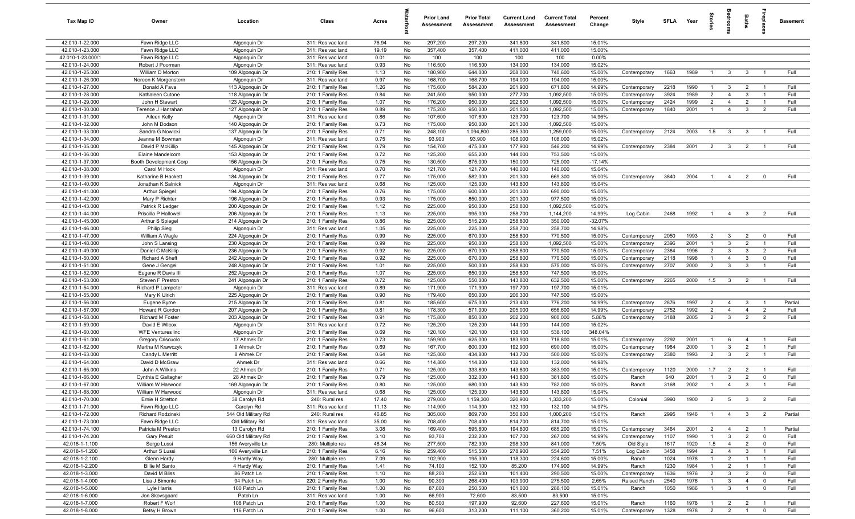| Tax Map ID                         | Owner                               | Location                               | Class                                  | Acres          |          | <b>Prior Land</b><br>Assessment | <b>Prior Total</b><br>Assessment | <b>Current Land</b><br>Assessment | <b>Current Total</b><br>Assessment | Percent<br>Change | Style                        | SFLA         | Year         | tories                           | aroo                             | Baths                 | repla          | <b>Basement</b> |
|------------------------------------|-------------------------------------|----------------------------------------|----------------------------------------|----------------|----------|---------------------------------|----------------------------------|-----------------------------------|------------------------------------|-------------------|------------------------------|--------------|--------------|----------------------------------|----------------------------------|-----------------------|----------------|-----------------|
| 42.010-1-22.000                    | Fawn Ridge LLC                      | Algonquin Dr                           | 311: Res vac land                      | 76.94          | No       | 297,200                         | 297,200                          | 341,800                           | 341,800                            | 15.01%            |                              |              |              |                                  |                                  |                       |                |                 |
| 42.010-1-23.000                    | Fawn Ridge LLC                      | Algonquin Dr                           | 311: Res vac land                      | 19.19          | No       | 357,400                         | 357,400                          | 411,000                           | 411,000                            | 15.00%            |                              |              |              |                                  |                                  |                       |                |                 |
| 42.010-1-23.000/1                  | Fawn Ridge LLC                      | Algonquin Dr                           | 311: Res vac land                      | 0.01           | No       | 100                             | 100                              | 100                               | 100                                | 0.00%             |                              |              |              |                                  |                                  |                       |                |                 |
| 42.010-1-24.000                    | Robert J Poorman                    | Algonquin Dr                           | 311: Res vac land                      | 0.93           | No       | 116,500                         | 116,500                          | 134,000                           | 134,000                            | 15.02%            |                              |              |              |                                  |                                  |                       |                |                 |
| 42.010-1-25.000                    | William D Morton                    | 109 Algonquin Dr                       | 210: 1 Family Res                      | 1.13           | No       | 180,900                         | 644,000                          | 208,000                           | 740,600                            | 15.00%            | Contemporary                 | 1663         | 1989         | $\overline{1}$                   | $\overline{3}$                   | $\mathbf{3}$          | $\overline{1}$ | Full            |
| 42.010-1-26.000                    | Noreen K Morgenstern                | Algonquin Dr                           | 311: Res vac land                      | 0.97           | No       | 168,700                         | 168,700                          | 194,000                           | 194,000                            | 15.00%            |                              |              |              | $\mathbf{1}$                     |                                  |                       | $\overline{1}$ |                 |
| 42.010-1-27.000<br>42.010-1-28.000 | Donald A Fava<br>Kathaleen Cutone   | 113 Algonquin Dr<br>118 Algonquin Dr   | 210: 1 Family Res<br>210: 1 Family Res | 1.26<br>0.84   | No<br>No | 175,600<br>241,500              | 584,200<br>950,000               | 201,900<br>277,700                | 671,800<br>1,092,500               | 14.99%<br>15.00%  | Contemporary<br>Contemporary | 2218<br>3924 | 1990<br>1989 | $\overline{2}$                   | $\mathbf{3}$<br>$\overline{4}$   | $\overline{2}$<br>-3  | $\overline{1}$ | Full<br>Full    |
| 42.010-1-29.000                    | John H Stewart                      | 123 Algonquin Dr                       | 210: 1 Family Res                      | 1.07           | No       | 176,200                         | 950,000                          | 202,600                           | 1,092,500                          | 15.00%            | Contemporary                 | 2424         | 1999         | $\overline{2}$                   | $\overline{4}$                   | $\overline{2}$        | $\overline{1}$ | Full            |
| 42.010-1-30.000                    | Terence J Hanrahan                  | 127 Algonquin Dr                       | 210: 1 Family Res                      | 0.89           | No       | 175,200                         | 950,000                          | 201,500                           | 1,092,500                          | 15.00%            | Contemporary                 | 1840         | 2001         | $\overline{1}$                   | $\overline{4}$                   | -3                    | $\overline{2}$ | Full            |
| 42.010-1-31.000                    | Aileen Kelly                        | Algonquin Dr                           | 311: Res vac land                      | 0.86           | No       | 107,600                         | 107,600                          | 123,700                           | 123,700                            | 14.96%            |                              |              |              |                                  |                                  |                       |                |                 |
| 42.010-1-32.000                    | John M Dodson                       | 140 Algonquin Dr                       | 210: 1 Family Res                      | 0.73           | No       | 175,000                         | 950,000                          | 201,300                           | 1,092,500                          | 15.00%            |                              |              |              |                                  |                                  |                       |                |                 |
| 42.010-1-33.000                    | Sandra G Nowicki                    | 137 Algonquin Dr                       | 210: 1 Family Res                      | 0.71           | No       | 248,100                         | 1,094,800                        | 285,300                           | 1,259,000                          | 15.00%            | Contemporary                 | 2124         | 2003         | 1.5                              | $\mathbf{3}$                     | 3                     | $\overline{1}$ | Full            |
| 42.010-1-34.000                    | Jeanne M Bowman                     | Algonquin Dr                           | 311: Res vac land                      | 0.75           | No       | 93,900                          | 93,900                           | 108,000                           | 108,000                            | 15.02%            |                              |              |              |                                  |                                  |                       |                |                 |
| 42.010-1-35.000                    | David P McKillip                    | 145 Algonquin Dr                       | 210: 1 Family Res                      | 0.79           | No       | 154,700                         | 475,000                          | 177,900                           | 546,200                            | 14.99%            | Contemporary                 | 2384         | 2001         | $\overline{2}$                   | $\overline{3}$                   | $\overline{2}$        | $\overline{1}$ | Full            |
| 42.010-1-36.000                    | Elaine Mandelcorn                   | 153 Algonquin Dr                       | 210: 1 Family Res                      | 0.72           | No       | 125,200                         | 655,200                          | 144,000                           | 753,500                            | 15.00%            |                              |              |              |                                  |                                  |                       |                |                 |
| 42.010-1-37.000                    | Booth Development Corp              | 156 Algonquin Dr                       | 210: 1 Family Res                      | 0.75           | No       | 130,500                         | 875,000                          | 150,000                           | 725,000                            | $-17.14%$         |                              |              |              |                                  |                                  |                       |                |                 |
| 42.010-1-38.000                    | Carol M Hock                        | Algonquin Dr                           | 311: Res vac land                      | 0.70           | No       | 121,700                         | 121,700                          | 140,000                           | 140,000                            | 15.04%            |                              |              |              |                                  |                                  |                       |                |                 |
| 42.010-1-39.000                    | Katharine B Hackett                 | 184 Algonquin Dr                       | 210: 1 Family Res                      | 0.77           | No       | 175,000                         | 582,000                          | 201,300                           | 669,300                            | 15.00%            | Contemporary                 | 3840         | 2004         |                                  | -4                               | $\overline{2}$        | $\mathbf 0$    | Full            |
| 42.010-1-40.000                    | Jonathan K Salnick                  | Algonquin Dr                           | 311: Res vac land                      | 0.68           | No       | 125,000                         | 125,000                          | 143,800                           | 143,800                            | 15.04%            |                              |              |              |                                  |                                  |                       |                |                 |
| 42.010-1-41.000                    | <b>Arthur Spiegel</b>               | 194 Algonquin Dr                       | 210: 1 Family Res                      | 0.76           | No       | 175,000                         | 600,000                          | 201,300                           | 690,000                            | 15.00%            |                              |              |              |                                  |                                  |                       |                |                 |
| 42.010-1-42.000<br>42.010-1-43.000 | Mary P Richter<br>Patrick R Ledger  | 196 Algonquin Dr<br>200 Algonquin Dr   | 210: 1 Family Res<br>210: 1 Family Res | 0.93<br>1.12   | No<br>No | 175,000<br>225,000              | 850,000<br>950,000               | 201,300<br>258,800                | 977,500<br>1,092,500               | 15.00%<br>15.00%  |                              |              |              |                                  |                                  |                       |                |                 |
| 42.010-1-44.000                    | Priscilla P Hallowell               | 206 Algonquin Dr                       | 210: 1 Family Res                      | 1.13           | No       | 225,000                         | 995,000                          | 258,700                           | 1,144,200                          | 14.99%            | Log Cabin                    | 2468         | 1992         | $\overline{1}$                   | $\overline{4}$                   | $\mathbf{3}$          | $\overline{2}$ | Full            |
| 42.010-1-45.000                    | Arthur S Spiegel                    | 214 Algonquin Dr                       | 210: 1 Family Res                      | 0.86           | No       | 225,000                         | 515,200                          | 258,800                           | 350,000                            | $-32.07%$         |                              |              |              |                                  |                                  |                       |                |                 |
| 42.010-1-46.000                    | <b>Philip Sieg</b>                  | Algonquin Dr                           | 311: Res vac land                      | 1.05           | No       | 225,000                         | 225,000                          | 258,700                           | 258,700                            | 14.98%            |                              |              |              |                                  |                                  |                       |                |                 |
| 42.010-1-47.000                    | William A Wagle                     | 224 Algonquin Dr                       | 210: 1 Family Res                      | 0.99           | No       | 225,000                         | 670,000                          | 258,800                           | 770,500                            | 15.00%            | Contemporary                 | 2050         | 1993         | $\overline{2}$                   | $\mathbf{3}$                     | $\overline{2}$        | $\mathbf 0$    | Full            |
| 42.010-1-48.000                    | John S Lansing                      | 230 Algonquin Dr                       | 210: 1 Family Res                      | 0.99           | No       | 225,000                         | 950,000                          | 258,800                           | 1,092,500                          | 15.00%            | Contemporary                 | 2396         | 2001         | $\overline{1}$                   | 3                                | $\overline{2}$        | $\overline{1}$ | Full            |
| 42.010-1-49.000                    | Daniel C McKillip                   | 236 Algonquin Dr                       | 210: 1 Family Res                      | 0.92           | No       | 225,000                         | 670,000                          | 258,800                           | 770,500                            | 15.00%            | Contemporary                 | 2384         | 1996         | $\overline{2}$                   | $\mathbf{3}$                     | 3                     | $\overline{2}$ | Full            |
| 42.010-1-50.000                    | Richard A Sheft                     | 242 Algonquin Dr                       | 210: 1 Family Res                      | 0.92           | No       | 225,000                         | 670,000                          | 258,800                           | 770,500                            | 15.00%            | Contemporary                 | 2118         | 1998         | $\overline{1}$                   | $\overline{4}$                   | 3                     | $\mathbf 0$    | Full            |
| 42.010-1-51.000                    | Gene J Gengel                       | 248 Algonquin Dr                       | 210: 1 Family Res                      | 1.01           | No       | 225,000                         | 500,000                          | 258,800                           | 575,000                            | 15.00%            | Contemporary                 | 2707         | 2000         | $\overline{2}$                   | 3                                | 3                     |                | Full            |
| 42.010-1-52.000                    | Eugene R Davis III                  | 252 Algonquin Dr                       | 210: 1 Family Res                      | 1.07           | No       | 225,000                         | 650,000                          | 258,800                           | 747,500                            | 15.00%            |                              |              |              |                                  |                                  |                       |                |                 |
| 42.010-1-53.000                    | Steven F Preston                    | 241 Algonquin Dr                       | 210: 1 Family Res                      | 0.72           | No       | 125,000                         | 550,000                          | 143,800                           | 632,500                            | 15.00%            | Contemporary                 | 2265         | 2000         | 1.5                              | $\mathbf{3}$                     | $\overline{2}$        | $\overline{1}$ | Full            |
| 42.010-1-54.000                    | Richard P Lampeter                  | Algonquin Dr                           | 311: Res vac land                      | 0.89           | No       | 171,900                         | 171,900                          | 197,700                           | 197,700                            | 15.01%            |                              |              |              |                                  |                                  |                       |                |                 |
| 42.010-1-55.000                    | Mary K Ulrich                       | 225 Algonquin Dr                       | 210: 1 Family Res                      | 0.90           | No       | 179,400                         | 650,000                          | 206,300                           | 747,500                            | 15.00%            |                              |              |              |                                  |                                  |                       | $\overline{1}$ |                 |
| 42.010-1-56.000<br>42.010-1-57.000 | Eugene Byrne                        | 215 Algonquin Dr                       | 210: 1 Family Res                      | 0.81<br>0.81   | No<br>No | 185,600                         | 675,000                          | 213,400                           | 776,200                            | 14.99%            | Contemporary                 | 2876<br>2752 | 1997<br>1992 | $\overline{2}$<br>$\overline{2}$ | $\overline{4}$<br>$\overline{4}$ | - 3<br>$\overline{4}$ | $\overline{2}$ | Partial<br>Full |
| 42.010-1-58.000                    | Howard R Gordon<br>Richard M Foster | 207 Algonquin Dr<br>203 Algonquin Dr   | 210: 1 Family Res<br>210: 1 Family Res | 0.91           | No       | 178,300<br>175,800              | 571,000<br>850,000               | 205,000<br>202,200                | 656,600<br>900,000                 | 14.99%<br>5.88%   | Contemporary<br>Contemporary | 3188         | 2005         | $\overline{2}$                   | $\mathbf{3}$                     | $\overline{2}$        | $\overline{2}$ | Full            |
| 42.010-1-59.000                    | David E Wilcox                      | Algonquin Dr                           | 311: Res vac land                      | 0.72           | No       | 125,200                         | 125,200                          | 144,000                           | 144,000                            | 15.02%            |                              |              |              |                                  |                                  |                       |                |                 |
| 42.010-1-60.000                    | <b>WFE Ventures Inc</b>             | Algonquin Dr                           | 210: 1 Family Res                      | 0.69           | No       | 120,100                         | 120,100                          | 138,100                           | 538,100                            | 348.04%           |                              |              |              |                                  |                                  |                       |                |                 |
| 42.010-1-61.000                    | <b>Gregory Criscuolo</b>            | 17 Ahmek Dr                            | 210: 1 Family Res                      | 0.73           | No       | 159,900                         | 625,000                          | 183,900                           | 718,800                            | 15.01%            | Contemporary                 | 2292         | 2001         | $\overline{1}$                   | 6                                | $\overline{4}$        | $\overline{1}$ | Full            |
| 42.010-1-62.000                    | Martha M Krawczyk                   | 9 Ahmek Dr                             | 210: 1 Family Res                      | 0.69           | No       | 167,700                         | 600,000                          | 192,900                           | 690,000                            | 15.00%            | Contemporary                 | 1984         | 2000         | $\overline{1}$                   | $\mathbf{3}$                     | $\overline{2}$        | $\overline{1}$ | Full            |
| 42.010-1-63.000                    | Candy L Merritt                     | 8 Ahmek Dr                             | 210: 1 Family Res                      | 0.64           | No       | 125,000                         | 434,800                          | 143,700                           | 500,000                            | 15.00%            | Contemporary                 | 2380         | 1993         | $\overline{2}$                   | $\mathbf{3}$                     | $\overline{2}$        | $\overline{1}$ | Full            |
| 42.010-1-64.000                    | David D McGraw                      | Ahmek Dr                               | 311: Res vac land                      | 0.66           | No       | 114,800                         | 114,800                          | 132,000                           | 132,000                            | 14.98%            |                              |              |              |                                  |                                  |                       |                |                 |
| 42.010-1-65.000                    | John A Wilkins                      | 22 Ahmek Dr                            | 210: 1 Family Res                      | 0.71           | No       | 125,000                         | 333,800                          | 143,800                           | 383,900                            | 15.01%            | Contemporary                 | 1120         | 2000         | 1.7                              | $\overline{2}$                   | $\overline{2}$        | $\overline{1}$ | Full            |
| 42.010-1-66.000                    | Cynthia E Gallagher                 | 28 Ahmek Dr                            | 210: 1 Family Res                      | 0.79           | No       | 125,000                         | 332,000                          | 143,800                           | 381,800                            | 15.00%            | Ranch                        | 640          | 2001         | $\mathbf{1}$                     | 3                                | $\overline{2}$        | $\mathbf 0$    | Full            |
| 42.010-1-67.000                    | William W Harwood                   | 169 Algonquin Dr                       | 210: 1 Family Res                      | 0.80           | No       | 125,000                         | 680,000                          | 143,800                           | 782,000                            | 15.00%            | Ranch                        | 3168         | 2002         |                                  | $\overline{4}$                   | 3                     |                | Full            |
| 42.010-1-68.000                    | William W Harwood                   | Algonquin Dr                           | 311: Res vac land                      | 0.68           | No       | 125,000                         | 125,000                          | 143,800                           | 143,800                            | 15.04%            |                              |              |              |                                  |                                  |                       |                |                 |
| 42.010-1-70.000                    | Ernie H Stretton                    | 38 Carolyn Rd                          | 240: Rural res                         | 17.40          | No       | 279,000                         | 1,159,300                        | 320,900                           | 1,333,200                          | 15.00%            | Colonial                     | 3990         | 1900         | 2                                | $5\overline{)}$                  | 3 <sup>3</sup>        | $\overline{2}$ | Full            |
| 42.010-1-71.000                    | Fawn Ridge LLC                      | Carolyn Rd                             | 311: Res vac land                      | 11.13          | No       | 114,900                         | 114,900                          | 132,100                           | 132,100                            | 14.97%            |                              |              |              |                                  |                                  |                       |                |                 |
| 42.010-1-72.000<br>42.010-1-73.000 | Richard Rodzinski<br>Fawn Ridge LLC | 544 Old Military Rd<br>Old Military Rd | 240: Rural res<br>311: Res vac land    | 46.85<br>35.00 | No<br>No | 305,000<br>708,400              | 869,700<br>708,400               | 350,800<br>814,700                | 1,000,200<br>814,700               | 15.01%<br>15.01%  | Ranch                        | 2995         | 1946         | $\overline{1}$                   | $\overline{4}$                   | $\mathbf{3}$          | $\overline{2}$ | Partial         |
| 42.010-1-74.100                    | Patricia M Preston                  | 13 Carolyn Rd                          | 210: 1 Family Res                      | 3.08           | No       | 169,400                         | 595,800                          | 194,800                           | 685,200                            | 15.01%            | Contemporary                 | 3464         | 2001         | $\overline{2}$                   | $\overline{4}$                   | $\overline{2}$        | $\overline{1}$ | Partial         |
| 42.010-1-74.200                    | <b>Gary Pesuit</b>                  | 660 Old Military Rd                    | 210: 1 Family Res                      | 3.10           | No       | 93,700                          | 232,200                          | 107,700                           | 267,000                            | 14.99%            | Contemporary                 | 1107         | 1990         | $\overline{1}$                   | $\mathbf{3}$                     | $\overline{2}$        | $\mathbf 0$    | Full            |
| 42.018-1-1.100                     | Serge Lussi                         | 156 Averyville Ln                      | 280: Multiple res                      | 48.34          | No       | 277,500                         | 782,300                          | 298,300                           | 841,000                            | 7.50%             | Old Style                    | 1617         | 1920         | 1.5                              | $\overline{4}$                   | $\overline{2}$        | $\mathbf 0$    | Full            |
| 42.018-1-1.200                     | Arthur S Lussi                      | 166 Averyville Ln                      | 210: 1 Family Res                      | 6.16           | No       | 259,400                         | 515,500                          | 278,900                           | 554,200                            | 7.51%             | Log Cabin                    | 3458         | 1994         | $\overline{2}$                   | $\overline{4}$                   | $\mathbf{3}$          | $\overline{1}$ | Full            |
| 42.018-1-2.100                     | Glenn Hardy                         | 9 Hardy Way                            | 280: Multiple res                      | 7.09           | No       | 102,900                         | 195,300                          | 118,300                           | 224,600                            | 15.00%            | Ranch                        | 1024         | 1978         | $\mathbf{1}$                     | $\overline{2}$                   | $\overline{1}$        | $\overline{1}$ | Full            |
| 42.018-1-2.200                     | <b>Billie M Santo</b>               | 4 Hardy Way                            | 210: 1 Family Res                      | 1.41           | No       | 74,100                          | 152,100                          | 85,200                            | 174,900                            | 14.99%            | Ranch                        | 1230         | 1984         | $\overline{1}$                   | $\overline{2}$                   | $\overline{1}$        | $\overline{1}$ | Full            |
| 42.018-1-3.000                     | David M Bliss                       | 86 Patch Ln                            | 210: 1 Family Res                      | 1.10           | No       | 88,200                          | 252,600                          | 101,400                           | 290,500                            | 15.00%            | Contemporary                 | 1636         | 1976         | $\overline{2}$                   | $\overline{\mathbf{3}}$          | $\overline{2}$        | $\mathbf 0$    | Full            |
| 42.018-1-4.000                     | Lisa J Bimonte                      | 94 Patch Ln                            | 220: 2 Family Res                      | 1.00           | No       | 90,300                          | 268,400                          | 103,900                           | 275,500                            | 2.65%             | Raised Ranch                 | 2540         | 1976         | $\overline{1}$                   | $\mathbf{3}$                     | $\overline{4}$        | $\mathbf 0$    | Full            |
| 42.018-1-5.000                     | Lyle Harris                         | 100 Patch Ln                           | 210: 1 Family Res                      | 1.00           | No       | 87,800                          | 250,500                          | 101,000                           | 288,100                            | 15.01%            | Ranch                        | 1050         | 1986         | $\overline{1}$                   | $\overline{\mathbf{3}}$          | $\overline{1}$        | $\mathbf 0$    | Full            |
| 42.018-1-6.000                     | Jon Skovsgaard                      | Patch Ln                               | 311: Res vac land                      | 1.00           | No       | 66,900                          | 72,600                           | 83,500                            | 83,500                             | 15.01%            |                              |              |              |                                  |                                  |                       |                |                 |
| 42.018-1-7.000                     | Robert F Wolf                       | 108 Patch Ln                           | 210: 1 Family Res                      | 1.00           | No       | 80,500                          | 197,900                          | 92,600                            | 227,600                            | 15.01%            | Ranch                        | 1160         | 1978         | $\overline{1}$                   | $\overline{2}$                   | $\overline{2}$        | $\overline{1}$ | Full            |
| 42.018-1-8.000                     | Betsy H Brown                       | 116 Patch Ln                           | 210: 1 Family Res                      | 1.00           | No       | 96,600                          | 313,200                          | 111,100                           | 360,200                            | 15.01%            | Contemporary                 | 1328         | 1978         | $\overline{2}$                   | $\overline{2}$                   | $\overline{1}$        | $\overline{0}$ | Full            |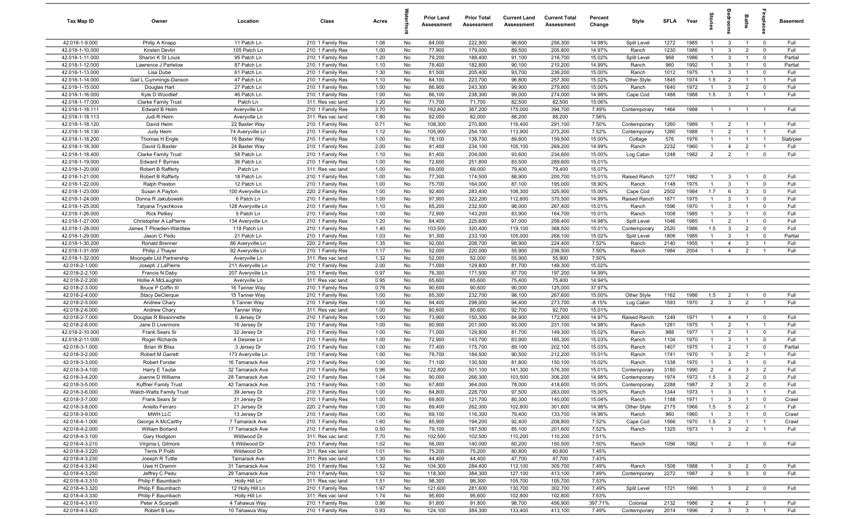| Tax Map ID                         | Owner                                         | Location                             | Class                                  | Acres        |          | <b>Prior Land</b><br>Assessment | <b>Prior Total</b><br>Assessment | <b>Current Land</b><br>Assessment | <b>Current Total</b><br>Assessment | Percent<br>Change | Style                | <b>SFLA</b>  | Year         | $\vec{a}$           | room                           | Baths                            | Lebia                        | Basement        |
|------------------------------------|-----------------------------------------------|--------------------------------------|----------------------------------------|--------------|----------|---------------------------------|----------------------------------|-----------------------------------|------------------------------------|-------------------|----------------------|--------------|--------------|---------------------|--------------------------------|----------------------------------|------------------------------|-----------------|
| 42.018-1-9.000                     | Philip A Knapp                                | 11 Patch Ln                          | 210: 1 Family Res                      | 1.06         | No       | 84,000                          | 222,900                          | 96,600                            | 256,300                            | 14.98%            | Split Level          | 1272         | 1985         | $\mathbf{1}$        | $\mathbf{3}$                   | $\overline{1}$                   | $\mathbf{0}$                 | Full            |
| 42.018-1-10.000                    | Kirsten Devlin                                | 105 Patch Ln                         | 210: 1 Family Res                      | 1.00         | No       | 77,900                          | 179,000                          | 89,500                            | 205,800                            | 14.97%            | Ranch                | 1230         | 1986         | $\overline{1}$      | $\mathbf{3}$                   | $\overline{2}$                   | $\mathbf{0}$                 | Full            |
| 42.018-1-11.000                    | Sharon K St Louis                             | 95 Patch Ln                          | 210: 1 Family Res                      | 1.20         | No       | 79,200                          | 188,400                          | 91,100                            | 216,700                            | 15.02%            | Split Level          | 968          | 1986         | $\mathbf{1}$        | $\mathbf{3}$                   | $\overline{1}$                   | $\mathbf 0$                  | Partial         |
| 42.018-1-12.000                    | Lawrence J Partelow                           | 87 Patch Ln                          | 210: 1 Family Res                      | 1.10         | No       | 78,400                          | 182,800                          | 90,100                            | 210,200                            | 14.99%            | Ranch                | 960          | 1992         | $\overline{1}$      | $\mathbf{3}$                   |                                  | $^{\circ}$                   | Partial         |
| 42.018-1-13.000<br>42.018-1-14.000 | Lisa Dube<br>Gail L Cummings-Danson           | 61 Patch Ln<br>47 Patch Ln           | 210: 1 Family Res<br>210: 1 Family Res | 1.30<br>1.10 | No<br>No | 81,500<br>84,100                | 205,400<br>223,700               | 93,700<br>96,800                  | 236,200<br>257,300                 | 15.00%<br>15.02%  | Ranch<br>Other Style | 1012<br>1845 | 1975<br>1974 | $\mathbf{1}$<br>1.5 | $\mathbf{3}$<br>$\overline{2}$ | $\mathbf{1}$                     | $^{\circ}$<br>$\overline{1}$ | Full<br>Full    |
| 42.018-1-15.000                    | Douglas Hart                                  | 27 Patch Ln                          | 210: 1 Family Res                      | 1.00         | No       | 86,900                          | 243,300                          | 99,900                            | 279,800                            | 15.00%            | Ranch                | 1640         | 1972         | $\overline{1}$      | $\mathbf{3}$                   | $\overline{2}$                   | $\mathbf 0$                  | Full            |
| 42.018-1-16.000                    | Kyle D Woodlief                               | 46 Patch Ln                          | 210: 1 Family Res                      | 1.00         | No       | 86,100                          | 238,300                          | 99,000                            | 274,000                            | 14.98%            | Cape Cod             | 1488         | 1988         | 1.5                 | $\mathbf{3}$                   | $\overline{1}$                   | $\overline{1}$               | Full            |
| 42.018-1-17.000                    | Clarke Family Trust                           | Patch Ln                             | 311: Res vac land                      | 1.20         | No       | 71,700                          | 71,700                           | 82,500                            | 82,500                             | 15.06%            |                      |              |              |                     |                                |                                  |                              |                 |
| 42.018-1-18.111                    | <b>Edward B Heim</b>                          | Averyville Ln                        | 210: 1 Family Res                      | 3.70         | No       | 162,800                         | 367,200                          | 175,000                           | 394,700                            | 7.49%             | Contemporary         | 1464         | 1988         | $\overline{1}$      | $\overline{1}$                 | $\overline{1}$                   | $\overline{1}$               | Full            |
| 42.018-1-18.113                    | Judi R Heim                                   | Averyville Ln                        | 311: Res vac land                      | 1.80         | No       | 82,000                          | 82,000                           | 88,200                            | 88,200                             | 7.56%             |                      |              |              |                     |                                |                                  |                              |                 |
| 42.018-1-18.120                    | David Heim                                    | 22 Baxter Way                        | 210: 1 Family Res                      | 0.71         | No       | 108,300                         | 270,800                          | 116,400                           | 291,100                            | 7.50%             | Contemporary         | 1260         | 1989         | $\overline{1}$      | $\overline{2}$                 | $\overline{1}$                   | $\overline{1}$               | Full            |
| 42.018-1-18.130                    | Judy Heim                                     | 74 Averyville Ln                     | 210: 1 Family Res                      | 1.12         | No       | 105,900                         | 254,100                          | 113,900                           | 273,200                            | 7.52%             | Contemporary         | 1260         | 1988         | $\overline{1}$      | 2                              | $\overline{1}$                   | $\overline{1}$               | Full            |
| 42.018-1-18.200                    | Thomas H Engle                                | 16 Baxter Way                        | 210: 1 Family Res                      | 1.00         | No       | 78,100                          | 138,700                          | 89,800                            | 159,500                            | 15.00%            | Cottage              | 576          | 1976         | $\mathbf{1}$        | -1                             | $\overline{1}$                   | $\overline{1}$               | Slab/pier       |
| 42.018-1-18.300                    | David G Baxter                                | 24 Baxter Way                        | 210: 1 Family Res                      | 2.00         | No       | 91,400                          | 234,100                          | 105,100                           | 269,200                            | 14.99%            | Ranch                | 2232         | 1960         | $\mathbf{1}$        | $\overline{4}$                 | $\overline{2}$                   | -1                           | Full            |
| 42.018-1-18.400                    | Clarke Family Trust                           | 58 Patch Ln                          | 210: 1 Family Res                      | 1.10         | No       | 81,400                          | 204,000                          | 93,600                            | 234,600                            | 15.00%            | Log Cabin            | 1248         | 1982         | $\overline{2}$      | $\overline{2}$                 | $\overline{1}$                   | $\mathbf{0}$                 | Full            |
| 42.018-1-19.000                    | <b>Edward F Byrnes</b>                        | 36 Patch Ln                          | 210: 1 Family Res                      | 1.00         | No       | 72,600                          | 251,800                          | 83,500                            | 289,600                            | 15.01%            |                      |              |              |                     |                                |                                  |                              |                 |
| 42.018-1-20.000<br>42.018-1-21.000 | Robert B Rafferty<br>Robert B Rafferty        | Patch Ln<br>18 Patch Ln              | 311: Res vac land<br>210: 1 Family Res | 1.00<br>1.00 | No<br>No | 69,000<br>77,300                | 69,000<br>174,500                | 79,400<br>88,900                  | 79,400<br>200,700                  | 15.07%<br>15.01%  | Raised Ranch         | 1277         | 1982         | $\overline{1}$      | $\mathbf{3}$                   |                                  | $^{\circ}$                   | Full            |
| 42.018-1-22.000                    | Ralph Preston                                 | 12 Patch Ln                          | 210: 1 Family Res                      | 1.00         | No       | 75,700                          | 164,000                          | 87,100                            | 195,000                            | 18.90%            | Ranch                | 1148         | 1975         | $\overline{1}$      | $\mathbf{3}$                   | $\overline{1}$                   | $\mathbf 0$                  | Full            |
| 42.018-1-23.000                    | Susan A Payton                                | 100 Averyville Ln                    | 220: 2 Family Res                      | 1.00         | No       | 92,400                          | 283,400                          | 106,300                           | 325,900                            | 15.00%            | Cape Cod             | 2502         | 1984         | 1.7                 | 6                              | $\mathbf{3}$                     | $\mathbf 0$                  | Full            |
| 42.018-1-24.000                    | Donna R Jakubowski                            | 6 Patch Ln                           | 210: 1 Family Res                      | 1.00         | No       | 97,900                          | 322,200                          | 112,600                           | 370,500                            | 14.99%            | Raised Ranch         | 1871         | 1975         | $\overline{1}$      | $\mathbf{3}$                   | $\overline{1}$                   | $\mathbf 0$                  | Full            |
| 42.018-1-25.000                    | Tatyana Tryachkova                            | 128 Averyville Ln                    | 210: 1 Family Res                      | 1.10         | No       | 85,200                          | 232,500                          | 98,000                            | 267,400                            | 15.01%            | Ranch                | 1596         | 1970         | $\overline{1}$      | $\mathbf{3}$                   | $\overline{1}$                   | $\mathbf{0}$                 | Full            |
| 42.018-1-26.000                    | <b>Rick Pelkey</b>                            | 5 Patch Ln                           | 210: 1 Family Res                      | 1.00         | No       | 72,900                          | 143,200                          | 83,900                            | 164,700                            | 15.01%            | Ranch                | 1008         | 1985         | $\overline{1}$      | $\mathbf{3}$                   | $\overline{1}$                   | $^{\circ}$                   | Full            |
| 42.018-1-27.000                    | Christopher A LaPierre                        | 134 Averyville Ln                    | 210: 1 Family Res                      | 1.20         | No       | 84,400                          | 225,600                          | 97,000                            | 259,400                            | 14.98%            | Split Level          | 1046         | 1985         | $\overline{1}$      | $\overline{2}$                 | $\overline{1}$                   | $\mathbf{0}$                 | Full            |
| 42.018-1-28.000                    | James T Plowden-Wardlaw                       | 118 Patch Ln                         | 210: 1 Family Res                      | 1.40         | No       | 103,500                         | 320,400                          | 119,100                           | 368,500                            | 15.01%            | Contemporary         | 2520         | 1986         | 1.5                 | $\mathbf{3}$                   | $\overline{2}$                   | $\Omega$                     | Full            |
| 42.018-1-29.000                    | Jason C Pedu                                  | 21 Patch Ln                          | 210: 1 Family Res                      | 1.03         | No       | 91,300                          | 233,100                          | 105,000                           | 268,100                            | 15.02%            | Split Level          | 1806         | 1985         | $\mathbf{1}$        | $\mathbf{3}$                   | $\overline{1}$                   | $\mathbf 0$                  | Partial         |
| 42.018-1-30.200                    | Ronald Brenner                                | 86 Averyville Ln                     | 220: 2 Family Res                      | 1.35         | No       | 92,000                          | 208,700                          | 98,900                            | 224,400                            | 7.52%             | Ranch                | 2140         | 1955         | $\mathbf{1}$        | $\overline{4}$                 | 3                                |                              | Full            |
| 42.018-1-31.000                    | Philip J Thayer                               | 92 Averyville Ln                     | 210: 1 Family Res                      | 1.17         | No       | 52,000                          | 220,000                          | 55,900                            | 236,500                            | 7.50%             | Ranch                | 1984         | 2004         | $\overline{1}$      | $\overline{4}$                 | $\overline{2}$                   |                              | Full            |
| 42.018-1-32.000<br>42.018-2-1.000  | Moongate Ltd Partnership<br>Joseph J LaPierre | Averyville Ln<br>211 Averyville Ln   | 311: Res vac land<br>210: 1 Family Res | 1.32<br>2.00 | No<br>No | 52,000<br>71,000                | 52,000<br>129,800                | 55,900<br>81,700                  | 55,900<br>149,300                  | 7.50%<br>15.02%   |                      |              |              |                     |                                |                                  |                              |                 |
| 42.018-2-2.100                     | Francis N Daby                                | 207 Averyville Ln                    | 210: 1 Family Res                      | 0.97         | No       | 76,300                          | 171,500                          | 87,700                            | 197,200                            | 14.99%            |                      |              |              |                     |                                |                                  |                              |                 |
| 42.018-2-2.200                     | Hollie A McLaughlin                           | Averyville Ln                        | 311: Res vac land                      | 0.95         | No       | 65,600                          | 65,600                           | 75,400                            | 75,400                             | 14.94%            |                      |              |              |                     |                                |                                  |                              |                 |
| 42.018-2-3.000                     | Bruce P Coffin III                            | 16 Tanner Way                        | 210: 1 Family Res                      | 0.76         | No       | 90,600                          | 90,600                           | 90,000                            | 125,000                            | 37.97%            |                      |              |              |                     |                                |                                  |                              |                 |
| 42.018-2-4.000                     | <b>Stacy DeClerque</b>                        | 15 Tanner Way                        | 210: 1 Family Res                      | 1.00         | No       | 85,300                          | 232,700                          | 98,100                            | 267,600                            | 15.00%            | Other Style          | 1162         | 1986         | 1.5                 | $\overline{2}$                 | $\overline{1}$                   | $^{\circ}$                   | Full            |
| 42.018-2-5.000                     | Andrew Chary                                  | 5 Tanner Way                         | 210: 1 Family Res                      | 1.00         | No       | 94,400                          | 298,000                          | 94,400                            | 273,700                            | $-8.15%$          | Log Cabin            | 1593         | 1970         | $\overline{2}$      | $\mathbf{3}$                   | $\overline{2}$                   | $\overline{1}$               | Full            |
| 42.018-2-6.000                     | Andrew Chary                                  | <b>Tanner Way</b>                    | 311: Res vac land                      | 1.00         | No       | 80,600                          | 80,600                           | 92,700                            | 92,700                             | 15.01%            |                      |              |              |                     |                                |                                  |                              |                 |
| 42.018-2-7.000                     | Douglas R Bissonnette                         | 6 Jersey Dr                          | 210: 1 Family Res                      | 1.00         | No       | 73,900                          | 150,300                          | 84,900                            | 172,800                            | 14.97%            | Raised Ranch         | 1249         | 1971         | $\overline{1}$      | $\overline{4}$                 | $\overline{1}$                   | $\mathbf 0$                  | Full            |
| 42.018-2-8.000                     | Jane D Livermore                              | 16 Jersey Dr                         | 210: 1 Family Res                      | 1.00         | No       | 80,900                          | 201,000                          | 93,000                            | 231,100                            | 14.98%            | Ranch                | 1281         | 1975         | $\overline{1}$      | $\overline{2}$                 | $\overline{1}$                   |                              | Full            |
| 42.018-2-10.000                    | Frank Sears Sr                                | 32 Jersey Dr                         | 210: 1 Family Res                      | 1.00         | No       | 71,000                          | 129,800                          | 81,700                            | 149,300                            | 15.02%            | Ranch                | 988          | 1977         | $\overline{1}$      | $\overline{2}$                 | $\overline{1}$                   | $\mathbf 0$                  | Full            |
| 42.018-2-11.000                    | Roger Richards                                | 4 Desiree Ln                         | 210: 1 Family Res                      | 1.00         | No       | 72,900                          | 143,700                          | 83,900                            | 165,300                            | 15.03%            | Ranch                | 1104         | 1970         | $\overline{1}$      | $\mathbf{3}$                   |                                  | $^{\circ}$                   | Full            |
| 42.018-3-1.000<br>42.018-3-2.000   | <b>Brian W Bliss</b>                          | 3 Jersey Dr                          | 210: 1 Family Res                      | 1.00         | No       | 77,400                          | 175,700                          | 89,100<br>90,500                  | 202,100                            | 15.03%<br>15.01%  | Ranch                | 1407<br>1741 | 1975<br>1970 | 1<br>$\overline{1}$ | $\overline{2}$<br>$\mathbf{3}$ | $\overline{1}$<br>$\overline{2}$ | $^{\circ}$<br>-1             | Partial<br>Full |
| 42.018-3-3.000                     | Robert M Garrett<br><b>Robert Forster</b>     | 173 Averyville Ln<br>16 Tamarack Ave | 210: 1 Family Res<br>210: 1 Family Res | 1.00<br>1.00 | No<br>No | 78,700<br>71,100                | 184,500<br>130,500               | 81,800                            | 212,200<br>150,100                 | 15.02%            | Ranch<br>Ranch       | 1338         | 1970         | $\overline{1}$      | $\mathbf{3}$                   | $\overline{1}$                   | $\mathbf 0$                  | Full            |
| 42.018-3-4.100                     | Harry E Taube                                 | 32 Tamarack Ave                      | 210: 1 Family Res                      | 0.96         | No       | 122,800                         | 501,100                          | 141,300                           | 576,300                            | 15.01%            | Contemporary         | 3180         | 1990         | $\overline{2}$      | $\overline{4}$                 | 3                                | $\overline{2}$               | Full            |
| 42.018-3-4.200                     | Joanne D Williams                             | 28 Tamarack Ave                      | 210: 1 Family Res                      | 1.04         | No       | 90,000                          | 266,300                          | 103,500                           | 306,200                            | 14.98%            | Contemporary         | 1974         | 1972         | 1.5                 | $\mathbf{3}$                   | $\overline{2}$                   | $^{\circ}$                   | Full            |
| 42.018-3-5.000                     | Kuffner Family Trust                          | 42 Tamarack Ave                      | 210: 1 Family Res                      | 1.00         | No       | 67,800                          | 364,000                          | 78,000                            | 418,600                            | 15.00%            | Contemporary         | 2288         | 1987         | $\overline{2}$      | $\mathcal{R}$                  | $\overline{2}$                   |                              | Full            |
| 42.018-3-6.000                     | Walch-Watts Family Trust                      | 39 Jersey Dr                         | 210: 1 Family Res                      | 1.00         | No       | 84,800                          | 228,700                          | 97,500                            | 263,000                            | 15.00%            | Ranch                | 1344         | 1973         | $\overline{1}$      | $\mathbf{3}$                   | $\overline{1}$                   | $\overline{1}$               | Full            |
| 42.018-3-7.000                     | Frank Sears Sr                                | 31 Jersey Dr                         | 210: 1 Family Res                      | 1.00         | No       | 69,800                          | 121,700                          | 80,300                            | 140,000                            | 15.04%            | Ranch                | 1188         | 1971         | $\overline{1}$      | $\mathbf{3}$                   | $\overline{1}$                   | $\overline{\mathbf{0}}$      | Crawl           |
| 42.018-3-8.000                     | Aniello Ferraro                               | 21 Jersey Dr                         | 220: 2 Family Res                      | 1.00         | No       | 89,400                          | 262,300                          | 102,800                           | 301,600                            | 14.98%            | Other Style          | 2175         | 1966         | 1.5                 | $5\overline{5}$                | $\overline{2}$                   | $\overline{1}$               | Full            |
| 42.018-3-9.000                     | MWH LLC                                       | 13 Jersey Dr                         | 210: 1 Family Res                      | 1.00         | No       | 69,100                          | 116,300                          | 79,400                            | 133,700                            | 14.96%            | Ranch                | 960          | 1960         | $\overline{1}$      | $\mathbf{3}$                   | $\mathbf{1}$                     | $\mathbf 0$                  | Crawl           |
| 42.018-4-1.000                     | George A McCarthy                             | 7 Tamarack Ave                       | 210: 1 Family Res                      | 1.60         | No       | 85,900                          | 194,200                          | 92,400                            | 208,800                            | 7.52%             | Cape Cod             | 1566         | 1970         | 1.5                 | $\overline{2}$                 | $\overline{1}$                   | $\overline{1}$               | Crawl           |
| 42.018-4-2.000                     | William Borland                               | 17 Tamarack Ave                      | 210: 1 Family Res                      | 0.50         | No       | 79,100                          | 187,500                          | 85,100                            | 201,600                            | 7.52%             | Ranch                | 1325         | 1973         | $\overline{1}$      | $\mathbf{3}$                   | $\overline{2}$                   | $\overline{1}$               | Full            |
| 42.018-4-3.100                     | Gary Hodgson                                  | Wildwood Dr                          | 311: Res vac land                      | 7.70         | No       | 102,500                         | 102,500                          | 110,200                           | 110,200                            | 7.51%             |                      |              |              |                     |                                |                                  |                              |                 |
| 42.018-4-3.210<br>42.018-4-3.220   | Virginia L Gilmore<br>Terris P Politi         | 5 Wildwood Dr<br>Wildwood Dr         | 210: 1 Family Res                      | 1.02<br>1.01 | No<br>No | 56,000<br>75,200                | 140,000<br>75,200                | 60,200<br>80,800                  | 150,500<br>80,800                  | 7.50%<br>7.45%    | Ranch                | 1056         | 1982         | $\overline{1}$      | $\overline{2}$                 | 1                                | $\overline{\mathbf{0}}$      | Full            |
| 42.018-4-3.230                     | Joseph R Tuttle                               | <b>Tamarack Ave</b>                  | 311: Res vac land<br>311: Res vac land | 1.30         | No       | 44,400                          | 44,400                           | 47,700                            | 47,700                             | 7.43%             |                      |              |              |                     |                                |                                  |                              |                 |
| 42.018-4-3.240                     | Uwe H Dramm                                   | 31 Tamarack Ave                      | 210: 1 Family Res                      | 1.52         | No       | 104,300                         | 284,400                          | 112,100                           | 305,700                            | 7.49%             | Ranch                | 1508         | 1988         | $\overline{1}$      | $\mathbf{3}$                   | $\overline{2}$                   | $\overline{\mathbf{0}}$      | Full            |
| 42.018-4-3.250                     | Jeffrey C Pedu                                | 29 Tamarack Ave                      | 210: 1 Family Res                      | 1.52         | No       | 118,300                         | 384,300                          | 127,100                           | 413,100                            | 7.49%             | Contemporary         | 2272         | 1987         | 2                   | $5\overline{)}$                | $\mathbf{3}$                     | $\overline{0}$               | Full            |
| 42.018-4-3.310                     | Philip F Baumbach                             | Holly Hill Ln                        | 311: Res vac land                      | 1.51         | No       | 98,300                          | 98,300                           | 105,700                           | 105,700                            | 7.53%             |                      |              |              |                     |                                |                                  |                              |                 |
| 42.018-4-3.320                     | Philip F Baumbach                             | 12 Holly Hill Ln                     | 210: 1 Family Res                      | 1.97         | No       | 121,600                         | 281,600                          | 130,700                           | 302,700                            | 7.49%             | Split Level          | 1721         | 1990         | $\overline{1}$      | $\mathbf{3}$                   | $\overline{2}$                   | $\overline{\mathbf{0}}$      | Full            |
| 42.018-4-3.330                     | Philip F Baumbach                             | Holly Hill Ln                        | 311: Res vac land                      | 1.74         | No       | 95,600                          | 95,600                           | 102,800                           | 102,800                            | 7.53%             |                      |              |              |                     |                                |                                  |                              |                 |
| 42.018-4-3.410                     | Peter A Scarpelli                             | 4 Tahawus Way                        | 210: 1 Family Res                      | 0.96         | No       | 91,800                          | 91,800                           | 98,700                            | 456,900                            | 397.71%           | Colonial             | 2132         | 1986         | $\overline{2}$      | $\overline{4}$                 | $\overline{2}$                   |                              | Full            |
| 42.018-4-3.420                     | Robert B Leu                                  | 10 Tahawus Way                       | 210: 1 Family Res                      | 0.93         | No       | 124,100                         | 384,300                          | 133,400                           | 413,100                            | 7.49%             | Contemporary         | 2014         | 1996         | $\overline{2}$      | $\overline{\mathbf{3}}$        | $\mathbf{3}$                     | $\overline{1}$               | Full            |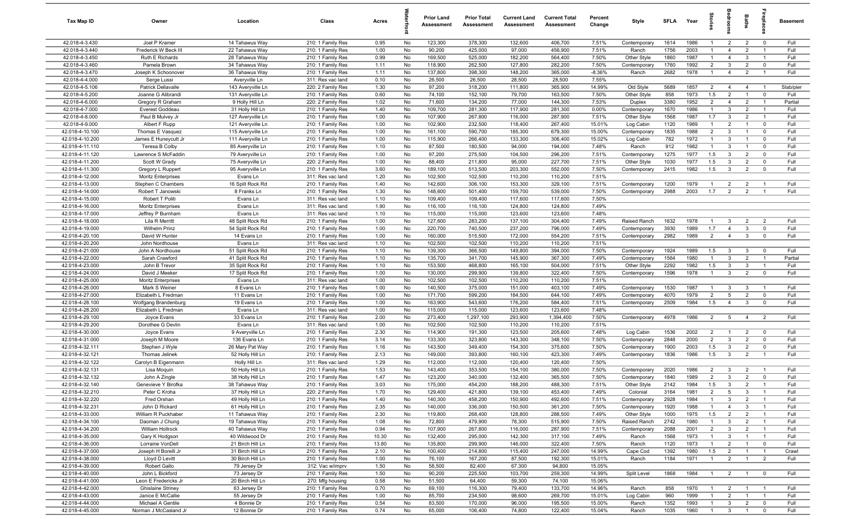| Tax Map ID                         | Owner                                    | Location                               | Class                                  | Acres        |          | <b>Prior Land</b><br>Assessment | <b>Prior Total</b><br>Assessment | <b>Current Land</b><br>Assessment | <b>Current Total</b><br>Assessment | Percent<br>Change | Style                        | SFLA         | Year         | tories                           | droo                             | <b>Baths</b>                     | repla                         | <b>Basement</b>   |
|------------------------------------|------------------------------------------|----------------------------------------|----------------------------------------|--------------|----------|---------------------------------|----------------------------------|-----------------------------------|------------------------------------|-------------------|------------------------------|--------------|--------------|----------------------------------|----------------------------------|----------------------------------|-------------------------------|-------------------|
| 42.018-4-3.430                     | Joel P Kramer                            | 14 Tahawus Way                         | 210: 1 Family Res                      | 0.95         | No       | 123,300                         | 378,300                          | 132,600                           | 406,700                            | 7.51%             | Contemporary                 | 1614         | 1986         | $\overline{1}$                   | $\overline{2}$                   | $\overline{2}$                   | $\overline{0}$                | Full              |
| 42.018-4-3.440                     | Frederick W Beck II                      | 22 Tahawus Way                         | 210: 1 Family Res                      | 1.00         | No       | 90,200                          | 425,000                          | 97,000                            | 456,900                            | 7.51%             | Ranch                        | 1756         | 2003         | $\mathbf{1}$                     | $\overline{4}$                   | $\overline{2}$                   | $\overline{1}$                | Full              |
| 42.018-4-3.450                     | Ruth E Richards                          | 28 Tahawus Way                         | 210: 1 Family Res                      | 0.99         | No       | 169,500                         | 525,000                          | 182,200                           | 564,400                            | 7.50%             | Other Style                  | 1860         | 1987         | $\mathbf{1}$                     | $\overline{4}$                   | 3                                | $\overline{1}$                | Full              |
| 42.018-4-3.460                     | Pamela Brown                             | 34 Tahawus Way                         | 210: 1 Family Res                      | 1.11         | No       | 118,900                         | 262,500                          | 127,800                           | 282,200                            | 7.50%             | Contemporary                 | 1760         | 1992         | $\overline{2}$                   | 3                                | $\overline{2}$                   | $\mathbf 0$                   | Full              |
| 42.018-4-3.470                     | Joseph K Schoonover                      | 36 Tahawus Way                         | 210: 1 Family Res                      | 1.11         | No       | 137,800                         | 398,300                          | 148,200                           | 365,000                            | $-8.36%$          | Ranch                        | 2682         | 1978         | $\overline{1}$                   | $\overline{4}$                   | $\overline{2}$                   | $\overline{1}$                | Full              |
| 42.018-4-4.000                     | Serge Lussi                              | Averyville Ln                          | 311: Res vac land                      | 0.10         | No       | 26,500                          | 26,500                           | 28,500                            | 28,500                             | 7.55%             |                              |              |              |                                  |                                  |                                  |                               |                   |
| 42.018-4-5.106<br>42.018-4-5.200   | Patrick Dellavalle<br>Joanne G Alibrandi | 143 Averyville Ln<br>131 Averyville Ln | 220: 2 Family Res<br>210: 1 Family Res | 1.30<br>0.60 | No<br>No | 97,200<br>74,100                | 318,200<br>152,100               | 111,800<br>79,700                 | 365,900<br>163,500                 | 14.99%<br>7.50%   | Old Style<br>Other Style     | 5689<br>858  | 1857<br>1973 | $\overline{2}$<br>1.5            | $\overline{4}$<br>$\overline{2}$ | $\overline{4}$<br>$\overline{1}$ | $\overline{1}$<br>$\mathbf 0$ | Slab/pier<br>Full |
| 42.018-4-6.000                     | Gregory R Graham                         | 9 Holly Hill Ln                        | 220: 2 Family Res                      | 1.02         | No       | 71,600                          | 134,200                          | 77,000                            | 144,300                            | 7.53%             | Duplex                       | 3380         | 1952         | $\overline{2}$                   | $\overline{4}$                   | $\overline{2}$                   | $\overline{1}$                | Partial           |
| 42.018-4-7.000                     | Everest Goddeau                          | 31 Holly Hill Ln                       | 210: 1 Family Res                      | 1.40         | No       | 109,700                         | 281,300                          | 117,900                           | 281,300                            | 0.00%             | Contemporary                 | 1670         | 1986         | $\overline{1}$                   | 3                                | $\overline{2}$                   | $\overline{1}$                | Full              |
| 42.018-4-8.000                     | Paul B Mulvey Jr                         | 127 Averyville Ln                      | 210: 1 Family Res                      | 1.00         | No       | 107,900                         | 267,800                          | 116,000                           | 287,900                            | 7.51%             | Other Style                  | 1568         | 1987         | 1.7                              | 3                                | $\overline{2}$                   | $\overline{1}$                | Full              |
| 42.018-4-9.000                     | Albert F Rupp                            | 121 Averyville Ln                      | 210: 1 Family Res                      | 1.00         | No       | 102,900                         | 232,500                          | 118,400                           | 267,400                            | 15.01%            | Log Cabin                    | 1120         | 1989         | $\overline{1}$                   | $\overline{2}$                   | $\mathbf{1}$                     | $\mathbf 0$                   | Full              |
| 42.018-4-10.100                    | Thomas E Vasquez                         | 115 Averyville Ln                      | 210: 1 Family Res                      | 1.00         | No       | 161,100                         | 590,700                          | 185,300                           | 679,300                            | 15.00%            | Contemporary                 | 1835         | 1988         | $\overline{2}$                   | 3                                | $\overline{1}$                   | $^{\circ}$                    | Full              |
| 42.018-4-10.200                    | James E Huneycutt Jr                     | 111 Averyville Ln                      | 210: 1 Family Res                      | 1.00         | No       | 115,900                         | 266,400                          | 133,300                           | 306,400                            | 15.02%            | Log Cabin                    | 782          | 1972         | $\mathbf{1}$                     | 3                                | $\overline{1}$                   | $\mathbf 0$                   | Full              |
| 42.018-4-11.110                    | Teresa B Colby                           | 85 Averyville Ln                       | 210: 1 Family Res                      | 1.10         | No       | 87,500                          | 180,500                          | 94,000                            | 194,000                            | 7.48%             | Ranch                        | 912          | 1982         | $\overline{1}$                   | 3                                | $\overline{1}$                   | $\mathbf 0$                   | Full              |
| 42.018-4-11.120                    | Lawrence S McFaddin                      | 79 Averyville Ln                       | 210: 1 Family Res                      | 1.00         | No       | 97,200                          | 275,500                          | 104,500                           | 296,200                            | 7.51%             | Contemporary                 | 1275         | 1977         | 1.5                              | $\mathbf{3}$                     | $\overline{2}$                   | $\mathbf 0$                   | Full              |
| 42.018-4-11.200                    | Scott W Grady                            | 75 Averyville Ln                       | 220: 2 Family Res                      | 1.00         | No       | 88,400                          | 211,800                          | 95,000                            | 227,700                            | 7.51%             | Other Style                  | 1030         | 1977         | 1.5                              | $\mathbf{3}$                     | $\overline{2}$                   | $\mathbf 0$                   | Full              |
| 42.018-4-11.300                    | Gregory L Ruppert                        | 95 Averyville Ln                       | 210: 1 Family Res                      | 3.60         | No       | 189,100                         | 513,500                          | 203,300                           | 552,000                            | 7.50%             | Contemporary                 | 2415         | 1982         | 1.5                              | $\mathbf{3}$                     | $\overline{2}$                   | $\mathbf 0$                   | Full              |
| 42.018-4-12.000                    | <b>Moritz Enterprises</b>                | Evans Ln                               | 311: Res vac land                      | 1.20         | No       | 102,500<br>142,600              | 102,500                          | 110,200                           | 110,200                            | 7.51%             |                              |              | 1979         |                                  |                                  |                                  | $\overline{1}$                | Full              |
| 42.018-4-13.000<br>42.018-4-14.000 | Stephen C Chambers<br>Robert T Janowski  | 16 Split Rock Rd<br>8 Franks Ln        | 210: 1 Family Res                      | 1.40<br>1.30 | No<br>No | 148,600                         | 306,100<br>501,400               | 153,300<br>159,700                | 329,100<br>539,000                 | 7.51%<br>7.50%    | Contemporary<br>Contemporary | 1200<br>2988 | 2003         | 1.7                              | $\overline{2}$<br>$\overline{2}$ | $\overline{2}$<br>$\overline{2}$ | $\overline{1}$                | Full              |
| 42.018-4-15.000                    | Robert T Politi                          | Evans Ln                               | 210: 1 Family Res<br>311: Res vac land | 1.10         | No       | 109,400                         | 109,400                          | 117,600                           | 117,600                            | 7.50%             |                              |              |              |                                  |                                  |                                  |                               |                   |
| 42.018-4-16.000                    | Moritz Enterprises                       | Evans Ln                               | 311: Res vac land                      | 1.90         | No       | 116,100                         | 116,100                          | 124,800                           | 124,800                            | 7.49%             |                              |              |              |                                  |                                  |                                  |                               |                   |
| 42.018-4-17.000                    | Jeffrey P Burnham                        | Evans Ln                               | 311: Res vac land                      | 1.10         | No       | 115,000                         | 115,000                          | 123,600                           | 123,600                            | 7.48%             |                              |              |              |                                  |                                  |                                  |                               |                   |
| 42.018-4-18.000                    | Lila R Merritt                           | 48 Split Rock Rd                       | 210: 1 Family Res                      | 1.00         | No       | 127,600                         | 283,200                          | 137,100                           | 304,400                            | 7.49%             | Raised Ranch                 | 1632         | 1978         | $\overline{1}$                   | 3                                | $\overline{2}$                   | $\overline{2}$                | Full              |
| 42.018-4-19.000                    | <b>Wilhelm Prinz</b>                     | 54 Split Rock Rd                       | 210: 1 Family Res                      | 1.00         | No       | 220,700                         | 740,500                          | 237,200                           | 796,000                            | 7.49%             | Contemporary                 | 3930         | 1989         | 1.7                              | $\overline{4}$                   | 3                                | $^{\circ}$                    | Full              |
| 42.018-4-20.100                    | David W Hunter                           | 14 Evans Ln                            | 210: 1 Family Res                      | 1.00         | No       | 160,000                         | 515,500                          | 172,000                           | 554,200                            | 7.51%             | Contemporary                 | 2982         | 1989         | 2                                | $\overline{4}$                   | 3                                | $\mathbf 0$                   | Full              |
| 42.018-4-20.200                    | John Nordhouse                           | Evans Ln                               | 311: Res vac land                      | 1.10         | No       | 102,500                         | 102,500                          | 110,200                           | 110,200                            | 7.51%             |                              |              |              |                                  |                                  |                                  |                               |                   |
| 42.018-4-21.000                    | John A Nordhouse                         | 51 Split Rock Rd                       | 210: 1 Family Res                      | 1.10         | No       | 139,300                         | 366,500                          | 149,800                           | 394,000                            | 7.50%             | Contemporary                 | 1924         | 1989         | 1.5                              | $\mathbf{3}$                     | $\mathbf{3}$                     | $\mathbf 0$                   | Full              |
| 42.018-4-22.000                    | Sarah Crawford                           | 41 Split Rock Rd                       | 210: 1 Family Res                      | 1.10         | No       | 135,700                         | 341,700                          | 145,900                           | 367,300                            | 7.49%             | Contemporary                 | 1564         | 1980         | $\mathbf{1}$                     | 3                                | $\overline{2}$                   | $\overline{1}$                | Partial           |
| 42.018-4-23.000                    | John B Trevor                            | 35 Split Rock Rd                       | 210: 1 Family Res                      | 1.10         | No       | 153,500                         | 468,800                          | 165,100                           | 504,000                            | 7.51%             | Other Style                  | 2292         | 1982         | 1.5                              | $\mathbf{3}$                     | $\mathbf{3}$                     | $\overline{1}$                | Full              |
| 42.018-4-24.000<br>42.018-4-25.000 | David J Meeker                           | 17 Split Rock Rd                       | 210: 1 Family Res                      | 1.00         | No<br>No | 130,000<br>102,500              | 299,900                          | 139,800                           | 322,400                            | 7.50%<br>7.51%    | Contemporary                 | 1596         | 1978         | $\overline{1}$                   | 3                                | $\overline{2}$                   | $\mathbf 0$                   | Full              |
| 42.018-4-26.000                    | Moritz Enterprises<br>Mark S Weiner      | Evans Ln<br>8 Evans Ln                 | 311: Res vac land<br>210: 1 Family Res | 1.00<br>1.00 | No       | 140,500                         | 102,500<br>375,000               | 110,200<br>151,000                | 110,200<br>403,100                 | 7.49%             | Contemporary                 | 1530         | 1987         | $\overline{1}$                   | 3                                | 3                                | $\overline{1}$                | Full              |
| 42.018-4-27.000                    | Elizabeth L Fredman                      | 11 Evans Ln                            | 210: 1 Family Res                      | 1.00         | No       | 171,700                         | 599,200                          | 184,500                           | 644,100                            | 7.49%             | Contemporary                 | 4070         | 1979         | 2                                | 5                                | $\overline{2}$                   | $\mathbf 0$                   | Full              |
| 42.018-4-28.100                    | Wolfgang Brandenburg                     | 19 Evans Ln                            | 210: 1 Family Res                      | 1.00         | No       | 163,900                         | 543,600                          | 176,200                           | 584,400                            | 7.51%             | Contemporary                 | 2509         | 1984         | 1.5                              | $\overline{4}$                   | 3                                | $\mathbf 0$                   | Full              |
| 42.018-4-28.200                    | Elizabeth L Fredman                      | Evans Ln                               | 311: Res vac land                      | 1.00         | No       | 115,000                         | 115,000                          | 123,600                           | 123,600                            | 7.48%             |                              |              |              |                                  |                                  |                                  |                               |                   |
| 42.018-4-29.100                    | Joyce Evans                              | 33 Evans Ln                            | 210: 1 Family Res                      | 2.00         | No       | 273,400                         | 1,297,100                        | 293,900                           | 1,394,400                          | 7.50%             | Contemporary                 | 4978         | 1986         | $\overline{2}$                   | 5                                | $\overline{4}$                   | $\overline{2}$                | Full              |
| 42.018-4-29.200                    | Dorothee G Devlin                        | Evans Ln                               | 311: Res vac land                      | 1.00         | No       | 102,500                         | 102,500                          | 110,200                           | 110,200                            | 7.51%             |                              |              |              |                                  |                                  |                                  |                               |                   |
| 42.018-4-30.000                    | Joyce Evans                              | 9 Averyville Ln                        | 210: 1 Family Res                      | 2.30         | No       | 114,900                         | 191,300                          | 123,500                           | 205,600                            | 7.48%             | Log Cabin                    | 1536         | 2002         | $\overline{2}$                   | $\overline{1}$                   | $\overline{2}$                   | $\mathbf 0$                   | Full              |
| 42.018-4-31.000                    | Joseph M Moore                           | 136 Evans Ln                           | 210: 1 Family Res                      | 3.14         | No       | 133,300                         | 323,800                          | 143,300                           | 348,100                            | 7.50%             | Contemporary                 | 2848         | 2000         | $\overline{2}$                   | 3                                | $\overline{2}$                   | $\mathbf 0$                   | Full              |
| 42.018-4-32.111                    | Stephen J Wyle                           | 26 Mary Pat Way                        | 210: 1 Family Res                      | 1.16         | No       | 143,500                         | 349,400                          | 154,300                           | 375,600                            | 7.50%             | Contemporary                 | 1900         | 2003         | 1.5                              | $\mathbf{3}$                     | $\overline{2}$                   | $\mathbf 0$                   | Full              |
| 42.018-4-32.121                    | Thomas Jelinek                           | 52 Holly Hill Ln                       | 210: 1 Family Res                      | 2.13         | No       | 149,000                         | 393,800                          | 160,100                           | 423,300                            | 7.49%             | Contemporary                 | 1836         | 1986         | 1.5                              | $\mathbf{3}$                     | $\overline{2}$                   | $\overline{1}$                | Full              |
| 42.018-4-32.122                    | Carolyn B Eigenmann                      | Holly Hill Ln                          | 311: Res vac land                      | 1.29         | No       | 112,000                         | 112,000                          | 120,400                           | 120,400                            | 7.50%             |                              |              |              |                                  |                                  |                                  | - 1                           |                   |
| 42.018-4-32.131<br>42.018-4-32.132 | Lisa Moquin<br>John A Zingle             | 50 Holly Hill Ln<br>38 Holly Hill Ln   | 210: 1 Family Res<br>210: 1 Family Res | 1.53<br>1.47 | No<br>No | 143,400<br>123,200              | 353,500<br>340,000               | 154,100<br>132,400                | 380,000<br>365,500                 | 7.50%<br>7.50%    | Contemporary<br>Contemporary | 2020<br>1840 | 1986<br>1989 | $\overline{2}$<br>$\overline{2}$ | -3<br>3                          | $\overline{2}$<br>$\overline{2}$ | $\mathbf 0$                   | Full<br>Full      |
| 42.018-4-32.140                    | Genevieve Y Birofka                      | 38 Tahawus Way                         | 210: 1 Family Res                      | 3.03         | No       | 175,000                         | 454,200                          | 188,200                           | 488,300                            | 7.51%             | Other Style                  | 2142         | 1984         | 1.5                              | 3                                | $\overline{2}$                   |                               | Full              |
| 42.018-4-32.210                    | Peter C Kroha                            | 37 Holly Hill Ln                       | 220: 2 Family Res                      | 1.70         | No       | 129,400                         | 421,800                          | 139,100                           | 453,400                            | 7.49%             | Colonial                     | 3164         | 1981         | $\overline{2}$                   | 5                                | $\mathbf{3}$                     | $\overline{1}$                | Full              |
| 42.018-4-32.220                    | Fred Orshan                              | 49 Holly Hill Ln                       | 210: 1 Family Res                      | 1.40         | No       | 140,300                         | 458,200                          | 150,900                           | 492,600                            | 7.51%             | Contemporary                 | 2928         | 1984         | $\overline{1}$                   | 3                                | $\overline{2}$                   | $\overline{1}$                | Full              |
| 42.018-4-32.231                    | John D Rickard                           | 61 Holly Hill Ln                       | 210: 1 Family Res                      | 2.35         | No       | 140,000                         | 336,000                          | 150,500                           | 361,200                            | 7.50%             | Contemporary                 | 1920         | 1988         | $\overline{1}$                   | $\overline{4}$                   | $\mathbf{3}$                     | $\overline{1}$                | Full              |
| 42.018-4-33.000                    | William R Puckhaber                      | 11 Tahawus Way                         | 210: 1 Family Res                      | 2.30         | No       | 119,800                         | 268,400                          | 128,800                           | 288,500                            | 7.49%             | Other Style                  | 1000         | 1975         | 1.5                              | $\overline{2}$                   | $\overline{2}$                   | $\overline{1}$                | Full              |
| 42.018-4-34.100                    | Daoman J Chung                           | 19 Tahawus Way                         | 210: 1 Family Res                      | 1.08         | No       | 72,800                          | 479,900                          | 78,300                            | 515,900                            | 7.50%             | Raised Ranch                 | 2742         | 1980         | $\overline{1}$                   | $\mathbf{3}$                     | $\overline{2}$                   | $\overline{1}$                | Full              |
| 42.018-4-34.200                    | William Hollrock                         | 40 Tahawus Way                         | 210: 1 Family Res                      | 0.94         | No       | 107,900                         | 267,800                          | 116,000                           | 287,900                            | 7.51%             | Contemporary                 | 2088         | 2001         | $\overline{2}$                   | $\mathbf{3}$                     | $\overline{2}$                   | $\overline{1}$                | Full              |
| 42.018-4-35.000                    | Gary K Hodgson                           | 40 Wildwood Dr                         | 210: 1 Family Res                      | 10.30        | No       | 132,400                         | 295,000                          | 142,300                           | 317,100                            | 7.49%             | Ranch                        | 1568         | 1973         | $\mathbf{1}$                     | 3                                | $\overline{1}$                   | $\overline{1}$                | Full              |
| 42.018-4-36.000                    | Lorraine VonDell                         | 21 Birch Hill Ln                       | 210: 1 Family Res                      | 13.80        | No       | 135,800                         | 299,900                          | 146,000                           | 322,400                            | 7.50%             | Ranch                        | 1120         | 1973         | $\overline{1}$                   | $\overline{2}$                   | $\mathbf{1}$                     | $\overline{0}$                | Full              |
| 42.018-4-37.000                    | Joseph H Borelli Jr                      | 31 Birch Hill Ln                       | 210: 1 Family Res                      | 2.10         | No       | 100,400                         | 214,800                          | 115,400                           | 247,000                            | 14.99%            | Cape Cod                     | 1392         | 1980         | 1.5                              | $\overline{2}$                   |                                  | $\overline{1}$                | Crawl             |
| 42.018-4-38.000<br>42.018-4-39.000 | Lloyd D Levitt<br>Robert Gallo           | 30 Birch Hill Ln<br>79 Jersey Dr       | 210: 1 Family Res                      | 1.00<br>1.50 | No<br>No | 76,100<br>58,500                | 167,200<br>82,400                | 87,500<br>67,300                  | 192,300<br>94,800                  | 15.01%<br>15.05%  | Ranch                        | 1184         | 1971         | $\overline{1}$                   | $\overline{2}$                   | $\overline{1}$                   | $\overline{2}$                | Full              |
| 42.018-4-40.000                    | John L Bickford                          | 73 Jersey Dr                           | 312: Vac w/imprv<br>210: 1 Family Res  | 1.50         | No       | 90,200                          | 225,500                          | 103,700                           | 259,300                            | 14.99%            | Split Level                  | 1868         | 1984         |                                  | $\overline{2}$                   | $\overline{1}$                   | $\overline{0}$                | Full              |
| 42.018-4-41.000                    | Leon E Fredericks Jr                     | 20 Birch Hill Ln                       | 270: Mfg housing                       | 0.58         | No       | 51,500                          | 64,400                           | 59,300                            | 74,100                             | 15.06%            |                              |              |              |                                  |                                  |                                  |                               |                   |
| 42.018-4-42.000                    | <b>Ghislaine Striney</b>                 | 63 Jersey Dr                           | 210: 1 Family Res                      | 0.70         | No       | 69,100                          | 116,300                          | 79,400                            | 133,700                            | 14.96%            | Ranch                        | 858          | 1970         | $\overline{1}$                   | $\overline{2}$                   | $\overline{1}$                   | $\overline{1}$                | Full              |
| 42.018-4-43.000                    | Janice E McCallie                        | 55 Jersey Dr                           | 210: 1 Family Res                      | 1.00         | No       | 85,700                          | 234,500                          | 98,600                            | 269,700                            | 15.01%            | Log Cabin                    | 960          | 1999         | $\overline{1}$                   | $\overline{2}$                   | $\overline{1}$                   | $\overline{1}$                | Full              |
| 42.018-4-44.000                    | Michael A Gentile                        | 4 Bonnie Dr                            | 210: 1 Family Res                      | 0.54         | No       | 83,500                          | 170,000                          | 96,000                            | 195,500                            | 15.00%            | Ranch                        | 1352         | 1993         | $\overline{1}$                   | $\mathbf{3}$                     | $\overline{2}$                   | $\overline{0}$                | Full              |
| 42.018-4-45.000                    | Norman J McCasland Jr                    | 12 Bonnie Dr                           | 210: 1 Family Res                      | 0.74         | No       | 65,000                          | 106,400                          | 74,800                            | 122,400                            | 15.04%            | Ranch                        | 1035         | 1960         | $\overline{1}$                   | $\mathbf{3}$                     | $\overline{1}$                   | $\mathbf 0$                   | Full              |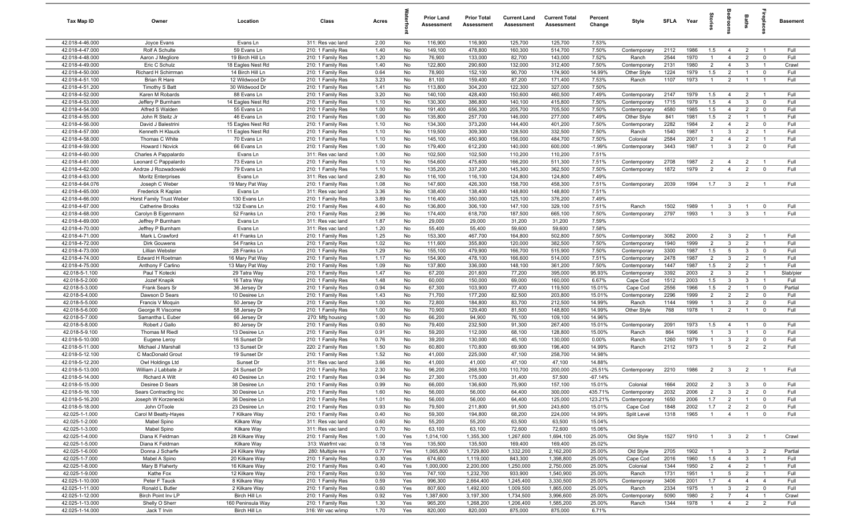| <b>Tax Map ID</b>                  | Owner                                  | Location                      | Class                                  | Acres        |                | <b>Prior Land</b><br>Assessment | <b>Prior Total</b><br>Assessment | <b>Current Land</b><br>Assessment | <b>Current Total</b><br><b>Assessment</b> | Percent<br>Change | Style                       | <b>SFLA</b> | Year         | tories               |                                  | Baths                            | 흉                             | <b>Basement</b> |
|------------------------------------|----------------------------------------|-------------------------------|----------------------------------------|--------------|----------------|---------------------------------|----------------------------------|-----------------------------------|-------------------------------------------|-------------------|-----------------------------|-------------|--------------|----------------------|----------------------------------|----------------------------------|-------------------------------|-----------------|
| 42.018-4-46.000                    | Joyce Evans                            | Evans Ln                      | 311: Res vac land                      | 2.00         | No             | 116,900                         | 116,900                          | 125,700                           | 125,700                                   | 7.53%             |                             |             |              |                      |                                  |                                  |                               |                 |
| 42.018-4-47.000                    | Rolf A Schulte                         | 59 Evans Ln                   | 210: 1 Family Res                      | 1.40         | No             | 149,100                         | 478,800                          | 160,300                           | 514,700                                   | 7.50%             | Contemporary                | 2112        | 1986         | 1.5                  | $\overline{4}$                   | $\overline{2}$                   | $\overline{1}$                | Full            |
| 42.018-4-48.000                    | Aaron J Megliore                       | 19 Birch Hill Ln              | 210: 1 Family Res                      | 1.20         | No             | 76,900                          | 133,000                          | 82,700                            | 143,000                                   | 7.52%             | Ranch                       | 2544        | 1970         |                      | $\overline{4}$                   | $\overline{2}$                   | $\mathbf 0$                   | Full            |
| 42.018-4-49.000                    | Eric C Schulz                          | 18 Eagles Nest Rd             | 210: 1 Family Res                      | 1.40         | No             | 122,800                         | 290,600                          | 132,000                           | 312,400                                   | 7.50%             | Contemporary                | 2131        | 1980         | $\overline{2}$       | $\overline{4}$                   | - 3                              | $\overline{1}$                | Crawl           |
| 42.018-4-50.000                    | Richard H Schirrman                    | 14 Birch Hill Ln              | 210: 1 Family Res                      | 0.64         | No             | 78,900                          | 152,100                          | 90,700                            | 174,900                                   | 14.99%            | Other Style                 | 1224        | 1979         | 1.5                  | $\overline{2}$                   | $\overline{1}$                   | $\mathbf 0$                   | Full            |
| 42.018-4-51.100                    | Brian R Hare                           | 12 Wildwood Dr                | 210: 1 Family Res                      | 3.23         | No             | 81,100                          | 159,400                          | 87,200                            | 171,400                                   | 7.53%             | Ranch                       | 1107        | 1973         | $\overline{1}$       | $\overline{2}$                   | $\overline{1}$                   | $\overline{1}$                | Full            |
| 42.018-4-51.200                    | <b>Timothy S Batt</b>                  | 30 Wildwood Dr                | 210: 1 Family Res                      | 1.41         | No             | 113,800                         | 304,200                          | 122,300                           | 327,000                                   | 7.50%             |                             |             |              |                      |                                  |                                  |                               |                 |
| 42.018-4-52.000                    | Karen M Robards                        | 88 Evans Ln                   | 210: 1 Family Res                      | 3.20         | No             | 140,100                         | 428,400                          | 150,600                           | 460,500                                   | 7.49%             | Contemporary                | 2147        | 1979         | 1.5                  | $\overline{4}$                   | $\overline{2}$                   | $\overline{1}$                | Full            |
| 42.018-4-53.000                    | Jeffery P Burnham                      | 14 Eagles Nest Rd             | 210: 1 Family Res                      | 1.10         | No             | 130,300                         | 386,800                          | 140,100                           | 415,800                                   | 7.50%             | Contemporary                | 1715        | 1979         | 1.5                  | $\overline{4}$                   | $\mathbf{3}$                     | $\mathbf 0$                   | Full            |
| 42.018-4-54.000<br>42.018-4-55.000 | Alfred S Walden                        | 55 Evans Ln<br>46 Evans Ln    | 210: 1 Family Res                      | 1.00<br>1.00 | No<br>No       | 191,400<br>135,800              | 656,300<br>257,700               | 205,700<br>146,000                | 705,500<br>277,000                        | 7.50%<br>7.49%    | Contemporary                | 4580<br>841 | 1985<br>1981 | 1.5<br>1.5           | $\overline{4}$<br>$\overline{2}$ | $\overline{2}$<br>$\overline{1}$ | $\mathbf 0$<br>$\overline{1}$ | Full<br>Full    |
| 42.018-4-56.000                    | John R Steitz Jr<br>David J Balestrini | 15 Eagles Nest Rd             | 210: 1 Family Res<br>210: 1 Family Res | 1.10         | No             | 134,300                         | 373,200                          | 144,400                           | 401,200                                   | 7.50%             | Other Style<br>Contemporary | 2282        | 1984         | $\overline{2}$       | $\overline{4}$                   | $\overline{2}$                   | $\mathbf 0$                   | Full            |
| 42.018-4-57.000                    | Kenneth H Klauck                       | 11 Eagles Nest Rd             | 210: 1 Family Res                      | 1.10         | No             | 119,500                         | 309,300                          | 128,500                           | 332,500                                   | 7.50%             | Ranch                       | 1540        | 1987         | $\overline{1}$       | $\mathbf{3}$                     | $\overline{2}$                   | $\overline{1}$                | Full            |
| 42.018-4-58.000                    | Thomas C White                         | 70 Evans Ln                   | 210: 1 Family Res                      | 1.10         | No             | 145,100                         | 450,900                          | 156,000                           | 484,700                                   | 7.50%             | Colonial                    | 2584        | 2001         | $\overline{2}$       | $\overline{4}$                   | $\overline{2}$                   | $\overline{1}$                | Full            |
| 42.018-4-59.000                    | Howard I Novick                        | 66 Evans Ln                   | 210: 1 Family Res                      | 1.00         | No             | 179,400                         | 612,200                          | 140,000                           | 600,000                                   | $-1.99%$          | Contemporary                | 3443        | 1987         | $\overline{1}$       | 3                                | $\overline{2}$                   | $\mathbf{0}$                  | Full            |
| 42.018-4-60.000                    | Charles A Pappalardo                   | Evans Ln                      | 311: Res vac land                      | 1.00         | No             | 102,500                         | 102,500                          | 110,200                           | 110,200                                   | 7.51%             |                             |             |              |                      |                                  |                                  |                               |                 |
| 42.018-4-61.000                    | Leonard C Pappalardo                   | 73 Evans Ln                   | 210: 1 Family Res                      | 1.10         | No             | 154,600                         | 475,600                          | 166,200                           | 511,300                                   | 7.51%             | Contemporary                | 2708        | 1987         | $\overline{2}$       | $\overline{4}$                   | $\overline{2}$                   | $\overline{1}$                | Full            |
| 42.018-4-62.000                    | Andrze J Rozwadowski                   | 79 Evans Ln                   | 210: 1 Family Res                      | 1.10         | No             | 135,200                         | 337,200                          | 145,300                           | 362,500                                   | 7.50%             | Contemporary                | 1872        | 1979         | $\overline{2}$       | $\overline{4}$                   | $\overline{2}$                   | $\mathbf 0$                   | Full            |
| 42.018-4-63.000                    | <b>Moritz Enterprises</b>              | Evans Ln                      | 311: Res vac land                      | 2.80         | No             | 116,100                         | 116,100                          | 124,800                           | 124,800                                   | 7.49%             |                             |             |              |                      |                                  |                                  |                               |                 |
| 42.018-4-64.076                    | Joseph C Weber                         | 19 Mary Pat Way               | 210: 1 Family Res                      | 1.08         | No             | 147,600                         | 426,300                          | 158,700                           | 458,300                                   | 7.51%             | Contemporary                | 2039        | 1994         | 1.7                  | $\mathbf{3}$                     | $\overline{2}$                   | $\overline{1}$                | Full            |
| 42.018-4-65.000                    | Frederick R Kaplan                     | Evans Ln                      | 311: Res vac land                      | 3.36         | No             | 138,400                         | 138,400                          | 148,800                           | 148,800                                   | 7.51%             |                             |             |              |                      |                                  |                                  |                               |                 |
| 42.018-4-66.000                    | Horst Family Trust Weber               | 130 Evans Ln                  | 210: 1 Family Res                      | 3.89         | No             | 116,400                         | 350,000                          | 125,100                           | 376,200                                   | 7.49%             |                             |             |              |                      |                                  |                                  |                               |                 |
| 42.018-4-67.000                    | <b>Catherine Brooks</b>                | 132 Evans Ln                  | 210: 1 Family Res                      | 4.60         | No             | 136,800                         | 306,100                          | 147,100                           | 329,100                                   | 7.51%             | Ranch                       | 1502        | 1989         | $\overline{1}$       | $\mathbf{3}$                     | $\overline{1}$                   | $\mathbf 0$                   | Full            |
| 42.018-4-68.000                    | Carolyn B Eigenmann                    | 52 Franks Ln                  | 210: 1 Family Res                      | 2.96         | No             | 174,400                         | 618,700                          | 187,500                           | 665,100                                   | 7.50%             | Contemporary                | 2797        | 1993         | $\overline{1}$       | $\mathbf{3}$                     | -3                               | $\overline{1}$                | Full            |
| 42.018-4-69.000                    | Jeffrey P Burnham                      | Evans Ln                      | 311: Res vac land                      | 1.87         | No             | 29,000                          | 29,000                           | 31,200                            | 31,200                                    | 7.59%             |                             |             |              |                      |                                  |                                  |                               |                 |
| 42.018-4-70.000                    | Jeffrey P Burnham                      | Evans Ln                      | 311: Res vac land                      | 1.20         | No             | 55,400                          | 55,400                           | 59,600                            | 59,600                                    | 7.58%             |                             |             |              |                      |                                  |                                  |                               |                 |
| 42.018-4-71.000                    | Mark L Crawford                        | 41 Franks Ln                  | 210: 1 Family Res                      | 1.25         | No             | 153,300                         | 467,700                          | 164,800                           | 502,800                                   | 7.50%             | Contemporary                | 3082        | 2000         | $\overline{2}$       | $\mathbf{3}$                     | $\overline{2}$                   | $\overline{1}$                | Full            |
| 42.018-4-72.000                    | <b>Dirk Gouwens</b>                    | 54 Franks Ln                  | 210: 1 Family Res                      | 1.02         | No             | 111,600                         | 355,800                          | 120,000                           | 382,500                                   | 7.50%             | Contemporary                | 1940        | 1999         | $\overline{2}$       | 3                                | $\overline{2}$                   | $\overline{1}$                | Full            |
| 42.018-4-73.000                    | Lillian Webster                        | 28 Franks Ln                  | 210: 1 Family Res                      | 1.29         | <b>No</b>      | 155,100                         | 479,900                          | 166,700                           | 515,900                                   | 7.50%             | Contemporary                | 3300        | 1987         | 1.5                  | 5                                | $\mathbf{3}$                     | $\overline{0}$                | Full            |
| 42.018-4-74.000                    | Edward H Roetman                       | 16 Mary Pat Way               | 210: 1 Family Res                      | 1.17         | No             | 154,900                         | 478,100                          | 166,600                           | 514,000                                   | 7.51%             | Contemporary                | 2478        | 1987         | $\overline{2}$       | 3                                | $\overline{2}$                   | $\overline{1}$                | Full            |
| 42.018-4-75.000                    | Anthony F Carlino                      | 13 Mary Pat Way               | 210: 1 Family Res                      | 1.09         | No             | 137,800                         | 336,000                          | 148,100                           | 361,200                                   | 7.50%             | Contemporary                | 1447        | 1987         | 1.5                  | $\overline{2}$                   | $\overline{2}$                   | $\overline{1}$                | Full            |
| 42.018-5-1.100                     | Paul T Kotecki                         | 29 Tatra Way                  | 210: 1 Family Res                      | 1.47         | No             | 67,200                          | 201,600                          | 77,200                            | 395,000                                   | 95.93%            | Contemporary                | 3392        | 2003         | $\overline{2}$       | $\mathbf{3}$                     | $\overline{2}$                   | $\overline{1}$                | Slab/pier       |
| 42.018-5-2.000                     | Jozef Knapik                           | 16 Tatra Way                  | 210: 1 Family Res                      | 1.48         | No             | 60,000                          | 150,000                          | 69,000                            | 160,000                                   | 6.67%             | Cape Cod                    | 1512        | 2003         | 1.5                  | 3                                | -3                               | $\overline{1}$                | Full            |
| 42.018-5-3.000                     | Frank Sears Sr                         | 36 Jersey Dr                  | 210: 1 Family Res                      | 0.94         | No             | 67,300                          | 103,900                          | 77,400                            | 119,500                                   | 15.01%            | Cape Cod                    | 2556        | 1966         | 1.5                  | 2                                | $\overline{1}$                   | $\mathbf 0$                   | Partial         |
| 42.018-5-4.000                     | Dawson D Sears                         | 10 Desiree Ln                 | 210: 1 Family Res                      | 1.43         | No             | 71,700                          | 177,200                          | 82,500                            | 203,800                                   | 15.01%            | Contemporary                | 2296        | 1999         | 2                    | $\overline{2}$                   | $\overline{2}$                   | $\mathbf 0$                   | Full            |
| 42.018-5-5.000                     | Francis V Moquin                       | 50 Jersey Dr                  | 210: 1 Family Res                      | 1.00         | No             | 72,800                          | 184,800                          | 83,700                            | 212,500                                   | 14.99%            | Ranch                       | 1144        | 1999         | $\overline{1}$       | $\mathbf{3}$                     | 2                                | $\mathbf 0$                   | Full            |
| 42.018-5-6.000                     | George R Viscome                       | 58 Jersey Dr                  | 210: 1 Family Res                      | 1.00         | No             | 70,900                          | 129,400                          | 81,500                            | 148,800                                   | 14.99%            | Other Style                 | 768         | 1978         | $\overline{1}$       | 2                                | $\overline{1}$                   | $\overline{0}$                | Full            |
| 42.018-5-7.000                     | Samantha L Euber                       | 66 Jersey Dr                  | 270: Mfg housing                       | 1.00         | No             | 66,200                          | 94,900                           | 76,100                            | 109,100                                   | 14.96%            |                             |             |              |                      |                                  |                                  |                               |                 |
| 42.018-5-8.000                     | Robert J Gallo                         | 80 Jersey Dr                  | 210: 1 Family Res                      | 0.60         | No             | 79,400                          | 232,500                          | 91,300                            | 267,400                                   | 15.01%            | Contemporary                | 2091        | 1973         | 1.5                  | $\overline{4}$                   | $\overline{1}$                   | $\mathbf 0$                   | Full            |
| 42.018-5-9.100<br>42.018-5-10.000  | Thomas M Riedl                         | 13 Desiree Ln<br>16 Sunset Dr | 210: 1 Family Res                      | 0.91         | No             | 59,200                          | 112,000                          | 68,100                            | 128,800                                   | 15.00%<br>0.00%   | Ranch                       | 864<br>1260 | 1996<br>1979 | $\overline{1}$<br>-1 | 3<br>-3                          | $\overline{1}$                   | $\mathbf 0$<br>$\Omega$       | Full<br>Full    |
| 42.018-5-11.000                    | Eugene Leroy<br>Michael J Marshall     | 13 Sunset Dr                  | 210: 1 Family Res                      | 0.76<br>1.50 | No<br>No       | 39,200<br>60,800                | 130,000<br>170,800               | 45,100<br>69,900                  | 130,000<br>196,400                        | 14.99%            | Ranch<br>Ranch              | 2112        | 1973         | $\overline{1}$       | 5                                | $\overline{2}$<br>$\overline{2}$ | $\overline{2}$                | Full            |
| 42.018-5-12.100                    | C MacDonald Grout                      | 19 Sunset Dr                  | 220: 2 Family Res<br>210: 1 Family Res | 1.52         | No             | 41,000                          | 225,000                          | 47,100                            | 258,700                                   | 14.98%            |                             |             |              |                      |                                  |                                  |                               |                 |
| 42.018-5-12.200                    | Owl Holdings Ltd                       | Sunset Dr                     | 311: Res vac land                      | 3.66         | No             | 41,000                          | 41,000                           | 47,100                            | 47,100                                    | 14.88%            |                             |             |              |                      |                                  |                                  |                               |                 |
| 42.018-5-13.000                    | William J Labbate Jr                   | 24 Sunset Dr                  | 210: 1 Family Res                      | 2.30         | No             | 96,200                          | 268,500                          | 110,700                           | 200,000                                   | $-25.51%$         | Contemporary                | 2210        | 1986         | $\overline{2}$       | $\mathbf{3}$                     | $\overline{2}$                   | $\overline{1}$                | Full            |
| 42.018-5-14.000                    | <b>Richard A Wilt</b>                  | 40 Desiree Ln                 | 210: 1 Family Res                      | 0.94         | No             | 27,300                          | 175,000                          | 31,400                            | 57,500                                    | $-67.14%$         |                             |             |              |                      |                                  |                                  |                               |                 |
| 42.018-5-15.000                    | Desiree D Sears                        | 38 Desiree Ln                 | 210: 1 Family Res                      | 0.99         | N <sub>0</sub> | 66,000                          | 136,600                          | 75,900                            | 157,100                                   | 15.01%            | Colonial                    | 1664        | 2002         | 2                    | $\mathbf{3}$                     | $\mathbf{3}$                     | $\Omega$                      | Full            |
| 42.018-5-16.100                    | Sears Contracting Inc                  | 30 Desiree Ln                 | 210: 1 Family Res                      | 1.60         | No             | 56,000                          | 56,000                           | 64,400                            | 300,000                                   | 435.71%           | Contemporary                | 2032        | 2006         | $\overline{2}$       | $\mathbf{3}$                     | $\overline{2}$                   | $\mathbf 0$                   | Full            |
| 42.018-5-16.200                    | Joseph W Korzenecki                    | 36 Desiree Ln                 | 210: 1 Family Res                      | 1.01         | No             | 56,000                          | 56,000                           | 64,400                            | 125,000                                   | 123.21%           | Contemporary                | 1650        | 2006         | 1.7                  | $\overline{2}$                   | $\overline{1}$                   | $\mathbf 0$                   | Full            |
| 42.018-5-18.000                    | John OToole                            | 23 Desiree Ln                 | 210: 1 Family Res                      | 0.93         | No             | 79,500                          | 211,800                          | 91,500                            | 243,600                                   | 15.01%            | Cape Cod                    | 1848        | 2002         | 1.7                  | $\overline{2}$                   | $\overline{2}$                   | $\overline{0}$                | Full            |
| 42.025-1-1.000                     | Carol M Beatty-Hayes                   | 7 Kilkare Way                 | 210: 1 Family Res                      | 0.40         | No             | 59,300                          | 194,800                          | 68,200                            | 224,000                                   | 14.99%            | Split Level                 | 1318        | 1965         | $\overline{1}$       | $\overline{4}$                   | $\overline{1}$                   | $\mathbf 0$                   | Full            |
| 42.025-1-2.000                     | Mabel Spino                            | Kilkare Way                   | 311: Res vac land                      | 0.60         | No             | 55,200                          | 55,200                           | 63,500                            | 63,500                                    | 15.04%            |                             |             |              |                      |                                  |                                  |                               |                 |
| 42.025-1-3.000                     | Mabel Spino                            | Kilkare Way                   | 311: Res vac land                      | 0.70         | No             | 63,100                          | 63,100                           | 72,600                            | 72,600                                    | 15.06%            |                             |             |              |                      |                                  |                                  |                               |                 |
| 42.025-1-4.000                     | Diana K Feldman                        | 28 Kilkare Way                | 210: 1 Family Res                      | 1.00         | Yes            | 1,014,100                       | 1,355,300                        | 1,267,600                         | 1,694,100                                 | 25.00%            | Old Style                   | 1527        | 1910         | $\overline{1}$       | $\mathbf{3}$                     | $\overline{2}$                   |                               | Crawl           |
| 42.025-1-5.000                     | Diana K Feldman                        | Kilkare Way                   | 313: Watrfrnt vac                      | 0.18         | Yes            | 135,500                         | 135,500                          | 169,400                           | 169,400                                   | 25.02%            |                             |             |              |                      |                                  |                                  |                               |                 |
| 42.025-1-6.000                     | Donna J Scharfe                        | 24 Kilkare Way                | 280: Multiple res                      | 0.77         | Yes            | 1,065,800                       | 1,729,800                        | 1,332,200                         | 2,162,200                                 | 25.00%            | Old Style                   | 2705        | 1902         | $\overline{1}$       | $\mathbf{3}$                     | $\mathbf{3}$                     | $\overline{2}$                | Partial         |
| 42.025-1-7.000                     | Mabel A Spino                          | 20 Kilkare Way                | 210: 1 Family Res                      | 0.30         | Yes            | 674,600                         | 1,119,000                        | 843,300                           | 1,398,800                                 | 25.00%            | Cape Cod                    | 2016        | 1960         | 1.5                  | $\overline{4}$                   | $\mathbf{3}$                     | $\overline{1}$                | Full            |
| 42.025-1-8.000                     | Mary B Flaherty                        | 16 Kilkare Way                | 210: 1 Family Res                      | 0.40         | Yes            | 1,000,000                       | 2,200,000                        | 1,250,000                         | 2,750,000                                 | 25.00%            | Colonial                    | 1344        | 1950         | $\overline{2}$       | $\overline{4}$                   | $\overline{2}$                   | $\overline{1}$                | Full            |
| 42.025-1-9.000                     | Kathe Fox                              | 12 Kilkare Way                | 210: 1 Family Res                      | 0.50         | Yes            | 747,100                         | 1,232,700                        | 933,900                           | 1,540,900                                 | 25.00%            | Ranch                       | 1731        | 1951         | $\overline{1}$       | $5\overline{)}$                  | $\overline{2}$                   | $\overline{1}$                | Full            |
| 42.025-1-10.000                    | Peter F Tauck                          | 8 Kilkare Way                 | 210: 1 Family Res                      | 0.59         | Yes            | 996,300                         | 2,664,400                        | 1,245,400                         | 3,330,500                                 | 25.00%            | Contemporary                | 3406        | 2001         | 1.7                  | $\overline{4}$                   | $\overline{4}$                   | $\overline{4}$                | Full            |
| 42.025-1-11.000                    | Ronald L Butler                        | 2 Kilkare Way                 | 210: 1 Family Res                      | 0.60         | Yes            | 807,600                         | 1,492,000                        | 1,009,500                         | 1,865,000                                 | 25.00%            | Ranch                       | 2334        | 1975         | $\overline{1}$       | $\mathbf{3}$                     | $\overline{2}$                   | $\mathbf 0$                   | Full            |
| 42.025-1-12.000                    | Birch Point Inv LP                     | Birch Hill Ln                 | 210: 1 Family Res                      | 0.92         | Yes            | 1,387,600                       | 3,197,300                        | 1,734,500                         | 3,996,600                                 | 25.00%            | Contemporary                | 5090        | 1980         | $\overline{2}$       | $\overline{7}$                   | $\overline{4}$                   | $\overline{1}$                | Crawl           |
| 42.025-1-13.000                    | Shelly O Sherr                         | 160 Peninsula Way             | 210: 1 Family Res                      | 1.30         | Yes            | 965,200                         | 1,268,200                        | 1,206,400                         | 1,585,200                                 | 25.00%            | Ranch                       | 1344        | 1978         | $\overline{1}$       | $\overline{4}$                   | $\overline{2}$                   | $\overline{2}$                | Full            |
| 42.025-1-14.000                    | Jack T Irvin                           | Birch Hill Ln                 | 316: Wr vac w/imp                      | 1.70         | Yes            | 820,000                         | 820,000                          | 875,000                           | 875,000                                   | 6.71%             |                             |             |              |                      |                                  |                                  |                               |                 |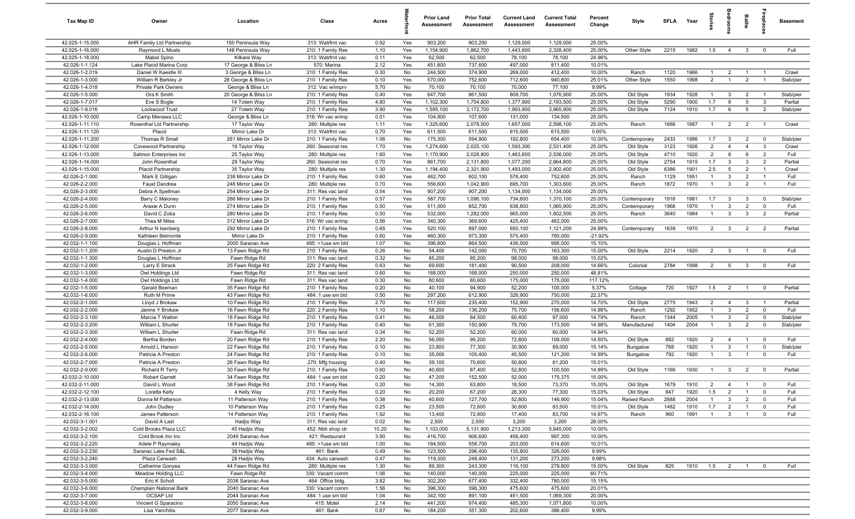| Tax Map ID                         | Owner                                    | Location                             | Class                                  | Acres        |            | <b>Prior Land</b><br>Assessment | <b>Prior Total</b><br>Assessment | <b>Current Land</b><br>Assessment | <b>Current Total</b><br>Assessment | Percent<br>Change | Style        | <b>SFLA</b> | Year | tories         | ğ               | Baths          | repla          | <b>Basement</b> |
|------------------------------------|------------------------------------------|--------------------------------------|----------------------------------------|--------------|------------|---------------------------------|----------------------------------|-----------------------------------|------------------------------------|-------------------|--------------|-------------|------|----------------|-----------------|----------------|----------------|-----------------|
| 42.025-1-15.000                    | AHR Family Ltd Partnership               | 150 Peninsula Way                    | 313: Watrfrnt vac                      | 0.92         | Yes        | 903,200                         | 903,200                          | 1,129,000                         | 1,129,000                          | 25.00%            |              |             |      |                |                 |                |                |                 |
| 42.025-1-16.000                    | Raymond L Moats                          | 148 Peninsula Way                    | 210: 1 Family Res                      | 1.10         | Yes        | 1,154,900                       | 1,862,700                        | 1,443,600                         | 2,328,400                          | 25.00%            | Other Style  | 2215        | 1982 | 1.5            | $\overline{4}$  | $\mathbf{3}$   | $\overline{0}$ | Full            |
| 42.025-1-18.000                    | Mabel Spino                              | Kilkare Way                          | 313: Watrfrnt vac                      | 0.11         | Yes        | 62,500                          | 62,500                           | 78,100                            | 78,100                             | 24.96%            |              |             |      |                |                 |                |                |                 |
| 42.026-1-1.124                     | Lake Placid Marina Corp                  | 17 George & Bliss Ln                 | 570: Marina                            | 2.12         | Yes        | 451,800                         | 737,600                          | 497,000                           | 811,400                            | 10.01%            |              |             |      |                |                 |                |                |                 |
| 42.026-1-2.019                     | Daniel W Kaestle III                     | 3 George & Bliss Ln                  | 210: 1 Family Res                      | 0.30         | No         | 244,500                         | 374,900                          | 269,000                           | 412,400                            | 10.00%            | Ranch        | 1120        | 1966 | $\overline{1}$ | $\overline{2}$  | $\overline{1}$ | $\overline{1}$ | Crawl           |
| 42.026-1-3.000                     | William R Berkley Jr                     | 28 George & Bliss Ln                 | 210: 1 Family Res                      | 0.10         | Yes        | 570,000                         | 752,600                          | 712,600                           | 940,800                            | 25.01%            | Other Style  | 1550        | 1998 | $\overline{2}$ |                 | $\overline{2}$ |                | Slab/pier       |
| 42.026-1-4.018                     | <b>Private Park Owners</b>               | George & Bliss Ln                    | 312: Vac w/imprv                       | 5.70         | No         | 70,100                          | 70,100                           | 70,000                            | 77,100                             | 9.99%             |              |             |      |                |                 |                |                |                 |
| 42.026-1-5.000                     | Ora K Smith                              | 20 George & Bliss Ln                 | 210: 1 Family Res                      | 0.40         | Yes        | 647,700                         | 861,500                          | 809,700                           | 1,076,900                          | 25.00%            | Old Style    | 1934        | 1928 | $\overline{1}$ | $\mathbf{3}$    | $\overline{2}$ | $\overline{1}$ | Slab/pier       |
| 42.026-1-7.017                     | Eve S Bogle                              | 14 Totem Way                         | 210: 1 Family Res                      | 4.80         | Yes        | 1,102,300                       | 1,754,800                        | 1,377,900                         | 2,193,500                          | 25.00%            | Old Style    | 5290        | 1900 | 1.7            | 9               | 5              | $\mathbf{3}$   | Partial         |
| 42.026-1-9.016                     | Lockwood Trust                           | 27 Totem Way                         | 210: 1 Family Res                      | 3.90         | Yes        | 1,595,100                       | 3,172,700                        | 1,993,900                         | 3,965,900                          | 25.00%            | Old Style    | 7124        | 1910 | 1.7            | 6               | 5              | $\overline{2}$ | Slab/pier       |
| 42.026-1-10.000                    | Camp Menawa LLC                          | George & Bliss Ln                    | 316: Wr vac w/imp                      | 0.01         | Yes<br>Yes | 104,800                         | 107,600                          | 131,000                           | 134,500                            | 25.00%<br>25.00%  | Ranch        |             |      | $\overline{1}$ |                 | 2              | $\overline{1}$ | Crawl           |
| 42.026-1-11.110<br>42.026-1-11.120 | Rosenthal Ltd Partnership<br>Placid      | 17 Taylor Way<br>Mirror Lake Dr      | 280: Multiple res<br>313: Watrfrnt vac | 1.11<br>0.70 | Yes        | 1,325,600<br>611,500            | 2,078,500<br>611,500             | 1,657,000<br>615,500              | 2,598,100<br>615,500               | 0.65%             |              | 1666        | 1987 |                | $\overline{2}$  |                |                |                 |
| 42.026-1-11.200                    | Thomas R Small                           | 261 Mirror Lake Dr                   | 210: 1 Family Res                      | 1.06         | No         | 175,300                         | 594,900                          | 192,800                           | 654,400                            | 10.00%            | Contemporary | 2433        | 1986 | 1.7            | $\mathbf{3}$    | $\overline{2}$ | $\mathbf 0$    | Slab/pier       |
| 42.026-1-12.000                    | Covewood Partnership                     | 19 Taylor Way                        | 260: Seasonal res                      | 1.70         | Yes        | 1,274,600                       | 2,025,100                        | 1,593,300                         | 2,531,400                          | 25.00%            | Old Style    | 3123        | 1926 | $\overline{2}$ | $\overline{4}$  | $\overline{4}$ | $\mathbf{3}$   | Crawl           |
| 42.026-1-13.000                    | Salmon Enterprises Inc                   | 25 Taylor Way                        | 280: Multiple res                      | 1.60         | Yes        | 1,170,900                       | 2,028,800                        | 1,463,600                         | 2,536,000                          | 25.00%            | Old Style    | 4710        | 1920 | $\overline{2}$ | 8               | 6              | $\overline{2}$ | Full            |
| 42.026-1-14.000                    | John Rosenthal                           | 29 Taylor Way                        | 260: Seasonal res                      | 0.70         | Yes        | 861,700                         | 2,131,800                        | 1,077,200                         | 2,664,800                          | 25.00%            | Old Style    | 2754        | 1915 | 1.7            | $\mathbf{3}$    | 3              | $\overline{2}$ | Partial         |
| 42.026-1-15.000                    | Placid Partnership                       | 35 Taylor Way                        | 280: Multiple res                      | 1.30         | Yes        | 1,194,400                       | 2,321,900                        | 1,493,000                         | 2,902,400                          | 25.00%            | Old Style    | 6386        | 1901 | 2.5            | 5               | $\overline{2}$ | $\overline{1}$ | Crawl           |
| 42.026-2-1.000                     | Mark E Gilligan                          | 238 Mirror Lake Dr                   | 210: 1 Family Res                      | 0.60         | Yes        | 462,700                         | 602,100                          | 578,400                           | 752,600                            | 25.00%            | Ranch        | 1129        | 1951 | $\mathbf{1}$   | 3               | 2              | $\overline{1}$ | Full            |
| 42.026-2-2.000                     | <b>Faust Dandrea</b>                     | 248 Mirror Lake Dr                   | 280: Multiple res                      | 0.70         | Yes        | 556,600                         | 1,042,900                        | 695,700                           | 1,303,600                          | 25.00%            | Ranch        | 1872        | 1970 | $\overline{1}$ | $\mathbf{3}$    | $\overline{2}$ | $\overline{1}$ | Full            |
| 42.026-2-3.000                     | Debra A Spellman                         | 254 Mirror Lake Dr                   | 311: Res vac land                      | 0.54         | Yes        | 907,200                         | 907,200                          | 1,134,000                         | 1,134,000                          | 25.00%            |              |             |      |                |                 |                |                |                 |
| 42.026-2-4.000                     | Barry C Maloney                          | 266 Mirror Lake Dr                   | 210: 1 Family Res                      | 0.57         | Yes        | 587,700                         | 1,096,100                        | 734,600                           | 1,370,100                          | 25.00%            | Contemporary | 1918        | 1981 | 1.7            | $\overline{3}$  | $\mathbf{3}$   | $\mathbf 0$    | Slab/pier       |
| 42.026-2-5.000                     | Araxie A Dunn                            | 274 Mirror Lake Dr                   | 210: 1 Family Res                      | 0.50         | Yes        | 511,000                         | 852,700                          | 638,800                           | 1,065,900                          | 25.00%            | Contemporary | 1968        | 1970 | $\overline{1}$ | 3               | $\overline{2}$ | $\mathbf 0$    | Full            |
| 42.026-2-6.000                     | David C Zoba                             | 280 Mirror Lake Dr                   | 210: 1 Family Res                      | 0.50         | Yes        | 532,000                         | 1,282,000                        | 665,000                           | 1,602,500                          | 25.00%            | Ranch        | 3640        | 1984 | $\overline{1}$ | $\mathbf{3}$    | $\mathbf{3}$   | $\overline{2}$ | Partial         |
| 42.026-2-7.000                     | Thea M Niles                             | 312 Mirror Lake Dr                   | 316: Wr vac w/imp                      | 0.56         | Yes        | 340,300                         | 369,600                          | 425,400                           | 462,000                            | 25.00%            |              |             |      |                |                 |                |                |                 |
| 42.026-2-8.000                     | Arthur N Isenberg                        | 292 Mirror Lake Dr                   | 210: 1 Family Res                      | 0.65         | Yes        | 520,100                         | 897,000                          | 650,100                           | 1,121,200                          | 24.99%            | Contemporary | 1639        | 1970 | 2              | $\mathbf{3}$    | $\overline{2}$ | 2              | Partial         |
| 42.026-2-9.000                     | Kathleen Belmonte                        | Mirror Lake Dr                       | 210: 1 Family Res                      | 0.60         | Yes        | 460,300                         | 973,300                          | 575,400                           | 760,000                            | $-21.92%$         |              |             |      |                |                 |                |                |                 |
| 42.032-1-1.100                     | Douglas L Hoffman                        | 2000 Saranac Ave                     | 485: >1use sm bld                      | 1.07         | No         | 396,800                         | 864,500                          | 436,500                           | 995,000                            | 15.10%            |              |             |      |                |                 |                |                |                 |
| 42.032-1-1.200                     | Austin D Preston Jr                      | 13 Fawn Ridge Rd                     | 210: 1 Family Res                      | 0.26         | No         | 54,400                          | 142,000                          | 70,700                            | 163,300                            | 15.00%            | Old Style    | 2214        | 1920 | $\overline{2}$ | $\mathbf{3}$    | $\overline{1}$ | $\mathbf 0$    | Full            |
| 42.032-1-1.300                     | Douglas L Hoffman                        | Fawn Ridge Rd                        | 311: Res vac land                      | 0.32         | No         | 85,200                          | 85,200                           | 98,000                            | 98,000                             | 15.02%            |              |             |      |                |                 |                |                |                 |
| 42.032-1-2.000                     | Larry E Strack                           | 25 Fawn Ridge Rd                     | 220: 2 Family Res                      | 0.63         | No         | 69,600                          | 181,400                          | 90,500                            | 208,000                            | 14.66%            | Colonial     | 2784        | 1998 | $\overline{2}$ | $5\overline{5}$ | $\mathbf{3}$   | $\mathbf 0$    | Full            |
| 42.032-1-3.000                     | Owl Holdings Ltd                         | Fawn Ridge Rd                        | 311: Res vac land                      | 0.60         | No         | 168,000                         | 168,000                          | 250,000                           | 250,000                            | 48.81%            |              |             |      |                |                 |                |                |                 |
| 42.032-1-4.000                     | Owl Holdings Ltd                         | Fawn Ridge Rd                        | 311: Res vac land                      | 0.30         | No         | 80,600                          | 80,600                           | 175,000                           | 175,000                            | 117.12%           |              |             |      |                |                 |                |                |                 |
| 42.032-1-5.000                     | Gerald Beeman                            | 35 Fawn Ridge Rd                     | 210: 1 Family Res                      | 0.20         | No<br>No   | 40,100                          | 94,900                           | 52,200                            | 100,000                            | 5.37%             | Cottage      | 720         | 1927 | 1.5            | $\overline{2}$  | $\overline{1}$ | $\overline{0}$ | Partial         |
| 42.032-1-6.000<br>42.032-2-1.000   | Ruth M Prime<br>Lloyd J Brokaw           | 43 Fawn Ridge Rd<br>10 Fawn Ridge Rd | 484: 1 use sm bld<br>210: 1 Family Res | 0.50<br>2.70 | No         | 297,200<br>117,600              | 612,900<br>235,400               | 326,900<br>152,900                | 750,000<br>270,000                 | 22.37%<br>14.70%  | Old Style    | 2775        | 1943 | $\overline{2}$ | $\overline{4}$  | $\mathbf{3}$   | $\overline{1}$ | Partial         |
| 42.032-2-2.000                     | Janine Y Brokaw                          | 16 Fawn Ridge Rd                     | 220: 2 Family Res                      | 1.10         | No         | 58,200                          | 136,200                          | 75,700                            | 156,600                            | 14.98%            | Ranch        | 1292        | 1952 | $\overline{1}$ | $\mathbf{3}$    | $\overline{2}$ | $\mathbf 0$    | Full            |
| 42.032-2-3.100                     | Marcia T Walton                          | 18 Fawn Ridge Rd                     | 210: 1 Family Res                      | 0.41         | No         | 46,500                          | 84,500                           | 60,400                            | 97,000                             | 14.79%            | Ranch        | 1344        | 2005 | $\overline{1}$ | $\mathbf{3}$    | $\overline{2}$ | $\mathbf 0$    | Slab/pier       |
| 42.032-2-3.200                     | William L Shurter                        | 18 Fawn Ridge Rd                     | 210: 1 Family Res                      | 0.40         | No         | 61,300                          | 150,900                          | 79,700                            | 173,500                            | 14.98%            | Manufactured | 1404        | 2004 | $\overline{1}$ | $\mathbf{3}$    | $\overline{2}$ | $\mathbf 0$    | Slab/pier       |
| 42.032-2-3.300                     | William L Shurter                        | Fawn Ridge Rd                        | 311: Res vac land                      | 0.34         | No         | 52,200                          | 52,200                           | 60,000                            | 60,000                             | 14.94%            |              |             |      |                |                 |                |                |                 |
| 42.032-2-4.000                     | Bertha Borden                            | 20 Fawn Ridge Rd                     | 210: 1 Family Res                      | 2.20         | No         | 56,000                          | 95,200                           | 72,800                            | 109,000                            | 14.50%            | Old Style    | 882         | 1920 | $\overline{2}$ | $\overline{4}$  | $\overline{1}$ | $\overline{0}$ | Full            |
| 42.032-2-5.000                     | Arnold L Hanson                          | 22 Fawn Ridge Rd                     | 210: 1 Family Res                      | 0.10         | No         | 23,800                          | 77,300                           | 30,900                            | 89,000                             | 15.14%            | Bungalow     | 768         | 1920 | $\overline{1}$ | $\mathbf{3}$    | $\overline{1}$ | $\mathbf 0$    | Slab/pier       |
| 42.032-2-6.000                     | Patricia A Preston                       | 24 Fawn Ridge Rd                     | 210: 1 Family Res                      | 0.10         | No         | 35,000                          | 105,400                          | 45,500                            | 121,200                            | 14.99%            | Bungalow     | 792         | 1920 | $\overline{1}$ | $\mathbf{3}$    | $\mathbf{1}$   | $\mathbf 0$    | Full            |
| 42.032-2-7.000                     | Patricia A Preston                       | 26 Fawn Ridge Rd                     | 270: Mfg housing                       | 0.40         | No         | 39,100                          | 70,600                           | 50,800                            | 81,200                             | 15.01%            |              |             |      |                |                 |                |                |                 |
| 42.032-2-9.000                     | <b>Richard R Terry</b>                   | 30 Fawn Ridge Rd                     | 210: 1 Family Res                      | 0.60         | No         | 40,600                          | 87,400                           | 52,800                            | 100,500                            | 14.99%            | Old Style    | 1166        | 1930 | -1             | $\mathbf{3}$    | $\overline{2}$ | $\mathbf 0$    | Partial         |
| 42.032-2-10.000                    | <b>Robert Garrett</b>                    | 34 Fawn Ridge Rd                     | 484: 1 use sm bld                      | 0.20         | No         | 47,200                          | 152,500                          | 52,000                            | 175,375                            | 15.00%            |              |             |      |                |                 |                |                |                 |
| 42.032-2-11.000                    | David L Wood                             | 38 Fawn Ridge Rd                     | 210: 1 Family Res                      | 0.20         | No         | 14,300                          | 63,800                           | 18,500                            | 73,370                             | 15.00%            | Old Style    | 1679        | 1910 | $\overline{2}$ | $\overline{4}$  | $\overline{1}$ | 0              | Full            |
| 42.032-2-12.100                    | Loretta Kelly                            | 4 Kelly Way                          | 210: 1 Family Res                      | 0.20         | No         | 20,200                          | 67,200                           | 26,300                            | 77,300                             | 15.03%            | Old Style    | 847         | 1920 | 1.5            | $\overline{2}$  | $\overline{1}$ | $\mathbf 0$    | Full            |
| 42.032-2-13.000                    | Donna M Patterson                        | 11 Patterson Way                     | 210: 1 Family Res                      | 0.38         | No         | 40,600                          | 127,700                          | 52,800                            | 146,900                            | 15.04%            | Raised Ranch | 2688        | 2004 | $\overline{1}$ | 3               | $\overline{2}$ | $\mathbf 0$    | Full            |
| 42.032-2-14.000                    | John Dudley                              | 10 Patterson Way                     | 210: 1 Family Res                      | 0.25         | No         | 23,500                          | 72,600                           | 30,600                            | 83,500                             | 15.01%            | Old Style    | 1482        | 1910 | 1.7            | $\overline{2}$  | $\overline{1}$ | $\overline{0}$ | Full            |
| 42.032-2-16.100                    | James Patterson                          | 14 Patterson Way                     | 210: 1 Family Res                      | 1.92         | No         | 13,400                          | 72,800                           | 17,400                            | 83,700                             | 14.97%            | Ranch        | 960         | 1991 | $\overline{1}$ | $\mathbf{3}$    | $\overline{1}$ | $\mathbf 0$    | Full            |
| 42.032-3-1.001                     | David A Last                             | Hadjis Way                           | 311: Res vac land                      | 0.02         | No         | 2,500                           | 2,500                            | 3,200                             | 3,200                              | 28.00%            |              |             |      |                |                 |                |                |                 |
| 42.032-3-2.002                     | Cold Brooks Plaza LLC                    | 45 Hadjis Way                        | 452: Nbh shop ctr                      | 10.20        | No         | 1,103,000                       | 5,131,800                        | 1,213,300                         | 5,645,000                          | 10.00%            |              |             |      |                |                 |                |                |                 |
| 42.032-3-2.100                     | Cold Brook Inn Inc                       | 2049 Saranac Ave                     | 421: Restaurant                        | 3.90         | No         | 416,700                         | 906,600                          | 458,400                           | 997,300                            | 10.00%            |              |             |      |                |                 |                |                |                 |
| 42.032-3-2.220<br>42.032-3-2.230   | Adele P Raymaley<br>Saranac Lake Fed S&L | 44 Hadjis Way                        | 485: >1use sm bld<br>461: Bank         | 1.00<br>0.49 | No<br>No   | 184,500<br>123,500              | 558,700<br>296,400               | 203,000<br>135,800                | 614,600<br>326,000                 | 10.01%<br>9.99%   |              |             |      |                |                 |                |                |                 |
| 42.032-3-2.240                     | Plaza Carwash                            | 38 Hadjis Way<br>28 Hadjis Way       | 434: Auto carwash                      | 0.47         | No         | 119,300                         | 248,400                          | 131,200                           | 273,200                            | 9.98%             |              |             |      |                |                 |                |                |                 |
| 42.032-3-3.000                     | Catherine Gonyea                         | 44 Fawn Ridge Rd                     | 280: Multiple res                      | 1.30         | No         | 89,300                          | 243,300                          | 116,100                           | 279,800                            | 15.00%            | Old Style    | 825         | 1910 | 1.5            | $\overline{2}$  | $\overline{1}$ | $\mathbf 0$    | Full            |
| 42.032-3-4.000                     | Meadow Holding LLC                       | Fawn Ridge Rd                        | 330: Vacant comm                       | 1.06         | No         | 140,000                         | 140,000                          | 225,000                           | 225,000                            | 60.71%            |              |             |      |                |                 |                |                |                 |
| 42.032-3-5.000                     | Eric K Scholl                            | 2038 Saranac Ave                     | 464: Office bldg.                      | 3.82         | No         | 302,200                         | 677,400                          | 332,400                           | 780,000                            | 15.15%            |              |             |      |                |                 |                |                |                 |
| 42.032-3-6.000                     | Champlain National Bank                  | 2040 Saranac Ave                     | 330: Vacant comm                       | 1.56         | No         | 396,300                         | 396,300                          | 475,600                           | 475,600                            | 20.01%            |              |             |      |                |                 |                |                |                 |
| 42.032-3-7.000                     | OCSAP Ltd                                | 2044 Saranac Ave                     | 484: 1 use sm bld                      | 1.04         | No         | 342,100                         | 891,100                          | 451,500                           | 1,069,300                          | 20.00%            |              |             |      |                |                 |                |                |                 |
| 42.032-3-8.000                     | Vincent G Sparacino                      | 2050 Saranac Ave                     | 415: Motel                             | 2.14         | No         | 441,200                         | 974,400                          | 485,300                           | 1,071,800                          | 10.00%            |              |             |      |                |                 |                |                |                 |
| 42.032-3-9.000                     | Lisa Yanchitis                           | 2077 Saranac Ave                     | 461: Bank                              | 0.67         | No         | 184,200                         | 351,300                          | 202,600                           | 386,400                            | 9.99%             |              |             |      |                |                 |                |                |                 |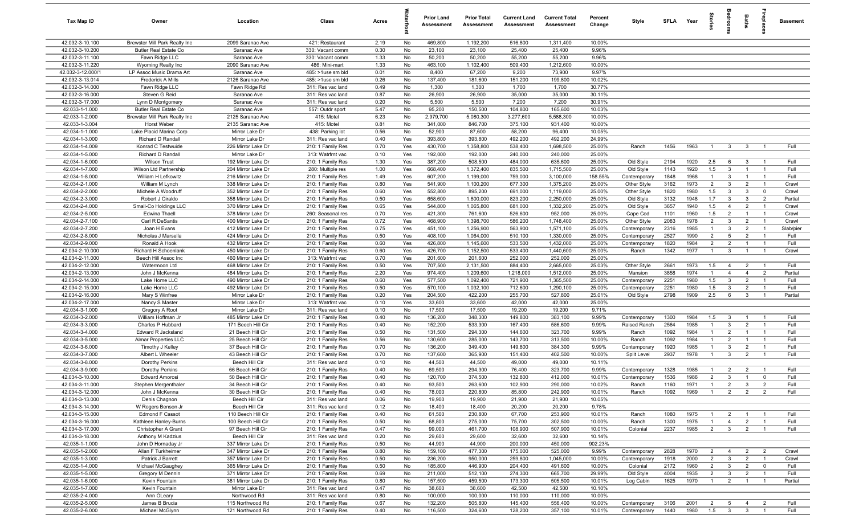| Tax Map ID                         | Owner                                             | Location                                 | Class                                  | Acres        |            | <b>Prior Land</b><br>Assessment | <b>Prior Total</b><br>Assessment | <b>Current Land</b><br>Assessment | <b>Current Total</b><br>Assessment | Percent<br>Change | Style                  | SFLA Year    |              | tories         | droom                            | Baths                            | ireplace                         | <b>Basement</b>  |
|------------------------------------|---------------------------------------------------|------------------------------------------|----------------------------------------|--------------|------------|---------------------------------|----------------------------------|-----------------------------------|------------------------------------|-------------------|------------------------|--------------|--------------|----------------|----------------------------------|----------------------------------|----------------------------------|------------------|
| 42.032-3-10.100                    | Brewster Mill Park Realty Inc                     | 2099 Saranac Ave                         | 421: Restaurant                        | 2.19         | No         | 469,800                         | 1,192,200                        | 516,800                           | 1,311,400                          | 10.00%            |                        |              |              |                |                                  |                                  |                                  |                  |
| 42.032-3-10.200                    | <b>Butler Real Estate Co</b>                      | Saranac Ave                              | 330: Vacant comm                       | 0.30         | No         | 23,100                          | 23,100                           | 25,400                            | 25,400                             | 9.96%             |                        |              |              |                |                                  |                                  |                                  |                  |
| 42.032-3-11.100                    | Fawn Ridge LLC                                    | Saranac Ave                              | 330: Vacant comm                       | 1.33         | No         | 50,200                          | 50,200                           | 55,200                            | 55,200                             | 9.96%             |                        |              |              |                |                                  |                                  |                                  |                  |
| 42.032-3-11.220                    | Wyoming Realty Inc                                | 2090 Saranac Ave                         | 486: Mini-mart                         | 1.33         | No         | 463,100                         | 1,102,400                        | 509,400                           | 1,212,600                          | 10.00%            |                        |              |              |                |                                  |                                  |                                  |                  |
| 42.032-3-12.000/1                  | LP Assoc Music Drama Art                          | Saranac Ave                              | 485: >1use sm bld                      | 0.01         | No         | 8,400                           | 67,200                           | 9,200                             | 73,900                             | 9.97%             |                        |              |              |                |                                  |                                  |                                  |                  |
| 42.032-3-13.014                    | <b>Frederick A Mills</b>                          | 2126 Saranac Ave                         | 485: >1use sm bld                      | 0.26         | No         | 137,400                         | 181,600                          | 151,200                           | 199,800                            | 10.02%            |                        |              |              |                |                                  |                                  |                                  |                  |
| 42.032-3-14.000                    | Fawn Ridge LLC                                    | Fawn Ridge Rd                            | 311: Res vac land                      | 0.49         | No         | 1,300                           | 1,300                            | 1,700<br>35,000                   | 1,700<br>35,000                    | 30.77%            |                        |              |              |                |                                  |                                  |                                  |                  |
| 42.032-3-16.000<br>42.032-3-17.000 | Steven G Reid                                     | Saranac Ave<br>Saranac Ave               | 311: Res vac land                      | 0.87<br>0.20 | No<br>No   | 26,900<br>5,500                 | 26,900<br>5,500                  | 7,200                             | 7,200                              | 30.11%<br>30.91%  |                        |              |              |                |                                  |                                  |                                  |                  |
| 42.033-1-1.000                     | Lynn D Montgomery<br><b>Butler Real Estate Co</b> | Saranac Ave                              | 311: Res vac land<br>557: Outdr sport  | 5.47         | No         | 95,200                          | 150,500                          | 104,800                           | 165,600                            | 10.03%            |                        |              |              |                |                                  |                                  |                                  |                  |
| 42.033-1-2.000                     | Brewster Mill Park Realty Inc                     | 2125 Saranac Ave                         | 415: Motel                             | 6.23         | No         | 2,979,700                       | 5,080,300                        | 3,277,600                         | 5,588,300                          | 10.00%            |                        |              |              |                |                                  |                                  |                                  |                  |
| 42.033-1-3.004                     | Horst Weber                                       | 2135 Saranac Ave                         | 415: Motel                             | 0.81         | No         | 341,000                         | 846,700                          | 375,100                           | 931,400                            | 10.00%            |                        |              |              |                |                                  |                                  |                                  |                  |
| 42.034-1-1.000                     | Lake Placid Marina Corp                           | Mirror Lake Dr                           | 438: Parking lot                       | 0.56         | No         | 52,900                          | 87,600                           | 58,200                            | 96,400                             | 10.05%            |                        |              |              |                |                                  |                                  |                                  |                  |
| 42.034-1-3.000                     | Richard D Randall                                 | Mirror Lake Dr                           | 311: Res vac land                      | 0.40         | Yes        | 393,800                         | 393,800                          | 492,200                           | 492,200                            | 24.99%            |                        |              |              |                |                                  |                                  |                                  |                  |
| 42.034-1-4.009                     | Konrad C Testwuide                                | 226 Mirror Lake Dr                       | 210: 1 Family Res                      | 0.70         | Yes        | 430,700                         | 1,358,800                        | 538,400                           | 1,698,500                          | 25.00%            | Ranch                  | 1456         | 1963         | $\overline{1}$ | $\mathbf{3}$                     | $\mathbf{3}$                     | $\overline{1}$                   | Full             |
| 42.034-1-5.000                     | Richard D Randall                                 | Mirror Lake Dr                           | 313: Watrfrnt vac                      | 0.10         | Yes        | 192,000                         | 192,000                          | 240,000                           | 240,000                            | 25.00%            |                        |              |              |                |                                  |                                  |                                  |                  |
| 42.034-1-6.000                     | <b>Wilson Trust</b>                               | 192 Mirror Lake Dr                       | 210: 1 Family Res                      | 1.30         | Yes        | 387,200                         | 508,500                          | 484,000                           | 635,600                            | 25.00%            | Old Style              | 2194         | 1920         | 2.5            | 6                                | 3                                | - 1                              | Full             |
| 42.034-1-7.000                     | Wilson Ltd Partnership                            | 204 Mirror Lake Dr                       | 280: Multiple res                      | 1.00         | Yes        | 668,400                         | 1,372,400                        | 835,500                           | 1,715,500                          | 25.00%            | Old Style              | 1143         | 1920         | 1.5            | $\mathbf{3}$                     |                                  | $\overline{1}$                   | Full             |
| 42.034-1-8.000                     | William H Lefkowitz                               | 216 Mirror Lake Dr                       | 210: 1 Family Res                      | 1.49         | Yes        | 607,200                         | 1,199,000                        | 759,000                           | 3,100,000                          | 158.55%           | Contemporary           | 1848         | 1968         | $\mathbf{1}$   | $\mathbf{3}$                     |                                  | - 1                              | Full             |
| 42.034-2-1.000                     | William M Lynch                                   | 338 Mirror Lake Dr                       | 210: 1 Family Res                      | 0.80         | Yes        | 541,900                         | 1,100,200                        | 677,300                           | 1,375,200                          | 25.00%            | Other Style            | 3162         | 1973         | $\overline{2}$ | $\mathbf{3}$                     | $\overline{2}$                   | $\overline{1}$                   | Crawl            |
| 42.034-2-2.000<br>42.034-2-3.000   | Michele A Woodruff                                | 352 Mirror Lake Dr                       | 210: 1 Family Res                      | 0.60         | Yes        | 552,800                         | 895,200                          | 691,000                           | 1,119,000                          | 25.00%            | Other Style            | 1820         | 1980         | 1.5            | $\mathbf{3}$                     | 3                                | $\mathbf 0$                      | Crawl            |
| 42.034-2-4.000                     | Robert J Ciraldo<br>Small-Co Holdings LLC         | 358 Mirror Lake Dr<br>370 Mirror Lake Dr | 210: 1 Family Res<br>210: 1 Family Res | 0.50<br>0.65 | Yes<br>Yes | 658,600<br>544,800              | 1,800,000<br>1,065,800           | 823,200<br>681,000                | 2,250,000<br>1,332,200             | 25.00%<br>25.00%  | Old Style<br>Old Style | 3132<br>3657 | 1948<br>1940 | 1.7<br>1.5     | $\mathbf{3}$<br>$\overline{4}$   | $\mathbf{3}$<br>$\overline{2}$   | $\overline{2}$<br>$\overline{1}$ | Partial<br>Crawl |
| 42.034-2-5.000                     | Edwina Thaell                                     | 378 Mirror Lake Dr                       | 260: Seasonal res                      | 0.70         | Yes        | 421,300                         | 761,600                          | 526,600                           | 952,000                            | 25.00%            | Cape Cod               | 1101         | 1960         | 1.5            | $\overline{2}$                   | $\overline{1}$                   | $\overline{1}$                   | Crawl            |
| 42.034-2-7.100                     | Carl R DeSantis                                   | 400 Mirror Lake Dr                       | 210: 1 Family Res                      | 0.72         | Yes        | 468,900                         | 1,398,700                        | 586,200                           | 1,748,400                          | 25.00%            | Other Style            | 2083         | 1978         | $\overline{2}$ | $\mathbf{3}$                     | $\overline{2}$                   | $\overline{1}$                   | Crawl            |
| 42.034-2-7.200                     | Joan H Evans                                      | 412 Mirror Lake Dr                       | 210: 1 Family Res                      | 0.75         | Yes        | 451,100                         | 1,256,900                        | 563,900                           | 1,571,100                          | 25.00%            | Contemporary           | 2316         | 1985         | $\mathbf{1}$   | $\mathbf{3}$                     | $\overline{2}$                   | $\overline{1}$                   | Slab/pier        |
| 42.034-2-8.000                     | Nicholas J Marsella                               | 424 Mirror Lake Dr                       | 210: 1 Family Res                      | 0.50         | Yes        | 408,100                         | 1,064,000                        | 510,100                           | 1,330,000                          | 25.00%            | Contemporary           | 2527         | 1990         | $\overline{2}$ | $5\overline{5}$                  | $\overline{2}$                   | $\overline{1}$                   | Full             |
| 42.034-2-9.000                     | Ronald A Hook                                     | 432 Mirror Lake Dr                       | 210: 1 Family Res                      | 0.60         | Yes        | 426,800                         | 1,145,600                        | 533,500                           | 1,432,000                          | 25.00%            | Contemporary           | 1820         | 1984         | $\overline{2}$ | $\overline{2}$                   | $\overline{1}$                   | - 1                              | Full             |
| 42.034-2-10.000                    | Richard H Schoenlank                              | 450 Mirror Lake Dr                       | 210: 1 Family Res                      | 0.60         | Yes        | 426,700                         | 1,152,500                        | 533,400                           | 1,440,600                          | 25.00%            | Ranch                  | 1342         | 1977         | $\overline{1}$ | $\mathbf{3}$                     | $\overline{1}$                   | $\overline{1}$                   | Crawl            |
| 42.034-2-11.000                    | Beech Hill Assoc Inc                              | 460 Mirror Lake Dr                       | 313: Watrfrnt vac                      | 0.70         | Yes        | 201,600                         | 201,600                          | 252,000                           | 252,000                            | 25.00%            |                        |              |              |                |                                  |                                  |                                  |                  |
| 42.034-2-12.000                    | Watermoon Ltd                                     | 468 Mirror Lake Dr                       | 210: 1 Family Res                      | 0.50         | Yes        | 707,500                         | 2,131,500                        | 884,400                           | 2,665,000                          | 25.03%            | Other Style            | 2661         | 1973         | 1.5            | $\overline{4}$                   | $\overline{2}$                   | $\overline{1}$                   | Full             |
| 42.034-2-13.000                    | John J McKenna                                    | 484 Mirror Lake Dr                       | 210: 1 Family Res                      | 2.20         | Yes        | 974,400                         | 1,209,600                        | 1,218,000                         | 1,512,000                          | 25.00%            | Mansion                | 3858         | 1974         | $\mathbf{1}$   | $\overline{4}$                   | $\overline{4}$                   | $\overline{2}$                   | Partial          |
| 42.034-2-14.000                    | Lake Home LLC                                     | 490 Mirror Lake Dr                       | 210: 1 Family Res                      | 0.60         | Yes        | 577,500                         | 1,092,400                        | 721,900                           | 1,365,500                          | 25.00%            | Contemporary           | 2251         | 1980         | 1.5            | $\mathbf{3}$                     | $\overline{2}$                   | $\overline{1}$                   | Full             |
| 42.034-2-15.000                    | Lake Home LLC                                     | 492 Mirror Lake Dr                       | 210: 1 Family Res                      | 0.50         | Yes        | 570,100                         | 1,032,100                        | 712,600                           | 1,290,100                          | 25.00%            | Contemporary           | 2251         | 1980         | 1.5            | $\mathbf{3}$                     | $\overline{2}$                   | $\overline{1}$                   | Full             |
| 42.034-2-16.000                    | Mary S Winfree                                    | Mirror Lake Dr                           | 210: 1 Family Res                      | 0.20         | Yes        | 204,500                         | 422,200                          | 255,700                           | 527,800                            | 25.01%            | Old Style              | 2798         | 1909         | 2.5            | 6                                | $\mathbf{3}$                     | $\overline{1}$                   | Partial          |
| 42.034-2-17.000<br>42.034-3-1.000  | Nancy S Master                                    | Mirror Lake Dr<br>Mirror Lake Dr         | 313: Watrfrnt vac                      | 0.10         | Yes<br>No  | 33,600<br>17,500                | 33,600<br>17,500                 | 42,000<br>19,200                  | 42,000<br>19,200                   | 25.00%<br>9.71%   |                        |              |              |                |                                  |                                  |                                  |                  |
| 42.034-3-2.000                     | Gregory A Root<br>William Hoffman Jr              | 485 Mirror Lake Dr                       | 311: Res vac land<br>210: 1 Family Res | 0.10<br>0.40 | No         | 136,200                         | 348,300                          | 149,800                           | 383,100                            | 9.99%             | Contemporary           | 1300         | 1984         | 1.5            | $\mathbf{3}$                     | $\overline{1}$                   | $\overline{1}$                   | Full             |
| 42.034-3-3.000                     | Charles P Hubbard                                 | 171 Beech Hill Cir                       | 210: 1 Family Res                      | 0.40         | No         | 152,200                         | 533,300                          | 167,400                           | 586,600                            | 9.99%             | Raised Ranch           | 2564         | 1985         | $\overline{1}$ | $\mathbf{3}$                     | $\overline{2}$                   | $\overline{1}$                   | Full             |
| 42.034-3-4.000                     | Edward R Jacksland                                | 21 Beech Hill Cir                        | 210: 1 Family Res                      | 0.50         | No         | 131,500                         | 294,300                          | 144,600                           | 323,700                            | 9.99%             | Ranch                  | 1092         | 1984         | $\mathbf{1}$   | $\overline{2}$                   | $\overline{1}$                   | $\overline{1}$                   | Full             |
| 42.034-3-5.000                     | Almar Properties LLC                              | 25 Beech Hill Cir                        | 210: 1 Family Res                      | 0.56         | No         | 130,600                         | 285,000                          | 143,700                           | 313,500                            | 10.00%            | Ranch                  | 1092         | 1984         | $\overline{1}$ | $\overline{2}$                   | $\overline{1}$                   | - 1                              | Full             |
| 42.034-3-6.000                     | Timothy J Kelley                                  | 37 Beech Hill Cir                        | 210: 1 Family Res                      | 0.70         | No         | 136,200                         | 349,400                          | 149,800                           | 384,300                            | 9.99%             | Contemporary           | 1920         | 1985         | $\mathbf{1}$   | $\mathbf{3}$                     | $\overline{2}$                   | $\overline{1}$                   | Full             |
| 42.034-3-7.000                     | Albert L Wheeler                                  | 43 Beech Hill Cir                        | 210: 1 Family Res                      | 0.70         | No         | 137,600                         | 365,900                          | 151,400                           | 402,500                            | 10.00%            | Split Level            | 2937         | 1978         | $\overline{1}$ | $\mathbf{3}$                     | $\overline{2}$                   |                                  | Full             |
| 42.034-3-8.000                     | Dorothy Perkins                                   | Beech Hill Cir                           | 311: Res vac land                      | 0.10         | No         | 44,500                          | 44,500                           | 49,000                            | 49,000                             | 10.11%            |                        |              |              |                |                                  |                                  |                                  |                  |
| 42.034-3-9.000                     | Dorothy Perkins                                   | 66 Beech Hill Cir                        | 210: 1 Family Res                      | 0.40         | No         | 69,500                          | 294,300                          | 76,400                            | 323,700                            | 9.99%             | Contemporary           | 1328         | 1985         |                | $\overline{2}$                   | $\overline{2}$                   |                                  | Full             |
| 42.034-3-10.000                    | Edward Amorosi                                    | 50 Beech Hill Cir                        | 210: 1 Family Res                      | 0.40         | No         | 120,700                         | 374,500                          | 132,800                           | 412,000                            | 10.01%            | Contemporary           | 1536         | 1986         | $\overline{2}$ | $\mathbf{3}$                     | $\overline{1}$                   | $\mathbf 0$                      | Full             |
| 42.034-3-11.000                    | Stephen Mergenthaler                              | 34 Beech Hill Cir                        | 210: 1 Family Res                      | 0.40         | No         | 93,500                          | 263,600                          | 102,900                           | 290,000                            | 10.02%            | Ranch                  | 1160         | 1971         | $\overline{1}$ | $\overline{2}$                   | $\mathbf{3}$                     |                                  | Full             |
| 42.034-3-12.000                    | John J McKenna                                    | 30 Beech Hill Cir                        | 210: 1 Family Res                      | 0.40         | No         | 78,000                          | 220,800                          | 85,800                            | 242,900                            | 10.01%            | Ranch                  | 1092         | 1969         | $\overline{1}$ | 2                                | $\overline{2}$                   | $\overline{2}$                   | Full             |
| 42.034-3-13.000                    | Denis Chagnon                                     | Beech Hill Cir                           | 311: Res vac land                      | 0.06         | No         | 19,900                          | 19,900                           | 21,900                            | 21,900                             | 10.05%            |                        |              |              |                |                                  |                                  |                                  |                  |
| 42.034-3-14.000<br>42.034-3-15.000 | W Rogers Benson Jr<br><b>Edmond F Cassot</b>      | Beech Hill Cir                           | 311: Res vac land<br>210: 1 Family Res | 0.12         | No         | 18,400<br>61,500                | 18,400                           | 20,200                            | 20,200<br>253,900                  | 9.78%             |                        |              |              | $\overline{1}$ |                                  |                                  | $\overline{1}$                   |                  |
| 42.034-3-16.000                    | Kathleen Hanley-Burns                             | 110 Beech Hill Cir<br>100 Beech Hill Cir | 210: 1 Family Res                      | 0.40<br>0.50 | No<br>No   | 68,800                          | 230,800<br>275,000               | 67,700<br>75,700                  | 302,500                            | 10.01%<br>10.00%  | Ranch<br>Ranch         | 1080<br>1300 | 1975<br>1975 | $\overline{1}$ | $\overline{2}$<br>$\overline{4}$ | $\overline{1}$<br>$\overline{2}$ | $\overline{1}$                   | Full<br>Full     |
| 42.034-3-17.000                    | Christopher A Grant                               | 97 Beech Hill Cir                        | 210: 1 Family Res                      | 0.47         | No         | 99,000                          | 461,700                          | 108,900                           | 507,900                            | 10.01%            | Colonial               | 2237         | 1985         | $\overline{2}$ | 3 <sup>3</sup>                   | $\overline{2}$                   | $\overline{1}$                   | Full             |
| 42.034-3-18.000                    | Anthony M Kadzius                                 | Beech Hill Cir                           | 311: Res vac land                      | 0.20         | No         | 29,600                          | 29,600                           | 32,600                            | 32,600                             | 10.14%            |                        |              |              |                |                                  |                                  |                                  |                  |
| 42.035-1-1.000                     | John D Hornaday Jr                                | 337 Mirror Lake Dr                       | 210: 1 Family Res                      | 0.50         | No         | 44,900                          | 44,900                           | 200,000                           | 450,000                            | 902.23%           |                        |              |              |                |                                  |                                  |                                  |                  |
| 42.035-1-2.000                     | Allan F Turkheimer                                | 347 Mirror Lake Dr                       | 210: 1 Family Res                      | 0.80         | No         | 159,100                         | 477,300                          | 175,000                           | 525,000                            | 9.99%             | Contemporary           | 2828         | 1970         | $\overline{2}$ | $\overline{4}$                   | $\overline{2}$                   | $\overline{2}$                   | Crawl            |
| 42.035-1-3.000                     | Patrick J Barrett                                 | 357 Mirror Lake Dr                       | 210: 1 Family Res                      | 0.50         | No         | 236,200                         | 950,000                          | 259,800                           | 1,045,000                          | 10.00%            | Contemporary           | 1918         | 2000         | $\overline{2}$ | $\mathbf{3}$                     | $\overline{2}$                   | $\overline{1}$                   | Crawl            |
| 42.035-1-4.000                     | Michael McGaughey                                 | 365 Mirror Lake Dr                       | 210: 1 Family Res                      | 0.50         | No         | 185,800                         | 446,900                          | 204,400                           | 491,600                            | 10.00%            | Colonial               | 2172         | 1960         | $\overline{2}$ | $\mathbf{3}$                     | $\overline{2}$                   | $\mathbf 0$                      | Full             |
| 42.035-1-5.000                     | Gregory M Dennin                                  | 371 Mirror Lake Dr                       | 210: 1 Family Res                      | 0.69         | No         | 211,000                         | 512,100                          | 274,300                           | 665,700                            | 29.99%            | Old Style              | 4004         | 1935         | $\overline{2}$ | $\mathbf{3}$                     | $\overline{2}$                   | $\overline{1}$                   | Full             |
| 42.035-1-6.000                     | Kevin Fountain                                    | 381 Mirror Lake Dr                       | 210: 1 Family Res                      | 0.80         | No         | 157,500                         | 459,500                          | 173,300                           | 505,500                            | 10.01%            | Log Cabin              | 1625         | 1970         | $\overline{1}$ | 2                                | $\overline{1}$                   | $\overline{1}$                   | Partial          |
| 42.035-1-7.000                     | Kevin Fountain                                    | Mirror Lake Dr                           | 311: Res vac land                      | 0.47         | No         | 38,600                          | 38,600                           | 42,500                            | 42,500                             | 10.10%            |                        |              |              |                |                                  |                                  |                                  |                  |
| 42.035-2-4.000                     | Ann OLeary                                        | Northwood Rd                             | 311: Res vac land                      | 0.80         | No         | 100,000                         | 100,000                          | 110,000                           | 110,000                            | 10.00%            |                        |              |              |                |                                  |                                  |                                  |                  |
| 42.035-2-5.000                     | James B Brucia                                    | 115 Northwood Rd                         | 210: 1 Family Res                      | 0.67         | No         | 132,200                         | 505,800                          | 145,400                           | 556,400                            | 10.00%            | Contemporary           | 3106         | 2001         | $\overline{2}$ | $5\overline{)}$                  | $\overline{4}$                   | 2                                | Full             |
| 42.035-2-6.000                     | Michael McGlynn                                   | 121 Northwood Rd                         | 210: 1 Family Res                      | 0.40         | No         | 116,500                         | 324,600                          | 128,200                           | 357,100                            | 10.01%            | Contemporary           | 1440         | 1980         | 1.5            | $\overline{\mathbf{3}}$          | $\overline{\mathbf{3}}$          | $\overline{1}$                   | Full             |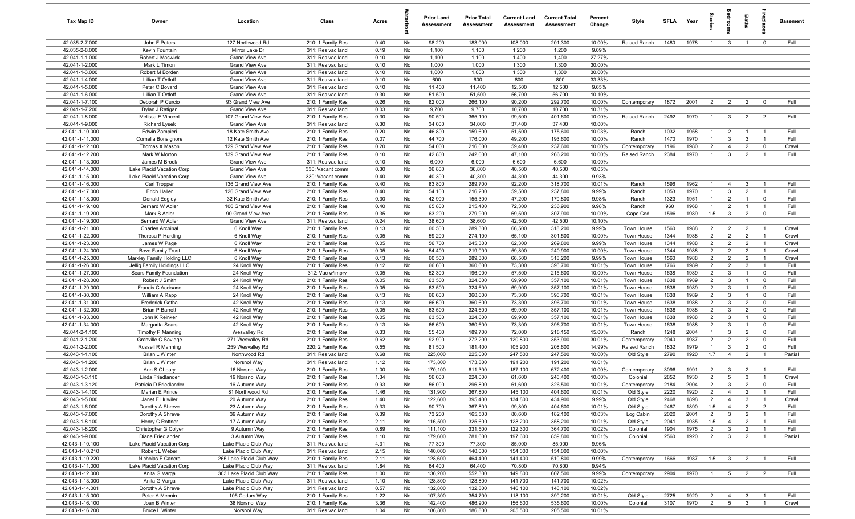| Tax Map ID                         | Owner                                                 | Location                                         | Class                                  | Acres        |          | <b>Prior Land</b><br>Assessment | <b>Prior Total</b><br>Assessment | <b>Current Land</b><br>Assessment | <b>Current Total</b><br>Assessment | Percent<br>Change | Style                    | <b>SFLA</b>  | Year         | ğ                                |                                | Baths                          | Бер<br>Б                    | <b>Basement</b> |
|------------------------------------|-------------------------------------------------------|--------------------------------------------------|----------------------------------------|--------------|----------|---------------------------------|----------------------------------|-----------------------------------|------------------------------------|-------------------|--------------------------|--------------|--------------|----------------------------------|--------------------------------|--------------------------------|-----------------------------|-----------------|
| 42.035-2-7.000                     | John F Peters                                         | 127 Northwood Rd                                 | 210: 1 Family Res                      | 0.40         | No       | 98,200                          | 183,000                          | 108,000                           | 201,300                            | 10.00%            | Raised Ranch             | 1480         | 1978         | $\overline{1}$                   | $\mathbf{3}$                   | $\overline{1}$                 | $\mathbf 0$                 | Full            |
| 42.035-2-8.000                     | Kevin Fountain                                        | Mirror Lake Dr                                   | 311: Res vac land                      | 0.19         | No       | 1,100                           | 1,100                            | 1,200                             | 1,200                              | 9.09%             |                          |              |              |                                  |                                |                                |                             |                 |
| 42.041-1-1.000                     | Robert J Maswick                                      | Grand View Ave                                   | 311: Res vac land                      | 0.10         | No       | 1,100                           | 1,100                            | 1,400                             | 1,400                              | 27.27%            |                          |              |              |                                  |                                |                                |                             |                 |
| 42.041-1-2.000                     | Mark L Timon                                          | Grand View Ave                                   | 311: Res vac land                      | 0.10         | No       | 1,000                           | 1,000                            | 1,300                             | 1,300                              | 30.00%            |                          |              |              |                                  |                                |                                |                             |                 |
| 42.041-1-3.000<br>42.041-1-4.000   | Robert M Borden<br>Lillian T Ortloff                  | Grand View Ave<br>Grand View Ave                 | 311: Res vac land<br>311: Res vac land | 0.10<br>0.10 | No<br>No | 1,000<br>600                    | 1,000<br>600                     | 1,300<br>800                      | 1,300<br>800                       | 30.00%<br>33.33%  |                          |              |              |                                  |                                |                                |                             |                 |
| 42.041-1-5.000                     | Peter C Bovard                                        | Grand View Ave                                   | 311: Res vac land                      | 0.10         | No       | 11,400                          | 11,400                           | 12,500                            | 12,500                             | 9.65%             |                          |              |              |                                  |                                |                                |                             |                 |
| 42.041-1-6.000                     | Lillian T Ortloff                                     | Grand View Ave                                   | 311: Res vac land                      | 0.30         | No       | 51,500                          | 51,500                           | 56,700                            | 56,700                             | 10.10%            |                          |              |              |                                  |                                |                                |                             |                 |
| 42.041-1-7.100                     | Deborah P Curcio                                      | 93 Grand View Ave                                | 210: 1 Family Res                      | 0.26         | No       | 82,000                          | 266,100                          | 90,200                            | 292,700                            | 10.00%            | Contemporary             | 1872         | 2001         | $\overline{2}$                   | $\overline{2}$                 | $\overline{2}$                 | $\overline{0}$              | Full            |
| 42.041-1-7.200                     | Dylan J Ratigan                                       | Grand View Ave                                   | 311: Res vac land                      | 0.03         | No       | 9,700                           | 9,700                            | 10,700                            | 10,700                             | 10.31%            |                          |              |              |                                  |                                |                                |                             |                 |
| 42.041-1-8.000                     | Melissa E Vincent                                     | 107 Grand View Ave                               | 210: 1 Family Res                      | 0.30         | No       | 90,500                          | 365,100                          | 99,500                            | 401,600                            | 10.00%            | Raised Ranch             | 2492         | 1970         | $\overline{1}$                   | $\mathbf{3}$                   | 2                              | $\overline{2}$              | Full            |
| 42.041-1-9.000                     | <b>Richard Lysek</b>                                  | <b>Grand View Ave</b>                            | 311: Res vac land                      | 0.30         | No       | 34,000                          | 34,000                           | 37,400                            | 37,400                             | 10.00%            |                          |              |              |                                  |                                |                                |                             |                 |
| 42.041-1-10.000                    | Edwin Zampieri                                        | 18 Kate Smith Ave                                | 210: 1 Family Res                      | 0.20         | No       | 46,800                          | 159,600                          | 51,500                            | 175,600                            | 10.03%            | Ranch                    | 1032         | 1958         | $\mathbf{1}$                     | $\overline{2}$                 | $\overline{1}$                 | - 1                         | Full            |
| 42.041-1-11.000                    | Cornelia Bonsignore                                   | 12 Kate Smith Ave                                | 210: 1 Family Res                      | 0.07         | No       | 44,700                          | 176,000                          | 49,200                            | 193,600                            | 10.00%            | Ranch                    | 1470         | 1970         | -1                               | $\mathbf{3}$                   | $\mathbf{3}$                   | $\overline{1}$              | Full            |
| 42.041-1-12.100                    | Thomas X Mason                                        | 129 Grand View Ave                               | 210: 1 Family Res                      | 0.20         | No       | 54,000                          | 216,000                          | 59,400                            | 237,600                            | 10.00%            | Contemporary             | 1196         | 1980         | $\overline{2}$                   | $\overline{4}$                 | $\overline{2}$                 | $\mathbf 0$                 | Crawl           |
| 42.041-1-12.200                    | Mark W Morton                                         | 139 Grand View Ave                               | 210: 1 Family Res                      | 0.10         | No       | 42,800                          | 242,000                          | 47,100                            | 266,200                            | 10.00%            | Raised Ranch             | 2384         | 1970         | $\overline{1}$                   | $\mathbf{3}$                   | $\overline{2}$                 |                             | Full            |
| 42.041-1-13.000<br>42.041-1-14.000 | James M Brook<br>Lake Placid Vacation Corp            | Grand View Ave<br>Grand View Ave                 | 311: Res vac land                      | 0.10         | No       | 6,000<br>36,800                 | 6,000                            | 6,600<br>40,500                   | 6,600                              | 10.00%            |                          |              |              |                                  |                                |                                |                             |                 |
| 42.041-1-15.000                    | Lake Placid Vacation Corp                             | Grand View Ave                                   | 330: Vacant comm<br>330: Vacant comm   | 0.30<br>0.40 | No<br>No | 40,300                          | 36,800<br>40,300                 | 44,300                            | 40,500<br>44,300                   | 10.05%<br>9.93%   |                          |              |              |                                  |                                |                                |                             |                 |
| 42.041-1-16.000                    | Carl Tropper                                          | 136 Grand View Ave                               | 210: 1 Family Res                      | 0.40         | No       | 83,800                          | 289,700                          | 92,200                            | 318,700                            | 10.01%            | Ranch                    | 1596         | 1962         | $\overline{1}$                   | $\overline{4}$                 | $\mathbf{3}$                   | $\overline{1}$              | Full            |
| 42.041-1-17.000                    | Erich Haller                                          | 126 Grand View Ave                               | 210: 1 Family Res                      | 0.40         | No       | 54,100                          | 216,200                          | 59,500                            | 237,800                            | 9.99%             | Ranch                    | 1053         | 1970         | $\overline{1}$                   | $\mathbf{3}$                   | $\overline{2}$                 | $\overline{1}$              | Full            |
| 42.041-1-18.000                    | Donald Edgley                                         | 32 Kate Smith Ave                                | 210: 1 Family Res                      | 0.30         | No       | 42,900                          | 155,300                          | 47,200                            | 170,800                            | 9.98%             | Ranch                    | 1323         | 1951         | $\overline{1}$                   | $\overline{2}$                 | $\overline{1}$                 | $\mathbf 0$                 | Full            |
| 42.041-1-19.100                    | Bernard W Adler                                       | 106 Grand View Ave                               | 210: 1 Family Res                      | 0.40         | No       | 65,800                          | 215,400                          | 72,300                            | 236,900                            | 9.98%             | Ranch                    | 960          | 1968         | $\overline{1}$                   | $\overline{2}$                 | $\overline{1}$                 | $\overline{1}$              | Full            |
| 42.041-1-19.200                    | Mark S Adler                                          | 90 Grand View Ave                                | 210: 1 Family Res                      | 0.35         | No       | 63,200                          | 279,900                          | 69,500                            | 307,900                            | 10.00%            | Cape Cod                 | 1596         | 1989         | 1.5                              | $\mathbf{3}$                   | $\overline{2}$                 | $\mathbf 0$                 | Full            |
| 42.041-1-19.300                    | <b>Bernard W Adler</b>                                | Grand View Ave                                   | 311: Res vac land                      | 0.24         | No       | 38,600                          | 38,600                           | 42,500                            | 42,500                             | 10.10%            |                          |              |              |                                  |                                |                                |                             |                 |
| 42.041-1-21.000                    | <b>Charles Archinal</b>                               | 6 Knoll Way                                      | 210: 1 Family Res                      | 0.13         | No       | 60,500                          | 289,300                          | 66,500                            | 318,200                            | 9.99%             | Town House               | 1560         | 1988         | $\overline{2}$                   | $\overline{2}$                 | $\overline{2}$                 | $\overline{1}$              | Crawl           |
| 42.041-1-22.000                    | Theresa P Harding                                     | 6 Knoll Way                                      | 210: 1 Family Res                      | 0.05         | No       | 59,200                          | 274,100                          | 65,100                            | 301,500                            | 10.00%            | Town House               | 1344         | 1988         | $\overline{2}$                   | 2                              | $\overline{2}$                 | $\overline{1}$              | Crawl           |
| 42.041-1-23.000                    | James W Page                                          | 6 Knoll Way                                      | 210: 1 Family Res                      | 0.05         | No       | 56,700                          | 245,300                          | 62,300                            | 269,800                            | 9.99%             | Town House               | 1344         | 1988         | $\overline{2}$                   | $\overline{2}$                 | $\overline{2}$                 |                             | Crawl           |
| 42.041-1-24.000                    | <b>Bove Family Trust</b>                              | 6 Knoll Way                                      | 210: 1 Family Res                      | 0.05         | No       | 54,400                          | 219,000                          | 59,800                            | 240,900                            | 10.00%            | Town House               | 1344         | 1988         | $\overline{2}$                   | $\overline{2}$                 | $\overline{2}$                 | $\overline{1}$              | Crawl           |
| 42.041-1-25.000                    | Markley Family Holding LLC                            | 6 Knoll Way                                      | 210: 1 Family Res                      | 0.13         | No       | 60,500                          | 289,300                          | 66,500                            | 318,200                            | 9.99%             | Town House               | 1560         | 1988         | $\overline{2}$                   | $\overline{2}$                 | $\overline{2}$                 |                             | Crawl           |
| 42.041-1-26.000<br>42.041-1-27.000 | Jellig Family Holdings LLC<br>Sears Family Foundation | 24 Knoll Way<br>24 Knoll Way                     | 210: 1 Family Res<br>312: Vac w/imprv  | 0.12<br>0.05 | No<br>No | 66,600<br>52,300                | 360,600<br>196,000               | 73,300<br>57,500                  | 396,700<br>215,600                 | 10.01%<br>10.00%  | Town House<br>Town House | 1766<br>1638 | 1989<br>1989 | $\overline{2}$<br>$\overline{2}$ | $\overline{2}$<br>$\mathbf{3}$ | $\mathbf{3}$<br>$\overline{1}$ | $\mathbf{1}$<br>$\mathbf 0$ | Full<br>Full    |
| 42.041-1-28.000                    | Robert J Smith                                        | 24 Knoll Way                                     | 210: 1 Family Res                      | 0.05         | No       | 63,500                          | 324,600                          | 69,900                            | 357,100                            | 10.01%            | Town House               | 1638         | 1989         | $\overline{2}$                   | $\mathbf{3}$                   | $\overline{1}$                 | $\mathbf 0$                 | Full            |
| 42.041-1-29.000                    | Francis C Accisano                                    | 24 Knoll Way                                     | 210: 1 Family Res                      | 0.05         | No       | 63,500                          | 324,600                          | 69,900                            | 357,100                            | 10.01%            | Town House               | 1638         | 1989         | $\overline{2}$                   | $\mathbf{3}$                   | $\overline{1}$                 | $\mathbf 0$                 | Full            |
| 42.041-1-30.000                    | William A Rapp                                        | 24 Knoll Way                                     | 210: 1 Family Res                      | 0.13         | No       | 66,600                          | 360,600                          | 73,300                            | 396,700                            | 10.01%            | Town House               | 1638         | 1989         | $\overline{2}$                   | $\mathbf{3}$                   | $\overline{1}$                 | $\mathbf 0$                 | Full            |
| 42.041-1-31.000                    | <b>Frederick Gotha</b>                                | 42 Knoll Way                                     | 210: 1 Family Res                      | 0.13         | No       | 66,600                          | 360,600                          | 73,300                            | 396,700                            | 10.01%            | Town House               | 1638         | 1988         | $\overline{2}$                   | $\mathbf{3}$                   | $\overline{2}$                 | $\mathbf 0$                 | Full            |
| 42.041-1-32.000                    | <b>Brian P Barrett</b>                                | 42 Knoll Way                                     | 210: 1 Family Res                      | 0.05         | No       | 63,500                          | 324,600                          | 69,900                            | 357,100                            | 10.01%            | Town House               | 1638         | 1988         | $\overline{2}$                   | $\mathbf{3}$                   | $\overline{2}$                 | $\mathbf 0$                 | Full            |
| 42.041-1-33.000                    | John K Reinker                                        | 42 Knoll Way                                     | 210: 1 Family Res                      | 0.05         | No       | 63,500                          | 324,600                          | 69,900                            | 357,100                            | 10.01%            | Town House               | 1638         | 1988         | $\overline{2}$                   | $\mathbf{3}$                   | $\overline{1}$                 | $\overline{0}$              | Full            |
| 42.041-1-34.000                    | Margarita Sears                                       | 42 Knoll Way                                     | 210: 1 Family Res                      | 0.13         | No       | 66,600                          | 360,600                          | 73,300                            | 396,700                            | 10.01%            | Town House               | 1638         | 1988         | $\overline{2}$                   | $\mathbf{3}$                   | $\overline{1}$                 | $\mathbf 0$                 | Full            |
| 42.041-2-1.100                     | Timothy P Manning                                     | Wesvalley Rd                                     | 210: 1 Family Res                      | 0.33         | No       | 55,400                          | 189,700                          | 72,000                            | 218,150                            | 15.00%            | Ranch                    | 1248         | 2004         | $\mathbf{1}$                     | $\mathbf{3}$                   | $\overline{2}$                 | $\mathbf 0$                 | Full            |
| 42.041-2-1.200                     | Granville C Savidge                                   | 271 Wesvalley Rd                                 | 210: 1 Family Res                      | 0.62         | No       | 92,900                          | 272,200                          | 120,800                           | 353,900                            | 30.01%            | Contemporary             | 2040         | 1987         | $\overline{2}$                   | $\overline{2}$                 | $\overline{2}$                 | $\mathbf 0$                 | Full            |
| 42.041-2-2.000                     | Russell R Manning                                     | 259 Wesvalley Rd                                 | 220: 2 Family Res                      | 0.55         | No       | 81,500                          | 181,400                          | 105,900                           | 208,600                            | 14.99%            | Raised Ranch             | 1832         | 1979         | -1                               | $\mathbf{3}$                   | $\overline{2}$                 | $\mathbf 0$                 | Full            |
| 42.043-1-1.100<br>42.043-1-1.200   | Brian L Winter<br><b>Brian L Winter</b>               | Northwood Rd<br>Norsnol Way                      | 311: Res vac land<br>311: Res vac land | 0.68<br>1.12 | No<br>No | 225,000<br>173,800              | 225,000<br>173,800               | 247,500<br>191,200                | 247,500<br>191,200                 | 10.00%<br>10.01%  | Old Style                | 2790         | 1920         | 1.7                              | $\overline{4}$                 | $\overline{2}$                 |                             | Partial         |
| 42.043-1-2.000                     | Ann S OLeary                                          | 16 Norsnol Way                                   | 210: 1 Family Res                      | 1.00         | No       | 170,100                         | 611,300                          | 187,100                           | 672,400                            | 10.00%            | Contemporary             | 3096         | 1991         | $\overline{2}$                   | $\mathbf{3}$                   | $\overline{2}$                 | $\overline{1}$              | Full            |
| 42.043-1-3.110                     | Linda Friedlander                                     | 19 Norsnol Way                                   | 210: 1 Family Res                      | 1.34         | No       | 56,000                          | 224,000                          | 61,600                            | 246,400                            | 10.00%            | Colonial                 | 2852         | 1930         | $\overline{2}$                   | $5\overline{5}$                | $\mathbf{3}$                   | $\overline{1}$              | Crawl           |
| 42.043-1-3.120                     | Patricia D Friedlander                                | 16 Autumn Way                                    | 210: 1 Family Res                      | 0.93         | No       | 56,000                          | 296,800                          | 61,600                            | 326,500                            | 10.01%            | Contemporary             | 2184         | 2004         | $\overline{2}$                   | $\mathcal{A}$                  | $\overline{2}$                 | $\mathbf 0$                 | Full            |
| 42.043-1-4.100                     | Marian E Prince                                       | 81 Northwood Rd                                  | 210: 1 Family Res                      | 1.46         | No       | 131,900                         | 367,800                          | 145,100                           | 404,600                            | 10.01%            | Old Style                | 2220         | 1920         | $\overline{2}$                   | $\overline{4}$                 | $\overline{2}$                 | $\overline{1}$              | Full            |
| 42.043-1-5.000                     | Janet E Huwiler                                       | 20 Autumn Way                                    | 210: 1 Family Res                      | 1.40         | No       | 122,600                         | 395,400                          | 134,800                           | 434,900                            | 9.99%             | Old Style                | 2468         | 1898         | $\overline{2}$                   | $\overline{4}$                 | $\overline{3}$                 | $\overline{1}$              | Crawl           |
| 42.043-1-6.000                     | Dorothy A Shreve                                      | 23 Autumn Way                                    | 210: 1 Family Res                      | 0.33         | No       | 90,700                          | 367,800                          | 99,800                            | 404,600                            | 10.01%            | Old Style                | 2467         | 1890         | 1.5                              | $\overline{4}$                 | $\overline{2}$                 | $\overline{2}$              | Full            |
| 42.043-1-7.000                     | Dorothy A Shreve                                      | 39 Autumn Way                                    | 210: 1 Family Res                      | 0.39         | No       | 73,200                          | 165,500                          | 80,600                            | 182,100                            | 10.03%            | Log Cabin                | 2020         | 2001         | $\overline{2}$                   | $\mathbf{3}$                   | $\overline{2}$                 | $\overline{1}$              | Full            |
| 42.043-1-8.100                     | Henry C Rottner                                       | 17 Autumn Way                                    | 210: 1 Family Res                      | 2.11         | No       | 116,500                         | 325,600                          | 128,200                           | 358,200                            | 10.01%            | Old Style                | 2041         | 1935         | 1.5                              | $\overline{4}$                 | $\overline{2}$                 | $\mathbf{1}$                | Full            |
| 42.043-1-8.200                     | Christopher G Colyer                                  | 9 Autumn Way                                     | 210: 1 Family Res                      | 0.89         | No       | 111,100                         | 331,500                          | 122,300                           | 364,700                            | 10.02%            | Colonial                 | 1904         | 1975         | $\overline{2}$                   | $\mathbf{3}$                   | $\overline{2}$                 | $\overline{1}$              | Full            |
| 42.043-1-9.000                     | Diana Friedlander                                     | 3 Autumn Way                                     | 210: 1 Family Res                      | 1.10         | No       | 179,600                         | 781,600                          | 197,600                           | 859,800                            | 10.01%            | Colonial                 | 2560         | 1920         | $\overline{2}$                   | $\mathbf{3}$                   | $\overline{2}$                 |                             | Partial         |
| 42.043-1-10.100                    | Lake Placid Vacation Corp                             | Lake Placid Club Way                             | 311: Res vac land                      | 4.31         | No       | 77,300                          | 77,300                           | 85,000                            | 85,000                             | 9.96%             |                          |              |              |                                  |                                |                                |                             |                 |
| 42.043-1-10.210<br>42.043-1-10.220 | Robert L Weber<br>Nicholas F Cancro                   | Lake Placid Club Way<br>265 Lake Placid Club Way | 311: Res vac land                      | 2.15         | No<br>No | 140,000<br>128,600              | 140,000<br>464,400               | 154,000<br>141,400                | 154,000<br>510,800                 | 10.00%<br>9.99%   | Contemporary             | 1666         | 1987         | 1.5                              |                                |                                |                             | Full            |
| 42.043-1-11.000                    | Lake Placid Vacation Corp                             | Lake Placid Club Way                             | 210: 1 Family Res<br>311: Res vac land | 2.11<br>1.84 | No       | 64,400                          | 64,400                           | 70,800                            | 70,800                             | 9.94%             |                          |              |              |                                  | $\mathbf{3}$                   | $\overline{2}$                 |                             |                 |
| 42.043-1-12.000                    | Anita G Varga                                         | 303 Lake Placid Club Way                         | 210: 1 Family Res                      | 1.00         | No       | 136,200                         | 552,300                          | 149,800                           | 607,500                            | 9.99%             | Contemporary             | 2904         | 1970         | $\overline{1}$                   | $5\overline{)}$                | $\overline{2}$                 | $\overline{2}$              | Full            |
| 42.043-1-13.000                    | Anita G Varga                                         | Lake Placid Club Way                             | 311: Res vac land                      | 1.10         | No       | 128,800                         | 128,800                          | 141,700                           | 141,700                            | 10.02%            |                          |              |              |                                  |                                |                                |                             |                 |
| 42.043-1-14.001                    | Dorothy A Shreve                                      | Lake Placid Club Way                             | 311: Res vac land                      | 0.57         | No       | 132,800                         | 132,800                          | 146,100                           | 146,100                            | 10.02%            |                          |              |              |                                  |                                |                                |                             |                 |
| 42.043-1-15.000                    | Peter A Mennin                                        | 105 Cedars Way                                   | 210: 1 Family Res                      | 1.22         | No       | 107,300                         | 354,700                          | 118,100                           | 390,200                            | 10.01%            | Old Style                | 2725         | 1920         | $\overline{2}$                   | $\overline{4}$                 | $\mathbf{3}$                   | $\overline{1}$              | Full            |
| 42.043-1-16.100                    | Joan B Winter                                         | 38 Norsnol Way                                   | 210: 1 Family Res                      | 3.36         | No       | 142,400                         | 486,900                          | 156,600                           | 535,600                            | 10.00%            | Colonial                 | 3107         | 1970         | 2                                | $5\overline{)}$                | $\mathbf{3}$                   | $\overline{1}$              | Crawl           |
| 42.043-1-16.200                    | <b>Bruce L Winter</b>                                 | Norsnol Way                                      | 311: Res vac land                      | 1.04         | No       | 186,800                         | 186,800                          | 205,500                           | 205,500                            | 10.01%            |                          |              |              |                                  |                                |                                |                             |                 |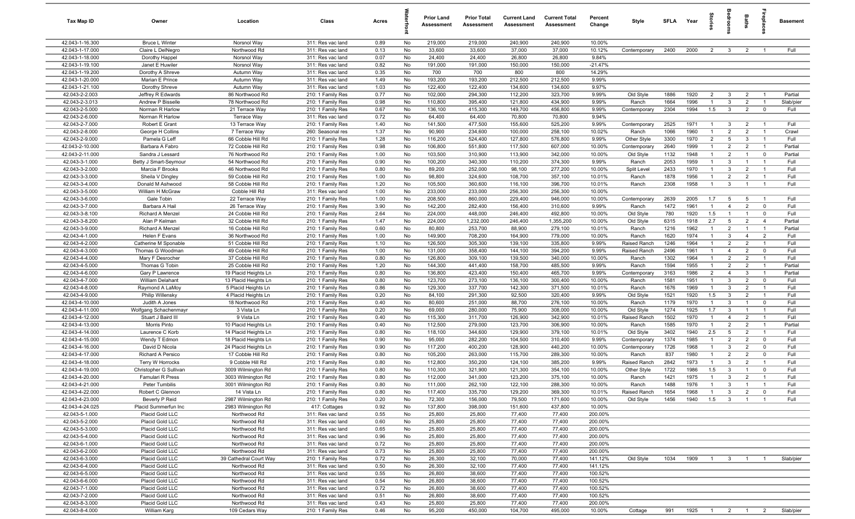| Tax Map ID                         | Owner                                  | Location                                 | Class                                  | Acres        |          | <b>Prior Land</b><br>Assessment | <b>Prior Total</b><br>Assessment | <b>Current Land</b><br><b>Assessment</b> | <b>Current Total</b><br><b>Assessment</b> | Percent<br>Change | Style              | <b>SFLA</b>  | Year         | <b>Stories</b>                 |                              | Baths                            | epla                             | <b>Basement</b> |
|------------------------------------|----------------------------------------|------------------------------------------|----------------------------------------|--------------|----------|---------------------------------|----------------------------------|------------------------------------------|-------------------------------------------|-------------------|--------------------|--------------|--------------|--------------------------------|------------------------------|----------------------------------|----------------------------------|-----------------|
| 42.043-1-16.300                    | <b>Bruce L Winter</b>                  | Norsnol Way                              | 311: Res vac land                      | 0.89         | No       | 219,000                         | 219,000                          | 240,900                                  | 240,900                                   | 10.00%            |                    |              |              |                                |                              |                                  |                                  |                 |
| 42.043-1-17.000                    | Claire L DelNegro                      | Northwood Rd                             | 311: Res vac land                      | 0.13         | No       | 33,600                          | 33,600                           | 37,000                                   | 37,000                                    | 10.12%            | Contemporary       | 2400         | 2000         | 2                              | $\mathbf{3}$                 | $\overline{2}$                   |                                  | Full            |
| 42.043-1-18.000                    | Dorothy Happel                         | Norsnol Way                              | 311: Res vac land                      | 0.07         | No       | 24,400                          | 24,400                           | 26,800                                   | 26,800                                    | 9.84%             |                    |              |              |                                |                              |                                  |                                  |                 |
| 42.043-1-19.100                    | Janet E Huwiler                        | Norsnol Way                              | 311: Res vac land                      | 0.82         | No       | 191,000                         | 191,000                          | 150,000                                  | 150,000                                   | $-21.47%$         |                    |              |              |                                |                              |                                  |                                  |                 |
| 42.043-1-19.200                    | Dorothy A Shreve                       | Autumn Way                               | 311: Res vac land                      | 0.35         | No       | 700                             | 700                              | 800                                      | 800                                       | 14.29%            |                    |              |              |                                |                              |                                  |                                  |                 |
| 42.043-1-20.000<br>42.043-1-21.100 | Marian E Prince<br>Dorothy Shreve      | Autumn Way<br>Autumn Way                 | 311: Res vac land<br>311: Res vac land | 1.49<br>1.03 | No<br>No | 193,200<br>122,400              | 193,200<br>122,400               | 212,500<br>134,600                       | 212,500<br>134,600                        | 9.99%<br>9.97%    |                    |              |              |                                |                              |                                  |                                  |                 |
| 42.043-2-2.003                     | Jeffrey R Edwards                      | 86 Northwood Rd                          | 210: 1 Family Res                      | 0.77         | No       | 102,000                         | 294,300                          | 112,200                                  | 323,700                                   | 9.99%             | Old Style          | 1886         | 1920         | $\overline{2}$                 | $\mathbf{3}$                 | $\overline{2}$                   |                                  | Partial         |
| 42.043-2-3.013                     | Andrew P Bisselle                      | 78 Northwood Rd                          | 210: 1 Family Res                      | 0.98         | No       | 110,800                         | 395,400                          | 121,800                                  | 434,900                                   | 9.99%             | Ranch              | 1664         | 1996         | $\overline{1}$                 | $\mathbf{3}$                 | $\overline{2}$                   | $\overline{1}$                   | Slab/pier       |
| 42.043-2-5.000                     | Norman R Harlow                        | 21 Terrace Way                           | 210: 1 Family Res                      | 0.67         | No       | 136,100                         | 415,300                          | 149,700                                  | 456,800                                   | 9.99%             | Contemporary       | 2304         | 1994         | 1.5                            | 3                            | $\overline{2}$                   | $\overline{0}$                   | Full            |
| 42.043-2-6.000                     | Norman R Harlow                        | <b>Terrace Way</b>                       | 311: Res vac land                      | 0.72         | No       | 64,400                          | 64,400                           | 70,800                                   | 70,800                                    | 9.94%             |                    |              |              |                                |                              |                                  |                                  |                 |
| 42.043-2-7.000                     | Robert E Grant                         | 13 Terrace Way                           | 210: 1 Family Res                      | 1.40         | No       | 141,500                         | 477,500                          | 155,600                                  | 525,200                                   | 9.99%             | Contemporary       | 2525         | 1971         | $\overline{1}$                 | $\mathbf{3}$                 | $\overline{2}$                   | $\overline{1}$                   | Full            |
| 42.043-2-8.000                     | George H Collins                       | 7 Terrace Way                            | 260: Seasonal res                      | 1.37         | No       | 90,900                          | 234,600                          | 100,000                                  | 258,100                                   | 10.02%            | Ranch              | 1066         | 1960         | $\overline{1}$                 | $\overline{2}$               | $\overline{2}$                   | $\overline{1}$                   | Crawl           |
| 42.043-2-9.000                     | Pamela G Leff                          | 66 Cobble Hill Rd                        | 210: 1 Family Res                      | 1.28         | No       | 116,200                         | 524,400                          | 127,800                                  | 576,800                                   | 9.99%             | Other Style        | 3300         | 1970         | $\overline{2}$                 | 5                            | 3                                | $\overline{1}$                   | Full            |
| 42.043-2-10.000                    | Barbara A Fabro                        | 72 Cobble Hill Rd                        | 210: 1 Family Res                      | 0.98         | No       | 106,800                         | 551,800                          | 117,500                                  | 607,000                                   | 10.00%            | Contemporary       | 2640         | 1999         | $\overline{1}$                 | $\overline{2}$               | $\overline{2}$                   | $\overline{1}$                   | Partial         |
| 42.043-2-11.000                    | Sandra J Lessard                       | 76 Northwood Rd                          | 210: 1 Family Res                      | 1.00         | No       | 103,500                         | 310,900                          | 113,900                                  | 342,000                                   | 10.00%            | Old Style          | 1132         | 1948         | $\overline{1}$                 | $\overline{2}$               | $\overline{1}$                   | $\overline{0}$                   | Partial         |
| 42.043-3-1.000                     | Betty J Smart-Seymour                  | 54 Northwood Rd                          | 210: 1 Family Res                      | 0.90         | No       | 100,200                         | 340,300                          | 110,200                                  | 374,300                                   | 9.99%             | Ranch              | 2053         | 1959         | $\overline{1}$                 | $\mathbf{3}$                 | $\overline{1}$                   | $\overline{1}$                   | Full            |
| 42.043-3-2.000                     | Marcia F Brooks                        | 46 Northwood Rd                          | 210: 1 Family Res                      | 0.80         | No       | 89,200                          | 252,000                          | 98,100                                   | 277,200                                   | 10.00%            | Split Level        | 2433         | 1970         | $\overline{1}$                 | $\mathbf{3}$                 | $\overline{2}$                   | $\overline{1}$                   | Full            |
| 42.043-3-3.000                     | Sheila V Dingley<br>Donald M Ashwood   | 59 Cobble Hill Rd                        | 210: 1 Family Res                      | 1.00         | No       | 98,800                          | 324,600                          | 108,700                                  | 357,100                                   | 10.01%            | Ranch<br>Ranch     | 1878         | 1956<br>1958 | $\overline{1}$<br>$\mathbf{1}$ | 2<br>$\mathbf{3}$            | $\overline{2}$<br>$\overline{1}$ | $\overline{1}$<br>$\overline{1}$ | Full<br>Full    |
| 42.043-3-4.000<br>42.043-3-5.000   | William H McGraw                       | 58 Cobble Hill Rd<br>Cobble Hill Rd      | 210: 1 Family Res<br>311: Res vac land | 1.20<br>1.00 | No<br>No | 105,500<br>233,000              | 360,600<br>233,000               | 116,100<br>256,300                       | 396,700<br>256,300                        | 10.01%<br>10.00%  |                    | 2308         |              |                                |                              |                                  |                                  |                 |
| 42.043-3-6.000                     | Gale Tobin                             | 22 Terrace Way                           | 210: 1 Family Res                      | 1.00         | No       | 208,500                         | 860,000                          | 229,400                                  | 946,000                                   | 10.00%            | Contemporary       | 2639         | 2005         | 1.7                            | 5                            | 5                                | $\overline{1}$                   | Full            |
| 42.043-3-7.000                     | Barbara A Hail                         | 26 Terrace Way                           | 210: 1 Family Res                      | 3.90         | No       | 142,200                         | 282,400                          | 156,400                                  | 310,600                                   | 9.99%             | Ranch              | 1472         | 1961         | $\overline{1}$                 | $\overline{4}$               | $\overline{2}$                   | $\overline{0}$                   | Full            |
| 42.043-3-8.100                     | Richard A Menzel                       | 24 Cobble Hill Rd                        | 210: 1 Family Res                      | 2.64         | No       | 224,000                         | 448,000                          | 246,400                                  | 492,800                                   | 10.00%            | Old Style          | 780          | 1920         | 1.5                            | $\overline{1}$               | $\overline{1}$                   | $\mathbf 0$                      | Full            |
| 42.043-3-8.200                     | Alan P Kelman                          | 32 Cobble Hill Rd                        | 210: 1 Family Res                      | 1.47         | No       | 224,000                         | 1,232,000                        | 246,400                                  | 1,355,200                                 | 10.00%            | Old Style          | 6315         | 1918         | 2.7                            | $5\overline{5}$              | $\overline{2}$                   | $\overline{4}$                   | Partial         |
| 42.043-3-9.000                     | Richard A Menzel                       | 16 Cobble Hill Rd                        | 210: 1 Family Res                      | 0.60         | No       | 80,800                          | 253,700                          | 88,900                                   | 279,100                                   | 10.01%            | Ranch              | 1216         | 1962         | $\overline{1}$                 | $\overline{2}$               | $\overline{1}$                   | $\overline{1}$                   | Partial         |
| 42.043-4-1.000                     | Helen F Evans                          | 36 Northwood Rd                          | 210: 1 Family Res                      | 1.00         | No       | 149,900                         | 708,200                          | 164,900                                  | 779,000                                   | 10.00%            | Ranch              | 1620         | 1974         | $\overline{1}$                 | 3                            | $\overline{4}$                   | $\overline{2}$                   | Full            |
| 42.043-4-2.000                     | Catherine M Sponable                   | 51 Cobble Hill Rd                        | 210: 1 Family Res                      | 1.10         | No       | 126,500                         | 305,300                          | 139,100                                  | 335,800                                   | 9.99%             | Raised Ranch       | 1246         | 1964         | $\overline{1}$                 | $\overline{2}$               | $\overline{2}$                   | $\overline{1}$                   | Full            |
| 42.043-4-3.000                     | Thomas G Woodman                       | 49 Cobble Hill Rd                        | 210: 1 Family Res                      | 1.00         | No       | 131,000                         | 358,400                          | 144,100                                  | 394,200                                   | 9.99%             | Raised Ranch       | 2496         | 1961         | $\overline{1}$                 | $\overline{4}$               | $\overline{2}$                   | $\mathbf 0$                      | Full            |
| 42.043-4-4.000                     | Mary F Desrocher                       | 37 Cobble Hill Rd                        | 210: 1 Family Res                      | 0.80         | No       | 126,800                         | 309,100                          | 139,500                                  | 340,000                                   | 10.00%            | Ranch              | 1302         | 1964         | $\overline{1}$                 | $\overline{2}$               | $\overline{2}$                   | $\overline{1}$                   | Full            |
| 42.043-4-5.000                     | Thomas G Tobin                         | 25 Cobble Hill Rd                        | 210: 1 Family Res                      | 1.20         | No       | 144,300                         | 441,400                          | 158,700                                  | 485,500                                   | 9.99%             | Ranch              | 1594         | 1955         | $\overline{1}$                 | $\overline{2}$               | $\overline{2}$                   | $\overline{1}$                   | Partial         |
| 42.043-4-6.000                     | Gary P Lawrence                        | 19 Placid Heights Ln                     | 210: 1 Family Res                      | 0.80         | No       | 136,800                         | 423,400                          | 150,400                                  | 465,700                                   | 9.99%             | Contemporary       | 3163         | 1986         | $\overline{2}$                 | $\overline{4}$               | 3                                | $\overline{1}$                   | Partial         |
| 42.043-4-7.000                     | William Delahant                       | 13 Placid Heights Ln                     | 210: 1 Family Res                      | 0.80         | No       | 123,700                         | 273,100                          | 136,100                                  | 300,400                                   | 10.00%            | Ranch              | 1581         | 1951<br>1969 | $\overline{1}$                 | $\mathbf{3}$                 | $\overline{2}$                   | $\mathbf 0$                      | Full<br>Full    |
| 42.043-4-8.000<br>42.043-4-9.000   | Raymond A LaMoy<br>Philip Willensky    | 5 Placid Heights Ln                      | 210: 1 Family Res                      | 0.86<br>0.20 | No<br>No | 129,300<br>84,100               | 337,700<br>291,300               | 142,300<br>92,500                        | 371,500<br>320,400                        | 10.01%<br>9.99%   | Ranch              | 1676<br>1521 | 1920         | $\mathbf{1}$<br>1.5            | 3<br>$\mathbf{3}$            | $\overline{2}$<br>$\overline{2}$ | $\overline{1}$                   | Full            |
| 42.043-4-10.000                    | Judith A Jones                         | 4 Placid Heights Ln<br>18 Northwood Rd   | 210: 1 Family Res<br>210: 1 Family Res | 0.40         | No       | 80,600                          | 251,000                          | 88,700                                   | 276,100                                   | 10.00%            | Old Style<br>Ranch | 1179         | 1970         | $\overline{1}$                 | $\overline{3}$               | $\overline{1}$                   | $\overline{0}$                   | Full            |
| 42.043-4-11.000                    | Wolfgang Schachenmayr                  | 3 Vista Ln                               | 210: 1 Family Res                      | 0.20         | No       | 69,000                          | 280,000                          | 75,900                                   | 308,000                                   | 10.00%            | Old Style          | 1274         | 1925         | 1.7                            | $\mathbf{3}$                 | $\overline{1}$                   | $\overline{1}$                   | Full            |
| 42.043-4-12.000                    | Stuart J Baird III                     | 9 Vista Ln                               | 210: 1 Family Res                      | 0.40         | No       | 115,300                         | 311,700                          | 126,900                                  | 342,900                                   | 10.01%            | Raised Ranch       | 1502         | 1970         | $\overline{1}$                 | $\overline{4}$               | $\overline{2}$                   | $\overline{1}$                   | Full            |
| 42.043-4-13.000                    | Morris Pinto                           | 10 Placid Heights Ln                     | 210: 1 Family Res                      | 0.40         | No       | 112,500                         | 279,000                          | 123,700                                  | 306,900                                   | 10.00%            | Ranch              | 1585         | 1970         | $\overline{1}$                 | $\overline{2}$               | $\overline{2}$                   | $\overline{1}$                   | Partial         |
| 42.043-4-14.000                    | Laurence C Korb                        | 14 Placid Heights Ln                     | 210: 1 Family Res                      | 0.80         | No       | 118,100                         | 344,600                          | 129,900                                  | 379,100                                   | 10.01%            | Old Style          | 3402         | 1940         | 2.5                            | $5\overline{5}$              | $\overline{2}$                   | $\overline{1}$                   | Full            |
| 42.043-4-15.000                    | Wendy T Edmon                          | 18 Placid Heights Ln                     | 210: 1 Family Res                      | 0.90         | No       | 95,000                          | 282,200                          | 104,500                                  | 310,400                                   | 9.99%             | Contemporary       | 1374         | 1985         | $\overline{1}$                 | $\overline{2}$               | $\overline{2}$                   | $\mathbf 0$                      | Full            |
| 42.043-4-16.000                    | David D Nicola                         | 24 Placid Heights Ln                     | 210: 1 Family Res                      | 0.90         | No       | 117,200                         | 400,200                          | 128,900                                  | 440,200                                   | 10.00%            | Contemporary       | 1726         | 1968         | $\overline{1}$                 | $\mathbf{3}$                 | $\overline{2}$                   | $\mathbf 0$                      | Full            |
| 42.043-4-17.000                    | Richard A Persico                      | 17 Cobble Hill Rd                        | 210: 1 Family Res                      | 0.80         | No       | 105,200                         | 263,000                          | 115,700                                  | 289,300                                   | 10.00%            | Ranch              | 837          | 1980         | $\overline{1}$                 | $\overline{2}$               | $\overline{2}$                   | $\mathbf 0$                      | Full            |
| 42.043-4-18.000                    | Terry W Horrocks                       | 9 Cobble Hill Rd                         | 210: 1 Family Res                      | 0.80         | No       | 112,800                         | 350,200                          | 124,100                                  | 385,200                                   | 9.99%             | Raised Ranch       | 2842         | 1973         | $\overline{1}$                 | $\mathbf{3}$                 | $\overline{2}$                   | $\overline{1}$                   | Full            |
| 42.043-4-19.000                    | Christopher G Sullivan                 | 3009 Wilmington Rd                       | 210: 1 Family Res                      | 0.80         | No       | 110,300                         | 321,900                          | 121,300                                  | 354,100                                   | 10.00%            | Other Style        | 1722         | 1986         | 1.5                            | 3                            |                                  | $\mathbf 0$                      | Full            |
| 42.043-4-20.000                    | Famulari R Press                       | 3003 Wilmington Rd                       | 210: 1 Family Res                      | 0.80         | No       | 112,000                         | 341,000                          | 123,200                                  | 375,100                                   | 10.00%            | Ranch              | 1421         | 1975         | $\overline{1}$                 | $\mathbf{3}$                 | $\overline{2}$                   | $\overline{1}$                   | Full            |
| 42.043-4-21.000                    | Peter Tumbilis                         | 3001 Wilmington Rd                       | 210: 1 Family Res                      | 0.80         | No       | 111,000                         | 262,100                          | 122,100                                  | 288,300                                   | 10.00%            | Ranch              | 1488         | 1976         |                                |                              |                                  |                                  | Full            |
| 42.043-4-22.000<br>42.043-4-23.000 | Robert C Glennon                       | 14 Vista Ln                              | 210: 1 Family Res                      | 0.80         | No<br>No | 117,400<br>72,300               | 335,700<br>156,000               | 129,200<br>79,500                        | 369,300<br>171,600                        | 10.01%<br>10.00%  | Raised Ranch       | 1654<br>1456 | 1968<br>1940 | $\overline{1}$<br>1.5          | $\mathbf{3}$<br>$\mathbf{3}$ | $\overline{2}$<br>$\overline{1}$ | $\mathbf 0$<br>$\overline{1}$    | Full<br>Full    |
| 42.043-4-24.025                    | Beverly P Reid<br>Placid Summerfun Inc | 2987 Wilmington Rd<br>2983 Wilmington Rd | 210: 1 Family Res<br>417: Cottages     | 0.20<br>0.92 | No       | 137,800                         | 398,000                          | 151,600                                  | 437,800                                   | 10.00%            | Old Style          |              |              |                                |                              |                                  |                                  |                 |
| 42.043-5-1.000                     | Placid Gold LLC                        | Northwood Rd                             | 311: Res vac land                      | 0.55         | No       | 25,800                          | 25,800                           | 77,400                                   | 77,400                                    | 200.00%           |                    |              |              |                                |                              |                                  |                                  |                 |
| 42.043-5-2.000                     | Placid Gold LLC                        | Northwood Rd                             | 311: Res vac land                      | 0.60         | No       | 25,800                          | 25,800                           | 77,400                                   | 77,400                                    | 200.00%           |                    |              |              |                                |                              |                                  |                                  |                 |
| 42.043-5-3.000                     | Placid Gold LLC                        | Northwood Rd                             | 311: Res vac land                      | 0.65         | No       | 25,800                          | 25,800                           | 77,400                                   | 77,400                                    | 200.00%           |                    |              |              |                                |                              |                                  |                                  |                 |
| 42.043-5-4.000                     | Placid Gold LLC                        | Northwood Rd                             | 311: Res vac land                      | 0.96         | No       | 25,800                          | 25,800                           | 77,400                                   | 77,400                                    | 200.00%           |                    |              |              |                                |                              |                                  |                                  |                 |
| 42.043-6-1.000                     | Placid Gold LLC                        | Northwood Rd                             | 311: Res vac land                      | 0.72         | No       | 25,800                          | 25,800                           | 77,400                                   | 77,400                                    | 200.00%           |                    |              |              |                                |                              |                                  |                                  |                 |
| 42.043-6-2.000                     | Placid Gold LLC                        | Northwood Rd                             | 311: Res vac land                      | 0.73         | No       | 25,800                          | 25,800                           | 77,400                                   | 77,400                                    | 200.00%           |                    |              |              |                                |                              |                                  |                                  |                 |
| 42.043-6-3.000                     | Placid Gold LLC                        | 39 Cathedral Court Way                   | 210: 1 Family Res                      | 0.72         | No       | 26,300                          | 32,100                           | 70,000                                   | 77,400                                    | 141.12%           | Old Style          | 1034         | 1909         | $\overline{1}$                 | 3 <sup>3</sup>               | $\overline{1}$                   | $\overline{1}$                   | Slab/pier       |
| 42.043-6-4.000                     | Placid Gold LLC                        | Northwood Rd                             | 311: Res vac land                      | 0.50         | No       | 26,300                          | 32,100                           | 77,400                                   | 77,400                                    | 141.12%           |                    |              |              |                                |                              |                                  |                                  |                 |
| 42.043-6-5.000                     | Placid Gold LLC                        | Northwood Rd                             | 311: Res vac land                      | 0.55         | No       | 26,800                          | 38,600                           | 77,400                                   | 77,400                                    | 100.52%           |                    |              |              |                                |                              |                                  |                                  |                 |
| 42.043-6-6.000                     | Placid Gold LLC                        | Northwood Rd                             | 311: Res vac land                      | 0.54         | No       | 26,800                          | 38,600                           | 77,400                                   | 77,400                                    | 100.52%           |                    |              |              |                                |                              |                                  |                                  |                 |
| 42.043-7-1.000                     | Placid Gold LLC                        | Northwood Rd                             | 311: Res vac land                      | 0.72         | No       | 26,800                          | 38,600                           | 77,400                                   | 77,400                                    | 100.52%           |                    |              |              |                                |                              |                                  |                                  |                 |
| 42.043-7-2.000                     | Placid Gold LLC                        | Northwood Rd                             | 311: Res vac land                      | 0.51         | No       | 26,800                          | 38,600                           | 77,400                                   | 77,400                                    | 100.52%           |                    |              |              |                                |                              |                                  |                                  |                 |
| 42.043-8-3.000<br>42.043-8-4.000   | Placid Gold LLC<br>William Karg        | Northwood Rd<br>109 Cedars Way           | 311: Res vac land<br>210: 1 Family Res | 0.43<br>0.46 | No<br>No | 25,800<br>95,200                | 25,800<br>450,000                | 77,400<br>104,700                        | 77,400<br>495,000                         | 200.00%<br>10.00% | Cottage            | 991          | 1925         | 1 2 1 2                        |                              |                                  |                                  | Slab/pier       |
|                                    |                                        |                                          |                                        |              |          |                                 |                                  |                                          |                                           |                   |                    |              |              |                                |                              |                                  |                                  |                 |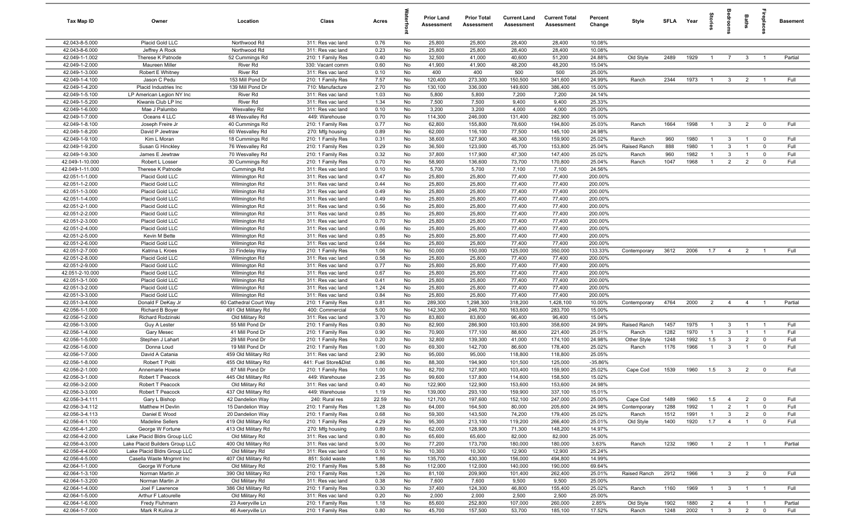| Tax Map ID                        | Owner                                                         | Location                                   | Class                                  | Acres        |          | <b>Prior Land</b><br>Assessment | <b>Prior Total</b><br>Assessment | <b>Current Land</b><br>Assessment | <b>Current Total</b><br>Assessment | Percent<br>Change  | Style        | <b>SFLA</b> | Year | tories         |                         | Baths          | epla           | <b>Basement</b> |
|-----------------------------------|---------------------------------------------------------------|--------------------------------------------|----------------------------------------|--------------|----------|---------------------------------|----------------------------------|-----------------------------------|------------------------------------|--------------------|--------------|-------------|------|----------------|-------------------------|----------------|----------------|-----------------|
| 42.043-8-5.000                    | Placid Gold LLC                                               | Northwood Rd                               | 311: Res vac land                      | 0.76         | No       | 25,800                          | 25,800                           | 28,400                            | 28,400                             | 10.08%             |              |             |      |                |                         |                |                |                 |
| 42.043-8-6.000                    | Jeffrey A Rock                                                | Northwood Rd                               | 311: Res vac land                      | 0.23         | No       | 25,800                          | 25,800                           | 28,400                            | 28,400                             | 10.08%             |              |             |      |                |                         |                |                |                 |
| 42.049-1-1.002                    | Therese K Patnode                                             | 52 Cummings Rd                             | 210: 1 Family Res                      | 0.40         | No       | 32,500                          | 41,000                           | 40,600                            | 51,200                             | 24.88%             | Old Style    | 2489        | 1929 | $\overline{1}$ | $\overline{7}$          | $\mathbf{3}$   |                | Partial         |
| 42.049-1-2.000                    | Maureen Miller                                                | River Rd                                   | 330: Vacant comm                       | 0.60         | No       | 41,900                          | 41,900                           | 48,200                            | 48,200                             | 15.04%             |              |             |      |                |                         |                |                |                 |
| 42.049-1-3.000<br>42.049-1-4.100  | Robert E Whitney<br>Jason C Pedu                              | <b>River Rd</b><br>153 Mill Pond Dr        | 311: Res vac land<br>210: 1 Family Res | 0.10<br>7.57 | No<br>No | 400<br>120,400                  | 400<br>273,300                   | 500<br>150,500                    | 500<br>341,600                     | 25.00%<br>24.99%   | Ranch        | 2344        | 1973 | $\overline{1}$ | $\mathbf{3}$            | $\overline{2}$ |                | Full            |
| 42.049-1-4.200                    | Placid Industries Inc                                         | 139 Mill Pond Dr                           | 710: Manufacture                       | 2.70         | No       | 130,100                         | 336,000                          | 149,600                           | 386,400                            | 15.00%             |              |             |      |                |                         |                |                |                 |
| 42.049-1-5.100                    | LP American Legion NY Inc                                     | River Rd                                   | 311: Res vac land                      | 1.03         | No       | 5,800                           | 5,800                            | 7,200                             | 7,200                              | 24.14%             |              |             |      |                |                         |                |                |                 |
| 42.049-1-5.200                    | Kiwanis Club LP Inc                                           | <b>River Rd</b>                            | 311: Res vac land                      | 1.34         | No       | 7,500                           | 7,500                            | 9,400                             | 9,400                              | 25.33%             |              |             |      |                |                         |                |                |                 |
| 42.049-1-6.000                    | Mae J Palumbo                                                 | Wesvalley Rd                               | 311: Res vac land                      | 0.10         | No       | 3,200                           | 3,200                            | 4,000                             | 4,000                              | 25.00%             |              |             |      |                |                         |                |                |                 |
| 42.049-1-7.000                    | Oceans 4 LLC                                                  | 48 Wesvalley Rd                            | 449: Warehouse                         | 0.70         | No       | 114,300                         | 246,000                          | 131,400                           | 282,900                            | 15.00%             |              |             |      |                |                         |                |                |                 |
| 42.049-1-8.100                    | Joseph Freire Jr                                              | 40 Cummings Rd                             | 210: 1 Family Res                      | 0.77         | No       | 62,800                          | 155,800                          | 78,600                            | 194,800                            | 25.03%             | Ranch        | 1664        | 1998 | $\overline{1}$ | $\overline{3}$          | $\overline{2}$ | $\mathbf 0$    | Full            |
| 42.049-1-8.200                    | David P Jewtraw                                               | 60 Wesvalley Rd                            | 270: Mfg housing                       | 0.89         | No       | 62,000                          | 116,100                          | 77,500                            | 145,100                            | 24.98%             |              |             |      |                |                         |                |                |                 |
| 42.049-1-9.100                    | Kim L Moran                                                   | 18 Cummings Rd                             | 210: 1 Family Res                      | 0.31         | No       | 38,600                          | 127,900                          | 48,300                            | 159,900                            | 25.02%             | Ranch        | 960         | 1980 | $\mathbf{1}$   | $\mathbf{3}$            | $\overline{1}$ | $\mathbf 0$    | Full            |
| 42.049-1-9.200                    | Susan G Hinckley                                              | 76 Wesvalley Rd                            | 210: 1 Family Res                      | 0.29         | No       | 36,500                          | 123,000                          | 45,700                            | 153,800                            | 25.04%             | Raised Ranch | 888         | 1980 | $\mathbf{1}$   | $\mathbf{3}$            | $\overline{1}$ | $\mathbf 0$    | Full            |
| 42.049-1-9.300                    | James E Jewtraw                                               | 70 Wesvalley Rd                            | 210: 1 Family Res                      | 0.32         | No       | 37,800                          | 117,900                          | 47,300                            | 147,400                            | 25.02%             | Ranch        | 960         | 1982 | $\mathbf{1}$   | $\mathbf{3}$            | $\overline{1}$ | $\mathbf 0$    | Full            |
| 42.049-1-10.000                   | Robert L Losser                                               | 30 Cummings Rd                             | 210: 1 Family Res                      | 0.70         | No       | 58,900                          | 136,600                          | 73,700                            | 170,800                            | 25.04%             | Ranch        | 1047        | 1968 |                | $\overline{2}$          | $\overline{2}$ | $\mathbf 0$    | Full            |
| 42.049-1-11.000<br>42.051-1-1.000 | Therese K Patnode<br>Placid Gold LLC                          | Cummings Rd<br>Wilmington Rd               | 311: Res vac land<br>311: Res vac land | 0.10<br>0.47 | No<br>No | 5,700<br>25,800                 | 5,700<br>25,800                  | 7,100<br>77,400                   | 7,100<br>77,400                    | 24.56%<br>200.00%  |              |             |      |                |                         |                |                |                 |
| 42.051-1-2.000                    | Placid Gold LLC                                               | Wilmington Rd                              | 311: Res vac land                      | 0.44         | No       | 25,800                          | 25,800                           | 77,400                            | 77,400                             | 200.00%            |              |             |      |                |                         |                |                |                 |
| 42.051-1-3.000                    | Placid Gold LLC                                               | Wilmington Rd                              | 311: Res vac land                      | 0.49         | No       | 25,800                          | 25,800                           | 77,400                            | 77,400                             | 200.00%            |              |             |      |                |                         |                |                |                 |
| 42.051-1-4.000                    | Placid Gold LLC                                               | Wilmington Rd                              | 311: Res vac land                      | 0.49         | No       | 25,800                          | 25,800                           | 77,400                            | 77,400                             | 200.00%            |              |             |      |                |                         |                |                |                 |
| 42.051-2-1.000                    | Placid Gold LLC                                               | Wilmington Rd                              | 311: Res vac land                      | 0.56         | No       | 25,800                          | 25,800                           | 77,400                            | 77,400                             | 200.00%            |              |             |      |                |                         |                |                |                 |
| 42.051-2-2.000                    | Placid Gold LLC                                               | Wilmington Rd                              | 311: Res vac land                      | 0.85         | No       | 25,800                          | 25,800                           | 77,400                            | 77,400                             | 200.00%            |              |             |      |                |                         |                |                |                 |
| 42.051-2-3.000                    | Placid Gold LLC                                               | Wilmington Rd                              | 311: Res vac land                      | 0.70         | No       | 25,800                          | 25,800                           | 77,400                            | 77,400                             | 200.00%            |              |             |      |                |                         |                |                |                 |
| 42.051-2-4.000                    | Placid Gold LLC                                               | Wilmington Rd                              | 311: Res vac land                      | 0.66         | No       | 25,800                          | 25,800                           | 77,400                            | 77,400                             | 200.00%            |              |             |      |                |                         |                |                |                 |
| 42.051-2-5.000                    | Kevin M Bette                                                 | Wilmington Rd                              | 311: Res vac land                      | 0.85         | No       | 25,800                          | 25,800                           | 77,400                            | 77,400                             | 200.00%            |              |             |      |                |                         |                |                |                 |
| 42.051-2-6.000                    | Placid Gold LLC                                               | Wilmington Rd                              | 311: Res vac land                      | 0.64         | No       | 25,800                          | 25,800                           | 77,400                            | 77,400                             | 200.00%            |              |             |      |                |                         |                |                |                 |
| 42.051-2-7.000                    | Katrina L Kroes                                               | 33 Findelay Way                            | 210: 1 Family Res                      | 1.06         | No       | 50,000                          | 150,000                          | 125,000                           | 350,000                            | 133.33%            | Contemporary | 3612        | 2006 | 1.7            | $\overline{4}$          | $\overline{2}$ |                | Full            |
| 42.051-2-8.000                    | Placid Gold LLC                                               | Wilmington Rd                              | 311: Res vac land                      | 0.58         | No       | 25,800                          | 25,800                           | 77,400                            | 77,400                             | 200.00%            |              |             |      |                |                         |                |                |                 |
| 42.051-2-9.000<br>42.051-2-10.000 | Placid Gold LLC<br>Placid Gold LLC                            | Wilmington Rd<br>Wilmington Rd             | 311: Res vac land<br>311: Res vac land | 0.77<br>0.67 | No<br>No | 25,800<br>25,800                | 25,800<br>25,800                 | 77,400<br>77,400                  | 77,400<br>77,400                   | 200.00%<br>200.00% |              |             |      |                |                         |                |                |                 |
| 42.051-3-1.000                    | Placid Gold LLC                                               | Wilmington Rd                              | 311: Res vac land                      | 0.41         | No       | 25,800                          | 25,800                           | 77,400                            | 77,400                             | 200.00%            |              |             |      |                |                         |                |                |                 |
| 42.051-3-2.000                    | Placid Gold LLC                                               | Wilmington Rd                              | 311: Res vac land                      | 1.24         | No       | 25,800                          | 25,800                           | 77,400                            | 77,400                             | 200.00%            |              |             |      |                |                         |                |                |                 |
| 42.051-3-3.000                    | Placid Gold LLC                                               | Wilmington Rd                              | 311: Res vac land                      | 0.84         | No       | 25,800                          | 25,800                           | 77,400                            | 77,400                             | 200.00%            |              |             |      |                |                         |                |                |                 |
| 42.051-3-4.000                    | Donald F DeKay Jr                                             | 60 Cathedral Court Way                     | 210: 1 Family Res                      | 0.81         | No       | 289,300                         | 1,298,300                        | 318,200                           | 1,428,100                          | 10.00%             | Contemporary | 4764        | 2000 | $\overline{2}$ | $\overline{4}$          | $\overline{4}$ | $\overline{1}$ | Partial         |
| 42.056-1-1.000                    | <b>Richard B Boyer</b>                                        | 491 Old Military Rd                        | 400: Commercial                        | 5.00         | No       | 142,300                         | 246,700                          | 163,600                           | 283,700                            | 15.00%             |              |             |      |                |                         |                |                |                 |
| 42.056-1-2.000                    | Richard Rodzinski                                             | Old Military Rd                            | 311: Res vac land                      | 3.70         | No       | 83,800                          | 83,800                           | 96,400                            | 96,400                             | 15.04%             |              |             |      |                |                         |                |                |                 |
| 42.056-1-3.000                    | Guy A Lester                                                  | 55 Mill Pond Dr                            | 210: 1 Family Res                      | 0.80         | No       | 82,900                          | 286,900                          | 103,600                           | 358,600                            | 24.99%             | Raised Ranch | 1457        | 1975 | $\overline{1}$ | $\mathbf{3}$            | $\overline{1}$ | -1             | Full            |
| 42.056-1-4.000                    | Gary Mesec                                                    | 41 Mill Pond Dr                            | 210: 1 Family Res                      | 0.90         | No       | 70,900                          | 177,100                          | 88,600                            | 221,400                            | 25.01%             | Ranch        | 1282        | 1970 | $\mathbf{1}$   | $\mathbf{3}$            | $\overline{1}$ | $\overline{1}$ | Full            |
| 42.056-1-5.000                    | Stephen J Lahart                                              | 29 Mill Pond Dr                            | 210: 1 Family Res                      | 0.20         | No       | 32,800                          | 139,300                          | 41,000                            | 174,100                            | 24.98%             | Other Style  | 1248        | 1992 | 1.5            | $\overline{\mathbf{3}}$ | $\overline{2}$ | $\mathbf 0$    | Full            |
| 42.056-1-6.000<br>42.056-1-7.000  | Donna Loud                                                    | 19 Mill Pond Dr                            | 210: 1 Family Res<br>311: Res vac land | 1.00         | No       | 69,300                          | 142,700                          | 86,600                            | 178,400                            | 25.02%<br>25.05%   | Ranch        | 1176        | 1966 | $\mathbf{1}$   | $\mathbf{3}$            | $\overline{1}$ | $\mathbf 0$    | Full            |
| 42.056-1-8.000                    | David A Catania<br>Robert T Politi                            | 459 Old Military Rd<br>455 Old Military Rd | 441: Fuel Store&Dist                   | 2.90<br>0.86 | No<br>No | 95,000<br>88,300                | 95,000<br>194,900                | 118,800<br>101,500                | 118,800<br>125,000                 | $-35.86%$          |              |             |      |                |                         |                |                |                 |
| 42.056-2-1.000                    | Annemarie Howse                                               | 87 Mill Pond Dr                            | 210: 1 Family Res                      | 1.00         | No       | 82,700                          | 127,900                          | 103,400                           | 159,900                            | 25.02%             | Cape Cod     | 1539        | 1960 | 1.5            | $\overline{3}$          | $\overline{2}$ | $\mathbf 0$    | Full            |
| 42.056-3-1.000                    | Robert T Peacock                                              | 445 Old Military Rd                        | 449: Warehouse                         | 2.35         | No       | 99,600                          | 137,800                          | 114,600                           | 158,500                            | 15.02%             |              |             |      |                |                         |                |                |                 |
| 42.056-3-2.000                    | Robert T Peacock                                              | Old Military Rd                            | 311: Res vac land                      | 0.40         | No       | 122,900                         | 122,900                          | 153,600                           | 153,600                            | 24.98%             |              |             |      |                |                         |                |                |                 |
| 42.056-3-3.000                    | Robert T Peacock                                              | 437 Old Military Rd                        | 449: Warehouse                         | 1.19         | No       | 139,000                         | 293,100                          | 159,900                           | 337,100                            | 15.01%             |              |             |      |                |                         |                |                |                 |
| 42.056-3-4.111                    | Gary L Bishop                                                 | 42 Dandelion Way                           | 240: Rural res                         | 22.59        | No       | 121,700                         | 197,600                          | 152,100                           | 247,000                            | 25.00%             | Cape Cod     | 1489        | 1960 | 1.5            | $\overline{4}$          | $\overline{2}$ | $\mathbf 0$    | Full            |
| 42.056-3-4.112                    | Matthew H Devlin                                              | 15 Dandelion Way                           | 210: 1 Family Res                      | 1.28         | No       | 64,000                          | 164,500                          | 80,000                            | 205,600                            | 24.98%             | Contemporary | 1288        | 1992 | $\overline{1}$ | 2                       | $\overline{1}$ | $\mathbf 0$    | Full            |
| 42.056-3-4.113                    | Daniel E Wood                                                 | 20 Dandelion Way                           | 210: 1 Family Res                      | 0.68         | No       | 59,300                          | 143,500                          | 74,200                            | 179,400                            | 25.02%             | Ranch        | 1512        | 1991 | $\overline{1}$ | $\mathbf{3}$            | $\overline{2}$ | $\mathbf 0$    | Full            |
| 42.056-4-1.100                    | Madeline Sellers                                              | 419 Old Military Rd                        | 210: 1 Family Res                      | 4.29         | No       | 95,300                          | 213,100                          | 119,200                           | 266,400                            | 25.01%             | Old Style    | 1400        | 1920 | 1.7            | $\overline{4}$          | $\overline{1}$ | $\mathbf 0$    | Full            |
| 42.056-4-1.200                    | George W Fortune                                              | 413 Old Military Rd                        | 270: Mfg housing                       | 0.89         | No       | 62,000                          | 128,900                          | 71,300                            | 148,200                            | 14.97%             |              |             |      |                |                         |                |                |                 |
| 42.056-4-2.000                    | Lake Placid Bldrs Group LLC                                   | Old Military Rd                            | 311: Res vac land                      | 0.80         | No       | 65,600                          | 65,600                           | 82,000                            | 82,000                             | 25.00%             |              |             |      |                |                         |                |                |                 |
| 42.056-4-3.000<br>42.056-4-4.000  | Lake Placid Builders Group LLC<br>Lake Placid Bldrs Group LLC | 400 Old Military Rd<br>Old Military Rd     | 311: Res vac land<br>311: Res vac land | 5.00<br>0.10 | No<br>No | 77,200<br>10,300                | 173,700<br>10,300                | 180,000<br>12,900                 | 180,000<br>12,900                  | 3.63%<br>25.24%    | Ranch        | 1232        | 1960 | $\overline{1}$ | $\overline{2}$          | $\overline{1}$ |                | Partial         |
| 42.056-4-5.000                    | Casella Waste Mngmnt Inc                                      | 407 Old Military Rd                        | 851: Solid waste                       | 1.86         | No       | 135,700                         | 430,300                          | 156,000                           | 494,800                            | 14.99%             |              |             |      |                |                         |                |                |                 |
| 42.064-1-1.000                    | George W Fortune                                              | Old Military Rd                            | 210: 1 Family Res                      | 5.88         | No       | 112,000                         | 112,000                          | 140,000                           | 190,000                            | 69.64%             |              |             |      |                |                         |                |                |                 |
| 42.064-1-3.100                    | Norman Martin Jr                                              | 390 Old Military Rd                        | 210: 1 Family Res                      | 1.26         | No       | 81,100                          | 209,900                          | 101,400                           | 262,400                            | 25.01%             | Raised Ranch | 2912        | 1966 | $\overline{1}$ | $\mathbf{3}$            | 2              | $\overline{0}$ | Full            |
| 42.064-1-3.200                    | Norman Martin Jr                                              | Old Military Rd                            | 311: Res vac land                      | 0.38         | No       | 7,600                           | 7,600                            | 9,500                             | 9,500                              | 25.00%             |              |             |      |                |                         |                |                |                 |
| 42.064-1-4.000                    | Joel F Lawrence                                               | 386 Old Military Rd                        | 210: 1 Family Res                      | 0.30         | No       | 37,400                          | 124,300                          | 46,800                            | 155,400                            | 25.02%             | Ranch        | 1160        | 1969 | $\overline{1}$ | $\mathbf{3}$            | $\overline{1}$ |                | Full            |
| 42.064-1-5.000                    | Arthur F Latourelle                                           | Old Military Rd                            | 311: Res vac land                      | 0.20         | No       | 2,000                           | 2,000                            | 2,500                             | 2,500                              | 25.00%             |              |             |      |                |                         |                |                |                 |
| 42.064-1-6.000                    | Fredy Fluhmann                                                | 23 Averyville Ln                           | 210: 1 Family Res                      | 1.18         | No       | 85,600                          | 252,800                          | 107,000                           | 260,000                            | 2.85%              | Old Style    | 1902        | 1880 | $\overline{2}$ | $\overline{4}$          | $\overline{1}$ |                | Partial         |
| 42.064-1-7.000                    | Mark R Kulina Jr                                              | 46 Averyville Ln                           | 210: 1 Family Res                      | 0.80         | No       | 45,700                          | 157,500                          | 53,700                            | 185,100                            | 17.52%             | Ranch        | 1248        | 2002 | $\overline{1}$ | $\overline{\mathbf{3}}$ | 2              | $\mathbf 0$    | Full            |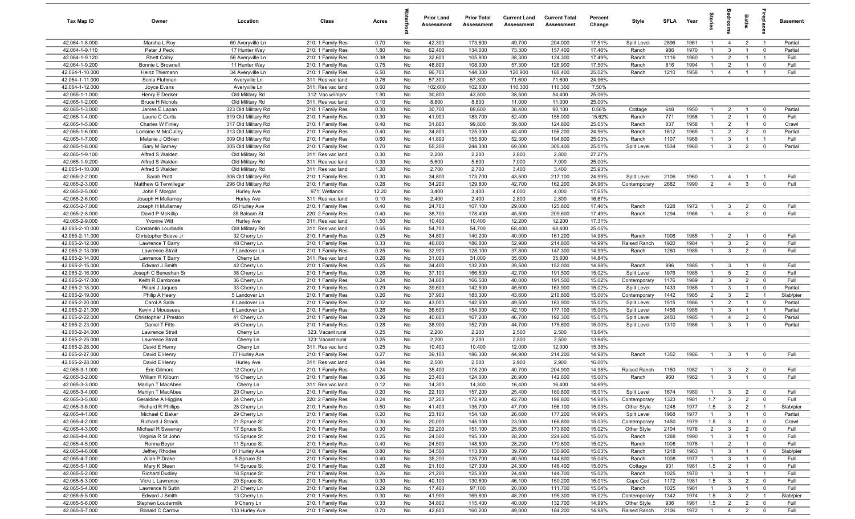| Tax Map ID                         | Owner                                  | Location                                   | Class                                  | Acres        |           | <b>Prior Land</b><br>Assessment | <b>Prior Total</b><br>Assessment | <b>Current Land</b><br><b>Assessment</b> | <b>Current Total</b><br>Assessment | Percent<br>Change | Style                       | <b>SFLA</b>  | Year         | ğ                                |                                | Baths                            | epla                          | <b>Basement</b>   |
|------------------------------------|----------------------------------------|--------------------------------------------|----------------------------------------|--------------|-----------|---------------------------------|----------------------------------|------------------------------------------|------------------------------------|-------------------|-----------------------------|--------------|--------------|----------------------------------|--------------------------------|----------------------------------|-------------------------------|-------------------|
| 42.064-1-8.000                     | Marsha L Roy                           | 60 Averyville Ln                           | 210: 1 Family Res                      | 0.70         | No        | 42,300                          | 173,600                          | 49,700                                   | 204,000                            | 17.51%            | Split Level                 | 2896         | 1961         | $\mathbf{1}$                     | $\overline{4}$                 | $\overline{2}$                   | $\overline{1}$                | Partial           |
| 42.064-1-9.110                     | Peter J Peck                           | 17 Hunter Way                              | 210: 1 Family Res                      | 1.80         | No        | 62,400                          | 134,000                          | 73,300                                   | 157,400                            | 17.46%            | Ranch                       | 986          | 1970         | $\mathbf{1}$                     | $\mathbf{3}$                   |                                  | $\mathbf 0$                   | Partial           |
| 42.064-1-9.120                     | <b>Rhett Colby</b>                     | 56 Averyville Ln                           | 210: 1 Family Res                      | 0.38         | No        | 32,600                          | 105,800                          | 38,300                                   | 124,300                            | 17.49%            | Ranch                       | 1116         | 1960         | 1                                | $\overline{2}$                 |                                  |                               | Full              |
| 42.064-1-9.200                     | Bonnie L Brownell                      | 11 Hunter Way                              | 210: 1 Family Res                      | 0.75         | No        | 48,800                          | 108,000                          | 57,300                                   | 126,900                            | 17.50%            | Ranch                       | 816          | 1994         | -1                               | $\overline{2}$                 |                                  | $^{\circ}$<br>$\overline{1}$  | Full              |
| 42.064-1-10.000<br>42.064-1-11.000 | Heinz Thiemann<br>Sonia Fluhman        | 34 Averyville Ln<br>Averyville Ln          | 210: 1 Family Res<br>311: Res vac land | 6.50<br>0.76 | No<br>No  | 96,700<br>57,300                | 144,300<br>57,300                | 120,900<br>71,600                        | 180,400<br>71,600                  | 25.02%<br>24.96%  | Ranch                       | 1210         | 1958         | $\mathbf{1}$                     | $\overline{4}$                 |                                  |                               | Full              |
| 42.064-1-12.000                    | Joyce Evans                            | Averyville Ln                              | 311: Res vac land                      | 0.60         | No        | 102,600                         | 102,600                          | 110,300                                  | 110,300                            | 7.50%             |                             |              |              |                                  |                                |                                  |                               |                   |
| 42.065-1-1.000                     | Henry E Decker                         | Old Military Rd                            | 312: Vac w/imprv                       | 1.90         | No        | 30,800                          | 43,500                           | 38,500                                   | 54,400                             | 25.06%            |                             |              |              |                                  |                                |                                  |                               |                   |
| 42.065-1-2.000                     | <b>Bruce H Nichols</b>                 | Old Military Rd                            | 311: Res vac land                      | 0.10         | No        | 8,800                           | 8,800                            | 11,000                                   | 11,000                             | 25.00%            |                             |              |              |                                  |                                |                                  |                               |                   |
| 42.065-1-3.000                     | James E Lapan                          | 323 Old Military Rd                        | 210: 1 Family Res                      | 0.30         | No        | 30,700                          | 89,600                           | 38,400                                   | 90,100                             | 0.56%             | Cottage                     | 648          | 1950         | $\mathbf{1}$                     | $\overline{2}$                 | $\overline{1}$                   | $^{\circ}$                    | Partial           |
| 42.065-1-4.000                     | Laurie C Curtis                        | 319 Old Military Rd                        | 210: 1 Family Res                      | 0.30         | No        | 41,900                          | 183,700                          | 52,400                                   | 155,000                            | $-15.62%$         | Ranch                       | 771          | 1958         | $\mathbf{1}$                     | $\overline{2}$                 | $\overline{1}$                   | $^{\circ}$                    | Full              |
| 42.065-1-5.000                     | Charles W Finley                       | 317 Old Military Rd                        | 210: 1 Family Res                      | 0.40         | No        | 31,800                          | 99,800                           | 39,800                                   | 124,800                            | 25.05%            | Ranch                       | 837          | 1958         | $\overline{1}$                   | $\overline{2}$                 | $\overline{1}$                   | $\mathbf 0$                   | Crawl             |
| 42.065-1-6.000                     | Lorraine M McCulley                    | 313 Old Military Rd                        | 210: 1 Family Res                      | 0.40         | No        | 34,800                          | 125,000                          | 43,400                                   | 156,200                            | 24.96%            | Ranch                       | 1612         | 1965         | $\overline{1}$                   | $\overline{2}$                 | $\overline{2}$                   | $\mathbf 0$                   | Partial           |
| 42.065-1-7.000                     | Melanie J OBrien                       | 309 Old Military Rd                        | 210: 1 Family Res                      | 0.60         | No        | 41,800                          | 155,800                          | 52,300                                   | 194,800                            | 25.03%            | Ranch                       | 1107         | 1968         | $\mathbf{1}$                     | $\mathbf{3}$                   | $\overline{1}$                   | - 1                           | Full              |
| 42.065-1-8.000                     | Gary M Barney                          | 305 Old Military Rd                        | 210: 1 Family Res                      | 0.70         | No        | 55,200                          | 244,300                          | 69,000                                   | 305,400                            | 25.01%            | Split Level                 | 1534         | 1960         | $\mathbf{1}$                     | $\mathbf{3}$                   | $\overline{2}$                   | $\mathbf 0$                   | Partial           |
| 42.065-1-9.100                     | Alfred S Walden                        | Old Military Rd                            | 311: Res vac land                      | 0.30         | No        | 2,200                           | 2,200                            | 2,800                                    | 2,800                              | 27.27%            |                             |              |              |                                  |                                |                                  |                               |                   |
| 42.065-1-9.200                     | Alfred S Walden                        | Old Military Rd                            | 311: Res vac land                      | 0.30         | No        | 5,600                           | 5,600                            | 7,000                                    | 7,000                              | 25.00%            |                             |              |              |                                  |                                |                                  |                               |                   |
| 42.065-1-10.000                    | Alfred S Walden                        | Old Military Rd                            | 311: Res vac land                      | 1.20         | No        | 2,700                           | 2,700                            | 3,400                                    | 3,400                              | 25.93%            |                             |              |              |                                  |                                |                                  |                               |                   |
| 42.065-2-2.000<br>42.065-2-3.000   | Sarah Pratt<br>Matthew G Terwillegar   | 306 Old Military Rd<br>296 Old Military Rd | 210: 1 Family Res                      | 0.30<br>0.28 | No<br>No  | 34,800<br>34,200                | 173,700<br>129,800               | 43,500<br>42,700                         | 217,100<br>162,200                 | 24.99%<br>24.96%  | Split Level<br>Contemporary | 2106<br>2682 | 1960<br>1990 | $\overline{1}$<br>$\overline{2}$ | 4<br>$\overline{4}$            | $\mathbf{3}$                     | - 1<br>$^{\circ}$             | Full<br>Full      |
| 42.065-2-5.000                     | John F Morgan                          | <b>Hurley Ave</b>                          | 210: 1 Family Res<br>971: Wetlands     | 12.20        | No        | 3,400                           | 3,400                            | 4,000                                    | 4,000                              | 17.65%            |                             |              |              |                                  |                                |                                  |                               |                   |
| 42.065-2-6.000                     | Joseph H Mullarney                     | <b>Hurley Ave</b>                          | 311: Res vac land                      | 0.10         | No        | 2,400                           | 2,400                            | 2,800                                    | 2,800                              | 16.67%            |                             |              |              |                                  |                                |                                  |                               |                   |
| 42.065-2-7.000                     | Joseph H Mullarney                     | 65 Hurley Ave                              | 210: 1 Family Res                      | 0.40         | No        | 24,700                          | 107,100                          | 29,000                                   | 125,800                            | 17.46%            | Ranch                       | 1228         | 1972         | $\overline{1}$                   | $\mathbf{3}$                   | $\overline{2}$                   | $^{\circ}$                    | Full              |
| 42.065-2-8.000                     | David P McKillip                       | 35 Balsam St                               | 220: 2 Family Res                      | 0.40         | No        | 38,700                          | 178,400                          | 45,500                                   | 209,600                            | 17.49%            | Ranch                       | 1294         | 1968         | $\overline{1}$                   | $\overline{4}$                 | $\overline{2}$                   | $\mathbf 0$                   | Full              |
| 42.065-2-9.000                     | Yvonne Witt                            | <b>Hurley Ave</b>                          | 311: Res vac land                      | 1.50         | No        | 10,400                          | 10,400                           | 12,200                                   | 12,200                             | 17.31%            |                             |              |              |                                  |                                |                                  |                               |                   |
| 42.065-2-10.000                    | Constantin Loudiadis                   | Old Military Rd                            | 311: Res vac land                      | 0.65         | No        | 54,700                          | 54,700                           | 68,400                                   | 68,400                             | 25.05%            |                             |              |              |                                  |                                |                                  |                               |                   |
| 42.065-2-11.000                    | Christopher Boeve Jr                   | 32 Cherry Ln                               | 210: 1 Family Res                      | 0.25         | No        | 34,800                          | 140,200                          | 40,000                                   | 161,200                            | 14.98%            | Ranch                       | 1008         | 1985         | $\mathbf{1}$                     | $\overline{2}$                 |                                  | $\mathbf 0$                   | Full              |
| 42.065-2-12.000                    | Lawrence T Barry                       | 48 Cherry Ln                               | 210: 1 Family Res                      | 0.33         | No        | 46,000                          | 186,800                          | 52,900                                   | 214,800                            | 14.99%            | Raised Ranch                | 1920         | 1984         | $\mathbf{1}$                     | $\mathbf{3}$                   | $\overline{2}$                   | $\mathbf 0$                   | Full              |
| 42.065-2-13.000                    | Lawrence Strait                        | 7 Landover Ln                              | 210: 1 Family Res                      | 0.25         | No        | 32,900                          | 128,100                          | 37,800                                   | 147,300                            | 14.99%            | Ranch                       | 1260         | 1985         | $\mathbf{1}$                     | $\mathbf{3}$                   | $\overline{2}$                   | $^{\circ}$                    | Full              |
| 42.065-2-14.000                    | Lawrence T Barry                       | Cherry Ln                                  | 311: Res vac land                      | 0.26         | No        | 31,000                          | 31,000                           | 35,600                                   | 35,600                             | 14.84%            |                             |              |              |                                  |                                |                                  |                               |                   |
| 42.065-2-15.000                    | Edward J Smith                         | 42 Cherry Ln                               | 210: 1 Family Res                      | 0.25         | No        | 34,400                          | 132,200                          | 39,500                                   | 152,000                            | 14.98%            | Ranch                       | 896          | 1985         | $\overline{1}$                   | $\mathbf{3}$                   | $\overline{1}$                   | $\overline{0}$                | Full              |
| 42.065-2-16.000                    | Joseph C Beneshan Sr                   | 38 Cherry Ln                               | 210: 1 Family Res                      | 0.26         | No        | 37,100                          | 166,500                          | 42,700                                   | 191,500                            | 15.02%            | Split Level                 | 1976         | 1985<br>1989 | $\mathbf{1}$                     | 5                              | $\overline{2}$                   | $\mathbf 0$                   | Full              |
| 42.065-2-17.000<br>42.065-2-18.000 | Keith R Dambrose<br>Piilani J Jaques   | 36 Cherry Ln<br>33 Cherry Ln               | 210: 1 Family Res<br>210: 1 Family Res | 0.24<br>0.29 | No<br>No  | 34,800<br>39,600                | 166,500<br>142,500               | 40,000<br>45,600                         | 191,500<br>163,900                 | 15.02%<br>15.02%  | Contemporary<br>Split Level | 1176<br>1433 | 1985         | $\overline{2}$<br>$\overline{1}$ | $\mathbf{3}$<br>$\mathbf{3}$   | $\overline{2}$<br>$\overline{1}$ | $\mathbf 0$<br>$\mathbf 0$    | Full<br>Partial   |
| 42.065-2-19.000                    | Philip A Heery                         | 5 Landover Ln                              | 210: 1 Family Res                      | 0.26         | No        | 37,900                          | 183,300                          | 43,600                                   | 210,800                            | 15.00%            | Contemporary                | 1442         | 1985         | $\overline{2}$                   | $\mathbf{3}$                   | $\overline{2}$                   | $\overline{1}$                | Slab/pier         |
| 42.065-2-20.000                    | Carol A Salls                          | 8 Landover Ln                              | 210: 1 Family Res                      | 0.32         | No        | 43,000                          | 142,500                          | 49,500                                   | 163,900                            | 15.02%            | Split Level                 | 1515         | 1986         | $\overline{1}$                   | 2                              | $\overline{1}$                   | $\mathbf 0$                   | Partial           |
| 42.065-2-21.000                    | Kevin J Mousseau                       | 6 Landover Ln                              | 210: 1 Family Res                      | 0.26         | No        | 36,600                          | 154,000                          | 42,100                                   | 177,100                            | 15.00%            | Split Level                 | 1456         | 1985         | $\overline{1}$                   | $\mathbf{3}$                   | $\overline{1}$                   | - 1                           | Partial           |
| 42.065-2-22.000                    | Christopher J Preston                  | 41 Cherry Ln                               | 210: 1 Family Res                      | 0.29         | No        | 40,600                          | 167,200                          | 46,700                                   | 192,300                            | 15.01%            | Split Level                 | 2450         | 1985         | $\overline{1}$                   | $\overline{4}$                 | $\overline{2}$                   | $\mathbf 0$                   | Partial           |
| 42.065-2-23.000                    | Daniel T Fitts                         | 45 Cherry Ln                               | 210: 1 Family Res                      | 0.28         | No        | 38,900                          | 152,700                          | 44,700                                   | 175,600                            | 15.00%            | Split Level                 | 1310         | 1986         | $\overline{1}$                   | $\mathbf{3}$                   |                                  | $\mathbf 0$                   | Partial           |
| 42.065-2-24.000                    | Lawrence Strait                        | Cherry Ln                                  | 323: Vacant rural                      | 0.25         | No        | 2,200                           | 2,200                            | 2,500                                    | 2,500                              | 13.64%            |                             |              |              |                                  |                                |                                  |                               |                   |
| 42.065-2-25.000                    | Lawrence Strait                        | Cherry Ln                                  | 323: Vacant rural                      | 0.25         | No        | 2,200                           | 2,200                            | 2,500                                    | 2,500                              | 13.64%            |                             |              |              |                                  |                                |                                  |                               |                   |
| 42.065-2-26.000                    | David E Henry                          | Cherry Ln                                  | 311: Res vac land                      | 0.25         | No        | 10,400                          | 10,400                           | 12,000                                   | 12,000                             | 15.38%            |                             |              |              |                                  |                                |                                  |                               |                   |
| 42.065-2-27.000                    | David E Henry                          | 77 Hurley Ave                              | 210: 1 Family Res                      | 0.27         | No        | 39,100                          | 186,300                          | 44,900                                   | 214,200                            | 14.98%            | Ranch                       | 1352         | 1986         | $\overline{1}$                   | $\overline{3}$                 | $\overline{1}$                   | $^{\circ}$                    | Full              |
| 42.065-2-28.000                    | David E Henry                          | <b>Hurley Ave</b>                          | 311: Res vac land                      | 0.94         | No        | 2,500                           | 2,500                            | 2,900                                    | 2,900                              | 16.00%            |                             |              |              |                                  |                                |                                  |                               |                   |
| 42.065-3-1.000                     | Eric Gilmore                           | 12 Cherry Ln                               | 210: 1 Family Res                      | 0.24         | No        | 35,400                          | 178,200                          | 40,700                                   | 204,900                            | 14.98%            | Raised Ranch                | 1150         | 1982         | $\overline{1}$                   | $\mathbf{3}$                   | $\overline{2}$                   | $\mathbf 0$                   | Full              |
| 42.065-3-2.000<br>42.065-3-3.000   | William R Kilburn<br>Marilyn T MacAbee | 16 Cherry Ln                               | 210: 1 Family Res<br>311: Res vac land | 0.36<br>0.12 | No<br>No. | 23,400<br>14,300                | 124,000<br>14,300                | 26,900<br>16,400                         | 142,600<br>16,400                  | 15.00%<br>14.69%  | Ranch                       | 960          | 1982         | $\overline{1}$                   | $\mathbf{3}$                   | $\overline{1}$                   | $^{\circ}$                    | Full              |
| 42.065-3-4.000                     | Marilyn T MacAbee                      | Cherry Ln<br>20 Cherry Ln                  | 210: 1 Family Res                      | 0.20         | No        | 22,100                          | 157,200                          | 25,400                                   | 180,800                            | 15.01%            | Split Level                 | 1674         | 1980         | $\overline{1}$                   | 3                              | $\overline{2}$                   | $\overline{0}$                | Full              |
| 42.065-3-5.000                     | Geraldine A Higgins                    | 24 Cherry Ln                               | 220: 2 Family Res                      | 0.24         | No        | 37,200                          | 172,900                          | 42,700                                   | 198,800                            | 14.98%            | Contemporary                | 1323         | 1981         | 1.7                              | $\mathbf{3}$                   | $\overline{2}$                   | $\mathbf 0$                   | Full              |
| 42.065-3-6.000                     | <b>Richard R Phillips</b>              | 28 Cherry Ln                               | 210: 1 Family Res                      | 0.50         | No        | 41,400                          | 135,700                          | 47,700                                   | 156,100                            | 15.03%            | Other Style                 | 1248         | 1977         | 1.5                              | $\mathbf{3}$                   | $\overline{2}$                   | $\overline{1}$                | Slab/pier         |
| 42.065-4-1.000                     | Michael C Baker                        | 29 Cherry Ln                               | 210: 1 Family Res                      | 0.20         | No        | 23,100                          | 154,100                          | 26,600                                   | 177,200                            | 14.99%            | Split Level                 | 1968         | 1977         | $\mathbf{1}$                     | $\mathbf{3}$                   | $\overline{1}$                   | $\mathbf 0$                   | Partial           |
| 42.065-4-2.000                     | Richard J Strack                       | 21 Spruce St                               | 210: 1 Family Res                      | 0.30         | No        | 20,000                          | 145,000                          | 23,000                                   | 166,800                            | 15.03%            | Contemporary                | 1450         | 1979         | 1.5                              | $\mathbf{3}$                   |                                  | $\mathbf 0$                   | Crawl             |
| 42.065-4-3.000                     | Michael R Sweeney                      | 17 Spruce St                               | 210: 1 Family Res                      | 0.30         | No        | 22,200                          | 151,100                          | 25,600                                   | 173,800                            | 15.02%            | Other Style                 | 2104         | 1978         | $\overline{2}$                   | $\mathbf{3}$                   | $\overline{2}$                   | $\overline{0}$                | Full              |
| 42.065-4-4.000                     | Virginia R St John                     | 15 Spruce St                               | 210: 1 Family Res                      | 0.25         | No        | 24,500                          | 195,300                          | 28,200                                   | 224,600                            | 15.00%            | Ranch                       | 1288         | 1990         | $\mathbf{1}$                     | $\mathbf{3}$                   |                                  | $\mathbf 0$                   | Full              |
| 42.065-4-5.000                     | Ronna Boyer                            | 11 Spruce St                               | 210: 1 Family Res                      | 0.40         | No        | 24,500                          | 148,500                          | 28,200                                   | 170,800                            | 15.02%            | Ranch                       | 1008         | 1978         | $\mathbf{1}$                     | $\overline{2}$                 | $\overline{1}$                   | $\mathbf 0$                   | Full              |
| 42.065-4-6.008                     | Jeffrey Rhodes                         | 81 Hurley Ave                              | 210: 1 Family Res                      | 0.80         | No        | 34,500                          | 113,800                          | 39,700                                   | 130,900                            | 15.03%            | Ranch                       | 1218         | 1963         | $\overline{1}$                   | $\mathbf{3}$                   |                                  | $\mathbf 0$                   | Slab/pier         |
| 42.065-4-7.000                     | Allan P Drake                          | 5 Spruce St                                | 210: 1 Family Res                      | 0.40         | No        | 35,200                          | 125,700                          | 40,500                                   | 144,600                            | 15.04%            | Ranch                       | 1008         | 1977         | $\mathbf{1}$                     | $\mathbf{3}$                   | $\overline{1}$                   | $\mathbf 0$                   | Full              |
| 42.065-5-1.000                     | Mary K Steen                           | 14 Spruce St                               | 210: 1 Family Res                      | 0.26         | No        | 21,100                          | 127,300                          | 24,300                                   | 146,400                            | 15.00%            | Cottage                     | 931          | 1981         | 1.5                              | $\overline{2}$                 | $\overline{1}$                   | $\mathbf 0$                   | Full              |
| 42.065-5-2.000                     | <b>Richard Dudley</b>                  | 18 Spruce St                               | 210: 1 Family Res                      | 0.26         | No        | 21,200                          | 125,800                          | 24,400                                   | 144,700                            | 15.02%            | Ranch                       | 1025         | 1970         | $\mathbf{1}$                     | $\mathbf{3}$                   | $\overline{1}$                   | $\overline{1}$                | Full              |
| 42.065-5-3.000                     | Vicki L Lawrence                       | 20 Spruce St                               | 210: 1 Family Res                      | 0.30         | No        | 40,100                          | 130,600                          | 46,100                                   | 150,200                            | 15.01%            | Cape Cod                    | 1172         | 1981         | 1.5                              | $\mathbf{3}$                   | $\overline{2}$                   | $\overline{0}$                | Full              |
| 42.065-5-4.000                     | Lawrence N Sutin                       | 21 Cherry Ln                               | 210: 1 Family Res                      | 0.29         | No        | 17,400                          | 97,100                           | 20,000                                   | 111,700                            | 15.04%            | Ranch                       | 1025         | 1981         | $\overline{1}$                   | $\mathbf{3}$                   | $\mathbf{1}$                     | $\mathbf 0$                   | Full              |
| 42.065-5-5.000<br>42.065-5-6.000   | Edward J Smith<br>Stephen Loudermilk   | 13 Cherry Ln<br>9 Cherry Ln                | 210: 1 Family Res                      | 0.30<br>0.33 | No<br>No  | 41,900<br>34,800                | 169,800<br>115,400               | 48,200<br>40,000                         | 195,300<br>132,700                 | 15.02%<br>14.99%  | Contemporary<br>Other Style | 1342<br>936  | 1974<br>1981 | 1.5<br>1.5                       | $\mathbf{3}$<br>$\overline{2}$ | $\overline{2}$<br>$\overline{2}$ | $\overline{1}$<br>$\mathbf 0$ | Slab/pier<br>Full |
| 42.065-5-7.000                     | Ronald C Carrow                        | 133 Hurley Ave                             | 210: 1 Family Res<br>210: 1 Family Res | 0.70         | No        | 42,600                          | 160,200                          | 49,000                                   | 184,200                            | 14.98%            | Raised Ranch                | 2106         | 1972         | 1                                |                                | 4 2                              | $\overline{0}$                | Full              |
|                                    |                                        |                                            |                                        |              |           |                                 |                                  |                                          |                                    |                   |                             |              |              |                                  |                                |                                  |                               |                   |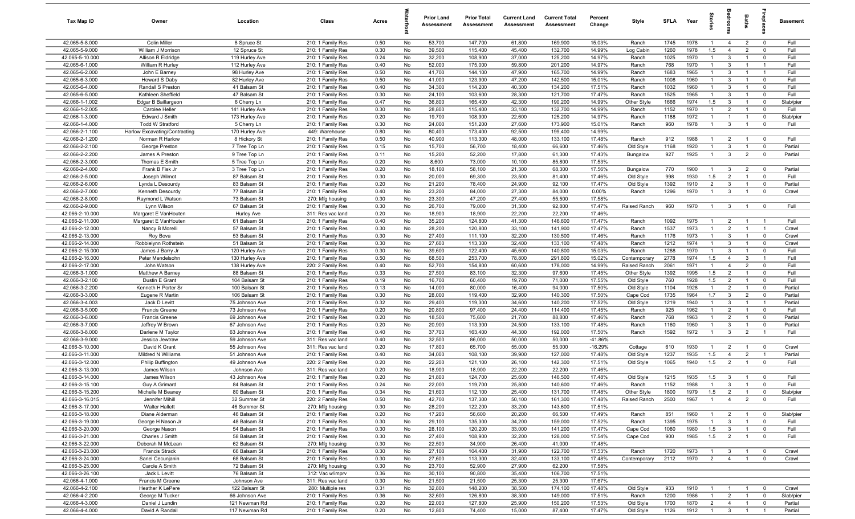| Tax Map ID                         | Owner                                     | Location                          | Class                                  | Acres        |          | <b>Prior Land</b><br>Assessment | <b>Prior Total</b><br>Assessment | <b>Current Land</b><br>Assessment | <b>Current Total</b><br>Assessment | Percent<br>Change | Style          | <b>SFLA</b> | Year         | tories                           | droom                          | <b>Baths</b>                     | -8                            | Basement           |
|------------------------------------|-------------------------------------------|-----------------------------------|----------------------------------------|--------------|----------|---------------------------------|----------------------------------|-----------------------------------|------------------------------------|-------------------|----------------|-------------|--------------|----------------------------------|--------------------------------|----------------------------------|-------------------------------|--------------------|
| 42.065-5-8.000                     | Colin Miller                              | 8 Spruce St                       | 210: 1 Family Res                      | 0.50         | No       | 53,700                          | 147,700                          | 61,800                            | 169,900                            | 15.03%            | Ranch          | 1745        | 1978         | $\overline{1}$                   | $\overline{4}$                 | $\overline{2}$                   | $\mathbf 0$                   | Full               |
| 42.065-5-9.000                     | William J Morrison                        | 12 Spruce St                      | 210: 1 Family Res                      | 0.30         | No       | 39,500                          | 115,400                          | 45,400                            | 132,700                            | 14.99%            | Log Cabin      | 1260        | 1978         | 1.5                              | $\overline{4}$                 | $\overline{2}$                   | $\mathbf 0$                   | Full               |
| 42.065-5-10.000                    | Allison R Eldridge                        | 119 Hurley Ave                    | 210: 1 Family Res                      | 0.24         | No       | 32,200                          | 108,900                          | 37,000                            | 125,200                            | 14.97%            | Ranch          | 1025        | 1970         | $\overline{1}$                   | $\mathbf{3}$                   | $\overline{1}$                   | $\mathbf 0$                   | Full               |
| 42.065-6-1.000                     | William R Hurley                          | 112 Hurley Ave                    | 210: 1 Family Res                      | 0.40         | No       | 52,000                          | 175,000                          | 59,800                            | 201,200                            | 14.97%            | Ranch          | 768         | 1970         | $\overline{1}$                   | 3                              |                                  | $\overline{1}$                | Full               |
| 42.065-6-2.000                     | John E Barney                             | 98 Hurley Ave                     | 210: 1 Family Res                      | 0.50         | No       | 41,700                          | 144,100                          | 47,900                            | 165,700                            | 14.99%            | Ranch          | 1683        | 1965         | -1                               | 3                              |                                  | $\overline{1}$                | Full               |
| 42.065-6-3.000                     | Howard S Daby                             | 82 Hurley Ave                     | 210: 1 Family Res                      | 0.50         | No       | 41,000                          | 123,900                          | 47,200                            | 142,500                            | 15.01%            | Ranch          | 1008        | 1960         | $\mathbf{1}$                     | 3                              |                                  | $\mathbf 0$                   | Full               |
| 42.065-6-4.000                     | Randall S Preston                         | 41 Balsam St                      | 210: 1 Family Res                      | 0.40         | No       | 34,300                          | 114,200                          | 40,300                            | 134,200                            | 17.51%            | Ranch          | 1032        | 1960         | $\mathbf{1}$                     | 3                              | $\overline{1}$                   | $\mathbf 0$                   | Full               |
| 42.065-6-5.000                     | Kathleen Sheffield                        | 47 Balsam St                      | 210: 1 Family Res                      | 0.30         | No       | 24,100                          | 103,600                          | 28,300                            | 121,700                            | 17.47%            | Ranch          | 1525        | 1965         | $\overline{1}$                   | 3                              | $\overline{1}$                   | $\mathbf 0$                   | Full               |
| 42.066-1-1.002                     | Edgar B Baillargeon                       | 6 Cherry Ln                       | 210: 1 Family Res                      | 0.47         | No       | 36,800                          | 165,400                          | 42,300                            | 190,200                            | 14.99%            | Other Style    | 1666        | 1974         | 1.5                              | $\mathbf{3}$                   | $\overline{1}$                   | $\mathbf 0$                   | Slab/pier          |
| 42.066-1-2.005                     | Carolee Heller                            | 141 Hurley Ave                    | 210: 1 Family Res                      | 0.30         | No       | 28,800                          | 115,400                          | 33,100                            | 132,700                            | 14.99%            | Ranch          | 1152        | 1970         | $\overline{1}$<br>$\overline{1}$ | $\overline{2}$                 | $\overline{1}$<br>$\overline{1}$ | $\mathbf{0}$                  | Full               |
| 42.066-1-3.000<br>42.066-1-4.000   | Edward J Smith<br><b>Todd W Stratford</b> | 173 Hurley Ave<br>5 Cherry Ln     | 210: 1 Family Res                      | 0.20<br>0.30 | No<br>No | 19,700<br>24,000                | 108,900<br>151,200               | 22,600<br>27,600                  | 125,200<br>173,900                 | 14.97%<br>15.01%  | Ranch<br>Ranch | 1188<br>960 | 1972<br>1978 | $\overline{1}$                   | $\overline{1}$<br>$\mathbf{3}$ | $\overline{1}$                   | $\mathbf 0$<br>$\mathbf{0}$   | Slab/pier<br>Full  |
| 42.066-2-1.100                     | Harlow Excavating/Contracting             | 170 Hurley Ave                    | 210: 1 Family Res<br>449: Warehouse    | 0.80         | No       | 80,400                          | 173,400                          | 92,500                            | 199,400                            | 14.99%            |                |             |              |                                  |                                |                                  |                               |                    |
| 42.066-2-1.200                     | Norman R Harlow                           | 8 Hickory St                      | 210: 1 Family Res                      | 0.50         | No       | 40,900                          | 113,300                          | 48,000                            | 133,100                            | 17.48%            | Ranch          | 912         | 1988         |                                  | $\overline{2}$                 | $\overline{1}$                   | $\mathbf 0$                   | Full               |
| 42.066-2-2.100                     | George Preston                            | 7 Tree Top Ln                     | 210: 1 Family Res                      | 0.15         | No       | 15,700                          | 56,700                           | 18,400                            | 66,600                             | 17.46%            | Old Style      | 1168        | 1920         | $\mathbf{1}$                     | 3                              | $\overline{1}$                   | $\mathbf 0$                   | Partial            |
| 42.066-2-2.200                     | James A Preston                           | 9 Tree Top Ln                     | 210: 1 Family Res                      | 0.11         | No       | 15,200                          | 52,200                           | 17,800                            | 61,300                             | 17.43%            | Bungalow       | 927         | 1925         | $\overline{1}$                   | $\mathbf{3}$                   | $\overline{2}$                   | $\mathbf 0$                   | Partial            |
| 42.066-2-3.000                     | Thomas E Smith                            | 5 Tree Top Ln                     | 210: 1 Family Res                      | 0.20         | No       | 8,600                           | 73,000                           | 10,100                            | 85,800                             | 17.53%            |                |             |              |                                  |                                |                                  |                               |                    |
| 42.066-2-4.000                     | Frank B Fisk Jr                           | 3 Tree Top Ln                     | 210: 1 Family Res                      | 0.20         | No       | 18,100                          | 58,100                           | 21,300                            | 68,300                             | 17.56%            | Bungalow       | 770         | 1900         |                                  | 3                              | $\overline{2}$                   | $\mathbf 0$                   | Partial            |
| 42.066-2-5.000                     | Joseph Wilmot                             | 87 Balsam St                      | 210: 1 Family Res                      | 0.30         | No       | 20,000                          | 69,300                           | 23,500                            | 81,400                             | 17.46%            | Old Style      | 998         | 1930         | 1.5                              | $\overline{2}$                 | $\overline{1}$                   | $\mathbf 0$                   | Full               |
| 42.066-2-6.000                     | Lynda L Desourdy                          | 83 Balsam St                      | 210: 1 Family Res                      | 0.20         | No       | 21,200                          | 78,400                           | 24,900                            | 92,100                             | 17.47%            | Old Style      | 1392        | 1910         | $\overline{2}$                   | 3                              | $\overline{1}$                   | $\mathbf 0$                   | Partial            |
| 42.066-2-7.000                     | Kenneth Desourdy                          | 77 Balsam St                      | 210: 1 Family Res                      | 0.40         | No       | 23,200                          | 84,000                           | 27,300                            | 84,000                             | 0.00%             | Ranch          | 1296        | 1970         | $\overline{1}$                   | 3                              | $\overline{1}$                   | $\mathbf 0$                   | Crawl              |
| 42.066-2-8.000                     | Raymond L Watson                          | 73 Balsam St                      | 270: Mfg housing                       | 0.30         | No       | 23,300                          | 47,200                           | 27,400                            | 55,500                             | 17.58%            |                |             |              |                                  |                                |                                  |                               |                    |
| 42.066-2-9.000                     | Lynn Wilson                               | 67 Balsam St                      | 210: 1 Family Res                      | 0.30         | No       | 26,700                          | 79,000                           | 31,300                            | 92,800                             | 17.47%            | Raised Ranch   | 960         | 1970         | $\overline{1}$                   | $\mathbf{3}$                   | $\overline{1}$                   | $\mathbf 0$                   | Full               |
| 42.066-2-10.000<br>42.066-2-11.000 | Margaret E VanHouten                      | <b>Hurley Ave</b><br>61 Balsam St | 311: Res vac land                      | 0.20         | No<br>No | 18,900<br>35,200                | 18,900                           | 22,200<br>41,300                  | 22,200<br>146,600                  | 17.46%<br>17.47%  |                | 1092        | 1975         | $\overline{1}$                   | $\overline{2}$                 |                                  | $\overline{1}$                | Full               |
| 42.066-2-12.000                    | Margaret E VanHouten<br>Nancy B Morelli   | 57 Balsam St                      | 210: 1 Family Res<br>210: 1 Family Res | 0.40<br>0.30 | No       | 28,200                          | 124,800<br>120,800               | 33,100                            | 141,900                            | 17.47%            | Ranch<br>Ranch | 1537        | 1973         | $\overline{1}$                   | $\overline{2}$                 | $\overline{1}$<br>$\overline{1}$ | $\overline{1}$                | Crawl              |
| 42.066-2-13.000                    | Roy Bova                                  | 53 Balsam St                      | 210: 1 Family Res                      | 0.30         | No       | 27,400                          | 111,100                          | 32,200                            | 130,500                            | 17.46%            | Ranch          | 1176        | 1973         | $\overline{1}$                   | 3                              | $\overline{1}$                   | $\mathbf 0$                   | Crawl              |
| 42.066-2-14.000                    | Robbielynn Rothstein                      | 51 Balsam St                      | 210: 1 Family Res                      | 0.30         | No       | 27,600                          | 113,300                          | 32,400                            | 133,100                            | 17.48%            | Ranch          | 1212        | 1974         | $\overline{1}$                   | 3                              |                                  | $\mathbf 0$                   | Crawl              |
| 42.066-2-15.000                    | James J Barry Jr                          | 120 Hurley Ave                    | 210: 1 Family Res                      | 0.30         | No       | 39,600                          | 122,400                          | 45,600                            | 140,800                            | 15.03%            | Ranch          | 1288        | 1970         | $\mathbf{1}$                     | 3                              | $\overline{1}$                   | $\mathbf 0$                   | Full               |
| 42.066-2-16.000                    | Peter Mendelsohn                          | 130 Hurley Ave                    | 210: 1 Family Res                      | 0.50         | No       | 68,500                          | 253,700                          | 78,800                            | 291,800                            | 15.02%            | Contemporary   | 2778        | 1974         | 1.5                              | $\overline{4}$                 | -3                               | $\mathbf{1}$                  | Full               |
| 42.066-2-17.000                    | John Watson                               | 138 Hurley Ave                    | 220: 2 Family Res                      | 0.40         | No       | 52,700                          | 154,800                          | 60,600                            | 178,000                            | 14.99%            | Raised Ranch   | 2061        | 1971         | $\overline{1}$                   | $\overline{4}$                 | $\overline{2}$                   | $\mathbf 0$                   | Full               |
| 42.066-3-1.000                     | Matthew A Barney                          | 88 Balsam St                      | 210: 1 Family Res                      | 0.33         | No       | 27,500                          | 83,100                           | 32,300                            | 97,600                             | 17.45%            | Other Style    | 1392        | 1995         | 1.5                              | $\overline{2}$                 | $\overline{1}$                   | $\mathbf 0$                   | Full               |
| 42.066-3-2.100                     | Dustin E Grant                            | 104 Balsam St                     | 210: 1 Family Res                      | 0.19         | No       | 16,700                          | 60,400                           | 19,700                            | 71,000                             | 17.55%            | Old Style      | 760         | 1928         | 1.5                              | $\overline{2}$                 | $\overline{1}$                   | $\mathbf 0$                   | Full               |
| 42.066-3-2.200                     | Kenneth H Porter Sr                       | 100 Balsam St                     | 210: 1 Family Res                      | 0.13         | No       | 14,000                          | 80,000                           | 16,400                            | 94,000                             | 17.50%            | Old Style      | 1104        | 1928         | $\overline{1}$                   | $\overline{2}$                 | $\overline{1}$                   | $\mathbf 0$                   | Partial            |
| 42.066-3-3.000                     | Eugene R Martin                           | 106 Balsam St                     | 210: 1 Family Res                      | 0.30         | No       | 28,000                          | 119,400                          | 32,900                            | 140,300                            | 17.50%            | Cape Cod       | 1735        | 1964         | 1.7                              | $\mathbf{3}$                   | $\overline{2}$                   | $\mathbf 0$                   | Partial            |
| 42.066-3-4.003                     | Jack D Levitt                             | 75 Johnson Ave                    | 210: 1 Family Res                      | 0.32         | No       | 29,400                          | 119,300                          | 34,600                            | 140,200                            | 17.52%            | Old Style      | 1219        | 1940         | $\mathbf{1}$                     | 3                              | $\overline{1}$                   | $\overline{1}$                | Partial            |
| 42.066-3-5.000                     | <b>Francis Greene</b>                     | 73 Johnson Ave                    | 210: 1 Family Res                      | 0.20         | No       | 20,800                          | 97,400                           | 24,400                            | 114,400                            | 17.45%            | Ranch          | 925         | 1962         | $\overline{1}$                   | $\overline{2}$                 | $\overline{1}$                   | $\mathbf 0$                   | Full               |
| 42.066-3-6.000<br>42.066-3-7.000   | <b>Francis Greene</b><br>Jeffrey W Brown  | 69 Johnson Ave<br>67 Johnson Ave  | 210: 1 Family Res<br>210: 1 Family Res | 0.20<br>0.20 | No<br>No | 18,500<br>20,900                | 75,600<br>113,300                | 21,700<br>24,500                  | 88,800<br>133,100                  | 17.46%<br>17.48%  | Ranch<br>Ranch | 768<br>1160 | 1963<br>1960 | $\overline{1}$<br>$\mathbf{1}$   | 2<br>3                         | $\overline{1}$<br>-1             | $\mathbf 0$<br>$\mathbf 0$    | Partial<br>Partial |
| 42.066-3-8.000                     | Darlene M Taylor                          | 63 Johnson Ave                    | 210: 1 Family Res                      | 0.40         | No       | 37,700                          | 163,400                          | 44,300                            | 192,000                            | 17.50%            | Ranch          | 1592        | 1972         | $\overline{1}$                   | $\mathbf{3}$                   | $\overline{2}$                   | $\overline{1}$                | Full               |
| 42.066-3-9.000                     | Jessica Jewtraw                           | 59 Johnson Ave                    | 311: Res vac land                      | 0.40         | No       | 32,500                          | 86,000                           | 50,000                            | 50,000                             | -41.86%           |                |             |              |                                  |                                |                                  |                               |                    |
| 42.066-3-10.000                    | David K Grant                             | 55 Johnson Ave                    | 311: Res vac land                      | 0.20         | No       | 17,800                          | 65,700                           | 55,000                            | 55,000                             | $-16.29%$         | Cottage        | 610         | 1930         |                                  | $\overline{2}$                 |                                  | $\mathbf 0$                   | Crawl              |
| 42.066-3-11.000                    | Mildred N Williams                        | 51 Johnson Ave                    | 210: 1 Family Res                      | 0.40         | No       | 34,000                          | 108,100                          | 39,900                            | 127,000                            | 17.48%            | Old Style      | 1237        | 1935         | 1.5                              | $\overline{4}$                 | $\overline{2}$                   | $\overline{1}$                | Partial            |
| 42.066-3-12.000                    | <b>Philip Buffington</b>                  | 49 Johnson Ave                    | 220: 2 Family Res                      | 0.20         | No       | 22,200                          | 121,100                          | 26,100                            | 142,300                            | 17.51%            | Old Style      | 1065        | 1940         | 1.5                              | $\overline{2}$                 | $\overline{1}$                   | $\mathbf 0$                   | Full               |
| 42.066-3-13.000                    | James Wilson                              | Johnson Ave                       | 311: Res vac land                      | 0.20         | No       | 18,900                          | 18,900                           | 22,200                            | 22,200                             | 17.46%            |                |             |              |                                  |                                |                                  |                               |                    |
| 42.066-3-14.000                    | James Wilson                              | 43 Johnson Ave                    | 210: 1 Family Res                      | 0.20         | No       | 21,800                          | 124,700                          | 25,600                            | 146,500                            | 17.48%            | Old Style      | 1215        | 1935         | 1.5                              | $\mathbf{3}$                   | $\overline{1}$                   | $\mathbf 0$                   | Full               |
| 42.066-3-15.100                    | Guy A Grimard                             | 84 Balsam St                      | 210: 1 Family Res                      | 0.24         | No       | 22,000                          | 119,700                          | 25,800                            | 140,600                            | 17.46%            | Ranch          | 1152        | 1988         | $\overline{1}$                   | $\mathcal{R}$                  | $\overline{1}$                   |                               | <b>Full</b>        |
| 42.066-3-15.200                    | Michelle M Beaney                         | 80 Balsam St                      | 210: 1 Family Res                      | 0.34         | No       | 21,600                          | 112,100                          | 25,400                            | 131,700                            | 17.48%            | Other Style    | 1800        | 1979         | 1.5                              | $\overline{2}$                 | $\overline{1}$                   | $\mathbf 0$                   | Slab/pier          |
| 42.066-3-16.015                    | Jennifer Mihill                           | 32 Summer St                      | 220: 2 Family Res                      | 0.50         | No       | 42,700                          | 137,300                          | 50,100                            | 161,300                            | 17.48%            | Raised Ranch   | 2500        | 1967         | $\mathbf{1}$                     | $\overline{4}$                 | $\overline{2}$                   | $\mathbf{0}$                  | Full               |
| 42.066-3-17.000                    | <b>Walter Hallett</b>                     | 46 Summer St                      | 270: Mfg housing                       | 0.30         | No       | 28,200                          | 122,200                          | 33,200                            | 143,600                            | 17.51%            |                |             |              |                                  |                                |                                  |                               |                    |
| 42.066-3-18.000<br>42.066-3-19.000 | Diane Alderman<br>George H Nason Jr       | 46 Balsam St<br>48 Balsam St      | 210: 1 Family Res<br>210: 1 Family Res | 0.20<br>0.30 | No<br>No | 17,200<br>29,100                | 56,600<br>135,300                | 20,200<br>34,200                  | 66,500<br>159,000                  | 17.49%<br>17.52%  | Ranch<br>Ranch | 851<br>1395 | 1960<br>1975 | $\mathbf{1}$<br>$\mathbf{1}$     | $\overline{2}$<br>$\mathbf{3}$ | $\overline{1}$<br>$\overline{1}$ | $\overline{0}$<br>$\mathbf 0$ | Slab/pier<br>Full  |
| 42.066-3-20.000                    | George Nason                              | 54 Balsam St                      | 210: 1 Family Res                      | 0.30         | No       | 28,100                          | 120,200                          | 33,000                            | 141,200                            | 17.47%            | Cape Cod       | 1080        | 1980         | 1.5                              | $\mathbf{3}$                   | $\overline{1}$                   | $\mathbf{0}$                  | Full               |
| 42.066-3-21.000                    | Charles J Smith                           | 58 Balsam St                      | 210: 1 Family Res                      | 0.30         | No       | 27,400                          | 108,900                          | 32,200                            | 128,000                            | 17.54%            | Cape Cod       | 900         | 1985         | 1.5                              | $\overline{2}$                 |                                  | $\mathbf 0$                   | Full               |
| 42.066-3-22.000                    | Deborah M McLean                          | 62 Balsam St                      | 270: Mfg housing                       | 0.30         | No       | 22,500                          | 34,900                           | 26,400                            | 41,000                             | 17.48%            |                |             |              |                                  |                                |                                  |                               |                    |
| 42.066-3-23.000                    | <b>Francis Strack</b>                     | 66 Balsam St                      | 210: 1 Family Res                      | 0.30         | No       | 27,100                          | 104,400                          | 31,900                            | 122,700                            | 17.53%            | Ranch          | 1720        | 1973         |                                  | $\mathbf{3}$                   |                                  | $\mathbf 0$                   | Crawl              |
| 42.066-3-24.000                    | Sanel Cecunjanin                          | 68 Balsam St                      | 210: 1 Family Res                      | 0.30         | No       | 27,600                          | 113,300                          | 32,400                            | 133,100                            | 17.48%            | Contemporary   | 2112        | 1970         | $\overline{2}$                   | $\overline{4}$                 | $\overline{1}$                   | $\overline{0}$                | Crawl              |
| 42.066-3-25.000                    | Carole A Smith                            | 72 Balsam St                      | 270: Mfg housing                       | 0.30         | No       | 23,700                          | 52,900                           | 27,900                            | 62,200                             | 17.58%            |                |             |              |                                  |                                |                                  |                               |                    |
| 42.066-3-26.100                    | Jack L Levitt                             | 76 Balsam St                      | 312: Vac w/imprv                       | 0.36         | No       | 30,100                          | 90,800                           | 35,400                            | 106,700                            | 17.51%            |                |             |              |                                  |                                |                                  |                               |                    |
| 42.066-4-1.000                     | Francis M Greene                          | Johnson Ave                       | 311: Res vac land                      | 0.30         | No       | 21,500                          | 21,500                           | 25,300                            | 25,300                             | 17.67%            |                |             |              |                                  |                                |                                  |                               |                    |
| 42.066-4-2.100                     | Heather K LePere                          | 122 Balsam St                     | 280: Multiple res                      | 0.31         | No       | 32,800                          | 148,200                          | 38,500                            | 174,100                            | 17.48%            | Old Style      | 933         | 1910         | $\mathbf{1}$                     | $\overline{1}$                 | $\overline{1}$                   | $\mathbf 0$                   | Crawl              |
| 42.066-4-2.200                     | George M Tucker                           | 66 Johnson Ave                    | 210: 1 Family Res                      | 0.36         | No       | 32,600                          | 126,800                          | 38,300                            | 149,000                            | 17.51%            | Ranch          | 1200        | 1986         | $\overline{1}$                   | $\overline{2}$                 | $\overline{1}$                   | $\overline{0}$                | Slab/pier          |
| 42.066-4-3.000                     | Daniel J Lundin                           | 121 Newman Rd                     | 210: 1 Family Res                      | 0.20         | No       | 22,000                          | 127,800                          | 25,900                            | 150,200                            | 17.53%            | Old Style      | 1700        | 1870         | $\overline{2}$                   | $\overline{4}$                 | $\overline{1}$                   | $\mathbf 0$                   | Partial            |
| 42.066-4-4.000                     | David A Randall                           | 117 Newman Rd                     | 210: 1 Family Res                      | 0.20         | No       | 12,800                          | 74,400                           | 15,000                            | 87,400                             | 17.47%            | Old Style      | 1126        | 1912         | $\overline{1}$                   | $\overline{\mathbf{3}}$        | $\overline{1}$                   | $\overline{1}$                | Partial            |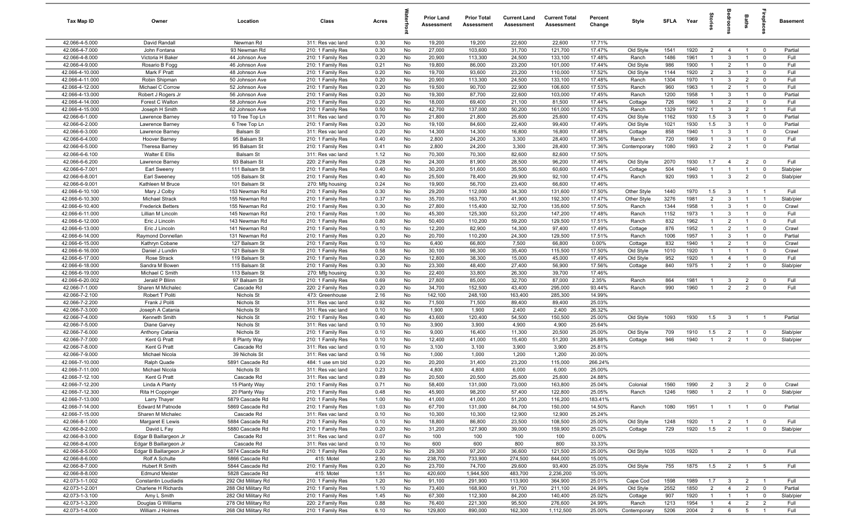| Tax Map ID                         | Owner                                   | Location                               | Class                                  | Acres        |          | <b>Prior Land</b><br>Assessment | <b>Prior Total</b><br>Assessment | <b>Current Land</b><br>Assessment | <b>Current Total</b><br>Assessment | Percent<br>Change | Style          | SFLA        | Year         | ğ                                | droom                          | Baths                            | <b>G</b> bla              | Basement        |
|------------------------------------|-----------------------------------------|----------------------------------------|----------------------------------------|--------------|----------|---------------------------------|----------------------------------|-----------------------------------|------------------------------------|-------------------|----------------|-------------|--------------|----------------------------------|--------------------------------|----------------------------------|---------------------------|-----------------|
| 42.066-4-5.000                     | David Randall                           | Newman Rd                              | 311: Res vac land                      | 0.30         | No       | 19,200                          | 19,200                           | 22,600                            | 22,600                             | 17.71%            |                |             |              |                                  |                                |                                  |                           |                 |
| 42.066-4-7.000                     | John Fontana                            | 93 Newman Rd                           | 210: 1 Family Res                      | 0.30         | No       | 27,000                          | 103,600                          | 31,700                            | 121,700                            | 17.47%            | Old Style      | 1541        | 1920         | $\overline{2}$                   | $\overline{4}$                 | $\overline{1}$                   | $\mathbf 0$               | Partial         |
| 42.066-4-8.000                     | Victoria H Baker                        | 44 Johnson Ave                         | 210: 1 Family Res                      | 0.20         | No       | 20,900                          | 113,300                          | 24,500                            | 133,100                            | 17.48%            | Ranch          | 1486        | 1961         | -1                               | $\mathbf{3}$                   |                                  | $^{\circ}$                | Full            |
| 42.066-4-9.000                     | Rosario B Fogg                          | 46 Johnson Ave                         | 210: 1 Family Res                      | 0.21         | No       | 19,800                          | 86,000                           | 23,200                            | 101,000                            | 17.44%            | Old Style      | 986         | 1900         | $\mathbf{1}$                     | $\overline{2}$                 |                                  | $\Omega$                  | Full            |
| 42.066-4-10.000                    | Mark F Pratt                            | 48 Johnson Ave                         | 210: 1 Family Res                      | 0.20         | No       | 19,700                          | 93,600                           | 23,200                            | 110,000                            | 17.52%            | Old Style      | 1144        | 1920         | $\overline{2}$                   | $\mathbf{3}$                   | $\overline{1}$                   | $^{\circ}$                | Full            |
| 42.066-4-11.000                    | Robin Shipman                           | 50 Johnson Ave                         | 210: 1 Family Res                      | 0.20         | No       | 20,900                          | 113,300                          | 24,500                            | 133,100                            | 17.48%            | Ranch          | 1304        | 1970         | $\mathbf{1}$<br>$\overline{1}$   | $\mathbf{3}$                   | $\overline{2}$<br>$\overline{1}$ | $\mathbf 0$               | Full            |
| 42.066-4-12.000<br>42.066-4-13.000 | Michael C Corrow<br>Robert J Rogers Jr  | 52 Johnson Ave<br>56 Johnson Ave       | 210: 1 Family Res<br>210: 1 Family Res | 0.20<br>0.20 | No<br>No | 19,500<br>19,300                | 90,700<br>87,700                 | 22,900<br>22,600                  | 106,600<br>103,000                 | 17.53%<br>17.45%  | Ranch<br>Ranch | 960<br>1200 | 1963<br>1958 | $\overline{1}$                   | $\overline{2}$<br>$\mathbf{3}$ | $\overline{1}$                   | $^{\circ}$<br>$\mathbf 0$ | Full<br>Partial |
| 42.066-4-14.000                    | Forest C Walton                         | 58 Johnson Ave                         | 210: 1 Family Res                      | 0.20         | No       | 18,000                          | 69,400                           | 21,100                            | 81,500                             | 17.44%            | Cottage        | 726         | 1960         | $\overline{1}$                   | $\overline{2}$                 | $\overline{1}$                   | $\mathbf 0$               | Full            |
| 42.066-4-15.000                    | Joseph H Smith                          | 62 Johnson Ave                         | 210: 1 Family Res                      | 0.50         | No       | 42,700                          | 137,000                          | 50,200                            | 161,000                            | 17.52%            | Ranch          | 1329        | 1972         | $\overline{1}$                   | $\mathbf{3}$                   | $\overline{2}$                   | $\overline{1}$            | Full            |
| 42.066-6-1.000                     | Lawrence Barney                         | 10 Tree Top Ln                         | 311: Res vac land                      | 0.70         | No       | 21,800                          | 21,800                           | 25,600                            | 25,600                             | 17.43%            | Old Style      | 1162        | 1930         | 1.5                              | $\mathbf{3}$                   | $\overline{1}$                   | $^{\circ}$                | Partial         |
| 42.066-6-2.000                     | Lawrence Barney                         | 6 Tree Top Ln                          | 210: 1 Family Res                      | 0.20         | No       | 19,100                          | 84,600                           | 22,400                            | 99,400                             | 17.49%            | Old Style      | 1021        | 1930         | 1.5                              | $\mathbf{3}$                   | $\overline{1}$                   | $\overline{0}$            | Partial         |
| 42.066-6-3.000                     | Lawrence Barney                         | Balsam St                              | 311: Res vac land                      | 0.20         | No       | 14,300                          | 14,300                           | 16,800                            | 16,800                             | 17.48%            | Cottage        | 858         | 1940         | $\overline{1}$                   | $\mathbf{3}$                   | $\overline{1}$                   | $\mathbf 0$               | Crawl           |
| 42.066-6-4.000                     | Hoover Barney                           | 95 Balsam St                           | 210: 1 Family Res                      | 0.40         | No       | 2,800                           | 24,200                           | 3,300                             | 28,400                             | 17.36%            | Ranch          | 720         | 1969         | $\mathbf{1}$                     | $\mathbf{3}$                   | $\overline{1}$                   | $\mathbf 0$               | Full            |
| 42.066-6-5.000                     | Theresa Barney                          | 95 Balsam St                           | 210: 1 Family Res                      | 0.41         | No       | 2,800                           | 24,200                           | 3,300                             | 28,400                             | 17.36%            | Contemporary   | 1080        | 1993         | $\overline{2}$                   | $\overline{2}$                 | $\overline{1}$                   | $\mathbf 0$               | Partial         |
| 42.066-6-6.100                     | Walter E Ellis                          | Balsam St                              | 311: Res vac land                      | 1.12         | No       | 70,300                          | 70,300                           | 82,600                            | 82,600                             | 17.50%            |                |             |              |                                  |                                |                                  |                           |                 |
| 42.066-6-6.200                     | Lawrence Barney                         | 93 Balsam St                           | 220: 2 Family Res                      | 0.28         | No       | 24,300                          | 81,900                           | 28,500                            | 96,200                             | 17.46%            | Old Style      | 2070        | 1930         | 1.7                              | $\overline{4}$                 | $\overline{2}$                   | $^{\circ}$                | Full            |
| 42.066-6-7.001                     | Earl Sweeny                             | 111 Balsam St                          | 210: 1 Family Res                      | 0.40         | No       | 30,200                          | 51,600                           | 35,500                            | 60,600                             | 17.44%            | Cottage        | 504         | 1940         | -1                               | $\overline{1}$                 | $\overline{1}$                   | $^{\circ}$                | Slab/pier       |
| 42.066-6-8.001                     | Earl Sweeney                            | 105 Balsam St                          | 210: 1 Family Res                      | 0.40         | No       | 25,500                          | 78,400                           | 29,900                            | 92,100                             | 17.47%            | Ranch          | 920         | 1993         | $\mathbf{1}$                     | $\mathbf{3}$                   | $\overline{2}$                   | $\Omega$                  | Slab/pier       |
| 42.066-6-9.001<br>42.066-6-10.100  | Kathleen M Bruce<br>Mary J Colby        | 101 Balsam St<br>153 Newman Rd         | 270: Mfg housing                       | 0.24<br>0.30 | No<br>No | 19,900<br>29,200                | 56,700<br>112,000                | 23,400<br>34,300                  | 66,600<br>131,600                  | 17.46%<br>17.50%  | Other Style    | 1440        | 1970         | 1.5                              | $\mathbf{3}$                   | $\overline{1}$                   | $\overline{1}$            | Full            |
| 42.066-6-10.300                    | Michael Strack                          | 155 Newman Rd                          | 210: 1 Family Res<br>210: 1 Family Res | 0.37         | No       | 35,700                          | 163,700                          | 41,900                            | 192,300                            | 17.47%            | Other Style    | 3276        | 1981         | $\overline{2}$                   | $\mathbf{3}$                   | $\overline{1}$                   | $\overline{1}$            | Slab/pier       |
| 42.066-6-10.400                    | <b>Frederick Betters</b>                | 155 Newman Rd                          | 210: 1 Family Res                      | 0.30         | No       | 27,800                          | 115,400                          | 32,700                            | 135,600                            | 17.50%            | Ranch          | 1344        | 1958         | $\mathbf{1}$                     | $\mathbf{3}$                   | $\overline{1}$                   | $\mathbf 0$               | Crawl           |
| 42.066-6-11.000                    | Lillian M Lincoln                       | 145 Newman Rd                          | 210: 1 Family Res                      | 1.00         | No       | 45,300                          | 125,300                          | 53,200                            | 147,200                            | 17.48%            | Ranch          | 1152        | 1973         | $\overline{1}$                   | $\mathbf{3}$                   | $\overline{1}$                   | $^{\circ}$                | Full            |
| 42.066-6-12.000                    | Eric J Lincoln                          | 143 Newman Rd                          | 210: 1 Family Res                      | 0.80         | No       | 50,400                          | 110,200                          | 59,200                            | 129,500                            | 17.51%            | Ranch          | 832         | 1962         | $\overline{1}$                   | $\overline{2}$                 | $\overline{1}$                   | $\mathbf 0$               | Full            |
| 42.066-6-13.000                    | Eric J Lincoln                          | 141 Newman Rd                          | 210: 1 Family Res                      | 0.10         | No       | 12,200                          | 82,900                           | 14,300                            | 97,400                             | 17.49%            | Cottage        | 876         | 1952         | $\overline{1}$                   | $\overline{2}$                 | $\overline{1}$                   | $^{\circ}$                | Crawl           |
| 42.066-6-14.000                    | Raymond Donnellan                       | 131 Newman Rd                          | 210: 1 Family Res                      | 0.20         | No       | 20,700                          | 110,200                          | 24,300                            | 129,500                            | 17.51%            | Ranch          | 1006        | 1957         | $\overline{1}$                   | $\mathbf{3}$                   | $\overline{1}$                   | $\mathbf 0$               | Partial         |
| 42.066-6-15.000                    | Kathryn Cobane                          | 127 Balsam St                          | 210: 1 Family Res                      | 0.10         | No       | 6,400                           | 66,800                           | 7,500                             | 66,800                             | 0.00%             | Cottage        | 832         | 1940         | $\mathbf{1}$                     | $\overline{2}$                 |                                  | $\mathbf 0$               | Crawl           |
| 42.066-6-16.000                    | Daniel J Lundin                         | 121 Balsam St                          | 210: 1 Family Res                      | 0.58         | No       | 30,100                          | 98,300                           | 35,400                            | 115,500                            | 17.50%            | Old Style      | 1010        | 1920         | $\mathbf{1}$                     | $\overline{1}$                 | $\overline{1}$                   | $\mathbf 0$               | Crawl           |
| 42.066-6-17.000                    | Rose Strack                             | 119 Balsam St                          | 210: 1 Family Res                      | 0.20         | No       | 12,800                          | 38,300                           | 15,000                            | 45,000                             | 17.49%            | Old Style      | 952         | 1920         | $\mathbf{1}$                     | $\overline{4}$                 |                                  | $^{\circ}$                | Full            |
| 42.066-6-18.000                    | Sandra M Bowen                          | 115 Balsam St                          | 210: 1 Family Res                      | 0.30         | No       | 23,300                          | 48,400                           | 27,400                            | 56,900                             | 17.56%            | Cottage        | 840         | 1975         | 1                                | $\overline{2}$                 |                                  | $\mathbf 0$               | Slab/pier       |
| 42.066-6-19.000                    | Michael C Smith                         | 113 Balsam St                          | 270: Mfg housing                       | 0.30         | No       | 22,400                          | 33,800                           | 26,300                            | 39,700                             | 17.46%            |                |             |              |                                  |                                |                                  |                           |                 |
| 42.066-6-20.002<br>42.066-7-1.000  | Jerald P Blinn                          | 97 Balsam St                           | 210: 1 Family Res                      | 0.69         | No<br>No | 27,800<br>34,700                | 85,000                           | 32,700<br>43,400                  | 87,000                             | 2.35%<br>93.44%   | Ranch          | 864<br>990  | 1981<br>1960 | $\overline{1}$<br>$\overline{1}$ | $\mathbf{3}$<br>$\overline{2}$ | $\overline{2}$<br>$\overline{2}$ | $\mathbf 0$               | Full<br>Full    |
| 42.066-7-2.100                     | Sharen M Michalec<br>Robert T Politi    | Cascade Rd<br>Nichols St               | 220: 2 Family Res<br>473: Greenhouse   | 0.20<br>2.16 | No       | 142,100                         | 152,500<br>248,100               | 163,400                           | 295,000<br>285,300                 | 14.99%            | Ranch          |             |              |                                  |                                |                                  | $\mathbf 0$               |                 |
| 42.066-7-2.200                     | Frank J Politi                          | Nichols St                             | 311: Res vac land                      | 0.92         | No       | 71,500                          | 71,500                           | 89,400                            | 89,400                             | 25.03%            |                |             |              |                                  |                                |                                  |                           |                 |
| 42.066-7-3.000                     | Joseph A Catania                        | Nichols St                             | 311: Res vac land                      | 0.10         | No       | 1,900                           | 1,900                            | 2,400                             | 2,400                              | 26.32%            |                |             |              |                                  |                                |                                  |                           |                 |
| 42.066-7-4.000                     | Kenneth Smith                           | Nichols St                             | 210: 1 Family Res                      | 0.40         | No       | 43,600                          | 120,400                          | 54,500                            | 150,500                            | 25.00%            | Old Style      | 1093        | 1930         | 1.5                              | $\overline{3}$                 | $\overline{1}$                   | $\overline{1}$            | Partial         |
| 42.066-7-5.000                     | Diane Garvey                            | Nichols St                             | 311: Res vac land                      | 0.10         | No       | 3,900                           | 3,900                            | 4,900                             | 4,900                              | 25.64%            |                |             |              |                                  |                                |                                  |                           |                 |
| 42.066-7-6.000                     | Anthony Catania                         | Nichols St                             | 210: 1 Family Res                      | 0.10         | No       | 9,000                           | 16,400                           | 11,300                            | 20,500                             | 25.00%            | Old Style      | 709         | 1910         | 1.5                              | $\overline{2}$                 | $\overline{1}$                   | $\mathbf 0$               | Slab/pier       |
| 42.066-7-7.000                     | Kent G Pratt                            | 8 Planty Way                           | 210: 1 Family Res                      | 0.10         | No       | 12,400                          | 41,000                           | 15,400                            | 51,200                             | 24.88%            | Cottage        | 946         | 1940         | $\mathbf{1}$                     | $\overline{2}$                 |                                  | $\mathbf 0$               | Slab/pier       |
| 42.066-7-8.000                     | Kent G Pratt                            | Cascade Rd                             | 311: Res vac land                      | 0.10         | No       | 3,100                           | 3,100                            | 3,900                             | 3,900                              | 25.81%            |                |             |              |                                  |                                |                                  |                           |                 |
| 42.066-7-9.000                     | Michael Nicola                          | 39 Nichols St                          | 311: Res vac land                      | 0.16         | No       | 1,000                           | 1,000                            | 1,200                             | 1,200                              | 20.00%            |                |             |              |                                  |                                |                                  |                           |                 |
| 42.066-7-10.000                    | Ralph Quade                             | 5891 Cascade Rd                        | 484: 1 use sm bld                      | 0.20         | No       | 20,200                          | 31,400                           | 23,200                            | 115,000                            | 266.24%           |                |             |              |                                  |                                |                                  |                           |                 |
| 42.066-7-11.000                    | Michael Nicola                          | Nichols St                             | 311: Res vac land                      | 0.23         | No       | 4,800                           | 4,800                            | 6,000                             | 6,000                              | 25.00%            |                |             |              |                                  |                                |                                  |                           |                 |
| 42.066-7-12.100<br>42.066-7-12.200 | Kent G Pratt<br>Linda A Planty          | Cascade Rd<br>15 Planty Way            | 311: Res vac land<br>210: 1 Family Res | 0.89<br>0.71 | No<br>No | 20,500<br>58,400                | 20,500<br>131,000                | 25,600<br>73,000                  | 25,600<br>163,800                  | 24.88%<br>25.04%  | Colonial       | 1560        | 1990         | $\overline{2}$                   | $\mathbf{3}$                   | $\overline{2}$                   |                           | Crawl           |
| 42.066-7-12.300                    | Rita H Coppinger                        | 20 Planty Way                          | 210: 1 Family Res                      | 0.48         | No       | 45,900                          | 98,200                           | 57,400                            | 122,800                            | 25.05%            | Ranch          | 1246        | 1980         | $\overline{1}$                   | 2                              | $\overline{1}$                   | $\overline{0}$            | Slab/pier       |
| 42.066-7-13.000                    | Larry Thayer                            | 5879 Cascade Rd                        | 210: 1 Family Res                      | 1.00         | No       | 41,000                          | 41,000                           | 51,200                            | 116,200                            | 183.41%           |                |             |              |                                  |                                |                                  |                           |                 |
| 42.066-7-14.000                    | Edward M Patnode                        | 5869 Cascade Rd                        | 210: 1 Family Res                      | 1.03         | No       | 67,700                          | 131,000                          | 84,700                            | 150,000                            | 14.50%            | Ranch          | 1080        | 1951         | $\overline{1}$                   | $\overline{1}$                 | $\overline{1}$                   | $^{\circ}$                | Partial         |
| 42.066-7-15.000                    | Sharen M Michalec                       | Cascade Rd                             | 311: Res vac land                      | 0.10         | No       | 10,300                          | 10,300                           | 12,900                            | 12,900                             | 25.24%            |                |             |              |                                  |                                |                                  |                           |                 |
| 42.066-8-1.000                     | Margaret E Lewis                        | 5884 Cascade Rd                        | 210: 1 Family Res                      | 0.10         | No       | 18,800                          | 86,800                           | 23,500                            | 108,500                            | 25.00%            | Old Style      | 1248        | 1920         | $\overline{1}$                   | $\overline{2}$                 | $\overline{1}$                   | $\overline{\mathbf{0}}$   | Full            |
| 42.066-8-2.000                     | David L Fay                             | 5880 Cascade Rd                        | 210: 1 Family Res                      | 0.20         | No       | 31,200                          | 127,900                          | 39,000                            | 159,900                            | 25.02%            | Cottage        | 729         | 1920         | 1.5                              | $\overline{2}$                 | $\overline{1}$                   | $\mathbf 0$               | Slab/pier       |
| 42.066-8-3.000                     | Edgar B Baillargeon Jr                  | Cascade Rd                             | 311: Res vac land                      | 0.07         | No       | 100                             | 100                              | 100                               | 100                                | 0.00%             |                |             |              |                                  |                                |                                  |                           |                 |
| 42.066-8-4.000                     | Edgar B Baillargeon Jr                  | Cascade Rd                             | 311: Res vac land                      | 0.10         | No       | 600                             | 600                              | 800                               | 800                                | 33.33%            |                |             |              |                                  |                                |                                  |                           |                 |
| 42.066-8-5.000                     | Edgar B Baillargeon Jr                  | 5874 Cascade Rd                        | 210: 1 Family Res                      | 0.20         | No       | 29,300                          | 97,200                           | 36,600                            | 121,500                            | 25.00%            | Old Style      | 1035        | 1920         | $\overline{1}$                   | $\overline{2}$                 | $\overline{1}$                   | $\overline{0}$            | Full            |
| 42.066-8-6.000                     | Rolf A Schulte                          | 5866 Cascade Rd                        | 415: Motel                             | 2.50         | No       | 238,700                         | 733,900                          | 274,500                           | 844,000                            | 15.00%            |                |             |              |                                  |                                |                                  |                           |                 |
| 42.066-8-7.000<br>42.066-8-8.000   | Hubert R Smith<br><b>Edmund Meister</b> | 5844 Cascade Rd                        | 210: 1 Family Res<br>415: Motel        | 0.20         | No<br>No | 23,700<br>420,600               | 74,700<br>1,944,500              | 29,600<br>483,700                 | 93,400<br>2,236,200                | 25.03%<br>15.00%  | Old Style      | 755         | 1875         | 1.5                              | $\overline{2}$                 | $\overline{1}$                   | 5                         | Full            |
| 42.073-1-1.002                     | Constantin Loudiadis                    | 5828 Cascade Rd<br>292 Old Military Rd | 210: 1 Family Res                      | 1.51<br>1.20 | No       | 91,100                          | 291,900                          | 113,900                           | 364,900                            | 25.01%            | Cape Cod       | 1598        | 1989         | 1.7                              | $\mathbf{3}$                   | $\overline{2}$                   | $\overline{1}$            | Full            |
| 42.073-1-2.001                     | Charlene H Richards                     | 288 Old Military Rd                    | 210: 1 Family Res                      | 1.10         | No       | 73,400                          | 168,900                          | 91,700                            | 211,100                            | 24.99%            | Old Style      | 2552        | 1850         | $\overline{2}$                   | $\overline{4}$                 | $\overline{2}$                   | $\mathbf 0$               | Partial         |
| 42.073-1-3.100                     | Amy L Smith                             | 282 Old Military Rd                    | 210: 1 Family Res                      | 1.45         | No       | 67,300                          | 112,300                          | 84,200                            | 140,400                            | 25.02%            | Cottage        | 907         | 1920         | $\mathbf{1}$                     | $\overline{1}$                 | $\overline{1}$                   | $\overline{\mathbf{0}}$   | Slab/pier       |
| 42.073-1-3.200                     | Douglas G Williams                      | 278 Old Military Rd                    | 220: 2 Family Res                      | 0.88         | No       | 76,400                          | 221,300                          | 95,500                            | 276,600                            | 24.99%            | Ranch          | 1213        | 1954         | $\overline{1}$                   | $\overline{4}$                 | $\overline{2}$                   | $\overline{2}$            | Full            |
| 42.073-1-4.000                     | William J Holmes                        | 268 Old Military Rd                    | 210: 1 Family Res                      | 6.10         | No       | 129,800                         | 890,000                          | 162,300                           | 1,112,500                          | 25.00%            | Contemporary   | 5206        | 2004         | $\overline{2}$                   | 6                              | 5                                |                           | Full            |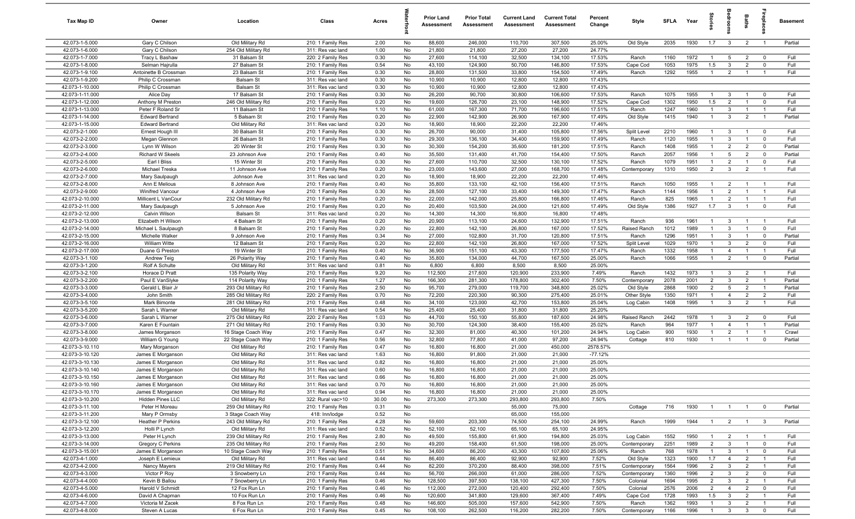| Tax Map ID                         | Owner                                      | Location                                 | Class                                  | Acres         |          | <b>Prior Land</b><br>Assessment | <b>Prior Total</b><br>Assessment | <b>Current Land</b><br>Assessment | <b>Current Total</b><br>Assessment | Percent<br>Change | Style                        | SFLA         | Year         | ğ                                |                                  | Baths                            | 률                                | <b>Basement</b>  |
|------------------------------------|--------------------------------------------|------------------------------------------|----------------------------------------|---------------|----------|---------------------------------|----------------------------------|-----------------------------------|------------------------------------|-------------------|------------------------------|--------------|--------------|----------------------------------|----------------------------------|----------------------------------|----------------------------------|------------------|
| 42.073-1-5.000                     | Gary C Chilson                             | Old Military Rd                          | 210: 1 Family Res                      | 2.00          | No       | 88,600                          | 246,000                          | 110,700                           | 307,500                            | 25.00%            | Old Style                    | 2035         | 1930         | 1.7                              | $\overline{3}$                   | $\overline{2}$                   | $\overline{1}$                   | Partial          |
| 42.073-1-6.000<br>42.073-1-7.000   | Gary C Chilson                             | 254 Old Military Rd                      | 311: Res vac land                      | 1.00<br>0.30  | No       | 21,800<br>27,600                | 21,800                           | 27,200<br>32,500                  | 27,200                             | 24.77%<br>17.53%  |                              | 1160         | 1972         | $\mathbf{1}$                     |                                  | $\overline{2}$                   | $^{\circ}$                       | Full             |
| 42.073-1-8.000                     | Tracy L Bashaw<br>Selman Hajrulla          | 31 Balsam St<br>27 Balsam St             | 220: 2 Family Res<br>210: 1 Family Res | 0.54          | No<br>No | 43,100                          | 114,100<br>124,900               | 50,700                            | 134,100<br>146,800                 | 17.53%            | Ranch<br>Cape Cod            | 1053         | 1975         | 1.5                              | 5<br>$\mathbf{3}$                | $\overline{2}$                   | $\mathbf 0$                      | Full             |
| 42.073-1-9.100                     | Antoinette B Crossman                      | 23 Balsam St                             | 210: 1 Family Res                      | 0.30          | No       | 28,800                          | 131,500                          | 33,800                            | 154,500                            | 17.49%            | Ranch                        | 1292         | 1955         | $\mathbf{1}$                     | $\overline{2}$                   | $\overline{1}$                   | $\overline{1}$                   | Full             |
| 42.073-1-9.200                     | Philip C Crossman                          | <b>Balsam St</b>                         | 311: Res vac land                      | 0.30          | No       | 10,900                          | 10,900                           | 12,800                            | 12,800                             | 17.43%            |                              |              |              |                                  |                                  |                                  |                                  |                  |
| 42.073-1-10.000                    | Philip C Crossman                          | Balsam St                                | 311: Res vac land                      | 0.30          | No       | 10,900                          | 10,900                           | 12,800                            | 12,800                             | 17.43%            |                              |              |              |                                  |                                  |                                  |                                  |                  |
| 42.073-1-11.000                    | Alice Day                                  | 17 Balsam St                             | 210: 1 Family Res                      | 0.30          | No       | 26,200                          | 90,700                           | 30,800                            | 106,600                            | 17.53%            | Ranch                        | 1075         | 1955         | $\overline{1}$                   | $\mathbf{3}$                     | $\overline{1}$                   | $^{\circ}$                       | Full             |
| 42.073-1-12.000                    | Anthony M Preston                          | 246 Old Military Rd                      | 210: 1 Family Res                      | 0.20          | No       | 19,600                          | 126,700                          | 23,100                            | 148,900                            | 17.52%            | Cape Cod                     | 1302         | 1950         | 1.5                              | 2                                | $\overline{1}$                   | $^{\circ}$                       | Full             |
| 42.073-1-13.000                    | Peter F Roland Sr                          | 11 Balsam St                             | 210: 1 Family Res                      | 1.10          | No       | 61,000                          | 167,300                          | 71,700                            | 196,600                            | 17.51%            | Ranch                        | 1247         | 1960         | $\overline{1}$                   | $\mathbf{3}$                     | $\overline{1}$                   | $\overline{1}$                   | Full             |
| 42.073-1-14.000                    | <b>Edward Bertrand</b>                     | 5 Balsam St                              | 210: 1 Family Res                      | 0.20          | No       | 22,900                          | 142,900                          | 26,900                            | 167,900                            | 17.49%            | Old Style                    | 1415         | 1940         | $\overline{1}$                   | $\mathbf{3}$                     | $\overline{2}$                   | $\overline{1}$                   | Partial          |
| 42.073-1-15.000<br>42.073-2-1.000  | <b>Edward Bertrand</b><br>Ernest Hough III | Old Military Rd<br>30 Balsam St          | 311: Res vac land<br>210: 1 Family Res | 0.20<br>0.30  | No<br>No | 18,900<br>26,700                | 18,900<br>90,000                 | 22,200<br>31,400                  | 22,200<br>105,800                  | 17.46%<br>17.56%  | Split Level                  | 2210         | 1960         | $\mathbf{1}$                     | $\mathbf{3}$                     |                                  | $^{\circ}$                       | Full             |
| 42.073-2-2.000                     | Megan Glennon                              | 26 Balsam St                             | 210: 1 Family Res                      | 0.30          | No       | 29,300                          | 136,100                          | 34,400                            | 159,900                            | 17.49%            | Ranch                        | 1120         | 1955         | $\mathbf{1}$                     | $\mathbf{3}$                     | $\mathbf{1}$                     | $\mathbf 0$                      | Full             |
| 42.073-2-3.000                     | Lynn W Wilson                              | 20 Winter St                             | 210: 1 Family Res                      | 0.30          | No       | 30,300                          | 154,200                          | 35,600                            | 181,200                            | 17.51%            | Ranch                        | 1408         | 1955         | $\mathbf{1}$                     | $\overline{2}$                   | $\overline{2}$                   | $^{\circ}$                       | Partial          |
| 42.073-2-4.000                     | Richard W Skeels                           | 23 Johnson Ave                           | 210: 1 Family Res                      | 0.40          | No       | 35,500                          | 131,400                          | 41,700                            | 154,400                            | 17.50%            | Ranch                        | 2057         | 1956         | $\mathbf{1}$                     | 5                                | $\overline{2}$                   | $^{\circ}$                       | Partial          |
| 42.073-2-5.000                     | Earl I Bliss                               | 15 Winter St                             | 210: 1 Family Res                      | 0.30          | No       | 27,600                          | 110,700                          | 32,500                            | 130,100                            | 17.52%            | Ranch                        | 1079         | 1951         | $\overline{1}$                   | $\overline{2}$                   |                                  | $\mathbf 0$                      | Full             |
| 42.073-2-6.000                     | Michael Treska                             | 11 Johnson Ave                           | 210: 1 Family Res                      | 0.20          | No       | 23,000                          | 143,600                          | 27,000                            | 168,700                            | 17.48%            | Contemporary                 | 1310         | 1950         | $\overline{2}$                   | $\mathbf{3}$                     | $\overline{2}$                   | $\overline{1}$                   | Full             |
| 42.073-2-7.000                     | Mary Saulpaugh                             | Johnson Ave                              | 311: Res vac land                      | 0.20          | No       | 18,900                          | 18,900                           | 22,200                            | 22,200                             | 17.46%            |                              |              |              |                                  |                                  |                                  |                                  |                  |
| 42.073-2-8.000                     | Ann E Melious                              | 8 Johnson Ave                            | 210: 1 Family Res                      | 0.40          | No       | 35,800                          | 133,100                          | 42,100                            | 156,400                            | 17.51%            | Ranch                        | 1050         | 1955         | -1                               | $\overline{2}$                   | $\overline{1}$                   |                                  | Full             |
| 42.073-2-9.000<br>42.073-2-10.000  | Winifred Vancour<br>Millicent L VanCour    | 4 Johnson Ave<br>232 Old Military Rd     | 210: 1 Family Res<br>210: 1 Family Res | 0.30<br>0.20  | No<br>No | 28,500<br>22,000                | 127,100<br>142,000               | 33,400<br>25,800                  | 149,300<br>166,800                 | 17.47%<br>17.46%  | Ranch<br>Ranch               | 1144<br>825  | 1956<br>1965 | $\overline{1}$<br>$\overline{1}$ | $\overline{2}$<br>2              | $\overline{1}$<br>$\overline{1}$ | $\overline{1}$<br>$\overline{1}$ | Full<br>Full     |
| 42.073-2-11.000                    | Mary Saulpaugh                             | 5 Johnson Ave                            | 210: 1 Family Res                      | 0.20          | No       | 20,400                          | 103,500                          | 24,000                            | 121,600                            | 17.49%            | Old Style                    | 1386         | 1927         | 1.7                              | $\mathbf{3}$                     | $\mathbf{1}$                     | $\mathbf 0$                      | Full             |
| 42.073-2-12.000                    | Calvin Wilson                              | Balsam St                                | 311: Res vac land                      | 0.20          | No       | 14,300                          | 14,300                           | 16,800                            | 16,800                             | 17.48%            |                              |              |              |                                  |                                  |                                  |                                  |                  |
| 42.073-2-13.000                    | Elizabeth H Wilson                         | 4 Balsam St                              | 210: 1 Family Res                      | 0.20          | No       | 20,900                          | 113,100                          | 24,600                            | 132,900                            | 17.51%            | Ranch                        | 936          | 1961         | $\mathbf{1}$                     | $\mathbf{3}$                     |                                  | - 1                              | Full             |
| 42.073-2-14.000                    | Michael L Saulpaugh                        | 8 Balsam St                              | 210: 1 Family Res                      | 0.20          | No       | 22,800                          | 142,100                          | 26,800                            | 167,000                            | 17.52%            | Raised Ranch                 | 1012         | 1989         | $\mathbf{1}$                     | $\mathbf{3}$                     |                                  | $^{\circ}$                       | Full             |
| 42.073-2-15.000                    | Michelle Walker                            | 9 Johnson Ave                            | 210: 1 Family Res                      | 0.34          | No       | 27,000                          | 102,800                          | 31,700                            | 120,800                            | 17.51%            | Ranch                        | 1296         | 1951         | $\mathbf{1}$                     | 3                                |                                  | $^{\circ}$                       | Partial          |
| 42.073-2-16.000                    | William Witte                              | 12 Balsam St                             | 210: 1 Family Res                      | 0.20          | No       | 22,800                          | 142,100                          | 26,800                            | 167,000                            | 17.52%            | Split Level                  | 1029         | 1970         | $\overline{1}$                   | $\mathbf{3}$                     | $\overline{2}$                   | $\mathbf 0$                      | Full             |
| 42.073-2-17.000                    | Duane G Preston                            | 19 Winter St                             | 210: 1 Family Res                      | 0.40          | No       | 36,900                          | 151,100                          | 43,300                            | 177,500                            | 17.47%            | Ranch                        | 1332         | 1958         | $\mathbf{1}$                     | $\overline{4}$                   | $\overline{1}$                   | $\overline{1}$                   | Full             |
| 42.073-3-1.100                     | Andrew Teig                                | 26 Polarity Way                          | 210: 1 Family Res                      | 0.40          | No       | 35,800                          | 134,000                          | 44,700                            | 167,500                            | 25.00%            | Ranch                        | 1066         | 1955         | $\overline{1}$                   | $\overline{2}$                   | $\overline{1}$                   | $\mathbf 0$                      | Partial          |
| 42.073-3-1.200<br>42.073-3-2.100   | Rolf A Schulte<br>Horace D Pratt           | Old Military Rd<br>135 Polarity Way      | 311: Res vac land<br>210: 1 Family Res | 0.81<br>9.20  | No<br>No | 6,800<br>112,500                | 6,800<br>217,600                 | 8,500<br>120,900                  | 8,500<br>233,900                   | 25.00%<br>7.49%   | Ranch                        | 1432         | 1973         | $\overline{1}$                   | $\mathbf{3}$                     | $\overline{2}$                   | $\overline{1}$                   | Full             |
| 42.073-3-2.200                     | Paul E VanSlyke                            | 114 Polarity Way                         | 210: 1 Family Res                      | 1.27          | No       | 166,300                         | 281,300                          | 178,800                           | 302,400                            | 7.50%             | Contemporary                 | 2078         | 2001         | $\overline{2}$                   | $\mathbf{3}$                     | $\overline{2}$                   | $\overline{1}$                   | Partial          |
| 42.073-3-3.000                     | Gerald L Blair Jr                          | 293 Old Military Rd                      | 210: 1 Family Res                      | 2.50          | No       | 95,700                          | 279,000                          | 119,700                           | 348,800                            | 25.02%            | Old Style                    | 2868         | 1900         | $\overline{2}$                   | $5\overline{5}$                  | $\overline{2}$                   | $\overline{1}$                   | Partial          |
| 42.073-3-4.000                     | John Smith                                 | 285 Old Military Rd                      | 220: 2 Family Res                      | 0.70          | No       | 72,200                          | 220,300                          | 90,300                            | 275,400                            | 25.01%            | Other Style                  | 1350         | 1971         | $\overline{1}$                   | $\overline{4}$                   | $\overline{2}$                   | $\overline{2}$                   | Full             |
| 42.073-3-5.100                     | Mark Bimonte                               | 281 Old Military Rd                      | 210: 1 Family Res                      | 0.48          | No       | 34,100                          | 123,000                          | 42,700                            | 153,800                            | 25.04%            | Log Cabin                    | 1408         | 1995         | $\overline{1}$                   | $\mathbf{3}$                     | $\overline{2}$                   | $\overline{1}$                   | Full             |
| 42.073-3-5.200                     | Sarah L Warner                             | Old Military Rd                          | 311: Res vac land                      | 0.54          | No       | 25,400                          | 25,400                           | 31,800                            | 31,800                             | 25.20%            |                              |              |              |                                  |                                  |                                  |                                  |                  |
| 42.073-3-6.000                     | Sarah L Warner                             | 275 Old Military Rd                      | 220: 2 Family Res                      | 1.03          | No       | 44,700                          | 150,100                          | 55,800                            | 187,600                            | 24.98%            | Raised Ranch                 | 2442         | 1978         | $\mathbf{1}$                     | $\mathbf{3}$                     | $\overline{2}$                   | $\mathbf 0$                      | Full             |
| 42.073-3-7.000<br>42.073-3-8.000   | Karen E Fountain                           | 271 Old Military Rd                      | 210: 1 Family Res                      | 0.30          | No       | 30,700                          | 124,300                          | 38,400                            | 155,400                            | 25.02%            | Ranch                        | 964          | 1977<br>1930 | $\mathbf{1}$<br>-1               | $\overline{4}$                   |                                  | - 1                              | Partial          |
| 42.073-3-9.000                     | James Morganson<br>William G Young         | 16 Stage Coach Way<br>22 Stage Coach Way | 210: 1 Family Res<br>210: 1 Family Res | 0.47<br>0.56  | No<br>No | 32,300<br>32,800                | 81,000<br>77,800                 | 40,300<br>41,000                  | 101,200<br>97,200                  | 24.94%<br>24.94%  | Log Cabin<br>Cottage         | 900<br>810   | 1930         | $\overline{1}$                   | $\overline{2}$<br>$\overline{1}$ |                                  | $\Omega$                         | Crawl<br>Partial |
| 42.073-3-10.110                    | Mary Morganson                             | Old Military Rd                          | 210: 1 Family Res                      | 0.47          | No       | 16,800                          | 16,800                           | 21,000                            | 450,000                            | 2578.57%          |                              |              |              |                                  |                                  |                                  |                                  |                  |
| 42.073-3-10.120                    | James E Morganson                          | Old Military Rd                          | 311: Res vac land                      | 1.63          | No       | 16,800                          | 91,800                           | 21,000                            | 21,000                             | $-77.12%$         |                              |              |              |                                  |                                  |                                  |                                  |                  |
| 42.073-3-10.130                    | James E Morganson                          | Old Military Rd                          | 311: Res vac land                      | 0.82          | No       | 16,800                          | 16,800                           | 21,000                            | 21,000                             | 25.00%            |                              |              |              |                                  |                                  |                                  |                                  |                  |
| 42.073-3-10.140                    | James E Morganson                          | Old Military Rd                          | 311: Res vac land                      | 0.60          | No       | 16,800                          | 16,800                           | 21,000                            | 21,000                             | 25.00%            |                              |              |              |                                  |                                  |                                  |                                  |                  |
| 42.073-3-10.150                    | James E Morganson                          | Old Military Rd                          | 311: Res vac land                      | 0.66          | No       | 16,800                          | 16,800                           | 21,000                            | 21,000                             | 25.00%            |                              |              |              |                                  |                                  |                                  |                                  |                  |
| 42.073-3-10.160                    | James E Morganson                          | Old Military Rd                          | 311: Res vac land                      | 0.70          | No       | 16.800                          | 16,800                           | 21.000                            | 21.000                             | 25.00%            |                              |              |              |                                  |                                  |                                  |                                  |                  |
| 42.073-3-10.170<br>42.073-3-10.200 | James E Morganson<br>Hidden Pines LLC      | Old Military Rd<br>Old Military Rd       | 311: Res vac land<br>322: Rural vac>10 | 0.94<br>30.00 | No<br>No | 16,800<br>273,300               | 16,800<br>273,300                | 21,000<br>293,800                 | 21,000<br>293,800                  | 25.00%<br>7.50%   |                              |              |              |                                  |                                  |                                  |                                  |                  |
| 42.073-3-11.100                    | Peter H Moreau                             | 259 Old Military Rd                      | 210: 1 Family Res                      | 0.31          | No       |                                 |                                  | 55,000                            | 75,000                             |                   | Cottage                      | 716          | 1930         | $\overline{1}$                   | $\overline{1}$                   |                                  | $\overline{0}$                   | Partial          |
| 42.073-3-11.200                    | Mary P Ormsby                              | 3 Stage Coach Way                        | 418: Inn/lodge                         | 0.52          | No       |                                 |                                  | 65,000                            | 155,000                            |                   |                              |              |              |                                  |                                  |                                  |                                  |                  |
| 42.073-3-12.100                    | Heather P Perkins                          | 243 Old Military Rd                      | 210: 1 Family Res                      | 4.28          | No       | 59,600                          | 203,300                          | 74,500                            | 254,100                            | 24.99%            | Ranch                        | 1999         | 1944         | -1                               | $\overline{2}$                   | $\overline{1}$                   | $\mathbf{3}$                     | Partial          |
| 42.073-3-12.200                    | Holli P Lynch                              | Old Military Rd                          | 311: Res vac land                      | 0.52          | No       | 52,100                          | 52,100                           | 65,100                            | 65,100                             | 24.95%            |                              |              |              |                                  |                                  |                                  |                                  |                  |
| 42.073-3-13.000                    | Peter H Lynch                              | 239 Old Military Rd                      | 210: 1 Family Res                      | 2.80          | No       | 49,500                          | 155,800                          | 61,900                            | 194,800                            | 25.03%            | Log Cabin                    | 1552         | 1950         | $\overline{1}$                   | $\overline{2}$                   |                                  | $\overline{1}$                   | Full             |
| 42.073-3-14.000                    | Gregory C Perkins                          | 235 Old Military Rd                      | 210: 1 Family Res                      | 2.50          | No       | 49,200                          | 158,400                          | 61,500                            | 198,000                            | 25.00%            | Contemporary                 | 2251         | 1989         | $\overline{2}$                   | $\mathbf{3}$                     | $\mathbf{1}$                     | $\mathbf 0$                      | Full             |
| 42.073-3-15.001                    | James E Morganson                          | 10 Stage Coach Way                       | 210: 1 Family Res                      | 0.51          | No       | 34,600                          | 86,200                           | 43,300                            | 107,800                            | 25.06%            | Ranch                        | 768          | 1978         | $\mathbf{1}$                     | $\mathbf{3}$                     | $\overline{1}$                   | $\mathbf 0$                      | Full             |
| 42.073-4-1.000                     | Joseph E Lemieux                           | Old Military Rd                          | 311: Res vac land                      | 0.44          | No       | 86,400                          | 86,400                           | 92,900                            | 92,900                             | 7.52%             | Old Style                    | 1323         | 1900         | 1.7                              | $\overline{4}$                   | $\overline{2}$                   | $\overline{1}$                   | Full             |
| 42.073-4-2.000<br>42.073-4-3.000   | Nancy Mayers<br>Victor P Roy               | 219 Old Military Rd<br>3 Snowberry Ln    | 210: 1 Family Res<br>210: 1 Family Res | 0.44<br>0.44  | No<br>No | 82,200<br>56,700                | 370,200<br>266,000               | 88,400<br>61,000                  | 398,000<br>286,000                 | 7.51%<br>7.52%    | Contemporary<br>Contemporary | 1564<br>1360 | 1996<br>1996 | $\overline{2}$<br>$\overline{2}$ | $\mathbf{3}$<br>$\mathbf{3}$     | $\overline{2}$<br>$\overline{2}$ | $\overline{1}$<br>$\mathbf 0$    | Full<br>Full     |
| 42.073-4-4.000                     | Kevin B Ballou                             | 7 Snowberry Ln                           | 210: 1 Family Res                      | 0.46          | No       | 128,500                         | 397,500                          | 138,100                           | 427,300                            | 7.50%             | Colonial                     | 1694         | 1995         | $\overline{2}$                   | $\mathbf{3}$                     | $\overline{2}$                   | $\overline{1}$                   | Full             |
| 42.073-4-5.000                     | Harold V Schmidt                           | 12 Fox Run Ln                            | 210: 1 Family Res                      | 0.46          | No       | 112,000                         | 272,000                          | 120,400                           | 292,400                            | 7.50%             | Colonial                     | 2576         | 2006         | $\overline{2}$                   | $\overline{4}$                   | $\overline{2}$                   | $\mathbf 0$                      | Full             |
| 42.073-4-6.000                     | David A Chapman                            | 10 Fox Run Ln                            | 210: 1 Family Res                      | 0.46          | No       | 120,600                         | 341,800                          | 129,600                           | 367,400                            | 7.49%             | Cape Cod                     | 1728         | 1993         | 1.5                              | $\mathbf{3}$                     | $\overline{2}$                   | $\overline{1}$                   | Full             |
| 42.073-4-7.000                     | Victoria M Zacek                           | 8 Fox Run Ln                             | 210: 1 Family Res                      | 0.48          | No       | 146,600                         | 505,000                          | 157,600                           | 542,900                            | 7.50%             | Ranch                        | 1362         | 1993         | 1                                | $\mathbf{3}$                     | $\overline{2}$                   | -1                               | Full             |
| 42.073-4-8.000                     | Steven A Lucas                             | 6 Fox Run Ln                             | 210: 1 Family Res                      | 0.45          | No       | 108,100                         | 262,500                          | 116,200                           | 282,200                            | 7.50%             | Contemporary                 | 1166         | 1996         | $\mathbf{1}$                     | 3 <sup>3</sup>                   | 3 <sup>3</sup>                   | $\overline{\mathbf{0}}$          | Full             |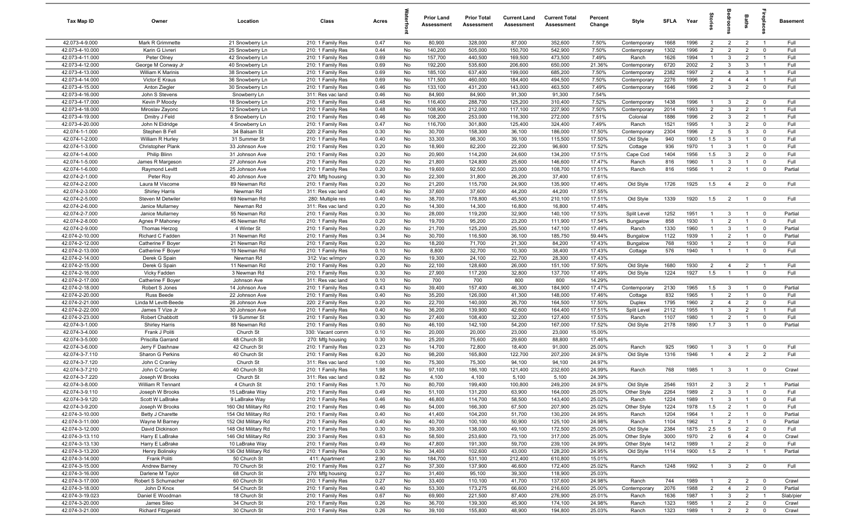| Tax Map ID                         | Owner                                   | Location                            | Class                                  | Acres        |          | <b>Prior Land</b><br>Assessment | <b>Prior Total</b><br>Assessment | <b>Current Land</b><br>Assessment | <b>Current Total</b><br>Assessment | Percent<br>Change | Style                        | <b>SFLA</b>  | Year         | $\vec{S}$                        | g                                | Baths                            | <b>G</b> bia                  | Basement           |
|------------------------------------|-----------------------------------------|-------------------------------------|----------------------------------------|--------------|----------|---------------------------------|----------------------------------|-----------------------------------|------------------------------------|-------------------|------------------------------|--------------|--------------|----------------------------------|----------------------------------|----------------------------------|-------------------------------|--------------------|
| 42.073-4-9.000                     | Mark R Grimmette                        | 21 Snowberry Ln                     | 210: 1 Family Res                      | 0.47         | No       | 80,900                          | 328,000                          | 87,000                            | 352,600                            | 7.50%             | Contemporary                 | 1668         | 1996         | $\overline{2}$                   | $\overline{2}$                   | $\overline{2}$                   | $\overline{1}$                | Full               |
| 42.073-4-10.000                    | Karin G Livreri                         | 25 Snowberry Ln                     | 210: 1 Family Res                      | 0.44         | No       | 140,200                         | 505,000                          | 150,700                           | 542,900                            | 7.50%             | Contemporary                 | 1302         | 1996         | $\overline{2}$                   | $\overline{2}$                   | $\overline{2}$                   | $\mathbf 0$                   | Full               |
| 42.073-4-11.000                    | Peter Olney                             | 42 Snowberry Ln                     | 210: 1 Family Res                      | 0.69         | No       | 157,700                         | 440,500                          | 169,500                           | 473,500                            | 7.49%             | Ranch                        | 1626         | 1994         | -1                               | $\mathbf{3}$                     | $\overline{2}$                   | - 1                           | Full               |
| 42.073-4-12.000                    | George M Conway Jr                      | 40 Snowberry Ln                     | 210: 1 Family Res                      | 0.69         | No       | 192,200                         | 535,600                          | 206,600                           | 650,000                            | 21.36%            | Contemporary                 | 6720         | 2002         | $\overline{2}$                   | $\mathbf{3}$                     | 3                                | -1                            | Full               |
| 42.073-4-13.000<br>42.073-4-14.000 | William K Marinis<br>Victor E Kraus     | 38 Snowberry Ln<br>36 Snowberry Ln  | 210: 1 Family Res<br>210: 1 Family Res | 0.69<br>0.69 | No<br>No | 185,100<br>171,500              | 637,400<br>460,000               | 199,000<br>184,400                | 685,200<br>494,500                 | 7.50%<br>7.50%    | Contemporary<br>Contemporary | 2382<br>2276 | 1997<br>1996 | $\overline{2}$<br>$\overline{2}$ | $\overline{4}$<br>$\overline{4}$ | $\mathbf{3}$<br>$\overline{4}$   | -1<br>$\overline{1}$          | Full<br>Full       |
| 42.073-4-15.000                    | Anton Ziegler                           | 30 Snowberry Ln                     | 210: 1 Family Res                      | 0.46         | No       | 133,100                         | 431,200                          | 143,000                           | 463,500                            | 7.49%             | Contemporary                 | 1646         | 1996         | $\overline{2}$                   | $\mathbf{3}$                     | $\overline{2}$                   | $\overline{0}$                | Full               |
| 42.073-4-16.000                    | John S Stevens                          | Snowberry Ln                        | 311: Res vac land                      | 0.46         | No       | 84,900                          | 84,900                           | 91,300                            | 91,300                             | 7.54%             |                              |              |              |                                  |                                  |                                  |                               |                    |
| 42.073-4-17.000                    | Kevin P Moody                           | 18 Snowberry Ln                     | 210: 1 Family Res                      | 0.48         | No       | 116,400                         | 288,700                          | 125,200                           | 310,400                            | 7.52%             | Contemporary                 | 1438         | 1996         | $\overline{1}$                   | $\overline{3}$                   | $\overline{2}$                   | $^{\circ}$                    | Full               |
| 42.073-4-18.000                    | Miroslav Zayonc                         | 12 Snowberry Ln                     | 210: 1 Family Res                      | 0.48         | No       | 108,900                         | 212,000                          | 117,100                           | 227,900                            | 7.50%             | Contemporary                 | 2014         | 1993         | $\overline{2}$                   | $\mathbf{3}$                     | $\overline{2}$                   | $\overline{1}$                | Full               |
| 42.073-4-19.000                    | Dmitry J Feld                           | 8 Snowberry Ln                      | 210: 1 Family Res                      | 0.46         | No       | 108,200                         | 253,000                          | 116,300                           | 272,000                            | 7.51%             | Colonial                     | 1886         | 1996         | 2                                | $\mathbf{3}$                     | $\overline{2}$                   | $\overline{1}$                | Full               |
| 42.073-4-20.000                    | John N Eldridge                         | 4 Snowberry Ln                      | 210: 1 Family Res                      | 0.47         | No       | 116,700                         | 301,800                          | 125,400                           | 324,400                            | 7.49%             | Ranch                        | 1521         | 1995         | $\overline{1}$                   | $\mathbf{3}$                     | $\overline{2}$                   | $^{\circ}$                    | Full               |
| 42.074-1-1.000                     | Stephen B Fell                          | 34 Balsam St                        | 220: 2 Family Res                      | 0.30         | No       | 30,700                          | 158,300                          | 36,100                            | 186,000                            | 17.50%            | Contemporary                 | 2304         | 1996         | $\overline{2}$                   | 5                                | $\mathbf{3}$                     | $\mathbf 0$                   | Full               |
| 42.074-1-2.000                     | William R Hurley                        | 31 Summer St                        | 210: 1 Family Res                      | 0.40         | No       | 33,300                          | 98,300                           | 39,100                            | 115,500                            | 17.50%            | Old Style                    | 940          | 1900         | 1.5                              | $\mathbf{3}$                     | $\overline{1}$                   | $\mathbf 0$                   | Full               |
| 42.074-1-3.000                     | Christopher Plank                       | 33 Johnson Ave                      | 210: 1 Family Res                      | 0.20         | No       | 18,900                          | 82,200                           | 22,200                            | 96,600                             | 17.52%            | Cottage                      | 936          | 1970<br>1956 | $\overline{1}$                   | $\mathbf{3}$                     | $\overline{1}$                   | $\Omega$<br>$\mathbf 0$       | Full<br>Full       |
| 42.074-1-4.000<br>42.074-1-5.000   | Philip Blinn<br>James R Margeson        | 31 Johnson Ave<br>27 Johnson Ave    | 210: 1 Family Res<br>210: 1 Family Res | 0.20<br>0.20 | No<br>No | 20,900<br>21,800                | 114,200<br>124,800               | 24,600<br>25,600                  | 134,200<br>146,600                 | 17.51%<br>17.47%  | Cape Cod<br>Ranch            | 1404<br>816  | 1960         | 1.5<br>$\mathbf{1}$              | $\mathbf{3}$<br>$\mathbf{3}$     | $\overline{2}$                   | $^{\circ}$                    | Full               |
| 42.074-1-6.000                     | Raymond Levitt                          | 25 Johnson Ave                      | 210: 1 Family Res                      | 0.20         | No       | 19,600                          | 92,500                           | 23,000                            | 108,700                            | 17.51%            | Ranch                        | 816          | 1956         | $\mathbf{1}$                     | $\overline{2}$                   |                                  | $^{\circ}$                    | Partial            |
| 42.074-2-1.000                     | Peter Roy                               | 40 Johnson Ave                      | 270: Mfg housing                       | 0.30         | No       | 22,300                          | 31,800                           | 26,200                            | 37,400                             | 17.61%            |                              |              |              |                                  |                                  |                                  |                               |                    |
| 42.074-2-2.000                     | Laura M Viscome                         | 89 Newman Rd                        | 210: 1 Family Res                      | 0.20         | No       | 21,200                          | 115,700                          | 24,900                            | 135,900                            | 17.46%            | Old Style                    | 1726         | 1925         | 1.5                              | $\overline{4}$                   | $\overline{2}$                   | $\overline{0}$                | Full               |
| 42.074-2-3.000                     | <b>Shirley Harris</b>                   | Newman Rd                           | 311: Res vac land                      | 0.40         | No       | 37,600                          | 37,600                           | 44,200                            | 44,200                             | 17.55%            |                              |              |              |                                  |                                  |                                  |                               |                    |
| 42.074-2-5.000                     | Steven M Detwiler                       | 69 Newman Rd                        | 280: Multiple res                      | 0.40         | No       | 38,700                          | 178,800                          | 45,500                            | 210,100                            | 17.51%            | Old Style                    | 1339         | 1920         | 1.5                              | $\overline{2}$                   | $\mathbf{1}$                     | $\mathbf 0$                   | Full               |
| 42.074-2-6.000                     | Janice Mullarney                        | Newman Rd                           | 311: Res vac land                      | 0.20         | No       | 14,300                          | 14,300                           | 16,800                            | 16,800                             | 17.48%            |                              |              |              |                                  |                                  |                                  |                               |                    |
| 42.074-2-7.000                     | Janice Mullarney                        | 55 Newman Rd                        | 210: 1 Family Res                      | 0.30         | No       | 28,000                          | 119,200                          | 32,900                            | 140,100                            | 17.53%            | Split Level                  | 1252         | 1951         | $\overline{1}$                   | $\mathbf{3}$                     | $\overline{1}$                   | $^{\circ}$                    | Partial            |
| 42.074-2-8.000                     | Agnes P Mahoney                         | 45 Newman Rd                        | 210: 1 Family Res                      | 0.20         | No       | 19,700                          | 95,200                           | 23,200                            | 111,900                            | 17.54%            | Bungalow                     | 858          | 1930         | $\overline{1}$                   | 2                                | $\overline{1}$                   | $\mathbf 0$                   | Full               |
| 42.074-2-9.000<br>42.074-2-10.000  | Thomas Herzog<br>Richard C Fadden       | 4 Winter St<br>31 Newman Rd         | 210: 1 Family Res<br>210: 1 Family Res | 0.20<br>0.34 | No<br>No | 21,700<br>30,700                | 125,200<br>116,500               | 25,500<br>36,100                  | 147,100<br>185,750                 | 17.49%<br>59.44%  | Ranch<br>Bungalow            | 1330<br>1122 | 1960<br>1939 | $\overline{1}$<br>$\overline{1}$ | $\mathbf{3}$<br>$\overline{2}$   | $\overline{1}$<br>$\overline{1}$ | $\mathbf 0$<br>$\mathbf 0$    | Partial<br>Partial |
| 42.074-2-12.000                    | Catherine F Boyer                       | 21 Newman Rd                        | 210: 1 Family Res                      | 0.20         | No       | 18,200                          | 71,700                           | 21,300                            | 84,200                             | 17.43%            | Bungalow                     | 768          | 1930         | $\overline{1}$                   | $\overline{2}$                   |                                  | $^{\circ}$                    | Full               |
| 42.074-2-13.000                    | Catherine F Boyer                       | 19 Newman Rd                        | 210: 1 Family Res                      | 0.10         | No       | 8,800                           | 32,700                           | 10,300                            | 38,400                             | 17.43%            | Cottage                      | 576          | 1940         | $\overline{1}$                   | $\overline{1}$                   | $\overline{1}$                   | $\mathbf 0$                   | Full               |
| 42.074-2-14.000                    | Derek G Spain                           | Newman Rd                           | 312: Vac w/imprv                       | 0.20         | No       | 19,300                          | 24,100                           | 22,700                            | 28,300                             | 17.43%            |                              |              |              |                                  |                                  |                                  |                               |                    |
| 42.074-2-15.000                    | Derek G Spain                           | 11 Newman Rd                        | 210: 1 Family Res                      | 0.20         | No       | 22,100                          | 128,600                          | 26,000                            | 151,100                            | 17.50%            | Old Style                    | 1680         | 1930         | $\overline{2}$                   | $\overline{4}$                   | $\overline{2}$                   | - 1                           | Full               |
| 42.074-2-16.000                    | Vicky Fadden                            | 3 Newman Rd                         | 210: 1 Family Res                      | 0.30         | No       | 27,900                          | 117,200                          | 32,800                            | 137,700                            | 17.49%            | Old Style                    | 1224         | 1927         | 1.5                              | $\overline{1}$                   | $\overline{1}$                   | $\mathbf 0$                   | Full               |
| 42.074-2-17.000                    | Catherine F Boyer                       | Johnson Ave                         | 311: Res vac land                      | 0.10         | No       | 700                             | 700                              | 800                               | 800                                | 14.29%            |                              |              |              |                                  |                                  |                                  |                               |                    |
| 42.074-2-18.000                    | Robert S Jones                          | 14 Johnson Ave                      | 210: 1 Family Res                      | 0.43         | No       | 39,400                          | 157,400                          | 46,300                            | 184,900                            | 17.47%            | Contemporary                 | 2130         | 1965         | 1.5                              | $\mathbf{3}$                     | $\overline{1}$                   | $\mathbf 0$                   | Partial            |
| 42.074-2-20.000                    | <b>Russ Beede</b>                       | 22 Johnson Ave                      | 210: 1 Family Res                      | 0.40         | No       | 35,200                          | 126,000                          | 41,300                            | 148,000                            | 17.46%            | Cottage                      | 832          | 1965         | $\overline{1}$                   | $\overline{2}$                   | $\overline{1}$                   | $^{\circ}$                    | Full               |
| 42.074-2-21.000                    | Linda M Levitt-Beede<br>James T Vize Jr | 26 Johnson Ave<br>30 Johnson Ave    | 220: 2 Family Res                      | 0.20         | No       | 22,700                          | 140,000<br>139,900               | 26,700<br>42,600                  | 164,500<br>164,400                 | 17.50%<br>17.51%  | Duplex                       | 1795         | 1960<br>1955 | $\overline{2}$<br>$\overline{1}$ | $\overline{4}$<br>$\mathbf{3}$   | $\overline{2}$<br>$\overline{2}$ | $^{\circ}$<br>$\overline{1}$  | Full<br>Full       |
| 42.074-2-22.000<br>42.074-2-23.000 | Robert Chabbott                         | 19 Summer St                        | 210: 1 Family Res<br>210: 1 Family Res | 0.40<br>0.30 | No<br>No | 36,200<br>27,400                | 108,400                          | 32,200                            | 127,400                            | 17.53%            | Split Level<br>Ranch         | 2112<br>1107 | 1980         | $\overline{1}$                   | 2                                | $\overline{1}$                   | $\mathbf 0$                   | Full               |
| 42.074-3-1.000                     | <b>Shirley Harris</b>                   | 88 Newman Rd                        | 210: 1 Family Res                      | 0.60         | No       | 46,100                          | 142,100                          | 54,200                            | 167,000                            | 17.52%            | Old Style                    | 2178         | 1890         | 1.7                              | $\mathbf{3}$                     | $\overline{1}$                   | $\mathbf 0$                   | Partial            |
| 42.074-3-4.000                     | Frank J Politi                          | Church St                           | 330: Vacant comm                       | 0.10         | No       | 20,000                          | 20,000                           | 23,000                            | 23,000                             | 15.00%            |                              |              |              |                                  |                                  |                                  |                               |                    |
| 42.074-3-5.000                     | Priscilla Garrand                       | 48 Church St                        | 270: Mfg housing                       | 0.30         | No       | 25,200                          | 75,600                           | 29,600                            | 88,800                             | 17.46%            |                              |              |              |                                  |                                  |                                  |                               |                    |
| 42.074-3-6.000                     | Jerry F Dashnaw                         | 42 Church St                        | 210: 1 Family Res                      | 0.23         | No       | 14,700                          | 72,800                           | 18,400                            | 91,000                             | 25.00%            | Ranch                        | 925          | 1960         | -1                               | $\mathbf{3}$                     |                                  | $^{\circ}$                    | Full               |
| 42.074-3-7.110                     | Sharon G Perkins                        | 40 Church St                        | 210: 1 Family Res                      | 6.20         | No       | 98,200                          | 165,800                          | 122,700                           | 207,200                            | 24.97%            | Old Style                    | 1316         | 1946         | $\mathbf{1}$                     | $\overline{4}$                   | $\overline{2}$                   | $\overline{2}$                | Full               |
| 42.074-3-7.120                     | John C Cranley                          | Church St                           | 311: Res vac land                      | 1.00         | No       | 75,300                          | 75,300                           | 94,100                            | 94,100                             | 24.97%            |                              |              |              |                                  |                                  |                                  |                               |                    |
| 42.074-3-7.210                     | John C Cranley                          | 40 Church St                        | 210: 1 Family Res                      | 1.98         | No       | 97,100                          | 186,100                          | 121,400                           | 232,600                            | 24.99%            | Ranch                        | 768          | 1985         | $\overline{1}$                   | $\mathbf{3}$                     | $\overline{1}$                   | $^{\circ}$                    | Crawl              |
| 42.074-3-7.220<br>42.074-3-8.000   | Joseph W Brooks<br>William R Tennant    | Church St<br>4 Church St            | 311: Res vac land<br>210: 1 Family Res | 0.82<br>1.70 | No<br>No | 4,100<br>80,700                 | 4,100<br>199,400                 | 5,100<br>100,800                  | 5,100<br>249,200                   | 24.39%<br>24.97%  | Old Style                    | 2546         | 1931         | $\overline{2}$                   | $\mathbf{R}$                     | 2                                |                               | Partial            |
| 42.074-3-9.110                     | Joseph W Brooks                         | 15 LaBrake Way                      | 210: 1 Family Res                      | 0.49         | No       | 51,100                          | 131,200                          | 63,900                            | 164,000                            | 25.00%            | Other Style                  | 2264         | 1989         | $\overline{2}$                   | $\mathbf{3}$                     | $\mathbf{1}$                     | $\mathbf 0$                   | Full               |
| 42.074-3-9.120                     | Scott W LaBrake                         | 9 LaBrake Way                       | 210: 1 Family Res                      | 0.46         | No       | 46,800                          | 114,700                          | 58,500                            | 143,400                            | 25.02%            | Ranch                        | 1224         | 1989         | $\overline{1}$                   | 3                                | $\overline{1}$                   | $\mathbf 0$                   | Full               |
| 42.074-3-9.200                     | Joseph W Brooks                         | 160 Old Military Rd                 | 210: 1 Family Res                      | 0.46         | No       | 54,000                          | 166,300                          | 67,500                            | 207,900                            | 25.02%            | Other Style                  | 1224         | 1978         | 1.5                              | $\overline{2}$                   | $\overline{1}$                   | $\mathbf 0$                   | Full               |
| 42.074-3-10.000                    | Betty J Charette                        | 154 Old Military Rd                 | 210: 1 Family Res                      | 0.40         | No       | 41,400                          | 104,200                          | 51,700                            | 130,200                            | 24.95%            | Ranch                        | 1204         | 1964         | $\mathbf{1}$                     | $\overline{2}$                   | $\mathbf{1}$                     | $\mathbf 0$                   | Partial            |
| 42.074-3-11.000                    | Wayne M Barney                          | 152 Old Military Rd                 | 210: 1 Family Res                      | 0.40         | No       | 40,700                          | 100,100                          | 50,900                            | 125,100                            | 24.98%            | Ranch                        | 1104         | 1962         | $\mathbf{1}$                     | $\overline{2}$                   | $\overline{1}$                   | $\mathbf 0$                   | Partial            |
| 42.074-3-12.000                    | David Dickinson                         | 148 Old Military Rd                 | 210: 1 Family Res                      | 0.30         | No       | 39,300                          | 138,000                          | 49,100                            | 172,500                            | 25.00%            | Old Style                    | 2384         | 1875         | 2.5                              | $5\overline{)}$                  | $\overline{2}$                   | $\mathbf 0$                   | Full               |
| 42.074-3-13.110                    | Harry E LaBrake                         | 146 Old Military Rd                 | 230: 3 Family Res                      | 0.63         | No       | 58,500                          | 253,600                          | 73,100                            | 317,000                            | 25.00%            | Other Style                  | 3000         | 1970         | $\overline{2}$                   | 6                                | $\overline{4}$                   | $\mathbf 0$                   | Crawl              |
| 42.074-3-13.130                    | Harry E LaBrake                         | 10 LaBrake Way                      | 210: 1 Family Res                      | 0.49         | No       | 47,800                          | 191,300                          | 59,700                            | 239,100                            | 24.99%<br>24.95%  | Other Style                  | 1412         | 1989         | $\mathbf{1}$                     | $\overline{2}$                   | $\overline{2}$<br>$\overline{1}$ | $\mathbf 0$<br>$\overline{1}$ | Full               |
| 42.074-3-13.200<br>42.074-3-14.000 | Henry Bolinsky<br>Frank Politi          | 136 Old Military Rd<br>50 Church St | 210: 1 Family Res<br>411: Apartment    | 0.30<br>2.90 | No<br>No | 34,400<br>184,700               | 102,600<br>531,100               | 43,000<br>212,400                 | 128,200<br>610,800                 | 15.01%            | Old Style                    | 1114         | 1900         | 1.5                              | $\overline{2}$                   |                                  |                               | Partial            |
| 42.074-3-15.000                    | Andrew Barney                           | 70 Church St                        | 210: 1 Family Res                      | 0.27         | No       | 37,300                          | 137,900                          | 46,600                            | 172,400                            | 25.02%            | Ranch                        | 1248         | 1992         | $\overline{1}$                   | $\mathbf{3}$                     | $\overline{2}$                   | $\overline{0}$                | Full               |
| 42.074-3-16.000                    | Darlene M Taylor                        | 68 Church St                        | 270: Mfg housing                       | 0.27         | No       | 31,400                          | 95,100                           | 39,300                            | 118,900                            | 25.03%            |                              |              |              |                                  |                                  |                                  |                               |                    |
| 42.074-3-17.000                    | Robert S Schumacher                     | 60 Church St                        | 210: 1 Family Res                      | 0.27         | No       | 33,400                          | 110,100                          | 41,700                            | 137,600                            | 24.98%            | Ranch                        | 744          | 1989         | $\overline{1}$                   | $\overline{2}$                   | $\overline{2}$                   | $\overline{\mathbf{0}}$       | Crawl              |
| 42.074-3-18.000                    | John D Knox                             | 54 Church St                        | 210: 1 Family Res                      | 0.40         | No       | 53,300                          | 173,275                          | 66,600                            | 216,600                            | 25.00%            | Contemporary                 | 2076         | 1988         | $\overline{2}$                   | $\overline{4}$                   | $\overline{2}$                   | $\overline{0}$                | Partial            |
| 42.074-3-19.023                    | Daniel E Woodman                        | 18 Church St                        | 210: 1 Family Res                      | 0.67         | No       | 69,900                          | 221,500                          | 87,400                            | 276,900                            | 25.01%            | Ranch                        | 1636         | 1987         | $\overline{1}$                   | $\mathbf{3}$                     | $\overline{2}$                   | $\overline{1}$                | Slab/pier          |
| 42.074-3-20.000                    | James Sileo                             | 34 Church St                        | 210: 1 Family Res                      | 0.26         | No       | 36,700                          | 139,300                          | 45,900                            | 174,100                            | 24.98%            | Ranch                        | 1323         | 1985         | $\mathbf{1}$                     | $\overline{2}$                   | $\overline{2}$                   | $\mathbf 0$                   | Crawl              |
| 42.074-3-21.000                    | <b>Richard Fitzgerald</b>               | 30 Church St                        | 210: 1 Family Res                      | 0.26         | No       | 39,100                          | 155,800                          | 48,900                            | 194,800                            | 25.03%            | Ranch                        | 1323         | 1989         | $\overline{1}$                   | $\overline{2}$                   | $\overline{2}$                   | $\mathbf 0$                   | Crawl              |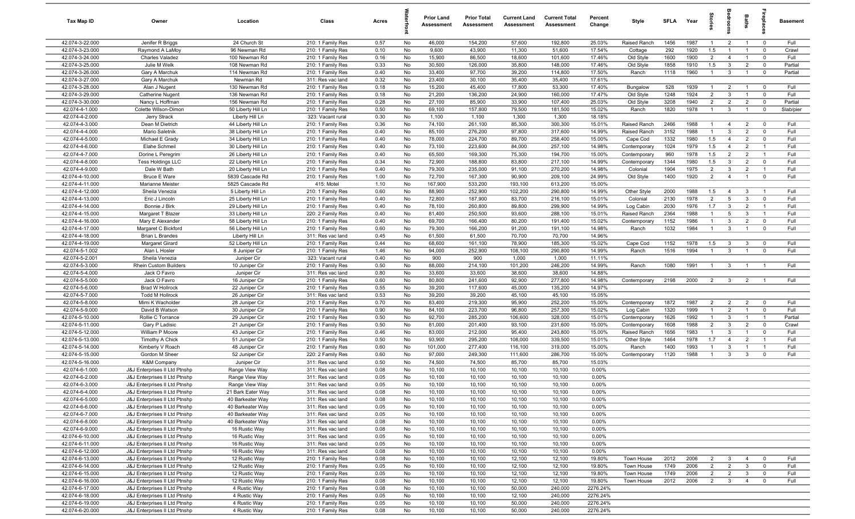| Tax Map ID                         | Owner                                                          | Location                                | Class                                  | Acres        |          | <b>Prior Land</b><br>Assessment | <b>Prior Total</b><br>Assessment | <b>Current Land</b><br>Assessment | <b>Current Total</b><br>Assessment | Percent<br>Change    | Style                   | <b>SFI A</b> | Year | ĝ.             | droom               | Baths          | <b>G</b> bla            | Basement  |
|------------------------------------|----------------------------------------------------------------|-----------------------------------------|----------------------------------------|--------------|----------|---------------------------------|----------------------------------|-----------------------------------|------------------------------------|----------------------|-------------------------|--------------|------|----------------|---------------------|----------------|-------------------------|-----------|
| 42.074-3-22.000                    | Jenifer R Briggs                                               | 24 Church St                            | 210: 1 Family Res                      | 0.57         | No       | 46,000                          | 154,200                          | 57,600                            | 192,800                            | 25.03%               | Raised Ranch            | 1456         | 1987 | $\overline{1}$ | $\overline{2}$      | $\overline{1}$ | $\mathbf 0$             | Full      |
| 42.074-3-23.000                    | Raymond A LaMoy                                                | 96 Newman Rd                            | 210: 1 Family Res                      | 0.10         | No       | 9,600                           | 43,900                           | 11,300                            | 51,600                             | 17.54%               | Cottage                 | 292          | 1920 | 1.5            | $\overline{1}$      | $\overline{1}$ | $\mathbf 0$             | Crawl     |
| 42.074-3-24.000                    | Charles Valadez                                                | 100 Newman Rd                           | 210: 1 Family Res                      | 0.16         | No       | 15,900                          | 86,500                           | 18,600                            | 101,600                            | 17.46%               | Old Style               | 1600         | 1900 | $\overline{2}$ | $\overline{4}$      | $\overline{1}$ | $\mathbf 0$             | Full      |
| 42.074-3-25.000                    | Julie M Welk                                                   | 108 Newman Rd                           | 210: 1 Family Res                      | 0.33         | No       | 30,500                          | 126,000                          | 35,800                            | 148,000                            | 17.46%               | Old Style               | 1858         | 1910 | 1.5            | $\mathbf{3}$        | $\overline{2}$ | $\mathbf 0$             | Partial   |
| 42.074-3-26.000                    | Gary A Marchuk                                                 | 114 Newman Rd                           | 210: 1 Family Res                      | 0.40         | No       | 33,400                          | 97,700                           | 39,200                            | 114,800                            | 17.50%               | Ranch                   | 1118         | 1960 | $\mathbf{1}$   | $\mathbf{3}$        | $\overline{1}$ | $^{\circ}$              | Partial   |
| 42.074-3-27.000<br>42.074-3-28.000 | Gary A Marchuk                                                 | Newman Rd<br>130 Newman Rd              | 311: Res vac land<br>210: 1 Family Res | 0.32         | No       | 23,400<br>15,200                | 30,100<br>45,400                 | 35,400                            | 35,400<br>53,300                   | 17.61%<br>17.40%     |                         |              | 1939 | $\mathbf{1}$   | $\overline{2}$      | $\overline{1}$ | $^{\circ}$              | Full      |
| 42.074-3-29.000                    | Alan J Nugent<br><b>Catherine Nugent</b>                       | 136 Newman Rd                           | 210: 1 Family Res                      | 0.18<br>0.18 | No<br>No | 21,200                          | 136,200                          | 17,800<br>24,900                  | 160,000                            | 17.47%               | Bungalow<br>Old Style   | 528<br>1248  | 1924 | $\overline{2}$ | $\mathbf{3}$        | $\overline{1}$ | $\mathbf 0$             | Full      |
| 42.074-3-30.000                    | Nancy L Hoffman                                                | 156 Newman Rd                           | 210: 1 Family Res                      | 0.28         | No       | 27,100                          | 85,900                           | 33,900                            | 107,400                            | 25.03%               | Old Style               | 3208         | 1940 | $\overline{2}$ | 2                   | $\overline{2}$ | $\mathbf 0$             | Partial   |
| 42.074-4-1.000                     | Colette Wilson-Dimon                                           | 50 Liberty Hill Ln                      | 210: 1 Family Res                      | 0.50         | No       | 69,100                          | 157,800                          | 79,500                            | 181,500                            | 15.02%               | Ranch                   | 1820         | 1978 | $\overline{1}$ | $\mathbf{3}$        | $\overline{1}$ | $\mathbf 0$             | Slab/pier |
| 42.074-4-2.000                     | Jerry Strack                                                   | Liberty Hill Ln                         | 323: Vacant rural                      | 0.30         | No       | 1,100                           | 1,100                            | 1,300                             | 1,300                              | 18.18%               |                         |              |      |                |                     |                |                         |           |
| 42.074-4-3.000                     | Dean M Dietrich                                                | 44 Liberty Hill Ln                      | 210: 1 Family Res                      | 0.36         | No       | 74,100                          | 261,100                          | 85,300                            | 300,300                            | 15.01%               | Raised Ranch            | 2466         | 1988 | $\overline{1}$ | $\overline{4}$      | $\overline{2}$ | $\overline{\mathbf{0}}$ | Full      |
| 42.074-4-4.000                     | Mario Saletnik                                                 | 38 Liberty Hill Ln                      | 210: 1 Family Res                      | 0.40         | No       | 85,100                          | 276,200                          | 97,800                            | 317,600                            | 14.99%               | Raised Ranch            | 3152         | 1988 | $\overline{1}$ | $\mathbf{3}$        | $\overline{2}$ | $\mathbf 0$             | Full      |
| 42.074-4-5.000                     | Michael E Grady                                                | 34 Liberty Hill Ln                      | 210: 1 Family Res                      | 0.40         | No       | 78,000                          | 224,700                          | 89,700                            | 258,400                            | 15.00%               | Cape Cod                | 1332         | 1980 | 1.5            | $\overline{4}$      | $\overline{2}$ | $\mathbf 0$             | Full      |
| 42.074-4-6.000                     | Elahe Schmeil                                                  | 30 Liberty Hill Ln                      | 210: 1 Family Res                      | 0.40         | No       | 73,100                          | 223,600                          | 84,000                            | 257,100                            | 14.98%               | Contemporary            | 1024         | 1979 | 1.5            | $\overline{4}$      | $\overline{2}$ | - 1                     | Full      |
| 42.074-4-7.000                     | Dorine L Peregrim                                              | 26 Liberty Hill Ln                      | 210: 1 Family Res                      | 0.40         | No       | 65,500                          | 169,300                          | 75,300                            | 194,700                            | 15.00%               | Contemporary            | 960          | 1978 | 1.5            | $\overline{2}$      | $\overline{2}$ | $\overline{1}$          | Full      |
| 42.074-4-8.000                     | <b>Tess Holdings LLC</b>                                       | 22 Liberty Hill Ln                      | 210: 1 Family Res                      | 0.34         | No       | 72,900                          | 188,800                          | 83,800                            | 217,100                            | 14.99%               | Contemporary            | 1344         | 1980 | 1.5            | $\mathbf{3}$        | $\overline{2}$ | $^{\circ}$              | Full      |
| 42.074-4-9.000                     | Dale W Bath                                                    | 20 Liberty Hill Ln                      | 210: 1 Family Res                      | 0.40         | No       | 79,300                          | 235,000                          | 91,100                            | 270,200                            | 14.98%               | Colonial                | 1904         | 1975 | $\overline{2}$ | $\mathbf{3}$        | $\overline{2}$ | $\overline{1}$          | Full      |
| 42.074-4-10.000                    | <b>Bruce E Ware</b>                                            | 5839 Cascade Rd                         | 210: 1 Family Res                      | 1.00         | No       | 72,700                          | 167,300                          | 90,900                            | 209,100                            | 24.99%               | Old Style               | 1400         | 1920 | 2              | $\overline{4}$      | $\overline{1}$ | $\mathbf 0$             | Full      |
| 42.074-4-11.000<br>42.074-4-12.000 | Marianne Meister                                               | 5825 Cascade Rd                         | 415: Motel                             | 1.10         | No<br>No | 167,900<br>88,900               | 533,200<br>252,900               | 193,100<br>102,200                | 613,200<br>290,800                 | 15.00%<br>14.99%     |                         |              | 1988 | 1.5            |                     | $\mathbf{3}$   | $\overline{1}$          | Full      |
| 42.074-4-13.000                    | Sheila Venezia<br>Eric J Lincoln                               | 5 Liberty Hill Ln<br>25 Liberty Hill Ln | 210: 1 Family Res<br>210: 1 Family Res | 0.60<br>0.40 | No       | 72,800                          | 187,900                          | 83,700                            | 216,100                            | 15.01%               | Other Style<br>Colonial | 2000<br>2130 | 1978 | $\overline{2}$ | $\overline{4}$<br>5 | $\mathbf{3}$   | $\mathbf 0$             | Full      |
| 42.074-4-14.000                    | Bonnie J Birk                                                  | 29 Liberty Hill Ln                      | 210: 1 Family Res                      | 0.40         | No       | 78,100                          | 260,800                          | 89,800                            | 299,900                            | 14.99%               | Log Cabin               | 2030         | 1976 | 1.7            | $\mathbf{3}$        | $\overline{2}$ | $\overline{1}$          | Full      |
| 42.074-4-15.000                    | Margaret T Blazer                                              | 33 Liberty Hill Ln                      | 220: 2 Family Res                      | 0.40         | No       | 81,400                          | 250,500                          | 93,600                            | 288,100                            | 15.01%               | Raised Ranch            | 2364         | 1988 | $\overline{1}$ | 5                   | $\mathbf{3}$   | $\overline{1}$          | Full      |
| 42.074-4-16.000                    | Mary E Alexander                                               | 58 Liberty Hill Ln                      | 210: 1 Family Res                      | 0.40         | No       | 69,700                          | 166,400                          | 80,200                            | 191,400                            | 15.02%               | Contemporary            | 1152         | 1986 | $\overline{1}$ | $\mathbf{3}$        | $\overline{2}$ | $\mathbf 0$             | Full      |
| 42.074-4-17.000                    | Margaret C Bickford                                            | 56 Liberty Hill Ln                      | 210: 1 Family Res                      | 0.60         | No       | 79,300                          | 166,200                          | 91,200                            | 191,100                            | 14.98%               | Ranch                   | 1032         | 1984 | $\overline{1}$ | $\mathbf{3}$        | $\overline{1}$ | $\mathbf 0$             | Full      |
| 42.074-4-18.000                    | <b>Brian L Brandes</b>                                         | Liberty Hill Ln                         | 311: Res vac land                      | 0.45         | No       | 61,500                          | 61,500                           | 70,700                            | 70,700                             | 14.96%               |                         |              |      |                |                     |                |                         |           |
| 42.074-4-19.000                    | Margaret Girard                                                | 52 Liberty Hill Ln                      | 210: 1 Family Res                      | 0.44         | No       | 68,600                          | 161,100                          | 78,900                            | 185,300                            | 15.02%               | Cape Cod                | 1152         | 1978 | 1.5            | $\mathbf{3}$        | 3              | $\mathbf 0$             | Full      |
| 42.074-5-1.002                     | Alan L Hosler                                                  | 8 Juniper Cir                           | 210: 1 Family Res                      | 1.46         | No       | 94,000                          | 252,900                          | 108,100                           | 290,800                            | 14.99%               | Ranch                   | 1516         | 1994 | $\overline{1}$ | $\mathbf{3}$        | $\overline{1}$ | $\mathbf 0$             | Full      |
| 42.074-5-2.001                     | Sheila Venezia                                                 | Juniper Cir                             | 323: Vacant rural                      | 0.40         | No       | 900                             | 900                              | 1,000                             | 1,000                              | 11.11%               |                         |              |      |                |                     |                |                         |           |
| 42.074-5-3.000                     | <b>Rhein Custom Builders</b>                                   | 10 Juniper Cir                          | 210: 1 Family Res                      | 0.50         | No       | 88,000                          | 214,100                          | 101,200                           | 246,200                            | 14.99%               | Ranch                   | 1080         | 1991 | $\mathbf{1}$   | $\mathbf{3}$        |                |                         | Full      |
| 42.074-5-4.000                     | Jack O Favro                                                   | Juniper Cir                             | 311: Res vac land                      | 0.80         | No       | 33,600                          | 33,600                           | 38,600                            | 38,600                             | 14.88%               |                         |              |      |                |                     |                |                         |           |
| 42.074-5-5.000                     | Jack O Favro                                                   | 16 Juniper Cir                          | 210: 1 Family Res                      | 0.60         | No       | 80,800                          | 241,600                          | 92,900                            | 277,800                            | 14.98%               | Contemporary            | 2198         | 2000 | $\overline{2}$ | $\overline{3}$      | $\overline{2}$ | $\overline{1}$          | Full      |
| 42.074-5-6.000<br>42.074-5-7.000   | <b>Brad W Hollrock</b><br><b>Todd M Hollrock</b>               | 22 Juniper Cir<br>26 Juniper Cir        | 210: 1 Family Res<br>311: Res vac land | 0.55<br>0.53 | No       | 39,200<br>39,200                | 117,600<br>39,200                | 45,000<br>45,100                  | 135,200<br>45,100                  | 14.97%<br>15.05%     |                         |              |      |                |                     |                |                         |           |
| 42.074-5-8.000                     | Mimi K Wacholder                                               | 28 Juniper Cir                          | 210: 1 Family Res                      | 0.70         | No<br>No | 83,400                          | 219,300                          | 95,900                            | 252,200                            | 15.00%               | Contemporary            | 1872         | 1987 | $\overline{2}$ | $\overline{2}$      | $\overline{2}$ | $\overline{0}$          | Full      |
| 42.074-5-9.000                     | David B Watson                                                 | 30 Juniper Cir                          | 210: 1 Family Res                      | 0.90         | No       | 84,100                          | 223,700                          | 96,800                            | 257,300                            | 15.02%               | Log Cabin               | 1320         | 1999 | $\overline{1}$ | $\overline{2}$      | $\overline{1}$ | $^{\circ}$              | Full      |
| 42.074-5-10.000                    | Rollie C Torrance                                              | 29 Juniper Cir                          | 210: 1 Family Res                      | 0.50         | No       | 92,700                          | 285,200                          | 106,600                           | 328,000                            | 15.01%               | Contemporary            | 1626         | 1992 | $\mathbf{1}$   | $\mathbf{3}$        | $\overline{1}$ | $\overline{1}$          | Partial   |
| 42.074-5-11.000                    | Gary P Ladisic                                                 | 21 Juniper Cir                          | 210: 1 Family Res                      | 0.50         | No       | 81,000                          | 201,400                          | 93,100                            | 231,600                            | 15.00%               | Contemporary            | 1608         | 1988 | $\overline{2}$ | $\mathbf{3}$        | $\overline{2}$ | $\mathbf 0$             | Crawl     |
| 42.074-5-12.000                    | William P Moore                                                | 43 Juniper Cir                          | 210: 1 Family Res                      | 0.46         | No       | 83,000                          | 212,000                          | 95,400                            | 243,800                            | 15.00%               | Raised Ranch            | 1656         | 1983 | $\mathbf{1}$   | $\mathbf{3}$        | $\overline{1}$ | $\mathbf 0$             | Full      |
| 42.074-5-13.000                    | <b>Timothy A Chick</b>                                         | 51 Juniper Cir                          | 210: 1 Family Res                      | 0.50         | No       | 93,900                          | 295,200                          | 108,000                           | 339,500                            | 15.01%               | Other Style             | 1464         | 1978 | 1.7            | $\overline{4}$      | $\overline{2}$ |                         | Full      |
| 42.074-5-14.000                    | Kimberly V Roach                                               | 48 Juniper Cir                          | 210: 1 Family Res                      | 0.60         | No       | 101,000                         | 277,400                          | 116,100                           | 319,000                            | 15.00%               | Ranch                   | 1400         | 1993 | $\mathbf{1}$   | $\mathbf{3}$        |                | - 1                     | Full      |
| 42.074-5-15.000                    | Gordon M Sheer                                                 | 52 Juniper Cir                          | 220: 2 Family Res                      | 0.60         | No       | 97,000                          | 249,300                          | 111,600                           | 286,700                            | 15.00%               | Contemporary            | 1120         | 1988 | $\mathbf{1}$   | $\mathbf{3}$        | 3              | $^{\circ}$              | Full      |
| 42.074-5-16.000                    | <b>K&amp;M Company</b>                                         | Juniper Cir                             | 311: Res vac land                      | 0.50         | No       | 74,500                          | 74,500                           | 85,700                            | 85,700                             | 15.03%               |                         |              |      |                |                     |                |                         |           |
| 42.074-6-1.000                     | J&J Enterprises II Ltd Ptnshp                                  | Range View Way                          | 311: Res vac land                      | 0.08         | No       | 10,100                          | 10,100                           | 10,100                            | 10,100                             | 0.00%                |                         |              |      |                |                     |                |                         |           |
| 42.074-6-2.000                     | J&J Enterprises II Ltd Ptnshp                                  | Range View Way                          | 311: Res vac land                      | 0.05         | No       | 10,100                          | 10,100                           | 10,100                            | 10,100                             | 0.00%                |                         |              |      |                |                     |                |                         |           |
| 42.074-6-3.000<br>42.074-6-4.000   | J&J Enterprises II Ltd Ptnshp<br>J&J Enterprises II Ltd Ptnshp | Range View Way<br>21 Bark Eater Way     | 311: Res vac land<br>311: Res vac land | 0.05<br>0.08 | No<br>No | 10,100<br>10,100                | 10,100<br>10,100                 | 10,100<br>10,100                  | 10,100<br>10,100                   | $0.00\%$<br>0.00%    |                         |              |      |                |                     |                |                         |           |
| 42.074-6-5.000                     | J&J Enterprises II Ltd Ptnshp                                  | 40 Barkeater Way                        | 311: Res vac land                      | 0.08         | No       | 10,100                          | 10,100                           | 10,100                            | 10,100                             | 0.00%                |                         |              |      |                |                     |                |                         |           |
| 42.074-6-6.000                     | J&J Enterprises II Ltd Ptnshp                                  | 40 Barkeater Way                        | 311: Res vac land                      | 0.05         | No       | 10,100                          | 10,100                           | 10,100                            | 10,100                             | 0.00%                |                         |              |      |                |                     |                |                         |           |
| 42.074-6-7.000                     | J&J Enterprises II Ltd Ptnshp                                  | 40 Barkeater Way                        | 311: Res vac land                      | 0.05         | No       | 10,100                          | 10,100                           | 10,100                            | 10,100                             | 0.00%                |                         |              |      |                |                     |                |                         |           |
| 42.074-6-8.000                     | J&J Enterprises II Ltd Ptnshp                                  | 40 Barkeater Way                        | 311: Res vac land                      | 0.08         | No       | 10,100                          | 10,100                           | 10,100                            | 10,100                             | 0.00%                |                         |              |      |                |                     |                |                         |           |
| 42.074-6-9.000                     | J&J Enterprises II Ltd Ptnshp                                  | 16 Rustic Way                           | 311: Res vac land                      | 0.08         | No       | 10,100                          | 10,100                           | 10,100                            | 10,100                             | 0.00%                |                         |              |      |                |                     |                |                         |           |
| 42.074-6-10.000                    | J&J Enterprises II Ltd Ptnshp                                  | 16 Rustic Way                           | 311: Res vac land                      | 0.05         | No       | 10,100                          | 10,100                           | 10,100                            | 10,100                             | 0.00%                |                         |              |      |                |                     |                |                         |           |
| 42.074-6-11.000                    | J&J Enterprises II Ltd Ptnshp                                  | 16 Rustic Way                           | 311: Res vac land                      | 0.05         | No       | 10,100                          | 10,100                           | 10,100                            | 10,100                             | 0.00%                |                         |              |      |                |                     |                |                         |           |
| 42.074-6-12.000                    | J&J Enterprises II Ltd Ptnshp                                  | 16 Rustic Way                           | 311: Res vac land                      | 0.08         | No       | 10,100                          | 10,100                           | 10,100                            | 10,100                             | 0.00%                |                         |              |      |                |                     |                |                         |           |
| 42.074-6-13.000                    | J&J Enterprises II Ltd Ptnshp                                  | 12 Rustic Way                           | 210: 1 Family Res                      | 0.08         | No       | 10,100                          | 10,100                           | 12,100                            | 12,100                             | 19.80%               | Town House              | 2012         | 2006 | $\overline{2}$ | $\mathbf{3}$        | $\overline{4}$ | $\overline{0}$          | Full      |
| 42.074-6-14.000                    | J&J Enterprises II Ltd Ptnshp                                  | 12 Rustic Way                           | 210: 1 Family Res                      | 0.05         | No       | 10,100                          | 10,100                           | 12,100                            | 12,100                             | 19.80%               | Town House              | 1749         | 2006 | $\overline{2}$ | $\overline{2}$      | $\mathbf{3}$   | $\overline{0}$          | Full      |
| 42.074-6-15.000                    | J&J Enterprises II Ltd Ptnshp                                  | 12 Rustic Way                           | 210: 1 Family Res                      | 0.05         | No       | 10,100                          | 10,100                           | 12,100                            | 12,100                             | 19.80%               | Town House              | 1749         | 2006 | $\overline{2}$ | $\overline{2}$      | $\mathbf{3}$   | $\overline{0}$          | Full      |
| 42.074-6-16.000                    | J&J Enterprises II Ltd Ptnshp                                  | 12 Rustic Way                           | 210: 1 Family Res                      | 0.08         | No       | 10,100                          | 10,100                           | 12,100                            | 12,100                             | 19.80%               | Town House              | 2012         | 2006 | $\overline{2}$ | $\mathbf{3}$        | $\overline{4}$ | $\mathbf 0$             | Full      |
| 42.074-6-17.000                    | J&J Enterprises II Ltd Ptnshp                                  | 4 Rustic Way                            | 210: 1 Family Res                      | 0.08         | No       | 10,100                          | 10,100                           | 50,000                            | 240,000                            | 2276.24%             |                         |              |      |                |                     |                |                         |           |
| 42.074-6-18.000<br>42.074-6-19.000 | J&J Enterprises II Ltd Ptnshp<br>J&J Enterprises II Ltd Ptnshp | 4 Rustic Way<br>4 Rustic Way            | 210: 1 Family Res<br>210: 1 Family Res | 0.05<br>0.05 | No<br>No | 10,100<br>10,100                | 10,100<br>10,100                 | 12,100<br>50,000                  | 240,000<br>240,000                 | 2276.24%<br>2276.24% |                         |              |      |                |                     |                |                         |           |
| 42.074-6-20.000                    | J&J Enterprises II Ltd Ptnshp                                  | 4 Rustic Way                            | 210: 1 Family Res                      | 0.08         | No       | 10,100                          | 10,100                           | 50,000                            | 240,000                            | 2276.24%             |                         |              |      |                |                     |                |                         |           |
|                                    |                                                                |                                         |                                        |              |          |                                 |                                  |                                   |                                    |                      |                         |              |      |                |                     |                |                         |           |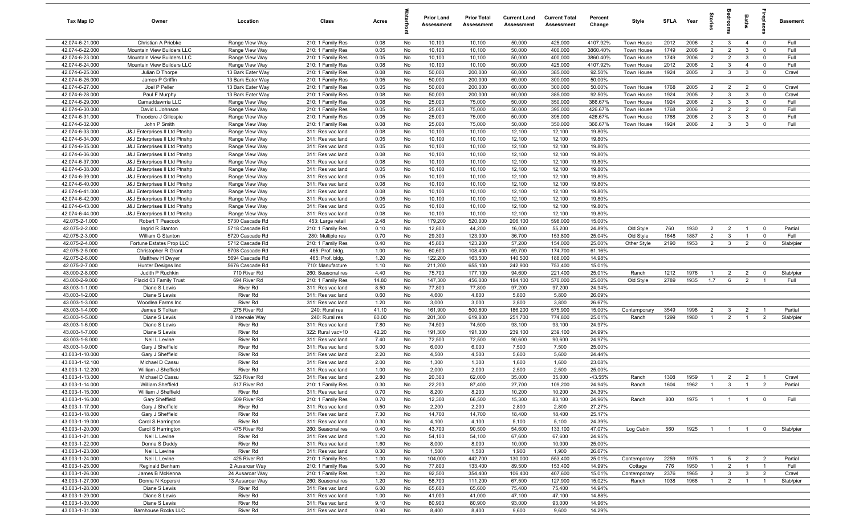| Tax Map ID                         | Owner                                                          | Location                               | Class                                  | Acres        |          | <b>Prior Land</b><br>Assessment | <b>Prior Total</b><br>Assessment | <b>Current Land</b><br>Assessment | <b>Current Total</b><br>Assessment | Percent<br>Change | Style        | <b>SFLA</b> | Year | Stori          | droom           | Baths          | epla           | <b>Basement</b> |
|------------------------------------|----------------------------------------------------------------|----------------------------------------|----------------------------------------|--------------|----------|---------------------------------|----------------------------------|-----------------------------------|------------------------------------|-------------------|--------------|-------------|------|----------------|-----------------|----------------|----------------|-----------------|
| 42.074-6-21.000                    | Christian A Priebke                                            | Range View Way                         | 210: 1 Family Res                      | 0.08         | No       | 10,100                          | 10,100                           | 50,000                            | 425,000                            | 4107.92%          | Town House   | 2012        | 2006 | $\overline{2}$ | $\mathbf{3}$    | $\overline{4}$ | $\mathbf 0$    | Full            |
| 42.074-6-22.000                    | Mountain View Builders LLC                                     | Range View Way                         | 210: 1 Family Res                      | 0.05         | No       | 10,100                          | 10,100                           | 50,000                            | 400,000                            | 3860.40%          | Town House   | 1749        | 2006 | $\overline{2}$ | $\overline{2}$  | $\mathbf{3}$   | $\mathbf 0$    | Full            |
| 42.074-6-23.000                    | Mountain View Builders LLC                                     | Range View Way                         | 210: 1 Family Res                      | 0.05         | No       | 10,100                          | 10,100                           | 50,000                            | 400,000                            | 3860.40%          | Town House   | 1749        | 2006 | $\overline{2}$ | $\overline{2}$  | $\mathbf{3}$   | $\mathbf 0$    | Full            |
| 42.074-6-24.000                    | Mountain View Builders LLC                                     | Range View Way                         | 210: 1 Family Res                      | 0.08         | No       | 10,100                          | 10,100                           | 50,000                            | 425,000                            | 4107.92%          | Town House   | 2012        | 2006 | $\overline{2}$ | $\mathbf{3}$    | $\overline{4}$ | $\mathbf 0$    | Full            |
| 42.074-6-25.000<br>42.074-6-26.000 | Julian D Thorpe<br>James P Griffin                             | 13 Bark Eater Way<br>13 Bark Eater Way | 210: 1 Family Res<br>210: 1 Family Res | 0.08<br>0.05 | No<br>No | 50,000<br>50,000                | 200,000<br>200,000               | 60,000<br>60,000                  | 385,000<br>300,000                 | 92.50%<br>50.00%  | Town House   | 1924        | 2005 | $\overline{2}$ | $\mathbf{3}$    | $\mathbf{3}$   | $\mathbf 0$    | Crawl           |
| 42.074-6-27.000                    | Joel P Peller                                                  | 13 Bark Eater Way                      | 210: 1 Family Res                      | 0.05         | No       | 50,000                          | 200,000                          | 60,000                            | 300,000                            | 50.00%            | Town House   | 1768        | 2005 | $\overline{2}$ | $\overline{2}$  | $\overline{2}$ | $\overline{0}$ | Crawl           |
| 42.074-6-28.000                    | Paul F Murphy                                                  | 13 Bark Eater Way                      | 210: 1 Family Res                      | 0.08         | No       | 50,000                          | 200,000                          | 60,000                            | 385,000                            | 92.50%            | Town House   | 1924        | 2005 | $\overline{2}$ | $\mathbf{3}$    | $\mathbf{3}$   | $\mathbf 0$    | Crawl           |
| 42.074-6-29.000                    | Camaddawrria LLC                                               | Range View Way                         | 210: 1 Family Res                      | 0.08         | No       | 25,000                          | 75,000                           | 50,000                            | 350,000                            | 366.67%           | Town House   | 1924        | 2006 | $\overline{2}$ | $\mathbf{3}$    | $\mathbf{3}$   | $\mathbf 0$    | Full            |
| 42.074-6-30.000                    | David L Johnson                                                | Range View Way                         | 210: 1 Family Res                      | 0.05         | No       | 25,000                          | 75,000                           | 50,000                            | 395,000                            | 426.67%           | Town House   | 1768        | 2006 | $\overline{2}$ | $\overline{2}$  | $\overline{2}$ | $\mathbf 0$    | Full            |
| 42.074-6-31.000                    | Theodore J Gillespie                                           | Range View Way                         | 210: 1 Family Res                      | 0.05         | No       | 25,000                          | 75,000                           | 50,000                            | 395,000                            | 426.67%           | Town House   | 1768        | 2006 | 2              | $\mathbf{3}$    | $\mathbf{3}$   | $^{\circ}$     | Full            |
| 42.074-6-32.000                    | John P Smith                                                   | Range View Way                         | 210: 1 Family Res                      | 0.08         | No       | 25,000                          | 75,000                           | 50,000                            | 350,000                            | 366.67%           | Town House   | 1924        | 2006 | $\overline{2}$ | $\mathbf{3}$    | $\mathbf{3}$   | $\mathbf 0$    | Full            |
| 42.074-6-33.000                    | J&J Enterprises II Ltd Ptnshp                                  | Range View Way                         | 311: Res vac land                      | 0.08         | No       | 10,100                          | 10,100                           | 12,100                            | 12,100                             | 19.80%            |              |             |      |                |                 |                |                |                 |
| 42.074-6-34.000                    | J&J Enterprises II Ltd Ptnshp                                  | Range View Way                         | 311: Res vac land                      | 0.05         | No       | 10,100                          | 10,100                           | 12,100                            | 12,100                             | 19.80%            |              |             |      |                |                 |                |                |                 |
| 42.074-6-35.000                    | J&J Enterprises II Ltd Ptnshp                                  | Range View Way                         | 311: Res vac land                      | 0.05         | No       | 10,100                          | 10,100                           | 12,100                            | 12,100                             | 19.80%            |              |             |      |                |                 |                |                |                 |
| 42.074-6-36.000                    | J&J Enterprises II Ltd Ptnshp                                  | Range View Way                         | 311: Res vac land                      | 0.08         | No       | 10,100                          | 10,100                           | 12,100                            | 12,100                             | 19.80%            |              |             |      |                |                 |                |                |                 |
| 42.074-6-37.000                    | J&J Enterprises II Ltd Ptnshp                                  | Range View Way                         | 311: Res vac land                      | 0.08         | No       | 10,100                          | 10,100                           | 12,100                            | 12,100                             | 19.80%            |              |             |      |                |                 |                |                |                 |
| 42.074-6-38.000<br>42.074-6-39.000 | J&J Enterprises II Ltd Ptnshp<br>J&J Enterprises II Ltd Ptnshp | Range View Way<br>Range View Way       | 311: Res vac land<br>311: Res vac land | 0.05<br>0.05 | No<br>No | 10,100<br>10,100                | 10,100<br>10,100                 | 12,100<br>12,100                  | 12,100<br>12,100                   | 19.80%<br>19.80%  |              |             |      |                |                 |                |                |                 |
| 42.074-6-40.000                    | J&J Enterprises II Ltd Ptnshp                                  | Range View Way                         | 311: Res vac land                      | 0.08         | No       | 10,100                          | 10,100                           | 12,100                            | 12,100                             | 19.80%            |              |             |      |                |                 |                |                |                 |
| 42.074-6-41.000                    | J&J Enterprises II Ltd Ptnshp                                  | Range View Way                         | 311: Res vac land                      | 0.08         | No       | 10,100                          | 10,100                           | 12,100                            | 12,100                             | 19.80%            |              |             |      |                |                 |                |                |                 |
| 42.074-6-42.000                    | J&J Enterprises II Ltd Ptnshp                                  | Range View Way                         | 311: Res vac land                      | 0.05         | No       | 10,100                          | 10,100                           | 12,100                            | 12,100                             | 19.80%            |              |             |      |                |                 |                |                |                 |
| 42.074-6-43.000                    | J&J Enterprises II Ltd Ptnshp                                  | Range View Way                         | 311: Res vac land                      | 0.05         | No       | 10,100                          | 10,100                           | 12,100                            | 12,100                             | 19.80%            |              |             |      |                |                 |                |                |                 |
| 42.074-6-44.000                    | J&J Enterprises II Ltd Ptnshp                                  | Range View Way                         | 311: Res vac land                      | 0.08         | No       | 10,100                          | 10,100                           | 12,100                            | 12,100                             | 19.80%            |              |             |      |                |                 |                |                |                 |
| 42.075-2-1.000                     | Robert T Peacock                                               | 5730 Cascade Rd                        | 453: Large retail                      | 2.48         | No       | 179,200                         | 520,000                          | 206,100                           | 598,000                            | 15.00%            |              |             |      |                |                 |                |                |                 |
| 42.075-2-2.000                     | Ingrid R Stanton                                               | 5718 Cascade Rd                        | 210: 1 Family Res                      | 0.10         | No       | 12,800                          | 44,200                           | 16,000                            | 55,200                             | 24.89%            | Old Style    | 760         | 1930 | $\overline{2}$ | $\overline{2}$  | $\overline{1}$ | $^{\circ}$     | Partial         |
| 42.075-2-3.000                     | William G Stanton                                              | 5720 Cascade Rd                        | 280: Multiple res                      | 0.70         | No       | 29,300                          | 123,000                          | 36,700                            | 153,800                            | 25.04%            | Old Style    | 1648        | 1887 | $\overline{2}$ | $\mathbf{3}$    | $\overline{1}$ | $\mathbf 0$    | Full            |
| 42.075-2-4.000                     | Fortune Estates Prop LLC                                       | 5712 Cascade Rd                        | 210: 1 Family Res                      | 0.40         | No       | 45,800                          | 123,200                          | 57,200                            | 154,000                            | 25.00%            | Other Style  | 2190        | 1953 | $\overline{2}$ | $\mathbf{3}$    | $\overline{2}$ | $\mathbf 0$    | Slab/pier       |
| 42.075-2-5.000                     | Christopher R Grant                                            | 5708 Cascade Rd                        | 465: Prof. bldg.                       | 1.00         | No       | 60,600                          | 108,400                          | 69,700                            | 174,700                            | 61.16%            |              |             |      |                |                 |                |                |                 |
| 42.075-2-6.000                     | Matthew H Dwyer                                                | 5694 Cascade Rd                        | 465: Prof. bldg.                       | 1.20         | No       | 122,200                         | 163,500                          | 140,500                           | 188,000                            | 14.98%            |              |             |      |                |                 |                |                |                 |
| 42.075-2-7.000<br>43.000-2-8.000   | Hunter Designs Inc<br>Judith P Ruchkin                         | 5676 Cascade Rd<br>710 River Rd        | 710: Manufacture<br>260: Seasonal res  | 1.10<br>4.40 | No<br>No | 211,200<br>75,700               | 655,100<br>177,100               | 242,900<br>94,600                 | 753,400<br>221,400                 | 15.01%<br>25.01%  | Ranch        | 1212        | 1976 | $\overline{1}$ | $\overline{2}$  | $\overline{2}$ | $\mathbf 0$    | Slab/pier       |
| 43.000-2-9.000                     | Placid 03 Family Trust                                         | 694 River Rd                           | 210: 1 Family Res                      | 14.80        | No       | 147,300                         | 456,000                          | 184,100                           | 570,000                            | 25.00%            | Old Style    | 2789        | 1935 | 1.7            | 6               | $\overline{2}$ |                | Full            |
| 43.003-1-1.000                     | Diane S Lewis                                                  | <b>River Rd</b>                        | 311: Res vac land                      | 8.50         | No       | 77,800                          | 77,800                           | 97,200                            | 97,200                             | 24.94%            |              |             |      |                |                 |                |                |                 |
| 43.003-1-2.000                     | Diane S Lewis                                                  | <b>River Rd</b>                        | 311: Res vac land                      | 0.60         | No       | 4,600                           | 4,600                            | 5,800                             | 5,800                              | 26.09%            |              |             |      |                |                 |                |                |                 |
| 43.003-1-3.000                     | Woodlea Farms Inc                                              | <b>River Rd</b>                        | 311: Res vac land                      | 1.20         | No       | 3,000                           | 3,000                            | 3,800                             | 3,800                              | 26.67%            |              |             |      |                |                 |                |                |                 |
| 43.003-1-4.000                     | James S Tolkan                                                 | 275 River Rd                           | 240: Rural res                         | 41.10        | No       | 161,900                         | 500,800                          | 186,200                           | 575,900                            | 15.00%            | Contemporary | 3549        | 1998 | $\overline{2}$ | 3               | $\overline{2}$ | $\overline{1}$ | Partial         |
| 43.003-1-5.000                     | Diane S Lewis                                                  | 8 Intervale Way                        | 240: Rural res                         | 60.00        | No       | 201,300                         | 619,800                          | 251,700                           | 774,800                            | 25.01%            | Ranch        | 1299        | 1980 | $\overline{1}$ | $\overline{2}$  | $\overline{1}$ | 2              | Slab/pier       |
| 43.003-1-6.000                     | Diane S Lewis                                                  | River Rd                               | 311: Res vac land                      | 7.80         | No       | 74,500                          | 74,500                           | 93,100                            | 93,100                             | 24.97%            |              |             |      |                |                 |                |                |                 |
| 43.003-1-7.000                     | Diane S Lewis                                                  | <b>River Rd</b>                        | 322: Rural vac>10                      | 42.20        | No       | 191,300                         | 191,300                          | 239,100                           | 239,100                            | 24.99%            |              |             |      |                |                 |                |                |                 |
| 43.003-1-8.000                     | Neil L Levine                                                  | <b>River Rd</b>                        | 311: Res vac land                      | 7.40         | No       | 72,500                          | 72,500                           | 90,600                            | 90,600                             | 24.97%            |              |             |      |                |                 |                |                |                 |
| 43.003-1-9.000                     | Gary J Sheffield                                               | <b>River Rd</b>                        | 311: Res vac land                      | 5.00         | No       | 6,000                           | 6,000                            | 7,500                             | 7,500                              | 25.00%            |              |             |      |                |                 |                |                |                 |
| 43.003-1-10.000<br>43.003-1-12.100 | Gary J Sheffield<br>Michael D Cassu                            | <b>River Rd</b><br><b>River Rd</b>     | 311: Res vac land<br>311: Res vac land | 2.20<br>2.00 | No<br>No | 4,500<br>1,300                  | 4,500<br>1,300                   | 5,600<br>1,600                    | 5,600<br>1,600                     | 24.44%<br>23.08%  |              |             |      |                |                 |                |                |                 |
| 43.003-1-12.200                    | William J Sheffield                                            | <b>River Rd</b>                        | 311: Res vac land                      | 1.00         | No       | 2,000                           | 2,000                            | 2,500                             | 2,500                              | 25.00%            |              |             |      |                |                 |                |                |                 |
| 43.003-1-13.000                    | Michael D Cassu                                                | 523 River Rd                           | 311: Res vac land                      | 2.80         | No       | 20,300                          | 62,000                           | 35,000                            | 35,000                             | $-43.55%$         | Ranch        | 1308        | 1959 | $\overline{1}$ | $\overline{2}$  | $\overline{2}$ | $\overline{1}$ | Crawl           |
| 43.003-1-14.000                    | William Sheffield                                              | 517 River Rd                           | 210: 1 Family Res                      | 0.30         | No       | 22,200                          | 87,400                           | 27,700                            | 109,200                            | 24.94%            | Ranch        | 1604        | 1962 | $\overline{1}$ | $\mathbf{3}$    | $\overline{1}$ |                | Partial         |
| 43.003-1-15.000                    | William J Sheffield                                            | River Rd                               | 311: Res vac land                      | 0.70         | No       | 8,200                           | 8,200                            | 10,200                            | 10,200                             | 24.39%            |              |             |      |                |                 |                |                |                 |
| 43.003-1-16.000                    | Gary Sheffield                                                 | 509 River Rd                           | 210: 1 Family Res                      | 0.70         | No       | 12,300                          | 66,500                           | 15,300                            | 83,100                             | 24.96%            | Ranch        | 800         | 1975 | $\overline{1}$ | $\overline{1}$  | $\overline{1}$ | $\overline{0}$ | Full            |
| 43.003-1-17.000                    | Gary J Sheffield                                               | <b>River Rd</b>                        | 311: Res vac land                      | 0.50         | No       | 2,200                           | 2,200                            | 2,800                             | 2,800                              | 27.27%            |              |             |      |                |                 |                |                |                 |
| 43.003-1-18.000                    | Gary J Sheffield                                               | River Rd                               | 311: Res vac land                      | 7.30         | No       | 14,700                          | 14,700                           | 18,400                            | 18,400                             | 25.17%            |              |             |      |                |                 |                |                |                 |
| 43.003-1-19.000                    | Carol S Harrington                                             | River Rd                               | 311: Res vac land                      | 0.30         | No       | 4,100                           | 4,100                            | 5,100                             | 5,100                              | 24.39%            |              |             |      |                |                 |                |                |                 |
| 43.003-1-20.000                    | Carol S Harrington                                             | 475 River Rd                           | 260: Seasonal res                      | 0.40         | No       | 43,700                          | 90,500                           | 54,600                            | 133,100                            | 47.07%            | Log Cabin    | 560         | 1925 | $\overline{1}$ | $\overline{1}$  | $\overline{1}$ | $\mathbf 0$    | Slab/pier       |
| 43.003-1-21.000                    | Neil L Levine                                                  | River Rd                               | 311: Res vac land                      | 1.20         | No       | 54,100                          | 54,100                           | 67,600                            | 67,600                             | 24.95%            |              |             |      |                |                 |                |                |                 |
| 43.003-1-22.000                    | Donna S Duddy                                                  | River Rd                               | 311: Res vac land                      | 1.60         | No       | 8,000                           | 8,000                            | 10,000                            | 10,000                             | 25.00%            |              |             |      |                |                 |                |                |                 |
| 43.003-1-23.000<br>43.003-1-24.000 | Neil L Levine<br>Neil L Levine                                 | River Rd<br>425 River Rd               | 311: Res vac land<br>210: 1 Family Res | 0.30<br>1.00 | No<br>No | 1,500<br>104,000                | 1,500<br>442,700                 | 1,900<br>130,000                  | 1,900<br>553,400                   | 26.67%<br>25.01%  | Contemporary | 2259        | 1975 | $\overline{1}$ | $5\overline{)}$ | $\overline{2}$ | $\overline{2}$ | Partial         |
| 43.003-1-25.000                    | Reginald Benham                                                | 2 Ausaroar Way                         | 210: 1 Family Res                      | 5.00         | No       | 77,800                          | 133,400                          | 89,500                            | 153,400                            | 14.99%            | Cottage      | 776         | 1950 | $\overline{1}$ | $\overline{2}$  | $\overline{1}$ | $\overline{1}$ | Full            |
| 43.003-1-26.000                    | James B McKenna                                                | 24 Ausaroar Way                        | 210: 1 Family Res                      | 1.20         | No       | 92,500                          | 354,400                          | 106,400                           | 407,600                            | 15.01%            | Contemporary | 2376        | 1965 | $\overline{2}$ | $\mathbf{3}$    | $\mathbf{3}$   | $\overline{2}$ | Crawl           |
| 43.003-1-27.000                    | Donna N Koperski                                               | 13 Ausaroar Way                        | 260: Seasonal res                      | 1.20         | No       | 58,700                          | 111,200                          | 67,500                            | 127,900                            | 15.02%            | Ranch        | 1038        | 1968 | $\overline{1}$ | $\overline{2}$  | $\overline{1}$ | $\overline{1}$ | Slab/pier       |
| 43.003-1-28.000                    | Diane S Lewis                                                  | <b>River Rd</b>                        | 311: Res vac land                      | 6.00         | No       | 65,600                          | 65,600                           | 75,400                            | 75,400                             | 14.94%            |              |             |      |                |                 |                |                |                 |
| 43.003-1-29.000                    | Diane S Lewis                                                  | <b>River Rd</b>                        | 311: Res vac land                      | 1.00         | No       | 41,000                          | 41,000                           | 47,100                            | 47,100                             | 14.88%            |              |             |      |                |                 |                |                |                 |
| 43.003-1-30.000                    | Diane S Lewis                                                  | River Rd                               | 311: Res vac land                      | 9.10         | No       | 80,900                          | 80,900                           | 93,000                            | 93,000                             | 14.96%            |              |             |      |                |                 |                |                |                 |
| 43.003-1-31.000                    | Barnhouse Rocks LLC                                            | River Rd                               | 311: Res vac land                      | 0.90         | No       | 8,400                           | 8,400                            | 9,600                             | 9,600                              | 14.29%            |              |             |      |                |                 |                |                |                 |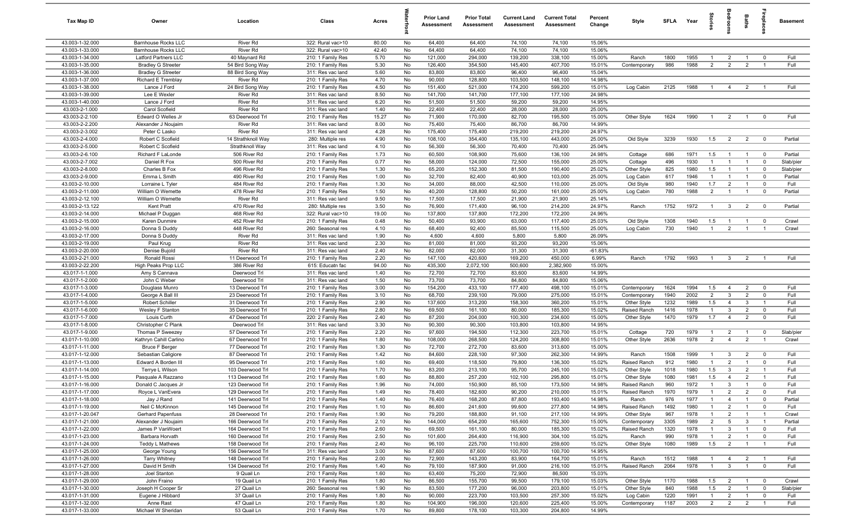| Tax Map ID                         | Owner                                           | Location                             | Class                                  | Acres        |          | <b>Prior Land</b><br>Assessment | <b>Prior Total</b><br>Assessment | <b>Current Land</b><br>Assessment | <b>Current Total</b><br><b>Assessment</b> | Percent<br>Change | Style                        | <b>SFLA</b>  | Year         | ŝ                                |                                  | Baths                            | irepla                      | <b>Basement</b> |
|------------------------------------|-------------------------------------------------|--------------------------------------|----------------------------------------|--------------|----------|---------------------------------|----------------------------------|-----------------------------------|-------------------------------------------|-------------------|------------------------------|--------------|--------------|----------------------------------|----------------------------------|----------------------------------|-----------------------------|-----------------|
| 43.003-1-32.000                    | Barnhouse Rocks LLC                             | River Rd                             | 322: Rural vac>10                      | 80.00        | No       | 64,400                          | 64,400                           | 74,100                            | 74,100                                    | 15.06%            |                              |              |              |                                  |                                  |                                  |                             |                 |
| 43.003-1-33.000                    | Barnhouse Rocks LLC                             | River Rd                             | 322: Rural vac>10                      | 42.40        | No       | 64,400                          | 64,400                           | 74,100                            | 74,100                                    | 15.06%            |                              |              |              |                                  |                                  |                                  |                             |                 |
| 43.003-1-34.000                    | Latford Partners LLC                            | 40 Maynard Rd                        | 210: 1 Family Res                      | 5.70         | No       | 121,000                         | 294,000                          | 139,200                           | 338,100                                   | 15.00%            | Ranch                        | 1800         | 1955         |                                  | $\overline{2}$                   | $\overline{1}$                   | $\mathbf 0$                 | Full            |
| 43.003-1-35.000                    | <b>Bradley G Streeter</b>                       | 54 Bird Song Way                     | 210: 1 Family Res                      | 5.30         | No       | 126,400                         | 354,500                          | 145,400                           | 407,700                                   | 15.01%            | Contemporary                 | 986          | 1988         | $\overline{2}$                   | $\overline{2}$                   | $\overline{2}$                   |                             | Full            |
| 43.003-1-36.000<br>43.003-1-37.000 | <b>Bradley G Streeter</b><br>Richard E Tremblay | 88 Bird Song Way<br>River Rd         | 311: Res vac land<br>210: 1 Family Res | 5.60<br>4.70 | No<br>No | 83,800<br>90,000                | 83,800<br>128,800                | 96,400<br>103,500                 | 96,400<br>148,100                         | 15.04%<br>14.98%  |                              |              |              |                                  |                                  |                                  |                             |                 |
| 43.003-1-38.000                    | Lance J Ford                                    | 24 Bird Song Way                     | 210: 1 Family Res                      | 4.50         | No       | 151,400                         | 521,000                          | 174,200                           | 599,200                                   | 15.01%            | Log Cabin                    | 2125         | 1988         | $\overline{1}$                   | $\overline{4}$                   | $\overline{2}$                   |                             | Full            |
| 43.003-1-39.000                    | Lee E Wexler                                    | <b>River Rd</b>                      | 311: Res vac land                      | 8.50         | No       | 141,700                         | 141,700                          | 177,100                           | 177,100                                   | 24.98%            |                              |              |              |                                  |                                  |                                  |                             |                 |
| 43.003-1-40.000                    | Lance J Ford                                    | <b>River Rd</b>                      | 311: Res vac land                      | 6.20         | No       | 51,500                          | 51,500                           | 59,200                            | 59,200                                    | 14.95%            |                              |              |              |                                  |                                  |                                  |                             |                 |
| 43.003-2-1.000                     | Carol Scofield                                  | River Rd                             | 311: Res vac land                      | 1.40         | No       | 22,400                          | 22,400                           | 28,000                            | 28,000                                    | 25.00%            |                              |              |              |                                  |                                  |                                  |                             |                 |
| 43.003-2-2.100                     | Edward O Welles Jr                              | 63 Deerwood Trl                      | 210: 1 Family Res                      | 15.27        | No       | 71,900                          | 170,000                          | 82,700                            | 195,500                                   | 15.00%            | Other Style                  | 1624         | 1990         | $\overline{1}$                   | $\overline{2}$                   | $\overline{1}$                   | $\Omega$                    | Full            |
| 43.003-2-2.200                     | Alexander J Noujaim                             | River Rd                             | 311: Res vac land                      | 8.00         | No       | 75,400                          | 75,400                           | 86,700                            | 86,700                                    | 14.99%            |                              |              |              |                                  |                                  |                                  |                             |                 |
| 43.003-2-3.002                     | Peter C Lasko                                   | River Rd                             | 311: Res vac land                      | 4.28         | No       | 175,400                         | 175,400                          | 219,200                           | 219,200                                   | 24.97%            |                              |              |              |                                  |                                  |                                  |                             |                 |
| 43.003-2-4.000                     | Robert C Scofield                               | 14 Strathknoll Way                   | 280: Multiple res                      | 4.90         | No       | 108,100                         | 354,400                          | 135,100                           | 443,000                                   | 25.00%            | Old Style                    | 3239         | 1930         | 1.5                              | $\overline{2}$                   | $\overline{2}$                   | $\mathbf 0$                 | Partial         |
| 43.003-2-5.000                     | Robert C Scofield                               | Strathknoll Way                      | 311: Res vac land                      | 4.10         | No       | 56,300                          | 56,300                           | 70,400                            | 70,400                                    | 25.04%            |                              |              |              |                                  |                                  |                                  |                             |                 |
| 43.003-2-6.100                     | Richard F LaLonde                               | 506 River Rd                         | 210: 1 Family Res                      | 1.73         | No       | 60,500                          | 108,900                          | 75,600                            | 136,100                                   | 24.98%            | Cottage                      | 686          | 1971         | 1.5                              | $\overline{1}$                   | $\overline{1}$                   | $\overline{0}$              | Partial         |
| 43.003-2-7.002                     | Daniel R Fox                                    | 500 River Rd                         | 210: 1 Family Res                      | 0.77         | No       | 58,000                          | 124,000                          | 72,500                            | 155,000                                   | 25.00%            | Cottage                      | 496          | 1930         | $\mathbf{1}$                     | $\overline{1}$                   | $\overline{1}$                   | $\mathbf 0$                 | Slab/pier       |
| 43.003-2-8.000                     | Charles B Fox                                   | 496 River Rd                         | 210: 1 Family Res                      | 1.30         | No       | 65,200                          | 152,300                          | 81,500                            | 190,400                                   | 25.02%            | Other Style                  | 825          | 1980         | 1.5<br>$\mathbf{1}$              | $\overline{1}$                   | $\overline{1}$                   | $\mathbf 0$<br>$\Omega$     | Slab/pier       |
| 43.003-2-9.000<br>43.003-2-10.000  | Emma L Smith<br>Lorraine L Tyler                | 490 River Rd<br>484 River Rd         | 210: 1 Family Res<br>210: 1 Family Res | 1.00<br>1.30 | No<br>No | 32,700<br>34,000                | 82,400<br>88,000                 | 40,900<br>42,500                  | 103,000<br>110,000                        | 25.00%<br>25.00%  | Log Cabin<br>Old Style       | 617<br>980   | 1946<br>1940 | 1.7                              | $\overline{1}$<br>$\overline{2}$ | $\overline{1}$                   | $\mathbf 0$                 | Partial<br>Full |
| 43.003-2-11.000                    | William O Wemette                               | 478 River Rd                         | 210: 1 Family Res                      | 1.50         | No       | 40,200                          | 128,800                          | 50,200                            | 161,000                                   | 25.00%            | Log Cabin                    | 780          | 1988         | 2                                | $\overline{1}$                   | $\overline{1}$                   | $\overline{0}$              | Partial         |
| 43.003-2-12.100                    | William O Wemette                               | <b>River Rd</b>                      | 311: Res vac land                      | 9.50         | No       | 17,500                          | 17,500                           | 21,900                            | 21,900                                    | 25.14%            |                              |              |              |                                  |                                  |                                  |                             |                 |
| 43.003-2-13.122                    | Kent Pratt                                      | 470 River Rd                         | 280: Multiple res                      | 3.50         | No       | 76,900                          | 171,400                          | 96,100                            | 214,200                                   | 24.97%            | Ranch                        | 1752         | 1972         | $\overline{1}$                   | $\mathbf{3}$                     | $\overline{2}$                   | $\mathbf 0$                 | Partial         |
| 43.003-2-14.000                    | Michael P Duggan                                | 468 River Rd                         | 322: Rural vac>10                      | 19.00        | No       | 137,800                         | 137,800                          | 172,200                           | 172,200                                   | 24.96%            |                              |              |              |                                  |                                  |                                  |                             |                 |
| 43.003-2-15.000                    | Karen Dunmire                                   | 452 River Rd                         | 210: 1 Family Res                      | 0.48         | No       | 50,400                          | 93,900                           | 63,000                            | 117,400                                   | 25.03%            | Old Style                    | 1308         | 1940         | 1.5                              | $\overline{1}$                   | $\overline{1}$                   | $\mathbf 0$                 | Crawl           |
| 43.003-2-16.000                    | Donna S Duddy                                   | 448 River Rd                         | 260: Seasonal res                      | 4.10         | No       | 68,400                          | 92,400                           | 85,500                            | 115,500                                   | 25.00%            | Log Cabin                    | 730          | 1940         | $\overline{1}$                   | 2                                | $\overline{1}$                   | $\overline{1}$              | Crawl           |
| 43.003-2-17.000                    | Donna S Duddy                                   | River Rd                             | 311: Res vac land                      | 1.90         | No       | 4,600                           | 4,600                            | 5,800                             | 5,800                                     | 26.09%            |                              |              |              |                                  |                                  |                                  |                             |                 |
| 43.003-2-19.000                    | Paul Krug                                       | <b>River Rd</b>                      | 311: Res vac land                      | 2.30         | No       | 81,000                          | 81,000                           | 93,200                            | 93,200                                    | 15.06%            |                              |              |              |                                  |                                  |                                  |                             |                 |
| 43.003-2-20.000                    | Denise Bujold                                   | <b>River Rd</b>                      | 311: Res vac land                      | 2.40         | No       | 82,000                          | 82,000                           | 31,300                            | 31,300                                    | $-61.83%$         |                              |              |              |                                  |                                  |                                  |                             |                 |
| 43.003-2-21.000                    | Ronald Rossi                                    | 11 Deerwood Trl                      | 210: 1 Family Res                      | 2.20         | No       | 147,100                         | 420,600                          | 169,200                           | 450,000                                   | 6.99%             | Ranch                        | 1792         | 1993         |                                  | $\mathbf{3}$                     | $\overline{2}$                   |                             | Full            |
| 43.003-2-22.200                    | High Peaks Prop LLC                             | 386 River Rd                         | 615: Educatn fac                       | 94.00        | No       | 435,300                         | 2,072,100                        | 500,600                           | 2,382,900                                 | 15.00%            |                              |              |              |                                  |                                  |                                  |                             |                 |
| 43.017-1-1.000                     | Amy S Cannava                                   | Deerwood Trl                         | 311: Res vac land                      | 1.40         | No       | 72,700                          | 72,700                           | 83,600                            | 83,600                                    | 14.99%            |                              |              |              |                                  |                                  |                                  |                             |                 |
| 43.017-1-2.000                     | John C Weber                                    | Deerwood Trl                         | 311: Res vac land                      | 1.50         | No       | 73,700<br>154,200               | 73,700<br>433,100                | 84,800<br>177,400                 | 84,800<br>498,100                         | 15.06%            |                              |              | 1994         |                                  |                                  |                                  |                             | Full            |
| 43.017-1-3.000<br>43.017-1-4.000   | Douglass Munro<br>George A Ball III             | 13 Deerwood Trl<br>23 Deerwood Trl   | 210: 1 Family Res<br>210: 1 Family Res | 3.00<br>3.10 | No<br>No | 68,700                          | 239,100                          | 79,000                            | 275,000                                   | 15.01%<br>15.01%  | Contemporary<br>Contemporary | 1624<br>1940 | 2002         | 1.5<br>$\overline{2}$            | $\overline{4}$<br>$\mathbf{3}$   | $\overline{2}$<br>$\overline{2}$ | $\mathbf 0$<br>$\mathbf{0}$ | Full            |
| 43.017-1-5.000                     | Robert Schiller                                 | 31 Deerwood Trl                      | 210: 1 Family Res                      | 2.90         | No       | 137,600                         | 313,200                          | 158,300                           | 360,200                                   | 15.01%            | Other Style                  | 1232         | 1989         | 1.5                              | $\overline{4}$                   | $\mathbf{3}$                     | $\overline{1}$              | Full            |
| 43.017-1-6.000                     | Wesley F Stanton                                | 35 Deerwood Trl                      | 210: 1 Family Res                      | 2.80         | No       | 69,500                          | 161,100                          | 80,000                            | 185,300                                   | 15.02%            | Raised Ranch                 | 1416         | 1978         | $\overline{1}$                   | 3                                | $\overline{2}$                   | $\mathbf 0$                 | Full            |
| 43.017-1-7.000                     | Louis Curth                                     | 47 Deerwood Trl                      | 220: 2 Family Res                      | 2.40         | No       | 87,200                          | 204,000                          | 100,300                           | 234,600                                   | 15.00%            | Other Style                  | 1470         | 1979         | 1.7                              | $\overline{4}$                   | $\overline{2}$                   | $\mathbf 0$                 | Full            |
| 43.017-1-8.000                     | Christopher C Plank                             | Deerwood Trl                         | 311: Res vac land                      | 3.30         | No       | 90,300                          | 90,300                           | 103,800                           | 103,800                                   | 14.95%            |                              |              |              |                                  |                                  |                                  |                             |                 |
| 43.017-1-9.000                     | Thomas P Sweezey                                | 57 Deerwood Trl                      | 210: 1 Family Res                      | 2.20         | No       | 97,600                          | 194,500                          | 112,300                           | 223,700                                   | 15.01%            | Cottage                      | 720          | 1979         | $\overline{1}$                   | $\overline{2}$                   | $\overline{1}$                   | $\mathbf 0$                 | Slab/pier       |
| 43.017-1-10.000                    | Kathryn Cahill Carlino                          | 67 Deerwood Trl                      | 210: 1 Family Res                      | 1.80         | No       | 108,000                         | 268,500                          | 124,200                           | 308,800                                   | 15.01%            | Other Style                  | 2636         | 1978         | 2                                | $\overline{4}$                   | 2                                | $\mathbf{1}$                | Crawl           |
| 43.017-1-11.000                    | <b>Bruce F Berger</b>                           | 77 Deerwood Trl                      | 210: 1 Family Res                      | 1.30         | No       | 72,700                          | 272,700                          | 83,600                            | 313,600                                   | 15.00%            |                              |              |              |                                  |                                  |                                  |                             |                 |
| 43.017-1-12.000                    | Sebastian Caligiore                             | 87 Deerwood Trl                      | 210: 1 Family Res                      | 1.42         | No       | 84,600                          | 228,100                          | 97,300                            | 262,300                                   | 14.99%            | Ranch                        | 1508         | 1999         | $\overline{1}$                   | $\mathbf{3}$                     | $\overline{2}$                   | $^{\circ}$                  | Full            |
| 43.017-1-13.000                    | Edward A Borden III                             | 95 Deerwood Trl                      | 210: 1 Family Res                      | 1.60         | No       | 69,400                          | 118,500                          | 79,800                            | 136,300                                   | 15.02%            | Raised Ranch                 | 912          | 1980         | -1                               | $\overline{2}$                   | $\overline{1}$                   | $\Omega$                    | Full            |
| 43.017-1-14.000                    | Terrye L Wilson                                 | 103 Deerwood Trl                     | 210: 1 Family Res                      | 1.70         | No       | 83,200                          | 213,100                          | 95,700                            | 245,100                                   | 15.02%            | Other Style                  | 1018         | 1980         | 1.5                              | $\mathbf{3}$                     | $\overline{2}$                   |                             | Full            |
| 43.017-1-15.000                    | Pasquale A Razzano                              | 113 Deerwood Trl                     | 210: 1 Family Res                      | 1.60         | No       | 88,800                          | 257,200                          | 102,100                           | 295,800                                   | 15.01%            | Other Style                  | 1080         | 1981         | 1.5<br>$\overline{1}$            | $\overline{4}$                   | $\overline{2}$<br>$\overline{1}$ | $\mathbf{1}$                | Full            |
| 43.017-1-16.000                    | Donald C Jacques Jr                             | 123 Deerwood Trl                     | 210: 1 Family Res                      | 1.96         | No       | 74,000                          | 150,900                          | 85,100                            | 173,500                                   | 14.98%            | Raised Ranch                 | 960          | 1972         |                                  | 3                                |                                  | $\Omega$                    | Full            |
| 43.017-1-17.000<br>43.017-1-18.000 | Royce L VanEvera<br>Jay J Rand                  | 129 Deerwood Trl<br>141 Deerwood Trl | 210: 1 Family Res<br>210: 1 Family Res | 1.49<br>1.40 | No<br>No | 78,400<br>76,400                | 182,600<br>168,200               | 90,200<br>87,800                  | 210,000<br>193,400                        | 15.01%<br>14.98%  | Raised Ranch<br>Ranch        | 1970<br>976  | 1979<br>1977 | $\overline{1}$<br>$\overline{1}$ | $\overline{2}$<br>$\overline{4}$ | $\overline{2}$<br>$\overline{1}$ | $\mathbf 0$<br>$\mathbf 0$  | Full<br>Partial |
| 43.017-1-19.000                    | Neil C McKinnon                                 | 145 Deerwood Trl                     | 210: 1 Family Res                      | 1.10         | No       | 86,600                          | 241,600                          | 99,600                            | 277,800                                   | 14.98%            | Raised Ranch                 | 1492         | 1980         | $\overline{1}$                   | $\overline{2}$                   | $\overline{1}$                   | $\mathbf 0$                 | Full            |
| 43.017-1-20.047                    | Gerhard Papenfuss                               | 28 Deerwood Trl                      | 210: 1 Family Res                      | 1.90         | No       | 79,200                          | 188,800                          | 91,100                            | 217,100                                   | 14.99%            | Other Style                  | 967          | 1978         | $\overline{1}$                   | $\overline{2}$                   | $\overline{1}$                   | $\overline{1}$              | Crawl           |
| 43.017-1-21.000                    | Alexander J Noujaim                             | 166 Deerwood Trl                     | 210: 1 Family Res                      | 2.10         | No       | 144,000                         | 654,200                          | 165,600                           | 752,300                                   | 15.00%            | Contemporary                 | 3305         | 1989         | $\overline{2}$                   | $5\overline{5}$                  | $\overline{\mathbf{3}}$          | $\overline{1}$              | Partial         |
| 43.017-1-22.000                    | James P VanWoert                                | 164 Deerwood Trl                     | 210: 1 Family Res                      | 2.60         | No       | 69,500                          | 161,100                          | 80,000                            | 185,300                                   | 15.02%            | Raised Ranch                 | 1320         | 1978         | $\overline{1}$                   | $\mathbf{3}$                     | $\overline{1}$                   | $\mathbf 0$                 | Full            |
| 43.017-1-23.000                    | Barbara Horvath                                 | 160 Deerwood Trl                     | 210: 1 Family Res                      | 2.50         | No       | 101,600                         | 264,400                          | 116,900                           | 304,100                                   | 15.02%            | Ranch                        | 990          | 1978         | $\mathbf{1}$                     | $\overline{2}$                   | $\overline{1}$                   | $\mathbf 0$                 | Full            |
| 43.017-1-24.000                    | Teddy L Mathews                                 | 158 Deerwood Trl                     | 210: 1 Family Res                      | 2.40         | No       | 96,100                          | 225,700                          | 110,600                           | 259,600                                   | 15.02%            | Other Style                  | 1080         | 1989         | 1.5                              | $\overline{2}$                   | $\overline{1}$                   | $\overline{1}$              | Full            |
| 43.017-1-25.000                    | George Young                                    | 156 Deerwood Trl                     | 311: Res vac land                      | 3.00         | No       | 87,600                          | 87,600                           | 100,700                           | 100,700                                   | 14.95%            |                              |              |              |                                  |                                  |                                  |                             |                 |
| 43.017-1-26.000                    | <b>Tarry Whitney</b>                            | 148 Deerwood Trl                     | 210: 1 Family Res                      | 2.00         | No       | 72,900                          | 143,200                          | 83,900                            | 164,700                                   | 15.01%            | Ranch                        | 1512         | 1988         | $\overline{1}$                   | $\overline{4}$                   | $\overline{2}$                   | $\overline{1}$              | Full            |
| 43.017-1-27.000                    | David H Smith                                   | 134 Deerwood Trl                     | 210: 1 Family Res                      | 1.40         | No       | 79,100                          | 187,900                          | 91,000                            | 216,100                                   | 15.01%            | Raised Ranch                 | 2064         | 1978         | $\overline{1}$                   | $\mathbf{3}$                     | $\overline{1}$                   | $\mathbf 0$                 | Full            |
| 43.017-1-28.000                    | Joel Stanton                                    | 9 Quail Ln                           | 210: 1 Family Res                      | 1.60         | No       | 63,400                          | 75,200                           | 72,900                            | 86,500                                    | 15.03%            |                              |              |              |                                  |                                  |                                  |                             |                 |
| 43.017-1-29.000                    | John Fraino                                     | 19 Quail Ln                          | 210: 1 Family Res                      | 1.80         | No       | 86,500                          | 155,700                          | 99,500                            | 179,100                                   | 15.03%            | Other Style                  | 1170         | 1988         | 1.5                              | $\overline{2}$                   | $\overline{1}$                   | $\overline{\mathbf{0}}$     | Crawl           |
| 43.017-1-30.000                    | Joseph H Cooper Sr                              | 27 Quail Ln                          | 260: Seasonal res                      | 1.90         | No       | 83,500                          | 177,200                          | 96,000                            | 203,800                                   | 15.01%            | Other Style                  | 840          | 1988         | 1.5                              | $\overline{2}$                   | $\overline{1}$                   | $\overline{0}$              | Slab/pier       |
| 43.017-1-31.000                    | Eugene J Hibbard                                | 37 Quail Ln                          | 210: 1 Family Res                      | 1.80         | No       | 90,000                          | 223,700                          | 103,500                           | 257,300                                   | 15.02%            | Log Cabin                    | 1220         | 1991         | $\mathbf{1}$                     | $\overline{2}$                   | $\overline{1}$                   | $\mathbf 0$                 | Full            |
| 43.017-1-32.000<br>43.017-1-33.000 | Anne Rast<br>Michael W Sheridan                 | 47 Quail Ln<br>53 Quail Ln           | 210: 1 Family Res<br>210: 1 Family Res | 1.80<br>1.70 | No<br>No | 104,900<br>89,800               | 196,000<br>178,100               | 120,600<br>103,300                | 225,400<br>204,800                        | 15.00%<br>14.99%  | Contemporary                 | 1187         | 2003         | $\overline{2}$                   | $\overline{2}$                   | $\overline{2}$                   | $\overline{1}$              | Full            |
|                                    |                                                 |                                      |                                        |              |          |                                 |                                  |                                   |                                           |                   |                              |              |              |                                  |                                  |                                  |                             |                 |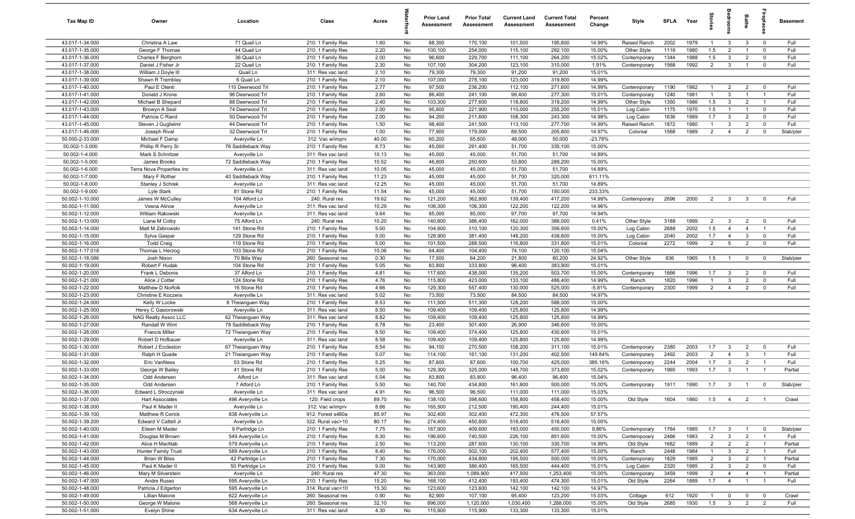| Tax Map ID                         | Owner                                  | Location                           | Class                                  | Acres         |           | <b>Prior Land</b><br>Assessment | <b>Prior Total</b><br>Assessment | <b>Current Land</b><br>Assessment | <b>Current Total</b><br>Assessment | Percent<br>Change | Style                     | <b>SFLA</b>  | Year         | tories                           | edroo                        | Baths                            | ireplac                       | <b>Basement</b> |
|------------------------------------|----------------------------------------|------------------------------------|----------------------------------------|---------------|-----------|---------------------------------|----------------------------------|-----------------------------------|------------------------------------|-------------------|---------------------------|--------------|--------------|----------------------------------|------------------------------|----------------------------------|-------------------------------|-----------------|
| 43.017-1-34.000                    | Christina A Law                        | 71 Quail Ln                        | 210: 1 Family Res                      | 1.60          | No        | 88,300                          | 170,100                          | 101,500                           | 195,600                            | 14.99%            | Raised Ranch              | 2002         | 1979         | $\overline{1}$                   | $\mathbf{3}$                 | $\mathbf{3}$                     | $\mathbf 0$                   | Full            |
| 43.017-1-35.000                    | George F Thomas                        | 44 Quail Ln                        | 210: 1 Family Res                      | 2.20          | No        | 100,100                         | 254,000                          | 115,100                           | 292,100                            | 15.00%            | Other Style               | 1116         | 1980         | 1.5                              | 2                            | $\overline{1}$                   | $\overline{0}$                | Full            |
| 43.017-1-36.000                    | Charles F Berghorn                     | 36 Quail Ln                        | 210: 1 Family Res                      | 2.00          | No        | 96,600                          | 229,700                          | 111,100                           | 264,200                            | 15.02%            | Contemporary              | 1344         | 1988         | 1.5                              | $\mathbf{3}$                 | $\overline{2}$                   | $\mathbf 0$                   | Full            |
| 43.017-1-37.000                    | Daniel J Fisher Jr                     | 22 Quail Ln                        | 210: 1 Family Res                      | 2.30          | No        | 107,100                         | 304,200                          | 123,100                           | 310,000                            | 1.91%             | Contemporary              | 1568         | 1992         | $\overline{2}$                   | $\mathbf{3}$                 | $\overline{1}$                   | $\mathbf 0$                   | Full            |
| 43.017-1-38.000                    | William J Doyle III                    | Quail Ln                           | 311: Res vac land                      | 2.10          | No        | 79,300                          | 79,300                           | 91,200                            | 91,200                             | 15.01%            |                           |              |              |                                  |                              |                                  |                               |                 |
| 43.017-1-39.000                    | Shawn R Tremblay                       | 6 Quail Ln                         | 210: 1 Family Res                      | 2.10          | No        | 107,000                         | 278,100                          | 123,000                           | 319,800                            | 14.99%            |                           |              |              |                                  |                              |                                  |                               |                 |
| 43.017-1-40.000                    | Paul E Otenti                          | 110 Deerwood Trl                   | 210: 1 Family Res                      | 2.77          | No        | 97,500                          | 236,200                          | 112,100                           | 271,600                            | 14.99%            | Contemporary              | 1190         | 1982         | -1                               | $\overline{2}$               | $\overline{2}$                   | $\mathbf 0$                   | Full            |
| 43.017-1-41.000                    | Donald J Krone                         | 96 Deerwood Trl                    | 210: 1 Family Res                      | 2.60          | No        | 86,400                          | 241,100                          | 99,400                            | 277,300                            | 15.01%            | Contemporary              | 1240         | 1981         | $\overline{1}$                   | $\mathbf{3}$                 | $\overline{1}$                   | $\overline{1}$                | Full            |
| 43.017-1-42.000                    | Michael B Shepard                      | 88 Deerwood Trl                    | 210: 1 Family Res                      | 2.40          | No        | 103,300                         | 277,600                          | 118,800                           | 319,200                            | 14.99%            | Other Style               | 1350         | 1986         | 1.5                              | $\mathbf{3}$                 | $\overline{2}$                   | $\overline{1}$                | Full            |
| 43.017-1-43.000                    | Browyn A Seal                          | 74 Deerwood Trl                    | 210: 1 Family Res                      | 2.00          | No        | 95,600                          | 221,900                          | 110,000                           | 255,200                            | 15.01%            | Log Cabin                 | 1175         | 1970         | 1.5                              | $\overline{1}$               | $\overline{1}$                   | $\mathbf 0$                   | Full            |
| 43.017-1-44.000                    | Patricia C Rand                        | 50 Deerwood Trl                    | 210: 1 Family Res                      | 2.00          | No        | 94,200                          | 211,600                          | 108,300                           | 243,300                            | 14.98%            | Log Cabin                 | 1636         | 1989         | 1.7                              | $\mathbf{3}$                 | $\overline{2}$                   | $\mathbf 0$                   | Full            |
| 43.017-1-45.000                    | Steven J Guglielmi                     | 44 Deerwood Trl                    | 210: 1 Family Res                      | 1.50          | No        | 98,400                          | 241,500                          | 113,100                           | 277,700                            | 14.99%            | Raised Ranch              | 1872         | 1980         | $\overline{1}$                   | $\overline{3}$               | $\overline{2}$                   | $\mathbf 0$                   | Full            |
| 43.017-1-46.000                    | Joseph Rival                           | 32 Deerwood Trl                    | 210: 1 Family Res                      | 1.00          | No        | 77,900                          | 179,000                          | 89,500                            | 205,800                            | 14.97%            | Colonial                  | 1568         | 1989         | 2                                | $\overline{4}$               | 2                                | $\mathbf 0$                   | Slab/pier       |
| 50.000-2-33.000                    | Michael F Damp                         | Averyville Ln                      | 312: Vac w/imprv                       | 40.00         | No        | 60,200                          | 65,600                           | 48,000                            | 50,000                             | $-23.78%$         |                           |              |              |                                  |                              |                                  |                               |                 |
| 50.002-1-3.000<br>50.002-1-4.000   | Phillip R Perry Sr<br>Mark S Schnitzer | 76 Saddleback Way<br>Averyville Ln | 210: 1 Family Res<br>311: Res vac land | 8.73<br>10.13 | No<br>No  | 45,000<br>45,000                | 291,400<br>45,000                | 51,700<br>51,700                  | 335,100<br>51,700                  | 15.00%<br>14.89%  |                           |              |              |                                  |                              |                                  |                               |                 |
| 50.002-1-5.000                     | James Brooks                           | 72 Saddleback Way                  | 210: 1 Family Res                      | 10.52         | No        | 46,800                          | 250,600                          | 53,800                            | 288,200                            | 15.00%            |                           |              |              |                                  |                              |                                  |                               |                 |
| 50.002-1-6.000                     | Terra Nova Properties Inc              | Averyville Ln                      | 311: Res vac land                      | 10.05         | No        | 45,000                          | 45,000                           | 51,700                            | 51,700                             | 14.89%            |                           |              |              |                                  |                              |                                  |                               |                 |
| 50.002-1-7.000                     | Mary F Rother                          | 40 Saddleback Way                  | 210: 1 Family Res                      | 11.23         | No        | 45,000                          | 45,000                           | 51,700                            | 320,000                            | 611.11%           |                           |              |              |                                  |                              |                                  |                               |                 |
| 50.002-1-8.000                     | Stanley J Schrek                       | Averyville Ln                      | 311: Res vac land                      | 12.25         | No        | 45,000                          | 45,000                           | 51,700                            | 51,700                             | 14.89%            |                           |              |              |                                  |                              |                                  |                               |                 |
| 50.002-1-9.000                     | Lyle Stark                             | 81 Stone Rd                        | 210: 1 Family Res                      | 11.54         | No        | 45,000                          | 45,000                           | 51,700                            | 150,000                            | 233.33%           |                           |              |              |                                  |                              |                                  |                               |                 |
| 50.002-1-10.000                    | James W McCulley                       | 104 Alford Ln                      | 240: Rural res                         | 19.62         | No        | 121,200                         | 362,800                          | 139,400                           | 417,200                            | 14.99%            | Contemporary              | 2696         | 2000         | $\overline{2}$                   | $\overline{\mathbf{3}}$      | $\mathbf{3}$                     | $\mathbf 0$                   | Full            |
| 50.002-1-11.000                    | Vesna Alince                           | Averyville Ln                      | 311: Res vac land                      | 10.29         | No        | 106,300                         | 106,300                          | 122,200                           | 122,200                            | 14.96%            |                           |              |              |                                  |                              |                                  |                               |                 |
| 50.002-1-12.000                    | William Rakowski                       | Averyville Ln                      | 311: Res vac land                      | 9.64          | No        | 85,000                          | 85,000                           | 97,700                            | 97,700                             | 14.94%            |                           |              |              |                                  |                              |                                  |                               |                 |
| 50.002-1-13.000                    | Liane M Colby                          | 75 Alford Ln                       | 240: Rural res                         | 10.20         | No        | 140,800                         | 386,400                          | 162,000                           | 388,000                            | 0.41%             | Other Style               | 3188         | 1999         | $\overline{2}$                   | $\mathbf{3}$                 | $\overline{2}$                   | $\overline{0}$                | Full            |
| 50.002-1-14.000                    | Matt M Zebrowski                       | 141 Stone Rd                       | 210: 1 Family Res                      | 5.00          | No        | 104,600                         | 310,100                          | 120,300                           | 356,600                            | 15.00%            | Log Cabin                 | 2688         | 2002         | 1.5                              | $\overline{4}$               | $\overline{4}$                   | $\overline{1}$                | Full            |
| 50.002-1-15.000                    | Sylva Gaspar                           | 129 Stone Rd                       | 210: 1 Family Res                      | 5.00          | No        | 128,900                         | 381,400                          | 148,200                           | 438,600                            | 15.00%            | Log Cabin                 | 2040         | 2002         | 1.7                              | $\overline{4}$               | $\mathbf{3}$                     | $\mathbf 0$                   | Full            |
| 50.002-1-16.000                    | <b>Todd Craig</b>                      | 119 Stone Rd                       | 210: 1 Family Res                      | 5.00          | No        | 101,500                         | 288,500                          | 116,800                           | 331,800                            | 15.01%            | Colonial                  | 2272         | 1999         | $\overline{2}$                   | 5                            | $\overline{2}$                   | $\mathbf 0$                   | Full            |
| 50.002-1-17.018                    | Thomas L Herzog                        | 103 Stone Rd                       | 210: 1 Family Res                      | 10.06         | No        | 64,400                          | 104,400                          | 74,100                            | 120,100                            | 15.04%            |                           |              |              |                                  |                              |                                  |                               |                 |
| 50.002-1-18.086                    | Josh Nixon                             | 70 Bills Way                       | 260: Seasonal res                      | 0.30          | No        | 17,500                          | 64,200                           | 21,800                            | 80,200                             | 24.92%            | Other Style               | 936          | 1965         | 1.5                              |                              | $\mathbf 0$                      | $\mathbf 0$                   | Slab/pier       |
| 50.002-1-19.000                    | Robert F Hudak                         | 104 Stone Rd                       | 210: 1 Family Res                      | 5.05          | No        | 83,800                          | 333,800                          | 96,400                            | 383,900                            | 15.01%            |                           |              |              |                                  |                              |                                  |                               |                 |
| 50.002-1-20.000                    | Frank L Debonis                        | 37 Alford Ln                       | 210: 1 Family Res                      | 4.81          | <b>No</b> | 117,600                         | 438,000                          | 135,200                           | 503,700                            | 15.00%            | Contemporary              | 1666         | 1996         | 1.7                              | $\mathbf{3}$                 | $\overline{2}$                   | $\mathbf 0$                   | Full            |
| 50.002-1-21.000                    | Alice J Cotter                         | 124 Stone Rd                       | 210: 1 Family Res                      | 4.76          | No        | 115,800                         | 423,000                          | 133,100                           | 486,400                            | 14.99%            | Ranch                     | 1820         | 1996         | $\overline{1}$                   | 3                            | $\overline{2}$                   | $\mathbf 0$                   | Full            |
| 50.002-1-22.000                    | Matthew D Norfolk                      | 16 Stone Rd                        | 210: 1 Family Res                      | 4.66          | No        | 129,300                         | 557,400                          | 130,000                           | 525,000                            | $-5.81%$          | Contemporary              | 2300         | 1999         | $\overline{2}$                   | $\overline{4}$               | $\overline{2}$                   | $\mathbf{0}$                  | Full            |
| 50.002-1-23.000                    | Christine E Koczera                    | Averyville Ln                      | 311: Res vac land                      | 5.02          | No        | 73,500                          | 73,500                           | 84,500                            | 84,500                             | 14.97%            |                           |              |              |                                  |                              |                                  |                               |                 |
| 50.002-1-24.000<br>50.002-1-25.000 | Kelly W Locke<br>Henry C Gasiorowski   | 8 Theianguen Way<br>Averyville Ln  | 210: 1 Family Res<br>311: Res vac land | 8.53<br>8.50  | No<br>No  | 111,500<br>109,400              | 511,300<br>109,400               | 128,200<br>125,800                | 588,000<br>125,800                 | 15.00%<br>14.99%  |                           |              |              |                                  |                              |                                  |                               |                 |
| 50.002-1-26.000                    | NAG Realty Assoc LLC                   | 62 Theianguen Way                  | 311: Res vac land                      | 8.82          | No        | 109,400                         | 109,400                          | 125,800                           | 125,800                            | 14.99%            |                           |              |              |                                  |                              |                                  |                               |                 |
| 50.002-1-27.000                    | Randall W Wint                         | 78 Saddleback Way                  | 210: 1 Family Res                      | 8.78          | No        | 23,400                          | 301,400                          | 26,900                            | 346,600                            | 15.00%            |                           |              |              |                                  |                              |                                  |                               |                 |
| 50.002-1-28.000                    | <b>Francis Miller</b>                  | 72 Theianguen Way                  | 210: 1 Family Res                      | 8.50          | No        | 109,400                         | 374,400                          | 125,800                           | 430,600                            | 15.01%            |                           |              |              |                                  |                              |                                  |                               |                 |
| 50.002-1-29.000                    | Robert D Hofbauer                      | Averyville Ln                      | 311: Res vac land                      | 8.58          | No        | 109,400                         | 109,400                          | 125,800                           | 125,800                            | 14.99%            |                           |              |              |                                  |                              |                                  |                               |                 |
| 50.002-1-30.000                    | Robert J Eccleston                     | 67 Theianguen Way                  | 210: 1 Family Res                      | 8.54          | No        | 94,100                          | 270,500                          | 108,200                           | 311,100                            | 15.01%            | Contemporary              | 2380         | 2003         | 1.7                              | $\overline{3}$               | $\overline{2}$                   | $\mathbf 0$                   | Full            |
| 50.002-1-31.000                    | Ralph H Quade                          | 21 Theianguen Way                  | 210: 1 Family Res                      | 5.07          | No        | 114,100                         | 161,100                          | 131,200                           | 402,500                            | 149.84%           | Contemporary              | 2492         | 2003         | $\overline{2}$                   | $\overline{4}$               | $\overline{3}$                   | $\overline{1}$                | Full            |
| 50.002-1-32.000                    | Eric VanNess                           | 53 Stone Rd                        | 210: 1 Family Res                      | 5.25          | No        | 87,600                          | 87,600                           | 100,700                           | 425,000                            | 385.16%           | Contemporary              | 2244         | 2004         | 1.7                              | $\mathbf{3}$                 | $\overline{2}$                   | $\overline{1}$                | Full            |
| 50.002-1-33.000                    | George W Bailey                        | 41 Stone Rd                        | 210: 1 Family Res                      | 5.00          | No        | 129,300                         | 325,000                          | 148,700                           | 373,800                            | 15.02%            | Contemporary              | 1965         | 1993         | 1.7                              | $\mathbf{3}$                 | -1                               |                               | Partial         |
| 50.002-1-34.000                    | Odd Andersen                           | Alford Ln                          | 311: Res vac land                      | 5.04          | No        | 83,800                          | 83,800                           | 96,400                            | 96,400                             | 15.04%            |                           |              |              |                                  |                              |                                  |                               |                 |
| 50.002-1-35.000                    | Odd Andersen                           | 7 Alford Ln                        | 210: 1 Family Res                      | 5.50          | No        | 140,700                         | 434,800                          | 161,800                           | 500,000                            | 15.00%            | Contemporary              | 1911         | 1990         | 1.7                              | $\overline{\mathbf{3}}$      | $\overline{1}$                   |                               | Slab/pier       |
| 50.002-1-36.000                    | Edward L Stroczynski                   | Averyville Ln                      | 311: Res vac land                      | 4.91          | No        | 96,500                          | 96,500                           | 111,000                           | 111,000                            | 15.03%            |                           |              |              |                                  |                              |                                  |                               |                 |
| 50.002-1-37.000                    | <b>Hart Associates</b>                 | 496 Averyville Ln                  | 120: Field crops                       | 89.70         | No        | 138,100                         | 398,600                          | 158,800                           | 458,400                            | 15.00%            | Old Style                 | 1604         | 1860         | 1.5                              | $\overline{4}$               | 2                                | $\overline{1}$                | Crawl           |
| 50.002-1-38.000                    | Paul K Mader II                        | Averyville Ln                      | 312: Vac w/imprv                       | 8.66          | No        | 165,500                         | 212,500                          | 190,400                           | 244,400                            | 15.01%            |                           |              |              |                                  |                              |                                  |                               |                 |
| 50.002-1-39.100                    | Matthew R Cerick                       | 838 Averyville Ln                  | 912: Forest s480a                      | 85.97         | No        | 302,400                         | 302,400                          | 472,300                           | 476,500                            | 57.57%            |                           |              |              |                                  |                              |                                  |                               |                 |
| 50.002-1-39.200                    | Edward V Cattell Jr                    | Averyville Ln                      | 322: Rural vac>10                      | 80.17         | No        | 274,400                         | 450,800                          | 518,400                           | 518,400                            | 15.00%            |                           |              |              |                                  |                              |                                  |                               |                 |
| 50.002-1-40.000                    | Eileen M Mader                         | 9 Partridge Ln                     | 210: 1 Family Res                      | 7.75          | No        | 167,900                         | 409,600                          | 193,000                           | 450,000                            | 9.86%             | Contemporary              | 1764         | 1985         | 1.7                              | $\mathbf{3}$                 | $\overline{1}$                   | $\overline{0}$                | Slab/pier       |
| 50.002-1-41.000                    | Douglas M Brown                        | 549 Averyville Ln                  | 210: 1 Family Res                      | 8.30          | No        | 196,600                         | 740,500                          | 226,100                           | 851,600                            | 15.00%            | Contemporary              | 2466         | 1983         | $\overline{2}$                   | $\mathbf{3}$                 | $\overline{2}$                   | $\overline{1}$                | Full            |
| 50.002-1-42.000                    | Alice H MacNab                         | 579 Averyville Ln                  | 210: 1 Family Res                      | 2.50          | No        | 113,200                         | 287,600                          | 130,100                           | 330,700                            | 14.99%            | Old Style                 | 1682         | 1889         | $\overline{2}$<br>$\overline{1}$ | $\overline{2}$               | $\overline{2}$                   | $\overline{1}$                | Partial         |
| 50.002-1-43.000                    | Hunter Family Trust                    | 589 Averyville Ln                  | 210: 1 Family Res                      | 8.40          | No        | 176,000                         | 502,100                          | 202,400                           | 577,400                            | 15.00%            | Ranch                     | 2448         | 1984         |                                  | 3                            | $\overline{2}$                   | $\overline{1}$                | Full            |
| 50.002-1-44.000<br>50.002-1-45.000 | Brian W Bliss<br>Paul K Mader II       | 42 Partridge Ln<br>50 Partridge Ln | 210: 1 Family Res<br>210: 1 Family Res | 7.30<br>9.00  | No<br>No  | 170,000<br>143,900              | 434,800<br>386,400               | 195,500<br>165,500                | 500,000<br>444,400                 | 15.00%<br>15.01%  | Contemporary<br>Log Cabin | 1829<br>2320 | 1985<br>1985 | $\overline{2}$<br>$\overline{2}$ | $\mathbf{3}$<br>$\mathbf{3}$ | $\overline{2}$<br>$\overline{2}$ | $\overline{1}$<br>$\mathbf 0$ | Partial<br>Full |
| 50.002-1-46.000                    | Mary M Silverstein                     | Averyville Ln                      | 240: Rural res                         | 47.30         | No        | 363,000                         | 1,089,900                        | 417,500                           | 1,253,400                          | 15.00%            | Contemporary              | 3459         | 1999         | $\overline{2}$                   | $\overline{4}$               | $\overline{4}$                   | $\overline{1}$                | Partial         |
| 50.002-1-47.000                    | Andre Russo                            | 595 Averyville Ln                  | 210: 1 Family Res                      | 15.20         | No        | 168,100                         | 412,400                          | 193,400                           | 474,300                            | 15.01%            | Old Style                 | 2264         | 1889         | 1.7                              | $\overline{4}$               | $\overline{1}$                   | $\overline{1}$                | Full            |
| 50.002-1-48.000                    | Patricia J Edgerton                    | 595 Averyville Ln                  | 314: Rural vac<10                      | 15.30         | No        | 123,600                         | 123,600                          | 142,100                           | 142,100                            | 14.97%            |                           |              |              |                                  |                              |                                  |                               |                 |
| 50.002-1-49.000                    | Lillian Malone                         | 622 Averyville Ln                  | 260: Seasonal res                      | 0.90          | No        | 82,900                          | 107,100                          | 95,400                            | 123,200                            | 15.03%            | Cottage                   | 612          | 1920         | $\overline{1}$                   | $\mathbf 0$                  | $\mathbf{0}$                     | $\overline{0}$                | Crawl           |
| 50.002-1-50.000                    | George W Malone                        | 568 Averyville Ln                  | 260: Seasonal res                      | 32.10         | No        | 896,000                         | 1,120,000                        | 1,030,400                         | 1,288,000                          | 15.00%            | Old Style                 | 2685         | 1930         | 1.5                              | $\mathbf{3}$                 | $\overline{2}$                   | $\overline{2}$                | Full            |
| 50.002-1-51.000                    | Evelyn Shine                           | 634 Averyville Ln                  | 311: Res vac land                      | 4.30          | No        | 115,900                         | 115,900                          | 133,300                           | 133,300                            | 15.01%            |                           |              |              |                                  |                              |                                  |                               |                 |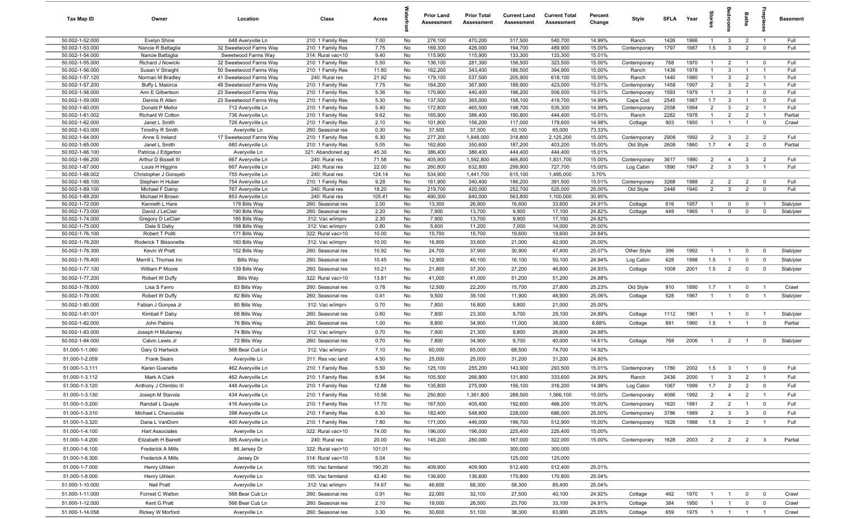| <b>Tax Map ID</b>                  | Owner                                | Location                                         | Class                                  | Acres           |          | <b>Prior Land</b><br>Assessment | <b>Prior Total</b><br>Assessment | <b>Current Land</b><br>Assessment | <b>Current Total</b><br>Assessment | Percent<br>Change | Style                     | <b>SFLA</b>  | Year         | Stories                      |                                | Baths                          | eplac                            | <b>Basement</b> |
|------------------------------------|--------------------------------------|--------------------------------------------------|----------------------------------------|-----------------|----------|---------------------------------|----------------------------------|-----------------------------------|------------------------------------|-------------------|---------------------------|--------------|--------------|------------------------------|--------------------------------|--------------------------------|----------------------------------|-----------------|
| 50.002-1-52.000                    | Evelyn Shine                         | 648 Averyville Ln                                | 210: 1 Family Res                      | 7.00            | No       | 276,100                         | 470,200                          | 317,500                           | 540,700                            | 14.99%            | Ranch                     | 1426         | 1966         | $\overline{1}$               | -3                             | $\overline{2}$                 | $\overline{1}$                   | Full            |
| 50.002-1-53.000                    | Nancie R Battaglia                   | 32 Sweetwood Farms Way                           | 210: 1 Family Res                      | 7.75            | No       | 169,300                         | 426,000                          | 194,700                           | 489,900                            | 15.00%            | Contemporary              | 1797         | 1987         | 1.5                          | $\mathbf{3}$                   | $\overline{2}$                 | $\overline{0}$                   | Full            |
| 50.002-1-54.000                    | Nancie Battaglia                     | Sweetwood Farms Way                              | 314: Rural vac<10                      | 9.40            | No       | 115,900                         | 115,900                          | 133,300                           | 133,300                            | 15.01%            |                           |              |              |                              |                                |                                |                                  |                 |
| 50.002-1-55.000                    | Richard J Nowicki                    | 32 Sweetwood Farms Way                           | 210: 1 Family Res                      | 5.50            | No       | 136,100                         | 281,300                          | 156,500                           | 323,500                            | 15.00%            | Contemporary              | 768          | 1970         | $\mathbf{1}$                 | $\overline{2}$                 | $\overline{1}$                 | $\overline{0}$                   | Full            |
| 50.002-1-56.000<br>50.002-1-57.120 | Susan V Straight<br>Norman M Bradley | 50 Sweetwood Farms Way<br>41 Sweetwood Farms Way | 210: 1 Family Res<br>240: Rural res    | 11.80<br>21.92  | No<br>No | 162,200<br>179,100              | 343,400<br>537,500               | 186,500<br>205,900                | 394,900<br>618,100                 | 15.00%<br>15.00%  | Ranch<br>Ranch            | 1436<br>1440 | 1978<br>1980 | $\mathbf{1}$<br>$\mathbf{1}$ | 3<br>3                         | $\mathbf{1}$<br>$\overline{2}$ | $\overline{1}$<br>$\overline{1}$ | Full<br>Full    |
| 50.002-1-57.200                    | Buffy L Maiorca                      | 49 Sweetwood Farms Way                           | 210: 1 Family Res                      | 7.75            | No       | 164,200                         | 367,800                          | 188,900                           | 423,000                            | 15.01%            | Contemporary              | 1458         | 1997         | 2                            | 3                              | 2                              | $\overline{1}$                   | Full            |
| 50.002-1-58.000                    | Ann E Gilbertson                     | 23 Sweetwood Farms Way                           | 210: 1 Family Res                      | 5.36            | No       | 170,600                         | 440,400                          | 196,200                           | 506,500                            | 15.01%            | Contemporary              | 1593         | 1979         |                              | 3                              | $\overline{1}$                 | $\overline{0}$                   | Full            |
| 50.002-1-59.000                    | Dennis R Allen                       | 23 Sweetwood Farms Way                           | 210: 1 Family Res                      | 5.30            | No       | 137,500                         | 365,000                          | 158,100                           | 419,700                            | 14.99%            | Cape Cod                  | 2545         | 1987         | 1.7                          | 3                              |                                | $\overline{0}$                   | Full            |
| 50.002-1-60.000                    | Donald P Mellor                      | 712 Averyville Ln                                | 210: 1 Family Res                      | 5.40            | No       | 172,800                         | 465,500                          | 198,700                           | 535,300                            | 14.99%            | Contemporary              | 2558         | 1994         | 2                            | 3                              | $\overline{2}$                 | $\overline{1}$                   | Full            |
| 50.002-1-61.002                    | Richard W Cotton                     | 736 Averyville Ln                                | 210: 1 Family Res                      | 9.62            | No       | 165,900                         | 386,400                          | 190,800                           | 444,400                            | 15.01%            | Ranch                     | 2282         | 1978         | $\overline{1}$               | $\overline{2}$                 | $\overline{2}$                 | $\overline{1}$                   | Partial         |
| 50.002-1-62.000                    | Janet L Smith                        | 726 Averyville Ln                                | 210: 1 Family Res                      | 2.10            | No       | 101,800                         | 156,200                          | 117,000                           | 179,600                            | 14.98%            | Cottage                   | 903          | 1950         | $\overline{1}$               | $\overline{1}$                 | $\overline{1}$                 | $\overline{0}$                   | Crawl           |
| 50.002-1-63.000                    | Timothy R Smith                      | Averyville Ln                                    | 260: Seasonal res                      | 0.30<br>6.30    | No       | 37,500                          | 37,500                           | 43,100                            | 65,000                             | 73.33%            |                           | 2908         | 1992         |                              |                                | $\overline{2}$                 | $\overline{2}$                   | Full            |
| 50.002-1-64.000<br>50.002-1-65.000 | Anne S Ireland<br>Janet L Smith      | 17 Sweetwood Farms Way<br>680 Averyville Ln      | 210: 1 Family Res<br>210: 1 Family Res | 5.05            | No<br>No | 277,200<br>162,800              | 1,848,000<br>350,600             | 318,800<br>187,200                | 2,125,200<br>403,200               | 15.00%<br>15.00%  | Contemporary<br>Old Style | 2608         | 1860         | $\overline{2}$<br>1.7        | $\mathbf{3}$<br>$\overline{4}$ | $\overline{2}$                 | $\mathbf{0}$                     | Partial         |
| 50.002-1-66.100                    | Patricia J Edgerton                  | Averyville Ln                                    | 321: Abandoned ag                      | 45.30           | No       | 386,400                         | 386,400                          | 444,400                           | 444,400                            | 15.01%            |                           |              |              |                              |                                |                                |                                  |                 |
| 50.002-1-66.200                    | Arthur D Bissell III                 | 667 Averyville Ln                                | 240: Rural res                         | 71.58           | No       | 405,900                         | 1,592,800                        | 466,800                           | 1,831,700                          | 15.00%            | Contemporary              | 3617         | 1990         | $\overline{2}$               | $\overline{4}$                 | $\mathbf{3}$                   | $\overline{2}$                   | Full            |
| 50.002-1-67.000                    | Louis H Higgins                      | 667 Averyville Ln                                | 240: Rural res                         | 22.00           | No       | 260,800                         | 632,800                          | 299,900                           | 727,700                            | 15.00%            | Log Cabin                 | 1890         | 1947         | 2                            | $\mathbf{3}$                   | $\mathbf{3}$                   | $\overline{1}$                   | Full            |
| 50.002-1-68.002                    | Christopher J Gorayeb                | 755 Averyville Ln                                | 240: Rural res                         | 124.14          | No       | 534,900                         | 1,441,700                        | 615,100                           | 1,495,000                          | 3.70%             |                           |              |              |                              |                                |                                |                                  |                 |
| 50.002-1-68.100                    | Stephen H Huber                      | 754 Averyville Ln                                | 210: 1 Family Res                      | 9.28            | No       | 161,900                         | 340,400                          | 186,200                           | 391,500                            | 15.01%            | Contemporary              | 3268         | 1988         | $\overline{2}$               | $\overline{2}$                 | $\overline{2}$                 | $\overline{0}$                   | Full            |
| 50.002-1-69.100<br>50.002-1-69.200 | Michael F Damp<br>Michael H Brown    | 767 Averyville Ln<br>853 Averyville Ln           | 240: Rural res<br>240: Rural res       | 18.20<br>105.41 | No<br>No | 219,700<br>490,300              | 420,000<br>840,000               | 252,700<br>563,800                | 525,000<br>1,100,000               | 25.00%<br>30.95%  | Old Style                 | 2448         | 1940         | $\overline{2}$               | $\mathbf{3}$                   | $\overline{2}$                 | $\overline{\mathbf{0}}$          | Full            |
| 50.002-1-72.000                    | Kenneth L Hare                       | 178 Bills Way                                    | 260: Seasonal res                      | 2.00            | No       | 13,300                          | 26,900                           | 16,600                            | 33,600                             | 24.91%            | Cottage                   | 616          | 1957         | -1                           | $^{\circ}$                     | $\mathbf 0$                    | $\overline{1}$                   | Slab/pier       |
| 50.002-1-73.000                    | David J LeClair                      | 190 Bills Way                                    | 260: Seasonal res                      | 2.20            | No       | 7,900                           | 13,700                           | 9,900                             | 17,100                             | 24.82%            | Cottage                   | 448          | 1965         | $\overline{1}$               | $\mathbf 0$                    | $\Omega$                       | $\overline{0}$                   | Slab/pier       |
| 50.002-1-74.000                    | Gregory D LeClair                    | 185 Bills Way                                    | 312: Vac w/imprv                       | 2.30            | No       | 7,900                           | 13,700                           | 9,900                             | 17,100                             | 24.82%            |                           |              |              |                              |                                |                                |                                  |                 |
| 50.002-1-75.000                    | Dale S Daby                          | 198 Bills Way                                    | 312: Vac w/imprv                       | 0.80            | No       | 5,600                           | 11,200                           | 7,000                             | 14,000                             | 25.00%            |                           |              |              |                              |                                |                                |                                  |                 |
| 50.002-1-76.100                    | Robert T Politi                      | 171 Bills Way                                    | 322: Rural vac>10                      | 10.00           | No       | 15,700                          | 15,700                           | 19,600                            | 19,600                             | 24.84%            |                           |              |              |                              |                                |                                |                                  |                 |
| 50.002-1-76.200                    | Roderick T Bissonette                | 160 Bills Way                                    | 312: Vac w/imprv                       | 10.00           | No       | 16,800                          | 33,600                           | 21,000                            | 42,000                             | 25.00%            |                           |              |              |                              |                                |                                |                                  |                 |
| 50.002-1-76.300                    | Kevin W Pratt                        | 152 Bills Way                                    | 260: Seasonal res                      | 10.92           | No       | 24,700                          | 37,900                           | 30,900                            | 47,400                             | 25.07%            | Other Style               | 396          | 1992         | $\overline{1}$               | $\overline{1}$                 | $\mathbf 0$                    | $\overline{0}$                   | Slab/pier       |
| 50.002-1-76.400                    | Merrill L Thomas Inc                 | <b>Bills Way</b>                                 | 260: Seasonal res                      | 10.45           | No       | 12,900                          | 40,100                           | 16,100                            | 50,100                             | 24.94%            | Log Cabin                 | 628          | 1998         | 1.5                          | $\overline{1}$                 | $\mathbf 0$                    | $\overline{0}$                   | Slab/pier       |
| 50.002-1-77.100                    | William P Moore                      | 139 Bills Way                                    | 260: Seasonal res                      | 10.21           | No       | 21,800                          | 37,300                           | 27,200                            | 46,600                             | 24.93%            | Cottage                   | 1008         | 2001         | 1.5                          | $\overline{2}$                 | $\mathbf{0}$                   | $\mathbf{0}$                     | Slab/pier       |
| 50.002-1-77.200                    | Robert W Duffy                       | <b>Bills Way</b>                                 | 322: Rural vac>10                      | 13.81           | No       | 41,000                          | 41,000                           | 51,200                            | 51,200                             | 24.88%            |                           |              |              |                              |                                |                                |                                  |                 |
| 50.002-1-78.000                    | Lisa S Favro                         | 83 Bills Way                                     | 260: Seasonal res                      | 0.78            | No       | 12,500                          | 22,200                           | 15,700                            | 27,800                             | 25.23%            | Old Style                 | 910          | 1890         | 1.7                          | $\overline{1}$                 | $\mathbf 0$                    | $\overline{1}$                   | Crawl           |
| 50.002-1-79.000                    | Robert W Duffy                       | 82 Bills Way                                     | 260: Seasonal res                      | 0.41            | No       | 9,500                           | 39,100                           | 11,900                            | 48,900                             | 25.06%            | Cottage                   | 528          | 1967         | $\mathbf{1}$                 | $\overline{1}$                 | $\mathbf 0$                    | $\overline{1}$                   | Slab/pier       |
| 50.002-1-80.000                    | Fabian J Gonyea Jr                   | 80 Bills Way                                     | 312: Vac w/imprv                       | 0.70            | No       | 7,800                           | 16,800                           | 9,800                             | 21,000                             | 25.00%            |                           |              |              |                              |                                |                                |                                  |                 |
| 50.002-1-81.001                    | Kimball F Daby                       | 68 Bills Way                                     | 260: Seasonal res                      | 0.60            | No       | 7,800                           | 23,300                           | 9,700                             | 29,100                             | 24.89%            | Cottage                   | 1112         | 1961         | $\overline{1}$               | $\overline{1}$                 | $\mathbf 0$                    | $\overline{1}$                   | Slab/pier       |
| 50.002-1-82.000                    | John Pabins                          | 76 Bills Way                                     | 260: Seasonal res                      | 1.00            | No       | 8,800                           | 34,900                           | 11,000                            | 38,000                             | 8.88%             | Cottage                   | 891          | 1960         | 1.5                          | $\overline{1}$                 | $\mathbf{1}$                   | $\Omega$                         | Partial         |
| 50.002-1-83.000                    | Joseph H Mullarney                   | 74 Bills Way                                     | 312: Vac w/imprv                       | 0.70            | No       | 7,900                           | 21,300                           | 9,800                             | 26,600                             | 24.88%            |                           |              |              |                              |                                |                                |                                  |                 |
| 50.002-1-84.000                    | Calvin Lewis Jr                      | 72 Bills Way                                     | 260: Seasonal res                      | 0.70            | No       | 7,800                           | 34,900                           | 9,700                             | 40,000                             | 14.61%            | Cottage                   | 768          | 2006         | $\overline{1}$               | $\overline{2}$                 | $\overline{1}$                 | $\overline{0}$                   | Slab/pier       |
| 51.000-1-1.060                     | Gary G Hartwick                      | 566 Bear Cub Ln                                  | 312: Vac w/imprv                       | 7.10            | No       | 60,000                          | 65,000                           | 68,500                            | 74,700                             | 14.92%            |                           |              |              |                              |                                |                                |                                  |                 |
| 51.000-1-2.059                     | <b>Frank Sears</b>                   | Averyville Ln                                    | 311: Res vac land                      | 4.50            | No       | 25,000                          | 25,000                           | 31,200                            | 31,200                             | 24.80%            |                           |              |              |                              |                                |                                |                                  |                 |
| 51.000-1-3.111                     | Karen Guenette                       | 462 Averyville Ln                                | 210: 1 Family Res                      | 5.50            | No       | 125,100                         | 255,200                          | 143,900                           | 293,500                            | 15.01%            | Contemporary              | 1780         | 2002         | 1.5                          | 3                              | $\overline{1}$                 | $\overline{0}$                   | Full            |
| 51.000-1-3.112                     | Mark A Clark                         | 462 Averyville Ln                                | 210: 1 Family Res                      | 8.94            | No       | 105,500                         | 266,900                          | 131,800                           | 333,600                            | 24.99%            | Ranch                     | 2436         | 2000         | $\overline{1}$               | $\mathbf{3}$                   | $\overline{2}$                 | $\overline{1}$                   | Full            |
| 51.000-1-3.120                     | Anthony J Chimblo III                | 448 Averyville Ln                                | 210: 1 Family Res                      | 12.88           | No       | 135,800                         | 275,000                          | 156,100                           | 316,200                            | 14.98%            | Log Cabin                 | 1067         | 1999         | 1.7                          | 2                              | 2                              | 0                                | Full            |
| 51.000-1-3.130                     | Joseph M Stavola                     | 434 Averyville Ln                                | 210: 1 Family Res                      | 10.56           | No       | 250,800                         | 1,361,800                        | 288,500                           | 1,566,100                          | 15.00%            | Contemporary              | 4066         | 1992         | $\overline{2}$               | $\overline{4}$                 | $\overline{2}$                 | $\overline{1}$                   | Full            |
| 51.000-1-3.200                     | Randall L Quayle                     | 416 Averyville Ln                                | 210: 1 Family Res                      | 17.70           | No       | 167,500                         | 405,400                          | 192,600                           | 466,200                            | 15.00%            | Contemporary              | 1620         | 1981         | $\overline{2}$               | $\overline{2}$                 | $\overline{1}$                 | $\overline{0}$                   | Full            |
| 51.000-1-3.310                     | Michael L Chavoustie                 | 398 Averyville Ln                                | 210: 1 Family Res                      | 6.30            | No       | 182,400                         | 548,800                          | 228,000                           | 686,000                            | 25.00%            | Contemporary              | 3786         | 1989         | $\overline{2}$               | $\mathbf{3}$                   | $\mathbf{3}$                   | $\overline{0}$                   | Full            |
| 51.000-1-3.320                     | Dana L VanDorn                       |                                                  |                                        | 7.80            | No       | 171,000                         | 446,000                          | 196,700                           | 512,900                            | 15.00%            |                           | 1626         | 1988         | 1.5                          | $\overline{\mathbf{3}}$        | $\overline{2}$                 | $\overline{1}$                   | Full            |
|                                    | <b>Hart Associates</b>               | 400 Averyville Ln                                | 210: 1 Family Res                      |                 |          |                                 |                                  |                                   |                                    | 15.00%            | Contemporary              |              |              |                              |                                |                                |                                  |                 |
| 51.000-1-4.100                     |                                      | Averyville Ln                                    | 322: Rural vac>10                      | 74.00           | No       | 196,000                         | 196,000                          | 225,400                           | 225,400                            |                   |                           |              |              |                              |                                |                                |                                  |                 |
| 51.000-1-4.200                     | Elizabeth H Barrett                  | 395 Averyville Ln                                | 240: Rural res                         | 20.00           | No       | 145,200                         | 280,000                          | 167,000                           | 322,000                            | 15.00%            | Contemporary              | 1628         | 2003         | $\overline{2}$               | $\overline{2}$                 | $\overline{2}$                 | $\overline{\mathbf{3}}$          | Partial         |
| 51.000-1-6.100                     | Frederick A Mills                    | 86 Jersey Dr                                     | 322: Rural vac>10                      | 101.01          | No       |                                 |                                  | 300,000                           | 300,000                            |                   |                           |              |              |                              |                                |                                |                                  |                 |
| 51.000-1-6.300                     | <b>Frederick A Mills</b>             | Jersey Dr                                        | 314: Rural vac<10                      | 5.04            | No       |                                 |                                  | 125,000                           | 125,000                            |                   |                           |              |              |                              |                                |                                |                                  |                 |
| 51.000-1-7.000                     | Henry Uihlein                        | Averyville Ln                                    | 105: Vac farmland                      | 190.20          | No       | 409,900                         | 409,900                          | 512,400                           | 512,400                            | 25.01%            |                           |              |              |                              |                                |                                |                                  |                 |
| 51.000-1-8.000                     | Henry Uihlein                        | Averyville Ln                                    | 105: Vac farmland                      | 42.40           | No       | 136,600                         | 136,600                          | 170,800                           | 170,800                            | 25.04%            |                           |              |              |                              |                                |                                |                                  |                 |
| 51.000-1-10.000                    | Neil Pratt                           | Averyville Ln                                    | 312: Vac w/imprv                       | 74.67           | No       | 46,600                          | 68,300                           | 58,300                            | 85,400                             | 25.04%            |                           |              |              |                              |                                |                                |                                  |                 |
| 51.000-1-11.000                    | Forrest C Walton                     | 566 Bear Cub Ln                                  | 260: Seasonal res                      | 0.91            | No       | 22,000                          | 32,100                           | 27,500                            | 40,100                             | 24.92%            | Cottage                   | 462          | 1970         | $\mathbf{1}$                 | $\overline{1}$                 | $\mathbf 0$                    | $\overline{\mathbf{0}}$          | Crawl           |
| 51.000-1-12.000                    | Kent G Pratt                         | 566 Bear Cub Ln                                  | 260: Seasonal res                      | 2.10            | No       | 19,000                          | 26,500                           | 23,700                            | 33,100                             | 24.91%            | Cottage                   | 384          | 1950         | $\mathbf{1}$                 | $\overline{1}$                 | $\mathbf{0}$                   | $\overline{0}$                   | Crawl           |
| 51.000-1-14.058                    | Rickey W Morford                     | Averyville Ln                                    | 260: Seasonal res                      | 3.30            | No       | 30,600                          | 51,100                           | 38,300                            | 63,900                             | 25.05%            | Cottage                   | 659          | 1975         | 1                            | $\overline{1}$                 | $\overline{1}$                 | $\overline{1}$                   | Crawl           |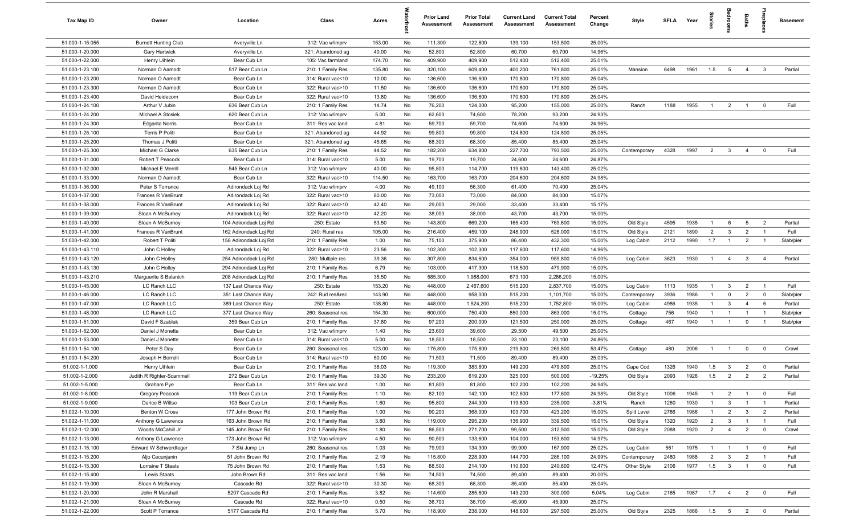| Tax Map ID      | Owner                       | Location              | Class             | Acres  |    | Prior Land<br>Assessment | <b>Prior Total</b><br><b>Assessment</b> | <b>Current Land</b><br>Assessment | <b>Current Total</b><br><b>Assessment</b> | Percent<br>Change | Style        | <b>SFLA</b> | Year | ğ              | bedroo         | Baths           | epla                    | <b>Basement</b> |
|-----------------|-----------------------------|-----------------------|-------------------|--------|----|--------------------------|-----------------------------------------|-----------------------------------|-------------------------------------------|-------------------|--------------|-------------|------|----------------|----------------|-----------------|-------------------------|-----------------|
| 51.000-1-15.055 | <b>Burnett Hunting Club</b> | Averyville Ln         | 312: Vac w/imprv  | 153.00 | No | 111,300                  | 122,800                                 | 139,100                           | 153,500                                   | 25.00%            |              |             |      |                |                |                 |                         |                 |
| 51.000-1-20.000 | <b>Gary Hartwick</b>        | Averyville Ln         | 321: Abandoned ag | 40.00  | No | 52,800                   | 52,800                                  | 60,700                            | 60,700                                    | 14.96%            |              |             |      |                |                |                 |                         |                 |
| 51.000-1-22.000 | Henry Uihlein               | Bear Cub Ln           | 105: Vac farmland | 174.70 | No | 409,900                  | 409,900                                 | 512,400                           | 512,400                                   | 25.01%            |              |             |      |                |                |                 |                         |                 |
| 51.000-1-23.100 | Norman O Aamodt             | 517 Bear Cub Ln       | 210: 1 Family Res | 135.80 | No | 320,100                  | 609,400                                 | 400,200                           | 761,800                                   | 25.01%            | Mansion      | 6498        | 1961 | 1.5            | 5              | $\overline{4}$  | $\mathbf{3}$            | Partial         |
| 51.000-1-23.200 | Norman O Aamodt             | Bear Cub Ln           | 314: Rural vac<10 | 10.00  | No | 136,600                  | 136,600                                 | 170,800                           | 170,800                                   | 25.04%            |              |             |      |                |                |                 |                         |                 |
| 51.000-1-23.300 | Norman O Aamodt             | Bear Cub Ln           | 322: Rural vac>10 | 11.50  | No | 136,600                  | 136,600                                 | 170,800                           | 170,800                                   | 25.04%            |              |             |      |                |                |                 |                         |                 |
| 51.000-1-23.400 | David Heidecorn             | Bear Cub Ln           | 322: Rural vac>10 | 13.80  | No | 136,600                  | 136,600                                 | 170,800                           | 170,800                                   | 25.04%            |              |             |      |                |                |                 |                         |                 |
| 51.000-1-24.100 | Arthur V Jubin              | 636 Bear Cub Ln       | 210: 1 Family Res | 14.74  | No | 76,200                   | 124,000                                 | 95,200                            | 155,000                                   | 25.00%            | Ranch        | 1188        | 1955 | $\overline{1}$ | $\overline{2}$ | $\overline{1}$  | $\mathbf 0$             | Full            |
| 51.000-1-24.200 | Michael A Stosiek           | 620 Bear Cub Ln       | 312: Vac w/imprv  | 5.00   | No | 62,600                   | 74,600                                  | 78,200                            | 93,200                                    | 24.93%            |              |             |      |                |                |                 |                         |                 |
| 51.000-1-24.300 | <b>Edgarita Norris</b>      | Bear Cub Ln           | 311: Res vac land | 4.81   | No | 59,700                   | 59,700                                  | 74,600                            | 74,600                                    | 24.96%            |              |             |      |                |                |                 |                         |                 |
| 51.000-1-25.100 | Terris P Politi             | Bear Cub Ln           | 321: Abandoned ag | 44.92  | No | 99,800                   | 99,800                                  | 124,800                           | 124,800                                   | 25.05%            |              |             |      |                |                |                 |                         |                 |
| 51.000-1-25.200 | Thomas J Politi             | Bear Cub Ln           | 321: Abandoned ag | 45.65  | No | 68,300                   | 68,300                                  | 85,400                            | 85,400                                    | 25.04%            |              |             |      |                |                |                 |                         |                 |
| 51.000-1-25.300 | Michael G Clarke            | 635 Bear Cub Ln       | 210: 1 Family Res | 44.52  | No | 182,200                  | 634,800                                 | 227,700                           | 793,500                                   | 25.00%            | Contemporary | 4328        | 1997 | $\overline{2}$ | $\mathbf{3}$   | $\overline{4}$  | $\overline{0}$          | Full            |
| 51.000-1-31.000 | Robert T Peacock            | Bear Cub Ln           | 314: Rural vac<10 | 5.00   | No | 19,700                   | 19,700                                  | 24,600                            | 24,600                                    | 24.87%            |              |             |      |                |                |                 |                         |                 |
| 51.000-1-32.000 | Michael E Merrill           | 545 Bear Cub Ln       | 312: Vac w/imprv  | 40.00  | No | 95,800                   | 114,700                                 | 119,800                           | 143,400                                   | 25.02%            |              |             |      |                |                |                 |                         |                 |
| 51.000-1-33.000 | Norman O Aamodt             | Bear Cub Ln           | 322: Rural vac>10 | 114.50 | No | 163,700                  | 163,700                                 | 204,600                           | 204,600                                   | 24.98%            |              |             |      |                |                |                 |                         |                 |
| 51.000-1-36.000 | Peter S Torrance            | Adirondack Loj Rd     | 312: Vac w/imprv  | 4.00   | No | 49,100                   | 56,300                                  | 61,400                            | 70,400                                    | 25.04%            |              |             |      |                |                |                 |                         |                 |
| 51.000-1-37.000 | Frances R VanBrunt          | Adirondack Loj Rd     | 322: Rural vac>10 | 80.00  | No | 73,000                   | 73,000                                  | 84,000                            | 84,000                                    | 15.07%            |              |             |      |                |                |                 |                         |                 |
| 51.000-1-38.000 | Frances R VanBrunt          | Adirondack Loj Rd     | 322: Rural vac>10 | 42.40  | No | 29,000                   | 29,000                                  | 33,400                            | 33,400                                    | 15.17%            |              |             |      |                |                |                 |                         |                 |
| 51.000-1-39.000 | Sloan A McBurney            | Adirondack Loj Rd     | 322: Rural vac>10 | 42.20  | No | 38,000                   | 38,000                                  | 43,700                            | 43,700                                    | 15.00%            |              |             |      |                |                |                 |                         |                 |
| 51.000-1-40.000 | Sloan A McBurney            | 104 Adirondack Loj Rd | 250: Estate       | 53.50  | No | 143,800                  | 669,200                                 | 165,400                           | 769,600                                   | 15.00%            | Old Style    | 4595        | 1935 | $\overline{1}$ | 6              | $5\overline{)}$ | $\overline{2}$          | Partial         |
| 51.000-1-41.000 | Frances R VanBrunt          | 162 Adirondack Loj Rd | 240: Rural res    | 105.00 | No | 216,400                  | 459,100                                 | 248,900                           | 528,000                                   | 15.01%            | Old Style    | 2121        | 1890 | $\overline{2}$ | 3              | $\overline{2}$  | - 1                     | Full            |
| 51.000-1-42.000 | Robert T Politi             | 158 Adirondack Loj Rd | 210: 1 Family Res | 1.00   | No | 75,100                   | 375,900                                 | 86,400                            | 432,300                                   | 15.00%            | Log Cabin    | 2112        | 1990 | 1.7            | $\overline{1}$ | $\overline{2}$  | $\overline{1}$          | Slab/pier       |
| 51.000-1-43.110 | John C Holley               | Adirondack Loj Rd     | 322: Rural vac>10 | 23.56  | No | 102,300                  | 102,300                                 | 117,600                           | 117,600                                   | 14.96%            |              |             |      |                |                |                 |                         |                 |
| 51.000-1-43.120 | John C Holley               | 254 Adirondack Loj Rd | 280: Multiple res | 39.36  | No | 307,800                  | 834,600                                 | 354,000                           | 959,800                                   | 15.00%            | Log Cabin    | 3623        | 1930 | $\overline{1}$ | $\overline{4}$ | $\mathbf{3}$    | $\overline{4}$          | Partial         |
| 51.000-1-43.130 | John C Holley               | 294 Adirondack Loj Rd | 210: 1 Family Res | 6.79   | No | 103,000                  | 417,300                                 | 118,500                           | 479,900                                   | 15.00%            |              |             |      |                |                |                 |                         |                 |
| 51.000-1-43.210 | Marguerite S Belanich       | 208 Adirondack Loj Rd | 210: 1 Family Res | 35.50  | No | 585,300                  | 1,988,000                               | 673,100                           | 2,286,200                                 | 15.00%            |              |             |      |                |                |                 |                         |                 |
| 51.000-1-45.000 | LC Ranch LLC                | 137 Last Chance Way   | 250: Estate       | 153.20 | No | 448,000                  | 2,467,600                               | 515,200                           | 2,837,700                                 | 15.00%            | Log Cabin    | 1113        | 1935 | $\overline{1}$ | $\overline{3}$ | $\overline{2}$  | $\overline{1}$          | Full            |
| 51.000-1-46.000 | LC Ranch LLC                | 351 Last Chance Way   | 242: Rurl res&rec | 143.90 | No | 448,000                  | 958,000                                 | 515,200                           | 1,101,700                                 | 15.00%            | Contemporary | 3936        | 1986 | $\overline{1}$ | $\mathbf 0$    | $\overline{2}$  | $\overline{\mathbf{0}}$ | Slab/pier       |
| 51.000-1-47.000 | LC Ranch LLC                | 389 Last Chance Way   | 250: Estate       | 138.80 | No | 448,000                  | 1,524,200                               | 515,200                           | 1,752,800                                 | 15.00%            | Log Cabin    | 4986        | 1935 | $\overline{1}$ | $\mathbf{3}$   | $\overline{4}$  | 6                       | Partial         |
| 51.000-1-48.000 | LC Ranch LLC                | 377 Last Chance Way   | 260: Seasonal res | 154.30 | No | 600,000                  | 750,400                                 | 850,000                           | 863,000                                   | 15.01%            | Cottage      | 756         | 1940 | $\overline{1}$ | $\overline{1}$ | $\overline{1}$  | $\overline{1}$          | Slab/pier       |
| 51.000-1-51.000 | David F Szablak             | 359 Bear Cub Ln       | 210: 1 Family Res | 37.80  | No | 97,200                   | 200,000                                 | 121,500                           | 250,000                                   | 25.00%            | Cottage      | 467         | 1940 | -1             | $\overline{1}$ | $\mathbf 0$     | $\overline{1}$          | Slab/pier       |
| 51.000-1-52.000 | Daniel J Monette            | Bear Cub Ln           | 312: Vac w/imprv  | 1.40   | No | 23,600                   | 39,600                                  | 29,500                            | 49,500                                    | 25.00%            |              |             |      |                |                |                 |                         |                 |
| 51.000-1-53.000 | Daniel J Monette            | Bear Cub Ln           | 314: Rural vac<10 | 5.00   | No | 18,500                   | 18,500                                  | 23,100                            | 23,100                                    | 24.86%            |              |             |      |                |                |                 |                         |                 |
| 51.000-1-54.100 | Peter S Day                 | Bear Cub Ln           | 260: Seasonal res | 123.00 | No | 175,800                  | 175,800                                 | 219,800                           | 269,800                                   | 53.47%            | Cottage      | 480         | 2006 | -1             | $\overline{1}$ | $\overline{0}$  | $\overline{\mathbf{0}}$ | Crawl           |
| 51.000-1-54.200 | Joseph H Borrelli           | Bear Cub Ln           | 314: Rural vac<10 | 50.00  | No | 71,500                   | 71,500                                  | 89,400                            | 89,400                                    | 25.03%            |              |             |      |                |                |                 |                         |                 |
| 51.002-1-1.000  | Henry Uihlein               | Bear Cub Ln           | 210: 1 Family Res | 38.03  | No | 119,300                  | 383,800                                 | 149,200                           | 479,800                                   | 25.01%            | Cape Cod     | 1326        | 1940 | 1.5            | 3              | $\overline{2}$  | $\overline{\mathbf{0}}$ | Partial         |
| 51.002-1-2.000  | Judith R Righter-Scammell   | 272 Bear Cub Ln       | 210: 1 Family Res | 39.30  | No | 233,200                  | 619,200                                 | 325,000                           | 500,000                                   | $-19.25%$         | Old Style    | 2093        | 1926 | 1.5            | $\overline{2}$ | $\overline{2}$  | $\overline{2}$          | Partial         |
| 51.002-1-5.000  | Graham Pye                  | Bear Cub Ln           | 311: Res vac land | 1.00   | No | 81,800                   | 81,800                                  | 102,200                           | 102,200                                   | 24.94%            |              |             |      |                |                |                 |                         |                 |
| 51.002-1-8.000  | <b>Gregory Peacock</b>      | 119 Bear Cub Ln       | 210: 1 Family Res | 1.10   | No | 82,100                   | 142,100                                 | 102,600                           | 177,600                                   | 24.98%            | Old Style    | 1006        | 1945 | $\mathbf{1}$   | $\overline{2}$ | $\overline{1}$  | $\overline{\mathbf{0}}$ | Full            |
| 51.002-1-9.000  | Darice B Wiltse             | 103 Bear Cub Ln       | 210: 1 Family Res | 1.60   | No | 95,800                   | 244,300                                 | 119,800                           | 235,000                                   | $-3.81%$          | Ranch        | 1260        | 1930 | $\overline{1}$ | $\mathbf{3}$   | $\overline{1}$  | $\overline{1}$          | Partial         |
| 51.002-1-10.000 | Benton W Cross              | 177 John Brown Rd     | 210: 1 Family Res | 1.00   | No | 90,200                   | 368,000                                 | 103,700                           | 423,200                                   | 15.00%            | Split Level  | 2786        | 1986 | $\overline{1}$ | $\overline{2}$ | $\mathbf{3}$    | $\overline{2}$          | Partial         |
| 51.002-1-11.000 | Anthony G Lawrence          | 163 John Brown Rd     | 210: 1 Family Res | 3.80   | No | 119,000                  | 295,200                                 | 136,900                           | 339,500                                   | 15.01%            | Old Style    | 1320        | 1920 | $\overline{2}$ | $\mathbf{3}$   | $\overline{1}$  | $\overline{1}$          | Full            |
| 51.002-1-12.000 | Woods McCahill Jr           | 145 John Brown Rd     | 210: 1 Family Res | 1.80   | No | 86,500                   | 271,700                                 | 99,500                            | 312,500                                   | 15.02%            | Old Style    | 2088        | 1920 | $\overline{2}$ | $\overline{4}$ | $\overline{2}$  | $\overline{0}$          | Crawl           |
| 51.002-1-13.000 | Anthony G Lawrence          | 173 John Brown Rd     | 312: Vac w/imprv  | 4.50   | No | 90,500                   | 133,600                                 | 104,000                           | 153,600                                   | 14.97%            |              |             |      |                |                |                 |                         |                 |
| 51.002-1-15.100 | Edward W Schwerdteger       | 7 Ski Jump Ln         | 260: Seasonal res | 1.03   | No | 79,900                   | 134,300                                 | 99,900                            | 167,900                                   | 25.02%            | Log Cabin    | 561         | 1975 | -1             | $\overline{1}$ | $\overline{1}$  | $\overline{\mathbf{0}}$ | Full            |
| 51.002-1-15.200 | Aljo Cecunjanin             | 51 John Brown Rd      | 210: 1 Family Res | 2.19   | No | 115,800                  | 228,900                                 | 144,700                           | 286,100                                   | 24.99%            | Contemporary | 2480        | 1988 | $\overline{2}$ | $\mathbf{3}$   | $\overline{2}$  | $\overline{1}$          | Full            |
| 51.002-1-15.300 | Lorraine T Staats           | 75 John Brown Rd      | 210: 1 Family Res | 1.53   | No | 88,500                   | 214,100                                 | 110,600                           | 240,800                                   | 12.47%            | Other Style  | 2106        | 1977 | 1.5            | $\mathbf{3}$   |                 | 0                       | Full            |
| 51.002-1-15.400 | Lewis Staats                | John Brown Rd         | 311: Res vac land | 1.56   | No | 74,500                   | 74,500                                  | 89,400                            | 89,400                                    | 20.00%            |              |             |      |                |                |                 |                         |                 |
| 51.002-1-19.000 | Sloan A McBurney            | Cascade Rd            | 322: Rural vac>10 | 30.30  | No | 68,300                   | 68,300                                  | 85,400                            | 85,400                                    | 25.04%            |              |             |      |                |                |                 |                         |                 |
| 51.002-1-20.000 | John R Marshall             | 5207 Cascade Rd       | 210: 1 Family Res | 3.82   | No | 114,600                  | 285,600                                 | 143,200                           | 300,000                                   | 5.04%             | Log Cabin    | 2165        | 1987 | 1.7            | $\overline{4}$ | $\overline{2}$  | $\overline{\mathbf{0}}$ | Full            |
| 51.002-1-21.000 | Sloan A McBurney            | Cascade Rd            | 322: Rural vac>10 | 0.50   | No | 36,700                   | 36,700                                  | 45,900                            | 45,900                                    | 25.07%            |              |             |      |                |                |                 |                         |                 |
| 51.002-1-22.000 | Scott P Torrance            | 5177 Cascade Rd       | 210: 1 Family Res | 5.70   | No | 118,900                  | 238,000                                 | 148,600                           | 297,500                                   | 25.00%            | Old Style    | 2325        | 1866 |                | $1.5\qquad 5$  | $\overline{2}$  | $\overline{0}$          | Partial         |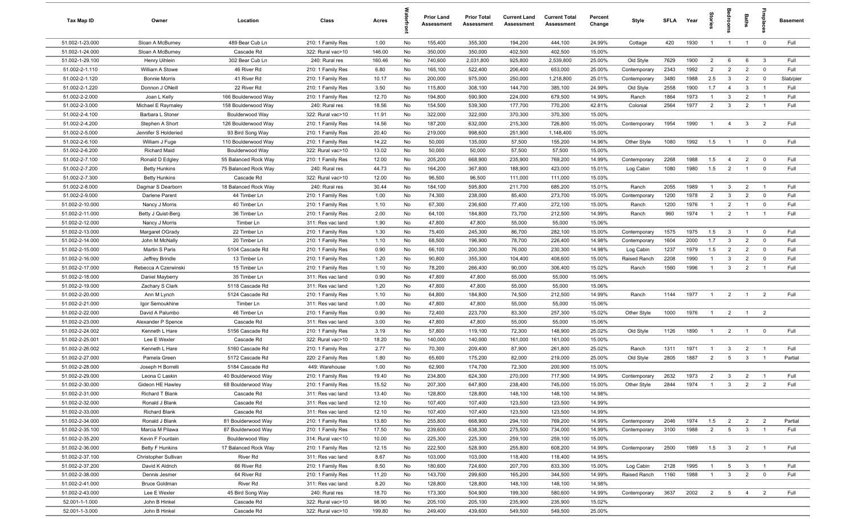| Tax Map ID      | Owner                  | Location             | Class             | Acres  |    | <b>Prior Land</b><br>Assessment | <b>Prior Total</b><br><b>Assessment</b> | <b>Current Land</b><br>Assessment | <b>Current Total</b><br>Assessment | Percent<br>Change | Style        | SFLA | Year | 흞              |                         | Baths          | repla                   | <b>Basement</b> |
|-----------------|------------------------|----------------------|-------------------|--------|----|---------------------------------|-----------------------------------------|-----------------------------------|------------------------------------|-------------------|--------------|------|------|----------------|-------------------------|----------------|-------------------------|-----------------|
| 51.002-1-23.000 | Sloan A McBurney       | 489 Bear Cub Ln      | 210: 1 Family Res | 1.00   | No | 155,400                         | 355,300                                 | 194,200                           | 444,100                            | 24.99%            | Cottage      | 420  | 1930 | $\overline{1}$ | $\overline{1}$          | $\overline{1}$ | $\mathbf 0$             | Full            |
| 51.002-1-24.000 | Sloan A McBurney       | Cascade Rd           | 322: Rural vac>10 | 146.00 | No | 350,000                         | 350,000                                 | 402,500                           | 402,500                            | 15.00%            |              |      |      |                |                         |                |                         |                 |
| 51.002-1-29.100 | Henry Uihlein          | 302 Bear Cub Ln      | 240: Rural res    | 160.46 | No | 740,600                         | 2,031,800                               | 925,800                           | 2,539,800                          | 25.00%            | Old Style    | 7629 | 1900 | $\overline{2}$ | 6                       | 6              | $\mathbf{3}$            | Full            |
| 51.002-2-1.110  | William A Stowe        | 46 River Rd          | 210: 1 Family Res | 6.80   | No | 165,100                         | 522,400                                 | 206,400                           | 653,000                            | 25.00%            | Contemporary | 2343 | 1992 | $\overline{2}$ | $\overline{2}$          | $\overline{2}$ | $\mathbf 0$             | Full            |
| 51.002-2-1.120  | <b>Bonnie Morris</b>   | 41 River Rd          | 210: 1 Family Res | 10.17  | No | 200,000                         | 975,000                                 | 250,000                           | 1,218,800                          | 25.01%            | Contemporary | 3480 | 1988 | 2.5            | $\overline{\mathbf{3}}$ | $\overline{2}$ | $\mathbf 0$             | Slab/pier       |
| 51.002-2-1.220  | Donnon J ONeill        | 22 River Rd          | 210: 1 Family Res | 3.50   | No | 115,800                         | 308,100                                 | 144,700                           | 385,100                            | 24.99%            | Old Style    | 2558 | 1900 | 1.7            | $\overline{4}$          | 3              | $\overline{1}$          | Full            |
| 51.002-2-2.000  | Joan L Kelly           | 166 Boulderwood Way  | 210: 1 Family Res | 12.70  | No | 194,800                         | 590,900                                 | 224,000                           | 679,500                            | 14.99%            | Ranch        | 1864 | 1973 | $\mathbf{1}$   | $\mathbf{3}$            | $\overline{2}$ | $\overline{1}$          | Full            |
| 51.002-2-3.000  | Michael E Raymaley     | 158 Boulderwood Way  | 240: Rural res    | 18.56  | No | 154,500                         | 539,300                                 | 177,700                           | 770,200                            | 42.81%            | Colonial     | 2564 | 1977 | 2              | $\mathbf{3}$            | $\overline{2}$ | $\overline{1}$          | Full            |
| 51.002-2-4.100  | Barbara L Stoner       | Boulderwood Way      | 322: Rural vac>10 | 11.91  | No | 322,000                         | 322,000                                 | 370,300                           | 370,300                            | 15.00%            |              |      |      |                |                         |                |                         |                 |
| 51.002-2-4.200  | Stephen A Short        | 126 Boulderwood Way  | 210: 1 Family Res | 14.56  | No | 187,200                         | 632,000                                 | 215,300                           | 726,800                            | 15.00%            | Contemporary | 1954 | 1990 | $\mathbf{1}$   | $\overline{4}$          | $\mathbf{3}$   | $\overline{2}$          | Full            |
| 51.002-2-5.000  | Jennifer S Holderied   | 93 Bird Song Way     | 210: 1 Family Res | 20.40  | No | 219,000                         | 998,600                                 | 251,900                           | 1,148,400                          | 15.00%            |              |      |      |                |                         |                |                         |                 |
| 51.002-2-6.100  | William J Fuge         | 110 Boulderwood Way  | 210: 1 Family Res | 14.22  | No | 50,000                          | 135,000                                 | 57,500                            | 155,200                            | 14.96%            | Other Style  | 1080 | 1992 | 1.5            | $\overline{1}$          | $\overline{1}$ | $\mathbf 0$             | Full            |
| 51.002-2-6.200  | <b>Richard Maid</b>    | Boulderwood Way      | 322: Rural vac>10 | 13.02  | No | 50,000                          | 50,000                                  | 57,500                            | 57,500                             | 15.00%            |              |      |      |                |                         |                |                         |                 |
| 51.002-2-7.100  | Ronald D Edgley        | 55 Balanced Rock Way | 210: 1 Family Res | 12.00  | No | 205,200                         | 668,900                                 | 235,900                           | 769,200                            | 14.99%            | Contemporary | 2268 | 1988 | 1.5            | $\overline{4}$          | $\overline{2}$ | $\mathbf 0$             | Full            |
| 51.002-2-7.200  | <b>Betty Hunkins</b>   | 75 Balanced Rock Way | 240: Rural res    | 44.73  | No | 164,200                         | 367,800                                 | 188,900                           | 423,000                            | 15.01%            | Log Cabin    | 1080 | 1980 | 1.5            | $\overline{2}$          | 1              | $\overline{\mathbf{0}}$ | Full            |
| 51.002-2-7.300  | <b>Betty Hunkins</b>   | Cascade Rd           | 322: Rural vac>10 | 12.00  | No | 96,500                          | 96,500                                  | 111,000                           | 111,000                            | 15.03%            |              |      |      |                |                         |                |                         |                 |
| 51.002-2-8.000  | Dagmar S Dearborn      | 18 Balanced Rock Way | 240: Rural res    | 30.44  | No | 184,100                         | 595,800                                 | 211,700                           | 685,200                            | 15.01%            | Ranch        | 2055 | 1989 | $\overline{1}$ | $\mathbf{3}$            | $\overline{2}$ | $\overline{1}$          | Full            |
| 51.002-2-9.000  | Darlene Parent         | 44 Timber Ln         | 210: 1 Family Res | 1.00   | No | 74,300                          | 238,000                                 | 85,400                            | 273,700                            | 15.00%            | Contemporary | 1200 | 1978 | $\overline{2}$ | $\mathbf{3}$            | $\overline{2}$ | $\mathbf 0$             | Full            |
| 51.002-2-10.000 | Nancy J Morris         | 40 Timber Ln         | 210: 1 Family Res | 1.10   | No | 67,300                          | 236,600                                 | 77,400                            | 272,100                            | 15.00%            | Ranch        | 1200 | 1976 | -1             | $\overline{2}$          | $\overline{1}$ | $\mathbf 0$             | Full            |
| 51.002-2-11.000 | Betty J Quist-Berg     | 36 Timber Ln         | 210: 1 Family Res | 2.00   | No | 64,100                          | 184,800                                 | 73,700                            | 212,500                            | 14.99%            | Ranch        | 960  | 1974 | $\mathbf{1}$   | $\overline{2}$          | $\overline{1}$ | $\overline{1}$          | Full            |
| 51.002-2-12.000 | Nancy J Morris         | Timber Ln            | 311: Res vac land | 1.90   | No | 47,800                          | 47,800                                  | 55,000                            | 55,000                             | 15.06%            |              |      |      |                |                         |                |                         |                 |
| 51.002-2-13.000 | Margaret OGrady        | 22 Timber Ln         | 210: 1 Family Res | 1.30   | No | 75,400                          | 245,300                                 | 86,700                            | 282,100                            | 15.00%            | Contemporary | 1575 | 1975 | 1.5            | $\mathbf{3}$            | $\overline{1}$ | $\mathbf 0$             | Full            |
| 51.002-2-14.000 | John M McNally         | 20 Timber Ln         | 210: 1 Family Res | 1.10   | No | 68,500                          | 196,900                                 | 78,700                            | 226,400                            | 14.98%            | Contemporary | 1604 | 2000 | 1.7            | $\mathbf{3}$            | $\overline{2}$ | $\mathbf 0$             | Full            |
| 51.002-2-15.000 | Martin S Paris         | 5104 Cascade Rd      | 210: 1 Family Res | 0.90   | No | 66,100                          | 200,300                                 | 76,000                            | 230,300                            | 14.98%            | Log Cabin    | 1237 | 1979 | 1.5            | $\overline{2}$          | $\overline{2}$ | $\overline{\mathbf{0}}$ | Full            |
| 51.002-2-16.000 | Jeffrey Brindle        | 13 Timber Ln         | 210: 1 Family Res | 1.20   | No | 90,800                          | 355,300                                 | 104,400                           | 408,600                            | 15.00%            | Raised Ranch | 2208 | 1990 | $\overline{1}$ | $\mathbf{3}$            | $\overline{2}$ | $\mathbf 0$             | Full            |
| 51.002-2-17.000 | Rebecca A Czerwinski   | 15 Timber Ln         | 210: 1 Family Res | 1.10   | No | 78,200                          | 266,400                                 | 90,000                            | 306,400                            | 15.02%            | Ranch        | 1560 | 1996 |                | $\mathbf{3}$            | $\overline{2}$ |                         | Full            |
| 51.002-2-18.000 | Daniel Mayberry        | 35 Timber Ln         | 311: Res vac land | 0.90   | No | 47,800                          | 47,800                                  | 55,000                            | 55,000                             | 15.06%            |              |      |      |                |                         |                |                         |                 |
| 51.002-2-19.000 | Zachary S Clark        | 5118 Cascade Rd      | 311: Res vac land | 1.20   | No | 47,800                          | 47,800                                  | 55,000                            | 55,000                             | 15.06%            |              |      |      |                |                         |                |                         |                 |
| 51.002-2-20.000 | Ann M Lynch            | 5124 Cascade Rd      | 210: 1 Family Res | 1.10   | No | 64,800                          | 184,800                                 | 74,500                            | 212,500                            | 14.99%            | Ranch        | 1144 | 1977 | $\overline{1}$ | $\overline{2}$          | $\overline{1}$ | $\overline{2}$          | Full            |
| 51.002-2-21.000 | Igor Semoukhine        | Timber Ln            | 311: Res vac land | 1.00   | No | 47,800                          | 47,800                                  | 55,000                            | 55,000                             | 15.06%            |              |      |      |                |                         |                |                         |                 |
| 51.002-2-22.000 | David A Palumbo        | 46 Timber Ln         | 210: 1 Family Res | 0.90   | No | 72,400                          | 223,700                                 | 83,300                            | 257,300                            | 15.02%            | Other Style  | 1000 | 1976 | $\overline{1}$ | $\overline{2}$          | $\overline{1}$ | $\overline{2}$          |                 |
| 51.002-2-23.000 | Alexander P Spence     | Cascade Rd           | 311: Res vac land | 3.00   | No | 47,800                          | 47,800                                  | 55,000                            | 55,000                             | 15.06%            |              |      |      |                |                         |                |                         |                 |
| 51.002-2-24.002 | Kenneth L Hare         | 5156 Cascade Rd      | 210: 1 Family Res | 3.19   | No | 57,800                          | 119,100                                 | 72,300                            | 148,900                            | 25.02%            | Old Style    | 1126 | 1890 |                | $\overline{2}$          | $\mathbf{1}$   | $\mathbf 0$             | Full            |
| 51.002-2-25.001 | Lee E Wexler           | Cascade Rd           | 322: Rural vac>10 | 18.20  | No | 140,000                         | 140,000                                 | 161,000                           | 161,000                            | 15.00%            |              |      |      |                |                         |                |                         |                 |
| 51.002-2-26.002 | Kenneth L Hare         | 5160 Cascade Rd      | 210: 1 Family Res | 2.77   | No | 70,300                          | 209,400                                 | 87,900                            | 261,800                            | 25.02%            | Ranch        | 1311 | 1971 | $\mathbf{1}$   | $\mathbf{3}$            | $\overline{2}$ | $\overline{1}$          | Full            |
| 51.002-2-27.000 | Pamela Green           | 5172 Cascade Rd      | 220: 2 Family Res | 1.80   | No | 65,600                          | 175,200                                 | 82,000                            | 219,000                            | 25.00%            | Old Style    | 2805 | 1887 | $\overline{2}$ | 5                       | 3              |                         | Partial         |
| 51.002-2-28.000 | Joseph H Borrelli      | 5184 Cascade Rd      | 449: Warehouse    | 1.00   | No | 62,900                          | 174,700                                 | 72,300                            | 200,900                            | 15.00%            |              |      |      |                |                         |                |                         |                 |
| 51.002-2-29.000 | Leona C Laskin         | 40 Boulderwood Way   | 210: 1 Family Res | 19.40  | No | 234,800                         | 624,300                                 | 270,000                           | 717,900                            | 14.99%            | Contemporary | 2632 | 1973 | $\overline{2}$ | $\mathbf{3}$            | $\overline{2}$ |                         | Full            |
| 51.002-2-30.000 | Gideon HE Hawley       | 68 Boulderwood Way   | 210: 1 Family Res | 15.52  | No | 207,300                         | 647,800                                 | 238,400                           | 745,000                            | 15.00%            | Other Style  | 2844 | 1974 |                |                         |                |                         | Full            |
| 51.002-2-31.000 | Richard T Blank        | Cascade Rd           | 311: Res vac land | 13.40  | No | 128,800                         | 128,800                                 | 148,100                           | 148,100                            | 14.98%            |              |      |      |                |                         |                |                         |                 |
| 51.002-2-32.000 | Ronald J Blank         | Cascade Rd           | 311: Res vac land | 12.10  | No | 107,400                         | 107,400                                 | 123,500                           | 123,500                            | 14.99%            |              |      |      |                |                         |                |                         |                 |
| 51.002-2-33.000 | <b>Richard Blank</b>   | Cascade Rd           | 311: Res vac land | 12.10  | No | 107,400                         | 107,400                                 | 123,500                           | 123,500                            | 14.99%            |              |      |      |                |                         |                |                         |                 |
| 51.002-2-34.000 | Ronald J Blank         | 81 Boulderwood Way   | 210: 1 Family Res | 13.80  | No | 255,800                         | 668,900                                 | 294,100                           | 769,200                            | 14.99%            | Contemporary | 2046 | 1974 | 1.5            | $\overline{2}$          | $\overline{2}$ | $\overline{2}$          | Partial         |
| 51.002-2-35.100 | Marcia M Pilawa        | 87 Boulderwood Way   | 210: 1 Family Res | 17.50  | No | 239,600                         | 638,300                                 | 275,500                           | 734,000                            | 14.99%            | Contemporary | 3100 | 1988 | $\overline{2}$ | $5\overline{5}$         | $\mathbf{3}$   | $\overline{1}$          | Full            |
| 51.002-2-35.200 | Kevin F Fountain       | Boulderwood Way      | 314: Rural vac<10 | 10.00  | No | 225,300                         | 225,300                                 | 259,100                           | 259,100                            | 15.00%            |              |      |      |                |                         |                |                         |                 |
| 51.002-2-36.000 | <b>Betty F Hunkins</b> | 17 Balanced Rock Way | 210: 1 Family Res | 12.15  | No | 222,500                         | 528,900                                 | 255,800                           | 608,200                            | 14.99%            | Contemporary | 2500 | 1989 | 1.5            | $\overline{\mathbf{3}}$ | $\overline{2}$ |                         | Full            |
| 51.002-2-37.100 | Christopher Sullivan   | River Rd             | 311: Res vac land | 8.67   | No | 103,000                         | 103,000                                 | 118,400                           | 118,400                            | 14.95%            |              |      |      |                |                         |                |                         |                 |
| 51.002-2-37.200 | David K Aldrich        | 66 River Rd          | 210: 1 Family Res | 8.50   | No | 180,600                         | 724,600                                 | 207,700                           | 833,300                            | 15.00%            | Log Cabin    | 2128 | 1995 |                | 5                       | $\mathbf{3}$   |                         | Full            |
| 51.002-2-38.000 | Dennis Jesmer          | 64 River Rd          | 210: 1 Family Res | 11.20  | No | 143,700                         | 299,600                                 | 165,200                           | 344,500                            | 14.99%            | Raised Ranch | 1160 | 1988 | $\overline{1}$ | $\mathbf{3}$            | $\overline{2}$ | $\overline{\mathbf{0}}$ | Full            |
| 51.002-2-41.000 | <b>Bruce Goldman</b>   | River Rd             | 311: Res vac land | 8.20   | No | 128,800                         | 128,800                                 | 148,100                           | 148,100                            | 14.98%            |              |      |      |                |                         |                |                         |                 |
| 51.002-2-43.000 | Lee E Wexler           | 45 Bird Song Way     | 240: Rural res    | 18.70  | No | 173,300                         | 504,900                                 | 199,300                           | 580,600                            | 14.99%            | Contemporary | 3637 | 2002 | $\overline{2}$ | $5\overline{)}$         | $\overline{4}$ | $\overline{2}$          | Full            |
| 52.001-1-1.000  | John B Hinkel          | Cascade Rd           | 322: Rural vac>10 | 98.90  | No | 205,100                         | 205,100                                 | 235,900                           | 235,900                            | 15.02%            |              |      |      |                |                         |                |                         |                 |
| 52.001-1-3.000  | John B Hinkel          | Cascade Rd           | 322: Rural vac>10 | 199.80 | No | 249,400                         | 439,600                                 | 549,500                           | 549,500                            | 25.00%            |              |      |      |                |                         |                |                         |                 |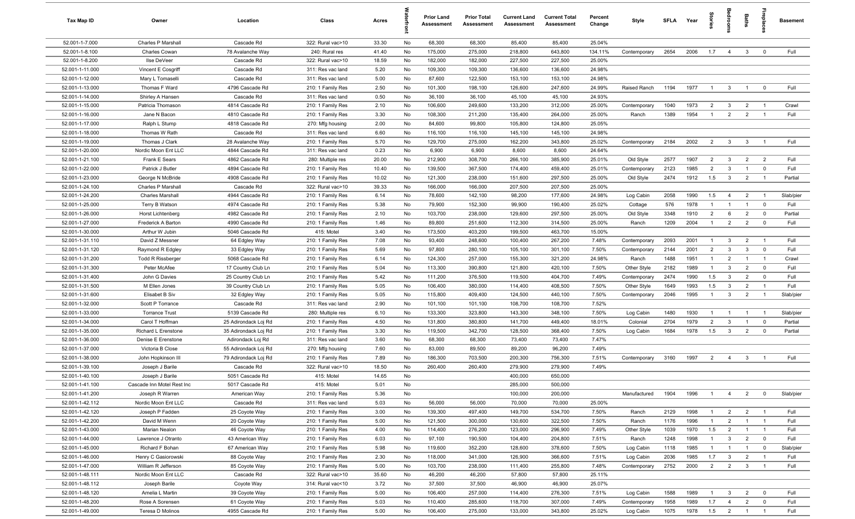| Tax Map ID      | Owner                      | Location             | Class             | Acres |    | <b>Prior Land</b><br>Assessment | <b>Prior Total</b><br><b>Assessment</b> | <b>Current Land</b><br>Assessment | <b>Current Total</b><br><b>Assessment</b> | Percent<br>Change | Style        | SFLA Year |      | ã              |                         | Baths          | repla                   | <b>Basement</b> |
|-----------------|----------------------------|----------------------|-------------------|-------|----|---------------------------------|-----------------------------------------|-----------------------------------|-------------------------------------------|-------------------|--------------|-----------|------|----------------|-------------------------|----------------|-------------------------|-----------------|
| 52.001-1-7.000  | Charles P Marshall         | Cascade Rd           | 322: Rural vac>10 | 33.30 | No | 68,300                          | 68,300                                  | 85,400                            | 85,400                                    | 25.04%            |              |           |      |                |                         |                |                         |                 |
| 52.001-1-8.100  | <b>Charles Cowan</b>       | 78 Avalanche Way     | 240: Rural res    | 41.40 | No | 175,000                         | 275,000                                 | 218,800                           | 643,800                                   | 134.11%           | Contemporary | 2654      | 2006 | 1.7            | $\overline{4}$          | $3^{\circ}$    | $\overline{0}$          | Full            |
| 52.001-1-8.200  | Ilse DeVeer                | Cascade Rd           | 322: Rural vac>10 | 18.59 | No | 182,000                         | 182,000                                 | 227,500                           | 227,500                                   | 25.00%            |              |           |      |                |                         |                |                         |                 |
| 52.001-1-11.000 | Vincent E Cosgriff         | Cascade Rd           | 311: Res vac land | 5.20  | No | 109,300                         | 109,300                                 | 136,600                           | 136,600                                   | 24.98%            |              |           |      |                |                         |                |                         |                 |
| 52.001-1-12.000 | Mary L Tomaselli           | Cascade Rd           | 311: Res vac land | 5.00  | No | 87,600                          | 122,500                                 | 153,100                           | 153,100                                   | 24.98%            |              |           |      |                |                         |                |                         |                 |
| 52.001-1-13.000 | Thomas F Ward              | 4796 Cascade Rd      | 210: 1 Family Res | 2.50  | No | 101,300                         | 198,100                                 | 126,600                           | 247,600                                   | 24.99%            | Raised Ranch | 1194      | 1977 | $\overline{1}$ | $\mathbf{3}$            | $\overline{1}$ | $\overline{0}$          | Full            |
| 52.001-1-14.000 | Shirley A Hansen           | Cascade Rd           | 311: Res vac land | 0.50  | No | 36,100                          | 36,100                                  | 45,100                            | 45,100                                    | 24.93%            |              |           |      |                |                         |                |                         |                 |
| 52.001-1-15.000 | Patricia Thomason          | 4814 Cascade Rd      | 210: 1 Family Res | 2.10  | No | 106,600                         | 249,600                                 | 133,200                           | 312,000                                   | 25.00%            | Contemporary | 1040      | 1973 | $\overline{2}$ | $\mathbf{3}$            | $\overline{2}$ | $\overline{1}$          | Crawl           |
| 52.001-1-16.000 | Jane N Bacon               | 4810 Cascade Rd      | 210: 1 Family Res | 3.30  | No | 108,300                         | 211,200                                 | 135,400                           | 264,000                                   | 25.00%            | Ranch        | 1389      | 1954 | -1             | $\overline{2}$          | $\overline{2}$ |                         | Full            |
| 52.001-1-17.000 | Ralph L Stump              | 4818 Cascade Rd      | 270: Mfg housing  | 2.00  | No | 84,600                          | 99,800                                  | 105,800                           | 124,800                                   | 25.05%            |              |           |      |                |                         |                |                         |                 |
| 52.001-1-18.000 | Thomas W Rath              | Cascade Rd           | 311: Res vac land | 6.60  | No | 116,100                         | 116,100                                 | 145,100                           | 145,100                                   | 24.98%            |              |           |      |                |                         |                |                         |                 |
| 52.001-1-19.000 | Thomas J Clark             | 28 Avalanche Way     | 210: 1 Family Res | 5.70  | No | 129,700                         | 275,000                                 | 162,200                           | 343,800                                   | 25.02%            | Contemporary | 2184      | 2002 | $\overline{2}$ | $\mathbf{3}$            | $\mathbf{3}$   |                         | Full            |
| 52.001-1-20.000 | Nordic Moon Ent LLC        | 4844 Cascade Rd      | 311: Res vac land | 0.23  | No | 6,900                           | 6,900                                   | 8,600                             | 8,600                                     | 24.64%            |              |           |      |                |                         |                |                         |                 |
| 52.001-1-21.100 | Frank E Sears              | 4862 Cascade Rd      | 280: Multiple res | 20.00 | No | 212,900                         | 308,700                                 | 266,100                           | 385,900                                   | 25.01%            | Old Style    | 2577      | 1907 | $\overline{2}$ | $\mathbf{3}$            | $\overline{2}$ | $\overline{2}$          | Full            |
| 52.001-1-22.000 | Patrick J Butler           | 4894 Cascade Rd      | 210: 1 Family Res | 10.40 | No | 139,500                         | 367,500                                 | 174,400                           | 459,400                                   | 25.01%            | Contemporary | 2123      | 1985 | $\overline{2}$ | $\mathbf{3}$            | $\overline{1}$ | $\mathbf 0$             | Full            |
| 52.001-1-23.000 | George N McBride           | 4908 Cascade Rd      | 210: 1 Family Res | 10.02 | No | 121,300                         | 238,000                                 | 151,600                           | 297,500                                   | 25.00%            | Old Style    | 2474      | 1912 | 1.5            | $\mathbf{3}$            | $\overline{2}$ | $\overline{1}$          | Partial         |
| 52.001-1-24.100 | Charles P Marshall         | Cascade Rd           | 322: Rural vac>10 | 39.33 | No | 166,000                         | 166,000                                 | 207,500                           | 207,500                                   | 25.00%            |              |           |      |                |                         |                |                         |                 |
| 52.001-1-24.200 | Charles Marshall           | 4944 Cascade Rd      | 210: 1 Family Res | 6.14  | No | 78,600                          | 142,100                                 | 98,200                            | 177,600                                   | 24.98%            | Log Cabin    | 2058      | 1990 | 1.5            | 4                       | $\overline{2}$ | $\overline{1}$          | Slab/pier       |
| 52.001-1-25.000 | Terry B Watson             | 4974 Cascade Rd      | 210: 1 Family Res | 5.38  | No | 79,900                          | 152,300                                 | 99,900                            | 190,400                                   | 25.02%            | Cottage      | 576       | 1978 | $\overline{1}$ | $\overline{1}$          | $\overline{1}$ | $\mathbf 0$             | Full            |
| 52.001-1-26.000 | <b>Horst Lichtenberg</b>   | 4982 Cascade Rd      | 210: 1 Family Res | 2.10  | No | 103,700                         | 238,000                                 | 129,600                           | 297,500                                   | 25.00%            | Old Style    | 3348      | 1910 | $\overline{2}$ | 6                       | $\overline{2}$ | $\mathbf 0$             | Partial         |
| 52.001-1-27.000 | Frederick A Barton         | 4990 Cascade Rd      | 210: 1 Family Res | 1.46  | No | 89,800                          | 251,600                                 | 112,300                           | 314,500                                   | 25.00%            | Ranch        | 1209      | 2004 | $\mathbf{1}$   | $\overline{2}$          | $\overline{2}$ | $\mathbf 0$             | Full            |
| 52.001-1-30.000 | Arthur W Jubin             | 5046 Cascade Rd      | 415: Motel        | 3.40  | No | 173,500                         | 403,200                                 | 199,500                           | 463,700                                   | 15.00%            |              |           |      |                |                         |                |                         |                 |
| 52.001-1-31.110 | David Z Messner            | 64 Edgley Way        | 210: 1 Family Res | 7.08  | No | 93,400                          | 248,600                                 | 100,400                           | 267,200                                   | 7.48%             | Contemporary | 2093      | 2001 | $\overline{1}$ | $\mathbf{3}$            | $\overline{2}$ | $\overline{1}$          | Full            |
| 52.001-1-31.120 | Raymond R Edgley           | 33 Edgley Way        | 210: 1 Family Res | 5.69  | No | 97,800                          | 280,100                                 | 105,100                           | 301,100                                   | 7.50%             | Contemporary | 2144      | 2001 | $\overline{2}$ | $\mathbf{3}$            | $\mathbf{3}$   | $\overline{\mathbf{0}}$ | Full            |
| 52.001-1-31.200 | <b>Todd R Rissberger</b>   | 5068 Cascade Rd      | 210: 1 Family Res | 6.14  | No | 124,300                         | 257,000                                 | 155,300                           | 321,200                                   | 24.98%            | Ranch        | 1488      | 1951 | $\overline{1}$ | $\overline{2}$          | $\overline{1}$ | $\overline{1}$          | Crawl           |
| 52.001-1-31.300 | Peter McAfee               | 17 Country Club Ln   | 210: 1 Family Res | 5.04  | No | 113,300                         | 390,800                                 | 121,800                           | 420,100                                   | 7.50%             | Other Style  | 2182      | 1989 | $\mathbf{1}$   | $\mathbf{3}$            | $\overline{2}$ | $\mathbf 0$             | Full            |
| 52.001-1-31.400 | John G Davies              | 25 Country Club Ln   | 210: 1 Family Res | 5.42  | No | 111,200                         | 376,500                                 | 119,500                           | 404,700                                   | 7.49%             | Contemporary | 2474      | 1990 | 1.5            | $\mathbf{3}$            | $\overline{2}$ | $\mathbf 0$             | Full            |
| 52.001-1-31.500 | M Ellen Jones              | 39 Country Club Ln   | 210: 1 Family Res | 5.05  | No | 106,400                         | 380,000                                 | 114,400                           | 408,500                                   | 7.50%             | Other Style  | 1649      | 1993 | 1.5            | $\mathbf{3}$            | $\overline{2}$ | $\overline{1}$          | Full            |
| 52.001-1-31.600 | Elisabet B Siv             | 32 Edgley Way        | 210: 1 Family Res | 5.05  | No | 115,800                         | 409,400                                 | 124,500                           | 440,100                                   | 7.50%             | Contemporary | 2046      | 1995 | $\overline{1}$ | $\overline{\mathbf{3}}$ | $\overline{2}$ | $\overline{1}$          | Slab/pier       |
| 52.001-1-32.000 | Scott P Torrance           | Cascade Rd           | 311: Res vac land | 2.90  | No | 101,100                         | 101,100                                 | 108,700                           | 108,700                                   | 7.52%             |              |           |      |                |                         |                |                         |                 |
| 52.001-1-33.000 | <b>Torrance Trust</b>      | 5139 Cascade Rd      | 280: Multiple res | 6.10  | No | 133,300                         | 323,800                                 | 143,300                           | 348,100                                   | 7.50%             | Log Cabin    | 1480      | 1930 | $\overline{1}$ | $\overline{1}$          | $\overline{1}$ | - 1                     | Slab/pier       |
| 52.001-1-34.000 | Carol T Hoffman            | 25 Adirondack Loj Rd | 210: 1 Family Res | 4.50  | No | 131,800                         | 380,800                                 | 141,700                           | 449,400                                   | 18.01%            | Colonial     | 2704      | 1979 | $\overline{2}$ | $\mathbf{3}$            | $\overline{1}$ | $\mathbf 0$             | Partial         |
| 52.001-1-35.000 | Richard L Erenstone        | 35 Adirondack Loj Rd | 210: 1 Family Res | 3.30  | No | 119,500                         | 342,700                                 | 128,500                           | 368,400                                   | 7.50%             | Log Cabin    | 1684      | 1978 | 1.5            | $\mathbf{3}$            | $\overline{2}$ | $\Omega$                | Partial         |
| 52.001-1-36.000 | Denise E Erenstone         | Adirondack Loj Rd    | 311: Res vac land | 3.60  | No | 68,300                          | 68,300                                  | 73,400                            | 73,400                                    | 7.47%             |              |           |      |                |                         |                |                         |                 |
| 52.001-1-37.000 | Victoria B Close           | 55 Adirondack Loj Rd | 270: Mfg housing  | 7.60  | No | 83,000                          | 89,500                                  | 89,200                            | 96,200                                    | 7.49%             |              |           |      |                |                         |                |                         |                 |
| 52.001-1-38.000 | John Hopkinson III         | 79 Adirondack Loj Rd | 210: 1 Family Res | 7.89  | No | 186,300                         | 703,500                                 | 200,300                           | 756,300                                   | 7.51%             | Contemporary | 3160      | 1997 | $\overline{2}$ | $\overline{4}$          | $\mathbf{3}$   |                         | Full            |
| 52.001-1-39.100 | Joseph J Barile            | Cascade Rd           | 322: Rural vac>10 | 18.50 | No | 260,400                         | 260,400                                 | 279,900                           | 279,900                                   | 7.49%             |              |           |      |                |                         |                |                         |                 |
| 52.001-1-40.100 | Joseph J Barile            | 5051 Cascade Rd      | 415: Motel        | 14.65 | No |                                 |                                         | 400,000                           | 650,000                                   |                   |              |           |      |                |                         |                |                         |                 |
| 52.001-1-41.100 | Cascade Inn Motel Rest Inc | 5017 Cascade Rd      | 415: Motel        | 5.01  | No |                                 |                                         | 285,000                           | 500,000                                   |                   |              |           |      |                |                         |                |                         |                 |
| 52.001-1-41.200 | Joseph R Warren            | American Way         | 210: 1 Family Res | 5.36  | No |                                 |                                         | 100,000                           | 200,000                                   |                   | Manufactured | 1904      | 1996 | $\overline{1}$ | $\overline{4}$          | $\overline{2}$ | $\overline{\mathbf{0}}$ | Slab/pier       |
| 52.001-1-42.112 | Nordic Moon Ent LLC        | Cascade Rd           | 311: Res vac land | 5.03  | No | 56,000                          | 56,000                                  | 70,000                            | 70,000                                    | 25.00%            |              |           |      |                |                         |                |                         |                 |
| 52.001-1-42.120 | Joseph P Fadden            | 25 Coyote Way        | 210: 1 Family Res | 3.00  | No | 139,300                         | 497,400                                 | 149,700                           | 534,700                                   | 7.50%             | Ranch        | 2129      | 1998 | $\overline{1}$ | $\overline{2}$          | $\overline{2}$ |                         | Full            |
| 52.001-1-42.200 | David M Wenn               | 20 Coyote Way        | 210: 1 Family Res | 5.00  | No | 121,500                         | 300,000                                 | 130,600                           | 322,500                                   | 7.50%             | Ranch        | 1176      | 1996 |                | $\overline{2}$          | $\overline{1}$ | $\overline{1}$          | Full            |
| 52.001-1-43.000 | Marian Nealon              | 46 Coyote Way        | 210: 1 Family Res | 4.00  | No | 114,400                         | 276,200                                 | 123,000                           | 296,900                                   | 7.49%             | Other Style  | 1039      | 1970 | 1.5            | $\overline{2}$          | $\overline{1}$ | $\overline{1}$          | Full            |
| 52.001-1-44.000 | Lawrence J Otranto         | 43 American Way      | 210: 1 Family Res | 6.03  | No | 97,100                          | 190,500                                 | 104,400                           | 204,800                                   | 7.51%             | Ranch        | 1248      | 1998 | $\mathbf{1}$   | $\mathbf{3}$            | $\overline{2}$ | $\mathbf 0$             | Full            |
| 52.001-1-45.000 | Richard F Bohan            | 67 American Way      | 210: 1 Family Res | 5.98  | No | 119,600                         | 352,200                                 | 128,600                           | 378,600                                   | 7.50%             | Log Cabin    | 1118      | 1985 |                |                         | $\overline{1}$ | $\overline{\mathbf{0}}$ | Slab/pier       |
| 52.001-1-46.000 | Henry C Gasiorowski        | 88 Coyote Way        | 210: 1 Family Res | 2.30  | No | 118,000                         | 341,000                                 | 126,900                           | 366,600                                   | 7.51%             | Log Cabin    | 2036      | 1985 | 1.7            | $\mathbf{3}$            | $\overline{2}$ | $\overline{1}$          | Full            |
| 52.001-1-47.000 | William R Jefferson        | 85 Coyote Way        | 210: 1 Family Res | 5.00  | No | 103,700                         | 238,000                                 | 111,400                           | 255,800                                   | 7.48%             | Contemporary | 2752      | 2000 | $\overline{2}$ | $\overline{2}$          | $\mathbf{3}$   |                         | Full            |
| 52.001-1-48.111 | Nordic Moon Ent LLC        | Cascade Rd           | 322: Rural vac>10 | 35.60 | No | 46,200                          | 46,200                                  | 57,800                            | 57,800                                    | 25.11%            |              |           |      |                |                         |                |                         |                 |
| 52.001-1-48.112 | Joseph Barile              | Coyote Way           | 314: Rural vac<10 | 3.72  | No | 37,500                          | 37,500                                  | 46,900                            | 46,900                                    | 25.07%            |              |           |      |                |                         |                |                         |                 |
| 52.001-1-48.120 | Amelia L Martin            | 39 Coyote Way        | 210: 1 Family Res | 5.00  | No | 106,400                         | 257,000                                 | 114,400                           | 276,300                                   | 7.51%             | Log Cabin    | 1588      | 1989 | $\overline{1}$ | $\mathbf{3}$            | $\overline{2}$ | $\mathbf 0$             | Full            |
| 52.001-1-48.200 | Rose A Sorensen            | 61 Coyote Way        | 210: 1 Family Res | 5.03  | No | 110,400                         | 285,600                                 | 118,700                           | 307,000                                   | 7.49%             | Contemporary | 1958      | 1989 | 1.7            | $\overline{4}$          | $\overline{2}$ | $\mathbf 0$             | Full            |
| 52.001-1-49.000 | Teresa D Molinos           | 4955 Cascade Rd      | 210: 1 Family Res | 5.00  | No | 106,400                         | 275,000                                 | 133,000                           | 343,800                                   | 25.02%            | Log Cabin    | 1075      | 1978 | 1.5            | $\overline{\mathbf{2}}$ | $\overline{1}$ | $\overline{1}$          | Full            |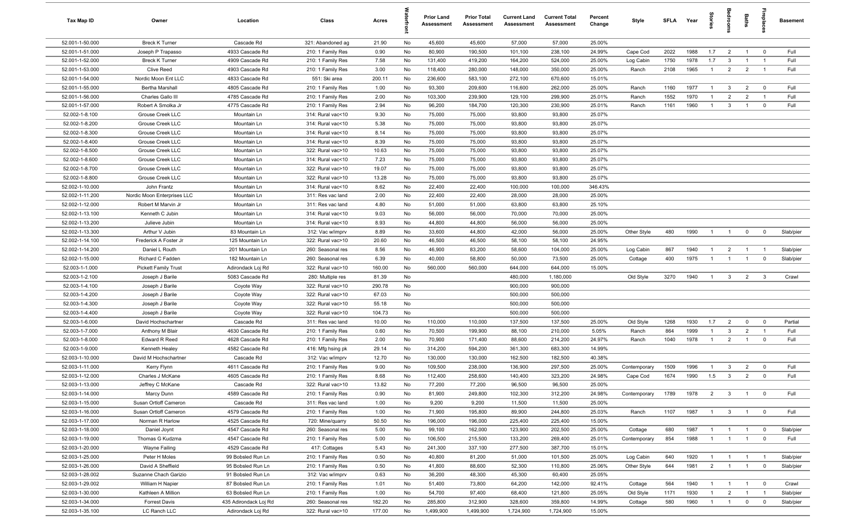| Tax Map ID      | Owner                       | Location              | Class             | Acres  |    | <b>Prior Land</b><br><b>Assessment</b> | <b>Prior Total</b><br><b>Assessment</b> | <b>Current Land</b><br>Assessment | <b>Current Total</b><br><b>Assessment</b> | Percent<br>Change | Style        | SFLA Year |      | 흞              |                         | Baths          | repla                   | <b>Basement</b> |
|-----------------|-----------------------------|-----------------------|-------------------|--------|----|----------------------------------------|-----------------------------------------|-----------------------------------|-------------------------------------------|-------------------|--------------|-----------|------|----------------|-------------------------|----------------|-------------------------|-----------------|
| 52.001-1-50.000 | <b>Breck K Turner</b>       | Cascade Rd            | 321: Abandoned ag | 21.90  | No | 45,600                                 | 45,600                                  | 57,000                            | 57,000                                    | 25.00%            |              |           |      |                |                         |                |                         |                 |
| 52.001-1-51.000 | Joseph P Trapasso           | 4933 Cascade Rd       | 210: 1 Family Res | 0.90   | No | 80,900                                 | 190,500                                 | 101,100                           | 238,100                                   | 24.99%            | Cape Cod     | 2022      | 1988 | 1.7            | $\overline{2}$          | $\overline{1}$ | $\overline{\mathbf{0}}$ | Full            |
| 52.001-1-52.000 | <b>Breck K Turner</b>       | 4909 Cascade Rd       | 210: 1 Family Res | 7.58   | No | 131,400                                | 419,200                                 | 164,200                           | 524,000                                   | 25.00%            | Log Cabin    | 1750      | 1978 | 1.7            | $\overline{\mathbf{3}}$ | $\overline{1}$ | $\overline{1}$          | Full            |
| 52.001-1-53.000 | Clive Reed                  | 4903 Cascade Rd       | 210: 1 Family Res | 3.00   | No | 118,400                                | 280,000                                 | 148,000                           | 350,000                                   | 25.00%            | Ranch        | 2108      | 1965 | $\mathbf{1}$   | $\overline{2}$          | $\overline{2}$ | $\overline{1}$          | Full            |
| 52.001-1-54.000 | Nordic Moon Ent LLC         | 4833 Cascade Rd       | 551: Ski area     | 200.11 | No | 236,600                                | 583,100                                 | 272,100                           | 670,600                                   | 15.01%            |              |           |      |                |                         |                |                         |                 |
| 52.001-1-55.000 | Bertha Marshall             | 4805 Cascade Rd       | 210: 1 Family Res | 1.00   | No | 93,300                                 | 209,600                                 | 116,600                           | 262,000                                   | 25.00%            | Ranch        | 1160      | 1977 | $\overline{1}$ | $\mathbf{3}$            | $\overline{2}$ | $\overline{0}$          | Full            |
| 52.001-1-56.000 | Charles Gallo III           | 4785 Cascade Rd       | 210: 1 Family Res | 2.00   | No | 103,300                                | 239,900                                 | 129,100                           | 299,900                                   | 25.01%            | Ranch        | 1552      | 1970 | $\mathbf{1}$   | $\overline{2}$          | $\overline{2}$ | $\overline{1}$          | Full            |
| 52.001-1-57.000 | Robert A Smolka Jr          | 4775 Cascade Rd       | 210: 1 Family Res | 2.94   | No | 96,200                                 | 184,700                                 | 120,300                           | 230,900                                   | 25.01%            | Ranch        | 1161      | 1960 | $\mathbf{1}$   | $\mathbf{3}$            | $\overline{1}$ | $\mathbf 0$             | Full            |
| 52.002-1-8.100  | Grouse Creek LLC            | Mountain Ln           | 314: Rural vac<10 | 9.30   | No | 75,000                                 | 75,000                                  | 93,800                            | 93,800                                    | 25.07%            |              |           |      |                |                         |                |                         |                 |
| 52.002-1-8.200  | Grouse Creek LLC            | Mountain Ln           | 314: Rural vac<10 | 5.38   | No | 75,000                                 | 75,000                                  | 93,800                            | 93,800                                    | 25.07%            |              |           |      |                |                         |                |                         |                 |
| 52.002-1-8.300  | Grouse Creek LLC            | Mountain Ln           | 314: Rural vac<10 | 8.14   | No | 75,000                                 | 75,000                                  | 93,800                            | 93,800                                    | 25.07%            |              |           |      |                |                         |                |                         |                 |
| 52.002-1-8.400  | Grouse Creek LLC            | Mountain Ln           | 314: Rural vac<10 | 8.39   | No | 75,000                                 | 75,000                                  | 93,800                            | 93,800                                    | 25.07%            |              |           |      |                |                         |                |                         |                 |
| 52.002-1-8.500  | Grouse Creek LLC            | Mountain Ln           | 322: Rural vac>10 | 10.63  | No | 75,000                                 | 75,000                                  | 93,800                            | 93,800                                    | 25.07%            |              |           |      |                |                         |                |                         |                 |
| 52.002-1-8.600  | Grouse Creek LLC            | Mountain Ln           | 314: Rural vac<10 | 7.23   | No | 75,000                                 | 75,000                                  | 93,800                            | 93,800                                    | 25.07%            |              |           |      |                |                         |                |                         |                 |
| 52.002-1-8.700  | Grouse Creek LLC            | Mountain Ln           | 322: Rural vac>10 | 19.07  | No | 75,000                                 | 75,000                                  | 93,800                            | 93,800                                    | 25.07%            |              |           |      |                |                         |                |                         |                 |
| 52.002-1-8.800  | Grouse Creek LLC            | Mountain Ln           | 322: Rural vac>10 | 13.28  | No | 75,000                                 | 75,000                                  | 93,800                            | 93,800                                    | 25.07%            |              |           |      |                |                         |                |                         |                 |
| 52.002-1-10.000 | John Frantz                 | Mountain Ln           | 314: Rural vac<10 | 8.62   | No | 22,400                                 | 22,400                                  | 100,000                           | 100,000                                   | 346.43%           |              |           |      |                |                         |                |                         |                 |
| 52.002-1-11.200 | Nordic Moon Enterprises LLC | Mountain Ln           | 311: Res vac land | 2.00   | No | 22,400                                 | 22,400                                  | 28,000                            | 28,000                                    | 25.00%            |              |           |      |                |                         |                |                         |                 |
| 52.002-1-12.000 | Robert M Marvin Jr          | Mountain Ln           | 311: Res vac land | 4.80   | No | 51,000                                 | 51,000                                  | 63,800                            | 63,800                                    | 25.10%            |              |           |      |                |                         |                |                         |                 |
| 52.002-1-13.100 | Kenneth C Jubin             | Mountain Ln           | 314: Rural vac<10 | 9.03   | No | 56,000                                 | 56,000                                  | 70,000                            | 70,000                                    | 25.00%            |              |           |      |                |                         |                |                         |                 |
| 52.002-1-13.200 | Julieve Jubin               | Mountain Ln           | 314: Rural vac<10 | 8.93   | No | 44,800                                 | 44,800                                  | 56,000                            | 56,000                                    | 25.00%            |              |           |      |                |                         |                |                         |                 |
| 52.002-1-13.300 | Arthur V Jubin              | 83 Mountain Ln        | 312: Vac w/imprv  | 8.89   | No | 33,600                                 | 44,800                                  | 42,000                            | 56,000                                    | 25.00%            | Other Style  | 480       | 1990 |                |                         | $\mathbf 0$    | $\mathbf 0$             | Slab/pier       |
| 52.002-1-14.100 | Frederick A Foster Jr       | 125 Mountain Ln       | 322: Rural vac>10 | 20.60  | No | 46,500                                 | 46,500                                  | 58,100                            | 58,100                                    | 24.95%            |              |           |      |                |                         |                |                         |                 |
| 52.002-1-14.200 | Daniel L Routh              | 201 Mountain Ln       | 260: Seasonal res | 8.56   | No | 46,900                                 | 83,200                                  | 58,600                            | 104,000                                   | 25.00%            | Log Cabin    | 867       | 1940 | $\overline{1}$ | $\overline{2}$          | $\overline{1}$ | - 1                     | Slab/pier       |
| 52.002-1-15.000 | Richard C Fadden            | 182 Mountain Ln       | 260: Seasonal res | 6.39   | No | 40,000                                 | 58,800                                  | 50,000                            | 73,500                                    | 25.00%            | Cottage      | 400       | 1975 | $\overline{1}$ | $\overline{1}$          | $\overline{1}$ | $\mathbf 0$             | Slab/pier       |
| 52.003-1-1.000  | <b>Pickett Family Trust</b> | Adirondack Loj Rd     | 322: Rural vac>10 | 160.00 | No | 560,000                                | 560,000                                 | 644,000                           | 644,000                                   | 15.00%            |              |           |      |                |                         |                |                         |                 |
| 52.003-1-2.100  | Joseph J Barile             | 5083 Cascade Rd       | 280: Multiple res | 81.39  | No |                                        |                                         | 480,000                           | 1,180,000                                 |                   | Old Style    | 3270      | 1940 | $\overline{1}$ | $\mathbf{3}$            | $\overline{2}$ | $\mathbf{3}$            | Crawl           |
| 52.003-1-4.100  | Joseph J Barile             | Coyote Way            | 322: Rural vac>10 | 290.78 | No |                                        |                                         | 900,000                           | 900,000                                   |                   |              |           |      |                |                         |                |                         |                 |
| 52.003-1-4.200  | Joseph J Barile             | Coyote Way            | 322: Rural vac>10 | 67.03  | No |                                        |                                         | 500,000                           | 500,000                                   |                   |              |           |      |                |                         |                |                         |                 |
| 52.003-1-4.300  | Joseph J Barile             | Coyote Way            | 322: Rural vac>10 | 55.18  | No |                                        |                                         | 500,000                           | 500,000                                   |                   |              |           |      |                |                         |                |                         |                 |
| 52.003-1-4.400  | Joseph J Barile             | Coyote Way            | 322: Rural vac>10 | 104.73 | No |                                        |                                         | 500,000                           | 500,000                                   |                   |              |           |      |                |                         |                |                         |                 |
| 52.003-1-6.000  | David Hochschartner         | Cascade Rd            | 311: Res vac land | 10.00  | No | 110,000                                | 110,000                                 | 137,500                           | 137,500                                   | 25.00%            | Old Style    | 1268      | 1930 | 1.7            | $\overline{2}$          | $\mathbf 0$    | $\mathbf 0$             | Partial         |
| 52.003-1-7.000  | Anthony M Blair             | 4630 Cascade Rd       | 210: 1 Family Res | 0.60   | No | 70,500                                 | 199,900                                 | 88,100                            | 210,000                                   | 5.05%             | Ranch        | 864       | 1999 | -1             | -3                      | $\overline{2}$ |                         | Full            |
| 52.003-1-8.000  | <b>Edward R Reed</b>        | 4628 Cascade Rd       | 210: 1 Family Res | 2.00   | No | 70,900                                 | 171,400                                 | 88,600                            | 214,200                                   | 24.97%            | Ranch        | 1040      | 1978 | $\overline{1}$ | $\overline{2}$          | $\overline{1}$ | $\overline{0}$          | Full            |
| 52.003-1-9.000  | Kenneth Healey              | 4582 Cascade Rd       | 416: Mfg hsing pk | 29.14  | No | 314,200                                | 594,200                                 | 361,300                           | 683,300                                   | 14.99%            |              |           |      |                |                         |                |                         |                 |
| 52.003-1-10.000 | David M Hochschartner       | Cascade Rd            | 312: Vac w/imprv  | 12.70  | No | 130,000                                | 130,000                                 | 162,500                           | 182,500                                   | 40.38%            |              |           |      |                |                         |                |                         |                 |
| 52.003-1-11.000 | Kerry Flynn                 | 4611 Cascade Rd       | 210: 1 Family Res | 9.00   | No | 109,500                                | 238,000                                 | 136,900                           | 297,500                                   | 25.00%            | Contemporary | 1509      | 1996 | $\mathbf{1}$   | $\mathbf{3}$            | $\overline{2}$ | $\mathbf 0$             | Full            |
| 52.003-1-12.000 | Charles J McKane            | 4605 Cascade Rd       | 210: 1 Family Res | 8.68   | No | 112,400                                | 258,600                                 | 140,400                           | 323,200                                   | 24.98%            | Cape Cod     | 1674      | 1990 | 1.5            | $\overline{\mathbf{3}}$ | $\overline{2}$ | $\mathbf 0$             | Full            |
| 52.003-1-13.000 | Jeffrey C McKane            | Cascade Rd            | 322: Rural vac>10 | 13.82  | No | 77,200                                 | 77,200                                  | 96,500                            | 96,500                                    | 25.00%            |              |           |      |                |                         |                |                         |                 |
| 52.003-1-14.000 | Marcy Dunn                  | 4589 Cascade Rd       | 210: 1 Family Res | 0.90   | No | 81,900                                 | 249,800                                 | 102,300                           | 312,200                                   | 24.98%            | Contemporary | 1789      | 1978 | $\overline{2}$ | $\overline{\textbf{3}}$ | $\overline{1}$ | $\overline{\mathbf{0}}$ | Full            |
| 52.003-1-15.000 | Susan Ortloff Cameron       | Cascade Rd            | 311: Res vac land | 1.00   | No | 9,200                                  | 9,200                                   | 11,500                            | 11,500                                    | 25.00%            |              |           |      |                |                         |                |                         |                 |
| 52.003-1-16.000 | Susan Ortloff Cameron       | 4579 Cascade Rd       | 210: 1 Family Res | 1.00   | No | 71,900                                 | 195,800                                 | 89,900                            | 244,800                                   | 25.03%            | Ranch        | 1107      | 1987 | $\overline{1}$ | $\overline{\mathbf{3}}$ | $\overline{1}$ | $\overline{\mathbf{0}}$ | Full            |
| 52.003-1-17.000 | Norman R Harlow             | 4525 Cascade Rd       | 720: Mine/quarry  | 50.50  | No | 196,000                                | 196,000                                 | 225,400                           | 225,400                                   | 15.00%            |              |           |      |                |                         |                |                         |                 |
| 52.003-1-18.000 | Daniel Joynt                | 4547 Cascade Rd       | 260: Seasonal res | 5.00   | No | 99,100                                 | 162,000                                 | 123,900                           | 202,500                                   | 25.00%            | Cottage      | 680       | 1987 |                |                         |                | $\mathbf 0$             | Slab/pier       |
| 52.003-1-19.000 | Thomas G Kudzma             | 4547 Cascade Rd       | 210: 1 Family Res | 5.00   | No | 106,500                                | 215,500                                 | 133,200                           | 269,400                                   | 25.01%            | Contemporary | 854       | 1988 | $\overline{1}$ | $\overline{1}$          | $\overline{1}$ | $\mathbf 0$             | Full            |
| 52.003-1-20.000 | Wayne Failing               | 4529 Cascade Rd       | 417: Cottages     | 5.43   | No | 241,300                                | 337,100                                 | 277,500                           | 387,700                                   | 15.01%            |              |           |      |                |                         |                |                         |                 |
| 52.003-1-25.000 | Peter H Moles               | 99 Bobsled Run Ln     | 210: 1 Family Res | 0.50   | No | 40,800                                 | 81,200                                  | 51,000                            | 101,500                                   | 25.00%            | Log Cabin    | 640       | 1920 |                | $\overline{1}$          | $\overline{1}$ |                         | Slab/pier       |
| 52.003-1-26.000 | David A Sheffield           | 95 Bobsled Run Ln     | 210: 1 Family Res | 0.50   | No | 41,800                                 | 88,600                                  | 52,300                            | 110,800                                   | 25.06%            | Other Style  | 644       | 1981 | $\overline{2}$ | $\overline{1}$          | $\overline{1}$ | $\mathbf 0$             | Slab/pier       |
| 52.003-1-28.002 | Suzanne Chach Garizio       | 91 Bobsled Run Ln     | 312: Vac w/imprv  | 0.63   | No | 36,200                                 | 48,300                                  | 45,300                            | 60,400                                    | 25.05%            |              |           |      |                |                         |                |                         |                 |
| 52.003-1-29.002 | William H Napier            | 87 Bobsled Run Ln     | 210: 1 Family Res | 1.01   | No | 51,400                                 | 73,800                                  | 64,200                            | 142,000                                   | 92.41%            | Cottage      | 564       | 1940 | $\overline{1}$ | $\overline{1}$          | $\overline{1}$ | $\overline{\mathbf{0}}$ | Crawl           |
| 52.003-1-30.000 | Kathleen A Million          | 63 Bobsled Run Ln     | 210: 1 Family Res | 1.00   | No | 54,700                                 | 97,400                                  | 68,400                            | 121,800                                   | 25.05%            | Old Style    | 1171      | 1930 | $\overline{1}$ | $\overline{2}$          | $\overline{1}$ | $\overline{1}$          | Slab/pier       |
| 52.003-1-34.000 | <b>Forrest Davis</b>        | 435 Adirondack Loj Rd | 260: Seasonal res | 182.20 | No | 285,800                                | 312,900                                 | 328,600                           | 359,800                                   | 14.99%            | Cottage      | 580       | 1960 | $\overline{1}$ | $\overline{1}$          | $\mathbf 0$    | $\mathbf 0$             | Slab/pier       |
| 52.003-1-35.100 | LC Ranch LLC                | Adirondack Loj Rd     | 322: Rural vac>10 | 177.00 | No | 1,499,900                              | 1,499,900                               | 1,724,900                         | 1,724,900                                 | 15.00%            |              |           |      |                |                         |                |                         |                 |